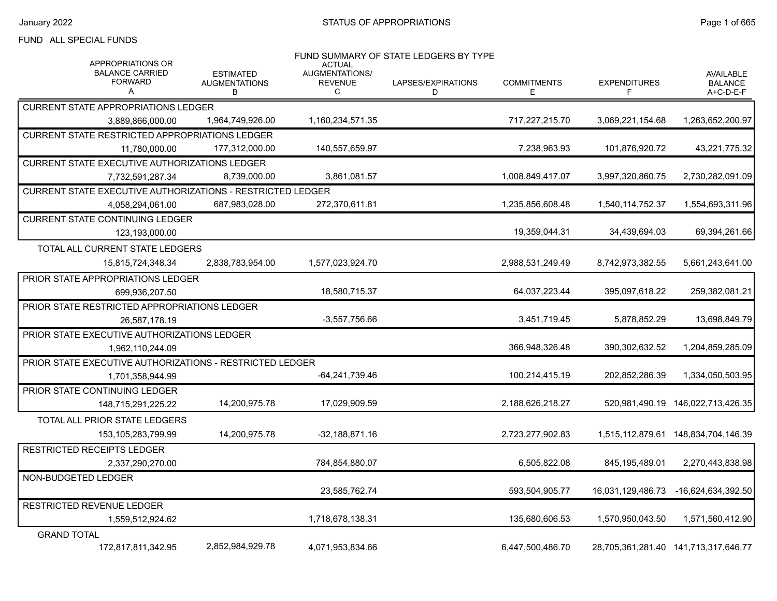#### FUND ALL SPECIAL FUNDS

| <b>APPROPRIATIONS OR</b>                                   |                                               | <b>ACTUAL</b>                         | FUND SUMMARY OF STATE LEDGERS BY TYPE |                          |                          |                                                 |
|------------------------------------------------------------|-----------------------------------------------|---------------------------------------|---------------------------------------|--------------------------|--------------------------|-------------------------------------------------|
| <b>BALANCE CARRIED</b><br><b>FORWARD</b><br>A              | <b>ESTIMATED</b><br><b>AUGMENTATIONS</b><br>В | AUGMENTATIONS/<br><b>REVENUE</b><br>C | LAPSES/EXPIRATIONS<br>D               | <b>COMMITMENTS</b><br>E. | <b>EXPENDITURES</b><br>F | <b>AVAILABLE</b><br><b>BALANCE</b><br>A+C-D-E-F |
| <b>CURRENT STATE APPROPRIATIONS LEDGER</b>                 |                                               |                                       |                                       |                          |                          |                                                 |
| 3,889,866,000.00                                           | 1,964,749,926.00                              | 1,160,234,571.35                      |                                       | 717,227,215.70           | 3,069,221,154.68         | 1,263,652,200.97                                |
| <b>CURRENT STATE RESTRICTED APPROPRIATIONS LEDGER</b>      |                                               |                                       |                                       |                          |                          |                                                 |
| 11,780,000.00                                              | 177.312.000.00                                | 140.557.659.97                        |                                       | 7,238,963.93             | 101,876,920.72           | 43,221,775.32                                   |
| <b>CURRENT STATE EXECUTIVE AUTHORIZATIONS LEDGER</b>       |                                               |                                       |                                       |                          |                          |                                                 |
| 7,732,591,287.34                                           | 8.739.000.00                                  | 3,861,081.57                          |                                       | 1,008,849,417.07         | 3,997,320,860.75         | 2,730,282,091.09                                |
| CURRENT STATE EXECUTIVE AUTHORIZATIONS - RESTRICTED LEDGER |                                               |                                       |                                       |                          |                          |                                                 |
| 4,058,294,061.00                                           | 687,983,028.00                                | 272,370,611.81                        |                                       | 1,235,856,608.48         | 1,540,114,752.37         | 1,554,693,311.96                                |
| <b>CURRENT STATE CONTINUING LEDGER</b>                     |                                               |                                       |                                       |                          |                          |                                                 |
| 123,193,000.00                                             |                                               |                                       |                                       | 19,359,044.31            | 34,439,694.03            | 69,394,261.66                                   |
| TOTAL ALL CURRENT STATE LEDGERS                            |                                               |                                       |                                       |                          |                          |                                                 |
| 15,815,724,348.34                                          | 2,838,783,954.00                              | 1,577,023,924.70                      |                                       | 2,988,531,249.49         | 8,742,973,382.55         | 5,661,243,641.00                                |
| PRIOR STATE APPROPRIATIONS LEDGER                          |                                               |                                       |                                       |                          |                          |                                                 |
| 699,936,207.50                                             |                                               | 18,580,715.37                         |                                       | 64,037,223.44            | 395,097,618.22           | 259,382,081.21                                  |
| PRIOR STATE RESTRICTED APPROPRIATIONS LEDGER               |                                               |                                       |                                       |                          |                          |                                                 |
| 26,587,178.19                                              |                                               | $-3,557,756.66$                       |                                       | 3,451,719.45             | 5,878,852.29             | 13,698,849.79                                   |
| PRIOR STATE EXECUTIVE AUTHORIZATIONS LEDGER                |                                               |                                       |                                       |                          |                          |                                                 |
| 1,962,110,244.09                                           |                                               |                                       |                                       | 366,948,326.48           | 390, 302, 632.52         | 1,204,859,285.09                                |
| PRIOR STATE EXECUTIVE AUTHORIZATIONS - RESTRICTED LEDGER   |                                               |                                       |                                       |                          |                          |                                                 |
| 1,701,358,944.99                                           |                                               | -64.241.739.46                        |                                       | 100,214,415.19           | 202,852,286.39           | 1,334,050,503.95                                |
| PRIOR STATE CONTINUING LEDGER                              |                                               |                                       |                                       |                          |                          |                                                 |
| 148,715,291,225.22                                         | 14,200,975.78                                 | 17,029,909.59                         |                                       | 2,188,626,218.27         | 520,981,490.19           | 146,022,713,426.35                              |
| TOTAL ALL PRIOR STATE LEDGERS                              |                                               |                                       |                                       |                          |                          |                                                 |
| 153, 105, 283, 799. 99                                     | 14,200,975.78                                 | $-32,188,871.16$                      |                                       | 2,723,277,902.83         |                          | 1,515,112,879.61  148,834,704,146.39            |
| <b>RESTRICTED RECEIPTS LEDGER</b>                          |                                               |                                       |                                       |                          |                          |                                                 |
| 2,337,290,270.00                                           |                                               | 784,854,880.07                        |                                       | 6,505,822.08             | 845,195,489.01           | 2,270,443,838.98                                |
| NON-BUDGETED LEDGER                                        |                                               |                                       |                                       |                          |                          |                                                 |
|                                                            |                                               | 23,585,762.74                         |                                       | 593,504,905.77           | 16,031,129,486.73        | -16,624,634,392.50                              |
| RESTRICTED REVENUE LEDGER                                  |                                               |                                       |                                       |                          |                          |                                                 |
| 1,559,512,924.62                                           |                                               | 1,718,678,138.31                      |                                       | 135,680,606.53           | 1,570,950,043.50         | 1,571,560,412.90                                |
| <b>GRAND TOTAL</b>                                         |                                               |                                       |                                       |                          |                          |                                                 |
| 172,817,811,342.95                                         | 2,852,984,929.78                              | 4,071,953,834.66                      |                                       | 6,447,500,486.70         |                          | 28,705,361,281.40 141,713,317,646.77            |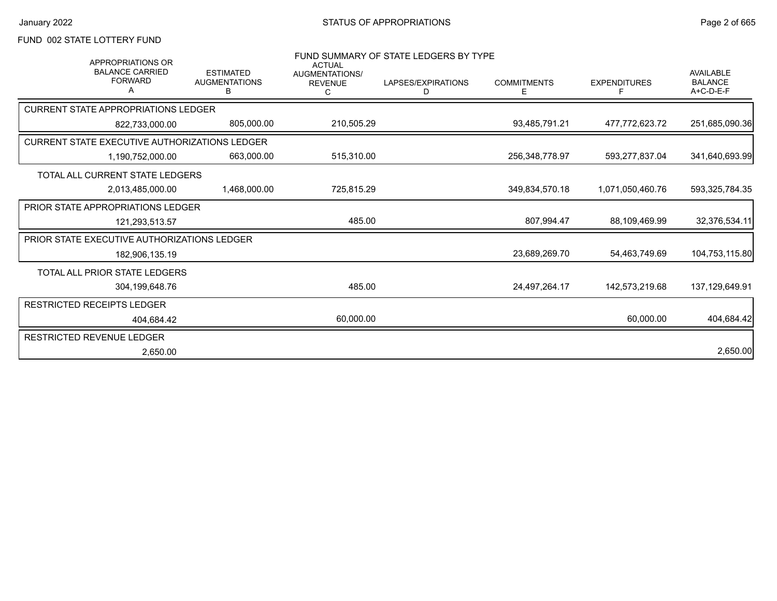### FUND 002 STATE LOTTERY FUND

| FUND SUMMARY OF STATE LEDGERS BY TYPE<br><b>APPROPRIATIONS OR</b><br><b>ACTUAL</b> |                                               |                                       |                         |                          |                          |                                                   |
|------------------------------------------------------------------------------------|-----------------------------------------------|---------------------------------------|-------------------------|--------------------------|--------------------------|---------------------------------------------------|
| <b>BALANCE CARRIED</b><br><b>FORWARD</b>                                           | <b>ESTIMATED</b><br><b>AUGMENTATIONS</b><br>В | AUGMENTATIONS/<br><b>REVENUE</b><br>С | LAPSES/EXPIRATIONS<br>D | <b>COMMITMENTS</b><br>E. | <b>EXPENDITURES</b><br>F | <b>AVAILABLE</b><br><b>BALANCE</b><br>$A+C-D-E-F$ |
| <b>CURRENT STATE APPROPRIATIONS LEDGER</b>                                         |                                               |                                       |                         |                          |                          |                                                   |
| 822.733.000.00                                                                     | 805,000.00                                    | 210,505.29                            |                         | 93,485,791.21            | 477,772,623.72           | 251,685,090.36                                    |
| <b>CURRENT STATE EXECUTIVE AUTHORIZATIONS LEDGER</b>                               |                                               |                                       |                         |                          |                          |                                                   |
| 1.190.752.000.00                                                                   | 663,000.00                                    | 515,310.00                            |                         | 256,348,778.97           | 593,277,837.04           | 341,640,693.99                                    |
| TOTAL ALL CURRENT STATE LEDGERS                                                    |                                               |                                       |                         |                          |                          |                                                   |
| 2,013,485,000.00                                                                   | 1,468,000.00                                  | 725,815.29                            |                         | 349,834,570.18           | 1,071,050,460.76         | 593,325,784.35                                    |
| <b>PRIOR STATE APPROPRIATIONS LEDGER</b>                                           |                                               |                                       |                         |                          |                          |                                                   |
| 121.293.513.57                                                                     |                                               | 485.00                                |                         | 807.994.47               | 88.109.469.99            | 32,376,534.11                                     |
| <b>PRIOR STATE EXECUTIVE AUTHORIZATIONS LEDGER</b>                                 |                                               |                                       |                         |                          |                          |                                                   |
| 182,906,135.19                                                                     |                                               |                                       |                         | 23,689,269.70            | 54.463.749.69            | 104,753,115.80                                    |
| TOTAL ALL PRIOR STATE LEDGERS                                                      |                                               |                                       |                         |                          |                          |                                                   |
| 304,199,648.76                                                                     |                                               | 485.00                                |                         | 24,497,264.17            | 142,573,219.68           | 137,129,649.91                                    |
| <b>RESTRICTED RECEIPTS LEDGER</b>                                                  |                                               |                                       |                         |                          |                          |                                                   |
| 404,684.42                                                                         |                                               | 60,000.00                             |                         |                          | 60,000.00                | 404,684.42                                        |
| <b>RESTRICTED REVENUE LEDGER</b>                                                   |                                               |                                       |                         |                          |                          |                                                   |
| 2,650.00                                                                           |                                               |                                       |                         |                          |                          | 2,650.00                                          |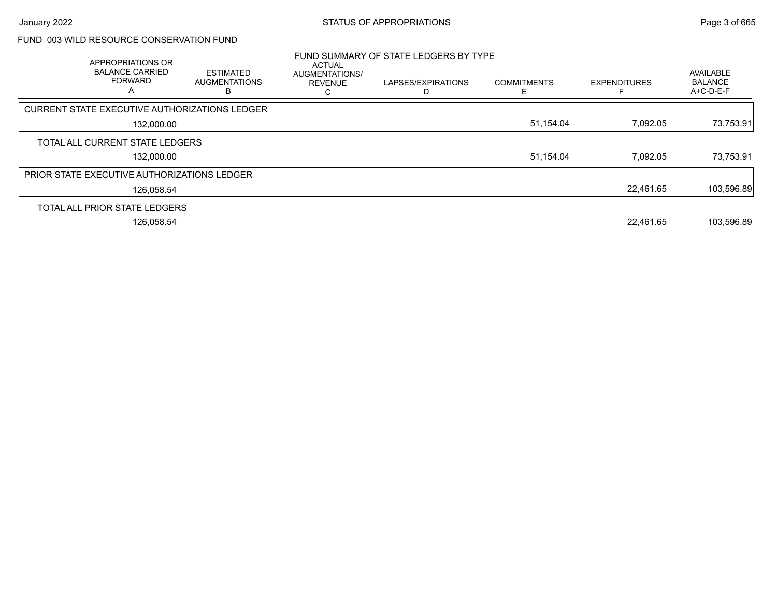# FUND 003 WILD RESOURCE CONSERVATION FUND

| APPROPRIATIONS OR<br><b>BALANCE CARRIED</b><br><b>FORWARD</b><br>A | <b>ESTIMATED</b><br><b>AUGMENTATIONS</b> | ACTUAL<br>AUGMENTATIONS/<br><b>REVENUE</b> | FUND SUMMARY OF STATE LEDGERS BY TYPE<br>LAPSES/EXPIRATIONS | <b>COMMITMENTS</b> | <b>EXPENDITURES</b> | AVAILABLE<br><b>BALANCE</b><br>A+C-D-E-F |
|--------------------------------------------------------------------|------------------------------------------|--------------------------------------------|-------------------------------------------------------------|--------------------|---------------------|------------------------------------------|
| <b>CURRENT STATE EXECUTIVE AUTHORIZATIONS LEDGER</b>               |                                          |                                            |                                                             |                    |                     |                                          |
| 132,000.00                                                         |                                          |                                            |                                                             | 51,154.04          | 7,092.05            | 73,753.91                                |
| TOTAL ALL CURRENT STATE LEDGERS                                    |                                          |                                            |                                                             |                    |                     |                                          |
| 132,000.00                                                         |                                          |                                            |                                                             | 51,154.04          | 7.092.05            | 73,753.91                                |
| PRIOR STATE EXECUTIVE AUTHORIZATIONS LEDGER                        |                                          |                                            |                                                             |                    |                     |                                          |
| 126,058.54                                                         |                                          |                                            |                                                             |                    | 22.461.65           | 103,596.89                               |
| TOTAL ALL PRIOR STATE LEDGERS                                      |                                          |                                            |                                                             |                    |                     |                                          |
| 126,058.54                                                         |                                          |                                            |                                                             |                    | 22,461.65           | 103,596.89                               |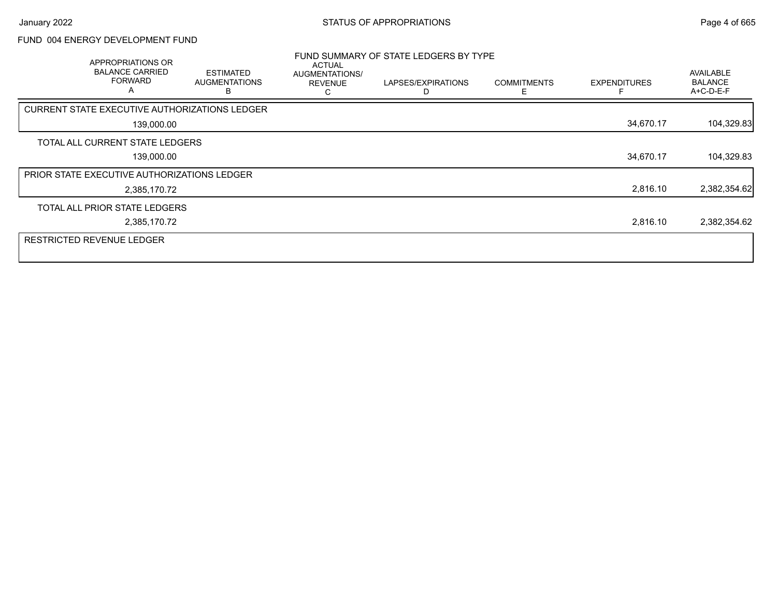### FUND 004 ENERGY DEVELOPMENT FUND

| APPROPRIATIONS OR<br><b>BALANCE CARRIED</b><br><b>FORWARD</b><br>A | <b>ESTIMATED</b><br><b>AUGMENTATIONS</b> | <b>ACTUAL</b><br>AUGMENTATIONS/<br><b>REVENUE</b> | FUND SUMMARY OF STATE LEDGERS BY TYPE<br>LAPSES/EXPIRATIONS | <b>COMMITMENTS</b><br>F | <b>EXPENDITURES</b> | <b>AVAILABLE</b><br><b>BALANCE</b><br>A+C-D-E-F |
|--------------------------------------------------------------------|------------------------------------------|---------------------------------------------------|-------------------------------------------------------------|-------------------------|---------------------|-------------------------------------------------|
| CURRENT STATE EXECUTIVE AUTHORIZATIONS LEDGER                      |                                          |                                                   |                                                             |                         |                     |                                                 |
| 139,000.00                                                         |                                          |                                                   |                                                             |                         | 34,670.17           | 104,329.83                                      |
| TOTAL ALL CURRENT STATE LEDGERS                                    |                                          |                                                   |                                                             |                         |                     |                                                 |
| 139,000.00                                                         |                                          |                                                   |                                                             |                         | 34,670.17           | 104,329.83                                      |
| PRIOR STATE EXECUTIVE AUTHORIZATIONS LEDGER                        |                                          |                                                   |                                                             |                         |                     |                                                 |
| 2,385,170.72                                                       |                                          |                                                   |                                                             |                         | 2,816.10            | 2,382,354.62                                    |
| TOTAL ALL PRIOR STATE LEDGERS                                      |                                          |                                                   |                                                             |                         |                     |                                                 |
| 2,385,170.72                                                       |                                          |                                                   |                                                             |                         | 2,816.10            | 2,382,354.62                                    |
| <b>RESTRICTED REVENUE LEDGER</b>                                   |                                          |                                                   |                                                             |                         |                     |                                                 |
|                                                                    |                                          |                                                   |                                                             |                         |                     |                                                 |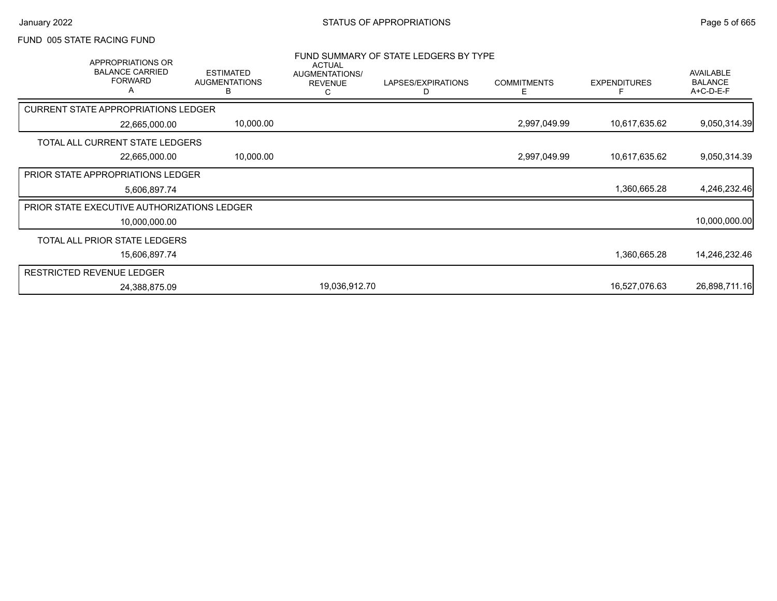#### FUND 005 STATE RACING FUND

| APPROPRIATIONS OR<br><b>BALANCE CARRIED</b><br><b>FORWARD</b><br>$\mathsf{A}$ | <b>ESTIMATED</b><br><b>AUGMENTATIONS</b><br>в | <b>ACTUAL</b><br>AUGMENTATIONS/<br><b>REVENUE</b><br>С | FUND SUMMARY OF STATE LEDGERS BY TYPE<br>LAPSES/EXPIRATIONS<br>D | <b>COMMITMENTS</b><br>E. | <b>EXPENDITURES</b> | <b>AVAILABLE</b><br><b>BALANCE</b><br>A+C-D-E-F |
|-------------------------------------------------------------------------------|-----------------------------------------------|--------------------------------------------------------|------------------------------------------------------------------|--------------------------|---------------------|-------------------------------------------------|
| <b>CURRENT STATE APPROPRIATIONS LEDGER</b>                                    |                                               |                                                        |                                                                  |                          |                     |                                                 |
| 22,665,000.00                                                                 | 10,000.00                                     |                                                        |                                                                  | 2,997,049.99             | 10,617,635.62       | 9,050,314.39                                    |
| TOTAL ALL CURRENT STATE LEDGERS                                               |                                               |                                                        |                                                                  |                          |                     |                                                 |
| 22,665,000.00                                                                 | 10,000.00                                     |                                                        |                                                                  | 2,997,049.99             | 10,617,635.62       | 9,050,314.39                                    |
| <b>PRIOR STATE APPROPRIATIONS LEDGER</b>                                      |                                               |                                                        |                                                                  |                          |                     |                                                 |
| 5,606,897.74                                                                  |                                               |                                                        |                                                                  |                          | 1,360,665.28        | 4,246,232.46                                    |
| <b>PRIOR STATE EXECUTIVE AUTHORIZATIONS LEDGER</b>                            |                                               |                                                        |                                                                  |                          |                     |                                                 |
| 10,000,000.00                                                                 |                                               |                                                        |                                                                  |                          |                     | 10,000,000.00                                   |
| TOTAL ALL PRIOR STATE LEDGERS                                                 |                                               |                                                        |                                                                  |                          |                     |                                                 |
| 15,606,897.74                                                                 |                                               |                                                        |                                                                  |                          | 1,360,665.28        | 14,246,232.46                                   |
| <b>RESTRICTED REVENUE LEDGER</b>                                              |                                               |                                                        |                                                                  |                          |                     |                                                 |
| 24,388,875.09                                                                 |                                               | 19,036,912.70                                          |                                                                  |                          | 16,527,076.63       | 26,898,711.16                                   |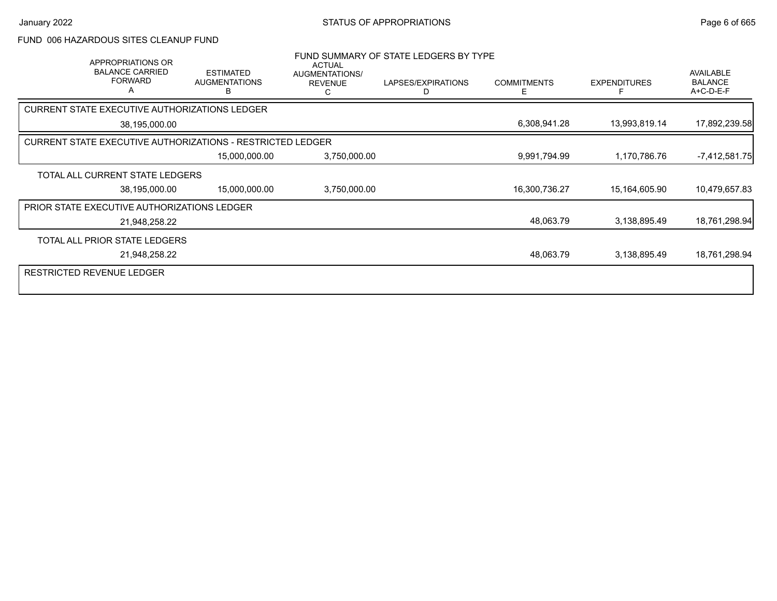#### FUND 006 HAZARDOUS SITES CLEANUP FUND

| APPROPRIATIONS OR<br><b>BALANCE CARRIED</b><br><b>FORWARD</b><br>А | <b>ESTIMATED</b><br><b>AUGMENTATIONS</b><br>В | <b>ACTUAL</b><br><b>AUGMENTATIONS/</b><br><b>REVENUE</b><br>С | FUND SUMMARY OF STATE LEDGERS BY TYPE<br>LAPSES/EXPIRATIONS<br>D | <b>COMMITMENTS</b><br>E. | <b>EXPENDITURES</b> | AVAILABLE<br><b>BALANCE</b><br>A+C-D-E-F |
|--------------------------------------------------------------------|-----------------------------------------------|---------------------------------------------------------------|------------------------------------------------------------------|--------------------------|---------------------|------------------------------------------|
| CURRENT STATE EXECUTIVE AUTHORIZATIONS LEDGER                      |                                               |                                                               |                                                                  |                          |                     |                                          |
| 38,195,000.00                                                      |                                               |                                                               |                                                                  | 6,308,941.28             | 13,993,819.14       | 17,892,239.58                            |
| <b>CURRENT STATE EXECUTIVE AUTHORIZATIONS - RESTRICTED LEDGER</b>  |                                               |                                                               |                                                                  |                          |                     |                                          |
|                                                                    | 15,000,000.00                                 | 3,750,000.00                                                  |                                                                  | 9,991,794.99             | 1,170,786.76        | $-7,412,581.75$                          |
| TOTAL ALL CURRENT STATE LEDGERS                                    |                                               |                                                               |                                                                  |                          |                     |                                          |
| 38,195,000.00                                                      | 15,000,000.00                                 | 3,750,000.00                                                  |                                                                  | 16,300,736.27            | 15,164,605.90       | 10,479,657.83                            |
| PRIOR STATE EXECUTIVE AUTHORIZATIONS LEDGER                        |                                               |                                                               |                                                                  |                          |                     |                                          |
| 21,948,258.22                                                      |                                               |                                                               |                                                                  | 48,063.79                | 3,138,895.49        | 18,761,298.94                            |
| TOTAL ALL PRIOR STATE LEDGERS                                      |                                               |                                                               |                                                                  |                          |                     |                                          |
| 21,948,258.22                                                      |                                               |                                                               |                                                                  | 48,063.79                | 3,138,895.49        | 18,761,298.94                            |
| <b>RESTRICTED REVENUE LEDGER</b>                                   |                                               |                                                               |                                                                  |                          |                     |                                          |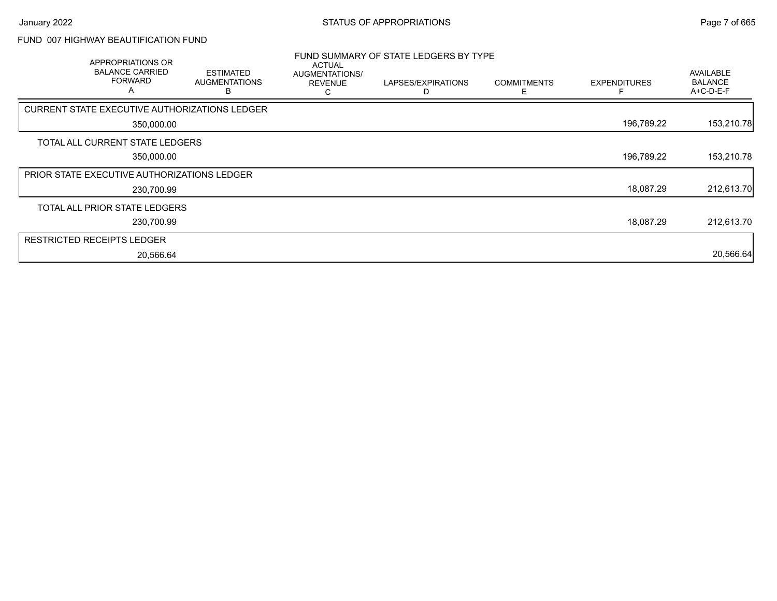#### FUND 007 HIGHWAY BEAUTIFICATION FUND

| APPROPRIATIONS OR<br><b>BALANCE CARRIED</b><br><b>FORWARD</b><br>A | <b>ESTIMATED</b><br><b>AUGMENTATIONS</b><br>в | ACTUAL<br>AUGMENTATIONS/<br><b>REVENUE</b> | FUND SUMMARY OF STATE LEDGERS BY TYPE<br>LAPSES/EXPIRATIONS | <b>COMMITMENTS</b> | <b>EXPENDITURES</b> | AVAILABLE<br><b>BALANCE</b><br>A+C-D-E-F |
|--------------------------------------------------------------------|-----------------------------------------------|--------------------------------------------|-------------------------------------------------------------|--------------------|---------------------|------------------------------------------|
| CURRENT STATE EXECUTIVE AUTHORIZATIONS LEDGER                      |                                               |                                            |                                                             |                    |                     |                                          |
| 350,000.00                                                         |                                               |                                            |                                                             |                    | 196,789.22          | 153,210.78                               |
| TOTAL ALL CURRENT STATE LEDGERS                                    |                                               |                                            |                                                             |                    |                     |                                          |
| 350,000.00                                                         |                                               |                                            |                                                             |                    | 196,789.22          | 153,210.78                               |
| <b>PRIOR STATE EXECUTIVE AUTHORIZATIONS LEDGER</b>                 |                                               |                                            |                                                             |                    |                     |                                          |
| 230,700.99                                                         |                                               |                                            |                                                             |                    | 18,087.29           | 212,613.70                               |
| TOTAL ALL PRIOR STATE LEDGERS                                      |                                               |                                            |                                                             |                    |                     |                                          |
| 230,700.99                                                         |                                               |                                            |                                                             |                    | 18,087.29           | 212,613.70                               |
| <b>RESTRICTED RECEIPTS LEDGER</b>                                  |                                               |                                            |                                                             |                    |                     |                                          |
| 20,566.64                                                          |                                               |                                            |                                                             |                    |                     | 20,566.64                                |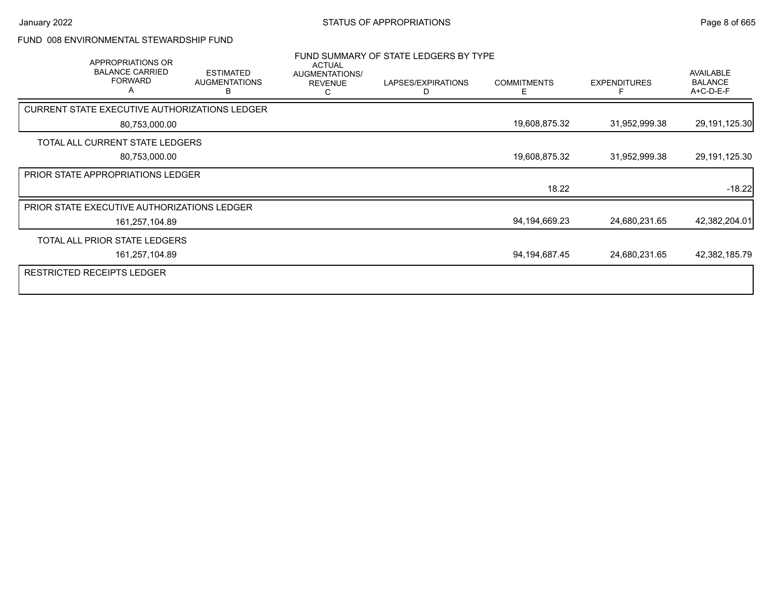### FUND 008 ENVIRONMENTAL STEWARDSHIP FUND

| APPROPRIATIONS OR<br><b>BALANCE CARRIED</b><br><b>FORWARD</b><br>Α | <b>ESTIMATED</b><br><b>AUGMENTATIONS</b><br>в | <b>ACTUAL</b><br>AUGMENTATIONS/<br><b>REVENUE</b> | FUND SUMMARY OF STATE LEDGERS BY TYPE<br>LAPSES/EXPIRATIONS<br>D | <b>COMMITMENTS</b><br>Е | <b>EXPENDITURES</b> | AVAILABLE<br><b>BALANCE</b><br>A+C-D-E-F |
|--------------------------------------------------------------------|-----------------------------------------------|---------------------------------------------------|------------------------------------------------------------------|-------------------------|---------------------|------------------------------------------|
| CURRENT STATE EXECUTIVE AUTHORIZATIONS LEDGER                      |                                               |                                                   |                                                                  |                         |                     |                                          |
| 80,753,000.00                                                      |                                               |                                                   |                                                                  | 19,608,875.32           | 31,952,999.38       | 29,191,125.30                            |
| TOTAL ALL CURRENT STATE LEDGERS                                    |                                               |                                                   |                                                                  |                         |                     |                                          |
| 80,753,000.00                                                      |                                               |                                                   |                                                                  | 19,608,875.32           | 31,952,999.38       | 29,191,125.30                            |
| PRIOR STATE APPROPRIATIONS LEDGER                                  |                                               |                                                   |                                                                  |                         |                     |                                          |
|                                                                    |                                               |                                                   |                                                                  | 18.22                   |                     | $-18.22$                                 |
| PRIOR STATE EXECUTIVE AUTHORIZATIONS LEDGER                        |                                               |                                                   |                                                                  |                         |                     |                                          |
| 161,257,104.89                                                     |                                               |                                                   |                                                                  | 94,194,669.23           | 24,680,231.65       | 42,382,204.01                            |
| TOTAL ALL PRIOR STATE LEDGERS                                      |                                               |                                                   |                                                                  |                         |                     |                                          |
| 161,257,104.89                                                     |                                               |                                                   |                                                                  | 94,194,687.45           | 24,680,231.65       | 42,382,185.79                            |
| <b>RESTRICTED RECEIPTS LEDGER</b>                                  |                                               |                                                   |                                                                  |                         |                     |                                          |
|                                                                    |                                               |                                                   |                                                                  |                         |                     |                                          |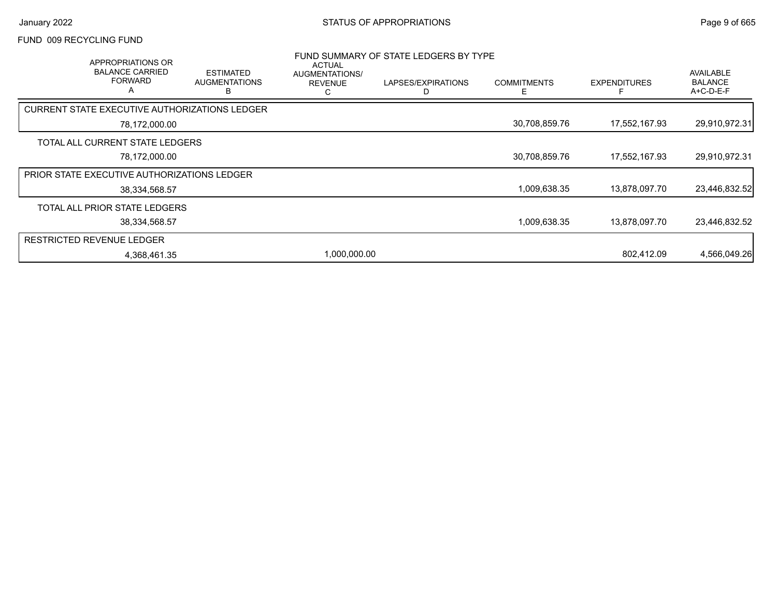#### FUND 009 RECYCLING FUND

|                                  | APPROPRIATIONS OR<br><b>BALANCE CARRIED</b><br><b>FORWARD</b><br>A | <b>ESTIMATED</b><br><b>AUGMENTATIONS</b><br>в | ACTUAL<br>AUGMENTATIONS/<br><b>REVENUE</b><br>С | FUND SUMMARY OF STATE LEDGERS BY TYPE<br>LAPSES/EXPIRATIONS | <b>COMMITMENTS</b><br>⊢ | <b>EXPENDITURES</b> | <b>AVAILABLE</b><br><b>BALANCE</b><br>A+C-D-E-F |
|----------------------------------|--------------------------------------------------------------------|-----------------------------------------------|-------------------------------------------------|-------------------------------------------------------------|-------------------------|---------------------|-------------------------------------------------|
|                                  |                                                                    | CURRENT STATE EXECUTIVE AUTHORIZATIONS LEDGER |                                                 |                                                             |                         |                     |                                                 |
|                                  | 78,172,000.00                                                      |                                               |                                                 |                                                             | 30,708,859.76           | 17,552,167.93       | 29,910,972.31                                   |
|                                  | TOTAL ALL CURRENT STATE LEDGERS                                    |                                               |                                                 |                                                             |                         |                     |                                                 |
|                                  | 78,172,000.00                                                      |                                               |                                                 |                                                             | 30,708,859.76           | 17,552,167.93       | 29,910,972.31                                   |
|                                  | <b>PRIOR STATE EXECUTIVE AUTHORIZATIONS LEDGER</b>                 |                                               |                                                 |                                                             |                         |                     |                                                 |
|                                  | 38,334,568.57                                                      |                                               |                                                 |                                                             | 1,009,638.35            | 13,878,097.70       | 23,446,832.52                                   |
|                                  | TOTAL ALL PRIOR STATE LEDGERS                                      |                                               |                                                 |                                                             |                         |                     |                                                 |
|                                  | 38,334,568.57                                                      |                                               |                                                 |                                                             | 1,009,638.35            | 13,878,097.70       | 23,446,832.52                                   |
| <b>RESTRICTED REVENUE LEDGER</b> |                                                                    |                                               |                                                 |                                                             |                         |                     |                                                 |
|                                  | 4,368,461.35                                                       |                                               | 1,000,000.00                                    |                                                             |                         | 802.412.09          | 4,566,049.26                                    |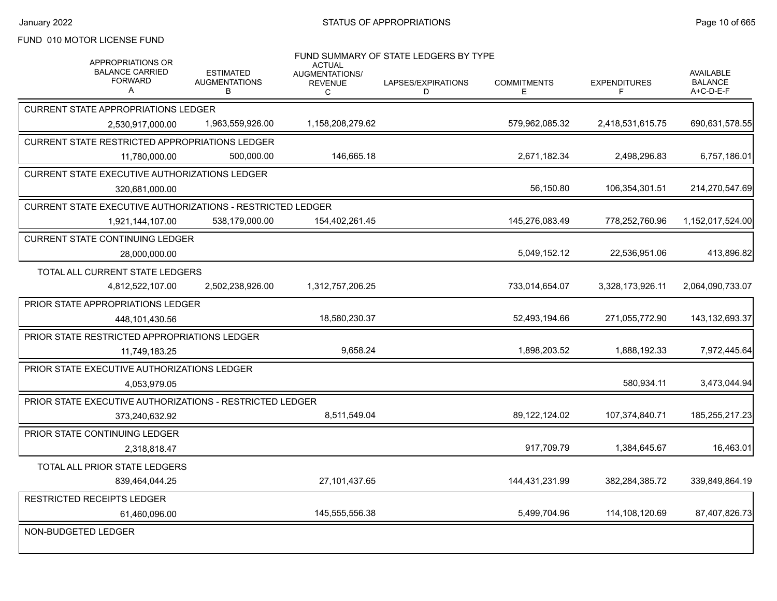### FUND 010 MOTOR LICENSE FUND

| APPROPRIATIONS OR<br><b>BALANCE CARRIED</b><br><b>FORWARD</b><br>A | <b>ESTIMATED</b><br><b>AUGMENTATIONS</b><br>В | <b>ACTUAL</b><br>AUGMENTATIONS/<br><b>REVENUE</b><br>C | FUND SUMMARY OF STATE LEDGERS BY TYPE<br>LAPSES/EXPIRATIONS<br>D | <b>COMMITMENTS</b><br>E. | <b>EXPENDITURES</b><br>F | <b>AVAILABLE</b><br><b>BALANCE</b><br>A+C-D-E-F |
|--------------------------------------------------------------------|-----------------------------------------------|--------------------------------------------------------|------------------------------------------------------------------|--------------------------|--------------------------|-------------------------------------------------|
| <b>CURRENT STATE APPROPRIATIONS LEDGER</b>                         |                                               |                                                        |                                                                  |                          |                          |                                                 |
| 2.530.917.000.00                                                   | 1,963,559,926.00                              | 1,158,208,279.62                                       |                                                                  | 579,962,085.32           | 2,418,531,615.75         | 690,631,578.55                                  |
| CURRENT STATE RESTRICTED APPROPRIATIONS LEDGER                     |                                               |                                                        |                                                                  |                          |                          |                                                 |
| 11,780,000.00                                                      | 500.000.00                                    | 146,665.18                                             |                                                                  | 2,671,182.34             | 2,498,296.83             | 6,757,186.01                                    |
| <b>CURRENT STATE EXECUTIVE AUTHORIZATIONS LEDGER</b>               |                                               |                                                        |                                                                  |                          |                          |                                                 |
| 320,681,000.00                                                     |                                               |                                                        |                                                                  | 56,150.80                | 106,354,301.51           | 214,270,547.69                                  |
| CURRENT STATE EXECUTIVE AUTHORIZATIONS - RESTRICTED LEDGER         |                                               |                                                        |                                                                  |                          |                          |                                                 |
| 1,921,144,107.00                                                   | 538,179,000.00                                | 154,402,261.45                                         |                                                                  | 145,276,083.49           | 778,252,760.96           | 1,152,017,524.00                                |
| <b>CURRENT STATE CONTINUING LEDGER</b>                             |                                               |                                                        |                                                                  |                          |                          |                                                 |
| 28,000,000.00                                                      |                                               |                                                        |                                                                  | 5,049,152.12             | 22,536,951.06            | 413,896.82                                      |
| TOTAL ALL CURRENT STATE LEDGERS                                    |                                               |                                                        |                                                                  |                          |                          |                                                 |
| 4,812,522,107.00                                                   | 2,502,238,926.00                              | 1,312,757,206.25                                       |                                                                  | 733,014,654.07           | 3,328,173,926.11         | 2,064,090,733.07                                |
| PRIOR STATE APPROPRIATIONS LEDGER                                  |                                               |                                                        |                                                                  |                          |                          |                                                 |
| 448,101,430.56                                                     |                                               | 18.580.230.37                                          |                                                                  | 52.493.194.66            | 271,055,772.90           | 143,132,693.37                                  |
| PRIOR STATE RESTRICTED APPROPRIATIONS LEDGER                       |                                               |                                                        |                                                                  |                          |                          |                                                 |
| 11,749,183.25                                                      |                                               | 9,658.24                                               |                                                                  | 1,898,203.52             | 1,888,192.33             | 7,972,445.64                                    |
| PRIOR STATE EXECUTIVE AUTHORIZATIONS LEDGER                        |                                               |                                                        |                                                                  |                          |                          |                                                 |
| 4,053,979.05                                                       |                                               |                                                        |                                                                  |                          | 580,934.11               | 3,473,044.94                                    |
| PRIOR STATE EXECUTIVE AUTHORIZATIONS - RESTRICTED LEDGER           |                                               |                                                        |                                                                  |                          |                          |                                                 |
| 373,240,632.92                                                     |                                               | 8,511,549.04                                           |                                                                  | 89, 122, 124.02          | 107,374,840.71           | 185,255,217.23                                  |
| PRIOR STATE CONTINUING LEDGER                                      |                                               |                                                        |                                                                  |                          |                          |                                                 |
| 2,318,818.47                                                       |                                               |                                                        |                                                                  | 917,709.79               | 1,384,645.67             | 16,463.01                                       |
| TOTAL ALL PRIOR STATE LEDGERS                                      |                                               |                                                        |                                                                  |                          |                          |                                                 |
| 839,464,044.25                                                     |                                               | 27,101,437.65                                          |                                                                  | 144,431,231.99           | 382,284,385.72           | 339,849,864.19                                  |
| <b>RESTRICTED RECEIPTS LEDGER</b>                                  |                                               |                                                        |                                                                  |                          |                          |                                                 |
| 61,460,096.00                                                      |                                               | 145,555,556.38                                         |                                                                  | 5,499,704.96             | 114,108,120.69           | 87,407,826.73                                   |
| NON-BUDGETED LEDGER                                                |                                               |                                                        |                                                                  |                          |                          |                                                 |
|                                                                    |                                               |                                                        |                                                                  |                          |                          |                                                 |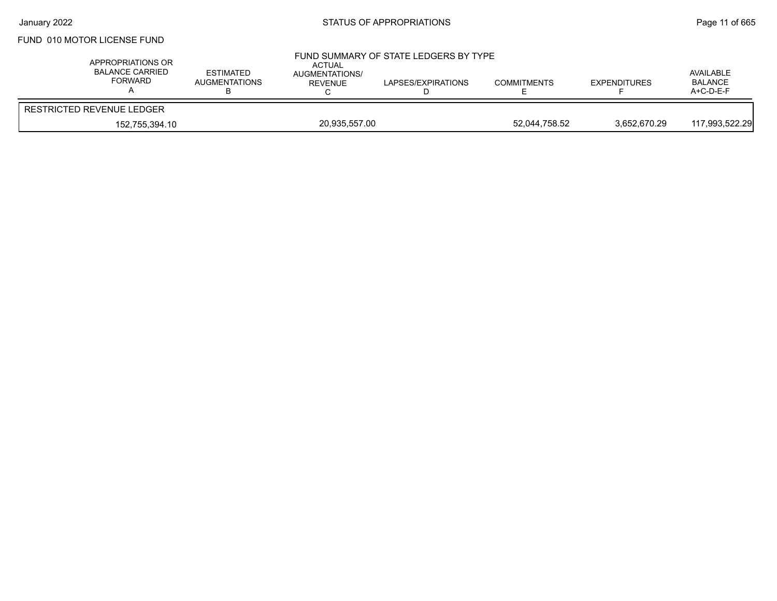### FUND 010 MOTOR LICENSE FUND

| APPROPRIATIONS OR<br><b>BALANCE CARRIED</b><br>FORWARD | <b>ESTIMATED</b><br><b>AUGMENTATIONS</b> | ACTUAL<br>AUGMENTATIONS/<br>REVENUE | FUND SUMMARY OF STATE LEDGERS BY TYPE<br>LAPSES/EXPIRATIONS | <b>COMMITMENTS</b> | <b>EXPENDITURES</b> | AVAILABLE<br><b>BALANCE</b><br>$A+C-D-E-F$ |
|--------------------------------------------------------|------------------------------------------|-------------------------------------|-------------------------------------------------------------|--------------------|---------------------|--------------------------------------------|
| RESTRICTED REVENUE LEDGER                              |                                          |                                     |                                                             |                    |                     |                                            |
| 152,755,394.10                                         |                                          | 20,935,557.00                       |                                                             | 52.044.758.52      | 3,652,670.29        | 117.993.522.29                             |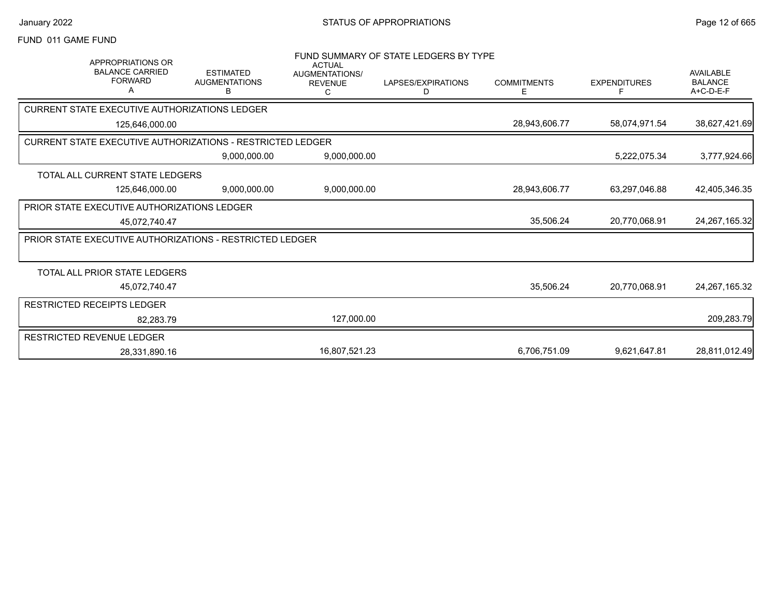#### FUND 011 GAME FUND

| <b>APPROPRIATIONS OR</b>                                          |                                               | <b>ACTUAL</b>                                | FUND SUMMARY OF STATE LEDGERS BY TYPE |                         |                     |                                                 |
|-------------------------------------------------------------------|-----------------------------------------------|----------------------------------------------|---------------------------------------|-------------------------|---------------------|-------------------------------------------------|
| <b>BALANCE CARRIED</b><br><b>FORWARD</b><br>Α                     | <b>ESTIMATED</b><br><b>AUGMENTATIONS</b><br>В | <b>AUGMENTATIONS/</b><br><b>REVENUE</b><br>C | LAPSES/EXPIRATIONS<br>D               | <b>COMMITMENTS</b><br>Ε | <b>EXPENDITURES</b> | <b>AVAILABLE</b><br><b>BALANCE</b><br>A+C-D-E-F |
| <b>CURRENT STATE EXECUTIVE AUTHORIZATIONS LEDGER</b>              |                                               |                                              |                                       |                         |                     |                                                 |
| 125,646,000.00                                                    |                                               |                                              |                                       | 28,943,606.77           | 58,074,971.54       | 38,627,421.69                                   |
| <b>CURRENT STATE EXECUTIVE AUTHORIZATIONS - RESTRICTED LEDGER</b> |                                               |                                              |                                       |                         |                     |                                                 |
|                                                                   | 9,000,000.00                                  | 9,000,000.00                                 |                                       |                         | 5,222,075.34        | 3,777,924.66                                    |
| TOTAL ALL CURRENT STATE LEDGERS                                   |                                               |                                              |                                       |                         |                     |                                                 |
| 125,646,000.00                                                    | 9,000,000.00                                  | 9,000,000.00                                 |                                       | 28,943,606.77           | 63,297,046.88       | 42,405,346.35                                   |
| <b>PRIOR STATE EXECUTIVE AUTHORIZATIONS LEDGER</b>                |                                               |                                              |                                       |                         |                     |                                                 |
| 45,072,740.47                                                     |                                               |                                              |                                       | 35,506.24               | 20,770,068.91       | 24,267,165.32                                   |
| PRIOR STATE EXECUTIVE AUTHORIZATIONS - RESTRICTED LEDGER          |                                               |                                              |                                       |                         |                     |                                                 |
|                                                                   |                                               |                                              |                                       |                         |                     |                                                 |
| TOTAL ALL PRIOR STATE LEDGERS                                     |                                               |                                              |                                       |                         |                     |                                                 |
| 45,072,740.47                                                     |                                               |                                              |                                       | 35,506.24               | 20,770,068.91       | 24,267,165.32                                   |
| RESTRICTED RECEIPTS LEDGER                                        |                                               |                                              |                                       |                         |                     |                                                 |
| 82.283.79                                                         |                                               | 127,000.00                                   |                                       |                         |                     | 209,283.79                                      |
| <b>RESTRICTED REVENUE LEDGER</b>                                  |                                               |                                              |                                       |                         |                     |                                                 |
| 28,331,890.16                                                     |                                               | 16,807,521.23                                |                                       | 6,706,751.09            | 9,621,647.81        | 28,811,012.49                                   |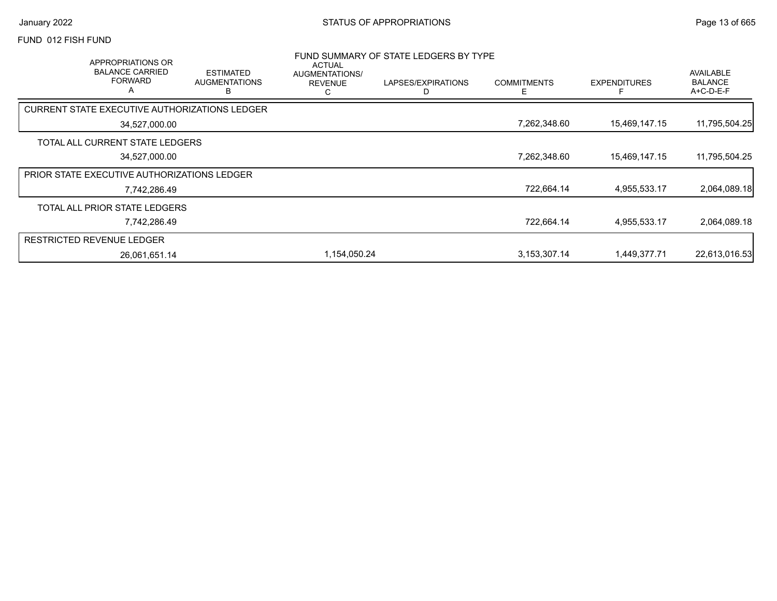#### FUND 012 FISH FUND

| APPROPRIATIONS OR<br><b>BALANCE CARRIED</b><br><b>FORWARD</b><br>$\overline{A}$ |               | <b>ESTIMATED</b><br><b>AUGMENTATIONS</b><br>B | <b>ACTUAL</b><br>AUGMENTATIONS/<br><b>REVENUE</b><br>C | FUND SUMMARY OF STATE LEDGERS BY TYPE<br>LAPSES/EXPIRATIONS | <b>COMMITMENTS</b><br>E | <b>EXPENDITURES</b> | AVAILABLE<br><b>BALANCE</b><br>$A+C-D-E-F$ |
|---------------------------------------------------------------------------------|---------------|-----------------------------------------------|--------------------------------------------------------|-------------------------------------------------------------|-------------------------|---------------------|--------------------------------------------|
| CURRENT STATE EXECUTIVE AUTHORIZATIONS LEDGER                                   |               |                                               |                                                        |                                                             |                         |                     |                                            |
|                                                                                 | 34,527,000.00 |                                               |                                                        |                                                             | 7,262,348.60            | 15,469,147.15       | 11,795,504.25                              |
| TOTAL ALL CURRENT STATE LEDGERS                                                 |               |                                               |                                                        |                                                             |                         |                     |                                            |
|                                                                                 | 34,527,000.00 |                                               |                                                        |                                                             | 7,262,348.60            | 15,469,147.15       | 11,795,504.25                              |
| PRIOR STATE EXECUTIVE AUTHORIZATIONS LEDGER                                     |               |                                               |                                                        |                                                             |                         |                     |                                            |
|                                                                                 | 7,742,286.49  |                                               |                                                        |                                                             | 722,664.14              | 4,955,533.17        | 2,064,089.18                               |
| TOTAL ALL PRIOR STATE LEDGERS                                                   |               |                                               |                                                        |                                                             |                         |                     |                                            |
|                                                                                 | 7,742,286.49  |                                               |                                                        |                                                             | 722,664.14              | 4,955,533.17        | 2,064,089.18                               |
| <b>RESTRICTED REVENUE LEDGER</b>                                                |               |                                               |                                                        |                                                             |                         |                     |                                            |
|                                                                                 | 26,061,651.14 |                                               | 1,154,050.24                                           |                                                             | 3,153,307.14            | 1,449,377.71        | 22,613,016.53                              |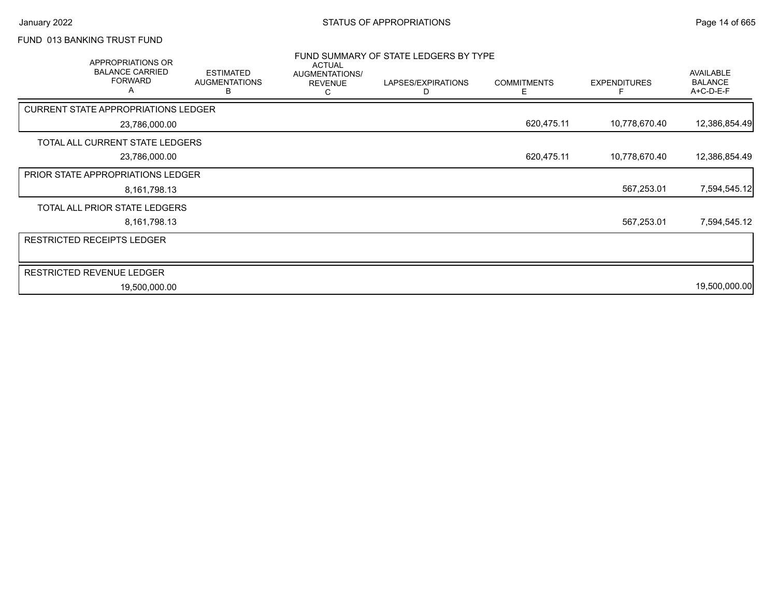# FUND 013 BANKING TRUST FUND

| APPROPRIATIONS OR<br><b>BALANCE CARRIED</b><br><b>FORWARD</b> | <b>ESTIMATED</b><br><b>AUGMENTATIONS</b><br>B | <b>ACTUAL</b><br>AUGMENTATIONS/<br><b>REVENUE</b><br>С | FUND SUMMARY OF STATE LEDGERS BY TYPE<br>LAPSES/EXPIRATIONS<br>D | <b>COMMITMENTS</b><br>Е | <b>EXPENDITURES</b> | AVAILABLE<br><b>BALANCE</b><br>A+C-D-E-F |
|---------------------------------------------------------------|-----------------------------------------------|--------------------------------------------------------|------------------------------------------------------------------|-------------------------|---------------------|------------------------------------------|
| <b>CURRENT STATE APPROPRIATIONS LEDGER</b>                    |                                               |                                                        |                                                                  |                         |                     |                                          |
| 23,786,000.00                                                 |                                               |                                                        |                                                                  | 620,475.11              | 10,778,670.40       | 12,386,854.49                            |
| TOTAL ALL CURRENT STATE LEDGERS                               |                                               |                                                        |                                                                  |                         |                     |                                          |
| 23,786,000.00                                                 |                                               |                                                        |                                                                  | 620,475.11              | 10,778,670.40       | 12,386,854.49                            |
| <b>PRIOR STATE APPROPRIATIONS LEDGER</b>                      |                                               |                                                        |                                                                  |                         |                     |                                          |
| 8,161,798.13                                                  |                                               |                                                        |                                                                  |                         | 567,253.01          | 7,594,545.12                             |
| TOTAL ALL PRIOR STATE LEDGERS                                 |                                               |                                                        |                                                                  |                         |                     |                                          |
| 8,161,798.13                                                  |                                               |                                                        |                                                                  |                         | 567,253.01          | 7,594,545.12                             |
| RESTRICTED RECEIPTS LEDGER                                    |                                               |                                                        |                                                                  |                         |                     |                                          |
| <b>RESTRICTED REVENUE LEDGER</b>                              |                                               |                                                        |                                                                  |                         |                     |                                          |
| 19,500,000.00                                                 |                                               |                                                        |                                                                  |                         |                     | 19,500,000.00                            |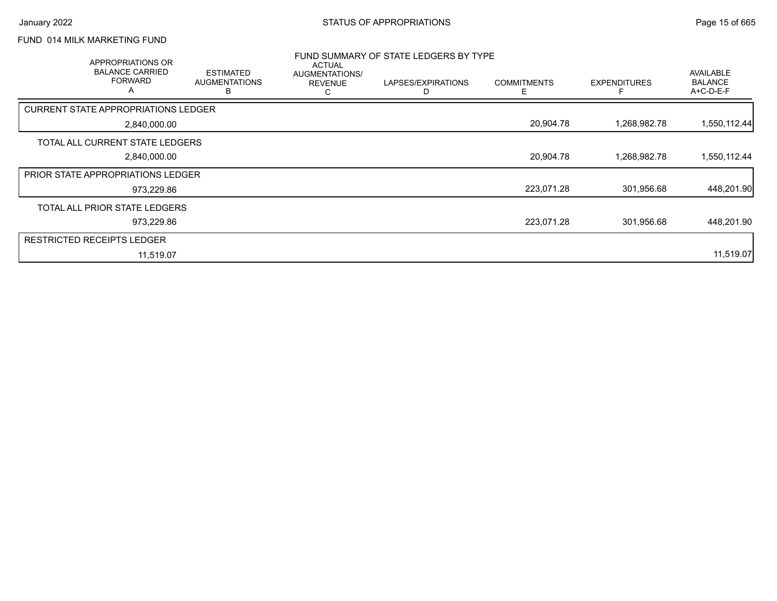### FUND 014 MILK MARKETING FUND

| APPROPRIATIONS OR<br><b>BALANCE CARRIED</b><br><b>FORWARD</b><br>A | <b>ESTIMATED</b><br><b>AUGMENTATIONS</b><br>в | ACTUAL<br>AUGMENTATIONS/<br><b>REVENUE</b><br>С | FUND SUMMARY OF STATE LEDGERS BY TYPE<br>LAPSES/EXPIRATIONS<br>D | <b>COMMITMENTS</b><br>Е | <b>EXPENDITURES</b> | <b>AVAILABLE</b><br><b>BALANCE</b><br>A+C-D-E-F |
|--------------------------------------------------------------------|-----------------------------------------------|-------------------------------------------------|------------------------------------------------------------------|-------------------------|---------------------|-------------------------------------------------|
| <b>CURRENT STATE APPROPRIATIONS LEDGER</b>                         |                                               |                                                 |                                                                  |                         |                     |                                                 |
| 2,840,000.00                                                       |                                               |                                                 |                                                                  | 20,904.78               | 1,268,982.78        | 1,550,112.44                                    |
| TOTAL ALL CURRENT STATE LEDGERS                                    |                                               |                                                 |                                                                  |                         |                     |                                                 |
| 2,840,000.00                                                       |                                               |                                                 |                                                                  | 20,904.78               | 1,268,982.78        | 1,550,112.44                                    |
| <b>PRIOR STATE APPROPRIATIONS LEDGER</b>                           |                                               |                                                 |                                                                  |                         |                     |                                                 |
| 973,229.86                                                         |                                               |                                                 |                                                                  | 223,071.28              | 301,956.68          | 448,201.90                                      |
| TOTAL ALL PRIOR STATE LEDGERS                                      |                                               |                                                 |                                                                  |                         |                     |                                                 |
| 973,229.86                                                         |                                               |                                                 |                                                                  | 223,071.28              | 301,956.68          | 448,201.90                                      |
| <b>RESTRICTED RECEIPTS LEDGER</b>                                  |                                               |                                                 |                                                                  |                         |                     |                                                 |
| 11,519.07                                                          |                                               |                                                 |                                                                  |                         |                     | 11,519.07                                       |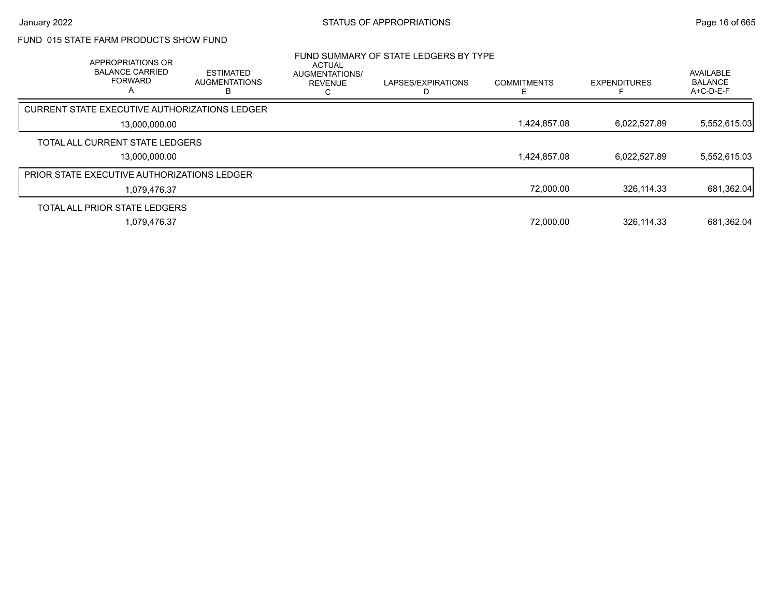# FUND 015 STATE FARM PRODUCTS SHOW FUND

| <b>APPROPRIATIONS OR</b><br><b>BALANCE CARRIED</b><br><b>FORWARD</b><br>А | <b>ESTIMATED</b><br><b>AUGMENTATIONS</b> | <b>ACTUAL</b><br><b>AUGMENTATIONS/</b><br><b>REVENUE</b> | FUND SUMMARY OF STATE LEDGERS BY TYPE<br>LAPSES/EXPIRATIONS | <b>COMMITMENTS</b> | <b>EXPENDITURES</b> | <b>AVAILABLE</b><br><b>BALANCE</b><br>$A+C-D-E-F$ |
|---------------------------------------------------------------------------|------------------------------------------|----------------------------------------------------------|-------------------------------------------------------------|--------------------|---------------------|---------------------------------------------------|
| <b>CURRENT STATE EXECUTIVE AUTHORIZATIONS LEDGER</b>                      |                                          |                                                          |                                                             |                    |                     |                                                   |
| 13.000.000.00                                                             |                                          |                                                          |                                                             | 1,424,857.08       | 6,022,527.89        | 5,552,615.03                                      |
| TOTAL ALL CURRENT STATE LEDGERS                                           |                                          |                                                          |                                                             |                    |                     |                                                   |
| 13.000.000.00                                                             |                                          |                                                          |                                                             | 1,424,857.08       | 6.022.527.89        | 5,552,615.03                                      |
| <b>PRIOR STATE EXECUTIVE AUTHORIZATIONS LEDGER</b>                        |                                          |                                                          |                                                             |                    |                     |                                                   |
| 1,079,476.37                                                              |                                          |                                                          |                                                             | 72,000.00          | 326.114.33          | 681,362.04                                        |
| TOTAL ALL PRIOR STATE LEDGERS                                             |                                          |                                                          |                                                             |                    |                     |                                                   |
| 1,079,476.37                                                              |                                          |                                                          |                                                             | 72,000.00          | 326,114.33          | 681,362.04                                        |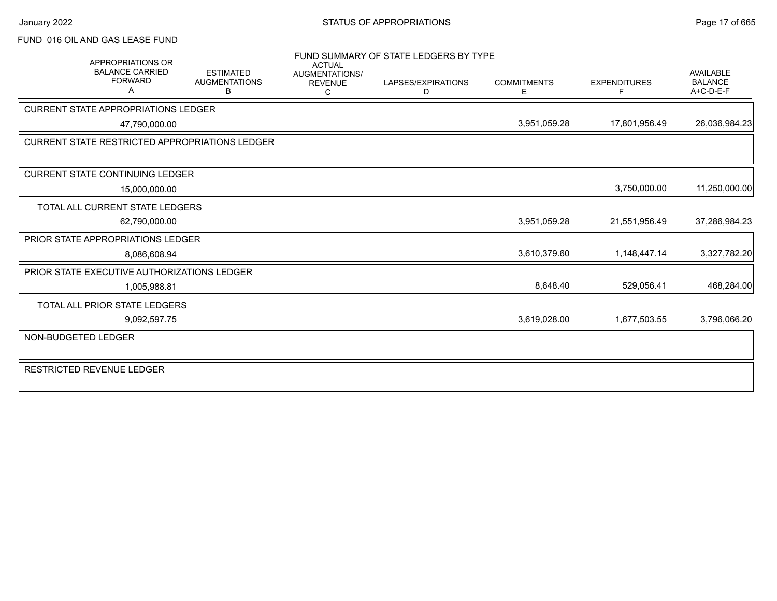#### FUND 016 OIL AND GAS LEASE FUND

|                                  | APPROPRIATIONS OR                                  |                                                       | <b>ACTUAL</b>                         | FUND SUMMARY OF STATE LEDGERS BY TYPE |                         |                          |                                                   |
|----------------------------------|----------------------------------------------------|-------------------------------------------------------|---------------------------------------|---------------------------------------|-------------------------|--------------------------|---------------------------------------------------|
|                                  | <b>BALANCE CARRIED</b><br><b>FORWARD</b><br>А      | <b>ESTIMATED</b><br><b>AUGMENTATIONS</b><br>B         | AUGMENTATIONS/<br><b>REVENUE</b><br>C | LAPSES/EXPIRATIONS<br>D               | <b>COMMITMENTS</b><br>Е | <b>EXPENDITURES</b><br>F | <b>AVAILABLE</b><br><b>BALANCE</b><br>$A+C-D-E-F$ |
|                                  | <b>CURRENT STATE APPROPRIATIONS LEDGER</b>         |                                                       |                                       |                                       |                         |                          |                                                   |
|                                  | 47,790,000.00                                      |                                                       |                                       |                                       | 3,951,059.28            | 17,801,956.49            | 26,036,984.23                                     |
|                                  |                                                    | <b>CURRENT STATE RESTRICTED APPROPRIATIONS LEDGER</b> |                                       |                                       |                         |                          |                                                   |
|                                  |                                                    |                                                       |                                       |                                       |                         |                          |                                                   |
|                                  | <b>CURRENT STATE CONTINUING LEDGER</b>             |                                                       |                                       |                                       |                         |                          |                                                   |
|                                  | 15,000,000.00                                      |                                                       |                                       |                                       |                         | 3,750,000.00             | 11,250,000.00                                     |
|                                  | TOTAL ALL CURRENT STATE LEDGERS                    |                                                       |                                       |                                       |                         |                          |                                                   |
|                                  | 62,790,000.00                                      |                                                       |                                       |                                       | 3,951,059.28            | 21,551,956.49            | 37,286,984.23                                     |
|                                  | PRIOR STATE APPROPRIATIONS LEDGER                  |                                                       |                                       |                                       |                         |                          |                                                   |
|                                  | 8,086,608.94                                       |                                                       |                                       |                                       | 3,610,379.60            | 1,148,447.14             | 3,327,782.20                                      |
|                                  | <b>PRIOR STATE EXECUTIVE AUTHORIZATIONS LEDGER</b> |                                                       |                                       |                                       |                         |                          |                                                   |
|                                  | 1.005.988.81                                       |                                                       |                                       |                                       | 8,648.40                | 529,056.41               | 468,284.00                                        |
|                                  | TOTAL ALL PRIOR STATE LEDGERS                      |                                                       |                                       |                                       |                         |                          |                                                   |
|                                  | 9,092,597.75                                       |                                                       |                                       |                                       | 3,619,028.00            | 1,677,503.55             | 3,796,066.20                                      |
| NON-BUDGETED LEDGER              |                                                    |                                                       |                                       |                                       |                         |                          |                                                   |
| <b>RESTRICTED REVENUE LEDGER</b> |                                                    |                                                       |                                       |                                       |                         |                          |                                                   |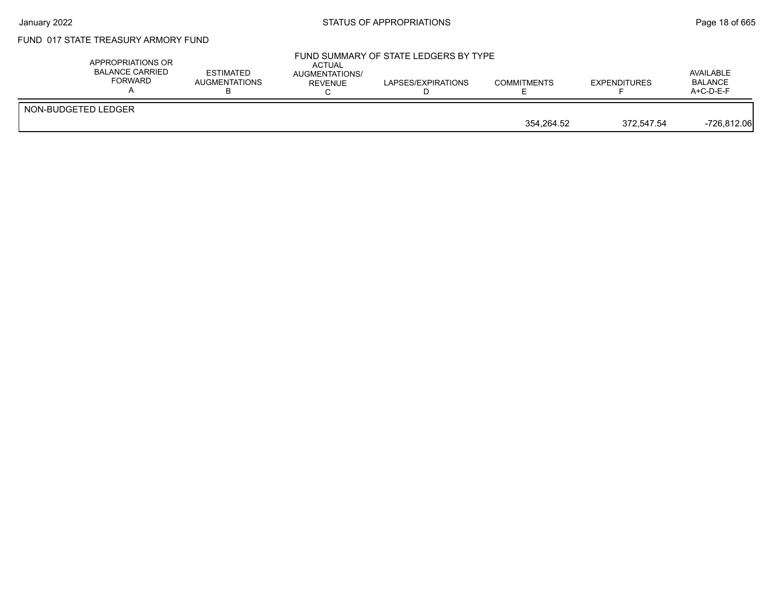### FUND 017 STATE TREASURY ARMORY FUND

| NON-BUDGETED LEDGER | APPROPRIATIONS OR<br>BALANCE CARRIED<br>FORWARD | <b>ESTIMATED</b><br>AUGMENTATIONS | <b>ACTUAL</b><br><b>AUGMENTATIONS/</b><br>REVENUE | FUND SUMMARY OF STATE LEDGERS BY TYPE<br>LAPSES/EXPIRATIONS | <b>COMMITMENTS</b> | <b>EXPENDITURES</b> | AVAILABLE<br><b>BALANCE</b><br>$A+C-D-E-F$ |
|---------------------|-------------------------------------------------|-----------------------------------|---------------------------------------------------|-------------------------------------------------------------|--------------------|---------------------|--------------------------------------------|
|                     |                                                 |                                   |                                                   |                                                             | 354.264.52         | 372.547.54          | $-726,812.06$                              |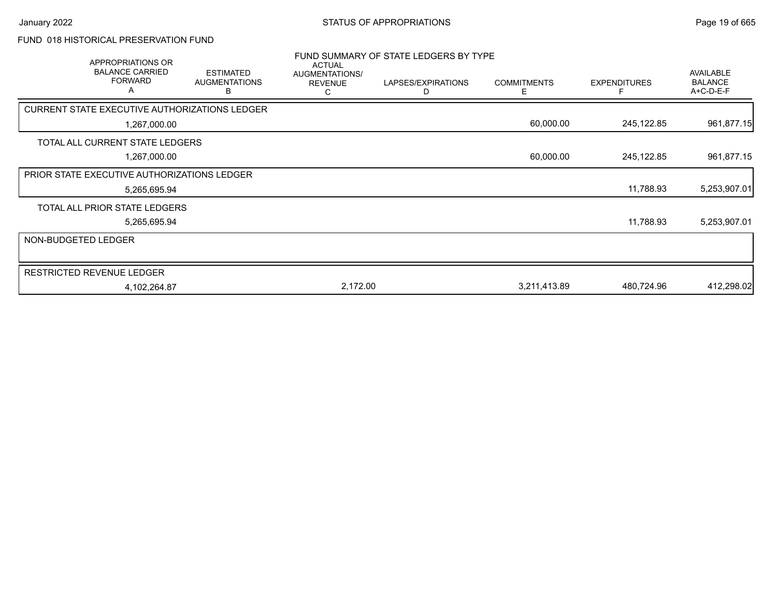# FUND 018 HISTORICAL PRESERVATION FUND

|                     | APPROPRIATIONS OR<br><b>BALANCE CARRIED</b><br><b>FORWARD</b><br>A | <b>ESTIMATED</b><br><b>AUGMENTATIONS</b><br>В | <b>ACTUAL</b><br>AUGMENTATIONS/<br><b>REVENUE</b><br>С | FUND SUMMARY OF STATE LEDGERS BY TYPE<br>LAPSES/EXPIRATIONS<br>D | <b>COMMITMENTS</b><br>E. | <b>EXPENDITURES</b> | <b>AVAILABLE</b><br><b>BALANCE</b><br>A+C-D-E-F |
|---------------------|--------------------------------------------------------------------|-----------------------------------------------|--------------------------------------------------------|------------------------------------------------------------------|--------------------------|---------------------|-------------------------------------------------|
|                     | CURRENT STATE EXECUTIVE AUTHORIZATIONS LEDGER                      |                                               |                                                        |                                                                  |                          |                     |                                                 |
|                     | 1,267,000.00                                                       |                                               |                                                        |                                                                  | 60,000.00                | 245,122.85          | 961,877.15                                      |
|                     | TOTAL ALL CURRENT STATE LEDGERS                                    |                                               |                                                        |                                                                  |                          |                     |                                                 |
|                     | 1,267,000.00                                                       |                                               |                                                        |                                                                  | 60,000.00                | 245,122.85          | 961,877.15                                      |
|                     | PRIOR STATE EXECUTIVE AUTHORIZATIONS LEDGER                        |                                               |                                                        |                                                                  |                          |                     |                                                 |
|                     | 5,265,695.94                                                       |                                               |                                                        |                                                                  |                          | 11,788.93           | 5,253,907.01                                    |
|                     | TOTAL ALL PRIOR STATE LEDGERS                                      |                                               |                                                        |                                                                  |                          |                     |                                                 |
|                     | 5,265,695.94                                                       |                                               |                                                        |                                                                  |                          | 11,788.93           | 5,253,907.01                                    |
| NON-BUDGETED LEDGER |                                                                    |                                               |                                                        |                                                                  |                          |                     |                                                 |
|                     |                                                                    |                                               |                                                        |                                                                  |                          |                     |                                                 |
|                     | <b>RESTRICTED REVENUE LEDGER</b>                                   |                                               |                                                        |                                                                  |                          |                     |                                                 |
|                     | 4,102,264.87                                                       |                                               | 2,172.00                                               |                                                                  | 3,211,413.89             | 480,724.96          | 412,298.02                                      |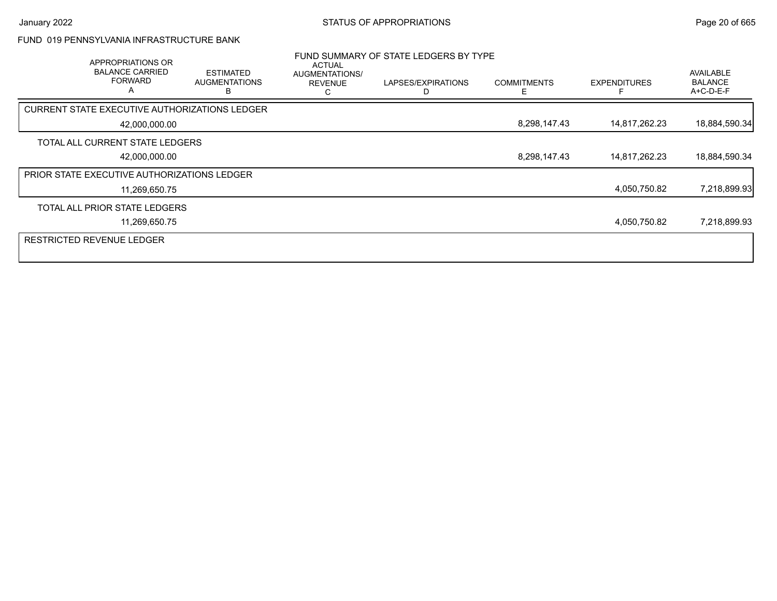#### FUND 019 PENNSYLVANIA INFRASTRUCTURE BANK

| APPROPRIATIONS OR<br><b>BALANCE CARRIED</b><br><b>FORWARD</b><br>A | <b>ESTIMATED</b><br><b>AUGMENTATIONS</b><br>в | ACTUAL<br>AUGMENTATIONS/<br><b>REVENUE</b> | FUND SUMMARY OF STATE LEDGERS BY TYPE<br>LAPSES/EXPIRATIONS | <b>COMMITMENTS</b><br>E | <b>EXPENDITURES</b> | AVAILABLE<br><b>BALANCE</b><br>A+C-D-E-F |
|--------------------------------------------------------------------|-----------------------------------------------|--------------------------------------------|-------------------------------------------------------------|-------------------------|---------------------|------------------------------------------|
| <b>CURRENT STATE EXECUTIVE AUTHORIZATIONS LEDGER</b>               |                                               |                                            |                                                             |                         |                     |                                          |
| 42,000,000.00                                                      |                                               |                                            |                                                             | 8,298,147.43            | 14,817,262.23       | 18,884,590.34                            |
| TOTAL ALL CURRENT STATE LEDGERS                                    |                                               |                                            |                                                             |                         |                     |                                          |
| 42,000,000.00                                                      |                                               |                                            |                                                             | 8,298,147.43            | 14,817,262.23       | 18,884,590.34                            |
| PRIOR STATE EXECUTIVE AUTHORIZATIONS LEDGER                        |                                               |                                            |                                                             |                         |                     |                                          |
| 11,269,650.75                                                      |                                               |                                            |                                                             |                         | 4,050,750.82        | 7,218,899.93                             |
| TOTAL ALL PRIOR STATE LEDGERS                                      |                                               |                                            |                                                             |                         |                     |                                          |
| 11,269,650.75                                                      |                                               |                                            |                                                             |                         | 4,050,750.82        | 7,218,899.93                             |
| <b>RESTRICTED REVENUE LEDGER</b>                                   |                                               |                                            |                                                             |                         |                     |                                          |
|                                                                    |                                               |                                            |                                                             |                         |                     |                                          |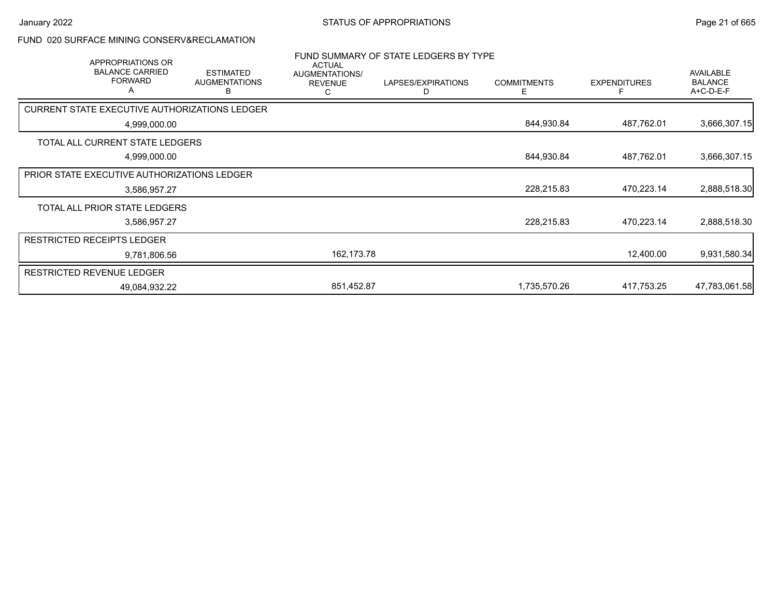# FUND 020 SURFACE MINING CONSERV&RECLAMATION

|                                                      | APPROPRIATIONS OR<br><b>BALANCE CARRIED</b><br><b>FORWARD</b><br>Α | <b>ESTIMATED</b><br><b>AUGMENTATIONS</b><br>в | <b>ACTUAL</b><br>AUGMENTATIONS/<br><b>REVENUE</b><br>С | FUND SUMMARY OF STATE LEDGERS BY TYPE<br>LAPSES/EXPIRATIONS<br>D | <b>COMMITMENTS</b><br>Е | <b>EXPENDITURES</b> | <b>AVAILABLE</b><br><b>BALANCE</b><br>A+C-D-E-F |
|------------------------------------------------------|--------------------------------------------------------------------|-----------------------------------------------|--------------------------------------------------------|------------------------------------------------------------------|-------------------------|---------------------|-------------------------------------------------|
| <b>CURRENT STATE EXECUTIVE AUTHORIZATIONS LEDGER</b> |                                                                    |                                               |                                                        |                                                                  |                         |                     |                                                 |
|                                                      | 4,999,000.00                                                       |                                               |                                                        |                                                                  | 844,930.84              | 487,762.01          | 3,666,307.15                                    |
| TOTAL ALL CURRENT STATE LEDGERS                      |                                                                    |                                               |                                                        |                                                                  |                         |                     |                                                 |
|                                                      | 4,999,000.00                                                       |                                               |                                                        |                                                                  | 844,930.84              | 487,762.01          | 3,666,307.15                                    |
| PRIOR STATE EXECUTIVE AUTHORIZATIONS LEDGER          |                                                                    |                                               |                                                        |                                                                  |                         |                     |                                                 |
|                                                      | 3,586,957.27                                                       |                                               |                                                        |                                                                  | 228,215.83              | 470,223.14          | 2,888,518.30                                    |
| TOTAL ALL PRIOR STATE LEDGERS                        |                                                                    |                                               |                                                        |                                                                  |                         |                     |                                                 |
|                                                      | 3,586,957.27                                                       |                                               |                                                        |                                                                  | 228,215.83              | 470,223.14          | 2,888,518.30                                    |
| <b>RESTRICTED RECEIPTS LEDGER</b>                    |                                                                    |                                               |                                                        |                                                                  |                         |                     |                                                 |
|                                                      | 9,781,806.56                                                       |                                               | 162,173.78                                             |                                                                  |                         | 12,400.00           | 9,931,580.34                                    |
| RESTRICTED REVENUE LEDGER                            |                                                                    |                                               |                                                        |                                                                  |                         |                     |                                                 |
|                                                      | 49,084,932.22                                                      |                                               | 851,452.87                                             |                                                                  | 1,735,570.26            | 417.753.25          | 47,783,061.58                                   |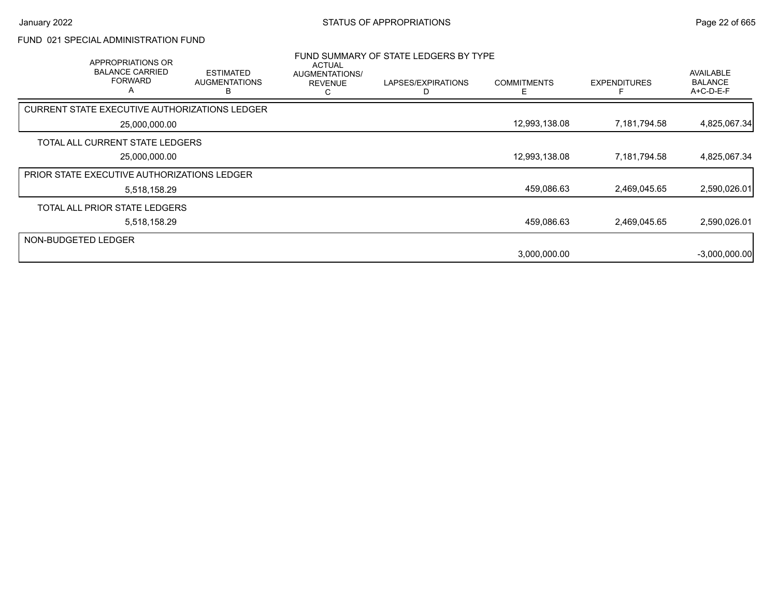# FUND 021 SPECIAL ADMINISTRATION FUND

|                     | APPROPRIATIONS OR<br><b>BALANCE CARRIED</b><br><b>FORWARD</b><br>A | <b>ESTIMATED</b><br><b>AUGMENTATIONS</b><br>в | ACTUAL<br>AUGMENTATIONS/<br><b>REVENUE</b><br>ι. | FUND SUMMARY OF STATE LEDGERS BY TYPE<br>LAPSES/EXPIRATIONS | <b>COMMITMENTS</b><br>F | <b>EXPENDITURES</b> | <b>AVAILABLE</b><br><b>BALANCE</b><br>A+C-D-E-F |
|---------------------|--------------------------------------------------------------------|-----------------------------------------------|--------------------------------------------------|-------------------------------------------------------------|-------------------------|---------------------|-------------------------------------------------|
|                     | CURRENT STATE EXECUTIVE AUTHORIZATIONS LEDGER                      |                                               |                                                  |                                                             |                         |                     |                                                 |
|                     | 25,000,000.00                                                      |                                               |                                                  |                                                             | 12,993,138.08           | 7,181,794.58        | 4,825,067.34                                    |
|                     | TOTAL ALL CURRENT STATE LEDGERS                                    |                                               |                                                  |                                                             |                         |                     |                                                 |
|                     | 25,000,000.00                                                      |                                               |                                                  |                                                             | 12,993,138.08           | 7,181,794.58        | 4,825,067.34                                    |
|                     | PRIOR STATE EXECUTIVE AUTHORIZATIONS LEDGER                        |                                               |                                                  |                                                             |                         |                     |                                                 |
|                     | 5,518,158.29                                                       |                                               |                                                  |                                                             | 459,086.63              | 2,469,045.65        | 2,590,026.01                                    |
|                     | TOTAL ALL PRIOR STATE LEDGERS                                      |                                               |                                                  |                                                             |                         |                     |                                                 |
|                     | 5,518,158.29                                                       |                                               |                                                  |                                                             | 459,086.63              | 2,469,045.65        | 2,590,026.01                                    |
| NON-BUDGETED LEDGER |                                                                    |                                               |                                                  |                                                             |                         |                     |                                                 |
|                     |                                                                    |                                               |                                                  |                                                             | 3,000,000.00            |                     | $-3,000,000.00$                                 |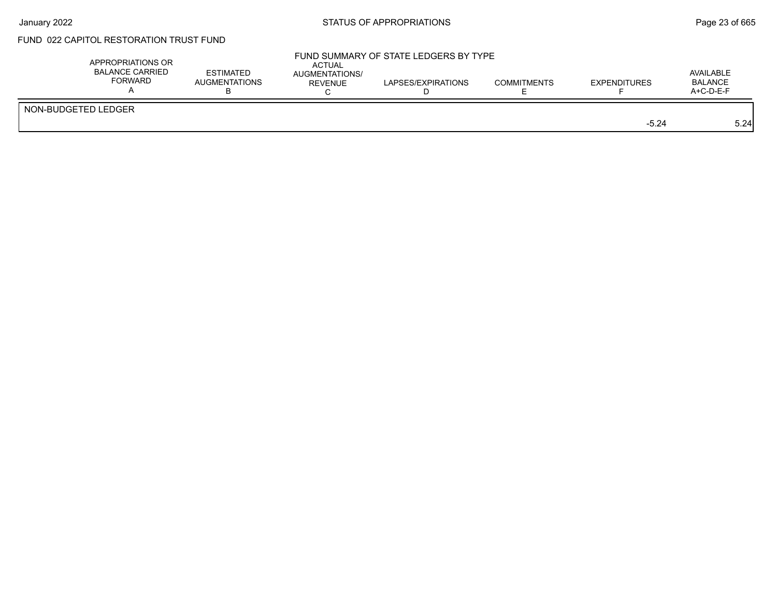### FUND 022 CAPITOL RESTORATION TRUST FUND

| APPROPRIATIONS OR<br><b>BALANCE CARRIED</b><br><b>FORWARD</b> | <b>ESTIMATED</b><br><b>AUGMENTATIONS</b> | ACTUAL<br><b>AUGMENTATIONS/</b><br>REVENUE | FUND SUMMARY OF STATE LEDGERS BY TYPE<br>LAPSES/EXPIRATIONS | <b>COMMITMENTS</b> | <b>EXPENDITURES</b> | AVAILABLE<br><b>BALANCE</b><br>A+C-D-E-F |
|---------------------------------------------------------------|------------------------------------------|--------------------------------------------|-------------------------------------------------------------|--------------------|---------------------|------------------------------------------|
| NON-BUDGETED LEDGER                                           |                                          |                                            |                                                             |                    | $-5.24$             | 5.24                                     |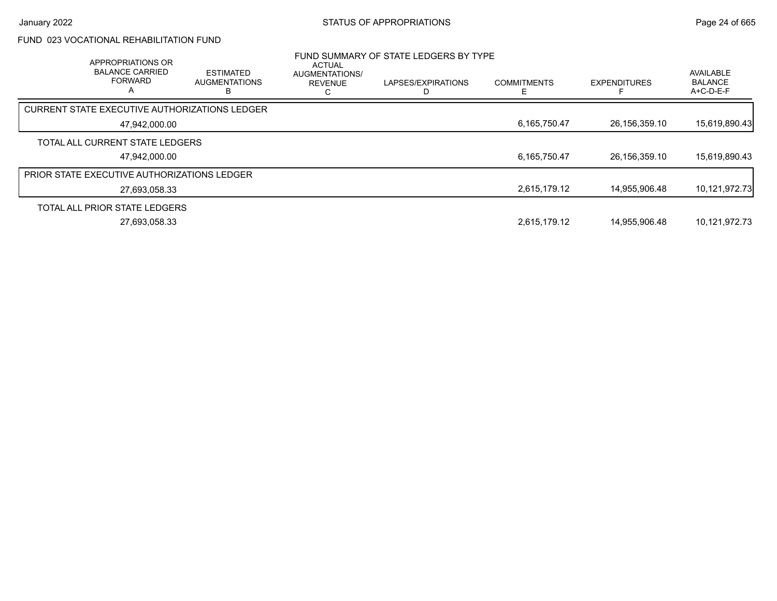### FUND 023 VOCATIONAL REHABILITATION FUND

| APPROPRIATIONS OR<br><b>BALANCE CARRIED</b><br><b>FORWARD</b><br>$\mathsf{A}$ | <b>ESTIMATED</b><br><b>AUGMENTATIONS</b> | ACTUAL<br>AUGMENTATIONS/<br><b>REVENUE</b><br>С | FUND SUMMARY OF STATE LEDGERS BY TYPE<br>LAPSES/EXPIRATIONS | <b>COMMITMENTS</b><br>E | <b>EXPENDITURES</b> | AVAILABLE<br><b>BALANCE</b><br>A+C-D-E-F |
|-------------------------------------------------------------------------------|------------------------------------------|-------------------------------------------------|-------------------------------------------------------------|-------------------------|---------------------|------------------------------------------|
| CURRENT STATE EXECUTIVE AUTHORIZATIONS LEDGER                                 |                                          |                                                 |                                                             |                         |                     |                                          |
| 47,942,000.00                                                                 |                                          |                                                 |                                                             | 6,165,750.47            | 26,156,359.10       | 15,619,890.43                            |
| TOTAL ALL CURRENT STATE LEDGERS                                               |                                          |                                                 |                                                             |                         |                     |                                          |
| 47,942,000.00                                                                 |                                          |                                                 |                                                             | 6,165,750.47            | 26,156,359.10       | 15,619,890.43                            |
| <b>PRIOR STATE EXECUTIVE AUTHORIZATIONS LEDGER</b>                            |                                          |                                                 |                                                             |                         |                     |                                          |
| 27,693,058.33                                                                 |                                          |                                                 |                                                             | 2,615,179.12            | 14,955,906.48       | 10,121,972.73                            |
| TOTAL ALL PRIOR STATE LEDGERS                                                 |                                          |                                                 |                                                             |                         |                     |                                          |
| 27.693.058.33                                                                 |                                          |                                                 |                                                             | 2,615,179.12            | 14.955.906.48       | 10.121.972.73                            |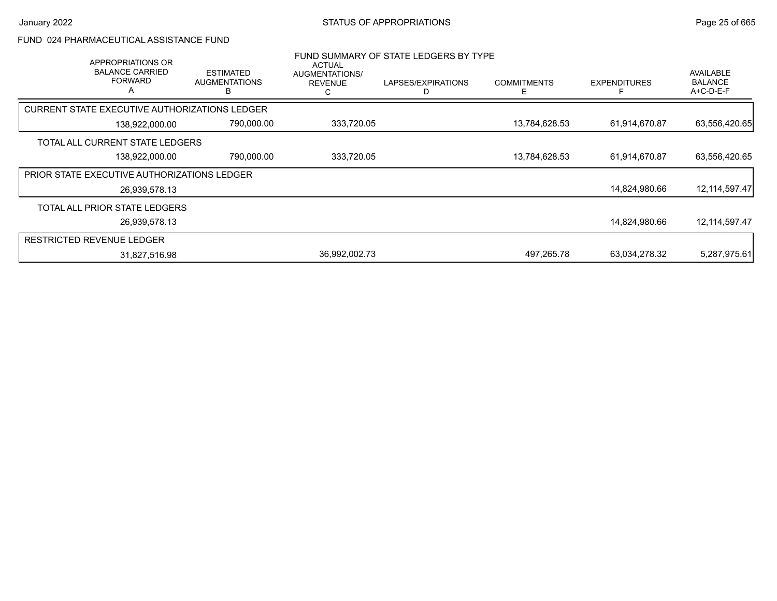#### FUND 024 PHARMACEUTICAL ASSISTANCE FUND

| APPROPRIATIONS OR<br><b>BALANCE CARRIED</b><br><b>FORWARD</b><br>A | <b>ESTIMATED</b><br><b>AUGMENTATIONS</b> | <b>ACTUAL</b><br>AUGMENTATIONS/<br><b>REVENUE</b><br>С | FUND SUMMARY OF STATE LEDGERS BY TYPE<br>LAPSES/EXPIRATIONS | <b>COMMITMENTS</b> | <b>EXPENDITURES</b> | AVAILABLE<br><b>BALANCE</b><br>$A+C-D-E-F$ |
|--------------------------------------------------------------------|------------------------------------------|--------------------------------------------------------|-------------------------------------------------------------|--------------------|---------------------|--------------------------------------------|
| CURRENT STATE EXECUTIVE AUTHORIZATIONS LEDGER                      |                                          |                                                        |                                                             |                    |                     |                                            |
| 138,922,000.00                                                     | 790,000.00                               | 333,720.05                                             |                                                             | 13,784,628.53      | 61,914,670.87       | 63,556,420.65                              |
| TOTAL ALL CURRENT STATE LEDGERS                                    |                                          |                                                        |                                                             |                    |                     |                                            |
| 138,922,000.00                                                     | 790,000.00                               | 333,720.05                                             |                                                             | 13,784,628.53      | 61,914,670.87       | 63,556,420.65                              |
| <b>PRIOR STATE EXECUTIVE AUTHORIZATIONS LEDGER</b>                 |                                          |                                                        |                                                             |                    |                     |                                            |
| 26,939,578.13                                                      |                                          |                                                        |                                                             |                    | 14,824,980.66       | 12, 114, 597. 47                           |
| TOTAL ALL PRIOR STATE LEDGERS                                      |                                          |                                                        |                                                             |                    |                     |                                            |
| 26,939,578.13                                                      |                                          |                                                        |                                                             |                    | 14,824,980.66       | 12,114,597.47                              |
| <b>RESTRICTED REVENUE LEDGER</b>                                   |                                          |                                                        |                                                             |                    |                     |                                            |
| 31,827,516.98                                                      |                                          | 36,992,002.73                                          |                                                             | 497.265.78         | 63,034,278.32       | 5,287,975.61                               |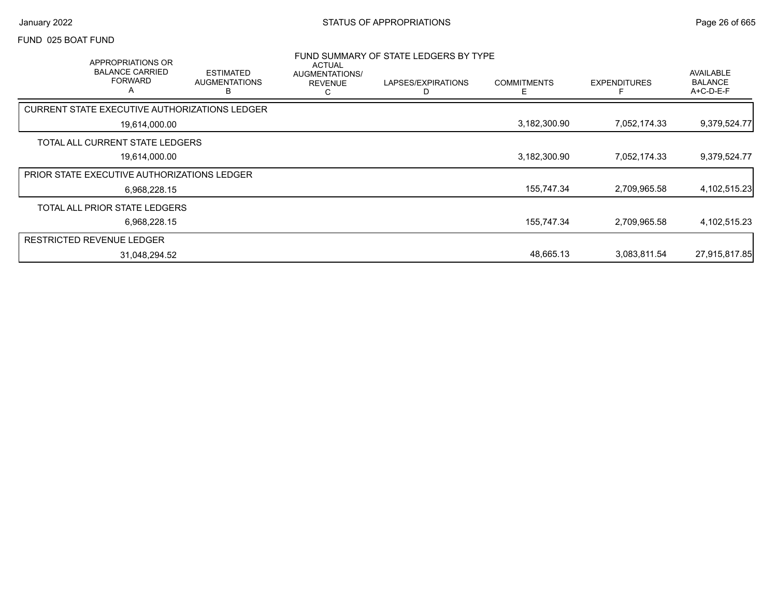#### FUND 025 BOAT FUND

|                                                    | APPROPRIATIONS OR<br><b>BALANCE CARRIED</b><br><b>FORWARD</b><br>$\overline{\mathsf{A}}$ | <b>ESTIMATED</b><br><b>AUGMENTATIONS</b><br>в | <b>ACTUAL</b><br>AUGMENTATIONS/<br><b>REVENUE</b><br>C | FUND SUMMARY OF STATE LEDGERS BY TYPE<br>LAPSES/EXPIRATIONS | <b>COMMITMENTS</b> | <b>EXPENDITURES</b> | AVAILABLE<br><b>BALANCE</b><br>$A+C-D-E-F$ |
|----------------------------------------------------|------------------------------------------------------------------------------------------|-----------------------------------------------|--------------------------------------------------------|-------------------------------------------------------------|--------------------|---------------------|--------------------------------------------|
| CURRENT STATE EXECUTIVE AUTHORIZATIONS LEDGER      |                                                                                          |                                               |                                                        |                                                             |                    |                     |                                            |
|                                                    | 19,614,000.00                                                                            |                                               |                                                        |                                                             | 3,182,300.90       | 7,052,174.33        | 9,379,524.77                               |
| TOTAL ALL CURRENT STATE LEDGERS                    |                                                                                          |                                               |                                                        |                                                             |                    |                     |                                            |
|                                                    | 19,614,000.00                                                                            |                                               |                                                        |                                                             | 3,182,300.90       | 7,052,174.33        | 9,379,524.77                               |
| <b>PRIOR STATE EXECUTIVE AUTHORIZATIONS LEDGER</b> |                                                                                          |                                               |                                                        |                                                             |                    |                     |                                            |
|                                                    | 6,968,228.15                                                                             |                                               |                                                        |                                                             | 155,747.34         | 2,709,965.58        | 4,102,515.23                               |
| TOTAL ALL PRIOR STATE LEDGERS                      |                                                                                          |                                               |                                                        |                                                             |                    |                     |                                            |
|                                                    | 6,968,228.15                                                                             |                                               |                                                        |                                                             | 155,747.34         | 2,709,965.58        | 4,102,515.23                               |
| <b>RESTRICTED REVENUE LEDGER</b>                   |                                                                                          |                                               |                                                        |                                                             |                    |                     |                                            |
|                                                    | 31,048,294.52                                                                            |                                               |                                                        |                                                             | 48,665.13          | 3,083,811.54        | 27,915,817.85                              |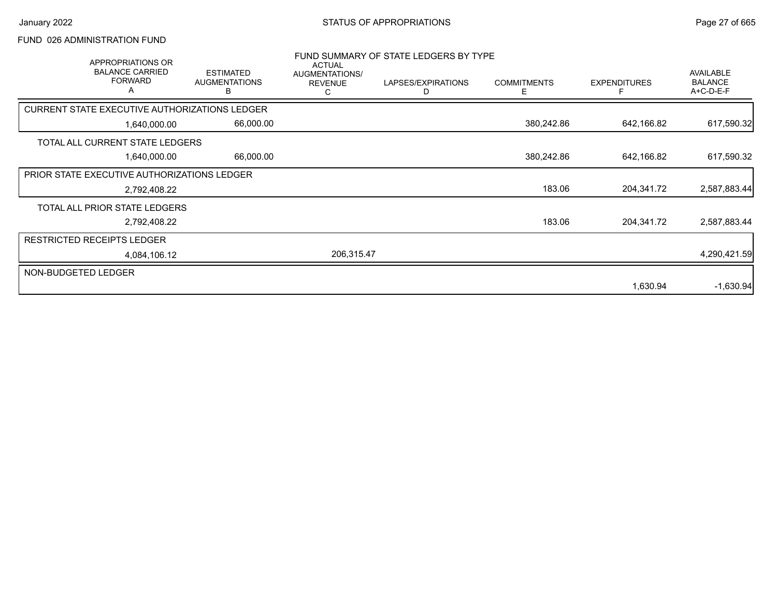# FUND 026 ADMINISTRATION FUND

| APPROPRIATIONS OR<br><b>BALANCE CARRIED</b><br><b>FORWARD</b><br>A | <b>ESTIMATED</b><br><b>AUGMENTATIONS</b><br>В | <b>ACTUAL</b><br>AUGMENTATIONS/<br><b>REVENUE</b><br>С | FUND SUMMARY OF STATE LEDGERS BY TYPE<br>LAPSES/EXPIRATIONS<br>D | <b>COMMITMENTS</b><br>E. | <b>EXPENDITURES</b> | <b>AVAILABLE</b><br><b>BALANCE</b><br>A+C-D-E-F |
|--------------------------------------------------------------------|-----------------------------------------------|--------------------------------------------------------|------------------------------------------------------------------|--------------------------|---------------------|-------------------------------------------------|
| <b>CURRENT STATE EXECUTIVE AUTHORIZATIONS LEDGER</b>               |                                               |                                                        |                                                                  |                          |                     |                                                 |
| 1,640,000.00                                                       | 66,000.00                                     |                                                        |                                                                  | 380,242.86               | 642,166.82          | 617,590.32                                      |
| TOTAL ALL CURRENT STATE LEDGERS                                    |                                               |                                                        |                                                                  |                          |                     |                                                 |
| 1,640,000.00                                                       | 66,000.00                                     |                                                        |                                                                  | 380,242.86               | 642,166.82          | 617,590.32                                      |
| PRIOR STATE EXECUTIVE AUTHORIZATIONS LEDGER                        |                                               |                                                        |                                                                  |                          |                     |                                                 |
| 2,792,408.22                                                       |                                               |                                                        |                                                                  | 183.06                   | 204,341.72          | 2,587,883.44                                    |
| TOTAL ALL PRIOR STATE LEDGERS                                      |                                               |                                                        |                                                                  |                          |                     |                                                 |
| 2,792,408.22                                                       |                                               |                                                        |                                                                  | 183.06                   | 204,341.72          | 2,587,883.44                                    |
| <b>RESTRICTED RECEIPTS LEDGER</b>                                  |                                               |                                                        |                                                                  |                          |                     |                                                 |
| 4,084,106.12                                                       |                                               | 206,315.47                                             |                                                                  |                          |                     | 4,290,421.59                                    |
| NON-BUDGETED LEDGER                                                |                                               |                                                        |                                                                  |                          |                     |                                                 |
|                                                                    |                                               |                                                        |                                                                  |                          | 1,630.94            | $-1,630.94$                                     |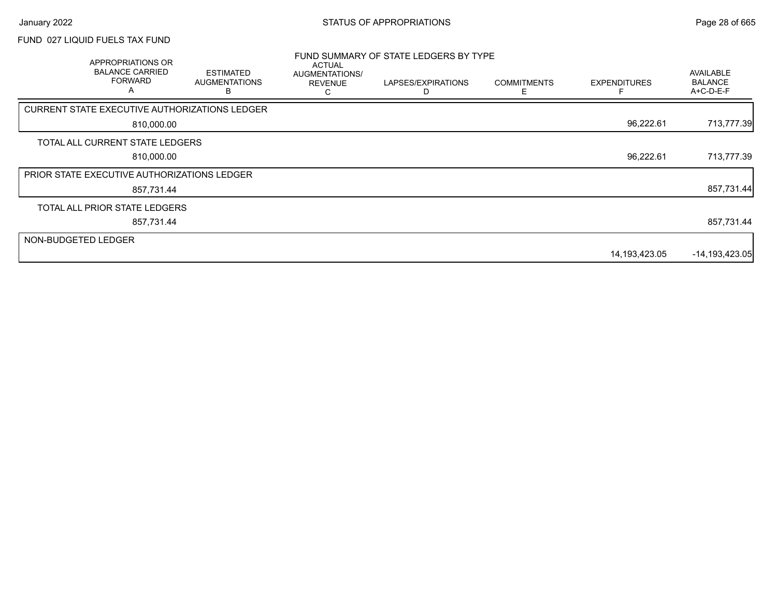### FUND 027 LIQUID FUELS TAX FUND

|                     | APPROPRIATIONS OR<br><b>BALANCE CARRIED</b><br><b>FORWARD</b><br>A | <b>ESTIMATED</b><br><b>AUGMENTATIONS</b><br>к | <b>ACTUAL</b><br>AUGMENTATIONS/<br><b>REVENUE</b> | FUND SUMMARY OF STATE LEDGERS BY TYPE<br>LAPSES/EXPIRATIONS | <b>COMMITMENTS</b> | <b>EXPENDITURES</b> | <b>AVAILABLE</b><br><b>BALANCE</b><br>A+C-D-E-F |
|---------------------|--------------------------------------------------------------------|-----------------------------------------------|---------------------------------------------------|-------------------------------------------------------------|--------------------|---------------------|-------------------------------------------------|
|                     | CURRENT STATE EXECUTIVE AUTHORIZATIONS LEDGER                      |                                               |                                                   |                                                             |                    |                     |                                                 |
|                     | 810,000.00                                                         |                                               |                                                   |                                                             |                    | 96,222.61           | 713,777.39                                      |
|                     | TOTAL ALL CURRENT STATE LEDGERS                                    |                                               |                                                   |                                                             |                    |                     |                                                 |
|                     | 810,000.00                                                         |                                               |                                                   |                                                             |                    | 96,222.61           | 713,777.39                                      |
|                     | <b>PRIOR STATE EXECUTIVE AUTHORIZATIONS LEDGER</b>                 |                                               |                                                   |                                                             |                    |                     |                                                 |
|                     | 857,731.44                                                         |                                               |                                                   |                                                             |                    |                     | 857,731.44                                      |
|                     | TOTAL ALL PRIOR STATE LEDGERS                                      |                                               |                                                   |                                                             |                    |                     |                                                 |
|                     | 857,731.44                                                         |                                               |                                                   |                                                             |                    |                     | 857,731.44                                      |
| NON-BUDGETED LEDGER |                                                                    |                                               |                                                   |                                                             |                    |                     |                                                 |
|                     |                                                                    |                                               |                                                   |                                                             |                    | 14,193,423.05       | $-14, 193, 423.05$                              |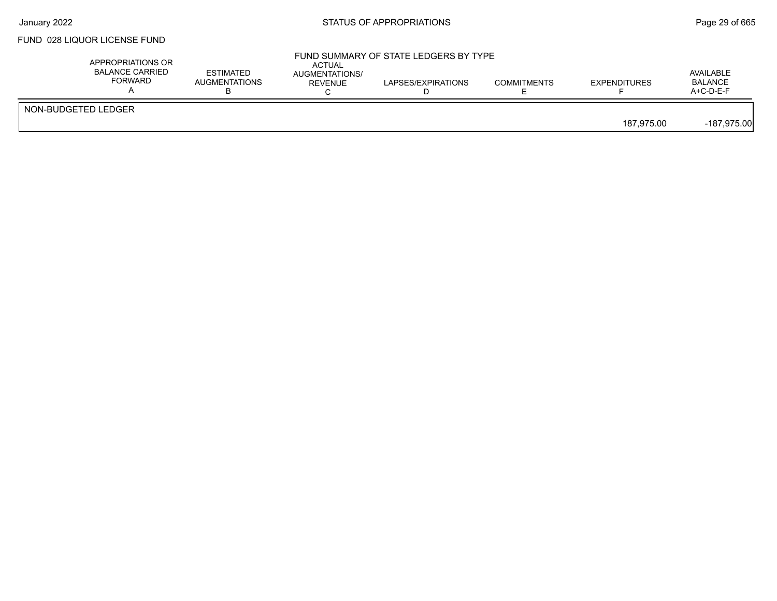### FUND 028 LIQUOR LICENSE FUND

|                     | APPROPRIATIONS OR<br><b>BALANCE CARRIED</b><br><b>FORWARD</b> | <b>ESTIMATED</b><br><b>AUGMENTATIONS</b> | ACTUAL<br>AUGMENTATIONS/<br>REVENUE | FUND SUMMARY OF STATE LEDGERS BY TYPE<br>LAPSES/EXPIRATIONS | <b>COMMITMENTS</b> | <b>EXPENDITURES</b> | AVAILABLE<br><b>BALANCE</b><br>$A+C-D-E-F$ |
|---------------------|---------------------------------------------------------------|------------------------------------------|-------------------------------------|-------------------------------------------------------------|--------------------|---------------------|--------------------------------------------|
| NON-BUDGETED LEDGER |                                                               |                                          |                                     |                                                             |                    | 187.975.00          | -187,975.00                                |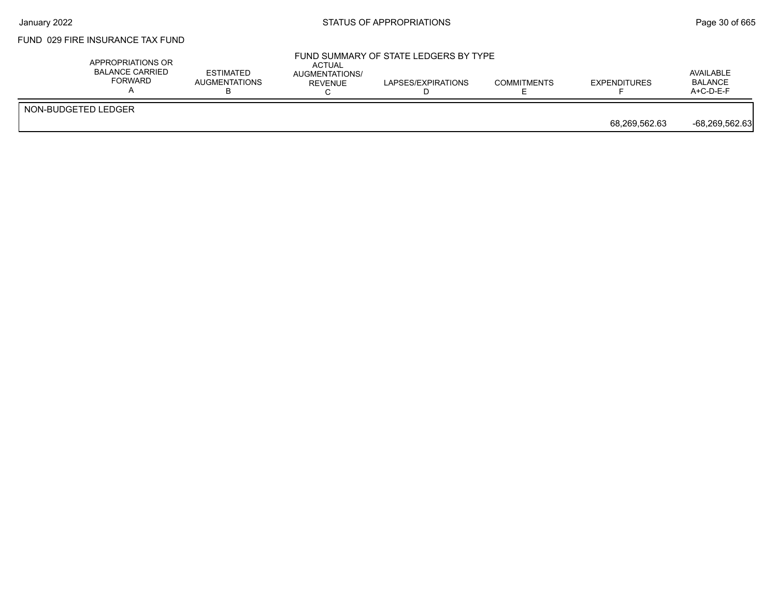# FUND 029 FIRE INSURANCE TAX FUND

| APPROPRIATIONS OR<br>BALANCE CARRIED<br><b>FORWARD</b> | <b>ESTIMATED</b><br><b>AUGMENTATIONS</b> | ACTUAL<br>AUGMENTATIONS/<br>REVENUE | FUND SUMMARY OF STATE LEDGERS BY TYPE<br>LAPSES/EXPIRATIONS | <b>COMMITMENTS</b> | <b>EXPENDITURES</b> | AVAILABLE<br><b>BALANCE</b><br>$A+C-D-E-F$ |
|--------------------------------------------------------|------------------------------------------|-------------------------------------|-------------------------------------------------------------|--------------------|---------------------|--------------------------------------------|
| NON-BUDGETED LEDGER                                    |                                          |                                     |                                                             |                    | 68,269,562.63       | -68,269,562.63                             |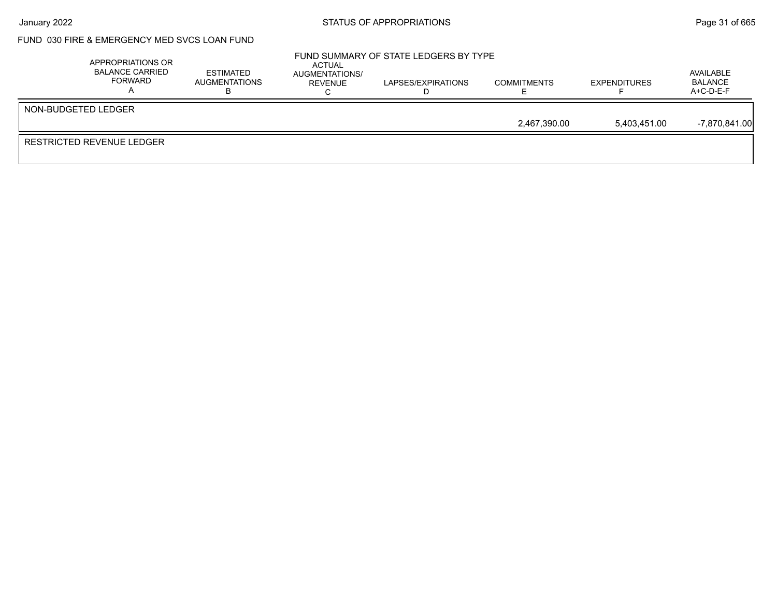### FUND 030 FIRE & EMERGENCY MED SVCS LOAN FUND

| APPROPRIATIONS OR<br><b>BALANCE CARRIED</b><br><b>FORWARD</b> | <b>ESTIMATED</b><br>AUGMENTATIONS | ACTUAL<br>AUGMENTATIONS/<br>REVENUE | FUND SUMMARY OF STATE LEDGERS BY TYPE<br>LAPSES/EXPIRATIONS | <b>COMMITMENTS</b> | <b>EXPENDITURES</b> | AVAILABLE<br><b>BALANCE</b><br>$A+C-D-E-F$ |
|---------------------------------------------------------------|-----------------------------------|-------------------------------------|-------------------------------------------------------------|--------------------|---------------------|--------------------------------------------|
| NON-BUDGETED LEDGER                                           |                                   |                                     |                                                             |                    |                     |                                            |
|                                                               |                                   |                                     |                                                             | 2,467,390.00       | 5.403.451.00        | $-7,870,841.00$                            |
| RESTRICTED REVENUE LEDGER                                     |                                   |                                     |                                                             |                    |                     |                                            |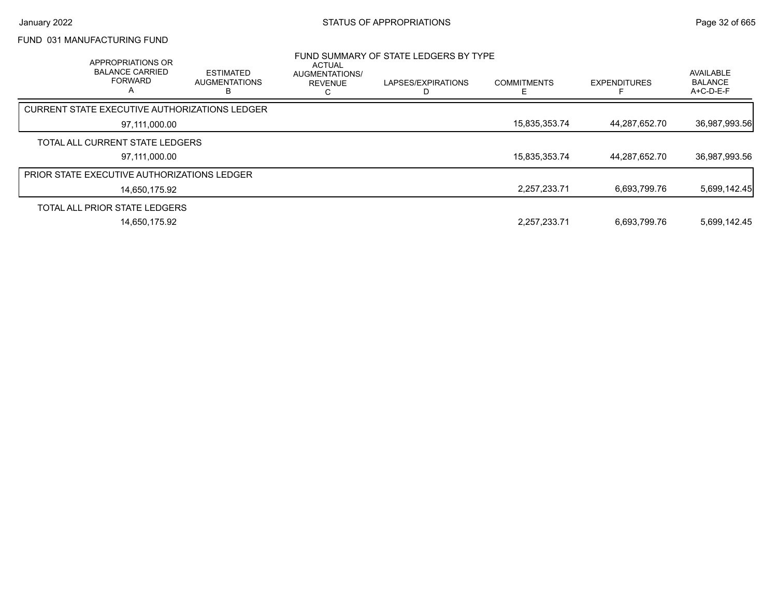### FUND 031 MANUFACTURING FUND

| APPROPRIATIONS OR<br><b>BALANCE CARRIED</b><br><b>FORWARD</b><br>A | <b>ESTIMATED</b><br><b>AUGMENTATIONS</b> | ACTUAL<br>AUGMENTATIONS/<br><b>REVENUE</b><br>Ō | FUND SUMMARY OF STATE LEDGERS BY TYPE<br>LAPSES/EXPIRATIONS | <b>COMMITMENTS</b><br>E | <b>EXPENDITURES</b> | AVAILABLE<br><b>BALANCE</b><br>A+C-D-E-F |
|--------------------------------------------------------------------|------------------------------------------|-------------------------------------------------|-------------------------------------------------------------|-------------------------|---------------------|------------------------------------------|
| <b>CURRENT STATE EXECUTIVE AUTHORIZATIONS LEDGER</b>               |                                          |                                                 |                                                             |                         |                     |                                          |
| 97,111,000.00                                                      |                                          |                                                 |                                                             | 15,835,353.74           | 44,287,652.70       | 36,987,993.56                            |
| TOTAL ALL CURRENT STATE LEDGERS                                    |                                          |                                                 |                                                             |                         |                     |                                          |
| 97.111.000.00                                                      |                                          |                                                 |                                                             | 15,835,353.74           | 44.287.652.70       | 36,987,993.56                            |
| <b>PRIOR STATE EXECUTIVE AUTHORIZATIONS LEDGER</b>                 |                                          |                                                 |                                                             |                         |                     |                                          |
| 14.650.175.92                                                      |                                          |                                                 |                                                             | 2,257,233.71            | 6,693,799.76        | 5,699,142.45                             |
| TOTAL ALL PRIOR STATE LEDGERS                                      |                                          |                                                 |                                                             |                         |                     |                                          |
| 14.650.175.92                                                      |                                          |                                                 |                                                             | 2,257,233.71            | 6.693.799.76        | 5.699.142.45                             |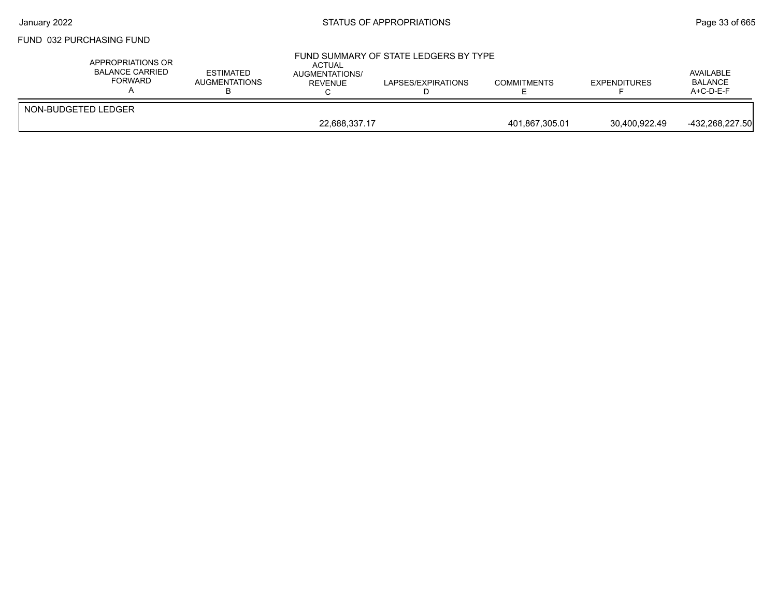#### FUND 032 PURCHASING FUND

| APPROPRIATIONS OR<br>BALANCE CARRIED<br>FORWARD | <b>ESTIMATED</b><br><b>AUGMENTATIONS</b> | ACTUAL<br><b>AUGMENTATIONS/</b><br>REVENUE | FUND SUMMARY OF STATE LEDGERS BY TYPE<br>LAPSES/EXPIRATIONS | <b>COMMITMENTS</b> | <b>EXPENDITURES</b> | AVAILABLE<br><b>BALANCE</b><br>$A+C-D-E-F$ |
|-------------------------------------------------|------------------------------------------|--------------------------------------------|-------------------------------------------------------------|--------------------|---------------------|--------------------------------------------|
| NON-BUDGETED LEDGER                             |                                          |                                            |                                                             |                    |                     |                                            |
|                                                 | 22,688,337.17                            |                                            |                                                             | 401,867,305.01     | 30.400.922.49       | -432.268.227.50                            |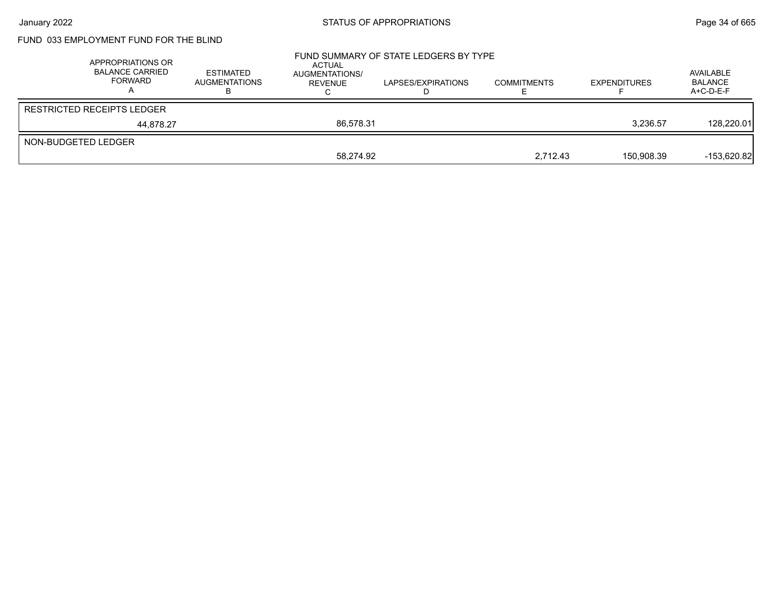# FUND 033 EMPLOYMENT FUND FOR THE BLIND

|                     | APPROPRIATIONS OR<br>BALANCE CARRIED<br>FORWARD | <b>ESTIMATED</b><br><b>AUGMENTATIONS</b> | ACTUAL<br>AUGMENTATIONS/<br>REVENUE | FUND SUMMARY OF STATE LEDGERS BY TYPE<br>LAPSES/EXPIRATIONS | <b>COMMITMENTS</b> | <b>EXPENDITURES</b> | AVAILABLE<br><b>BALANCE</b><br>$A+C-D-E-F$ |
|---------------------|-------------------------------------------------|------------------------------------------|-------------------------------------|-------------------------------------------------------------|--------------------|---------------------|--------------------------------------------|
|                     | <b>RESTRICTED RECEIPTS LEDGER</b>               |                                          |                                     |                                                             |                    |                     |                                            |
|                     | 44.878.27                                       |                                          | 86.578.31                           |                                                             |                    | 3,236.57            | 128,220.01                                 |
| NON-BUDGETED LEDGER |                                                 |                                          |                                     |                                                             |                    |                     |                                            |
|                     |                                                 |                                          | 58.274.92                           |                                                             | 2.712.43           | 150.908.39          | $-153,620.82$                              |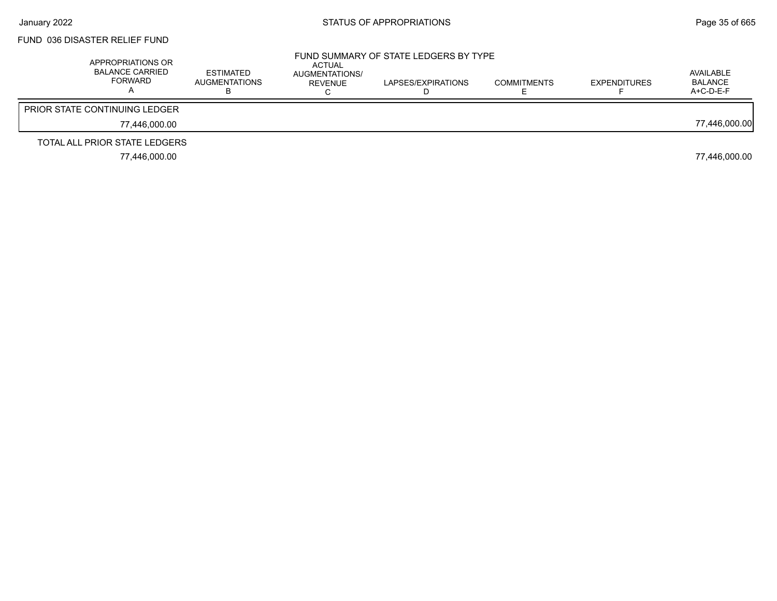### FUND 036 DISASTER RELIEF FUND

| APPROPRIATIONS OR<br><b>BALANCE CARRIED</b><br><b>FORWARD</b> | <b>ESTIMATED</b><br>AUGMENTATIONS | ACTUAL<br>AUGMENTATIONS/<br><b>REVENUE</b> | FUND SUMMARY OF STATE LEDGERS BY TYPE<br>LAPSES/EXPIRATIONS | <b>COMMITMENTS</b> | <b>EXPENDITURES</b> | AVAILABLE<br>BALANCE<br>$A+C-D-E-F$ |
|---------------------------------------------------------------|-----------------------------------|--------------------------------------------|-------------------------------------------------------------|--------------------|---------------------|-------------------------------------|
| <b>PRIOR STATE CONTINUING LEDGER</b>                          |                                   |                                            |                                                             |                    |                     |                                     |
| 77.446.000.00                                                 |                                   |                                            |                                                             |                    |                     | 77,446,000.00                       |
| TOTAL ALL PRIOR STATE LEDGERS                                 |                                   |                                            |                                                             |                    |                     |                                     |
| 77.446.000.00                                                 |                                   |                                            |                                                             |                    |                     | 77,446,000.00                       |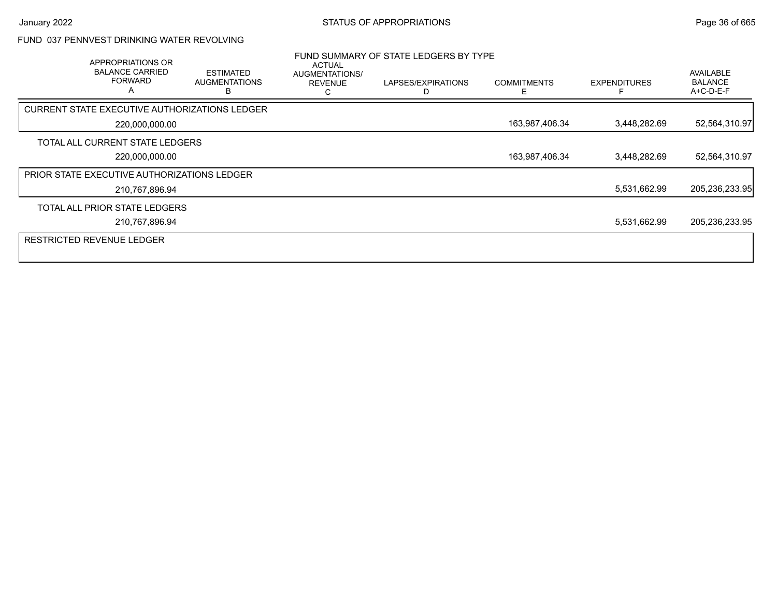#### FUND 037 PENNVEST DRINKING WATER REVOLVING

| APPROPRIATIONS OR<br><b>BALANCE CARRIED</b><br><b>FORWARD</b><br>A | <b>ESTIMATED</b><br><b>AUGMENTATIONS</b> | ACTUAL<br>AUGMENTATIONS/<br><b>REVENUE</b><br>r. | FUND SUMMARY OF STATE LEDGERS BY TYPE<br>LAPSES/EXPIRATIONS | <b>COMMITMENTS</b><br>F | <b>EXPENDITURES</b> | AVAILABLE<br><b>BALANCE</b><br>A+C-D-E-F |
|--------------------------------------------------------------------|------------------------------------------|--------------------------------------------------|-------------------------------------------------------------|-------------------------|---------------------|------------------------------------------|
| <b>CURRENT STATE EXECUTIVE AUTHORIZATIONS LEDGER</b>               |                                          |                                                  |                                                             |                         |                     |                                          |
| 220,000,000.00                                                     |                                          |                                                  |                                                             | 163,987,406.34          | 3,448,282.69        | 52,564,310.97                            |
| TOTAL ALL CURRENT STATE LEDGERS                                    |                                          |                                                  |                                                             |                         |                     |                                          |
| 220,000,000.00                                                     |                                          |                                                  |                                                             | 163,987,406.34          | 3,448,282.69        | 52,564,310.97                            |
| PRIOR STATE EXECUTIVE AUTHORIZATIONS LEDGER                        |                                          |                                                  |                                                             |                         |                     |                                          |
| 210,767,896.94                                                     |                                          |                                                  |                                                             |                         | 5,531,662.99        | 205,236,233.95                           |
| TOTAL ALL PRIOR STATE LEDGERS                                      |                                          |                                                  |                                                             |                         |                     |                                          |
| 210,767,896.94                                                     |                                          |                                                  |                                                             |                         | 5,531,662.99        | 205,236,233.95                           |
| <b>RESTRICTED REVENUE LEDGER</b>                                   |                                          |                                                  |                                                             |                         |                     |                                          |
|                                                                    |                                          |                                                  |                                                             |                         |                     |                                          |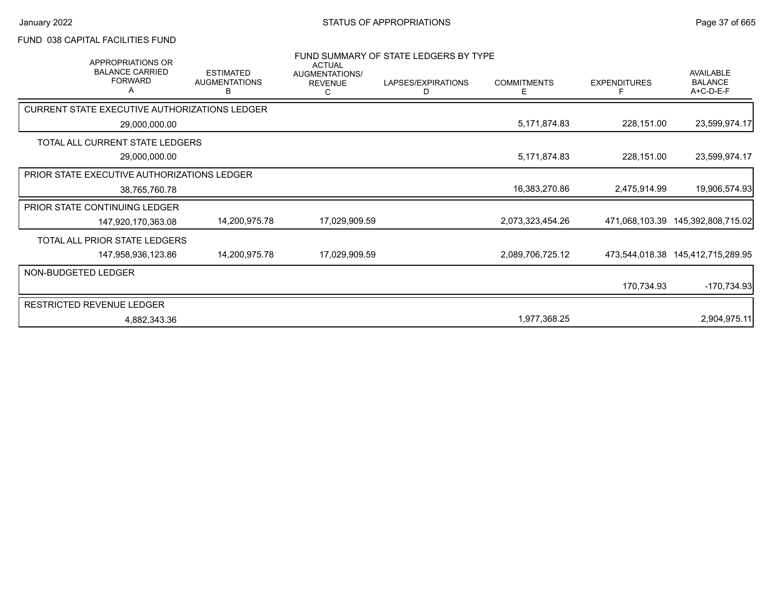### FUND 038 CAPITAL FACILITIES FUND

| APPROPRIATIONS OR<br><b>BALANCE CARRIED</b><br><b>FORWARD</b> | <b>ESTIMATED</b><br><b>AUGMENTATIONS</b><br>В | <b>ACTUAL</b><br>AUGMENTATIONS/<br><b>REVENUE</b><br>C | FUND SUMMARY OF STATE LEDGERS BY TYPE<br>LAPSES/EXPIRATIONS<br>D | <b>COMMITMENTS</b><br>Ε | <b>EXPENDITURES</b><br>F | AVAILABLE<br><b>BALANCE</b><br>A+C-D-E-F |
|---------------------------------------------------------------|-----------------------------------------------|--------------------------------------------------------|------------------------------------------------------------------|-------------------------|--------------------------|------------------------------------------|
| CURRENT STATE EXECUTIVE AUTHORIZATIONS LEDGER                 |                                               |                                                        |                                                                  |                         |                          |                                          |
| 29,000,000.00                                                 |                                               |                                                        |                                                                  | 5,171,874.83            | 228,151.00               | 23,599,974.17                            |
| TOTAL ALL CURRENT STATE LEDGERS                               |                                               |                                                        |                                                                  |                         |                          |                                          |
| 29,000,000.00                                                 |                                               |                                                        |                                                                  | 5,171,874.83            | 228,151.00               | 23,599,974.17                            |
| <b>PRIOR STATE EXECUTIVE AUTHORIZATIONS LEDGER</b>            |                                               |                                                        |                                                                  |                         |                          |                                          |
| 38,765,760.78                                                 |                                               |                                                        |                                                                  | 16,383,270.86           | 2,475,914.99             | 19,906,574.93                            |
| <b>PRIOR STATE CONTINUING LEDGER</b>                          |                                               |                                                        |                                                                  |                         |                          |                                          |
| 147,920,170,363.08                                            | 14,200,975.78                                 | 17,029,909.59                                          |                                                                  | 2,073,323,454.26        | 471,068,103.39           | 145,392,808,715.02                       |
| TOTAL ALL PRIOR STATE LEDGERS                                 |                                               |                                                        |                                                                  |                         |                          |                                          |
| 147,958,936,123.86                                            | 14,200,975.78                                 | 17,029,909.59                                          |                                                                  | 2,089,706,725.12        |                          | 473,544,018.38 145,412,715,289.95        |
| NON-BUDGETED LEDGER                                           |                                               |                                                        |                                                                  |                         |                          |                                          |
|                                                               |                                               |                                                        |                                                                  |                         | 170,734.93               | $-170,734.93$                            |
| RESTRICTED REVENUE LEDGER                                     |                                               |                                                        |                                                                  |                         |                          |                                          |
| 4,882,343.36                                                  |                                               |                                                        |                                                                  | 1,977,368.25            |                          | 2,904,975.11                             |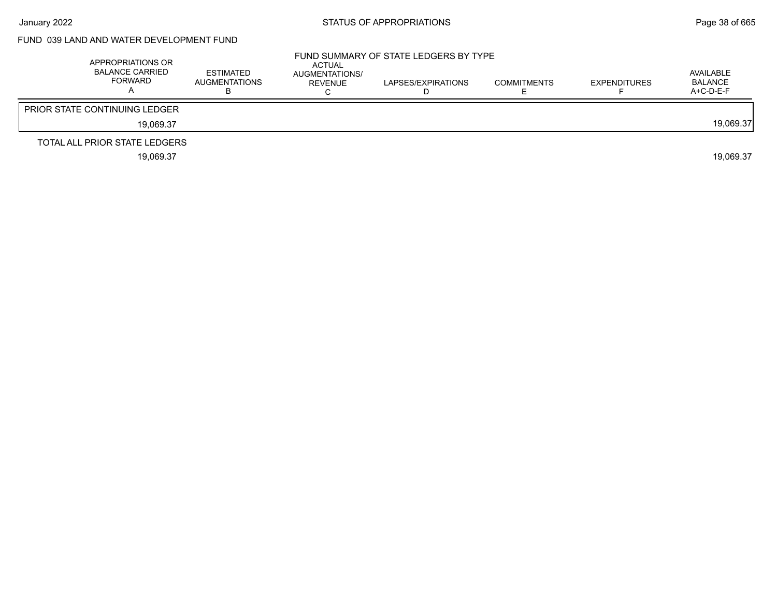### FUND 039 LAND AND WATER DEVELOPMENT FUND

| APPROPRIATIONS OR<br><b>BALANCE CARRIED</b><br>FORWARD | ESTIMATED<br><b>AUGMENTATIONS</b> | ACTUAL<br>AUGMENTATIONS/<br>REVENUE | FUND SUMMARY OF STATE LEDGERS BY TYPE<br>LAPSES/EXPIRATIONS | <b>COMMITMENTS</b> | <b>EXPENDITURES</b> | AVAILABLE<br>BALANCE<br>A+C-D-E-F |
|--------------------------------------------------------|-----------------------------------|-------------------------------------|-------------------------------------------------------------|--------------------|---------------------|-----------------------------------|
| <b>PRIOR STATE CONTINUING LEDGER</b>                   |                                   |                                     |                                                             |                    |                     |                                   |
| 19.069.37                                              |                                   |                                     |                                                             |                    |                     | 19,069.37                         |
| TOTAL ALL PRIOR STATE LEDGERS                          |                                   |                                     |                                                             |                    |                     |                                   |
| 19.069.37                                              |                                   |                                     |                                                             |                    |                     | 19.069.37                         |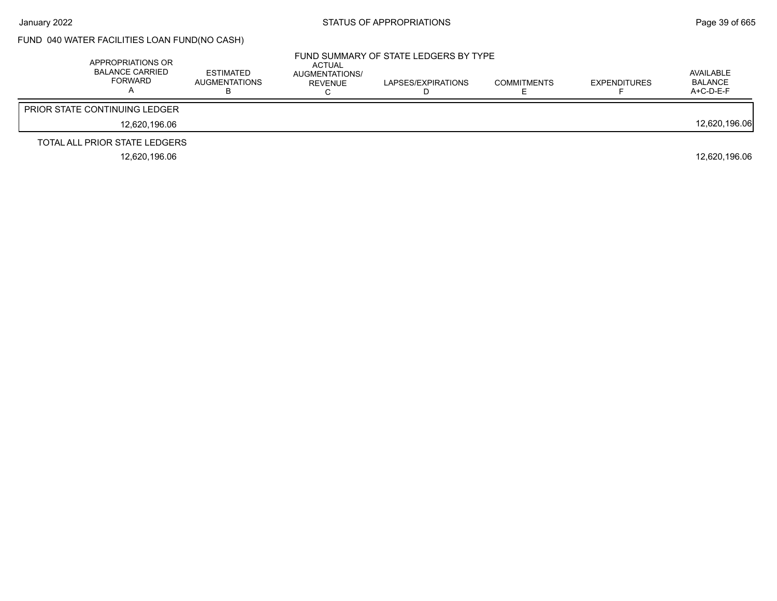## FUND 040 WATER FACILITIES LOAN FUND(NO CASH)

| APPROPRIATIONS OR<br><b>BALANCE CARRIED</b><br><b>FORWARD</b> | <b>ESTIMATED</b><br><b>AUGMENTATIONS</b> | ACTUAL<br>AUGMENTATIONS/<br>REVENUE | FUND SUMMARY OF STATE LEDGERS BY TYPE<br>LAPSES/EXPIRATIONS | <b>COMMITMENTS</b> | <b>EXPENDITURES</b> | AVAILABLE<br><b>BALANCE</b><br>$A+C-D-E-F$ |
|---------------------------------------------------------------|------------------------------------------|-------------------------------------|-------------------------------------------------------------|--------------------|---------------------|--------------------------------------------|
| <b>PRIOR STATE CONTINUING LEDGER</b>                          |                                          |                                     |                                                             |                    |                     |                                            |
| 12.620.196.06                                                 |                                          |                                     |                                                             |                    |                     | 12,620,196.06                              |
| TOTAL ALL PRIOR STATE LEDGERS                                 |                                          |                                     |                                                             |                    |                     |                                            |
| 12.620.196.06                                                 |                                          |                                     |                                                             |                    |                     | 12.620.196.06                              |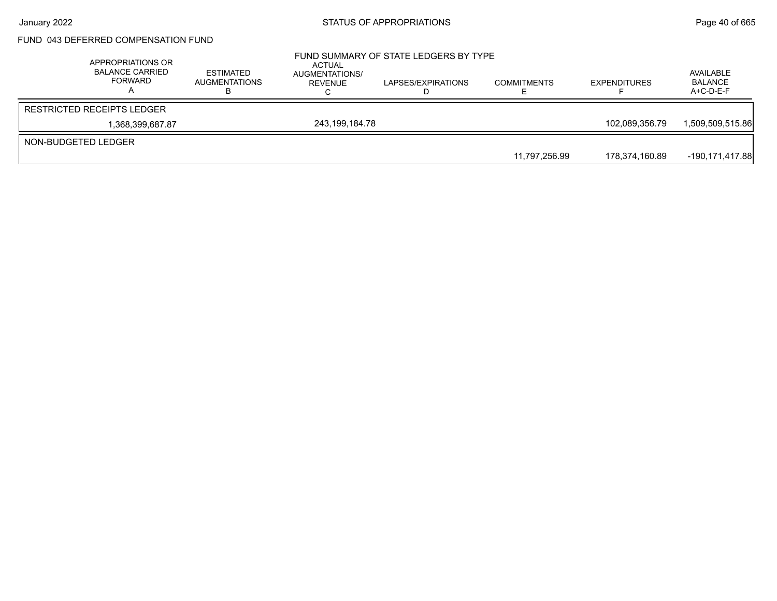## FUND 043 DEFERRED COMPENSATION FUND

| APPROPRIATIONS OR<br><b>BALANCE CARRIED</b><br>FORWARD | <b>ESTIMATED</b><br><b>AUGMENTATIONS</b> | ACTUAL<br>AUGMENTATIONS/<br>REVENUE | FUND SUMMARY OF STATE LEDGERS BY TYPE<br>LAPSES/EXPIRATIONS | <b>COMMITMENTS</b> | <b>EXPENDITURES</b> | AVAILABLE<br><b>BALANCE</b><br>$A+C-D-E-F$ |
|--------------------------------------------------------|------------------------------------------|-------------------------------------|-------------------------------------------------------------|--------------------|---------------------|--------------------------------------------|
| <b>RESTRICTED RECEIPTS LEDGER</b>                      |                                          |                                     |                                                             |                    |                     |                                            |
| 1.368.399.687.87                                       |                                          | 243.199.184.78                      |                                                             |                    | 102.089.356.79      | 1.509.509.515.86                           |
| NON-BUDGETED LEDGER                                    |                                          |                                     |                                                             |                    |                     |                                            |
|                                                        |                                          |                                     |                                                             | 11,797,256.99      | 178,374,160.89      | -190,171,417.88                            |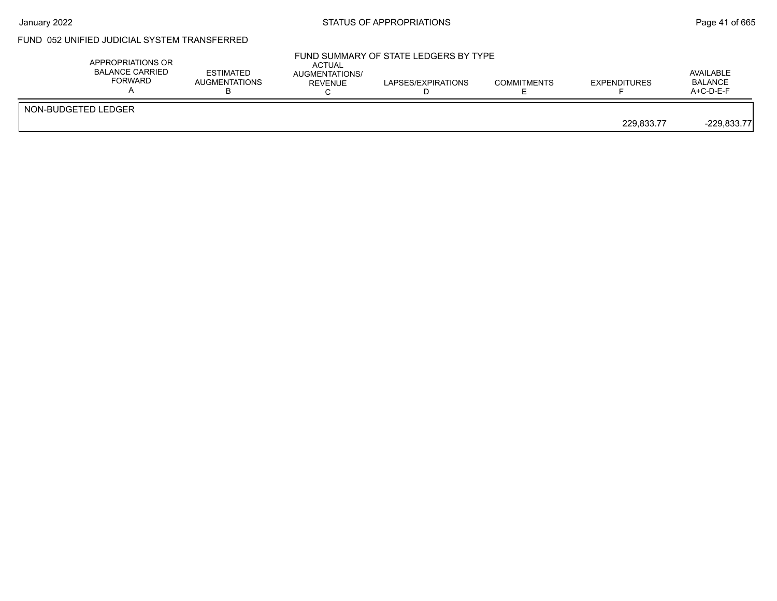### FUND 052 UNIFIED JUDICIAL SYSTEM TRANSFERRED

|                     | APPROPRIATIONS OR<br><b>BALANCE CARRIED</b><br>FORWARD | <b>ESTIMATED</b><br><b>AUGMENTATIONS</b> | <b>ACTUAL</b><br>AUGMENTATIONS/<br><b>REVENUE</b> | FUND SUMMARY OF STATE LEDGERS BY TYPE<br>LAPSES/EXPIRATIONS | <b>COMMITMENTS</b> | <b>EXPENDITURES</b> | AVAILABLE<br><b>BALANCE</b><br>$A+C-D-E-F$ |
|---------------------|--------------------------------------------------------|------------------------------------------|---------------------------------------------------|-------------------------------------------------------------|--------------------|---------------------|--------------------------------------------|
| NON-BUDGETED LEDGER |                                                        |                                          |                                                   |                                                             |                    | 229.833.77          | $-229,833.77$                              |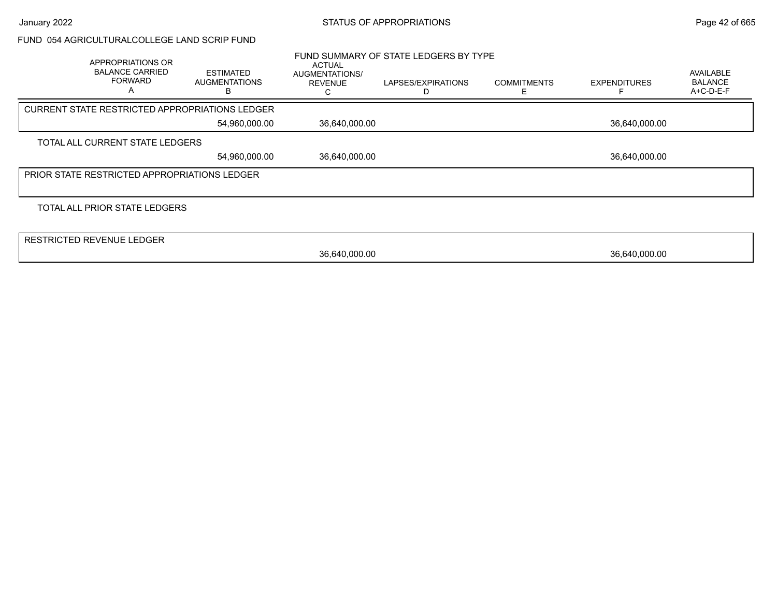#### FUND 054 AGRICULTURALCOLLEGE LAND SCRIP FUND

|                                                 | APPROPRIATIONS OR<br><b>BALANCE CARRIED</b><br><b>FORWARD</b><br>A | <b>ESTIMATED</b><br><b>AUGMENTATIONS</b><br>R | <b>ACTUAL</b><br>AUGMENTATIONS/<br><b>REVENUE</b> | FUND SUMMARY OF STATE LEDGERS BY TYPE<br>LAPSES/EXPIRATIONS | <b>COMMITMENTS</b> | <b>EXPENDITURES</b> | <b>AVAILABLE</b><br><b>BALANCE</b><br>A+C-D-E-F |
|-------------------------------------------------|--------------------------------------------------------------------|-----------------------------------------------|---------------------------------------------------|-------------------------------------------------------------|--------------------|---------------------|-------------------------------------------------|
|                                                 | <b>CURRENT STATE RESTRICTED APPROPRIATIONS LEDGER</b>              |                                               |                                                   |                                                             |                    |                     |                                                 |
| 36,640,000.00<br>54,960,000.00<br>36,640,000.00 |                                                                    |                                               |                                                   |                                                             |                    |                     |                                                 |
|                                                 | TOTAL ALL CURRENT STATE LEDGERS                                    |                                               |                                                   |                                                             |                    |                     |                                                 |
|                                                 |                                                                    | 54,960,000.00                                 | 36,640,000.00                                     |                                                             |                    | 36,640,000.00       |                                                 |
|                                                 | <b>PRIOR STATE RESTRICTED APPROPRIATIONS LEDGER</b>                |                                               |                                                   |                                                             |                    |                     |                                                 |
|                                                 |                                                                    |                                               |                                                   |                                                             |                    |                     |                                                 |
|                                                 | TOTAL ALL PRIOR STATE LEDGERS                                      |                                               |                                                   |                                                             |                    |                     |                                                 |
|                                                 |                                                                    |                                               |                                                   |                                                             |                    |                     |                                                 |
|                                                 | RESTRICTED REVENUE LEDGER                                          |                                               |                                                   |                                                             |                    |                     |                                                 |
|                                                 |                                                                    |                                               | 36,640,000.00                                     |                                                             |                    | 36,640,000.00       |                                                 |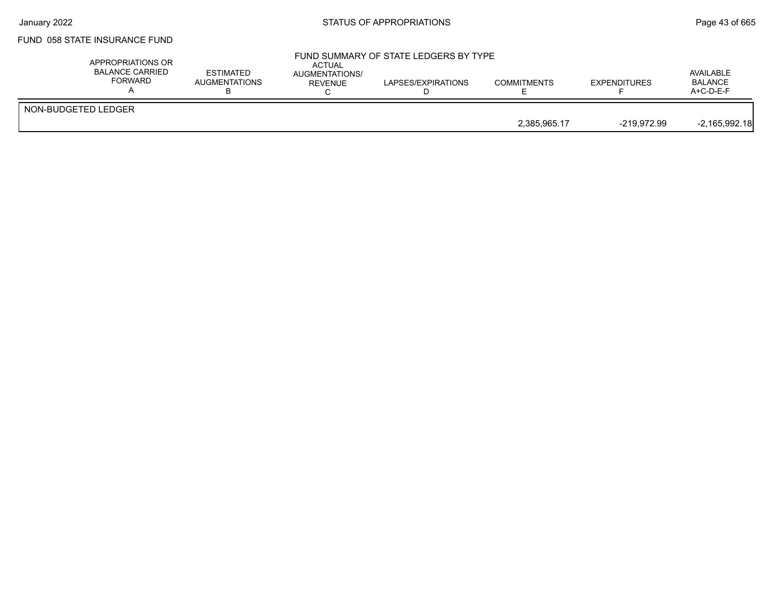### FUND 058 STATE INSURANCE FUND

|                     | APPROPRIATIONS OR<br><b>BALANCE CARRIED</b><br>FORWARD | <b>ESTIMATED</b><br><b>AUGMENTATIONS</b> | <b>ACTUAL</b><br>AUGMENTATIONS/<br>REVENUE | FUND SUMMARY OF STATE LEDGERS BY TYPE<br>LAPSES/EXPIRATIONS | <b>COMMITMENTS</b> | <b>EXPENDITURES</b> | AVAILABLE<br><b>BALANCE</b><br>$A+C-D-E-F$ |
|---------------------|--------------------------------------------------------|------------------------------------------|--------------------------------------------|-------------------------------------------------------------|--------------------|---------------------|--------------------------------------------|
| NON-BUDGETED LEDGER |                                                        |                                          |                                            |                                                             |                    |                     |                                            |
|                     |                                                        |                                          |                                            |                                                             | 2.385.965.17       | -219.972.99         | $-2,165,992.18$                            |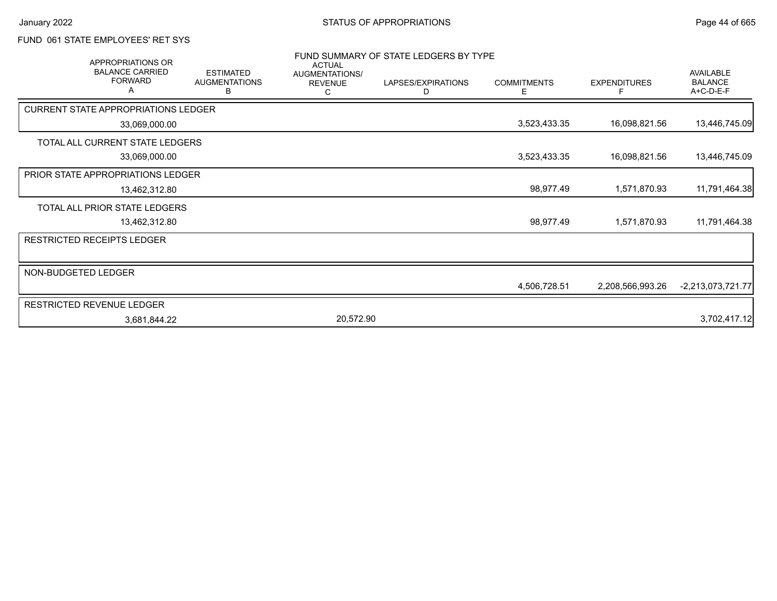### FUND 061 STATE EMPLOYEES' RET SYS

| <b>APPROPRIATIONS OR</b><br><b>BALANCE CARRIED</b><br><b>FORWARD</b> | <b>ESTIMATED</b><br><b>AUGMENTATIONS</b> | <b>ACTUAL</b><br>AUGMENTATIONS/ | FUND SUMMARY OF STATE LEDGERS BY TYPE<br>LAPSES/EXPIRATIONS | <b>COMMITMENTS</b> | <b>EXPENDITURES</b> | <b>AVAILABLE</b><br><b>BALANCE</b> |
|----------------------------------------------------------------------|------------------------------------------|---------------------------------|-------------------------------------------------------------|--------------------|---------------------|------------------------------------|
|                                                                      | в                                        | <b>REVENUE</b>                  | D                                                           | Ε                  | F                   | A+C-D-E-F                          |
| <b>CURRENT STATE APPROPRIATIONS LEDGER</b>                           |                                          |                                 |                                                             |                    |                     |                                    |
| 33,069,000.00                                                        |                                          |                                 |                                                             | 3,523,433.35       | 16,098,821.56       | 13,446,745.09                      |
| TOTAL ALL CURRENT STATE LEDGERS                                      |                                          |                                 |                                                             |                    |                     |                                    |
| 33,069,000.00                                                        |                                          |                                 |                                                             | 3,523,433.35       | 16,098,821.56       | 13,446,745.09                      |
| PRIOR STATE APPROPRIATIONS LEDGER                                    |                                          |                                 |                                                             |                    |                     |                                    |
| 13,462,312.80                                                        |                                          |                                 |                                                             | 98,977.49          | 1,571,870.93        | 11,791,464.38                      |
| TOTAL ALL PRIOR STATE LEDGERS                                        |                                          |                                 |                                                             |                    |                     |                                    |
| 13,462,312.80                                                        |                                          |                                 |                                                             | 98,977.49          | 1,571,870.93        | 11,791,464.38                      |
| <b>RESTRICTED RECEIPTS LEDGER</b>                                    |                                          |                                 |                                                             |                    |                     |                                    |
| NON-BUDGETED LEDGER                                                  |                                          |                                 |                                                             |                    |                     |                                    |
|                                                                      |                                          |                                 |                                                             | 4,506,728.51       | 2,208,566,993.26    | $-2,213,073,721.77$                |
| RESTRICTED REVENUE LEDGER                                            |                                          |                                 |                                                             |                    |                     |                                    |
| 3,681,844.22                                                         |                                          | 20,572.90                       |                                                             |                    |                     | 3,702,417.12                       |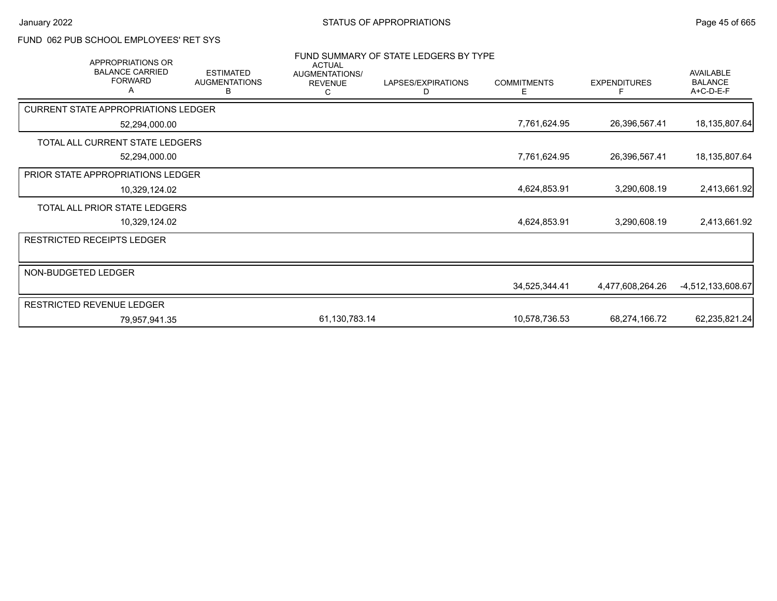### FUND 062 PUB SCHOOL EMPLOYEES' RET SYS

| <b>APPROPRIATIONS OR</b>                      |                                               | <b>ACTUAL</b>                         | FUND SUMMARY OF STATE LEDGERS BY TYPE |                         |                     |                                          |
|-----------------------------------------------|-----------------------------------------------|---------------------------------------|---------------------------------------|-------------------------|---------------------|------------------------------------------|
| <b>BALANCE CARRIED</b><br><b>FORWARD</b><br>A | <b>ESTIMATED</b><br><b>AUGMENTATIONS</b><br>в | AUGMENTATIONS/<br><b>REVENUE</b><br>С | LAPSES/EXPIRATIONS<br>D               | <b>COMMITMENTS</b><br>Е | <b>EXPENDITURES</b> | AVAILABLE<br><b>BALANCE</b><br>A+C-D-E-F |
| <b>CURRENT STATE APPROPRIATIONS LEDGER</b>    |                                               |                                       |                                       |                         |                     |                                          |
| 52,294,000.00                                 |                                               |                                       |                                       | 7,761,624.95            | 26,396,567.41       | 18,135,807.64                            |
| TOTAL ALL CURRENT STATE LEDGERS               |                                               |                                       |                                       |                         |                     |                                          |
| 52,294,000.00                                 |                                               |                                       |                                       | 7,761,624.95            | 26,396,567.41       | 18,135,807.64                            |
| PRIOR STATE APPROPRIATIONS LEDGER             |                                               |                                       |                                       |                         |                     |                                          |
| 10,329,124.02                                 |                                               |                                       |                                       | 4,624,853.91            | 3,290,608.19        | 2,413,661.92                             |
| TOTAL ALL PRIOR STATE LEDGERS                 |                                               |                                       |                                       |                         |                     |                                          |
| 10,329,124.02                                 |                                               |                                       |                                       | 4,624,853.91            | 3,290,608.19        | 2,413,661.92                             |
| <b>RESTRICTED RECEIPTS LEDGER</b>             |                                               |                                       |                                       |                         |                     |                                          |
|                                               |                                               |                                       |                                       |                         |                     |                                          |
| NON-BUDGETED LEDGER                           |                                               |                                       |                                       |                         |                     |                                          |
|                                               |                                               |                                       |                                       | 34,525,344.41           | 4,477,608,264.26    | -4,512,133,608.67                        |
| RESTRICTED REVENUE LEDGER                     |                                               |                                       |                                       |                         |                     |                                          |
| 79,957,941.35                                 |                                               | 61,130,783.14                         |                                       | 10,578,736.53           | 68,274,166.72       | 62,235,821.24                            |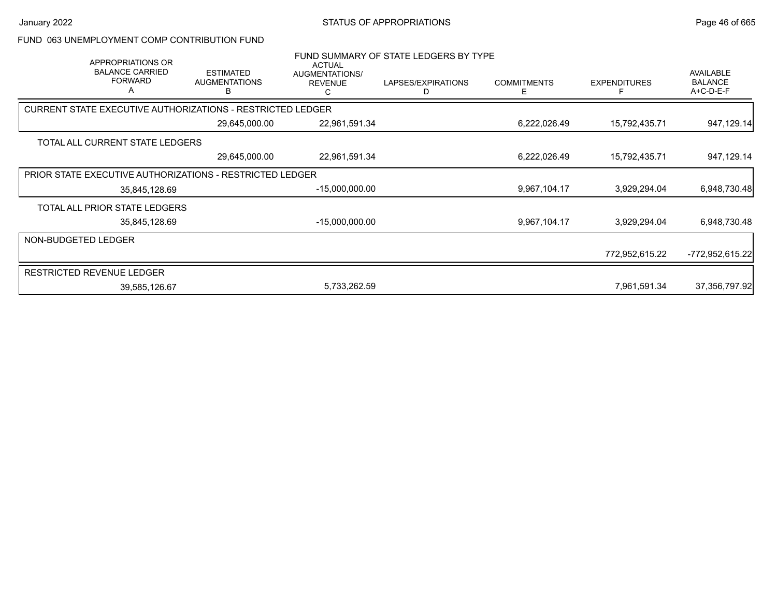#### FUND 063 UNEMPLOYMENT COMP CONTRIBUTION FUND

| APPROPRIATIONS OR<br><b>BALANCE CARRIED</b><br><b>FORWARD</b><br>A | <b>ESTIMATED</b><br><b>AUGMENTATIONS</b><br>в | <b>ACTUAL</b><br>AUGMENTATIONS/<br><b>REVENUE</b><br>C | FUND SUMMARY OF STATE LEDGERS BY TYPE<br>LAPSES/EXPIRATIONS<br>D | <b>COMMITMENTS</b><br>E | <b>EXPENDITURES</b> | <b>AVAILABLE</b><br><b>BALANCE</b><br>A+C-D-E-F |
|--------------------------------------------------------------------|-----------------------------------------------|--------------------------------------------------------|------------------------------------------------------------------|-------------------------|---------------------|-------------------------------------------------|
| <b>CURRENT STATE EXECUTIVE AUTHORIZATIONS - RESTRICTED LEDGER</b>  |                                               |                                                        |                                                                  |                         |                     |                                                 |
|                                                                    | 29,645,000.00                                 | 22,961,591.34                                          |                                                                  | 6,222,026.49            | 15,792,435.71       | 947,129.14                                      |
| TOTAL ALL CURRENT STATE LEDGERS                                    |                                               |                                                        |                                                                  |                         |                     |                                                 |
|                                                                    | 29,645,000.00                                 | 22,961,591.34                                          |                                                                  | 6,222,026.49            | 15,792,435.71       | 947,129.14                                      |
| <b>PRIOR STATE EXECUTIVE AUTHORIZATIONS - RESTRICTED LEDGER</b>    |                                               |                                                        |                                                                  |                         |                     |                                                 |
| 35,845,128.69                                                      |                                               | $-15,000,000.00$                                       |                                                                  | 9,967,104.17            | 3,929,294.04        | 6,948,730.48                                    |
| TOTAL ALL PRIOR STATE LEDGERS                                      |                                               |                                                        |                                                                  |                         |                     |                                                 |
| 35,845,128.69                                                      |                                               | $-15,000,000.00$                                       |                                                                  | 9,967,104.17            | 3,929,294.04        | 6,948,730.48                                    |
| NON-BUDGETED LEDGER                                                |                                               |                                                        |                                                                  |                         |                     |                                                 |
|                                                                    |                                               |                                                        |                                                                  |                         | 772,952,615.22      | -772,952,615.22                                 |
| <b>RESTRICTED REVENUE LEDGER</b>                                   |                                               |                                                        |                                                                  |                         |                     |                                                 |
| 39,585,126.67                                                      |                                               | 5,733,262.59                                           |                                                                  |                         | 7,961,591.34        | 37,356,797.92                                   |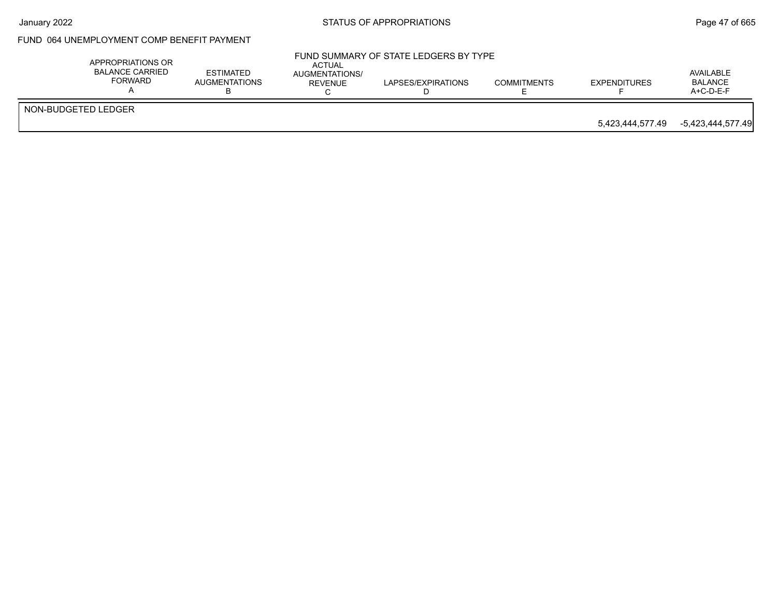## FUND 064 UNEMPLOYMENT COMP BENEFIT PAYMENT

|                     |                  | $A+C-D-E-F$       |
|---------------------|------------------|-------------------|
| NON-BUDGETED LEDGER | 5,423,444,577.49 | -5,423,444,577.49 |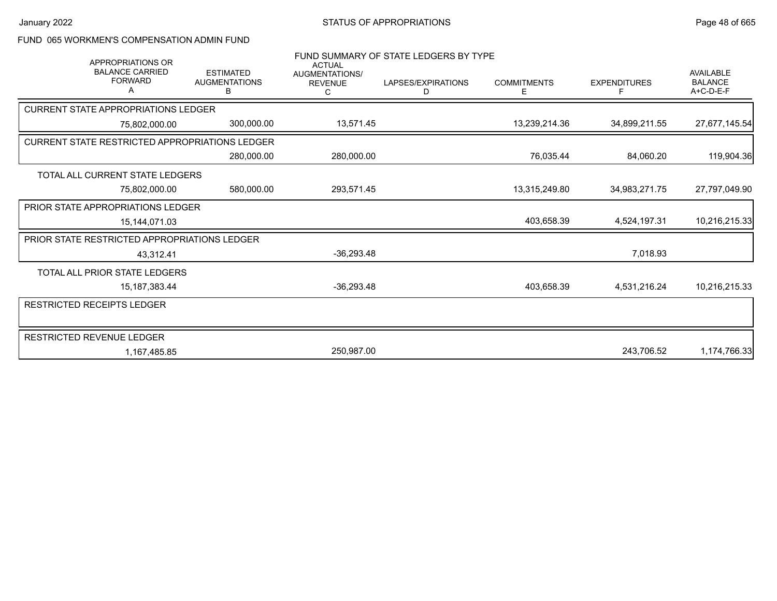## FUND 065 WORKMEN'S COMPENSATION ADMIN FUND

| <b>APPROPRIATIONS OR</b>                              |                                               | <b>ACTUAL</b>                    | FUND SUMMARY OF STATE LEDGERS BY TYPE |                         |                     |                                                   |
|-------------------------------------------------------|-----------------------------------------------|----------------------------------|---------------------------------------|-------------------------|---------------------|---------------------------------------------------|
| <b>BALANCE CARRIED</b><br><b>FORWARD</b>              | <b>ESTIMATED</b><br><b>AUGMENTATIONS</b><br>в | AUGMENTATIONS/<br><b>REVENUE</b> | LAPSES/EXPIRATIONS<br>D               | <b>COMMITMENTS</b><br>Е | <b>EXPENDITURES</b> | <b>AVAILABLE</b><br><b>BALANCE</b><br>$A+C-D-E-F$ |
| <b>CURRENT STATE APPROPRIATIONS LEDGER</b>            |                                               |                                  |                                       |                         |                     |                                                   |
| 75,802,000.00                                         | 300,000.00                                    | 13,571.45                        |                                       | 13,239,214.36           | 34,899,211.55       | 27,677,145.54                                     |
| <b>CURRENT STATE RESTRICTED APPROPRIATIONS LEDGER</b> |                                               |                                  |                                       |                         |                     |                                                   |
|                                                       | 280,000.00                                    | 280,000.00                       |                                       | 76,035.44               | 84,060.20           | 119,904.36                                        |
| TOTAL ALL CURRENT STATE LEDGERS                       |                                               |                                  |                                       |                         |                     |                                                   |
| 75,802,000.00                                         | 580,000.00                                    | 293,571.45                       |                                       | 13,315,249.80           | 34,983,271.75       | 27,797,049.90                                     |
| <b>PRIOR STATE APPROPRIATIONS LEDGER</b>              |                                               |                                  |                                       |                         |                     |                                                   |
| 15,144,071.03                                         |                                               |                                  |                                       | 403,658.39              | 4,524,197.31        | 10,216,215.33                                     |
| PRIOR STATE RESTRICTED APPROPRIATIONS LEDGER          |                                               |                                  |                                       |                         |                     |                                                   |
| 43,312.41                                             |                                               | $-36,293.48$                     |                                       |                         | 7,018.93            |                                                   |
| TOTAL ALL PRIOR STATE LEDGERS                         |                                               |                                  |                                       |                         |                     |                                                   |
| 15, 187, 383. 44                                      |                                               | $-36,293.48$                     |                                       | 403,658.39              | 4,531,216.24        | 10,216,215.33                                     |
| RESTRICTED RECEIPTS LEDGER                            |                                               |                                  |                                       |                         |                     |                                                   |
|                                                       |                                               |                                  |                                       |                         |                     |                                                   |
| RESTRICTED REVENUE LEDGER                             |                                               |                                  |                                       |                         |                     |                                                   |
| 1,167,485.85                                          |                                               | 250,987.00                       |                                       |                         | 243,706.52          | 1,174,766.33                                      |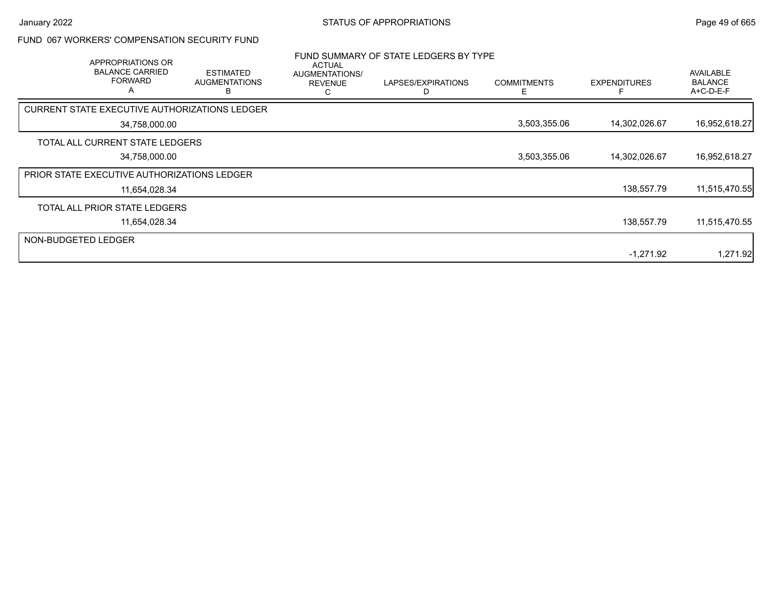## FUND 067 WORKERS' COMPENSATION SECURITY FUND

|                     | APPROPRIATIONS OR<br><b>BALANCE CARRIED</b><br><b>FORWARD</b><br>A | <b>ESTIMATED</b><br><b>AUGMENTATIONS</b>      | <b>ACTUAL</b><br>AUGMENTATIONS/<br><b>REVENUE</b> | FUND SUMMARY OF STATE LEDGERS BY TYPE<br>LAPSES/EXPIRATIONS | <b>COMMITMENTS</b><br>⊢ | <b>EXPENDITURES</b> | AVAILABLE<br><b>BALANCE</b><br>$A+C-D-E-F$ |
|---------------------|--------------------------------------------------------------------|-----------------------------------------------|---------------------------------------------------|-------------------------------------------------------------|-------------------------|---------------------|--------------------------------------------|
|                     |                                                                    | CURRENT STATE EXECUTIVE AUTHORIZATIONS LEDGER |                                                   |                                                             |                         |                     |                                            |
|                     | 34,758,000.00                                                      |                                               |                                                   |                                                             | 3,503,355.06            | 14,302,026.67       | 16,952,618.27                              |
|                     | TOTAL ALL CURRENT STATE LEDGERS                                    |                                               |                                                   |                                                             |                         |                     |                                            |
|                     | 34,758,000.00                                                      |                                               |                                                   |                                                             | 3,503,355.06            | 14,302,026.67       | 16,952,618.27                              |
|                     | <b>PRIOR STATE EXECUTIVE AUTHORIZATIONS LEDGER</b>                 |                                               |                                                   |                                                             |                         |                     |                                            |
|                     | 11,654,028.34                                                      |                                               |                                                   |                                                             |                         | 138,557.79          | 11,515,470.55                              |
|                     | TOTAL ALL PRIOR STATE LEDGERS                                      |                                               |                                                   |                                                             |                         |                     |                                            |
|                     | 11,654,028.34                                                      |                                               |                                                   |                                                             |                         | 138,557.79          | 11,515,470.55                              |
| NON-BUDGETED LEDGER |                                                                    |                                               |                                                   |                                                             |                         |                     |                                            |
|                     |                                                                    |                                               |                                                   |                                                             |                         | $-1,271.92$         | 1,271.92                                   |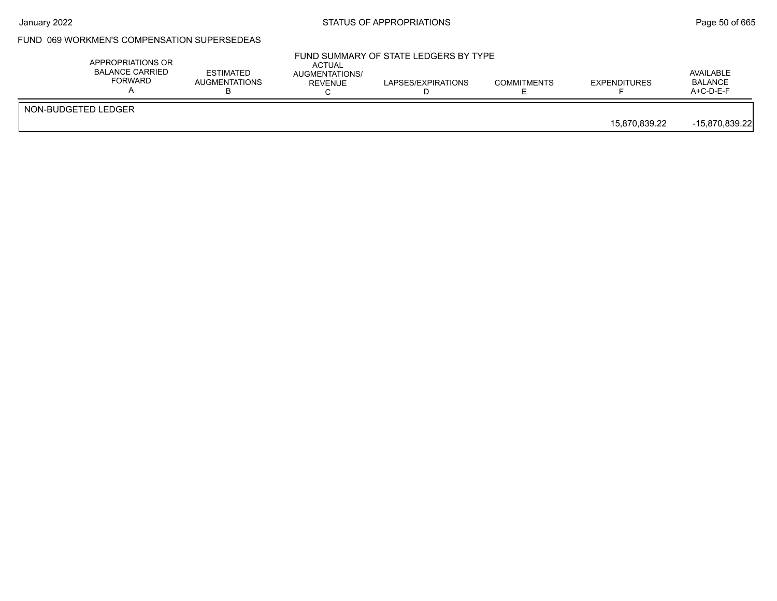## FUND 069 WORKMEN'S COMPENSATION SUPERSEDEAS

|                     | APPROPRIATIONS OR<br><b>BALANCE CARRIED</b><br>FORWARD | ESTIMATED<br><b>AUGMENTATIONS</b> | <b>ACTUAL</b><br>AUGMENTATIONS/<br>REVENUE | FUND SUMMARY OF STATE LEDGERS BY TYPE<br>LAPSES/EXPIRATIONS | <b>COMMITMENTS</b> | <b>EXPENDITURES</b> | AVAILABLE<br>BALANCE<br>A+C-D-E-F |
|---------------------|--------------------------------------------------------|-----------------------------------|--------------------------------------------|-------------------------------------------------------------|--------------------|---------------------|-----------------------------------|
| NON-BUDGETED LEDGER |                                                        |                                   |                                            |                                                             |                    | 15,870,839.22       | $-15,870,839.22$                  |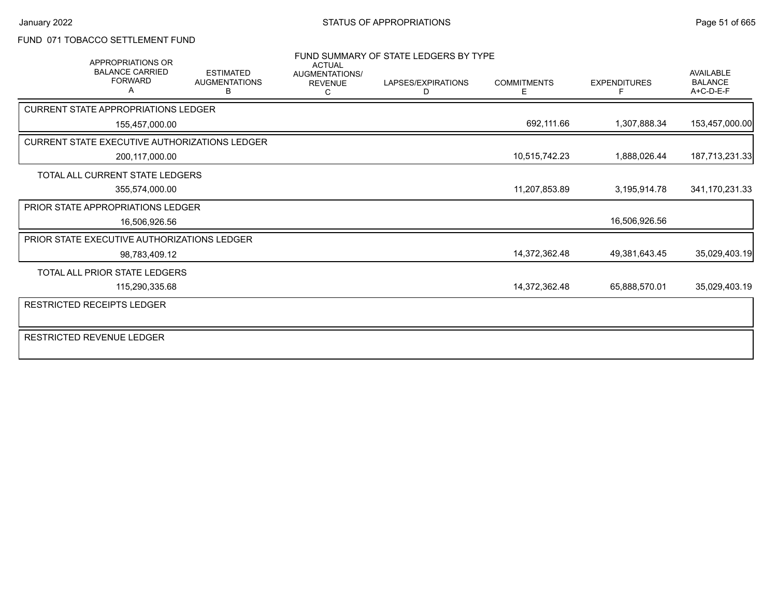### FUND 071 TOBACCO SETTLEMENT FUND

| APPROPRIATIONS OR<br><b>BALANCE CARRIED</b><br><b>FORWARD</b> | <b>ESTIMATED</b><br><b>AUGMENTATIONS</b><br>В | <b>ACTUAL</b><br>AUGMENTATIONS/<br><b>REVENUE</b> | FUND SUMMARY OF STATE LEDGERS BY TYPE<br>LAPSES/EXPIRATIONS<br>D | <b>COMMITMENTS</b><br>Е | <b>EXPENDITURES</b> | <b>AVAILABLE</b><br><b>BALANCE</b><br>$A+C-D-E-F$ |
|---------------------------------------------------------------|-----------------------------------------------|---------------------------------------------------|------------------------------------------------------------------|-------------------------|---------------------|---------------------------------------------------|
|                                                               |                                               | C                                                 |                                                                  |                         |                     |                                                   |
| <b>CURRENT STATE APPROPRIATIONS LEDGER</b>                    |                                               |                                                   |                                                                  |                         |                     |                                                   |
| 155,457,000.00                                                |                                               |                                                   |                                                                  | 692,111.66              | 1,307,888.34        | 153,457,000.00                                    |
| CURRENT STATE EXECUTIVE AUTHORIZATIONS LEDGER                 |                                               |                                                   |                                                                  |                         |                     |                                                   |
| 200,117,000.00                                                |                                               |                                                   |                                                                  | 10,515,742.23           | 1,888,026.44        | 187,713,231.33                                    |
| <b>TOTAL ALL CURRENT STATE LEDGERS</b>                        |                                               |                                                   |                                                                  |                         |                     |                                                   |
| 355,574,000.00                                                |                                               |                                                   |                                                                  | 11,207,853.89           | 3,195,914.78        | 341,170,231.33                                    |
| <b>PRIOR STATE APPROPRIATIONS LEDGER</b>                      |                                               |                                                   |                                                                  |                         |                     |                                                   |
| 16,506,926.56                                                 |                                               |                                                   |                                                                  |                         | 16,506,926.56       |                                                   |
| PRIOR STATE EXECUTIVE AUTHORIZATIONS LEDGER                   |                                               |                                                   |                                                                  |                         |                     |                                                   |
| 98,783,409.12                                                 |                                               |                                                   |                                                                  | 14,372,362.48           | 49,381,643.45       | 35,029,403.19                                     |
| TOTAL ALL PRIOR STATE LEDGERS                                 |                                               |                                                   |                                                                  |                         |                     |                                                   |
| 115,290,335.68                                                |                                               |                                                   |                                                                  | 14,372,362.48           | 65,888,570.01       | 35,029,403.19                                     |
| RESTRICTED RECEIPTS LEDGER                                    |                                               |                                                   |                                                                  |                         |                     |                                                   |
| <b>RESTRICTED REVENUE LEDGER</b>                              |                                               |                                                   |                                                                  |                         |                     |                                                   |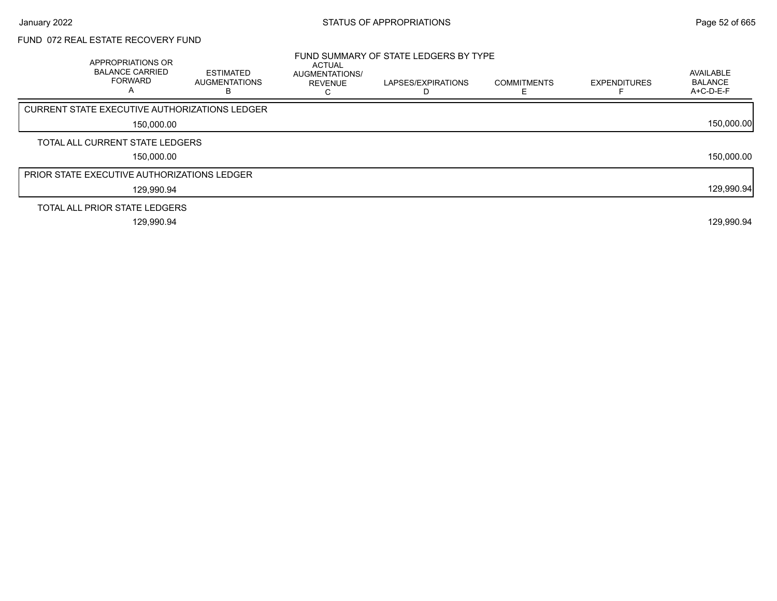# FUND 072 REAL ESTATE RECOVERY FUND

| APPROPRIATIONS OR<br><b>BALANCE CARRIED</b><br><b>FORWARD</b> | <b>ESTIMATED</b><br>AUGMENTATIONS<br>в | <b>ACTUAL</b><br>AUGMENTATIONS/<br><b>REVENUE</b> | FUND SUMMARY OF STATE LEDGERS BY TYPE<br>LAPSES/EXPIRATIONS<br>D | <b>COMMITMENTS</b> | <b>EXPENDITURES</b> | AVAILABLE<br><b>BALANCE</b><br>$A+C-D-E-F$ |
|---------------------------------------------------------------|----------------------------------------|---------------------------------------------------|------------------------------------------------------------------|--------------------|---------------------|--------------------------------------------|
| <b>CURRENT STATE EXECUTIVE AUTHORIZATIONS LEDGER</b>          |                                        |                                                   |                                                                  |                    |                     |                                            |
| 150,000.00                                                    |                                        |                                                   |                                                                  |                    |                     | 150,000.00                                 |
| TOTAL ALL CURRENT STATE LEDGERS                               |                                        |                                                   |                                                                  |                    |                     |                                            |
| 150,000.00                                                    |                                        |                                                   |                                                                  |                    |                     | 150,000.00                                 |
| <b>PRIOR STATE EXECUTIVE AUTHORIZATIONS LEDGER</b>            |                                        |                                                   |                                                                  |                    |                     |                                            |
| 129,990.94                                                    |                                        |                                                   |                                                                  |                    |                     | 129,990.94                                 |
| TOTAL ALL PRIOR STATE LEDGERS                                 |                                        |                                                   |                                                                  |                    |                     |                                            |
| 129.990.94                                                    |                                        |                                                   |                                                                  |                    |                     | 129,990.94                                 |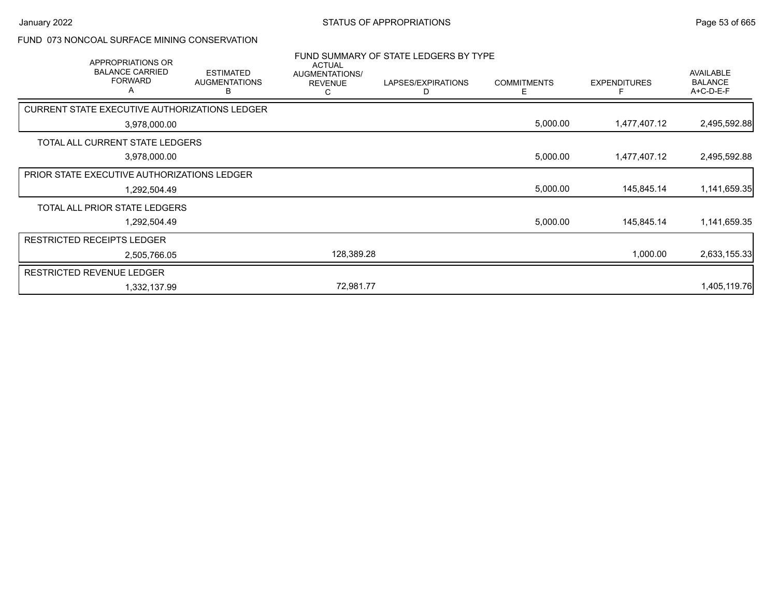#### FUND 073 NONCOAL SURFACE MINING CONSERVATION

| APPROPRIATIONS OR<br><b>BALANCE CARRIED</b><br><b>FORWARD</b><br>A | <b>ESTIMATED</b><br><b>AUGMENTATIONS</b><br>в | <b>ACTUAL</b><br>AUGMENTATIONS/<br><b>REVENUE</b><br>С | FUND SUMMARY OF STATE LEDGERS BY TYPE<br>LAPSES/EXPIRATIONS<br>D | <b>COMMITMENTS</b><br>E. | <b>EXPENDITURES</b> | <b>AVAILABLE</b><br><b>BALANCE</b><br>A+C-D-E-F |
|--------------------------------------------------------------------|-----------------------------------------------|--------------------------------------------------------|------------------------------------------------------------------|--------------------------|---------------------|-------------------------------------------------|
| CURRENT STATE EXECUTIVE AUTHORIZATIONS LEDGER                      |                                               |                                                        |                                                                  |                          |                     |                                                 |
| 3,978,000.00                                                       |                                               |                                                        |                                                                  | 5,000.00                 | 1,477,407.12        | 2,495,592.88                                    |
| TOTAL ALL CURRENT STATE LEDGERS                                    |                                               |                                                        |                                                                  |                          |                     |                                                 |
| 3,978,000.00                                                       |                                               |                                                        |                                                                  | 5,000.00                 | 1,477,407.12        | 2,495,592.88                                    |
| PRIOR STATE EXECUTIVE AUTHORIZATIONS LEDGER                        |                                               |                                                        |                                                                  |                          |                     |                                                 |
| 1,292,504.49                                                       |                                               |                                                        |                                                                  | 5,000.00                 | 145,845.14          | 1,141,659.35                                    |
| TOTAL ALL PRIOR STATE LEDGERS                                      |                                               |                                                        |                                                                  |                          |                     |                                                 |
| 1,292,504.49                                                       |                                               |                                                        |                                                                  | 5,000.00                 | 145,845.14          | 1,141,659.35                                    |
| <b>RESTRICTED RECEIPTS LEDGER</b>                                  |                                               |                                                        |                                                                  |                          |                     |                                                 |
| 2,505,766.05                                                       |                                               | 128,389.28                                             |                                                                  |                          | 1,000.00            | 2,633,155.33                                    |
| <b>RESTRICTED REVENUE LEDGER</b>                                   |                                               |                                                        |                                                                  |                          |                     |                                                 |
| 1,332,137.99                                                       |                                               | 72,981.77                                              |                                                                  |                          |                     | 1,405,119.76                                    |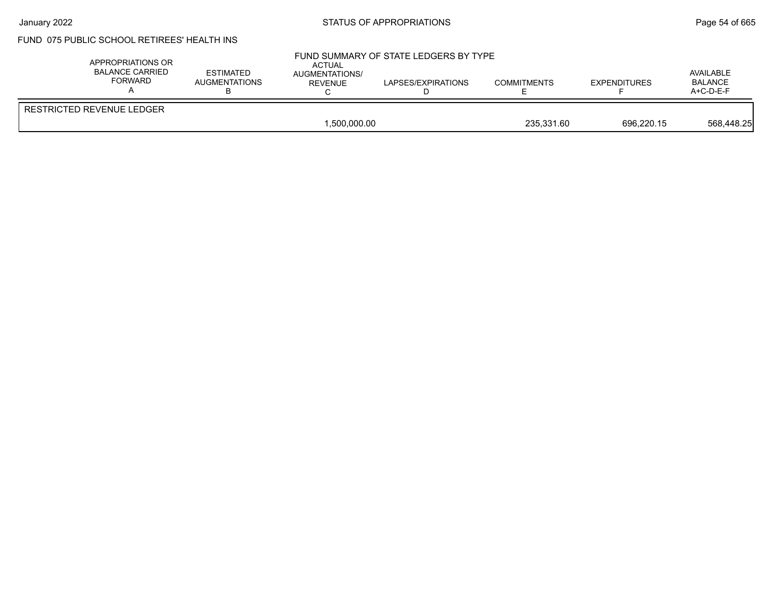# FUND 075 PUBLIC SCHOOL RETIREES' HEALTH INS

| APPROPRIATIONS OR<br><b>BALANCE CARRIED</b><br><b>FORWARD</b> | <b>ESTIMATED</b><br>AUGMENTATIONS | <b>ACTUAL</b><br>AUGMENTATIONS/<br>REVENUE | FUND SUMMARY OF STATE LEDGERS BY TYPE<br>LAPSES/EXPIRATIONS | <b>COMMITMENTS</b> | <b>EXPENDITURES</b> | AVAILABLE<br><b>BALANCE</b><br>$A+C-D-E-F$ |
|---------------------------------------------------------------|-----------------------------------|--------------------------------------------|-------------------------------------------------------------|--------------------|---------------------|--------------------------------------------|
| RESTRICTED REVENUE LEDGER                                     |                                   | 1.500.000.00                               |                                                             | 235.331.60         | 696.220.15          | 568,448.25                                 |
|                                                               |                                   |                                            |                                                             |                    |                     |                                            |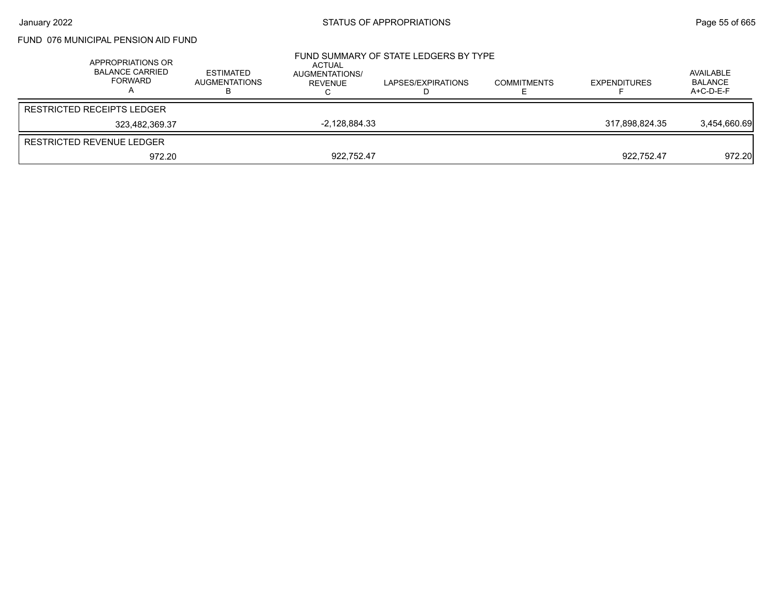### FUND 076 MUNICIPAL PENSION AID FUND

| APPROPRIATIONS OR<br><b>BALANCE CARRIED</b><br>FORWARD | ESTIMATED<br><b>AUGMENTATIONS</b> | ACTUAL<br>AUGMENTATIONS/<br>REVENUE | FUND SUMMARY OF STATE LEDGERS BY TYPE<br>LAPSES/EXPIRATIONS | <b>COMMITMENTS</b> | <b>EXPENDITURES</b> | AVAILABLE<br><b>BALANCE</b><br>A+C-D-E-F |
|--------------------------------------------------------|-----------------------------------|-------------------------------------|-------------------------------------------------------------|--------------------|---------------------|------------------------------------------|
| RESTRICTED RECEIPTS LEDGER                             |                                   |                                     |                                                             |                    |                     |                                          |
| 323.482.369.37                                         |                                   | $-2,128,884.33$                     |                                                             |                    | 317.898.824.35      | 3,454,660.69                             |
| RESTRICTED REVENUE LEDGER                              |                                   |                                     |                                                             |                    |                     |                                          |
| 972.20                                                 |                                   | 922,752.47                          |                                                             |                    | 922.752.47          | 972.20                                   |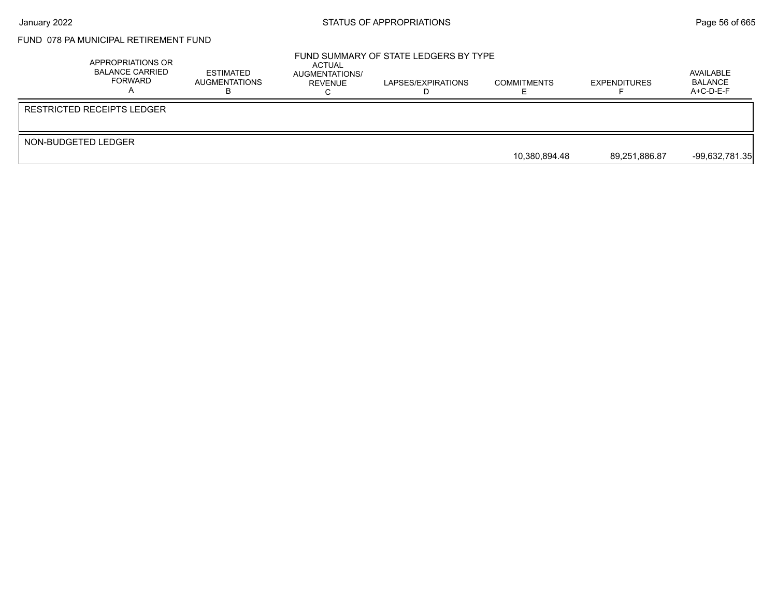# FUND 078 PA MUNICIPAL RETIREMENT FUND

|                     | APPROPRIATIONS OR<br><b>BALANCE CARRIED</b><br>FORWARD | ESTIMATED<br>AUGMENTATIONS | ACTUAL<br>AUGMENTATIONS/<br>REVENUE | FUND SUMMARY OF STATE LEDGERS BY TYPE<br>LAPSES/EXPIRATIONS | <b>COMMITMENTS</b> | <b>EXPENDITURES</b> | AVAILABLE<br>BALANCE<br>$A+C-D-E-F$ |
|---------------------|--------------------------------------------------------|----------------------------|-------------------------------------|-------------------------------------------------------------|--------------------|---------------------|-------------------------------------|
|                     | RESTRICTED RECEIPTS LEDGER                             |                            |                                     |                                                             |                    |                     |                                     |
| NON-BUDGETED LEDGER |                                                        |                            |                                     |                                                             |                    |                     |                                     |
|                     |                                                        |                            |                                     |                                                             | 10.380.894.48      | 89,251,886.87       | $-99,632,781.35$                    |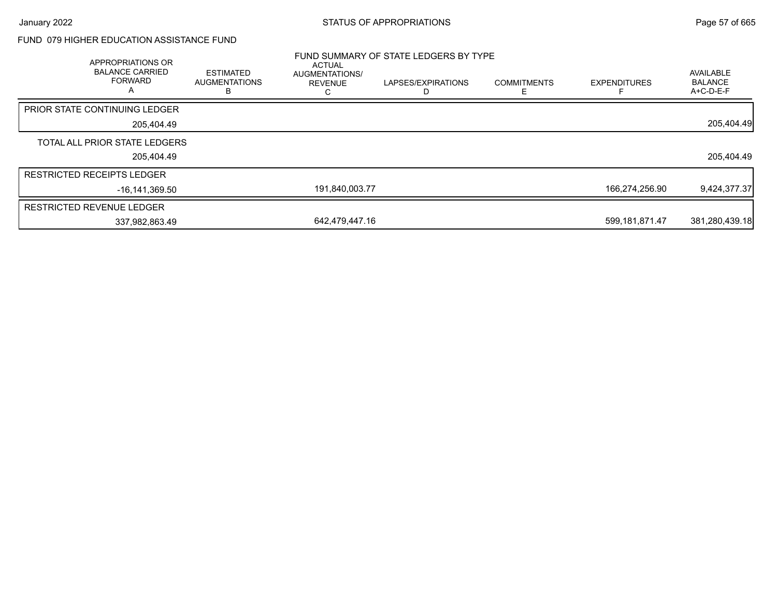## FUND 079 HIGHER EDUCATION ASSISTANCE FUND

| APPROPRIATIONS OR<br><b>BALANCE CARRIED</b><br><b>FORWARD</b><br>$\overline{A}$ | <b>ESTIMATED</b><br><b>AUGMENTATIONS</b><br>в | ACTUAL<br>AUGMENTATIONS/<br><b>REVENUE</b> | FUND SUMMARY OF STATE LEDGERS BY TYPE<br>LAPSES/EXPIRATIONS | <b>COMMITMENTS</b> | <b>EXPENDITURES</b> | AVAILABLE<br><b>BALANCE</b><br>A+C-D-E-F |
|---------------------------------------------------------------------------------|-----------------------------------------------|--------------------------------------------|-------------------------------------------------------------|--------------------|---------------------|------------------------------------------|
| <b>PRIOR STATE CONTINUING LEDGER</b>                                            |                                               |                                            |                                                             |                    |                     |                                          |
| 205.404.49                                                                      |                                               |                                            |                                                             |                    |                     | 205,404.49                               |
| TOTAL ALL PRIOR STATE LEDGERS                                                   |                                               |                                            |                                                             |                    |                     |                                          |
| 205.404.49                                                                      |                                               |                                            |                                                             |                    |                     | 205,404.49                               |
| <b>RESTRICTED RECEIPTS LEDGER</b>                                               |                                               |                                            |                                                             |                    |                     |                                          |
| -16.141.369.50                                                                  |                                               | 191,840,003.77                             |                                                             |                    | 166,274,256.90      | 9,424,377.37                             |
| <b>RESTRICTED REVENUE LEDGER</b>                                                |                                               |                                            |                                                             |                    |                     |                                          |
| 337,982,863.49                                                                  |                                               | 642.479.447.16                             |                                                             |                    | 599,181,871.47      | 381,280,439.18                           |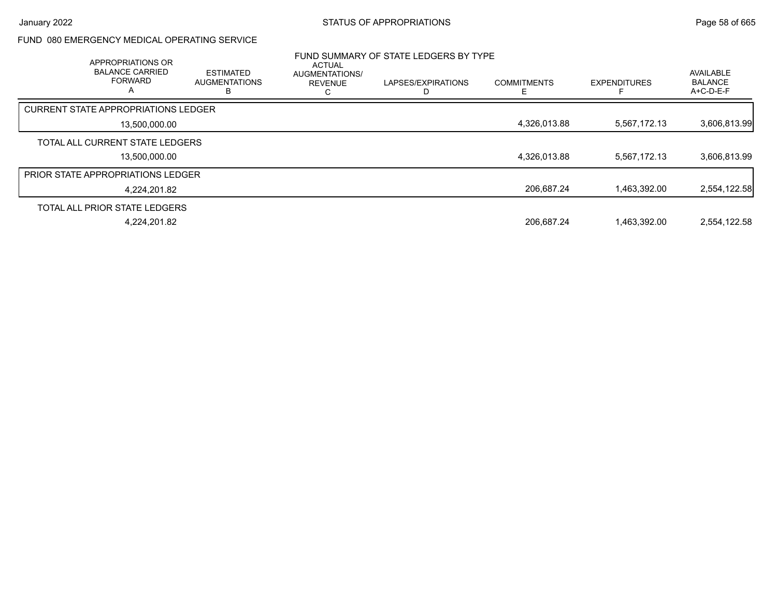### FUND 080 EMERGENCY MEDICAL OPERATING SERVICE

| APPROPRIATIONS OR<br><b>BALANCE CARRIED</b><br><b>FORWARD</b><br>$\mathsf{A}$ | <b>ESTIMATED</b><br><b>AUGMENTATIONS</b> | <b>ACTUAL</b><br>AUGMENTATIONS/<br><b>REVENUE</b><br>С | FUND SUMMARY OF STATE LEDGERS BY TYPE<br>LAPSES/EXPIRATIONS<br>D | <b>COMMITMENTS</b> | <b>EXPENDITURES</b> | AVAILABLE<br><b>BALANCE</b><br>$A+C-D-E-F$ |
|-------------------------------------------------------------------------------|------------------------------------------|--------------------------------------------------------|------------------------------------------------------------------|--------------------|---------------------|--------------------------------------------|
| <b>CURRENT STATE APPROPRIATIONS LEDGER</b>                                    |                                          |                                                        |                                                                  |                    |                     |                                            |
| 13,500,000.00                                                                 |                                          |                                                        |                                                                  | 4,326,013.88       | 5.567.172.13        | 3,606,813.99                               |
| TOTAL ALL CURRENT STATE LEDGERS                                               |                                          |                                                        |                                                                  |                    |                     |                                            |
| 13,500,000.00                                                                 |                                          |                                                        |                                                                  | 4,326,013.88       | 5,567,172.13        | 3,606,813.99                               |
| <b>PRIOR STATE APPROPRIATIONS LEDGER</b>                                      |                                          |                                                        |                                                                  |                    |                     |                                            |
| 4,224,201.82                                                                  |                                          |                                                        |                                                                  | 206.687.24         | 1.463.392.00        | 2,554,122.58                               |
| TOTAL ALL PRIOR STATE LEDGERS                                                 |                                          |                                                        |                                                                  |                    |                     |                                            |
| 4.224.201.82                                                                  |                                          |                                                        |                                                                  | 206.687.24         | 1.463.392.00        | 2.554.122.58                               |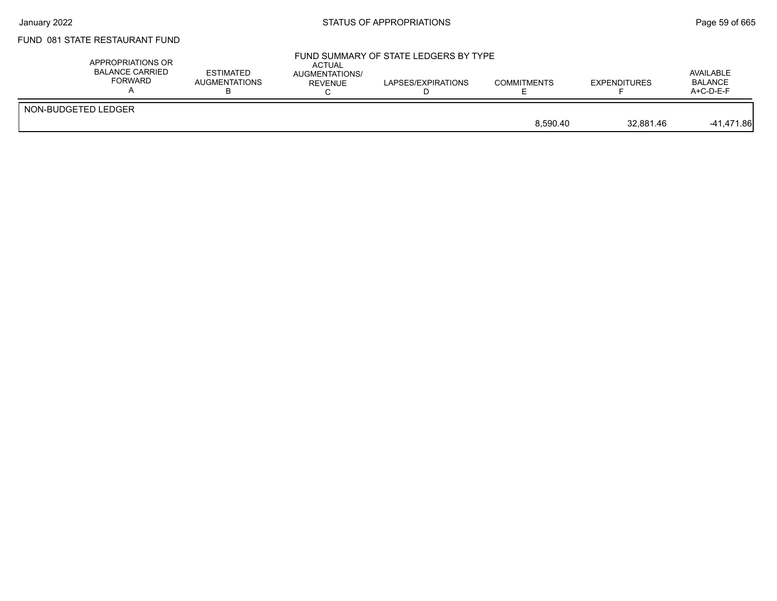## FUND 081 STATE RESTAURANT FUND

|                     |                       | $A+C-D-E-F$ |
|---------------------|-----------------------|-------------|
| NON-BUDGETED LEDGER | 8,590.40<br>32.881.46 | -41,471.86  |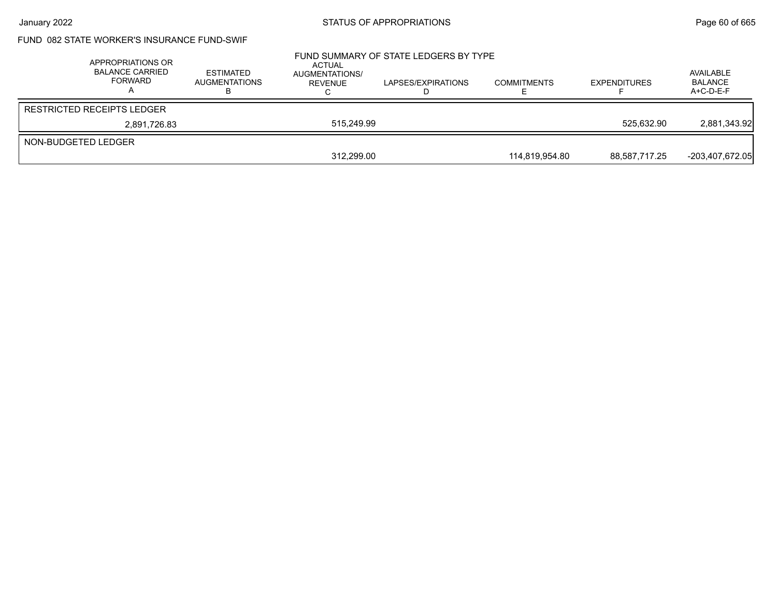## FUND 082 STATE WORKER'S INSURANCE FUND-SWIF

|                     | APPROPRIATIONS OR<br><b>BALANCE CARRIED</b><br>FORWARD | <b>ESTIMATED</b><br><b>AUGMENTATIONS</b> | ACTUAL<br>AUGMENTATIONS/<br>REVENUE | FUND SUMMARY OF STATE LEDGERS BY TYPE<br>LAPSES/EXPIRATIONS | <b>COMMITMENTS</b> | <b>EXPENDITURES</b> | AVAILABLE<br><b>BALANCE</b><br>$A+C-D-E-F$ |
|---------------------|--------------------------------------------------------|------------------------------------------|-------------------------------------|-------------------------------------------------------------|--------------------|---------------------|--------------------------------------------|
|                     | <b>RESTRICTED RECEIPTS LEDGER</b>                      |                                          |                                     |                                                             |                    |                     |                                            |
|                     | 2,891,726.83                                           |                                          | 515.249.99                          |                                                             |                    | 525.632.90          | 2,881,343.92                               |
| NON-BUDGETED LEDGER |                                                        |                                          |                                     |                                                             |                    |                     |                                            |
|                     |                                                        |                                          | 312,299.00                          |                                                             | 114.819.954.80     | 88,587,717.25       | -203,407,672.05                            |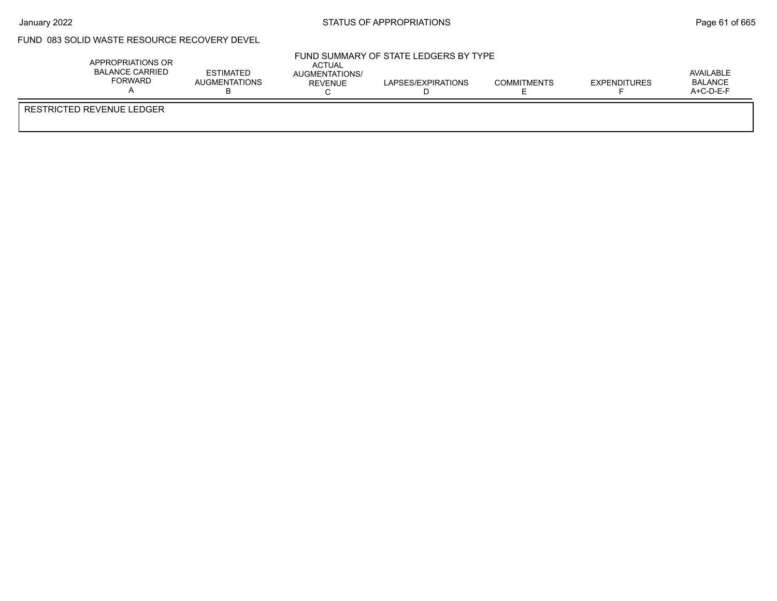$\bar{r}$ 

## January 2022 **STATUS OF APPROPRIATIONS** STATUS OF APPROPRIATIONS

### FUND 083 SOLID WASTE RESOURCE RECOVERY DEVEL

| APPROPRIATIONS OR<br><b>BALANCE CARRIED</b><br><b>FORWARD</b> | <b>ESTIMATED</b><br>AUGMENTATIONS | ACTUAL<br>AUGMENTATIONS/<br>REVENUE<br>◡ | FUND SUMMARY OF STATE LEDGERS BY TYPE<br>LAPSES/EXPIRATIONS | <b>COMMITMENTS</b> | <b>EXPENDITURES</b> | AVAILABLE<br><b>BALANCE</b><br>$A+C-D-E-F$ |
|---------------------------------------------------------------|-----------------------------------|------------------------------------------|-------------------------------------------------------------|--------------------|---------------------|--------------------------------------------|
| RESTRICTED REVENUE LEDGER                                     |                                   |                                          |                                                             |                    |                     |                                            |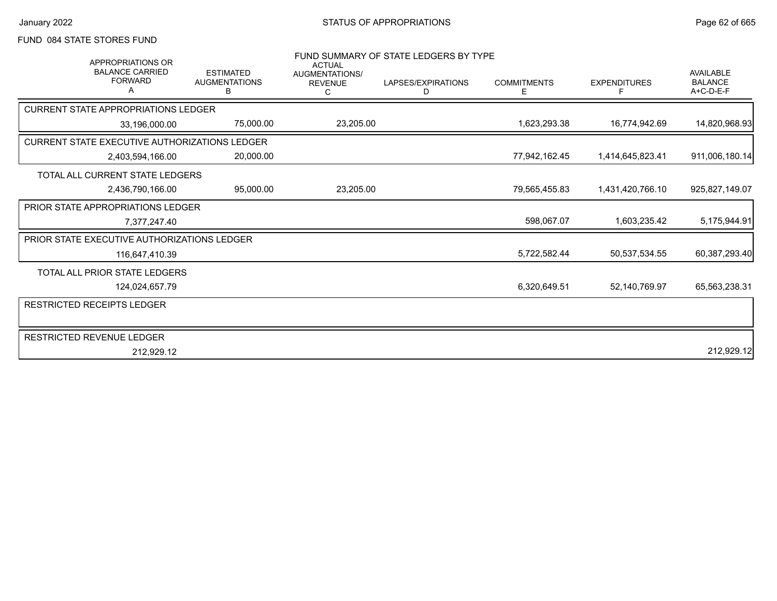### FUND 084 STATE STORES FUND

| <b>APPROPRIATIONS OR</b><br><b>BALANCE CARRIED</b><br><b>FORWARD</b><br>А | <b>ESTIMATED</b><br><b>AUGMENTATIONS</b><br>В | <b>ACTUAL</b><br><b>AUGMENTATIONS/</b><br><b>REVENUE</b><br>С | FUND SUMMARY OF STATE LEDGERS BY TYPE<br>LAPSES/EXPIRATIONS<br>D | <b>COMMITMENTS</b><br>E. | <b>EXPENDITURES</b><br>F | <b>AVAILABLE</b><br><b>BALANCE</b><br>$A+C-D-E-F$ |
|---------------------------------------------------------------------------|-----------------------------------------------|---------------------------------------------------------------|------------------------------------------------------------------|--------------------------|--------------------------|---------------------------------------------------|
| <b>CURRENT STATE APPROPRIATIONS LEDGER</b>                                |                                               |                                                               |                                                                  |                          |                          |                                                   |
| 33,196,000.00                                                             | 75,000.00                                     | 23,205.00                                                     |                                                                  | 1,623,293.38             | 16,774,942.69            | 14,820,968.93                                     |
| CURRENT STATE EXECUTIVE AUTHORIZATIONS LEDGER                             |                                               |                                                               |                                                                  |                          |                          |                                                   |
| 2,403,594,166.00                                                          | 20,000.00                                     |                                                               |                                                                  | 77,942,162.45            | 1,414,645,823.41         | 911,006,180.14                                    |
| TOTAL ALL CURRENT STATE LEDGERS                                           |                                               |                                                               |                                                                  |                          |                          |                                                   |
| 2,436,790,166.00                                                          | 95,000.00                                     | 23,205.00                                                     |                                                                  | 79,565,455.83            | 1,431,420,766.10         | 925,827,149.07                                    |
| <b>PRIOR STATE APPROPRIATIONS LEDGER</b>                                  |                                               |                                                               |                                                                  |                          |                          |                                                   |
| 7,377,247.40                                                              |                                               |                                                               |                                                                  | 598,067.07               | 1,603,235.42             | 5,175,944.91                                      |
| PRIOR STATE EXECUTIVE AUTHORIZATIONS LEDGER                               |                                               |                                                               |                                                                  |                          |                          |                                                   |
| 116,647,410.39                                                            |                                               |                                                               |                                                                  | 5,722,582.44             | 50,537,534.55            | 60,387,293.40                                     |
| TOTAL ALL PRIOR STATE LEDGERS                                             |                                               |                                                               |                                                                  |                          |                          |                                                   |
| 124,024,657.79                                                            |                                               |                                                               |                                                                  | 6,320,649.51             | 52,140,769.97            | 65,563,238.31                                     |
| <b>RESTRICTED RECEIPTS LEDGER</b>                                         |                                               |                                                               |                                                                  |                          |                          |                                                   |
|                                                                           |                                               |                                                               |                                                                  |                          |                          |                                                   |
| RESTRICTED REVENUE LEDGER                                                 |                                               |                                                               |                                                                  |                          |                          |                                                   |
| 212,929.12                                                                |                                               |                                                               |                                                                  |                          |                          | 212,929.12                                        |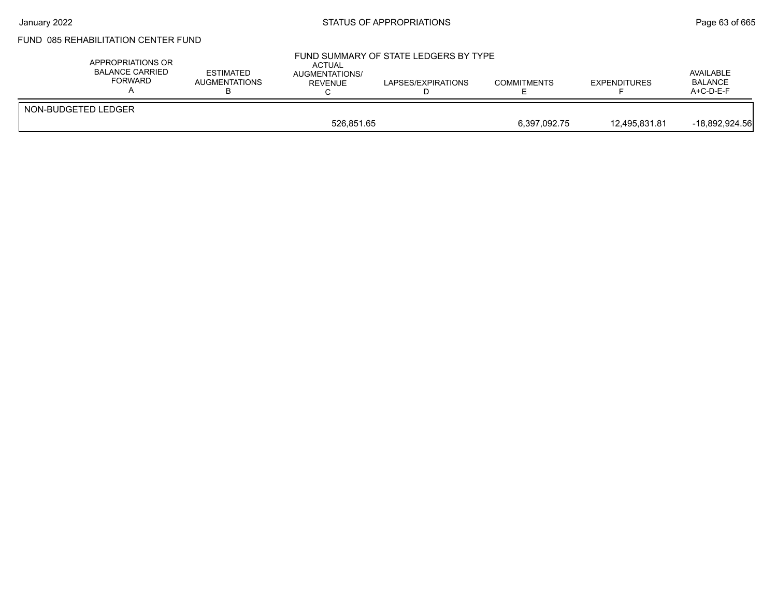# FUND 085 REHABILITATION CENTER FUND

| APPROPRIATIONS OR<br><b>BALANCE CARRIED</b><br><b>FORWARD</b> | <b>ESTIMATED</b><br><b>AUGMENTATIONS</b> | <b>ACTUAL</b><br>AUGMENTATIONS/<br>REVENUE | FUND SUMMARY OF STATE LEDGERS BY TYPE<br>LAPSES/EXPIRATIONS | <b>COMMITMENTS</b> | <b>EXPENDITURES</b> | AVAILABLE<br><b>BALANCE</b><br>$A+C-D-E-F$ |
|---------------------------------------------------------------|------------------------------------------|--------------------------------------------|-------------------------------------------------------------|--------------------|---------------------|--------------------------------------------|
| NON-BUDGETED LEDGER                                           |                                          |                                            |                                                             |                    |                     |                                            |
|                                                               | 526.851.65                               |                                            |                                                             | 6,397,092.75       | 12,495,831.81       | $-18,892,924.56$                           |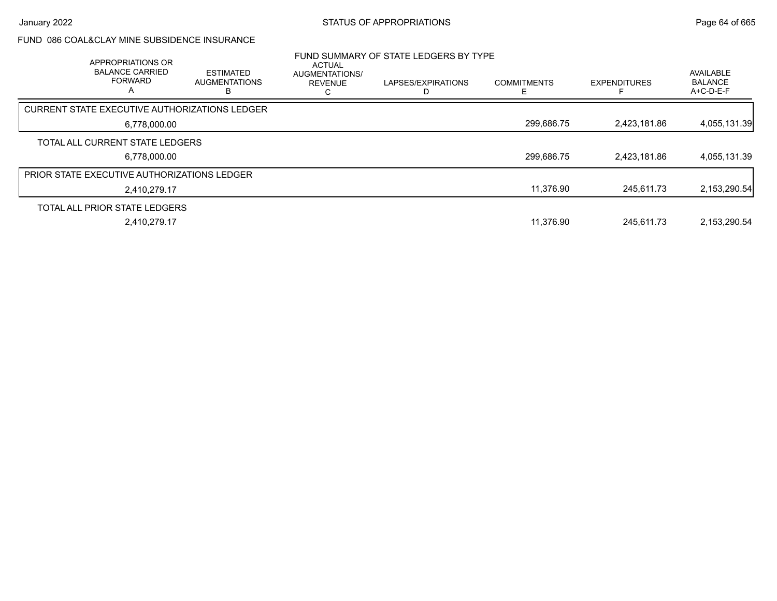## FUND 086 COAL&CLAY MINE SUBSIDENCE INSURANCE

| APPROPRIATIONS OR<br><b>BALANCE CARRIED</b><br><b>FORWARD</b><br>A | <b>ESTIMATED</b><br><b>AUGMENTATIONS</b> | <b>ACTUAL</b><br><b>AUGMENTATIONS/</b><br><b>REVENUE</b> | FUND SUMMARY OF STATE LEDGERS BY TYPE<br>LAPSES/EXPIRATIONS | <b>COMMITMENTS</b> | <b>EXPENDITURES</b> | AVAILABLE<br><b>BALANCE</b><br>$A+C-D-E-F$ |
|--------------------------------------------------------------------|------------------------------------------|----------------------------------------------------------|-------------------------------------------------------------|--------------------|---------------------|--------------------------------------------|
| CURRENT STATE EXECUTIVE AUTHORIZATIONS LEDGER                      |                                          |                                                          |                                                             |                    |                     |                                            |
| 6,778,000.00                                                       |                                          |                                                          |                                                             | 299,686.75         | 2,423,181.86        | 4,055,131.39                               |
| TOTAL ALL CURRENT STATE LEDGERS                                    |                                          |                                                          |                                                             |                    |                     |                                            |
| 6,778,000.00                                                       |                                          |                                                          |                                                             | 299,686.75         | 2,423,181.86        | 4,055,131.39                               |
| <b>PRIOR STATE EXECUTIVE AUTHORIZATIONS LEDGER</b>                 |                                          |                                                          |                                                             |                    |                     |                                            |
| 2,410,279.17                                                       |                                          |                                                          |                                                             | 11,376.90          | 245.611.73          | 2,153,290.54                               |
| TOTAL ALL PRIOR STATE LEDGERS                                      |                                          |                                                          |                                                             |                    |                     |                                            |
| 2,410,279.17                                                       |                                          |                                                          |                                                             | 11,376.90          | 245.611.73          | 2,153,290.54                               |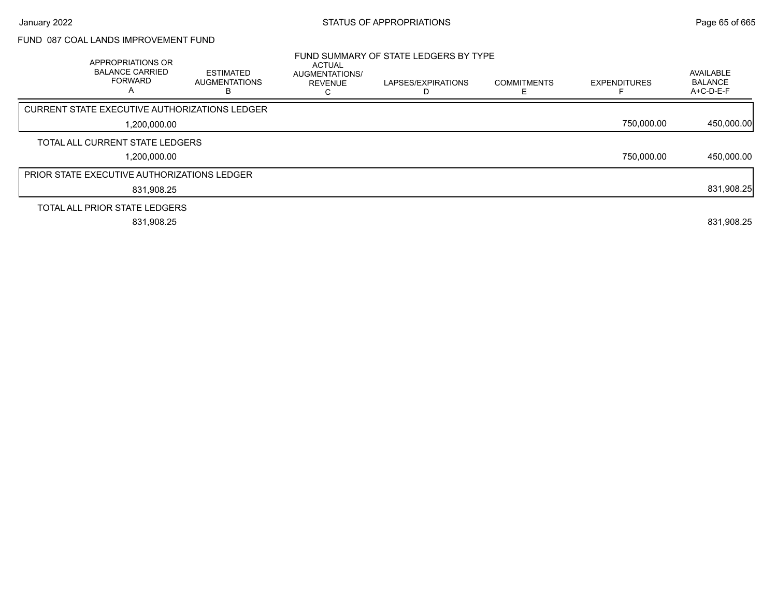## FUND 087 COAL LANDS IMPROVEMENT FUND

| APPROPRIATIONS OR<br><b>BALANCE CARRIED</b><br><b>FORWARD</b><br>Α | <b>ESTIMATED</b><br><b>AUGMENTATIONS</b><br>ĸ | <b>ACTUAL</b><br>AUGMENTATIONS/<br><b>REVENUE</b> | FUND SUMMARY OF STATE LEDGERS BY TYPE<br>LAPSES/EXPIRATIONS | <b>COMMITMENTS</b> | <b>EXPENDITURES</b> | AVAILABLE<br><b>BALANCE</b><br>A+C-D-E-F |
|--------------------------------------------------------------------|-----------------------------------------------|---------------------------------------------------|-------------------------------------------------------------|--------------------|---------------------|------------------------------------------|
| <b>CURRENT STATE EXECUTIVE AUTHORIZATIONS LEDGER</b>               |                                               |                                                   |                                                             |                    |                     |                                          |
| 1.200.000.00                                                       |                                               |                                                   |                                                             |                    | 750,000.00          | 450,000.00                               |
| TOTAL ALL CURRENT STATE LEDGERS                                    |                                               |                                                   |                                                             |                    |                     |                                          |
| 1,200,000.00                                                       |                                               |                                                   |                                                             |                    | 750,000.00          | 450,000.00                               |
| <b>PRIOR STATE EXECUTIVE AUTHORIZATIONS LEDGER</b>                 |                                               |                                                   |                                                             |                    |                     |                                          |
| 831,908.25                                                         |                                               |                                                   |                                                             |                    |                     | 831,908.25                               |
| TOTAL ALL PRIOR STATE LEDGERS                                      |                                               |                                                   |                                                             |                    |                     |                                          |
| 831,908.25                                                         |                                               |                                                   |                                                             |                    |                     | 831,908.25                               |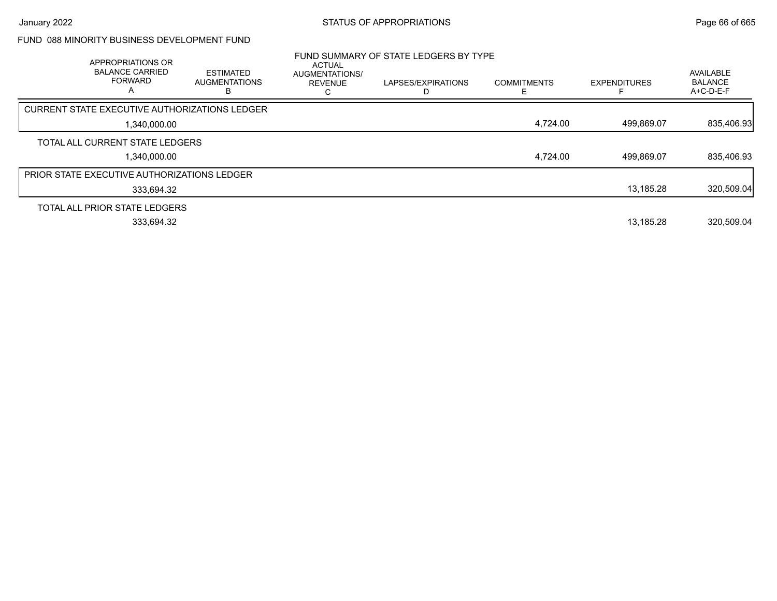## FUND 088 MINORITY BUSINESS DEVELOPMENT FUND

| APPROPRIATIONS OR<br><b>BALANCE CARRIED</b><br><b>FORWARD</b><br>А | <b>ESTIMATED</b><br><b>AUGMENTATIONS</b> | ACTUAL<br>AUGMENTATIONS/<br><b>REVENUE</b> | FUND SUMMARY OF STATE LEDGERS BY TYPE<br>LAPSES/EXPIRATIONS | <b>COMMITMENTS</b> | <b>EXPENDITURES</b> | AVAILABLE<br><b>BALANCE</b><br>A+C-D-E-F |
|--------------------------------------------------------------------|------------------------------------------|--------------------------------------------|-------------------------------------------------------------|--------------------|---------------------|------------------------------------------|
| CURRENT STATE EXECUTIVE AUTHORIZATIONS LEDGER                      |                                          |                                            |                                                             |                    |                     |                                          |
| 1,340,000.00                                                       |                                          |                                            |                                                             | 4,724.00           | 499,869.07          | 835,406.93                               |
| TOTAL ALL CURRENT STATE LEDGERS                                    |                                          |                                            |                                                             |                    |                     |                                          |
| 1,340,000.00                                                       |                                          |                                            |                                                             | 4,724.00           | 499,869.07          | 835,406.93                               |
| PRIOR STATE EXECUTIVE AUTHORIZATIONS LEDGER                        |                                          |                                            |                                                             |                    |                     |                                          |
| 333,694.32                                                         |                                          |                                            |                                                             |                    | 13,185.28           | 320,509.04                               |
| TOTAL ALL PRIOR STATE LEDGERS                                      |                                          |                                            |                                                             |                    |                     |                                          |
| 333,694.32                                                         |                                          |                                            |                                                             |                    | 13,185.28           | 320,509.04                               |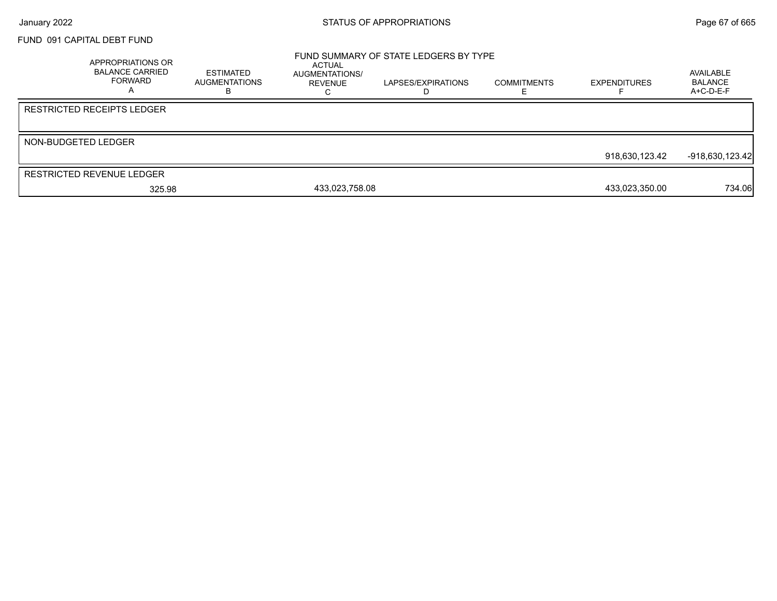### FUND 091 CAPITAL DEBT FUND

|                     | <b>APPROPRIATIONS OR</b><br><b>BALANCE CARRIED</b><br><b>FORWARD</b> | <b>ESTIMATED</b><br><b>AUGMENTATIONS</b> | ACTUAL<br>AUGMENTATIONS/<br>REVENUE | FUND SUMMARY OF STATE LEDGERS BY TYPE<br>LAPSES/EXPIRATIONS | <b>COMMITMENTS</b> | <b>EXPENDITURES</b> | AVAILABLE<br><b>BALANCE</b><br>$A+C-D-E-F$ |
|---------------------|----------------------------------------------------------------------|------------------------------------------|-------------------------------------|-------------------------------------------------------------|--------------------|---------------------|--------------------------------------------|
|                     | <b>RESTRICTED RECEIPTS LEDGER</b>                                    |                                          |                                     |                                                             |                    |                     |                                            |
| NON-BUDGETED LEDGER |                                                                      |                                          |                                     |                                                             |                    |                     |                                            |
|                     |                                                                      |                                          |                                     |                                                             |                    | 918,630,123.42      | -918,630,123.42                            |
|                     | <b>RESTRICTED REVENUE LEDGER</b>                                     |                                          |                                     |                                                             |                    |                     |                                            |
|                     | 325.98                                                               |                                          | 433,023,758.08                      |                                                             |                    | 433,023,350.00      | 734.06                                     |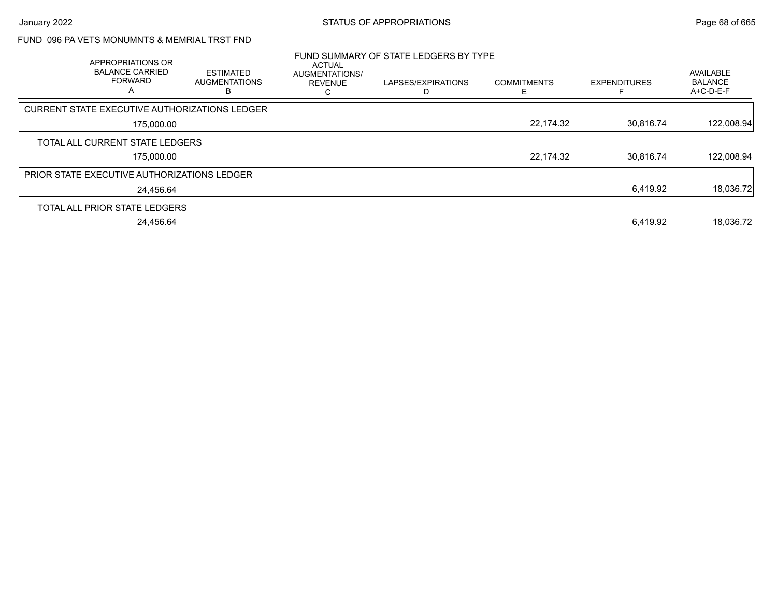## FUND 096 PA VETS MONUMNTS & MEMRIAL TRST FND

| APPROPRIATIONS OR<br><b>BALANCE CARRIED</b><br><b>FORWARD</b><br>A | <b>ESTIMATED</b><br><b>AUGMENTATIONS</b> | ACTUAL<br>AUGMENTATIONS/<br><b>REVENUE</b> | FUND SUMMARY OF STATE LEDGERS BY TYPE<br>LAPSES/EXPIRATIONS | <b>COMMITMENTS</b> | <b>EXPENDITURES</b> | AVAILABLE<br><b>BALANCE</b><br>A+C-D-E-F |
|--------------------------------------------------------------------|------------------------------------------|--------------------------------------------|-------------------------------------------------------------|--------------------|---------------------|------------------------------------------|
| <b>CURRENT STATE EXECUTIVE AUTHORIZATIONS LEDGER</b>               |                                          |                                            |                                                             |                    |                     |                                          |
| 175,000.00                                                         |                                          |                                            |                                                             | 22,174.32          | 30.816.74           | 122,008.94                               |
| TOTAL ALL CURRENT STATE LEDGERS                                    |                                          |                                            |                                                             |                    |                     |                                          |
| 175,000.00                                                         |                                          |                                            |                                                             | 22,174.32          | 30.816.74           | 122.008.94                               |
| <b>PRIOR STATE EXECUTIVE AUTHORIZATIONS LEDGER</b>                 |                                          |                                            |                                                             |                    |                     |                                          |
| 24,456.64                                                          |                                          |                                            |                                                             |                    | 6,419.92            | 18,036.72                                |
| TOTAL ALL PRIOR STATE LEDGERS                                      |                                          |                                            |                                                             |                    |                     |                                          |
| 24.456.64                                                          |                                          |                                            |                                                             |                    | 6.419.92            | 18.036.72                                |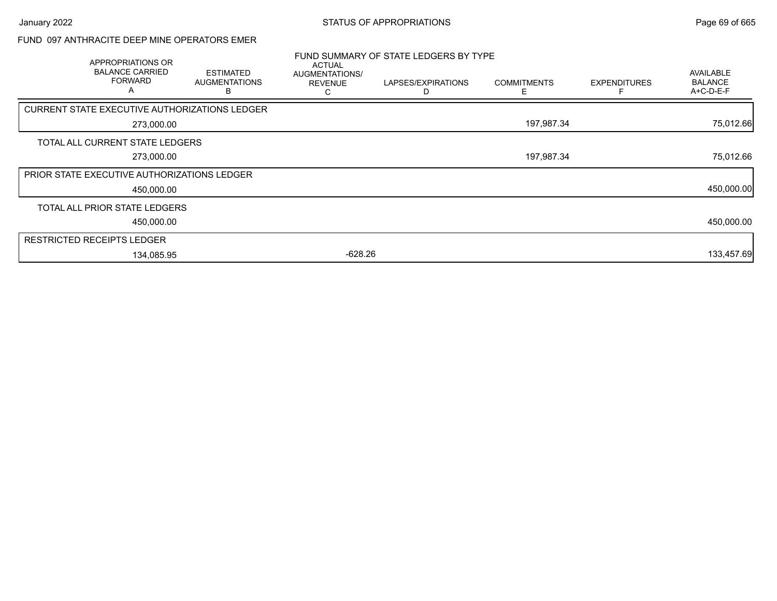### FUND 097 ANTHRACITE DEEP MINE OPERATORS EMER

| <b>APPROPRIATIONS OR</b><br><b>BALANCE CARRIED</b><br><b>FORWARD</b><br>A | <b>ESTIMATED</b><br><b>AUGMENTATIONS</b><br>B | ACTUAL<br>AUGMENTATIONS/<br><b>REVENUE</b><br>С | FUND SUMMARY OF STATE LEDGERS BY TYPE<br>LAPSES/EXPIRATIONS | <b>COMMITMENTS</b><br>Е | <b>EXPENDITURES</b> | AVAILABLE<br><b>BALANCE</b><br>A+C-D-E-F |
|---------------------------------------------------------------------------|-----------------------------------------------|-------------------------------------------------|-------------------------------------------------------------|-------------------------|---------------------|------------------------------------------|
| CURRENT STATE EXECUTIVE AUTHORIZATIONS LEDGER                             |                                               |                                                 |                                                             |                         |                     |                                          |
| 273,000.00                                                                |                                               |                                                 |                                                             | 197,987.34              |                     | 75,012.66                                |
| TOTAL ALL CURRENT STATE LEDGERS                                           |                                               |                                                 |                                                             |                         |                     |                                          |
| 273,000.00                                                                |                                               |                                                 |                                                             | 197,987.34              |                     | 75,012.66                                |
| <b>PRIOR STATE EXECUTIVE AUTHORIZATIONS LEDGER</b>                        |                                               |                                                 |                                                             |                         |                     |                                          |
| 450,000.00                                                                |                                               |                                                 |                                                             |                         |                     | 450,000.00                               |
| TOTAL ALL PRIOR STATE LEDGERS                                             |                                               |                                                 |                                                             |                         |                     |                                          |
| 450,000.00                                                                |                                               |                                                 |                                                             |                         |                     | 450,000.00                               |
| <b>RESTRICTED RECEIPTS LEDGER</b>                                         |                                               |                                                 |                                                             |                         |                     |                                          |
| 134,085.95                                                                |                                               | $-628.26$                                       |                                                             |                         |                     | 133,457.69                               |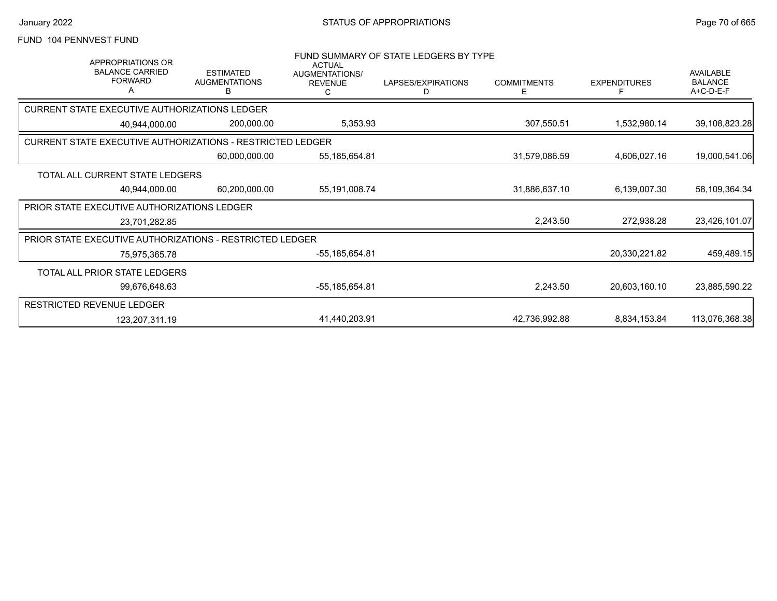### FUND 104 PENNVEST FUND

| <b>APPROPRIATIONS OR</b><br><b>BALANCE CARRIED</b><br><b>FORWARD</b> | <b>ESTIMATED</b><br><b>AUGMENTATIONS</b><br>B | <b>ACTUAL</b><br>AUGMENTATIONS/<br><b>REVENUE</b> | FUND SUMMARY OF STATE LEDGERS BY TYPE<br>LAPSES/EXPIRATIONS<br>D | <b>COMMITMENTS</b><br>E | <b>EXPENDITURES</b> | AVAILABLE<br><b>BALANCE</b><br>A+C-D-E-F |
|----------------------------------------------------------------------|-----------------------------------------------|---------------------------------------------------|------------------------------------------------------------------|-------------------------|---------------------|------------------------------------------|
| CURRENT STATE EXECUTIVE AUTHORIZATIONS LEDGER                        |                                               |                                                   |                                                                  |                         |                     |                                          |
| 40,944,000.00                                                        | 200,000.00                                    | 5,353.93                                          |                                                                  | 307,550.51              | 1,532,980.14        | 39,108,823.28                            |
| <b>CURRENT STATE EXECUTIVE AUTHORIZATIONS - RESTRICTED LEDGER</b>    |                                               |                                                   |                                                                  |                         |                     |                                          |
|                                                                      | 60,000,000.00                                 | 55,185,654.81                                     |                                                                  | 31,579,086.59           | 4,606,027.16        | 19,000,541.06                            |
| TOTAL ALL CURRENT STATE LEDGERS                                      |                                               |                                                   |                                                                  |                         |                     |                                          |
| 40,944,000.00                                                        | 60,200,000.00                                 | 55,191,008.74                                     |                                                                  | 31,886,637.10           | 6,139,007.30        | 58,109,364.34                            |
| <b>PRIOR STATE EXECUTIVE AUTHORIZATIONS LEDGER</b>                   |                                               |                                                   |                                                                  |                         |                     |                                          |
| 23,701,282.85                                                        |                                               |                                                   |                                                                  | 2,243.50                | 272,938.28          | 23,426,101.07                            |
| PRIOR STATE EXECUTIVE AUTHORIZATIONS - RESTRICTED LEDGER             |                                               |                                                   |                                                                  |                         |                     |                                          |
| 75,975,365.78                                                        |                                               | -55,185,654.81                                    |                                                                  |                         | 20,330,221.82       | 459,489.15                               |
| TOTAL ALL PRIOR STATE LEDGERS                                        |                                               |                                                   |                                                                  |                         |                     |                                          |
| 99,676,648.63                                                        |                                               | -55,185,654.81                                    |                                                                  | 2,243.50                | 20,603,160.10       | 23,885,590.22                            |
| RESTRICTED REVENUE LEDGER                                            |                                               |                                                   |                                                                  |                         |                     |                                          |
| 123,207,311.19                                                       |                                               | 41,440,203.91                                     |                                                                  | 42,736,992.88           | 8,834,153.84        | 113,076,368.38                           |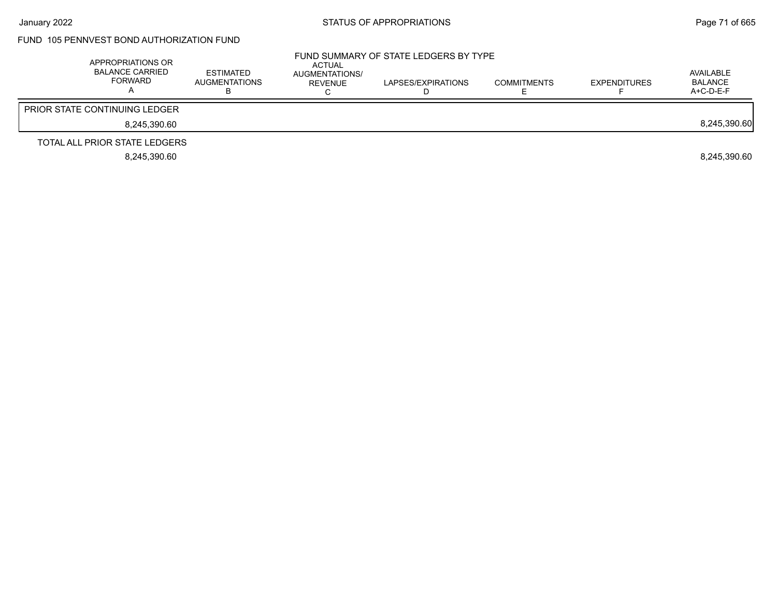## FUND 105 PENNVEST BOND AUTHORIZATION FUND

| APPROPRIATIONS OR<br>BALANCE CARRIED<br>FORWARD | ESTIMATED<br>AUGMENTATIONS | ACTUAL<br>AUGMENTATIONS/<br>REVENUE | FUND SUMMARY OF STATE LEDGERS BY TYPE<br>LAPSES/EXPIRATIONS | <b>COMMITMENTS</b> | <b>EXPENDITURES</b> | AVAILABLE<br><b>BALANCE</b><br>A+C-D-E-F |
|-------------------------------------------------|----------------------------|-------------------------------------|-------------------------------------------------------------|--------------------|---------------------|------------------------------------------|
| <b>PRIOR STATE CONTINUING LEDGER</b>            |                            |                                     |                                                             |                    |                     |                                          |
| 8.245.390.60                                    |                            |                                     |                                                             |                    |                     | 8,245,390.60                             |
| TOTAL ALL PRIOR STATE LEDGERS                   |                            |                                     |                                                             |                    |                     |                                          |
| 8.245.390.60                                    |                            |                                     |                                                             |                    |                     | 8.245.390.60                             |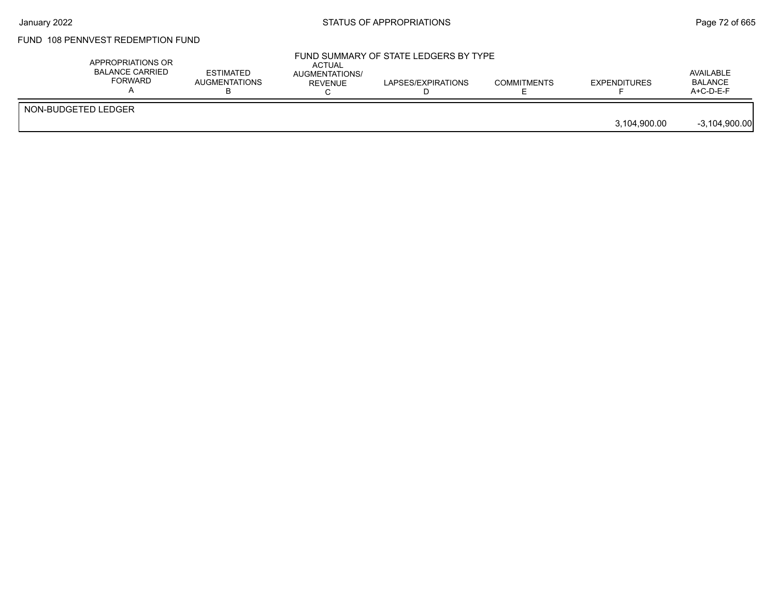## FUND 108 PENNVEST REDEMPTION FUND

| APPROPRIATIONS OR<br><b>BALANCE CARRIED</b><br>FORWARD | <b>ESTIMATED</b><br><b>AUGMENTATIONS</b> | <b>ACTUAL</b><br>AUGMENTATIONS/<br><b>REVENUE</b> | FUND SUMMARY OF STATE LEDGERS BY TYPE<br>LAPSES/EXPIRATIONS | <b>COMMITMENTS</b> | <b>EXPENDITURES</b> | AVAILABLE<br><b>BALANCE</b><br>$A+C-D-E-F$ |
|--------------------------------------------------------|------------------------------------------|---------------------------------------------------|-------------------------------------------------------------|--------------------|---------------------|--------------------------------------------|
| NON-BUDGETED LEDGER                                    |                                          |                                                   |                                                             |                    | 3.104.900.00        | $-3,104,900.00$                            |
|                                                        |                                          |                                                   |                                                             |                    |                     |                                            |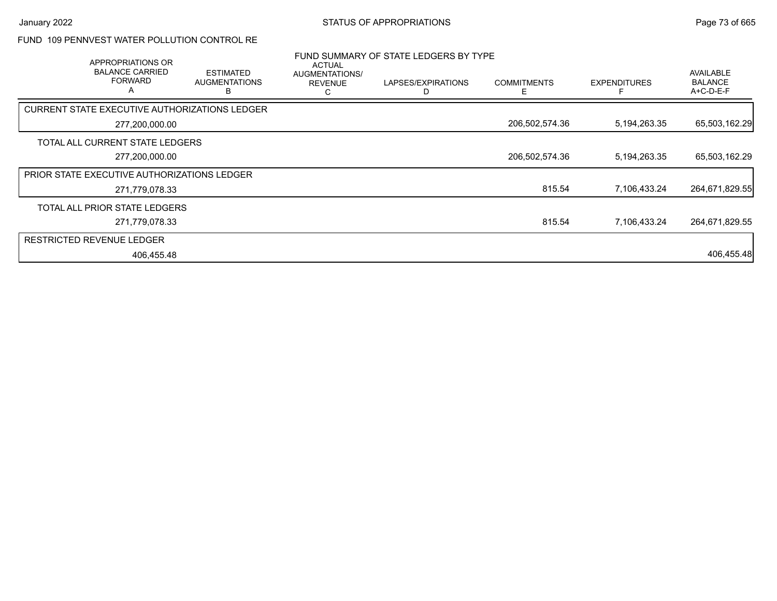### FUND 109 PENNVEST WATER POLLUTION CONTROL RE

| APPROPRIATIONS OR                                  |                                               | <b>ACTUAL</b>                         | FUND SUMMARY OF STATE LEDGERS BY TYPE |                         |                     |                                                 |
|----------------------------------------------------|-----------------------------------------------|---------------------------------------|---------------------------------------|-------------------------|---------------------|-------------------------------------------------|
| <b>BALANCE CARRIED</b><br><b>FORWARD</b><br>A      | <b>ESTIMATED</b><br><b>AUGMENTATIONS</b><br>в | AUGMENTATIONS/<br><b>REVENUE</b><br>С | LAPSES/EXPIRATIONS                    | <b>COMMITMENTS</b><br>Е | <b>EXPENDITURES</b> | <b>AVAILABLE</b><br><b>BALANCE</b><br>A+C-D-E-F |
| CURRENT STATE EXECUTIVE AUTHORIZATIONS LEDGER      |                                               |                                       |                                       |                         |                     |                                                 |
| 277,200,000.00                                     |                                               |                                       |                                       | 206,502,574.36          | 5,194,263.35        | 65,503,162.29                                   |
| TOTAL ALL CURRENT STATE LEDGERS                    |                                               |                                       |                                       |                         |                     |                                                 |
| 277,200,000.00                                     |                                               |                                       |                                       | 206,502,574.36          | 5,194,263.35        | 65,503,162.29                                   |
| <b>PRIOR STATE EXECUTIVE AUTHORIZATIONS LEDGER</b> |                                               |                                       |                                       |                         |                     |                                                 |
| 271,779,078.33                                     |                                               |                                       |                                       | 815.54                  | 7,106,433.24        | 264,671,829.55                                  |
| TOTAL ALL PRIOR STATE LEDGERS                      |                                               |                                       |                                       |                         |                     |                                                 |
| 271,779,078.33                                     |                                               |                                       |                                       | 815.54                  | 7,106,433.24        | 264,671,829.55                                  |
| <b>RESTRICTED REVENUE LEDGER</b>                   |                                               |                                       |                                       |                         |                     |                                                 |
| 406,455.48                                         |                                               |                                       |                                       |                         |                     | 406,455.48                                      |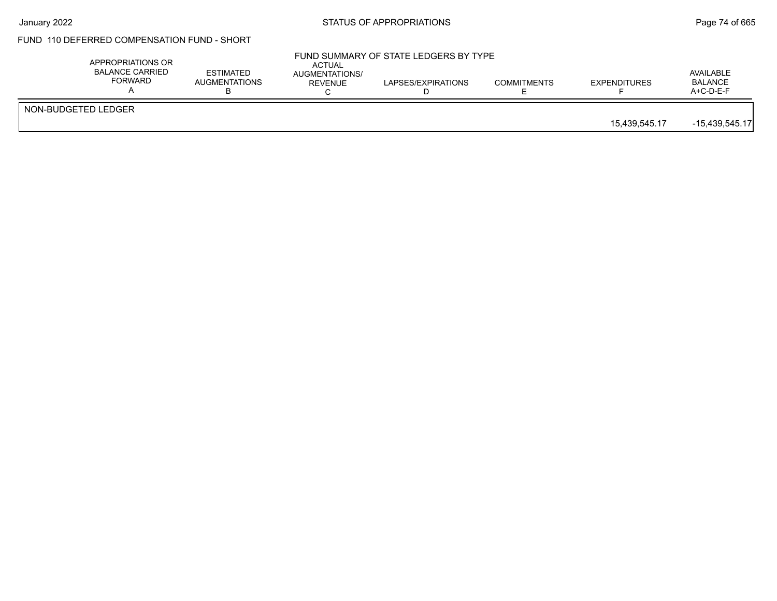### FUND 110 DEFERRED COMPENSATION FUND - SHORT

| APPROPRIATIONS OR<br><b>BALANCE CARRIED</b><br><b>FORWARD</b> | <b>ESTIMATED</b><br><b>AUGMENTATIONS</b> | ACTUAL<br>AUGMENTATIONS/<br>REVENUE | FUND SUMMARY OF STATE LEDGERS BY TYPE<br>LAPSES/EXPIRATIONS | <b>COMMITMENTS</b> | <b>EXPENDITURES</b> | AVAILABLE<br><b>BALANCE</b><br>$A+C-D-E-F$ |
|---------------------------------------------------------------|------------------------------------------|-------------------------------------|-------------------------------------------------------------|--------------------|---------------------|--------------------------------------------|
| NON-BUDGETED LEDGER                                           |                                          |                                     |                                                             |                    | 15.439.545.17       | $-15,439,545.17$                           |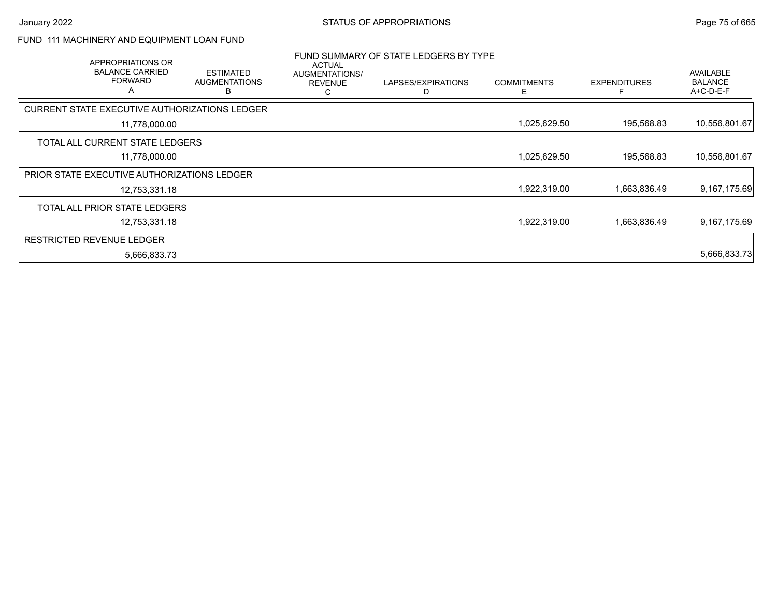### FUND 111 MACHINERY AND EQUIPMENT LOAN FUND

| APPROPRIATIONS OR<br><b>BALANCE CARRIED</b><br><b>FORWARD</b><br>A | <b>ESTIMATED</b><br><b>AUGMENTATIONS</b><br>В | <b>ACTUAL</b><br>AUGMENTATIONS/<br><b>REVENUE</b><br>C | FUND SUMMARY OF STATE LEDGERS BY TYPE<br>LAPSES/EXPIRATIONS<br>D | <b>COMMITMENTS</b> | <b>EXPENDITURES</b> | <b>AVAILABLE</b><br><b>BALANCE</b><br>A+C-D-E-F |
|--------------------------------------------------------------------|-----------------------------------------------|--------------------------------------------------------|------------------------------------------------------------------|--------------------|---------------------|-------------------------------------------------|
| CURRENT STATE EXECUTIVE AUTHORIZATIONS LEDGER                      |                                               |                                                        |                                                                  |                    |                     |                                                 |
| 11,778,000.00                                                      |                                               |                                                        |                                                                  | 1,025,629.50       | 195,568.83          | 10,556,801.67                                   |
| TOTAL ALL CURRENT STATE LEDGERS                                    |                                               |                                                        |                                                                  |                    |                     |                                                 |
| 11,778,000.00                                                      |                                               |                                                        |                                                                  | 1,025,629.50       | 195,568.83          | 10,556,801.67                                   |
| <b>PRIOR STATE EXECUTIVE AUTHORIZATIONS LEDGER</b>                 |                                               |                                                        |                                                                  |                    |                     |                                                 |
| 12,753,331.18                                                      |                                               |                                                        |                                                                  | 1,922,319.00       | 1,663,836.49        | 9,167,175.69                                    |
| TOTAL ALL PRIOR STATE LEDGERS                                      |                                               |                                                        |                                                                  |                    |                     |                                                 |
| 12,753,331.18                                                      |                                               |                                                        |                                                                  | 1,922,319.00       | 1,663,836.49        | 9,167,175.69                                    |
| <b>RESTRICTED REVENUE LEDGER</b>                                   |                                               |                                                        |                                                                  |                    |                     |                                                 |
| 5,666,833.73                                                       |                                               |                                                        |                                                                  |                    |                     | 5,666,833.73                                    |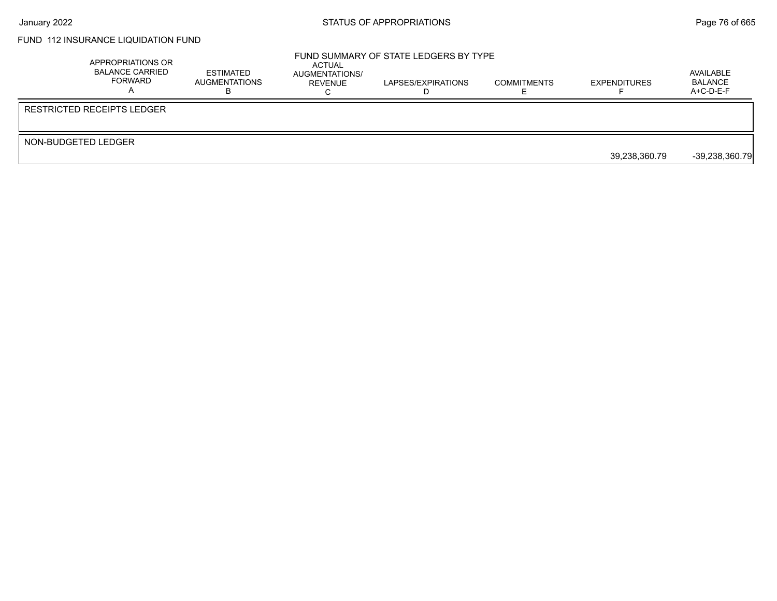### FUND 112 INSURANCE LIQUIDATION FUND

|                     | APPROPRIATIONS OR<br><b>BALANCE CARRIED</b><br>FORWARD | ESTIMATED<br>AUGMENTATIONS | ACTUAL<br>AUGMENTATIONS/<br>REVENUE | FUND SUMMARY OF STATE LEDGERS BY TYPE<br>LAPSES/EXPIRATIONS | <b>COMMITMENTS</b> | <b>EXPENDITURES</b> | AVAILABLE<br>BALANCE<br>$A+C-D-E-F$ |
|---------------------|--------------------------------------------------------|----------------------------|-------------------------------------|-------------------------------------------------------------|--------------------|---------------------|-------------------------------------|
|                     | <b>RESTRICTED RECEIPTS LEDGER</b>                      |                            |                                     |                                                             |                    |                     |                                     |
| NON-BUDGETED LEDGER |                                                        |                            |                                     |                                                             |                    | 39.238.360.79       | $-39,238,360.79$                    |
|                     |                                                        |                            |                                     |                                                             |                    |                     |                                     |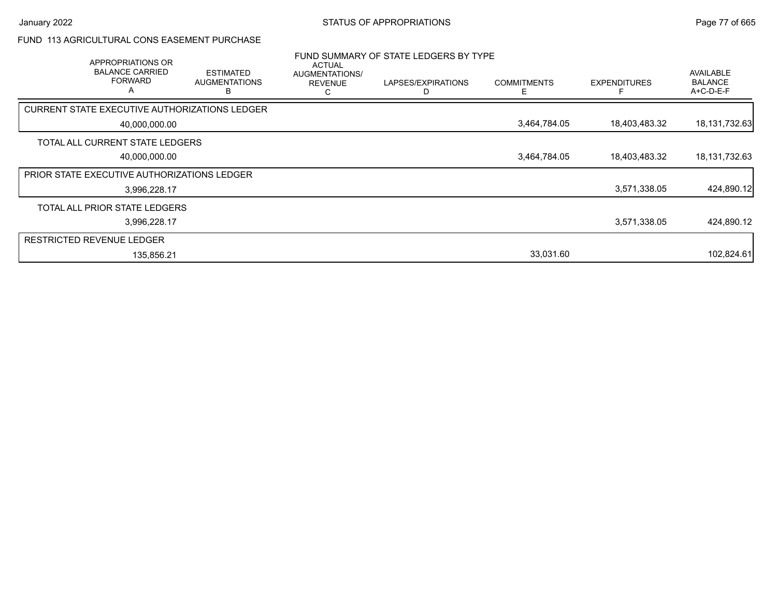### FUND 113 AGRICULTURAL CONS EASEMENT PURCHASE

|                                             | APPROPRIATIONS OR<br><b>BALANCE CARRIED</b><br><b>FORWARD</b><br>A | <b>ESTIMATED</b><br><b>AUGMENTATIONS</b><br>R | ACTUAL<br>AUGMENTATIONS/<br><b>REVENUE</b><br>С | FUND SUMMARY OF STATE LEDGERS BY TYPE<br>LAPSES/EXPIRATIONS | <b>COMMITMENTS</b> | <b>EXPENDITURES</b> | <b>AVAILABLE</b><br><b>BALANCE</b><br>A+C-D-E-F |
|---------------------------------------------|--------------------------------------------------------------------|-----------------------------------------------|-------------------------------------------------|-------------------------------------------------------------|--------------------|---------------------|-------------------------------------------------|
|                                             |                                                                    | CURRENT STATE EXECUTIVE AUTHORIZATIONS LEDGER |                                                 |                                                             |                    |                     |                                                 |
|                                             | 40,000,000.00                                                      |                                               |                                                 |                                                             | 3,464,784.05       | 18,403,483.32       | 18, 131, 732. 63                                |
| TOTAL ALL CURRENT STATE LEDGERS             |                                                                    |                                               |                                                 |                                                             |                    |                     |                                                 |
|                                             | 40,000,000.00                                                      |                                               |                                                 |                                                             | 3,464,784.05       | 18,403,483.32       | 18,131,732.63                                   |
| PRIOR STATE EXECUTIVE AUTHORIZATIONS LEDGER |                                                                    |                                               |                                                 |                                                             |                    |                     |                                                 |
|                                             | 3,996,228.17                                                       |                                               |                                                 |                                                             |                    | 3,571,338.05        | 424,890.12                                      |
| TOTAL ALL PRIOR STATE LEDGERS               |                                                                    |                                               |                                                 |                                                             |                    |                     |                                                 |
|                                             | 3,996,228.17                                                       |                                               |                                                 |                                                             |                    | 3,571,338.05        | 424,890.12                                      |
| <b>RESTRICTED REVENUE LEDGER</b>            |                                                                    |                                               |                                                 |                                                             |                    |                     |                                                 |
|                                             | 135,856.21                                                         |                                               |                                                 |                                                             | 33,031.60          |                     | 102,824.61                                      |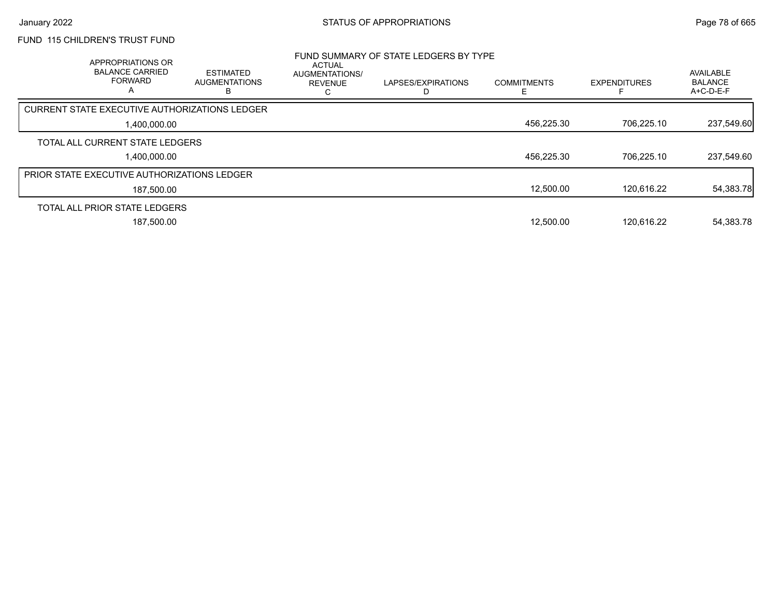## FUND 115 CHILDREN'S TRUST FUND

| APPROPRIATIONS OR<br><b>BALANCE CARRIED</b><br><b>FORWARD</b><br>$\overline{\mathsf{A}}$ | <b>ESTIMATED</b><br><b>AUGMENTATIONS</b> | ACTUAL<br>AUGMENTATIONS/<br><b>REVENUE</b> | FUND SUMMARY OF STATE LEDGERS BY TYPE<br>LAPSES/EXPIRATIONS | <b>COMMITMENTS</b> | <b>EXPENDITURES</b> | AVAILABLE<br><b>BALANCE</b><br>$A+C-D-E-F$ |
|------------------------------------------------------------------------------------------|------------------------------------------|--------------------------------------------|-------------------------------------------------------------|--------------------|---------------------|--------------------------------------------|
| CURRENT STATE EXECUTIVE AUTHORIZATIONS LEDGER                                            |                                          |                                            |                                                             |                    |                     |                                            |
| 1.400.000.00                                                                             |                                          |                                            |                                                             | 456,225.30         | 706.225.10          | 237,549.60                                 |
| TOTAL ALL CURRENT STATE LEDGERS                                                          |                                          |                                            |                                                             |                    |                     |                                            |
| 1.400.000.00                                                                             |                                          |                                            |                                                             | 456,225.30         | 706.225.10          | 237,549.60                                 |
| <b>PRIOR STATE EXECUTIVE AUTHORIZATIONS LEDGER</b>                                       |                                          |                                            |                                                             |                    |                     |                                            |
| 187,500.00                                                                               |                                          |                                            |                                                             | 12.500.00          | 120.616.22          | 54,383.78                                  |
| TOTAL ALL PRIOR STATE LEDGERS                                                            |                                          |                                            |                                                             |                    |                     |                                            |
| 187.500.00                                                                               |                                          |                                            |                                                             | 12.500.00          | 120.616.22          | 54,383.78                                  |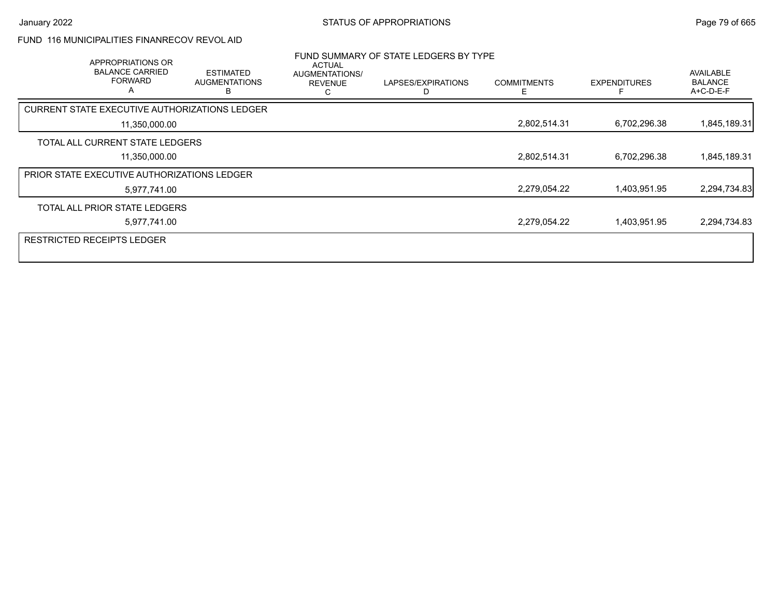### FUND 116 MUNICIPALITIES FINANRECOV REVOL AID

| APPROPRIATIONS OR<br><b>BALANCE CARRIED</b><br><b>FORWARD</b><br>A | <b>ESTIMATED</b><br><b>AUGMENTATIONS</b>      | ACTUAL<br>AUGMENTATIONS/<br><b>REVENUE</b><br>C | FUND SUMMARY OF STATE LEDGERS BY TYPE<br>LAPSES/EXPIRATIONS | <b>COMMITMENTS</b> | <b>EXPENDITURES</b> | AVAILABLE<br><b>BALANCE</b><br>A+C-D-E-F |
|--------------------------------------------------------------------|-----------------------------------------------|-------------------------------------------------|-------------------------------------------------------------|--------------------|---------------------|------------------------------------------|
|                                                                    | CURRENT STATE EXECUTIVE AUTHORIZATIONS LEDGER |                                                 |                                                             |                    |                     |                                          |
| 11,350,000.00                                                      |                                               |                                                 |                                                             | 2,802,514.31       | 6,702,296.38        | 1,845,189.31                             |
| TOTAL ALL CURRENT STATE LEDGERS                                    |                                               |                                                 |                                                             |                    |                     |                                          |
| 11,350,000.00                                                      |                                               |                                                 |                                                             | 2,802,514.31       | 6,702,296.38        | 1,845,189.31                             |
| PRIOR STATE EXECUTIVE AUTHORIZATIONS LEDGER                        |                                               |                                                 |                                                             |                    |                     |                                          |
| 5,977,741.00                                                       |                                               |                                                 |                                                             | 2,279,054.22       | 1,403,951.95        | 2,294,734.83                             |
| TOTAL ALL PRIOR STATE LEDGERS                                      |                                               |                                                 |                                                             |                    |                     |                                          |
| 5,977,741.00                                                       |                                               |                                                 |                                                             | 2,279,054.22       | 1,403,951.95        | 2,294,734.83                             |
| <b>RESTRICTED RECEIPTS LEDGER</b>                                  |                                               |                                                 |                                                             |                    |                     |                                          |
|                                                                    |                                               |                                                 |                                                             |                    |                     |                                          |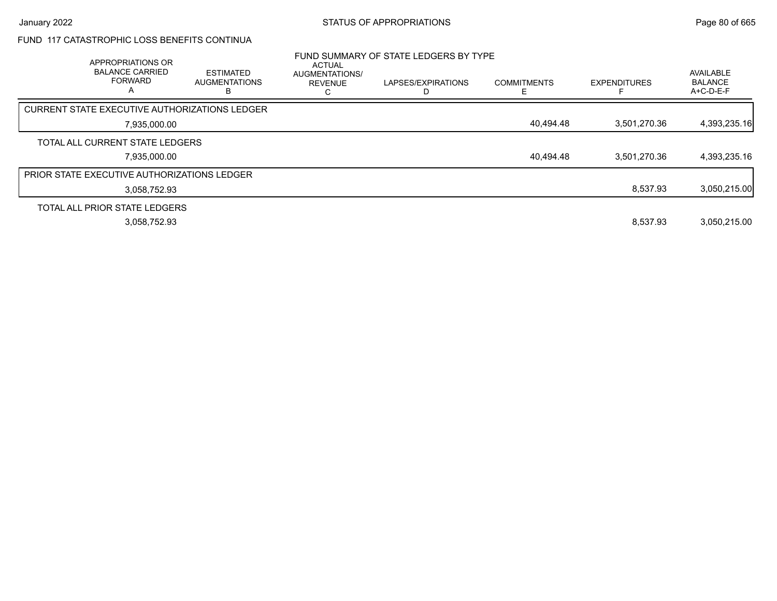### FUND 117 CATASTROPHIC LOSS BENEFITS CONTINUA

| APPROPRIATIONS OR<br><b>BALANCE CARRIED</b><br><b>FORWARD</b><br>A | <b>ESTIMATED</b><br><b>AUGMENTATIONS</b> | ACTUAL<br>AUGMENTATIONS/<br><b>REVENUE</b> | FUND SUMMARY OF STATE LEDGERS BY TYPE<br>LAPSES/EXPIRATIONS | <b>COMMITMENTS</b> | <b>EXPENDITURES</b> | AVAILABLE<br><b>BALANCE</b><br>A+C-D-E-F |
|--------------------------------------------------------------------|------------------------------------------|--------------------------------------------|-------------------------------------------------------------|--------------------|---------------------|------------------------------------------|
| <b>CURRENT STATE EXECUTIVE AUTHORIZATIONS LEDGER</b>               |                                          |                                            |                                                             |                    |                     |                                          |
| 7,935,000.00                                                       |                                          |                                            |                                                             | 40,494.48          | 3.501.270.36        | 4,393,235.16                             |
| TOTAL ALL CURRENT STATE LEDGERS                                    |                                          |                                            |                                                             |                    |                     |                                          |
| 7.935.000.00                                                       |                                          |                                            |                                                             | 40,494.48          | 3.501.270.36        | 4,393,235.16                             |
| <b>PRIOR STATE EXECUTIVE AUTHORIZATIONS LEDGER</b>                 |                                          |                                            |                                                             |                    |                     |                                          |
| 3.058.752.93                                                       |                                          |                                            |                                                             |                    | 8.537.93            | 3,050,215.00                             |
| TOTAL ALL PRIOR STATE LEDGERS                                      |                                          |                                            |                                                             |                    |                     |                                          |
| 3.058.752.93                                                       |                                          |                                            |                                                             |                    | 8.537.93            | 3.050.215.00                             |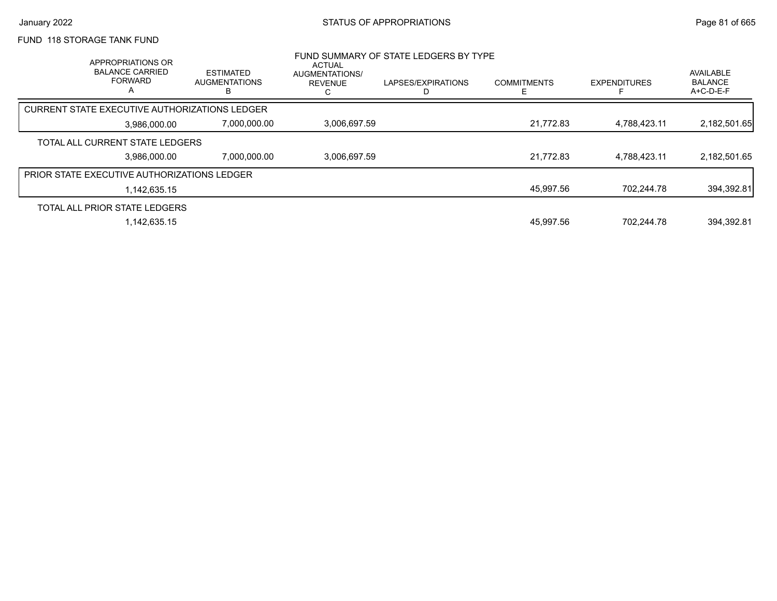### FUND 118 STORAGE TANK FUND

| APPROPRIATIONS OR<br><b>BALANCE CARRIED</b><br><b>FORWARD</b><br>A | <b>ESTIMATED</b><br><b>AUGMENTATIONS</b><br>в | <b>ACTUAL</b><br>AUGMENTATIONS/<br><b>REVENUE</b> | FUND SUMMARY OF STATE LEDGERS BY TYPE<br>LAPSES/EXPIRATIONS | <b>COMMITMENTS</b> | <b>EXPENDITURES</b>       | <b>AVAILABLE</b><br><b>BALANCE</b><br>$A+C-D-E-F$ |
|--------------------------------------------------------------------|-----------------------------------------------|---------------------------------------------------|-------------------------------------------------------------|--------------------|---------------------------|---------------------------------------------------|
| CURRENT STATE EXECUTIVE AUTHORIZATIONS LEDGER                      |                                               |                                                   |                                                             |                    |                           |                                                   |
|                                                                    | 3,986,000.00                                  | 7,000,000.00                                      | 3,006,697.59                                                |                    | 21.772.83<br>4,788,423.11 | 2,182,501.65                                      |
| TOTAL ALL CURRENT STATE LEDGERS                                    |                                               |                                                   |                                                             |                    |                           |                                                   |
|                                                                    | 3.986.000.00                                  | 7.000.000.00                                      | 3,006,697.59                                                |                    | 21,772.83<br>4,788,423.11 | 2,182,501.65                                      |
| <b>PRIOR STATE EXECUTIVE AUTHORIZATIONS LEDGER</b>                 |                                               |                                                   |                                                             |                    |                           |                                                   |
|                                                                    | 1,142,635.15                                  |                                                   |                                                             |                    | 45.997.56<br>702.244.78   | 394,392.81                                        |
| TOTAL ALL PRIOR STATE LEDGERS                                      |                                               |                                                   |                                                             |                    |                           |                                                   |
|                                                                    | 1.142.635.15                                  |                                                   |                                                             |                    | 45.997.56<br>702.244.78   | 394.392.81                                        |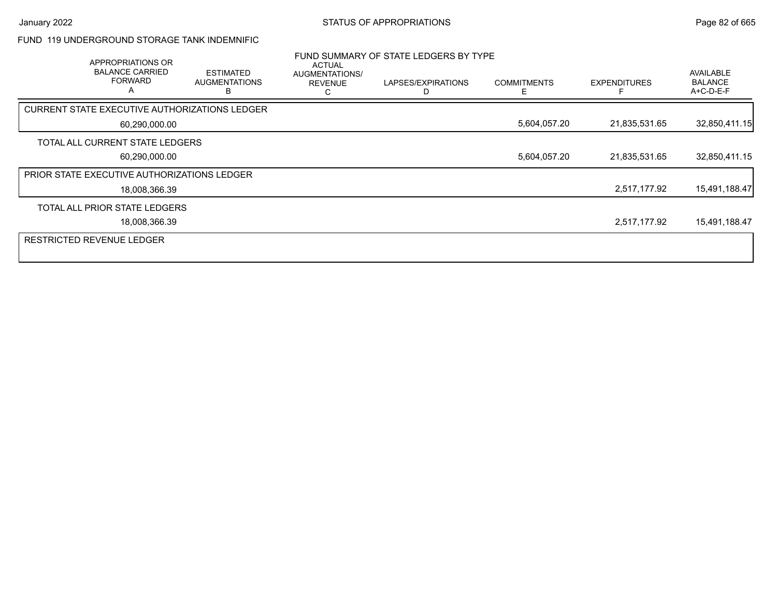#### FUND 119 UNDERGROUND STORAGE TANK INDEMNIFIC

| APPROPRIATIONS OR<br><b>BALANCE CARRIED</b><br><b>FORWARD</b><br>A | <b>ESTIMATED</b><br><b>AUGMENTATIONS</b> | <b>ACTUAL</b><br>AUGMENTATIONS/<br><b>REVENUE</b> | FUND SUMMARY OF STATE LEDGERS BY TYPE<br>LAPSES/EXPIRATIONS | <b>COMMITMENTS</b> | <b>EXPENDITURES</b> | AVAILABLE<br><b>BALANCE</b><br>A+C-D-E-F |
|--------------------------------------------------------------------|------------------------------------------|---------------------------------------------------|-------------------------------------------------------------|--------------------|---------------------|------------------------------------------|
| CURRENT STATE EXECUTIVE AUTHORIZATIONS LEDGER                      |                                          |                                                   |                                                             |                    |                     |                                          |
| 60,290,000.00                                                      |                                          |                                                   |                                                             | 5,604,057.20       | 21,835,531.65       | 32,850,411.15                            |
| TOTAL ALL CURRENT STATE LEDGERS                                    |                                          |                                                   |                                                             |                    |                     |                                          |
| 60,290,000.00                                                      |                                          |                                                   |                                                             | 5,604,057.20       | 21,835,531.65       | 32,850,411.15                            |
| PRIOR STATE EXECUTIVE AUTHORIZATIONS LEDGER                        |                                          |                                                   |                                                             |                    |                     |                                          |
| 18,008,366.39                                                      |                                          |                                                   |                                                             |                    | 2,517,177.92        | 15,491,188.47                            |
| TOTAL ALL PRIOR STATE LEDGERS                                      |                                          |                                                   |                                                             |                    |                     |                                          |
| 18,008,366.39                                                      |                                          |                                                   |                                                             |                    | 2,517,177.92        | 15,491,188.47                            |
| <b>RESTRICTED REVENUE LEDGER</b>                                   |                                          |                                                   |                                                             |                    |                     |                                          |
|                                                                    |                                          |                                                   |                                                             |                    |                     |                                          |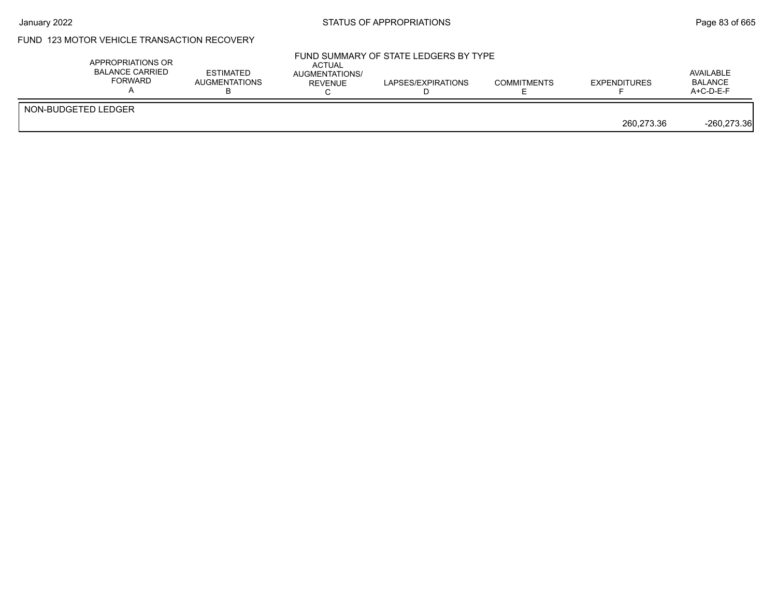## FUND 123 MOTOR VEHICLE TRANSACTION RECOVERY

| APPROPRIATIONS OR<br><b>BALANCE CARRIED</b><br><b>FORWARD</b> | <b>ESTIMATED</b><br><b>AUGMENTATIONS</b> | <b>ACTUAL</b><br>AUGMENTATIONS/<br>REVENUE | FUND SUMMARY OF STATE LEDGERS BY TYPE<br>LAPSES/EXPIRATIONS | <b>COMMITMENTS</b> | <b>EXPENDITURES</b> | AVAILABLE<br><b>BALANCE</b><br>A+C-D-E-F |
|---------------------------------------------------------------|------------------------------------------|--------------------------------------------|-------------------------------------------------------------|--------------------|---------------------|------------------------------------------|
| NON-BUDGETED LEDGER                                           |                                          |                                            |                                                             |                    | 260.273.36          | $-260,273.36$                            |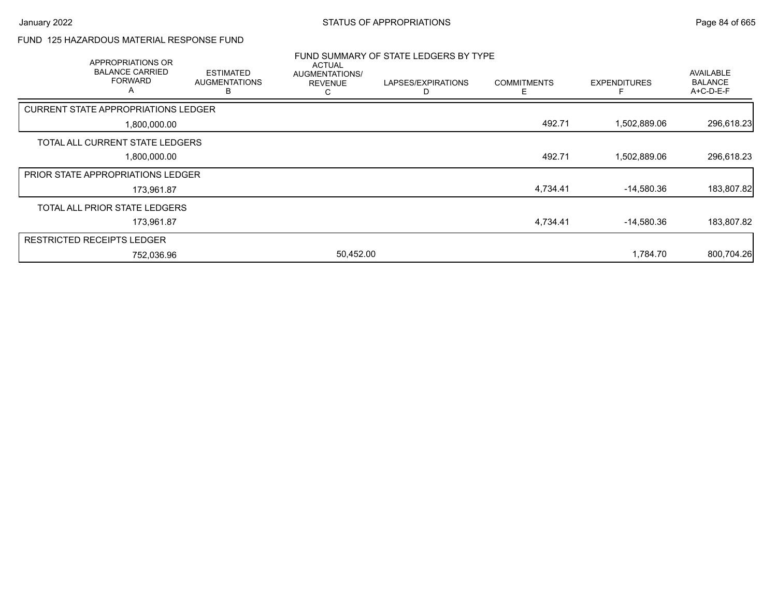### FUND 125 HAZARDOUS MATERIAL RESPONSE FUND

| APPROPRIATIONS OR                          |                                               |                                                        | FUND SUMMARY OF STATE LEDGERS BY TYPE |                    |                     |                                                 |
|--------------------------------------------|-----------------------------------------------|--------------------------------------------------------|---------------------------------------|--------------------|---------------------|-------------------------------------------------|
| <b>BALANCE CARRIED</b><br>FORWARD<br>A     | <b>ESTIMATED</b><br><b>AUGMENTATIONS</b><br>B | <b>ACTUAL</b><br>AUGMENTATIONS/<br><b>REVENUE</b><br>С | LAPSES/EXPIRATIONS                    | <b>COMMITMENTS</b> | <b>EXPENDITURES</b> | <b>AVAILABLE</b><br><b>BALANCE</b><br>A+C-D-E-F |
| <b>CURRENT STATE APPROPRIATIONS LEDGER</b> |                                               |                                                        |                                       |                    |                     |                                                 |
| 1,800,000.00                               |                                               |                                                        |                                       | 492.71             | 1,502,889.06        | 296,618.23                                      |
| TOTAL ALL CURRENT STATE LEDGERS            |                                               |                                                        |                                       |                    |                     |                                                 |
| 1,800,000.00                               |                                               |                                                        |                                       | 492.71             | 1,502,889.06        | 296,618.23                                      |
| <b>PRIOR STATE APPROPRIATIONS LEDGER</b>   |                                               |                                                        |                                       |                    |                     |                                                 |
| 173,961.87                                 |                                               |                                                        |                                       | 4,734.41           | $-14,580.36$        | 183,807.82                                      |
| TOTAL ALL PRIOR STATE LEDGERS              |                                               |                                                        |                                       |                    |                     |                                                 |
| 173,961.87                                 |                                               |                                                        |                                       | 4,734.41           | $-14,580.36$        | 183,807.82                                      |
| <b>RESTRICTED RECEIPTS LEDGER</b>          |                                               |                                                        |                                       |                    |                     |                                                 |
| 752,036.96                                 |                                               | 50,452.00                                              |                                       |                    | 1.784.70            | 800,704.26                                      |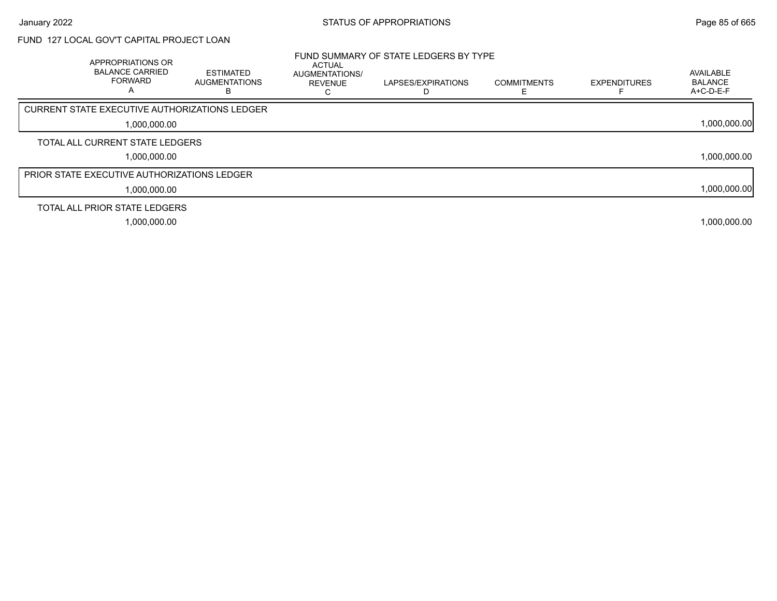# FUND 127 LOCAL GOV'T CAPITAL PROJECT LOAN

| <b>APPROPRIATIONS OR</b><br><b>BALANCE CARRIED</b><br><b>FORWARD</b><br>A | <b>ESTIMATED</b><br><b>AUGMENTATIONS</b> | <b>ACTUAL</b><br><b>AUGMENTATIONS/</b><br><b>REVENUE</b><br>ι. | FUND SUMMARY OF STATE LEDGERS BY TYPE<br>LAPSES/EXPIRATIONS | <b>COMMITMENTS</b> | <b>EXPENDITURES</b> | AVAILABLE<br><b>BALANCE</b><br>$A+C-D-E-F$ |
|---------------------------------------------------------------------------|------------------------------------------|----------------------------------------------------------------|-------------------------------------------------------------|--------------------|---------------------|--------------------------------------------|
| <b>CURRENT STATE EXECUTIVE AUTHORIZATIONS LEDGER</b>                      |                                          |                                                                |                                                             |                    |                     |                                            |
| 1,000,000.00                                                              |                                          |                                                                |                                                             |                    |                     | 1,000,000.00                               |
| TOTAL ALL CURRENT STATE LEDGERS                                           |                                          |                                                                |                                                             |                    |                     |                                            |
| 1,000,000.00                                                              |                                          |                                                                |                                                             |                    |                     | 1,000,000.00                               |
| <b>PRIOR STATE EXECUTIVE AUTHORIZATIONS LEDGER</b>                        |                                          |                                                                |                                                             |                    |                     |                                            |
| 1,000,000.00                                                              |                                          |                                                                |                                                             |                    |                     | 1,000,000.00                               |
| TOTAL ALL PRIOR STATE LEDGERS                                             |                                          |                                                                |                                                             |                    |                     |                                            |
| 1,000,000.00                                                              |                                          |                                                                |                                                             |                    |                     | 1,000,000.00                               |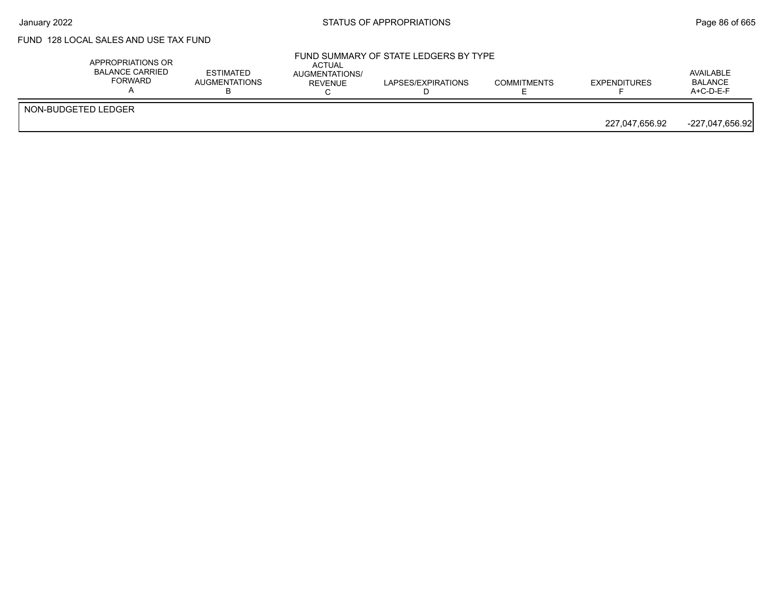## FUND 128 LOCAL SALES AND USE TAX FUND

|                     | APPROPRIATIONS OR<br>BALANCE CARRIED<br>FORWARD | <b>ESTIMATED</b><br><b>AUGMENTATIONS</b> | ACTUAL<br>AUGMENTATIONS/<br>REVENUE | FUND SUMMARY OF STATE LEDGERS BY TYPE<br>LAPSES/EXPIRATIONS | <b>COMMITMENTS</b> | <b>EXPENDITURES</b> | AVAILABLE<br><b>BALANCE</b><br>$A+C-D-E-F$ |
|---------------------|-------------------------------------------------|------------------------------------------|-------------------------------------|-------------------------------------------------------------|--------------------|---------------------|--------------------------------------------|
| NON-BUDGETED LEDGER |                                                 |                                          |                                     |                                                             |                    | 227.047.656.92      | -227,047,656.92                            |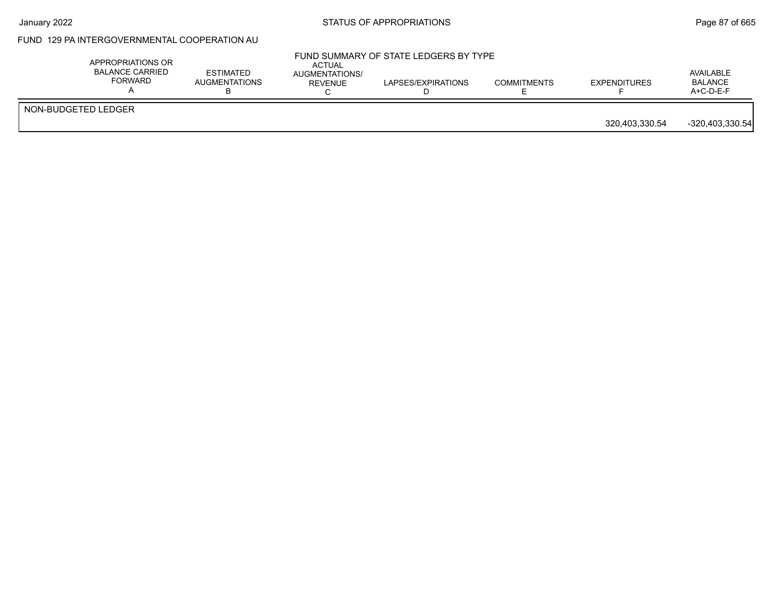# FUND 129 PA INTERGOVERNMENTAL COOPERATION AU

| APPROPRIATIONS OR<br>BALANCE CARRIED<br>FORWARD | <b>ESTIMATED</b><br><b>AUGMENTATIONS</b> | ACTUAL<br>AUGMENTATIONS/<br>REVENUE | FUND SUMMARY OF STATE LEDGERS BY TYPE<br>LAPSES/EXPIRATIONS | <b>COMMITMENTS</b> | <b>EXPENDITURES</b> | AVAILABLE<br><b>BALANCE</b><br>$A+C-D-E-F$ |
|-------------------------------------------------|------------------------------------------|-------------------------------------|-------------------------------------------------------------|--------------------|---------------------|--------------------------------------------|
| NON-BUDGETED LEDGER                             |                                          |                                     |                                                             |                    | 320,403,330.54      | $-320,403,330.54$                          |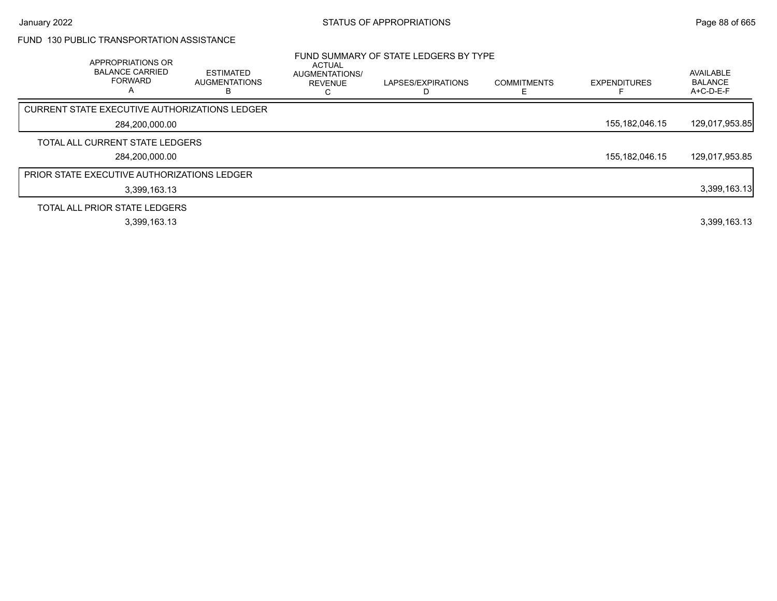### FUND 130 PUBLIC TRANSPORTATION ASSISTANCE

| APPROPRIATIONS OR<br><b>BALANCE CARRIED</b><br><b>FORWARD</b><br>A | <b>ESTIMATED</b><br><b>AUGMENTATIONS</b><br>в | <b>ACTUAL</b><br>AUGMENTATIONS/<br><b>REVENUE</b> | FUND SUMMARY OF STATE LEDGERS BY TYPE<br>LAPSES/EXPIRATIONS | <b>COMMITMENTS</b> | <b>EXPENDITURES</b> | AVAILABLE<br><b>BALANCE</b><br>A+C-D-E-F |
|--------------------------------------------------------------------|-----------------------------------------------|---------------------------------------------------|-------------------------------------------------------------|--------------------|---------------------|------------------------------------------|
| CURRENT STATE EXECUTIVE AUTHORIZATIONS LEDGER                      |                                               |                                                   |                                                             |                    |                     |                                          |
| 284,200,000.00                                                     |                                               |                                                   |                                                             |                    | 155, 182, 046. 15   | 129,017,953.85                           |
| TOTAL ALL CURRENT STATE LEDGERS                                    |                                               |                                                   |                                                             |                    |                     |                                          |
| 284,200,000.00                                                     |                                               |                                                   |                                                             |                    | 155, 182, 046. 15   | 129,017,953.85                           |
| <b>PRIOR STATE EXECUTIVE AUTHORIZATIONS LEDGER</b>                 |                                               |                                                   |                                                             |                    |                     |                                          |
| 3,399,163.13                                                       |                                               |                                                   |                                                             |                    |                     | 3,399,163.13                             |
| TOTAL ALL PRIOR STATE LEDGERS                                      |                                               |                                                   |                                                             |                    |                     |                                          |
| 3,399,163.13                                                       |                                               |                                                   |                                                             |                    |                     | 3,399,163.13                             |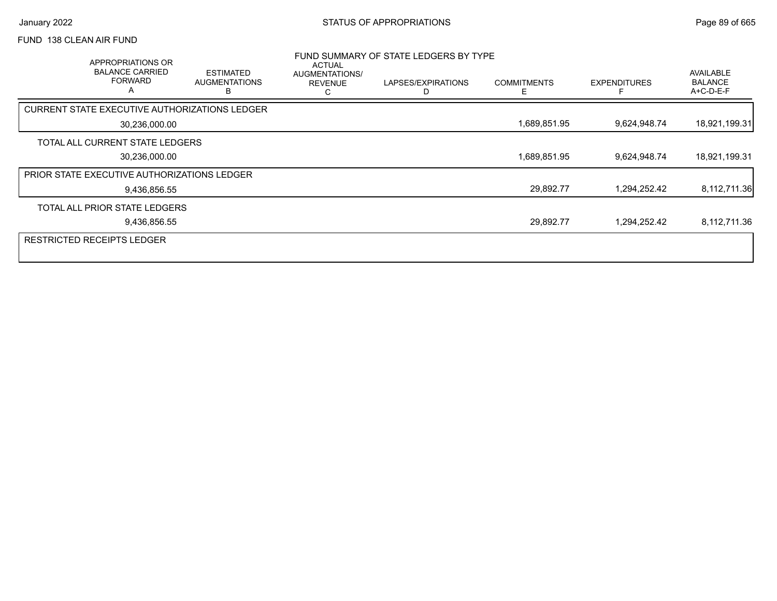### FUND 138 CLEAN AIR FUND

| APPROPRIATIONS OR<br><b>BALANCE CARRIED</b><br><b>FORWARD</b><br>A | <b>ESTIMATED</b><br><b>AUGMENTATIONS</b><br>н | ACTUAL<br>AUGMENTATIONS/<br><b>REVENUE</b><br>С | FUND SUMMARY OF STATE LEDGERS BY TYPE<br>LAPSES/EXPIRATIONS | <b>COMMITMENTS</b><br>F | <b>EXPENDITURES</b> | AVAILABLE<br><b>BALANCE</b><br>A+C-D-E-F |
|--------------------------------------------------------------------|-----------------------------------------------|-------------------------------------------------|-------------------------------------------------------------|-------------------------|---------------------|------------------------------------------|
| CURRENT STATE EXECUTIVE AUTHORIZATIONS LEDGER                      |                                               |                                                 |                                                             |                         |                     |                                          |
| 30,236,000.00                                                      |                                               |                                                 |                                                             | 1,689,851.95            | 9,624,948.74        | 18,921,199.31                            |
| TOTAL ALL CURRENT STATE LEDGERS                                    |                                               |                                                 |                                                             |                         |                     |                                          |
| 30,236,000.00                                                      |                                               |                                                 |                                                             | 1,689,851.95            | 9,624,948.74        | 18,921,199.31                            |
| <b>PRIOR STATE EXECUTIVE AUTHORIZATIONS LEDGER</b>                 |                                               |                                                 |                                                             |                         |                     |                                          |
| 9,436,856.55                                                       |                                               |                                                 |                                                             | 29,892.77               | 1,294,252.42        | 8,112,711.36                             |
| TOTAL ALL PRIOR STATE LEDGERS                                      |                                               |                                                 |                                                             |                         |                     |                                          |
| 9,436,856.55                                                       |                                               |                                                 |                                                             | 29,892.77               | 1,294,252.42        | 8,112,711.36                             |
| <b>RESTRICTED RECEIPTS LEDGER</b>                                  |                                               |                                                 |                                                             |                         |                     |                                          |
|                                                                    |                                               |                                                 |                                                             |                         |                     |                                          |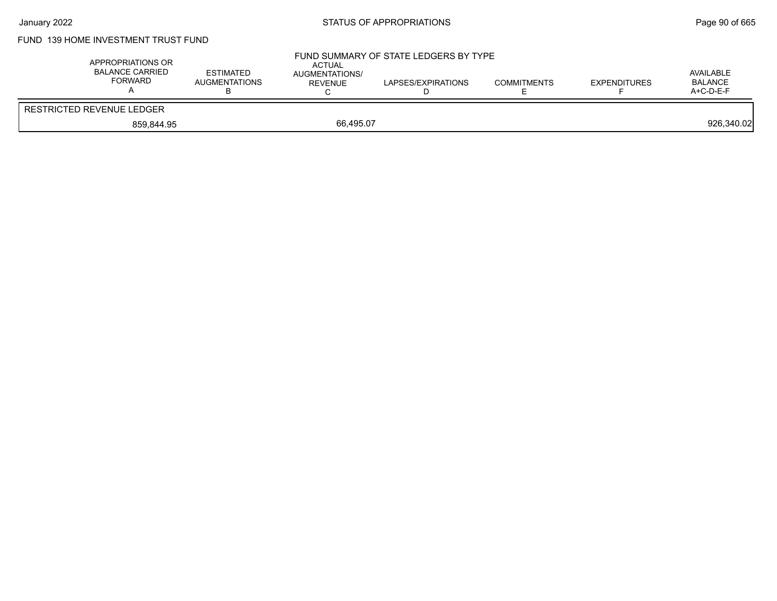# FUND 139 HOME INVESTMENT TRUST FUND

| APPROPRIATIONS OR<br><b>BALANCE CARRIED</b><br><b>FORWARD</b> | <b>ESTIMATED</b><br>AUGMENTATIONS | <b>ACTUAL</b><br>AUGMENTATIONS/<br>REVENUE | FUND SUMMARY OF STATE LEDGERS BY TYPE<br>LAPSES/EXPIRATIONS | <b>COMMITMENTS</b> | <b>EXPENDITURES</b> | AVAILABLE<br>BALANCE<br>A+C-D-E-F |
|---------------------------------------------------------------|-----------------------------------|--------------------------------------------|-------------------------------------------------------------|--------------------|---------------------|-----------------------------------|
| RESTRICTED REVENUE LEDGER                                     |                                   |                                            |                                                             |                    |                     |                                   |
| 859.844.95                                                    |                                   | 66.495.07                                  |                                                             |                    |                     | 926,340.02                        |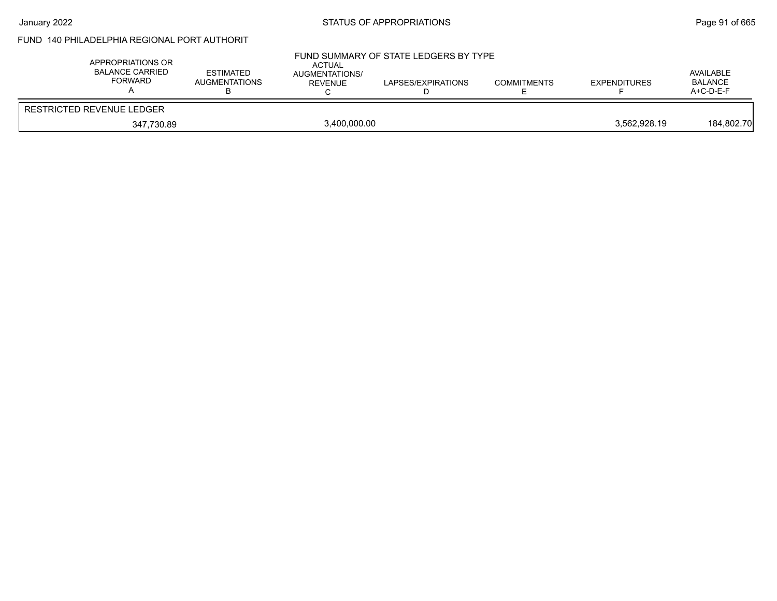# FUND 140 PHILADELPHIA REGIONAL PORT AUTHORIT

| APPROPRIATIONS OR<br><b>BALANCE CARRIED</b><br>FORWARD | <b>ESTIMATED</b><br><b>AUGMENTATIONS</b> | <b>ACTUAL</b><br>AUGMENTATIONS/<br>REVENUE | FUND SUMMARY OF STATE LEDGERS BY TYPE<br>LAPSES/EXPIRATIONS | <b>COMMITMENTS</b> | <b>EXPENDITURES</b> | AVAILABLE<br>BALANCE<br>$A+C-D-E-F$ |
|--------------------------------------------------------|------------------------------------------|--------------------------------------------|-------------------------------------------------------------|--------------------|---------------------|-------------------------------------|
| <b>RESTRICTED REVENUE LEDGER</b>                       |                                          |                                            |                                                             |                    |                     |                                     |
| 347,730.89                                             |                                          | 3,400,000.00                               |                                                             |                    | 3.562.928.19        | 184.802.70                          |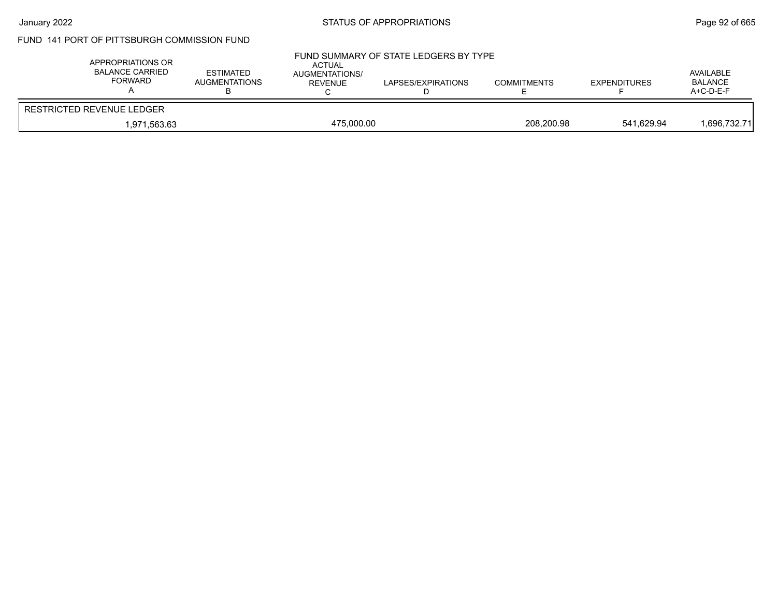## FUND 141 PORT OF PITTSBURGH COMMISSION FUND

| APPROPRIATIONS OR<br>BALANCE CARRIED<br><b>FORWARD</b> | <b>ESTIMATED</b><br><b>AUGMENTATIONS</b> | ACTUAL<br><b>AUGMENTATIONS/</b><br>REVENUE | FUND SUMMARY OF STATE LEDGERS BY TYPE<br>LAPSES/EXPIRATIONS | <b>COMMITMENTS</b> | <b>EXPENDITURES</b> | AVAILABLE<br><b>BALANCE</b><br>$A+C-D-E-F$ |
|--------------------------------------------------------|------------------------------------------|--------------------------------------------|-------------------------------------------------------------|--------------------|---------------------|--------------------------------------------|
| RESTRICTED REVENUE LEDGER                              |                                          |                                            |                                                             |                    |                     |                                            |
| 1.971.563.63                                           | 475.000.00                               |                                            |                                                             | 208.200.98         | 541.629.94          | 1,696,732.71                               |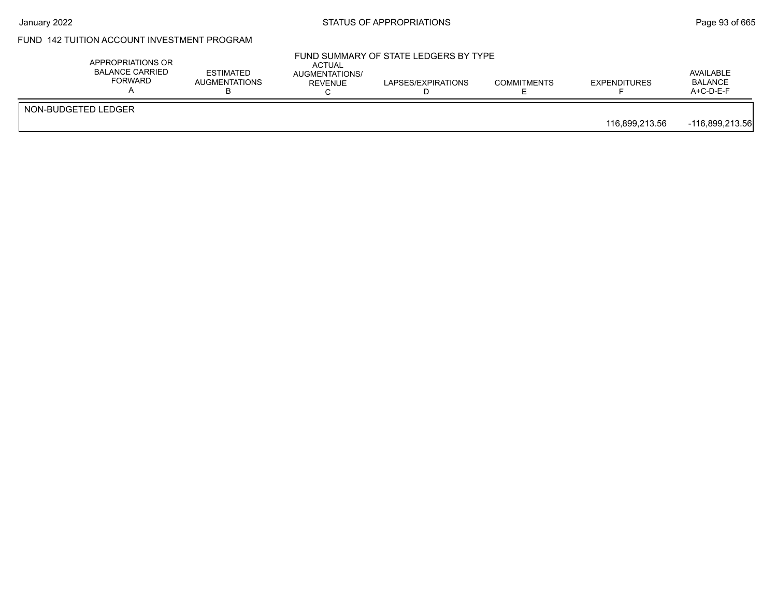# FUND 142 TUITION ACCOUNT INVESTMENT PROGRAM

| APPROPRIATIONS OR<br><b>BALANCE CARRIED</b><br><b>FORWARD</b> | <b>ESTIMATED</b><br>AUGMENTATIONS | ACTUAL<br>AUGMENTATIONS/<br>REVENUE | FUND SUMMARY OF STATE LEDGERS BY TYPE<br>LAPSES/EXPIRATIONS | <b>COMMITMENTS</b> | <b>EXPENDITURES</b> | AVAILABLE<br><b>BALANCE</b><br>$A+C-D-E-F$ |
|---------------------------------------------------------------|-----------------------------------|-------------------------------------|-------------------------------------------------------------|--------------------|---------------------|--------------------------------------------|
| NON-BUDGETED LEDGER                                           |                                   |                                     |                                                             |                    | 116.899.213.56      | -116,899,213.56                            |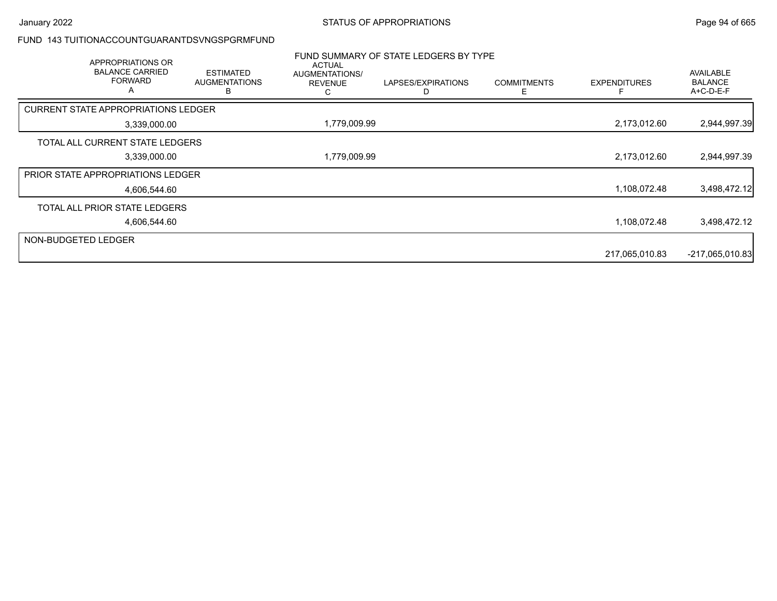#### FUND 143 TUITIONACCOUNTGUARANTDSVNGSPGRMFUND

|                     | APPROPRIATIONS OR<br><b>BALANCE CARRIED</b><br><b>FORWARD</b><br>A | <b>ESTIMATED</b><br><b>AUGMENTATIONS</b><br>R | <b>ACTUAL</b><br>AUGMENTATIONS/<br><b>REVENUE</b><br>С | FUND SUMMARY OF STATE LEDGERS BY TYPE<br>LAPSES/EXPIRATIONS | <b>COMMITMENTS</b><br>Е | <b>EXPENDITURES</b> | <b>AVAILABLE</b><br><b>BALANCE</b><br>A+C-D-E-F |
|---------------------|--------------------------------------------------------------------|-----------------------------------------------|--------------------------------------------------------|-------------------------------------------------------------|-------------------------|---------------------|-------------------------------------------------|
|                     | <b>CURRENT STATE APPROPRIATIONS LEDGER</b>                         |                                               |                                                        |                                                             |                         |                     |                                                 |
|                     | 3,339,000.00                                                       |                                               | 1,779,009.99                                           |                                                             |                         | 2,173,012.60        | 2,944,997.39                                    |
|                     | TOTAL ALL CURRENT STATE LEDGERS                                    |                                               |                                                        |                                                             |                         |                     |                                                 |
|                     | 3,339,000.00                                                       |                                               | 1,779,009.99                                           |                                                             |                         | 2,173,012.60        | 2,944,997.39                                    |
|                     | <b>PRIOR STATE APPROPRIATIONS LEDGER</b>                           |                                               |                                                        |                                                             |                         |                     |                                                 |
|                     | 4.606.544.60                                                       |                                               |                                                        |                                                             |                         | 1,108,072.48        | 3,498,472.12                                    |
|                     | TOTAL ALL PRIOR STATE LEDGERS                                      |                                               |                                                        |                                                             |                         |                     |                                                 |
|                     | 4,606,544.60                                                       |                                               |                                                        |                                                             |                         | 1,108,072.48        | 3,498,472.12                                    |
| NON-BUDGETED LEDGER |                                                                    |                                               |                                                        |                                                             |                         |                     |                                                 |
|                     |                                                                    |                                               |                                                        |                                                             |                         | 217,065,010.83      | $-217,065,010.83$                               |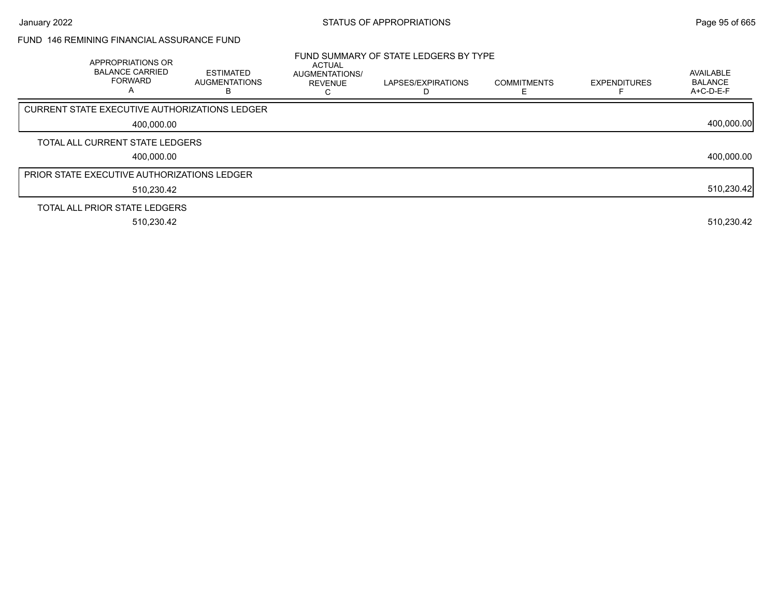### FUND 146 REMINING FINANCIAL ASSURANCE FUND

| APPROPRIATIONS OR<br><b>BALANCE CARRIED</b><br><b>FORWARD</b><br>Α | <b>ESTIMATED</b><br>AUGMENTATIONS<br>в | <b>ACTUAL</b><br><b>AUGMENTATIONS/</b><br><b>REVENUE</b> | FUND SUMMARY OF STATE LEDGERS BY TYPE<br>LAPSES/EXPIRATIONS | <b>COMMITMENTS</b><br>E | <b>EXPENDITURES</b> | AVAILABLE<br><b>BALANCE</b><br>A+C-D-E-F |
|--------------------------------------------------------------------|----------------------------------------|----------------------------------------------------------|-------------------------------------------------------------|-------------------------|---------------------|------------------------------------------|
| <b>CURRENT STATE EXECUTIVE AUTHORIZATIONS LEDGER</b>               |                                        |                                                          |                                                             |                         |                     |                                          |
| 400.000.00                                                         |                                        |                                                          |                                                             |                         |                     | 400,000.00                               |
| TOTAL ALL CURRENT STATE LEDGERS                                    |                                        |                                                          |                                                             |                         |                     |                                          |
| 400,000.00                                                         |                                        |                                                          |                                                             |                         |                     | 400,000.00                               |
| <b>PRIOR STATE EXECUTIVE AUTHORIZATIONS LEDGER</b>                 |                                        |                                                          |                                                             |                         |                     |                                          |
| 510,230.42                                                         |                                        |                                                          |                                                             |                         |                     | 510,230.42                               |
| TOTAL ALL PRIOR STATE LEDGERS                                      |                                        |                                                          |                                                             |                         |                     |                                          |
| 510,230.42                                                         |                                        |                                                          |                                                             |                         |                     | 510,230.42                               |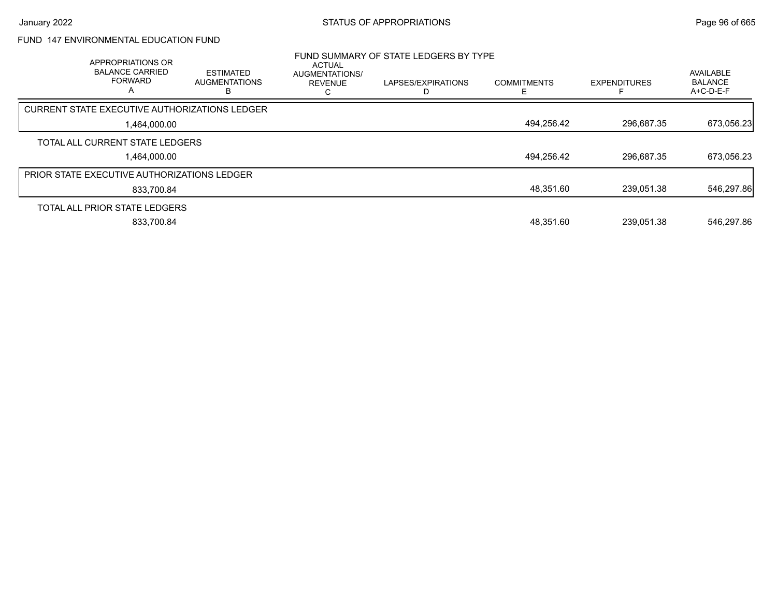# FUND 147 ENVIRONMENTAL EDUCATION FUND

| APPROPRIATIONS OR<br><b>BALANCE CARRIED</b><br><b>FORWARD</b><br>$\mathsf{A}$ | <b>ESTIMATED</b><br><b>AUGMENTATIONS</b> | <b>ACTUAL</b><br><b>AUGMENTATIONS/</b><br><b>REVENUE</b> | FUND SUMMARY OF STATE LEDGERS BY TYPE<br>LAPSES/EXPIRATIONS | <b>COMMITMENTS</b> | <b>EXPENDITURES</b> | <b>AVAILABLE</b><br><b>BALANCE</b><br>$A+C-D-E-F$ |
|-------------------------------------------------------------------------------|------------------------------------------|----------------------------------------------------------|-------------------------------------------------------------|--------------------|---------------------|---------------------------------------------------|
| <b>CURRENT STATE EXECUTIVE AUTHORIZATIONS LEDGER</b>                          |                                          |                                                          |                                                             |                    |                     |                                                   |
| 1.464.000.00                                                                  |                                          |                                                          |                                                             | 494,256.42         | 296,687.35          | 673,056.23                                        |
| TOTAL ALL CURRENT STATE LEDGERS                                               |                                          |                                                          |                                                             |                    |                     |                                                   |
| 1.464.000.00                                                                  |                                          |                                                          |                                                             | 494,256.42         | 296.687.35          | 673,056.23                                        |
| PRIOR STATE EXECUTIVE AUTHORIZATIONS LEDGER                                   |                                          |                                                          |                                                             |                    |                     |                                                   |
| 833.700.84                                                                    |                                          |                                                          |                                                             | 48,351.60          | 239.051.38          | 546,297.86                                        |
| TOTAL ALL PRIOR STATE LEDGERS                                                 |                                          |                                                          |                                                             |                    |                     |                                                   |
| 833.700.84                                                                    |                                          |                                                          |                                                             | 48.351.60          | 239.051.38          | 546.297.86                                        |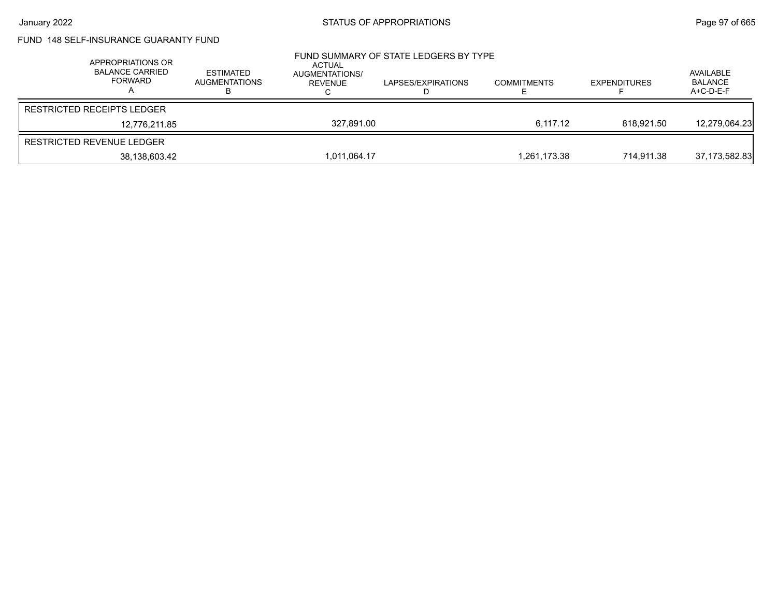# FUND 148 SELF-INSURANCE GUARANTY FUND

| APPROPRIATIONS OR<br><b>BALANCE CARRIED</b><br><b>FORWARD</b> | ESTIMATED<br>AUGMENTATIONS | ACTUAL<br>AUGMENTATIONS/<br>REVENUE | FUND SUMMARY OF STATE LEDGERS BY TYPE<br>LAPSES/EXPIRATIONS | <b>COMMITMENTS</b> | <b>EXPENDITURES</b> | AVAILABLE<br><b>BALANCE</b><br>A+C-D-E-F |
|---------------------------------------------------------------|----------------------------|-------------------------------------|-------------------------------------------------------------|--------------------|---------------------|------------------------------------------|
| <b>RESTRICTED RECEIPTS LEDGER</b>                             |                            |                                     |                                                             |                    |                     |                                          |
| 12.776.211.85                                                 |                            | 327.891.00                          |                                                             | 6.117.12           | 818.921.50          | 12,279,064.23                            |
| RESTRICTED REVENUE LEDGER                                     |                            |                                     |                                                             |                    |                     |                                          |
| 38,138,603.42                                                 |                            | 1,011,064.17                        |                                                             | 1.261.173.38       | 714.911.38          | 37,173,582.83                            |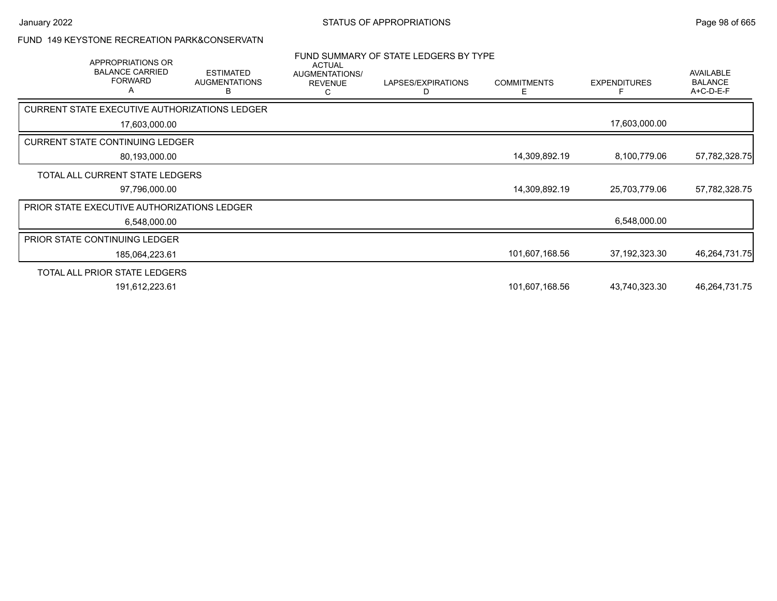### FUND 149 KEYSTONE RECREATION PARK&CONSERVATN

| APPROPRIATIONS OR<br><b>BALANCE CARRIED</b><br><b>FORWARD</b><br>A | <b>ESTIMATED</b><br><b>AUGMENTATIONS</b><br>В | <b>ACTUAL</b><br>AUGMENTATIONS/<br><b>REVENUE</b><br>C | FUND SUMMARY OF STATE LEDGERS BY TYPE<br>LAPSES/EXPIRATIONS<br>D | <b>COMMITMENTS</b><br>E | <b>EXPENDITURES</b> | <b>AVAILABLE</b><br><b>BALANCE</b><br>A+C-D-E-F |
|--------------------------------------------------------------------|-----------------------------------------------|--------------------------------------------------------|------------------------------------------------------------------|-------------------------|---------------------|-------------------------------------------------|
| CURRENT STATE EXECUTIVE AUTHORIZATIONS LEDGER                      |                                               |                                                        |                                                                  |                         |                     |                                                 |
| 17,603,000.00                                                      |                                               |                                                        |                                                                  |                         | 17,603,000.00       |                                                 |
| <b>CURRENT STATE CONTINUING LEDGER</b>                             |                                               |                                                        |                                                                  |                         |                     |                                                 |
| 80,193,000.00                                                      |                                               |                                                        |                                                                  | 14,309,892.19           | 8,100,779.06        | 57,782,328.75                                   |
| TOTAL ALL CURRENT STATE LEDGERS                                    |                                               |                                                        |                                                                  |                         |                     |                                                 |
| 97,796,000.00                                                      |                                               |                                                        |                                                                  | 14,309,892.19           | 25,703,779.06       | 57,782,328.75                                   |
| <b>PRIOR STATE EXECUTIVE AUTHORIZATIONS LEDGER</b>                 |                                               |                                                        |                                                                  |                         |                     |                                                 |
| 6,548,000.00                                                       |                                               |                                                        |                                                                  |                         | 6,548,000.00        |                                                 |
| PRIOR STATE CONTINUING LEDGER                                      |                                               |                                                        |                                                                  |                         |                     |                                                 |
| 185,064,223.61                                                     |                                               |                                                        |                                                                  | 101,607,168.56          | 37, 192, 323. 30    | 46,264,731.75                                   |
| TOTAL ALL PRIOR STATE LEDGERS                                      |                                               |                                                        |                                                                  |                         |                     |                                                 |
| 191,612,223.61                                                     |                                               |                                                        |                                                                  | 101,607,168.56          | 43,740,323.30       | 46,264,731.75                                   |
|                                                                    |                                               |                                                        |                                                                  |                         |                     |                                                 |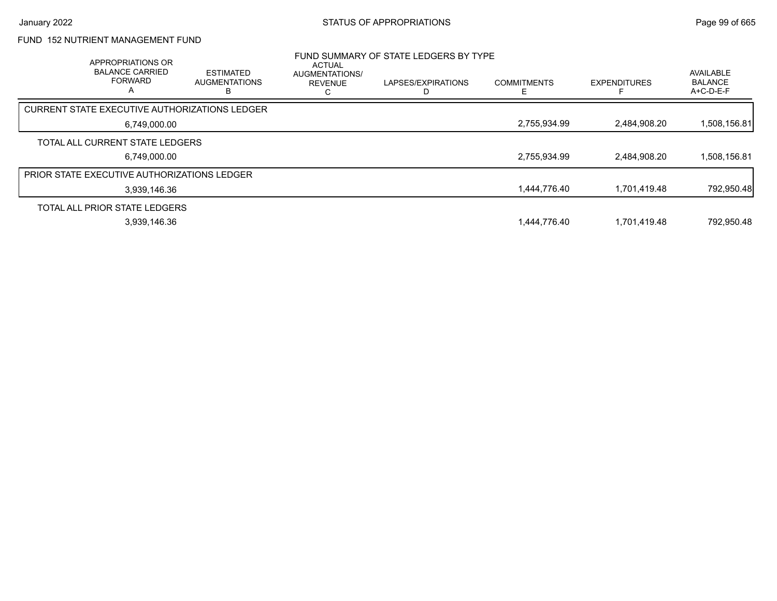# FUND 152 NUTRIENT MANAGEMENT FUND

| <b>APPROPRIATIONS OR</b><br><b>BALANCE CARRIED</b><br><b>FORWARD</b><br>A | <b>ESTIMATED</b><br><b>AUGMENTATIONS</b> | <b>ACTUAL</b><br><b>AUGMENTATIONS/</b><br><b>REVENUE</b> | FUND SUMMARY OF STATE LEDGERS BY TYPE<br>LAPSES/EXPIRATIONS | <b>COMMITMENTS</b> | <b>EXPENDITURES</b> | <b>AVAILABLE</b><br><b>BALANCE</b><br>$A+C-D-E-F$ |
|---------------------------------------------------------------------------|------------------------------------------|----------------------------------------------------------|-------------------------------------------------------------|--------------------|---------------------|---------------------------------------------------|
| <b>CURRENT STATE EXECUTIVE AUTHORIZATIONS LEDGER</b>                      |                                          |                                                          |                                                             |                    |                     |                                                   |
| 6,749,000.00                                                              |                                          |                                                          |                                                             | 2,755,934.99       | 2,484,908.20        | 1,508,156.81                                      |
| TOTAL ALL CURRENT STATE LEDGERS                                           |                                          |                                                          |                                                             |                    |                     |                                                   |
| 6.749.000.00                                                              |                                          |                                                          |                                                             | 2,755,934.99       | 2,484,908.20        | 1,508,156.81                                      |
| <b>PRIOR STATE EXECUTIVE AUTHORIZATIONS LEDGER</b>                        |                                          |                                                          |                                                             |                    |                     |                                                   |
| 3,939,146.36                                                              |                                          |                                                          |                                                             | 1,444,776.40       | 1,701,419.48        | 792,950.48                                        |
| TOTAL ALL PRIOR STATE LEDGERS                                             |                                          |                                                          |                                                             |                    |                     |                                                   |
| 3,939,146.36                                                              |                                          |                                                          |                                                             | 1,444,776.40       | 1,701,419.48        | 792,950.48                                        |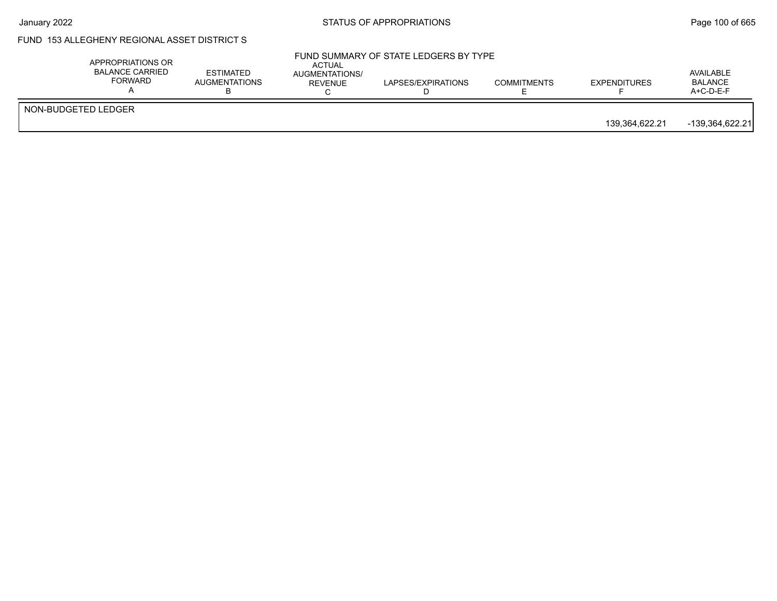## FUND 153 ALLEGHENY REGIONAL ASSET DISTRICT S

|                     | APPROPRIATIONS OR<br><b>BALANCE CARRIED</b><br>FORWARD | <b>ESTIMATED</b><br><b>AUGMENTATIONS</b> | ACTUAL<br>AUGMENTATIONS/<br>REVENUE | FUND SUMMARY OF STATE LEDGERS BY TYPE<br>LAPSES/EXPIRATIONS | <b>COMMITMENTS</b> | <b>EXPENDITURES</b> | AVAILABLE<br>BALANCE<br>A+C-D-E-F |
|---------------------|--------------------------------------------------------|------------------------------------------|-------------------------------------|-------------------------------------------------------------|--------------------|---------------------|-----------------------------------|
| NON-BUDGETED LEDGER |                                                        |                                          |                                     |                                                             |                    | 139,364,622.21      | $-139,364,622.21$                 |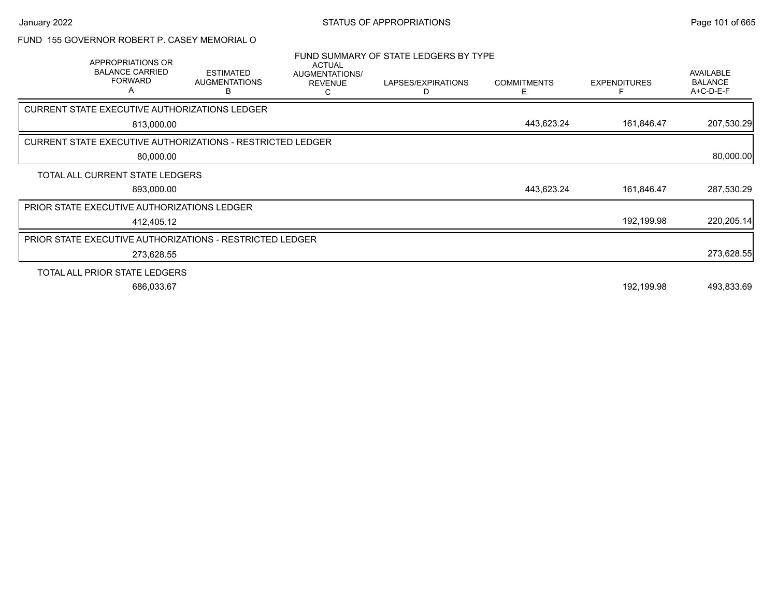#### FUND 155 GOVERNOR ROBERT P. CASEY MEMORIAL O

| APPROPRIATIONS OR<br><b>BALANCE CARRIED</b><br><b>FORWARD</b><br>A | <b>ESTIMATED</b><br><b>AUGMENTATIONS</b><br>в | <b>ACTUAL</b><br>AUGMENTATIONS/<br><b>REVENUE</b><br>C | FUND SUMMARY OF STATE LEDGERS BY TYPE<br>LAPSES/EXPIRATIONS<br>D | <b>COMMITMENTS</b><br>E | <b>EXPENDITURES</b> | <b>AVAILABLE</b><br><b>BALANCE</b><br>A+C-D-E-F |
|--------------------------------------------------------------------|-----------------------------------------------|--------------------------------------------------------|------------------------------------------------------------------|-------------------------|---------------------|-------------------------------------------------|
| CURRENT STATE EXECUTIVE AUTHORIZATIONS LEDGER                      |                                               |                                                        |                                                                  |                         |                     |                                                 |
| 813,000.00                                                         |                                               |                                                        |                                                                  | 443,623.24              | 161,846.47          | 207,530.29                                      |
| <b>CURRENT STATE EXECUTIVE AUTHORIZATIONS - RESTRICTED LEDGER</b>  |                                               |                                                        |                                                                  |                         |                     |                                                 |
|                                                                    | 80,000.00                                     |                                                        |                                                                  |                         |                     | 80,000.00                                       |
| TOTAL ALL CURRENT STATE LEDGERS                                    |                                               |                                                        |                                                                  |                         |                     |                                                 |
| 893,000.00                                                         |                                               |                                                        |                                                                  | 443,623.24              | 161,846.47          | 287,530.29                                      |
| PRIOR STATE EXECUTIVE AUTHORIZATIONS LEDGER                        |                                               |                                                        |                                                                  |                         |                     |                                                 |
| 412,405.12                                                         |                                               |                                                        |                                                                  |                         | 192,199.98          | 220,205.14                                      |
| <b>PRIOR STATE EXECUTIVE AUTHORIZATIONS - RESTRICTED LEDGER</b>    |                                               |                                                        |                                                                  |                         |                     |                                                 |
| 273,628.55                                                         |                                               |                                                        |                                                                  |                         |                     | 273,628.55                                      |
| TOTAL ALL PRIOR STATE LEDGERS                                      |                                               |                                                        |                                                                  |                         |                     |                                                 |
| 686,033.67                                                         |                                               |                                                        |                                                                  |                         | 192,199.98          | 493,833.69                                      |
|                                                                    |                                               |                                                        |                                                                  |                         |                     |                                                 |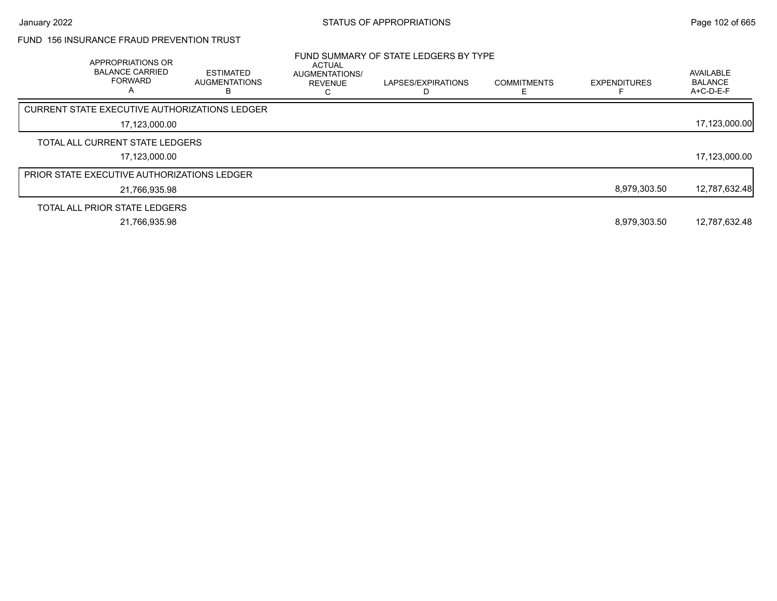### FUND 156 INSURANCE FRAUD PREVENTION TRUST

| APPROPRIATIONS OR<br><b>BALANCE CARRIED</b><br><b>FORWARD</b><br>A | <b>ESTIMATED</b><br><b>AUGMENTATIONS</b><br>в | <b>ACTUAL</b><br>AUGMENTATIONS/<br><b>REVENUE</b> | FUND SUMMARY OF STATE LEDGERS BY TYPE<br>LAPSES/EXPIRATIONS | <b>COMMITMENTS</b> | <b>EXPENDITURES</b> | AVAILABLE<br><b>BALANCE</b><br>$A+C-D-E-F$ |
|--------------------------------------------------------------------|-----------------------------------------------|---------------------------------------------------|-------------------------------------------------------------|--------------------|---------------------|--------------------------------------------|
| CURRENT STATE EXECUTIVE AUTHORIZATIONS LEDGER                      |                                               |                                                   |                                                             |                    |                     |                                            |
| 17,123,000.00                                                      |                                               |                                                   |                                                             |                    |                     | 17,123,000.00                              |
| TOTAL ALL CURRENT STATE LEDGERS                                    |                                               |                                                   |                                                             |                    |                     |                                            |
| 17,123,000.00                                                      |                                               |                                                   |                                                             |                    |                     | 17,123,000.00                              |
| <b>PRIOR STATE EXECUTIVE AUTHORIZATIONS LEDGER</b>                 |                                               |                                                   |                                                             |                    |                     |                                            |
| 21,766,935.98                                                      |                                               |                                                   |                                                             |                    | 8,979,303.50        | 12,787,632.48                              |
| TOTAL ALL PRIOR STATE LEDGERS                                      |                                               |                                                   |                                                             |                    |                     |                                            |
| 21,766,935.98                                                      |                                               |                                                   |                                                             |                    | 8,979,303.50        | 12,787,632.48                              |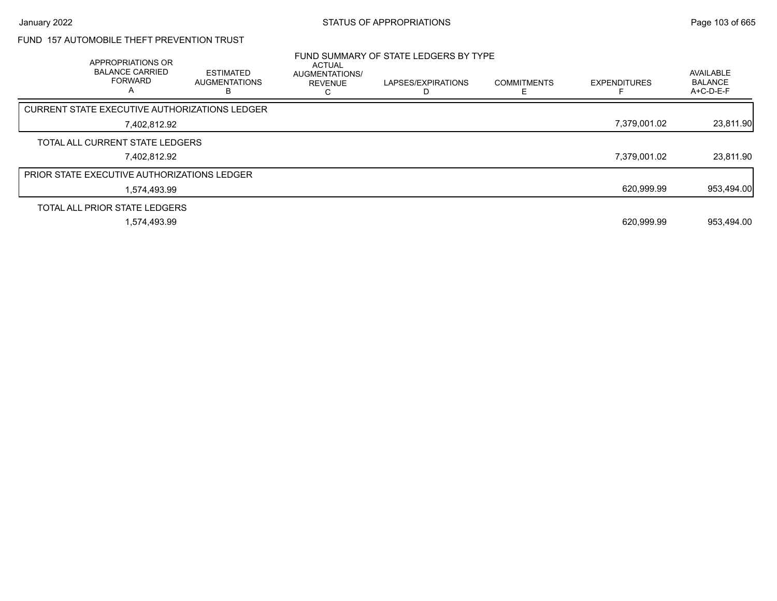# FUND 157 AUTOMOBILE THEFT PREVENTION TRUST

| APPROPRIATIONS OR<br><b>BALANCE CARRIED</b><br><b>FORWARD</b><br>Α | <b>ESTIMATED</b><br><b>AUGMENTATIONS</b><br>В | ACTUAL<br><b>AUGMENTATIONS/</b><br><b>REVENUE</b> | FUND SUMMARY OF STATE LEDGERS BY TYPE<br>LAPSES/EXPIRATIONS | <b>COMMITMENTS</b> | <b>EXPENDITURES</b> | <b>AVAILABLE</b><br><b>BALANCE</b><br>A+C-D-E-F |
|--------------------------------------------------------------------|-----------------------------------------------|---------------------------------------------------|-------------------------------------------------------------|--------------------|---------------------|-------------------------------------------------|
| CURRENT STATE EXECUTIVE AUTHORIZATIONS LEDGER                      |                                               |                                                   |                                                             |                    |                     |                                                 |
| 7.402.812.92                                                       |                                               |                                                   |                                                             |                    | 7,379,001.02        | 23,811.90                                       |
| TOTAL ALL CURRENT STATE LEDGERS                                    |                                               |                                                   |                                                             |                    |                     |                                                 |
| 7.402.812.92                                                       |                                               |                                                   |                                                             |                    | 7.379.001.02        | 23,811.90                                       |
| <b>PRIOR STATE EXECUTIVE AUTHORIZATIONS LEDGER</b>                 |                                               |                                                   |                                                             |                    |                     |                                                 |
| 1.574.493.99                                                       |                                               |                                                   |                                                             |                    | 620,999.99          | 953,494.00                                      |
| TOTAL ALL PRIOR STATE LEDGERS                                      |                                               |                                                   |                                                             |                    |                     |                                                 |
| 1.574.493.99                                                       |                                               |                                                   |                                                             |                    | 620.999.99          | 953.494.00                                      |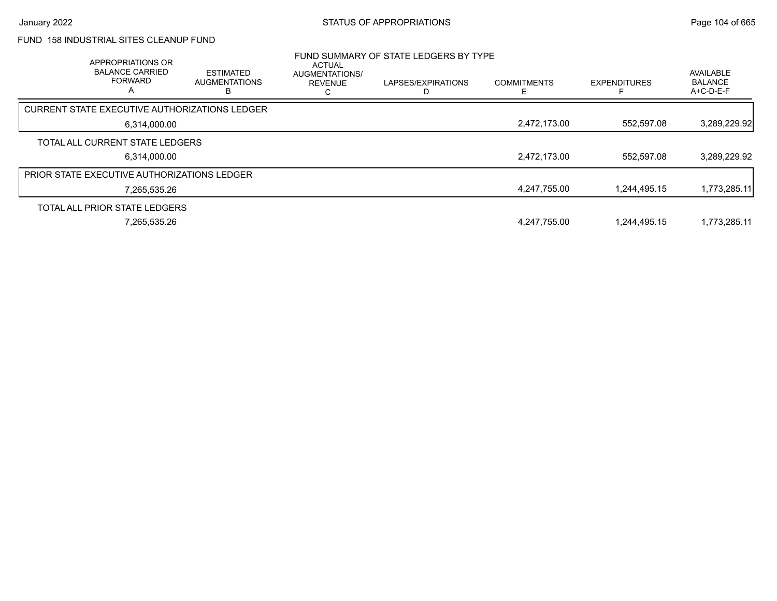# FUND 158 INDUSTRIAL SITES CLEANUP FUND

| APPROPRIATIONS OR<br><b>BALANCE CARRIED</b><br><b>FORWARD</b><br>A | <b>ESTIMATED</b><br><b>AUGMENTATIONS</b> | <b>ACTUAL</b><br>AUGMENTATIONS/<br><b>REVENUE</b> | FUND SUMMARY OF STATE LEDGERS BY TYPE<br>LAPSES/EXPIRATIONS | <b>COMMITMENTS</b> | <b>EXPENDITURES</b> | AVAILABLE<br><b>BALANCE</b><br>$A+C-D-E-F$ |
|--------------------------------------------------------------------|------------------------------------------|---------------------------------------------------|-------------------------------------------------------------|--------------------|---------------------|--------------------------------------------|
| CURRENT STATE EXECUTIVE AUTHORIZATIONS LEDGER                      |                                          |                                                   |                                                             |                    |                     |                                            |
| 6,314,000.00                                                       |                                          |                                                   |                                                             | 2,472,173.00       | 552,597.08          | 3,289,229.92                               |
| TOTAL ALL CURRENT STATE LEDGERS                                    |                                          |                                                   |                                                             |                    |                     |                                            |
| 6,314,000.00                                                       |                                          |                                                   |                                                             | 2,472,173.00       | 552.597.08          | 3,289,229.92                               |
| <b>PRIOR STATE EXECUTIVE AUTHORIZATIONS LEDGER</b>                 |                                          |                                                   |                                                             |                    |                     |                                            |
| 7,265,535.26                                                       |                                          |                                                   |                                                             | 4,247,755.00       | 1.244.495.15        | 1,773,285.11                               |
| TOTAL ALL PRIOR STATE LEDGERS                                      |                                          |                                                   |                                                             |                    |                     |                                            |
| 7,265,535.26                                                       |                                          |                                                   |                                                             | 4,247,755.00       | 1,244,495.15        | 1,773,285.11                               |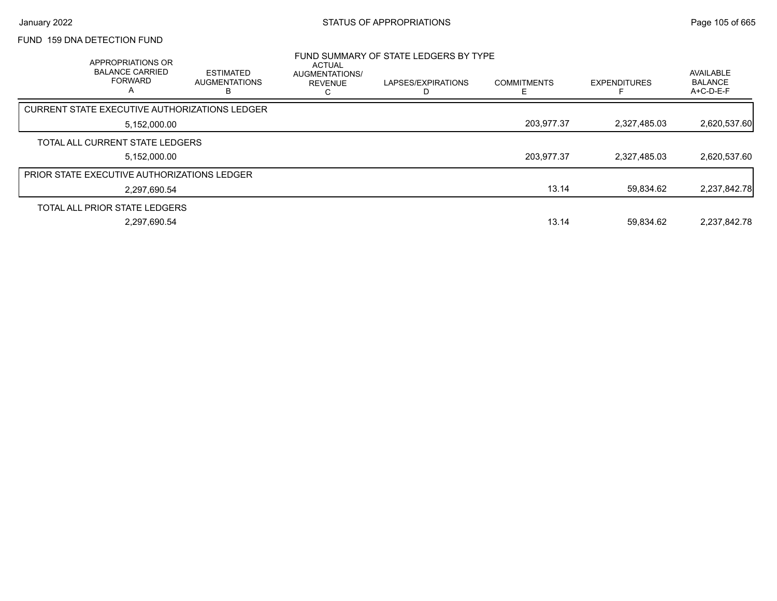## FUND 159 DNA DETECTION FUND

| APPROPRIATIONS OR<br><b>BALANCE CARRIED</b><br><b>FORWARD</b><br>А | <b>ESTIMATED</b><br><b>AUGMENTATIONS</b><br>в | <b>ACTUAL</b><br>AUGMENTATIONS/<br><b>REVENUE</b> | FUND SUMMARY OF STATE LEDGERS BY TYPE<br>LAPSES/EXPIRATIONS | <b>COMMITMENTS</b> | <b>EXPENDITURES</b> | AVAILABLE<br><b>BALANCE</b><br>$A+C-D-E-F$ |
|--------------------------------------------------------------------|-----------------------------------------------|---------------------------------------------------|-------------------------------------------------------------|--------------------|---------------------|--------------------------------------------|
| CURRENT STATE EXECUTIVE AUTHORIZATIONS LEDGER                      |                                               |                                                   |                                                             |                    |                     |                                            |
| 5,152,000.00                                                       |                                               |                                                   |                                                             | 203,977.37         | 2,327,485.03        | 2,620,537.60                               |
| TOTAL ALL CURRENT STATE LEDGERS                                    |                                               |                                                   |                                                             |                    |                     |                                            |
| 5,152,000.00                                                       |                                               |                                                   |                                                             | 203,977.37         | 2,327,485.03        | 2,620,537.60                               |
| <b>PRIOR STATE EXECUTIVE AUTHORIZATIONS LEDGER</b>                 |                                               |                                                   |                                                             |                    |                     |                                            |
| 2,297,690.54                                                       |                                               |                                                   |                                                             | 13.14              | 59.834.62           | 2,237,842.78                               |
| TOTAL ALL PRIOR STATE LEDGERS                                      |                                               |                                                   |                                                             |                    |                     |                                            |
| 2.297.690.54                                                       |                                               |                                                   |                                                             | 13.14              | 59.834.62           | 2.237.842.78                               |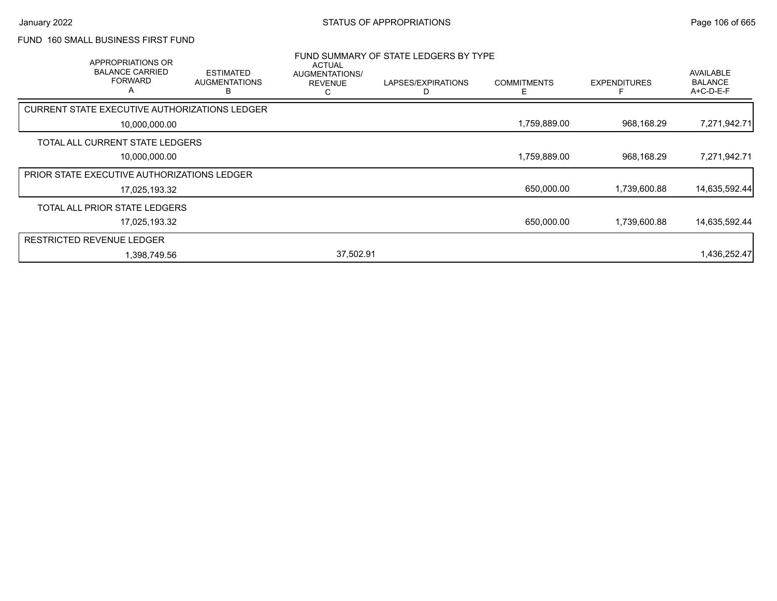### FUND 160 SMALL BUSINESS FIRST FUND

| APPROPRIATIONS OR<br><b>BALANCE CARRIED</b><br><b>FORWARD</b><br>A | <b>ESTIMATED</b><br><b>AUGMENTATIONS</b><br>R | <b>ACTUAL</b><br>AUGMENTATIONS/<br><b>REVENUE</b><br>С | FUND SUMMARY OF STATE LEDGERS BY TYPE<br>LAPSES/EXPIRATIONS<br>D | <b>COMMITMENTS</b><br>E | <b>EXPENDITURES</b> | AVAILABLE<br><b>BALANCE</b><br>A+C-D-E-F |
|--------------------------------------------------------------------|-----------------------------------------------|--------------------------------------------------------|------------------------------------------------------------------|-------------------------|---------------------|------------------------------------------|
| CURRENT STATE EXECUTIVE AUTHORIZATIONS LEDGER                      |                                               |                                                        |                                                                  |                         |                     |                                          |
| 10,000,000.00                                                      |                                               |                                                        |                                                                  | 1,759,889.00            | 968,168.29          | 7,271,942.71                             |
| TOTAL ALL CURRENT STATE LEDGERS                                    |                                               |                                                        |                                                                  |                         |                     |                                          |
| 10,000,000.00                                                      |                                               |                                                        |                                                                  | 1,759,889.00            | 968,168.29          | 7,271,942.71                             |
| PRIOR STATE EXECUTIVE AUTHORIZATIONS LEDGER                        |                                               |                                                        |                                                                  |                         |                     |                                          |
| 17,025,193.32                                                      |                                               |                                                        |                                                                  | 650,000.00              | 1,739,600.88        | 14,635,592.44                            |
| TOTAL ALL PRIOR STATE LEDGERS                                      |                                               |                                                        |                                                                  |                         |                     |                                          |
| 17,025,193.32                                                      |                                               |                                                        |                                                                  | 650,000.00              | 1,739,600.88        | 14,635,592.44                            |
| <b>RESTRICTED REVENUE LEDGER</b>                                   |                                               |                                                        |                                                                  |                         |                     |                                          |
| 1,398,749.56                                                       |                                               | 37,502.91                                              |                                                                  |                         |                     | 1,436,252.47                             |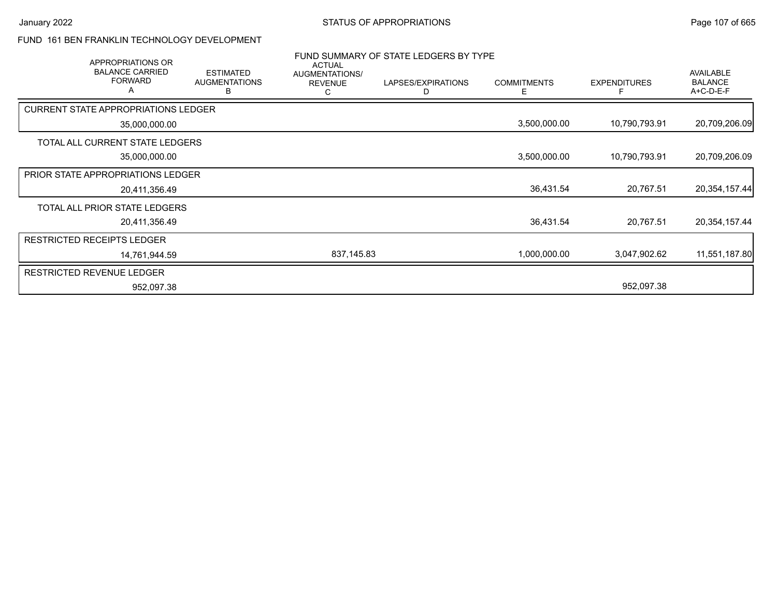### FUND 161 BEN FRANKLIN TECHNOLOGY DEVELOPMENT

| APPROPRIATIONS OR                             |                                               | <b>ACTUAL</b>                         | FUND SUMMARY OF STATE LEDGERS BY TYPE |                         |                     |                                                 |
|-----------------------------------------------|-----------------------------------------------|---------------------------------------|---------------------------------------|-------------------------|---------------------|-------------------------------------------------|
| <b>BALANCE CARRIED</b><br><b>FORWARD</b><br>A | <b>ESTIMATED</b><br><b>AUGMENTATIONS</b><br>В | AUGMENTATIONS/<br><b>REVENUE</b><br>С | LAPSES/EXPIRATIONS                    | <b>COMMITMENTS</b><br>F | <b>EXPENDITURES</b> | <b>AVAILABLE</b><br><b>BALANCE</b><br>A+C-D-E-F |
| <b>CURRENT STATE APPROPRIATIONS LEDGER</b>    |                                               |                                       |                                       |                         |                     |                                                 |
| 35,000,000.00                                 |                                               |                                       |                                       | 3,500,000.00            | 10,790,793.91       | 20,709,206.09                                   |
| TOTAL ALL CURRENT STATE LEDGERS               |                                               |                                       |                                       |                         |                     |                                                 |
| 35,000,000.00                                 |                                               |                                       |                                       | 3,500,000.00            | 10,790,793.91       | 20,709,206.09                                   |
| PRIOR STATE APPROPRIATIONS LEDGER             |                                               |                                       |                                       |                         |                     |                                                 |
| 20,411,356.49                                 |                                               |                                       |                                       | 36,431.54               | 20,767.51           | 20,354,157.44                                   |
| TOTAL ALL PRIOR STATE LEDGERS                 |                                               |                                       |                                       |                         |                     |                                                 |
| 20,411,356.49                                 |                                               |                                       |                                       | 36,431.54               | 20,767.51           | 20,354,157.44                                   |
| <b>RESTRICTED RECEIPTS LEDGER</b>             |                                               |                                       |                                       |                         |                     |                                                 |
| 14,761,944.59                                 |                                               | 837,145.83                            |                                       | 1,000,000.00            | 3,047,902.62        | 11,551,187.80                                   |
| <b>RESTRICTED REVENUE LEDGER</b>              |                                               |                                       |                                       |                         |                     |                                                 |
| 952,097.38                                    |                                               |                                       |                                       |                         | 952,097.38          |                                                 |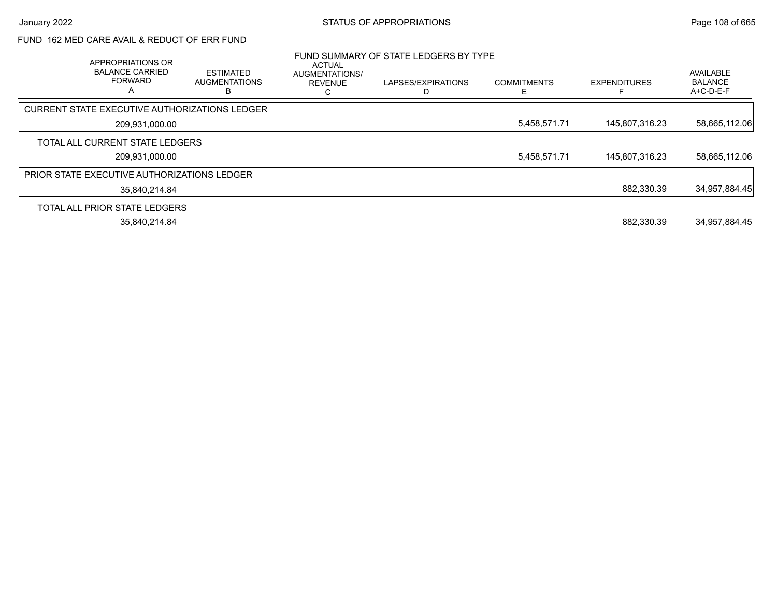## FUND 162 MED CARE AVAIL & REDUCT OF ERR FUND

| APPROPRIATIONS OR<br><b>BALANCE CARRIED</b><br><b>FORWARD</b><br>A | <b>ESTIMATED</b><br><b>AUGMENTATIONS</b> | ACTUAL<br>AUGMENTATIONS/<br><b>REVENUE</b> | FUND SUMMARY OF STATE LEDGERS BY TYPE<br>LAPSES/EXPIRATIONS | <b>COMMITMENTS</b> | <b>EXPENDITURES</b> | AVAILABLE<br><b>BALANCE</b><br>A+C-D-E-F |
|--------------------------------------------------------------------|------------------------------------------|--------------------------------------------|-------------------------------------------------------------|--------------------|---------------------|------------------------------------------|
| <b>CURRENT STATE EXECUTIVE AUTHORIZATIONS LEDGER</b>               |                                          |                                            |                                                             |                    |                     |                                          |
| 209,931,000.00                                                     |                                          |                                            |                                                             | 5,458,571.71       | 145,807,316.23      | 58,665,112.06                            |
| TOTAL ALL CURRENT STATE LEDGERS                                    |                                          |                                            |                                                             |                    |                     |                                          |
| 209.931.000.00                                                     |                                          |                                            |                                                             | 5,458,571.71       | 145,807,316.23      | 58.665.112.06                            |
| <b>PRIOR STATE EXECUTIVE AUTHORIZATIONS LEDGER</b>                 |                                          |                                            |                                                             |                    |                     |                                          |
| 35,840,214.84                                                      |                                          |                                            |                                                             |                    | 882.330.39          | 34,957,884.45                            |
| TOTAL ALL PRIOR STATE LEDGERS                                      |                                          |                                            |                                                             |                    |                     |                                          |
| 35.840.214.84                                                      |                                          |                                            |                                                             |                    | 882.330.39          | 34.957.884.45                            |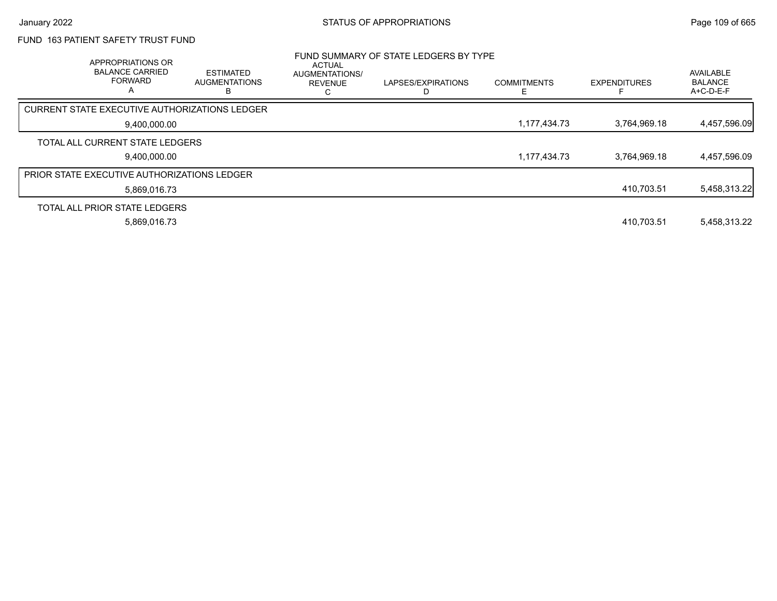# FUND 163 PATIENT SAFETY TRUST FUND

| APPROPRIATIONS OR<br><b>BALANCE CARRIED</b><br><b>FORWARD</b><br>А | <b>ESTIMATED</b><br><b>AUGMENTATIONS</b><br>в | <b>ACTUAL</b><br><b>AUGMENTATIONS/</b><br><b>REVENUE</b> | FUND SUMMARY OF STATE LEDGERS BY TYPE<br>LAPSES/EXPIRATIONS | <b>COMMITMENTS</b> | <b>EXPENDITURES</b> | AVAILABLE<br><b>BALANCE</b><br>$A+C-D-E-F$ |
|--------------------------------------------------------------------|-----------------------------------------------|----------------------------------------------------------|-------------------------------------------------------------|--------------------|---------------------|--------------------------------------------|
| CURRENT STATE EXECUTIVE AUTHORIZATIONS LEDGER                      |                                               |                                                          |                                                             |                    |                     |                                            |
| 9,400,000.00                                                       |                                               |                                                          |                                                             | 1,177,434.73       | 3,764,969.18        | 4,457,596.09                               |
| TOTAL ALL CURRENT STATE LEDGERS                                    |                                               |                                                          |                                                             |                    |                     |                                            |
| 9,400,000.00                                                       |                                               |                                                          |                                                             | 1,177,434.73       | 3,764,969.18        | 4,457,596.09                               |
| <b>PRIOR STATE EXECUTIVE AUTHORIZATIONS LEDGER</b>                 |                                               |                                                          |                                                             |                    |                     |                                            |
| 5.869.016.73                                                       |                                               |                                                          |                                                             |                    | 410.703.51          | 5,458,313.22                               |
| TOTAL ALL PRIOR STATE LEDGERS                                      |                                               |                                                          |                                                             |                    |                     |                                            |
| 5,869,016.73                                                       |                                               |                                                          |                                                             |                    | 410.703.51          | 5,458,313.22                               |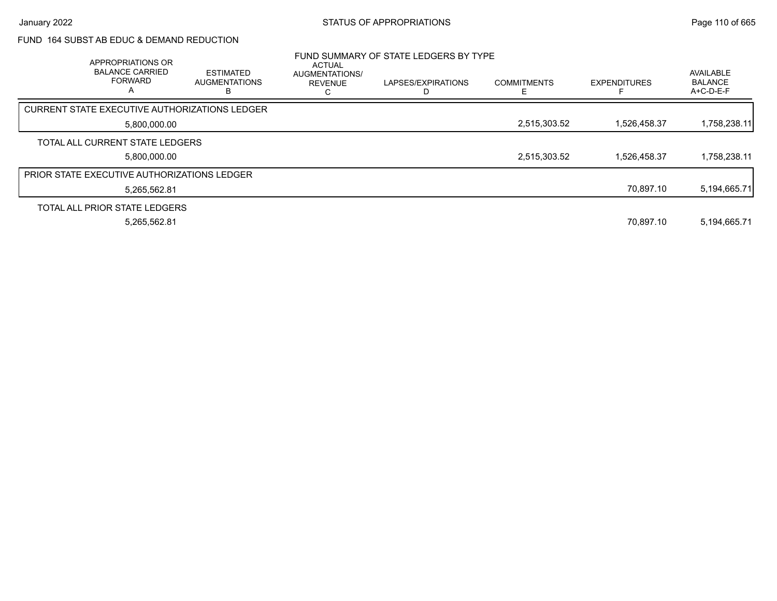### FUND 164 SUBST AB EDUC & DEMAND REDUCTION

| APPROPRIATIONS OR<br><b>BALANCE CARRIED</b><br><b>FORWARD</b><br>A | <b>ESTIMATED</b><br><b>AUGMENTATIONS</b> | <b>ACTUAL</b><br>AUGMENTATIONS/<br><b>REVENUE</b> | FUND SUMMARY OF STATE LEDGERS BY TYPE<br>LAPSES/EXPIRATIONS | <b>COMMITMENTS</b> | <b>EXPENDITURES</b> | <b>AVAILABLE</b><br><b>BALANCE</b><br>$A+C-D-E-F$ |
|--------------------------------------------------------------------|------------------------------------------|---------------------------------------------------|-------------------------------------------------------------|--------------------|---------------------|---------------------------------------------------|
| CURRENT STATE EXECUTIVE AUTHORIZATIONS LEDGER                      |                                          |                                                   |                                                             |                    |                     |                                                   |
| 5,800,000.00                                                       |                                          |                                                   |                                                             | 2,515,303.52       | 1,526,458.37        | 1,758,238.11                                      |
| TOTAL ALL CURRENT STATE LEDGERS                                    |                                          |                                                   |                                                             |                    |                     |                                                   |
| 5.800.000.00                                                       |                                          |                                                   |                                                             | 2,515,303.52       | 1.526.458.37        | 1,758,238.11                                      |
| <b>PRIOR STATE EXECUTIVE AUTHORIZATIONS LEDGER</b>                 |                                          |                                                   |                                                             |                    |                     |                                                   |
| 5,265,562.81                                                       |                                          |                                                   |                                                             |                    | 70,897.10           | 5,194,665.71                                      |
| TOTAL ALL PRIOR STATE LEDGERS                                      |                                          |                                                   |                                                             |                    |                     |                                                   |
| 5,265,562.81                                                       |                                          |                                                   |                                                             |                    | 70.897.10           | 5,194,665.71                                      |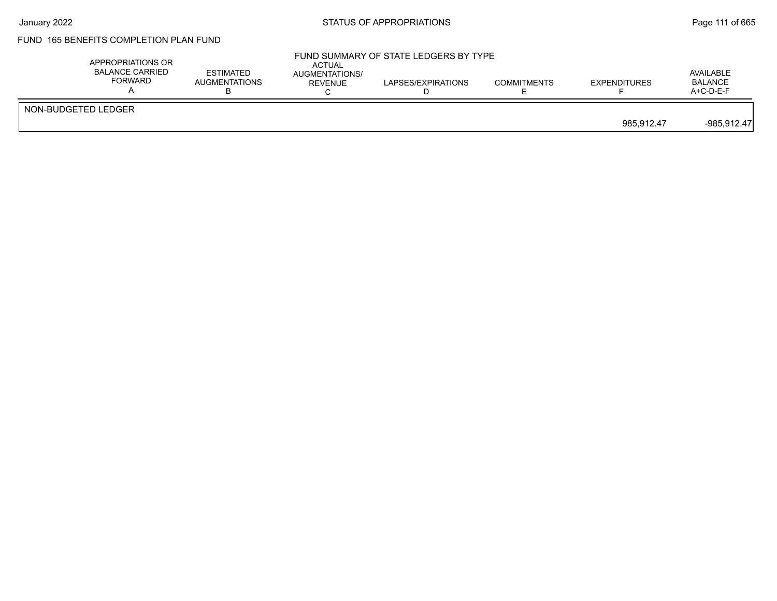# FUND 165 BENEFITS COMPLETION PLAN FUND

| APPROPRIATIONS OR<br><b>BALANCE CARRIED</b><br>FORWARD | <b>ESTIMATED</b><br><b>AUGMENTATIONS</b> | <b>ACTUAL</b><br>AUGMENTATIONS/<br>REVENUE | FUND SUMMARY OF STATE LEDGERS BY TYPE<br>LAPSES/EXPIRATIONS | <b>COMMITMENTS</b> | <b>EXPENDITURES</b> | AVAILABLE<br><b>BALANCE</b><br>$A+C-D-E-F$ |
|--------------------------------------------------------|------------------------------------------|--------------------------------------------|-------------------------------------------------------------|--------------------|---------------------|--------------------------------------------|
| NON-BUDGETED LEDGER                                    |                                          |                                            |                                                             |                    | 985.912.47          | $-985,912.47$                              |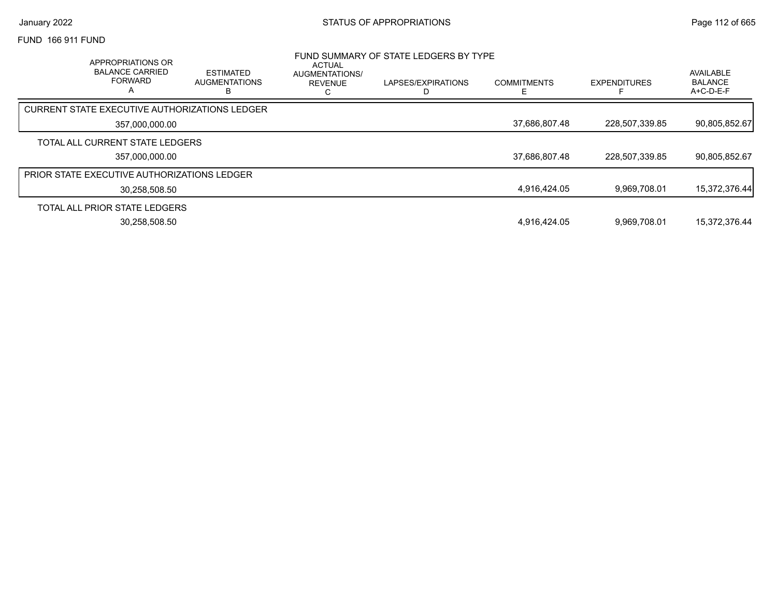#### FUND 166 911 FUND

| APPROPRIATIONS OR<br><b>BALANCE CARRIED</b><br><b>FORWARD</b><br>А | <b>ESTIMATED</b><br><b>AUGMENTATIONS</b> | <b>ACTUAL</b><br>AUGMENTATIONS/<br><b>REVENUE</b> | FUND SUMMARY OF STATE LEDGERS BY TYPE<br>LAPSES/EXPIRATIONS | <b>COMMITMENTS</b> | <b>EXPENDITURES</b> | AVAILABLE<br><b>BALANCE</b><br>A+C-D-E-F |
|--------------------------------------------------------------------|------------------------------------------|---------------------------------------------------|-------------------------------------------------------------|--------------------|---------------------|------------------------------------------|
| CURRENT STATE EXECUTIVE AUTHORIZATIONS LEDGER                      |                                          |                                                   |                                                             |                    |                     |                                          |
| 357,000,000.00                                                     |                                          |                                                   |                                                             | 37,686,807.48      | 228,507,339.85      | 90,805,852.67                            |
| TOTAL ALL CURRENT STATE LEDGERS                                    |                                          |                                                   |                                                             |                    |                     |                                          |
| 357.000.000.00                                                     |                                          |                                                   |                                                             | 37,686,807.48      | 228,507,339.85      | 90,805,852.67                            |
| <b>PRIOR STATE EXECUTIVE AUTHORIZATIONS LEDGER</b>                 |                                          |                                                   |                                                             |                    |                     |                                          |
| 30.258.508.50                                                      |                                          |                                                   |                                                             | 4,916,424.05       | 9,969,708.01        | 15,372,376.44                            |
| TOTAL ALL PRIOR STATE LEDGERS                                      |                                          |                                                   |                                                             |                    |                     |                                          |
| 30,258,508.50                                                      |                                          |                                                   |                                                             | 4.916.424.05       | 9.969.708.01        | 15.372.376.44                            |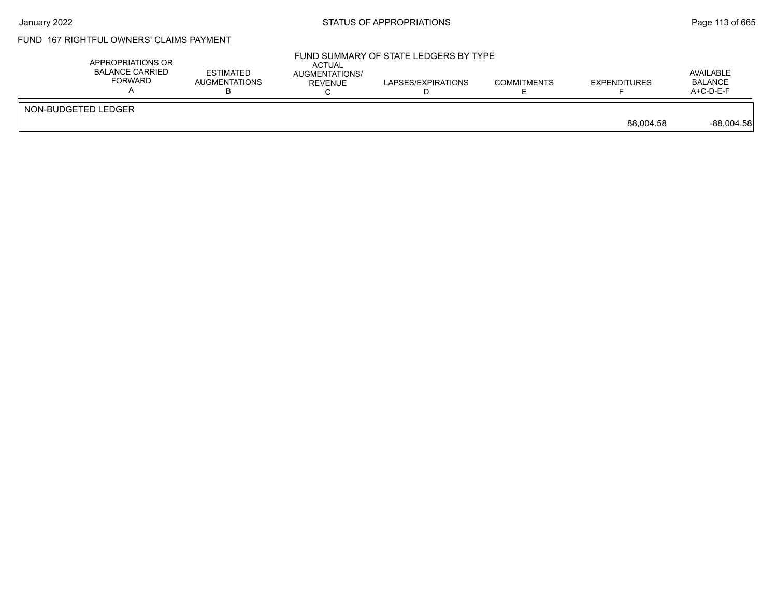# FUND 167 RIGHTFUL OWNERS' CLAIMS PAYMENT

| APPROPRIATIONS OR<br>BALANCE CARRIED<br><b>FORWARD</b> | <b>ESTIMATED</b><br>AUGMENTATIONS | <b>ACTUAL</b><br>AUGMENTATIONS/<br>REVENUE | FUND SUMMARY OF STATE LEDGERS BY TYPE<br>LAPSES/EXPIRATIONS | <b>COMMITMENTS</b> | <b>EXPENDITURES</b> | AVAILABLE<br><b>BALANCE</b><br>$A+C-D-E-F$ |
|--------------------------------------------------------|-----------------------------------|--------------------------------------------|-------------------------------------------------------------|--------------------|---------------------|--------------------------------------------|
| NON-BUDGETED LEDGER                                    |                                   |                                            |                                                             |                    | 88.004.58           | $-88,004.58$                               |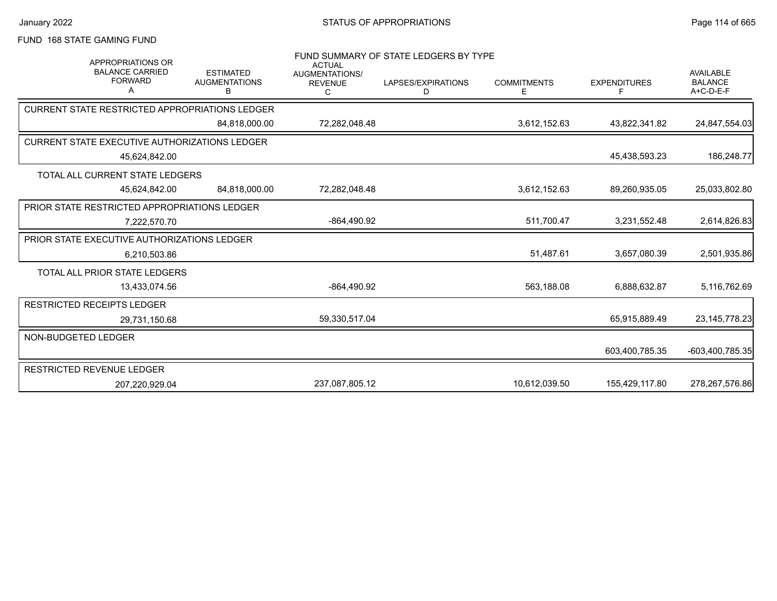## FUND 168 STATE GAMING FUND

| <b>APPROPRIATIONS OR</b><br><b>BALANCE CARRIED</b><br><b>FORWARD</b><br>А | <b>ESTIMATED</b><br><b>AUGMENTATIONS</b><br>B | <b>ACTUAL</b><br><b>AUGMENTATIONS/</b><br><b>REVENUE</b><br>C | FUND SUMMARY OF STATE LEDGERS BY TYPE<br>LAPSES/EXPIRATIONS<br>D | <b>COMMITMENTS</b><br>Е | <b>EXPENDITURES</b><br>F | <b>AVAILABLE</b><br><b>BALANCE</b><br>$A+C-D-E-F$ |
|---------------------------------------------------------------------------|-----------------------------------------------|---------------------------------------------------------------|------------------------------------------------------------------|-------------------------|--------------------------|---------------------------------------------------|
| <b>CURRENT STATE RESTRICTED APPROPRIATIONS LEDGER</b>                     |                                               |                                                               |                                                                  |                         |                          |                                                   |
|                                                                           | 84,818,000.00                                 | 72,282,048.48                                                 |                                                                  | 3,612,152.63            | 43,822,341.82            | 24,847,554.03                                     |
| <b>CURRENT STATE EXECUTIVE AUTHORIZATIONS LEDGER</b>                      |                                               |                                                               |                                                                  |                         |                          |                                                   |
| 45,624,842.00                                                             |                                               |                                                               |                                                                  |                         | 45,438,593.23            | 186,248.77                                        |
| TOTAL ALL CURRENT STATE LEDGERS                                           |                                               |                                                               |                                                                  |                         |                          |                                                   |
| 45.624.842.00                                                             | 84.818.000.00                                 | 72.282.048.48                                                 |                                                                  | 3,612,152.63            | 89,260,935.05            | 25,033,802.80                                     |
| PRIOR STATE RESTRICTED APPROPRIATIONS LEDGER                              |                                               |                                                               |                                                                  |                         |                          |                                                   |
| 7,222,570.70                                                              |                                               | -864,490.92                                                   |                                                                  | 511,700.47              | 3,231,552.48             | 2,614,826.83                                      |
| PRIOR STATE EXECUTIVE AUTHORIZATIONS LEDGER                               |                                               |                                                               |                                                                  |                         |                          |                                                   |
| 6.210.503.86                                                              |                                               |                                                               |                                                                  | 51,487.61               | 3,657,080.39             | 2,501,935.86                                      |
| TOTAL ALL PRIOR STATE LEDGERS                                             |                                               |                                                               |                                                                  |                         |                          |                                                   |
| 13,433,074.56                                                             |                                               | -864,490.92                                                   |                                                                  | 563,188.08              | 6,888,632.87             | 5,116,762.69                                      |
| <b>RESTRICTED RECEIPTS LEDGER</b>                                         |                                               |                                                               |                                                                  |                         |                          |                                                   |
| 29,731,150.68                                                             |                                               | 59,330,517.04                                                 |                                                                  |                         | 65,915,889.49            | 23, 145, 778. 23                                  |
| NON-BUDGETED LEDGER                                                       |                                               |                                                               |                                                                  |                         |                          |                                                   |
|                                                                           |                                               |                                                               |                                                                  |                         | 603,400,785.35           | -603,400,785.35                                   |
| RESTRICTED REVENUE LEDGER                                                 |                                               |                                                               |                                                                  |                         |                          |                                                   |
| 207,220,929.04                                                            |                                               | 237.087.805.12                                                |                                                                  | 10.612.039.50           | 155,429,117.80           | 278,267,576.86                                    |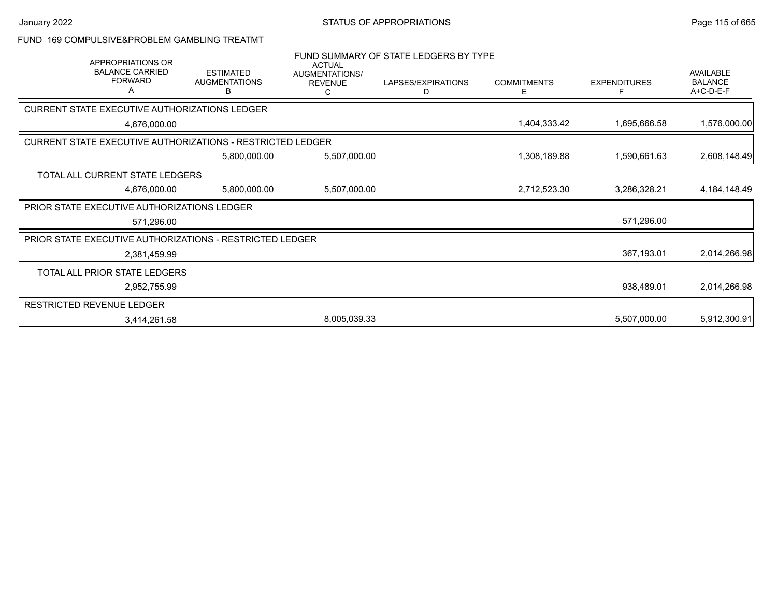#### FUND 169 COMPULSIVE&PROBLEM GAMBLING TREATMT

| APPROPRIATIONS OR<br><b>BALANCE CARRIED</b><br><b>FORWARD</b><br>Α | <b>ESTIMATED</b><br><b>AUGMENTATIONS</b><br>B | <b>ACTUAL</b><br>AUGMENTATIONS/<br><b>REVENUE</b> | FUND SUMMARY OF STATE LEDGERS BY TYPE<br>LAPSES/EXPIRATIONS<br>D | <b>COMMITMENTS</b><br>Е | <b>EXPENDITURES</b><br>F | AVAILABLE<br><b>BALANCE</b><br>A+C-D-E-F |
|--------------------------------------------------------------------|-----------------------------------------------|---------------------------------------------------|------------------------------------------------------------------|-------------------------|--------------------------|------------------------------------------|
| CURRENT STATE EXECUTIVE AUTHORIZATIONS LEDGER                      |                                               |                                                   |                                                                  |                         |                          |                                          |
| 4,676,000.00                                                       |                                               |                                                   |                                                                  | 1,404,333.42            | 1,695,666.58             | 1,576,000.00                             |
| CURRENT STATE EXECUTIVE AUTHORIZATIONS - RESTRICTED LEDGER         |                                               |                                                   |                                                                  |                         |                          |                                          |
|                                                                    | 5,800,000.00                                  | 5,507,000.00                                      |                                                                  | 1,308,189.88            | 1,590,661.63             | 2,608,148.49                             |
| TOTAL ALL CURRENT STATE LEDGERS                                    |                                               |                                                   |                                                                  |                         |                          |                                          |
| 4,676,000.00                                                       | 5,800,000.00                                  | 5,507,000.00                                      |                                                                  | 2,712,523.30            | 3,286,328.21             | 4, 184, 148. 49                          |
| PRIOR STATE EXECUTIVE AUTHORIZATIONS LEDGER                        |                                               |                                                   |                                                                  |                         |                          |                                          |
| 571,296.00                                                         |                                               |                                                   |                                                                  |                         | 571,296.00               |                                          |
| PRIOR STATE EXECUTIVE AUTHORIZATIONS - RESTRICTED LEDGER           |                                               |                                                   |                                                                  |                         |                          |                                          |
| 2,381,459.99                                                       |                                               |                                                   |                                                                  |                         | 367,193.01               | 2,014,266.98                             |
| TOTAL ALL PRIOR STATE LEDGERS                                      |                                               |                                                   |                                                                  |                         |                          |                                          |
| 2,952,755.99                                                       |                                               |                                                   |                                                                  |                         | 938,489.01               | 2,014,266.98                             |
| <b>RESTRICTED REVENUE LEDGER</b>                                   |                                               |                                                   |                                                                  |                         |                          |                                          |
| 3,414,261.58                                                       |                                               | 8,005,039.33                                      |                                                                  |                         | 5,507,000.00             | 5,912,300.91                             |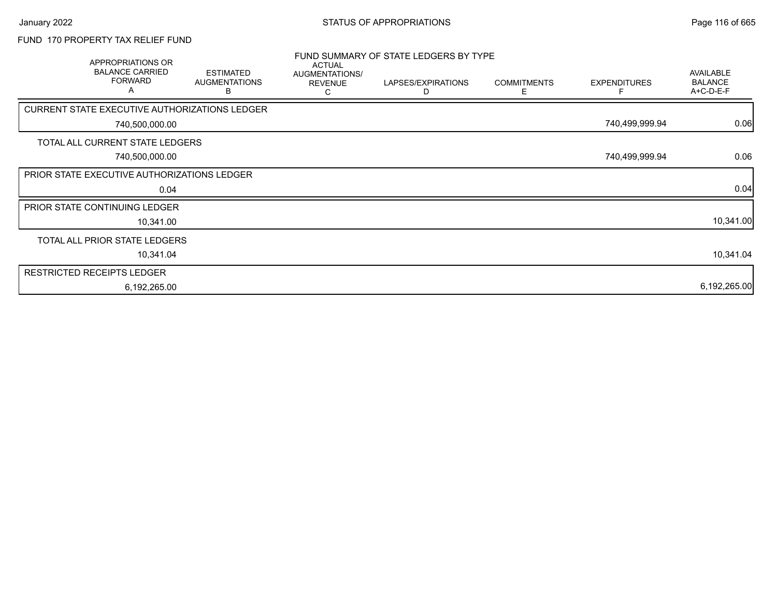# FUND 170 PROPERTY TAX RELIEF FUND

| APPROPRIATIONS OR<br><b>BALANCE CARRIED</b><br><b>FORWARD</b><br>A | <b>ESTIMATED</b><br><b>AUGMENTATIONS</b><br>в | <b>ACTUAL</b><br>AUGMENTATIONS/<br><b>REVENUE</b><br>C | FUND SUMMARY OF STATE LEDGERS BY TYPE<br>LAPSES/EXPIRATIONS<br>D | <b>COMMITMENTS</b><br>Е | <b>EXPENDITURES</b> | AVAILABLE<br><b>BALANCE</b><br>A+C-D-E-F |
|--------------------------------------------------------------------|-----------------------------------------------|--------------------------------------------------------|------------------------------------------------------------------|-------------------------|---------------------|------------------------------------------|
| CURRENT STATE EXECUTIVE AUTHORIZATIONS LEDGER                      |                                               |                                                        |                                                                  |                         |                     |                                          |
| 740,500,000.00                                                     |                                               |                                                        |                                                                  |                         | 740,499,999.94      | 0.06                                     |
| TOTAL ALL CURRENT STATE LEDGERS                                    |                                               |                                                        |                                                                  |                         |                     |                                          |
| 740,500,000.00                                                     |                                               |                                                        |                                                                  |                         | 740,499,999.94      | 0.06                                     |
| PRIOR STATE EXECUTIVE AUTHORIZATIONS LEDGER                        |                                               |                                                        |                                                                  |                         |                     |                                          |
| 0.04                                                               |                                               |                                                        |                                                                  |                         |                     | 0.04                                     |
| PRIOR STATE CONTINUING LEDGER                                      |                                               |                                                        |                                                                  |                         |                     |                                          |
| 10,341.00                                                          |                                               |                                                        |                                                                  |                         |                     | 10,341.00                                |
| TOTAL ALL PRIOR STATE LEDGERS                                      |                                               |                                                        |                                                                  |                         |                     |                                          |
| 10,341.04                                                          |                                               |                                                        |                                                                  |                         |                     | 10,341.04                                |
| <b>RESTRICTED RECEIPTS LEDGER</b>                                  |                                               |                                                        |                                                                  |                         |                     |                                          |
| 6,192,265.00                                                       |                                               |                                                        |                                                                  |                         |                     | 6,192,265.00                             |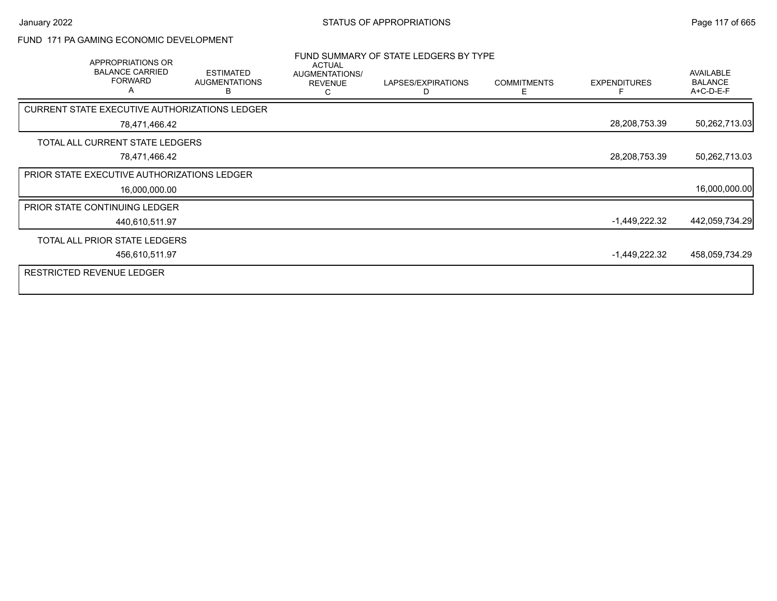### FUND 171 PA GAMING ECONOMIC DEVELOPMENT

| APPROPRIATIONS OR<br><b>BALANCE CARRIED</b><br><b>FORWARD</b><br>A | <b>ESTIMATED</b><br><b>AUGMENTATIONS</b><br>в | <b>ACTUAL</b><br>AUGMENTATIONS/<br><b>REVENUE</b><br>C | FUND SUMMARY OF STATE LEDGERS BY TYPE<br>LAPSES/EXPIRATIONS<br>D | <b>COMMITMENTS</b><br>E. | <b>EXPENDITURES</b> | <b>AVAILABLE</b><br><b>BALANCE</b><br>A+C-D-E-F |
|--------------------------------------------------------------------|-----------------------------------------------|--------------------------------------------------------|------------------------------------------------------------------|--------------------------|---------------------|-------------------------------------------------|
| <b>CURRENT STATE EXECUTIVE AUTHORIZATIONS LEDGER</b>               |                                               |                                                        |                                                                  |                          |                     |                                                 |
| 78,471,466.42                                                      |                                               |                                                        |                                                                  |                          | 28,208,753.39       | 50,262,713.03                                   |
| TOTAL ALL CURRENT STATE LEDGERS                                    |                                               |                                                        |                                                                  |                          |                     |                                                 |
| 78,471,466.42                                                      |                                               |                                                        |                                                                  |                          | 28,208,753.39       | 50,262,713.03                                   |
| <b>PRIOR STATE EXECUTIVE AUTHORIZATIONS LEDGER</b>                 |                                               |                                                        |                                                                  |                          |                     |                                                 |
| 16,000,000.00                                                      |                                               |                                                        |                                                                  |                          |                     | 16,000,000.00                                   |
| PRIOR STATE CONTINUING LEDGER                                      |                                               |                                                        |                                                                  |                          |                     |                                                 |
| 440,610,511.97                                                     |                                               |                                                        |                                                                  |                          | $-1,449,222.32$     | 442,059,734.29                                  |
| TOTAL ALL PRIOR STATE LEDGERS                                      |                                               |                                                        |                                                                  |                          |                     |                                                 |
| 456,610,511.97                                                     |                                               |                                                        |                                                                  |                          | $-1,449,222.32$     | 458,059,734.29                                  |
| <b>RESTRICTED REVENUE LEDGER</b>                                   |                                               |                                                        |                                                                  |                          |                     |                                                 |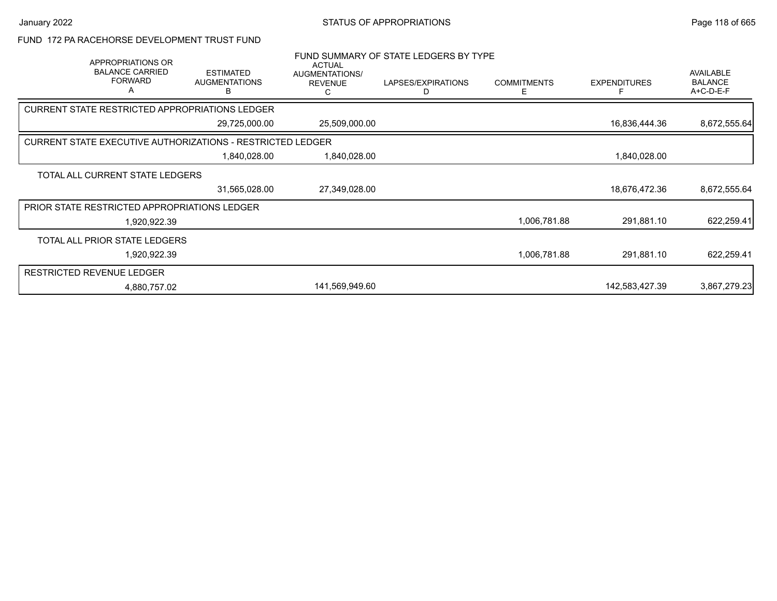### FUND 172 PA RACEHORSE DEVELOPMENT TRUST FUND

| APPROPRIATIONS OR<br><b>BALANCE CARRIED</b><br><b>FORWARD</b><br>Α | <b>ESTIMATED</b><br><b>AUGMENTATIONS</b><br>В | <b>ACTUAL</b><br>AUGMENTATIONS/<br><b>REVENUE</b> | FUND SUMMARY OF STATE LEDGERS BY TYPE<br>LAPSES/EXPIRATIONS<br>D. | <b>COMMITMENTS</b><br>E | <b>EXPENDITURES</b> | AVAILABLE<br><b>BALANCE</b><br>A+C-D-E-F |
|--------------------------------------------------------------------|-----------------------------------------------|---------------------------------------------------|-------------------------------------------------------------------|-------------------------|---------------------|------------------------------------------|
| CURRENT STATE RESTRICTED APPROPRIATIONS LEDGER                     |                                               |                                                   |                                                                   |                         |                     |                                          |
|                                                                    | 29,725,000.00                                 | 25,509,000.00                                     |                                                                   |                         | 16,836,444.36       | 8,672,555.64                             |
| <b>CURRENT STATE EXECUTIVE AUTHORIZATIONS - RESTRICTED LEDGER</b>  |                                               |                                                   |                                                                   |                         |                     |                                          |
|                                                                    | 1,840,028.00                                  | 1,840,028.00                                      |                                                                   |                         | 1,840,028.00        |                                          |
| TOTAL ALL CURRENT STATE LEDGERS                                    |                                               |                                                   |                                                                   |                         |                     |                                          |
|                                                                    | 31,565,028.00                                 | 27,349,028.00                                     |                                                                   |                         | 18,676,472.36       | 8,672,555.64                             |
| PRIOR STATE RESTRICTED APPROPRIATIONS LEDGER                       |                                               |                                                   |                                                                   |                         |                     |                                          |
| 1,920,922.39                                                       |                                               |                                                   |                                                                   | 1,006,781.88            | 291,881.10          | 622,259.41                               |
| TOTAL ALL PRIOR STATE LEDGERS                                      |                                               |                                                   |                                                                   |                         |                     |                                          |
| 1,920,922.39                                                       |                                               |                                                   |                                                                   | 1,006,781.88            | 291,881.10          | 622,259.41                               |
| <b>RESTRICTED REVENUE LEDGER</b>                                   |                                               |                                                   |                                                                   |                         |                     |                                          |
| 4,880,757.02                                                       |                                               | 141,569,949.60                                    |                                                                   |                         | 142,583,427.39      | 3,867,279.23                             |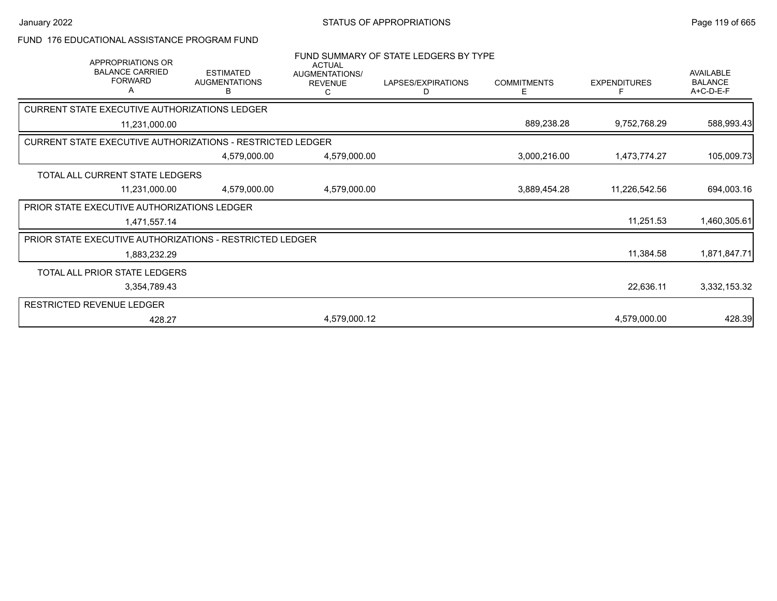## FUND 176 EDUCATIONAL ASSISTANCE PROGRAM FUND

| APPROPRIATIONS OR<br><b>BALANCE CARRIED</b><br><b>FORWARD</b><br>A | <b>ESTIMATED</b><br><b>AUGMENTATIONS</b><br>В | <b>ACTUAL</b><br>AUGMENTATIONS/<br><b>REVENUE</b><br>С | FUND SUMMARY OF STATE LEDGERS BY TYPE<br>LAPSES/EXPIRATIONS<br>D | <b>COMMITMENTS</b><br>Е | <b>EXPENDITURES</b> | AVAILABLE<br><b>BALANCE</b><br>A+C-D-E-F |
|--------------------------------------------------------------------|-----------------------------------------------|--------------------------------------------------------|------------------------------------------------------------------|-------------------------|---------------------|------------------------------------------|
| CURRENT STATE EXECUTIVE AUTHORIZATIONS LEDGER                      |                                               |                                                        |                                                                  |                         |                     |                                          |
| 11,231,000.00                                                      |                                               |                                                        |                                                                  | 889,238.28              | 9,752,768.29        | 588,993.43                               |
| CURRENT STATE EXECUTIVE AUTHORIZATIONS - RESTRICTED LEDGER         |                                               |                                                        |                                                                  |                         |                     |                                          |
|                                                                    | 4,579,000.00                                  | 4,579,000.00                                           |                                                                  | 3,000,216.00            | 1,473,774.27        | 105,009.73                               |
| TOTAL ALL CURRENT STATE LEDGERS                                    |                                               |                                                        |                                                                  |                         |                     |                                          |
| 11,231,000.00                                                      | 4,579,000.00                                  | 4,579,000.00                                           |                                                                  | 3,889,454.28            | 11,226,542.56       | 694,003.16                               |
| PRIOR STATE EXECUTIVE AUTHORIZATIONS LEDGER                        |                                               |                                                        |                                                                  |                         |                     |                                          |
| 1,471,557.14                                                       |                                               |                                                        |                                                                  |                         | 11,251.53           | 1,460,305.61                             |
| PRIOR STATE EXECUTIVE AUTHORIZATIONS - RESTRICTED LEDGER           |                                               |                                                        |                                                                  |                         |                     |                                          |
| 1,883,232.29                                                       |                                               |                                                        |                                                                  |                         | 11,384.58           | 1,871,847.71                             |
| TOTAL ALL PRIOR STATE LEDGERS                                      |                                               |                                                        |                                                                  |                         |                     |                                          |
| 3,354,789.43                                                       |                                               |                                                        |                                                                  |                         | 22,636.11           | 3,332,153.32                             |
| RESTRICTED REVENUE LEDGER                                          |                                               |                                                        |                                                                  |                         |                     |                                          |
| 428.27                                                             |                                               | 4,579,000.12                                           |                                                                  |                         | 4,579,000.00        | 428.39                                   |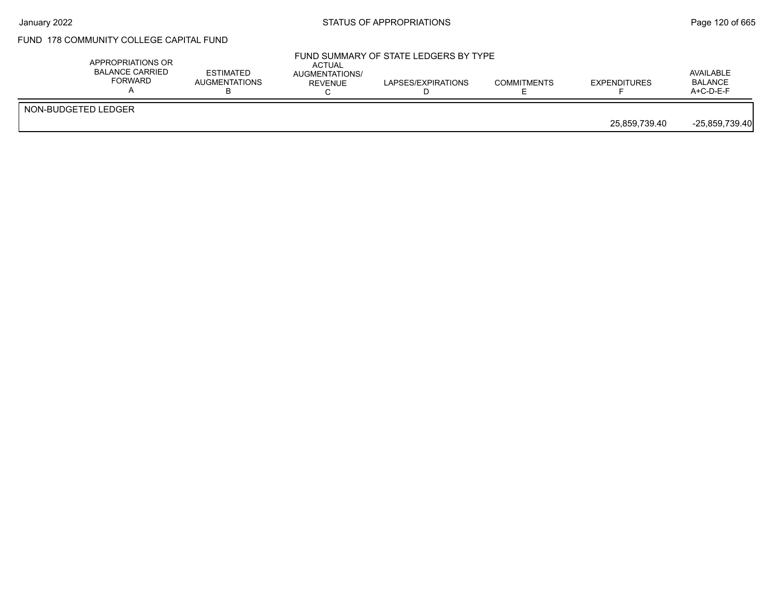## FUND 178 COMMUNITY COLLEGE CAPITAL FUND

|                     | APPROPRIATIONS OR<br><b>BALANCE CARRIED</b><br><b>FORWARD</b> | <b>ESTIMATED</b><br><b>AUGMENTATIONS</b> | ACTUAL<br>AUGMENTATIONS/<br><b>REVENUE</b> | FUND SUMMARY OF STATE LEDGERS BY TYPE<br>LAPSES/EXPIRATIONS | <b>COMMITMENTS</b> | <b>EXPENDITURES</b> | AVAILABLE<br><b>BALANCE</b><br>$A+C-D-E-F$ |
|---------------------|---------------------------------------------------------------|------------------------------------------|--------------------------------------------|-------------------------------------------------------------|--------------------|---------------------|--------------------------------------------|
| NON-BUDGETED LEDGER |                                                               |                                          |                                            |                                                             |                    | 25,859,739.40       | $-25,859,739.40$                           |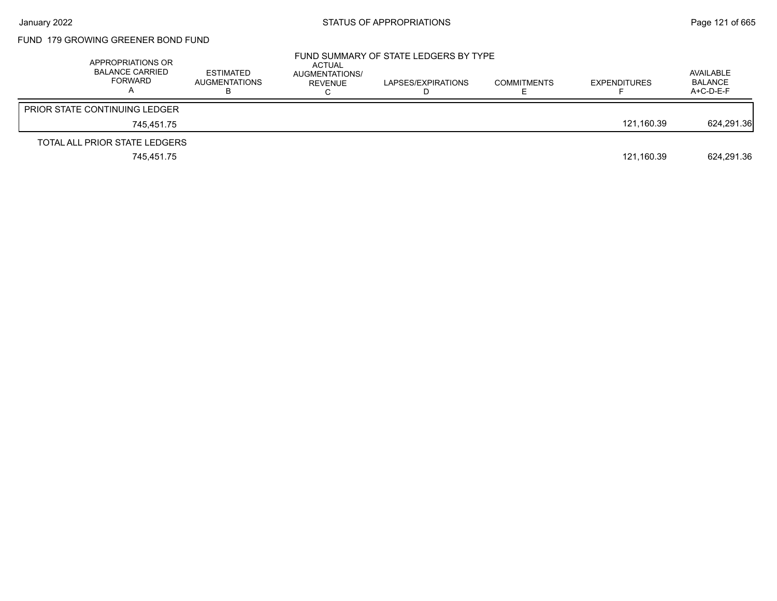## FUND 179 GROWING GREENER BOND FUND

| APPROPRIATIONS OR<br><b>BALANCE CARRIED</b><br>FORWARD | ESTIMATED<br><b>AUGMENTATIONS</b> | ACTUAL<br>AUGMENTATIONS/<br>REVENUE | FUND SUMMARY OF STATE LEDGERS BY TYPE<br>LAPSES/EXPIRATIONS | <b>COMMITMENTS</b> | <b>EXPENDITURES</b> | AVAILABLE<br><b>BALANCE</b><br>A+C-D-E-F |
|--------------------------------------------------------|-----------------------------------|-------------------------------------|-------------------------------------------------------------|--------------------|---------------------|------------------------------------------|
| <b>PRIOR STATE CONTINUING LEDGER</b>                   |                                   |                                     |                                                             |                    |                     |                                          |
| 745.451.75                                             |                                   |                                     |                                                             |                    | 121.160.39          | 624,291.36                               |
| TOTAL ALL PRIOR STATE LEDGERS                          |                                   |                                     |                                                             |                    |                     |                                          |
| 745.451.75                                             |                                   |                                     |                                                             |                    | 121,160.39          | 624.291.36                               |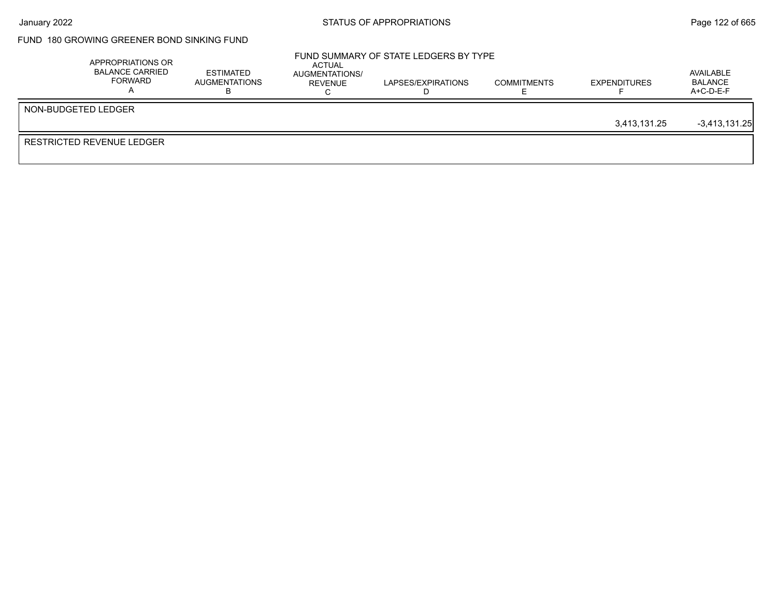## FUND 180 GROWING GREENER BOND SINKING FUND

|                           | APPROPRIATIONS OR<br><b>BALANCE CARRIED</b><br>FORWARD | <b>ESTIMATED</b><br>AUGMENTATIONS | ACTUAL<br>AUGMENTATIONS/<br>REVENUE | FUND SUMMARY OF STATE LEDGERS BY TYPE<br>LAPSES/EXPIRATIONS | <b>COMMITMENTS</b> | <b>EXPENDITURES</b> | AVAILABLE<br>BALANCE<br>$A+C-D-E-F$ |
|---------------------------|--------------------------------------------------------|-----------------------------------|-------------------------------------|-------------------------------------------------------------|--------------------|---------------------|-------------------------------------|
| NON-BUDGETED LEDGER       |                                                        |                                   |                                     |                                                             |                    | 3.413.131.25        | $-3,413,131.25$                     |
| RESTRICTED REVENUE LEDGER |                                                        |                                   |                                     |                                                             |                    |                     |                                     |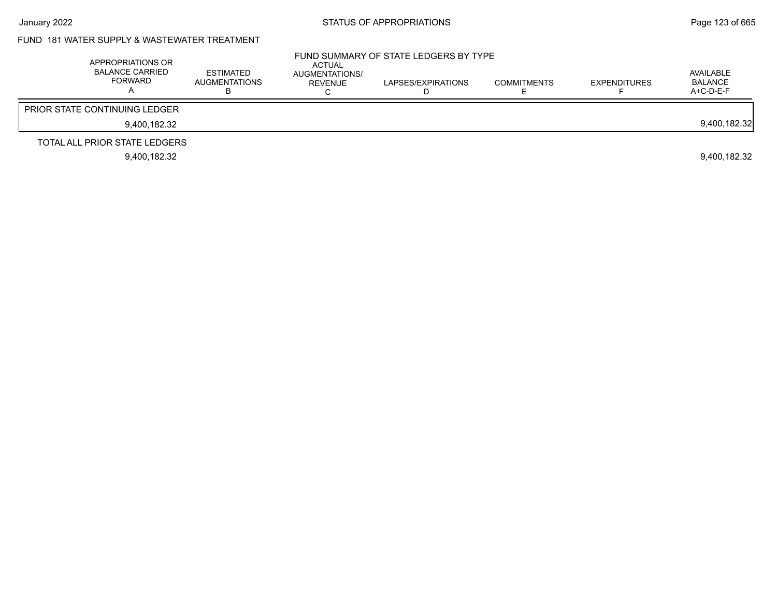## FUND 181 WATER SUPPLY & WASTEWATER TREATMENT

| APPROPRIATIONS OR<br><b>BALANCE CARRIED</b><br>FORWARD | <b>ESTIMATED</b><br><b>AUGMENTATIONS</b> | ACTUAL<br>AUGMENTATIONS/<br>REVENUE | FUND SUMMARY OF STATE LEDGERS BY TYPE<br>LAPSES/EXPIRATIONS | <b>COMMITMENTS</b> | <b>EXPENDITURES</b> | AVAILABLE<br><b>BALANCE</b><br>$A+C-D-E-F$ |
|--------------------------------------------------------|------------------------------------------|-------------------------------------|-------------------------------------------------------------|--------------------|---------------------|--------------------------------------------|
| <b>PRIOR STATE CONTINUING LEDGER</b>                   |                                          |                                     |                                                             |                    |                     |                                            |
| 9.400.182.32                                           |                                          |                                     |                                                             |                    |                     | 9,400,182.32                               |
| TOTAL ALL PRIOR STATE LEDGERS                          |                                          |                                     |                                                             |                    |                     |                                            |
| 9.400.182.32                                           |                                          |                                     |                                                             |                    |                     | 9.400.182.32                               |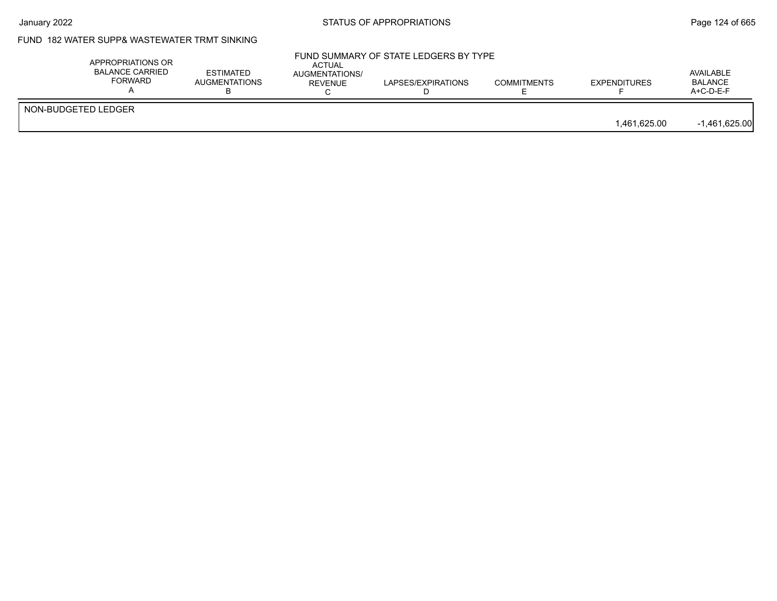# FUND 182 WATER SUPP& WASTEWATER TRMT SINKING

|                     | APPROPRIATIONS OR<br><b>BALANCE CARRIED</b><br><b>FORWARD</b> | <b>ESTIMATED</b><br><b>AUGMENTATIONS</b> | ACTUAL<br>AUGMENTATIONS/<br><b>REVENUE</b> | FUND SUMMARY OF STATE LEDGERS BY TYPE<br>LAPSES/EXPIRATIONS | <b>COMMITMENTS</b> | <b>EXPENDITURES</b> | AVAILABLE<br><b>BALANCE</b><br>$A+C-D-E-F$ |
|---------------------|---------------------------------------------------------------|------------------------------------------|--------------------------------------------|-------------------------------------------------------------|--------------------|---------------------|--------------------------------------------|
| NON-BUDGETED LEDGER |                                                               |                                          |                                            |                                                             |                    | 1,461,625.00        | $-1,461,625.00$                            |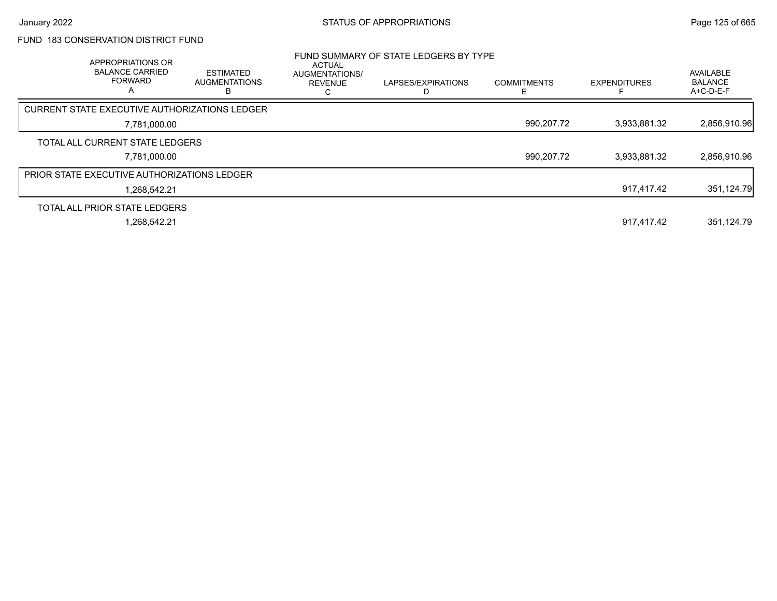# FUND 183 CONSERVATION DISTRICT FUND

| APPROPRIATIONS OR<br><b>BALANCE CARRIED</b><br><b>FORWARD</b><br>$\overline{A}$ | <b>ESTIMATED</b><br><b>AUGMENTATIONS</b> | ACTUAL<br>AUGMENTATIONS/<br><b>REVENUE</b><br>ι. | FUND SUMMARY OF STATE LEDGERS BY TYPE<br>LAPSES/EXPIRATIONS | <b>COMMITMENTS</b> | <b>EXPENDITURES</b> | AVAILABLE<br><b>BALANCE</b><br>A+C-D-E-F |
|---------------------------------------------------------------------------------|------------------------------------------|--------------------------------------------------|-------------------------------------------------------------|--------------------|---------------------|------------------------------------------|
| <b>CURRENT STATE EXECUTIVE AUTHORIZATIONS LEDGER</b>                            |                                          |                                                  |                                                             |                    |                     |                                          |
| 7,781,000.00                                                                    |                                          |                                                  |                                                             | 990,207.72         | 3,933,881.32        | 2,856,910.96                             |
| TOTAL ALL CURRENT STATE LEDGERS                                                 |                                          |                                                  |                                                             |                    |                     |                                          |
| 7.781.000.00                                                                    |                                          |                                                  |                                                             | 990,207.72         | 3.933.881.32        | 2,856,910.96                             |
| <b>PRIOR STATE EXECUTIVE AUTHORIZATIONS LEDGER</b>                              |                                          |                                                  |                                                             |                    |                     |                                          |
| 1.268.542.21                                                                    |                                          |                                                  |                                                             |                    | 917.417.42          | 351,124.79                               |
| TOTAL ALL PRIOR STATE LEDGERS                                                   |                                          |                                                  |                                                             |                    |                     |                                          |
| 1.268.542.21                                                                    |                                          |                                                  |                                                             |                    | 917.417.42          | 351.124.79                               |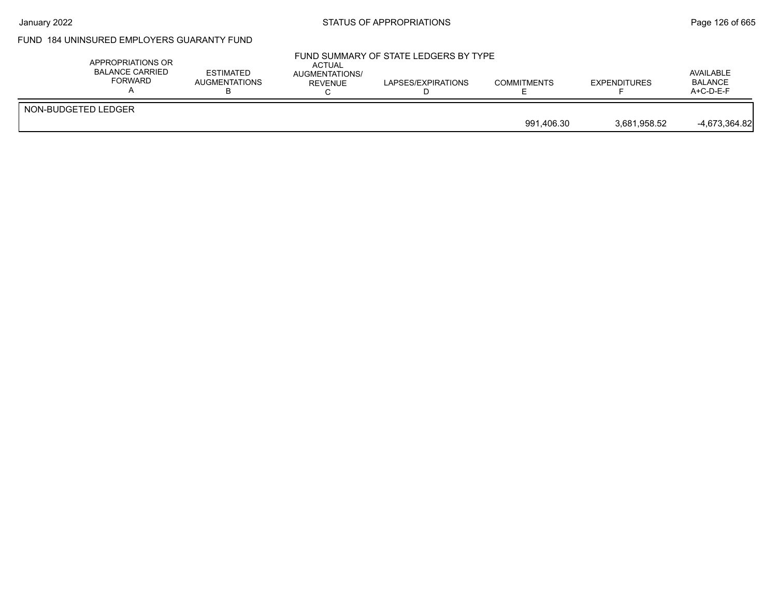# FUND 184 UNINSURED EMPLOYERS GUARANTY FUND

| APPROPRIATIONS OR<br><b>BALANCE CARRIED</b><br>FORWARD | <b>ESTIMATED</b><br>AUGMENTATIONS | ACTUAL<br><b>AUGMENTATIONS/</b><br><b>REVENUE</b> | FUND SUMMARY OF STATE LEDGERS BY TYPE<br>LAPSES/EXPIRATIONS | <b>COMMITMENTS</b> | <b>EXPENDITURES</b> | AVAILABLE<br><b>BALANCE</b><br>$A+C-D-E-F$ |
|--------------------------------------------------------|-----------------------------------|---------------------------------------------------|-------------------------------------------------------------|--------------------|---------------------|--------------------------------------------|
| NON-BUDGETED LEDGER                                    |                                   |                                                   |                                                             | 991.406.30         | 3.681.958.52        | $-4,673,364.82$                            |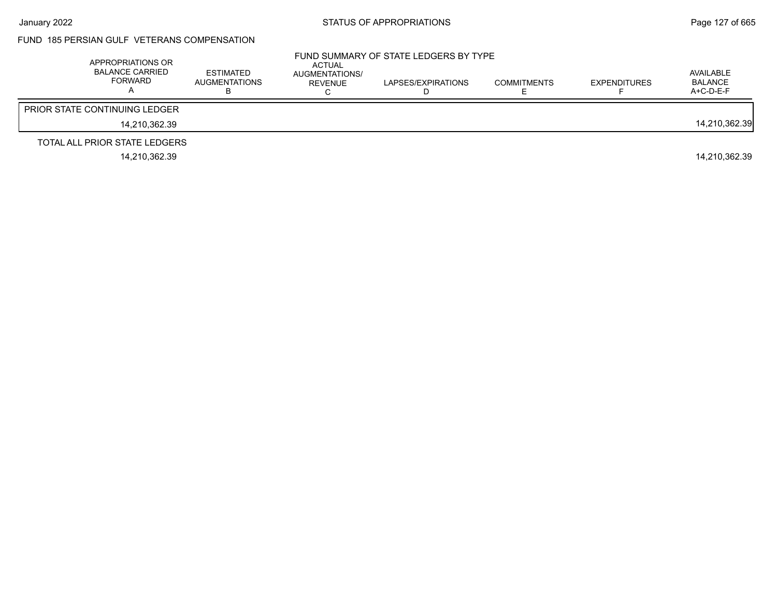#### FUND 185 PERSIAN GULF VETERANS COMPENSATION

| APPROPRIATIONS OR<br><b>BALANCE CARRIED</b><br>FORWARD | ESTIMATED<br>AUGMENTATIONS | ACTUAL<br>AUGMENTATIONS/<br>REVENUE | FUND SUMMARY OF STATE LEDGERS BY TYPE<br>LAPSES/EXPIRATIONS | <b>COMMITMENTS</b> | <b>EXPENDITURES</b> | AVAILABLE<br>BALANCE<br>$A+C-D-E-F$ |
|--------------------------------------------------------|----------------------------|-------------------------------------|-------------------------------------------------------------|--------------------|---------------------|-------------------------------------|
| <b>PRIOR STATE CONTINUING LEDGER</b>                   |                            |                                     |                                                             |                    |                     |                                     |
| 14.210.362.39                                          |                            |                                     |                                                             |                    |                     | 14,210,362.39                       |
| TOTAL ALL PRIOR STATE LEDGERS                          |                            |                                     |                                                             |                    |                     |                                     |
| 14.210.362.39                                          |                            |                                     |                                                             |                    |                     | 14.210.362.39                       |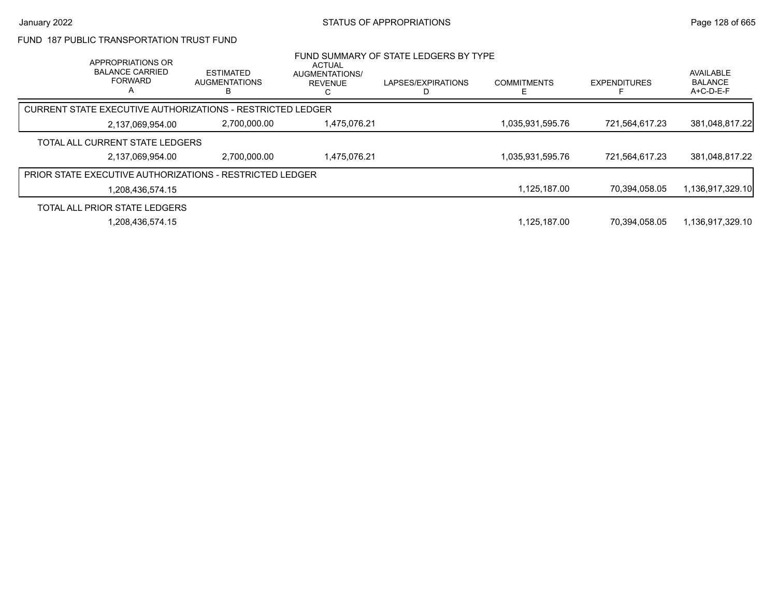#### FUND 187 PUBLIC TRANSPORTATION TRUST FUND

| APPROPRIATIONS OR<br><b>BALANCE CARRIED</b><br><b>FORWARD</b><br>A | <b>ESTIMATED</b><br><b>AUGMENTATIONS</b>                   | <b>ACTUAL</b><br>AUGMENTATIONS/<br><b>REVENUE</b> | FUND SUMMARY OF STATE LEDGERS BY TYPE<br>LAPSES/EXPIRATIONS | <b>COMMITMENTS</b> | <b>EXPENDITURES</b> | <b>AVAILABLE</b><br><b>BALANCE</b><br>$A+C-D-E-F$ |
|--------------------------------------------------------------------|------------------------------------------------------------|---------------------------------------------------|-------------------------------------------------------------|--------------------|---------------------|---------------------------------------------------|
|                                                                    | CURRENT STATE EXECUTIVE AUTHORIZATIONS - RESTRICTED LEDGER |                                                   |                                                             |                    |                     |                                                   |
| 2,137,069,954.00                                                   | 2,700,000.00                                               | 1,475,076.21                                      |                                                             | 1,035,931,595.76   | 721,564,617.23      | 381,048,817.22                                    |
| TOTAL ALL CURRENT STATE LEDGERS                                    |                                                            |                                                   |                                                             |                    |                     |                                                   |
| 2,137,069,954.00                                                   | 2.700.000.00                                               | 1.475.076.21                                      |                                                             | 1,035,931,595.76   | 721.564.617.23      | 381,048,817.22                                    |
|                                                                    | PRIOR STATE EXECUTIVE AUTHORIZATIONS - RESTRICTED LEDGER   |                                                   |                                                             |                    |                     |                                                   |
| 1,208,436,574.15                                                   |                                                            |                                                   |                                                             | 1,125,187.00       | 70.394.058.05       | 1,136,917,329.10                                  |
| TOTAL ALL PRIOR STATE LEDGERS                                      |                                                            |                                                   |                                                             |                    |                     |                                                   |
| 1,208,436,574.15                                                   |                                                            |                                                   |                                                             | 1.125.187.00       | 70.394.058.05       | 1,136,917,329.10                                  |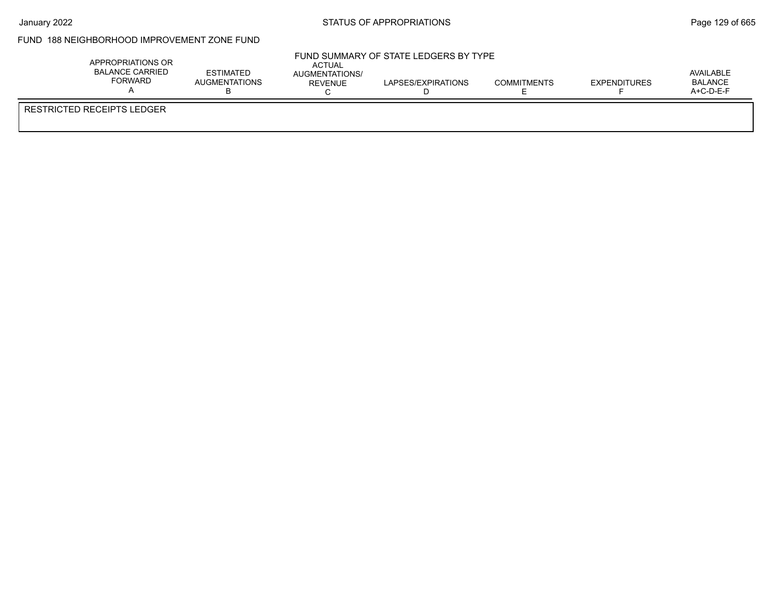#### FUND 188 NEIGHBORHOOD IMPROVEMENT ZONE FUND

|                            | APPROPRIATIONS OR<br>BALANCE CARRIED<br><b>FORWARD</b> | <b>ESTIMATED</b><br><b>AUGMENTATIONS</b><br>D | ACTUAL<br>AUGMENTATIONS/<br>RFVFNUF | FUND SUMMARY OF STATE LEDGERS BY TYPE<br>LAPSES/EXPIRATIONS | <b>COMMITMENTS</b> | <b>EXPENDITURES</b> | AVAILABLE<br>BALANCE<br>$A+C-D-E-F$ |  |
|----------------------------|--------------------------------------------------------|-----------------------------------------------|-------------------------------------|-------------------------------------------------------------|--------------------|---------------------|-------------------------------------|--|
| RESTRICTED RECEIPTS LEDGER |                                                        |                                               |                                     |                                                             |                    |                     |                                     |  |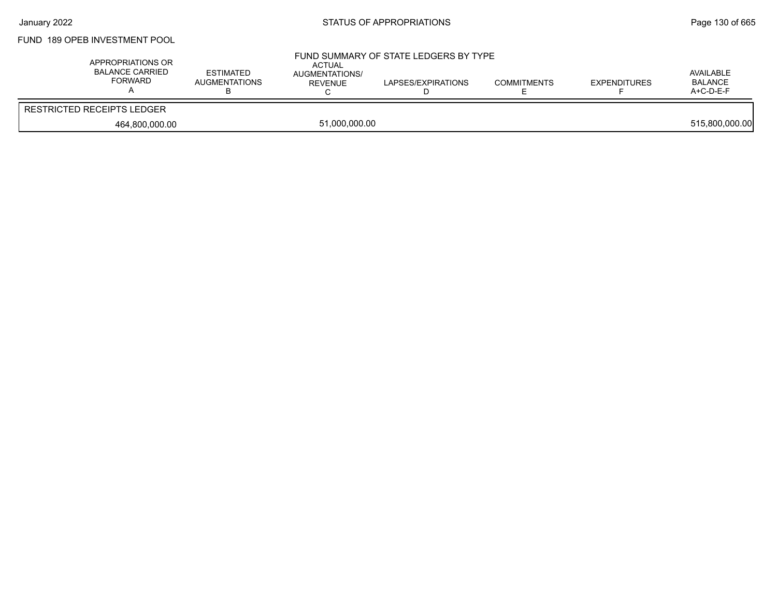## FUND 189 OPEB INVESTMENT POOL

| APPROPRIATIONS OR<br>BALANCE CARRIED<br>FORWARD | <b>ESTIMATED</b><br>AUGMENTATIONS | <b>ACTUAL</b><br>AUGMENTATIONS/<br>REVENUE | FUND SUMMARY OF STATE LEDGERS BY TYPE<br>LAPSES/EXPIRATIONS | <b>COMMITMENTS</b> | <b>EXPENDITURES</b> | AVAILABLE<br><b>BALANCE</b><br>$A+C-D-E-F$ |
|-------------------------------------------------|-----------------------------------|--------------------------------------------|-------------------------------------------------------------|--------------------|---------------------|--------------------------------------------|
| <b>RESTRICTED RECEIPTS LEDGER</b>               |                                   |                                            |                                                             |                    |                     |                                            |
| 464,800,000.00                                  |                                   | 51,000,000.00                              |                                                             |                    |                     | 515,800,000.00                             |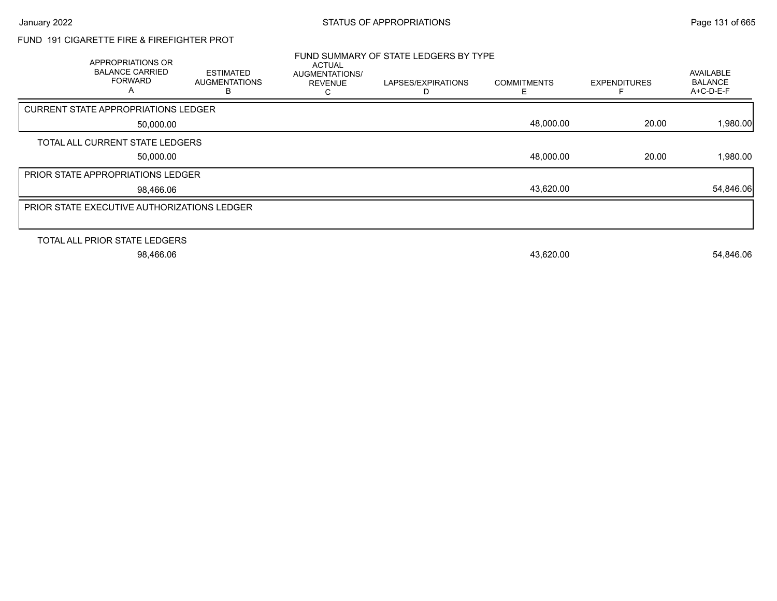### FUND 191 CIGARETTE FIRE & FIREFIGHTER PROT

| APPROPRIATIONS OR<br><b>BALANCE CARRIED</b><br><b>FORWARD</b><br>A | <b>ESTIMATED</b><br><b>AUGMENTATIONS</b><br>B | <b>ACTUAL</b><br><b>AUGMENTATIONS/</b><br><b>REVENUE</b> | FUND SUMMARY OF STATE LEDGERS BY TYPE<br>LAPSES/EXPIRATIONS | <b>COMMITMENTS</b> | <b>EXPENDITURES</b> | <b>AVAILABLE</b><br><b>BALANCE</b><br>$A+C-D-E-F$ |
|--------------------------------------------------------------------|-----------------------------------------------|----------------------------------------------------------|-------------------------------------------------------------|--------------------|---------------------|---------------------------------------------------|
| <b>CURRENT STATE APPROPRIATIONS LEDGER</b>                         |                                               |                                                          |                                                             |                    |                     |                                                   |
| 50,000.00                                                          |                                               |                                                          |                                                             | 48,000.00          | 20.00               | 1,980.00                                          |
| TOTAL ALL CURRENT STATE LEDGERS                                    |                                               |                                                          |                                                             |                    |                     |                                                   |
| 50,000.00                                                          |                                               |                                                          |                                                             | 48,000.00          | 20.00               | 1,980.00                                          |
| <b>PRIOR STATE APPROPRIATIONS LEDGER</b>                           |                                               |                                                          |                                                             |                    |                     |                                                   |
| 98,466.06                                                          |                                               |                                                          |                                                             | 43,620.00          |                     | 54,846.06                                         |
| <b>PRIOR STATE EXECUTIVE AUTHORIZATIONS LEDGER</b>                 |                                               |                                                          |                                                             |                    |                     |                                                   |
|                                                                    |                                               |                                                          |                                                             |                    |                     |                                                   |
| TOTAL ALL PRIOR STATE LEDGERS                                      |                                               |                                                          |                                                             |                    |                     |                                                   |
| 98,466.06                                                          |                                               |                                                          |                                                             | 43,620.00          |                     | 54,846.06                                         |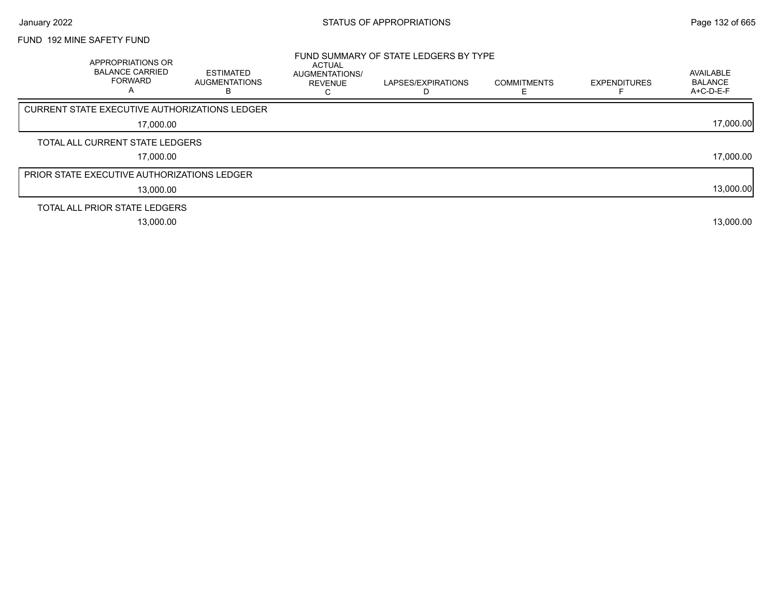### FUND 192 MINE SAFETY FUND

| <b>APPROPRIATIONS OR</b><br><b>BALANCE CARRIED</b><br><b>FORWARD</b><br>А | <b>ESTIMATED</b><br><b>AUGMENTATIONS</b> | ACTUAL<br><b>AUGMENTATIONS/</b><br><b>REVENUE</b> | FUND SUMMARY OF STATE LEDGERS BY TYPE<br>LAPSES/EXPIRATIONS<br>D | <b>COMMITMENTS</b> | <b>EXPENDITURES</b> | AVAILABLE<br><b>BALANCE</b><br>A+C-D-E-F |
|---------------------------------------------------------------------------|------------------------------------------|---------------------------------------------------|------------------------------------------------------------------|--------------------|---------------------|------------------------------------------|
| <b>CURRENT STATE EXECUTIVE AUTHORIZATIONS LEDGER</b>                      |                                          |                                                   |                                                                  |                    |                     |                                          |
| 17,000.00                                                                 |                                          |                                                   |                                                                  |                    |                     | 17,000.00                                |
| TOTAL ALL CURRENT STATE LEDGERS                                           |                                          |                                                   |                                                                  |                    |                     |                                          |
| 17,000.00                                                                 |                                          |                                                   |                                                                  |                    |                     | 17,000.00                                |
| <b>PRIOR STATE EXECUTIVE AUTHORIZATIONS LEDGER</b>                        |                                          |                                                   |                                                                  |                    |                     |                                          |
| 13,000.00                                                                 |                                          |                                                   |                                                                  |                    |                     | 13,000.00                                |
| TOTAL ALL PRIOR STATE LEDGERS                                             |                                          |                                                   |                                                                  |                    |                     |                                          |
| 13,000.00                                                                 |                                          |                                                   |                                                                  |                    |                     | 13,000.00                                |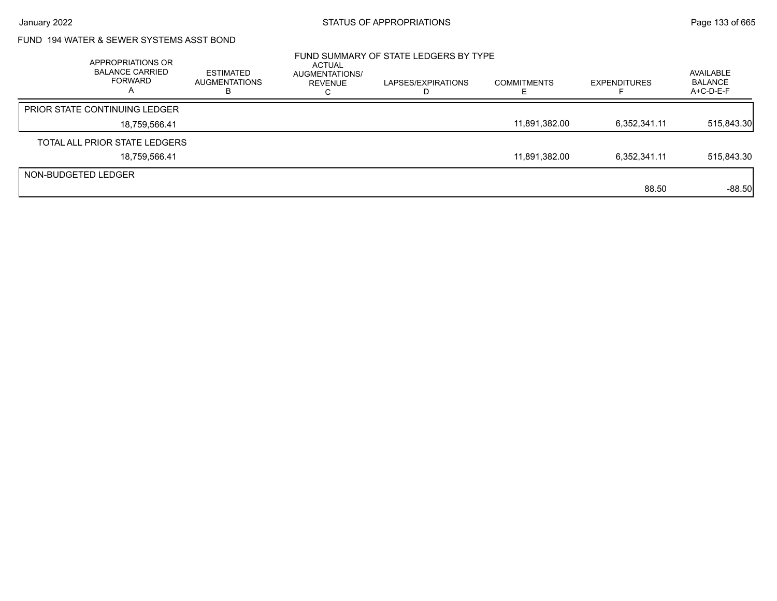## FUND 194 WATER & SEWER SYSTEMS ASST BOND

|                     | APPROPRIATIONS OR<br><b>BALANCE CARRIED</b><br>FORWARD | <b>ESTIMATED</b><br><b>AUGMENTATIONS</b><br>н | ACTUAL<br>AUGMENTATIONS/<br>REVENUE | FUND SUMMARY OF STATE LEDGERS BY TYPE<br>LAPSES/EXPIRATIONS<br>I) | <b>COMMITMENTS</b> | <b>EXPENDITURES</b> | AVAILABLE<br><b>BALANCE</b><br>$A+C-D-E-F$ |
|---------------------|--------------------------------------------------------|-----------------------------------------------|-------------------------------------|-------------------------------------------------------------------|--------------------|---------------------|--------------------------------------------|
|                     | <b>PRIOR STATE CONTINUING LEDGER</b>                   |                                               |                                     |                                                                   |                    |                     |                                            |
|                     | 18,759,566.41                                          |                                               |                                     |                                                                   | 11,891,382.00      | 6,352,341.11        | 515,843.30                                 |
|                     | TOTAL ALL PRIOR STATE LEDGERS                          |                                               |                                     |                                                                   |                    |                     |                                            |
|                     | 18,759,566.41                                          |                                               |                                     |                                                                   | 11,891,382.00      | 6,352,341.11        | 515,843.30                                 |
| NON-BUDGETED LEDGER |                                                        |                                               |                                     |                                                                   |                    |                     |                                            |
|                     |                                                        |                                               |                                     |                                                                   |                    | 88.50               | $-88.50$                                   |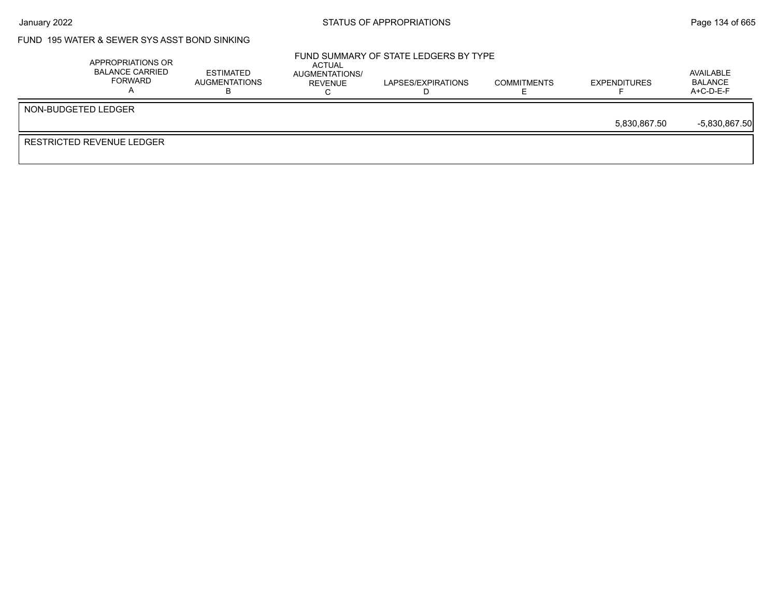## FUND 195 WATER & SEWER SYS ASST BOND SINKING

| APPROPRIATIONS OR<br>BALANCE CARRIED<br>FORWARD | <b>ESTIMATED</b><br>AUGMENTATIONS | ACTUAL<br>AUGMENTATIONS/<br>REVENUE | FUND SUMMARY OF STATE LEDGERS BY TYPE<br>LAPSES/EXPIRATIONS | <b>COMMITMENTS</b> | <b>EXPENDITURES</b> | AVAILABLE<br><b>BALANCE</b><br>A+C-D-E-F |
|-------------------------------------------------|-----------------------------------|-------------------------------------|-------------------------------------------------------------|--------------------|---------------------|------------------------------------------|
| NON-BUDGETED LEDGER                             |                                   |                                     |                                                             |                    |                     |                                          |
|                                                 |                                   |                                     |                                                             |                    | 5.830.867.50        | $-5,830,867.50$                          |
| RESTRICTED REVENUE LEDGER                       |                                   |                                     |                                                             |                    |                     |                                          |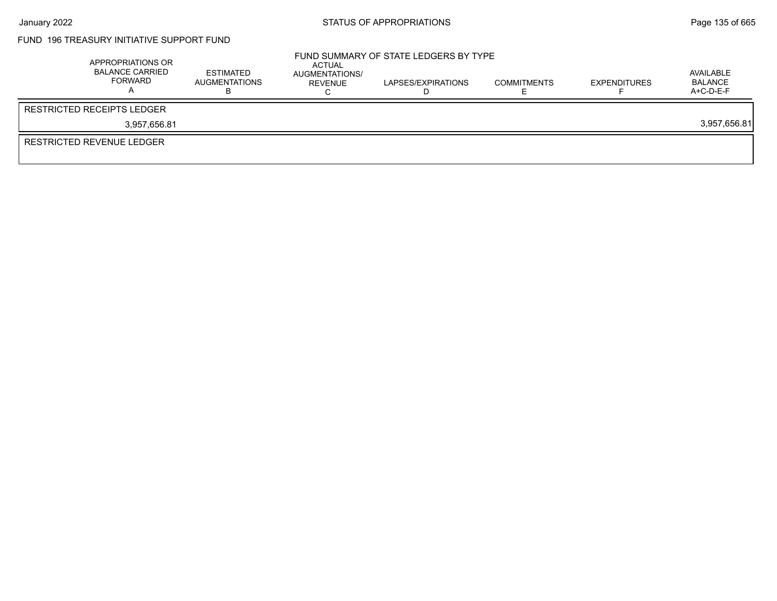## FUND 196 TREASURY INITIATIVE SUPPORT FUND

| APPROPRIATIONS OR<br><b>BALANCE CARRIED</b><br>FORWARD | <b>ESTIMATED</b><br><b>AUGMENTATIONS</b> | ACTUAL<br>AUGMENTATIONS/<br>REVENUE | FUND SUMMARY OF STATE LEDGERS BY TYPE<br>LAPSES/EXPIRATIONS | <b>COMMITMENTS</b> | <b>EXPENDITURES</b> | AVAILABLE<br>BALANCE<br>$A+C-D-E-F$ |
|--------------------------------------------------------|------------------------------------------|-------------------------------------|-------------------------------------------------------------|--------------------|---------------------|-------------------------------------|
| <b>RESTRICTED RECEIPTS LEDGER</b>                      |                                          |                                     |                                                             |                    |                     |                                     |
| 3.957.656.81                                           |                                          |                                     |                                                             |                    |                     | 3,957,656.81                        |
| RESTRICTED REVENUE LEDGER                              |                                          |                                     |                                                             |                    |                     |                                     |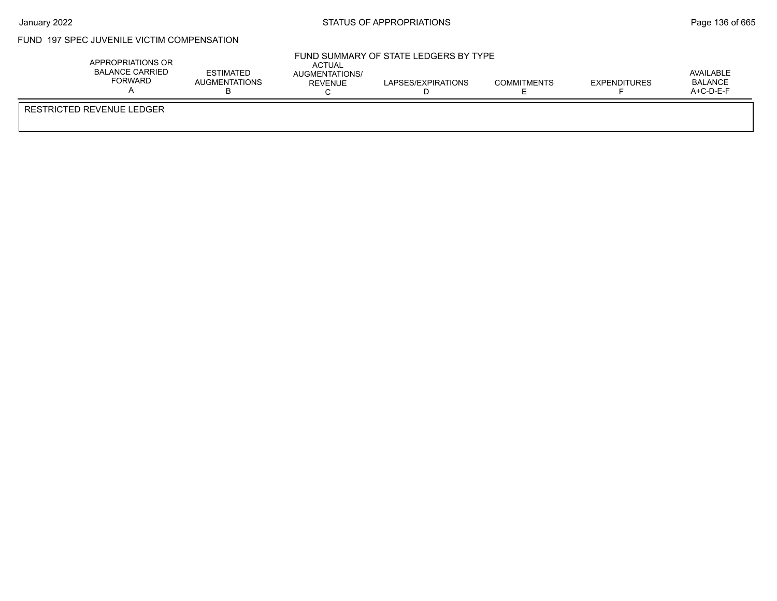$\bar{r}$ 

### FUND 197 SPEC JUVENILE VICTIM COMPENSATION

| APPROPRIATIONS OR<br><b>BALANCE CARRIED</b><br><b>FORWARD</b> | <b>ESTIMATED</b><br><b>AUGMENTATIONS</b> | ACTUAL<br>AUGMENTATIONS/<br>REVENUE | FUND SUMMARY OF STATE LEDGERS BY TYPE<br>LAPSES/EXPIRATIONS | <b>COMMITMENTS</b> | <b>EXPENDITURES</b> | AVAILABLE<br>BALANCE<br>$A+C-D-E-F$ |  |
|---------------------------------------------------------------|------------------------------------------|-------------------------------------|-------------------------------------------------------------|--------------------|---------------------|-------------------------------------|--|
| RESTRICTED REVENUE LEDGER                                     |                                          |                                     |                                                             |                    |                     |                                     |  |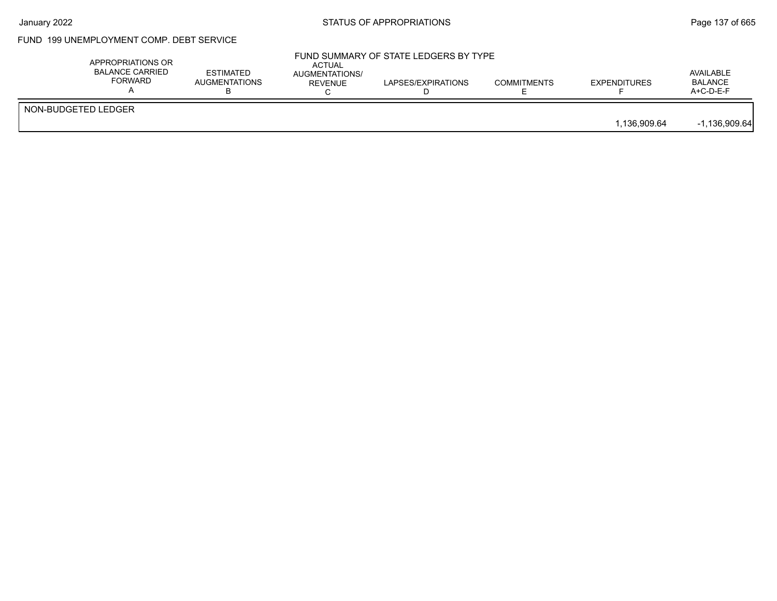## FUND 199 UNEMPLOYMENT COMP. DEBT SERVICE

|                     | APPROPRIATIONS OR<br><b>BALANCE CARRIED</b><br><b>FORWARD</b> | <b>ESTIMATED</b><br><b>AUGMENTATIONS</b> | <b>ACTUAL</b><br>AUGMENTATIONS/<br><b>REVENUE</b> | FUND SUMMARY OF STATE LEDGERS BY TYPE<br>LAPSES/EXPIRATIONS | <b>COMMITMENTS</b> | <b>EXPENDITURES</b> | AVAILABLE<br><b>BALANCE</b><br>$A+C-D-E-F$ |
|---------------------|---------------------------------------------------------------|------------------------------------------|---------------------------------------------------|-------------------------------------------------------------|--------------------|---------------------|--------------------------------------------|
| NON-BUDGETED LEDGER |                                                               |                                          |                                                   |                                                             |                    | 1.136.909.64        | $-1,136,909.64$                            |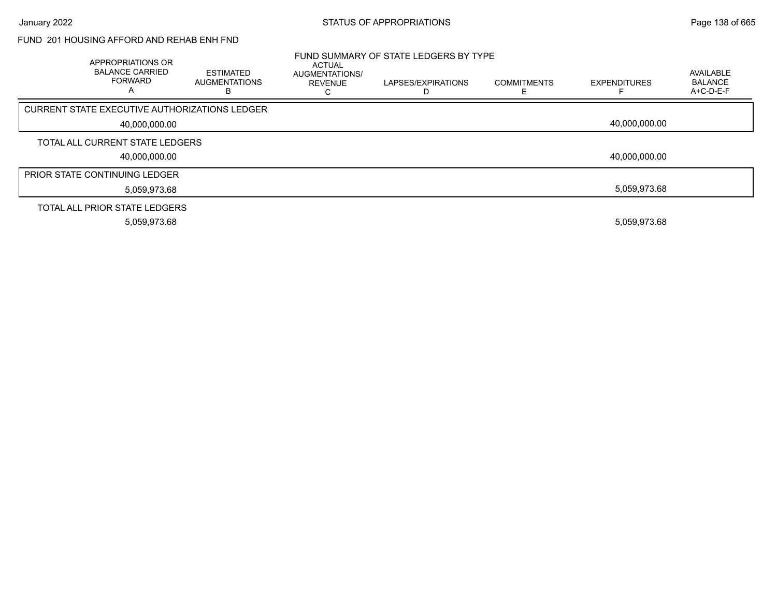#### FUND 201 HOUSING AFFORD AND REHAB ENH FND

| <b>APPROPRIATIONS OR</b><br><b>BALANCE CARRIED</b><br><b>FORWARD</b> | <b>ESTIMATED</b><br><b>AUGMENTATIONS</b><br>в | ACTUAL<br>AUGMENTATIONS/<br>REVENUE | FUND SUMMARY OF STATE LEDGERS BY TYPE<br>LAPSES/EXPIRATIONS | <b>COMMITMENTS</b> | <b>EXPENDITURES</b> | <b>AVAILABLE</b><br><b>BALANCE</b><br>A+C-D-E-F |
|----------------------------------------------------------------------|-----------------------------------------------|-------------------------------------|-------------------------------------------------------------|--------------------|---------------------|-------------------------------------------------|
| CURRENT STATE EXECUTIVE AUTHORIZATIONS LEDGER                        |                                               |                                     |                                                             |                    |                     |                                                 |
| 40,000,000.00                                                        |                                               |                                     |                                                             |                    | 40.000.000.00       |                                                 |
| TOTAL ALL CURRENT STATE LEDGERS                                      |                                               |                                     |                                                             |                    |                     |                                                 |
| 40,000,000.00                                                        |                                               |                                     |                                                             |                    | 40,000,000.00       |                                                 |
| <b>PRIOR STATE CONTINUING LEDGER</b>                                 |                                               |                                     |                                                             |                    |                     |                                                 |
| 5,059,973.68                                                         |                                               |                                     |                                                             |                    | 5,059,973.68        |                                                 |
| TOTAL ALL PRIOR STATE LEDGERS                                        |                                               |                                     |                                                             |                    |                     |                                                 |
| 5,059,973.68                                                         |                                               |                                     |                                                             |                    | 5,059,973.68        |                                                 |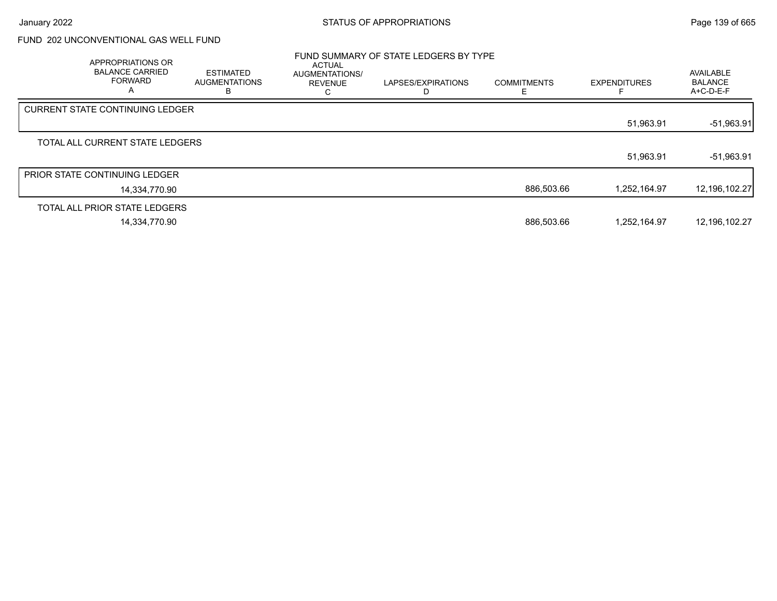## FUND 202 UNCONVENTIONAL GAS WELL FUND

| APPROPRIATIONS OR<br><b>BALANCE CARRIED</b><br><b>FORWARD</b><br>A | ESTIMATED<br><b>AUGMENTATIONS</b><br>в | <b>ACTUAL</b><br>AUGMENTATIONS/<br><b>REVENUE</b><br>U | FUND SUMMARY OF STATE LEDGERS BY TYPE<br>LAPSES/EXPIRATIONS<br>D | <b>COMMITMENTS</b> | <b>EXPENDITURES</b> | AVAILABLE<br><b>BALANCE</b><br>A+C-D-E-F |
|--------------------------------------------------------------------|----------------------------------------|--------------------------------------------------------|------------------------------------------------------------------|--------------------|---------------------|------------------------------------------|
| <b>CURRENT STATE CONTINUING LEDGER</b>                             |                                        |                                                        |                                                                  |                    |                     |                                          |
|                                                                    |                                        |                                                        |                                                                  |                    | 51,963.91           | $-51,963.91$                             |
| TOTAL ALL CURRENT STATE LEDGERS                                    |                                        |                                                        |                                                                  |                    |                     |                                          |
|                                                                    |                                        |                                                        |                                                                  |                    | 51,963.91           | $-51,963.91$                             |
| <b>PRIOR STATE CONTINUING LEDGER</b>                               |                                        |                                                        |                                                                  |                    |                     |                                          |
| 14,334,770.90                                                      |                                        |                                                        |                                                                  | 886,503.66         | 1,252,164.97        | 12,196,102.27                            |
| TOTAL ALL PRIOR STATE LEDGERS                                      |                                        |                                                        |                                                                  |                    |                     |                                          |
| 14,334,770.90                                                      |                                        |                                                        |                                                                  | 886,503.66         | 1,252,164.97        | 12,196,102.27                            |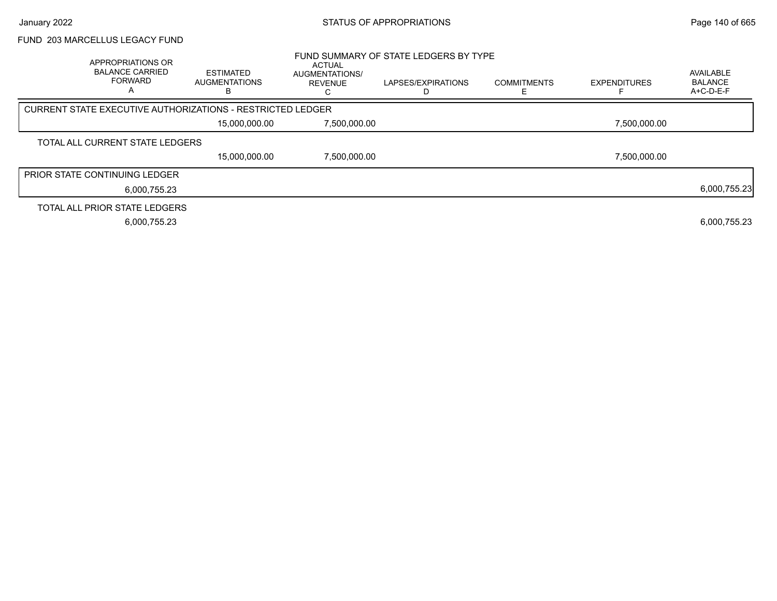#### FUND 203 MARCELLUS LEGACY FUND

| APPROPRIATIONS OR<br><b>BALANCE CARRIED</b><br><b>FORWARD</b><br>A | <b>ESTIMATED</b><br><b>AUGMENTATIONS</b>                   | <b>ACTUAL</b><br>AUGMENTATIONS/<br>REVENUE | FUND SUMMARY OF STATE LEDGERS BY TYPE<br>LAPSES/EXPIRATIONS | <b>COMMITMENTS</b> | <b>EXPENDITURES</b> | AVAILABLE<br><b>BALANCE</b><br>A+C-D-E-F |
|--------------------------------------------------------------------|------------------------------------------------------------|--------------------------------------------|-------------------------------------------------------------|--------------------|---------------------|------------------------------------------|
|                                                                    | CURRENT STATE EXECUTIVE AUTHORIZATIONS - RESTRICTED LEDGER |                                            |                                                             |                    |                     |                                          |
|                                                                    | 15,000,000.00                                              | 7,500,000.00                               |                                                             |                    | 7,500,000.00        |                                          |
| TOTAL ALL CURRENT STATE LEDGERS                                    |                                                            |                                            |                                                             |                    |                     |                                          |
|                                                                    | 15,000,000.00                                              | 7,500,000.00                               |                                                             |                    | 7,500,000.00        |                                          |
| <b>PRIOR STATE CONTINUING LEDGER</b>                               |                                                            |                                            |                                                             |                    |                     |                                          |
|                                                                    | 6.000.755.23                                               |                                            |                                                             |                    |                     | 6,000,755.23                             |
| TOTAL ALL PRIOR STATE LEDGERS                                      |                                                            |                                            |                                                             |                    |                     |                                          |
|                                                                    | 6,000,755.23                                               |                                            |                                                             |                    |                     | 6,000,755.23                             |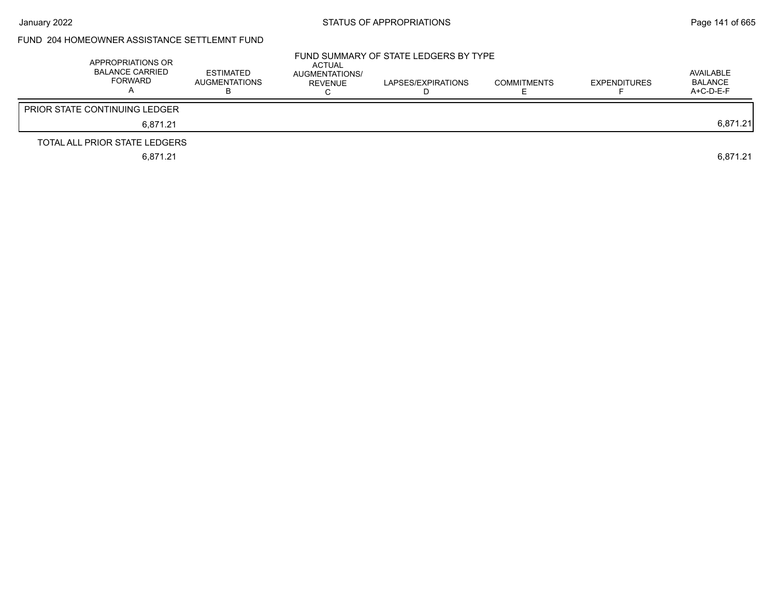## FUND 204 HOMEOWNER ASSISTANCE SETTLEMNT FUND

| APPROPRIATIONS OR<br>BALANCE CARRIED<br>FORWARD | <b>ESTIMATED</b><br><b>AUGMENTATIONS</b> | ACTUAL<br>AUGMENTATIONS/<br><b>REVENUE</b> | FUND SUMMARY OF STATE LEDGERS BY TYPE<br>LAPSES/EXPIRATIONS | <b>COMMITMENTS</b> | <b>EXPENDITURES</b> | AVAILABLE<br>BALANCE<br>$A+C-D-E-F$ |
|-------------------------------------------------|------------------------------------------|--------------------------------------------|-------------------------------------------------------------|--------------------|---------------------|-------------------------------------|
| <b>PRIOR STATE CONTINUING LEDGER</b>            |                                          |                                            |                                                             |                    |                     |                                     |
| 6.871.21                                        |                                          |                                            |                                                             |                    |                     | 6,871.21                            |
| TOTAL ALL PRIOR STATE LEDGERS                   |                                          |                                            |                                                             |                    |                     |                                     |
| 6,871.21                                        |                                          |                                            |                                                             |                    |                     | 6.871.21                            |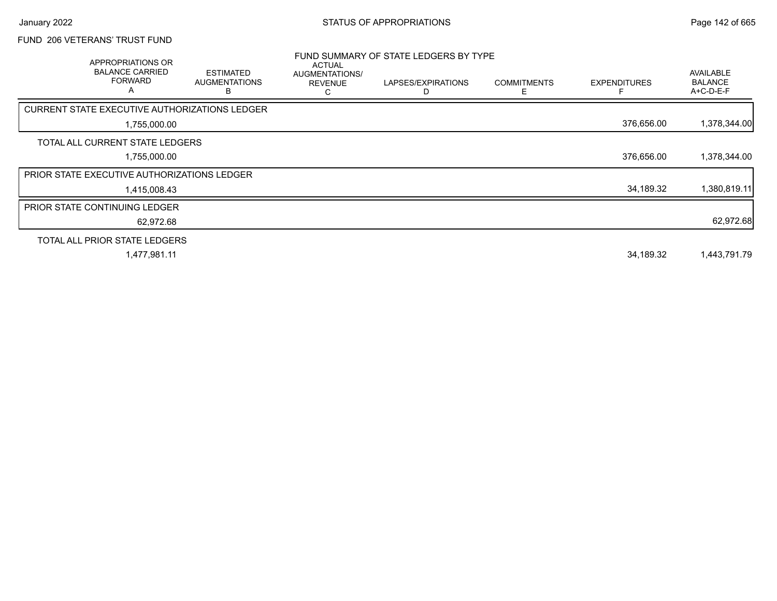# FUND 206 VETERANS' TRUST FUND

| APPROPRIATIONS OR<br><b>BALANCE CARRIED</b><br>FORWARD<br>A | <b>ESTIMATED</b><br><b>AUGMENTATIONS</b><br>в | ACTUAL<br>AUGMENTATIONS/<br><b>REVENUE</b><br>С | FUND SUMMARY OF STATE LEDGERS BY TYPE<br>LAPSES/EXPIRATIONS | <b>COMMITMENTS</b><br>F | <b>EXPENDITURES</b> | AVAILABLE<br><b>BALANCE</b><br>$A+C-D-E-F$ |
|-------------------------------------------------------------|-----------------------------------------------|-------------------------------------------------|-------------------------------------------------------------|-------------------------|---------------------|--------------------------------------------|
| CURRENT STATE EXECUTIVE AUTHORIZATIONS LEDGER               |                                               |                                                 |                                                             |                         |                     |                                            |
| 1,755,000.00                                                |                                               |                                                 |                                                             |                         | 376,656.00          | 1,378,344.00                               |
| TOTAL ALL CURRENT STATE LEDGERS                             |                                               |                                                 |                                                             |                         |                     |                                            |
| 1,755,000.00                                                |                                               |                                                 |                                                             |                         | 376,656.00          | 1,378,344.00                               |
| <b>PRIOR STATE EXECUTIVE AUTHORIZATIONS LEDGER</b>          |                                               |                                                 |                                                             |                         |                     |                                            |
| 1,415,008.43                                                |                                               |                                                 |                                                             |                         | 34,189.32           | 1,380,819.11                               |
| <b>PRIOR STATE CONTINUING LEDGER</b>                        |                                               |                                                 |                                                             |                         |                     |                                            |
| 62,972.68                                                   |                                               |                                                 |                                                             |                         |                     | 62,972.68                                  |
| TOTAL ALL PRIOR STATE LEDGERS                               |                                               |                                                 |                                                             |                         |                     |                                            |
| 1,477,981.11                                                |                                               |                                                 |                                                             |                         | 34,189.32           | 1,443,791.79                               |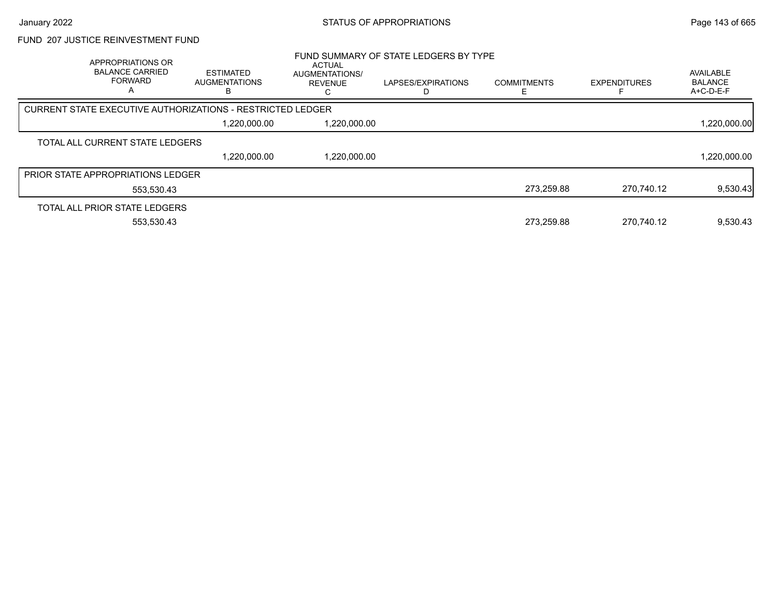## FUND 207 JUSTICE REINVESTMENT FUND

| APPROPRIATIONS OR<br><b>BALANCE CARRIED</b><br><b>FORWARD</b> | <b>ESTIMATED</b><br>AUGMENTATIONS<br>в                     | ACTUAL<br><b>AUGMENTATIONS/</b><br><b>REVENUE</b> | FUND SUMMARY OF STATE LEDGERS BY TYPE<br>LAPSES/EXPIRATIONS | <b>COMMITMENTS</b> | <b>EXPENDITURES</b> | AVAILABLE<br><b>BALANCE</b><br>A+C-D-E-F |
|---------------------------------------------------------------|------------------------------------------------------------|---------------------------------------------------|-------------------------------------------------------------|--------------------|---------------------|------------------------------------------|
|                                                               | CURRENT STATE EXECUTIVE AUTHORIZATIONS - RESTRICTED LEDGER |                                                   |                                                             |                    |                     |                                          |
|                                                               | 1,220,000.00                                               | 1,220,000.00                                      |                                                             |                    |                     | 1,220,000.00                             |
| TOTAL ALL CURRENT STATE LEDGERS                               |                                                            |                                                   |                                                             |                    |                     |                                          |
|                                                               | 1,220,000.00                                               | 1,220,000.00                                      |                                                             |                    |                     | 1,220,000.00                             |
| <b>PRIOR STATE APPROPRIATIONS LEDGER</b>                      |                                                            |                                                   |                                                             |                    |                     |                                          |
| 553.530.43                                                    |                                                            |                                                   |                                                             | 273,259.88         | 270.740.12          | 9,530.43                                 |
| TOTAL ALL PRIOR STATE LEDGERS                                 |                                                            |                                                   |                                                             |                    |                     |                                          |
| 553.530.43                                                    |                                                            |                                                   |                                                             | 273.259.88         | 270.740.12          | 9,530.43                                 |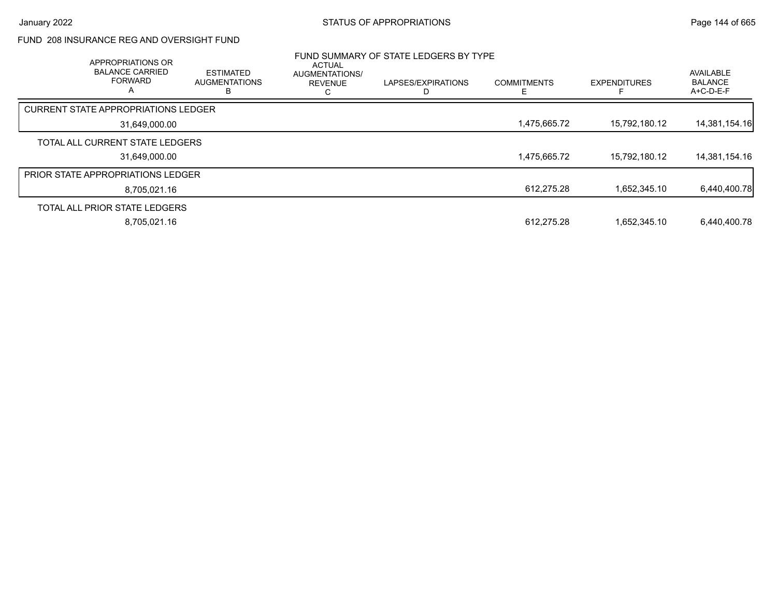### FUND 208 INSURANCE REG AND OVERSIGHT FUND

| APPROPRIATIONS OR<br><b>BALANCE CARRIED</b><br><b>FORWARD</b><br>A |               | <b>ESTIMATED</b><br><b>AUGMENTATIONS</b><br>ь | <b>ACTUAL</b><br><b>AUGMENTATIONS/</b><br><b>REVENUE</b> | FUND SUMMARY OF STATE LEDGERS BY TYPE<br>LAPSES/EXPIRATIONS<br>D | <b>COMMITMENTS</b><br>E. | <b>EXPENDITURES</b> | AVAILABLE<br><b>BALANCE</b><br>$A+C-D-E-F$ |
|--------------------------------------------------------------------|---------------|-----------------------------------------------|----------------------------------------------------------|------------------------------------------------------------------|--------------------------|---------------------|--------------------------------------------|
| CURRENT STATE APPROPRIATIONS LEDGER                                |               |                                               |                                                          |                                                                  |                          |                     |                                            |
|                                                                    | 31,649,000.00 |                                               |                                                          |                                                                  | 1,475,665.72             | 15,792,180.12       | 14,381,154.16                              |
| TOTAL ALL CURRENT STATE LEDGERS                                    |               |                                               |                                                          |                                                                  |                          |                     |                                            |
|                                                                    | 31,649,000.00 |                                               |                                                          |                                                                  | 1,475,665.72             | 15,792,180.12       | 14,381,154.16                              |
| <b>PRIOR STATE APPROPRIATIONS LEDGER</b>                           |               |                                               |                                                          |                                                                  |                          |                     |                                            |
|                                                                    | 8,705,021.16  |                                               |                                                          |                                                                  | 612,275.28               | 1.652.345.10        | 6,440,400.78                               |
| TOTAL ALL PRIOR STATE LEDGERS                                      |               |                                               |                                                          |                                                                  |                          |                     |                                            |
|                                                                    | 8,705,021.16  |                                               |                                                          |                                                                  | 612.275.28               | 1.652.345.10        | 6,440,400.78                               |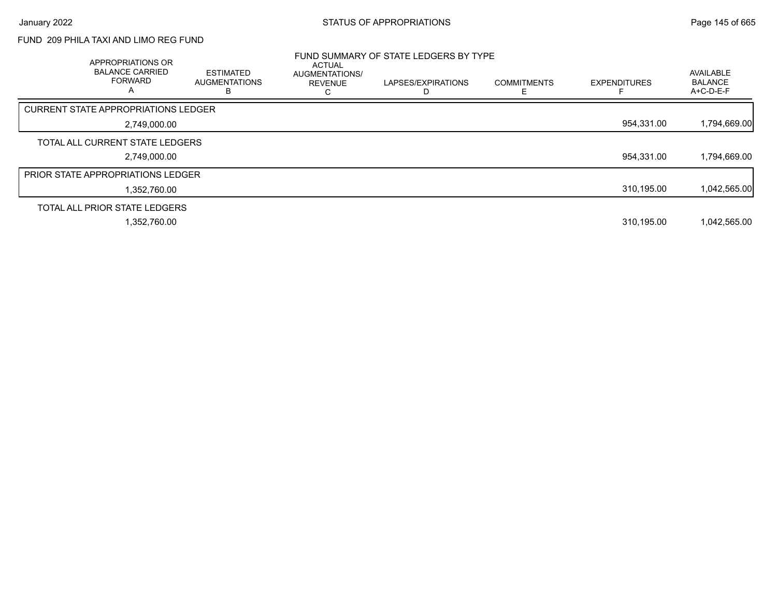# FUND 209 PHILA TAXI AND LIMO REG FUND

| APPROPRIATIONS OR<br><b>BALANCE CARRIED</b><br><b>FORWARD</b><br>A | <b>ESTIMATED</b><br><b>AUGMENTATIONS</b><br>В | <b>ACTUAL</b><br><b>AUGMENTATIONS/</b><br><b>REVENUE</b> | FUND SUMMARY OF STATE LEDGERS BY TYPE<br>LAPSES/EXPIRATIONS | <b>COMMITMENTS</b> | <b>EXPENDITURES</b> | AVAILABLE<br><b>BALANCE</b><br>A+C-D-E-F |
|--------------------------------------------------------------------|-----------------------------------------------|----------------------------------------------------------|-------------------------------------------------------------|--------------------|---------------------|------------------------------------------|
| <b>CURRENT STATE APPROPRIATIONS LEDGER</b>                         |                                               |                                                          |                                                             |                    |                     |                                          |
| 2,749,000.00                                                       |                                               |                                                          |                                                             |                    | 954,331.00          | 1,794,669.00                             |
| TOTAL ALL CURRENT STATE LEDGERS                                    |                                               |                                                          |                                                             |                    |                     |                                          |
| 2,749,000.00                                                       |                                               |                                                          |                                                             |                    | 954.331.00          | 1,794,669.00                             |
| <b>PRIOR STATE APPROPRIATIONS LEDGER</b>                           |                                               |                                                          |                                                             |                    |                     |                                          |
| 1,352,760.00                                                       |                                               |                                                          |                                                             |                    | 310,195.00          | 1,042,565.00                             |
| TOTAL ALL PRIOR STATE LEDGERS                                      |                                               |                                                          |                                                             |                    |                     |                                          |
| 1,352,760.00                                                       |                                               |                                                          |                                                             |                    | 310,195.00          | 1,042,565.00                             |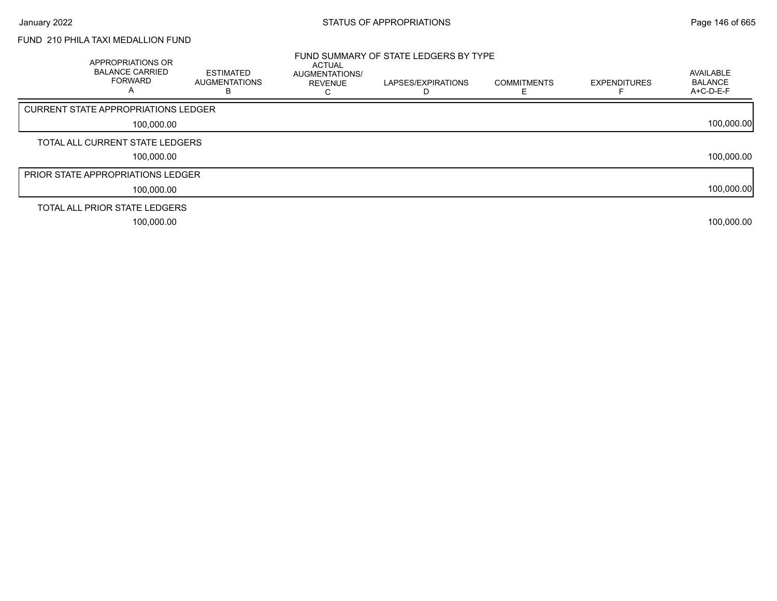# FUND 210 PHILA TAXI MEDALLION FUND

| APPROPRIATIONS OR<br><b>BALANCE CARRIED</b><br><b>FORWARD</b> | <b>ESTIMATED</b><br><b>AUGMENTATIONS</b> | <b>ACTUAL</b><br>AUGMENTATIONS/<br><b>REVENUE</b> | FUND SUMMARY OF STATE LEDGERS BY TYPE<br>LAPSES/EXPIRATIONS | <b>COMMITMENTS</b> | <b>EXPENDITURES</b> | AVAILABLE<br><b>BALANCE</b><br>A+C-D-E-F |
|---------------------------------------------------------------|------------------------------------------|---------------------------------------------------|-------------------------------------------------------------|--------------------|---------------------|------------------------------------------|
| CURRENT STATE APPROPRIATIONS LEDGER                           |                                          |                                                   |                                                             |                    |                     |                                          |
| 100,000.00                                                    |                                          |                                                   |                                                             |                    |                     | 100,000.00                               |
| TOTAL ALL CURRENT STATE LEDGERS                               |                                          |                                                   |                                                             |                    |                     |                                          |
| 100,000.00                                                    |                                          |                                                   |                                                             |                    |                     | 100,000.00                               |
| <b>PRIOR STATE APPROPRIATIONS LEDGER</b>                      |                                          |                                                   |                                                             |                    |                     |                                          |
| 100,000.00                                                    |                                          |                                                   |                                                             |                    |                     | 100,000.00                               |
| TOTAL ALL PRIOR STATE LEDGERS                                 |                                          |                                                   |                                                             |                    |                     |                                          |
| 100,000.00                                                    |                                          |                                                   |                                                             |                    |                     | 100,000.00                               |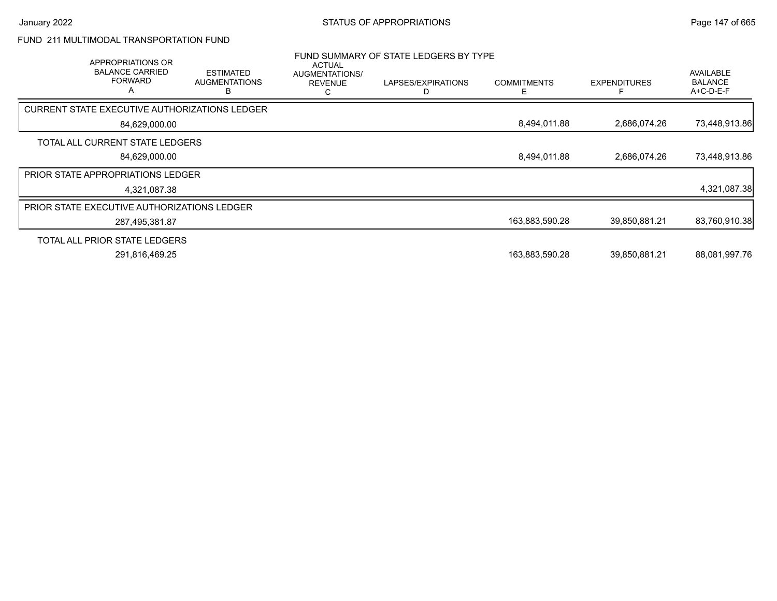# FUND 211 MULTIMODAL TRANSPORTATION FUND

| <b>APPROPRIATIONS OR</b><br><b>BALANCE CARRIED</b><br><b>FORWARD</b><br>Α | <b>ESTIMATED</b><br><b>AUGMENTATIONS</b><br>В | <b>ACTUAL</b><br>AUGMENTATIONS/<br><b>REVENUE</b> | FUND SUMMARY OF STATE LEDGERS BY TYPE<br>LAPSES/EXPIRATIONS<br>D | <b>COMMITMENTS</b><br>Е | <b>EXPENDITURES</b> | AVAILABLE<br><b>BALANCE</b><br>$A+C-D-E-F$ |
|---------------------------------------------------------------------------|-----------------------------------------------|---------------------------------------------------|------------------------------------------------------------------|-------------------------|---------------------|--------------------------------------------|
| CURRENT STATE EXECUTIVE AUTHORIZATIONS LEDGER                             |                                               |                                                   |                                                                  |                         |                     |                                            |
| 84,629,000.00                                                             |                                               |                                                   |                                                                  | 8,494,011.88            | 2,686,074.26        | 73,448,913.86                              |
| TOTAL ALL CURRENT STATE LEDGERS                                           |                                               |                                                   |                                                                  |                         |                     |                                            |
| 84,629,000.00                                                             |                                               |                                                   |                                                                  | 8,494,011.88            | 2,686,074.26        | 73,448,913.86                              |
| <b>PRIOR STATE APPROPRIATIONS LEDGER</b>                                  |                                               |                                                   |                                                                  |                         |                     |                                            |
| 4,321,087.38                                                              |                                               |                                                   |                                                                  |                         |                     | 4,321,087.38                               |
| PRIOR STATE EXECUTIVE AUTHORIZATIONS LEDGER                               |                                               |                                                   |                                                                  |                         |                     |                                            |
| 287,495,381.87                                                            |                                               |                                                   |                                                                  | 163,883,590.28          | 39,850,881.21       | 83,760,910.38                              |
| TOTAL ALL PRIOR STATE LEDGERS                                             |                                               |                                                   |                                                                  |                         |                     |                                            |
| 291,816,469.25                                                            |                                               |                                                   |                                                                  | 163,883,590.28          | 39,850,881.21       | 88,081,997.76                              |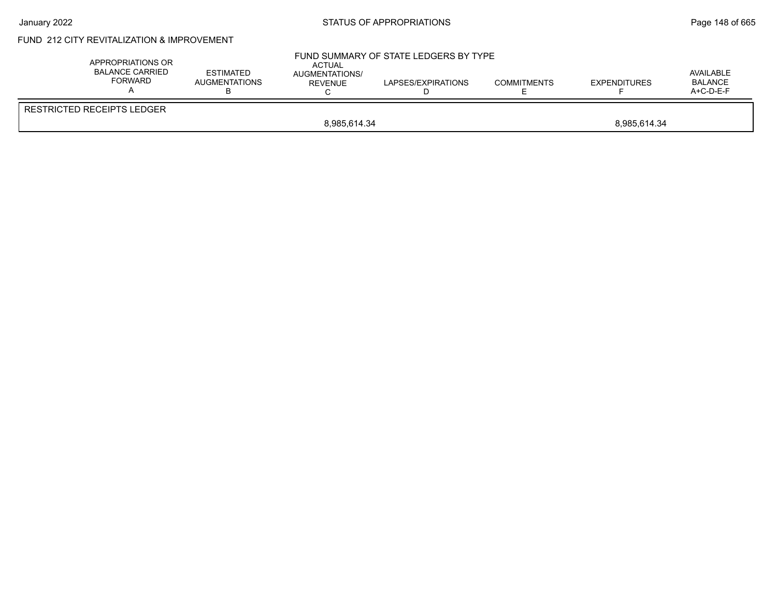## January 2022 **STATUS OF APPROPRIATIONS** STATUS OF APPROPRIATIONS

# FUND 212 CITY REVITALIZATION & IMPROVEMENT

| APPROPRIATIONS OR<br><b>BALANCE CARRIED</b><br><b>FORWARD</b> | <b>ESTIMATED</b><br>AUGMENTATIONS | <b>ACTUAL</b><br>AUGMENTATIONS/<br>REVENUE | FUND SUMMARY OF STATE LEDGERS BY TYPE<br>LAPSES/EXPIRATIONS | <b>COMMITMENTS</b> | <b>EXPENDITURES</b> | AVAILABLE<br><b>BALANCE</b><br>$A+C-D-E-F$ |  |
|---------------------------------------------------------------|-----------------------------------|--------------------------------------------|-------------------------------------------------------------|--------------------|---------------------|--------------------------------------------|--|
| RESTRICTED RECEIPTS LEDGER                                    |                                   |                                            |                                                             |                    |                     |                                            |  |
|                                                               | 8,985,614.34<br>8,985,614.34      |                                            |                                                             |                    |                     |                                            |  |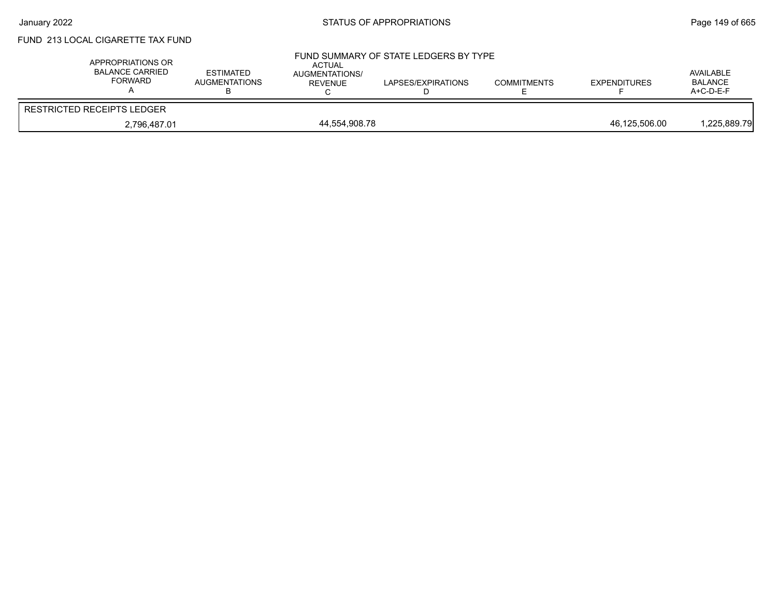# January 2022 **STATUS OF APPROPRIATIONS** STATUS OF APPROPRIATIONS

# FUND 213 LOCAL CIGARETTE TAX FUND

| APPROPRIATIONS OR<br><b>BALANCE CARRIED</b><br>FORWARD | <b>ESTIMATED</b><br><b>AUGMENTATIONS</b> | <b>ACTUAL</b><br>AUGMENTATIONS/<br><b>REVENUE</b> | FUND SUMMARY OF STATE LEDGERS BY TYPE<br>LAPSES/EXPIRATIONS | <b>COMMITMENTS</b> | <b>EXPENDITURES</b> | AVAILABLE<br><b>BALANCE</b><br>$A+C-D-E-F$ |
|--------------------------------------------------------|------------------------------------------|---------------------------------------------------|-------------------------------------------------------------|--------------------|---------------------|--------------------------------------------|
| RESTRICTED RECEIPTS LEDGER                             |                                          |                                                   |                                                             |                    |                     |                                            |
| 2.796.487.01                                           |                                          | 44.554.908.78                                     |                                                             |                    | 46.125.506.00       | 1,225,889.79                               |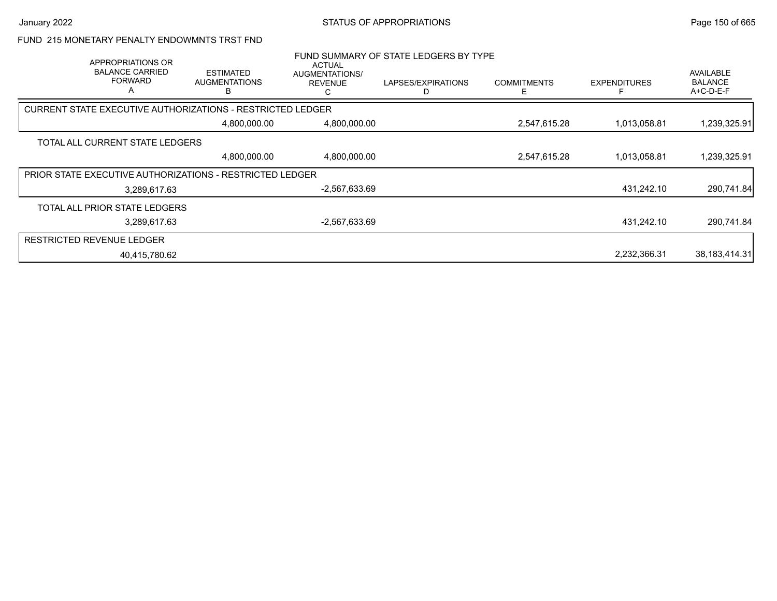### FUND 215 MONETARY PENALTY ENDOWMNTS TRST FND

| APPROPRIATIONS OR<br><b>BALANCE CARRIED</b><br><b>FORWARD</b><br>A | <b>ESTIMATED</b><br><b>AUGMENTATIONS</b><br>в              | ACTUAL<br>AUGMENTATIONS/<br><b>REVENUE</b><br>С | FUND SUMMARY OF STATE LEDGERS BY TYPE<br>LAPSES/EXPIRATIONS | <b>COMMITMENTS</b><br>Е | <b>EXPENDITURES</b> | AVAILABLE<br><b>BALANCE</b><br>A+C-D-E-F |
|--------------------------------------------------------------------|------------------------------------------------------------|-------------------------------------------------|-------------------------------------------------------------|-------------------------|---------------------|------------------------------------------|
|                                                                    | CURRENT STATE EXECUTIVE AUTHORIZATIONS - RESTRICTED LEDGER |                                                 |                                                             |                         |                     |                                          |
|                                                                    | 4,800,000.00                                               | 4,800,000.00                                    |                                                             | 2,547,615.28            | 1,013,058.81        | 1,239,325.91                             |
| TOTAL ALL CURRENT STATE LEDGERS                                    |                                                            |                                                 |                                                             |                         |                     |                                          |
|                                                                    | 4,800,000.00                                               | 4,800,000.00                                    |                                                             | 2,547,615.28            | 1,013,058.81        | 1,239,325.91                             |
|                                                                    | PRIOR STATE EXECUTIVE AUTHORIZATIONS - RESTRICTED LEDGER   |                                                 |                                                             |                         |                     |                                          |
| 3,289,617.63                                                       |                                                            | -2,567,633.69                                   |                                                             |                         | 431,242.10          | 290,741.84                               |
| TOTAL ALL PRIOR STATE LEDGERS                                      |                                                            |                                                 |                                                             |                         |                     |                                          |
| 3,289,617.63                                                       |                                                            | $-2,567,633.69$                                 |                                                             |                         | 431.242.10          | 290,741.84                               |
| <b>RESTRICTED REVENUE LEDGER</b>                                   |                                                            |                                                 |                                                             |                         |                     |                                          |
| 40.415.780.62                                                      |                                                            |                                                 |                                                             |                         | 2,232,366.31        | 38,183,414.31                            |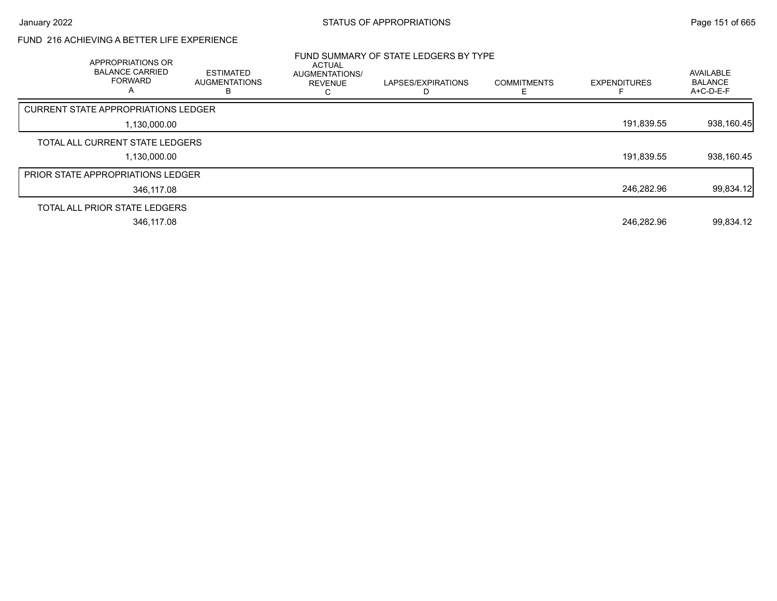# FUND 216 ACHIEVING A BETTER LIFE EXPERIENCE

| APPROPRIATIONS OR<br><b>BALANCE CARRIED</b><br><b>FORWARD</b><br>A | <b>ESTIMATED</b><br><b>AUGMENTATIONS</b><br>B. | <b>ACTUAL</b><br><b>AUGMENTATIONS/</b><br><b>REVENUE</b> | FUND SUMMARY OF STATE LEDGERS BY TYPE<br>LAPSES/EXPIRATIONS | <b>COMMITMENTS</b><br>E | <b>EXPENDITURES</b> | AVAILABLE<br><b>BALANCE</b><br>A+C-D-E-F |
|--------------------------------------------------------------------|------------------------------------------------|----------------------------------------------------------|-------------------------------------------------------------|-------------------------|---------------------|------------------------------------------|
| <b>CURRENT STATE APPROPRIATIONS LEDGER</b>                         |                                                |                                                          |                                                             |                         |                     |                                          |
|                                                                    | 1,130,000.00                                   |                                                          |                                                             |                         | 191,839.55          | 938,160.45                               |
| TOTAL ALL CURRENT STATE LEDGERS                                    |                                                |                                                          |                                                             |                         |                     |                                          |
|                                                                    | 1,130,000.00                                   |                                                          |                                                             |                         | 191,839.55          | 938,160.45                               |
| PRIOR STATE APPROPRIATIONS LEDGER                                  |                                                |                                                          |                                                             |                         |                     |                                          |
|                                                                    | 346.117.08                                     |                                                          |                                                             |                         | 246,282.96          | 99,834.12                                |
| TOTAL ALL PRIOR STATE LEDGERS                                      |                                                |                                                          |                                                             |                         |                     |                                          |
|                                                                    | 346,117.08                                     |                                                          |                                                             |                         | 246,282.96          | 99,834.12                                |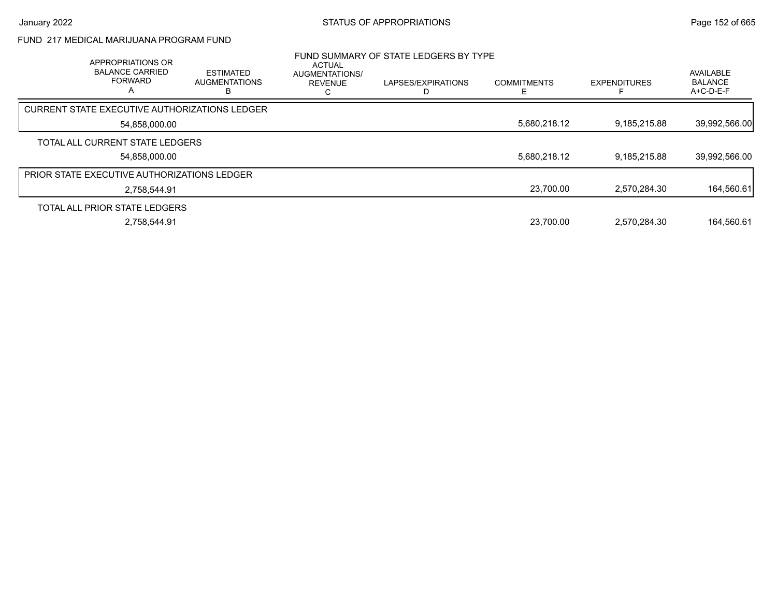# FUND 217 MEDICAL MARIJUANA PROGRAM FUND

| APPROPRIATIONS OR<br><b>BALANCE CARRIED</b><br><b>FORWARD</b><br>А | <b>ESTIMATED</b><br><b>AUGMENTATIONS</b> | ACTUAL<br>AUGMENTATIONS/<br><b>REVENUE</b> | FUND SUMMARY OF STATE LEDGERS BY TYPE<br>LAPSES/EXPIRATIONS | <b>COMMITMENTS</b> | <b>EXPENDITURES</b> | AVAILABLE<br><b>BALANCE</b><br>A+C-D-E-F |
|--------------------------------------------------------------------|------------------------------------------|--------------------------------------------|-------------------------------------------------------------|--------------------|---------------------|------------------------------------------|
| CURRENT STATE EXECUTIVE AUTHORIZATIONS LEDGER                      |                                          |                                            |                                                             |                    |                     |                                          |
| 54,858,000.00                                                      |                                          |                                            |                                                             | 5,680,218.12       | 9,185,215.88        | 39,992,566.00                            |
| TOTAL ALL CURRENT STATE LEDGERS                                    |                                          |                                            |                                                             |                    |                     |                                          |
| 54.858.000.00                                                      |                                          |                                            |                                                             | 5.680.218.12       | 9.185.215.88        | 39,992,566.00                            |
| PRIOR STATE EXECUTIVE AUTHORIZATIONS LEDGER                        |                                          |                                            |                                                             |                    |                     |                                          |
| 2.758.544.91                                                       |                                          |                                            |                                                             | 23,700.00          | 2,570,284.30        | 164,560.61                               |
| TOTAL ALL PRIOR STATE LEDGERS                                      |                                          |                                            |                                                             |                    |                     |                                          |
| 2.758.544.91                                                       |                                          |                                            |                                                             | 23.700.00          | 2.570.284.30        | 164.560.61                               |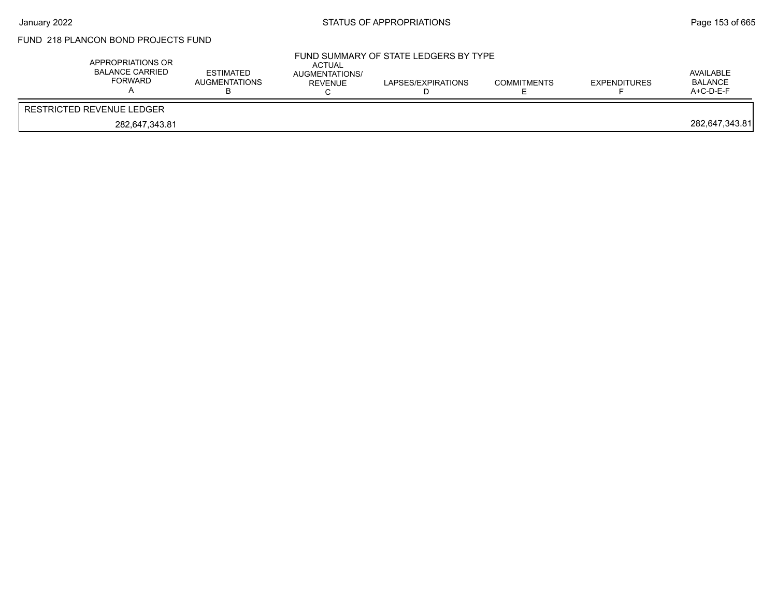# FUND 218 PLANCON BOND PROJECTS FUND

| APPROPRIATIONS OR<br><b>BALANCE CARRIED</b><br>FORWARD | ESTIMATED<br>AUGMENTATIONS | ACTUAL<br>AUGMENTATIONS/<br>REVENUE | FUND SUMMARY OF STATE LEDGERS BY TYPE<br>LAPSES/EXPIRATIONS | <b>COMMITMENTS</b> | <b>EXPENDITURES</b> | AVAILABLE<br>BALANCE<br>$A+C-D-E-F$ |
|--------------------------------------------------------|----------------------------|-------------------------------------|-------------------------------------------------------------|--------------------|---------------------|-------------------------------------|
| RESTRICTED REVENUE LEDGER                              |                            |                                     |                                                             |                    |                     |                                     |
| 282,647,343.81                                         |                            |                                     |                                                             |                    |                     | 282,647,343.81                      |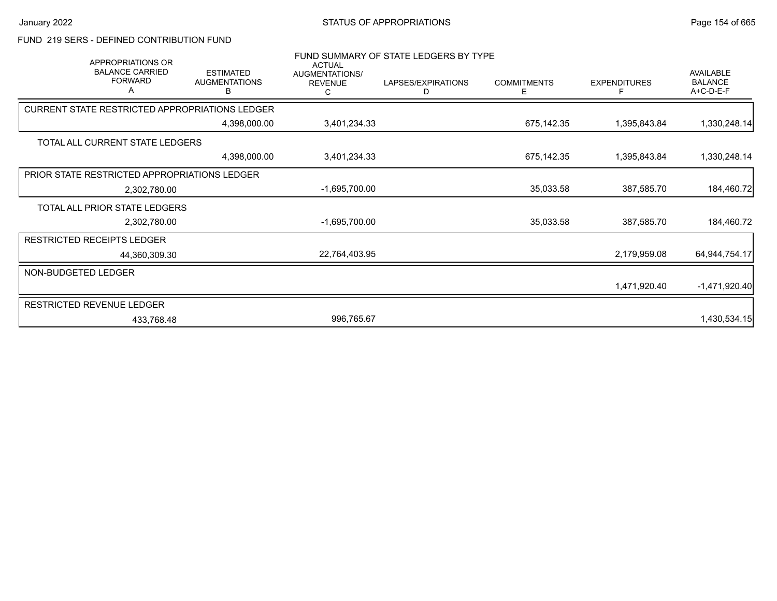## FUND 219 SERS - DEFINED CONTRIBUTION FUND

| <b>APPROPRIATIONS OR</b>                       | FUND SUMMARY OF STATE LEDGERS BY TYPE<br><b>ACTUAL</b> |                                       |                         |                         |                     |                                          |  |
|------------------------------------------------|--------------------------------------------------------|---------------------------------------|-------------------------|-------------------------|---------------------|------------------------------------------|--|
| <b>BALANCE CARRIED</b><br><b>FORWARD</b><br>A  | <b>ESTIMATED</b><br><b>AUGMENTATIONS</b><br>В          | AUGMENTATIONS/<br><b>REVENUE</b><br>С | LAPSES/EXPIRATIONS<br>D | <b>COMMITMENTS</b><br>E | <b>EXPENDITURES</b> | AVAILABLE<br><b>BALANCE</b><br>A+C-D-E-F |  |
| CURRENT STATE RESTRICTED APPROPRIATIONS LEDGER |                                                        |                                       |                         |                         |                     |                                          |  |
|                                                | 4,398,000.00                                           | 3,401,234.33                          |                         | 675,142.35              | 1,395,843.84        | 1,330,248.14                             |  |
| TOTAL ALL CURRENT STATE LEDGERS                |                                                        |                                       |                         |                         |                     |                                          |  |
|                                                | 4,398,000.00                                           | 3,401,234.33                          |                         | 675,142.35              | 1,395,843.84        | 1,330,248.14                             |  |
| PRIOR STATE RESTRICTED APPROPRIATIONS LEDGER   |                                                        |                                       |                         |                         |                     |                                          |  |
| 2,302,780.00                                   |                                                        | $-1,695,700.00$                       |                         | 35,033.58               | 387,585.70          | 184,460.72                               |  |
| TOTAL ALL PRIOR STATE LEDGERS                  |                                                        |                                       |                         |                         |                     |                                          |  |
| 2,302,780.00                                   |                                                        | $-1,695,700.00$                       |                         | 35,033.58               | 387,585.70          | 184,460.72                               |  |
| <b>RESTRICTED RECEIPTS LEDGER</b>              |                                                        |                                       |                         |                         |                     |                                          |  |
| 44,360,309.30                                  |                                                        | 22,764,403.95                         |                         |                         | 2,179,959.08        | 64,944,754.17                            |  |
| NON-BUDGETED LEDGER                            |                                                        |                                       |                         |                         |                     |                                          |  |
|                                                |                                                        |                                       |                         |                         | 1,471,920.40        | $-1,471,920.40$                          |  |
| <b>RESTRICTED REVENUE LEDGER</b>               |                                                        |                                       |                         |                         |                     |                                          |  |
| 433,768.48                                     |                                                        | 996,765.67                            |                         |                         |                     | 1,430,534.15                             |  |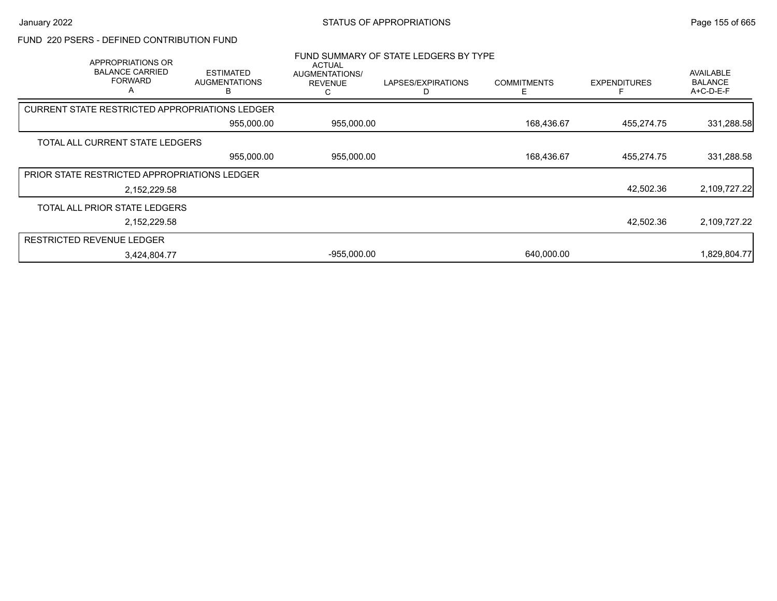## FUND 220 PSERS - DEFINED CONTRIBUTION FUND

| APPROPRIATIONS OR<br><b>BALANCE CARRIED</b><br><b>FORWARD</b><br>A | <b>ESTIMATED</b><br><b>AUGMENTATIONS</b> | <b>ACTUAL</b><br>AUGMENTATIONS/<br><b>REVENUE</b> | FUND SUMMARY OF STATE LEDGERS BY TYPE<br>LAPSES/EXPIRATIONS | <b>COMMITMENTS</b> | <b>EXPENDITURES</b> | <b>AVAILABLE</b><br><b>BALANCE</b><br>A+C-D-E-F |
|--------------------------------------------------------------------|------------------------------------------|---------------------------------------------------|-------------------------------------------------------------|--------------------|---------------------|-------------------------------------------------|
| <b>CURRENT STATE RESTRICTED APPROPRIATIONS LEDGER</b>              |                                          |                                                   |                                                             |                    |                     |                                                 |
|                                                                    | 955,000.00                               | 955,000.00                                        |                                                             | 168,436.67         | 455,274.75          | 331,288.58                                      |
| TOTAL ALL CURRENT STATE LEDGERS                                    |                                          |                                                   |                                                             |                    |                     |                                                 |
|                                                                    | 955,000.00                               | 955,000.00                                        |                                                             | 168,436.67         | 455,274.75          | 331,288.58                                      |
| PRIOR STATE RESTRICTED APPROPRIATIONS LEDGER                       |                                          |                                                   |                                                             |                    |                     |                                                 |
| 2,152,229.58                                                       |                                          |                                                   |                                                             |                    | 42,502.36           | 2,109,727.22                                    |
| TOTAL ALL PRIOR STATE LEDGERS                                      |                                          |                                                   |                                                             |                    |                     |                                                 |
| 2,152,229.58                                                       |                                          |                                                   |                                                             |                    | 42,502.36           | 2,109,727.22                                    |
| <b>RESTRICTED REVENUE LEDGER</b>                                   |                                          |                                                   |                                                             |                    |                     |                                                 |
| 3,424,804.77                                                       |                                          | $-955,000.00$                                     |                                                             | 640,000.00         |                     | 1,829,804.77                                    |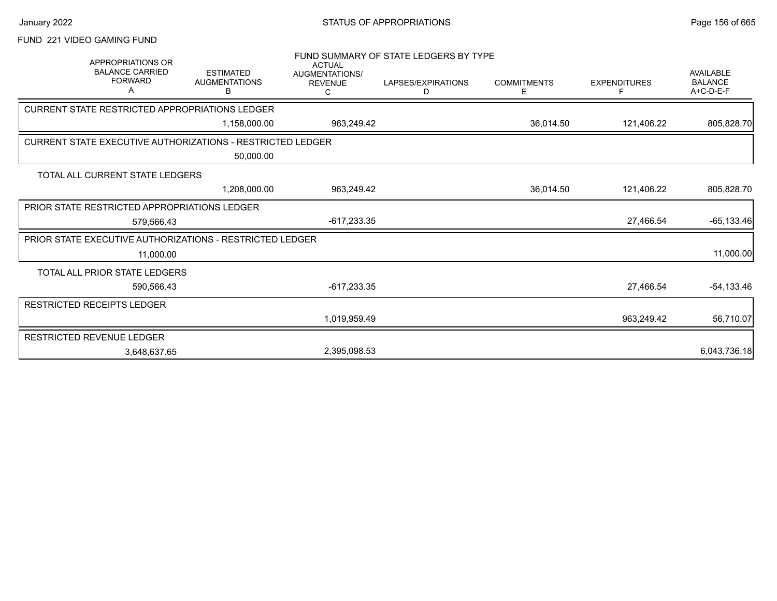# January 2022 **STATUS OF APPROPRIATIONS** STATUS OF APPROPRIATIONS

# FUND 221 VIDEO GAMING FUND

| <b>APPROPRIATIONS OR</b><br><b>BALANCE CARRIED</b><br><b>FORWARD</b><br>Α    | <b>ESTIMATED</b><br><b>AUGMENTATIONS</b><br>В | <b>ACTUAL</b><br>AUGMENTATIONS/<br><b>REVENUE</b><br>С | FUND SUMMARY OF STATE LEDGERS BY TYPE<br>LAPSES/EXPIRATIONS<br>D | <b>COMMITMENTS</b><br>E. | <b>EXPENDITURES</b> | <b>AVAILABLE</b><br><b>BALANCE</b><br>A+C-D-E-F |
|------------------------------------------------------------------------------|-----------------------------------------------|--------------------------------------------------------|------------------------------------------------------------------|--------------------------|---------------------|-------------------------------------------------|
| CURRENT STATE RESTRICTED APPROPRIATIONS LEDGER                               |                                               |                                                        |                                                                  |                          |                     |                                                 |
|                                                                              | 1,158,000.00                                  | 963,249.42                                             |                                                                  | 36,014.50                | 121,406.22          | 805,828.70                                      |
| <b>CURRENT STATE EXECUTIVE AUTHORIZATIONS - RESTRICTED LEDGER</b>            |                                               |                                                        |                                                                  |                          |                     |                                                 |
|                                                                              | 50,000.00                                     |                                                        |                                                                  |                          |                     |                                                 |
| TOTAL ALL CURRENT STATE LEDGERS                                              |                                               |                                                        |                                                                  |                          |                     |                                                 |
|                                                                              | 1,208,000.00                                  | 963,249.42                                             |                                                                  | 36,014.50                | 121,406.22          | 805,828.70                                      |
| PRIOR STATE RESTRICTED APPROPRIATIONS LEDGER                                 |                                               |                                                        |                                                                  |                          |                     |                                                 |
| 579,566.43                                                                   |                                               | $-617,233.35$                                          |                                                                  |                          | 27,466.54           | $-65, 133.46$                                   |
| <b>PRIOR STATE EXECUTIVE AUTHORIZATIONS - RESTRICTED LEDGER</b><br>11,000.00 |                                               |                                                        |                                                                  |                          |                     | 11,000.00                                       |
| TOTAL ALL PRIOR STATE LEDGERS                                                |                                               |                                                        |                                                                  |                          |                     |                                                 |
| 590,566.43                                                                   |                                               | $-617,233.35$                                          |                                                                  |                          | 27,466.54           | $-54, 133.46$                                   |
| <b>RESTRICTED RECEIPTS LEDGER</b>                                            |                                               |                                                        |                                                                  |                          |                     |                                                 |
|                                                                              |                                               | 1,019,959.49                                           |                                                                  |                          | 963,249.42          | 56,710.07                                       |
| RESTRICTED REVENUE LEDGER                                                    |                                               |                                                        |                                                                  |                          |                     |                                                 |
| 3,648,637.65                                                                 |                                               | 2,395,098.53                                           |                                                                  |                          |                     | 6,043,736.18                                    |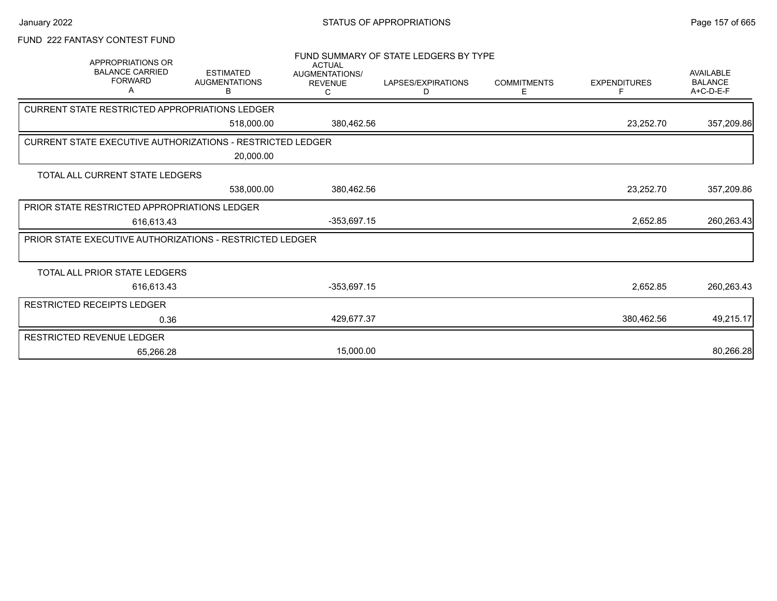# FUND 222 FANTASY CONTEST FUND

| APPROPRIATIONS OR                                                 |                                               | <b>ACTUAL</b>                                | FUND SUMMARY OF STATE LEDGERS BY TYPE |                         |                     |                                          |
|-------------------------------------------------------------------|-----------------------------------------------|----------------------------------------------|---------------------------------------|-------------------------|---------------------|------------------------------------------|
| <b>BALANCE CARRIED</b><br><b>FORWARD</b><br>A                     | <b>ESTIMATED</b><br><b>AUGMENTATIONS</b><br>B | <b>AUGMENTATIONS/</b><br><b>REVENUE</b><br>С | LAPSES/EXPIRATIONS<br>D               | <b>COMMITMENTS</b><br>Е | <b>EXPENDITURES</b> | AVAILABLE<br><b>BALANCE</b><br>A+C-D-E-F |
| CURRENT STATE RESTRICTED APPROPRIATIONS LEDGER                    |                                               |                                              |                                       |                         |                     |                                          |
|                                                                   | 518,000.00                                    | 380,462.56                                   |                                       |                         | 23,252.70           | 357,209.86                               |
| <b>CURRENT STATE EXECUTIVE AUTHORIZATIONS - RESTRICTED LEDGER</b> |                                               |                                              |                                       |                         |                     |                                          |
|                                                                   | 20,000.00                                     |                                              |                                       |                         |                     |                                          |
| TOTAL ALL CURRENT STATE LEDGERS                                   |                                               |                                              |                                       |                         |                     |                                          |
|                                                                   | 538,000.00                                    | 380,462.56                                   |                                       |                         | 23,252.70           | 357,209.86                               |
| PRIOR STATE RESTRICTED APPROPRIATIONS LEDGER                      |                                               |                                              |                                       |                         |                     |                                          |
| 616,613.43                                                        |                                               | $-353,697.15$                                |                                       |                         | 2,652.85            | 260,263.43                               |
| <b>PRIOR STATE EXECUTIVE AUTHORIZATIONS - RESTRICTED LEDGER</b>   |                                               |                                              |                                       |                         |                     |                                          |
|                                                                   |                                               |                                              |                                       |                         |                     |                                          |
| TOTAL ALL PRIOR STATE LEDGERS                                     |                                               |                                              |                                       |                         |                     |                                          |
| 616,613.43                                                        |                                               | $-353,697.15$                                |                                       |                         | 2,652.85            | 260,263.43                               |
| RESTRICTED RECEIPTS LEDGER                                        |                                               |                                              |                                       |                         |                     |                                          |
| 0.36                                                              |                                               | 429.677.37                                   |                                       |                         | 380,462.56          | 49,215.17                                |
| <b>RESTRICTED REVENUE LEDGER</b>                                  |                                               |                                              |                                       |                         |                     |                                          |
| 65.266.28                                                         |                                               | 15,000.00                                    |                                       |                         |                     | 80,266.28                                |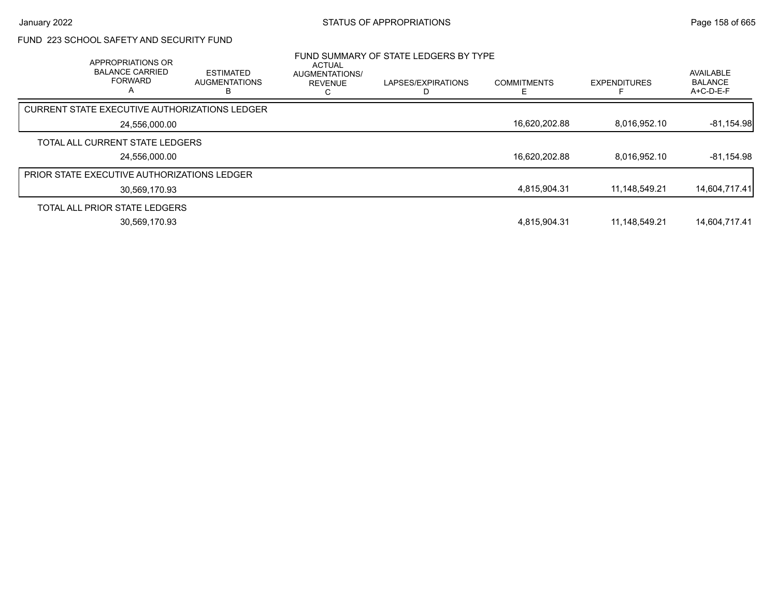# FUND 223 SCHOOL SAFETY AND SECURITY FUND

| APPROPRIATIONS OR<br><b>BALANCE CARRIED</b><br><b>FORWARD</b><br>А | <b>ESTIMATED</b><br><b>AUGMENTATIONS</b> | ACTUAL<br>AUGMENTATIONS/<br><b>REVENUE</b> | FUND SUMMARY OF STATE LEDGERS BY TYPE<br>LAPSES/EXPIRATIONS | <b>COMMITMENTS</b> | <b>EXPENDITURES</b> | AVAILABLE<br><b>BALANCE</b><br>A+C-D-E-F |
|--------------------------------------------------------------------|------------------------------------------|--------------------------------------------|-------------------------------------------------------------|--------------------|---------------------|------------------------------------------|
| <b>CURRENT STATE EXECUTIVE AUTHORIZATIONS LEDGER</b>               |                                          |                                            |                                                             |                    |                     |                                          |
| 24,556,000.00                                                      |                                          |                                            |                                                             | 16,620,202.88      | 8.016.952.10        | $-81,154.98$                             |
| TOTAL ALL CURRENT STATE LEDGERS                                    |                                          |                                            |                                                             |                    |                     |                                          |
| 24.556.000.00                                                      |                                          |                                            |                                                             | 16.620.202.88      | 8.016.952.10        | $-81,154.98$                             |
| PRIOR STATE EXECUTIVE AUTHORIZATIONS LEDGER                        |                                          |                                            |                                                             |                    |                     |                                          |
| 30,569,170.93                                                      |                                          |                                            |                                                             | 4,815,904.31       | 11,148,549.21       | 14,604,717.41                            |
| TOTAL ALL PRIOR STATE LEDGERS                                      |                                          |                                            |                                                             |                    |                     |                                          |
| 30,569,170.93                                                      |                                          |                                            |                                                             | 4.815.904.31       | 11.148.549.21       | 14.604.717.41                            |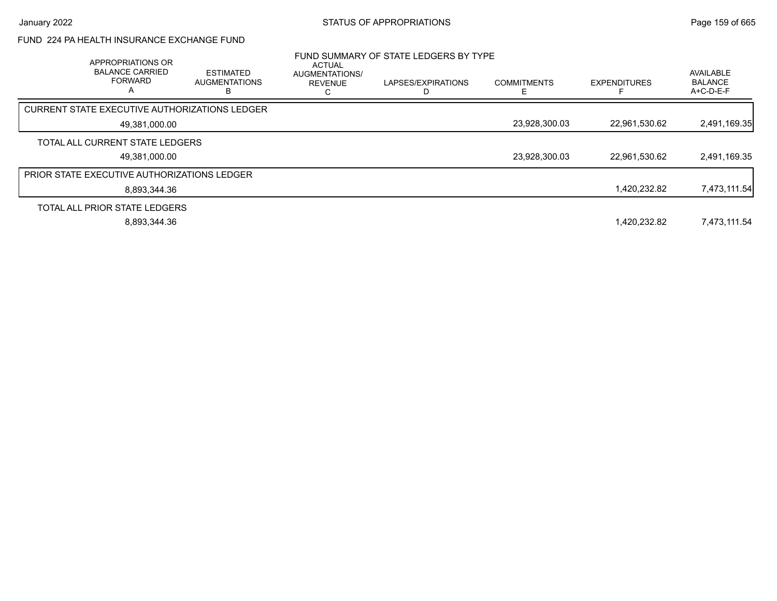## FUND 224 PA HEALTH INSURANCE EXCHANGE FUND

| APPROPRIATIONS OR<br><b>BALANCE CARRIED</b><br><b>FORWARD</b><br>А | <b>ESTIMATED</b><br><b>AUGMENTATIONS</b><br>в | <b>ACTUAL</b><br><b>AUGMENTATIONS/</b><br><b>REVENUE</b> | FUND SUMMARY OF STATE LEDGERS BY TYPE<br>LAPSES/EXPIRATIONS | <b>COMMITMENTS</b> | <b>EXPENDITURES</b> | AVAILABLE<br><b>BALANCE</b><br>$A+C-D-E-F$ |
|--------------------------------------------------------------------|-----------------------------------------------|----------------------------------------------------------|-------------------------------------------------------------|--------------------|---------------------|--------------------------------------------|
| CURRENT STATE EXECUTIVE AUTHORIZATIONS LEDGER                      |                                               |                                                          |                                                             |                    |                     |                                            |
| 49,381,000.00                                                      |                                               |                                                          |                                                             | 23,928,300.03      | 22,961,530.62       | 2,491,169.35                               |
| TOTAL ALL CURRENT STATE LEDGERS                                    |                                               |                                                          |                                                             |                    |                     |                                            |
| 49,381,000.00                                                      |                                               |                                                          |                                                             | 23,928,300.03      | 22,961,530.62       | 2,491,169.35                               |
| <b>PRIOR STATE EXECUTIVE AUTHORIZATIONS LEDGER</b>                 |                                               |                                                          |                                                             |                    |                     |                                            |
| 8.893.344.36                                                       |                                               |                                                          |                                                             |                    | 1,420,232.82        | 7,473,111.54                               |
| TOTAL ALL PRIOR STATE LEDGERS                                      |                                               |                                                          |                                                             |                    |                     |                                            |
| 8,893,344.36                                                       |                                               |                                                          |                                                             |                    | 1.420.232.82        | 7,473,111.54                               |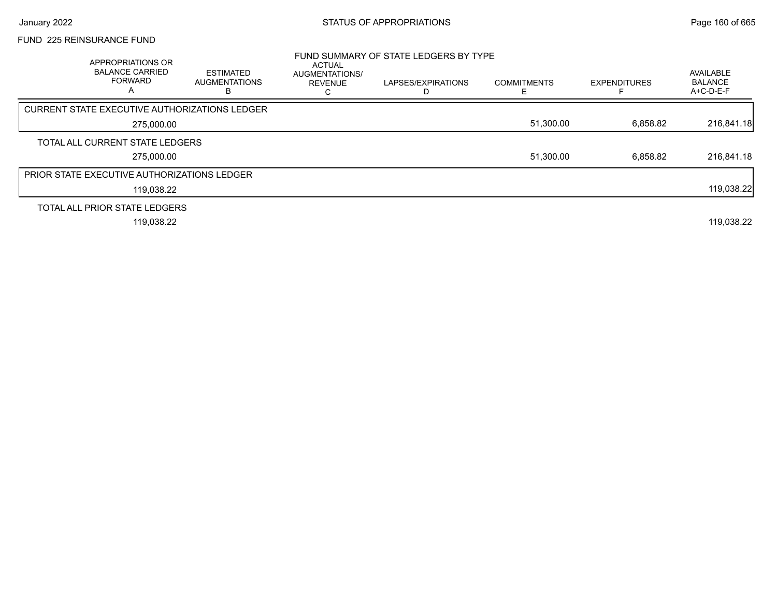## FUND 225 REINSURANCE FUND

| APPROPRIATIONS OR<br><b>BALANCE CARRIED</b><br><b>FORWARD</b><br>$\overline{\mathsf{A}}$ | <b>ESTIMATED</b><br><b>AUGMENTATIONS</b><br>в | <b>ACTUAL</b><br>AUGMENTATIONS/<br><b>REVENUE</b> | FUND SUMMARY OF STATE LEDGERS BY TYPE<br>LAPSES/EXPIRATIONS | <b>COMMITMENTS</b> | <b>EXPENDITURES</b> | AVAILABLE<br><b>BALANCE</b><br>$A+C-D-E-F$ |
|------------------------------------------------------------------------------------------|-----------------------------------------------|---------------------------------------------------|-------------------------------------------------------------|--------------------|---------------------|--------------------------------------------|
| CURRENT STATE EXECUTIVE AUTHORIZATIONS LEDGER                                            |                                               |                                                   |                                                             |                    |                     |                                            |
| 275.000.00                                                                               |                                               |                                                   |                                                             | 51,300.00          | 6,858.82            | 216,841.18                                 |
| TOTAL ALL CURRENT STATE LEDGERS                                                          |                                               |                                                   |                                                             |                    |                     |                                            |
| 275.000.00                                                                               |                                               |                                                   |                                                             | 51,300.00          | 6,858.82            | 216,841.18                                 |
| PRIOR STATE EXECUTIVE AUTHORIZATIONS LEDGER                                              |                                               |                                                   |                                                             |                    |                     |                                            |
| 119,038.22                                                                               |                                               |                                                   |                                                             |                    |                     | 119,038.22                                 |
| TOTAL ALL PRIOR STATE LEDGERS                                                            |                                               |                                                   |                                                             |                    |                     |                                            |
| 119,038.22                                                                               |                                               |                                                   |                                                             |                    |                     | 119,038.22                                 |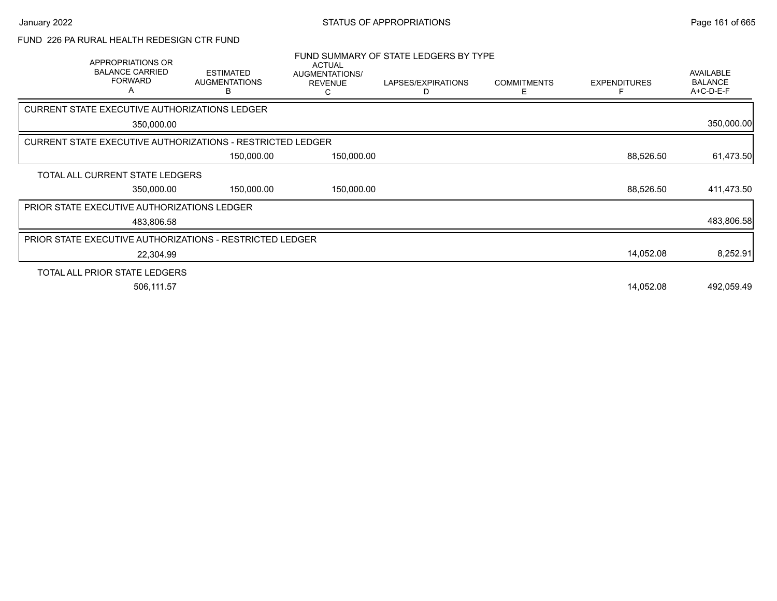## FUND 226 PA RURAL HEALTH REDESIGN CTR FUND

|                                                                   | APPROPRIATIONS OR<br><b>BALANCE CARRIED</b><br><b>FORWARD</b><br>A | <b>ESTIMATED</b><br><b>AUGMENTATIONS</b><br>в | <b>ACTUAL</b><br>AUGMENTATIONS/<br><b>REVENUE</b><br>C | FUND SUMMARY OF STATE LEDGERS BY TYPE<br>LAPSES/EXPIRATIONS<br>D | <b>COMMITMENTS</b><br>Е | <b>EXPENDITURES</b> | AVAILABLE<br><b>BALANCE</b><br>A+C-D-E-F |
|-------------------------------------------------------------------|--------------------------------------------------------------------|-----------------------------------------------|--------------------------------------------------------|------------------------------------------------------------------|-------------------------|---------------------|------------------------------------------|
| CURRENT STATE EXECUTIVE AUTHORIZATIONS LEDGER                     |                                                                    |                                               |                                                        |                                                                  |                         |                     |                                          |
|                                                                   | 350,000.00                                                         |                                               |                                                        |                                                                  |                         |                     | 350,000.00                               |
| <b>CURRENT STATE EXECUTIVE AUTHORIZATIONS - RESTRICTED LEDGER</b> |                                                                    |                                               |                                                        |                                                                  |                         |                     |                                          |
|                                                                   |                                                                    | 150,000.00                                    | 150,000.00                                             |                                                                  |                         | 88,526.50           | 61,473.50                                |
| TOTAL ALL CURRENT STATE LEDGERS                                   |                                                                    |                                               |                                                        |                                                                  |                         |                     |                                          |
|                                                                   | 350,000.00                                                         | 150,000.00                                    | 150,000.00                                             |                                                                  |                         | 88,526.50           | 411,473.50                               |
| PRIOR STATE EXECUTIVE AUTHORIZATIONS LEDGER                       |                                                                    |                                               |                                                        |                                                                  |                         |                     |                                          |
|                                                                   | 483,806.58                                                         |                                               |                                                        |                                                                  |                         |                     | 483,806.58                               |
| <b>PRIOR STATE EXECUTIVE AUTHORIZATIONS - RESTRICTED LEDGER</b>   |                                                                    |                                               |                                                        |                                                                  |                         |                     |                                          |
|                                                                   | 22,304.99                                                          |                                               |                                                        |                                                                  |                         | 14,052.08           | 8,252.91                                 |
| TOTAL ALL PRIOR STATE LEDGERS                                     |                                                                    |                                               |                                                        |                                                                  |                         |                     |                                          |
|                                                                   | 506,111.57                                                         |                                               |                                                        |                                                                  |                         | 14,052.08           | 492,059.49                               |
|                                                                   |                                                                    |                                               |                                                        |                                                                  |                         |                     |                                          |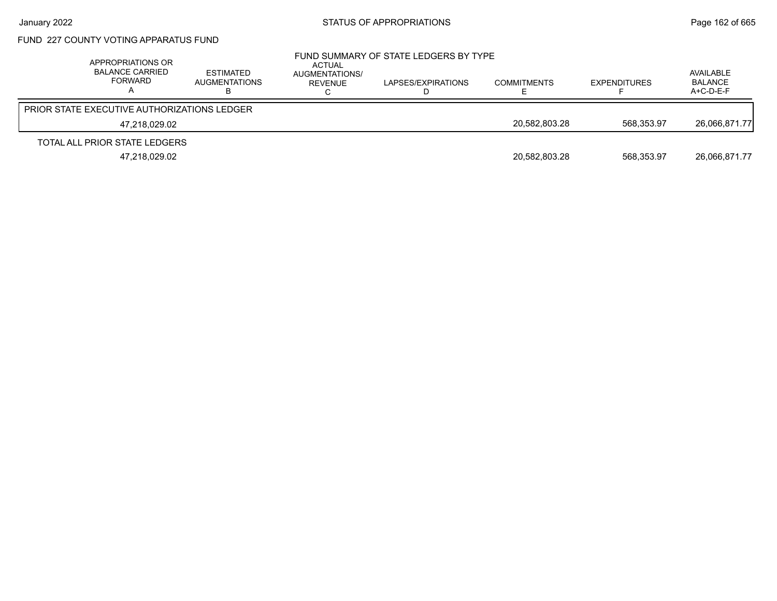# FUND 227 COUNTY VOTING APPARATUS FUND

| APPROPRIATIONS OR<br>BALANCE CARRIED<br>FORWARD    | <b>ESTIMATED</b><br>AUGMENTATIONS | ACTUAL<br>AUGMENTATIONS/<br>REVENUE | FUND SUMMARY OF STATE LEDGERS BY TYPE<br>LAPSES/EXPIRATIONS<br>Ш. | <b>COMMITMENTS</b> | EXPENDITURES | AVAILABLE<br><b>BALANCE</b><br>$A+C-D-E-F$ |
|----------------------------------------------------|-----------------------------------|-------------------------------------|-------------------------------------------------------------------|--------------------|--------------|--------------------------------------------|
| <b>PRIOR STATE EXECUTIVE AUTHORIZATIONS LEDGER</b> |                                   |                                     |                                                                   |                    |              |                                            |
| 47,218,029.02                                      |                                   |                                     |                                                                   | 20,582,803.28      | 568.353.97   | 26.066.871.77                              |
| TOTAL ALL PRIOR STATE LEDGERS                      |                                   |                                     |                                                                   |                    |              |                                            |
| 47,218,029.02                                      |                                   |                                     |                                                                   | 20,582,803.28      | 568.353.97   | 26.066.871.77                              |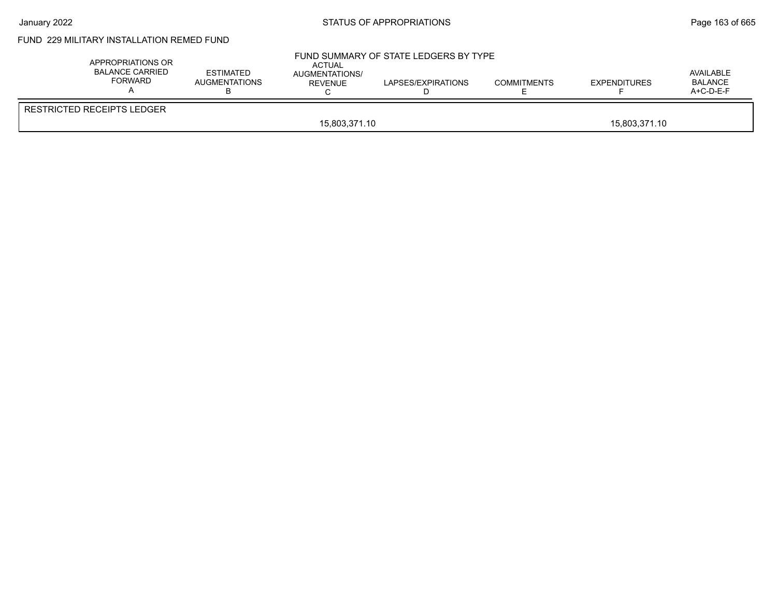# January 2022 **STATUS OF APPROPRIATIONS** STATUS OF APPROPRIATIONS

# FUND 229 MILITARY INSTALLATION REMED FUND

| APPROPRIATIONS OR<br><b>BALANCE CARRIED</b><br>FORWARD | <b>ESTIMATED</b><br>AUGMENTATIONS | ACTUAL<br>AUGMENTATIONS/<br><b>REVENUE</b> | FUND SUMMARY OF STATE LEDGERS BY TYPE<br>LAPSES/EXPIRATIONS | <b>COMMITMENTS</b> | <b>EXPENDITURES</b> | AVAILABLE<br>BALANCE<br>A+C-D-E-F |  |
|--------------------------------------------------------|-----------------------------------|--------------------------------------------|-------------------------------------------------------------|--------------------|---------------------|-----------------------------------|--|
| <b>RESTRICTED RECEIPTS LEDGER</b>                      |                                   |                                            |                                                             |                    |                     |                                   |  |
|                                                        | 15,803,371.10<br>15.803.371.10    |                                            |                                                             |                    |                     |                                   |  |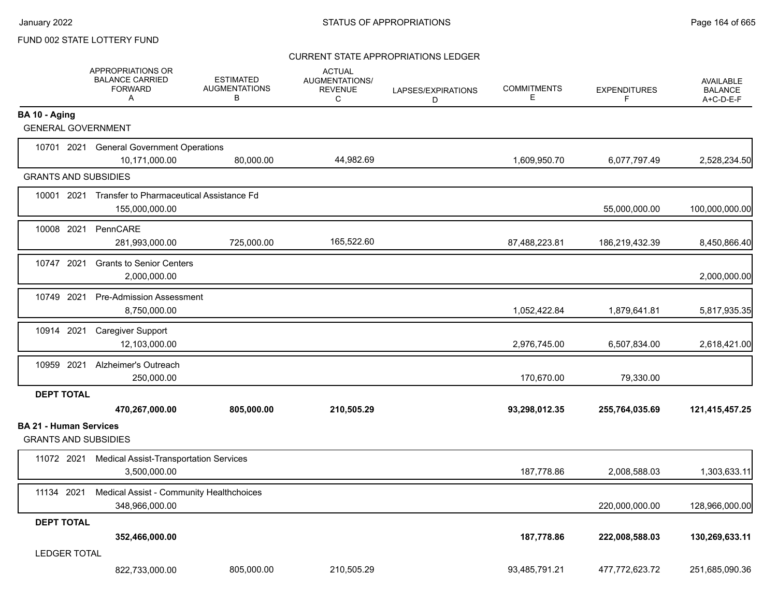### CURRENT STATE APPROPRIATIONS LEDGER

|                                                              | APPROPRIATIONS OR<br><b>BALANCE CARRIED</b><br><b>FORWARD</b><br>Α    | <b>ESTIMATED</b><br><b>AUGMENTATIONS</b><br>В | <b>ACTUAL</b><br>AUGMENTATIONS/<br><b>REVENUE</b><br>C | LAPSES/EXPIRATIONS<br>D | <b>COMMITMENTS</b><br>E. | <b>EXPENDITURES</b><br>F | <b>AVAILABLE</b><br><b>BALANCE</b><br>A+C-D-E-F |
|--------------------------------------------------------------|-----------------------------------------------------------------------|-----------------------------------------------|--------------------------------------------------------|-------------------------|--------------------------|--------------------------|-------------------------------------------------|
| BA 10 - Aging<br><b>GENERAL GOVERNMENT</b>                   |                                                                       |                                               |                                                        |                         |                          |                          |                                                 |
|                                                              | 10701 2021 General Government Operations                              |                                               |                                                        |                         |                          |                          |                                                 |
|                                                              | 10,171,000.00                                                         | 80,000.00                                     | 44,982.69                                              |                         | 1,609,950.70             | 6,077,797.49             | 2,528,234.50                                    |
| <b>GRANTS AND SUBSIDIES</b>                                  |                                                                       |                                               |                                                        |                         |                          |                          |                                                 |
|                                                              | 10001 2021 Transfer to Pharmaceutical Assistance Fd<br>155,000,000.00 |                                               |                                                        |                         |                          | 55,000,000.00            | 100,000,000.00                                  |
| 10008 2021                                                   | PennCARE<br>281,993,000.00                                            | 725,000.00                                    | 165,522.60                                             |                         | 87,488,223.81            | 186,219,432.39           | 8,450,866.40                                    |
| 10747 2021                                                   | <b>Grants to Senior Centers</b><br>2,000,000.00                       |                                               |                                                        |                         |                          |                          | 2,000,000.00                                    |
| 10749 2021                                                   | <b>Pre-Admission Assessment</b><br>8,750,000.00                       |                                               |                                                        |                         | 1,052,422.84             | 1,879,641.81             | 5,817,935.35                                    |
| 10914 2021                                                   | <b>Caregiver Support</b><br>12,103,000.00                             |                                               |                                                        |                         | 2,976,745.00             | 6,507,834.00             | 2,618,421.00                                    |
| 10959 2021                                                   | Alzheimer's Outreach<br>250,000.00                                    |                                               |                                                        |                         | 170,670.00               | 79,330.00                |                                                 |
| <b>DEPT TOTAL</b>                                            | 470,267,000.00                                                        | 805,000.00                                    | 210,505.29                                             |                         | 93,298,012.35            | 255,764,035.69           | 121,415,457.25                                  |
| <b>BA 21 - Human Services</b><br><b>GRANTS AND SUBSIDIES</b> |                                                                       |                                               |                                                        |                         |                          |                          |                                                 |
| 11072 2021                                                   | <b>Medical Assist-Transportation Services</b><br>3,500,000.00         |                                               |                                                        |                         | 187,778.86               | 2,008,588.03             | 1,303,633.11                                    |
| 11134 2021                                                   | Medical Assist - Community Healthchoices<br>348,966,000.00            |                                               |                                                        |                         |                          | 220,000,000.00           | 128,966,000.00                                  |
| <b>DEPT TOTAL</b>                                            | 352,466,000.00                                                        |                                               |                                                        |                         | 187,778.86               | 222,008,588.03           | 130,269,633.11                                  |
| <b>LEDGER TOTAL</b>                                          | 822,733,000.00                                                        | 805,000.00                                    | 210,505.29                                             |                         | 93,485,791.21            | 477,772,623.72           | 251,685,090.36                                  |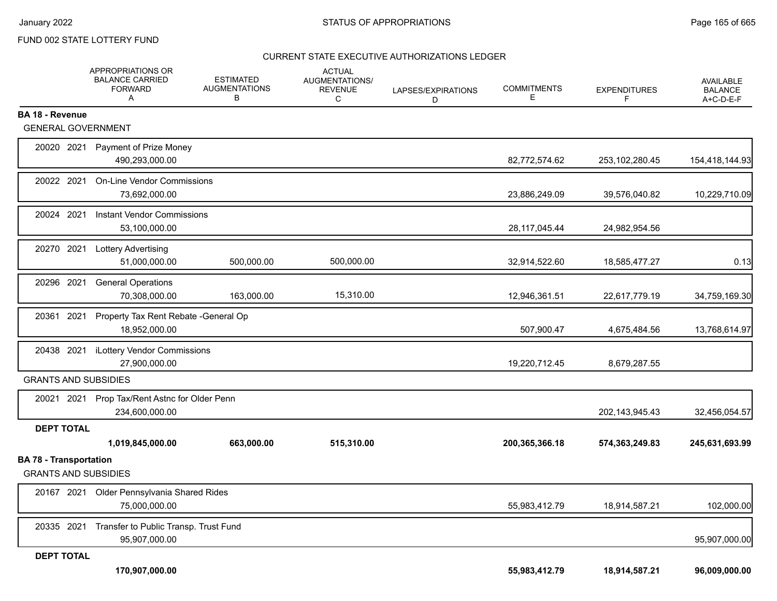#### CURRENT STATE EXECUTIVE AUTHORIZATIONS LEDGER

|                                                              | APPROPRIATIONS OR<br><b>BALANCE CARRIED</b><br><b>FORWARD</b><br>Α | <b>ESTIMATED</b><br><b>AUGMENTATIONS</b><br>В | <b>ACTUAL</b><br>AUGMENTATIONS/<br><b>REVENUE</b><br>C | LAPSES/EXPIRATIONS<br>D | <b>COMMITMENTS</b><br>E. | <b>EXPENDITURES</b> | <b>AVAILABLE</b><br><b>BALANCE</b><br>A+C-D-E-F |
|--------------------------------------------------------------|--------------------------------------------------------------------|-----------------------------------------------|--------------------------------------------------------|-------------------------|--------------------------|---------------------|-------------------------------------------------|
| BA 18 - Revenue                                              |                                                                    |                                               |                                                        |                         |                          |                     |                                                 |
| <b>GENERAL GOVERNMENT</b>                                    |                                                                    |                                               |                                                        |                         |                          |                     |                                                 |
| 20020 2021                                                   | Payment of Prize Money<br>490,293,000.00                           |                                               |                                                        |                         | 82,772,574.62            | 253, 102, 280. 45   | 154,418,144.93                                  |
| 20022 2021                                                   | <b>On-Line Vendor Commissions</b><br>73,692,000.00                 |                                               |                                                        |                         | 23,886,249.09            | 39,576,040.82       | 10,229,710.09                                   |
| 20024 2021                                                   | Instant Vendor Commissions<br>53,100,000.00                        |                                               |                                                        |                         | 28, 117, 045.44          | 24,982,954.56       |                                                 |
| 20270 2021                                                   | <b>Lottery Advertising</b><br>51,000,000.00                        | 500,000.00                                    | 500,000.00                                             |                         | 32,914,522.60            | 18,585,477.27       | 0.13                                            |
| 20296 2021                                                   | <b>General Operations</b><br>70,308,000.00                         | 163,000.00                                    | 15,310.00                                              |                         | 12,946,361.51            | 22,617,779.19       | 34,759,169.30                                   |
| 20361 2021                                                   | Property Tax Rent Rebate - General Op<br>18,952,000.00             |                                               |                                                        |                         | 507,900.47               | 4,675,484.56        | 13,768,614.97                                   |
| 20438 2021                                                   | iLottery Vendor Commissions<br>27,900,000.00                       |                                               |                                                        |                         | 19,220,712.45            | 8,679,287.55        |                                                 |
| <b>GRANTS AND SUBSIDIES</b>                                  |                                                                    |                                               |                                                        |                         |                          |                     |                                                 |
| 20021 2021                                                   | Prop Tax/Rent Astnc for Older Penn<br>234,600,000.00               |                                               |                                                        |                         |                          | 202,143,945.43      | 32,456,054.57                                   |
| <b>DEPT TOTAL</b>                                            |                                                                    |                                               |                                                        |                         |                          |                     |                                                 |
|                                                              | 1,019,845,000.00                                                   | 663,000.00                                    | 515,310.00                                             |                         | 200, 365, 366. 18        | 574,363,249.83      | 245,631,693.99                                  |
| <b>BA 78 - Transportation</b><br><b>GRANTS AND SUBSIDIES</b> |                                                                    |                                               |                                                        |                         |                          |                     |                                                 |
| 20167 2021                                                   | Older Pennsylvania Shared Rides<br>75,000,000.00                   |                                               |                                                        |                         | 55,983,412.79            | 18,914,587.21       | 102,000.00                                      |
| 20335 2021                                                   | Transfer to Public Transp. Trust Fund<br>95,907,000.00             |                                               |                                                        |                         |                          |                     | 95,907,000.00                                   |
| <b>DEPT TOTAL</b>                                            |                                                                    |                                               |                                                        |                         |                          |                     |                                                 |
|                                                              | 170,907,000.00                                                     |                                               |                                                        |                         | 55,983,412.79            | 18,914,587.21       | 96,009,000.00                                   |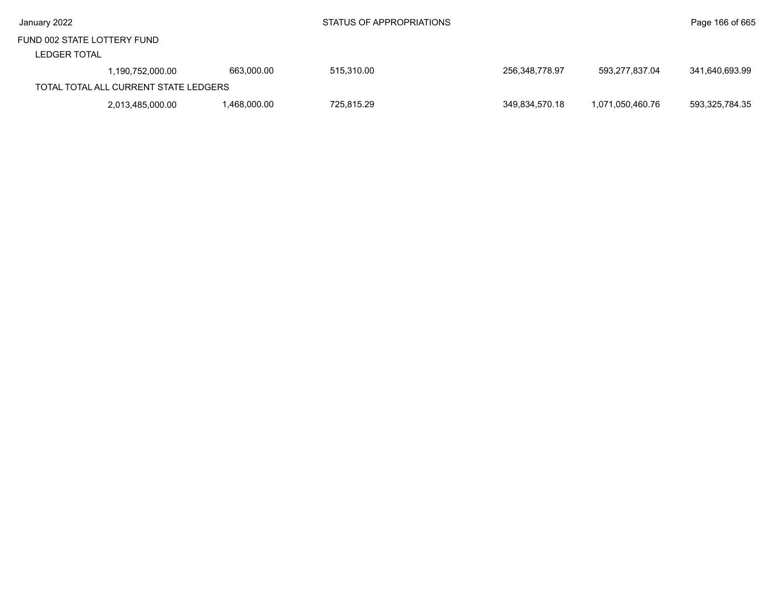| January 2022 |
|--------------|
|--------------|

#### LEDGER TOTAL

| ----------- |                                       |             |            |                |                  |                |
|-------------|---------------------------------------|-------------|------------|----------------|------------------|----------------|
|             | 1,190,752,000.00                      | 663,000.00  | 515,310.00 | 256.348.778.97 | 593,277,837.04   | 341,640,693.99 |
|             | TOTAL TOTAL ALL CURRENT STATE LEDGERS |             |            |                |                  |                |
|             | 2,013,485,000.00                      | .468,000.00 | 725.815.29 | 349.834.570.18 | 1.071.050.460.76 | 593.325.784.35 |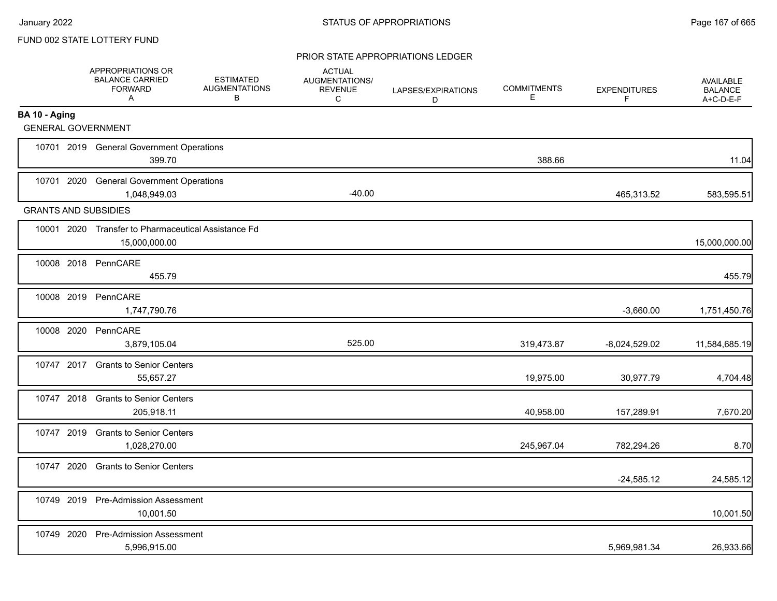#### PRIOR STATE APPROPRIATIONS LEDGER

|                             | APPROPRIATIONS OR<br><b>BALANCE CARRIED</b><br><b>FORWARD</b><br>A   | <b>ESTIMATED</b><br><b>AUGMENTATIONS</b><br>В | <b>ACTUAL</b><br>AUGMENTATIONS/<br><b>REVENUE</b><br>C | LAPSES/EXPIRATIONS<br>D | <b>COMMITMENTS</b><br>Е | <b>EXPENDITURES</b><br>F | AVAILABLE<br><b>BALANCE</b><br>A+C-D-E-F |
|-----------------------------|----------------------------------------------------------------------|-----------------------------------------------|--------------------------------------------------------|-------------------------|-------------------------|--------------------------|------------------------------------------|
| BA 10 - Aging               |                                                                      |                                               |                                                        |                         |                         |                          |                                          |
|                             | <b>GENERAL GOVERNMENT</b>                                            |                                               |                                                        |                         |                         |                          |                                          |
|                             | 10701 2019 General Government Operations<br>399.70                   |                                               |                                                        |                         | 388.66                  |                          | 11.04                                    |
|                             | 10701 2020 General Government Operations<br>1,048,949.03             |                                               | $-40.00$                                               |                         |                         | 465,313.52               | 583,595.51                               |
| <b>GRANTS AND SUBSIDIES</b> |                                                                      |                                               |                                                        |                         |                         |                          |                                          |
|                             | 10001 2020 Transfer to Pharmaceutical Assistance Fd<br>15,000,000.00 |                                               |                                                        |                         |                         |                          | 15,000,000.00                            |
|                             | 10008 2018 PennCARE<br>455.79                                        |                                               |                                                        |                         |                         |                          | 455.79                                   |
|                             | 10008 2019 PennCARE<br>1,747,790.76                                  |                                               |                                                        |                         |                         | $-3,660.00$              | 1,751,450.76                             |
|                             | 10008 2020 PennCARE<br>3,879,105.04                                  |                                               | 525.00                                                 |                         | 319,473.87              | $-8,024,529.02$          | 11,584,685.19                            |
|                             | 10747 2017 Grants to Senior Centers<br>55,657.27                     |                                               |                                                        |                         | 19,975.00               | 30,977.79                | 4,704.48                                 |
|                             | 10747 2018 Grants to Senior Centers<br>205,918.11                    |                                               |                                                        |                         | 40,958.00               | 157,289.91               | 7,670.20                                 |
|                             | 10747 2019 Grants to Senior Centers<br>1,028,270.00                  |                                               |                                                        |                         | 245,967.04              | 782,294.26               | 8.70                                     |
|                             | 10747 2020 Grants to Senior Centers                                  |                                               |                                                        |                         |                         | $-24,585.12$             | 24,585.12                                |
|                             | 10749 2019 Pre-Admission Assessment<br>10,001.50                     |                                               |                                                        |                         |                         |                          | 10,001.50                                |
|                             | 10749 2020 Pre-Admission Assessment<br>5,996,915.00                  |                                               |                                                        |                         |                         | 5,969,981.34             | 26,933.66                                |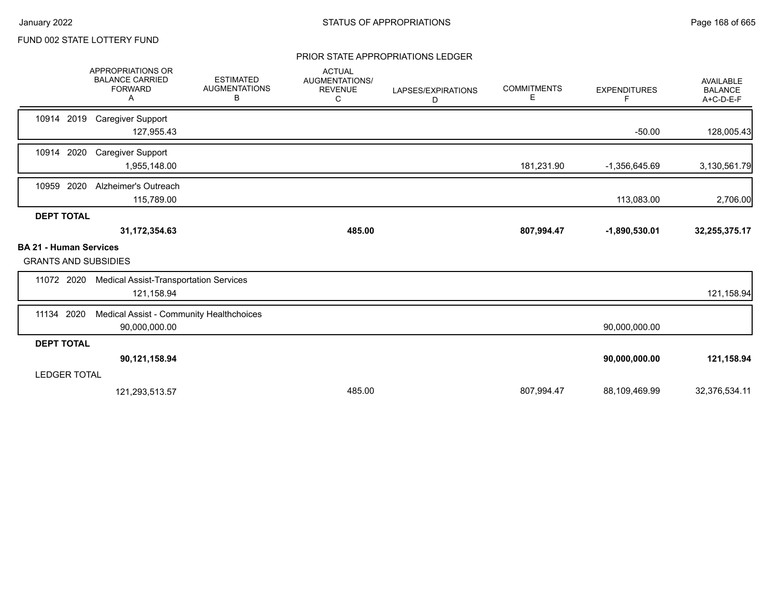#### PRIOR STATE APPROPRIATIONS LEDGER

|                                                              | <b>APPROPRIATIONS OR</b><br><b>BALANCE CARRIED</b><br><b>FORWARD</b><br>Α | <b>ESTIMATED</b><br><b>AUGMENTATIONS</b><br>В | <b>ACTUAL</b><br>AUGMENTATIONS/<br><b>REVENUE</b><br>C | LAPSES/EXPIRATIONS<br>D | <b>COMMITMENTS</b><br>Е | <b>EXPENDITURES</b><br>F. | <b>AVAILABLE</b><br><b>BALANCE</b><br>A+C-D-E-F |
|--------------------------------------------------------------|---------------------------------------------------------------------------|-----------------------------------------------|--------------------------------------------------------|-------------------------|-------------------------|---------------------------|-------------------------------------------------|
| 10914 2019                                                   | <b>Caregiver Support</b><br>127,955.43                                    |                                               |                                                        |                         |                         | $-50.00$                  | 128,005.43                                      |
| 2020<br>10914                                                | <b>Caregiver Support</b><br>1,955,148.00                                  |                                               |                                                        |                         | 181,231.90              | -1,356,645.69             | 3,130,561.79                                    |
| 10959 2020                                                   | Alzheimer's Outreach<br>115,789.00                                        |                                               |                                                        |                         |                         | 113,083.00                | 2,706.00                                        |
| <b>DEPT TOTAL</b>                                            |                                                                           |                                               |                                                        |                         |                         |                           |                                                 |
|                                                              | 31, 172, 354.63                                                           |                                               | 485.00                                                 |                         | 807,994.47              | $-1,890,530.01$           | 32,255,375.17                                   |
| <b>BA 21 - Human Services</b><br><b>GRANTS AND SUBSIDIES</b> |                                                                           |                                               |                                                        |                         |                         |                           |                                                 |
| 11072 2020                                                   | <b>Medical Assist-Transportation Services</b><br>121,158.94               |                                               |                                                        |                         |                         |                           | 121,158.94                                      |
| 11134 2020                                                   | Medical Assist - Community Healthchoices<br>90,000,000.00                 |                                               |                                                        |                         |                         | 90,000,000.00             |                                                 |
| <b>DEPT TOTAL</b>                                            |                                                                           |                                               |                                                        |                         |                         |                           |                                                 |
|                                                              | 90,121,158.94                                                             |                                               |                                                        |                         |                         | 90,000,000.00             | 121,158.94                                      |
| <b>LEDGER TOTAL</b>                                          |                                                                           |                                               |                                                        |                         |                         |                           |                                                 |
|                                                              | 121,293,513.57                                                            |                                               | 485.00                                                 |                         | 807,994.47              | 88,109,469.99             | 32,376,534.11                                   |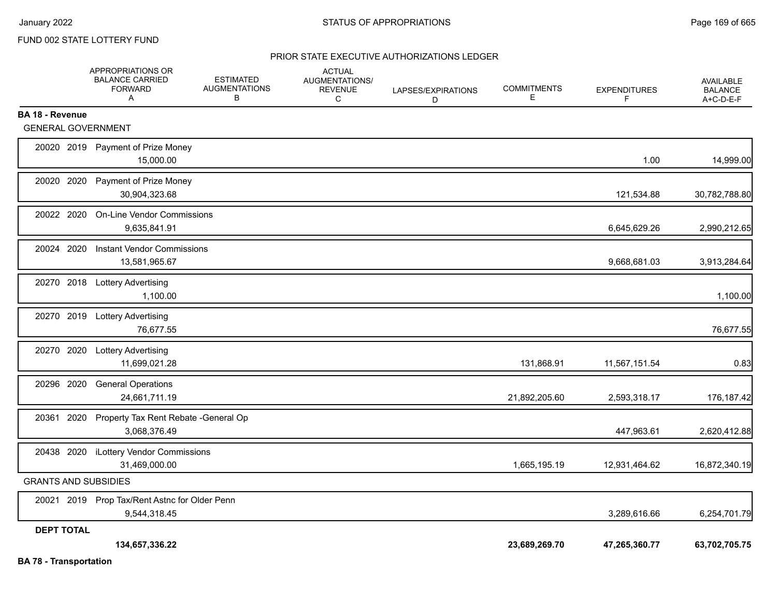### PRIOR STATE EXECUTIVE AUTHORIZATIONS LEDGER

|                               | APPROPRIATIONS OR<br><b>BALANCE CARRIED</b><br><b>FORWARD</b><br>Α | <b>ESTIMATED</b><br><b>AUGMENTATIONS</b><br>В | <b>ACTUAL</b><br><b>AUGMENTATIONS/</b><br><b>REVENUE</b><br>C | LAPSES/EXPIRATIONS<br>D | <b>COMMITMENTS</b><br>E | <b>EXPENDITURES</b><br>F | <b>AVAILABLE</b><br><b>BALANCE</b><br>A+C-D-E-F |
|-------------------------------|--------------------------------------------------------------------|-----------------------------------------------|---------------------------------------------------------------|-------------------------|-------------------------|--------------------------|-------------------------------------------------|
| <b>BA 18 - Revenue</b>        |                                                                    |                                               |                                                               |                         |                         |                          |                                                 |
| <b>GENERAL GOVERNMENT</b>     |                                                                    |                                               |                                                               |                         |                         |                          |                                                 |
|                               | 20020 2019 Payment of Prize Money<br>15,000.00                     |                                               |                                                               |                         |                         | 1.00                     | 14,999.00                                       |
| 20020<br>2020                 | Payment of Prize Money<br>30,904,323.68                            |                                               |                                                               |                         |                         | 121,534.88               | 30,782,788.80                                   |
| 20022 2020                    | <b>On-Line Vendor Commissions</b><br>9,635,841.91                  |                                               |                                                               |                         |                         | 6,645,629.26             | 2,990,212.65                                    |
| 20024 2020                    | <b>Instant Vendor Commissions</b><br>13,581,965.67                 |                                               |                                                               |                         |                         | 9,668,681.03             | 3,913,284.64                                    |
|                               | 20270 2018 Lottery Advertising<br>1,100.00                         |                                               |                                                               |                         |                         |                          | 1,100.00                                        |
|                               | 20270 2019 Lottery Advertising<br>76.677.55                        |                                               |                                                               |                         |                         |                          | 76,677.55                                       |
| 20270 2020                    | <b>Lottery Advertising</b><br>11,699,021.28                        |                                               |                                                               |                         | 131,868.91              | 11,567,151.54            | 0.83                                            |
| 20296 2020                    | <b>General Operations</b><br>24,661,711.19                         |                                               |                                                               |                         | 21,892,205.60           | 2,593,318.17             | 176,187.42                                      |
| 20361 2020                    | Property Tax Rent Rebate - General Op<br>3,068,376.49              |                                               |                                                               |                         |                         | 447,963.61               | 2,620,412.88                                    |
|                               | 20438 2020 iLottery Vendor Commissions<br>31,469,000.00            |                                               |                                                               |                         | 1,665,195.19            | 12,931,464.62            | 16,872,340.19                                   |
| <b>GRANTS AND SUBSIDIES</b>   |                                                                    |                                               |                                                               |                         |                         |                          |                                                 |
|                               | 20021 2019 Prop Tax/Rent Astnc for Older Penn<br>9,544,318.45      |                                               |                                                               |                         |                         | 3,289,616.66             | 6,254,701.79                                    |
| <b>DEPT TOTAL</b>             |                                                                    |                                               |                                                               |                         |                         |                          |                                                 |
| <b>BA 78 - Transportation</b> | 134,657,336.22                                                     |                                               |                                                               |                         | 23,689,269.70           | 47,265,360.77            | 63,702,705.75                                   |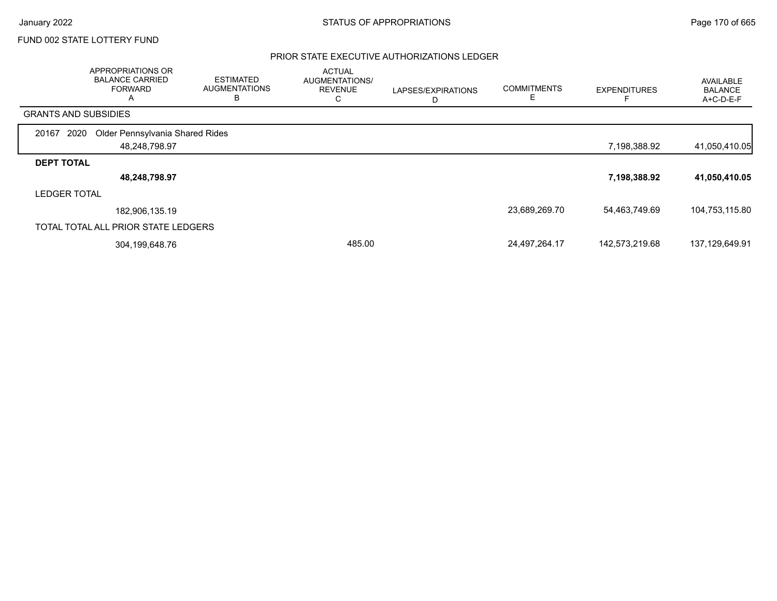#### PRIOR STATE EXECUTIVE AUTHORIZATIONS LEDGER

|                             | APPROPRIATIONS OR<br><b>BALANCE CARRIED</b><br><b>FORWARD</b><br>$\mathsf{A}$ | <b>ESTIMATED</b><br><b>AUGMENTATIONS</b><br>в | <b>ACTUAL</b><br>AUGMENTATIONS/<br><b>REVENUE</b><br>C | LAPSES/EXPIRATIONS<br>D | <b>COMMITMENTS</b> | <b>EXPENDITURES</b> | <b>AVAILABLE</b><br><b>BALANCE</b><br>A+C-D-E-F |
|-----------------------------|-------------------------------------------------------------------------------|-----------------------------------------------|--------------------------------------------------------|-------------------------|--------------------|---------------------|-------------------------------------------------|
| <b>GRANTS AND SUBSIDIES</b> |                                                                               |                                               |                                                        |                         |                    |                     |                                                 |
| 2020<br>20167               | Older Pennsylvania Shared Rides                                               |                                               |                                                        |                         |                    |                     |                                                 |
|                             | 48,248,798.97                                                                 |                                               |                                                        |                         |                    | 7,198,388.92        | 41,050,410.05                                   |
| <b>DEPT TOTAL</b>           |                                                                               |                                               |                                                        |                         |                    |                     |                                                 |
|                             | 48,248,798.97                                                                 |                                               |                                                        |                         |                    | 7,198,388.92        | 41,050,410.05                                   |
| <b>LEDGER TOTAL</b>         |                                                                               |                                               |                                                        |                         |                    |                     |                                                 |
|                             | 182,906,135.19                                                                |                                               |                                                        |                         | 23,689,269.70      | 54,463,749.69       | 104,753,115.80                                  |
|                             | TOTAL TOTAL ALL PRIOR STATE LEDGERS                                           |                                               |                                                        |                         |                    |                     |                                                 |
|                             | 304,199,648.76                                                                |                                               | 485.00                                                 |                         | 24,497,264.17      | 142,573,219.68      | 137,129,649.91                                  |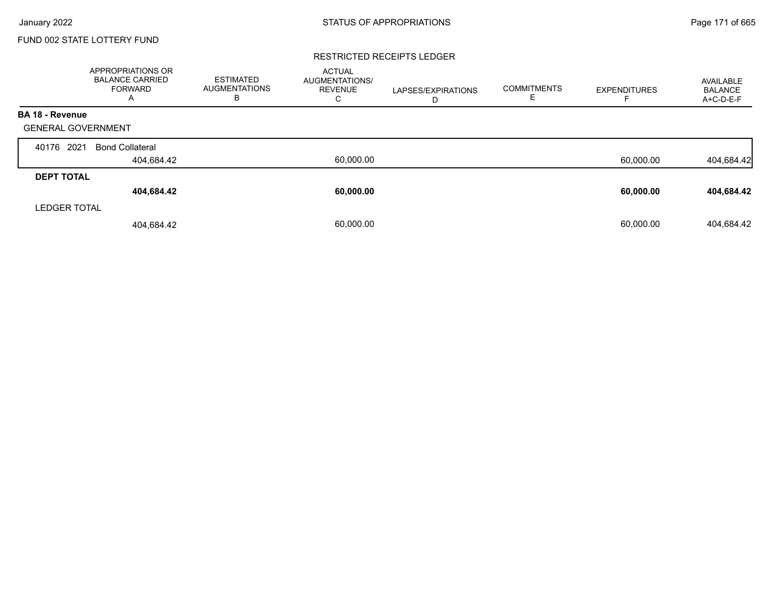#### RESTRICTED RECEIPTS LEDGER

|                           | <b>APPROPRIATIONS OR</b><br><b>BALANCE CARRIED</b><br><b>FORWARD</b><br>A | <b>ESTIMATED</b><br><b>AUGMENTATIONS</b><br>в | <b>ACTUAL</b><br><b>AUGMENTATIONS/</b><br><b>REVENUE</b><br>С | LAPSES/EXPIRATIONS<br>D | <b>COMMITMENTS</b><br>E | <b>EXPENDITURES</b> | AVAILABLE<br><b>BALANCE</b><br>A+C-D-E-F |
|---------------------------|---------------------------------------------------------------------------|-----------------------------------------------|---------------------------------------------------------------|-------------------------|-------------------------|---------------------|------------------------------------------|
| <b>BA 18 - Revenue</b>    |                                                                           |                                               |                                                               |                         |                         |                     |                                          |
| <b>GENERAL GOVERNMENT</b> |                                                                           |                                               |                                                               |                         |                         |                     |                                          |
| 2021<br>40176             | <b>Bond Collateral</b>                                                    |                                               |                                                               |                         |                         |                     |                                          |
|                           | 404,684.42                                                                |                                               | 60,000.00                                                     |                         |                         | 60,000.00           | 404,684.42                               |
| <b>DEPT TOTAL</b>         |                                                                           |                                               |                                                               |                         |                         |                     |                                          |
|                           | 404,684.42                                                                |                                               | 60,000.00                                                     |                         |                         | 60,000.00           | 404,684.42                               |
| <b>LEDGER TOTAL</b>       |                                                                           |                                               |                                                               |                         |                         |                     |                                          |
|                           | 404,684.42                                                                |                                               | 60.000.00                                                     |                         |                         | 60.000.00           | 404,684.42                               |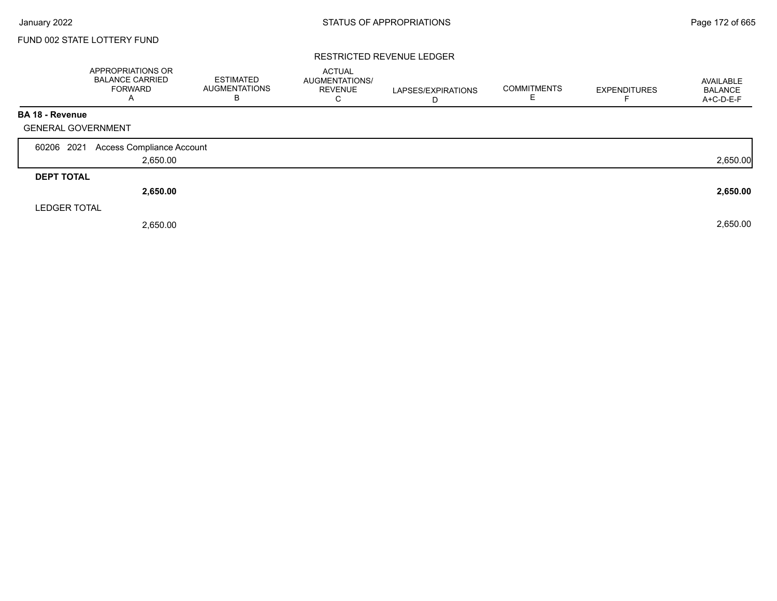#### RESTRICTED REVENUE LEDGER

|                           | APPROPRIATIONS OR<br><b>BALANCE CARRIED</b><br><b>FORWARD</b><br>$\mathsf{A}$ | <b>ESTIMATED</b><br><b>AUGMENTATIONS</b><br>B | <b>ACTUAL</b><br>AUGMENTATIONS/<br><b>REVENUE</b><br>С | LAPSES/EXPIRATIONS<br>D | <b>COMMITMENTS</b> | <b>EXPENDITURES</b> | AVAILABLE<br><b>BALANCE</b><br>A+C-D-E-F |
|---------------------------|-------------------------------------------------------------------------------|-----------------------------------------------|--------------------------------------------------------|-------------------------|--------------------|---------------------|------------------------------------------|
| <b>BA 18 - Revenue</b>    |                                                                               |                                               |                                                        |                         |                    |                     |                                          |
| <b>GENERAL GOVERNMENT</b> |                                                                               |                                               |                                                        |                         |                    |                     |                                          |
| 60206 2021                | Access Compliance Account                                                     |                                               |                                                        |                         |                    |                     |                                          |
|                           | 2,650.00                                                                      |                                               |                                                        |                         |                    |                     | 2,650.00                                 |
| <b>DEPT TOTAL</b>         |                                                                               |                                               |                                                        |                         |                    |                     |                                          |
|                           | 2,650.00                                                                      |                                               |                                                        |                         |                    |                     | 2,650.00                                 |
| <b>LEDGER TOTAL</b>       |                                                                               |                                               |                                                        |                         |                    |                     |                                          |
|                           | 2,650.00                                                                      |                                               |                                                        |                         |                    |                     | 2,650.00                                 |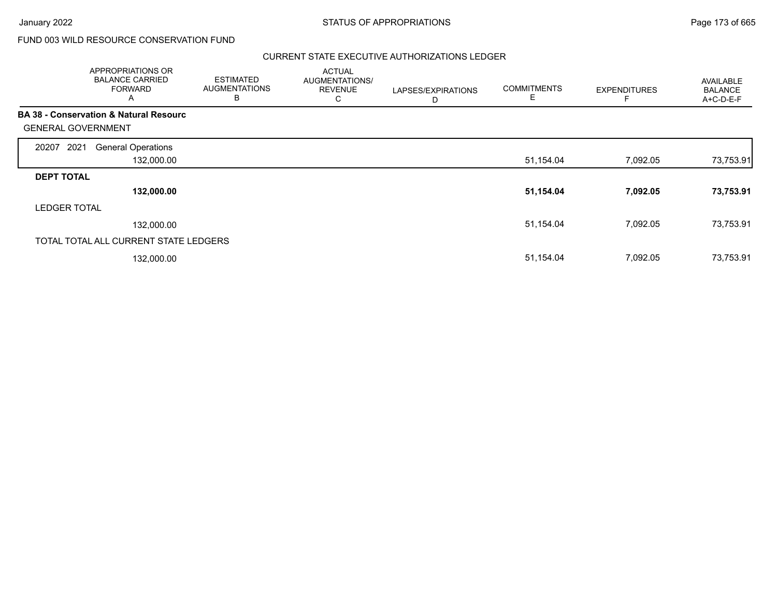# FUND 003 WILD RESOURCE CONSERVATION FUND

#### CURRENT STATE EXECUTIVE AUTHORIZATIONS LEDGER

|                           | APPROPRIATIONS OR<br><b>BALANCE CARRIED</b><br><b>FORWARD</b><br>A | <b>ESTIMATED</b><br><b>AUGMENTATIONS</b><br>B | <b>ACTUAL</b><br>AUGMENTATIONS/<br><b>REVENUE</b><br>C | LAPSES/EXPIRATIONS<br>D | <b>COMMITMENTS</b><br>Е | <b>EXPENDITURES</b> | AVAILABLE<br><b>BALANCE</b><br>A+C-D-E-F |
|---------------------------|--------------------------------------------------------------------|-----------------------------------------------|--------------------------------------------------------|-------------------------|-------------------------|---------------------|------------------------------------------|
|                           | <b>BA 38 - Conservation &amp; Natural Resourc</b>                  |                                               |                                                        |                         |                         |                     |                                          |
| <b>GENERAL GOVERNMENT</b> |                                                                    |                                               |                                                        |                         |                         |                     |                                          |
| 2021<br>20207             | <b>General Operations</b>                                          |                                               |                                                        |                         |                         |                     |                                          |
|                           | 132,000.00                                                         |                                               |                                                        |                         | 51,154.04               | 7,092.05            | 73,753.91                                |
| <b>DEPT TOTAL</b>         |                                                                    |                                               |                                                        |                         |                         |                     |                                          |
|                           | 132,000.00                                                         |                                               |                                                        |                         | 51,154.04               | 7,092.05            | 73,753.91                                |
| <b>LEDGER TOTAL</b>       |                                                                    |                                               |                                                        |                         |                         |                     |                                          |
|                           | 132,000.00                                                         |                                               |                                                        |                         | 51,154.04               | 7,092.05            | 73,753.91                                |
|                           | TOTAL TOTAL ALL CURRENT STATE LEDGERS                              |                                               |                                                        |                         |                         |                     |                                          |
|                           | 132,000.00                                                         |                                               |                                                        |                         | 51,154.04               | 7,092.05            | 73,753.91                                |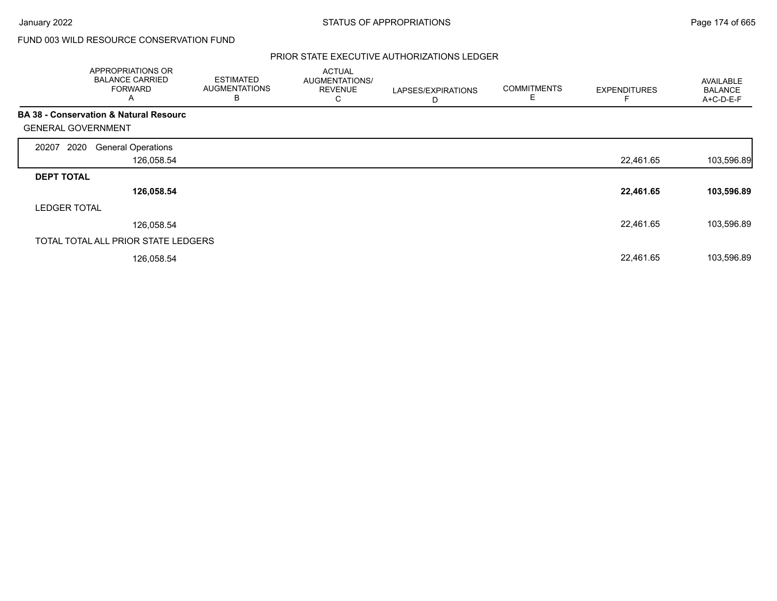# FUND 003 WILD RESOURCE CONSERVATION FUND

#### PRIOR STATE EXECUTIVE AUTHORIZATIONS LEDGER

|                                                   | APPROPRIATIONS OR<br><b>BALANCE CARRIED</b><br><b>FORWARD</b><br>A | <b>ESTIMATED</b><br><b>AUGMENTATIONS</b><br>В | <b>ACTUAL</b><br>AUGMENTATIONS/<br><b>REVENUE</b><br>U | LAPSES/EXPIRATIONS<br>D | <b>COMMITMENTS</b><br>Ε | <b>EXPENDITURES</b> | <b>AVAILABLE</b><br><b>BALANCE</b><br>A+C-D-E-F |
|---------------------------------------------------|--------------------------------------------------------------------|-----------------------------------------------|--------------------------------------------------------|-------------------------|-------------------------|---------------------|-------------------------------------------------|
| <b>BA 38 - Conservation &amp; Natural Resourc</b> |                                                                    |                                               |                                                        |                         |                         |                     |                                                 |
| <b>GENERAL GOVERNMENT</b>                         |                                                                    |                                               |                                                        |                         |                         |                     |                                                 |
| 2020<br>20207                                     | <b>General Operations</b>                                          |                                               |                                                        |                         |                         |                     |                                                 |
|                                                   | 126,058.54                                                         |                                               |                                                        |                         |                         | 22,461.65           | 103,596.89                                      |
| <b>DEPT TOTAL</b>                                 |                                                                    |                                               |                                                        |                         |                         |                     |                                                 |
|                                                   | 126,058.54                                                         |                                               |                                                        |                         |                         | 22,461.65           | 103,596.89                                      |
| <b>LEDGER TOTAL</b>                               |                                                                    |                                               |                                                        |                         |                         |                     |                                                 |
|                                                   | 126,058.54                                                         |                                               |                                                        |                         |                         | 22,461.65           | 103,596.89                                      |
|                                                   | TOTAL TOTAL ALL PRIOR STATE LEDGERS                                |                                               |                                                        |                         |                         |                     |                                                 |
|                                                   | 126,058.54                                                         |                                               |                                                        |                         |                         | 22,461.65           | 103,596.89                                      |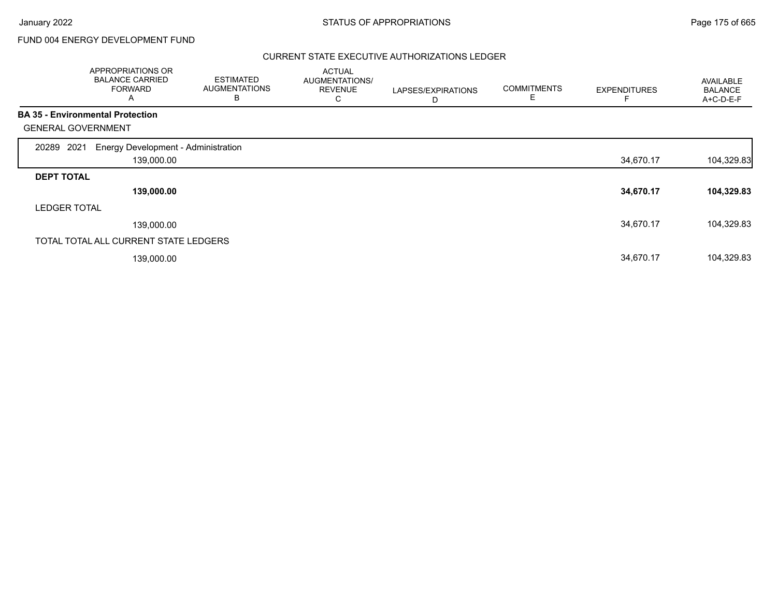# FUND 004 ENERGY DEVELOPMENT FUND

#### CURRENT STATE EXECUTIVE AUTHORIZATIONS LEDGER

|                           | APPROPRIATIONS OR<br><b>BALANCE CARRIED</b><br><b>FORWARD</b><br>A | <b>ESTIMATED</b><br><b>AUGMENTATIONS</b><br>в | <b>ACTUAL</b><br>AUGMENTATIONS/<br><b>REVENUE</b><br>С | LAPSES/EXPIRATIONS<br>D | <b>COMMITMENTS</b><br>Е | <b>EXPENDITURES</b> | AVAILABLE<br><b>BALANCE</b><br>A+C-D-E-F |
|---------------------------|--------------------------------------------------------------------|-----------------------------------------------|--------------------------------------------------------|-------------------------|-------------------------|---------------------|------------------------------------------|
|                           | <b>BA 35 - Environmental Protection</b>                            |                                               |                                                        |                         |                         |                     |                                          |
| <b>GENERAL GOVERNMENT</b> |                                                                    |                                               |                                                        |                         |                         |                     |                                          |
| 2021<br>20289             | Energy Development - Administration                                |                                               |                                                        |                         |                         |                     |                                          |
|                           | 139,000.00                                                         |                                               |                                                        |                         |                         | 34,670.17           | 104,329.83                               |
| <b>DEPT TOTAL</b>         |                                                                    |                                               |                                                        |                         |                         |                     |                                          |
|                           | 139,000.00                                                         |                                               |                                                        |                         |                         | 34,670.17           | 104,329.83                               |
| <b>LEDGER TOTAL</b>       |                                                                    |                                               |                                                        |                         |                         |                     |                                          |
|                           | 139,000.00                                                         |                                               |                                                        |                         |                         | 34,670.17           | 104,329.83                               |
|                           | TOTAL TOTAL ALL CURRENT STATE LEDGERS                              |                                               |                                                        |                         |                         |                     |                                          |
|                           | 139,000.00                                                         |                                               |                                                        |                         |                         | 34,670.17           | 104,329.83                               |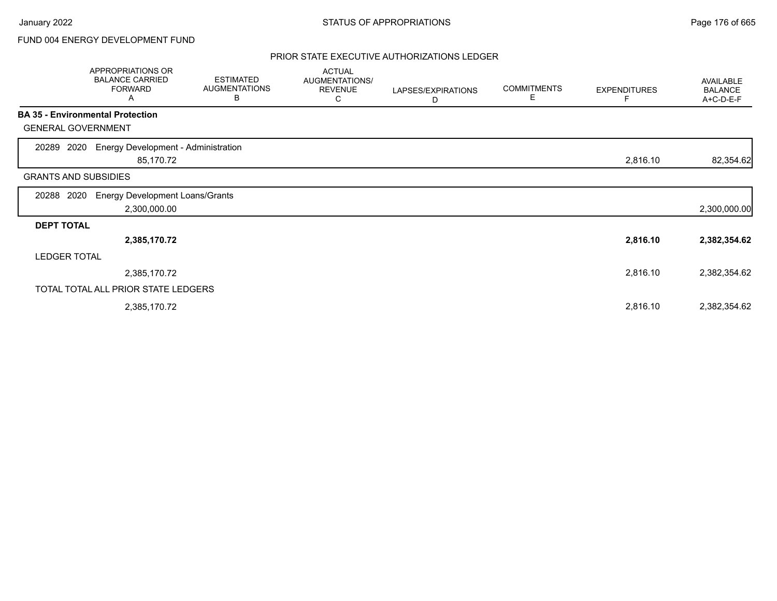# FUND 004 ENERGY DEVELOPMENT FUND

#### PRIOR STATE EXECUTIVE AUTHORIZATIONS LEDGER

|                             | <b>APPROPRIATIONS OR</b><br><b>BALANCE CARRIED</b><br><b>FORWARD</b><br>Α | <b>ESTIMATED</b><br><b>AUGMENTATIONS</b><br>В | <b>ACTUAL</b><br>AUGMENTATIONS/<br><b>REVENUE</b><br>С | LAPSES/EXPIRATIONS<br>D | <b>COMMITMENTS</b><br>E | <b>EXPENDITURES</b> | AVAILABLE<br><b>BALANCE</b><br>A+C-D-E-F |
|-----------------------------|---------------------------------------------------------------------------|-----------------------------------------------|--------------------------------------------------------|-------------------------|-------------------------|---------------------|------------------------------------------|
|                             | <b>BA 35 - Environmental Protection</b>                                   |                                               |                                                        |                         |                         |                     |                                          |
| <b>GENERAL GOVERNMENT</b>   |                                                                           |                                               |                                                        |                         |                         |                     |                                          |
| 2020<br>20289               | <b>Energy Development - Administration</b><br>85,170.72                   |                                               |                                                        |                         |                         | 2,816.10            | 82,354.62                                |
| <b>GRANTS AND SUBSIDIES</b> |                                                                           |                                               |                                                        |                         |                         |                     |                                          |
| 2020<br>20288               | <b>Energy Development Loans/Grants</b><br>2,300,000.00                    |                                               |                                                        |                         |                         |                     | 2,300,000.00                             |
| <b>DEPT TOTAL</b>           |                                                                           |                                               |                                                        |                         |                         |                     |                                          |
|                             | 2,385,170.72                                                              |                                               |                                                        |                         |                         | 2,816.10            | 2,382,354.62                             |
| <b>LEDGER TOTAL</b>         |                                                                           |                                               |                                                        |                         |                         |                     |                                          |
|                             | 2,385,170.72                                                              |                                               |                                                        |                         |                         | 2,816.10            | 2,382,354.62                             |
|                             | TOTAL TOTAL ALL PRIOR STATE LEDGERS                                       |                                               |                                                        |                         |                         |                     |                                          |
|                             | 2,385,170.72                                                              |                                               |                                                        |                         |                         | 2,816.10            | 2,382,354.62                             |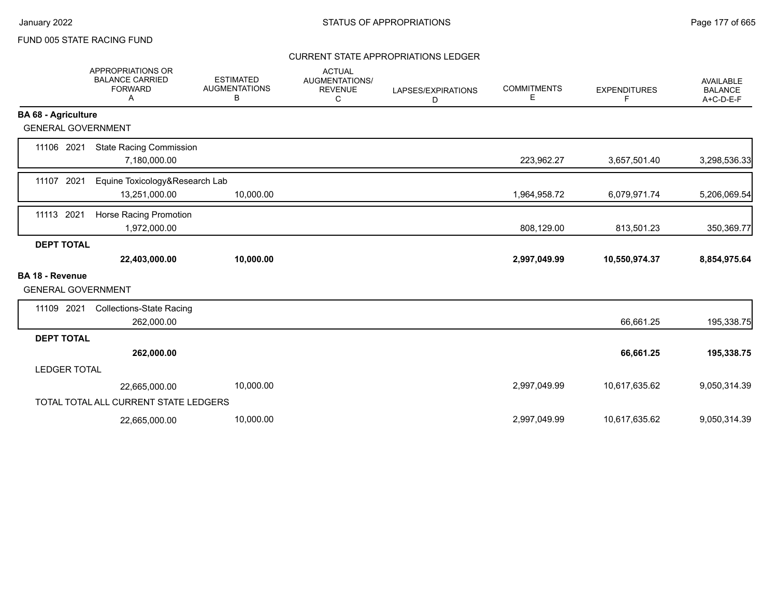### CURRENT STATE APPROPRIATIONS LEDGER

|                                                     | APPROPRIATIONS OR<br><b>BALANCE CARRIED</b><br><b>FORWARD</b><br>Α | <b>ESTIMATED</b><br><b>AUGMENTATIONS</b><br>В | <b>ACTUAL</b><br><b>AUGMENTATIONS/</b><br><b>REVENUE</b><br>C | LAPSES/EXPIRATIONS<br>D | <b>COMMITMENTS</b><br>Е | <b>EXPENDITURES</b><br>F | <b>AVAILABLE</b><br><b>BALANCE</b><br>A+C-D-E-F |
|-----------------------------------------------------|--------------------------------------------------------------------|-----------------------------------------------|---------------------------------------------------------------|-------------------------|-------------------------|--------------------------|-------------------------------------------------|
| <b>BA 68 - Agriculture</b>                          |                                                                    |                                               |                                                               |                         |                         |                          |                                                 |
| <b>GENERAL GOVERNMENT</b>                           |                                                                    |                                               |                                                               |                         |                         |                          |                                                 |
| 11106 2021                                          | <b>State Racing Commission</b><br>7,180,000.00                     |                                               |                                                               |                         | 223,962.27              | 3,657,501.40             | 3,298,536.33                                    |
| 11107 2021                                          | Equine Toxicology&Research Lab<br>13,251,000.00                    | 10,000.00                                     |                                                               |                         | 1,964,958.72            | 6,079,971.74             | 5,206,069.54                                    |
| 11113 2021                                          | Horse Racing Promotion<br>1,972,000.00                             |                                               |                                                               |                         | 808,129.00              | 813,501.23               | 350,369.77                                      |
| <b>DEPT TOTAL</b>                                   |                                                                    |                                               |                                                               |                         |                         |                          |                                                 |
|                                                     | 22,403,000.00                                                      | 10,000.00                                     |                                                               |                         | 2,997,049.99            | 10,550,974.37            | 8,854,975.64                                    |
| <b>BA 18 - Revenue</b><br><b>GENERAL GOVERNMENT</b> |                                                                    |                                               |                                                               |                         |                         |                          |                                                 |
| 11109 2021                                          | <b>Collections-State Racing</b><br>262,000.00                      |                                               |                                                               |                         |                         | 66,661.25                | 195,338.75                                      |
| <b>DEPT TOTAL</b>                                   |                                                                    |                                               |                                                               |                         |                         |                          |                                                 |
|                                                     | 262,000.00                                                         |                                               |                                                               |                         |                         | 66,661.25                | 195,338.75                                      |
| <b>LEDGER TOTAL</b>                                 |                                                                    |                                               |                                                               |                         |                         |                          |                                                 |
|                                                     | 22,665,000.00                                                      | 10,000.00                                     |                                                               |                         | 2,997,049.99            | 10,617,635.62            | 9,050,314.39                                    |
|                                                     | TOTAL TOTAL ALL CURRENT STATE LEDGERS                              |                                               |                                                               |                         |                         |                          |                                                 |
|                                                     | 22,665,000.00                                                      | 10,000.00                                     |                                                               |                         | 2,997,049.99            | 10,617,635.62            | 9,050,314.39                                    |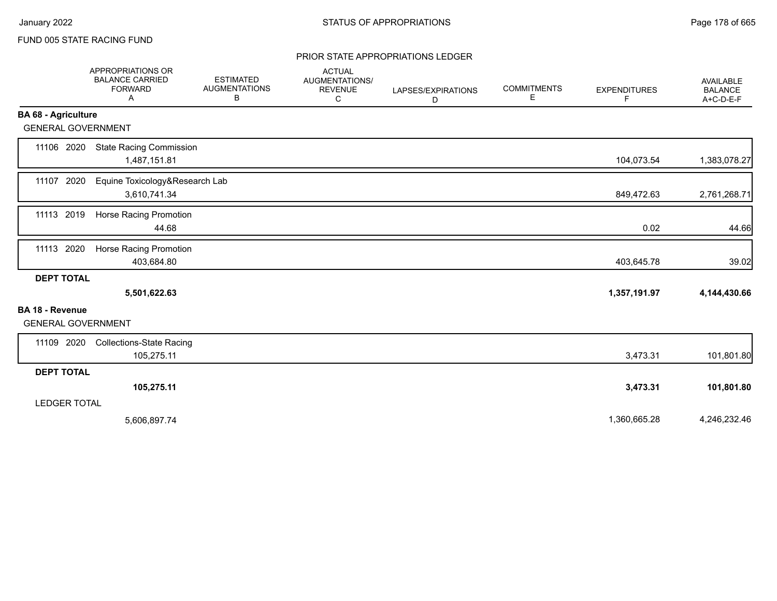#### PRIOR STATE APPROPRIATIONS LEDGER

|                                                     | APPROPRIATIONS OR<br><b>BALANCE CARRIED</b><br><b>FORWARD</b><br>Α | <b>ESTIMATED</b><br><b>AUGMENTATIONS</b><br>В | <b>ACTUAL</b><br>AUGMENTATIONS/<br><b>REVENUE</b><br>C | LAPSES/EXPIRATIONS<br>D | <b>COMMITMENTS</b><br>Е | <b>EXPENDITURES</b><br>F | AVAILABLE<br><b>BALANCE</b><br>$A+C-D-E-F$ |
|-----------------------------------------------------|--------------------------------------------------------------------|-----------------------------------------------|--------------------------------------------------------|-------------------------|-------------------------|--------------------------|--------------------------------------------|
| <b>BA 68 - Agriculture</b>                          |                                                                    |                                               |                                                        |                         |                         |                          |                                            |
| <b>GENERAL GOVERNMENT</b>                           |                                                                    |                                               |                                                        |                         |                         |                          |                                            |
| 11106 2020                                          | <b>State Racing Commission</b><br>1,487,151.81                     |                                               |                                                        |                         |                         | 104,073.54               | 1,383,078.27                               |
| 11107 2020                                          | Equine Toxicology&Research Lab<br>3,610,741.34                     |                                               |                                                        |                         |                         | 849,472.63               | 2,761,268.71                               |
| 11113 2019                                          | Horse Racing Promotion<br>44.68                                    |                                               |                                                        |                         |                         | 0.02                     | 44.66                                      |
| 11113 2020                                          | Horse Racing Promotion<br>403,684.80                               |                                               |                                                        |                         |                         | 403,645.78               | 39.02                                      |
| <b>DEPT TOTAL</b>                                   | 5,501,622.63                                                       |                                               |                                                        |                         |                         | 1,357,191.97             | 4,144,430.66                               |
| <b>BA 18 - Revenue</b><br><b>GENERAL GOVERNMENT</b> |                                                                    |                                               |                                                        |                         |                         |                          |                                            |
| 11109 2020                                          | <b>Collections-State Racing</b><br>105,275.11                      |                                               |                                                        |                         |                         | 3,473.31                 | 101,801.80                                 |
| <b>DEPT TOTAL</b>                                   |                                                                    |                                               |                                                        |                         |                         |                          |                                            |
|                                                     | 105,275.11                                                         |                                               |                                                        |                         |                         | 3,473.31                 | 101,801.80                                 |
| <b>LEDGER TOTAL</b>                                 |                                                                    |                                               |                                                        |                         |                         |                          |                                            |
|                                                     | 5,606,897.74                                                       |                                               |                                                        |                         |                         | 1,360,665.28             | 4,246,232.46                               |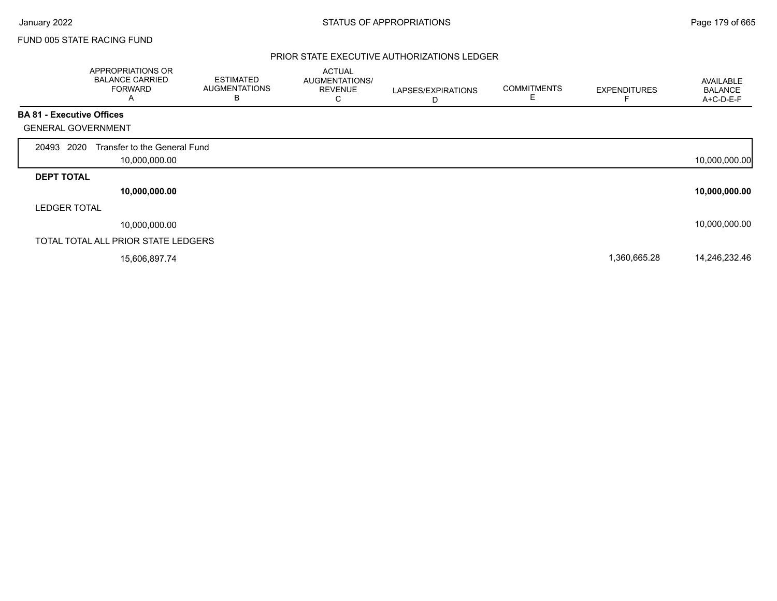#### PRIOR STATE EXECUTIVE AUTHORIZATIONS LEDGER

|                                  | APPROPRIATIONS OR<br><b>BALANCE CARRIED</b><br><b>FORWARD</b><br>A | <b>ESTIMATED</b><br><b>AUGMENTATIONS</b><br>В | <b>ACTUAL</b><br>AUGMENTATIONS/<br><b>REVENUE</b><br>U | LAPSES/EXPIRATIONS<br>D | <b>COMMITMENTS</b><br>E | <b>EXPENDITURES</b> | AVAILABLE<br><b>BALANCE</b><br>A+C-D-E-F |
|----------------------------------|--------------------------------------------------------------------|-----------------------------------------------|--------------------------------------------------------|-------------------------|-------------------------|---------------------|------------------------------------------|
| <b>BA 81 - Executive Offices</b> |                                                                    |                                               |                                                        |                         |                         |                     |                                          |
| <b>GENERAL GOVERNMENT</b>        |                                                                    |                                               |                                                        |                         |                         |                     |                                          |
| 20493 2020                       | Transfer to the General Fund<br>10,000,000.00                      |                                               |                                                        |                         |                         |                     | 10,000,000.00                            |
| <b>DEPT TOTAL</b>                |                                                                    |                                               |                                                        |                         |                         |                     |                                          |
|                                  | 10,000,000.00                                                      |                                               |                                                        |                         |                         |                     | 10,000,000.00                            |
| <b>LEDGER TOTAL</b>              |                                                                    |                                               |                                                        |                         |                         |                     |                                          |
|                                  | 10,000,000.00                                                      |                                               |                                                        |                         |                         |                     | 10,000,000.00                            |
|                                  | TOTAL TOTAL ALL PRIOR STATE LEDGERS                                |                                               |                                                        |                         |                         |                     |                                          |
|                                  | 15,606,897.74                                                      |                                               |                                                        |                         |                         | 1,360,665.28        | 14,246,232.46                            |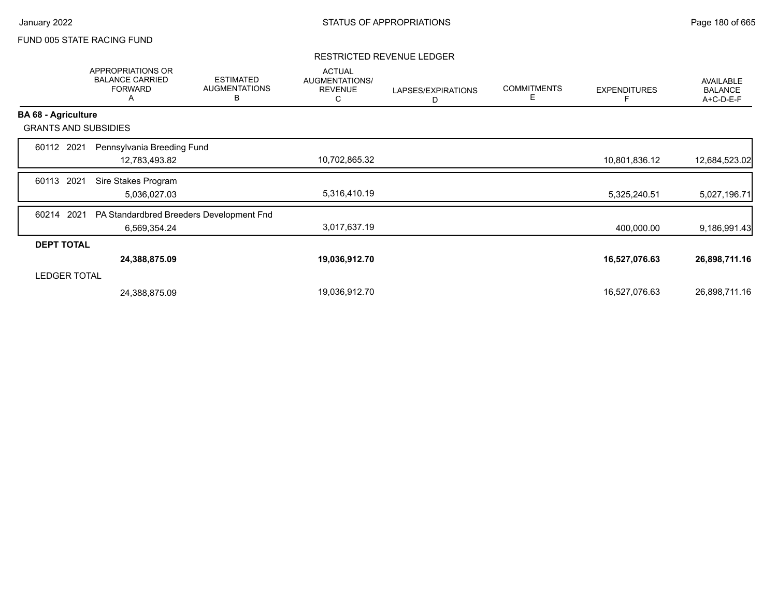#### RESTRICTED REVENUE LEDGER

|                             | APPROPRIATIONS OR<br><b>BALANCE CARRIED</b><br><b>FORWARD</b><br>A | <b>ESTIMATED</b><br><b>AUGMENTATIONS</b><br>B | <b>ACTUAL</b><br>AUGMENTATIONS/<br><b>REVENUE</b><br>C | LAPSES/EXPIRATIONS<br>D | <b>COMMITMENTS</b><br>Е | <b>EXPENDITURES</b> | AVAILABLE<br><b>BALANCE</b><br>A+C-D-E-F |
|-----------------------------|--------------------------------------------------------------------|-----------------------------------------------|--------------------------------------------------------|-------------------------|-------------------------|---------------------|------------------------------------------|
| <b>BA 68 - Agriculture</b>  |                                                                    |                                               |                                                        |                         |                         |                     |                                          |
| <b>GRANTS AND SUBSIDIES</b> |                                                                    |                                               |                                                        |                         |                         |                     |                                          |
| 2021<br>60112               | Pennsylvania Breeding Fund                                         |                                               |                                                        |                         |                         |                     |                                          |
|                             | 12,783,493.82                                                      |                                               | 10,702,865.32                                          |                         |                         | 10,801,836.12       | 12,684,523.02                            |
| 2021<br>60113               | Sire Stakes Program                                                |                                               |                                                        |                         |                         |                     |                                          |
|                             | 5,036,027.03                                                       |                                               | 5,316,410.19                                           |                         |                         | 5,325,240.51        | 5,027,196.71                             |
| 2021<br>60214               | PA Standardbred Breeders Development Fnd                           |                                               |                                                        |                         |                         |                     |                                          |
|                             | 6,569,354.24                                                       |                                               | 3,017,637.19                                           |                         |                         | 400,000.00          | 9,186,991.43                             |
| <b>DEPT TOTAL</b>           |                                                                    |                                               |                                                        |                         |                         |                     |                                          |
|                             | 24,388,875.09                                                      |                                               | 19,036,912.70                                          |                         |                         | 16,527,076.63       | 26,898,711.16                            |
| <b>LEDGER TOTAL</b>         |                                                                    |                                               |                                                        |                         |                         |                     |                                          |
|                             | 24,388,875.09                                                      |                                               | 19,036,912.70                                          |                         |                         | 16,527,076.63       | 26,898,711.16                            |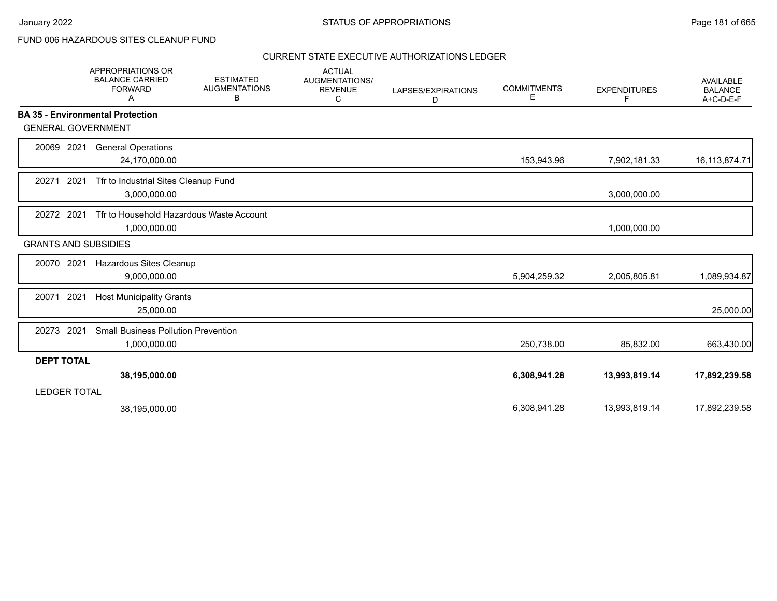# FUND 006 HAZARDOUS SITES CLEANUP FUND

|                     | <b>APPROPRIATIONS OR</b><br><b>BALANCE CARRIED</b><br><b>FORWARD</b><br>A | <b>ESTIMATED</b><br><b>AUGMENTATIONS</b><br>В | <b>ACTUAL</b><br><b>AUGMENTATIONS/</b><br><b>REVENUE</b><br>С | LAPSES/EXPIRATIONS<br>D | <b>COMMITMENTS</b><br>E | <b>EXPENDITURES</b><br>F | AVAILABLE<br><b>BALANCE</b><br>$A+C-D-E-F$ |
|---------------------|---------------------------------------------------------------------------|-----------------------------------------------|---------------------------------------------------------------|-------------------------|-------------------------|--------------------------|--------------------------------------------|
|                     | <b>BA 35 - Environmental Protection</b>                                   |                                               |                                                               |                         |                         |                          |                                            |
|                     | <b>GENERAL GOVERNMENT</b>                                                 |                                               |                                                               |                         |                         |                          |                                            |
| 20069               | 2021<br><b>General Operations</b><br>24,170,000.00                        |                                               |                                                               |                         | 153,943.96              | 7,902,181.33             | 16,113,874.71                              |
| 20271               | 2021<br>Tfr to Industrial Sites Cleanup Fund<br>3,000,000.00              |                                               |                                                               |                         |                         | 3,000,000.00             |                                            |
| 20272 2021          | Tfr to Household Hazardous Waste Account<br>1,000,000.00                  |                                               |                                                               |                         |                         | 1,000,000.00             |                                            |
|                     | <b>GRANTS AND SUBSIDIES</b>                                               |                                               |                                                               |                         |                         |                          |                                            |
| 20070               | 2021<br>Hazardous Sites Cleanup<br>9,000,000.00                           |                                               |                                                               |                         | 5,904,259.32            | 2,005,805.81             | 1,089,934.87                               |
| 20071               | 2021<br><b>Host Municipality Grants</b><br>25,000.00                      |                                               |                                                               |                         |                         |                          | 25,000.00                                  |
| 20273               | 2021<br><b>Small Business Pollution Prevention</b><br>1,000,000.00        |                                               |                                                               |                         | 250,738.00              | 85,832.00                | 663,430.00                                 |
| <b>DEPT TOTAL</b>   |                                                                           |                                               |                                                               |                         |                         |                          |                                            |
| <b>LEDGER TOTAL</b> | 38,195,000.00                                                             |                                               |                                                               |                         | 6,308,941.28            | 13,993,819.14            | 17,892,239.58                              |
|                     | 38,195,000.00                                                             |                                               |                                                               |                         | 6,308,941.28            | 13,993,819.14            | 17,892,239.58                              |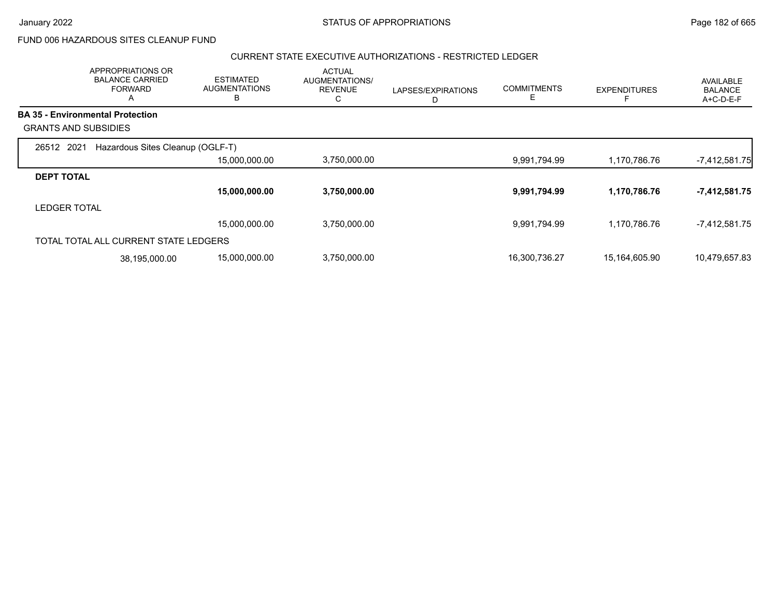FUND 006 HAZARDOUS SITES CLEANUP FUND

#### CURRENT STATE EXECUTIVE AUTHORIZATIONS - RESTRICTED LEDGER

|                             | APPROPRIATIONS OR<br><b>BALANCE CARRIED</b><br><b>FORWARD</b><br>$\mathsf{\Lambda}$ | <b>ESTIMATED</b><br><b>AUGMENTATIONS</b><br>в | <b>ACTUAL</b><br>AUGMENTATIONS/<br><b>REVENUE</b><br>С | LAPSES/EXPIRATIONS<br>D | <b>COMMITMENTS</b><br>E. | <b>EXPENDITURES</b> | AVAILABLE<br><b>BALANCE</b><br>A+C-D-E-F |
|-----------------------------|-------------------------------------------------------------------------------------|-----------------------------------------------|--------------------------------------------------------|-------------------------|--------------------------|---------------------|------------------------------------------|
|                             | <b>BA 35 - Environmental Protection</b>                                             |                                               |                                                        |                         |                          |                     |                                          |
| <b>GRANTS AND SUBSIDIES</b> |                                                                                     |                                               |                                                        |                         |                          |                     |                                          |
| 26512 2021                  | Hazardous Sites Cleanup (OGLF-T)                                                    |                                               |                                                        |                         |                          |                     |                                          |
|                             |                                                                                     | 15,000,000.00                                 | 3,750,000.00                                           |                         | 9,991,794.99             | 1,170,786.76        | $-7,412,581.75$                          |
| <b>DEPT TOTAL</b>           |                                                                                     |                                               |                                                        |                         |                          |                     |                                          |
|                             |                                                                                     | 15,000,000.00                                 | 3,750,000.00                                           |                         | 9,991,794.99             | 1,170,786.76        | -7,412,581.75                            |
| <b>LEDGER TOTAL</b>         |                                                                                     |                                               |                                                        |                         |                          |                     |                                          |
|                             |                                                                                     | 15,000,000.00                                 | 3,750,000.00                                           |                         | 9,991,794.99             | 1,170,786.76        | $-7,412,581.75$                          |
|                             | TOTAL TOTAL ALL CURRENT STATE LEDGERS                                               |                                               |                                                        |                         |                          |                     |                                          |
|                             | 38,195,000.00                                                                       | 15,000,000.00                                 | 3,750,000.00                                           |                         | 16,300,736.27            | 15,164,605.90       | 10,479,657.83                            |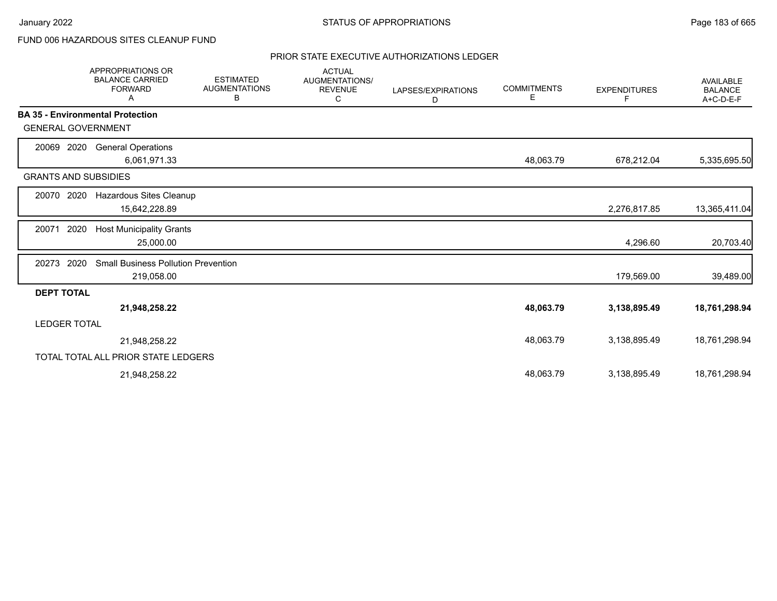# FUND 006 HAZARDOUS SITES CLEANUP FUND

|                                         | <b>APPROPRIATIONS OR</b><br><b>BALANCE CARRIED</b><br><b>FORWARD</b><br>A | <b>ESTIMATED</b><br><b>AUGMENTATIONS</b><br>В | <b>ACTUAL</b><br>AUGMENTATIONS/<br><b>REVENUE</b><br>C | LAPSES/EXPIRATIONS<br>D | <b>COMMITMENTS</b><br>Е | <b>EXPENDITURES</b><br>F | <b>AVAILABLE</b><br><b>BALANCE</b><br>A+C-D-E-F |
|-----------------------------------------|---------------------------------------------------------------------------|-----------------------------------------------|--------------------------------------------------------|-------------------------|-------------------------|--------------------------|-------------------------------------------------|
| <b>BA 35 - Environmental Protection</b> |                                                                           |                                               |                                                        |                         |                         |                          |                                                 |
| <b>GENERAL GOVERNMENT</b>               |                                                                           |                                               |                                                        |                         |                         |                          |                                                 |
| 2020<br>20069                           | <b>General Operations</b>                                                 |                                               |                                                        |                         |                         |                          |                                                 |
|                                         | 6,061,971.33                                                              |                                               |                                                        |                         | 48,063.79               | 678,212.04               | 5,335,695.50                                    |
| <b>GRANTS AND SUBSIDIES</b>             |                                                                           |                                               |                                                        |                         |                         |                          |                                                 |
| 2020<br>20070                           | Hazardous Sites Cleanup                                                   |                                               |                                                        |                         |                         |                          |                                                 |
|                                         | 15,642,228.89                                                             |                                               |                                                        |                         |                         | 2,276,817.85             | 13,365,411.04                                   |
| 2020<br>20071                           | <b>Host Municipality Grants</b>                                           |                                               |                                                        |                         |                         |                          |                                                 |
|                                         | 25,000.00                                                                 |                                               |                                                        |                         |                         | 4,296.60                 | 20,703.40                                       |
| 2020<br>20273                           | <b>Small Business Pollution Prevention</b>                                |                                               |                                                        |                         |                         |                          |                                                 |
|                                         | 219,058.00                                                                |                                               |                                                        |                         |                         | 179,569.00               | 39,489.00                                       |
| <b>DEPT TOTAL</b>                       |                                                                           |                                               |                                                        |                         |                         |                          |                                                 |
|                                         | 21,948,258.22                                                             |                                               |                                                        |                         | 48,063.79               | 3,138,895.49             | 18,761,298.94                                   |
| LEDGER TOTAL                            |                                                                           |                                               |                                                        |                         |                         |                          |                                                 |
|                                         | 21,948,258.22                                                             |                                               |                                                        |                         | 48,063.79               | 3,138,895.49             | 18,761,298.94                                   |
|                                         | TOTAL TOTAL ALL PRIOR STATE LEDGERS                                       |                                               |                                                        |                         |                         |                          |                                                 |
|                                         | 21,948,258.22                                                             |                                               |                                                        |                         | 48,063.79               | 3,138,895.49             | 18,761,298.94                                   |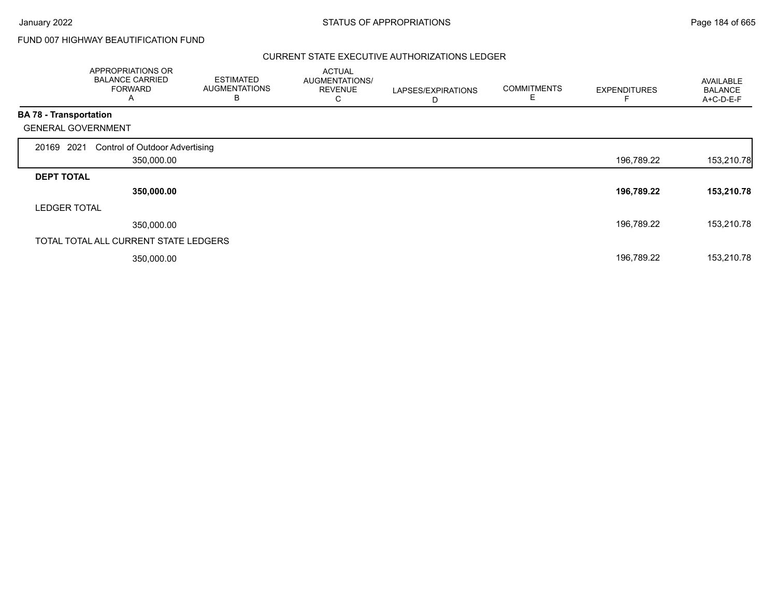# FUND 007 HIGHWAY BEAUTIFICATION FUND

|                               | APPROPRIATIONS OR<br><b>BALANCE CARRIED</b><br><b>FORWARD</b><br>Α | <b>ESTIMATED</b><br><b>AUGMENTATIONS</b><br>B | <b>ACTUAL</b><br><b>AUGMENTATIONS/</b><br><b>REVENUE</b><br>С | LAPSES/EXPIRATIONS<br>D | <b>COMMITMENTS</b><br>E | <b>EXPENDITURES</b> | AVAILABLE<br><b>BALANCE</b><br>A+C-D-E-F |
|-------------------------------|--------------------------------------------------------------------|-----------------------------------------------|---------------------------------------------------------------|-------------------------|-------------------------|---------------------|------------------------------------------|
| <b>BA 78 - Transportation</b> |                                                                    |                                               |                                                               |                         |                         |                     |                                          |
|                               | <b>GENERAL GOVERNMENT</b>                                          |                                               |                                                               |                         |                         |                     |                                          |
| 20169 2021                    | <b>Control of Outdoor Advertising</b>                              |                                               |                                                               |                         |                         |                     |                                          |
|                               | 350,000.00                                                         |                                               |                                                               |                         |                         | 196,789.22          | 153,210.78                               |
| <b>DEPT TOTAL</b>             |                                                                    |                                               |                                                               |                         |                         |                     |                                          |
|                               | 350,000.00                                                         |                                               |                                                               |                         |                         | 196,789.22          | 153,210.78                               |
| <b>LEDGER TOTAL</b>           |                                                                    |                                               |                                                               |                         |                         |                     |                                          |
|                               | 350,000.00                                                         |                                               |                                                               |                         |                         | 196,789.22          | 153,210.78                               |
|                               | TOTAL TOTAL ALL CURRENT STATE LEDGERS                              |                                               |                                                               |                         |                         |                     |                                          |
|                               | 350,000.00                                                         |                                               |                                                               |                         |                         | 196,789.22          | 153,210.78                               |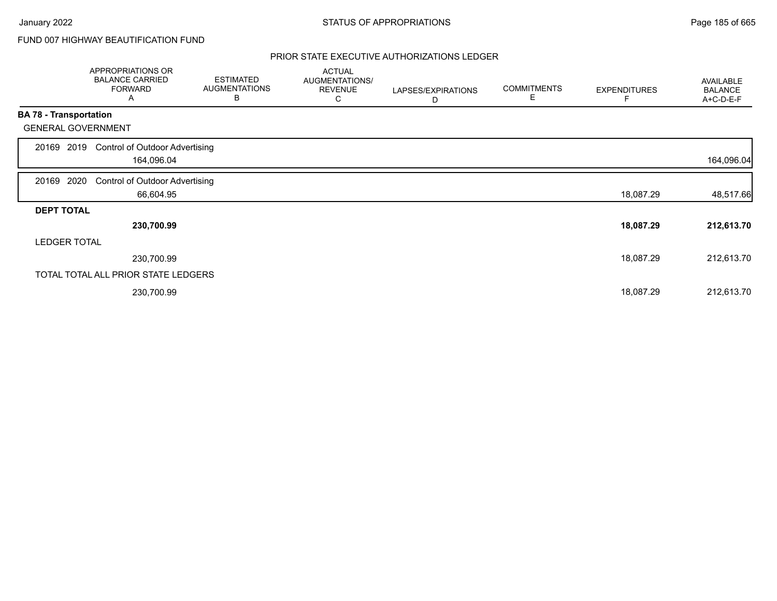# FUND 007 HIGHWAY BEAUTIFICATION FUND

|                               | APPROPRIATIONS OR<br><b>BALANCE CARRIED</b><br><b>FORWARD</b><br>A | <b>ESTIMATED</b><br><b>AUGMENTATIONS</b><br>В | <b>ACTUAL</b><br>AUGMENTATIONS/<br><b>REVENUE</b><br>С | LAPSES/EXPIRATIONS<br>D | <b>COMMITMENTS</b><br>Е | <b>EXPENDITURES</b> | AVAILABLE<br><b>BALANCE</b><br>A+C-D-E-F |
|-------------------------------|--------------------------------------------------------------------|-----------------------------------------------|--------------------------------------------------------|-------------------------|-------------------------|---------------------|------------------------------------------|
| <b>BA 78 - Transportation</b> |                                                                    |                                               |                                                        |                         |                         |                     |                                          |
|                               | <b>GENERAL GOVERNMENT</b>                                          |                                               |                                                        |                         |                         |                     |                                          |
| 20169                         | <b>Control of Outdoor Advertising</b><br>2019<br>164,096.04        |                                               |                                                        |                         |                         |                     | 164,096.04                               |
| 20169 2020                    | <b>Control of Outdoor Advertising</b>                              |                                               |                                                        |                         |                         |                     |                                          |
|                               | 66,604.95                                                          |                                               |                                                        |                         |                         | 18,087.29           | 48,517.66                                |
| <b>DEPT TOTAL</b>             |                                                                    |                                               |                                                        |                         |                         |                     |                                          |
|                               | 230,700.99                                                         |                                               |                                                        |                         |                         | 18,087.29           | 212,613.70                               |
|                               | <b>LEDGER TOTAL</b>                                                |                                               |                                                        |                         |                         |                     |                                          |
|                               | 230,700.99                                                         |                                               |                                                        |                         |                         | 18,087.29           | 212,613.70                               |
|                               | TOTAL TOTAL ALL PRIOR STATE LEDGERS                                |                                               |                                                        |                         |                         |                     |                                          |
|                               | 230,700.99                                                         |                                               |                                                        |                         |                         | 18,087.29           | 212,613.70                               |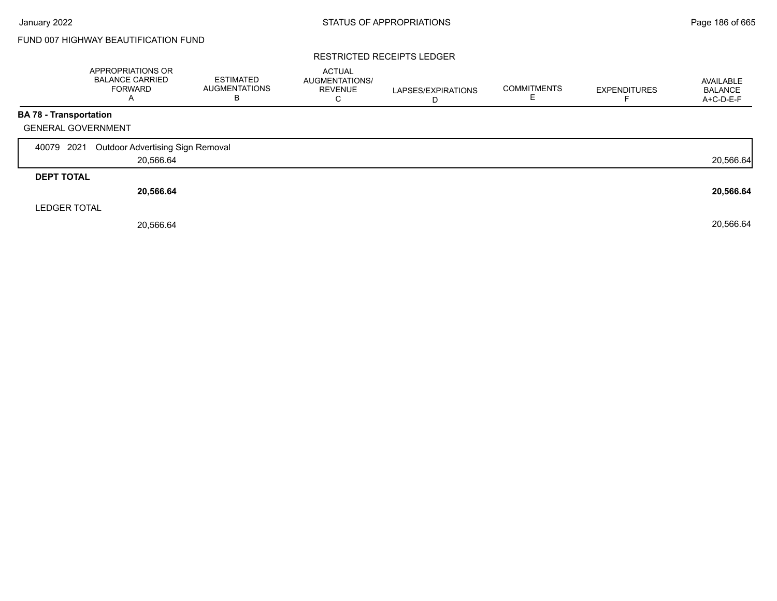# FUND 007 HIGHWAY BEAUTIFICATION FUND

#### RESTRICTED RECEIPTS LEDGER

|                   | <b>APPROPRIATIONS OR</b><br><b>BALANCE CARRIED</b><br><b>FORWARD</b> | <b>ESTIMATED</b><br><b>AUGMENTATIONS</b><br>В | <b>ACTUAL</b><br>AUGMENTATIONS/<br><b>REVENUE</b><br>C | LAPSES/EXPIRATIONS<br>D | <b>COMMITMENTS</b> | <b>EXPENDITURES</b> | AVAILABLE<br><b>BALANCE</b><br>A+C-D-E-F |
|-------------------|----------------------------------------------------------------------|-----------------------------------------------|--------------------------------------------------------|-------------------------|--------------------|---------------------|------------------------------------------|
|                   | BA 78 - Transportation                                               |                                               |                                                        |                         |                    |                     |                                          |
|                   | <b>GENERAL GOVERNMENT</b>                                            |                                               |                                                        |                         |                    |                     |                                          |
| 40079             | 2021<br><b>Outdoor Advertising Sign Removal</b>                      |                                               |                                                        |                         |                    |                     |                                          |
|                   | 20,566.64                                                            |                                               |                                                        |                         |                    |                     | 20,566.64                                |
| <b>DEPT TOTAL</b> |                                                                      |                                               |                                                        |                         |                    |                     |                                          |
|                   | 20,566.64                                                            |                                               |                                                        |                         |                    |                     | 20,566.64                                |
|                   | <b>LEDGER TOTAL</b>                                                  |                                               |                                                        |                         |                    |                     |                                          |
|                   | 20,566.64                                                            |                                               |                                                        |                         |                    |                     | 20,566.64                                |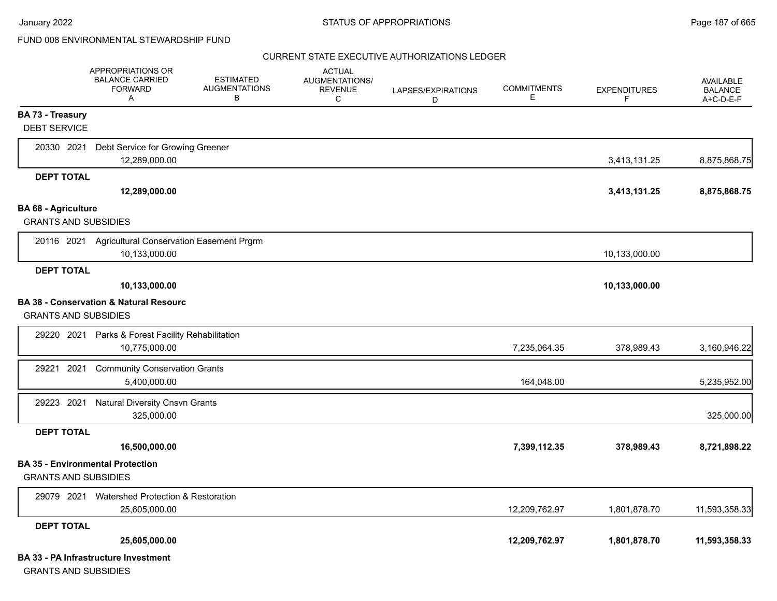January 2022 **STATUS OF APPROPRIATIONS** STATUS OF APPROPRIATIONS

# FUND 008 ENVIRONMENTAL STEWARDSHIP FUND

|                                                           | <b>APPROPRIATIONS OR</b><br><b>BALANCE CARRIED</b><br><b>FORWARD</b><br>A | <b>ESTIMATED</b><br><b>AUGMENTATIONS</b><br>В | <b>ACTUAL</b><br><b>AUGMENTATIONS/</b><br><b>REVENUE</b><br>C | LAPSES/EXPIRATIONS<br>D | <b>COMMITMENTS</b><br>Е | <b>EXPENDITURES</b><br>F. | <b>AVAILABLE</b><br><b>BALANCE</b><br>A+C-D-E-F |
|-----------------------------------------------------------|---------------------------------------------------------------------------|-----------------------------------------------|---------------------------------------------------------------|-------------------------|-------------------------|---------------------------|-------------------------------------------------|
| <b>BA 73 - Treasury</b><br><b>DEBT SERVICE</b>            |                                                                           |                                               |                                                               |                         |                         |                           |                                                 |
| 20330 2021                                                | Debt Service for Growing Greener<br>12,289,000.00                         |                                               |                                                               |                         |                         | 3,413,131.25              | 8,875,868.75                                    |
| <b>DEPT TOTAL</b>                                         |                                                                           |                                               |                                                               |                         |                         |                           |                                                 |
|                                                           | 12,289,000.00                                                             |                                               |                                                               |                         |                         | 3,413,131.25              | 8,875,868.75                                    |
| <b>BA 68 - Agriculture</b><br><b>GRANTS AND SUBSIDIES</b> |                                                                           |                                               |                                                               |                         |                         |                           |                                                 |
|                                                           | 20116 2021 Agricultural Conservation Easement Prgrm<br>10,133,000.00      |                                               |                                                               |                         |                         | 10,133,000.00             |                                                 |
| <b>DEPT TOTAL</b>                                         | 10,133,000.00                                                             |                                               |                                                               |                         |                         | 10,133,000.00             |                                                 |
| <b>GRANTS AND SUBSIDIES</b>                               | <b>BA 38 - Conservation &amp; Natural Resourc</b>                         |                                               |                                                               |                         |                         |                           |                                                 |
| 29220 2021                                                | Parks & Forest Facility Rehabilitation<br>10,775,000.00                   |                                               |                                                               |                         | 7,235,064.35            | 378,989.43                | 3,160,946.22                                    |
| 29221 2021                                                | <b>Community Conservation Grants</b><br>5,400,000.00                      |                                               |                                                               |                         | 164,048.00              |                           | 5,235,952.00                                    |
| 29223 2021                                                | <b>Natural Diversity Cnsvn Grants</b><br>325,000.00                       |                                               |                                                               |                         |                         |                           | 325,000.00                                      |
| <b>DEPT TOTAL</b>                                         |                                                                           |                                               |                                                               |                         |                         |                           |                                                 |
|                                                           | 16,500,000.00                                                             |                                               |                                                               |                         | 7,399,112.35            | 378,989.43                | 8,721,898.22                                    |
| <b>GRANTS AND SUBSIDIES</b>                               | <b>BA 35 - Environmental Protection</b>                                   |                                               |                                                               |                         |                         |                           |                                                 |
| 29079 2021                                                | Watershed Protection & Restoration<br>25,605,000.00                       |                                               |                                                               |                         | 12,209,762.97           | 1,801,878.70              | 11,593,358.33                                   |
| <b>DEPT TOTAL</b>                                         |                                                                           |                                               |                                                               |                         |                         |                           |                                                 |
|                                                           | 25,605,000.00                                                             |                                               |                                                               |                         | 12,209,762.97           | 1,801,878.70              | 11,593,358.33                                   |
|                                                           | <b>BA 33 - PA Infrastructure Investment</b>                               |                                               |                                                               |                         |                         |                           |                                                 |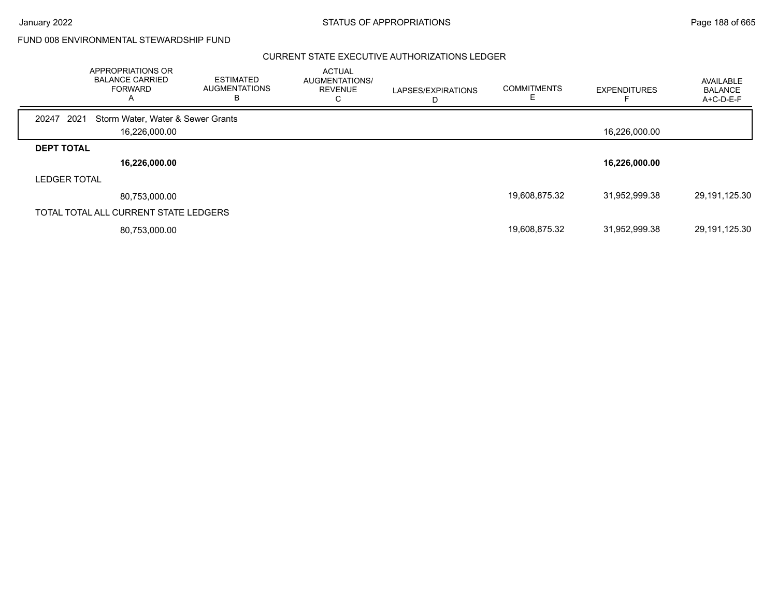January 2022 **STATUS OF APPROPRIATIONS** STATUS OF APPROPRIATIONS

FUND 008 ENVIRONMENTAL STEWARDSHIP FUND

|                     | APPROPRIATIONS OR<br><b>BALANCE CARRIED</b><br><b>FORWARD</b> | ESTIMATED<br><b>AUGMENTATIONS</b><br>в | <b>ACTUAL</b><br>AUGMENTATIONS/<br><b>REVENUE</b><br>◡ | LAPSES/EXPIRATIONS | <b>COMMITMENTS</b> | <b>EXPENDITURES</b> | AVAILABLE<br><b>BALANCE</b><br>A+C-D-E-F |
|---------------------|---------------------------------------------------------------|----------------------------------------|--------------------------------------------------------|--------------------|--------------------|---------------------|------------------------------------------|
| 2021<br>20247       | Storm Water, Water & Sewer Grants                             |                                        |                                                        |                    |                    |                     |                                          |
|                     | 16,226,000.00                                                 |                                        |                                                        |                    |                    | 16,226,000.00       |                                          |
| <b>DEPT TOTAL</b>   |                                                               |                                        |                                                        |                    |                    |                     |                                          |
|                     | 16,226,000.00                                                 |                                        |                                                        |                    |                    | 16,226,000.00       |                                          |
| <b>LEDGER TOTAL</b> |                                                               |                                        |                                                        |                    |                    |                     |                                          |
|                     | 80,753,000.00                                                 |                                        |                                                        |                    | 19,608,875.32      | 31,952,999.38       | 29,191,125.30                            |
|                     | TOTAL TOTAL ALL CURRENT STATE LEDGERS                         |                                        |                                                        |                    |                    |                     |                                          |
|                     | 80,753,000.00                                                 |                                        |                                                        |                    | 19,608,875.32      | 31,952,999.38       | 29,191,125.30                            |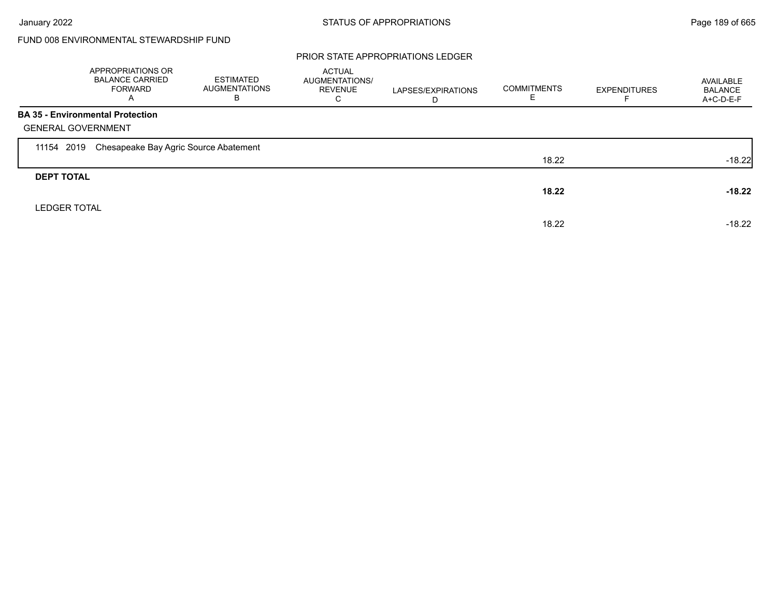|                     | APPROPRIATIONS OR<br><b>BALANCE CARRIED</b><br><b>FORWARD</b><br>A | <b>ESTIMATED</b><br><b>AUGMENTATIONS</b><br>B | <b>ACTUAL</b><br><b>AUGMENTATIONS/</b><br><b>REVENUE</b><br>С | LAPSES/EXPIRATIONS<br>D | <b>COMMITMENTS</b> | <b>EXPENDITURES</b> | AVAILABLE<br><b>BALANCE</b><br>A+C-D-E-F |
|---------------------|--------------------------------------------------------------------|-----------------------------------------------|---------------------------------------------------------------|-------------------------|--------------------|---------------------|------------------------------------------|
|                     | <b>BA 35 - Environmental Protection</b>                            |                                               |                                                               |                         |                    |                     |                                          |
|                     | <b>GENERAL GOVERNMENT</b>                                          |                                               |                                                               |                         |                    |                     |                                          |
| 11154 2019          | Chesapeake Bay Agric Source Abatement                              |                                               |                                                               |                         |                    |                     |                                          |
|                     |                                                                    |                                               |                                                               |                         | 18.22              |                     | $-18.22$                                 |
| <b>DEPT TOTAL</b>   |                                                                    |                                               |                                                               |                         |                    |                     |                                          |
|                     |                                                                    |                                               |                                                               |                         | 18.22              |                     | $-18.22$                                 |
| <b>LEDGER TOTAL</b> |                                                                    |                                               |                                                               |                         |                    |                     |                                          |
|                     |                                                                    |                                               |                                                               |                         | 18.22              |                     | $-18.22$                                 |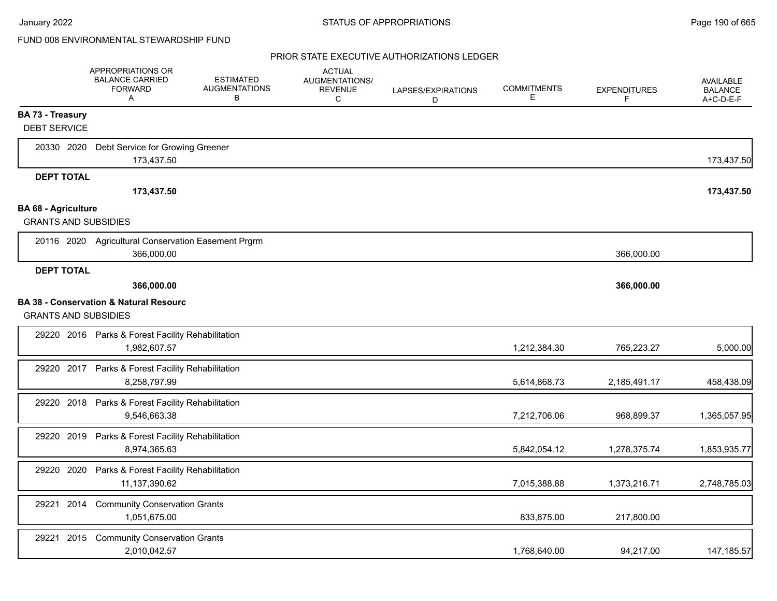|                                                           | APPROPRIATIONS OR<br><b>BALANCE CARRIED</b><br><b>FORWARD</b><br>Α | <b>ESTIMATED</b><br><b>AUGMENTATIONS</b><br>В | <b>ACTUAL</b><br>AUGMENTATIONS/<br><b>REVENUE</b><br>C | LAPSES/EXPIRATIONS<br>D | <b>COMMITMENTS</b><br>Е | <b>EXPENDITURES</b><br>F. | <b>AVAILABLE</b><br><b>BALANCE</b><br>A+C-D-E-F |
|-----------------------------------------------------------|--------------------------------------------------------------------|-----------------------------------------------|--------------------------------------------------------|-------------------------|-------------------------|---------------------------|-------------------------------------------------|
| <b>BA 73 - Treasury</b>                                   |                                                                    |                                               |                                                        |                         |                         |                           |                                                 |
| <b>DEBT SERVICE</b>                                       |                                                                    |                                               |                                                        |                         |                         |                           |                                                 |
| 20330 2020                                                | Debt Service for Growing Greener<br>173,437.50                     |                                               |                                                        |                         |                         |                           | 173,437.50                                      |
| <b>DEPT TOTAL</b>                                         |                                                                    |                                               |                                                        |                         |                         |                           |                                                 |
|                                                           | 173,437.50                                                         |                                               |                                                        |                         |                         |                           | 173,437.50                                      |
| <b>BA 68 - Agriculture</b><br><b>GRANTS AND SUBSIDIES</b> |                                                                    |                                               |                                                        |                         |                         |                           |                                                 |
|                                                           | 20116 2020 Agricultural Conservation Easement Prgrm<br>366.000.00  |                                               |                                                        |                         |                         | 366,000.00                |                                                 |
| <b>DEPT TOTAL</b>                                         |                                                                    |                                               |                                                        |                         |                         |                           |                                                 |
|                                                           | 366,000.00                                                         |                                               |                                                        |                         |                         | 366,000.00                |                                                 |
| <b>GRANTS AND SUBSIDIES</b>                               | <b>BA 38 - Conservation &amp; Natural Resourc</b>                  |                                               |                                                        |                         |                         |                           |                                                 |
|                                                           | 29220 2016 Parks & Forest Facility Rehabilitation<br>1,982,607.57  |                                               |                                                        |                         | 1,212,384.30            | 765,223.27                | 5,000.00                                        |
| 29220 2017                                                | Parks & Forest Facility Rehabilitation<br>8,258,797.99             |                                               |                                                        |                         | 5,614,868.73            | 2,185,491.17              | 458,438.09                                      |
| 29220 2018                                                | Parks & Forest Facility Rehabilitation<br>9,546,663.38             |                                               |                                                        |                         | 7,212,706.06            | 968,899.37                | 1,365,057.95                                    |
| 29220 2019                                                | Parks & Forest Facility Rehabilitation<br>8,974,365.63             |                                               |                                                        |                         | 5,842,054.12            | 1,278,375.74              | 1,853,935.77                                    |
| 29220 2020                                                | Parks & Forest Facility Rehabilitation<br>11,137,390.62            |                                               |                                                        |                         | 7,015,388.88            | 1,373,216.71              | 2,748,785.03                                    |
| 29221 2014                                                | <b>Community Conservation Grants</b><br>1,051,675.00               |                                               |                                                        |                         | 833,875.00              | 217,800.00                |                                                 |
| 2015<br>29221                                             | <b>Community Conservation Grants</b><br>2,010,042.57               |                                               |                                                        |                         | 1,768,640.00            | 94,217.00                 | 147,185.57                                      |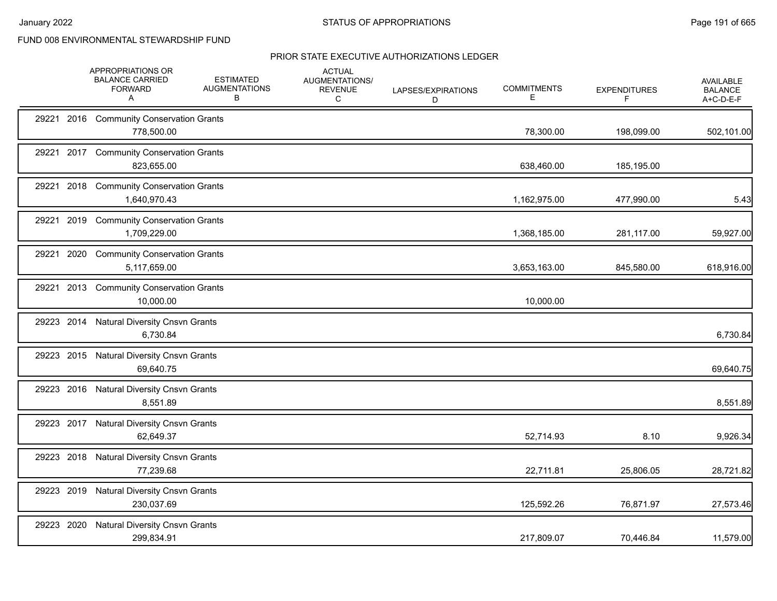|            |      | APPROPRIATIONS OR<br><b>BALANCE CARRIED</b><br><b>FORWARD</b><br>A | <b>ESTIMATED</b><br><b>AUGMENTATIONS</b><br>в | <b>ACTUAL</b><br>AUGMENTATIONS/<br><b>REVENUE</b><br>C | LAPSES/EXPIRATIONS<br>D | <b>COMMITMENTS</b><br>Е | <b>EXPENDITURES</b><br>F | <b>AVAILABLE</b><br><b>BALANCE</b><br>A+C-D-E-F |
|------------|------|--------------------------------------------------------------------|-----------------------------------------------|--------------------------------------------------------|-------------------------|-------------------------|--------------------------|-------------------------------------------------|
|            |      | 29221 2016 Community Conservation Grants<br>778,500.00             |                                               |                                                        |                         | 78,300.00               | 198,099.00               | 502,101.00                                      |
|            |      | 29221 2017 Community Conservation Grants<br>823,655.00             |                                               |                                                        |                         | 638,460.00              | 185,195.00               |                                                 |
| 29221      | 2018 | <b>Community Conservation Grants</b><br>1,640,970.43               |                                               |                                                        |                         | 1,162,975.00            | 477,990.00               | 5.43                                            |
| 29221 2019 |      | <b>Community Conservation Grants</b><br>1,709,229.00               |                                               |                                                        |                         | 1,368,185.00            | 281,117.00               | 59,927.00                                       |
| 29221 2020 |      | <b>Community Conservation Grants</b><br>5,117,659.00               |                                               |                                                        |                         | 3,653,163.00            | 845,580.00               | 618,916.00                                      |
| 29221 2013 |      | <b>Community Conservation Grants</b><br>10,000.00                  |                                               |                                                        |                         | 10,000.00               |                          |                                                 |
| 29223 2014 |      | <b>Natural Diversity Cnsvn Grants</b><br>6,730.84                  |                                               |                                                        |                         |                         |                          | 6,730.84                                        |
|            |      | 29223 2015 Natural Diversity Cnsvn Grants<br>69,640.75             |                                               |                                                        |                         |                         |                          | 69,640.75                                       |
| 29223 2016 |      | <b>Natural Diversity Cnsvn Grants</b><br>8,551.89                  |                                               |                                                        |                         |                         |                          | 8,551.89                                        |
| 29223 2017 |      | <b>Natural Diversity Cnsvn Grants</b><br>62,649.37                 |                                               |                                                        |                         | 52,714.93               | 8.10                     | 9,926.34                                        |
| 29223 2018 |      | <b>Natural Diversity Cnsvn Grants</b><br>77,239.68                 |                                               |                                                        |                         | 22,711.81               | 25,806.05                | 28,721.82                                       |
| 29223 2019 |      | <b>Natural Diversity Cnsvn Grants</b><br>230,037.69                |                                               |                                                        |                         | 125,592.26              | 76,871.97                | 27,573.46                                       |
| 29223 2020 |      | <b>Natural Diversity Cnsvn Grants</b><br>299,834.91                |                                               |                                                        |                         | 217,809.07              | 70,446.84                | 11,579.00                                       |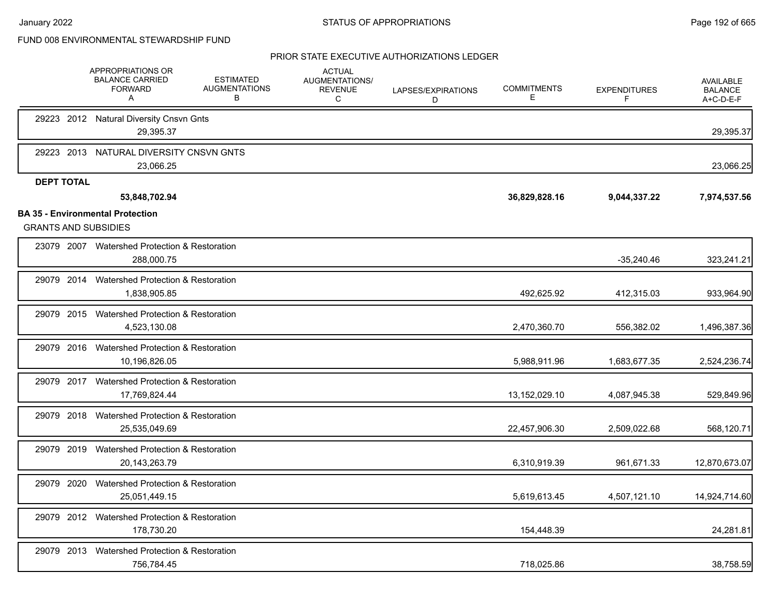|                                                                        | APPROPRIATIONS OR<br><b>BALANCE CARRIED</b><br><b>FORWARD</b><br>Α | <b>ESTIMATED</b><br><b>AUGMENTATIONS</b><br>B | <b>ACTUAL</b><br>AUGMENTATIONS/<br><b>REVENUE</b><br>C | LAPSES/EXPIRATIONS<br>D | <b>COMMITMENTS</b><br>E | <b>EXPENDITURES</b><br>F | AVAILABLE<br><b>BALANCE</b><br>A+C-D-E-F |
|------------------------------------------------------------------------|--------------------------------------------------------------------|-----------------------------------------------|--------------------------------------------------------|-------------------------|-------------------------|--------------------------|------------------------------------------|
|                                                                        | 29223 2012 Natural Diversity Cnsvn Gnts<br>29,395.37               |                                               |                                                        |                         |                         |                          | 29,395.37                                |
| 29223 2013                                                             | NATURAL DIVERSITY CNSVN GNTS<br>23,066.25                          |                                               |                                                        |                         |                         |                          | 23,066.25                                |
| <b>DEPT TOTAL</b>                                                      | 53,848,702.94                                                      |                                               |                                                        |                         | 36,829,828.16           | 9,044,337.22             | 7,974,537.56                             |
| <b>BA 35 - Environmental Protection</b><br><b>GRANTS AND SUBSIDIES</b> |                                                                    |                                               |                                                        |                         |                         |                          |                                          |
|                                                                        | 23079 2007 Watershed Protection & Restoration<br>288,000.75        |                                               |                                                        |                         |                         | $-35,240.46$             | 323,241.21                               |
| 29079 2014                                                             | Watershed Protection & Restoration<br>1,838,905.85                 |                                               |                                                        |                         | 492,625.92              | 412,315.03               | 933,964.90                               |
| 29079 2015                                                             | Watershed Protection & Restoration<br>4,523,130.08                 |                                               |                                                        |                         | 2,470,360.70            | 556,382.02               | 1,496,387.36                             |
| 29079 2016                                                             | Watershed Protection & Restoration<br>10,196,826.05                |                                               |                                                        |                         | 5,988,911.96            | 1,683,677.35             | 2,524,236.74                             |
|                                                                        | 29079 2017 Watershed Protection & Restoration<br>17,769,824.44     |                                               |                                                        |                         | 13,152,029.10           | 4,087,945.38             | 529,849.96                               |
| 29079 2018                                                             | Watershed Protection & Restoration<br>25,535,049.69                |                                               |                                                        |                         | 22,457,906.30           | 2,509,022.68             | 568,120.71                               |
| 29079 2019                                                             | Watershed Protection & Restoration<br>20,143,263.79                |                                               |                                                        |                         | 6,310,919.39            | 961,671.33               | 12,870,673.07                            |
| 29079 2020                                                             | Watershed Protection & Restoration<br>25,051,449.15                |                                               |                                                        |                         | 5,619,613.45            | 4,507,121.10             | 14,924,714.60                            |
|                                                                        | 29079 2012 Watershed Protection & Restoration<br>178,730.20        |                                               |                                                        |                         | 154,448.39              |                          | 24,281.81                                |
| 29079 2013                                                             | Watershed Protection & Restoration<br>756,784.45                   |                                               |                                                        |                         | 718,025.86              |                          | 38,758.59                                |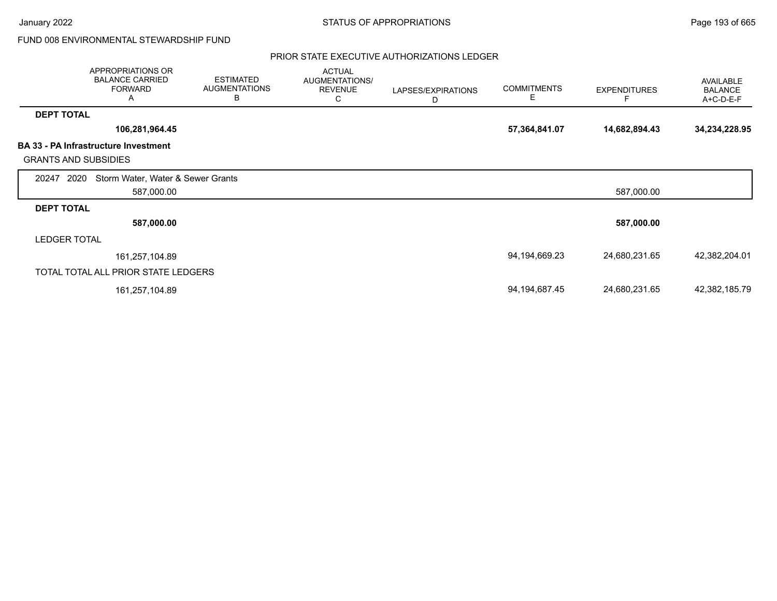January 2022 **STATUS OF APPROPRIATIONS** STATUS OF APPROPRIATIONS

FUND 008 ENVIRONMENTAL STEWARDSHIP FUND

|                             | APPROPRIATIONS OR<br><b>BALANCE CARRIED</b><br><b>FORWARD</b><br>Α | <b>ESTIMATED</b><br><b>AUGMENTATIONS</b><br>B | <b>ACTUAL</b><br><b>AUGMENTATIONS/</b><br><b>REVENUE</b><br>С | LAPSES/EXPIRATIONS<br>D | <b>COMMITMENTS</b><br>Е | <b>EXPENDITURES</b> | AVAILABLE<br><b>BALANCE</b><br>A+C-D-E-F |
|-----------------------------|--------------------------------------------------------------------|-----------------------------------------------|---------------------------------------------------------------|-------------------------|-------------------------|---------------------|------------------------------------------|
| <b>DEPT TOTAL</b>           |                                                                    |                                               |                                                               |                         |                         |                     |                                          |
|                             | 106,281,964.45                                                     |                                               |                                                               |                         | 57,364,841.07           | 14,682,894.43       | 34,234,228.95                            |
|                             | <b>BA 33 - PA Infrastructure Investment</b>                        |                                               |                                                               |                         |                         |                     |                                          |
| <b>GRANTS AND SUBSIDIES</b> |                                                                    |                                               |                                                               |                         |                         |                     |                                          |
| 2020<br>20247               | Storm Water, Water & Sewer Grants                                  |                                               |                                                               |                         |                         |                     |                                          |
|                             | 587,000.00                                                         |                                               |                                                               |                         |                         | 587,000.00          |                                          |
| <b>DEPT TOTAL</b>           |                                                                    |                                               |                                                               |                         |                         |                     |                                          |
|                             | 587,000.00                                                         |                                               |                                                               |                         |                         | 587,000.00          |                                          |
| <b>LEDGER TOTAL</b>         |                                                                    |                                               |                                                               |                         |                         |                     |                                          |
|                             | 161,257,104.89                                                     |                                               |                                                               |                         | 94,194,669.23           | 24,680,231.65       | 42,382,204.01                            |
|                             | TOTAL TOTAL ALL PRIOR STATE LEDGERS                                |                                               |                                                               |                         |                         |                     |                                          |
|                             | 161,257,104.89                                                     |                                               |                                                               |                         | 94, 194, 687. 45        | 24,680,231.65       | 42,382,185.79                            |
|                             |                                                                    |                                               |                                                               |                         |                         |                     |                                          |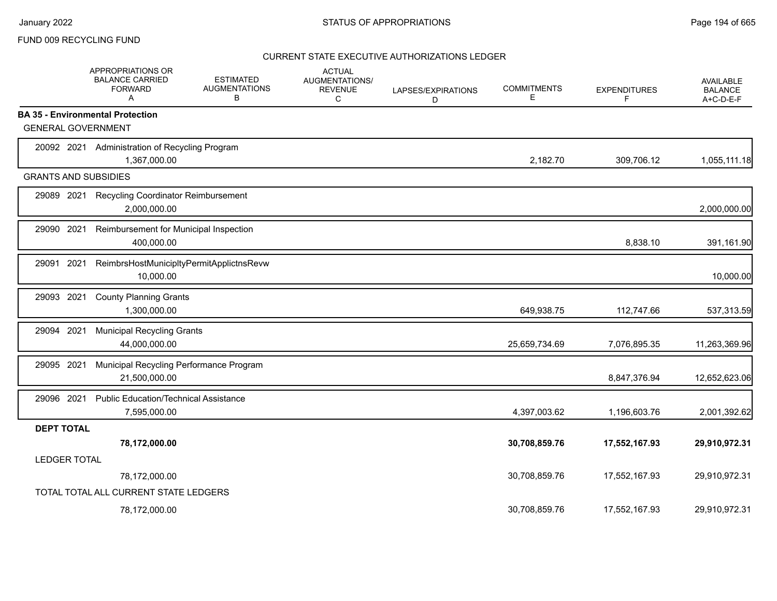### FUND 009 RECYCLING FUND

|                             | APPROPRIATIONS OR<br><b>BALANCE CARRIED</b><br><b>FORWARD</b><br>A | <b>ESTIMATED</b><br><b>AUGMENTATIONS</b><br>в | <b>ACTUAL</b><br><b>AUGMENTATIONS/</b><br><b>REVENUE</b><br>C | LAPSES/EXPIRATIONS<br>D | <b>COMMITMENTS</b><br>E | <b>EXPENDITURES</b><br>F. | <b>AVAILABLE</b><br><b>BALANCE</b><br>A+C-D-E-F |
|-----------------------------|--------------------------------------------------------------------|-----------------------------------------------|---------------------------------------------------------------|-------------------------|-------------------------|---------------------------|-------------------------------------------------|
|                             | <b>BA 35 - Environmental Protection</b>                            |                                               |                                                               |                         |                         |                           |                                                 |
| <b>GENERAL GOVERNMENT</b>   |                                                                    |                                               |                                                               |                         |                         |                           |                                                 |
| 20092 2021                  | Administration of Recycling Program<br>1,367,000.00                |                                               |                                                               |                         | 2,182.70                | 309,706.12                | 1,055,111.18                                    |
| <b>GRANTS AND SUBSIDIES</b> |                                                                    |                                               |                                                               |                         |                         |                           |                                                 |
| 29089 2021                  | <b>Recycling Coordinator Reimbursement</b><br>2,000,000.00         |                                               |                                                               |                         |                         |                           | 2,000,000.00                                    |
| 29090 2021                  | Reimbursement for Municipal Inspection<br>400,000.00               |                                               |                                                               |                         |                         | 8,838.10                  | 391,161.90                                      |
| 2021<br>29091               | ReimbrsHostMunicipltyPermitApplictnsRevw<br>10,000.00              |                                               |                                                               |                         |                         |                           | 10,000.00                                       |
| 2021<br>29093               | <b>County Planning Grants</b><br>1,300,000.00                      |                                               |                                                               |                         | 649,938.75              | 112,747.66                | 537,313.59                                      |
| 29094 2021                  | <b>Municipal Recycling Grants</b><br>44,000,000.00                 |                                               |                                                               |                         | 25,659,734.69           | 7,076,895.35              | 11,263,369.96                                   |
| 29095 2021                  | Municipal Recycling Performance Program<br>21,500,000.00           |                                               |                                                               |                         |                         | 8,847,376.94              | 12,652,623.06                                   |
| 29096 2021                  | <b>Public Education/Technical Assistance</b><br>7,595,000.00       |                                               |                                                               |                         | 4,397,003.62            | 1,196,603.76              | 2,001,392.62                                    |
| <b>DEPT TOTAL</b>           |                                                                    |                                               |                                                               |                         |                         |                           |                                                 |
|                             | 78,172,000.00                                                      |                                               |                                                               |                         | 30,708,859.76           | 17,552,167.93             | 29,910,972.31                                   |
| <b>LEDGER TOTAL</b>         |                                                                    |                                               |                                                               |                         |                         |                           |                                                 |
|                             | 78,172,000.00                                                      |                                               |                                                               |                         | 30,708,859.76           | 17,552,167.93             | 29,910,972.31                                   |
|                             | TOTAL TOTAL ALL CURRENT STATE LEDGERS                              |                                               |                                                               |                         |                         |                           |                                                 |
|                             | 78,172,000.00                                                      |                                               |                                                               |                         | 30.708.859.76           | 17,552,167.93             | 29.910.972.31                                   |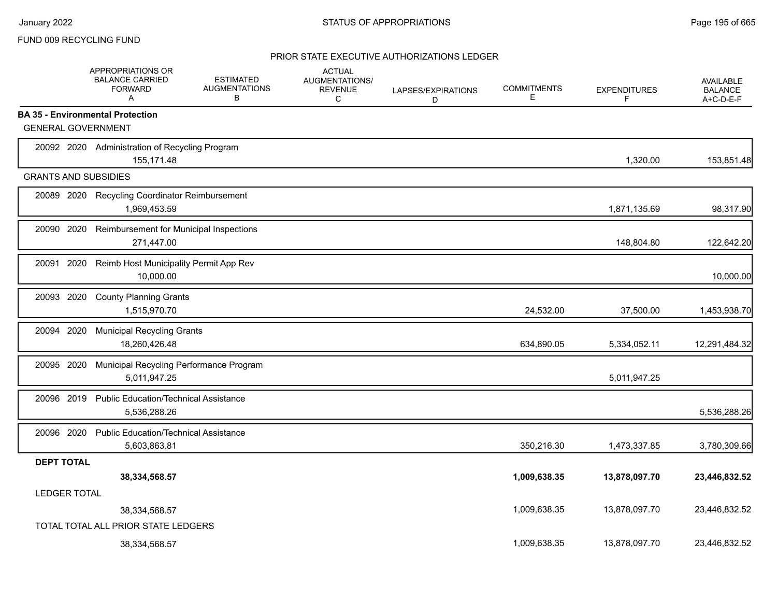### FUND 009 RECYCLING FUND

|                             | APPROPRIATIONS OR<br><b>BALANCE CARRIED</b><br><b>FORWARD</b><br>A | <b>ESTIMATED</b><br><b>AUGMENTATIONS</b><br>В | <b>ACTUAL</b><br><b>AUGMENTATIONS/</b><br><b>REVENUE</b><br>C | LAPSES/EXPIRATIONS<br>D | <b>COMMITMENTS</b><br>E | <b>EXPENDITURES</b><br>F | <b>AVAILABLE</b><br><b>BALANCE</b><br>A+C-D-E-F |
|-----------------------------|--------------------------------------------------------------------|-----------------------------------------------|---------------------------------------------------------------|-------------------------|-------------------------|--------------------------|-------------------------------------------------|
|                             | <b>BA 35 - Environmental Protection</b>                            |                                               |                                                               |                         |                         |                          |                                                 |
| <b>GENERAL GOVERNMENT</b>   |                                                                    |                                               |                                                               |                         |                         |                          |                                                 |
|                             | 20092 2020 Administration of Recycling Program<br>155,171.48       |                                               |                                                               |                         |                         | 1,320.00                 | 153,851.48                                      |
| <b>GRANTS AND SUBSIDIES</b> |                                                                    |                                               |                                                               |                         |                         |                          |                                                 |
| 20089 2020                  | <b>Recycling Coordinator Reimbursement</b><br>1,969,453.59         |                                               |                                                               |                         |                         | 1,871,135.69             | 98,317.90                                       |
| 20090 2020                  | Reimbursement for Municipal Inspections<br>271,447.00              |                                               |                                                               |                         |                         | 148,804.80               | 122,642.20                                      |
| 20091 2020                  | Reimb Host Municipality Permit App Rev<br>10,000.00                |                                               |                                                               |                         |                         |                          | 10,000.00                                       |
| 20093 2020                  | <b>County Planning Grants</b><br>1,515,970.70                      |                                               |                                                               |                         | 24,532.00               | 37,500.00                | 1,453,938.70                                    |
| 20094 2020                  | <b>Municipal Recycling Grants</b><br>18,260,426.48                 |                                               |                                                               |                         | 634,890.05              | 5,334,052.11             | 12,291,484.32                                   |
| 20095 2020                  | Municipal Recycling Performance Program<br>5,011,947.25            |                                               |                                                               |                         |                         | 5,011,947.25             |                                                 |
| 20096 2019                  | <b>Public Education/Technical Assistance</b><br>5,536,288.26       |                                               |                                                               |                         |                         |                          | 5,536,288.26                                    |
| 20096 2020                  | <b>Public Education/Technical Assistance</b><br>5,603,863.81       |                                               |                                                               |                         | 350,216.30              | 1,473,337.85             | 3,780,309.66                                    |
| <b>DEPT TOTAL</b>           |                                                                    |                                               |                                                               |                         |                         |                          |                                                 |
|                             | 38,334,568.57                                                      |                                               |                                                               |                         | 1,009,638.35            | 13,878,097.70            | 23,446,832.52                                   |
| <b>LEDGER TOTAL</b>         |                                                                    |                                               |                                                               |                         |                         |                          |                                                 |
|                             | 38,334,568.57                                                      |                                               |                                                               |                         | 1,009,638.35            | 13,878,097.70            | 23,446,832.52                                   |
|                             | TOTAL TOTAL ALL PRIOR STATE LEDGERS                                |                                               |                                                               |                         |                         |                          |                                                 |
|                             | 38,334,568.57                                                      |                                               |                                                               |                         | 1,009,638.35            | 13,878,097.70            | 23,446,832.52                                   |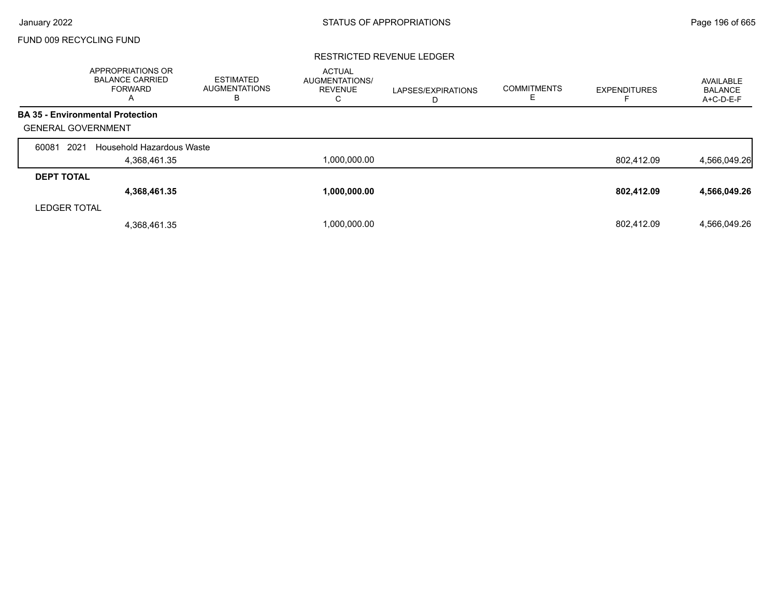# FUND 009 RECYCLING FUND

#### RESTRICTED REVENUE LEDGER

|                     | APPROPRIATIONS OR<br><b>BALANCE CARRIED</b><br><b>FORWARD</b><br>A | <b>ESTIMATED</b><br>AUGMENTATIONS<br>в | <b>ACTUAL</b><br><b>AUGMENTATIONS/</b><br><b>REVENUE</b><br>C | LAPSES/EXPIRATIONS<br>D | <b>COMMITMENTS</b><br>ᄇ | <b>EXPENDITURES</b> | AVAILABLE<br><b>BALANCE</b><br>A+C-D-E-F |
|---------------------|--------------------------------------------------------------------|----------------------------------------|---------------------------------------------------------------|-------------------------|-------------------------|---------------------|------------------------------------------|
|                     | <b>BA 35 - Environmental Protection</b>                            |                                        |                                                               |                         |                         |                     |                                          |
|                     | <b>GENERAL GOVERNMENT</b>                                          |                                        |                                                               |                         |                         |                     |                                          |
| 60081               | 2021<br>Household Hazardous Waste                                  |                                        |                                                               |                         |                         |                     |                                          |
|                     | 4,368,461.35                                                       |                                        | 1,000,000.00                                                  |                         |                         | 802,412.09          | 4,566,049.26                             |
| <b>DEPT TOTAL</b>   |                                                                    |                                        |                                                               |                         |                         |                     |                                          |
|                     | 4,368,461.35                                                       |                                        | 1,000,000.00                                                  |                         |                         | 802,412.09          | 4,566,049.26                             |
| <b>LEDGER TOTAL</b> |                                                                    |                                        |                                                               |                         |                         |                     |                                          |
|                     | 4,368,461.35                                                       |                                        | 1,000,000.00                                                  |                         |                         | 802.412.09          | 4.566.049.26                             |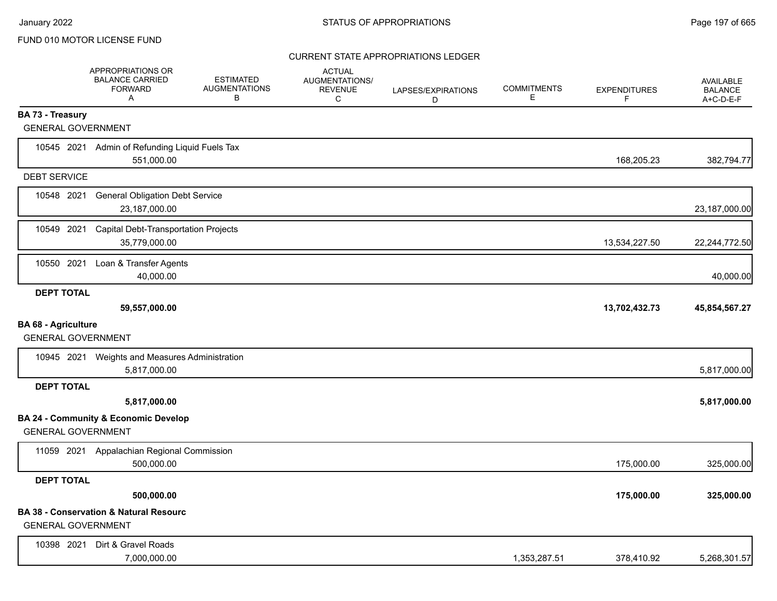|                                                         | <b>APPROPRIATIONS OR</b><br><b>BALANCE CARRIED</b><br><b>FORWARD</b><br>Α | <b>ESTIMATED</b><br><b>AUGMENTATIONS</b><br>В | <b>ACTUAL</b><br><b>AUGMENTATIONS/</b><br><b>REVENUE</b><br>C | LAPSES/EXPIRATIONS<br>D | <b>COMMITMENTS</b><br>E. | <b>EXPENDITURES</b><br>F | <b>AVAILABLE</b><br><b>BALANCE</b><br>$A+C-D-E-F$ |
|---------------------------------------------------------|---------------------------------------------------------------------------|-----------------------------------------------|---------------------------------------------------------------|-------------------------|--------------------------|--------------------------|---------------------------------------------------|
| <b>BA 73 - Treasury</b>                                 |                                                                           |                                               |                                                               |                         |                          |                          |                                                   |
| <b>GENERAL GOVERNMENT</b>                               |                                                                           |                                               |                                                               |                         |                          |                          |                                                   |
|                                                         | 10545 2021 Admin of Refunding Liquid Fuels Tax<br>551,000.00              |                                               |                                                               |                         |                          | 168,205.23               | 382,794.77                                        |
| <b>DEBT SERVICE</b>                                     |                                                                           |                                               |                                                               |                         |                          |                          |                                                   |
| 10548 2021                                              | <b>General Obligation Debt Service</b><br>23,187,000.00                   |                                               |                                                               |                         |                          |                          | 23,187,000.00                                     |
| 10549 2021                                              | <b>Capital Debt-Transportation Projects</b><br>35,779,000.00              |                                               |                                                               |                         |                          | 13,534,227.50            | 22,244,772.50                                     |
| 10550 2021                                              | Loan & Transfer Agents<br>40,000.00                                       |                                               |                                                               |                         |                          |                          | 40,000.00                                         |
| <b>DEPT TOTAL</b>                                       | 59,557,000.00                                                             |                                               |                                                               |                         |                          | 13,702,432.73            | 45,854,567.27                                     |
| <b>BA 68 - Agriculture</b><br><b>GENERAL GOVERNMENT</b> |                                                                           |                                               |                                                               |                         |                          |                          |                                                   |
|                                                         | 10945 2021 Weights and Measures Administration<br>5,817,000.00            |                                               |                                                               |                         |                          |                          | 5,817,000.00                                      |
| <b>DEPT TOTAL</b>                                       |                                                                           |                                               |                                                               |                         |                          |                          |                                                   |
|                                                         | 5,817,000.00                                                              |                                               |                                                               |                         |                          |                          | 5,817,000.00                                      |
| <b>GENERAL GOVERNMENT</b>                               | <b>BA 24 - Community &amp; Economic Develop</b>                           |                                               |                                                               |                         |                          |                          |                                                   |
|                                                         | 11059 2021 Appalachian Regional Commission<br>500,000.00                  |                                               |                                                               |                         |                          | 175,000.00               | 325,000.00                                        |
| <b>DEPT TOTAL</b>                                       |                                                                           |                                               |                                                               |                         |                          |                          |                                                   |
|                                                         | 500,000.00                                                                |                                               |                                                               |                         |                          | 175,000.00               | 325,000.00                                        |
| <b>GENERAL GOVERNMENT</b>                               | <b>BA 38 - Conservation &amp; Natural Resourc</b>                         |                                               |                                                               |                         |                          |                          |                                                   |
| 10398 2021                                              | Dirt & Gravel Roads<br>7,000,000.00                                       |                                               |                                                               |                         | 1,353,287.51             | 378,410.92               | 5,268,301.57                                      |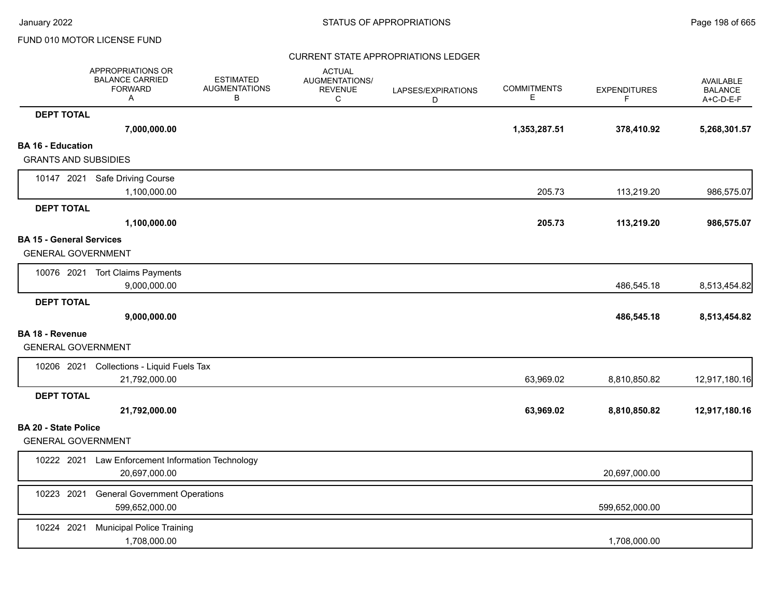|                                                              | APPROPRIATIONS OR<br><b>BALANCE CARRIED</b><br><b>FORWARD</b><br>Α | <b>ESTIMATED</b><br><b>AUGMENTATIONS</b><br>B | <b>ACTUAL</b><br><b>AUGMENTATIONS/</b><br><b>REVENUE</b><br>C | LAPSES/EXPIRATIONS<br>D | <b>COMMITMENTS</b><br>Е | <b>EXPENDITURES</b><br>F. | <b>AVAILABLE</b><br><b>BALANCE</b><br>A+C-D-E-F |
|--------------------------------------------------------------|--------------------------------------------------------------------|-----------------------------------------------|---------------------------------------------------------------|-------------------------|-------------------------|---------------------------|-------------------------------------------------|
| <b>DEPT TOTAL</b>                                            |                                                                    |                                               |                                                               |                         |                         |                           |                                                 |
|                                                              | 7,000,000.00                                                       |                                               |                                                               |                         | 1,353,287.51            | 378,410.92                | 5,268,301.57                                    |
| <b>BA 16 - Education</b>                                     |                                                                    |                                               |                                                               |                         |                         |                           |                                                 |
| <b>GRANTS AND SUBSIDIES</b>                                  |                                                                    |                                               |                                                               |                         |                         |                           |                                                 |
|                                                              | 10147 2021 Safe Driving Course                                     |                                               |                                                               |                         |                         |                           |                                                 |
|                                                              | 1,100,000.00                                                       |                                               |                                                               |                         | 205.73                  | 113,219.20                | 986,575.07                                      |
| <b>DEPT TOTAL</b>                                            |                                                                    |                                               |                                                               |                         |                         |                           |                                                 |
|                                                              | 1,100,000.00                                                       |                                               |                                                               |                         | 205.73                  | 113,219.20                | 986,575.07                                      |
| <b>BA 15 - General Services</b><br><b>GENERAL GOVERNMENT</b> |                                                                    |                                               |                                                               |                         |                         |                           |                                                 |
|                                                              | 10076 2021 Tort Claims Payments<br>9,000,000.00                    |                                               |                                                               |                         |                         | 486,545.18                | 8,513,454.82                                    |
| <b>DEPT TOTAL</b>                                            |                                                                    |                                               |                                                               |                         |                         |                           |                                                 |
|                                                              | 9,000,000.00                                                       |                                               |                                                               |                         |                         | 486,545.18                | 8,513,454.82                                    |
| <b>BA 18 - Revenue</b>                                       |                                                                    |                                               |                                                               |                         |                         |                           |                                                 |
| <b>GENERAL GOVERNMENT</b>                                    |                                                                    |                                               |                                                               |                         |                         |                           |                                                 |
|                                                              | 10206 2021 Collections - Liquid Fuels Tax                          |                                               |                                                               |                         |                         |                           |                                                 |
|                                                              | 21,792,000.00                                                      |                                               |                                                               |                         | 63,969.02               | 8,810,850.82              | 12,917,180.16                                   |
| <b>DEPT TOTAL</b>                                            |                                                                    |                                               |                                                               |                         |                         |                           |                                                 |
|                                                              | 21,792,000.00                                                      |                                               |                                                               |                         | 63,969.02               | 8,810,850.82              | 12,917,180.16                                   |
| <b>BA 20 - State Police</b>                                  |                                                                    |                                               |                                                               |                         |                         |                           |                                                 |
| <b>GENERAL GOVERNMENT</b>                                    |                                                                    |                                               |                                                               |                         |                         |                           |                                                 |
|                                                              | 10222 2021 Law Enforcement Information Technology<br>20.697.000.00 |                                               |                                                               |                         |                         | 20,697,000.00             |                                                 |
| 10223 2021                                                   | <b>General Government Operations</b><br>599,652,000.00             |                                               |                                                               |                         |                         | 599,652,000.00            |                                                 |
| 10224 2021                                                   | <b>Municipal Police Training</b><br>1,708,000.00                   |                                               |                                                               |                         |                         | 1,708,000.00              |                                                 |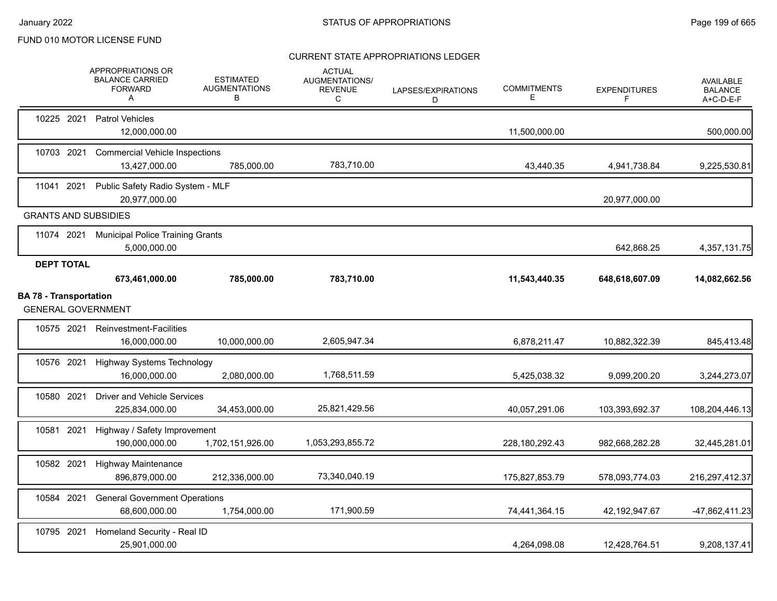|                               |                   | APPROPRIATIONS OR<br><b>BALANCE CARRIED</b><br><b>FORWARD</b><br>Α | <b>ESTIMATED</b><br><b>AUGMENTATIONS</b><br>В | <b>ACTUAL</b><br><b>AUGMENTATIONS/</b><br><b>REVENUE</b><br>C | LAPSES/EXPIRATIONS<br>D | <b>COMMITMENTS</b><br>Е | <b>EXPENDITURES</b><br>F | <b>AVAILABLE</b><br><b>BALANCE</b><br>A+C-D-E-F |
|-------------------------------|-------------------|--------------------------------------------------------------------|-----------------------------------------------|---------------------------------------------------------------|-------------------------|-------------------------|--------------------------|-------------------------------------------------|
| 10225 2021                    |                   | <b>Patrol Vehicles</b><br>12,000,000.00                            |                                               |                                                               |                         | 11,500,000.00           |                          | 500,000.00                                      |
|                               | 10703 2021        | <b>Commercial Vehicle Inspections</b><br>13,427,000.00             | 785,000.00                                    | 783,710.00                                                    |                         | 43,440.35               | 4,941,738.84             | 9,225,530.81                                    |
| 11041 2021                    |                   | Public Safety Radio System - MLF<br>20,977,000.00                  |                                               |                                                               |                         |                         | 20,977,000.00            |                                                 |
|                               |                   | <b>GRANTS AND SUBSIDIES</b>                                        |                                               |                                                               |                         |                         |                          |                                                 |
|                               | 11074 2021        | <b>Municipal Police Training Grants</b><br>5,000,000.00            |                                               |                                                               |                         |                         | 642,868.25               | 4,357,131.75                                    |
|                               | <b>DEPT TOTAL</b> | 673,461,000.00                                                     | 785,000.00                                    | 783,710.00                                                    |                         | 11,543,440.35           | 648,618,607.09           | 14,082,662.56                                   |
| <b>BA 78 - Transportation</b> |                   | <b>GENERAL GOVERNMENT</b>                                          |                                               |                                                               |                         |                         |                          |                                                 |
|                               | 10575 2021        | <b>Reinvestment-Facilities</b><br>16,000,000.00                    | 10,000,000.00                                 | 2,605,947.34                                                  |                         | 6,878,211.47            | 10,882,322.39            | 845,413.48                                      |
| 10576 2021                    |                   | <b>Highway Systems Technology</b><br>16.000.000.00                 | 2,080,000.00                                  | 1,768,511.59                                                  |                         | 5,425,038.32            | 9,099,200.20             | 3,244,273.07                                    |
| 10580 2021                    |                   | <b>Driver and Vehicle Services</b><br>225,834,000.00               | 34,453,000.00                                 | 25,821,429.56                                                 |                         | 40,057,291.06           | 103,393,692.37           | 108,204,446.13                                  |
|                               | 10581 2021        | Highway / Safety Improvement<br>190,000,000.00                     | 1,702,151,926.00                              | 1,053,293,855.72                                              |                         | 228,180,292.43          | 982,668,282.28           | 32,445,281.01                                   |
|                               | 10582 2021        | <b>Highway Maintenance</b><br>896,879,000.00                       | 212,336,000.00                                | 73,340,040.19                                                 |                         | 175,827,853.79          | 578,093,774.03           | 216,297,412.37                                  |
|                               | 10584 2021        | <b>General Government Operations</b><br>68,600,000.00              | 1,754,000.00                                  | 171,900.59                                                    |                         | 74,441,364.15           | 42,192,947.67            | -47,862,411.23                                  |
| 10795 2021                    |                   | Homeland Security - Real ID<br>25,901,000.00                       |                                               |                                                               |                         | 4,264,098.08            | 12,428,764.51            | 9,208,137.41                                    |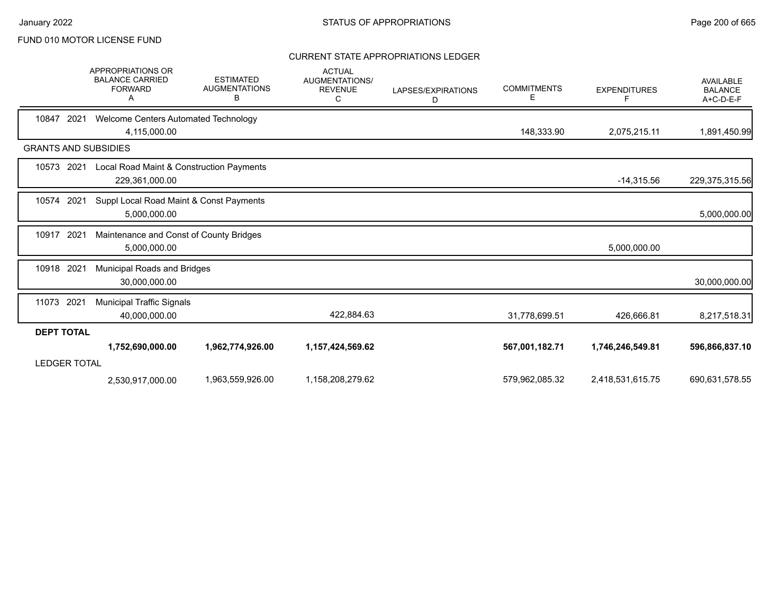|                             | APPROPRIATIONS OR<br><b>BALANCE CARRIED</b><br><b>FORWARD</b><br>A | <b>ESTIMATED</b><br><b>AUGMENTATIONS</b><br>в | <b>ACTUAL</b><br><b>AUGMENTATIONS/</b><br><b>REVENUE</b><br>C | LAPSES/EXPIRATIONS<br>D | <b>COMMITMENTS</b><br>Е | <b>EXPENDITURES</b><br>F | <b>AVAILABLE</b><br><b>BALANCE</b><br>A+C-D-E-F |
|-----------------------------|--------------------------------------------------------------------|-----------------------------------------------|---------------------------------------------------------------|-------------------------|-------------------------|--------------------------|-------------------------------------------------|
| 10847<br>2021               | Welcome Centers Automated Technology<br>4,115,000.00               |                                               |                                                               |                         | 148,333.90              | 2,075,215.11             | 1,891,450.99                                    |
| <b>GRANTS AND SUBSIDIES</b> |                                                                    |                                               |                                                               |                         |                         |                          |                                                 |
| 10573<br>2021               | Local Road Maint & Construction Payments<br>229,361,000.00         |                                               |                                                               |                         |                         | $-14,315.56$             | 229,375,315.56                                  |
| 10574<br>2021               | Suppl Local Road Maint & Const Payments<br>5,000,000.00            |                                               |                                                               |                         |                         |                          | 5,000,000.00                                    |
| 10917<br>2021               | Maintenance and Const of County Bridges<br>5,000,000.00            |                                               |                                                               |                         |                         | 5,000,000.00             |                                                 |
| 10918 2021                  | Municipal Roads and Bridges<br>30,000,000.00                       |                                               |                                                               |                         |                         |                          | 30,000,000.00                                   |
| 11073 2021                  | <b>Municipal Traffic Signals</b><br>40,000,000.00                  |                                               | 422,884.63                                                    |                         | 31,778,699.51           | 426,666.81               | 8,217,518.31                                    |
| <b>DEPT TOTAL</b>           |                                                                    |                                               |                                                               |                         |                         |                          |                                                 |
| <b>LEDGER TOTAL</b>         | 1,752,690,000.00                                                   | 1,962,774,926.00                              | 1,157,424,569.62                                              |                         | 567,001,182.71          | 1,746,246,549.81         | 596,866,837.10                                  |
|                             | 2,530,917,000.00                                                   | 1,963,559,926.00                              | 1,158,208,279.62                                              |                         | 579,962,085.32          | 2,418,531,615.75         | 690,631,578.55                                  |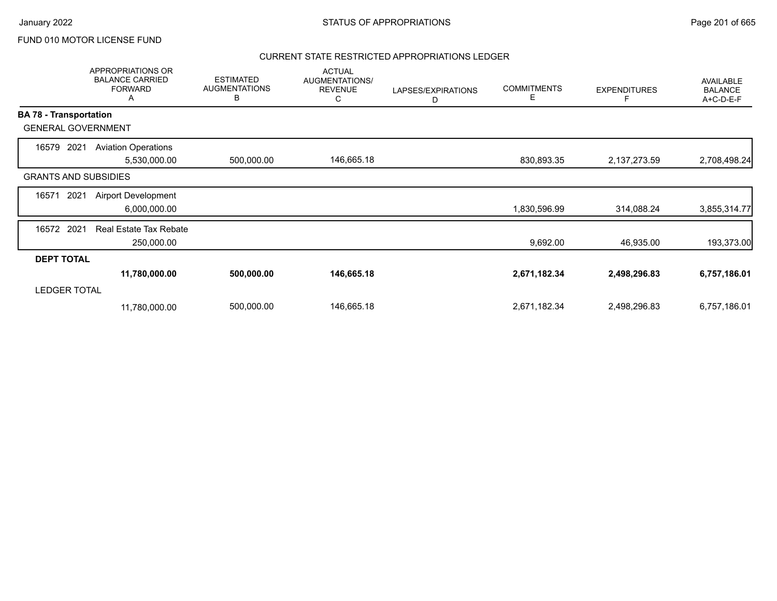### CURRENT STATE RESTRICTED APPROPRIATIONS LEDGER

|                               | APPROPRIATIONS OR<br><b>BALANCE CARRIED</b><br><b>FORWARD</b><br>Α | <b>ESTIMATED</b><br><b>AUGMENTATIONS</b><br>В | <b>ACTUAL</b><br>AUGMENTATIONS/<br><b>REVENUE</b><br>С | LAPSES/EXPIRATIONS<br>D | <b>COMMITMENTS</b><br>Е | <b>EXPENDITURES</b> | AVAILABLE<br><b>BALANCE</b><br>A+C-D-E-F |
|-------------------------------|--------------------------------------------------------------------|-----------------------------------------------|--------------------------------------------------------|-------------------------|-------------------------|---------------------|------------------------------------------|
| <b>BA 78 - Transportation</b> |                                                                    |                                               |                                                        |                         |                         |                     |                                          |
| <b>GENERAL GOVERNMENT</b>     |                                                                    |                                               |                                                        |                         |                         |                     |                                          |
| 16579<br>2021                 | <b>Aviation Operations</b><br>5,530,000.00                         | 500,000.00                                    | 146,665.18                                             |                         | 830,893.35              | 2,137,273.59        | 2,708,498.24                             |
| <b>GRANTS AND SUBSIDIES</b>   |                                                                    |                                               |                                                        |                         |                         |                     |                                          |
| 16571<br>2021                 | <b>Airport Development</b><br>6,000,000.00                         |                                               |                                                        |                         | 1,830,596.99            | 314,088.24          | 3,855,314.77                             |
| 16572 2021                    | <b>Real Estate Tax Rebate</b><br>250,000.00                        |                                               |                                                        |                         | 9,692.00                | 46,935.00           | 193,373.00                               |
| <b>DEPT TOTAL</b>             |                                                                    |                                               |                                                        |                         |                         |                     |                                          |
|                               | 11,780,000.00                                                      | 500,000.00                                    | 146,665.18                                             |                         | 2,671,182.34            | 2,498,296.83        | 6,757,186.01                             |
| <b>LEDGER TOTAL</b>           |                                                                    |                                               |                                                        |                         |                         |                     |                                          |
|                               | 11,780,000.00                                                      | 500,000.00                                    | 146,665.18                                             |                         | 2,671,182.34            | 2,498,296.83        | 6,757,186.01                             |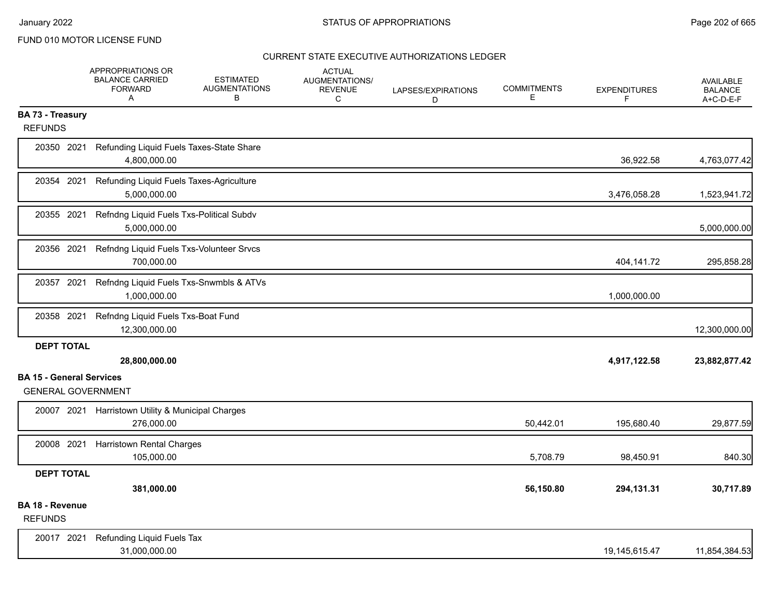|                                           | APPROPRIATIONS OR<br><b>BALANCE CARRIED</b><br><b>FORWARD</b><br>Α | <b>ESTIMATED</b><br><b>AUGMENTATIONS</b><br>в | <b>ACTUAL</b><br><b>AUGMENTATIONS/</b><br><b>REVENUE</b><br>C | LAPSES/EXPIRATIONS<br>D | <b>COMMITMENTS</b><br>E. | <b>EXPENDITURES</b><br>F | <b>AVAILABLE</b><br><b>BALANCE</b><br>A+C-D-E-F |
|-------------------------------------------|--------------------------------------------------------------------|-----------------------------------------------|---------------------------------------------------------------|-------------------------|--------------------------|--------------------------|-------------------------------------------------|
| <b>BA 73 - Treasury</b><br><b>REFUNDS</b> |                                                                    |                                               |                                                               |                         |                          |                          |                                                 |
| 20350 2021                                | Refunding Liquid Fuels Taxes-State Share<br>4,800,000.00           |                                               |                                                               |                         |                          | 36,922.58                | 4,763,077.42                                    |
| 20354 2021                                | Refunding Liquid Fuels Taxes-Agriculture<br>5,000,000.00           |                                               |                                                               |                         |                          | 3,476,058.28             | 1,523,941.72                                    |
| 20355 2021                                | Refndng Liquid Fuels Txs-Political Subdv<br>5,000,000.00           |                                               |                                                               |                         |                          |                          | 5,000,000.00                                    |
| 20356 2021                                | Refndng Liquid Fuels Txs-Volunteer Srvcs<br>700,000.00             |                                               |                                                               |                         |                          | 404,141.72               | 295,858.28                                      |
| 20357 2021                                | Refndng Liquid Fuels Txs-Snwmbls & ATVs<br>1,000,000.00            |                                               |                                                               |                         |                          | 1,000,000.00             |                                                 |
| 20358 2021                                | Refndng Liquid Fuels Txs-Boat Fund<br>12,300,000.00                |                                               |                                                               |                         |                          |                          | 12,300,000.00                                   |
| <b>DEPT TOTAL</b>                         | 28,800,000.00                                                      |                                               |                                                               |                         |                          | 4,917,122.58             | 23,882,877.42                                   |
| <b>BA 15 - General Services</b>           |                                                                    |                                               |                                                               |                         |                          |                          |                                                 |
| <b>GENERAL GOVERNMENT</b>                 |                                                                    |                                               |                                                               |                         |                          |                          |                                                 |
| 20007 2021                                | Harristown Utility & Municipal Charges<br>276,000.00               |                                               |                                                               |                         | 50,442.01                | 195,680.40               | 29,877.59                                       |
| 20008 2021                                | <b>Harristown Rental Charges</b><br>105,000.00                     |                                               |                                                               |                         | 5,708.79                 | 98,450.91                | 840.30                                          |
| <b>DEPT TOTAL</b>                         |                                                                    |                                               |                                                               |                         |                          |                          |                                                 |
|                                           | 381,000.00                                                         |                                               |                                                               |                         | 56,150.80                | 294,131.31               | 30,717.89                                       |
| <b>BA 18 - Revenue</b><br><b>REFUNDS</b>  |                                                                    |                                               |                                                               |                         |                          |                          |                                                 |
| 20017 2021                                | Refunding Liquid Fuels Tax<br>31,000,000.00                        |                                               |                                                               |                         |                          | 19,145,615.47            | 11,854,384.53                                   |
|                                           |                                                                    |                                               |                                                               |                         |                          |                          |                                                 |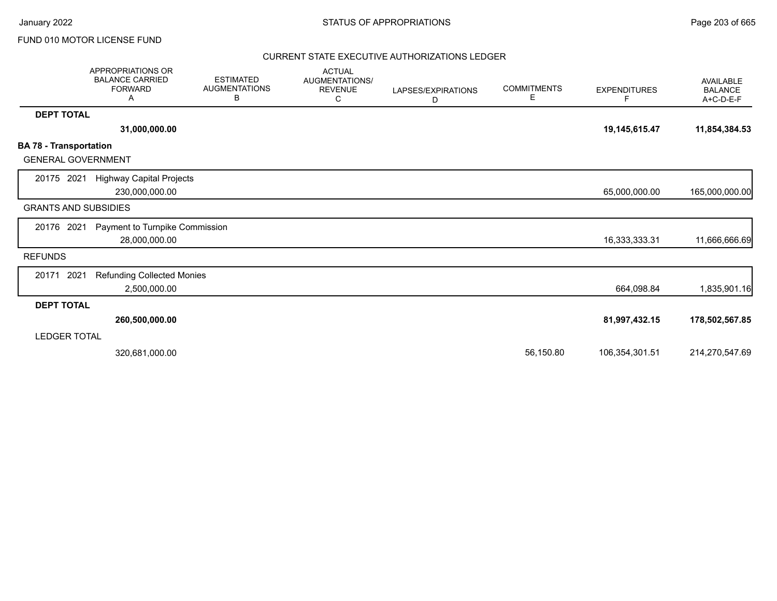|                                                            | <b>APPROPRIATIONS OR</b><br><b>BALANCE CARRIED</b><br><b>FORWARD</b><br>A | <b>ESTIMATED</b><br><b>AUGMENTATIONS</b><br>В | <b>ACTUAL</b><br><b>AUGMENTATIONS/</b><br><b>REVENUE</b><br>С | LAPSES/EXPIRATIONS<br>D | <b>COMMITMENTS</b><br>Е | <b>EXPENDITURES</b><br>F. | <b>AVAILABLE</b><br><b>BALANCE</b><br>$A+C-D-E-F$ |
|------------------------------------------------------------|---------------------------------------------------------------------------|-----------------------------------------------|---------------------------------------------------------------|-------------------------|-------------------------|---------------------------|---------------------------------------------------|
| <b>DEPT TOTAL</b>                                          |                                                                           |                                               |                                                               |                         |                         |                           |                                                   |
|                                                            | 31,000,000.00                                                             |                                               |                                                               |                         |                         | 19,145,615.47             | 11,854,384.53                                     |
| <b>BA 78 - Transportation</b><br><b>GENERAL GOVERNMENT</b> |                                                                           |                                               |                                                               |                         |                         |                           |                                                   |
| 20175 2021                                                 | <b>Highway Capital Projects</b><br>230,000,000.00                         |                                               |                                                               |                         |                         | 65,000,000.00             | 165,000,000.00                                    |
| <b>GRANTS AND SUBSIDIES</b>                                |                                                                           |                                               |                                                               |                         |                         |                           |                                                   |
| 20176 2021                                                 | Payment to Turnpike Commission<br>28,000,000.00                           |                                               |                                                               |                         |                         | 16,333,333.31             | 11,666,666.69                                     |
| <b>REFUNDS</b>                                             |                                                                           |                                               |                                                               |                         |                         |                           |                                                   |
| 2021<br>20171                                              | <b>Refunding Collected Monies</b><br>2,500,000.00                         |                                               |                                                               |                         |                         | 664,098.84                | 1,835,901.16                                      |
| <b>DEPT TOTAL</b>                                          |                                                                           |                                               |                                                               |                         |                         |                           |                                                   |
|                                                            | 260,500,000.00                                                            |                                               |                                                               |                         |                         | 81,997,432.15             | 178,502,567.85                                    |
| LEDGER TOTAL                                               |                                                                           |                                               |                                                               |                         |                         |                           |                                                   |
|                                                            | 320,681,000.00                                                            |                                               |                                                               |                         | 56,150.80               | 106,354,301.51            | 214,270,547.69                                    |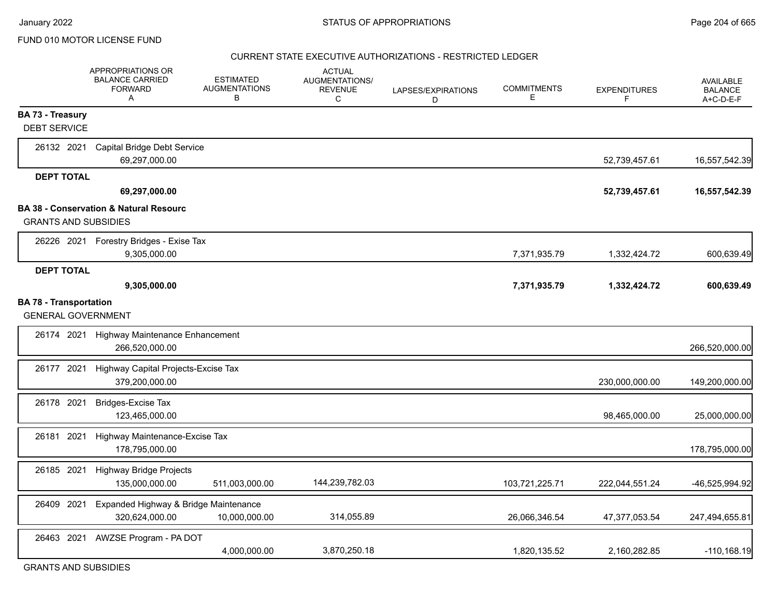#### CURRENT STATE EXECUTIVE AUTHORIZATIONS - RESTRICTED LEDGER

|                                                            | APPROPRIATIONS OR<br><b>BALANCE CARRIED</b><br><b>FORWARD</b><br>A | <b>ESTIMATED</b><br><b>AUGMENTATIONS</b><br>В | <b>ACTUAL</b><br>AUGMENTATIONS/<br><b>REVENUE</b><br>C | LAPSES/EXPIRATIONS<br>D | <b>COMMITMENTS</b><br>Е | <b>EXPENDITURES</b><br>F | <b>AVAILABLE</b><br><b>BALANCE</b><br>A+C-D-E-F |
|------------------------------------------------------------|--------------------------------------------------------------------|-----------------------------------------------|--------------------------------------------------------|-------------------------|-------------------------|--------------------------|-------------------------------------------------|
| <b>BA 73 - Treasury</b><br><b>DEBT SERVICE</b>             |                                                                    |                                               |                                                        |                         |                         |                          |                                                 |
| 26132 2021                                                 | Capital Bridge Debt Service<br>69,297,000.00                       |                                               |                                                        |                         |                         | 52,739,457.61            | 16,557,542.39                                   |
| <b>DEPT TOTAL</b>                                          | 69,297,000.00                                                      |                                               |                                                        |                         |                         | 52,739,457.61            | 16,557,542.39                                   |
| <b>GRANTS AND SUBSIDIES</b>                                | <b>BA 38 - Conservation &amp; Natural Resourc</b>                  |                                               |                                                        |                         |                         |                          |                                                 |
|                                                            | 26226 2021 Forestry Bridges - Exise Tax<br>9,305,000.00            |                                               |                                                        |                         | 7,371,935.79            | 1,332,424.72             | 600,639.49                                      |
| <b>DEPT TOTAL</b>                                          | 9,305,000.00                                                       |                                               |                                                        |                         | 7,371,935.79            | 1,332,424.72             | 600,639.49                                      |
| <b>BA 78 - Transportation</b><br><b>GENERAL GOVERNMENT</b> |                                                                    |                                               |                                                        |                         |                         |                          |                                                 |
| 26174 2021                                                 | Highway Maintenance Enhancement<br>266.520.000.00                  |                                               |                                                        |                         |                         |                          | 266,520,000.00                                  |
| 26177 2021                                                 | Highway Capital Projects-Excise Tax<br>379,200,000.00              |                                               |                                                        |                         |                         | 230,000,000.00           | 149,200,000.00                                  |
| 26178 2021                                                 | <b>Bridges-Excise Tax</b><br>123,465,000.00                        |                                               |                                                        |                         |                         | 98,465,000.00            | 25,000,000.00                                   |
| 26181<br>2021                                              | Highway Maintenance-Excise Tax<br>178,795,000.00                   |                                               |                                                        |                         |                         |                          | 178,795,000.00                                  |
| 26185 2021                                                 | <b>Highway Bridge Projects</b><br>135,000,000.00                   | 511,003,000.00                                | 144,239,782.03                                         |                         | 103,721,225.71          | 222,044,551.24           | -46,525,994.92                                  |
| 26409 2021                                                 | Expanded Highway & Bridge Maintenance<br>320,624,000.00            | 10,000,000.00                                 | 314,055.89                                             |                         | 26,066,346.54           | 47,377,053.54            | 247,494,655.81                                  |
| 26463 2021                                                 | AWZSE Program - PA DOT                                             | 4,000,000.00                                  | 3,870,250.18                                           |                         | 1,820,135.52            | 2,160,282.85             | $-110, 168.19$                                  |

GRANTS AND SUBSIDIES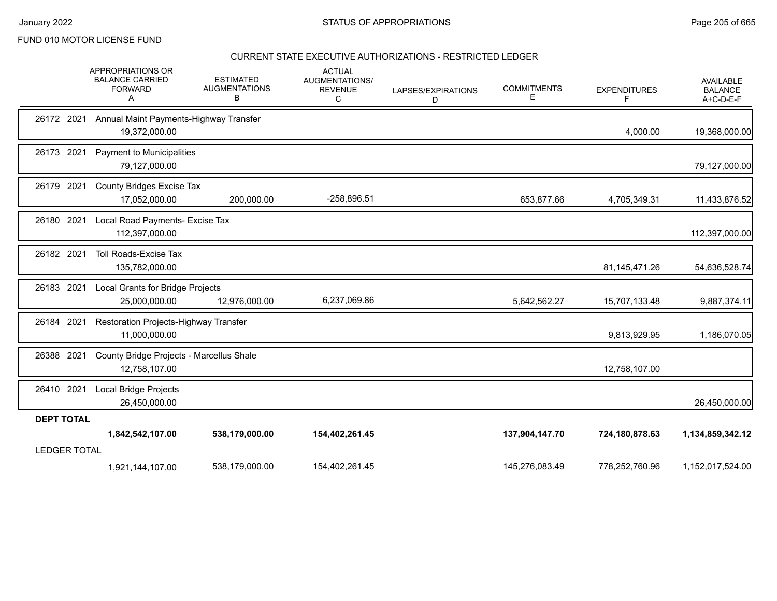### CURRENT STATE EXECUTIVE AUTHORIZATIONS - RESTRICTED LEDGER

|                     | <b>APPROPRIATIONS OR</b><br><b>BALANCE CARRIED</b><br><b>FORWARD</b><br>A | <b>ESTIMATED</b><br><b>AUGMENTATIONS</b><br>В | <b>ACTUAL</b><br>AUGMENTATIONS/<br><b>REVENUE</b><br>C | LAPSES/EXPIRATIONS<br>D | <b>COMMITMENTS</b><br>Е | <b>EXPENDITURES</b><br>F | AVAILABLE<br><b>BALANCE</b><br>A+C-D-E-F |
|---------------------|---------------------------------------------------------------------------|-----------------------------------------------|--------------------------------------------------------|-------------------------|-------------------------|--------------------------|------------------------------------------|
| 26172 2021          | Annual Maint Payments-Highway Transfer<br>19,372,000.00                   |                                               |                                                        |                         |                         | 4,000.00                 | 19,368,000.00                            |
| 26173 2021          | Payment to Municipalities<br>79,127,000.00                                |                                               |                                                        |                         |                         |                          | 79,127,000.00                            |
| 26179 2021          | <b>County Bridges Excise Tax</b><br>17,052,000.00                         | 200,000.00                                    | -258,896.51                                            |                         | 653,877.66              | 4,705,349.31             | 11,433,876.52                            |
| 2021<br>26180       | Local Road Payments- Excise Tax<br>112,397,000.00                         |                                               |                                                        |                         |                         |                          | 112,397,000.00                           |
| 26182 2021          | <b>Toll Roads-Excise Tax</b><br>135,782,000.00                            |                                               |                                                        |                         |                         | 81,145,471.26            | 54,636,528.74                            |
| 26183 2021          | Local Grants for Bridge Projects<br>25,000,000.00                         | 12,976,000.00                                 | 6,237,069.86                                           |                         | 5,642,562.27            | 15,707,133.48            | 9,887,374.11                             |
| 26184 2021          | Restoration Projects-Highway Transfer<br>11,000,000.00                    |                                               |                                                        |                         |                         | 9,813,929.95             | 1,186,070.05                             |
| 26388 2021          | County Bridge Projects - Marcellus Shale<br>12,758,107.00                 |                                               |                                                        |                         |                         | 12,758,107.00            |                                          |
| 26410 2021          | Local Bridge Projects<br>26,450,000.00                                    |                                               |                                                        |                         |                         |                          | 26,450,000.00                            |
| <b>DEPT TOTAL</b>   |                                                                           |                                               |                                                        |                         |                         |                          |                                          |
|                     | 1,842,542,107.00                                                          | 538,179,000.00                                | 154,402,261.45                                         |                         | 137,904,147.70          | 724,180,878.63           | 1,134,859,342.12                         |
| <b>LEDGER TOTAL</b> |                                                                           |                                               |                                                        |                         |                         |                          |                                          |
|                     | 1,921,144,107.00                                                          | 538,179,000.00                                | 154,402,261.45                                         |                         | 145,276,083.49          | 778,252,760.96           | 1,152,017,524.00                         |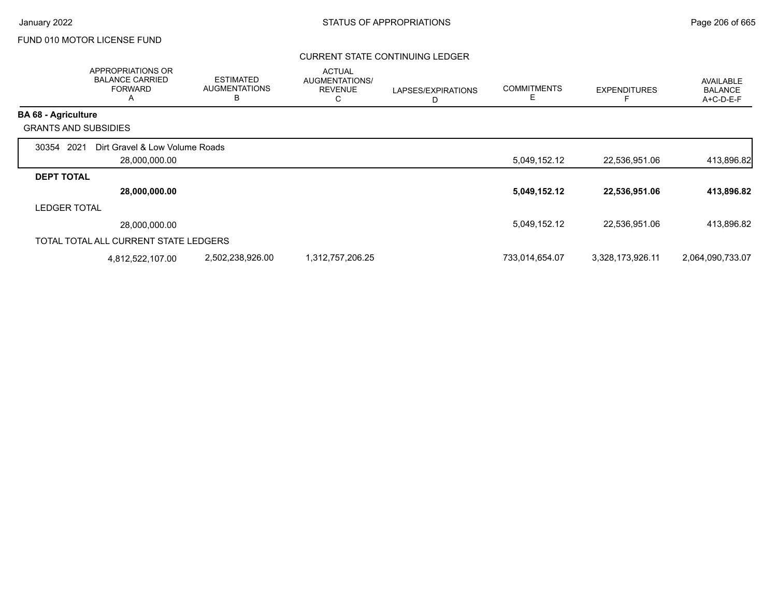### CURRENT STATE CONTINUING LEDGER

|                             | APPROPRIATIONS OR<br><b>BALANCE CARRIED</b><br><b>FORWARD</b><br>$\overline{\mathsf{A}}$ | <b>ESTIMATED</b><br><b>AUGMENTATIONS</b><br>В | <b>ACTUAL</b><br>AUGMENTATIONS/<br><b>REVENUE</b><br>С | LAPSES/EXPIRATIONS | <b>COMMITMENTS</b><br>Е | <b>EXPENDITURES</b> | <b>AVAILABLE</b><br><b>BALANCE</b><br>A+C-D-E-F |
|-----------------------------|------------------------------------------------------------------------------------------|-----------------------------------------------|--------------------------------------------------------|--------------------|-------------------------|---------------------|-------------------------------------------------|
| <b>BA 68 - Agriculture</b>  |                                                                                          |                                               |                                                        |                    |                         |                     |                                                 |
| <b>GRANTS AND SUBSIDIES</b> |                                                                                          |                                               |                                                        |                    |                         |                     |                                                 |
| 2021<br>30354               | Dirt Gravel & Low Volume Roads                                                           |                                               |                                                        |                    |                         |                     |                                                 |
|                             | 28,000,000.00                                                                            |                                               |                                                        |                    | 5,049,152.12            | 22,536,951.06       | 413,896.82                                      |
| <b>DEPT TOTAL</b>           |                                                                                          |                                               |                                                        |                    |                         |                     |                                                 |
|                             | 28,000,000.00                                                                            |                                               |                                                        |                    | 5,049,152.12            | 22,536,951.06       | 413,896.82                                      |
| <b>LEDGER TOTAL</b>         |                                                                                          |                                               |                                                        |                    |                         |                     |                                                 |
|                             | 28.000.000.00                                                                            |                                               |                                                        |                    | 5,049,152.12            | 22,536,951.06       | 413,896.82                                      |
|                             | TOTAL TOTAL ALL CURRENT STATE LEDGERS                                                    |                                               |                                                        |                    |                         |                     |                                                 |
|                             | 4,812,522,107.00                                                                         | 2,502,238,926.00                              | 1,312,757,206.25                                       |                    | 733,014,654.07          | 3,328,173,926.11    | 2,064,090,733.07                                |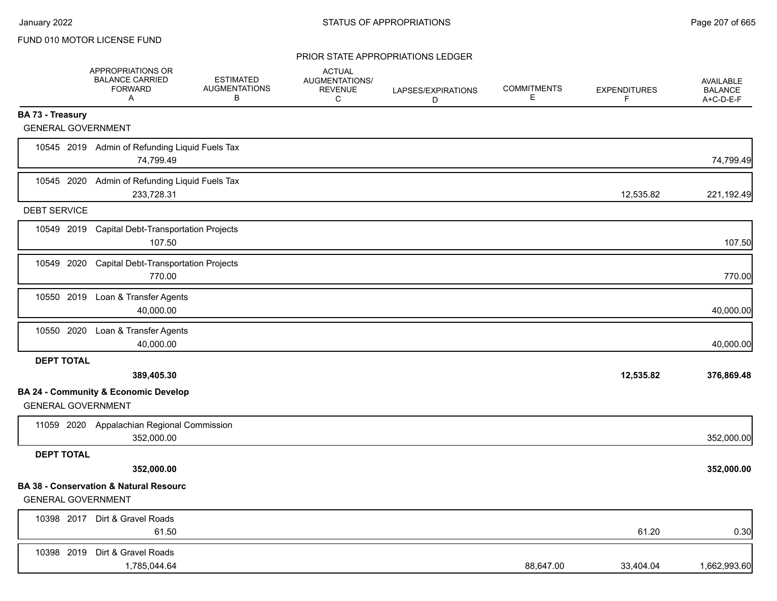|                           | APPROPRIATIONS OR<br><b>BALANCE CARRIED</b><br><b>FORWARD</b><br>$\mathsf{A}$ | <b>ESTIMATED</b><br><b>AUGMENTATIONS</b><br>B | <b>ACTUAL</b><br>AUGMENTATIONS/<br><b>REVENUE</b><br>C | LAPSES/EXPIRATIONS<br>D | <b>COMMITMENTS</b><br>Е | <b>EXPENDITURES</b><br>F | <b>AVAILABLE</b><br><b>BALANCE</b><br>A+C-D-E-F |
|---------------------------|-------------------------------------------------------------------------------|-----------------------------------------------|--------------------------------------------------------|-------------------------|-------------------------|--------------------------|-------------------------------------------------|
| BA 73 - Treasury          |                                                                               |                                               |                                                        |                         |                         |                          |                                                 |
| <b>GENERAL GOVERNMENT</b> |                                                                               |                                               |                                                        |                         |                         |                          |                                                 |
|                           | 10545 2019 Admin of Refunding Liquid Fuels Tax<br>74,799.49                   |                                               |                                                        |                         |                         |                          | 74,799.49                                       |
| 10545 2020                | Admin of Refunding Liquid Fuels Tax<br>233,728.31                             |                                               |                                                        |                         |                         | 12,535.82                | 221,192.49                                      |
| <b>DEBT SERVICE</b>       |                                                                               |                                               |                                                        |                         |                         |                          |                                                 |
|                           | 10549 2019 Capital Debt-Transportation Projects<br>107.50                     |                                               |                                                        |                         |                         |                          | 107.50                                          |
|                           | 10549 2020 Capital Debt-Transportation Projects<br>770.00                     |                                               |                                                        |                         |                         |                          | 770.00                                          |
|                           | 10550 2019 Loan & Transfer Agents<br>40,000.00                                |                                               |                                                        |                         |                         |                          | 40,000.00                                       |
| 10550 2020                | Loan & Transfer Agents<br>40,000.00                                           |                                               |                                                        |                         |                         |                          | 40,000.00                                       |
| <b>DEPT TOTAL</b>         |                                                                               |                                               |                                                        |                         |                         |                          |                                                 |
|                           | 389,405.30                                                                    |                                               |                                                        |                         |                         | 12,535.82                | 376,869.48                                      |
| <b>GENERAL GOVERNMENT</b> | <b>BA 24 - Community &amp; Economic Develop</b>                               |                                               |                                                        |                         |                         |                          |                                                 |
|                           | 11059 2020 Appalachian Regional Commission<br>352,000.00                      |                                               |                                                        |                         |                         |                          | 352,000.00                                      |
| <b>DEPT TOTAL</b>         |                                                                               |                                               |                                                        |                         |                         |                          |                                                 |
|                           | 352,000.00                                                                    |                                               |                                                        |                         |                         |                          | 352,000.00                                      |
| <b>GENERAL GOVERNMENT</b> | <b>BA 38 - Conservation &amp; Natural Resourc</b>                             |                                               |                                                        |                         |                         |                          |                                                 |
|                           | 10398 2017 Dirt & Gravel Roads<br>61.50                                       |                                               |                                                        |                         |                         | 61.20                    | 0.30                                            |
|                           | 10398 2019 Dirt & Gravel Roads<br>1,785,044.64                                |                                               |                                                        |                         | 88,647.00               | 33,404.04                | 1,662,993.60                                    |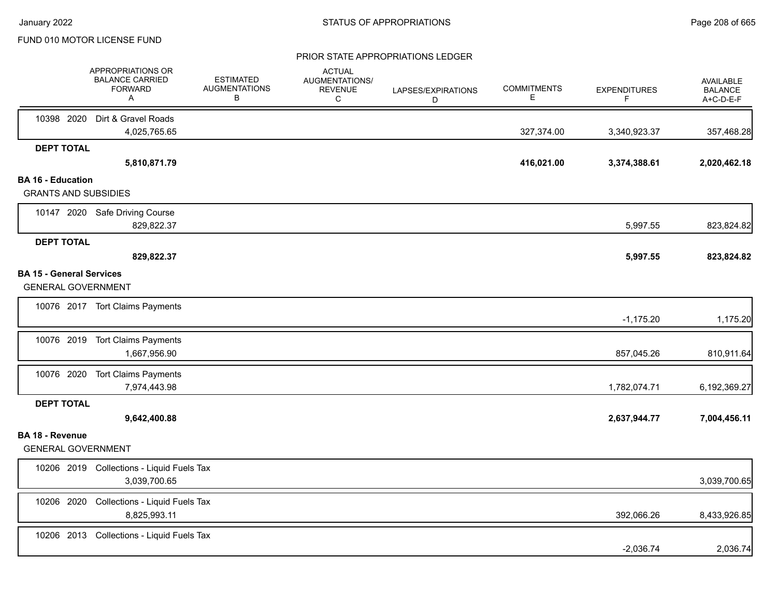|                                                              | APPROPRIATIONS OR<br><b>BALANCE CARRIED</b><br><b>FORWARD</b><br>A | <b>ESTIMATED</b><br><b>AUGMENTATIONS</b><br>В | <b>ACTUAL</b><br>AUGMENTATIONS/<br><b>REVENUE</b><br>C | LAPSES/EXPIRATIONS<br>D | <b>COMMITMENTS</b><br>E. | <b>EXPENDITURES</b><br>F | <b>AVAILABLE</b><br><b>BALANCE</b><br>A+C-D-E-F |
|--------------------------------------------------------------|--------------------------------------------------------------------|-----------------------------------------------|--------------------------------------------------------|-------------------------|--------------------------|--------------------------|-------------------------------------------------|
|                                                              | 10398 2020 Dirt & Gravel Roads<br>4,025,765.65                     |                                               |                                                        |                         | 327,374.00               | 3,340,923.37             | 357,468.28                                      |
| <b>DEPT TOTAL</b>                                            |                                                                    |                                               |                                                        |                         |                          |                          |                                                 |
|                                                              | 5,810,871.79                                                       |                                               |                                                        |                         | 416,021.00               | 3,374,388.61             | 2,020,462.18                                    |
| <b>BA 16 - Education</b><br><b>GRANTS AND SUBSIDIES</b>      |                                                                    |                                               |                                                        |                         |                          |                          |                                                 |
|                                                              | 10147 2020 Safe Driving Course<br>829,822.37                       |                                               |                                                        |                         |                          | 5,997.55                 | 823,824.82                                      |
| <b>DEPT TOTAL</b>                                            | 829,822.37                                                         |                                               |                                                        |                         |                          | 5,997.55                 | 823,824.82                                      |
| <b>BA 15 - General Services</b><br><b>GENERAL GOVERNMENT</b> |                                                                    |                                               |                                                        |                         |                          |                          |                                                 |
|                                                              | 10076 2017 Tort Claims Payments                                    |                                               |                                                        |                         |                          | $-1,175.20$              | 1,175.20                                        |
|                                                              | 10076 2019 Tort Claims Payments<br>1,667,956.90                    |                                               |                                                        |                         |                          | 857,045.26               | 810,911.64                                      |
|                                                              | 10076 2020 Tort Claims Payments<br>7,974,443.98                    |                                               |                                                        |                         |                          | 1,782,074.71             | 6,192,369.27                                    |
| <b>DEPT TOTAL</b>                                            | 9,642,400.88                                                       |                                               |                                                        |                         |                          | 2,637,944.77             | 7,004,456.11                                    |
| <b>BA 18 - Revenue</b><br><b>GENERAL GOVERNMENT</b>          |                                                                    |                                               |                                                        |                         |                          |                          |                                                 |
|                                                              | 10206 2019 Collections - Liquid Fuels Tax<br>3,039,700.65          |                                               |                                                        |                         |                          |                          | 3,039,700.65                                    |
| 10206 2020                                                   | Collections - Liquid Fuels Tax<br>8,825,993.11                     |                                               |                                                        |                         |                          | 392,066.26               | 8,433,926.85                                    |
|                                                              | 10206 2013 Collections - Liquid Fuels Tax                          |                                               |                                                        |                         |                          | $-2,036.74$              | 2,036.74                                        |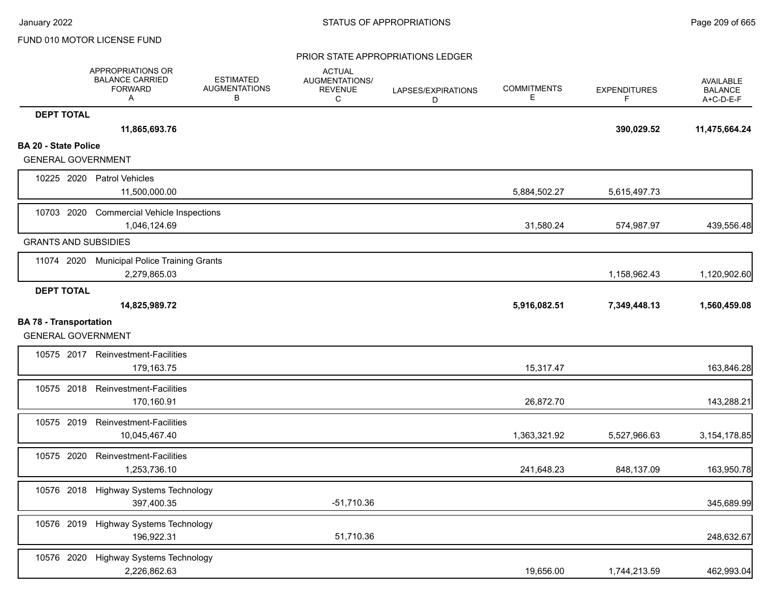|                                                            | APPROPRIATIONS OR<br><b>BALANCE CARRIED</b><br><b>FORWARD</b><br>A | <b>ESTIMATED</b><br><b>AUGMENTATIONS</b><br>В | <b>ACTUAL</b><br>AUGMENTATIONS/<br><b>REVENUE</b><br>C | LAPSES/EXPIRATIONS<br>D | <b>COMMITMENTS</b><br>Е | <b>EXPENDITURES</b><br>F | <b>AVAILABLE</b><br><b>BALANCE</b><br>A+C-D-E-F |
|------------------------------------------------------------|--------------------------------------------------------------------|-----------------------------------------------|--------------------------------------------------------|-------------------------|-------------------------|--------------------------|-------------------------------------------------|
| <b>DEPT TOTAL</b>                                          |                                                                    |                                               |                                                        |                         |                         |                          |                                                 |
|                                                            | 11,865,693.76                                                      |                                               |                                                        |                         |                         | 390,029.52               | 11,475,664.24                                   |
| <b>BA 20 - State Police</b><br><b>GENERAL GOVERNMENT</b>   |                                                                    |                                               |                                                        |                         |                         |                          |                                                 |
|                                                            | 10225 2020 Patrol Vehicles<br>11,500,000.00                        |                                               |                                                        |                         | 5,884,502.27            | 5,615,497.73             |                                                 |
| 10703 2020                                                 | <b>Commercial Vehicle Inspections</b><br>1,046,124.69              |                                               |                                                        |                         | 31,580.24               | 574,987.97               | 439,556.48                                      |
| <b>GRANTS AND SUBSIDIES</b>                                |                                                                    |                                               |                                                        |                         |                         |                          |                                                 |
| 11074 2020                                                 | <b>Municipal Police Training Grants</b><br>2,279,865.03            |                                               |                                                        |                         |                         | 1,158,962.43             | 1,120,902.60                                    |
| <b>DEPT TOTAL</b>                                          |                                                                    |                                               |                                                        |                         |                         |                          |                                                 |
|                                                            | 14,825,989.72                                                      |                                               |                                                        |                         | 5,916,082.51            | 7,349,448.13             | 1,560,459.08                                    |
| <b>BA 78 - Transportation</b><br><b>GENERAL GOVERNMENT</b> |                                                                    |                                               |                                                        |                         |                         |                          |                                                 |
|                                                            | 10575 2017 Reinvestment-Facilities<br>179,163.75                   |                                               |                                                        |                         | 15,317.47               |                          | 163,846.28                                      |
| 10575 2018                                                 | Reinvestment-Facilities<br>170,160.91                              |                                               |                                                        |                         | 26,872.70               |                          | 143,288.21                                      |
| 10575 2019                                                 | <b>Reinvestment-Facilities</b><br>10,045,467.40                    |                                               |                                                        |                         | 1,363,321.92            | 5,527,966.63             | 3, 154, 178.85                                  |
| 10575 2020                                                 | Reinvestment-Facilities<br>1,253,736.10                            |                                               |                                                        |                         | 241,648.23              | 848,137.09               | 163,950.78                                      |
| 10576 2018                                                 | <b>Highway Systems Technology</b><br>397,400.35                    |                                               | -51,710.36                                             |                         |                         |                          | 345,689.99                                      |
|                                                            | 10576 2019 Highway Systems Technology<br>196,922.31                |                                               | 51,710.36                                              |                         |                         |                          | 248,632.67                                      |
| 10576 2020                                                 | Highway Systems Technology<br>2,226,862.63                         |                                               |                                                        |                         | 19,656.00               | 1,744,213.59             | 462,993.04                                      |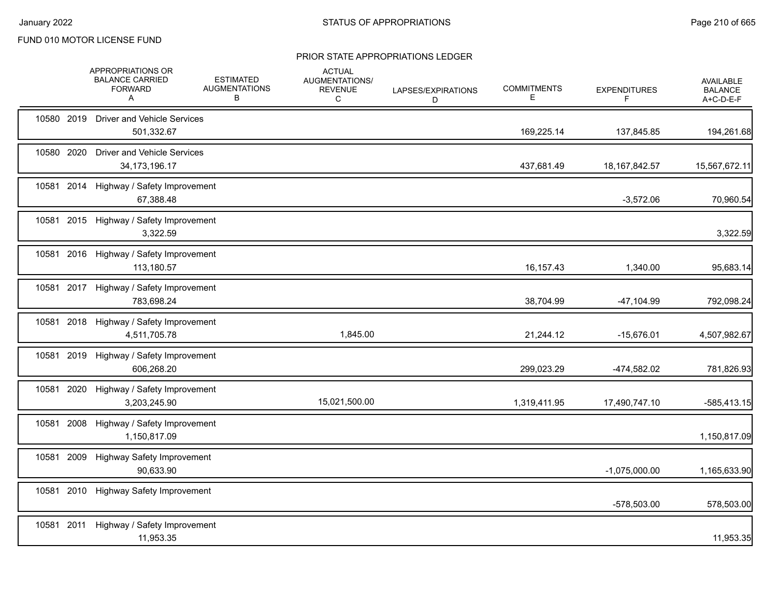|            | APPROPRIATIONS OR<br><b>BALANCE CARRIED</b><br><b>FORWARD</b><br>A | <b>ESTIMATED</b><br><b>AUGMENTATIONS</b><br>в | <b>ACTUAL</b><br><b>AUGMENTATIONS/</b><br><b>REVENUE</b><br>C | LAPSES/EXPIRATIONS<br>D | <b>COMMITMENTS</b><br>Е | <b>EXPENDITURES</b><br>F | AVAILABLE<br><b>BALANCE</b><br>A+C-D-E-F |
|------------|--------------------------------------------------------------------|-----------------------------------------------|---------------------------------------------------------------|-------------------------|-------------------------|--------------------------|------------------------------------------|
| 10580 2019 | <b>Driver and Vehicle Services</b><br>501,332.67                   |                                               |                                                               |                         | 169,225.14              | 137,845.85               | 194,261.68                               |
| 10580 2020 | <b>Driver and Vehicle Services</b><br>34, 173, 196. 17             |                                               |                                                               |                         | 437,681.49              | 18, 167, 842.57          | 15,567,672.11                            |
| 10581 2014 | Highway / Safety Improvement<br>67,388.48                          |                                               |                                                               |                         |                         | $-3,572.06$              | 70,960.54                                |
|            | 10581 2015 Highway / Safety Improvement<br>3,322.59                |                                               |                                                               |                         |                         |                          | 3,322.59                                 |
|            | 10581 2016 Highway / Safety Improvement<br>113,180.57              |                                               |                                                               |                         | 16, 157. 43             | 1,340.00                 | 95,683.14                                |
|            | 10581 2017 Highway / Safety Improvement<br>783,698.24              |                                               |                                                               |                         | 38,704.99               | $-47,104.99$             | 792,098.24                               |
|            | 10581 2018 Highway / Safety Improvement<br>4,511,705.78            |                                               | 1,845.00                                                      |                         | 21,244.12               | $-15,676.01$             | 4,507,982.67                             |
| 10581 2019 | Highway / Safety Improvement<br>606,268.20                         |                                               |                                                               |                         | 299,023.29              | -474,582.02              | 781,826.93                               |
| 10581 2020 | Highway / Safety Improvement<br>3,203,245.90                       |                                               | 15,021,500.00                                                 |                         | 1,319,411.95            | 17,490,747.10            | $-585,413.15$                            |
| 10581 2008 | Highway / Safety Improvement<br>1,150,817.09                       |                                               |                                                               |                         |                         |                          | 1,150,817.09                             |
| 10581 2009 | Highway Safety Improvement<br>90.633.90                            |                                               |                                                               |                         |                         | $-1,075,000.00$          | 1,165,633.90                             |
| 10581 2010 | <b>Highway Safety Improvement</b>                                  |                                               |                                                               |                         |                         | -578,503.00              | 578,503.00                               |
| 10581 2011 | Highway / Safety Improvement<br>11,953.35                          |                                               |                                                               |                         |                         |                          | 11,953.35                                |
|            |                                                                    |                                               |                                                               |                         |                         |                          |                                          |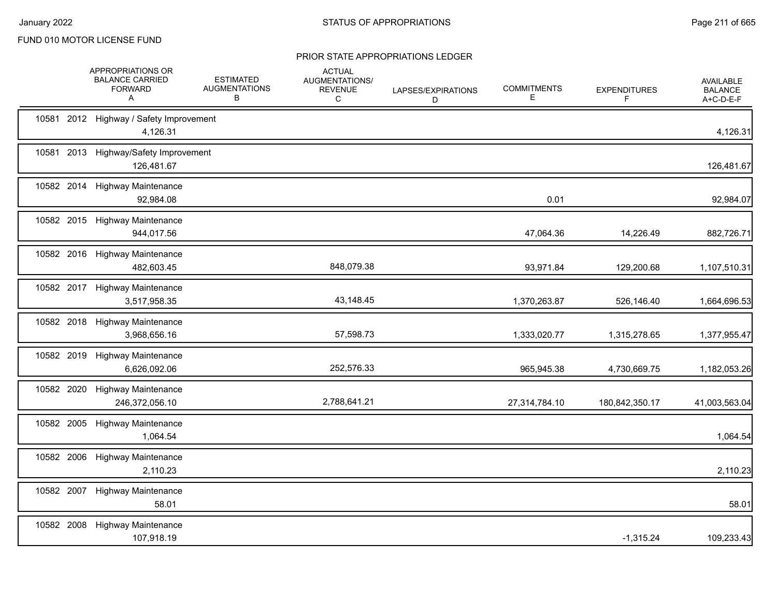|            | APPROPRIATIONS OR<br><b>BALANCE CARRIED</b><br><b>FORWARD</b><br>A | <b>ESTIMATED</b><br><b>AUGMENTATIONS</b><br>В | <b>ACTUAL</b><br>AUGMENTATIONS/<br><b>REVENUE</b><br>C | LAPSES/EXPIRATIONS<br>D | <b>COMMITMENTS</b><br>Е | <b>EXPENDITURES</b><br>F | AVAILABLE<br><b>BALANCE</b><br>A+C-D-E-F |
|------------|--------------------------------------------------------------------|-----------------------------------------------|--------------------------------------------------------|-------------------------|-------------------------|--------------------------|------------------------------------------|
|            | 10581 2012 Highway / Safety Improvement<br>4,126.31                |                                               |                                                        |                         |                         |                          | 4,126.31                                 |
| 10581      | 2013 Highway/Safety Improvement<br>126,481.67                      |                                               |                                                        |                         |                         |                          | 126,481.67                               |
| 10582 2014 | <b>Highway Maintenance</b><br>92,984.08                            |                                               |                                                        |                         | 0.01                    |                          | 92,984.07                                |
|            | 10582 2015 Highway Maintenance<br>944,017.56                       |                                               |                                                        |                         | 47,064.36               | 14,226.49                | 882,726.71                               |
|            | 10582 2016 Highway Maintenance<br>482,603.45                       |                                               | 848,079.38                                             |                         | 93,971.84               | 129,200.68               | 1,107,510.31                             |
|            | 10582 2017 Highway Maintenance<br>3,517,958.35                     |                                               | 43,148.45                                              |                         | 1,370,263.87            | 526,146.40               | 1,664,696.53                             |
|            | 10582 2018 Highway Maintenance<br>3,968,656.16                     |                                               | 57,598.73                                              |                         | 1,333,020.77            | 1,315,278.65             | 1,377,955.47                             |
|            | 10582 2019 Highway Maintenance<br>6,626,092.06                     |                                               | 252,576.33                                             |                         | 965,945.38              | 4,730,669.75             | 1,182,053.26                             |
| 10582 2020 | <b>Highway Maintenance</b><br>246,372,056.10                       |                                               | 2,788,641.21                                           |                         | 27,314,784.10           | 180,842,350.17           | 41,003,563.04                            |
|            | 10582 2005 Highway Maintenance<br>1,064.54                         |                                               |                                                        |                         |                         |                          | 1,064.54                                 |
|            | 10582 2006 Highway Maintenance<br>2,110.23                         |                                               |                                                        |                         |                         |                          | 2,110.23                                 |
|            | 10582 2007 Highway Maintenance<br>58.01                            |                                               |                                                        |                         |                         |                          | 58.01                                    |
|            | 10582 2008 Highway Maintenance<br>107,918.19                       |                                               |                                                        |                         |                         | $-1,315.24$              | 109,233.43                               |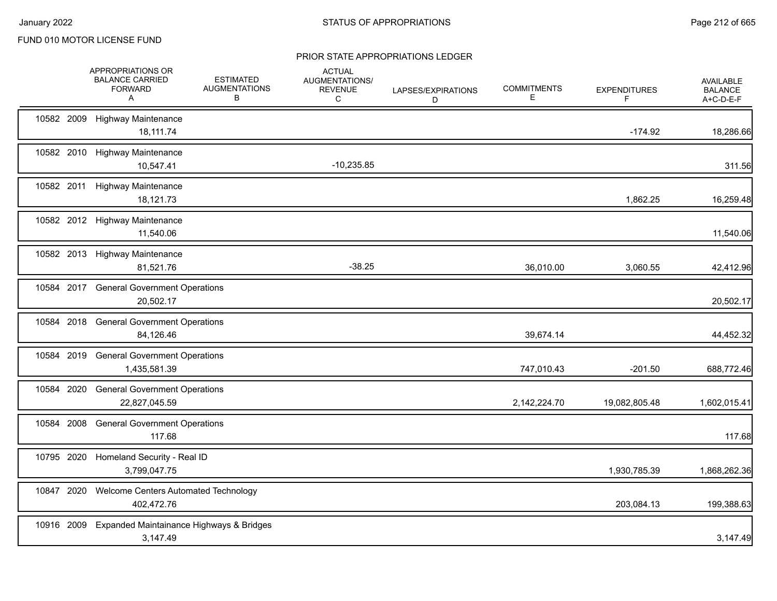|            | APPROPRIATIONS OR<br><b>BALANCE CARRIED</b><br><b>FORWARD</b><br>A | <b>ESTIMATED</b><br><b>AUGMENTATIONS</b><br>в | <b>ACTUAL</b><br>AUGMENTATIONS/<br><b>REVENUE</b><br>C | LAPSES/EXPIRATIONS<br>D | <b>COMMITMENTS</b><br>Е | <b>EXPENDITURES</b><br>F | AVAILABLE<br><b>BALANCE</b><br>A+C-D-E-F |
|------------|--------------------------------------------------------------------|-----------------------------------------------|--------------------------------------------------------|-------------------------|-------------------------|--------------------------|------------------------------------------|
|            | 10582 2009 Highway Maintenance<br>18.111.74                        |                                               |                                                        |                         |                         | $-174.92$                | 18,286.66                                |
|            | 10582 2010 Highway Maintenance<br>10,547.41                        |                                               | $-10,235.85$                                           |                         |                         |                          | 311.56                                   |
|            | 10582 2011 Highway Maintenance<br>18,121.73                        |                                               |                                                        |                         |                         | 1,862.25                 | 16,259.48                                |
|            | 10582 2012 Highway Maintenance<br>11,540.06                        |                                               |                                                        |                         |                         |                          | 11,540.06                                |
|            | 10582 2013 Highway Maintenance<br>81,521.76                        |                                               | $-38.25$                                               |                         | 36,010.00               | 3,060.55                 | 42,412.96                                |
|            | 10584 2017 General Government Operations<br>20,502.17              |                                               |                                                        |                         |                         |                          | 20,502.17                                |
|            | 10584 2018 General Government Operations<br>84,126.46              |                                               |                                                        |                         | 39,674.14               |                          | 44,452.32                                |
|            | 10584 2019 General Government Operations<br>1,435,581.39           |                                               |                                                        |                         | 747,010.43              | $-201.50$                | 688,772.46                               |
| 10584 2020 | <b>General Government Operations</b><br>22,827,045.59              |                                               |                                                        |                         | 2,142,224.70            | 19,082,805.48            | 1,602,015.41                             |
| 10584 2008 | <b>General Government Operations</b><br>117.68                     |                                               |                                                        |                         |                         |                          | 117.68                                   |
|            | 10795 2020 Homeland Security - Real ID<br>3,799,047.75             |                                               |                                                        |                         |                         | 1,930,785.39             | 1,868,262.36                             |
| 10847 2020 | Welcome Centers Automated Technology<br>402,472.76                 |                                               |                                                        |                         |                         | 203,084.13               | 199,388.63                               |
|            | 10916 2009 Expanded Maintainance Highways & Bridges<br>3,147.49    |                                               |                                                        |                         |                         |                          | 3,147.49                                 |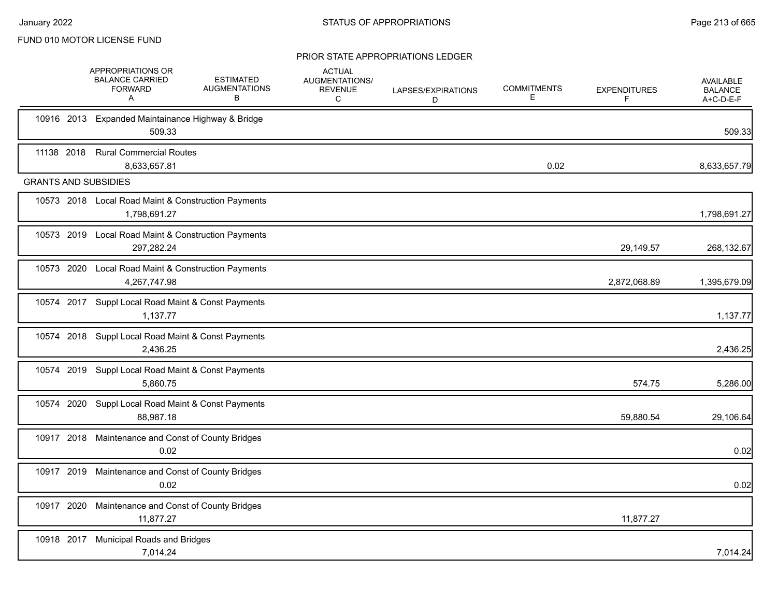|                             | APPROPRIATIONS OR<br><b>BALANCE CARRIED</b><br><b>FORWARD</b><br>A  | <b>ESTIMATED</b><br><b>AUGMENTATIONS</b><br>В | <b>ACTUAL</b><br>AUGMENTATIONS/<br>REVENUE<br>C | LAPSES/EXPIRATIONS<br>D | <b>COMMITMENTS</b><br>E | <b>EXPENDITURES</b><br>F | <b>AVAILABLE</b><br><b>BALANCE</b><br>A+C-D-E-F |
|-----------------------------|---------------------------------------------------------------------|-----------------------------------------------|-------------------------------------------------|-------------------------|-------------------------|--------------------------|-------------------------------------------------|
|                             | 10916 2013 Expanded Maintainance Highway & Bridge<br>509.33         |                                               |                                                 |                         |                         |                          | 509.33                                          |
| 11138 2018                  | <b>Rural Commercial Routes</b><br>8,633,657.81                      |                                               |                                                 |                         | 0.02                    |                          | 8,633,657.79                                    |
| <b>GRANTS AND SUBSIDIES</b> |                                                                     |                                               |                                                 |                         |                         |                          |                                                 |
|                             | 10573 2018 Local Road Maint & Construction Payments<br>1,798,691.27 |                                               |                                                 |                         |                         |                          | 1,798,691.27                                    |
|                             | 10573 2019 Local Road Maint & Construction Payments<br>297,282.24   |                                               |                                                 |                         |                         | 29,149.57                | 268,132.67                                      |
|                             | 10573 2020 Local Road Maint & Construction Payments<br>4,267,747.98 |                                               |                                                 |                         |                         | 2,872,068.89             | 1,395,679.09                                    |
|                             | 10574 2017 Suppl Local Road Maint & Const Payments<br>1,137.77      |                                               |                                                 |                         |                         |                          | 1,137.77                                        |
|                             | 10574 2018 Suppl Local Road Maint & Const Payments<br>2,436.25      |                                               |                                                 |                         |                         |                          | 2,436.25                                        |
|                             | 10574 2019 Suppl Local Road Maint & Const Payments<br>5,860.75      |                                               |                                                 |                         |                         | 574.75                   | 5,286.00                                        |
|                             | 10574 2020 Suppl Local Road Maint & Const Payments<br>88,987.18     |                                               |                                                 |                         |                         | 59,880.54                | 29,106.64                                       |
|                             | 10917 2018 Maintenance and Const of County Bridges<br>0.02          |                                               |                                                 |                         |                         |                          | 0.02                                            |
|                             | 10917 2019 Maintenance and Const of County Bridges<br>0.02          |                                               |                                                 |                         |                         |                          | 0.02                                            |
|                             | 10917 2020 Maintenance and Const of County Bridges<br>11,877.27     |                                               |                                                 |                         |                         | 11,877.27                |                                                 |
|                             | 10918 2017 Municipal Roads and Bridges<br>7,014.24                  |                                               |                                                 |                         |                         |                          | 7,014.24                                        |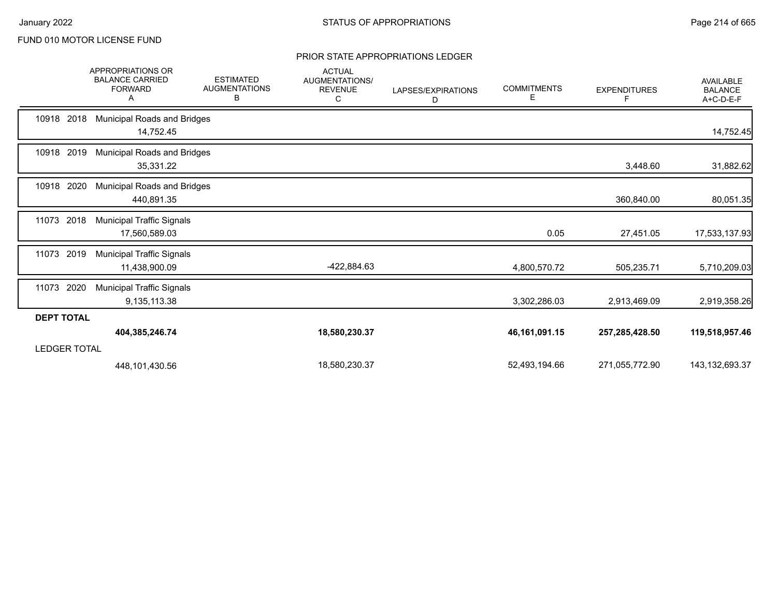|                     | <b>APPROPRIATIONS OR</b><br><b>BALANCE CARRIED</b><br><b>FORWARD</b><br>A | <b>ESTIMATED</b><br><b>AUGMENTATIONS</b><br>В | <b>ACTUAL</b><br><b>AUGMENTATIONS/</b><br><b>REVENUE</b><br>C | LAPSES/EXPIRATIONS<br>D | <b>COMMITMENTS</b><br>E. | <b>EXPENDITURES</b><br>F | <b>AVAILABLE</b><br><b>BALANCE</b><br>A+C-D-E-F |
|---------------------|---------------------------------------------------------------------------|-----------------------------------------------|---------------------------------------------------------------|-------------------------|--------------------------|--------------------------|-------------------------------------------------|
| 10918 2018          | <b>Municipal Roads and Bridges</b><br>14,752.45                           |                                               |                                                               |                         |                          |                          | 14,752.45                                       |
| 10918 2019          | <b>Municipal Roads and Bridges</b><br>35,331.22                           |                                               |                                                               |                         |                          | 3,448.60                 | 31,882.62                                       |
| 10918 2020          | <b>Municipal Roads and Bridges</b><br>440,891.35                          |                                               |                                                               |                         |                          | 360,840.00               | 80,051.35                                       |
| 11073<br>2018       | <b>Municipal Traffic Signals</b><br>17,560,589.03                         |                                               |                                                               |                         | 0.05                     | 27,451.05                | 17,533,137.93                                   |
| 2019<br>11073       | <b>Municipal Traffic Signals</b><br>11,438,900.09                         |                                               | -422,884.63                                                   |                         | 4,800,570.72             | 505,235.71               | 5,710,209.03                                    |
| 2020<br>11073       | <b>Municipal Traffic Signals</b><br>9,135,113.38                          |                                               |                                                               |                         | 3,302,286.03             | 2,913,469.09             | 2,919,358.26                                    |
| <b>DEPT TOTAL</b>   |                                                                           |                                               |                                                               |                         |                          |                          |                                                 |
|                     | 404,385,246.74                                                            |                                               | 18,580,230.37                                                 |                         | 46, 161, 091. 15         | 257,285,428.50           | 119,518,957.46                                  |
| <b>LEDGER TOTAL</b> |                                                                           |                                               |                                                               |                         |                          |                          |                                                 |
|                     | 448,101,430.56                                                            |                                               | 18,580,230.37                                                 |                         | 52,493,194.66            | 271,055,772.90           | 143,132,693.37                                  |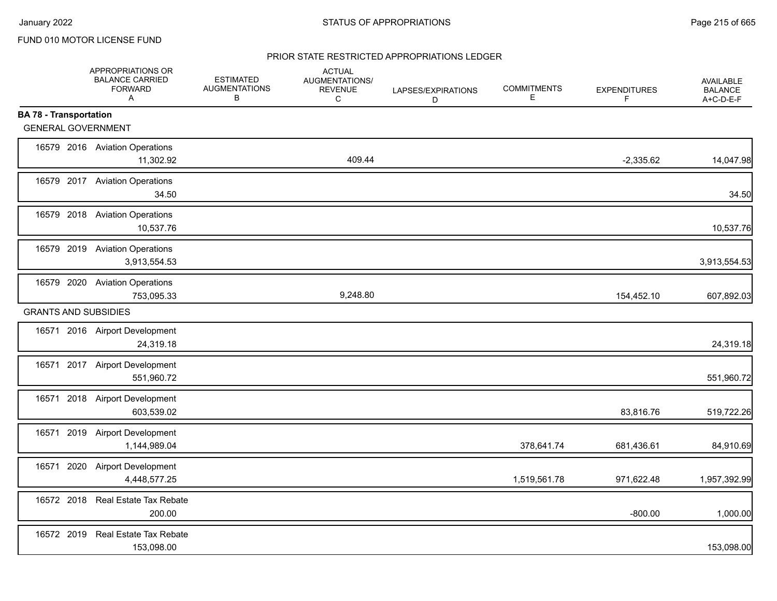### PRIOR STATE RESTRICTED APPROPRIATIONS LEDGER

|                               | APPROPRIATIONS OR<br><b>BALANCE CARRIED</b><br><b>FORWARD</b><br>$\mathsf{A}$ | <b>ESTIMATED</b><br><b>AUGMENTATIONS</b><br>В | <b>ACTUAL</b><br>AUGMENTATIONS/<br><b>REVENUE</b><br>C | LAPSES/EXPIRATIONS<br>D | <b>COMMITMENTS</b><br>Е | <b>EXPENDITURES</b><br>F | <b>AVAILABLE</b><br><b>BALANCE</b><br>A+C-D-E-F |
|-------------------------------|-------------------------------------------------------------------------------|-----------------------------------------------|--------------------------------------------------------|-------------------------|-------------------------|--------------------------|-------------------------------------------------|
| <b>BA 78 - Transportation</b> |                                                                               |                                               |                                                        |                         |                         |                          |                                                 |
| <b>GENERAL GOVERNMENT</b>     |                                                                               |                                               |                                                        |                         |                         |                          |                                                 |
|                               | 16579 2016 Aviation Operations<br>11,302.92                                   |                                               | 409.44                                                 |                         |                         | $-2,335.62$              | 14,047.98                                       |
|                               | 16579 2017 Aviation Operations<br>34.50                                       |                                               |                                                        |                         |                         |                          | 34.50                                           |
|                               | 16579 2018 Aviation Operations<br>10,537.76                                   |                                               |                                                        |                         |                         |                          | 10,537.76                                       |
|                               | 16579 2019 Aviation Operations<br>3,913,554.53                                |                                               |                                                        |                         |                         |                          | 3,913,554.53                                    |
|                               | 16579 2020 Aviation Operations<br>753,095.33                                  |                                               | 9,248.80                                               |                         |                         | 154,452.10               | 607,892.03                                      |
| <b>GRANTS AND SUBSIDIES</b>   |                                                                               |                                               |                                                        |                         |                         |                          |                                                 |
|                               | 16571 2016 Airport Development<br>24,319.18                                   |                                               |                                                        |                         |                         |                          | 24,319.18                                       |
|                               | 16571 2017 Airport Development<br>551,960.72                                  |                                               |                                                        |                         |                         |                          | 551,960.72                                      |
|                               | 16571 2018 Airport Development<br>603,539.02                                  |                                               |                                                        |                         |                         | 83,816.76                | 519,722.26                                      |
|                               | 16571 2019 Airport Development<br>1,144,989.04                                |                                               |                                                        |                         | 378,641.74              | 681,436.61               | 84,910.69                                       |
| 16571                         | 2020 Airport Development<br>4,448,577.25                                      |                                               |                                                        |                         | 1,519,561.78            | 971,622.48               | 1,957,392.99                                    |
|                               | 16572 2018 Real Estate Tax Rebate<br>200.00                                   |                                               |                                                        |                         |                         | $-800.00$                | 1,000.00                                        |
|                               | 16572 2019 Real Estate Tax Rebate<br>153,098.00                               |                                               |                                                        |                         |                         |                          | 153,098.00                                      |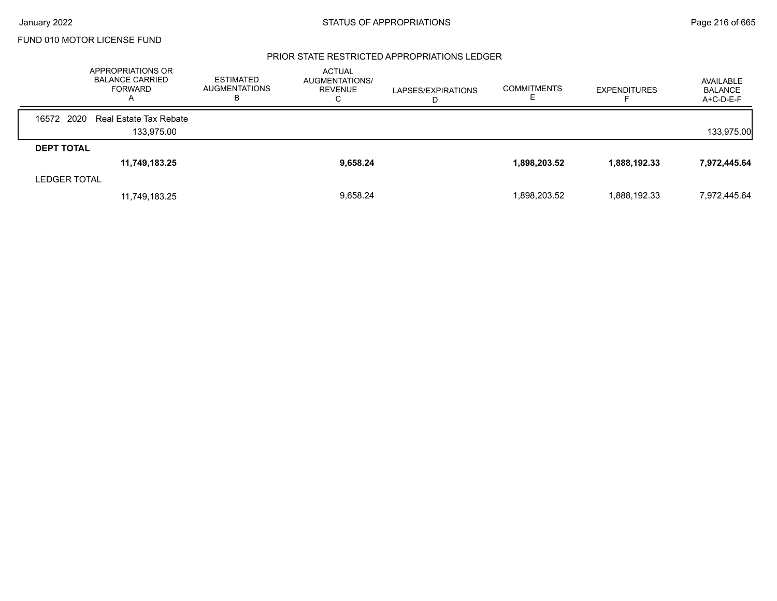#### PRIOR STATE RESTRICTED APPROPRIATIONS LEDGER

|                     | APPROPRIATIONS OR<br><b>BALANCE CARRIED</b><br>FORWARD<br>$\mathsf{A}$ | <b>ESTIMATED</b><br><b>AUGMENTATIONS</b><br>ь | <b>ACTUAL</b><br>AUGMENTATIONS/<br><b>REVENUE</b><br>◡ | LAPSES/EXPIRATIONS<br>D | <b>COMMITMENTS</b> | <b>EXPENDITURES</b> | AVAILABLE<br><b>BALANCE</b><br>$A+C-D-E-F$ |
|---------------------|------------------------------------------------------------------------|-----------------------------------------------|--------------------------------------------------------|-------------------------|--------------------|---------------------|--------------------------------------------|
| 16572 2020          | Real Estate Tax Rebate                                                 |                                               |                                                        |                         |                    |                     |                                            |
|                     | 133.975.00                                                             |                                               |                                                        |                         |                    |                     | 133,975.00                                 |
| <b>DEPT TOTAL</b>   |                                                                        |                                               |                                                        |                         |                    |                     |                                            |
|                     | 11,749,183.25                                                          |                                               | 9,658.24                                               |                         | 1,898,203.52       | 1,888,192.33        | 7,972,445.64                               |
| <b>LEDGER TOTAL</b> |                                                                        |                                               |                                                        |                         |                    |                     |                                            |
|                     | 11,749,183.25                                                          |                                               | 9,658.24                                               |                         | 1,898,203.52       | 1,888,192.33        | 7,972,445.64                               |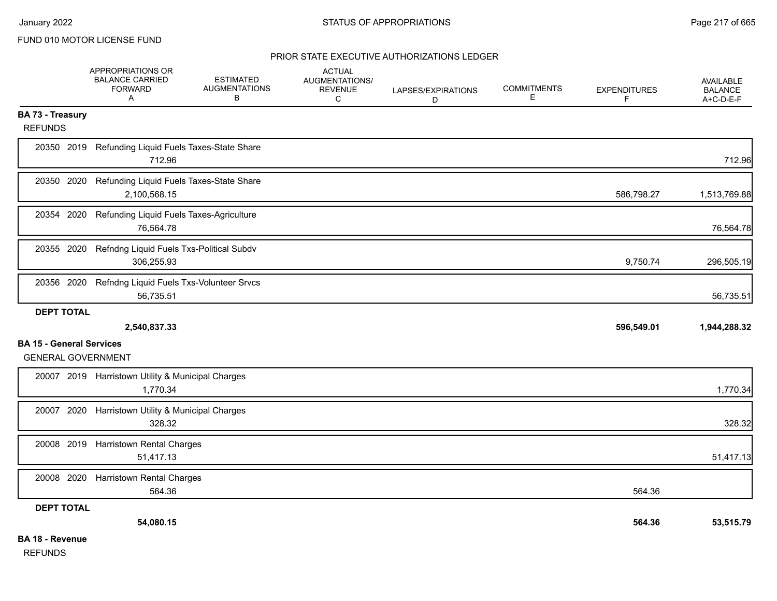## PRIOR STATE EXECUTIVE AUTHORIZATIONS LEDGER

|                                    | APPROPRIATIONS OR<br><b>BALANCE CARRIED</b><br><b>FORWARD</b><br>A | <b>ESTIMATED</b><br><b>AUGMENTATIONS</b><br>В | <b>ACTUAL</b><br><b>AUGMENTATIONS/</b><br><b>REVENUE</b><br>С | LAPSES/EXPIRATIONS<br>D | <b>COMMITMENTS</b><br>E | <b>EXPENDITURES</b><br>F. | <b>AVAILABLE</b><br><b>BALANCE</b><br>A+C-D-E-F |
|------------------------------------|--------------------------------------------------------------------|-----------------------------------------------|---------------------------------------------------------------|-------------------------|-------------------------|---------------------------|-------------------------------------------------|
| BA 73 - Treasury<br><b>REFUNDS</b> |                                                                    |                                               |                                                               |                         |                         |                           |                                                 |
|                                    | 20350 2019 Refunding Liquid Fuels Taxes-State Share<br>712.96      |                                               |                                                               |                         |                         |                           | 712.96                                          |
| 20350 2020                         | Refunding Liquid Fuels Taxes-State Share<br>2,100,568.15           |                                               |                                                               |                         |                         | 586,798.27                | 1,513,769.88                                    |
| 20354 2020                         | Refunding Liquid Fuels Taxes-Agriculture<br>76,564.78              |                                               |                                                               |                         |                         |                           | 76,564.78                                       |
| 20355 2020                         | Refndng Liquid Fuels Txs-Political Subdv<br>306,255.93             |                                               |                                                               |                         |                         | 9,750.74                  | 296,505.19                                      |
| 20356 2020                         | Refndng Liquid Fuels Txs-Volunteer Srvcs<br>56,735.51              |                                               |                                                               |                         |                         |                           | 56,735.51                                       |
| <b>DEPT TOTAL</b>                  |                                                                    |                                               |                                                               |                         |                         |                           |                                                 |
| <b>BA 15 - General Services</b>    | 2,540,837.33                                                       |                                               |                                                               |                         |                         | 596,549.01                | 1,944,288.32                                    |
| <b>GENERAL GOVERNMENT</b>          |                                                                    |                                               |                                                               |                         |                         |                           |                                                 |
|                                    | 20007 2019 Harristown Utility & Municipal Charges<br>1,770.34      |                                               |                                                               |                         |                         |                           | 1,770.34                                        |
| 20007 2020                         | Harristown Utility & Municipal Charges<br>328.32                   |                                               |                                                               |                         |                         |                           | 328.32                                          |
| 20008 2019                         | <b>Harristown Rental Charges</b><br>51,417.13                      |                                               |                                                               |                         |                         |                           | 51,417.13                                       |
| 20008 2020                         | <b>Harristown Rental Charges</b><br>564.36                         |                                               |                                                               |                         |                         | 564.36                    |                                                 |
| <b>DEPT TOTAL</b>                  |                                                                    |                                               |                                                               |                         |                         |                           |                                                 |
|                                    | 54,080.15                                                          |                                               |                                                               |                         |                         | 564.36                    | 53,515.79                                       |
| <b>BA 18 - Revenue</b>             |                                                                    |                                               |                                                               |                         |                         |                           |                                                 |

REFUNDS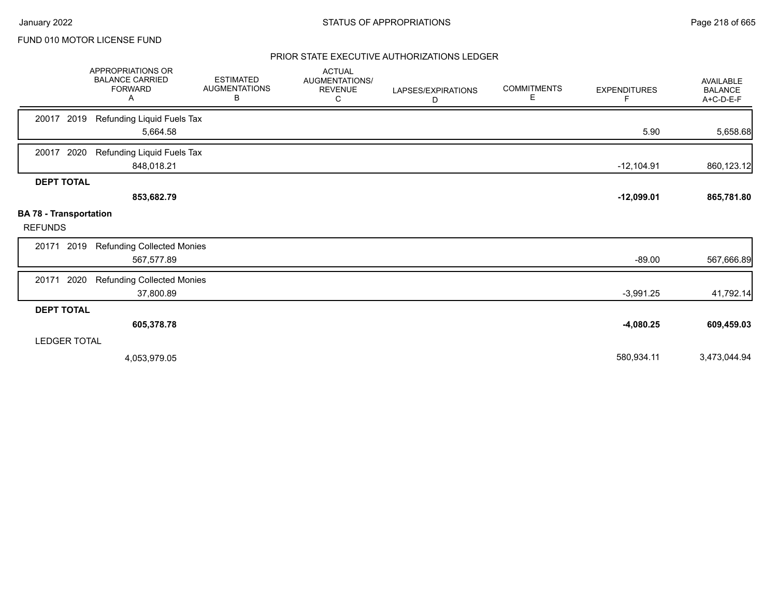### PRIOR STATE EXECUTIVE AUTHORIZATIONS LEDGER

|                                                 | APPROPRIATIONS OR<br><b>BALANCE CARRIED</b><br><b>FORWARD</b><br>Α | <b>ESTIMATED</b><br><b>AUGMENTATIONS</b><br>B | <b>ACTUAL</b><br>AUGMENTATIONS/<br><b>REVENUE</b><br>С | LAPSES/EXPIRATIONS<br>D | <b>COMMITMENTS</b><br>Е | <b>EXPENDITURES</b><br>F | <b>AVAILABLE</b><br><b>BALANCE</b><br>A+C-D-E-F |
|-------------------------------------------------|--------------------------------------------------------------------|-----------------------------------------------|--------------------------------------------------------|-------------------------|-------------------------|--------------------------|-------------------------------------------------|
| 2019<br>20017                                   | Refunding Liquid Fuels Tax<br>5,664.58                             |                                               |                                                        |                         |                         | 5.90                     | 5,658.68                                        |
| 2020<br>20017                                   | Refunding Liquid Fuels Tax<br>848,018.21                           |                                               |                                                        |                         |                         | $-12,104.91$             | 860,123.12                                      |
| <b>DEPT TOTAL</b>                               | 853,682.79                                                         |                                               |                                                        |                         |                         | $-12,099.01$             | 865,781.80                                      |
| <b>BA 78 - Transportation</b><br><b>REFUNDS</b> |                                                                    |                                               |                                                        |                         |                         |                          |                                                 |
| 2019<br>20171                                   | <b>Refunding Collected Monies</b><br>567,577.89                    |                                               |                                                        |                         |                         | $-89.00$                 | 567,666.89                                      |
| 2020<br>20171                                   | <b>Refunding Collected Monies</b><br>37,800.89                     |                                               |                                                        |                         |                         | $-3,991.25$              | 41,792.14                                       |
| <b>DEPT TOTAL</b>                               |                                                                    |                                               |                                                        |                         |                         |                          |                                                 |
|                                                 | 605,378.78                                                         |                                               |                                                        |                         |                         | $-4,080.25$              | 609,459.03                                      |
| <b>LEDGER TOTAL</b>                             |                                                                    |                                               |                                                        |                         |                         |                          |                                                 |
|                                                 | 4,053,979.05                                                       |                                               |                                                        |                         |                         | 580,934.11               | 3,473,044.94                                    |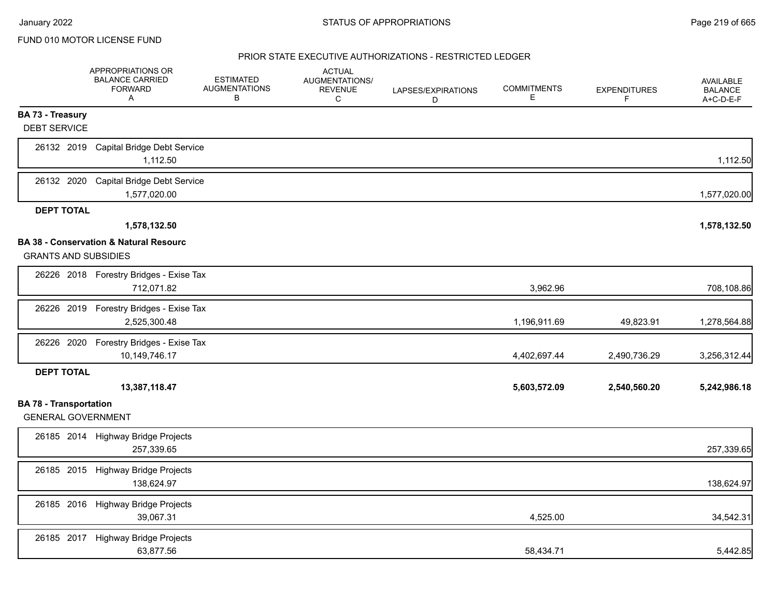|                                                            | APPROPRIATIONS OR<br><b>BALANCE CARRIED</b><br><b>FORWARD</b><br>A | <b>ESTIMATED</b><br><b>AUGMENTATIONS</b><br>В | <b>ACTUAL</b><br>AUGMENTATIONS/<br><b>REVENUE</b><br>C | LAPSES/EXPIRATIONS<br>D | <b>COMMITMENTS</b><br>Е | <b>EXPENDITURES</b><br>F | AVAILABLE<br><b>BALANCE</b><br>A+C-D-E-F |
|------------------------------------------------------------|--------------------------------------------------------------------|-----------------------------------------------|--------------------------------------------------------|-------------------------|-------------------------|--------------------------|------------------------------------------|
| <b>BA 73 - Treasury</b><br><b>DEBT SERVICE</b>             |                                                                    |                                               |                                                        |                         |                         |                          |                                          |
| 26132 2019                                                 | <b>Capital Bridge Debt Service</b><br>1,112.50                     |                                               |                                                        |                         |                         |                          | 1,112.50                                 |
|                                                            | 26132 2020 Capital Bridge Debt Service<br>1,577,020.00             |                                               |                                                        |                         |                         |                          | 1,577,020.00                             |
| <b>DEPT TOTAL</b>                                          |                                                                    |                                               |                                                        |                         |                         |                          |                                          |
|                                                            | 1,578,132.50                                                       |                                               |                                                        |                         |                         |                          | 1,578,132.50                             |
| <b>GRANTS AND SUBSIDIES</b>                                | <b>BA 38 - Conservation &amp; Natural Resourc</b>                  |                                               |                                                        |                         |                         |                          |                                          |
|                                                            | 26226 2018 Forestry Bridges - Exise Tax<br>712,071.82              |                                               |                                                        |                         | 3,962.96                |                          | 708,108.86                               |
|                                                            | 26226 2019 Forestry Bridges - Exise Tax<br>2,525,300.48            |                                               |                                                        |                         | 1,196,911.69            | 49,823.91                | 1,278,564.88                             |
|                                                            | 26226 2020 Forestry Bridges - Exise Tax<br>10,149,746.17           |                                               |                                                        |                         | 4,402,697.44            | 2,490,736.29             | 3,256,312.44                             |
| <b>DEPT TOTAL</b>                                          |                                                                    |                                               |                                                        |                         |                         |                          |                                          |
|                                                            | 13,387,118.47                                                      |                                               |                                                        |                         | 5,603,572.09            | 2,540,560.20             | 5,242,986.18                             |
| <b>BA 78 - Transportation</b><br><b>GENERAL GOVERNMENT</b> |                                                                    |                                               |                                                        |                         |                         |                          |                                          |
|                                                            | 26185 2014 Highway Bridge Projects<br>257,339.65                   |                                               |                                                        |                         |                         |                          | 257,339.65                               |
|                                                            | 26185 2015 Highway Bridge Projects<br>138,624.97                   |                                               |                                                        |                         |                         |                          | 138,624.97                               |
|                                                            | 26185 2016 Highway Bridge Projects<br>39,067.31                    |                                               |                                                        |                         | 4,525.00                |                          | 34,542.31                                |
|                                                            | 26185 2017 Highway Bridge Projects<br>63,877.56                    |                                               |                                                        |                         | 58,434.71               |                          | 5,442.85                                 |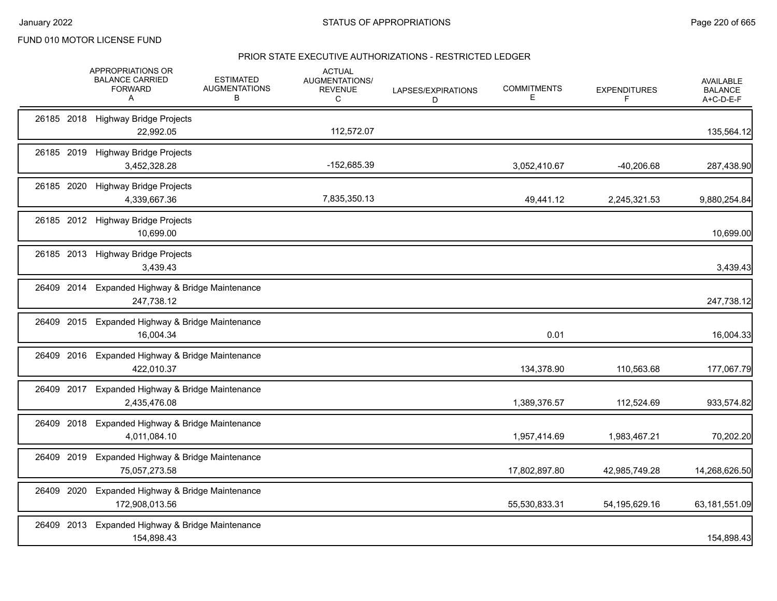|            | APPROPRIATIONS OR<br><b>BALANCE CARRIED</b><br><b>FORWARD</b><br>A | <b>ESTIMATED</b><br><b>AUGMENTATIONS</b><br>в | <b>ACTUAL</b><br>AUGMENTATIONS/<br><b>REVENUE</b><br>C | LAPSES/EXPIRATIONS<br>D | <b>COMMITMENTS</b><br>Е | <b>EXPENDITURES</b> | <b>AVAILABLE</b><br><b>BALANCE</b><br>A+C-D-E-F |
|------------|--------------------------------------------------------------------|-----------------------------------------------|--------------------------------------------------------|-------------------------|-------------------------|---------------------|-------------------------------------------------|
| 26185 2018 | <b>Highway Bridge Projects</b><br>22,992.05                        |                                               | 112,572.07                                             |                         |                         |                     | 135,564.12                                      |
| 26185 2019 | <b>Highway Bridge Projects</b><br>3,452,328.28                     |                                               | -152,685.39                                            |                         | 3,052,410.67            | $-40,206.68$        | 287,438.90                                      |
| 26185 2020 | <b>Highway Bridge Projects</b><br>4,339,667.36                     |                                               | 7,835,350.13                                           |                         | 49,441.12               | 2,245,321.53        | 9,880,254.84                                    |
|            | 26185 2012 Highway Bridge Projects<br>10,699.00                    |                                               |                                                        |                         |                         |                     | 10,699.00                                       |
|            | 26185 2013 Highway Bridge Projects<br>3,439.43                     |                                               |                                                        |                         |                         |                     | 3,439.43                                        |
| 26409 2014 | Expanded Highway & Bridge Maintenance<br>247,738.12                |                                               |                                                        |                         |                         |                     | 247,738.12                                      |
| 26409 2015 | Expanded Highway & Bridge Maintenance<br>16,004.34                 |                                               |                                                        |                         | 0.01                    |                     | 16,004.33                                       |
| 26409 2016 | Expanded Highway & Bridge Maintenance<br>422,010.37                |                                               |                                                        |                         | 134,378.90              | 110,563.68          | 177,067.79                                      |
| 26409 2017 | Expanded Highway & Bridge Maintenance<br>2,435,476.08              |                                               |                                                        |                         | 1,389,376.57            | 112,524.69          | 933,574.82                                      |
| 26409 2018 | Expanded Highway & Bridge Maintenance<br>4,011,084.10              |                                               |                                                        |                         | 1,957,414.69            | 1,983,467.21        | 70,202.20                                       |
| 26409 2019 | Expanded Highway & Bridge Maintenance<br>75,057,273.58             |                                               |                                                        |                         | 17,802,897.80           | 42,985,749.28       | 14,268,626.50                                   |
| 26409 2020 | Expanded Highway & Bridge Maintenance<br>172,908,013.56            |                                               |                                                        |                         | 55,530,833.31           | 54, 195, 629. 16    | 63,181,551.09                                   |
| 26409 2013 | Expanded Highway & Bridge Maintenance<br>154,898.43                |                                               |                                                        |                         |                         |                     | 154,898.43                                      |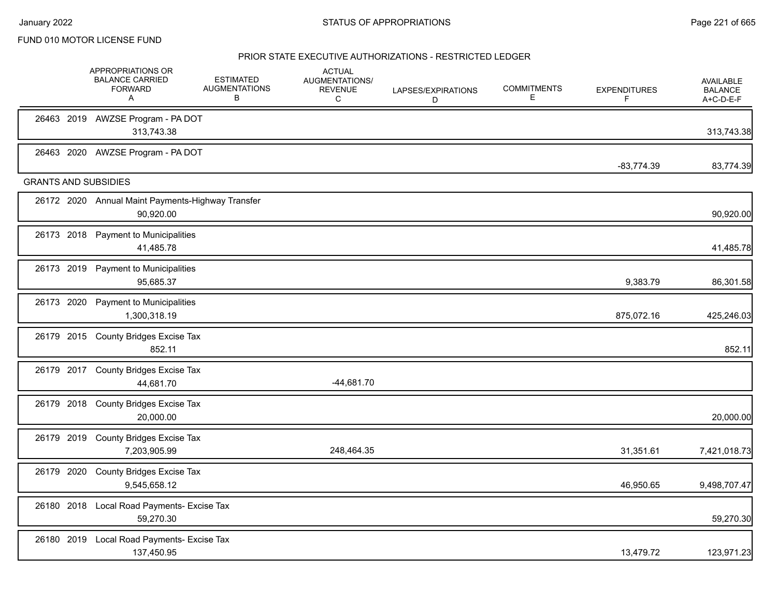| 26463 2019 AWZSE Program - PA DOT<br>313,743.38<br>26463 2020 AWZSE Program - PA DOT<br>$-83,774.39$<br><b>GRANTS AND SUBSIDIES</b><br>26172 2020 Annual Maint Payments-Highway Transfer<br>90,920.00<br>26173 2018 Payment to Municipalities<br>41,485.78<br>26173 2019 Payment to Municipalities<br>95,685.37<br>9,383.79<br>26173 2020<br><b>Payment to Municipalities</b><br>1,300,318.19<br>875,072.16<br>26179 2015 County Bridges Excise Tax<br>852.11<br>26179 2017 County Bridges Excise Tax<br>$-44,681.70$<br>44,681.70<br>26179 2018 County Bridges Excise Tax<br>20,000.00<br>26179 2019<br><b>County Bridges Excise Tax</b><br>248,464.35<br>7,203,905.99<br>31,351.61<br>26179 2020<br>County Bridges Excise Tax<br>9,545,658.12<br>46,950.65<br>26180 2018 Local Road Payments- Excise Tax<br>59,270.30<br>26180 2019 Local Road Payments- Excise Tax<br>137,450.95<br>13,479.72 |  | <b>APPROPRIATIONS OR</b><br><b>BALANCE CARRIED</b><br><b>FORWARD</b><br>A | <b>ESTIMATED</b><br><b>AUGMENTATIONS</b><br>В | <b>ACTUAL</b><br>AUGMENTATIONS/<br><b>REVENUE</b><br>C | LAPSES/EXPIRATIONS<br>D | <b>COMMITMENTS</b><br>Е | <b>EXPENDITURES</b><br>F | <b>AVAILABLE</b><br><b>BALANCE</b><br>A+C-D-E-F |
|--------------------------------------------------------------------------------------------------------------------------------------------------------------------------------------------------------------------------------------------------------------------------------------------------------------------------------------------------------------------------------------------------------------------------------------------------------------------------------------------------------------------------------------------------------------------------------------------------------------------------------------------------------------------------------------------------------------------------------------------------------------------------------------------------------------------------------------------------------------------------------------------------|--|---------------------------------------------------------------------------|-----------------------------------------------|--------------------------------------------------------|-------------------------|-------------------------|--------------------------|-------------------------------------------------|
|                                                                                                                                                                                                                                                                                                                                                                                                                                                                                                                                                                                                                                                                                                                                                                                                                                                                                                  |  |                                                                           |                                               |                                                        |                         |                         |                          | 313,743.38                                      |
|                                                                                                                                                                                                                                                                                                                                                                                                                                                                                                                                                                                                                                                                                                                                                                                                                                                                                                  |  |                                                                           |                                               |                                                        |                         |                         |                          | 83,774.39                                       |
|                                                                                                                                                                                                                                                                                                                                                                                                                                                                                                                                                                                                                                                                                                                                                                                                                                                                                                  |  |                                                                           |                                               |                                                        |                         |                         |                          |                                                 |
|                                                                                                                                                                                                                                                                                                                                                                                                                                                                                                                                                                                                                                                                                                                                                                                                                                                                                                  |  |                                                                           |                                               |                                                        |                         |                         |                          | 90,920.00                                       |
|                                                                                                                                                                                                                                                                                                                                                                                                                                                                                                                                                                                                                                                                                                                                                                                                                                                                                                  |  |                                                                           |                                               |                                                        |                         |                         |                          | 41,485.78                                       |
|                                                                                                                                                                                                                                                                                                                                                                                                                                                                                                                                                                                                                                                                                                                                                                                                                                                                                                  |  |                                                                           |                                               |                                                        |                         |                         |                          | 86,301.58                                       |
|                                                                                                                                                                                                                                                                                                                                                                                                                                                                                                                                                                                                                                                                                                                                                                                                                                                                                                  |  |                                                                           |                                               |                                                        |                         |                         |                          | 425,246.03                                      |
|                                                                                                                                                                                                                                                                                                                                                                                                                                                                                                                                                                                                                                                                                                                                                                                                                                                                                                  |  |                                                                           |                                               |                                                        |                         |                         |                          | 852.11                                          |
|                                                                                                                                                                                                                                                                                                                                                                                                                                                                                                                                                                                                                                                                                                                                                                                                                                                                                                  |  |                                                                           |                                               |                                                        |                         |                         |                          |                                                 |
|                                                                                                                                                                                                                                                                                                                                                                                                                                                                                                                                                                                                                                                                                                                                                                                                                                                                                                  |  |                                                                           |                                               |                                                        |                         |                         |                          | 20,000.00                                       |
|                                                                                                                                                                                                                                                                                                                                                                                                                                                                                                                                                                                                                                                                                                                                                                                                                                                                                                  |  |                                                                           |                                               |                                                        |                         |                         |                          | 7,421,018.73                                    |
|                                                                                                                                                                                                                                                                                                                                                                                                                                                                                                                                                                                                                                                                                                                                                                                                                                                                                                  |  |                                                                           |                                               |                                                        |                         |                         |                          | 9,498,707.47                                    |
|                                                                                                                                                                                                                                                                                                                                                                                                                                                                                                                                                                                                                                                                                                                                                                                                                                                                                                  |  |                                                                           |                                               |                                                        |                         |                         |                          | 59,270.30                                       |
|                                                                                                                                                                                                                                                                                                                                                                                                                                                                                                                                                                                                                                                                                                                                                                                                                                                                                                  |  |                                                                           |                                               |                                                        |                         |                         |                          | 123,971.23                                      |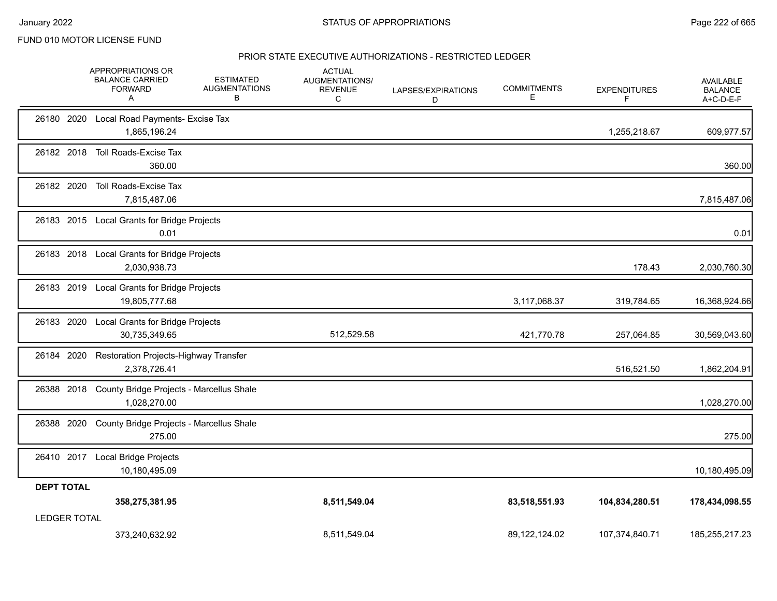|                     | APPROPRIATIONS OR<br><b>BALANCE CARRIED</b><br><b>FORWARD</b><br>A | <b>ESTIMATED</b><br><b>AUGMENTATIONS</b><br>B | <b>ACTUAL</b><br>AUGMENTATIONS/<br><b>REVENUE</b><br>C | LAPSES/EXPIRATIONS<br>D | <b>COMMITMENTS</b><br>Е | <b>EXPENDITURES</b><br>F | <b>AVAILABLE</b><br><b>BALANCE</b><br>A+C-D-E-F |
|---------------------|--------------------------------------------------------------------|-----------------------------------------------|--------------------------------------------------------|-------------------------|-------------------------|--------------------------|-------------------------------------------------|
|                     | 26180 2020 Local Road Payments- Excise Tax<br>1,865,196.24         |                                               |                                                        |                         |                         | 1,255,218.67             | 609,977.57                                      |
| 26182 2018          | Toll Roads-Excise Tax<br>360.00                                    |                                               |                                                        |                         |                         |                          | 360.00                                          |
| 26182 2020          | Toll Roads-Excise Tax<br>7,815,487.06                              |                                               |                                                        |                         |                         |                          | 7,815,487.06                                    |
|                     | 26183 2015 Local Grants for Bridge Projects<br>0.01                |                                               |                                                        |                         |                         |                          | 0.01                                            |
| 26183 2018          | Local Grants for Bridge Projects<br>2,030,938.73                   |                                               |                                                        |                         |                         | 178.43                   | 2,030,760.30                                    |
| 26183 2019          | Local Grants for Bridge Projects<br>19,805,777.68                  |                                               |                                                        |                         | 3,117,068.37            | 319,784.65               | 16,368,924.66                                   |
| 26183 2020          | Local Grants for Bridge Projects<br>30,735,349.65                  |                                               | 512,529.58                                             |                         | 421,770.78              | 257,064.85               | 30,569,043.60                                   |
| 26184 2020          | Restoration Projects-Highway Transfer<br>2,378,726.41              |                                               |                                                        |                         |                         | 516,521.50               | 1,862,204.91                                    |
| 26388 2018          | County Bridge Projects - Marcellus Shale<br>1,028,270.00           |                                               |                                                        |                         |                         |                          | 1,028,270.00                                    |
| 26388 2020          | County Bridge Projects - Marcellus Shale<br>275.00                 |                                               |                                                        |                         |                         |                          | 275.00                                          |
|                     | 26410 2017 Local Bridge Projects<br>10,180,495.09                  |                                               |                                                        |                         |                         |                          | 10,180,495.09                                   |
| <b>DEPT TOTAL</b>   | 358,275,381.95                                                     |                                               | 8,511,549.04                                           |                         | 83,518,551.93           | 104,834,280.51           | 178,434,098.55                                  |
| <b>LEDGER TOTAL</b> | 373.240.632.92                                                     |                                               | 8,511,549.04                                           |                         | 89,122,124.02           | 107,374,840.71           | 185,255,217.23                                  |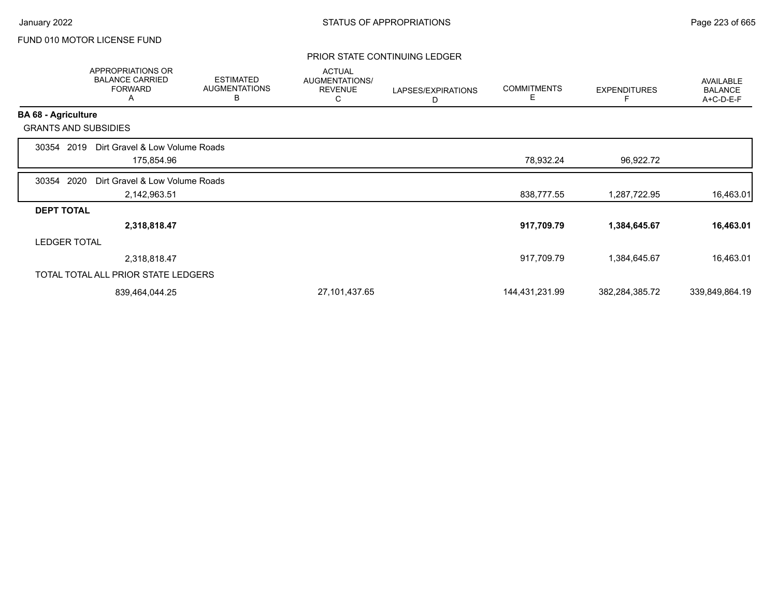### PRIOR STATE CONTINUING LEDGER

|                            | <b>APPROPRIATIONS OR</b><br><b>BALANCE CARRIED</b><br><b>FORWARD</b><br>A | <b>ESTIMATED</b><br><b>AUGMENTATIONS</b><br>B | <b>ACTUAL</b><br><b>AUGMENTATIONS/</b><br><b>REVENUE</b><br>С | LAPSES/EXPIRATIONS<br>D | <b>COMMITMENTS</b><br>Е | <b>EXPENDITURES</b> | AVAILABLE<br><b>BALANCE</b><br>A+C-D-E-F |
|----------------------------|---------------------------------------------------------------------------|-----------------------------------------------|---------------------------------------------------------------|-------------------------|-------------------------|---------------------|------------------------------------------|
| <b>BA 68 - Agriculture</b> |                                                                           |                                               |                                                               |                         |                         |                     |                                          |
|                            | <b>GRANTS AND SUBSIDIES</b>                                               |                                               |                                                               |                         |                         |                     |                                          |
| 30354                      | Dirt Gravel & Low Volume Roads<br>2019                                    |                                               |                                                               |                         |                         |                     |                                          |
|                            | 175,854.96                                                                |                                               |                                                               |                         | 78,932.24               | 96,922.72           |                                          |
| 30354                      | 2020<br>Dirt Gravel & Low Volume Roads                                    |                                               |                                                               |                         |                         |                     |                                          |
|                            | 2,142,963.51                                                              |                                               |                                                               |                         | 838,777.55              | 1,287,722.95        | 16,463.01                                |
| <b>DEPT TOTAL</b>          |                                                                           |                                               |                                                               |                         |                         |                     |                                          |
|                            | 2,318,818.47                                                              |                                               |                                                               |                         | 917,709.79              | 1,384,645.67        | 16,463.01                                |
|                            | <b>LEDGER TOTAL</b>                                                       |                                               |                                                               |                         |                         |                     |                                          |
|                            | 2,318,818.47                                                              |                                               |                                                               |                         | 917,709.79              | 1,384,645.67        | 16,463.01                                |
|                            | TOTAL TOTAL ALL PRIOR STATE LEDGERS                                       |                                               |                                                               |                         |                         |                     |                                          |
|                            | 839,464,044.25                                                            |                                               | 27,101,437.65                                                 |                         | 144,431,231.99          | 382,284,385.72      | 339,849,864.19                           |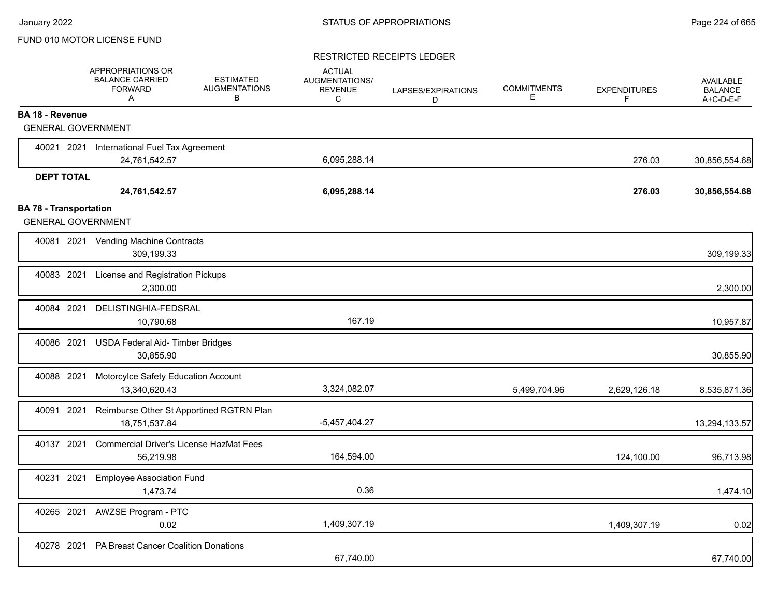#### RESTRICTED RECEIPTS LEDGER

|                               | <b>APPROPRIATIONS OR</b><br><b>BALANCE CARRIED</b><br><b>FORWARD</b><br>Α |                                                      | <b>ESTIMATED</b><br><b>AUGMENTATIONS</b><br>в  | <b>ACTUAL</b><br>AUGMENTATIONS/<br><b>REVENUE</b><br>C | LAPSES/EXPIRATIONS<br>D | <b>COMMITMENTS</b><br>Е | <b>EXPENDITURES</b><br>F | <b>AVAILABLE</b><br><b>BALANCE</b><br>A+C-D-E-F |
|-------------------------------|---------------------------------------------------------------------------|------------------------------------------------------|------------------------------------------------|--------------------------------------------------------|-------------------------|-------------------------|--------------------------|-------------------------------------------------|
| <b>BA 18 - Revenue</b>        |                                                                           |                                                      |                                                |                                                        |                         |                         |                          |                                                 |
|                               | <b>GENERAL GOVERNMENT</b>                                                 |                                                      |                                                |                                                        |                         |                         |                          |                                                 |
|                               | 40021 2021 International Fuel Tax Agreement                               |                                                      |                                                |                                                        |                         |                         |                          |                                                 |
|                               |                                                                           | 24,761,542.57                                        |                                                | 6,095,288.14                                           |                         |                         | 276.03                   | 30,856,554.68                                   |
| <b>DEPT TOTAL</b>             |                                                                           |                                                      |                                                |                                                        |                         |                         |                          |                                                 |
|                               |                                                                           | 24,761,542.57                                        |                                                | 6,095,288.14                                           |                         |                         | 276.03                   | 30,856,554.68                                   |
| <b>BA 78 - Transportation</b> |                                                                           |                                                      |                                                |                                                        |                         |                         |                          |                                                 |
|                               | <b>GENERAL GOVERNMENT</b>                                                 |                                                      |                                                |                                                        |                         |                         |                          |                                                 |
|                               | 40081 2021 Vending Machine Contracts                                      | 309,199.33                                           |                                                |                                                        |                         |                         |                          | 309,199.33                                      |
| 40083 2021                    |                                                                           | License and Registration Pickups<br>2,300.00         |                                                |                                                        |                         |                         |                          | 2,300.00                                        |
| 40084 2021                    |                                                                           | DELISTINGHIA-FEDSRAL<br>10,790.68                    |                                                | 167.19                                                 |                         |                         |                          | 10,957.87                                       |
| 40086 2021                    |                                                                           | USDA Federal Aid- Timber Bridges<br>30,855.90        |                                                |                                                        |                         |                         |                          | 30,855.90                                       |
| 40088 2021                    |                                                                           | Motorcylce Safety Education Account<br>13,340,620.43 |                                                | 3,324,082.07                                           |                         | 5,499,704.96            | 2,629,126.18             | 8,535,871.36                                    |
| 40091                         | 2021                                                                      | 18,751,537.84                                        | Reimburse Other St Apportined RGTRN Plan       | -5,457,404.27                                          |                         |                         |                          | 13,294,133.57                                   |
| 40137 2021                    |                                                                           | 56,219.98                                            | <b>Commercial Driver's License HazMat Fees</b> | 164,594.00                                             |                         |                         | 124,100.00               | 96,713.98                                       |
| 40231                         | 2021                                                                      | <b>Employee Association Fund</b><br>1,473.74         |                                                | 0.36                                                   |                         |                         |                          | 1,474.10                                        |
| 40265 2021                    | <b>AWZSE Program - PTC</b>                                                | 0.02                                                 |                                                | 1,409,307.19                                           |                         |                         | 1,409,307.19             | 0.02                                            |
| 40278 2021                    |                                                                           | PA Breast Cancer Coalition Donations                 |                                                | 67,740.00                                              |                         |                         |                          | 67,740.00                                       |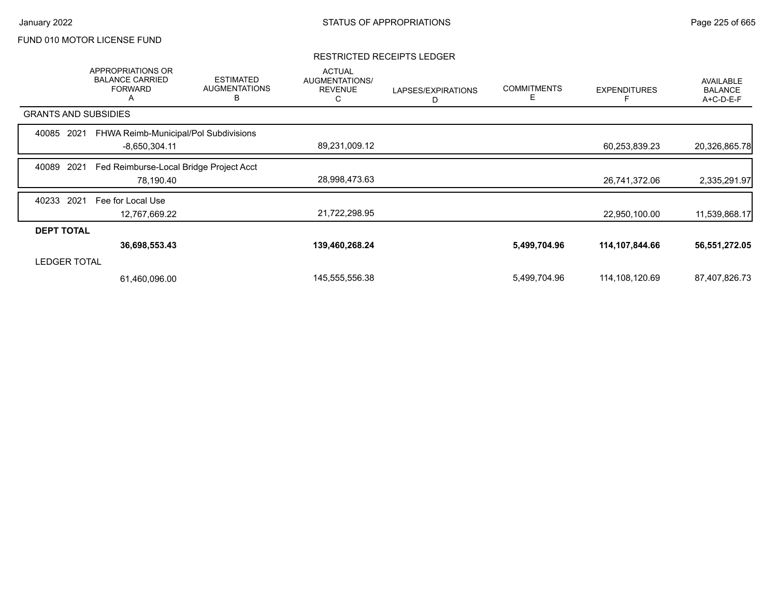### RESTRICTED RECEIPTS LEDGER

|                             | APPROPRIATIONS OR<br><b>BALANCE CARRIED</b><br><b>FORWARD</b><br>A | <b>ESTIMATED</b><br><b>AUGMENTATIONS</b><br>B | <b>ACTUAL</b><br>AUGMENTATIONS/<br><b>REVENUE</b><br>С | LAPSES/EXPIRATIONS<br>D | <b>COMMITMENTS</b><br>E | <b>EXPENDITURES</b> | AVAILABLE<br><b>BALANCE</b><br>A+C-D-E-F |
|-----------------------------|--------------------------------------------------------------------|-----------------------------------------------|--------------------------------------------------------|-------------------------|-------------------------|---------------------|------------------------------------------|
| <b>GRANTS AND SUBSIDIES</b> |                                                                    |                                               |                                                        |                         |                         |                     |                                          |
| 2021<br>40085               | FHWA Reimb-Municipal/Pol Subdivisions                              |                                               |                                                        |                         |                         |                     |                                          |
|                             | $-8,650,304.11$                                                    |                                               | 89,231,009.12                                          |                         |                         | 60,253,839.23       | 20,326,865.78                            |
| 2021<br>40089               | Fed Reimburse-Local Bridge Project Acct                            |                                               |                                                        |                         |                         |                     |                                          |
|                             | 78,190.40                                                          |                                               | 28,998,473.63                                          |                         |                         | 26,741,372.06       | 2,335,291.97                             |
| 2021<br>40233               | Fee for Local Use                                                  |                                               |                                                        |                         |                         |                     |                                          |
|                             | 12,767,669.22                                                      |                                               | 21,722,298.95                                          |                         |                         | 22,950,100.00       | 11,539,868.17                            |
| <b>DEPT TOTAL</b>           |                                                                    |                                               |                                                        |                         |                         |                     |                                          |
|                             | 36,698,553.43                                                      |                                               | 139,460,268.24                                         |                         | 5,499,704.96            | 114,107,844.66      | 56,551,272.05                            |
| <b>LEDGER TOTAL</b>         |                                                                    |                                               |                                                        |                         |                         |                     |                                          |
|                             | 61,460,096.00                                                      |                                               | 145,555,556.38                                         |                         | 5,499,704.96            | 114,108,120.69      | 87,407,826.73                            |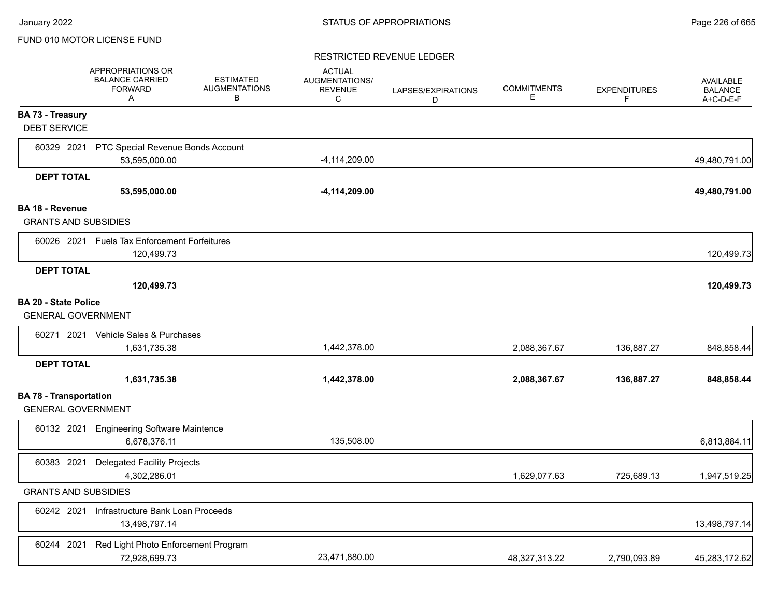#### RESTRICTED REVENUE LEDGER

|                                                            | APPROPRIATIONS OR<br><b>BALANCE CARRIED</b><br><b>FORWARD</b><br>A | <b>ESTIMATED</b><br><b>AUGMENTATIONS</b><br>В | <b>ACTUAL</b><br>AUGMENTATIONS/<br><b>REVENUE</b><br>C | LAPSES/EXPIRATIONS<br>D | <b>COMMITMENTS</b><br>E | <b>EXPENDITURES</b><br>F | <b>AVAILABLE</b><br><b>BALANCE</b><br>A+C-D-E-F |
|------------------------------------------------------------|--------------------------------------------------------------------|-----------------------------------------------|--------------------------------------------------------|-------------------------|-------------------------|--------------------------|-------------------------------------------------|
| <b>BA 73 - Treasury</b><br><b>DEBT SERVICE</b>             |                                                                    |                                               |                                                        |                         |                         |                          |                                                 |
| 60329 2021                                                 | PTC Special Revenue Bonds Account<br>53,595,000.00                 |                                               | $-4,114,209.00$                                        |                         |                         |                          | 49,480,791.00                                   |
| <b>DEPT TOTAL</b>                                          |                                                                    |                                               |                                                        |                         |                         |                          |                                                 |
|                                                            | 53,595,000.00                                                      |                                               | $-4,114,209.00$                                        |                         |                         |                          | 49,480,791.00                                   |
| <b>BA 18 - Revenue</b><br><b>GRANTS AND SUBSIDIES</b>      |                                                                    |                                               |                                                        |                         |                         |                          |                                                 |
|                                                            | 60026 2021 Fuels Tax Enforcement Forfeitures<br>120,499.73         |                                               |                                                        |                         |                         |                          | 120,499.73                                      |
| <b>DEPT TOTAL</b>                                          | 120,499.73                                                         |                                               |                                                        |                         |                         |                          | 120,499.73                                      |
| <b>BA 20 - State Police</b><br><b>GENERAL GOVERNMENT</b>   |                                                                    |                                               |                                                        |                         |                         |                          |                                                 |
|                                                            | 60271 2021 Vehicle Sales & Purchases<br>1,631,735.38               |                                               | 1,442,378.00                                           |                         | 2,088,367.67            | 136,887.27               | 848,858.44                                      |
| <b>DEPT TOTAL</b>                                          |                                                                    |                                               |                                                        |                         |                         |                          |                                                 |
|                                                            | 1,631,735.38                                                       |                                               | 1,442,378.00                                           |                         | 2,088,367.67            | 136,887.27               | 848,858.44                                      |
| <b>BA 78 - Transportation</b><br><b>GENERAL GOVERNMENT</b> |                                                                    |                                               |                                                        |                         |                         |                          |                                                 |
|                                                            | 60132 2021 Engineering Software Maintence<br>6.678.376.11          |                                               | 135,508.00                                             |                         |                         |                          | 6,813,884.11                                    |
| 60383 2021                                                 | <b>Delegated Facility Projects</b><br>4,302,286.01                 |                                               |                                                        |                         | 1,629,077.63            | 725,689.13               | 1,947,519.25                                    |
| <b>GRANTS AND SUBSIDIES</b>                                |                                                                    |                                               |                                                        |                         |                         |                          |                                                 |
|                                                            | 60242 2021 Infrastructure Bank Loan Proceeds<br>13,498,797.14      |                                               |                                                        |                         |                         |                          | 13,498,797.14                                   |
| 60244 2021                                                 | Red Light Photo Enforcement Program<br>72.928.699.73               |                                               | 23,471,880.00                                          |                         | 48,327,313.22           | 2,790,093.89             | 45,283,172.62                                   |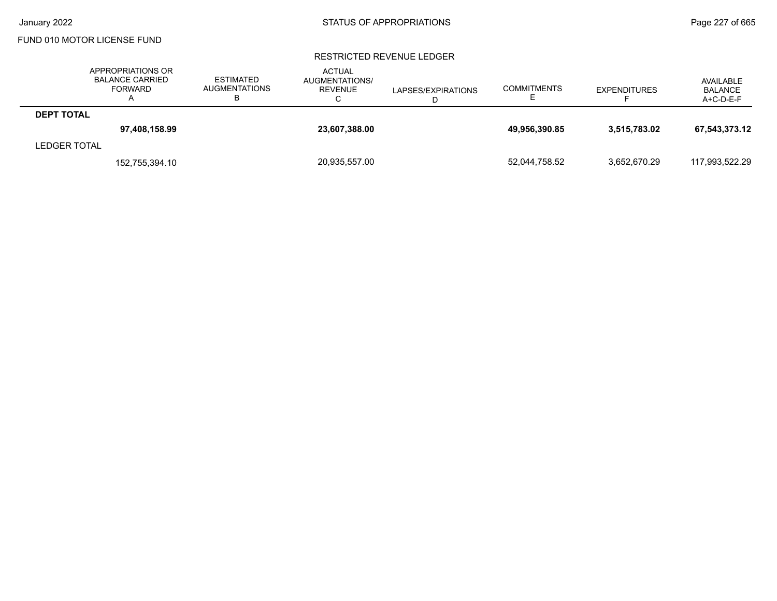### RESTRICTED REVENUE LEDGER

|                   | APPROPRIATIONS OR<br><b>BALANCE CARRIED</b><br><b>FORWARD</b> | <b>ESTIMATED</b><br><b>AUGMENTATIONS</b><br>D | <b>ACTUAL</b><br>AUGMENTATIONS/<br><b>REVENUE</b><br>U | LAPSES/EXPIRATIONS | <b>COMMITMENTS</b><br>– | <b>EXPENDITURES</b> | AVAILABLE<br>BALANCE<br>$A+C-D-E-F$ |
|-------------------|---------------------------------------------------------------|-----------------------------------------------|--------------------------------------------------------|--------------------|-------------------------|---------------------|-------------------------------------|
| <b>DEPT TOTAL</b> |                                                               |                                               |                                                        |                    |                         |                     |                                     |
|                   | 97,408,158.99                                                 |                                               | 23,607,388.00                                          |                    | 49,956,390.85           | 3.515.783.02        | 67,543,373.12                       |
| LEDGER TOTAL      |                                                               |                                               |                                                        |                    |                         |                     |                                     |
|                   | 152,755,394.10                                                |                                               | 20,935,557.00                                          |                    | 52,044,758.52           | 3.652.670.29        | 117.993.522.29                      |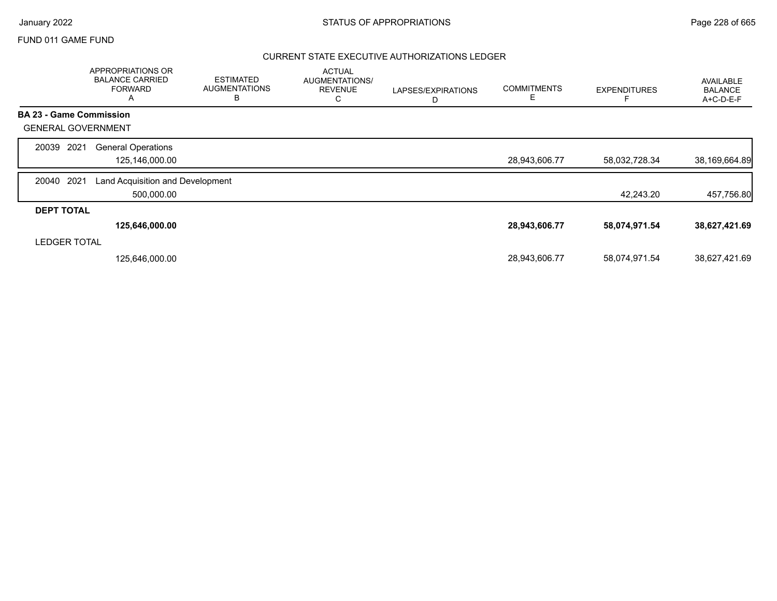### CURRENT STATE EXECUTIVE AUTHORIZATIONS LEDGER

|                                | <b>APPROPRIATIONS OR</b><br><b>BALANCE CARRIED</b><br><b>FORWARD</b><br>A | <b>ESTIMATED</b><br><b>AUGMENTATIONS</b><br>В | <b>ACTUAL</b><br>AUGMENTATIONS/<br><b>REVENUE</b><br>С | LAPSES/EXPIRATIONS<br>D | <b>COMMITMENTS</b><br>E. | <b>EXPENDITURES</b> | AVAILABLE<br><b>BALANCE</b><br>A+C-D-E-F |
|--------------------------------|---------------------------------------------------------------------------|-----------------------------------------------|--------------------------------------------------------|-------------------------|--------------------------|---------------------|------------------------------------------|
| <b>BA 23 - Game Commission</b> |                                                                           |                                               |                                                        |                         |                          |                     |                                          |
| <b>GENERAL GOVERNMENT</b>      |                                                                           |                                               |                                                        |                         |                          |                     |                                          |
| 2021<br>20039                  | <b>General Operations</b><br>125,146,000.00                               |                                               |                                                        |                         | 28,943,606.77            | 58,032,728.34       | 38,169,664.89                            |
| 2021<br>20040                  | Land Acquisition and Development<br>500,000.00                            |                                               |                                                        |                         |                          | 42,243.20           | 457,756.80                               |
| <b>DEPT TOTAL</b>              |                                                                           |                                               |                                                        |                         |                          |                     |                                          |
|                                | 125,646,000.00                                                            |                                               |                                                        |                         | 28,943,606.77            | 58,074,971.54       | 38,627,421.69                            |
| <b>LEDGER TOTAL</b>            |                                                                           |                                               |                                                        |                         |                          |                     |                                          |
|                                | 125,646,000.00                                                            |                                               |                                                        |                         | 28,943,606.77            | 58,074,971.54       | 38,627,421.69                            |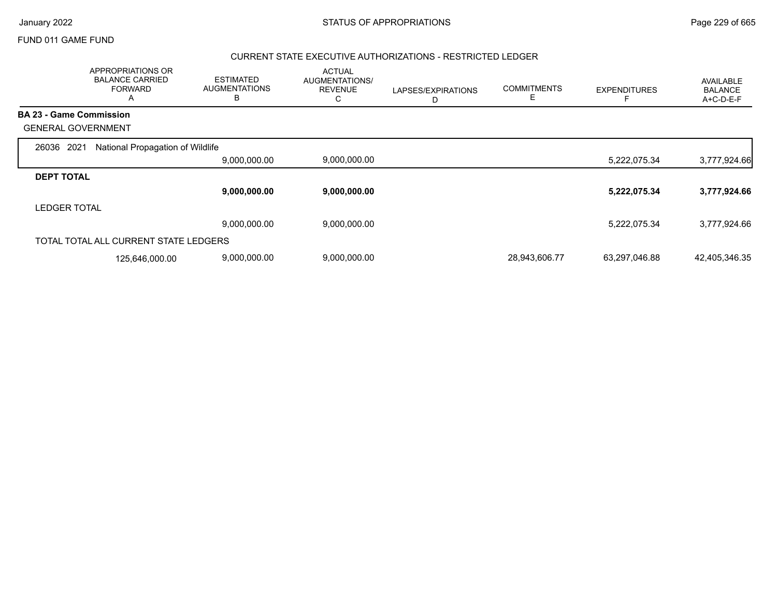|                                | APPROPRIATIONS OR<br><b>BALANCE CARRIED</b><br><b>FORWARD</b><br>A | <b>ESTIMATED</b><br><b>AUGMENTATIONS</b><br>B | <b>ACTUAL</b><br>AUGMENTATIONS/<br><b>REVENUE</b><br>С | LAPSES/EXPIRATIONS<br>D | <b>COMMITMENTS</b><br>E | <b>EXPENDITURES</b> | AVAILABLE<br><b>BALANCE</b><br>A+C-D-E-F |
|--------------------------------|--------------------------------------------------------------------|-----------------------------------------------|--------------------------------------------------------|-------------------------|-------------------------|---------------------|------------------------------------------|
| <b>BA 23 - Game Commission</b> |                                                                    |                                               |                                                        |                         |                         |                     |                                          |
| <b>GENERAL GOVERNMENT</b>      |                                                                    |                                               |                                                        |                         |                         |                     |                                          |
| 2021<br>26036                  | National Propagation of Wildlife                                   |                                               |                                                        |                         |                         |                     |                                          |
|                                |                                                                    | 9,000,000.00                                  | 9,000,000.00                                           |                         |                         | 5,222,075.34        | 3,777,924.66                             |
| <b>DEPT TOTAL</b>              |                                                                    |                                               |                                                        |                         |                         |                     |                                          |
|                                |                                                                    | 9,000,000.00                                  | 9,000,000.00                                           |                         |                         | 5,222,075.34        | 3,777,924.66                             |
| <b>LEDGER TOTAL</b>            |                                                                    |                                               |                                                        |                         |                         |                     |                                          |
|                                |                                                                    | 9,000,000.00                                  | 9,000,000.00                                           |                         |                         | 5,222,075.34        | 3,777,924.66                             |
|                                | TOTAL TOTAL ALL CURRENT STATE LEDGERS                              |                                               |                                                        |                         |                         |                     |                                          |
|                                | 125,646,000.00                                                     | 9,000,000.00                                  | 9,000,000.00                                           |                         | 28,943,606.77           | 63,297,046.88       | 42,405,346.35                            |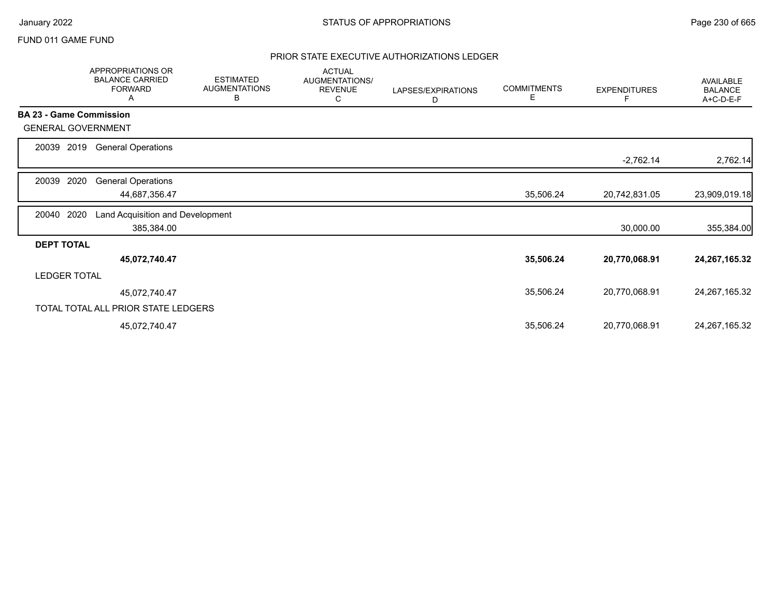## PRIOR STATE EXECUTIVE AUTHORIZATIONS LEDGER

|                     | APPROPRIATIONS OR<br><b>BALANCE CARRIED</b><br><b>FORWARD</b><br>Α | <b>ESTIMATED</b><br><b>AUGMENTATIONS</b><br>В | <b>ACTUAL</b><br>AUGMENTATIONS/<br><b>REVENUE</b><br>С | LAPSES/EXPIRATIONS<br>D | <b>COMMITMENTS</b><br>Е | <b>EXPENDITURES</b> | <b>AVAILABLE</b><br><b>BALANCE</b><br>A+C-D-E-F |
|---------------------|--------------------------------------------------------------------|-----------------------------------------------|--------------------------------------------------------|-------------------------|-------------------------|---------------------|-------------------------------------------------|
|                     | <b>BA 23 - Game Commission</b>                                     |                                               |                                                        |                         |                         |                     |                                                 |
|                     | <b>GENERAL GOVERNMENT</b>                                          |                                               |                                                        |                         |                         |                     |                                                 |
| 20039               | 2019<br><b>General Operations</b>                                  |                                               |                                                        |                         |                         |                     |                                                 |
|                     |                                                                    |                                               |                                                        |                         |                         | $-2,762.14$         | 2,762.14                                        |
| 20039               | 2020<br><b>General Operations</b>                                  |                                               |                                                        |                         |                         |                     |                                                 |
|                     | 44,687,356.47                                                      |                                               |                                                        |                         | 35,506.24               | 20,742,831.05       | 23,909,019.18                                   |
| 20040               | 2020<br>Land Acquisition and Development                           |                                               |                                                        |                         |                         |                     |                                                 |
|                     | 385,384.00                                                         |                                               |                                                        |                         |                         | 30,000.00           | 355,384.00                                      |
| <b>DEPT TOTAL</b>   |                                                                    |                                               |                                                        |                         |                         |                     |                                                 |
|                     | 45,072,740.47                                                      |                                               |                                                        |                         | 35,506.24               | 20,770,068.91       | 24, 267, 165. 32                                |
| <b>LEDGER TOTAL</b> |                                                                    |                                               |                                                        |                         |                         |                     |                                                 |
|                     | 45,072,740.47                                                      |                                               |                                                        |                         | 35,506.24               | 20,770,068.91       | 24, 267, 165. 32                                |
|                     | TOTAL TOTAL ALL PRIOR STATE LEDGERS                                |                                               |                                                        |                         |                         |                     |                                                 |
|                     | 45,072,740.47                                                      |                                               |                                                        |                         | 35,506.24               | 20,770,068.91       | 24, 267, 165. 32                                |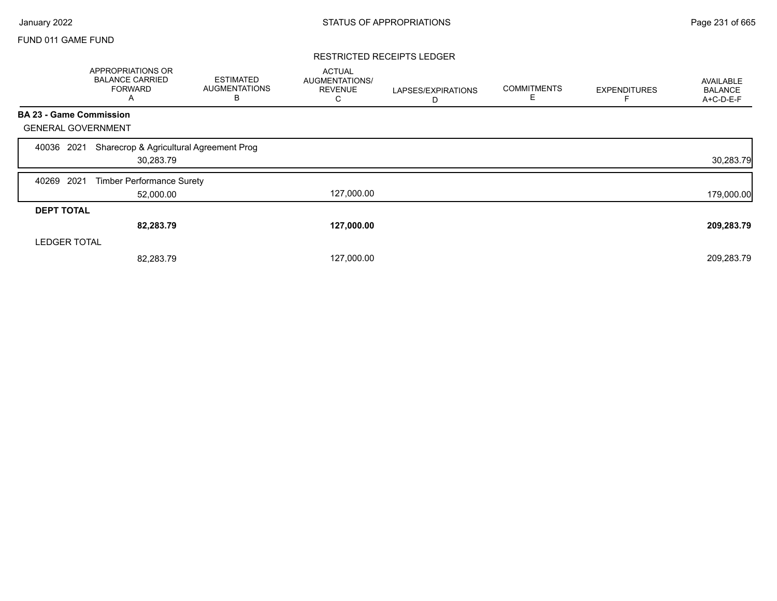#### RESTRICTED RECEIPTS LEDGER

|                                | APPROPRIATIONS OR<br><b>BALANCE CARRIED</b><br><b>FORWARD</b><br>A | <b>ESTIMATED</b><br><b>AUGMENTATIONS</b><br>В | <b>ACTUAL</b><br>AUGMENTATIONS/<br><b>REVENUE</b><br>C | LAPSES/EXPIRATIONS<br>D | <b>COMMITMENTS</b><br>Е | <b>EXPENDITURES</b> | AVAILABLE<br><b>BALANCE</b><br>A+C-D-E-F |
|--------------------------------|--------------------------------------------------------------------|-----------------------------------------------|--------------------------------------------------------|-------------------------|-------------------------|---------------------|------------------------------------------|
| <b>BA 23 - Game Commission</b> |                                                                    |                                               |                                                        |                         |                         |                     |                                          |
| <b>GENERAL GOVERNMENT</b>      |                                                                    |                                               |                                                        |                         |                         |                     |                                          |
| 2021<br>40036                  | Sharecrop & Agricultural Agreement Prog<br>30,283.79               |                                               |                                                        |                         |                         |                     | 30,283.79                                |
| 2021<br>40269                  | <b>Timber Performance Surety</b>                                   |                                               |                                                        |                         |                         |                     |                                          |
|                                | 52,000.00                                                          |                                               | 127,000.00                                             |                         |                         |                     | 179,000.00                               |
| <b>DEPT TOTAL</b>              |                                                                    |                                               |                                                        |                         |                         |                     |                                          |
|                                | 82,283.79                                                          |                                               | 127,000.00                                             |                         |                         |                     | 209,283.79                               |
| <b>LEDGER TOTAL</b>            |                                                                    |                                               |                                                        |                         |                         |                     |                                          |
|                                | 82,283.79                                                          |                                               | 127,000.00                                             |                         |                         |                     | 209,283.79                               |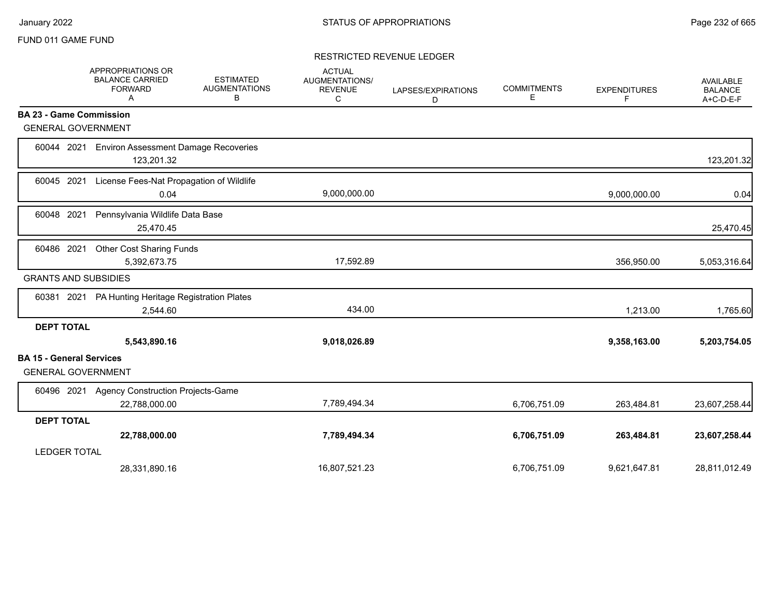### RESTRICTED REVENUE LEDGER

|                                 | APPROPRIATIONS OR<br><b>BALANCE CARRIED</b><br><b>FORWARD</b><br>Α | <b>ESTIMATED</b><br><b>AUGMENTATIONS</b><br>В | <b>ACTUAL</b><br><b>AUGMENTATIONS/</b><br><b>REVENUE</b><br>С | LAPSES/EXPIRATIONS<br>D | <b>COMMITMENTS</b><br>Е | <b>EXPENDITURES</b><br>F | <b>AVAILABLE</b><br><b>BALANCE</b><br>A+C-D-E-F |
|---------------------------------|--------------------------------------------------------------------|-----------------------------------------------|---------------------------------------------------------------|-------------------------|-------------------------|--------------------------|-------------------------------------------------|
|                                 | <b>BA 23 - Game Commission</b>                                     |                                               |                                                               |                         |                         |                          |                                                 |
|                                 | <b>GENERAL GOVERNMENT</b>                                          |                                               |                                                               |                         |                         |                          |                                                 |
| 60044 2021                      | <b>Environ Assessment Damage Recoveries</b><br>123,201.32          |                                               |                                                               |                         |                         |                          | 123,201.32                                      |
| 60045 2021                      | License Fees-Nat Propagation of Wildlife<br>0.04                   |                                               | 9,000,000.00                                                  |                         |                         | 9,000,000.00             | 0.04                                            |
| 60048 2021                      | Pennsylvania Wildlife Data Base<br>25,470.45                       |                                               |                                                               |                         |                         |                          | 25,470.45                                       |
| 60486 2021                      | Other Cost Sharing Funds<br>5,392,673.75                           |                                               | 17,592.89                                                     |                         |                         | 356,950.00               | 5,053,316.64                                    |
|                                 | <b>GRANTS AND SUBSIDIES</b>                                        |                                               |                                                               |                         |                         |                          |                                                 |
| 60381 2021                      | PA Hunting Heritage Registration Plates<br>2,544.60                |                                               | 434.00                                                        |                         |                         | 1,213.00                 | 1,765.60                                        |
| <b>DEPT TOTAL</b>               | 5,543,890.16                                                       |                                               | 9,018,026.89                                                  |                         |                         | 9,358,163.00             | 5,203,754.05                                    |
| <b>BA 15 - General Services</b> | <b>GENERAL GOVERNMENT</b>                                          |                                               |                                                               |                         |                         |                          |                                                 |
|                                 | 60496 2021 Agency Construction Projects-Game<br>22,788,000.00      |                                               | 7,789,494.34                                                  |                         | 6,706,751.09            | 263,484.81               | 23,607,258.44                                   |
| <b>DEPT TOTAL</b>               |                                                                    |                                               |                                                               |                         |                         |                          |                                                 |
|                                 | 22,788,000.00                                                      |                                               | 7,789,494.34                                                  |                         | 6,706,751.09            | 263,484.81               | 23,607,258.44                                   |
| <b>LEDGER TOTAL</b>             |                                                                    |                                               |                                                               |                         |                         |                          |                                                 |
|                                 | 28,331,890.16                                                      |                                               | 16,807,521.23                                                 |                         | 6,706,751.09            | 9,621,647.81             | 28,811,012.49                                   |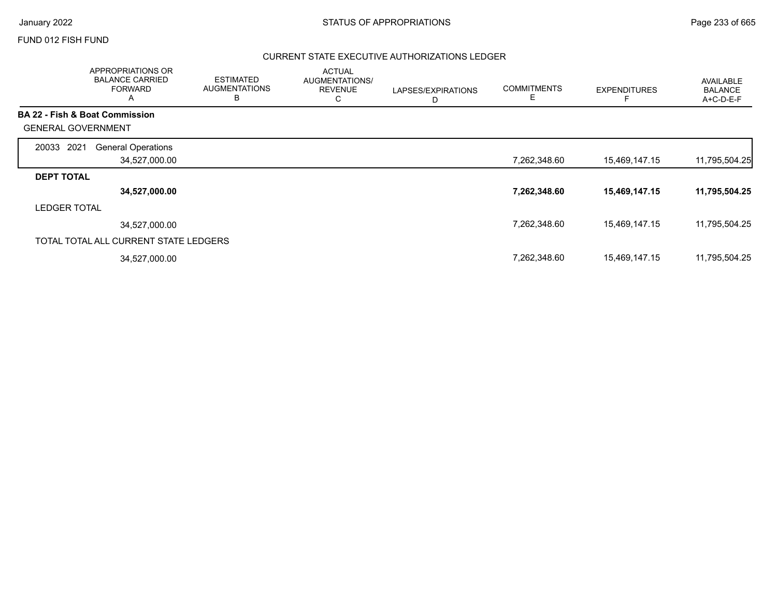### FUND 012 FISH FUND

## CURRENT STATE EXECUTIVE AUTHORIZATIONS LEDGER

| APPROPRIATIONS OR<br><b>BALANCE CARRIED</b><br><b>FORWARD</b><br>$\mathsf{A}$ | <b>ESTIMATED</b><br><b>AUGMENTATIONS</b><br>В | <b>ACTUAL</b><br><b>AUGMENTATIONS/</b><br><b>REVENUE</b><br>С | LAPSES/EXPIRATIONS<br>D | <b>COMMITMENTS</b><br>Ε | <b>EXPENDITURES</b> | <b>AVAILABLE</b><br><b>BALANCE</b><br>A+C-D-E-F |
|-------------------------------------------------------------------------------|-----------------------------------------------|---------------------------------------------------------------|-------------------------|-------------------------|---------------------|-------------------------------------------------|
| <b>BA 22 - Fish &amp; Boat Commission</b>                                     |                                               |                                                               |                         |                         |                     |                                                 |
| <b>GENERAL GOVERNMENT</b>                                                     |                                               |                                                               |                         |                         |                     |                                                 |
| 2021<br><b>General Operations</b><br>20033                                    |                                               |                                                               |                         |                         |                     |                                                 |
| 34,527,000.00                                                                 |                                               |                                                               |                         | 7,262,348.60            | 15,469,147.15       | 11,795,504.25                                   |
| <b>DEPT TOTAL</b>                                                             |                                               |                                                               |                         |                         |                     |                                                 |
| 34,527,000.00                                                                 |                                               |                                                               |                         | 7,262,348.60            | 15,469,147.15       | 11,795,504.25                                   |
| <b>LEDGER TOTAL</b>                                                           |                                               |                                                               |                         |                         |                     |                                                 |
| 34.527.000.00                                                                 |                                               |                                                               |                         | 7,262,348.60            | 15,469,147.15       | 11,795,504.25                                   |
| TOTAL TOTAL ALL CURRENT STATE LEDGERS                                         |                                               |                                                               |                         |                         |                     |                                                 |
| 34,527,000.00                                                                 |                                               |                                                               |                         | 7,262,348.60            | 15,469,147.15       | 11,795,504.25                                   |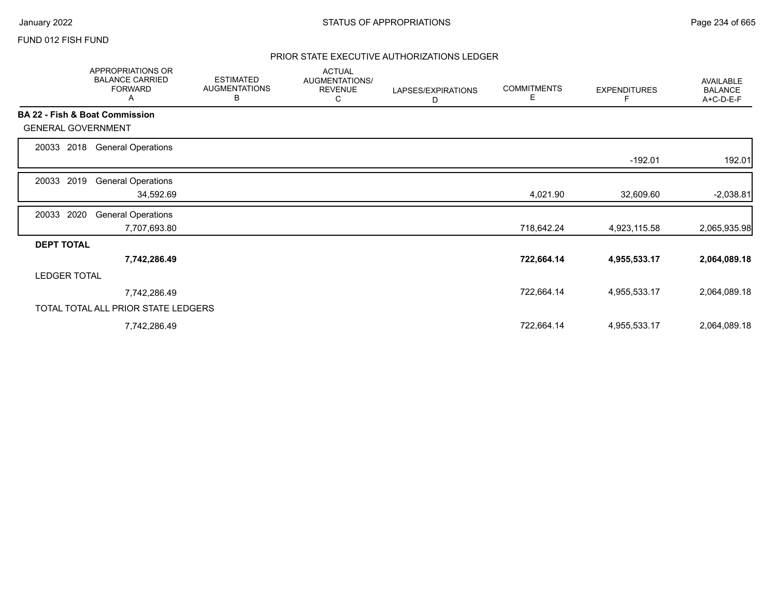## FUND 012 FISH FUND

## PRIOR STATE EXECUTIVE AUTHORIZATIONS LEDGER

|                                           | APPROPRIATIONS OR<br><b>BALANCE CARRIED</b><br><b>FORWARD</b><br>A | <b>ESTIMATED</b><br><b>AUGMENTATIONS</b><br>В | <b>ACTUAL</b><br>AUGMENTATIONS/<br><b>REVENUE</b><br>С | LAPSES/EXPIRATIONS<br>D | <b>COMMITMENTS</b><br>Е | <b>EXPENDITURES</b> | AVAILABLE<br><b>BALANCE</b><br>A+C-D-E-F |
|-------------------------------------------|--------------------------------------------------------------------|-----------------------------------------------|--------------------------------------------------------|-------------------------|-------------------------|---------------------|------------------------------------------|
| <b>BA 22 - Fish &amp; Boat Commission</b> |                                                                    |                                               |                                                        |                         |                         |                     |                                          |
| <b>GENERAL GOVERNMENT</b>                 |                                                                    |                                               |                                                        |                         |                         |                     |                                          |
| 2018<br>20033                             | <b>General Operations</b>                                          |                                               |                                                        |                         |                         |                     |                                          |
|                                           |                                                                    |                                               |                                                        |                         |                         | $-192.01$           | 192.01                                   |
| 2019<br>20033                             | <b>General Operations</b>                                          |                                               |                                                        |                         |                         |                     |                                          |
|                                           | 34,592.69                                                          |                                               |                                                        |                         | 4,021.90                | 32,609.60           | $-2,038.81$                              |
| 2020<br>20033                             | <b>General Operations</b>                                          |                                               |                                                        |                         |                         |                     |                                          |
|                                           | 7,707,693.80                                                       |                                               |                                                        |                         | 718,642.24              | 4,923,115.58        | 2,065,935.98                             |
| <b>DEPT TOTAL</b>                         |                                                                    |                                               |                                                        |                         |                         |                     |                                          |
|                                           | 7,742,286.49                                                       |                                               |                                                        |                         | 722,664.14              | 4,955,533.17        | 2,064,089.18                             |
| <b>LEDGER TOTAL</b>                       |                                                                    |                                               |                                                        |                         |                         |                     |                                          |
|                                           | 7,742,286.49                                                       |                                               |                                                        |                         | 722,664.14              | 4,955,533.17        | 2,064,089.18                             |
|                                           | TOTAL TOTAL ALL PRIOR STATE LEDGERS                                |                                               |                                                        |                         |                         |                     |                                          |
|                                           | 7,742,286.49                                                       |                                               |                                                        |                         | 722,664.14              | 4,955,533.17        | 2,064,089.18                             |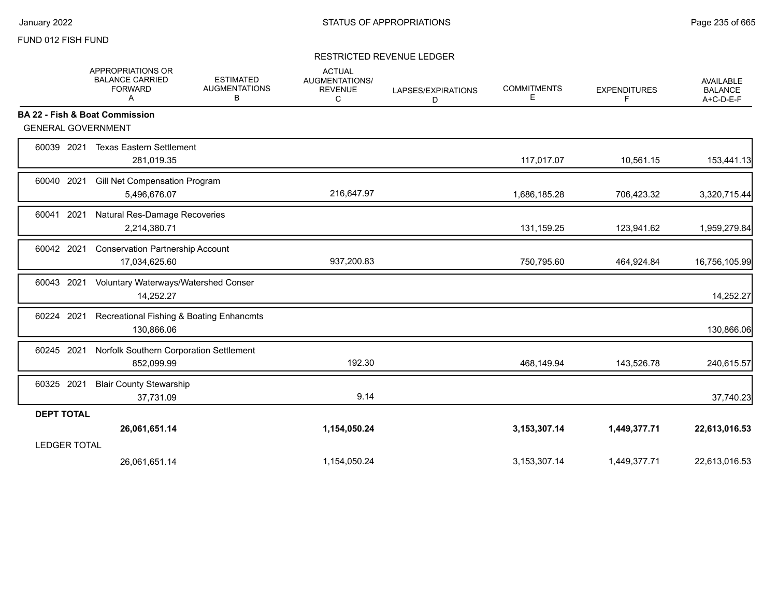### FUND 012 FISH FUND

## RESTRICTED REVENUE LEDGER

|                           | APPROPRIATIONS OR<br><b>BALANCE CARRIED</b><br><b>FORWARD</b><br>Α | <b>ESTIMATED</b><br><b>AUGMENTATIONS</b><br>в | <b>ACTUAL</b><br><b>AUGMENTATIONS/</b><br><b>REVENUE</b><br>C | LAPSES/EXPIRATIONS<br>D | <b>COMMITMENTS</b><br>E. | <b>EXPENDITURES</b><br>F | AVAILABLE<br><b>BALANCE</b><br>A+C-D-E-F |
|---------------------------|--------------------------------------------------------------------|-----------------------------------------------|---------------------------------------------------------------|-------------------------|--------------------------|--------------------------|------------------------------------------|
|                           | BA 22 - Fish & Boat Commission                                     |                                               |                                                               |                         |                          |                          |                                          |
| <b>GENERAL GOVERNMENT</b> |                                                                    |                                               |                                                               |                         |                          |                          |                                          |
| 60039 2021                | <b>Texas Eastern Settlement</b><br>281,019.35                      |                                               |                                                               |                         | 117,017.07               | 10,561.15                | 153,441.13                               |
| 2021<br>60040             | Gill Net Compensation Program<br>5,496,676.07                      |                                               | 216,647.97                                                    |                         | 1,686,185.28             | 706,423.32               | 3,320,715.44                             |
| 60041 2021                | Natural Res-Damage Recoveries<br>2,214,380.71                      |                                               |                                                               |                         | 131,159.25               | 123,941.62               | 1,959,279.84                             |
| 60042 2021                | <b>Conservation Partnership Account</b><br>17,034,625.60           |                                               | 937,200.83                                                    |                         | 750,795.60               | 464,924.84               | 16,756,105.99                            |
| 60043 2021                | Voluntary Waterways/Watershed Conser<br>14,252.27                  |                                               |                                                               |                         |                          |                          | 14,252.27                                |
| 60224 2021                | Recreational Fishing & Boating Enhancmts<br>130,866.06             |                                               |                                                               |                         |                          |                          | 130,866.06                               |
| 60245 2021                | Norfolk Southern Corporation Settlement<br>852,099.99              |                                               | 192.30                                                        |                         | 468,149.94               | 143,526.78               | 240,615.57                               |
| 60325 2021                | <b>Blair County Stewarship</b><br>37,731.09                        |                                               | 9.14                                                          |                         |                          |                          | 37,740.23                                |
| <b>DEPT TOTAL</b>         |                                                                    |                                               |                                                               |                         |                          |                          |                                          |
|                           | 26,061,651.14                                                      |                                               | 1,154,050.24                                                  |                         | 3,153,307.14             | 1,449,377.71             | 22,613,016.53                            |
| <b>LEDGER TOTAL</b>       |                                                                    |                                               |                                                               |                         |                          |                          |                                          |
|                           | 26,061,651.14                                                      |                                               | 1,154,050.24                                                  |                         | 3,153,307.14             | 1,449,377.71             | 22,613,016.53                            |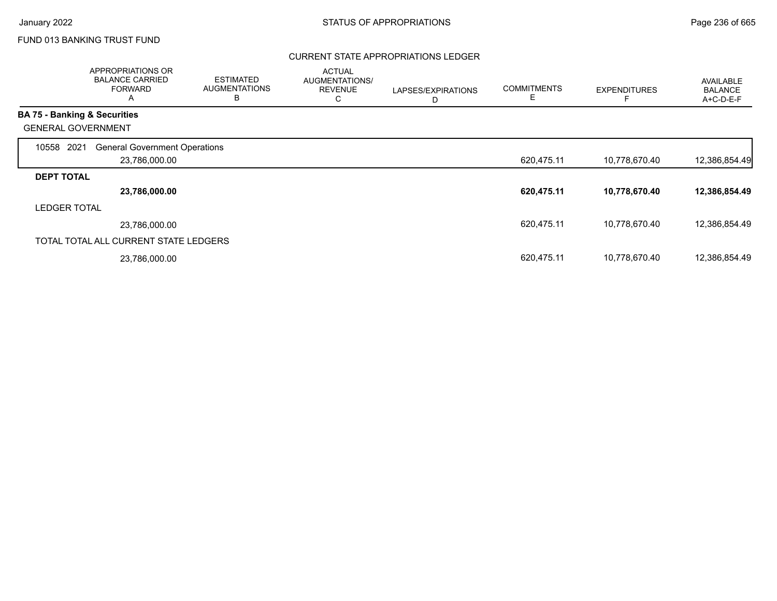## FUND 013 BANKING TRUST FUND

## CURRENT STATE APPROPRIATIONS LEDGER

|                     | APPROPRIATIONS OR<br><b>BALANCE CARRIED</b><br><b>FORWARD</b><br>Α | <b>ESTIMATED</b><br><b>AUGMENTATIONS</b><br>B | <b>ACTUAL</b><br><b>AUGMENTATIONS/</b><br><b>REVENUE</b><br>С | LAPSES/EXPIRATIONS<br>D | <b>COMMITMENTS</b> | <b>EXPENDITURES</b> | AVAILABLE<br><b>BALANCE</b><br>A+C-D-E-F |
|---------------------|--------------------------------------------------------------------|-----------------------------------------------|---------------------------------------------------------------|-------------------------|--------------------|---------------------|------------------------------------------|
|                     | <b>BA 75 - Banking &amp; Securities</b>                            |                                               |                                                               |                         |                    |                     |                                          |
|                     | <b>GENERAL GOVERNMENT</b>                                          |                                               |                                                               |                         |                    |                     |                                          |
| 10558               | 2021<br><b>General Government Operations</b>                       |                                               |                                                               |                         |                    |                     |                                          |
|                     | 23,786,000.00                                                      |                                               |                                                               |                         | 620,475.11         | 10,778,670.40       | 12,386,854.49                            |
| <b>DEPT TOTAL</b>   |                                                                    |                                               |                                                               |                         |                    |                     |                                          |
|                     | 23,786,000.00                                                      |                                               |                                                               |                         | 620,475.11         | 10,778,670.40       | 12,386,854.49                            |
| <b>LEDGER TOTAL</b> |                                                                    |                                               |                                                               |                         |                    |                     |                                          |
|                     | 23,786,000.00                                                      |                                               |                                                               |                         | 620,475.11         | 10,778,670.40       | 12,386,854.49                            |
|                     | TOTAL TOTAL ALL CURRENT STATE LEDGERS                              |                                               |                                                               |                         |                    |                     |                                          |
|                     | 23,786,000.00                                                      |                                               |                                                               |                         | 620,475.11         | 10,778,670.40       | 12,386,854.49                            |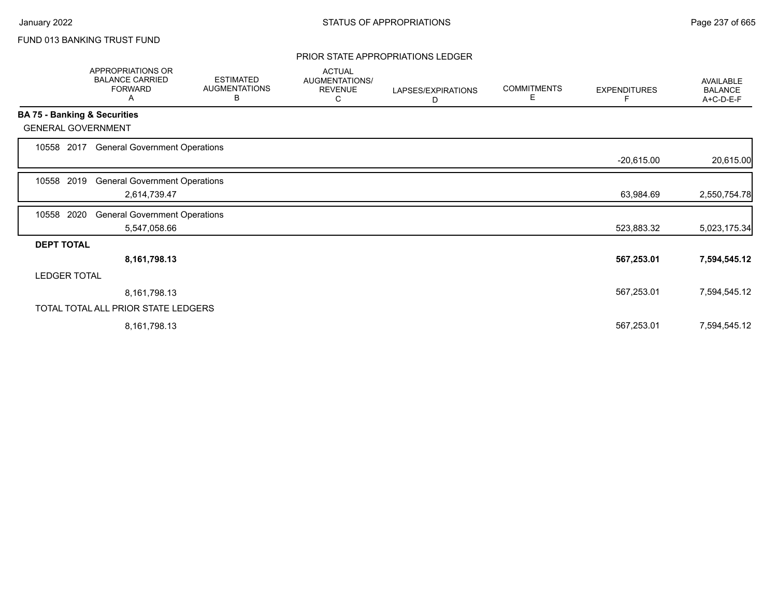## FUND 013 BANKING TRUST FUND

### PRIOR STATE APPROPRIATIONS LEDGER

|                              | APPROPRIATIONS OR<br><b>BALANCE CARRIED</b><br><b>FORWARD</b><br>A | <b>ESTIMATED</b><br><b>AUGMENTATIONS</b><br>В | <b>ACTUAL</b><br>AUGMENTATIONS/<br><b>REVENUE</b><br>С | LAPSES/EXPIRATIONS<br>D | <b>COMMITMENTS</b><br>Е | <b>EXPENDITURES</b><br>F | <b>AVAILABLE</b><br><b>BALANCE</b><br>A+C-D-E-F |
|------------------------------|--------------------------------------------------------------------|-----------------------------------------------|--------------------------------------------------------|-------------------------|-------------------------|--------------------------|-------------------------------------------------|
| BA 75 - Banking & Securities |                                                                    |                                               |                                                        |                         |                         |                          |                                                 |
| <b>GENERAL GOVERNMENT</b>    |                                                                    |                                               |                                                        |                         |                         |                          |                                                 |
| 10558 2017                   | <b>General Government Operations</b>                               |                                               |                                                        |                         |                         |                          |                                                 |
|                              |                                                                    |                                               |                                                        |                         |                         | $-20,615.00$             | 20,615.00                                       |
| 2019<br>10558                | <b>General Government Operations</b>                               |                                               |                                                        |                         |                         |                          |                                                 |
|                              | 2,614,739.47                                                       |                                               |                                                        |                         |                         | 63,984.69                | 2,550,754.78                                    |
| 2020<br>10558                | <b>General Government Operations</b>                               |                                               |                                                        |                         |                         |                          |                                                 |
|                              | 5,547,058.66                                                       |                                               |                                                        |                         |                         | 523,883.32               | 5,023,175.34                                    |
| <b>DEPT TOTAL</b>            |                                                                    |                                               |                                                        |                         |                         |                          |                                                 |
|                              | 8,161,798.13                                                       |                                               |                                                        |                         |                         | 567,253.01               | 7,594,545.12                                    |
| <b>LEDGER TOTAL</b>          |                                                                    |                                               |                                                        |                         |                         |                          |                                                 |
|                              | 8,161,798.13                                                       |                                               |                                                        |                         |                         | 567,253.01               | 7,594,545.12                                    |
|                              | TOTAL TOTAL ALL PRIOR STATE LEDGERS                                |                                               |                                                        |                         |                         |                          |                                                 |
|                              | 8,161,798.13                                                       |                                               |                                                        |                         |                         | 567,253.01               | 7,594,545.12                                    |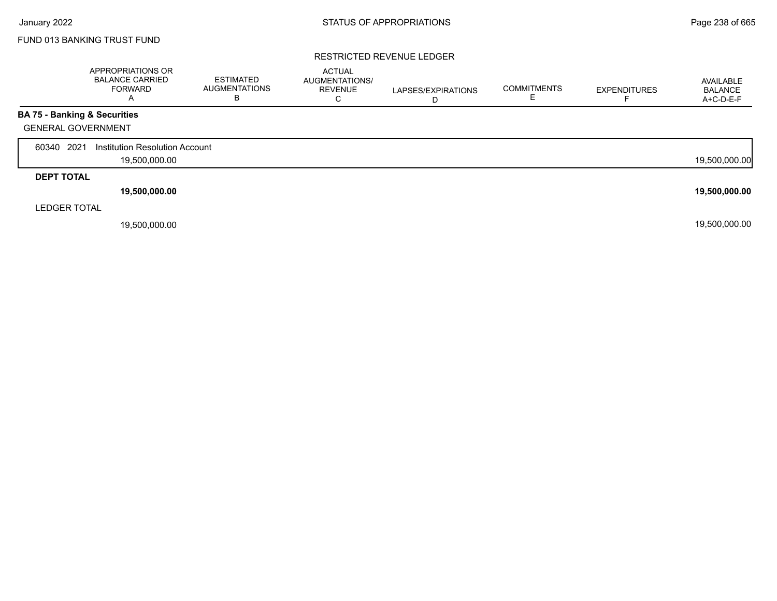Г

## FUND 013 BANKING TRUST FUND

#### RESTRICTED REVENUE LEDGER

|                     | APPROPRIATIONS OR<br><b>BALANCE CARRIED</b><br><b>FORWARD</b><br>$\overline{\mathsf{A}}$ | ESTIMATED<br><b>AUGMENTATIONS</b><br>в | <b>ACTUAL</b><br>AUGMENTATIONS/<br><b>REVENUE</b><br>С | LAPSES/EXPIRATIONS<br>D | <b>COMMITMENTS</b> | <b>EXPENDITURES</b> | AVAILABLE<br><b>BALANCE</b><br>A+C-D-E-F |
|---------------------|------------------------------------------------------------------------------------------|----------------------------------------|--------------------------------------------------------|-------------------------|--------------------|---------------------|------------------------------------------|
|                     | <b>BA 75 - Banking &amp; Securities</b>                                                  |                                        |                                                        |                         |                    |                     |                                          |
|                     | <b>GENERAL GOVERNMENT</b>                                                                |                                        |                                                        |                         |                    |                     |                                          |
| 2021<br>60340       | Institution Resolution Account                                                           |                                        |                                                        |                         |                    |                     |                                          |
|                     | 19,500,000.00                                                                            |                                        |                                                        |                         |                    |                     | 19,500,000.00                            |
| <b>DEPT TOTAL</b>   |                                                                                          |                                        |                                                        |                         |                    |                     |                                          |
|                     | 19,500,000.00                                                                            |                                        |                                                        |                         |                    |                     | 19,500,000.00                            |
| <b>LEDGER TOTAL</b> |                                                                                          |                                        |                                                        |                         |                    |                     |                                          |
|                     | 19,500,000.00                                                                            |                                        |                                                        |                         |                    |                     | 19,500,000.00                            |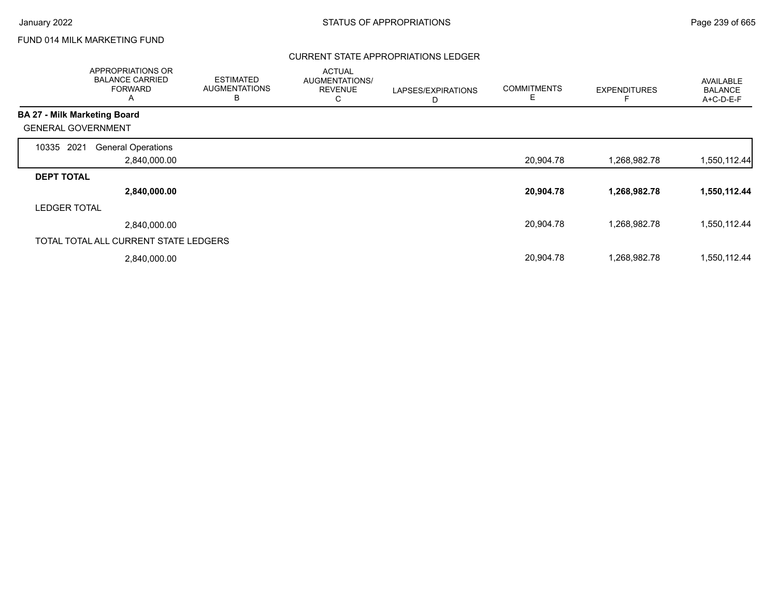## FUND 014 MILK MARKETING FUND

## CURRENT STATE APPROPRIATIONS LEDGER

| APPROPRIATIONS OR<br><b>BALANCE CARRIED</b><br><b>FORWARD</b><br>A | <b>ESTIMATED</b><br><b>AUGMENTATIONS</b><br>в | <b>ACTUAL</b><br>AUGMENTATIONS/<br><b>REVENUE</b><br>C | LAPSES/EXPIRATIONS<br>D | <b>COMMITMENTS</b><br>Е | <b>EXPENDITURES</b> | AVAILABLE<br><b>BALANCE</b><br>A+C-D-E-F |
|--------------------------------------------------------------------|-----------------------------------------------|--------------------------------------------------------|-------------------------|-------------------------|---------------------|------------------------------------------|
| <b>BA 27 - Milk Marketing Board</b>                                |                                               |                                                        |                         |                         |                     |                                          |
| <b>GENERAL GOVERNMENT</b>                                          |                                               |                                                        |                         |                         |                     |                                          |
| 2021<br><b>General Operations</b><br>10335                         |                                               |                                                        |                         |                         |                     |                                          |
| 2,840,000.00                                                       |                                               |                                                        |                         | 20,904.78               | 1,268,982.78        | 1,550,112.44                             |
| <b>DEPT TOTAL</b>                                                  |                                               |                                                        |                         |                         |                     |                                          |
| 2,840,000.00                                                       |                                               |                                                        |                         | 20,904.78               | 1,268,982.78        | 1,550,112.44                             |
| <b>LEDGER TOTAL</b>                                                |                                               |                                                        |                         |                         |                     |                                          |
| 2,840,000.00                                                       |                                               |                                                        |                         | 20,904.78               | 1,268,982.78        | 1,550,112.44                             |
| TOTAL TOTAL ALL CURRENT STATE LEDGERS                              |                                               |                                                        |                         |                         |                     |                                          |
| 2,840,000.00                                                       |                                               |                                                        |                         | 20,904.78               | 1,268,982.78        | 1,550,112.44                             |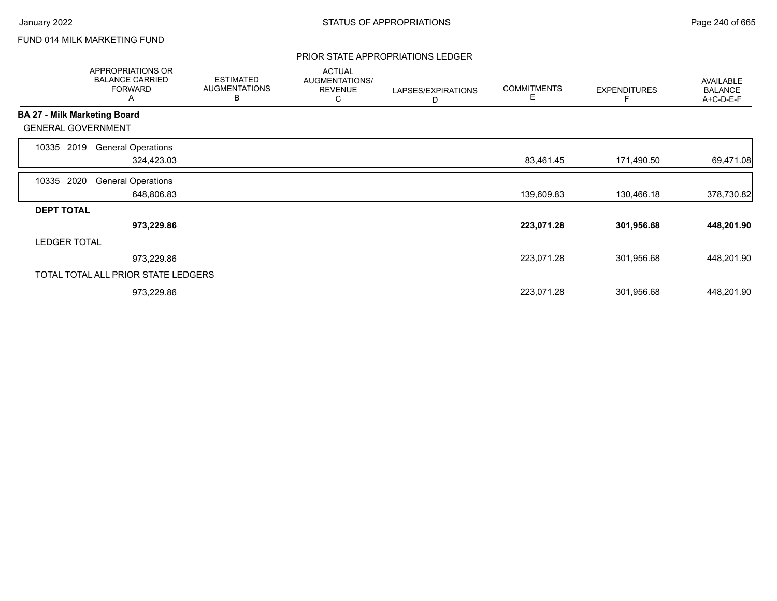## FUND 014 MILK MARKETING FUND

### PRIOR STATE APPROPRIATIONS LEDGER

|                     | <b>APPROPRIATIONS OR</b><br><b>BALANCE CARRIED</b><br><b>FORWARD</b><br>A | <b>ESTIMATED</b><br><b>AUGMENTATIONS</b><br>B | <b>ACTUAL</b><br>AUGMENTATIONS/<br><b>REVENUE</b><br>С | LAPSES/EXPIRATIONS<br>D | <b>COMMITMENTS</b><br>Е | <b>EXPENDITURES</b> | AVAILABLE<br><b>BALANCE</b><br>A+C-D-E-F |
|---------------------|---------------------------------------------------------------------------|-----------------------------------------------|--------------------------------------------------------|-------------------------|-------------------------|---------------------|------------------------------------------|
|                     | <b>BA 27 - Milk Marketing Board</b>                                       |                                               |                                                        |                         |                         |                     |                                          |
|                     | <b>GENERAL GOVERNMENT</b>                                                 |                                               |                                                        |                         |                         |                     |                                          |
| 10335               | <b>General Operations</b><br>2019                                         |                                               |                                                        |                         |                         |                     |                                          |
|                     | 324,423.03                                                                |                                               |                                                        |                         | 83,461.45               | 171,490.50          | 69,471.08                                |
| 10335               | 2020<br><b>General Operations</b>                                         |                                               |                                                        |                         |                         |                     |                                          |
|                     | 648,806.83                                                                |                                               |                                                        |                         | 139,609.83              | 130,466.18          | 378,730.82                               |
| <b>DEPT TOTAL</b>   |                                                                           |                                               |                                                        |                         |                         |                     |                                          |
|                     | 973,229.86                                                                |                                               |                                                        |                         | 223,071.28              | 301,956.68          | 448,201.90                               |
| <b>LEDGER TOTAL</b> |                                                                           |                                               |                                                        |                         |                         |                     |                                          |
|                     | 973,229.86                                                                |                                               |                                                        |                         | 223,071.28              | 301,956.68          | 448,201.90                               |
|                     | TOTAL TOTAL ALL PRIOR STATE LEDGERS                                       |                                               |                                                        |                         |                         |                     |                                          |
|                     | 973,229.86                                                                |                                               |                                                        |                         | 223,071.28              | 301,956.68          | 448,201.90                               |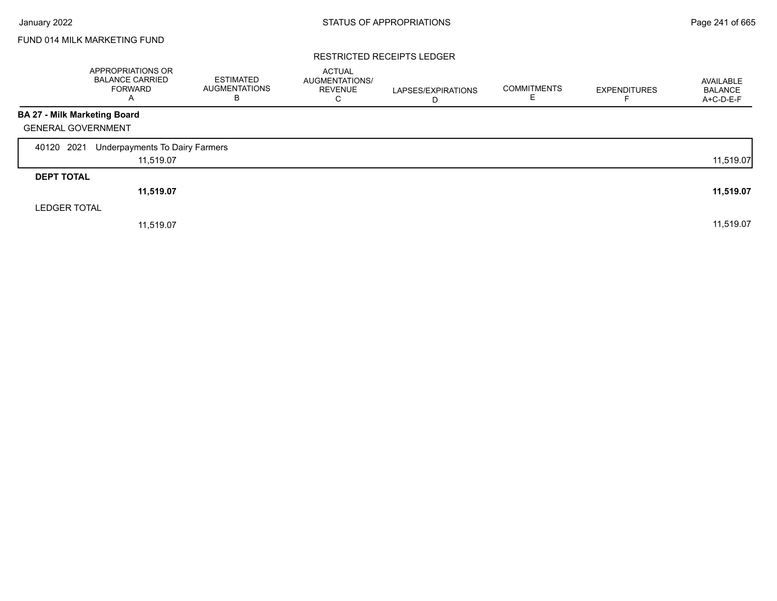## FUND 014 MILK MARKETING FUND

#### RESTRICTED RECEIPTS LEDGER

|                              | <b>APPROPRIATIONS OR</b><br><b>BALANCE CARRIED</b><br><b>FORWARD</b><br>Α | <b>ESTIMATED</b><br><b>AUGMENTATIONS</b><br>В | <b>ACTUAL</b><br>AUGMENTATIONS/<br><b>REVENUE</b><br>С | LAPSES/EXPIRATIONS<br>D | <b>COMMITMENTS</b> | <b>EXPENDITURES</b> | AVAILABLE<br><b>BALANCE</b><br>A+C-D-E-F |
|------------------------------|---------------------------------------------------------------------------|-----------------------------------------------|--------------------------------------------------------|-------------------------|--------------------|---------------------|------------------------------------------|
| BA 27 - Milk Marketing Board |                                                                           |                                               |                                                        |                         |                    |                     |                                          |
| <b>GENERAL GOVERNMENT</b>    |                                                                           |                                               |                                                        |                         |                    |                     |                                          |
| 2021<br>40120                | Underpayments To Dairy Farmers                                            |                                               |                                                        |                         |                    |                     |                                          |
|                              | 11,519.07                                                                 |                                               |                                                        |                         |                    |                     | 11,519.07                                |
| <b>DEPT TOTAL</b>            |                                                                           |                                               |                                                        |                         |                    |                     |                                          |
|                              | 11,519.07                                                                 |                                               |                                                        |                         |                    |                     | 11,519.07                                |
| <b>LEDGER TOTAL</b>          |                                                                           |                                               |                                                        |                         |                    |                     |                                          |
|                              | 11,519.07                                                                 |                                               |                                                        |                         |                    |                     | 11,519.07                                |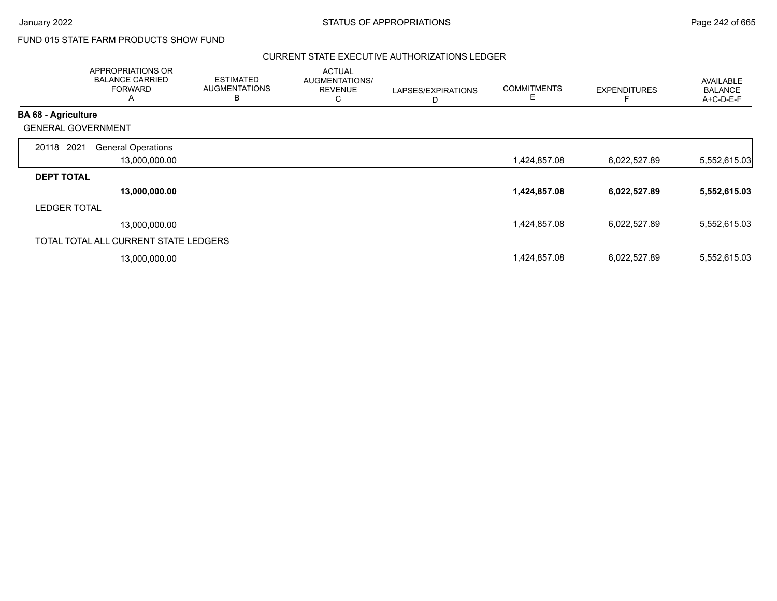# FUND 015 STATE FARM PRODUCTS SHOW FUND

### CURRENT STATE EXECUTIVE AUTHORIZATIONS LEDGER

|                            | APPROPRIATIONS OR<br><b>BALANCE CARRIED</b><br><b>FORWARD</b><br>A | <b>ESTIMATED</b><br><b>AUGMENTATIONS</b><br>B | <b>ACTUAL</b><br>AUGMENTATIONS/<br><b>REVENUE</b><br>С | LAPSES/EXPIRATIONS<br>D | <b>COMMITMENTS</b><br>E | <b>EXPENDITURES</b> | <b>AVAILABLE</b><br><b>BALANCE</b><br>A+C-D-E-F |
|----------------------------|--------------------------------------------------------------------|-----------------------------------------------|--------------------------------------------------------|-------------------------|-------------------------|---------------------|-------------------------------------------------|
| <b>BA 68 - Agriculture</b> |                                                                    |                                               |                                                        |                         |                         |                     |                                                 |
| <b>GENERAL GOVERNMENT</b>  |                                                                    |                                               |                                                        |                         |                         |                     |                                                 |
| 2021<br>20118              | <b>General Operations</b>                                          |                                               |                                                        |                         |                         |                     |                                                 |
|                            | 13,000,000.00                                                      |                                               |                                                        |                         | 1,424,857.08            | 6,022,527.89        | 5,552,615.03                                    |
| <b>DEPT TOTAL</b>          |                                                                    |                                               |                                                        |                         |                         |                     |                                                 |
|                            | 13,000,000.00                                                      |                                               |                                                        |                         | 1,424,857.08            | 6,022,527.89        | 5,552,615.03                                    |
| <b>LEDGER TOTAL</b>        |                                                                    |                                               |                                                        |                         |                         |                     |                                                 |
|                            | 13,000,000.00                                                      |                                               |                                                        |                         | 1,424,857.08            | 6,022,527.89        | 5,552,615.03                                    |
|                            | TOTAL TOTAL ALL CURRENT STATE LEDGERS                              |                                               |                                                        |                         |                         |                     |                                                 |
|                            | 13,000,000.00                                                      |                                               |                                                        |                         | 1,424,857.08            | 6,022,527.89        | 5,552,615.03                                    |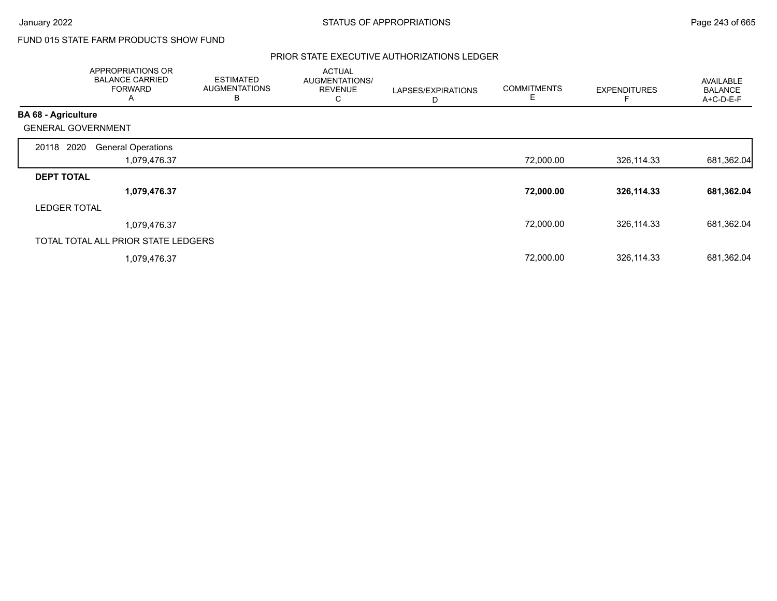# FUND 015 STATE FARM PRODUCTS SHOW FUND

## PRIOR STATE EXECUTIVE AUTHORIZATIONS LEDGER

|                            | APPROPRIATIONS OR<br><b>BALANCE CARRIED</b><br><b>FORWARD</b><br>A | <b>ESTIMATED</b><br><b>AUGMENTATIONS</b><br>B | <b>ACTUAL</b><br>AUGMENTATIONS/<br><b>REVENUE</b><br>С | LAPSES/EXPIRATIONS<br>D | <b>COMMITMENTS</b><br>E | <b>EXPENDITURES</b> | <b>AVAILABLE</b><br><b>BALANCE</b><br>A+C-D-E-F |
|----------------------------|--------------------------------------------------------------------|-----------------------------------------------|--------------------------------------------------------|-------------------------|-------------------------|---------------------|-------------------------------------------------|
| <b>BA 68 - Agriculture</b> |                                                                    |                                               |                                                        |                         |                         |                     |                                                 |
| <b>GENERAL GOVERNMENT</b>  |                                                                    |                                               |                                                        |                         |                         |                     |                                                 |
| 20118 2020                 | <b>General Operations</b>                                          |                                               |                                                        |                         |                         |                     |                                                 |
|                            | 1,079,476.37                                                       |                                               |                                                        |                         | 72,000.00               | 326,114.33          | 681,362.04                                      |
| <b>DEPT TOTAL</b>          |                                                                    |                                               |                                                        |                         |                         |                     |                                                 |
|                            | 1,079,476.37                                                       |                                               |                                                        |                         | 72,000.00               | 326,114.33          | 681,362.04                                      |
| <b>LEDGER TOTAL</b>        |                                                                    |                                               |                                                        |                         |                         |                     |                                                 |
|                            | 1,079,476.37                                                       |                                               |                                                        |                         | 72,000.00               | 326,114.33          | 681,362.04                                      |
|                            | TOTAL TOTAL ALL PRIOR STATE LEDGERS                                |                                               |                                                        |                         |                         |                     |                                                 |
|                            | 1,079,476.37                                                       |                                               |                                                        |                         | 72,000.00               | 326,114.33          | 681,362.04                                      |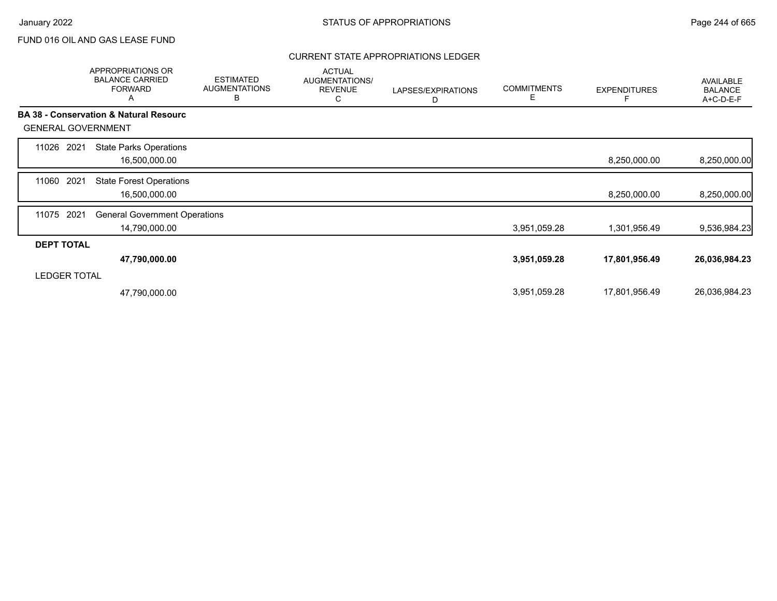## CURRENT STATE APPROPRIATIONS LEDGER

|                           | <b>APPROPRIATIONS OR</b><br><b>BALANCE CARRIED</b><br><b>FORWARD</b><br>A | <b>ESTIMATED</b><br><b>AUGMENTATIONS</b><br>B | <b>ACTUAL</b><br>AUGMENTATIONS/<br><b>REVENUE</b><br>С | LAPSES/EXPIRATIONS<br>D | <b>COMMITMENTS</b><br>E | <b>EXPENDITURES</b> | AVAILABLE<br><b>BALANCE</b><br>A+C-D-E-F |
|---------------------------|---------------------------------------------------------------------------|-----------------------------------------------|--------------------------------------------------------|-------------------------|-------------------------|---------------------|------------------------------------------|
|                           | <b>BA 38 - Conservation &amp; Natural Resourc</b>                         |                                               |                                                        |                         |                         |                     |                                          |
| <b>GENERAL GOVERNMENT</b> |                                                                           |                                               |                                                        |                         |                         |                     |                                          |
| 2021<br>11026             | <b>State Parks Operations</b>                                             |                                               |                                                        |                         |                         |                     |                                          |
|                           | 16,500,000.00                                                             |                                               |                                                        |                         |                         | 8,250,000.00        | 8,250,000.00                             |
| 2021<br>11060             | <b>State Forest Operations</b>                                            |                                               |                                                        |                         |                         |                     |                                          |
|                           | 16,500,000.00                                                             |                                               |                                                        |                         |                         | 8,250,000.00        | 8,250,000.00                             |
| 2021<br>11075             | <b>General Government Operations</b>                                      |                                               |                                                        |                         |                         |                     |                                          |
|                           | 14,790,000.00                                                             |                                               |                                                        |                         | 3,951,059.28            | 1,301,956.49        | 9,536,984.23                             |
| <b>DEPT TOTAL</b>         |                                                                           |                                               |                                                        |                         |                         |                     |                                          |
|                           | 47,790,000.00                                                             |                                               |                                                        |                         | 3,951,059.28            | 17,801,956.49       | 26,036,984.23                            |
| <b>LEDGER TOTAL</b>       |                                                                           |                                               |                                                        |                         |                         |                     |                                          |
|                           | 47,790,000.00                                                             |                                               |                                                        |                         | 3,951,059.28            | 17,801,956.49       | 26,036,984.23                            |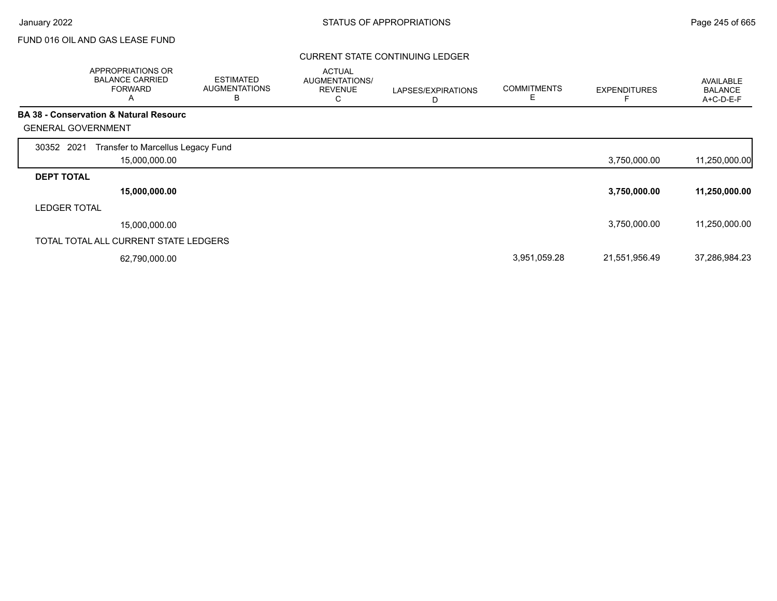### CURRENT STATE CONTINUING LEDGER

|                           | APPROPRIATIONS OR<br><b>BALANCE CARRIED</b><br><b>FORWARD</b><br>A | <b>ESTIMATED</b><br><b>AUGMENTATIONS</b><br>В | <b>ACTUAL</b><br><b>AUGMENTATIONS/</b><br><b>REVENUE</b><br>С | LAPSES/EXPIRATIONS<br>D | <b>COMMITMENTS</b> | <b>EXPENDITURES</b> | AVAILABLE<br><b>BALANCE</b><br>A+C-D-E-F |
|---------------------------|--------------------------------------------------------------------|-----------------------------------------------|---------------------------------------------------------------|-------------------------|--------------------|---------------------|------------------------------------------|
|                           | <b>BA 38 - Conservation &amp; Natural Resourc</b>                  |                                               |                                                               |                         |                    |                     |                                          |
| <b>GENERAL GOVERNMENT</b> |                                                                    |                                               |                                                               |                         |                    |                     |                                          |
| 30352 2021                | Transfer to Marcellus Legacy Fund<br>15,000,000.00                 |                                               |                                                               |                         |                    | 3,750,000.00        | 11,250,000.00                            |
| <b>DEPT TOTAL</b>         |                                                                    |                                               |                                                               |                         |                    |                     |                                          |
|                           | 15,000,000.00                                                      |                                               |                                                               |                         |                    | 3,750,000.00        | 11,250,000.00                            |
| <b>LEDGER TOTAL</b>       |                                                                    |                                               |                                                               |                         |                    |                     |                                          |
|                           | 15,000,000.00                                                      |                                               |                                                               |                         |                    | 3,750,000.00        | 11,250,000.00                            |
|                           | TOTAL TOTAL ALL CURRENT STATE LEDGERS                              |                                               |                                                               |                         |                    |                     |                                          |
|                           | 62,790,000.00                                                      |                                               |                                                               |                         | 3,951,059.28       | 21,551,956.49       | 37,286,984.23                            |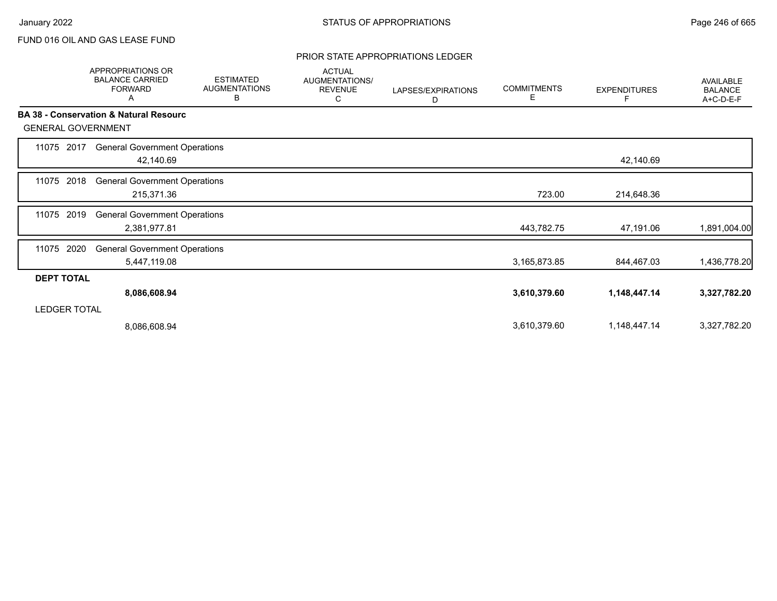### PRIOR STATE APPROPRIATIONS LEDGER

|                           | APPROPRIATIONS OR<br><b>BALANCE CARRIED</b><br><b>FORWARD</b><br>A | <b>ESTIMATED</b><br><b>AUGMENTATIONS</b><br>В | <b>ACTUAL</b><br>AUGMENTATIONS/<br><b>REVENUE</b><br>С | LAPSES/EXPIRATIONS<br>D | <b>COMMITMENTS</b><br>Е | <b>EXPENDITURES</b><br>F | AVAILABLE<br><b>BALANCE</b><br>A+C-D-E-F |
|---------------------------|--------------------------------------------------------------------|-----------------------------------------------|--------------------------------------------------------|-------------------------|-------------------------|--------------------------|------------------------------------------|
|                           | <b>BA 38 - Conservation &amp; Natural Resourc</b>                  |                                               |                                                        |                         |                         |                          |                                          |
| <b>GENERAL GOVERNMENT</b> |                                                                    |                                               |                                                        |                         |                         |                          |                                          |
| 2017<br>11075             | <b>General Government Operations</b><br>42,140.69                  |                                               |                                                        |                         |                         | 42,140.69                |                                          |
| 2018<br>11075             | <b>General Government Operations</b><br>215,371.36                 |                                               |                                                        |                         | 723.00                  | 214,648.36               |                                          |
| 2019<br>11075             | <b>General Government Operations</b><br>2,381,977.81               |                                               |                                                        |                         | 443,782.75              | 47,191.06                | 1,891,004.00                             |
| 2020<br>11075             | <b>General Government Operations</b><br>5,447,119.08               |                                               |                                                        |                         | 3,165,873.85            | 844,467.03               | 1,436,778.20                             |
| <b>DEPT TOTAL</b>         |                                                                    |                                               |                                                        |                         |                         |                          |                                          |
|                           | 8,086,608.94                                                       |                                               |                                                        |                         | 3,610,379.60            | 1,148,447.14             | 3,327,782.20                             |
| <b>LEDGER TOTAL</b>       |                                                                    |                                               |                                                        |                         |                         |                          |                                          |
|                           | 8,086,608.94                                                       |                                               |                                                        |                         | 3,610,379.60            | 1,148,447.14             | 3,327,782.20                             |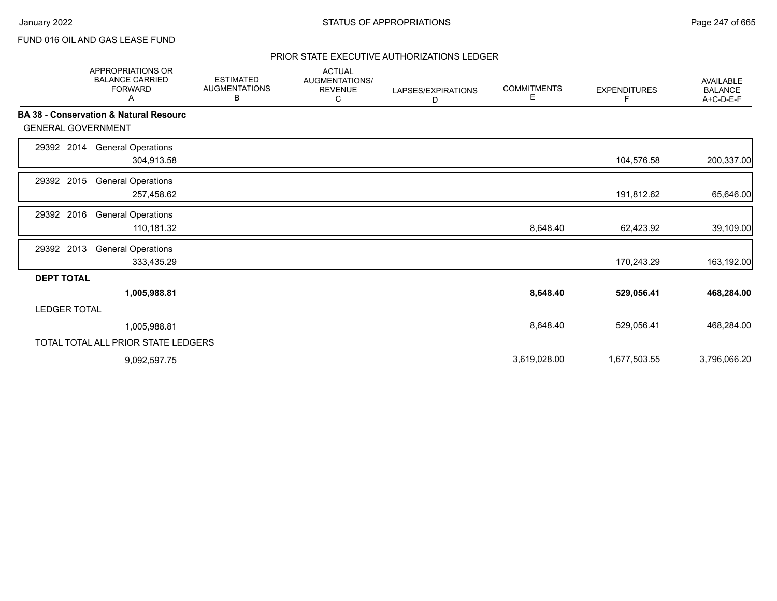## PRIOR STATE EXECUTIVE AUTHORIZATIONS LEDGER

|                           | <b>APPROPRIATIONS OR</b><br><b>BALANCE CARRIED</b><br><b>FORWARD</b><br>A | <b>ESTIMATED</b><br><b>AUGMENTATIONS</b><br>В | <b>ACTUAL</b><br><b>AUGMENTATIONS/</b><br><b>REVENUE</b><br>С | LAPSES/EXPIRATIONS<br>D | <b>COMMITMENTS</b><br>Е | <b>EXPENDITURES</b><br>F | <b>AVAILABLE</b><br><b>BALANCE</b><br>A+C-D-E-F |
|---------------------------|---------------------------------------------------------------------------|-----------------------------------------------|---------------------------------------------------------------|-------------------------|-------------------------|--------------------------|-------------------------------------------------|
|                           | <b>BA 38 - Conservation &amp; Natural Resourc</b>                         |                                               |                                                               |                         |                         |                          |                                                 |
| <b>GENERAL GOVERNMENT</b> |                                                                           |                                               |                                                               |                         |                         |                          |                                                 |
| 29392 2014                | <b>General Operations</b><br>304,913.58                                   |                                               |                                                               |                         |                         | 104,576.58               | 200,337.00                                      |
| 2015<br>29392             | <b>General Operations</b><br>257,458.62                                   |                                               |                                                               |                         |                         | 191,812.62               | 65,646.00                                       |
| 2016<br>29392             | <b>General Operations</b><br>110,181.32                                   |                                               |                                                               |                         | 8,648.40                | 62,423.92                | 39,109.00                                       |
| 29392 2013                | <b>General Operations</b><br>333,435.29                                   |                                               |                                                               |                         |                         | 170,243.29               | 163,192.00                                      |
| <b>DEPT TOTAL</b>         |                                                                           |                                               |                                                               |                         |                         |                          |                                                 |
|                           | 1,005,988.81                                                              |                                               |                                                               |                         | 8,648.40                | 529,056.41               | 468,284.00                                      |
| <b>LEDGER TOTAL</b>       |                                                                           |                                               |                                                               |                         |                         |                          |                                                 |
|                           | 1,005,988.81                                                              |                                               |                                                               |                         | 8,648.40                | 529,056.41               | 468,284.00                                      |
|                           | TOTAL TOTAL ALL PRIOR STATE LEDGERS                                       |                                               |                                                               |                         |                         |                          |                                                 |
|                           | 9,092,597.75                                                              |                                               |                                                               |                         | 3,619,028.00            | 1,677,503.55             | 3,796,066.20                                    |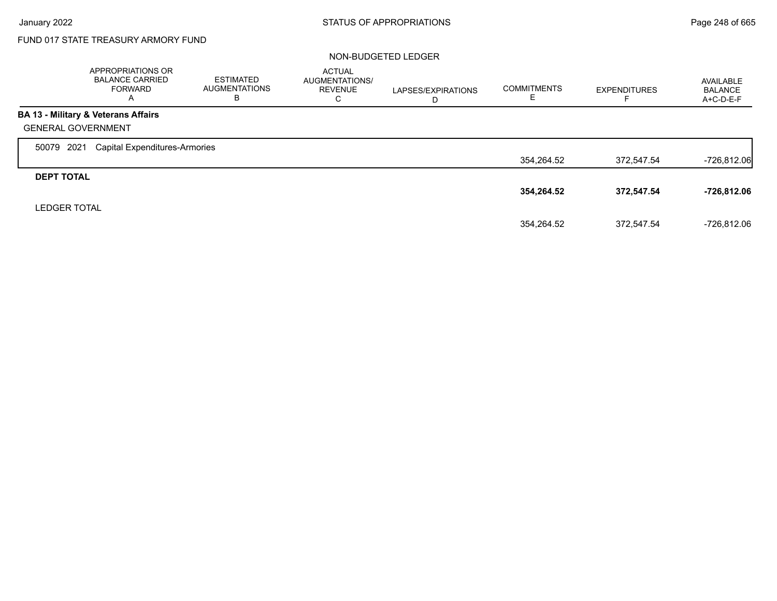$\Gamma$ 

# FUND 017 STATE TREASURY ARMORY FUND

#### NON-BUDGETED LEDGER

|                           | <b>APPROPRIATIONS OR</b><br><b>BALANCE CARRIED</b><br><b>FORWARD</b><br>$\overline{A}$ | <b>ESTIMATED</b><br><b>AUGMENTATIONS</b><br>в | <b>ACTUAL</b><br><b>AUGMENTATIONS/</b><br><b>REVENUE</b><br>С | LAPSES/EXPIRATIONS<br>D | <b>COMMITMENTS</b> | <b>EXPENDITURES</b> | AVAILABLE<br><b>BALANCE</b><br>A+C-D-E-F |
|---------------------------|----------------------------------------------------------------------------------------|-----------------------------------------------|---------------------------------------------------------------|-------------------------|--------------------|---------------------|------------------------------------------|
|                           | BA 13 - Military & Veterans Affairs                                                    |                                               |                                                               |                         |                    |                     |                                          |
| <b>GENERAL GOVERNMENT</b> |                                                                                        |                                               |                                                               |                         |                    |                     |                                          |
| 2021<br>50079             | <b>Capital Expenditures-Armories</b>                                                   |                                               |                                                               |                         |                    |                     |                                          |
|                           |                                                                                        |                                               |                                                               |                         | 354,264.52         | 372.547.54          | $-726,812.06$                            |
| <b>DEPT TOTAL</b>         |                                                                                        |                                               |                                                               |                         |                    |                     |                                          |
|                           |                                                                                        |                                               |                                                               |                         | 354,264.52         | 372,547.54          | $-726,812.06$                            |
| <b>LEDGER TOTAL</b>       |                                                                                        |                                               |                                                               |                         |                    |                     |                                          |
|                           |                                                                                        |                                               |                                                               |                         | 354.264.52         | 372.547.54          | $-726.812.06$                            |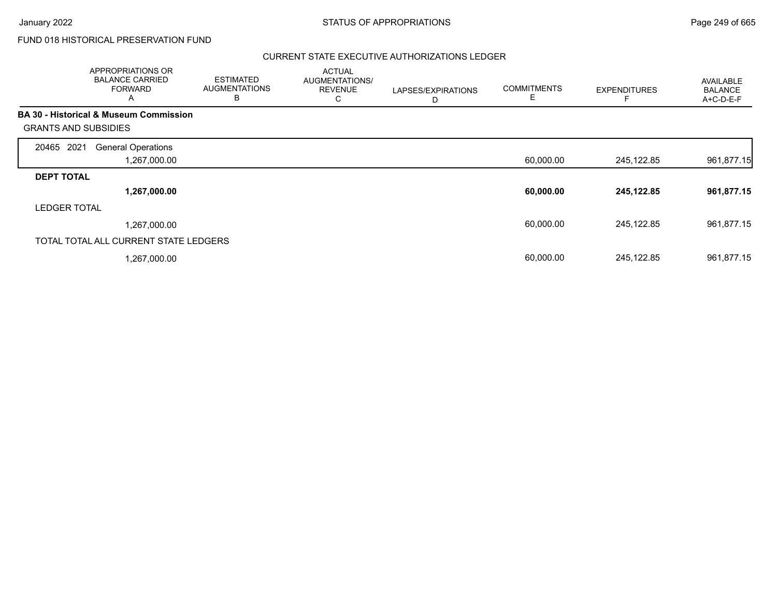# FUND 018 HISTORICAL PRESERVATION FUND

### CURRENT STATE EXECUTIVE AUTHORIZATIONS LEDGER

|                             | APPROPRIATIONS OR<br><b>BALANCE CARRIED</b><br><b>FORWARD</b><br>A | <b>ESTIMATED</b><br><b>AUGMENTATIONS</b><br>B | <b>ACTUAL</b><br>AUGMENTATIONS/<br><b>REVENUE</b><br>С | LAPSES/EXPIRATIONS<br>D | <b>COMMITMENTS</b><br>Е | <b>EXPENDITURES</b> | <b>AVAILABLE</b><br><b>BALANCE</b><br>A+C-D-E-F |
|-----------------------------|--------------------------------------------------------------------|-----------------------------------------------|--------------------------------------------------------|-------------------------|-------------------------|---------------------|-------------------------------------------------|
|                             | <b>BA 30 - Historical &amp; Museum Commission</b>                  |                                               |                                                        |                         |                         |                     |                                                 |
| <b>GRANTS AND SUBSIDIES</b> |                                                                    |                                               |                                                        |                         |                         |                     |                                                 |
| 2021<br>20465               | <b>General Operations</b>                                          |                                               |                                                        |                         |                         |                     |                                                 |
|                             | 1,267,000.00                                                       |                                               |                                                        |                         | 60,000.00               | 245,122.85          | 961,877.15                                      |
| <b>DEPT TOTAL</b>           |                                                                    |                                               |                                                        |                         |                         |                     |                                                 |
|                             | 1,267,000.00                                                       |                                               |                                                        |                         | 60,000.00               | 245,122.85          | 961,877.15                                      |
| <b>LEDGER TOTAL</b>         |                                                                    |                                               |                                                        |                         |                         |                     |                                                 |
|                             | 1,267,000.00                                                       |                                               |                                                        |                         | 60,000.00               | 245,122.85          | 961,877.15                                      |
|                             | TOTAL TOTAL ALL CURRENT STATE LEDGERS                              |                                               |                                                        |                         |                         |                     |                                                 |
|                             | 1,267,000.00                                                       |                                               |                                                        |                         | 60,000.00               | 245,122.85          | 961,877.15                                      |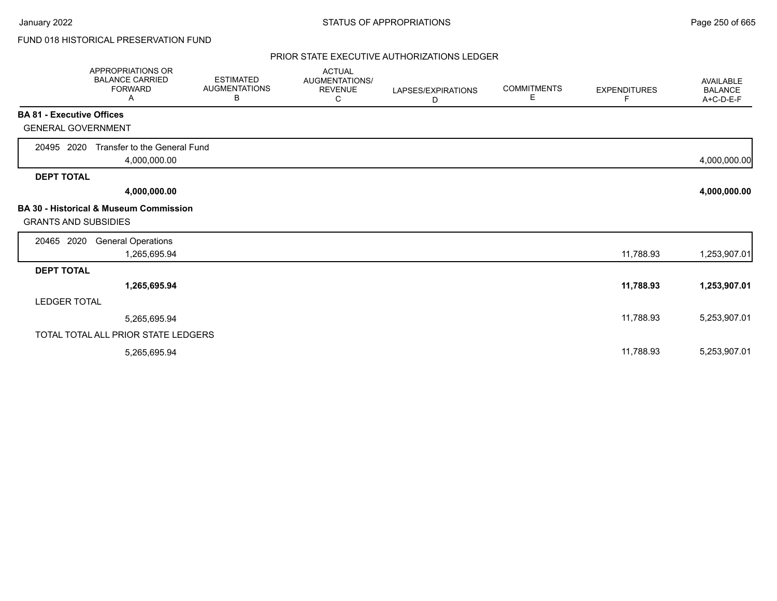# FUND 018 HISTORICAL PRESERVATION FUND

#### PRIOR STATE EXECUTIVE AUTHORIZATIONS LEDGER

|                                  | APPROPRIATIONS OR<br><b>BALANCE CARRIED</b><br><b>FORWARD</b><br>Α | <b>ESTIMATED</b><br><b>AUGMENTATIONS</b><br>В | <b>ACTUAL</b><br>AUGMENTATIONS/<br><b>REVENUE</b><br>C | LAPSES/EXPIRATIONS<br>D | <b>COMMITMENTS</b><br>E. | <b>EXPENDITURES</b><br>F | <b>AVAILABLE</b><br><b>BALANCE</b><br>A+C-D-E-F |
|----------------------------------|--------------------------------------------------------------------|-----------------------------------------------|--------------------------------------------------------|-------------------------|--------------------------|--------------------------|-------------------------------------------------|
| <b>BA 81 - Executive Offices</b> |                                                                    |                                               |                                                        |                         |                          |                          |                                                 |
| <b>GENERAL GOVERNMENT</b>        |                                                                    |                                               |                                                        |                         |                          |                          |                                                 |
| 20495 2020                       | Transfer to the General Fund<br>4,000,000.00                       |                                               |                                                        |                         |                          |                          | 4,000,000.00                                    |
| <b>DEPT TOTAL</b>                |                                                                    |                                               |                                                        |                         |                          |                          |                                                 |
|                                  | 4,000,000.00                                                       |                                               |                                                        |                         |                          |                          | 4,000,000.00                                    |
| <b>GRANTS AND SUBSIDIES</b>      | <b>BA 30 - Historical &amp; Museum Commission</b>                  |                                               |                                                        |                         |                          |                          |                                                 |
| 20465 2020                       | <b>General Operations</b><br>1,265,695.94                          |                                               |                                                        |                         |                          | 11,788.93                | 1,253,907.01                                    |
| <b>DEPT TOTAL</b>                |                                                                    |                                               |                                                        |                         |                          |                          |                                                 |
|                                  | 1,265,695.94                                                       |                                               |                                                        |                         |                          | 11,788.93                | 1,253,907.01                                    |
| <b>LEDGER TOTAL</b>              |                                                                    |                                               |                                                        |                         |                          |                          |                                                 |
|                                  | 5,265,695.94                                                       |                                               |                                                        |                         |                          | 11,788.93                | 5,253,907.01                                    |
|                                  | TOTAL TOTAL ALL PRIOR STATE LEDGERS                                |                                               |                                                        |                         |                          |                          |                                                 |
|                                  | 5,265,695.94                                                       |                                               |                                                        |                         |                          | 11,788.93                | 5,253,907.01                                    |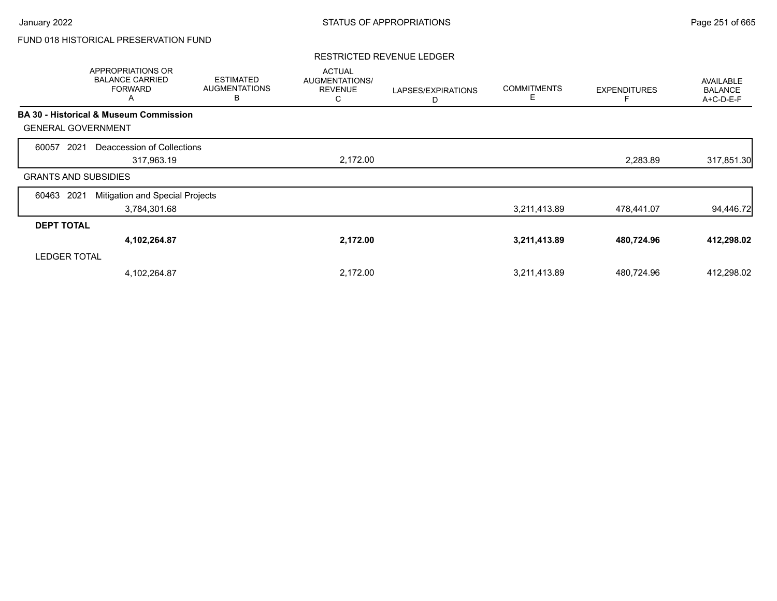# FUND 018 HISTORICAL PRESERVATION FUND

### RESTRICTED REVENUE LEDGER

|                             | APPROPRIATIONS OR<br><b>BALANCE CARRIED</b><br><b>FORWARD</b><br>Α | <b>ESTIMATED</b><br><b>AUGMENTATIONS</b><br>В | <b>ACTUAL</b><br>AUGMENTATIONS/<br><b>REVENUE</b><br>С | LAPSES/EXPIRATIONS<br>D | <b>COMMITMENTS</b><br>E | <b>EXPENDITURES</b> | <b>AVAILABLE</b><br><b>BALANCE</b><br>A+C-D-E-F |
|-----------------------------|--------------------------------------------------------------------|-----------------------------------------------|--------------------------------------------------------|-------------------------|-------------------------|---------------------|-------------------------------------------------|
|                             | <b>BA 30 - Historical &amp; Museum Commission</b>                  |                                               |                                                        |                         |                         |                     |                                                 |
| <b>GENERAL GOVERNMENT</b>   |                                                                    |                                               |                                                        |                         |                         |                     |                                                 |
| 2021<br>60057               | Deaccession of Collections                                         |                                               |                                                        |                         |                         |                     |                                                 |
|                             | 317,963.19                                                         |                                               | 2,172.00                                               |                         |                         | 2,283.89            | 317,851.30                                      |
| <b>GRANTS AND SUBSIDIES</b> |                                                                    |                                               |                                                        |                         |                         |                     |                                                 |
| 2021<br>60463               | Mitigation and Special Projects                                    |                                               |                                                        |                         |                         |                     |                                                 |
|                             | 3,784,301.68                                                       |                                               |                                                        |                         | 3,211,413.89            | 478,441.07          | 94,446.72                                       |
| <b>DEPT TOTAL</b>           |                                                                    |                                               |                                                        |                         |                         |                     |                                                 |
|                             | 4,102,264.87                                                       |                                               | 2,172.00                                               |                         | 3,211,413.89            | 480,724.96          | 412,298.02                                      |
| <b>LEDGER TOTAL</b>         |                                                                    |                                               |                                                        |                         |                         |                     |                                                 |
|                             | 4,102,264.87                                                       |                                               | 2,172.00                                               |                         | 3,211,413.89            | 480,724.96          | 412,298.02                                      |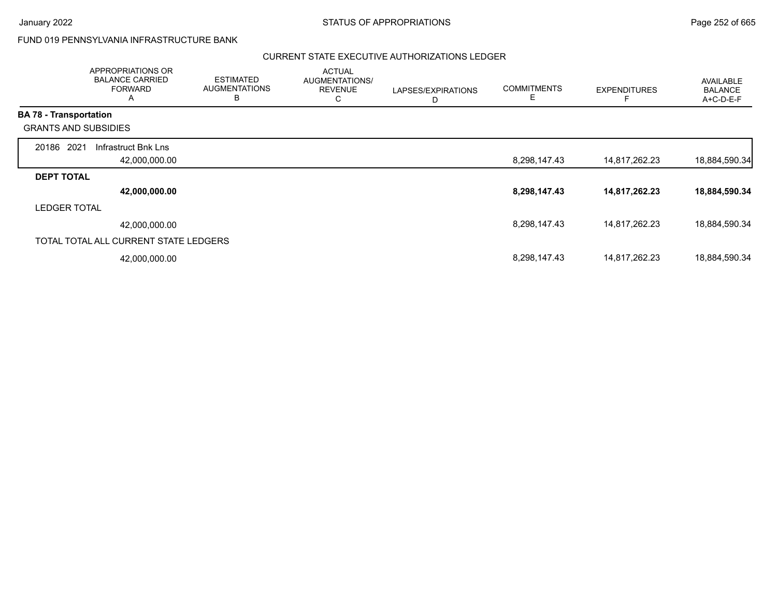$\Gamma$ 

# FUND 019 PENNSYLVANIA INFRASTRUCTURE BANK

### CURRENT STATE EXECUTIVE AUTHORIZATIONS LEDGER

|                             | APPROPRIATIONS OR<br><b>BALANCE CARRIED</b><br><b>FORWARD</b><br>A | <b>ESTIMATED</b><br><b>AUGMENTATIONS</b><br>в | <b>ACTUAL</b><br>AUGMENTATIONS/<br><b>REVENUE</b><br>С | LAPSES/EXPIRATIONS<br>D | <b>COMMITMENTS</b><br>Е | <b>EXPENDITURES</b> | AVAILABLE<br><b>BALANCE</b><br>A+C-D-E-F |
|-----------------------------|--------------------------------------------------------------------|-----------------------------------------------|--------------------------------------------------------|-------------------------|-------------------------|---------------------|------------------------------------------|
| BA 78 - Transportation      |                                                                    |                                               |                                                        |                         |                         |                     |                                          |
| <b>GRANTS AND SUBSIDIES</b> |                                                                    |                                               |                                                        |                         |                         |                     |                                          |
| 2021<br>20186               | Infrastruct Bnk Lns                                                |                                               |                                                        |                         |                         |                     |                                          |
|                             | 42,000,000.00                                                      |                                               |                                                        |                         | 8,298,147.43            | 14,817,262.23       | 18,884,590.34                            |
| <b>DEPT TOTAL</b>           |                                                                    |                                               |                                                        |                         |                         |                     |                                          |
|                             | 42,000,000.00                                                      |                                               |                                                        |                         | 8,298,147.43            | 14,817,262.23       | 18,884,590.34                            |
| <b>LEDGER TOTAL</b>         |                                                                    |                                               |                                                        |                         |                         |                     |                                          |
|                             | 42,000,000.00                                                      |                                               |                                                        |                         | 8,298,147.43            | 14,817,262.23       | 18,884,590.34                            |
|                             | TOTAL TOTAL ALL CURRENT STATE LEDGERS                              |                                               |                                                        |                         |                         |                     |                                          |
|                             | 42,000,000.00                                                      |                                               |                                                        |                         | 8,298,147.43            | 14,817,262.23       | 18,884,590.34                            |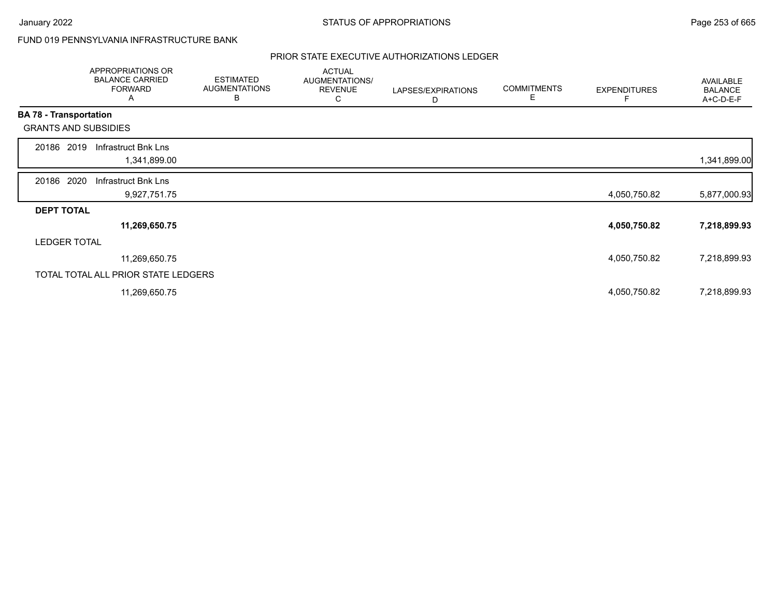# FUND 019 PENNSYLVANIA INFRASTRUCTURE BANK

|                               | APPROPRIATIONS OR<br><b>BALANCE CARRIED</b><br><b>FORWARD</b><br>A | <b>ESTIMATED</b><br><b>AUGMENTATIONS</b><br>B | <b>ACTUAL</b><br>AUGMENTATIONS/<br><b>REVENUE</b><br>C | LAPSES/EXPIRATIONS<br>D | <b>COMMITMENTS</b><br>Е | <b>EXPENDITURES</b> | AVAILABLE<br><b>BALANCE</b><br>A+C-D-E-F |
|-------------------------------|--------------------------------------------------------------------|-----------------------------------------------|--------------------------------------------------------|-------------------------|-------------------------|---------------------|------------------------------------------|
| <b>BA 78 - Transportation</b> |                                                                    |                                               |                                                        |                         |                         |                     |                                          |
|                               | <b>GRANTS AND SUBSIDIES</b>                                        |                                               |                                                        |                         |                         |                     |                                          |
| 20186                         | 2019<br>Infrastruct Bnk Lns<br>1,341,899.00                        |                                               |                                                        |                         |                         |                     | 1,341,899.00                             |
| 20186 2020                    | Infrastruct Bnk Lns<br>9,927,751.75                                |                                               |                                                        |                         |                         | 4,050,750.82        | 5,877,000.93                             |
| <b>DEPT TOTAL</b>             |                                                                    |                                               |                                                        |                         |                         |                     |                                          |
|                               | 11,269,650.75                                                      |                                               |                                                        |                         |                         | 4,050,750.82        | 7,218,899.93                             |
|                               | <b>LEDGER TOTAL</b>                                                |                                               |                                                        |                         |                         |                     |                                          |
|                               | 11,269,650.75                                                      |                                               |                                                        |                         |                         | 4,050,750.82        | 7,218,899.93                             |
|                               | TOTAL TOTAL ALL PRIOR STATE LEDGERS                                |                                               |                                                        |                         |                         |                     |                                          |
|                               | 11,269,650.75                                                      |                                               |                                                        |                         |                         | 4,050,750.82        | 7,218,899.93                             |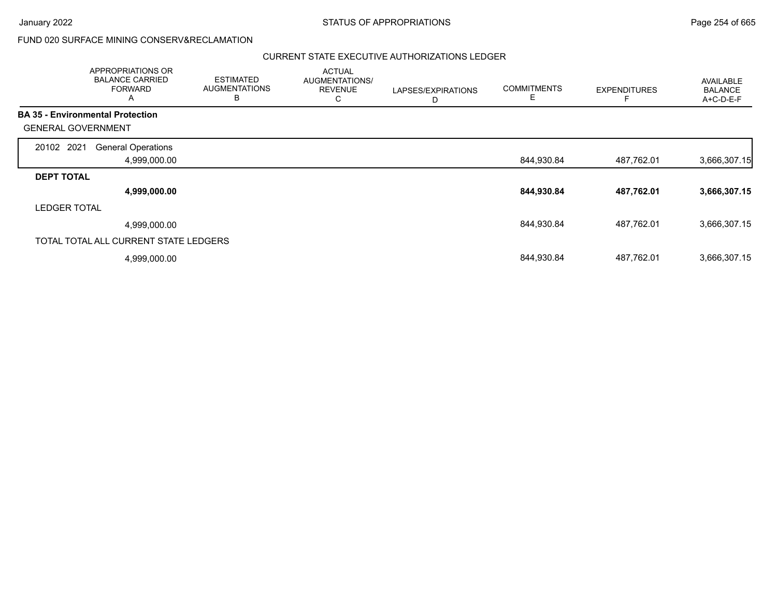|                                         | <b>APPROPRIATIONS OR</b><br><b>BALANCE CARRIED</b><br><b>FORWARD</b><br>A | <b>ESTIMATED</b><br><b>AUGMENTATIONS</b><br>B | <b>ACTUAL</b><br>AUGMENTATIONS/<br><b>REVENUE</b><br>U | LAPSES/EXPIRATIONS<br>D | <b>COMMITMENTS</b><br>Е | <b>EXPENDITURES</b> | AVAILABLE<br><b>BALANCE</b><br>A+C-D-E-F |
|-----------------------------------------|---------------------------------------------------------------------------|-----------------------------------------------|--------------------------------------------------------|-------------------------|-------------------------|---------------------|------------------------------------------|
| <b>BA 35 - Environmental Protection</b> |                                                                           |                                               |                                                        |                         |                         |                     |                                          |
| <b>GENERAL GOVERNMENT</b>               |                                                                           |                                               |                                                        |                         |                         |                     |                                          |
| 20102 2021                              | <b>General Operations</b>                                                 |                                               |                                                        |                         |                         |                     |                                          |
|                                         | 4,999,000.00                                                              |                                               |                                                        |                         | 844,930.84              | 487,762.01          | 3,666,307.15                             |
| <b>DEPT TOTAL</b>                       |                                                                           |                                               |                                                        |                         |                         |                     |                                          |
|                                         | 4,999,000.00                                                              |                                               |                                                        |                         | 844,930.84              | 487,762.01          | 3,666,307.15                             |
| <b>LEDGER TOTAL</b>                     |                                                                           |                                               |                                                        |                         |                         |                     |                                          |
|                                         | 4,999,000.00                                                              |                                               |                                                        |                         | 844,930.84              | 487,762.01          | 3,666,307.15                             |
| TOTAL TOTAL ALL CURRENT STATE LEDGERS   |                                                                           |                                               |                                                        |                         |                         |                     |                                          |
|                                         | 4,999,000.00                                                              |                                               |                                                        |                         | 844,930.84              | 487,762.01          | 3,666,307.15                             |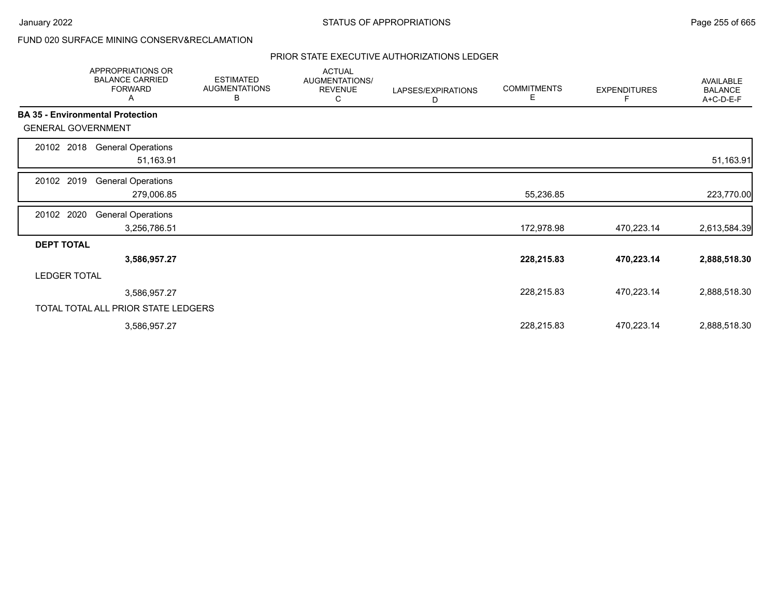|                           | APPROPRIATIONS OR<br><b>BALANCE CARRIED</b><br><b>FORWARD</b><br>Α | <b>ESTIMATED</b><br><b>AUGMENTATIONS</b><br>В | <b>ACTUAL</b><br>AUGMENTATIONS/<br><b>REVENUE</b><br>С | LAPSES/EXPIRATIONS<br>D | <b>COMMITMENTS</b><br>Е | <b>EXPENDITURES</b><br>F | AVAILABLE<br><b>BALANCE</b><br>A+C-D-E-F |
|---------------------------|--------------------------------------------------------------------|-----------------------------------------------|--------------------------------------------------------|-------------------------|-------------------------|--------------------------|------------------------------------------|
|                           | <b>BA 35 - Environmental Protection</b>                            |                                               |                                                        |                         |                         |                          |                                          |
| <b>GENERAL GOVERNMENT</b> |                                                                    |                                               |                                                        |                         |                         |                          |                                          |
| 20102 2018                | <b>General Operations</b><br>51,163.91                             |                                               |                                                        |                         |                         |                          | 51,163.91                                |
| 20102 2019                | <b>General Operations</b><br>279,006.85                            |                                               |                                                        |                         | 55,236.85               |                          | 223,770.00                               |
| 20102 2020                | <b>General Operations</b><br>3,256,786.51                          |                                               |                                                        |                         | 172,978.98              | 470,223.14               | 2,613,584.39                             |
| <b>DEPT TOTAL</b>         |                                                                    |                                               |                                                        |                         |                         |                          |                                          |
|                           | 3,586,957.27                                                       |                                               |                                                        |                         | 228,215.83              | 470,223.14               | 2,888,518.30                             |
| <b>LEDGER TOTAL</b>       |                                                                    |                                               |                                                        |                         |                         |                          |                                          |
|                           | 3,586,957.27                                                       |                                               |                                                        |                         | 228,215.83              | 470,223.14               | 2,888,518.30                             |
|                           | TOTAL TOTAL ALL PRIOR STATE LEDGERS                                |                                               |                                                        |                         |                         |                          |                                          |
|                           | 3,586,957.27                                                       |                                               |                                                        |                         | 228,215.83              | 470,223.14               | 2,888,518.30                             |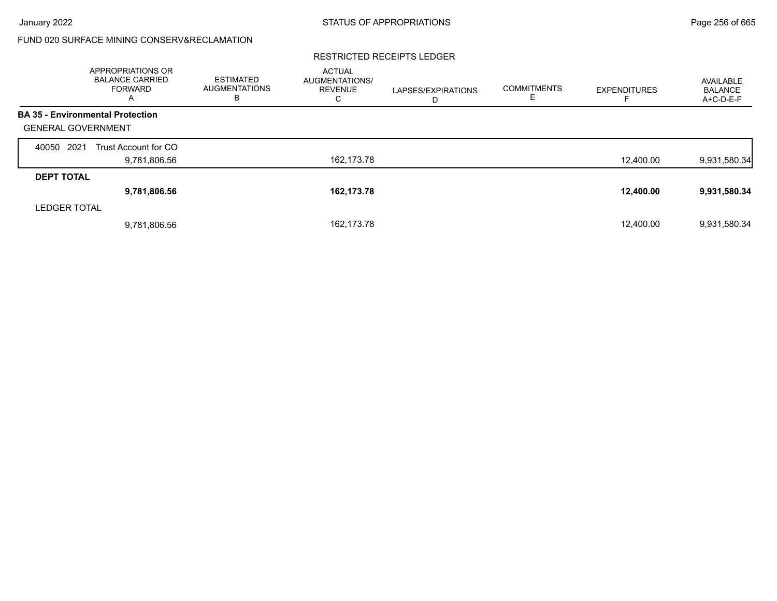#### RESTRICTED RECEIPTS LEDGER

|                           | <b>APPROPRIATIONS OR</b><br><b>BALANCE CARRIED</b><br><b>FORWARD</b><br>A | <b>ESTIMATED</b><br><b>AUGMENTATIONS</b><br>в | <b>ACTUAL</b><br><b>AUGMENTATIONS/</b><br><b>REVENUE</b><br>С | LAPSES/EXPIRATIONS<br>D | <b>COMMITMENTS</b><br>ᄂ | <b>EXPENDITURES</b> | AVAILABLE<br><b>BALANCE</b><br>A+C-D-E-F |
|---------------------------|---------------------------------------------------------------------------|-----------------------------------------------|---------------------------------------------------------------|-------------------------|-------------------------|---------------------|------------------------------------------|
|                           | <b>BA 35 - Environmental Protection</b>                                   |                                               |                                                               |                         |                         |                     |                                          |
| <b>GENERAL GOVERNMENT</b> |                                                                           |                                               |                                                               |                         |                         |                     |                                          |
| 2021<br>40050             | Trust Account for CO                                                      |                                               |                                                               |                         |                         |                     |                                          |
|                           | 9,781,806.56                                                              |                                               | 162,173.78                                                    |                         |                         | 12,400.00           | 9,931,580.34                             |
| <b>DEPT TOTAL</b>         |                                                                           |                                               |                                                               |                         |                         |                     |                                          |
|                           | 9,781,806.56                                                              |                                               | 162,173.78                                                    |                         |                         | 12,400.00           | 9,931,580.34                             |
| <b>LEDGER TOTAL</b>       |                                                                           |                                               |                                                               |                         |                         |                     |                                          |
|                           | 9,781,806.56                                                              |                                               | 162,173.78                                                    |                         |                         | 12,400.00           | 9,931,580.34                             |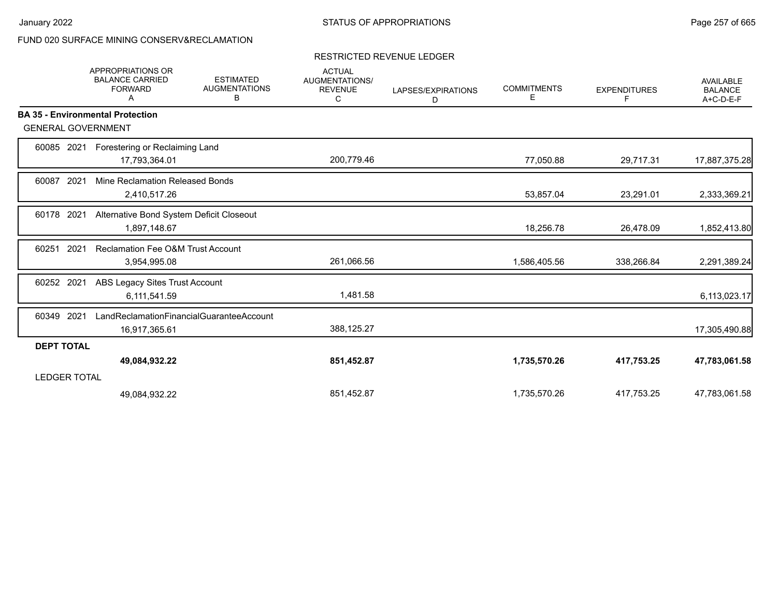### RESTRICTED REVENUE LEDGER

|                           | <b>APPROPRIATIONS OR</b><br><b>BALANCE CARRIED</b><br><b>FORWARD</b><br>A | <b>ESTIMATED</b><br><b>AUGMENTATIONS</b><br>В | <b>ACTUAL</b><br>AUGMENTATIONS/<br><b>REVENUE</b><br>С | LAPSES/EXPIRATIONS<br>D | <b>COMMITMENTS</b><br>Е | <b>EXPENDITURES</b><br>F | <b>AVAILABLE</b><br><b>BALANCE</b><br>A+C-D-E-F |
|---------------------------|---------------------------------------------------------------------------|-----------------------------------------------|--------------------------------------------------------|-------------------------|-------------------------|--------------------------|-------------------------------------------------|
|                           | <b>BA 35 - Environmental Protection</b>                                   |                                               |                                                        |                         |                         |                          |                                                 |
| <b>GENERAL GOVERNMENT</b> |                                                                           |                                               |                                                        |                         |                         |                          |                                                 |
| 60085 2021                | Forestering or Reclaiming Land                                            |                                               |                                                        |                         |                         |                          |                                                 |
|                           | 17,793,364.01                                                             |                                               | 200,779.46                                             |                         | 77,050.88               | 29,717.31                | 17,887,375.28                                   |
| 2021<br>60087             | Mine Reclamation Released Bonds                                           |                                               |                                                        |                         |                         |                          |                                                 |
|                           | 2,410,517.26                                                              |                                               |                                                        |                         | 53,857.04               | 23,291.01                | 2,333,369.21                                    |
| 60178 2021                | Alternative Bond System Deficit Closeout                                  |                                               |                                                        |                         |                         |                          |                                                 |
|                           | 1,897,148.67                                                              |                                               |                                                        |                         | 18,256.78               | 26,478.09                | 1,852,413.80                                    |
| 2021<br>60251             | <b>Reclamation Fee O&amp;M Trust Account</b>                              |                                               |                                                        |                         |                         |                          |                                                 |
|                           | 3,954,995.08                                                              |                                               | 261,066.56                                             |                         | 1,586,405.56            | 338,266.84               | 2,291,389.24                                    |
| 60252 2021                | ABS Legacy Sites Trust Account                                            |                                               |                                                        |                         |                         |                          |                                                 |
|                           | 6,111,541.59                                                              |                                               | 1.481.58                                               |                         |                         |                          | 6,113,023.17                                    |
| 2021<br>60349             | LandReclamationFinancialGuaranteeAccount                                  |                                               |                                                        |                         |                         |                          |                                                 |
|                           | 16,917,365.61                                                             |                                               | 388,125.27                                             |                         |                         |                          | 17,305,490.88                                   |
| <b>DEPT TOTAL</b>         |                                                                           |                                               |                                                        |                         |                         |                          |                                                 |
|                           | 49,084,932.22                                                             |                                               | 851,452.87                                             |                         | 1,735,570.26            | 417,753.25               | 47,783,061.58                                   |
| <b>LEDGER TOTAL</b>       |                                                                           |                                               |                                                        |                         |                         |                          |                                                 |
|                           | 49,084,932.22                                                             |                                               | 851,452.87                                             |                         | 1,735,570.26            | 417,753.25               | 47,783,061.58                                   |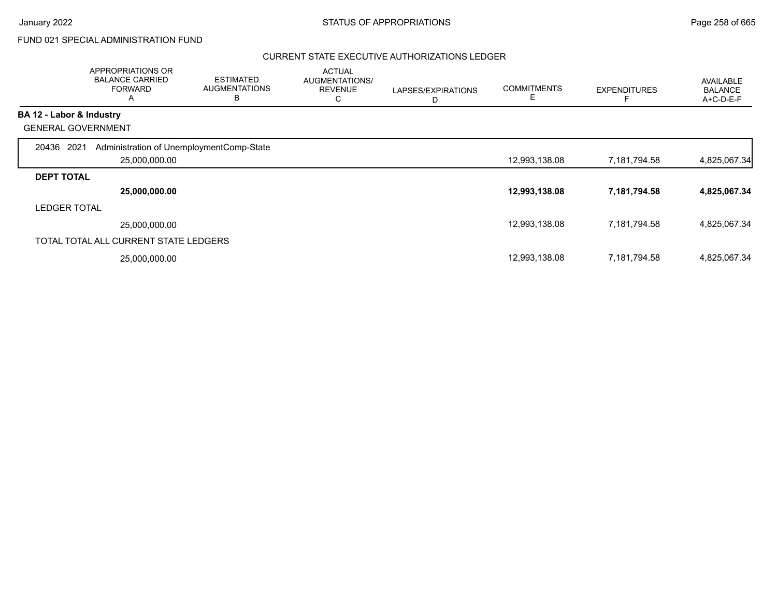# FUND 021 SPECIAL ADMINISTRATION FUND

|                          | APPROPRIATIONS OR<br><b>BALANCE CARRIED</b><br><b>FORWARD</b><br>A | <b>ESTIMATED</b><br><b>AUGMENTATIONS</b><br>B | <b>ACTUAL</b><br>AUGMENTATIONS/<br><b>REVENUE</b><br>С | LAPSES/EXPIRATIONS<br>D | <b>COMMITMENTS</b><br>Ε | <b>EXPENDITURES</b> | AVAILABLE<br><b>BALANCE</b><br>A+C-D-E-F |
|--------------------------|--------------------------------------------------------------------|-----------------------------------------------|--------------------------------------------------------|-------------------------|-------------------------|---------------------|------------------------------------------|
| BA 12 - Labor & Industry |                                                                    |                                               |                                                        |                         |                         |                     |                                          |
|                          | <b>GENERAL GOVERNMENT</b>                                          |                                               |                                                        |                         |                         |                     |                                          |
| 20436                    | 2021<br>Administration of UnemploymentComp-State<br>25,000,000.00  |                                               |                                                        |                         | 12,993,138.08           | 7,181,794.58        | 4,825,067.34                             |
| <b>DEPT TOTAL</b>        |                                                                    |                                               |                                                        |                         |                         |                     |                                          |
|                          | 25,000,000.00                                                      |                                               |                                                        |                         | 12,993,138.08           | 7,181,794.58        | 4,825,067.34                             |
| <b>LEDGER TOTAL</b>      |                                                                    |                                               |                                                        |                         |                         |                     |                                          |
|                          | 25,000,000.00                                                      |                                               |                                                        |                         | 12,993,138.08           | 7,181,794.58        | 4,825,067.34                             |
|                          | TOTAL TOTAL ALL CURRENT STATE LEDGERS                              |                                               |                                                        |                         |                         |                     |                                          |
|                          | 25,000,000.00                                                      |                                               |                                                        |                         | 12,993,138.08           | 7,181,794.58        | 4,825,067.34                             |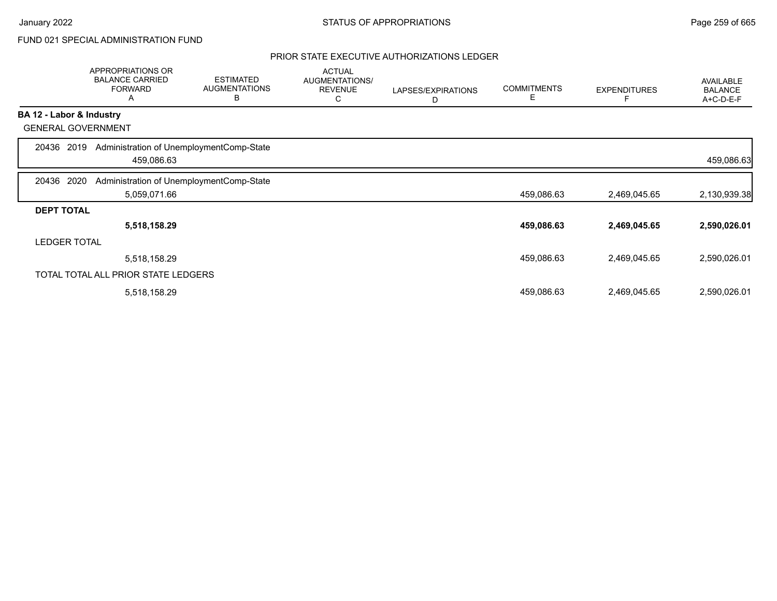# FUND 021 SPECIAL ADMINISTRATION FUND

|                     | APPROPRIATIONS OR<br><b>BALANCE CARRIED</b><br><b>FORWARD</b><br>Α | <b>ESTIMATED</b><br><b>AUGMENTATIONS</b><br>В | <b>ACTUAL</b><br>AUGMENTATIONS/<br><b>REVENUE</b><br>С | LAPSES/EXPIRATIONS<br>D | <b>COMMITMENTS</b><br>Е | <b>EXPENDITURES</b> | AVAILABLE<br><b>BALANCE</b><br>A+C-D-E-F |
|---------------------|--------------------------------------------------------------------|-----------------------------------------------|--------------------------------------------------------|-------------------------|-------------------------|---------------------|------------------------------------------|
|                     | BA 12 - Labor & Industry                                           |                                               |                                                        |                         |                         |                     |                                          |
|                     | <b>GENERAL GOVERNMENT</b>                                          |                                               |                                                        |                         |                         |                     |                                          |
| 20436               | Administration of UnemploymentComp-State<br>2019<br>459,086.63     |                                               |                                                        |                         |                         |                     | 459,086.63                               |
| 20436               | 2020<br>Administration of UnemploymentComp-State                   |                                               |                                                        |                         |                         |                     |                                          |
|                     | 5,059,071.66                                                       |                                               |                                                        |                         | 459,086.63              | 2,469,045.65        | 2,130,939.38                             |
| <b>DEPT TOTAL</b>   |                                                                    |                                               |                                                        |                         |                         |                     |                                          |
|                     | 5,518,158.29                                                       |                                               |                                                        |                         | 459,086.63              | 2,469,045.65        | 2,590,026.01                             |
| <b>LEDGER TOTAL</b> |                                                                    |                                               |                                                        |                         |                         |                     |                                          |
|                     | 5,518,158.29                                                       |                                               |                                                        |                         | 459,086.63              | 2,469,045.65        | 2,590,026.01                             |
|                     | TOTAL TOTAL ALL PRIOR STATE LEDGERS                                |                                               |                                                        |                         |                         |                     |                                          |
|                     | 5,518,158.29                                                       |                                               |                                                        |                         | 459,086.63              | 2,469,045.65        | 2,590,026.01                             |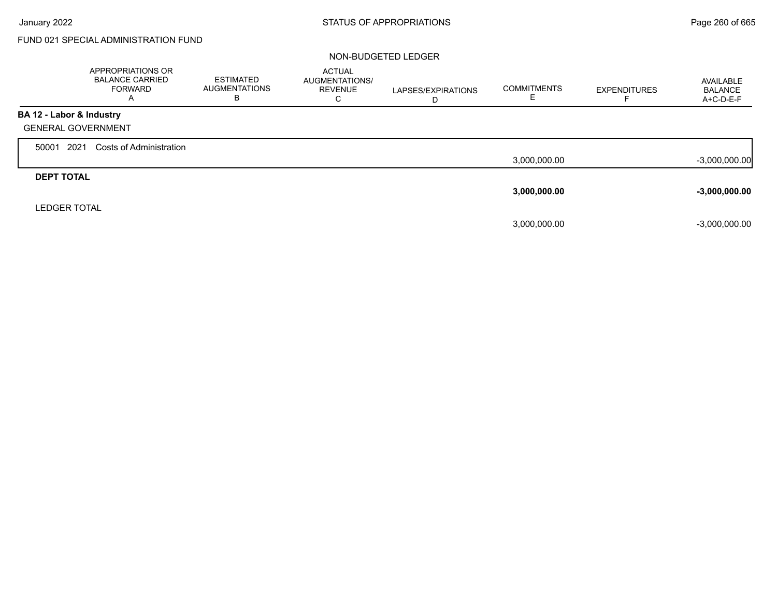Г

# FUND 021 SPECIAL ADMINISTRATION FUND

|                           | APPROPRIATIONS OR<br><b>BALANCE CARRIED</b><br><b>FORWARD</b><br>A | <b>ESTIMATED</b><br><b>AUGMENTATIONS</b><br>в | <b>ACTUAL</b><br><b>AUGMENTATIONS/</b><br><b>REVENUE</b><br>С | LAPSES/EXPIRATIONS<br>D | <b>COMMITMENTS</b> | <b>EXPENDITURES</b> | AVAILABLE<br><b>BALANCE</b><br>A+C-D-E-F |
|---------------------------|--------------------------------------------------------------------|-----------------------------------------------|---------------------------------------------------------------|-------------------------|--------------------|---------------------|------------------------------------------|
| BA 12 - Labor & Industry  |                                                                    |                                               |                                                               |                         |                    |                     |                                          |
| <b>GENERAL GOVERNMENT</b> |                                                                    |                                               |                                                               |                         |                    |                     |                                          |
| 2021<br>50001             | Costs of Administration                                            |                                               |                                                               |                         |                    |                     |                                          |
|                           |                                                                    |                                               |                                                               |                         | 3,000,000.00       |                     | $-3,000,000.00$                          |
| <b>DEPT TOTAL</b>         |                                                                    |                                               |                                                               |                         |                    |                     |                                          |
|                           |                                                                    |                                               |                                                               |                         | 3,000,000.00       |                     | $-3,000,000.00$                          |
| <b>LEDGER TOTAL</b>       |                                                                    |                                               |                                                               |                         |                    |                     |                                          |
|                           |                                                                    |                                               |                                                               |                         | 3,000,000.00       |                     | $-3,000,000.00$                          |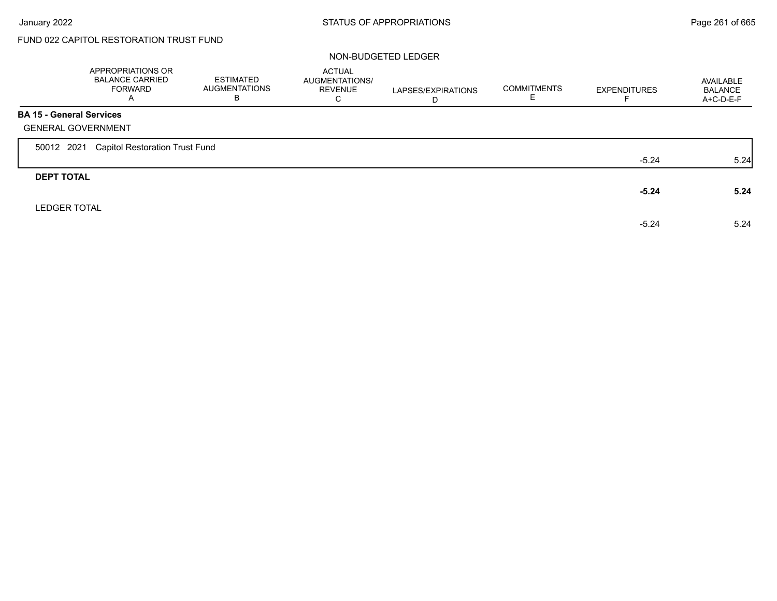Г

# FUND 022 CAPITOL RESTORATION TRUST FUND

|                                 | APPROPRIATIONS OR<br><b>BALANCE CARRIED</b><br><b>FORWARD</b><br>A | ESTIMATED<br><b>AUGMENTATIONS</b><br>В | <b>ACTUAL</b><br>AUGMENTATIONS/<br><b>REVENUE</b><br>C | LAPSES/EXPIRATIONS<br>D | <b>COMMITMENTS</b> | <b>EXPENDITURES</b> | AVAILABLE<br><b>BALANCE</b><br>A+C-D-E-F |
|---------------------------------|--------------------------------------------------------------------|----------------------------------------|--------------------------------------------------------|-------------------------|--------------------|---------------------|------------------------------------------|
| <b>BA 15 - General Services</b> |                                                                    |                                        |                                                        |                         |                    |                     |                                          |
|                                 | <b>GENERAL GOVERNMENT</b>                                          |                                        |                                                        |                         |                    |                     |                                          |
| 50012 2021                      | <b>Capitol Restoration Trust Fund</b>                              |                                        |                                                        |                         |                    |                     |                                          |
|                                 |                                                                    |                                        |                                                        |                         |                    | $-5.24$             | 5.24                                     |
| <b>DEPT TOTAL</b>               |                                                                    |                                        |                                                        |                         |                    |                     |                                          |
|                                 |                                                                    |                                        |                                                        |                         |                    | $-5.24$             | 5.24                                     |
| <b>LEDGER TOTAL</b>             |                                                                    |                                        |                                                        |                         |                    |                     |                                          |
|                                 |                                                                    |                                        |                                                        |                         |                    | $-5.24$             | 5.24                                     |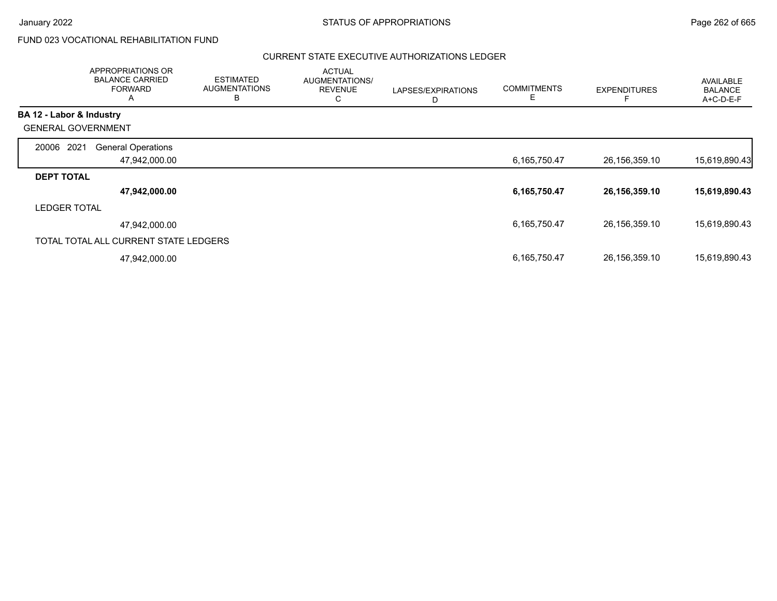# FUND 023 VOCATIONAL REHABILITATION FUND

|                           | APPROPRIATIONS OR<br><b>BALANCE CARRIED</b><br><b>FORWARD</b><br>A | <b>ESTIMATED</b><br><b>AUGMENTATIONS</b><br>B | <b>ACTUAL</b><br>AUGMENTATIONS/<br><b>REVENUE</b><br>C | LAPSES/EXPIRATIONS<br>D | <b>COMMITMENTS</b><br>E | <b>EXPENDITURES</b> | AVAILABLE<br><b>BALANCE</b><br>A+C-D-E-F |
|---------------------------|--------------------------------------------------------------------|-----------------------------------------------|--------------------------------------------------------|-------------------------|-------------------------|---------------------|------------------------------------------|
| BA 12 - Labor & Industry  |                                                                    |                                               |                                                        |                         |                         |                     |                                          |
| <b>GENERAL GOVERNMENT</b> |                                                                    |                                               |                                                        |                         |                         |                     |                                          |
| 2021<br>20006             | <b>General Operations</b>                                          |                                               |                                                        |                         |                         |                     |                                          |
|                           | 47,942,000.00                                                      |                                               |                                                        |                         | 6,165,750.47            | 26,156,359.10       | 15,619,890.43                            |
| <b>DEPT TOTAL</b>         |                                                                    |                                               |                                                        |                         |                         |                     |                                          |
|                           | 47,942,000.00                                                      |                                               |                                                        |                         | 6,165,750.47            | 26, 156, 359. 10    | 15,619,890.43                            |
| <b>LEDGER TOTAL</b>       |                                                                    |                                               |                                                        |                         |                         |                     |                                          |
|                           | 47,942,000.00                                                      |                                               |                                                        |                         | 6,165,750.47            | 26,156,359.10       | 15,619,890.43                            |
|                           | TOTAL TOTAL ALL CURRENT STATE LEDGERS                              |                                               |                                                        |                         |                         |                     |                                          |
|                           | 47,942,000.00                                                      |                                               |                                                        |                         | 6,165,750.47            | 26,156,359.10       | 15,619,890.43                            |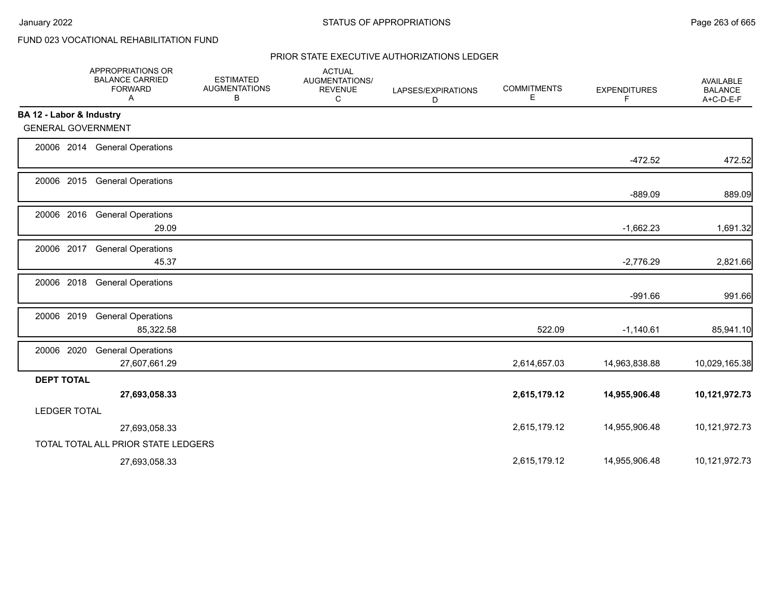# FUND 023 VOCATIONAL REHABILITATION FUND

|                           | APPROPRIATIONS OR<br><b>BALANCE CARRIED</b><br><b>FORWARD</b><br>Α | <b>ESTIMATED</b><br><b>AUGMENTATIONS</b><br>В | <b>ACTUAL</b><br>AUGMENTATIONS/<br><b>REVENUE</b><br>C | LAPSES/EXPIRATIONS<br>D | <b>COMMITMENTS</b><br>Е | <b>EXPENDITURES</b><br>F | AVAILABLE<br><b>BALANCE</b><br>A+C-D-E-F |
|---------------------------|--------------------------------------------------------------------|-----------------------------------------------|--------------------------------------------------------|-------------------------|-------------------------|--------------------------|------------------------------------------|
| BA 12 - Labor & Industry  |                                                                    |                                               |                                                        |                         |                         |                          |                                          |
| <b>GENERAL GOVERNMENT</b> |                                                                    |                                               |                                                        |                         |                         |                          |                                          |
|                           | 20006 2014 General Operations                                      |                                               |                                                        |                         |                         | $-472.52$                | 472.52                                   |
|                           | 20006 2015 General Operations                                      |                                               |                                                        |                         |                         | $-889.09$                | 889.09                                   |
|                           | 20006 2016 General Operations<br>29.09                             |                                               |                                                        |                         |                         | $-1,662.23$              | 1,691.32                                 |
| 20006 2017                | <b>General Operations</b><br>45.37                                 |                                               |                                                        |                         |                         | $-2,776.29$              | 2,821.66                                 |
| 20006 2018                | <b>General Operations</b>                                          |                                               |                                                        |                         |                         | $-991.66$                | 991.66                                   |
| 20006 2019                | <b>General Operations</b><br>85,322.58                             |                                               |                                                        |                         | 522.09                  | $-1,140.61$              | 85,941.10                                |
| 20006 2020                | <b>General Operations</b><br>27,607,661.29                         |                                               |                                                        |                         | 2,614,657.03            | 14,963,838.88            | 10,029,165.38                            |
| <b>DEPT TOTAL</b>         | 27,693,058.33                                                      |                                               |                                                        |                         | 2,615,179.12            | 14,955,906.48            | 10,121,972.73                            |
| <b>LEDGER TOTAL</b>       |                                                                    |                                               |                                                        |                         |                         |                          |                                          |
|                           | 27,693,058.33                                                      |                                               |                                                        |                         | 2,615,179.12            | 14,955,906.48            | 10,121,972.73                            |
|                           | TOTAL TOTAL ALL PRIOR STATE LEDGERS                                |                                               |                                                        |                         |                         |                          |                                          |
|                           | 27,693,058.33                                                      |                                               |                                                        |                         | 2,615,179.12            | 14,955,906.48            | 10,121,972.73                            |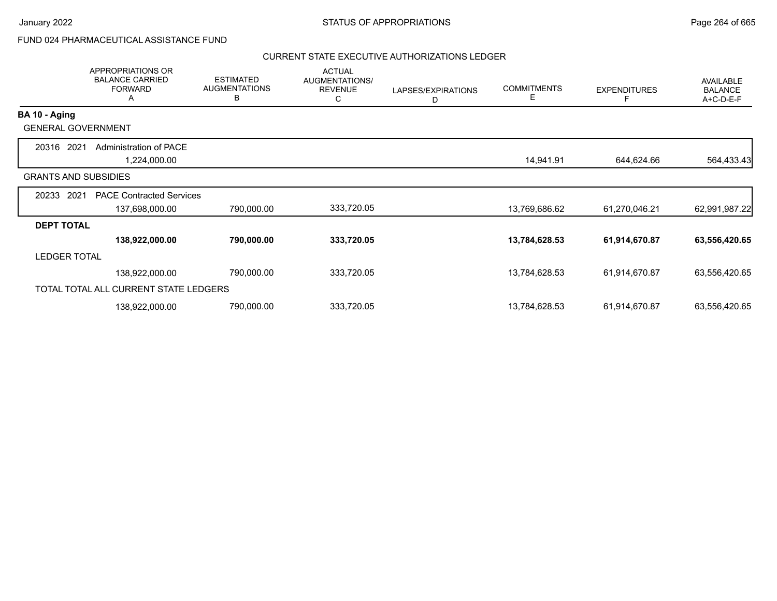# FUND 024 PHARMACEUTICAL ASSISTANCE FUND

|                     | <b>APPROPRIATIONS OR</b><br><b>BALANCE CARRIED</b><br><b>FORWARD</b><br>A | <b>ESTIMATED</b><br><b>AUGMENTATIONS</b><br>В | <b>ACTUAL</b><br>AUGMENTATIONS/<br><b>REVENUE</b><br>С | LAPSES/EXPIRATIONS<br>D | <b>COMMITMENTS</b><br>Е | <b>EXPENDITURES</b> | <b>AVAILABLE</b><br><b>BALANCE</b><br>A+C-D-E-F |
|---------------------|---------------------------------------------------------------------------|-----------------------------------------------|--------------------------------------------------------|-------------------------|-------------------------|---------------------|-------------------------------------------------|
| BA 10 - Aging       |                                                                           |                                               |                                                        |                         |                         |                     |                                                 |
|                     | <b>GENERAL GOVERNMENT</b>                                                 |                                               |                                                        |                         |                         |                     |                                                 |
| 20316               | 2021<br>Administration of PACE<br>1,224,000.00                            |                                               |                                                        |                         | 14,941.91               | 644,624.66          | 564,433.43                                      |
|                     | <b>GRANTS AND SUBSIDIES</b>                                               |                                               |                                                        |                         |                         |                     |                                                 |
| 20233               | 2021<br><b>PACE Contracted Services</b><br>137,698,000.00                 | 790,000.00                                    | 333,720.05                                             |                         | 13,769,686.62           | 61,270,046.21       | 62,991,987.22                                   |
| <b>DEPT TOTAL</b>   |                                                                           |                                               |                                                        |                         |                         |                     |                                                 |
|                     | 138,922,000.00                                                            | 790,000.00                                    | 333,720.05                                             |                         | 13,784,628.53           | 61,914,670.87       | 63,556,420.65                                   |
| <b>LEDGER TOTAL</b> |                                                                           |                                               |                                                        |                         |                         |                     |                                                 |
|                     | 138,922,000.00                                                            | 790,000.00                                    | 333,720.05                                             |                         | 13,784,628.53           | 61,914,670.87       | 63,556,420.65                                   |
|                     | TOTAL TOTAL ALL CURRENT STATE LEDGERS                                     |                                               |                                                        |                         |                         |                     |                                                 |
|                     | 138,922,000.00                                                            | 790,000.00                                    | 333,720.05                                             |                         | 13,784,628.53           | 61,914,670.87       | 63,556,420.65                                   |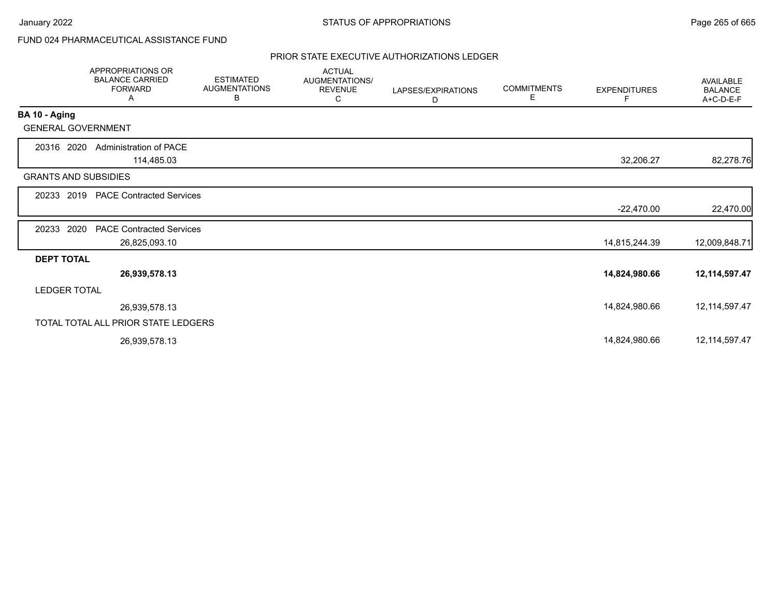# FUND 024 PHARMACEUTICAL ASSISTANCE FUND

|                             | <b>APPROPRIATIONS OR</b><br><b>BALANCE CARRIED</b><br><b>FORWARD</b><br>Α | <b>ESTIMATED</b><br><b>AUGMENTATIONS</b><br>В | <b>ACTUAL</b><br><b>AUGMENTATIONS/</b><br><b>REVENUE</b><br>C | LAPSES/EXPIRATIONS<br>D | <b>COMMITMENTS</b><br>Е | <b>EXPENDITURES</b> | <b>AVAILABLE</b><br><b>BALANCE</b><br>A+C-D-E-F |
|-----------------------------|---------------------------------------------------------------------------|-----------------------------------------------|---------------------------------------------------------------|-------------------------|-------------------------|---------------------|-------------------------------------------------|
| BA 10 - Aging               |                                                                           |                                               |                                                               |                         |                         |                     |                                                 |
| <b>GENERAL GOVERNMENT</b>   |                                                                           |                                               |                                                               |                         |                         |                     |                                                 |
| 20316 2020                  | Administration of PACE                                                    |                                               |                                                               |                         |                         |                     |                                                 |
|                             | 114,485.03                                                                |                                               |                                                               |                         |                         | 32,206.27           | 82,278.76                                       |
| <b>GRANTS AND SUBSIDIES</b> |                                                                           |                                               |                                                               |                         |                         |                     |                                                 |
| 20233 2019                  | <b>PACE Contracted Services</b>                                           |                                               |                                                               |                         |                         |                     |                                                 |
|                             |                                                                           |                                               |                                                               |                         |                         | $-22,470.00$        | 22,470.00                                       |
| 2020<br>20233               | <b>PACE Contracted Services</b>                                           |                                               |                                                               |                         |                         |                     |                                                 |
|                             | 26,825,093.10                                                             |                                               |                                                               |                         |                         | 14,815,244.39       | 12,009,848.71                                   |
| <b>DEPT TOTAL</b>           |                                                                           |                                               |                                                               |                         |                         |                     |                                                 |
|                             | 26,939,578.13                                                             |                                               |                                                               |                         |                         | 14,824,980.66       | 12,114,597.47                                   |
| <b>LEDGER TOTAL</b>         |                                                                           |                                               |                                                               |                         |                         |                     |                                                 |
|                             | 26,939,578.13                                                             |                                               |                                                               |                         |                         | 14,824,980.66       | 12, 114, 597. 47                                |
|                             | TOTAL TOTAL ALL PRIOR STATE LEDGERS                                       |                                               |                                                               |                         |                         |                     |                                                 |
|                             | 26,939,578.13                                                             |                                               |                                                               |                         |                         | 14,824,980.66       | 12, 114, 597. 47                                |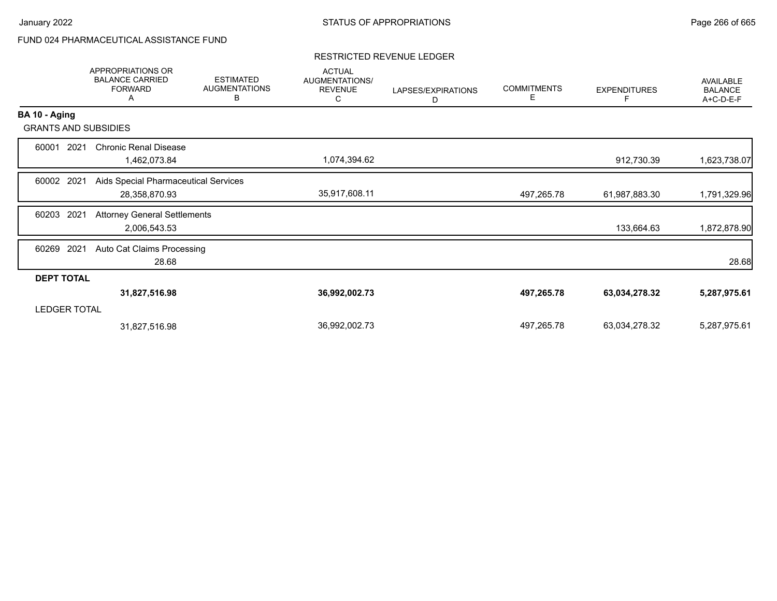# FUND 024 PHARMACEUTICAL ASSISTANCE FUND

### RESTRICTED REVENUE LEDGER

|                     | APPROPRIATIONS OR<br><b>BALANCE CARRIED</b><br><b>FORWARD</b><br>A | <b>ESTIMATED</b><br><b>AUGMENTATIONS</b><br>В | <b>ACTUAL</b><br>AUGMENTATIONS/<br><b>REVENUE</b><br>C | LAPSES/EXPIRATIONS<br>D | <b>COMMITMENTS</b><br>Е | <b>EXPENDITURES</b> | <b>AVAILABLE</b><br><b>BALANCE</b><br>A+C-D-E-F |
|---------------------|--------------------------------------------------------------------|-----------------------------------------------|--------------------------------------------------------|-------------------------|-------------------------|---------------------|-------------------------------------------------|
| BA 10 - Aging       |                                                                    |                                               |                                                        |                         |                         |                     |                                                 |
|                     | <b>GRANTS AND SUBSIDIES</b>                                        |                                               |                                                        |                         |                         |                     |                                                 |
| 60001               | <b>Chronic Renal Disease</b><br>2021<br>1,462,073.84               |                                               | 1,074,394.62                                           |                         |                         | 912,730.39          | 1,623,738.07                                    |
| 60002               | 2021<br>Aids Special Pharmaceutical Services<br>28,358,870.93      |                                               | 35,917,608.11                                          |                         | 497,265.78              | 61,987,883.30       | 1,791,329.96                                    |
| 60203               | 2021<br><b>Attorney General Settlements</b><br>2,006,543.53        |                                               |                                                        |                         |                         | 133,664.63          | 1,872,878.90                                    |
| 60269               | 2021<br>Auto Cat Claims Processing<br>28.68                        |                                               |                                                        |                         |                         |                     | 28.68                                           |
| <b>DEPT TOTAL</b>   |                                                                    |                                               |                                                        |                         |                         |                     |                                                 |
|                     | 31,827,516.98                                                      |                                               | 36,992,002.73                                          |                         | 497,265.78              | 63,034,278.32       | 5,287,975.61                                    |
| <b>LEDGER TOTAL</b> |                                                                    |                                               |                                                        |                         |                         |                     |                                                 |
|                     | 31,827,516.98                                                      |                                               | 36,992,002.73                                          |                         | 497,265.78              | 63,034,278.32       | 5,287,975.61                                    |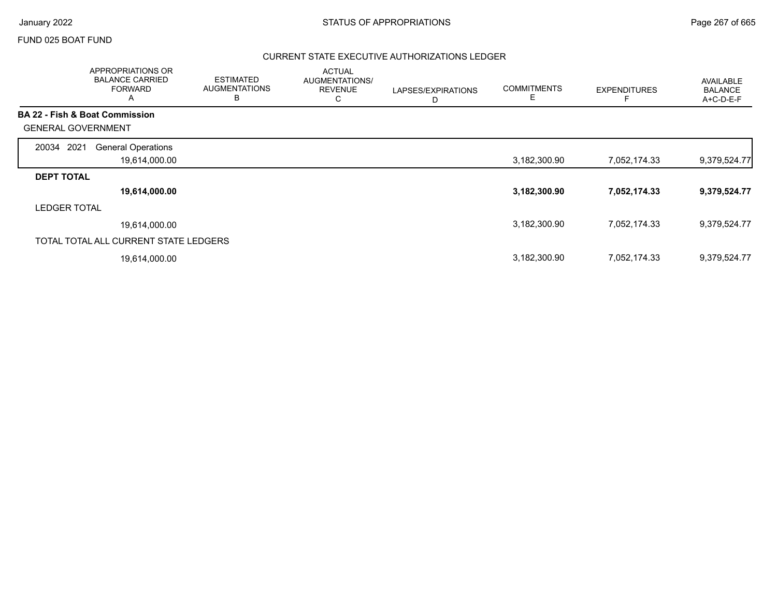### FUND 025 BOAT FUND

|                                | APPROPRIATIONS OR<br><b>BALANCE CARRIED</b><br><b>FORWARD</b><br>$\overline{A}$ | <b>ESTIMATED</b><br><b>AUGMENTATIONS</b><br>В | <b>ACTUAL</b><br>AUGMENTATIONS/<br><b>REVENUE</b><br>С | LAPSES/EXPIRATIONS<br>D | <b>COMMITMENTS</b><br>Е | <b>EXPENDITURES</b> | AVAILABLE<br><b>BALANCE</b><br>A+C-D-E-F |
|--------------------------------|---------------------------------------------------------------------------------|-----------------------------------------------|--------------------------------------------------------|-------------------------|-------------------------|---------------------|------------------------------------------|
| BA 22 - Fish & Boat Commission |                                                                                 |                                               |                                                        |                         |                         |                     |                                          |
| <b>GENERAL GOVERNMENT</b>      |                                                                                 |                                               |                                                        |                         |                         |                     |                                          |
| 2021<br>20034                  | <b>General Operations</b>                                                       |                                               |                                                        |                         |                         |                     |                                          |
|                                | 19,614,000.00                                                                   |                                               |                                                        |                         | 3,182,300.90            | 7,052,174.33        | 9,379,524.77                             |
| <b>DEPT TOTAL</b>              |                                                                                 |                                               |                                                        |                         |                         |                     |                                          |
|                                | 19,614,000.00                                                                   |                                               |                                                        |                         | 3,182,300.90            | 7,052,174.33        | 9,379,524.77                             |
| <b>LEDGER TOTAL</b>            |                                                                                 |                                               |                                                        |                         |                         |                     |                                          |
|                                | 19,614,000.00                                                                   |                                               |                                                        |                         | 3,182,300.90            | 7,052,174.33        | 9,379,524.77                             |
|                                | TOTAL TOTAL ALL CURRENT STATE LEDGERS                                           |                                               |                                                        |                         |                         |                     |                                          |
|                                | 19,614,000.00                                                                   |                                               |                                                        |                         | 3,182,300.90            | 7,052,174.33        | 9,379,524.77                             |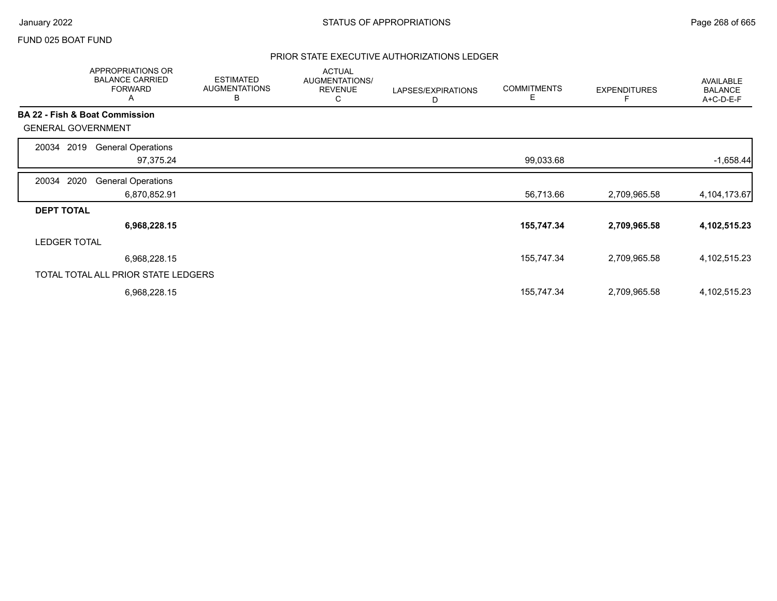### FUND 025 BOAT FUND

|                           | APPROPRIATIONS OR<br><b>BALANCE CARRIED</b><br><b>FORWARD</b><br>Α | <b>ESTIMATED</b><br><b>AUGMENTATIONS</b><br>в | <b>ACTUAL</b><br>AUGMENTATIONS/<br><b>REVENUE</b><br>С | LAPSES/EXPIRATIONS<br>D | <b>COMMITMENTS</b><br>E. | <b>EXPENDITURES</b> | AVAILABLE<br><b>BALANCE</b><br>A+C-D-E-F |
|---------------------------|--------------------------------------------------------------------|-----------------------------------------------|--------------------------------------------------------|-------------------------|--------------------------|---------------------|------------------------------------------|
|                           | BA 22 - Fish & Boat Commission                                     |                                               |                                                        |                         |                          |                     |                                          |
| <b>GENERAL GOVERNMENT</b> |                                                                    |                                               |                                                        |                         |                          |                     |                                          |
| 2019<br>20034             | <b>General Operations</b>                                          |                                               |                                                        |                         |                          |                     |                                          |
|                           | 97,375.24                                                          |                                               |                                                        |                         | 99,033.68                |                     | $-1,658.44$                              |
| 2020<br>20034             | <b>General Operations</b>                                          |                                               |                                                        |                         |                          |                     |                                          |
|                           | 6,870,852.91                                                       |                                               |                                                        |                         | 56,713.66                | 2,709,965.58        | 4,104,173.67                             |
| <b>DEPT TOTAL</b>         |                                                                    |                                               |                                                        |                         |                          |                     |                                          |
|                           | 6,968,228.15                                                       |                                               |                                                        |                         | 155,747.34               | 2,709,965.58        | 4,102,515.23                             |
| <b>LEDGER TOTAL</b>       |                                                                    |                                               |                                                        |                         |                          |                     |                                          |
|                           | 6,968,228.15                                                       |                                               |                                                        |                         | 155,747.34               | 2,709,965.58        | 4,102,515.23                             |
|                           | TOTAL TOTAL ALL PRIOR STATE LEDGERS                                |                                               |                                                        |                         |                          |                     |                                          |
|                           | 6,968,228.15                                                       |                                               |                                                        |                         | 155,747.34               | 2,709,965.58        | 4,102,515.23                             |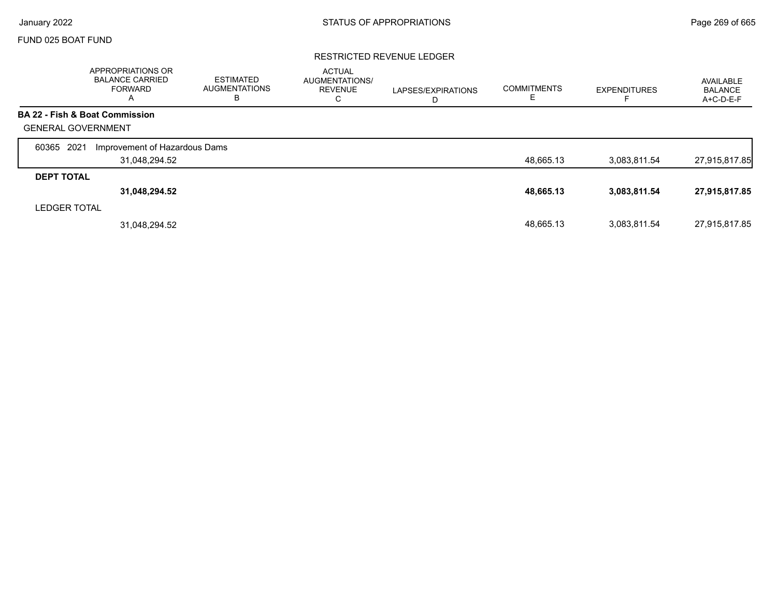Г

# FUND 025 BOAT FUND

### RESTRICTED REVENUE LEDGER

|                           | <b>APPROPRIATIONS OR</b><br><b>BALANCE CARRIED</b><br>FORWARD<br>A | <b>ESTIMATED</b><br><b>AUGMENTATIONS</b><br>в | <b>ACTUAL</b><br>AUGMENTATIONS/<br><b>REVENUE</b><br>С | LAPSES/EXPIRATIONS<br>D | <b>COMMITMENTS</b><br>E. | <b>EXPENDITURES</b> | AVAILABLE<br><b>BALANCE</b><br>A+C-D-E-F |
|---------------------------|--------------------------------------------------------------------|-----------------------------------------------|--------------------------------------------------------|-------------------------|--------------------------|---------------------|------------------------------------------|
|                           | BA 22 - Fish & Boat Commission                                     |                                               |                                                        |                         |                          |                     |                                          |
| <b>GENERAL GOVERNMENT</b> |                                                                    |                                               |                                                        |                         |                          |                     |                                          |
| 2021<br>60365             | Improvement of Hazardous Dams                                      |                                               |                                                        |                         |                          |                     |                                          |
|                           | 31,048,294.52                                                      |                                               |                                                        |                         | 48,665.13                | 3,083,811.54        | 27,915,817.85                            |
| <b>DEPT TOTAL</b>         |                                                                    |                                               |                                                        |                         |                          |                     |                                          |
|                           | 31,048,294.52                                                      |                                               |                                                        |                         | 48,665.13                | 3,083,811.54        | 27,915,817.85                            |
| <b>LEDGER TOTAL</b>       |                                                                    |                                               |                                                        |                         |                          |                     |                                          |
|                           | 31.048.294.52                                                      |                                               |                                                        |                         | 48.665.13                | 3,083,811.54        | 27,915,817.85                            |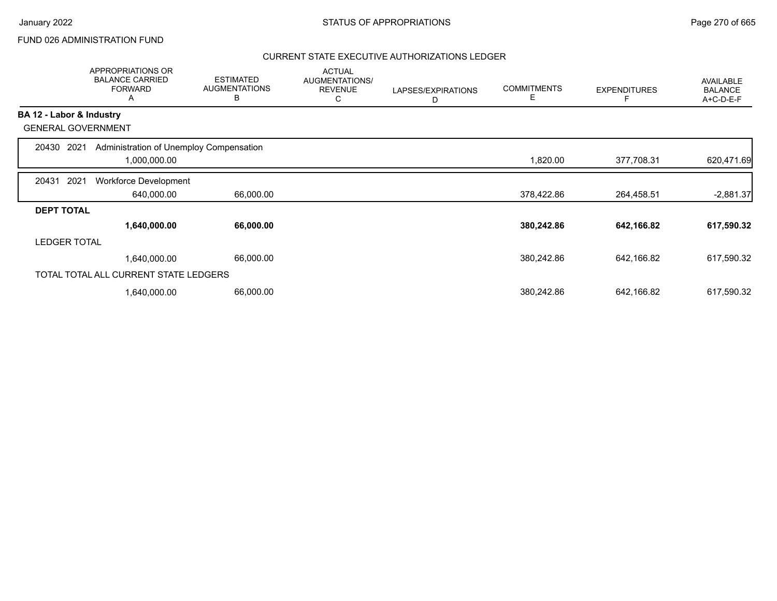### FUND 026 ADMINISTRATION FUND

|                          | <b>APPROPRIATIONS OR</b><br><b>BALANCE CARRIED</b><br><b>FORWARD</b><br>A | <b>ESTIMATED</b><br><b>AUGMENTATIONS</b><br>В | <b>ACTUAL</b><br>AUGMENTATIONS/<br><b>REVENUE</b><br>С | LAPSES/EXPIRATIONS<br>D | <b>COMMITMENTS</b><br>Е | <b>EXPENDITURES</b> | AVAILABLE<br><b>BALANCE</b><br>A+C-D-E-F |
|--------------------------|---------------------------------------------------------------------------|-----------------------------------------------|--------------------------------------------------------|-------------------------|-------------------------|---------------------|------------------------------------------|
| BA 12 - Labor & Industry |                                                                           |                                               |                                                        |                         |                         |                     |                                          |
|                          | <b>GENERAL GOVERNMENT</b>                                                 |                                               |                                                        |                         |                         |                     |                                          |
| 20430                    | 2021<br>Administration of Unemploy Compensation                           |                                               |                                                        |                         |                         |                     |                                          |
|                          | 1,000,000.00                                                              |                                               |                                                        |                         | 1,820.00                | 377,708.31          | 620,471.69                               |
| 20431                    | 2021<br><b>Workforce Development</b>                                      |                                               |                                                        |                         |                         |                     |                                          |
|                          | 640,000.00                                                                | 66,000.00                                     |                                                        |                         | 378,422.86              | 264,458.51          | $-2,881.37$                              |
| <b>DEPT TOTAL</b>        |                                                                           |                                               |                                                        |                         |                         |                     |                                          |
|                          | 1,640,000.00                                                              | 66,000.00                                     |                                                        |                         | 380,242.86              | 642,166.82          | 617,590.32                               |
| <b>LEDGER TOTAL</b>      |                                                                           |                                               |                                                        |                         |                         |                     |                                          |
|                          | 1,640,000.00                                                              | 66,000.00                                     |                                                        |                         | 380,242.86              | 642,166.82          | 617,590.32                               |
|                          | TOTAL TOTAL ALL CURRENT STATE LEDGERS                                     |                                               |                                                        |                         |                         |                     |                                          |
|                          | 1,640,000.00                                                              | 66,000.00                                     |                                                        |                         | 380,242.86              | 642,166.82          | 617,590.32                               |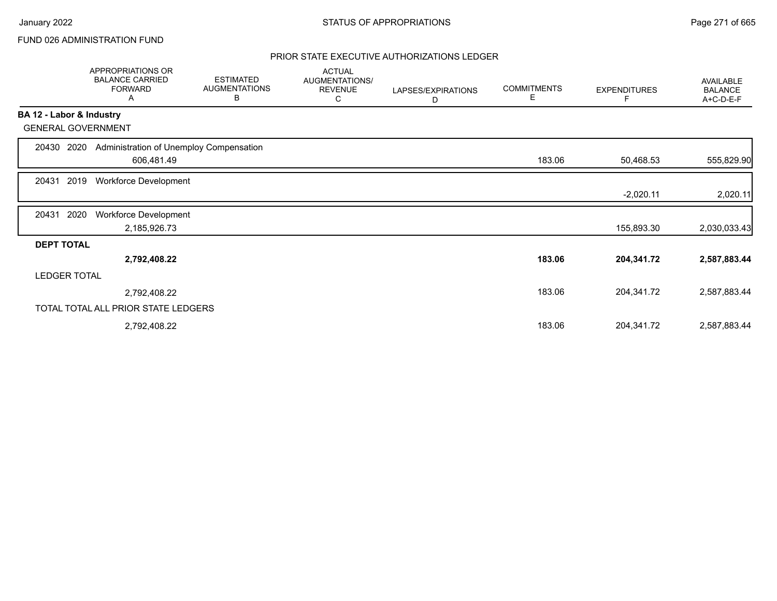### FUND 026 ADMINISTRATION FUND

|                           | APPROPRIATIONS OR<br><b>BALANCE CARRIED</b><br><b>FORWARD</b><br>A | <b>ESTIMATED</b><br><b>AUGMENTATIONS</b><br>В | <b>ACTUAL</b><br>AUGMENTATIONS/<br><b>REVENUE</b><br>С | LAPSES/EXPIRATIONS<br>D | <b>COMMITMENTS</b><br>E | <b>EXPENDITURES</b> | <b>AVAILABLE</b><br><b>BALANCE</b><br>A+C-D-E-F |
|---------------------------|--------------------------------------------------------------------|-----------------------------------------------|--------------------------------------------------------|-------------------------|-------------------------|---------------------|-------------------------------------------------|
| BA 12 - Labor & Industry  |                                                                    |                                               |                                                        |                         |                         |                     |                                                 |
| <b>GENERAL GOVERNMENT</b> |                                                                    |                                               |                                                        |                         |                         |                     |                                                 |
| 20430<br>2020             | Administration of Unemploy Compensation                            |                                               |                                                        |                         |                         |                     |                                                 |
|                           | 606,481.49                                                         |                                               |                                                        |                         | 183.06                  | 50,468.53           | 555,829.90                                      |
| 2019<br>20431             | Workforce Development                                              |                                               |                                                        |                         |                         |                     |                                                 |
|                           |                                                                    |                                               |                                                        |                         |                         | $-2,020.11$         | 2,020.11                                        |
| 2020<br>20431             | Workforce Development                                              |                                               |                                                        |                         |                         |                     |                                                 |
|                           | 2,185,926.73                                                       |                                               |                                                        |                         |                         | 155,893.30          | 2,030,033.43                                    |
| <b>DEPT TOTAL</b>         |                                                                    |                                               |                                                        |                         |                         |                     |                                                 |
|                           | 2,792,408.22                                                       |                                               |                                                        |                         | 183.06                  | 204,341.72          | 2,587,883.44                                    |
| <b>LEDGER TOTAL</b>       |                                                                    |                                               |                                                        |                         |                         |                     |                                                 |
|                           | 2,792,408.22                                                       |                                               |                                                        |                         | 183.06                  | 204,341.72          | 2,587,883.44                                    |
|                           | TOTAL TOTAL ALL PRIOR STATE LEDGERS                                |                                               |                                                        |                         |                         |                     |                                                 |
|                           | 2,792,408.22                                                       |                                               |                                                        |                         | 183.06                  | 204,341.72          | 2,587,883.44                                    |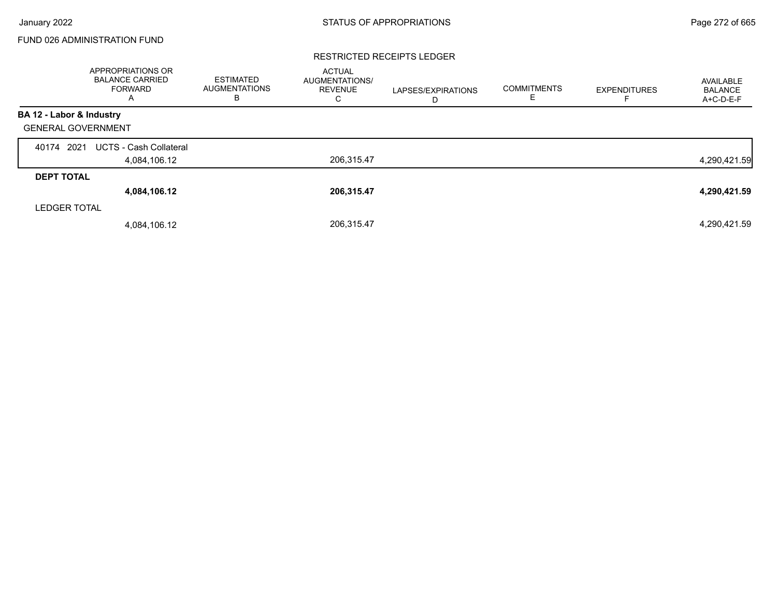## FUND 026 ADMINISTRATION FUND

#### RESTRICTED RECEIPTS LEDGER

|                           | <b>APPROPRIATIONS OR</b><br><b>BALANCE CARRIED</b><br><b>FORWARD</b><br>A | <b>ESTIMATED</b><br><b>AUGMENTATIONS</b><br>в | <b>ACTUAL</b><br>AUGMENTATIONS/<br><b>REVENUE</b><br>С | LAPSES/EXPIRATIONS<br>D | <b>COMMITMENTS</b><br>E | <b>EXPENDITURES</b> | AVAILABLE<br><b>BALANCE</b><br>A+C-D-E-F |
|---------------------------|---------------------------------------------------------------------------|-----------------------------------------------|--------------------------------------------------------|-------------------------|-------------------------|---------------------|------------------------------------------|
| BA 12 - Labor & Industry  |                                                                           |                                               |                                                        |                         |                         |                     |                                          |
| <b>GENERAL GOVERNMENT</b> |                                                                           |                                               |                                                        |                         |                         |                     |                                          |
| 40174 2021                | <b>UCTS - Cash Collateral</b>                                             |                                               |                                                        |                         |                         |                     |                                          |
|                           | 4,084,106.12                                                              |                                               | 206,315.47                                             |                         |                         |                     | 4,290,421.59                             |
| <b>DEPT TOTAL</b>         |                                                                           |                                               |                                                        |                         |                         |                     |                                          |
|                           | 4,084,106.12                                                              |                                               | 206,315.47                                             |                         |                         |                     | 4,290,421.59                             |
| <b>LEDGER TOTAL</b>       |                                                                           |                                               |                                                        |                         |                         |                     |                                          |
|                           | 4,084,106.12                                                              |                                               | 206,315.47                                             |                         |                         |                     | 4,290,421.59                             |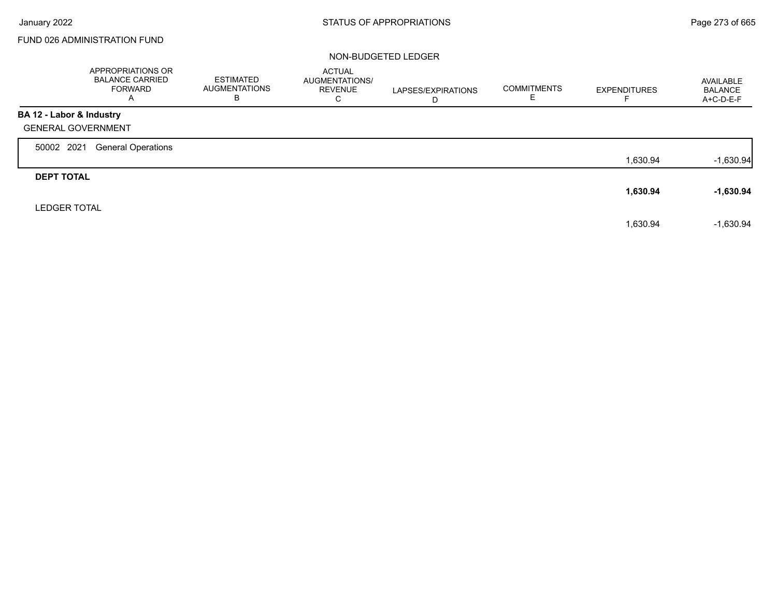Г

### FUND 026 ADMINISTRATION FUND

|                           | APPROPRIATIONS OR<br><b>BALANCE CARRIED</b><br><b>FORWARD</b><br>A | <b>ESTIMATED</b><br>AUGMENTATIONS<br>в | <b>ACTUAL</b><br>AUGMENTATIONS/<br><b>REVENUE</b><br>С | LAPSES/EXPIRATIONS<br>D | <b>COMMITMENTS</b><br>E. | <b>EXPENDITURES</b> | AVAILABLE<br><b>BALANCE</b><br>A+C-D-E-F |
|---------------------------|--------------------------------------------------------------------|----------------------------------------|--------------------------------------------------------|-------------------------|--------------------------|---------------------|------------------------------------------|
| BA 12 - Labor & Industry  |                                                                    |                                        |                                                        |                         |                          |                     |                                          |
| <b>GENERAL GOVERNMENT</b> |                                                                    |                                        |                                                        |                         |                          |                     |                                          |
| 50002 2021                | <b>General Operations</b>                                          |                                        |                                                        |                         |                          |                     |                                          |
|                           |                                                                    |                                        |                                                        |                         |                          | 1,630.94            | $-1,630.94$                              |
| <b>DEPT TOTAL</b>         |                                                                    |                                        |                                                        |                         |                          |                     |                                          |
|                           |                                                                    |                                        |                                                        |                         |                          | 1,630.94            | $-1,630.94$                              |
| <b>LEDGER TOTAL</b>       |                                                                    |                                        |                                                        |                         |                          |                     |                                          |
|                           |                                                                    |                                        |                                                        |                         |                          | 1,630.94            | $-1,630.94$                              |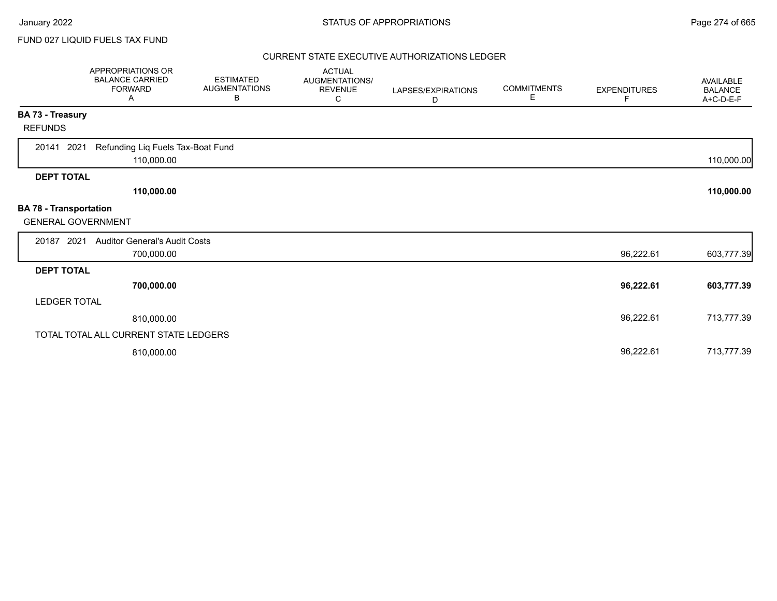### FUND 027 LIQUID FUELS TAX FUND

|                                                            | <b>APPROPRIATIONS OR</b><br><b>BALANCE CARRIED</b><br><b>FORWARD</b><br>A | <b>ESTIMATED</b><br><b>AUGMENTATIONS</b><br>В | <b>ACTUAL</b><br>AUGMENTATIONS/<br><b>REVENUE</b><br>C | LAPSES/EXPIRATIONS<br>D | <b>COMMITMENTS</b><br>Е | <b>EXPENDITURES</b><br>F. | <b>AVAILABLE</b><br><b>BALANCE</b><br>A+C-D-E-F |
|------------------------------------------------------------|---------------------------------------------------------------------------|-----------------------------------------------|--------------------------------------------------------|-------------------------|-------------------------|---------------------------|-------------------------------------------------|
| BA 73 - Treasury                                           |                                                                           |                                               |                                                        |                         |                         |                           |                                                 |
| <b>REFUNDS</b>                                             |                                                                           |                                               |                                                        |                         |                         |                           |                                                 |
| 2021<br>20141                                              | Refunding Liq Fuels Tax-Boat Fund<br>110,000.00                           |                                               |                                                        |                         |                         |                           | 110,000.00                                      |
| <b>DEPT TOTAL</b>                                          |                                                                           |                                               |                                                        |                         |                         |                           |                                                 |
|                                                            | 110,000.00                                                                |                                               |                                                        |                         |                         |                           | 110,000.00                                      |
| <b>BA 78 - Transportation</b><br><b>GENERAL GOVERNMENT</b> |                                                                           |                                               |                                                        |                         |                         |                           |                                                 |
| 20187 2021                                                 | <b>Auditor General's Audit Costs</b>                                      |                                               |                                                        |                         |                         |                           |                                                 |
|                                                            | 700,000.00                                                                |                                               |                                                        |                         |                         | 96,222.61                 | 603,777.39                                      |
| <b>DEPT TOTAL</b>                                          |                                                                           |                                               |                                                        |                         |                         |                           |                                                 |
|                                                            | 700,000.00                                                                |                                               |                                                        |                         |                         | 96,222.61                 | 603,777.39                                      |
| <b>LEDGER TOTAL</b>                                        |                                                                           |                                               |                                                        |                         |                         |                           |                                                 |
|                                                            | 810,000.00                                                                |                                               |                                                        |                         |                         | 96,222.61                 | 713,777.39                                      |
|                                                            | TOTAL TOTAL ALL CURRENT STATE LEDGERS                                     |                                               |                                                        |                         |                         |                           |                                                 |
|                                                            | 810,000.00                                                                |                                               |                                                        |                         |                         | 96,222.61                 | 713,777.39                                      |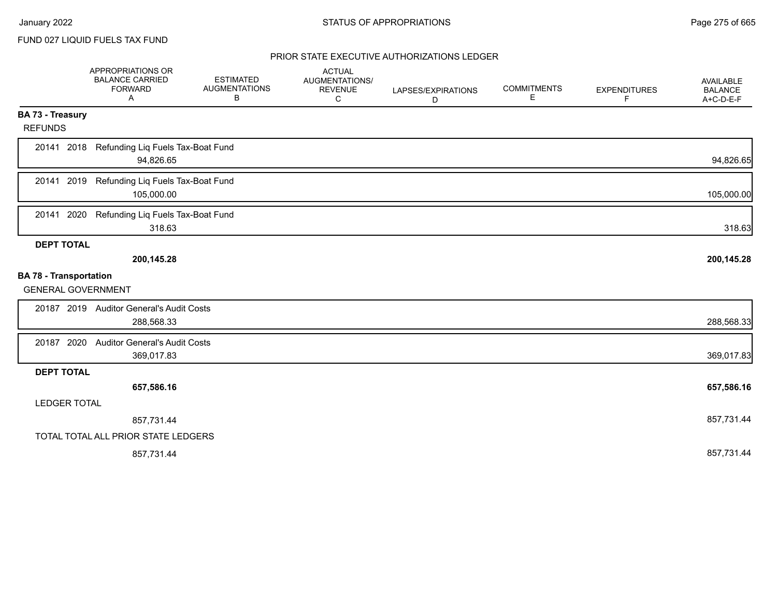FUND 027 LIQUID FUELS TAX FUND

|                               | APPROPRIATIONS OR<br><b>BALANCE CARRIED</b><br><b>FORWARD</b><br>Α | <b>ESTIMATED</b><br><b>AUGMENTATIONS</b><br>В | <b>ACTUAL</b><br>AUGMENTATIONS/<br><b>REVENUE</b><br>C | LAPSES/EXPIRATIONS<br>D | <b>COMMITMENTS</b><br>Е | <b>EXPENDITURES</b><br>F | AVAILABLE<br><b>BALANCE</b><br>A+C-D-E-F |
|-------------------------------|--------------------------------------------------------------------|-----------------------------------------------|--------------------------------------------------------|-------------------------|-------------------------|--------------------------|------------------------------------------|
| <b>BA 73 - Treasury</b>       |                                                                    |                                               |                                                        |                         |                         |                          |                                          |
| <b>REFUNDS</b>                |                                                                    |                                               |                                                        |                         |                         |                          |                                          |
| 20141 2018                    | Refunding Liq Fuels Tax-Boat Fund<br>94,826.65                     |                                               |                                                        |                         |                         |                          | 94,826.65                                |
| 20141 2019                    | Refunding Liq Fuels Tax-Boat Fund<br>105,000.00                    |                                               |                                                        |                         |                         |                          | 105,000.00                               |
| 20141<br>2020                 | Refunding Liq Fuels Tax-Boat Fund<br>318.63                        |                                               |                                                        |                         |                         |                          | 318.63                                   |
| <b>DEPT TOTAL</b>             |                                                                    |                                               |                                                        |                         |                         |                          |                                          |
|                               | 200,145.28                                                         |                                               |                                                        |                         |                         |                          | 200,145.28                               |
| <b>BA 78 - Transportation</b> |                                                                    |                                               |                                                        |                         |                         |                          |                                          |
| <b>GENERAL GOVERNMENT</b>     |                                                                    |                                               |                                                        |                         |                         |                          |                                          |
|                               | 20187 2019 Auditor General's Audit Costs                           |                                               |                                                        |                         |                         |                          |                                          |
|                               | 288,568.33                                                         |                                               |                                                        |                         |                         |                          | 288,568.33                               |
| 20187 2020                    | <b>Auditor General's Audit Costs</b>                               |                                               |                                                        |                         |                         |                          |                                          |
|                               | 369,017.83                                                         |                                               |                                                        |                         |                         |                          | 369,017.83                               |
| <b>DEPT TOTAL</b>             |                                                                    |                                               |                                                        |                         |                         |                          |                                          |
|                               | 657,586.16                                                         |                                               |                                                        |                         |                         |                          | 657,586.16                               |
| <b>LEDGER TOTAL</b>           |                                                                    |                                               |                                                        |                         |                         |                          |                                          |
|                               | 857,731.44                                                         |                                               |                                                        |                         |                         |                          | 857,731.44                               |
|                               | TOTAL TOTAL ALL PRIOR STATE LEDGERS                                |                                               |                                                        |                         |                         |                          |                                          |
|                               | 857,731.44                                                         |                                               |                                                        |                         |                         |                          | 857,731.44                               |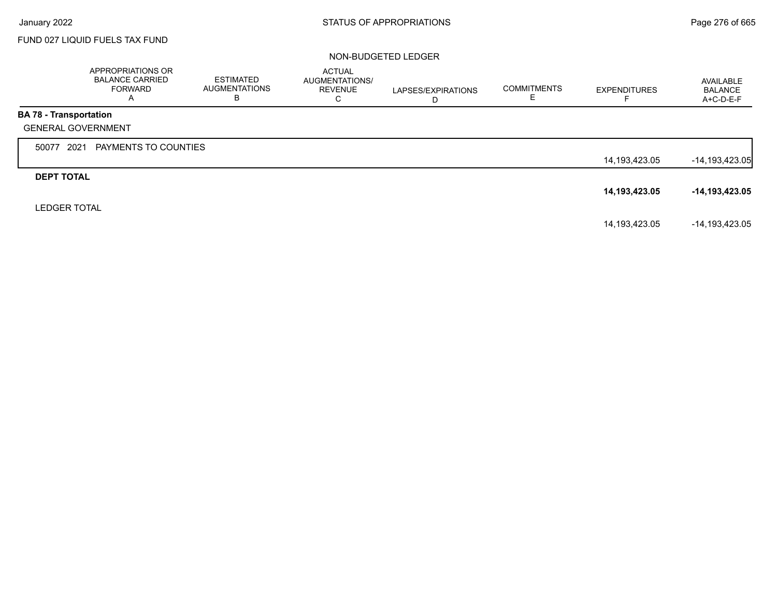г

## FUND 027 LIQUID FUELS TAX FUND

|                               | <b>APPROPRIATIONS OR</b><br><b>BALANCE CARRIED</b><br><b>FORWARD</b><br>A | ESTIMATED<br><b>AUGMENTATIONS</b><br>В | <b>ACTUAL</b><br>AUGMENTATIONS/<br><b>REVENUE</b><br>C | LAPSES/EXPIRATIONS<br>D | <b>COMMITMENTS</b><br>Е. | <b>EXPENDITURES</b> | AVAILABLE<br><b>BALANCE</b><br>$A+C-D-E-F$ |
|-------------------------------|---------------------------------------------------------------------------|----------------------------------------|--------------------------------------------------------|-------------------------|--------------------------|---------------------|--------------------------------------------|
| <b>BA 78 - Transportation</b> |                                                                           |                                        |                                                        |                         |                          |                     |                                            |
|                               | <b>GENERAL GOVERNMENT</b>                                                 |                                        |                                                        |                         |                          |                     |                                            |
| 50077                         | PAYMENTS TO COUNTIES<br>2021                                              |                                        |                                                        |                         |                          |                     |                                            |
|                               |                                                                           |                                        |                                                        |                         |                          | 14,193,423.05       | $-14, 193, 423.05$                         |
| <b>DEPT TOTAL</b>             |                                                                           |                                        |                                                        |                         |                          |                     |                                            |
|                               |                                                                           |                                        |                                                        |                         |                          | 14,193,423.05       | -14,193,423.05                             |
| <b>LEDGER TOTAL</b>           |                                                                           |                                        |                                                        |                         |                          |                     |                                            |
|                               |                                                                           |                                        |                                                        |                         |                          | 14,193,423.05       | -14,193,423.05                             |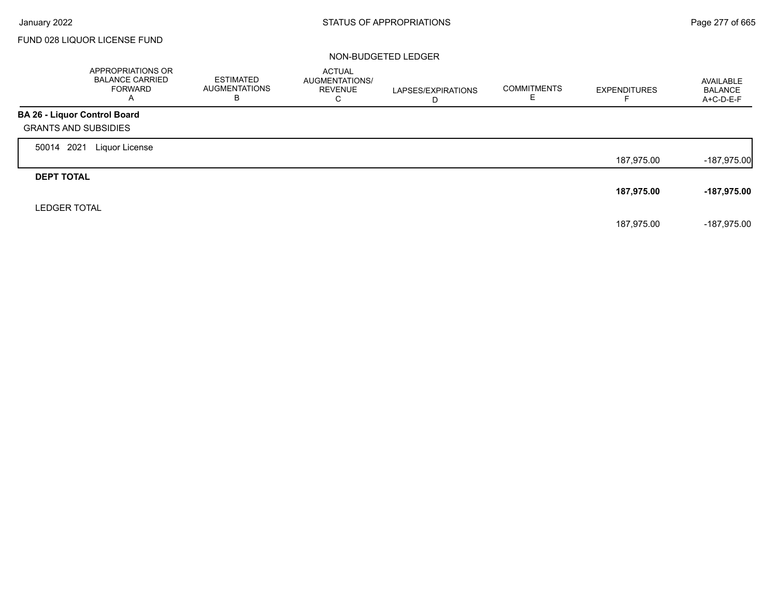Г

## FUND 028 LIQUOR LICENSE FUND

|                              | APPROPRIATIONS OR<br><b>BALANCE CARRIED</b><br><b>FORWARD</b><br>$\overline{\mathsf{A}}$ | ESTIMATED<br><b>AUGMENTATIONS</b><br>ь | <b>ACTUAL</b><br>AUGMENTATIONS/<br><b>REVENUE</b><br>С | LAPSES/EXPIRATIONS | <b>COMMITMENTS</b> | <b>EXPENDITURES</b> | AVAILABLE<br><b>BALANCE</b><br>A+C-D-E-F |
|------------------------------|------------------------------------------------------------------------------------------|----------------------------------------|--------------------------------------------------------|--------------------|--------------------|---------------------|------------------------------------------|
| BA 26 - Liquor Control Board |                                                                                          |                                        |                                                        |                    |                    |                     |                                          |
| <b>GRANTS AND SUBSIDIES</b>  |                                                                                          |                                        |                                                        |                    |                    |                     |                                          |
| 2021<br>50014                | Liquor License                                                                           |                                        |                                                        |                    |                    |                     |                                          |
|                              |                                                                                          |                                        |                                                        |                    |                    | 187,975.00          | $-187,975.00$                            |
| <b>DEPT TOTAL</b>            |                                                                                          |                                        |                                                        |                    |                    |                     |                                          |
|                              |                                                                                          |                                        |                                                        |                    |                    | 187,975.00          | -187,975.00                              |
| <b>LEDGER TOTAL</b>          |                                                                                          |                                        |                                                        |                    |                    |                     |                                          |
|                              |                                                                                          |                                        |                                                        |                    |                    | 187.975.00          | -187,975.00                              |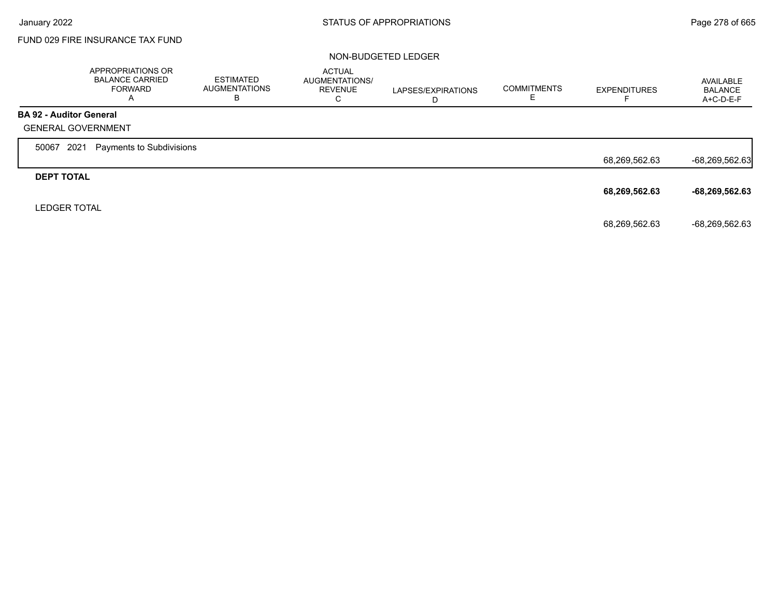# FUND 029 FIRE INSURANCE TAX FUND

|                                | APPROPRIATIONS OR<br><b>BALANCE CARRIED</b><br><b>FORWARD</b><br>A | <b>ESTIMATED</b><br><b>AUGMENTATIONS</b><br>в | <b>ACTUAL</b><br>AUGMENTATIONS/<br><b>REVENUE</b><br>С | LAPSES/EXPIRATIONS<br>D | <b>COMMITMENTS</b> | <b>EXPENDITURES</b> | AVAILABLE<br>BALANCE<br>A+C-D-E-F |
|--------------------------------|--------------------------------------------------------------------|-----------------------------------------------|--------------------------------------------------------|-------------------------|--------------------|---------------------|-----------------------------------|
| <b>BA 92 - Auditor General</b> |                                                                    |                                               |                                                        |                         |                    |                     |                                   |
| <b>GENERAL GOVERNMENT</b>      |                                                                    |                                               |                                                        |                         |                    |                     |                                   |
| 2021<br>50067                  | Payments to Subdivisions                                           |                                               |                                                        |                         |                    |                     |                                   |
|                                |                                                                    |                                               |                                                        |                         |                    | 68,269,562.63       | $-68,269,562.63$                  |
| <b>DEPT TOTAL</b>              |                                                                    |                                               |                                                        |                         |                    |                     |                                   |
|                                |                                                                    |                                               |                                                        |                         |                    | 68,269,562.63       | $-68,269,562.63$                  |
| <b>LEDGER TOTAL</b>            |                                                                    |                                               |                                                        |                         |                    |                     |                                   |
|                                |                                                                    |                                               |                                                        |                         |                    | 68,269,562.63       | -68,269,562.63                    |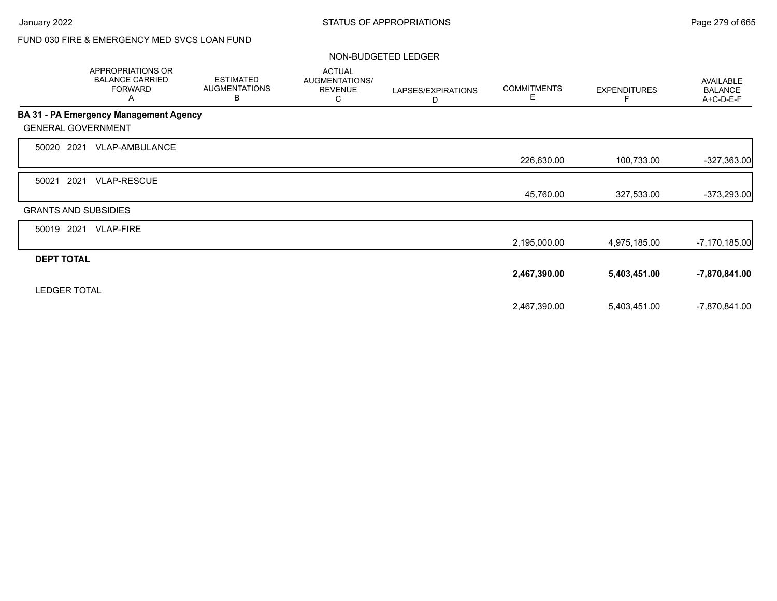# FUND 030 FIRE & EMERGENCY MED SVCS LOAN FUND

|                             | <b>APPROPRIATIONS OR</b><br><b>BALANCE CARRIED</b><br><b>FORWARD</b><br>A | <b>ESTIMATED</b><br><b>AUGMENTATIONS</b><br>B | <b>ACTUAL</b><br>AUGMENTATIONS/<br><b>REVENUE</b><br>С | LAPSES/EXPIRATIONS<br>D | <b>COMMITMENTS</b><br>E. | <b>EXPENDITURES</b><br>F | <b>AVAILABLE</b><br><b>BALANCE</b><br>A+C-D-E-F |
|-----------------------------|---------------------------------------------------------------------------|-----------------------------------------------|--------------------------------------------------------|-------------------------|--------------------------|--------------------------|-------------------------------------------------|
|                             | BA 31 - PA Emergency Management Agency                                    |                                               |                                                        |                         |                          |                          |                                                 |
| <b>GENERAL GOVERNMENT</b>   |                                                                           |                                               |                                                        |                         |                          |                          |                                                 |
| 2021<br>50020               | VLAP-AMBULANCE                                                            |                                               |                                                        |                         |                          |                          |                                                 |
|                             |                                                                           |                                               |                                                        |                         | 226,630.00               | 100,733.00               | $-327,363.00$                                   |
| 2021<br>50021               | <b>VLAP-RESCUE</b>                                                        |                                               |                                                        |                         |                          |                          |                                                 |
|                             |                                                                           |                                               |                                                        |                         | 45,760.00                | 327,533.00               | -373,293.00                                     |
| <b>GRANTS AND SUBSIDIES</b> |                                                                           |                                               |                                                        |                         |                          |                          |                                                 |
| 2021<br>50019               | <b>VLAP-FIRE</b>                                                          |                                               |                                                        |                         |                          |                          |                                                 |
|                             |                                                                           |                                               |                                                        |                         | 2,195,000.00             | 4,975,185.00             | $-7,170,185.00$                                 |
| <b>DEPT TOTAL</b>           |                                                                           |                                               |                                                        |                         |                          |                          |                                                 |
|                             |                                                                           |                                               |                                                        |                         | 2,467,390.00             | 5,403,451.00             | -7,870,841.00                                   |
| <b>LEDGER TOTAL</b>         |                                                                           |                                               |                                                        |                         |                          |                          |                                                 |
|                             |                                                                           |                                               |                                                        |                         | 2,467,390.00             | 5,403,451.00             | -7,870,841.00                                   |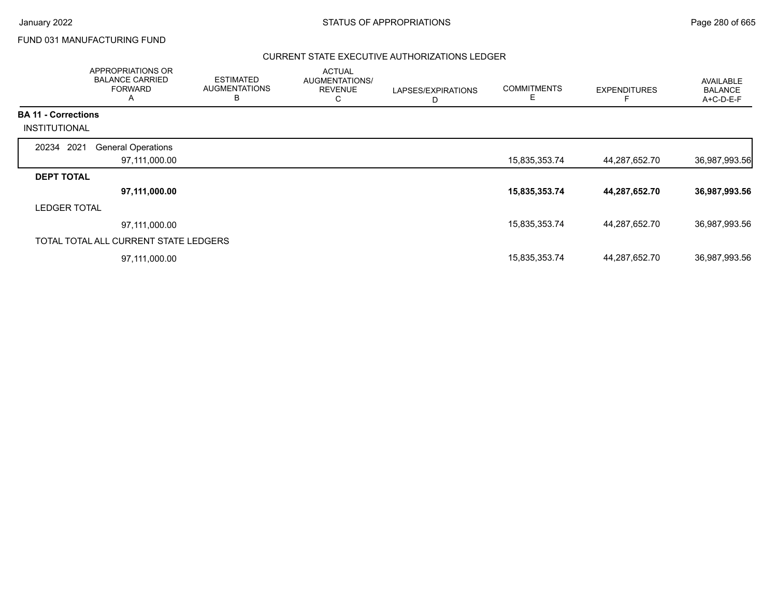Г

## FUND 031 MANUFACTURING FUND

|                                                    | APPROPRIATIONS OR<br><b>BALANCE CARRIED</b><br><b>FORWARD</b><br>A | <b>ESTIMATED</b><br><b>AUGMENTATIONS</b><br>B | <b>ACTUAL</b><br>AUGMENTATIONS/<br><b>REVENUE</b><br>С | LAPSES/EXPIRATIONS<br>D | <b>COMMITMENTS</b><br>E. | <b>EXPENDITURES</b> | <b>AVAILABLE</b><br><b>BALANCE</b><br>A+C-D-E-F |
|----------------------------------------------------|--------------------------------------------------------------------|-----------------------------------------------|--------------------------------------------------------|-------------------------|--------------------------|---------------------|-------------------------------------------------|
| <b>BA 11 - Corrections</b><br><b>INSTITUTIONAL</b> |                                                                    |                                               |                                                        |                         |                          |                     |                                                 |
| 20234 2021                                         | <b>General Operations</b>                                          |                                               |                                                        |                         |                          |                     |                                                 |
|                                                    | 97,111,000.00                                                      |                                               |                                                        |                         | 15,835,353.74            | 44,287,652.70       | 36,987,993.56                                   |
| <b>DEPT TOTAL</b>                                  |                                                                    |                                               |                                                        |                         |                          |                     |                                                 |
|                                                    | 97,111,000.00                                                      |                                               |                                                        |                         | 15,835,353.74            | 44,287,652.70       | 36,987,993.56                                   |
| <b>LEDGER TOTAL</b>                                |                                                                    |                                               |                                                        |                         |                          |                     |                                                 |
|                                                    | 97,111,000.00                                                      |                                               |                                                        |                         | 15,835,353.74            | 44,287,652.70       | 36,987,993.56                                   |
|                                                    | TOTAL TOTAL ALL CURRENT STATE LEDGERS                              |                                               |                                                        |                         |                          |                     |                                                 |
|                                                    | 97,111,000.00                                                      |                                               |                                                        |                         | 15,835,353.74            | 44,287,652.70       | 36,987,993.56                                   |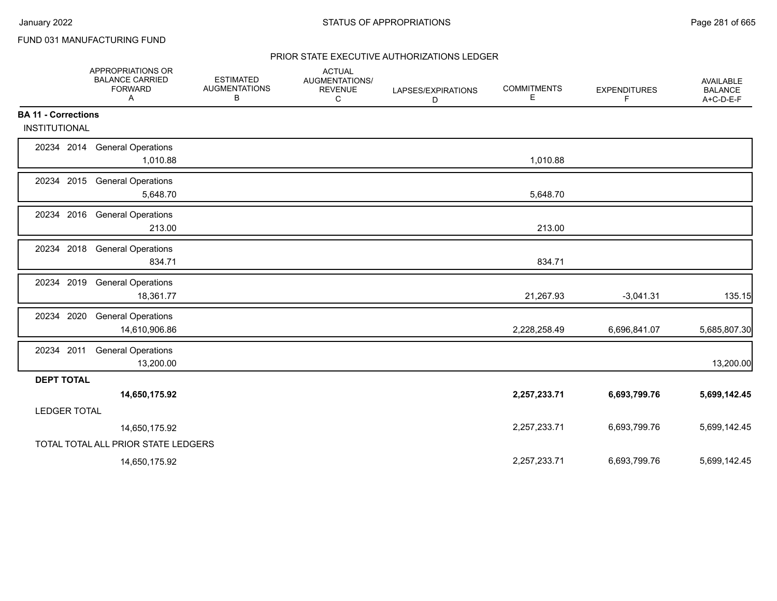# FUND 031 MANUFACTURING FUND

|                            | APPROPRIATIONS OR<br><b>BALANCE CARRIED</b><br><b>FORWARD</b><br>A | <b>ESTIMATED</b><br><b>AUGMENTATIONS</b><br>в | <b>ACTUAL</b><br>AUGMENTATIONS/<br><b>REVENUE</b><br>C | LAPSES/EXPIRATIONS<br>D | <b>COMMITMENTS</b><br>Е | <b>EXPENDITURES</b><br>F | AVAILABLE<br><b>BALANCE</b><br>$A+C-D-E-F$ |
|----------------------------|--------------------------------------------------------------------|-----------------------------------------------|--------------------------------------------------------|-------------------------|-------------------------|--------------------------|--------------------------------------------|
| <b>BA 11 - Corrections</b> |                                                                    |                                               |                                                        |                         |                         |                          |                                            |
| <b>INSTITUTIONAL</b>       |                                                                    |                                               |                                                        |                         |                         |                          |                                            |
|                            | 20234 2014 General Operations<br>1,010.88                          |                                               |                                                        |                         | 1,010.88                |                          |                                            |
|                            | 20234 2015 General Operations<br>5,648.70                          |                                               |                                                        |                         | 5,648.70                |                          |                                            |
|                            | 20234 2016 General Operations<br>213.00                            |                                               |                                                        |                         | 213.00                  |                          |                                            |
| 20234 2018                 | <b>General Operations</b><br>834.71                                |                                               |                                                        |                         | 834.71                  |                          |                                            |
| 20234 2019                 | <b>General Operations</b><br>18,361.77                             |                                               |                                                        |                         | 21,267.93               | $-3,041.31$              | 135.15                                     |
| 20234 2020                 | <b>General Operations</b><br>14,610,906.86                         |                                               |                                                        |                         | 2,228,258.49            | 6,696,841.07             | 5,685,807.30                               |
| 20234 2011                 | <b>General Operations</b><br>13,200.00                             |                                               |                                                        |                         |                         |                          | 13,200.00                                  |
| <b>DEPT TOTAL</b>          |                                                                    |                                               |                                                        |                         |                         |                          |                                            |
|                            | 14,650,175.92                                                      |                                               |                                                        |                         | 2,257,233.71            | 6,693,799.76             | 5,699,142.45                               |
| <b>LEDGER TOTAL</b>        |                                                                    |                                               |                                                        |                         |                         |                          |                                            |
|                            | 14,650,175.92                                                      |                                               |                                                        |                         | 2,257,233.71            | 6,693,799.76             | 5,699,142.45                               |
|                            | TOTAL TOTAL ALL PRIOR STATE LEDGERS                                |                                               |                                                        |                         |                         |                          |                                            |
|                            | 14,650,175.92                                                      |                                               |                                                        |                         | 2,257,233.71            | 6,693,799.76             | 5,699,142.45                               |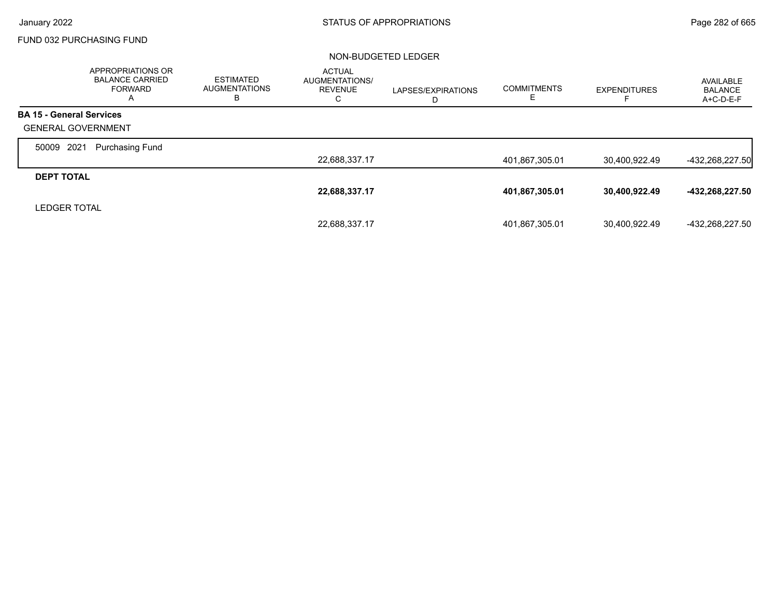### FUND 032 PURCHASING FUND

|                                 | <b>APPROPRIATIONS OR</b><br><b>BALANCE CARRIED</b><br>FORWARD<br>A | <b>ESTIMATED</b><br><b>AUGMENTATIONS</b><br>в | <b>ACTUAL</b><br>AUGMENTATIONS/<br><b>REVENUE</b><br>C | LAPSES/EXPIRATIONS<br>D | <b>COMMITMENTS</b><br>E. | <b>EXPENDITURES</b> | AVAILABLE<br><b>BALANCE</b><br>$A+C-D-E-F$ |
|---------------------------------|--------------------------------------------------------------------|-----------------------------------------------|--------------------------------------------------------|-------------------------|--------------------------|---------------------|--------------------------------------------|
| <b>BA 15 - General Services</b> |                                                                    |                                               |                                                        |                         |                          |                     |                                            |
| <b>GENERAL GOVERNMENT</b>       |                                                                    |                                               |                                                        |                         |                          |                     |                                            |
| 2021<br>50009                   | Purchasing Fund                                                    |                                               |                                                        |                         |                          |                     |                                            |
|                                 |                                                                    |                                               | 22,688,337.17                                          |                         | 401,867,305.01           | 30,400,922.49       | $-432,268,227.50$                          |
| <b>DEPT TOTAL</b>               |                                                                    |                                               |                                                        |                         |                          |                     |                                            |
|                                 |                                                                    |                                               | 22,688,337.17                                          |                         | 401,867,305.01           | 30,400,922.49       | -432,268,227.50                            |
| <b>LEDGER TOTAL</b>             |                                                                    |                                               |                                                        |                         |                          |                     |                                            |
|                                 |                                                                    |                                               | 22,688,337.17                                          |                         | 401,867,305.01           | 30.400.922.49       | -432.268.227.50                            |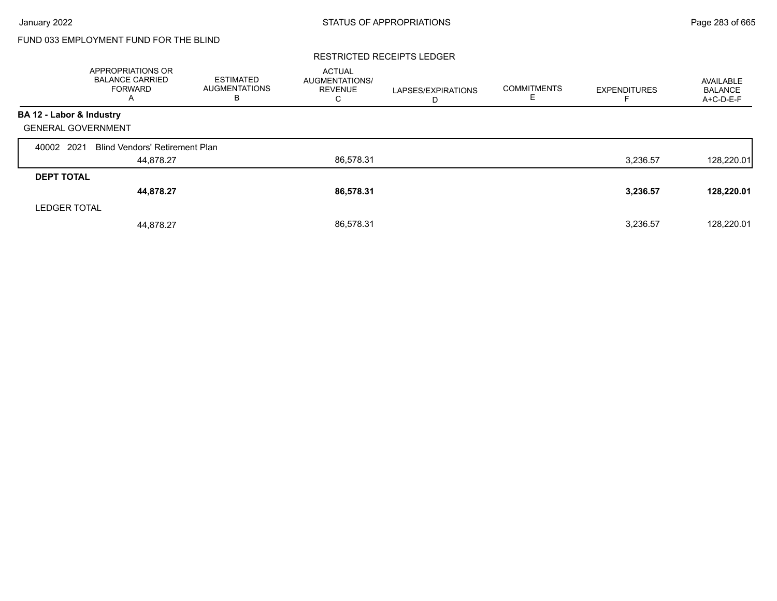# FUND 033 EMPLOYMENT FUND FOR THE BLIND

#### RESTRICTED RECEIPTS LEDGER

|                           | APPROPRIATIONS OR<br><b>BALANCE CARRIED</b><br><b>FORWARD</b><br>A | <b>ESTIMATED</b><br><b>AUGMENTATIONS</b><br>в | <b>ACTUAL</b><br>AUGMENTATIONS/<br><b>REVENUE</b><br>С | LAPSES/EXPIRATIONS<br>D | <b>COMMITMENTS</b><br>Е | <b>EXPENDITURES</b> | AVAILABLE<br><b>BALANCE</b><br>A+C-D-E-F |
|---------------------------|--------------------------------------------------------------------|-----------------------------------------------|--------------------------------------------------------|-------------------------|-------------------------|---------------------|------------------------------------------|
| BA 12 - Labor & Industry  |                                                                    |                                               |                                                        |                         |                         |                     |                                          |
| <b>GENERAL GOVERNMENT</b> |                                                                    |                                               |                                                        |                         |                         |                     |                                          |
| 40002 2021                | <b>Blind Vendors' Retirement Plan</b>                              |                                               |                                                        |                         |                         |                     |                                          |
|                           | 44,878.27                                                          |                                               | 86,578.31                                              |                         |                         | 3,236.57            | 128,220.01                               |
| <b>DEPT TOTAL</b>         |                                                                    |                                               |                                                        |                         |                         |                     |                                          |
|                           | 44,878.27                                                          |                                               | 86,578.31                                              |                         |                         | 3,236.57            | 128,220.01                               |
| <b>LEDGER TOTAL</b>       |                                                                    |                                               |                                                        |                         |                         |                     |                                          |
|                           | 44.878.27                                                          |                                               | 86.578.31                                              |                         |                         | 3,236.57            | 128,220.01                               |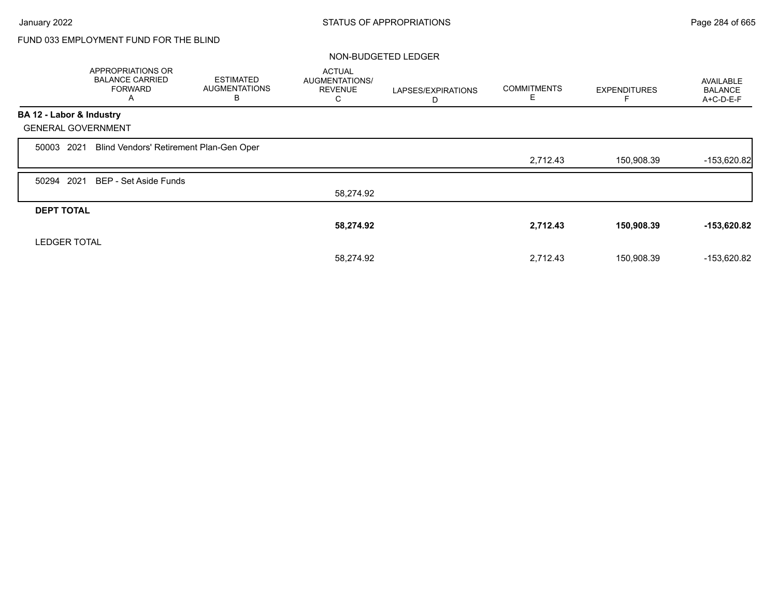# FUND 033 EMPLOYMENT FUND FOR THE BLIND

|                           | APPROPRIATIONS OR<br><b>BALANCE CARRIED</b><br><b>FORWARD</b><br>A | <b>ESTIMATED</b><br><b>AUGMENTATIONS</b><br>В | <b>ACTUAL</b><br>AUGMENTATIONS/<br><b>REVENUE</b><br>С | LAPSES/EXPIRATIONS<br>D | <b>COMMITMENTS</b><br>Е | <b>EXPENDITURES</b> | <b>AVAILABLE</b><br><b>BALANCE</b><br>A+C-D-E-F |
|---------------------------|--------------------------------------------------------------------|-----------------------------------------------|--------------------------------------------------------|-------------------------|-------------------------|---------------------|-------------------------------------------------|
| BA 12 - Labor & Industry  |                                                                    |                                               |                                                        |                         |                         |                     |                                                 |
| <b>GENERAL GOVERNMENT</b> |                                                                    |                                               |                                                        |                         |                         |                     |                                                 |
| 2021<br>50003             | Blind Vendors' Retirement Plan-Gen Oper                            |                                               |                                                        |                         |                         |                     |                                                 |
|                           |                                                                    |                                               |                                                        |                         | 2,712.43                | 150,908.39          | $-153,620.82$                                   |
| 50294 2021                | BEP - Set Aside Funds                                              |                                               |                                                        |                         |                         |                     |                                                 |
|                           |                                                                    |                                               | 58,274.92                                              |                         |                         |                     |                                                 |
| <b>DEPT TOTAL</b>         |                                                                    |                                               |                                                        |                         |                         |                     |                                                 |
|                           |                                                                    |                                               | 58,274.92                                              |                         | 2,712.43                | 150,908.39          | $-153,620.82$                                   |
| <b>LEDGER TOTAL</b>       |                                                                    |                                               |                                                        |                         |                         |                     |                                                 |
|                           |                                                                    |                                               | 58.274.92                                              |                         | 2,712.43                | 150,908.39          | -153,620.82                                     |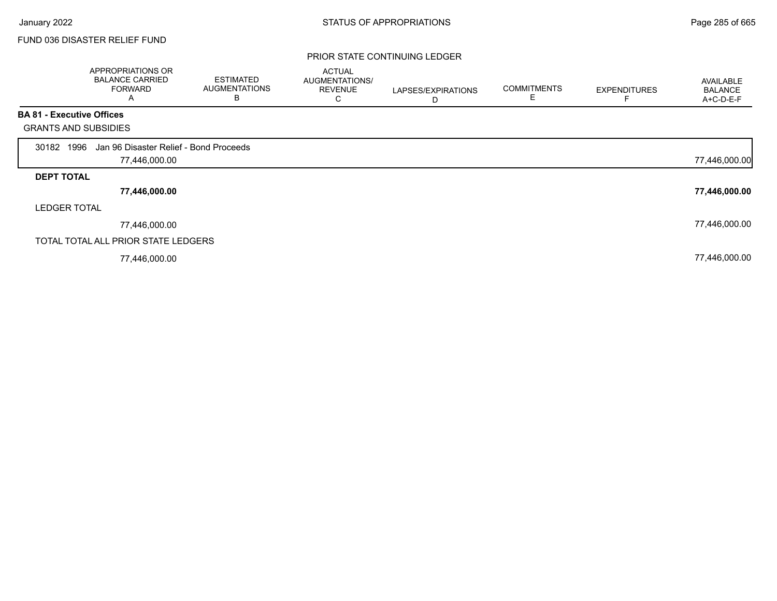## FUND 036 DISASTER RELIEF FUND

### PRIOR STATE CONTINUING LEDGER

|                             | APPROPRIATIONS OR<br><b>BALANCE CARRIED</b><br><b>FORWARD</b><br>A | <b>ESTIMATED</b><br><b>AUGMENTATIONS</b><br>B | <b>ACTUAL</b><br>AUGMENTATIONS/<br><b>REVENUE</b><br>С | LAPSES/EXPIRATIONS<br>D | <b>COMMITMENTS</b><br>Е | <b>EXPENDITURES</b> | AVAILABLE<br><b>BALANCE</b><br>A+C-D-E-F |
|-----------------------------|--------------------------------------------------------------------|-----------------------------------------------|--------------------------------------------------------|-------------------------|-------------------------|---------------------|------------------------------------------|
| BA 81 - Executive Offices   |                                                                    |                                               |                                                        |                         |                         |                     |                                          |
| <b>GRANTS AND SUBSIDIES</b> |                                                                    |                                               |                                                        |                         |                         |                     |                                          |
| 30182 1996                  | Jan 96 Disaster Relief - Bond Proceeds                             |                                               |                                                        |                         |                         |                     |                                          |
|                             | 77,446,000.00                                                      |                                               |                                                        |                         |                         |                     | 77,446,000.00                            |
| <b>DEPT TOTAL</b>           |                                                                    |                                               |                                                        |                         |                         |                     |                                          |
|                             | 77,446,000.00                                                      |                                               |                                                        |                         |                         |                     | 77,446,000.00                            |
| <b>LEDGER TOTAL</b>         |                                                                    |                                               |                                                        |                         |                         |                     |                                          |
|                             | 77,446,000.00                                                      |                                               |                                                        |                         |                         |                     | 77,446,000.00                            |
|                             | TOTAL TOTAL ALL PRIOR STATE LEDGERS                                |                                               |                                                        |                         |                         |                     |                                          |
|                             | 77,446,000.00                                                      |                                               |                                                        |                         |                         |                     | 77,446,000.00                            |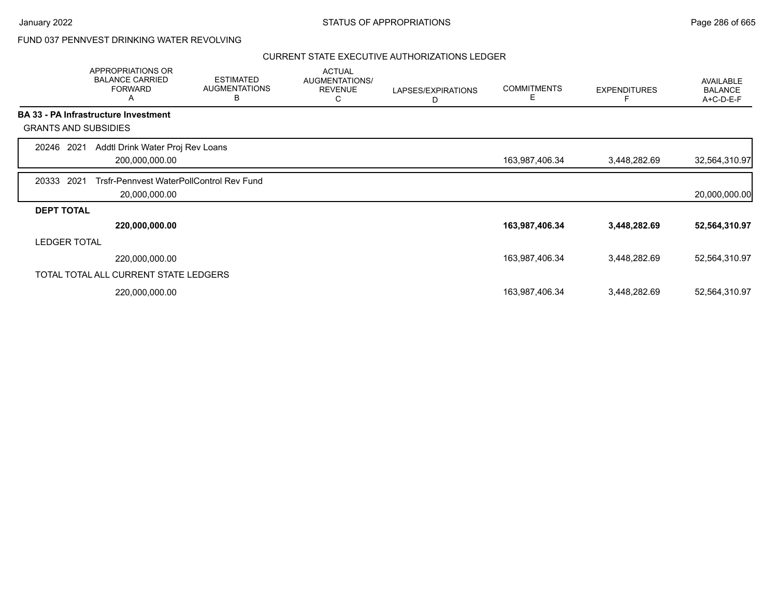## FUND 037 PENNVEST DRINKING WATER REVOLVING

|                             | APPROPRIATIONS OR<br><b>BALANCE CARRIED</b><br><b>FORWARD</b><br>Α | <b>ESTIMATED</b><br><b>AUGMENTATIONS</b><br>B | <b>ACTUAL</b><br>AUGMENTATIONS/<br><b>REVENUE</b><br>С | LAPSES/EXPIRATIONS<br>D | <b>COMMITMENTS</b><br>Е | <b>EXPENDITURES</b> | <b>AVAILABLE</b><br><b>BALANCE</b><br>A+C-D-E-F |
|-----------------------------|--------------------------------------------------------------------|-----------------------------------------------|--------------------------------------------------------|-------------------------|-------------------------|---------------------|-------------------------------------------------|
|                             | <b>BA 33 - PA Infrastructure Investment</b>                        |                                               |                                                        |                         |                         |                     |                                                 |
| <b>GRANTS AND SUBSIDIES</b> |                                                                    |                                               |                                                        |                         |                         |                     |                                                 |
| 20246 2021                  | Addtl Drink Water Proj Rev Loans<br>200,000,000.00                 |                                               |                                                        |                         | 163,987,406.34          | 3,448,282.69        | 32,564,310.97                                   |
| 20333<br>2021               | Trsfr-Pennyest WaterPollControl Rev Fund<br>20,000,000.00          |                                               |                                                        |                         |                         |                     | 20,000,000.00                                   |
| <b>DEPT TOTAL</b>           |                                                                    |                                               |                                                        |                         |                         |                     |                                                 |
|                             | 220,000,000.00                                                     |                                               |                                                        |                         | 163,987,406.34          | 3,448,282.69        | 52,564,310.97                                   |
| <b>LEDGER TOTAL</b>         |                                                                    |                                               |                                                        |                         |                         |                     |                                                 |
|                             | 220,000,000.00                                                     |                                               |                                                        |                         | 163,987,406.34          | 3,448,282.69        | 52,564,310.97                                   |
|                             | TOTAL TOTAL ALL CURRENT STATE LEDGERS                              |                                               |                                                        |                         |                         |                     |                                                 |
|                             | 220,000,000.00                                                     |                                               |                                                        |                         | 163,987,406.34          | 3,448,282.69        | 52,564,310.97                                   |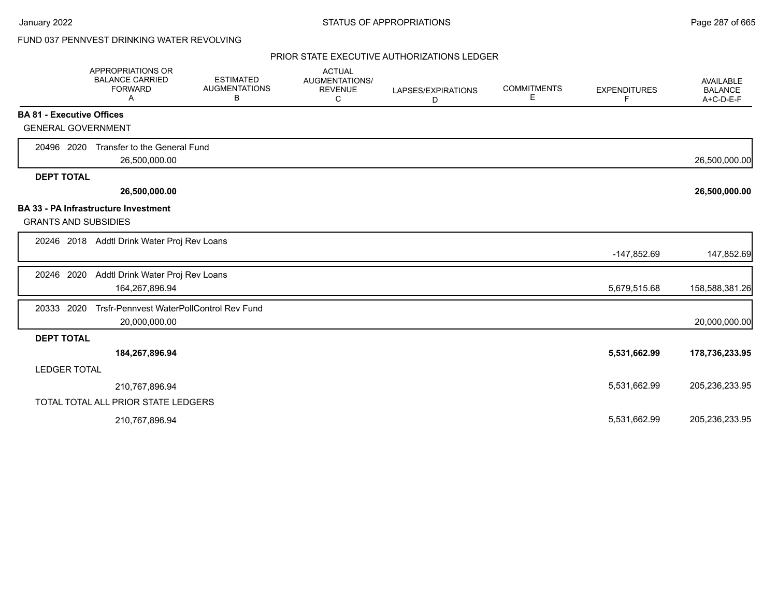# FUND 037 PENNVEST DRINKING WATER REVOLVING

|                                  | <b>APPROPRIATIONS OR</b><br><b>BALANCE CARRIED</b><br><b>FORWARD</b><br>A | <b>ESTIMATED</b><br><b>AUGMENTATIONS</b><br>В | <b>ACTUAL</b><br><b>AUGMENTATIONS/</b><br><b>REVENUE</b><br>С | LAPSES/EXPIRATIONS<br>D | <b>COMMITMENTS</b><br>E | <b>EXPENDITURES</b><br>F | <b>AVAILABLE</b><br><b>BALANCE</b><br>A+C-D-E-F |
|----------------------------------|---------------------------------------------------------------------------|-----------------------------------------------|---------------------------------------------------------------|-------------------------|-------------------------|--------------------------|-------------------------------------------------|
| <b>BA 81 - Executive Offices</b> |                                                                           |                                               |                                                               |                         |                         |                          |                                                 |
| <b>GENERAL GOVERNMENT</b>        |                                                                           |                                               |                                                               |                         |                         |                          |                                                 |
| 20496 2020                       | Transfer to the General Fund<br>26,500,000.00                             |                                               |                                                               |                         |                         |                          | 26,500,000.00                                   |
| <b>DEPT TOTAL</b>                |                                                                           |                                               |                                                               |                         |                         |                          |                                                 |
|                                  | 26,500,000.00                                                             |                                               |                                                               |                         |                         |                          | 26,500,000.00                                   |
|                                  | <b>BA 33 - PA Infrastructure Investment</b>                               |                                               |                                                               |                         |                         |                          |                                                 |
| <b>GRANTS AND SUBSIDIES</b>      |                                                                           |                                               |                                                               |                         |                         |                          |                                                 |
|                                  | 20246 2018 Addtl Drink Water Proj Rev Loans                               |                                               |                                                               |                         |                         |                          |                                                 |
|                                  |                                                                           |                                               |                                                               |                         |                         | -147,852.69              | 147,852.69                                      |
| 20246 2020                       | Addtl Drink Water Proj Rev Loans                                          |                                               |                                                               |                         |                         |                          |                                                 |
|                                  | 164,267,896.94                                                            |                                               |                                                               |                         |                         | 5,679,515.68             | 158,588,381.26                                  |
| 20333 2020                       | Trsfr-Pennvest WaterPollControl Rev Fund                                  |                                               |                                                               |                         |                         |                          |                                                 |
|                                  | 20,000,000.00                                                             |                                               |                                                               |                         |                         |                          | 20,000,000.00                                   |
| <b>DEPT TOTAL</b>                |                                                                           |                                               |                                                               |                         |                         |                          |                                                 |
|                                  | 184,267,896.94                                                            |                                               |                                                               |                         |                         | 5,531,662.99             | 178,736,233.95                                  |
| <b>LEDGER TOTAL</b>              |                                                                           |                                               |                                                               |                         |                         |                          |                                                 |
|                                  | 210,767,896.94                                                            |                                               |                                                               |                         |                         | 5,531,662.99             | 205,236,233.95                                  |
|                                  | TOTAL TOTAL ALL PRIOR STATE LEDGERS                                       |                                               |                                                               |                         |                         |                          |                                                 |
|                                  | 210,767,896.94                                                            |                                               |                                                               |                         |                         | 5,531,662.99             | 205,236,233.95                                  |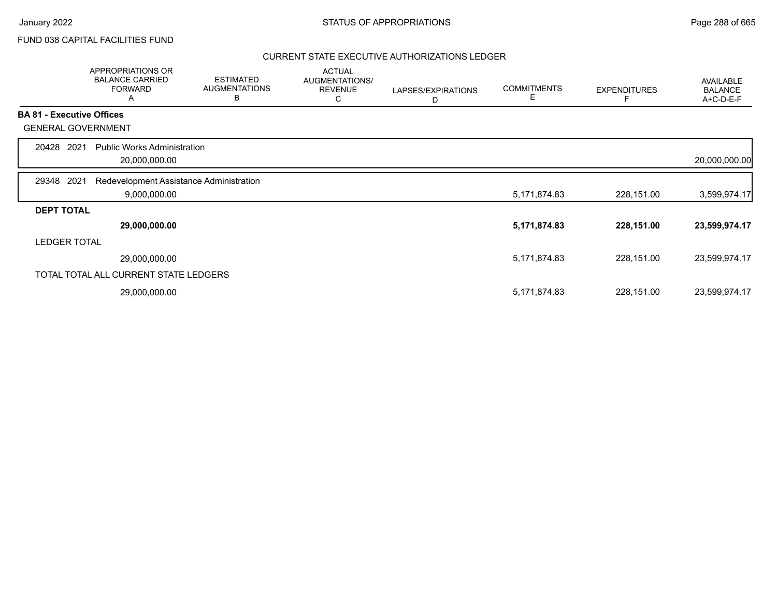## FUND 038 CAPITAL FACILITIES FUND

|                                  | <b>APPROPRIATIONS OR</b><br><b>BALANCE CARRIED</b><br><b>FORWARD</b><br>A | <b>ESTIMATED</b><br><b>AUGMENTATIONS</b><br>В | <b>ACTUAL</b><br>AUGMENTATIONS/<br><b>REVENUE</b><br>С | LAPSES/EXPIRATIONS<br>D | <b>COMMITMENTS</b><br>Е | <b>EXPENDITURES</b> | AVAILABLE<br><b>BALANCE</b><br>A+C-D-E-F |
|----------------------------------|---------------------------------------------------------------------------|-----------------------------------------------|--------------------------------------------------------|-------------------------|-------------------------|---------------------|------------------------------------------|
| <b>BA 81 - Executive Offices</b> |                                                                           |                                               |                                                        |                         |                         |                     |                                          |
| <b>GENERAL GOVERNMENT</b>        |                                                                           |                                               |                                                        |                         |                         |                     |                                          |
| 2021<br>20428                    | <b>Public Works Administration</b>                                        |                                               |                                                        |                         |                         |                     |                                          |
|                                  | 20,000,000.00                                                             |                                               |                                                        |                         |                         |                     | 20,000,000.00                            |
| 2021<br>29348                    | Redevelopment Assistance Administration                                   |                                               |                                                        |                         |                         |                     |                                          |
|                                  | 9,000,000.00                                                              |                                               |                                                        |                         | 5,171,874.83            | 228,151.00          | 3,599,974.17                             |
| <b>DEPT TOTAL</b>                |                                                                           |                                               |                                                        |                         |                         |                     |                                          |
|                                  | 29,000,000.00                                                             |                                               |                                                        |                         | 5,171,874.83            | 228,151.00          | 23,599,974.17                            |
| <b>LEDGER TOTAL</b>              |                                                                           |                                               |                                                        |                         |                         |                     |                                          |
|                                  | 29,000,000.00                                                             |                                               |                                                        |                         | 5,171,874.83            | 228,151.00          | 23,599,974.17                            |
|                                  | TOTAL TOTAL ALL CURRENT STATE LEDGERS                                     |                                               |                                                        |                         |                         |                     |                                          |
|                                  | 29,000,000.00                                                             |                                               |                                                        |                         | 5,171,874.83            | 228,151.00          | 23,599,974.17                            |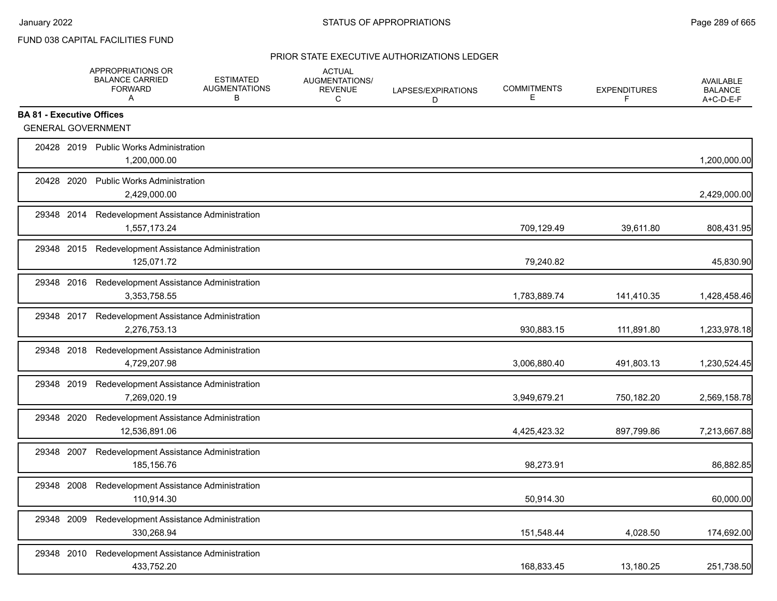## PRIOR STATE EXECUTIVE AUTHORIZATIONS LEDGER

|                                  |            | APPROPRIATIONS OR<br><b>BALANCE CARRIED</b><br><b>FORWARD</b><br>A | <b>ESTIMATED</b><br><b>AUGMENTATIONS</b><br>В | <b>ACTUAL</b><br>AUGMENTATIONS/<br><b>REVENUE</b><br>C | LAPSES/EXPIRATIONS<br>D | <b>COMMITMENTS</b><br>Е | <b>EXPENDITURES</b><br>F | <b>AVAILABLE</b><br><b>BALANCE</b><br>A+C-D-E-F |
|----------------------------------|------------|--------------------------------------------------------------------|-----------------------------------------------|--------------------------------------------------------|-------------------------|-------------------------|--------------------------|-------------------------------------------------|
| <b>BA 81 - Executive Offices</b> |            |                                                                    |                                               |                                                        |                         |                         |                          |                                                 |
|                                  |            | <b>GENERAL GOVERNMENT</b>                                          |                                               |                                                        |                         |                         |                          |                                                 |
|                                  |            | 20428 2019 Public Works Administration<br>1,200,000.00             |                                               |                                                        |                         |                         |                          | 1,200,000.00                                    |
|                                  | 20428 2020 | <b>Public Works Administration</b><br>2,429,000.00                 |                                               |                                                        |                         |                         |                          | 2,429,000.00                                    |
|                                  | 29348 2014 | Redevelopment Assistance Administration<br>1,557,173.24            |                                               |                                                        |                         | 709,129.49              | 39.611.80                | 808,431.95                                      |
|                                  | 29348 2015 | Redevelopment Assistance Administration<br>125,071.72              |                                               |                                                        |                         | 79,240.82               |                          | 45,830.90                                       |
|                                  | 29348 2016 | Redevelopment Assistance Administration<br>3,353,758.55            |                                               |                                                        |                         | 1,783,889.74            | 141,410.35               | 1,428,458.46                                    |
|                                  |            | 29348 2017 Redevelopment Assistance Administration<br>2,276,753.13 |                                               |                                                        |                         | 930,883.15              | 111,891.80               | 1,233,978.18                                    |
|                                  | 29348 2018 | Redevelopment Assistance Administration<br>4,729,207.98            |                                               |                                                        |                         | 3,006,880.40            | 491,803.13               | 1,230,524.45                                    |
|                                  | 29348 2019 | Redevelopment Assistance Administration<br>7,269,020.19            |                                               |                                                        |                         | 3,949,679.21            | 750,182.20               | 2,569,158.78                                    |
|                                  | 29348 2020 | Redevelopment Assistance Administration<br>12,536,891.06           |                                               |                                                        |                         | 4,425,423.32            | 897,799.86               | 7,213,667.88                                    |
|                                  | 29348 2007 | Redevelopment Assistance Administration<br>185,156.76              |                                               |                                                        |                         | 98,273.91               |                          | 86,882.85                                       |
|                                  | 29348 2008 | Redevelopment Assistance Administration<br>110,914.30              |                                               |                                                        |                         | 50,914.30               |                          | 60,000.00                                       |
| 29348                            | 2009       | Redevelopment Assistance Administration<br>330,268.94              |                                               |                                                        |                         | 151,548.44              | 4,028.50                 | 174,692.00                                      |
|                                  | 29348 2010 | Redevelopment Assistance Administration<br>433,752.20              |                                               |                                                        |                         | 168,833.45              | 13,180.25                | 251,738.50                                      |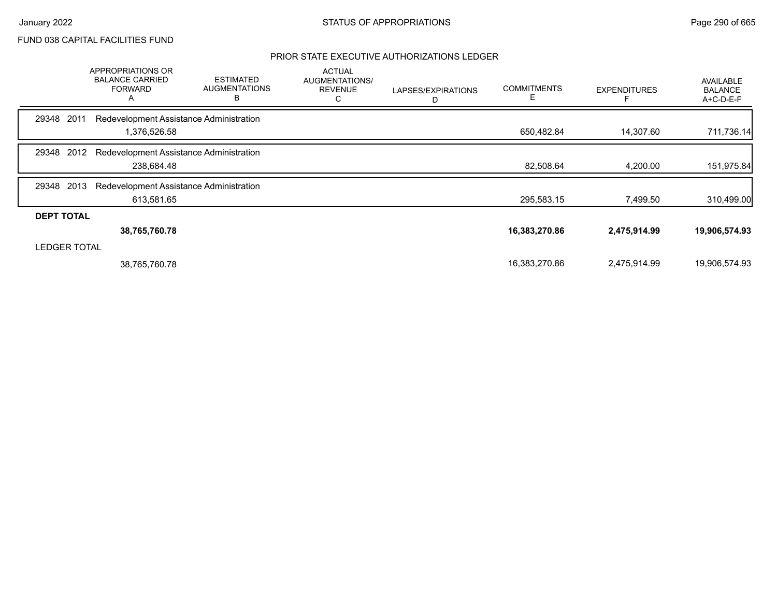## PRIOR STATE EXECUTIVE AUTHORIZATIONS LEDGER

|                     | APPROPRIATIONS OR<br><b>BALANCE CARRIED</b><br><b>FORWARD</b><br>A | <b>ESTIMATED</b><br><b>AUGMENTATIONS</b><br>В | <b>ACTUAL</b><br>AUGMENTATIONS/<br><b>REVENUE</b><br>С | LAPSES/EXPIRATIONS<br>D | <b>COMMITMENTS</b><br>E. | <b>EXPENDITURES</b> | <b>AVAILABLE</b><br><b>BALANCE</b><br>$A+C-D-E-F$ |
|---------------------|--------------------------------------------------------------------|-----------------------------------------------|--------------------------------------------------------|-------------------------|--------------------------|---------------------|---------------------------------------------------|
| 2011<br>29348       | Redevelopment Assistance Administration                            |                                               |                                                        |                         |                          |                     |                                                   |
|                     | 1,376,526.58                                                       |                                               |                                                        |                         | 650,482.84               | 14,307.60           | 711,736.14                                        |
| 2012<br>29348       | Redevelopment Assistance Administration                            |                                               |                                                        |                         |                          |                     |                                                   |
|                     | 238,684.48                                                         |                                               |                                                        |                         | 82,508.64                | 4,200.00            | 151,975.84                                        |
| 2013<br>29348       | Redevelopment Assistance Administration                            |                                               |                                                        |                         |                          |                     |                                                   |
|                     | 613,581.65                                                         |                                               |                                                        |                         | 295,583.15               | 7,499.50            | 310,499.00                                        |
| <b>DEPT TOTAL</b>   |                                                                    |                                               |                                                        |                         |                          |                     |                                                   |
|                     | 38,765,760.78                                                      |                                               |                                                        |                         | 16,383,270.86            | 2,475,914.99        | 19,906,574.93                                     |
| <b>LEDGER TOTAL</b> |                                                                    |                                               |                                                        |                         |                          |                     |                                                   |
|                     | 38,765,760.78                                                      |                                               |                                                        |                         | 16,383,270.86            | 2,475,914.99        | 19,906,574.93                                     |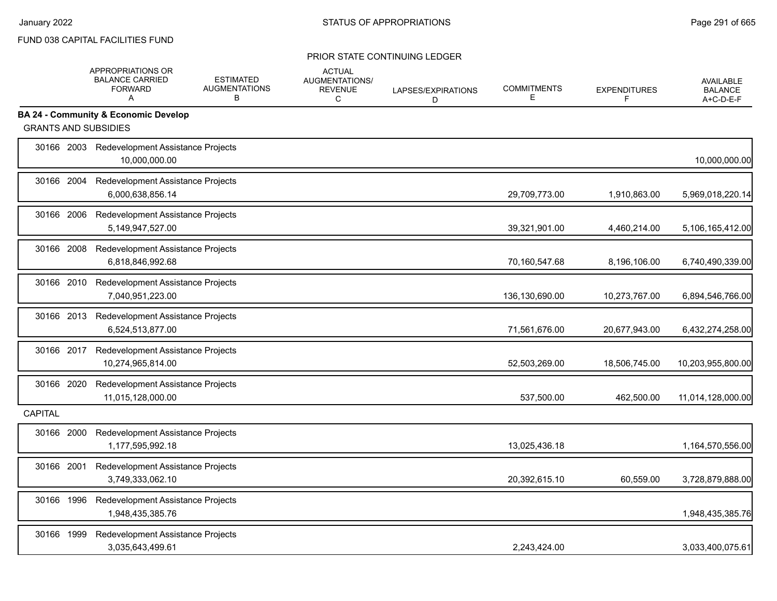|                             | APPROPRIATIONS OR<br><b>BALANCE CARRIED</b><br><b>FORWARD</b><br>A | <b>ESTIMATED</b><br><b>AUGMENTATIONS</b><br>B | <b>ACTUAL</b><br>AUGMENTATIONS/<br><b>REVENUE</b><br>C | LAPSES/EXPIRATIONS<br>D | <b>COMMITMENTS</b><br>E | <b>EXPENDITURES</b><br>F | <b>AVAILABLE</b><br><b>BALANCE</b><br>A+C-D-E-F |
|-----------------------------|--------------------------------------------------------------------|-----------------------------------------------|--------------------------------------------------------|-------------------------|-------------------------|--------------------------|-------------------------------------------------|
|                             | <b>BA 24 - Community &amp; Economic Develop</b>                    |                                               |                                                        |                         |                         |                          |                                                 |
| <b>GRANTS AND SUBSIDIES</b> |                                                                    |                                               |                                                        |                         |                         |                          |                                                 |
|                             | 30166 2003 Redevelopment Assistance Projects<br>10.000.000.00      |                                               |                                                        |                         |                         |                          | 10,000,000.00                                   |
| 30166 2004                  | Redevelopment Assistance Projects<br>6,000,638,856.14              |                                               |                                                        |                         | 29,709,773.00           | 1,910,863.00             | 5,969,018,220.14                                |
| 30166 2006                  | Redevelopment Assistance Projects<br>5,149,947,527.00              |                                               |                                                        |                         | 39,321,901.00           | 4,460,214.00             | 5,106,165,412.00                                |
| 30166 2008                  | Redevelopment Assistance Projects<br>6,818,846,992.68              |                                               |                                                        |                         | 70,160,547.68           | 8,196,106.00             | 6,740,490,339.00                                |
| 30166 2010                  | Redevelopment Assistance Projects<br>7,040,951,223.00              |                                               |                                                        |                         | 136,130,690.00          | 10,273,767.00            | 6,894,546,766.00                                |
| 30166 2013                  | Redevelopment Assistance Projects<br>6,524,513,877.00              |                                               |                                                        |                         | 71,561,676.00           | 20,677,943.00            | 6,432,274,258.00                                |
| 30166 2017                  | Redevelopment Assistance Projects<br>10,274,965,814.00             |                                               |                                                        |                         | 52,503,269.00           | 18,506,745.00            | 10,203,955,800.00                               |
| 30166 2020                  | Redevelopment Assistance Projects<br>11,015,128,000.00             |                                               |                                                        |                         | 537,500.00              | 462,500.00               | 11,014,128,000.00                               |
| <b>CAPITAL</b>              |                                                                    |                                               |                                                        |                         |                         |                          |                                                 |
| 30166 2000                  | Redevelopment Assistance Projects<br>1,177,595,992.18              |                                               |                                                        |                         | 13,025,436.18           |                          | 1,164,570,556.00                                |
| 30166 2001                  | Redevelopment Assistance Projects<br>3,749,333,062.10              |                                               |                                                        |                         | 20,392,615.10           | 60,559.00                | 3,728,879,888.00                                |
| 30166 1996                  | Redevelopment Assistance Projects<br>1,948,435,385.76              |                                               |                                                        |                         |                         |                          | 1,948,435,385.76                                |
| 30166 1999                  | Redevelopment Assistance Projects<br>3,035,643,499.61              |                                               |                                                        |                         | 2,243,424.00            |                          | 3,033,400,075.61                                |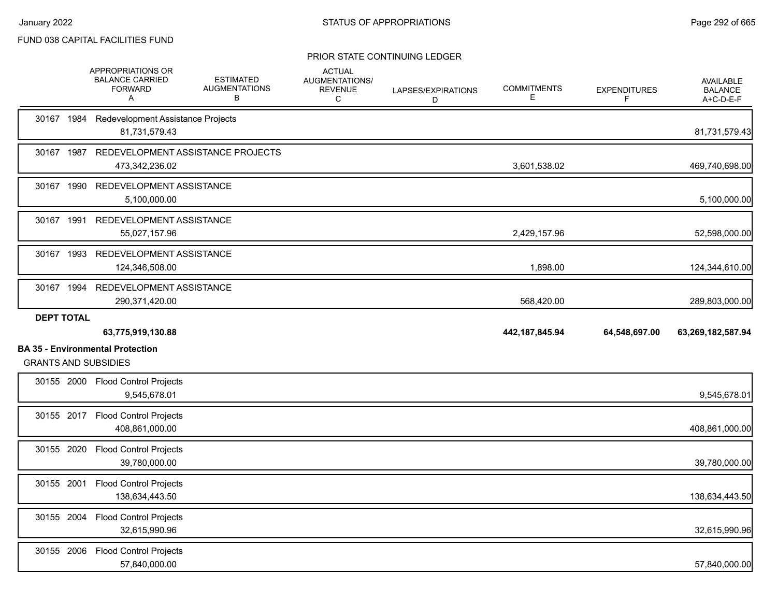|                             | APPROPRIATIONS OR<br><b>BALANCE CARRIED</b><br><b>FORWARD</b><br>A | <b>ESTIMATED</b><br><b>AUGMENTATIONS</b><br>В | <b>ACTUAL</b><br>AUGMENTATIONS/<br><b>REVENUE</b><br>С | LAPSES/EXPIRATIONS<br>D | <b>COMMITMENTS</b><br>Е | <b>EXPENDITURES</b><br>F | <b>AVAILABLE</b><br><b>BALANCE</b><br>A+C-D-E-F |
|-----------------------------|--------------------------------------------------------------------|-----------------------------------------------|--------------------------------------------------------|-------------------------|-------------------------|--------------------------|-------------------------------------------------|
|                             | 30167 1984 Redevelopment Assistance Projects<br>81,731,579.43      |                                               |                                                        |                         |                         |                          | 81,731,579.43                                   |
|                             | 473,342,236.02                                                     | 30167 1987 REDEVELOPMENT ASSISTANCE PROJECTS  |                                                        |                         | 3,601,538.02            |                          | 469,740,698.00                                  |
|                             | 30167 1990 REDEVELOPMENT ASSISTANCE<br>5,100,000.00                |                                               |                                                        |                         |                         |                          | 5,100,000.00                                    |
|                             | 30167 1991 REDEVELOPMENT ASSISTANCE<br>55,027,157.96               |                                               |                                                        |                         | 2,429,157.96            |                          | 52,598,000.00                                   |
|                             | 30167 1993 REDEVELOPMENT ASSISTANCE<br>124,346,508.00              |                                               |                                                        |                         | 1,898.00                |                          | 124,344,610.00                                  |
|                             | 30167 1994 REDEVELOPMENT ASSISTANCE<br>290,371,420.00              |                                               |                                                        |                         | 568,420.00              |                          | 289,803,000.00                                  |
|                             |                                                                    |                                               |                                                        |                         |                         |                          |                                                 |
| <b>DEPT TOTAL</b>           | 63,775,919,130.88                                                  |                                               |                                                        |                         | 442, 187, 845. 94       | 64,548,697.00            | 63,269,182,587.94                               |
| <b>GRANTS AND SUBSIDIES</b> | <b>BA 35 - Environmental Protection</b>                            |                                               |                                                        |                         |                         |                          |                                                 |
|                             | 30155 2000 Flood Control Projects<br>9,545,678.01                  |                                               |                                                        |                         |                         |                          | 9,545,678.01                                    |
|                             | 30155 2017 Flood Control Projects<br>408,861,000.00                |                                               |                                                        |                         |                         |                          | 408,861,000.00                                  |
|                             | 30155 2020 Flood Control Projects<br>39,780,000.00                 |                                               |                                                        |                         |                         |                          | 39,780,000.00                                   |
| 30155 2001                  | <b>Flood Control Projects</b><br>138,634,443.50                    |                                               |                                                        |                         |                         |                          | 138,634,443.50                                  |
|                             | 30155 2004 Flood Control Projects<br>32,615,990.96                 |                                               |                                                        |                         |                         |                          | 32,615,990.96                                   |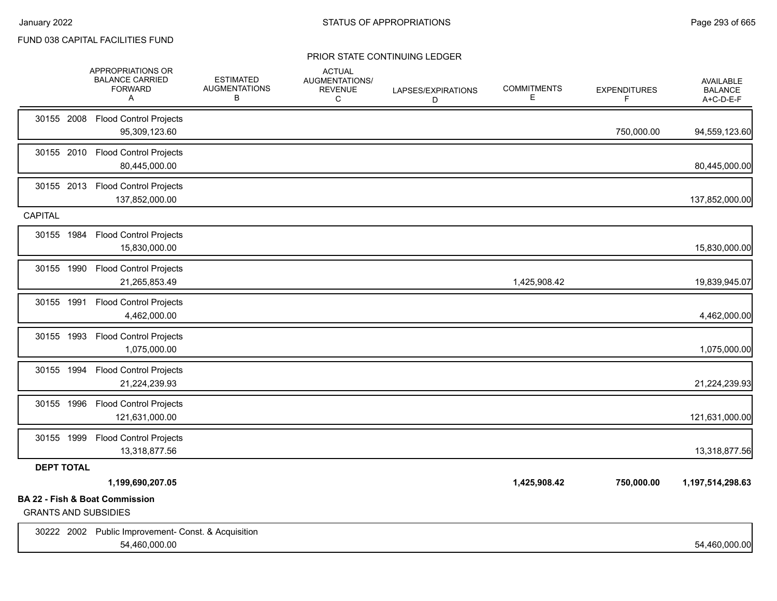|                   | APPROPRIATIONS OR<br><b>BALANCE CARRIED</b><br><b>FORWARD</b><br>Α       | <b>ESTIMATED</b><br><b>AUGMENTATIONS</b><br>В | <b>ACTUAL</b><br>AUGMENTATIONS/<br><b>REVENUE</b><br>С | LAPSES/EXPIRATIONS<br>D | <b>COMMITMENTS</b><br>Е | <b>EXPENDITURES</b><br>F | <b>AVAILABLE</b><br><b>BALANCE</b><br>A+C-D-E-F |
|-------------------|--------------------------------------------------------------------------|-----------------------------------------------|--------------------------------------------------------|-------------------------|-------------------------|--------------------------|-------------------------------------------------|
| 30155 2008        | <b>Flood Control Projects</b><br>95,309,123.60                           |                                               |                                                        |                         |                         | 750,000.00               | 94,559,123.60                                   |
| 30155 2010        | <b>Flood Control Projects</b><br>80,445,000.00                           |                                               |                                                        |                         |                         |                          | 80,445,000.00                                   |
| 30155 2013        | <b>Flood Control Projects</b><br>137,852,000.00                          |                                               |                                                        |                         |                         |                          | 137,852,000.00                                  |
| <b>CAPITAL</b>    |                                                                          |                                               |                                                        |                         |                         |                          |                                                 |
| 30155 1984        | <b>Flood Control Projects</b><br>15,830,000.00                           |                                               |                                                        |                         |                         |                          | 15,830,000.00                                   |
| 30155 1990        | <b>Flood Control Projects</b><br>21,265,853.49                           |                                               |                                                        |                         | 1,425,908.42            |                          | 19,839,945.07                                   |
| 30155 1991        | <b>Flood Control Projects</b><br>4,462,000.00                            |                                               |                                                        |                         |                         |                          | 4,462,000.00                                    |
| 30155 1993        | <b>Flood Control Projects</b><br>1,075,000.00                            |                                               |                                                        |                         |                         |                          | 1,075,000.00                                    |
| 30155 1994        | <b>Flood Control Projects</b><br>21,224,239.93                           |                                               |                                                        |                         |                         |                          | 21,224,239.93                                   |
| 30155 1996        | <b>Flood Control Projects</b><br>121,631,000.00                          |                                               |                                                        |                         |                         |                          | 121,631,000.00                                  |
| 30155 1999        | <b>Flood Control Projects</b><br>13,318,877.56                           |                                               |                                                        |                         |                         |                          | 13,318,877.56                                   |
| <b>DEPT TOTAL</b> |                                                                          |                                               |                                                        |                         |                         |                          |                                                 |
|                   | 1,199,690,207.05                                                         |                                               |                                                        |                         | 1,425,908.42            | 750,000.00               | 1,197,514,298.63                                |
|                   | <b>BA 22 - Fish &amp; Boat Commission</b><br><b>GRANTS AND SUBSIDIES</b> |                                               |                                                        |                         |                         |                          |                                                 |
|                   | 30222 2002 Public Improvement- Const. & Acquisition<br>54,460,000.00     |                                               |                                                        |                         |                         |                          | 54,460,000.00                                   |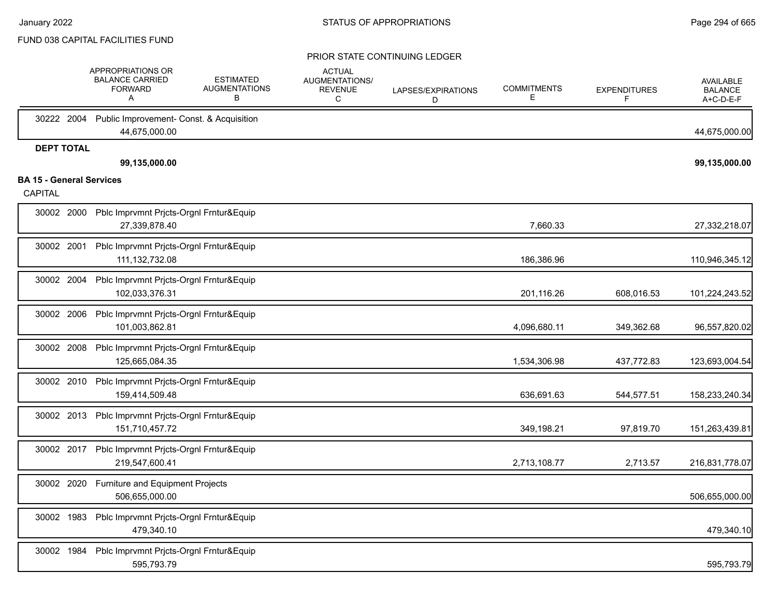|                                 | APPROPRIATIONS OR<br><b>BALANCE CARRIED</b><br><b>FORWARD</b><br>Α | <b>ESTIMATED</b><br><b>AUGMENTATIONS</b><br>в | <b>ACTUAL</b><br>AUGMENTATIONS/<br><b>REVENUE</b><br>С | LAPSES/EXPIRATIONS<br>D | <b>COMMITMENTS</b><br>Е | <b>EXPENDITURES</b><br>F | <b>AVAILABLE</b><br><b>BALANCE</b><br>A+C-D-E-F |
|---------------------------------|--------------------------------------------------------------------|-----------------------------------------------|--------------------------------------------------------|-------------------------|-------------------------|--------------------------|-------------------------------------------------|
| 30222 2004                      | Public Improvement- Const. & Acquisition<br>44,675,000.00          |                                               |                                                        |                         |                         |                          | 44,675,000.00                                   |
| <b>DEPT TOTAL</b>               |                                                                    |                                               |                                                        |                         |                         |                          |                                                 |
| <b>BA 15 - General Services</b> | 99,135,000.00                                                      |                                               |                                                        |                         |                         |                          | 99,135,000.00                                   |
| CAPITAL                         |                                                                    |                                               |                                                        |                         |                         |                          |                                                 |
| 30002 2000                      | Pblc Imprvmnt Prjcts-Orgnl Frntur&Equip<br>27,339,878.40           |                                               |                                                        |                         | 7,660.33                |                          | 27,332,218.07                                   |
| 30002 2001                      | Pblc Imprvmnt Prjcts-Orgnl Frntur&Equip<br>111, 132, 732.08        |                                               |                                                        |                         | 186,386.96              |                          | 110,946,345.12                                  |
| 30002 2004                      | Pblc Imprvmnt Prjcts-Orgnl Frntur&Equip<br>102,033,376.31          |                                               |                                                        |                         | 201,116.26              | 608,016.53               | 101,224,243.52                                  |
| 30002 2006                      | Pblc Imprvmnt Prjcts-Orgnl Frntur&Equip<br>101,003,862.81          |                                               |                                                        |                         | 4,096,680.11            | 349,362.68               | 96,557,820.02                                   |
| 30002 2008                      | Pblc Imprvmnt Prjcts-Orgnl Frntur&Equip<br>125,665,084.35          |                                               |                                                        |                         | 1,534,306.98            | 437,772.83               | 123,693,004.54                                  |
| 30002 2010                      | Pblc Imprvmnt Prjcts-Orgnl Frntur&Equip<br>159,414,509.48          |                                               |                                                        |                         | 636,691.63              | 544,577.51               | 158,233,240.34                                  |
| 30002 2013                      | Pblc Imprvmnt Prjcts-Orgnl Frntur&Equip<br>151,710,457.72          |                                               |                                                        |                         | 349,198.21              | 97,819.70                | 151,263,439.81                                  |
| 30002 2017                      | Pblc Imprvmnt Prjcts-Orgnl Frntur&Equip<br>219,547,600.41          |                                               |                                                        |                         | 2,713,108.77            | 2,713.57                 | 216,831,778.07                                  |
| 30002 2020                      | Furniture and Equipment Projects<br>506,655,000.00                 |                                               |                                                        |                         |                         |                          | 506,655,000.00                                  |
| 30002 1983                      | Pblc Imprvmnt Prjcts-Orgnl Frntur&Equip<br>479,340.10              |                                               |                                                        |                         |                         |                          | 479,340.10                                      |
| 30002 1984                      | Pblc Imprvmnt Prjcts-Orgnl Frntur&Equip<br>595,793.79              |                                               |                                                        |                         |                         |                          | 595,793.79                                      |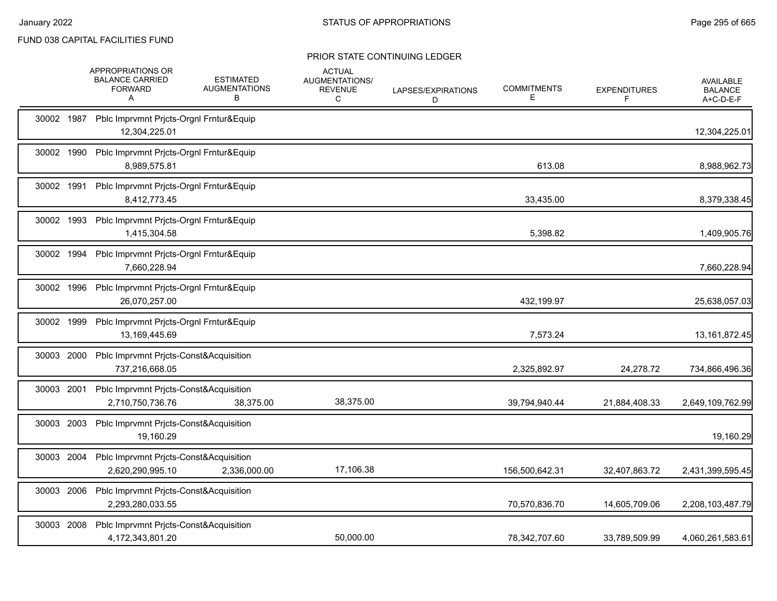|            | <b>APPROPRIATIONS OR</b><br><b>BALANCE CARRIED</b><br><b>FORWARD</b><br>A | <b>ESTIMATED</b><br><b>AUGMENTATIONS</b><br>В | <b>ACTUAL</b><br>AUGMENTATIONS/<br><b>REVENUE</b><br>C | LAPSES/EXPIRATIONS<br>D | <b>COMMITMENTS</b><br>Е | <b>EXPENDITURES</b><br>F | <b>AVAILABLE</b><br><b>BALANCE</b><br>A+C-D-E-F |
|------------|---------------------------------------------------------------------------|-----------------------------------------------|--------------------------------------------------------|-------------------------|-------------------------|--------------------------|-------------------------------------------------|
|            | 30002 1987 Pblc Imprvmnt Pricts-Orgnl Frntur&Equip<br>12,304,225.01       |                                               |                                                        |                         |                         |                          | 12,304,225.01                                   |
| 30002 1990 | Pblc Imprvmnt Prjcts-Orgnl Frntur&Equip<br>8,989,575.81                   |                                               |                                                        |                         | 613.08                  |                          | 8,988,962.73                                    |
| 30002 1991 | Pblc Imprvmnt Pricts-Orgnl Frntur&Equip<br>8,412,773.45                   |                                               |                                                        |                         | 33,435.00               |                          | 8,379,338.45                                    |
| 30002 1993 | Pblc Imprvmnt Prjcts-Orgnl Frntur&Equip<br>1,415,304.58                   |                                               |                                                        |                         | 5,398.82                |                          | 1,409,905.76                                    |
|            | 30002 1994 Pblc Imprvmnt Pricts-Orgnl Frntur&Equip<br>7,660,228.94        |                                               |                                                        |                         |                         |                          | 7,660,228.94                                    |
| 30002 1996 | Pblc Imprvmnt Prjcts-Orgnl Frntur&Equip<br>26,070,257.00                  |                                               |                                                        |                         | 432,199.97              |                          | 25,638,057.03                                   |
| 30002 1999 | Pblc Imprvmnt Prjcts-Orgnl Frntur&Equip<br>13,169,445.69                  |                                               |                                                        |                         | 7,573.24                |                          | 13, 161, 872. 45                                |
| 30003 2000 | Pblc Imprvmnt Prjcts-Const&Acquisition<br>737,216,668.05                  |                                               |                                                        |                         | 2,325,892.97            | 24,278.72                | 734,866,496.36                                  |
| 30003 2001 | Pblc Imprvmnt Prjcts-Const&Acquisition<br>2,710,750,736.76                | 38,375.00                                     | 38,375.00                                              |                         | 39,794,940.44           | 21,884,408.33            | 2,649,109,762.99                                |
| 30003 2003 | Pblc Imprvmnt Prjcts-Const&Acquisition<br>19,160.29                       |                                               |                                                        |                         |                         |                          | 19,160.29                                       |
|            | 30003 2004 Pblc Imprvmnt Prjcts-Const&Acquisition<br>2,620,290,995.10     | 2,336,000.00                                  | 17,106.38                                              |                         | 156,500,642.31          | 32,407,863.72            | 2,431,399,595.45                                |
| 30003 2006 | Pblc Imprvmnt Pricts-Const&Acquisition<br>2,293,280,033.55                |                                               |                                                        |                         | 70,570,836.70           | 14,605,709.06            | 2,208,103,487.79                                |
| 30003 2008 | Pblc Imprvmnt Prjcts-Const&Acquisition<br>4,172,343,801.20                |                                               | 50.000.00                                              |                         | 78,342,707.60           | 33.789.509.99            | 4,060,261,583.61                                |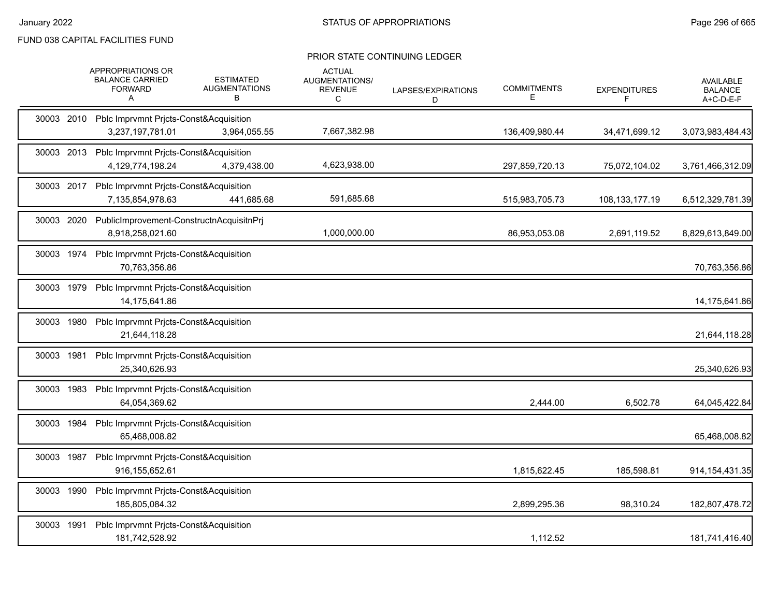|            | APPROPRIATIONS OR<br><b>BALANCE CARRIED</b><br><b>FORWARD</b><br>Α     | <b>ESTIMATED</b><br><b>AUGMENTATIONS</b><br>В | <b>ACTUAL</b><br><b>AUGMENTATIONS/</b><br><b>REVENUE</b><br>C | LAPSES/EXPIRATIONS<br>D | <b>COMMITMENTS</b><br>Е | <b>EXPENDITURES</b> | <b>AVAILABLE</b><br><b>BALANCE</b><br>A+C-D-E-F |
|------------|------------------------------------------------------------------------|-----------------------------------------------|---------------------------------------------------------------|-------------------------|-------------------------|---------------------|-------------------------------------------------|
|            | 30003 2010 Pblc Imprvmnt Pricts-Const&Acquisition<br>3,237,197,781.01  | 3,964,055.55                                  | 7,667,382.98                                                  |                         | 136,409,980.44          | 34,471,699.12       | 3,073,983,484.43                                |
| 30003 2013 | Pblc Imprvmnt Prjcts-Const&Acquisition<br>4,129,774,198.24             | 4,379,438.00                                  | 4,623,938.00                                                  |                         | 297,859,720.13          | 75,072,104.02       | 3,761,466,312.09                                |
|            | 30003 2017 Pblc Imprvmnt Prjcts-Const&Acquisition<br>7,135,854,978.63  | 441,685.68                                    | 591,685.68                                                    |                         | 515,983,705.73          | 108, 133, 177. 19   | 6,512,329,781.39                                |
| 30003 2020 | PublicImprovement-ConstructnAcquisitnPrj<br>8.918.258.021.60           |                                               | 1,000,000.00                                                  |                         | 86,953,053.08           | 2,691,119.52        | 8,829,613,849.00                                |
|            | 30003 1974 Pblc Imprvmnt Pricts-Const&Acquisition<br>70,763,356.86     |                                               |                                                               |                         |                         |                     | 70,763,356.86                                   |
| 30003 1979 | Pblc Imprvmnt Pricts-Const&Acquisition<br>14,175,641.86                |                                               |                                                               |                         |                         |                     | 14,175,641.86                                   |
| 30003 1980 | Pblc Imprvmnt Pricts-Const&Acquisition<br>21,644,118.28                |                                               |                                                               |                         |                         |                     | 21,644,118.28                                   |
| 30003 1981 | Pblc Imprvmnt Pricts-Const&Acquisition<br>25,340,626.93                |                                               |                                                               |                         |                         |                     | 25,340,626.93                                   |
| 30003 1983 | Pblc Imprvmnt Prjcts-Const&Acquisition<br>64,054,369.62                |                                               |                                                               |                         | 2,444.00                | 6,502.78            | 64,045,422.84                                   |
| 30003 1984 | Pblc Imprvmnt Prjcts-Const&Acquisition<br>65,468,008.82                |                                               |                                                               |                         |                         |                     | 65,468,008.82                                   |
|            | 30003 1987 Pblc Imprvmnt Pricts-Const&Acquisition<br>916, 155, 652. 61 |                                               |                                                               |                         | 1,815,622.45            | 185,598.81          | 914, 154, 431. 35                               |
| 30003 1990 | Pblc Imprvmnt Pricts-Const&Acquisition<br>185,805,084.32               |                                               |                                                               |                         | 2,899,295.36            | 98,310.24           | 182,807,478.72                                  |
| 30003 1991 | Pblc Imprvmnt Pricts-Const&Acquisition<br>181,742,528.92               |                                               |                                                               |                         | 1,112.52                |                     | 181,741,416.40                                  |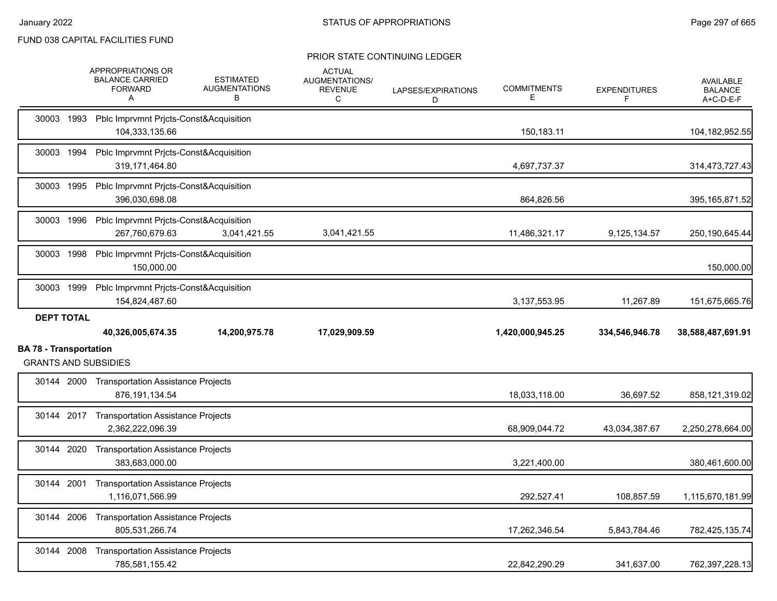|                                                              | APPROPRIATIONS OR<br><b>BALANCE CARRIED</b><br><b>FORWARD</b><br>Α  | <b>ESTIMATED</b><br><b>AUGMENTATIONS</b><br>В | <b>ACTUAL</b><br>AUGMENTATIONS/<br><b>REVENUE</b><br>С | LAPSES/EXPIRATIONS<br>D | <b>COMMITMENTS</b><br>E. | <b>EXPENDITURES</b><br>F | <b>AVAILABLE</b><br><b>BALANCE</b><br>A+C-D-E-F |
|--------------------------------------------------------------|---------------------------------------------------------------------|-----------------------------------------------|--------------------------------------------------------|-------------------------|--------------------------|--------------------------|-------------------------------------------------|
|                                                              | 30003 1993 Pblc Imprvmnt Prjcts-Const&Acquisition<br>104,333,135.66 |                                               |                                                        |                         | 150,183.11               |                          | 104,182,952.55                                  |
|                                                              | 30003 1994 Pblc Imprvmnt Pricts-Const&Acquisition<br>319,171,464.80 |                                               |                                                        |                         | 4,697,737.37             |                          | 314,473,727.43                                  |
|                                                              | 30003 1995 Pblc Imprvmnt Prjcts-Const&Acquisition<br>396,030,698.08 |                                               |                                                        |                         | 864,826.56               |                          | 395, 165, 871.52                                |
|                                                              | 30003 1996 Pblc Imprvmnt Pricts-Const&Acquisition<br>267.760.679.63 | 3,041,421.55                                  | 3,041,421.55                                           |                         | 11,486,321.17            | 9,125,134.57             | 250,190,645.44                                  |
|                                                              | 30003 1998 Pblc Imprvmnt Prjcts-Const&Acquisition<br>150.000.00     |                                               |                                                        |                         |                          |                          | 150,000.00                                      |
| 30003 1999                                                   | Pblc Imprvmnt Prjcts-Const&Acquisition<br>154,824,487.60            |                                               |                                                        |                         | 3,137,553.95             | 11,267.89                | 151,675,665.76                                  |
| <b>DEPT TOTAL</b>                                            | 40,326,005,674.35                                                   | 14,200,975.78                                 | 17,029,909.59                                          |                         | 1,420,000,945.25         | 334,546,946.78           | 38,588,487,691.91                               |
| <b>BA 78 - Transportation</b><br><b>GRANTS AND SUBSIDIES</b> |                                                                     |                                               |                                                        |                         |                          |                          |                                                 |
|                                                              | 30144 2000 Transportation Assistance Projects                       |                                               |                                                        |                         |                          |                          |                                                 |
|                                                              | 876, 191, 134.54                                                    |                                               |                                                        |                         | 18,033,118.00            | 36,697.52                | 858,121,319.02                                  |
|                                                              | 30144 2017 Transportation Assistance Projects<br>2,362,222,096.39   |                                               |                                                        |                         | 68,909,044.72            | 43,034,387.67            | 2,250,278,664.00                                |
|                                                              | 30144 2020 Transportation Assistance Projects<br>383,683,000.00     |                                               |                                                        |                         | 3,221,400.00             |                          | 380,461,600.00                                  |
|                                                              | 30144 2001 Transportation Assistance Projects<br>1,116,071,566.99   |                                               |                                                        |                         | 292,527.41               | 108,857.59               | 1,115,670,181.99                                |
|                                                              | 30144 2006 Transportation Assistance Projects<br>805.531.266.74     |                                               |                                                        |                         | 17,262,346.54            | 5,843,784.46             | 782,425,135.74                                  |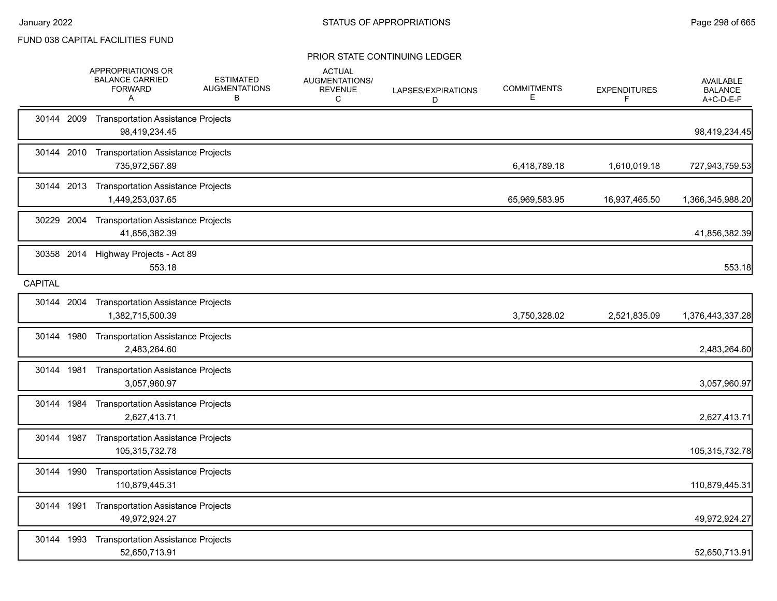|                | <b>APPROPRIATIONS OR</b><br><b>BALANCE CARRIED</b><br><b>FORWARD</b><br>A | <b>ESTIMATED</b><br><b>AUGMENTATIONS</b><br>в | <b>ACTUAL</b><br>AUGMENTATIONS/<br><b>REVENUE</b><br>C | LAPSES/EXPIRATIONS<br>D | <b>COMMITMENTS</b><br>Е. | <b>EXPENDITURES</b><br>F | AVAILABLE<br><b>BALANCE</b><br>A+C-D-E-F |
|----------------|---------------------------------------------------------------------------|-----------------------------------------------|--------------------------------------------------------|-------------------------|--------------------------|--------------------------|------------------------------------------|
| 30144 2009     | <b>Transportation Assistance Projects</b><br>98,419,234.45                |                                               |                                                        |                         |                          |                          | 98,419,234.45                            |
|                | 30144 2010 Transportation Assistance Projects<br>735,972,567.89           |                                               |                                                        |                         | 6,418,789.18             | 1,610,019.18             | 727,943,759.53                           |
|                | 30144 2013 Transportation Assistance Projects<br>1,449,253,037.65         |                                               |                                                        |                         | 65,969,583.95            | 16,937,465.50            | 1,366,345,988.20                         |
| 30229 2004     | <b>Transportation Assistance Projects</b><br>41,856,382.39                |                                               |                                                        |                         |                          |                          | 41,856,382.39                            |
| 30358 2014     | Highway Projects - Act 89<br>553.18                                       |                                               |                                                        |                         |                          |                          | 553.18                                   |
| <b>CAPITAL</b> |                                                                           |                                               |                                                        |                         |                          |                          |                                          |
| 30144 2004     | <b>Transportation Assistance Projects</b><br>1,382,715,500.39             |                                               |                                                        |                         | 3,750,328.02             | 2,521,835.09             | 1,376,443,337.28                         |
| 30144 1980     | <b>Transportation Assistance Projects</b><br>2,483,264.60                 |                                               |                                                        |                         |                          |                          | 2,483,264.60                             |
| 30144 1981     | <b>Transportation Assistance Projects</b><br>3,057,960.97                 |                                               |                                                        |                         |                          |                          | 3,057,960.97                             |
| 30144 1984     | <b>Transportation Assistance Projects</b><br>2,627,413.71                 |                                               |                                                        |                         |                          |                          | 2,627,413.71                             |
| 30144 1987     | <b>Transportation Assistance Projects</b><br>105,315,732.78               |                                               |                                                        |                         |                          |                          | 105,315,732.78                           |
| 30144 1990     | <b>Transportation Assistance Projects</b><br>110,879,445.31               |                                               |                                                        |                         |                          |                          | 110,879,445.31                           |
| 30144 1991     | <b>Transportation Assistance Projects</b><br>49,972,924.27                |                                               |                                                        |                         |                          |                          | 49,972,924.27                            |
| 30144 1993     | <b>Transportation Assistance Projects</b><br>52,650,713.91                |                                               |                                                        |                         |                          |                          | 52,650,713.91                            |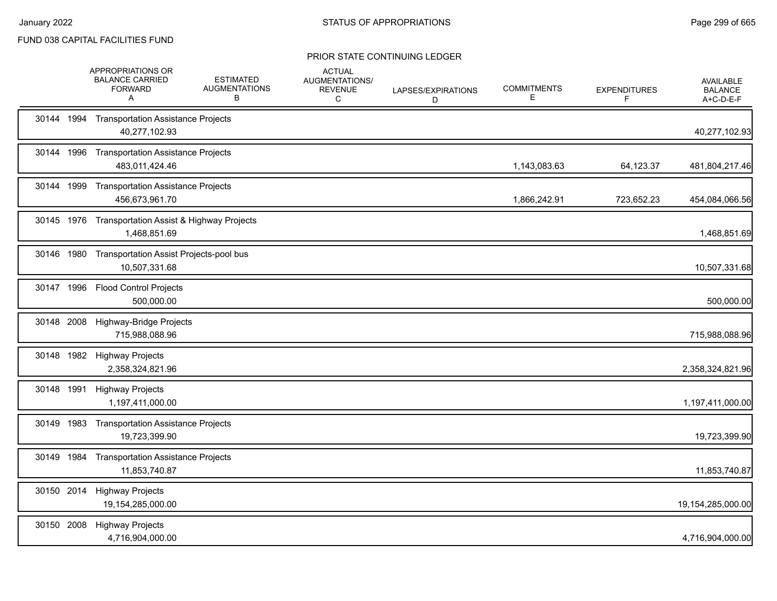|            | APPROPRIATIONS OR<br><b>BALANCE CARRIED</b><br><b>FORWARD</b><br>A | <b>ESTIMATED</b><br><b>AUGMENTATIONS</b><br>В | <b>ACTUAL</b><br>AUGMENTATIONS/<br><b>REVENUE</b><br>C | LAPSES/EXPIRATIONS<br>D | <b>COMMITMENTS</b><br>Е | <b>EXPENDITURES</b><br>F | <b>AVAILABLE</b><br><b>BALANCE</b><br>A+C-D-E-F |
|------------|--------------------------------------------------------------------|-----------------------------------------------|--------------------------------------------------------|-------------------------|-------------------------|--------------------------|-------------------------------------------------|
| 30144 1994 | <b>Transportation Assistance Projects</b><br>40,277,102.93         |                                               |                                                        |                         |                         |                          | 40,277,102.93                                   |
| 30144 1996 | <b>Transportation Assistance Projects</b><br>483,011,424.46        |                                               |                                                        |                         | 1,143,083.63            | 64,123.37                | 481,804,217.46                                  |
| 30144 1999 | <b>Transportation Assistance Projects</b><br>456,673,961.70        |                                               |                                                        |                         | 1,866,242.91            | 723,652.23               | 454,084,066.56                                  |
| 30145 1976 | Transportation Assist & Highway Projects<br>1,468,851.69           |                                               |                                                        |                         |                         |                          | 1,468,851.69                                    |
| 30146 1980 | Transportation Assist Projects-pool bus<br>10,507,331.68           |                                               |                                                        |                         |                         |                          | 10,507,331.68                                   |
| 30147 1996 | <b>Flood Control Projects</b><br>500,000.00                        |                                               |                                                        |                         |                         |                          | 500,000.00                                      |
| 30148 2008 | Highway-Bridge Projects<br>715,988,088.96                          |                                               |                                                        |                         |                         |                          | 715,988,088.96                                  |
|            | 30148 1982 Highway Projects<br>2,358,324,821.96                    |                                               |                                                        |                         |                         |                          | 2,358,324,821.96                                |
|            | 30148 1991 Highway Projects<br>1,197,411,000.00                    |                                               |                                                        |                         |                         |                          | 1,197,411,000.00                                |
| 30149 1983 | <b>Transportation Assistance Projects</b><br>19,723,399.90         |                                               |                                                        |                         |                         |                          | 19,723,399.90                                   |
| 30149 1984 | <b>Transportation Assistance Projects</b><br>11,853,740.87         |                                               |                                                        |                         |                         |                          | 11,853,740.87                                   |
|            | 30150 2014 Highway Projects<br>19,154,285,000.00                   |                                               |                                                        |                         |                         |                          | 19,154,285,000.00                               |
| 30150 2008 | <b>Highway Projects</b><br>4,716,904,000.00                        |                                               |                                                        |                         |                         |                          | 4,716,904,000.00                                |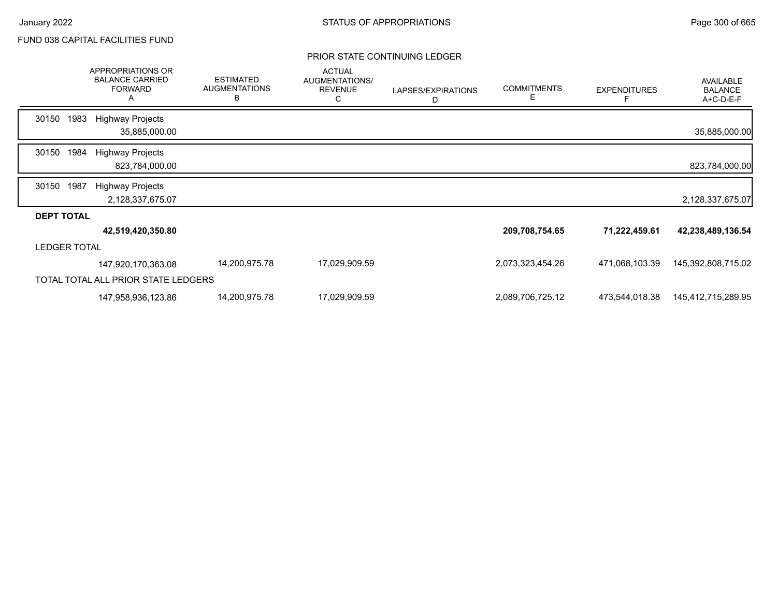|                     |      | APPROPRIATIONS OR<br><b>BALANCE CARRIED</b><br><b>FORWARD</b><br>Α | <b>ESTIMATED</b><br><b>AUGMENTATIONS</b><br>B | <b>ACTUAL</b><br>AUGMENTATIONS/<br><b>REVENUE</b><br>С | LAPSES/EXPIRATIONS<br>D | <b>COMMITMENTS</b><br>Е | <b>EXPENDITURES</b><br>F | <b>AVAILABLE</b><br><b>BALANCE</b><br>A+C-D-E-F |
|---------------------|------|--------------------------------------------------------------------|-----------------------------------------------|--------------------------------------------------------|-------------------------|-------------------------|--------------------------|-------------------------------------------------|
| 30150               | 1983 | <b>Highway Projects</b>                                            |                                               |                                                        |                         |                         |                          |                                                 |
|                     |      | 35,885,000.00                                                      |                                               |                                                        |                         |                         |                          | 35,885,000.00                                   |
| 30150               | 1984 | <b>Highway Projects</b>                                            |                                               |                                                        |                         |                         |                          |                                                 |
|                     |      | 823,784,000.00                                                     |                                               |                                                        |                         |                         |                          | 823,784,000.00                                  |
| 30150               | 1987 | <b>Highway Projects</b>                                            |                                               |                                                        |                         |                         |                          |                                                 |
|                     |      | 2,128,337,675.07                                                   |                                               |                                                        |                         |                         |                          | 2,128,337,675.07                                |
| <b>DEPT TOTAL</b>   |      |                                                                    |                                               |                                                        |                         |                         |                          |                                                 |
|                     |      | 42,519,420,350.80                                                  |                                               |                                                        |                         | 209,708,754.65          | 71,222,459.61            | 42,238,489,136.54                               |
| <b>LEDGER TOTAL</b> |      |                                                                    |                                               |                                                        |                         |                         |                          |                                                 |
|                     |      | 147,920,170,363.08                                                 | 14,200,975.78                                 | 17,029,909.59                                          |                         | 2,073,323,454.26        | 471,068,103.39           | 145,392,808,715.02                              |
|                     |      | TOTAL TOTAL ALL PRIOR STATE LEDGERS                                |                                               |                                                        |                         |                         |                          |                                                 |
|                     |      | 147,958,936,123.86                                                 | 14,200,975.78                                 | 17,029,909.59                                          |                         | 2,089,706,725.12        | 473,544,018.38           | 145,412,715,289.95                              |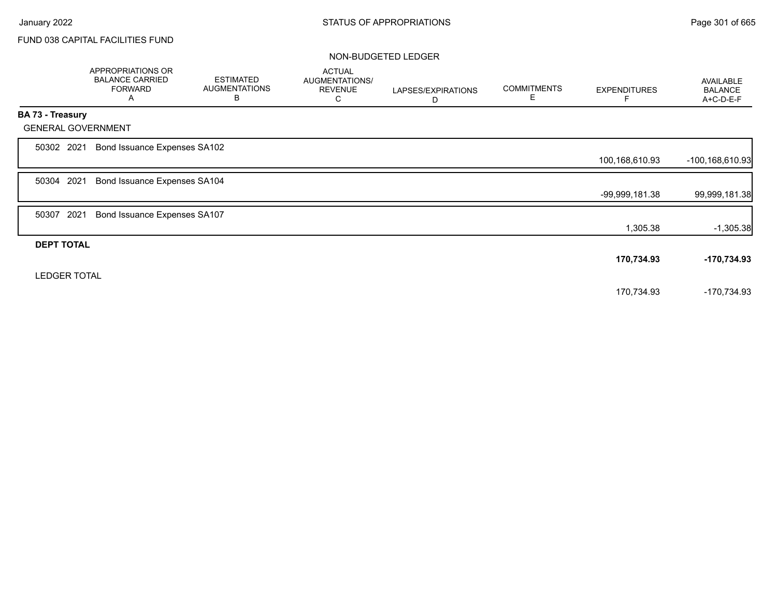|                         | APPROPRIATIONS OR<br><b>BALANCE CARRIED</b><br><b>FORWARD</b><br>A | <b>ESTIMATED</b><br><b>AUGMENTATIONS</b><br>B | <b>ACTUAL</b><br>AUGMENTATIONS/<br><b>REVENUE</b><br>C | LAPSES/EXPIRATIONS<br>D | <b>COMMITMENTS</b><br>Е | <b>EXPENDITURES</b> | <b>AVAILABLE</b><br><b>BALANCE</b><br>A+C-D-E-F |
|-------------------------|--------------------------------------------------------------------|-----------------------------------------------|--------------------------------------------------------|-------------------------|-------------------------|---------------------|-------------------------------------------------|
| <b>BA 73 - Treasury</b> |                                                                    |                                               |                                                        |                         |                         |                     |                                                 |
|                         | <b>GENERAL GOVERNMENT</b>                                          |                                               |                                                        |                         |                         |                     |                                                 |
| 50302 2021              | Bond Issuance Expenses SA102                                       |                                               |                                                        |                         |                         |                     |                                                 |
|                         |                                                                    |                                               |                                                        |                         |                         | 100,168,610.93      | -100,168,610.93                                 |
| 50304 2021              | Bond Issuance Expenses SA104                                       |                                               |                                                        |                         |                         |                     |                                                 |
|                         |                                                                    |                                               |                                                        |                         |                         | -99,999,181.38      | 99,999,181.38                                   |
| 50307 2021              | Bond Issuance Expenses SA107                                       |                                               |                                                        |                         |                         |                     |                                                 |
|                         |                                                                    |                                               |                                                        |                         |                         | 1,305.38            | $-1,305.38$                                     |
| <b>DEPT TOTAL</b>       |                                                                    |                                               |                                                        |                         |                         |                     |                                                 |
|                         |                                                                    |                                               |                                                        |                         |                         | 170,734.93          | -170,734.93                                     |
|                         | <b>LEDGER TOTAL</b>                                                |                                               |                                                        |                         |                         |                     |                                                 |
|                         |                                                                    |                                               |                                                        |                         |                         | 170,734.93          | -170,734.93                                     |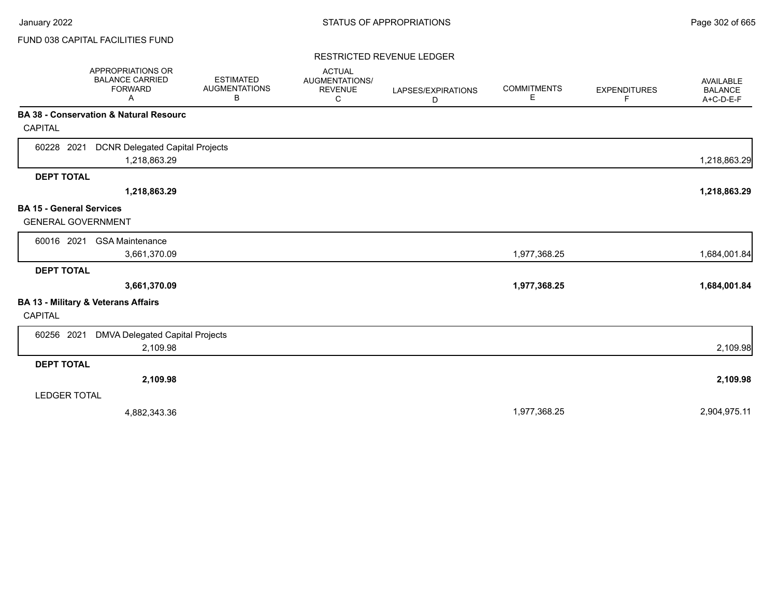### RESTRICTED REVENUE LEDGER

|                                                              | APPROPRIATIONS OR<br><b>BALANCE CARRIED</b><br><b>FORWARD</b><br>Α | <b>ESTIMATED</b><br><b>AUGMENTATIONS</b><br>В | <b>ACTUAL</b><br>AUGMENTATIONS/<br><b>REVENUE</b><br>C | LAPSES/EXPIRATIONS<br>D | <b>COMMITMENTS</b><br>Е | <b>EXPENDITURES</b><br>F | <b>AVAILABLE</b><br><b>BALANCE</b><br>A+C-D-E-F |
|--------------------------------------------------------------|--------------------------------------------------------------------|-----------------------------------------------|--------------------------------------------------------|-------------------------|-------------------------|--------------------------|-------------------------------------------------|
| <b>CAPITAL</b>                                               | BA 38 - Conservation & Natural Resourc                             |                                               |                                                        |                         |                         |                          |                                                 |
| 60228 2021                                                   | <b>DCNR Delegated Capital Projects</b><br>1,218,863.29             |                                               |                                                        |                         |                         |                          | 1,218,863.29                                    |
| <b>DEPT TOTAL</b>                                            |                                                                    |                                               |                                                        |                         |                         |                          |                                                 |
|                                                              | 1,218,863.29                                                       |                                               |                                                        |                         |                         |                          | 1,218,863.29                                    |
| <b>BA 15 - General Services</b><br><b>GENERAL GOVERNMENT</b> |                                                                    |                                               |                                                        |                         |                         |                          |                                                 |
| 60016 2021                                                   | <b>GSA Maintenance</b><br>3,661,370.09                             |                                               |                                                        |                         | 1,977,368.25            |                          | 1,684,001.84                                    |
| <b>DEPT TOTAL</b>                                            |                                                                    |                                               |                                                        |                         |                         |                          |                                                 |
|                                                              | 3,661,370.09                                                       |                                               |                                                        |                         | 1,977,368.25            |                          | 1,684,001.84                                    |
| <b>CAPITAL</b>                                               | BA 13 - Military & Veterans Affairs                                |                                               |                                                        |                         |                         |                          |                                                 |
| 60256 2021                                                   | DMVA Delegated Capital Projects<br>2,109.98                        |                                               |                                                        |                         |                         |                          | 2,109.98                                        |
| <b>DEPT TOTAL</b>                                            |                                                                    |                                               |                                                        |                         |                         |                          |                                                 |
|                                                              | 2,109.98                                                           |                                               |                                                        |                         |                         |                          | 2,109.98                                        |
| <b>LEDGER TOTAL</b>                                          |                                                                    |                                               |                                                        |                         |                         |                          |                                                 |
|                                                              | 4,882,343.36                                                       |                                               |                                                        |                         | 1,977,368.25            |                          | 2,904,975.11                                    |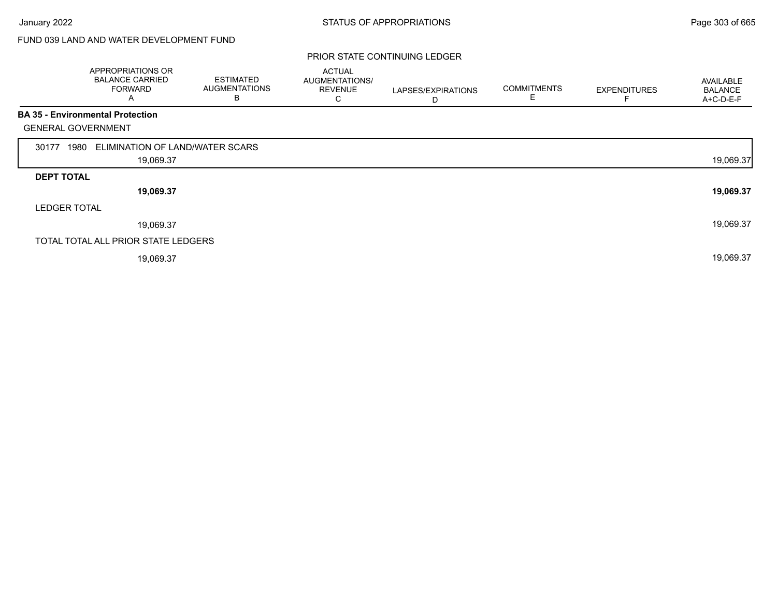# FUND 039 LAND AND WATER DEVELOPMENT FUND

|                           | APPROPRIATIONS OR<br><b>BALANCE CARRIED</b><br><b>FORWARD</b><br>A | <b>ESTIMATED</b><br><b>AUGMENTATIONS</b><br>B | <b>ACTUAL</b><br>AUGMENTATIONS/<br><b>REVENUE</b><br>C | LAPSES/EXPIRATIONS<br>D | <b>COMMITMENTS</b><br>E | <b>EXPENDITURES</b> | AVAILABLE<br><b>BALANCE</b><br>A+C-D-E-F |
|---------------------------|--------------------------------------------------------------------|-----------------------------------------------|--------------------------------------------------------|-------------------------|-------------------------|---------------------|------------------------------------------|
|                           | <b>BA 35 - Environmental Protection</b>                            |                                               |                                                        |                         |                         |                     |                                          |
| <b>GENERAL GOVERNMENT</b> |                                                                    |                                               |                                                        |                         |                         |                     |                                          |
| 1980<br>30177             | ELIMINATION OF LAND/WATER SCARS                                    |                                               |                                                        |                         |                         |                     |                                          |
|                           | 19,069.37                                                          |                                               |                                                        |                         |                         |                     | 19,069.37                                |
| <b>DEPT TOTAL</b>         |                                                                    |                                               |                                                        |                         |                         |                     |                                          |
|                           | 19,069.37                                                          |                                               |                                                        |                         |                         |                     | 19,069.37                                |
| <b>LEDGER TOTAL</b>       |                                                                    |                                               |                                                        |                         |                         |                     |                                          |
|                           | 19,069.37                                                          |                                               |                                                        |                         |                         |                     | 19,069.37                                |
|                           | TOTAL TOTAL ALL PRIOR STATE LEDGERS                                |                                               |                                                        |                         |                         |                     |                                          |
|                           | 19,069.37                                                          |                                               |                                                        |                         |                         |                     | 19,069.37                                |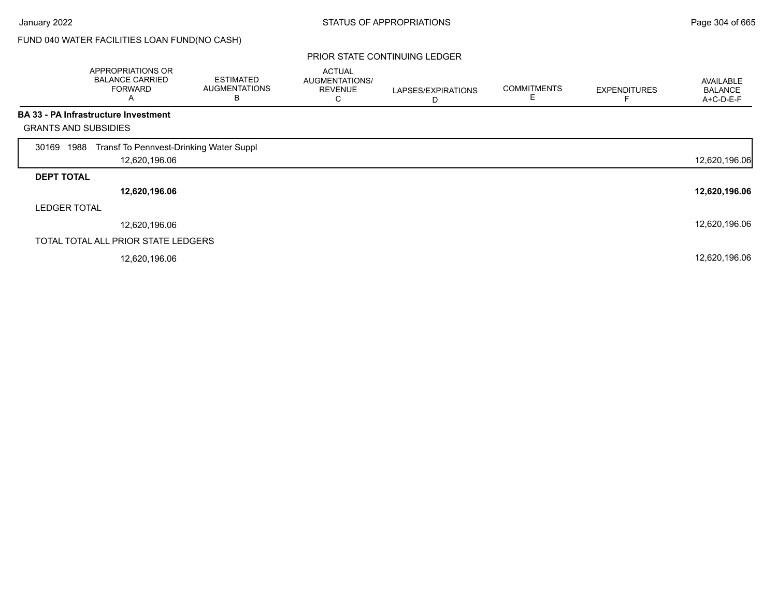Г

# FUND 040 WATER FACILITIES LOAN FUND(NO CASH)

|                             | APPROPRIATIONS OR<br><b>BALANCE CARRIED</b><br><b>FORWARD</b><br>A | <b>ESTIMATED</b><br><b>AUGMENTATIONS</b><br>в | <b>ACTUAL</b><br>AUGMENTATIONS/<br><b>REVENUE</b><br>С | LAPSES/EXPIRATIONS<br>D | <b>COMMITMENTS</b> | <b>EXPENDITURES</b> | <b>AVAILABLE</b><br><b>BALANCE</b><br>A+C-D-E-F |
|-----------------------------|--------------------------------------------------------------------|-----------------------------------------------|--------------------------------------------------------|-------------------------|--------------------|---------------------|-------------------------------------------------|
|                             | BA 33 - PA Infrastructure Investment                               |                                               |                                                        |                         |                    |                     |                                                 |
| <b>GRANTS AND SUBSIDIES</b> |                                                                    |                                               |                                                        |                         |                    |                     |                                                 |
| 1988<br>30169               | Transf To Pennvest-Drinking Water Suppl                            |                                               |                                                        |                         |                    |                     |                                                 |
|                             | 12,620,196.06                                                      |                                               |                                                        |                         |                    |                     | 12,620,196.06                                   |
| <b>DEPT TOTAL</b>           |                                                                    |                                               |                                                        |                         |                    |                     |                                                 |
|                             | 12,620,196.06                                                      |                                               |                                                        |                         |                    |                     | 12,620,196.06                                   |
| <b>LEDGER TOTAL</b>         |                                                                    |                                               |                                                        |                         |                    |                     |                                                 |
|                             | 12,620,196.06                                                      |                                               |                                                        |                         |                    |                     | 12,620,196.06                                   |
|                             | TOTAL TOTAL ALL PRIOR STATE LEDGERS                                |                                               |                                                        |                         |                    |                     |                                                 |
|                             | 12,620,196.06                                                      |                                               |                                                        |                         |                    |                     | 12,620,196.06                                   |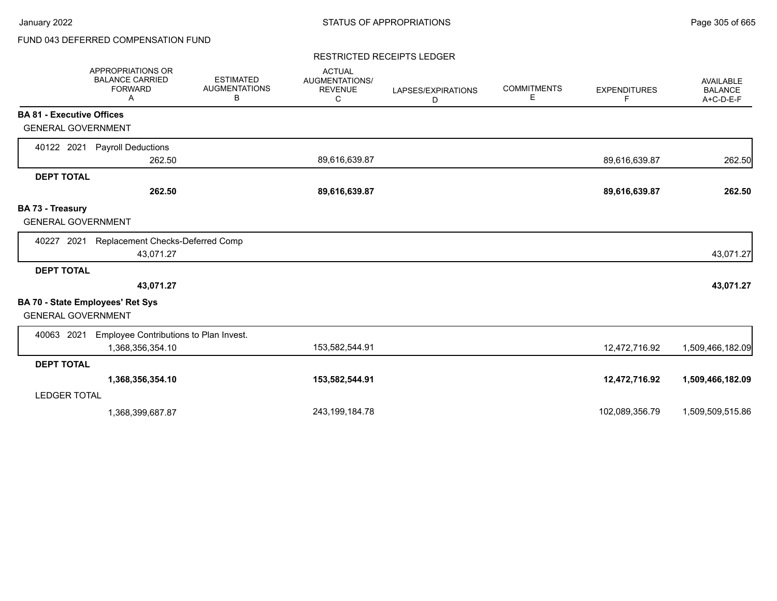# FUND 043 DEFERRED COMPENSATION FUND

### RESTRICTED RECEIPTS LEDGER

|                                  | APPROPRIATIONS OR<br><b>BALANCE CARRIED</b><br><b>FORWARD</b><br>Α | <b>ESTIMATED</b><br><b>AUGMENTATIONS</b><br>В | <b>ACTUAL</b><br>AUGMENTATIONS/<br><b>REVENUE</b><br>С | LAPSES/EXPIRATIONS<br>D | <b>COMMITMENTS</b><br>Е | <b>EXPENDITURES</b><br>F. | <b>AVAILABLE</b><br><b>BALANCE</b><br>A+C-D-E-F |
|----------------------------------|--------------------------------------------------------------------|-----------------------------------------------|--------------------------------------------------------|-------------------------|-------------------------|---------------------------|-------------------------------------------------|
| <b>BA 81 - Executive Offices</b> |                                                                    |                                               |                                                        |                         |                         |                           |                                                 |
| <b>GENERAL GOVERNMENT</b>        |                                                                    |                                               |                                                        |                         |                         |                           |                                                 |
| 40122 2021                       | <b>Payroll Deductions</b>                                          |                                               |                                                        |                         |                         |                           |                                                 |
|                                  | 262.50                                                             |                                               | 89,616,639.87                                          |                         |                         | 89,616,639.87             | 262.50                                          |
| <b>DEPT TOTAL</b>                |                                                                    |                                               |                                                        |                         |                         |                           |                                                 |
|                                  | 262.50                                                             |                                               | 89,616,639.87                                          |                         |                         | 89,616,639.87             | 262.50                                          |
| BA 73 - Treasury                 |                                                                    |                                               |                                                        |                         |                         |                           |                                                 |
| <b>GENERAL GOVERNMENT</b>        |                                                                    |                                               |                                                        |                         |                         |                           |                                                 |
| 40227<br>2021                    | Replacement Checks-Deferred Comp                                   |                                               |                                                        |                         |                         |                           |                                                 |
|                                  | 43,071.27                                                          |                                               |                                                        |                         |                         |                           | 43,071.27                                       |
| <b>DEPT TOTAL</b>                |                                                                    |                                               |                                                        |                         |                         |                           |                                                 |
|                                  | 43,071.27                                                          |                                               |                                                        |                         |                         |                           | 43,071.27                                       |
| <b>GENERAL GOVERNMENT</b>        | <b>BA 70 - State Employees' Ret Sys</b>                            |                                               |                                                        |                         |                         |                           |                                                 |
| 40063 2021                       | Employee Contributions to Plan Invest.                             |                                               |                                                        |                         |                         |                           |                                                 |
|                                  | 1,368,356,354.10                                                   |                                               | 153,582,544.91                                         |                         |                         | 12,472,716.92             | 1,509,466,182.09                                |
| <b>DEPT TOTAL</b>                |                                                                    |                                               |                                                        |                         |                         |                           |                                                 |
|                                  | 1,368,356,354.10                                                   |                                               | 153,582,544.91                                         |                         |                         | 12,472,716.92             | 1,509,466,182.09                                |
| <b>LEDGER TOTAL</b>              |                                                                    |                                               |                                                        |                         |                         |                           |                                                 |
|                                  | 1,368,399,687.87                                                   |                                               | 243, 199, 184. 78                                      |                         |                         | 102,089,356.79            | 1,509,509,515.86                                |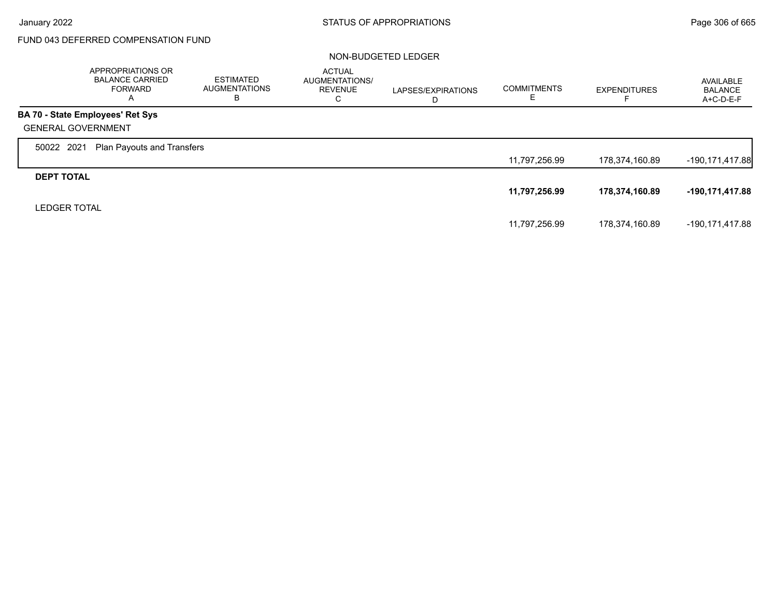$\Gamma$ 

# FUND 043 DEFERRED COMPENSATION FUND

|                           | APPROPRIATIONS OR<br><b>BALANCE CARRIED</b><br>FORWARD<br>A | <b>ESTIMATED</b><br><b>AUGMENTATIONS</b><br>в | <b>ACTUAL</b><br>AUGMENTATIONS/<br><b>REVENUE</b><br>С | LAPSES/EXPIRATIONS<br>D | <b>COMMITMENTS</b><br>E. | <b>EXPENDITURES</b> | AVAILABLE<br><b>BALANCE</b><br>$A+C-D-E-F$ |
|---------------------------|-------------------------------------------------------------|-----------------------------------------------|--------------------------------------------------------|-------------------------|--------------------------|---------------------|--------------------------------------------|
|                           | BA 70 - State Employees' Ret Sys                            |                                               |                                                        |                         |                          |                     |                                            |
| <b>GENERAL GOVERNMENT</b> |                                                             |                                               |                                                        |                         |                          |                     |                                            |
| 50022 2021                | <b>Plan Payouts and Transfers</b>                           |                                               |                                                        |                         |                          |                     |                                            |
|                           |                                                             |                                               |                                                        |                         | 11,797,256.99            | 178,374,160.89      | $-190, 171, 417.88$                        |
| <b>DEPT TOTAL</b>         |                                                             |                                               |                                                        |                         |                          |                     |                                            |
|                           |                                                             |                                               |                                                        |                         | 11,797,256.99            | 178,374,160.89      | -190,171,417.88                            |
| <b>LEDGER TOTAL</b>       |                                                             |                                               |                                                        |                         |                          |                     |                                            |
|                           |                                                             |                                               |                                                        |                         | 11,797,256.99            | 178,374,160.89      | -190,171,417.88                            |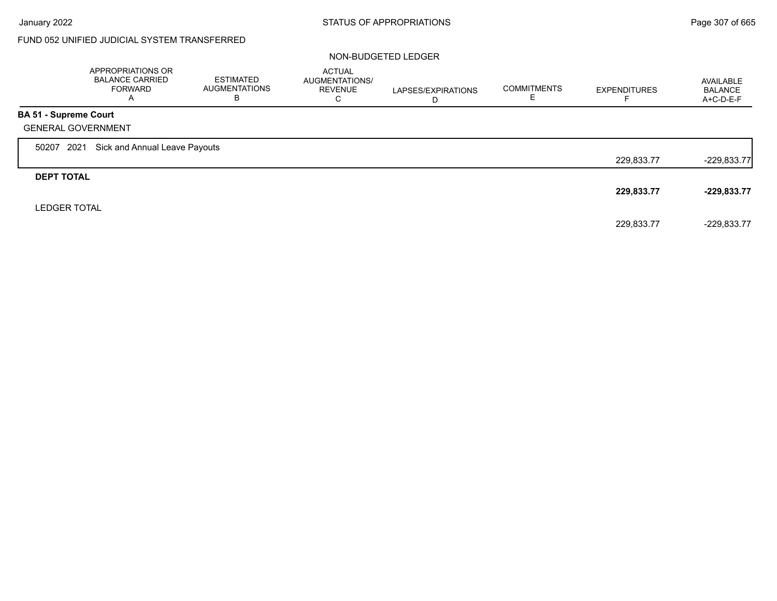# FUND 052 UNIFIED JUDICIAL SYSTEM TRANSFERRED

|                              | <b>APPROPRIATIONS OR</b><br><b>BALANCE CARRIED</b><br>FORWARD<br>$\mathsf{A}$ | <b>ESTIMATED</b><br><b>AUGMENTATIONS</b><br>в | <b>ACTUAL</b><br>AUGMENTATIONS/<br><b>REVENUE</b><br>С | LAPSES/EXPIRATIONS<br>D | <b>COMMITMENTS</b> | <b>EXPENDITURES</b> | AVAILABLE<br><b>BALANCE</b><br>$A+C-D-E-F$ |
|------------------------------|-------------------------------------------------------------------------------|-----------------------------------------------|--------------------------------------------------------|-------------------------|--------------------|---------------------|--------------------------------------------|
| <b>BA 51 - Supreme Court</b> |                                                                               |                                               |                                                        |                         |                    |                     |                                            |
|                              | <b>GENERAL GOVERNMENT</b>                                                     |                                               |                                                        |                         |                    |                     |                                            |
| 50207                        | 2021<br>Sick and Annual Leave Payouts                                         |                                               |                                                        |                         |                    |                     |                                            |
|                              |                                                                               |                                               |                                                        |                         |                    | 229,833.77          | $-229,833.77$                              |
| <b>DEPT TOTAL</b>            |                                                                               |                                               |                                                        |                         |                    |                     |                                            |
|                              |                                                                               |                                               |                                                        |                         |                    | 229,833.77          | $-229,833.77$                              |
| <b>LEDGER TOTAL</b>          |                                                                               |                                               |                                                        |                         |                    |                     |                                            |
|                              |                                                                               |                                               |                                                        |                         |                    | 229,833.77          | $-229,833.77$                              |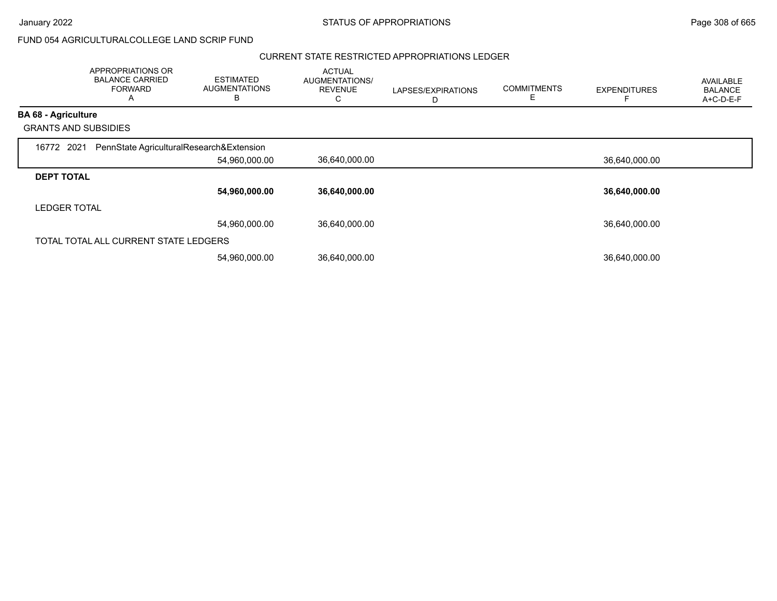January 2022 **STATUS OF APPROPRIATIONS** STATUS OF APPROPRIATIONS

FUND 054 AGRICULTURALCOLLEGE LAND SCRIP FUND

#### CURRENT STATE RESTRICTED APPROPRIATIONS LEDGER

|                            | APPROPRIATIONS OR<br><b>BALANCE CARRIED</b><br><b>FORWARD</b><br>A | ESTIMATED<br><b>AUGMENTATIONS</b><br>В | <b>ACTUAL</b><br>AUGMENTATIONS/<br><b>REVENUE</b><br>C | LAPSES/EXPIRATIONS<br>D | <b>COMMITMENTS</b><br>F. | <b>EXPENDITURES</b> | <b>AVAILABLE</b><br><b>BALANCE</b><br>A+C-D-E-F |
|----------------------------|--------------------------------------------------------------------|----------------------------------------|--------------------------------------------------------|-------------------------|--------------------------|---------------------|-------------------------------------------------|
| <b>BA 68 - Agriculture</b> |                                                                    |                                        |                                                        |                         |                          |                     |                                                 |
|                            | <b>GRANTS AND SUBSIDIES</b>                                        |                                        |                                                        |                         |                          |                     |                                                 |
| 16772 2021                 | PennState AgriculturalResearch&Extension                           |                                        |                                                        |                         |                          |                     |                                                 |
|                            |                                                                    | 54,960,000.00                          | 36,640,000.00                                          |                         |                          | 36,640,000.00       |                                                 |
| <b>DEPT TOTAL</b>          |                                                                    |                                        |                                                        |                         |                          |                     |                                                 |
|                            |                                                                    | 54,960,000.00                          | 36,640,000.00                                          |                         |                          | 36,640,000.00       |                                                 |
| <b>LEDGER TOTAL</b>        |                                                                    |                                        |                                                        |                         |                          |                     |                                                 |
|                            |                                                                    | 54,960,000.00                          | 36,640,000.00                                          |                         |                          | 36,640,000.00       |                                                 |
|                            | TOTAL TOTAL ALL CURRENT STATE LEDGERS                              |                                        |                                                        |                         |                          |                     |                                                 |
|                            |                                                                    | 54,960,000.00                          | 36,640,000.00                                          |                         |                          | 36,640,000.00       |                                                 |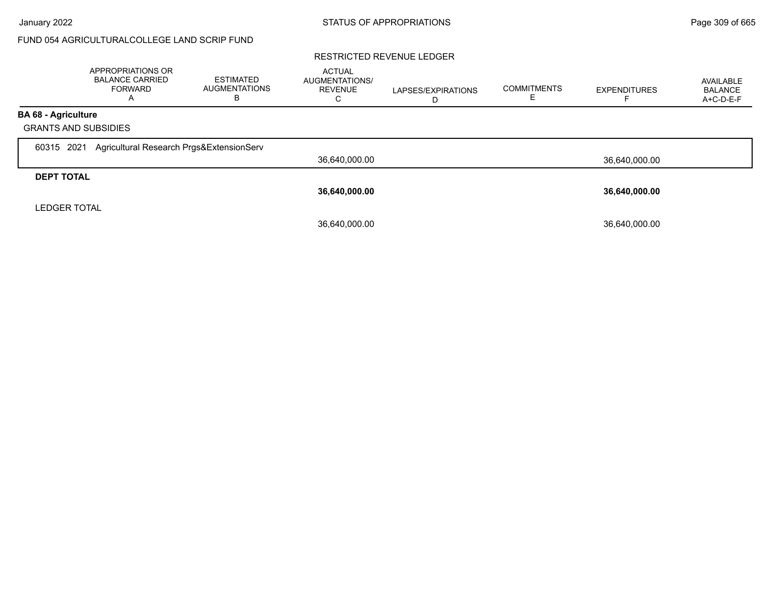## FUND 054 AGRICULTURALCOLLEGE LAND SCRIP FUND

### RESTRICTED REVENUE LEDGER

|                                                           | <b>APPROPRIATIONS OR</b><br><b>BALANCE CARRIED</b><br><b>FORWARD</b> | <b>ESTIMATED</b><br><b>AUGMENTATIONS</b><br>в | <b>ACTUAL</b><br><b>AUGMENTATIONS/</b><br><b>REVENUE</b><br>U | LAPSES/EXPIRATIONS<br>D | <b>COMMITMENTS</b> | <b>EXPENDITURES</b> | AVAILABLE<br><b>BALANCE</b><br>A+C-D-E-F |
|-----------------------------------------------------------|----------------------------------------------------------------------|-----------------------------------------------|---------------------------------------------------------------|-------------------------|--------------------|---------------------|------------------------------------------|
| <b>BA 68 - Agriculture</b><br><b>GRANTS AND SUBSIDIES</b> |                                                                      |                                               |                                                               |                         |                    |                     |                                          |
| 2021<br>60315                                             | Agricultural Research Prgs&ExtensionServ                             |                                               |                                                               |                         |                    |                     |                                          |
|                                                           |                                                                      |                                               | 36,640,000.00                                                 |                         |                    | 36,640,000.00       |                                          |
| <b>DEPT TOTAL</b>                                         |                                                                      |                                               |                                                               |                         |                    |                     |                                          |
|                                                           |                                                                      |                                               | 36,640,000.00                                                 |                         |                    | 36,640,000.00       |                                          |
| <b>LEDGER TOTAL</b>                                       |                                                                      |                                               |                                                               |                         |                    |                     |                                          |
|                                                           |                                                                      |                                               | 36,640,000.00                                                 |                         |                    | 36,640,000.00       |                                          |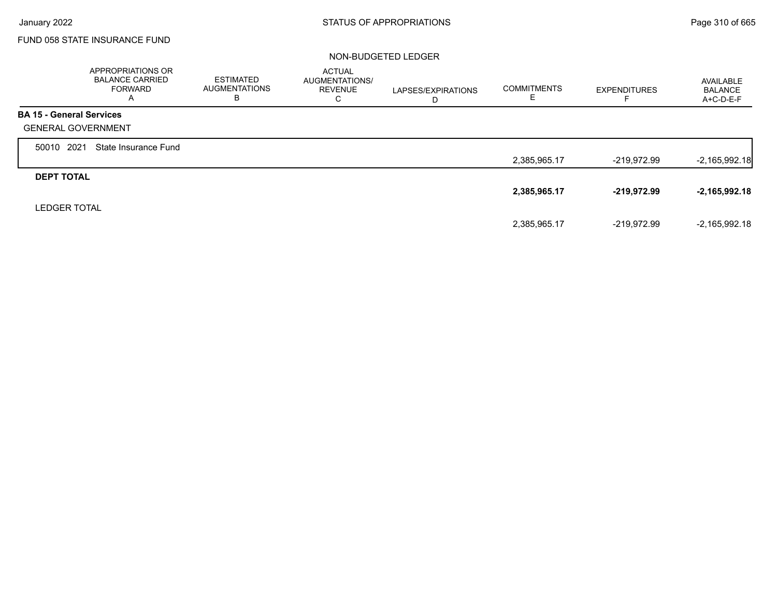Г

## FUND 058 STATE INSURANCE FUND

|                                 | APPROPRIATIONS OR<br><b>BALANCE CARRIED</b><br><b>FORWARD</b><br>A | <b>ESTIMATED</b><br><b>AUGMENTATIONS</b><br>в | <b>ACTUAL</b><br>AUGMENTATIONS/<br><b>REVENUE</b><br>С | LAPSES/EXPIRATIONS<br>D | <b>COMMITMENTS</b><br>Е | <b>EXPENDITURES</b> | AVAILABLE<br><b>BALANCE</b><br>$A+C-D-E-F$ |
|---------------------------------|--------------------------------------------------------------------|-----------------------------------------------|--------------------------------------------------------|-------------------------|-------------------------|---------------------|--------------------------------------------|
| <b>BA 15 - General Services</b> |                                                                    |                                               |                                                        |                         |                         |                     |                                            |
| <b>GENERAL GOVERNMENT</b>       |                                                                    |                                               |                                                        |                         |                         |                     |                                            |
| 2021<br>50010                   | State Insurance Fund                                               |                                               |                                                        |                         |                         |                     |                                            |
|                                 |                                                                    |                                               |                                                        |                         | 2,385,965.17            | $-219,972.99$       | $-2,165,992.18$                            |
| <b>DEPT TOTAL</b>               |                                                                    |                                               |                                                        |                         |                         |                     |                                            |
|                                 |                                                                    |                                               |                                                        |                         | 2,385,965.17            | -219,972.99         | $-2,165,992.18$                            |
| <b>LEDGER TOTAL</b>             |                                                                    |                                               |                                                        |                         |                         |                     |                                            |
|                                 |                                                                    |                                               |                                                        |                         | 2,385,965.17            | -219,972.99         | $-2,165,992.18$                            |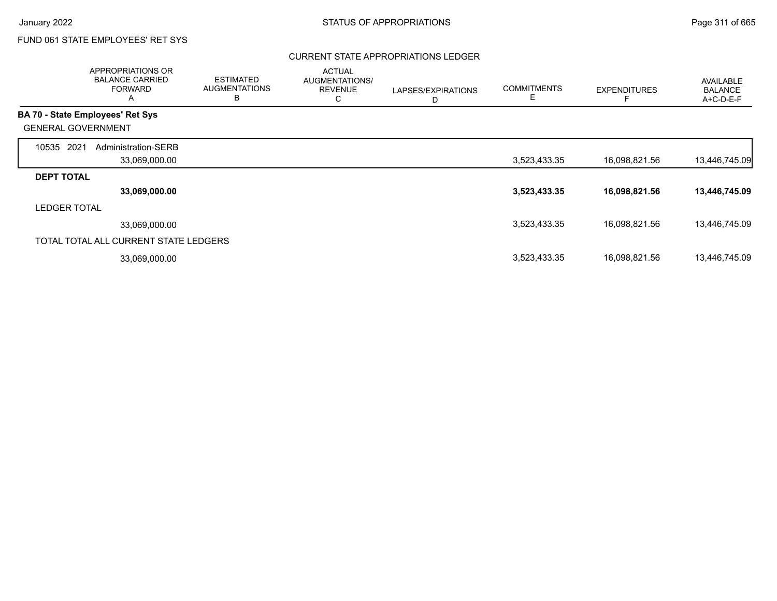## CURRENT STATE APPROPRIATIONS LEDGER

| APPROPRIATIONS OR<br><b>BALANCE CARRIED</b><br><b>FORWARD</b><br>A |                     | <b>ESTIMATED</b><br><b>AUGMENTATIONS</b><br>В | <b>ACTUAL</b><br>AUGMENTATIONS/<br><b>REVENUE</b><br>С | LAPSES/EXPIRATIONS<br>D | <b>COMMITMENTS</b><br>Е | <b>EXPENDITURES</b> | <b>AVAILABLE</b><br><b>BALANCE</b><br>A+C-D-E-F |
|--------------------------------------------------------------------|---------------------|-----------------------------------------------|--------------------------------------------------------|-------------------------|-------------------------|---------------------|-------------------------------------------------|
| <b>BA 70 - State Employees' Ret Sys</b>                            |                     |                                               |                                                        |                         |                         |                     |                                                 |
| <b>GENERAL GOVERNMENT</b>                                          |                     |                                               |                                                        |                         |                         |                     |                                                 |
| 2021<br>10535                                                      | Administration-SERB |                                               |                                                        |                         |                         |                     |                                                 |
|                                                                    | 33,069,000.00       |                                               |                                                        |                         | 3,523,433.35            | 16,098,821.56       | 13,446,745.09                                   |
| <b>DEPT TOTAL</b>                                                  |                     |                                               |                                                        |                         |                         |                     |                                                 |
|                                                                    | 33,069,000.00       |                                               |                                                        |                         | 3,523,433.35            | 16,098,821.56       | 13,446,745.09                                   |
| <b>LEDGER TOTAL</b>                                                |                     |                                               |                                                        |                         |                         |                     |                                                 |
|                                                                    | 33,069,000.00       |                                               |                                                        |                         | 3,523,433.35            | 16,098,821.56       | 13,446,745.09                                   |
| TOTAL TOTAL ALL CURRENT STATE LEDGERS                              |                     |                                               |                                                        |                         |                         |                     |                                                 |
|                                                                    | 33,069,000.00       |                                               |                                                        |                         | 3,523,433.35            | 16,098,821.56       | 13,446,745.09                                   |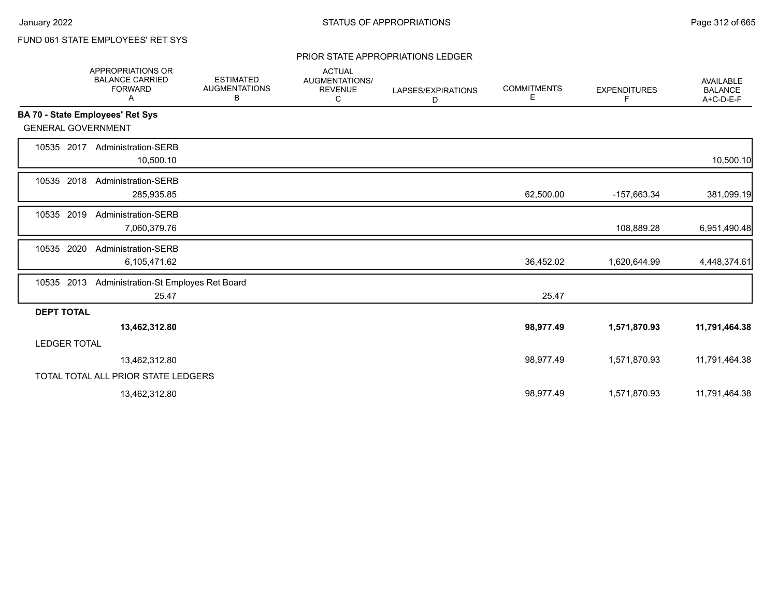### PRIOR STATE APPROPRIATIONS LEDGER

|                           | <b>APPROPRIATIONS OR</b><br><b>BALANCE CARRIED</b><br><b>FORWARD</b><br>Α | <b>ESTIMATED</b><br><b>AUGMENTATIONS</b><br>В | <b>ACTUAL</b><br>AUGMENTATIONS/<br><b>REVENUE</b><br>С | LAPSES/EXPIRATIONS<br>D | <b>COMMITMENTS</b><br>E | <b>EXPENDITURES</b><br>F | <b>AVAILABLE</b><br><b>BALANCE</b><br>A+C-D-E-F |
|---------------------------|---------------------------------------------------------------------------|-----------------------------------------------|--------------------------------------------------------|-------------------------|-------------------------|--------------------------|-------------------------------------------------|
|                           | BA 70 - State Employees' Ret Sys                                          |                                               |                                                        |                         |                         |                          |                                                 |
| <b>GENERAL GOVERNMENT</b> |                                                                           |                                               |                                                        |                         |                         |                          |                                                 |
| 10535 2017                | <b>Administration-SERB</b><br>10,500.10                                   |                                               |                                                        |                         |                         |                          | 10,500.10                                       |
| 10535 2018                | Administration-SERB<br>285,935.85                                         |                                               |                                                        |                         | 62,500.00               | -157,663.34              | 381,099.19                                      |
| 10535 2019                | <b>Administration-SERB</b><br>7,060,379.76                                |                                               |                                                        |                         |                         | 108,889.28               | 6,951,490.48                                    |
| 2020<br>10535             | Administration-SERB<br>6,105,471.62                                       |                                               |                                                        |                         | 36,452.02               | 1,620,644.99             | 4,448,374.61                                    |
| 10535 2013                | Administration-St Employes Ret Board<br>25.47                             |                                               |                                                        |                         | 25.47                   |                          |                                                 |
| <b>DEPT TOTAL</b>         |                                                                           |                                               |                                                        |                         |                         |                          |                                                 |
|                           | 13,462,312.80                                                             |                                               |                                                        |                         | 98,977.49               | 1,571,870.93             | 11,791,464.38                                   |
| <b>LEDGER TOTAL</b>       |                                                                           |                                               |                                                        |                         |                         |                          |                                                 |
|                           | 13,462,312.80                                                             |                                               |                                                        |                         | 98,977.49               | 1,571,870.93             | 11,791,464.38                                   |
|                           | TOTAL TOTAL ALL PRIOR STATE LEDGERS                                       |                                               |                                                        |                         |                         |                          |                                                 |
|                           | 13,462,312.80                                                             |                                               |                                                        |                         | 98,977.49               | 1,571,870.93             | 11,791,464.38                                   |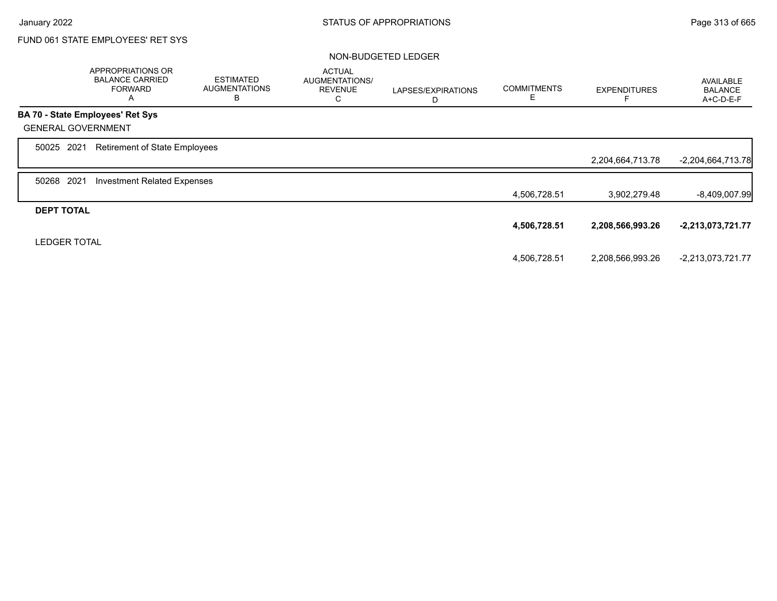|                     | APPROPRIATIONS OR<br><b>BALANCE CARRIED</b><br><b>FORWARD</b><br>A | <b>ESTIMATED</b><br><b>AUGMENTATIONS</b><br>B | <b>ACTUAL</b><br>AUGMENTATIONS/<br><b>REVENUE</b><br>C | LAPSES/EXPIRATIONS<br>D | <b>COMMITMENTS</b><br>Е | <b>EXPENDITURES</b> | <b>AVAILABLE</b><br><b>BALANCE</b><br>A+C-D-E-F |
|---------------------|--------------------------------------------------------------------|-----------------------------------------------|--------------------------------------------------------|-------------------------|-------------------------|---------------------|-------------------------------------------------|
|                     | BA 70 - State Employees' Ret Sys                                   |                                               |                                                        |                         |                         |                     |                                                 |
|                     | <b>GENERAL GOVERNMENT</b>                                          |                                               |                                                        |                         |                         |                     |                                                 |
| 50025 2021          | Retirement of State Employees                                      |                                               |                                                        |                         |                         |                     |                                                 |
|                     |                                                                    |                                               |                                                        |                         |                         | 2,204,664,713.78    | $-2,204,664,713.78$                             |
| 50268               | 2021<br><b>Investment Related Expenses</b>                         |                                               |                                                        |                         |                         |                     |                                                 |
|                     |                                                                    |                                               |                                                        |                         | 4,506,728.51            | 3,902,279.48        | -8,409,007.99                                   |
| <b>DEPT TOTAL</b>   |                                                                    |                                               |                                                        |                         |                         |                     |                                                 |
|                     |                                                                    |                                               |                                                        |                         | 4,506,728.51            | 2,208,566,993.26    | $-2,213,073,721.77$                             |
| <b>LEDGER TOTAL</b> |                                                                    |                                               |                                                        |                         |                         |                     |                                                 |
|                     |                                                                    |                                               |                                                        |                         | 4,506,728.51            | 2,208,566,993.26    | -2,213,073,721.77                               |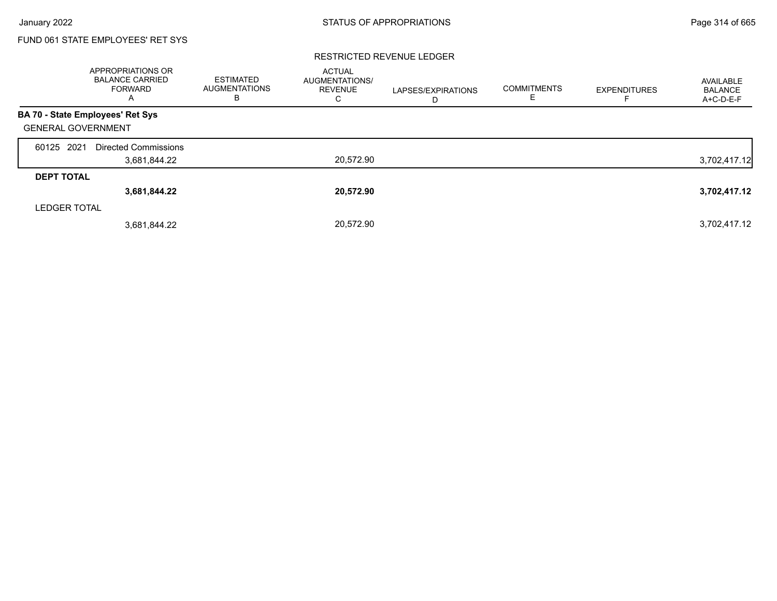### RESTRICTED REVENUE LEDGER

|                           | <b>APPROPRIATIONS OR</b><br><b>BALANCE CARRIED</b><br><b>FORWARD</b><br>A | <b>ESTIMATED</b><br><b>AUGMENTATIONS</b><br>в | <b>ACTUAL</b><br><b>AUGMENTATIONS/</b><br><b>REVENUE</b><br>С | LAPSES/EXPIRATIONS<br>D | <b>COMMITMENTS</b><br>Е | <b>EXPENDITURES</b> | AVAILABLE<br><b>BALANCE</b><br>A+C-D-E-F |
|---------------------------|---------------------------------------------------------------------------|-----------------------------------------------|---------------------------------------------------------------|-------------------------|-------------------------|---------------------|------------------------------------------|
|                           | <b>BA 70 - State Employees' Ret Sys</b>                                   |                                               |                                                               |                         |                         |                     |                                          |
| <b>GENERAL GOVERNMENT</b> |                                                                           |                                               |                                                               |                         |                         |                     |                                          |
| 60125 2021                | <b>Directed Commissions</b>                                               |                                               |                                                               |                         |                         |                     |                                          |
|                           | 3,681,844.22                                                              |                                               | 20,572.90                                                     |                         |                         |                     | 3,702,417.12                             |
| <b>DEPT TOTAL</b>         |                                                                           |                                               |                                                               |                         |                         |                     |                                          |
|                           | 3,681,844.22                                                              |                                               | 20,572.90                                                     |                         |                         |                     | 3,702,417.12                             |
| <b>LEDGER TOTAL</b>       |                                                                           |                                               |                                                               |                         |                         |                     |                                          |
|                           | 3,681,844.22                                                              |                                               | 20.572.90                                                     |                         |                         |                     | 3,702,417.12                             |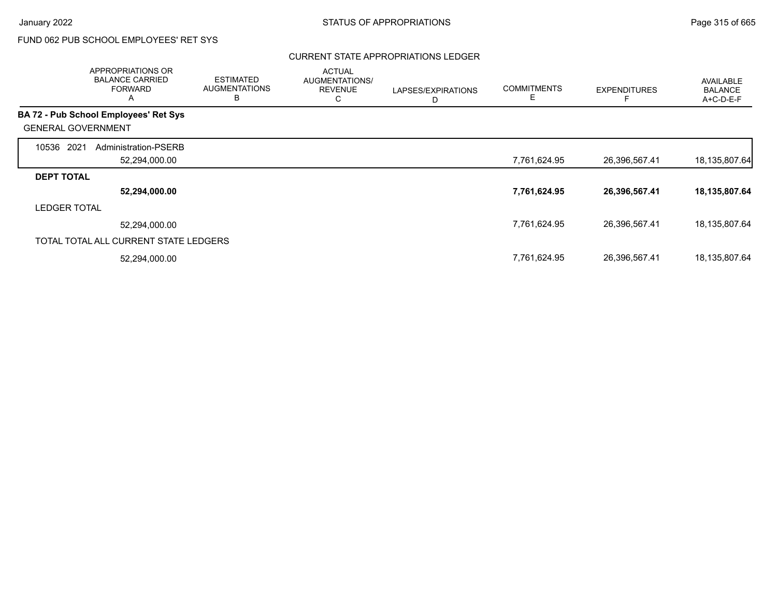## CURRENT STATE APPROPRIATIONS LEDGER

|                           | APPROPRIATIONS OR<br><b>BALANCE CARRIED</b><br><b>FORWARD</b><br>A | <b>ESTIMATED</b><br><b>AUGMENTATIONS</b><br>B | <b>ACTUAL</b><br>AUGMENTATIONS/<br><b>REVENUE</b><br>С | LAPSES/EXPIRATIONS<br>D | <b>COMMITMENTS</b><br>Е | <b>EXPENDITURES</b> | <b>AVAILABLE</b><br><b>BALANCE</b><br>A+C-D-E-F |
|---------------------------|--------------------------------------------------------------------|-----------------------------------------------|--------------------------------------------------------|-------------------------|-------------------------|---------------------|-------------------------------------------------|
|                           | <b>BA 72 - Pub School Employees' Ret Sys</b>                       |                                               |                                                        |                         |                         |                     |                                                 |
| <b>GENERAL GOVERNMENT</b> |                                                                    |                                               |                                                        |                         |                         |                     |                                                 |
| 10536<br>2021             | Administration-PSERB                                               |                                               |                                                        |                         |                         |                     |                                                 |
|                           | 52,294,000.00                                                      |                                               |                                                        |                         | 7,761,624.95            | 26,396,567.41       | 18,135,807.64                                   |
| <b>DEPT TOTAL</b>         |                                                                    |                                               |                                                        |                         |                         |                     |                                                 |
|                           | 52,294,000.00                                                      |                                               |                                                        |                         | 7,761,624.95            | 26,396,567.41       | 18,135,807.64                                   |
| <b>LEDGER TOTAL</b>       |                                                                    |                                               |                                                        |                         |                         |                     |                                                 |
|                           | 52,294,000.00                                                      |                                               |                                                        |                         | 7,761,624.95            | 26,396,567.41       | 18,135,807.64                                   |
|                           | TOTAL TOTAL ALL CURRENT STATE LEDGERS                              |                                               |                                                        |                         |                         |                     |                                                 |
|                           | 52,294,000.00                                                      |                                               |                                                        |                         | 7,761,624.95            | 26,396,567.41       | 18,135,807.64                                   |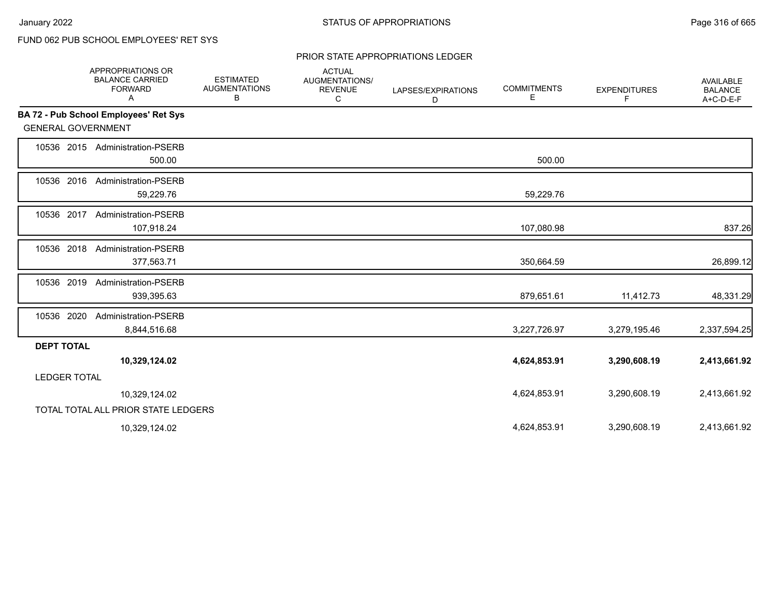## PRIOR STATE APPROPRIATIONS LEDGER

|                           | APPROPRIATIONS OR<br><b>BALANCE CARRIED</b><br><b>FORWARD</b><br>Α | <b>ESTIMATED</b><br><b>AUGMENTATIONS</b><br>В | <b>ACTUAL</b><br>AUGMENTATIONS/<br><b>REVENUE</b><br>C | LAPSES/EXPIRATIONS<br>D | <b>COMMITMENTS</b><br>Е | <b>EXPENDITURES</b><br>F | <b>AVAILABLE</b><br><b>BALANCE</b><br>A+C-D-E-F |
|---------------------------|--------------------------------------------------------------------|-----------------------------------------------|--------------------------------------------------------|-------------------------|-------------------------|--------------------------|-------------------------------------------------|
|                           | BA 72 - Pub School Employees' Ret Sys                              |                                               |                                                        |                         |                         |                          |                                                 |
| <b>GENERAL GOVERNMENT</b> |                                                                    |                                               |                                                        |                         |                         |                          |                                                 |
|                           | 10536 2015 Administration-PSERB<br>500.00                          |                                               |                                                        |                         | 500.00                  |                          |                                                 |
| 10536 2016                | <b>Administration-PSERB</b><br>59,229.76                           |                                               |                                                        |                         | 59,229.76               |                          |                                                 |
| 10536 2017                | <b>Administration-PSERB</b><br>107,918.24                          |                                               |                                                        |                         | 107,080.98              |                          | 837.26                                          |
| 10536 2018                | Administration-PSERB<br>377,563.71                                 |                                               |                                                        |                         | 350,664.59              |                          | 26,899.12                                       |
| 10536 2019                | <b>Administration-PSERB</b><br>939,395.63                          |                                               |                                                        |                         | 879,651.61              | 11,412.73                | 48,331.29                                       |
| 10536 2020                | <b>Administration-PSERB</b><br>8,844,516.68                        |                                               |                                                        |                         | 3,227,726.97            | 3,279,195.46             | 2,337,594.25                                    |
| <b>DEPT TOTAL</b>         |                                                                    |                                               |                                                        |                         |                         |                          |                                                 |
|                           | 10,329,124.02                                                      |                                               |                                                        |                         | 4,624,853.91            | 3,290,608.19             | 2,413,661.92                                    |
| <b>LEDGER TOTAL</b>       |                                                                    |                                               |                                                        |                         |                         |                          |                                                 |
|                           | 10,329,124.02                                                      |                                               |                                                        |                         | 4,624,853.91            | 3,290,608.19             | 2,413,661.92                                    |
|                           | TOTAL TOTAL ALL PRIOR STATE LEDGERS                                |                                               |                                                        |                         |                         |                          |                                                 |
|                           | 10,329,124.02                                                      |                                               |                                                        |                         | 4,624,853.91            | 3,290,608.19             | 2,413,661.92                                    |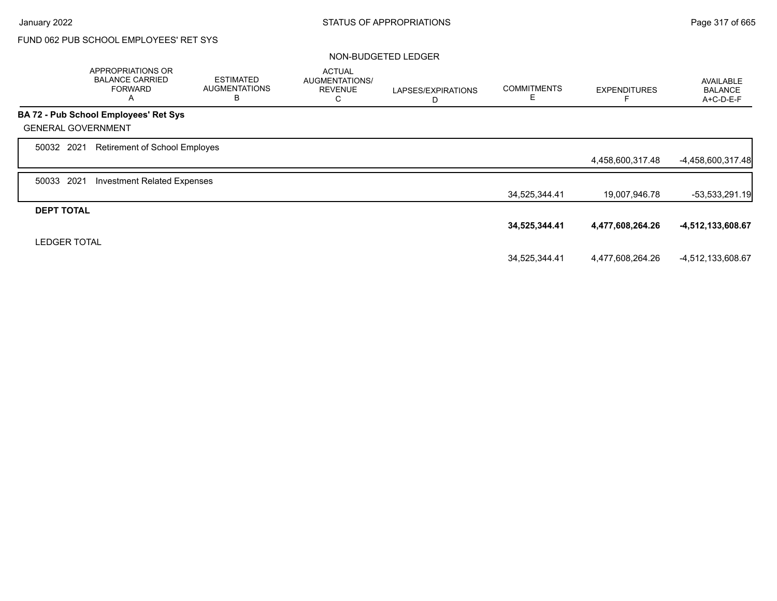|                           | <b>APPROPRIATIONS OR</b><br><b>BALANCE CARRIED</b><br><b>FORWARD</b><br>A | <b>ESTIMATED</b><br><b>AUGMENTATIONS</b><br>B | <b>ACTUAL</b><br>AUGMENTATIONS/<br><b>REVENUE</b><br>С | LAPSES/EXPIRATIONS<br>D | <b>COMMITMENTS</b><br>Е | <b>EXPENDITURES</b> | <b>AVAILABLE</b><br><b>BALANCE</b><br>A+C-D-E-F |
|---------------------------|---------------------------------------------------------------------------|-----------------------------------------------|--------------------------------------------------------|-------------------------|-------------------------|---------------------|-------------------------------------------------|
|                           | BA 72 - Pub School Employees' Ret Sys                                     |                                               |                                                        |                         |                         |                     |                                                 |
| <b>GENERAL GOVERNMENT</b> |                                                                           |                                               |                                                        |                         |                         |                     |                                                 |
| 50032 2021                | Retirement of School Employes                                             |                                               |                                                        |                         |                         |                     |                                                 |
|                           |                                                                           |                                               |                                                        |                         |                         | 4,458,600,317.48    | -4,458,600,317.48                               |
| 2021<br>50033             | <b>Investment Related Expenses</b>                                        |                                               |                                                        |                         |                         |                     |                                                 |
|                           |                                                                           |                                               |                                                        |                         | 34,525,344.41           | 19,007,946.78       | $-53,533,291.19$                                |
| <b>DEPT TOTAL</b>         |                                                                           |                                               |                                                        |                         |                         |                     |                                                 |
|                           |                                                                           |                                               |                                                        |                         | 34,525,344.41           | 4,477,608,264.26    | -4,512,133,608.67                               |
| <b>LEDGER TOTAL</b>       |                                                                           |                                               |                                                        |                         |                         |                     |                                                 |
|                           |                                                                           |                                               |                                                        |                         | 34,525,344.41           | 4,477,608,264.26    | -4,512,133,608.67                               |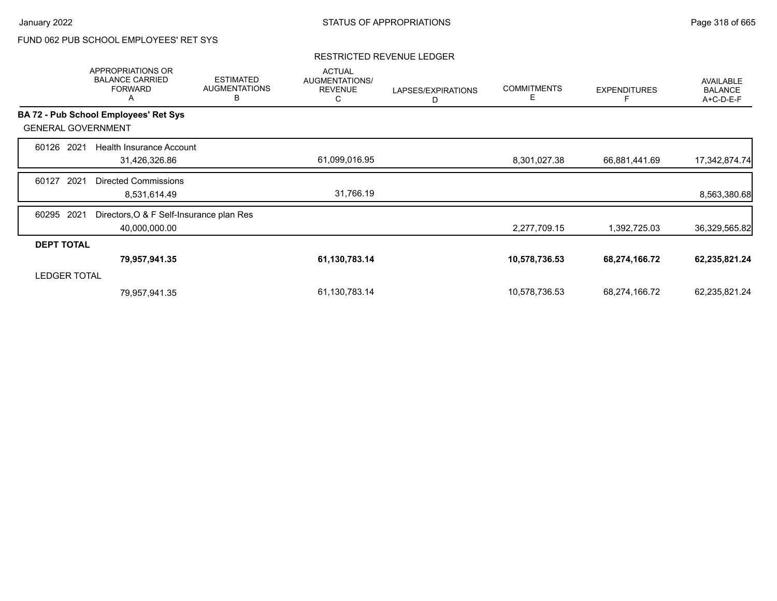### RESTRICTED REVENUE LEDGER

|                     | APPROPRIATIONS OR<br><b>BALANCE CARRIED</b><br><b>FORWARD</b><br>Α | <b>ESTIMATED</b><br><b>AUGMENTATIONS</b><br>B | <b>ACTUAL</b><br>AUGMENTATIONS/<br><b>REVENUE</b><br>С | LAPSES/EXPIRATIONS<br>D | <b>COMMITMENTS</b><br>Е | <b>EXPENDITURES</b> | <b>AVAILABLE</b><br><b>BALANCE</b><br>A+C-D-E-F |
|---------------------|--------------------------------------------------------------------|-----------------------------------------------|--------------------------------------------------------|-------------------------|-------------------------|---------------------|-------------------------------------------------|
|                     | BA 72 - Pub School Employees' Ret Sys                              |                                               |                                                        |                         |                         |                     |                                                 |
|                     | <b>GENERAL GOVERNMENT</b>                                          |                                               |                                                        |                         |                         |                     |                                                 |
| 60126               | 2021<br>Health Insurance Account                                   |                                               |                                                        |                         |                         |                     |                                                 |
|                     | 31,426,326.86                                                      |                                               | 61,099,016.95                                          |                         | 8,301,027.38            | 66,881,441.69       | 17,342,874.74                                   |
| 60127               | 2021<br><b>Directed Commissions</b>                                |                                               |                                                        |                         |                         |                     |                                                 |
|                     | 8,531,614.49                                                       |                                               | 31,766.19                                              |                         |                         |                     | 8,563,380.68                                    |
| 60295               | 2021<br>Directors, O & F Self-Insurance plan Res                   |                                               |                                                        |                         |                         |                     |                                                 |
|                     | 40,000,000.00                                                      |                                               |                                                        |                         | 2,277,709.15            | 1,392,725.03        | 36,329,565.82                                   |
| <b>DEPT TOTAL</b>   |                                                                    |                                               |                                                        |                         |                         |                     |                                                 |
|                     | 79,957,941.35                                                      |                                               | 61,130,783.14                                          |                         | 10,578,736.53           | 68,274,166.72       | 62,235,821.24                                   |
| <b>LEDGER TOTAL</b> |                                                                    |                                               |                                                        |                         |                         |                     |                                                 |
|                     | 79,957,941.35                                                      |                                               | 61,130,783.14                                          |                         | 10,578,736.53           | 68,274,166.72       | 62,235,821.24                                   |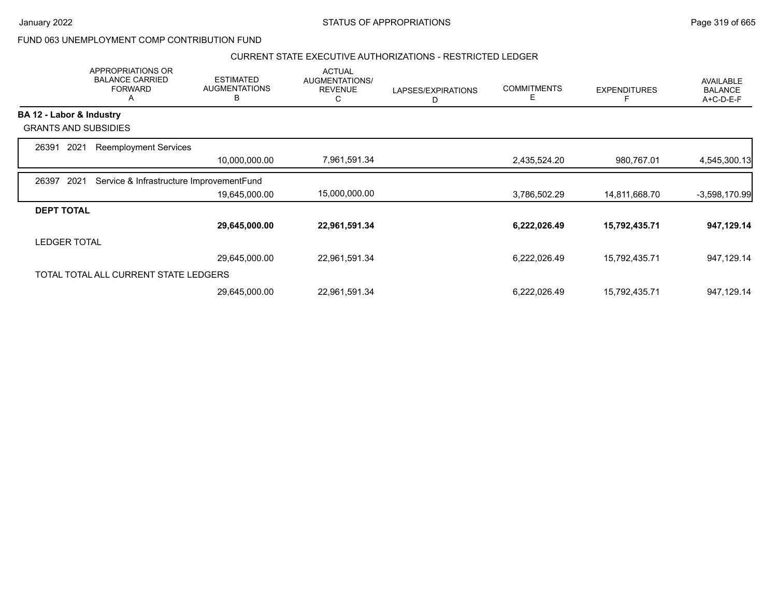## CURRENT STATE EXECUTIVE AUTHORIZATIONS - RESTRICTED LEDGER

|                          | APPROPRIATIONS OR<br><b>BALANCE CARRIED</b><br><b>FORWARD</b><br>A | <b>ESTIMATED</b><br><b>AUGMENTATIONS</b><br>В | <b>ACTUAL</b><br>AUGMENTATIONS/<br><b>REVENUE</b><br>С | LAPSES/EXPIRATIONS<br>D | <b>COMMITMENTS</b><br>Е | <b>EXPENDITURES</b> | <b>AVAILABLE</b><br><b>BALANCE</b><br>A+C-D-E-F |
|--------------------------|--------------------------------------------------------------------|-----------------------------------------------|--------------------------------------------------------|-------------------------|-------------------------|---------------------|-------------------------------------------------|
| BA 12 - Labor & Industry |                                                                    |                                               |                                                        |                         |                         |                     |                                                 |
|                          | <b>GRANTS AND SUBSIDIES</b>                                        |                                               |                                                        |                         |                         |                     |                                                 |
| 2021<br>26391            | <b>Reemployment Services</b>                                       |                                               |                                                        |                         |                         |                     |                                                 |
|                          |                                                                    | 10,000,000.00                                 | 7,961,591.34                                           |                         | 2,435,524.20            | 980,767.01          | 4,545,300.13                                    |
| 2021<br>26397            | Service & Infrastructure ImprovementFund                           |                                               |                                                        |                         |                         |                     |                                                 |
|                          |                                                                    | 19,645,000.00                                 | 15,000,000.00                                          |                         | 3,786,502.29            | 14,811,668.70       | $-3,598,170.99$                                 |
| <b>DEPT TOTAL</b>        |                                                                    |                                               |                                                        |                         |                         |                     |                                                 |
|                          |                                                                    | 29,645,000.00                                 | 22,961,591.34                                          |                         | 6,222,026.49            | 15,792,435.71       | 947,129.14                                      |
| <b>LEDGER TOTAL</b>      |                                                                    |                                               |                                                        |                         |                         |                     |                                                 |
|                          |                                                                    | 29,645,000.00                                 | 22,961,591.34                                          |                         | 6,222,026.49            | 15,792,435.71       | 947,129.14                                      |
|                          | TOTAL TOTAL ALL CURRENT STATE LEDGERS                              |                                               |                                                        |                         |                         |                     |                                                 |
|                          |                                                                    | 29,645,000.00                                 | 22,961,591.34                                          |                         | 6,222,026.49            | 15,792,435.71       | 947,129.14                                      |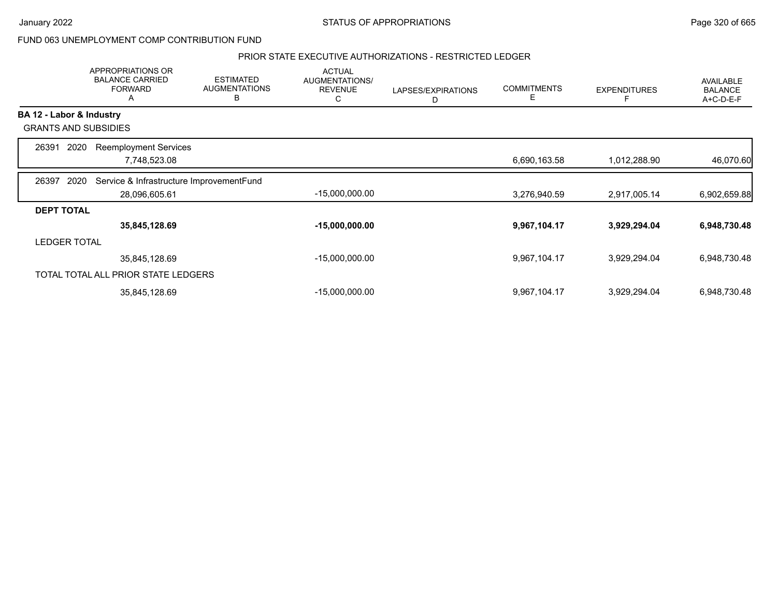### PRIOR STATE EXECUTIVE AUTHORIZATIONS - RESTRICTED LEDGER

|                          | <b>APPROPRIATIONS OR</b><br><b>BALANCE CARRIED</b><br><b>FORWARD</b><br>A | <b>ESTIMATED</b><br><b>AUGMENTATIONS</b><br>в | <b>ACTUAL</b><br>AUGMENTATIONS/<br><b>REVENUE</b><br>С | LAPSES/EXPIRATIONS<br>D | <b>COMMITMENTS</b><br>E | <b>EXPENDITURES</b> | AVAILABLE<br><b>BALANCE</b><br>A+C-D-E-F |
|--------------------------|---------------------------------------------------------------------------|-----------------------------------------------|--------------------------------------------------------|-------------------------|-------------------------|---------------------|------------------------------------------|
| BA 12 - Labor & Industry |                                                                           |                                               |                                                        |                         |                         |                     |                                          |
|                          | <b>GRANTS AND SUBSIDIES</b>                                               |                                               |                                                        |                         |                         |                     |                                          |
| 26391                    | 2020<br><b>Reemployment Services</b>                                      |                                               |                                                        |                         |                         |                     |                                          |
|                          | 7,748,523.08                                                              |                                               |                                                        |                         | 6,690,163.58            | 1,012,288.90        | 46,070.60                                |
| 26397                    | Service & Infrastructure ImprovementFund<br>2020                          |                                               |                                                        |                         |                         |                     |                                          |
|                          | 28,096,605.61                                                             |                                               | $-15,000,000.00$                                       |                         | 3,276,940.59            | 2,917,005.14        | 6,902,659.88                             |
| <b>DEPT TOTAL</b>        |                                                                           |                                               |                                                        |                         |                         |                     |                                          |
|                          | 35,845,128.69                                                             |                                               | $-15,000,000.00$                                       |                         | 9,967,104.17            | 3,929,294.04        | 6,948,730.48                             |
| <b>LEDGER TOTAL</b>      |                                                                           |                                               |                                                        |                         |                         |                     |                                          |
|                          | 35,845,128.69                                                             |                                               | $-15,000,000.00$                                       |                         | 9,967,104.17            | 3,929,294.04        | 6,948,730.48                             |
|                          | TOTAL TOTAL ALL PRIOR STATE LEDGERS                                       |                                               |                                                        |                         |                         |                     |                                          |
|                          | 35,845,128.69                                                             |                                               | $-15,000,000.00$                                       |                         | 9,967,104.17            | 3,929,294.04        | 6,948,730.48                             |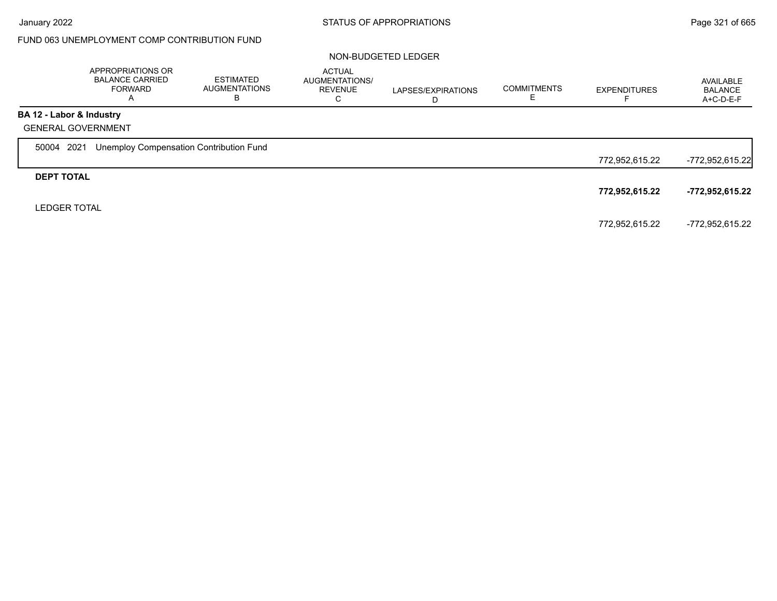|                          | APPROPRIATIONS OR<br><b>BALANCE CARRIED</b><br><b>FORWARD</b><br>A | ESTIMATED<br><b>AUGMENTATIONS</b><br>в | <b>ACTUAL</b><br>AUGMENTATIONS/<br><b>REVENUE</b><br>С | LAPSES/EXPIRATIONS<br>D | <b>COMMITMENTS</b> | <b>EXPENDITURES</b> | AVAILABLE<br>BALANCE<br>A+C-D-E-F |
|--------------------------|--------------------------------------------------------------------|----------------------------------------|--------------------------------------------------------|-------------------------|--------------------|---------------------|-----------------------------------|
| BA 12 - Labor & Industry |                                                                    |                                        |                                                        |                         |                    |                     |                                   |
|                          | <b>GENERAL GOVERNMENT</b>                                          |                                        |                                                        |                         |                    |                     |                                   |
| 50004 2021               | Unemploy Compensation Contribution Fund                            |                                        |                                                        |                         |                    |                     |                                   |
|                          |                                                                    |                                        |                                                        |                         |                    | 772,952,615.22      | -772,952,615.22                   |
| <b>DEPT TOTAL</b>        |                                                                    |                                        |                                                        |                         |                    |                     |                                   |
|                          |                                                                    |                                        |                                                        |                         |                    | 772,952,615.22      | -772,952,615.22                   |
| <b>LEDGER TOTAL</b>      |                                                                    |                                        |                                                        |                         |                    |                     |                                   |
|                          |                                                                    |                                        |                                                        |                         |                    | 772,952,615.22      | -772,952,615.22                   |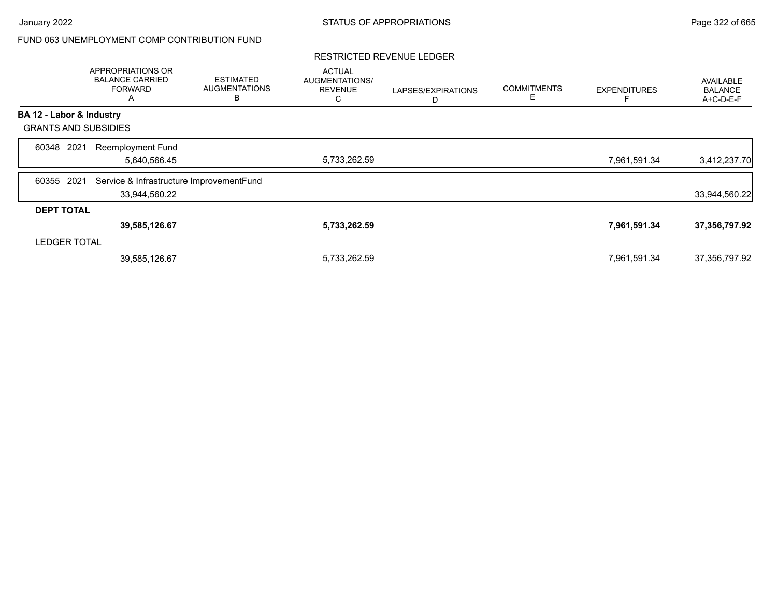### RESTRICTED REVENUE LEDGER

|                             | APPROPRIATIONS OR<br><b>BALANCE CARRIED</b><br><b>FORWARD</b><br>$\mathsf{A}$ | <b>ESTIMATED</b><br><b>AUGMENTATIONS</b><br>B | <b>ACTUAL</b><br>AUGMENTATIONS/<br><b>REVENUE</b><br>С | LAPSES/EXPIRATIONS<br>D | <b>COMMITMENTS</b><br>E. | <b>EXPENDITURES</b> | AVAILABLE<br><b>BALANCE</b><br>A+C-D-E-F |
|-----------------------------|-------------------------------------------------------------------------------|-----------------------------------------------|--------------------------------------------------------|-------------------------|--------------------------|---------------------|------------------------------------------|
| BA 12 - Labor & Industry    |                                                                               |                                               |                                                        |                         |                          |                     |                                          |
| <b>GRANTS AND SUBSIDIES</b> |                                                                               |                                               |                                                        |                         |                          |                     |                                          |
| 2021<br>60348               | <b>Reemployment Fund</b><br>5,640,566.45                                      |                                               | 5,733,262.59                                           |                         |                          | 7,961,591.34        | 3,412,237.70                             |
| 2021<br>60355               | Service & Infrastructure ImprovementFund<br>33,944,560.22                     |                                               |                                                        |                         |                          |                     | 33,944,560.22                            |
| <b>DEPT TOTAL</b>           |                                                                               |                                               |                                                        |                         |                          |                     |                                          |
|                             | 39,585,126.67                                                                 |                                               | 5,733,262.59                                           |                         |                          | 7,961,591.34        | 37,356,797.92                            |
| <b>LEDGER TOTAL</b>         |                                                                               |                                               |                                                        |                         |                          |                     |                                          |
|                             | 39,585,126.67                                                                 |                                               | 5,733,262.59                                           |                         |                          | 7,961,591.34        | 37,356,797.92                            |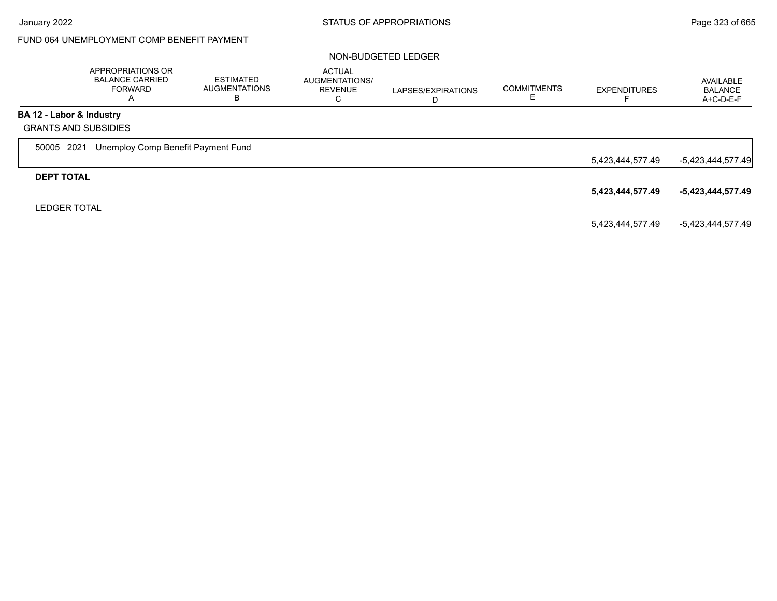Г

# FUND 064 UNEMPLOYMENT COMP BENEFIT PAYMENT

|                          | APPROPRIATIONS OR<br><b>BALANCE CARRIED</b><br>FORWARD<br>A | <b>ESTIMATED</b><br><b>AUGMENTATIONS</b><br>в | <b>ACTUAL</b><br>AUGMENTATIONS/<br><b>REVENUE</b><br>C | LAPSES/EXPIRATIONS<br>D | <b>COMMITMENTS</b> | <b>EXPENDITURES</b> | AVAILABLE<br><b>BALANCE</b><br>$A+C-D-E-F$ |
|--------------------------|-------------------------------------------------------------|-----------------------------------------------|--------------------------------------------------------|-------------------------|--------------------|---------------------|--------------------------------------------|
| BA 12 - Labor & Industry |                                                             |                                               |                                                        |                         |                    |                     |                                            |
|                          | <b>GRANTS AND SUBSIDIES</b>                                 |                                               |                                                        |                         |                    |                     |                                            |
| 50005 2021               | Unemploy Comp Benefit Payment Fund                          |                                               |                                                        |                         |                    |                     |                                            |
|                          |                                                             |                                               |                                                        |                         |                    | 5,423,444,577.49    | -5,423,444,577.49                          |
| <b>DEPT TOTAL</b>        |                                                             |                                               |                                                        |                         |                    |                     |                                            |
|                          |                                                             |                                               |                                                        |                         |                    | 5,423,444,577.49    | -5,423,444,577.49                          |
| <b>LEDGER TOTAL</b>      |                                                             |                                               |                                                        |                         |                    |                     |                                            |
|                          |                                                             |                                               |                                                        |                         |                    | 5,423,444,577.49    | -5,423,444,577.49                          |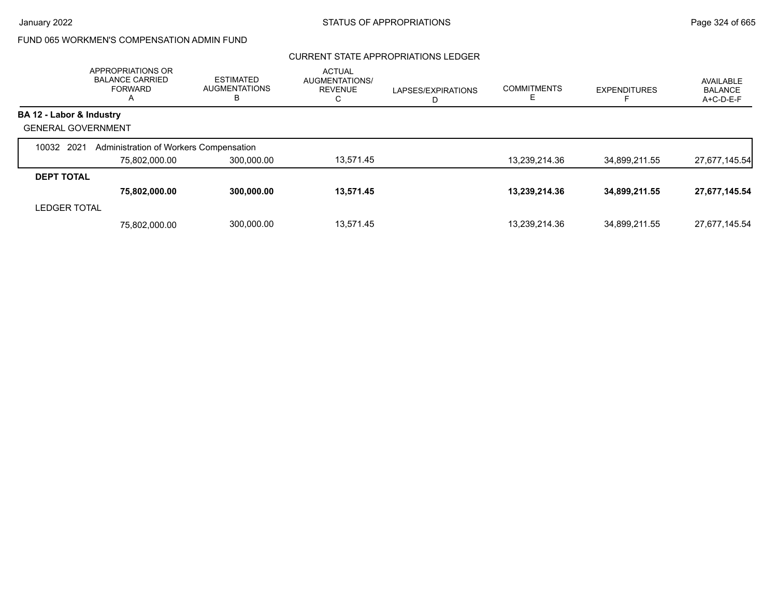# FUND 065 WORKMEN'S COMPENSATION ADMIN FUND

## CURRENT STATE APPROPRIATIONS LEDGER

|                           | APPROPRIATIONS OR<br><b>BALANCE CARRIED</b><br><b>FORWARD</b><br>A | <b>ESTIMATED</b><br><b>AUGMENTATIONS</b><br>B | <b>ACTUAL</b><br>AUGMENTATIONS/<br><b>REVENUE</b><br>С | LAPSES/EXPIRATIONS<br>D | <b>COMMITMENTS</b> | <b>EXPENDITURES</b> | AVAILABLE<br><b>BALANCE</b><br>A+C-D-E-F |
|---------------------------|--------------------------------------------------------------------|-----------------------------------------------|--------------------------------------------------------|-------------------------|--------------------|---------------------|------------------------------------------|
| BA 12 - Labor & Industry  |                                                                    |                                               |                                                        |                         |                    |                     |                                          |
| <b>GENERAL GOVERNMENT</b> |                                                                    |                                               |                                                        |                         |                    |                     |                                          |
| 10032 2021                | Administration of Workers Compensation                             |                                               |                                                        |                         |                    |                     |                                          |
|                           | 75.802.000.00                                                      | 300.000.00                                    | 13.571.45                                              |                         | 13.239.214.36      | 34.899.211.55       | 27,677,145.54                            |
| <b>DEPT TOTAL</b>         |                                                                    |                                               |                                                        |                         |                    |                     |                                          |
|                           | 75,802,000.00                                                      | 300,000.00                                    | 13,571.45                                              |                         | 13,239,214.36      | 34,899,211.55       | 27,677,145.54                            |
| <b>LEDGER TOTAL</b>       |                                                                    |                                               |                                                        |                         |                    |                     |                                          |
|                           | 75.802.000.00                                                      | 300,000.00                                    | 13.571.45                                              |                         | 13,239,214.36      | 34,899,211.55       | 27,677,145.54                            |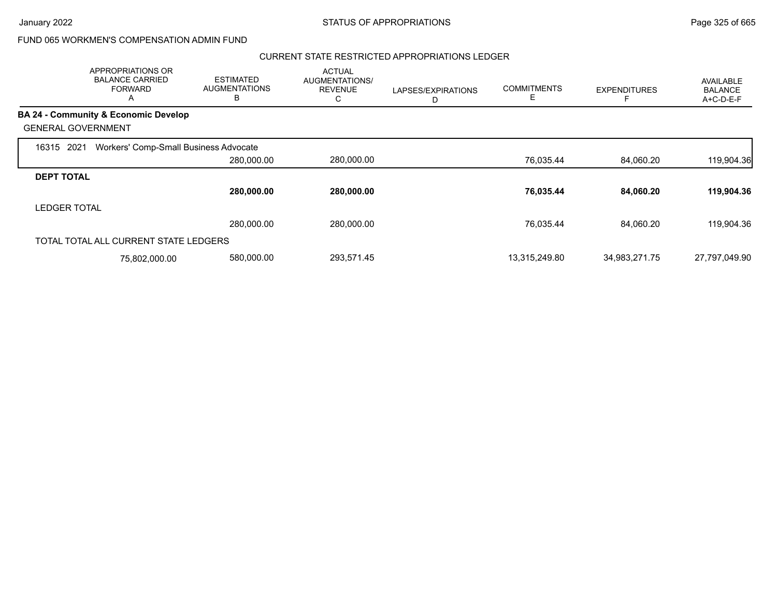#### CURRENT STATE RESTRICTED APPROPRIATIONS LEDGER

|                     | <b>APPROPRIATIONS OR</b><br><b>BALANCE CARRIED</b><br><b>FORWARD</b><br>А | <b>ESTIMATED</b><br><b>AUGMENTATIONS</b><br>в | <b>ACTUAL</b><br>AUGMENTATIONS/<br><b>REVENUE</b><br>С | LAPSES/EXPIRATIONS | <b>COMMITMENTS</b><br>Е | <b>EXPENDITURES</b> | <b>AVAILABLE</b><br><b>BALANCE</b><br>A+C-D-E-F |
|---------------------|---------------------------------------------------------------------------|-----------------------------------------------|--------------------------------------------------------|--------------------|-------------------------|---------------------|-------------------------------------------------|
|                     | <b>BA 24 - Community &amp; Economic Develop</b>                           |                                               |                                                        |                    |                         |                     |                                                 |
|                     | <b>GENERAL GOVERNMENT</b>                                                 |                                               |                                                        |                    |                         |                     |                                                 |
| 2021<br>16315       | Workers' Comp-Small Business Advocate                                     |                                               |                                                        |                    |                         |                     |                                                 |
|                     |                                                                           | 280,000.00                                    | 280,000.00                                             |                    | 76,035.44               | 84,060.20           | 119,904.36                                      |
| <b>DEPT TOTAL</b>   |                                                                           |                                               |                                                        |                    |                         |                     |                                                 |
|                     |                                                                           | 280,000.00                                    | 280,000.00                                             |                    | 76,035.44               | 84,060.20           | 119,904.36                                      |
| <b>LEDGER TOTAL</b> |                                                                           |                                               |                                                        |                    |                         |                     |                                                 |
|                     |                                                                           | 280,000.00                                    | 280,000.00                                             |                    | 76,035.44               | 84,060.20           | 119,904.36                                      |
|                     | TOTAL TOTAL ALL CURRENT STATE LEDGERS                                     |                                               |                                                        |                    |                         |                     |                                                 |
|                     | 75,802,000.00                                                             | 580,000.00                                    | 293,571.45                                             |                    | 13,315,249.80           | 34,983,271.75       | 27,797,049.90                                   |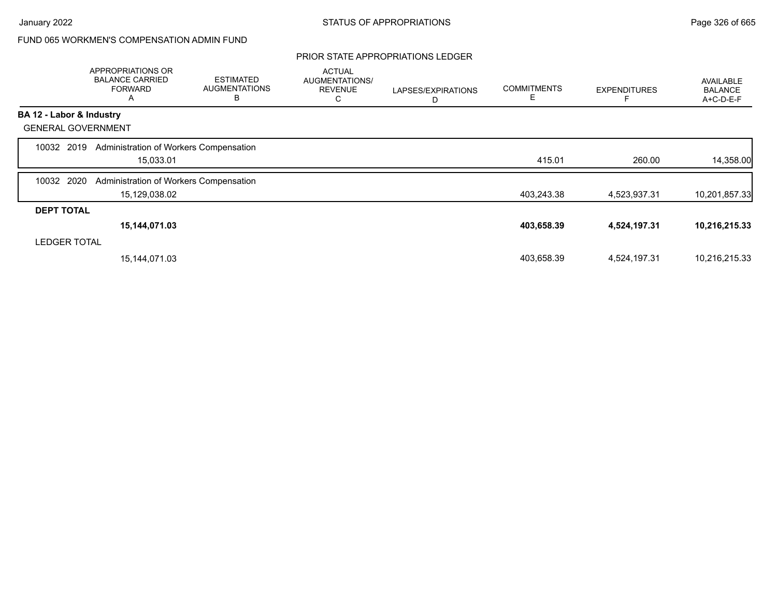### PRIOR STATE APPROPRIATIONS LEDGER

|                           | APPROPRIATIONS OR<br><b>BALANCE CARRIED</b><br><b>FORWARD</b><br>Α | <b>ESTIMATED</b><br><b>AUGMENTATIONS</b><br>B | <b>ACTUAL</b><br>AUGMENTATIONS/<br><b>REVENUE</b><br>С | LAPSES/EXPIRATIONS<br>D | <b>COMMITMENTS</b><br>Е | <b>EXPENDITURES</b> | AVAILABLE<br><b>BALANCE</b><br>A+C-D-E-F |
|---------------------------|--------------------------------------------------------------------|-----------------------------------------------|--------------------------------------------------------|-------------------------|-------------------------|---------------------|------------------------------------------|
| BA 12 - Labor & Industry  |                                                                    |                                               |                                                        |                         |                         |                     |                                          |
| <b>GENERAL GOVERNMENT</b> |                                                                    |                                               |                                                        |                         |                         |                     |                                          |
| 10032 2019                | Administration of Workers Compensation                             |                                               |                                                        |                         |                         |                     |                                          |
|                           | 15,033.01                                                          |                                               |                                                        |                         | 415.01                  | 260.00              | 14,358.00                                |
| 2020<br>10032             | Administration of Workers Compensation                             |                                               |                                                        |                         |                         |                     |                                          |
|                           | 15,129,038.02                                                      |                                               |                                                        |                         | 403,243.38              | 4,523,937.31        | 10,201,857.33                            |
| <b>DEPT TOTAL</b>         |                                                                    |                                               |                                                        |                         |                         |                     |                                          |
|                           | 15,144,071.03                                                      |                                               |                                                        |                         | 403,658.39              | 4,524,197.31        | 10,216,215.33                            |
| <b>LEDGER TOTAL</b>       |                                                                    |                                               |                                                        |                         |                         |                     |                                          |
|                           | 15,144,071.03                                                      |                                               |                                                        |                         | 403,658.39              | 4,524,197.31        | 10,216,215.33                            |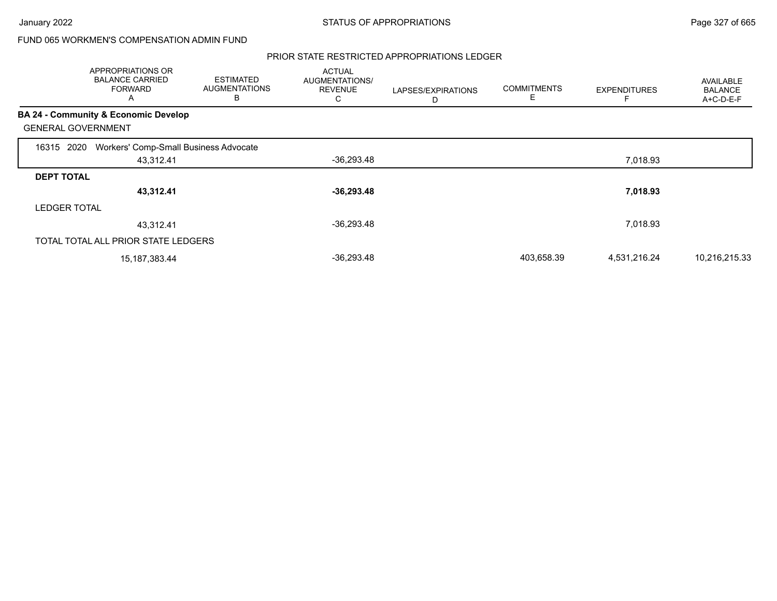#### PRIOR STATE RESTRICTED APPROPRIATIONS LEDGER

|                     | <b>APPROPRIATIONS OR</b><br><b>BALANCE CARRIED</b><br><b>FORWARD</b><br>A | <b>ESTIMATED</b><br><b>AUGMENTATIONS</b><br>в | <b>ACTUAL</b><br>AUGMENTATIONS/<br><b>REVENUE</b><br>С | LAPSES/EXPIRATIONS<br>D | <b>COMMITMENTS</b><br>E | <b>EXPENDITURES</b> | AVAILABLE<br><b>BALANCE</b><br>A+C-D-E-F |
|---------------------|---------------------------------------------------------------------------|-----------------------------------------------|--------------------------------------------------------|-------------------------|-------------------------|---------------------|------------------------------------------|
|                     | BA 24 - Community & Economic Develop                                      |                                               |                                                        |                         |                         |                     |                                          |
|                     | <b>GENERAL GOVERNMENT</b>                                                 |                                               |                                                        |                         |                         |                     |                                          |
| 16315               | Workers' Comp-Small Business Advocate<br>2020                             |                                               |                                                        |                         |                         |                     |                                          |
|                     | 43,312.41                                                                 |                                               | $-36,293.48$                                           |                         |                         | 7,018.93            |                                          |
| <b>DEPT TOTAL</b>   |                                                                           |                                               |                                                        |                         |                         |                     |                                          |
|                     | 43,312.41                                                                 |                                               | $-36,293.48$                                           |                         |                         | 7,018.93            |                                          |
| <b>LEDGER TOTAL</b> |                                                                           |                                               |                                                        |                         |                         |                     |                                          |
|                     | 43,312.41                                                                 |                                               | $-36,293.48$                                           |                         |                         | 7,018.93            |                                          |
|                     | TOTAL TOTAL ALL PRIOR STATE LEDGERS                                       |                                               |                                                        |                         |                         |                     |                                          |
|                     | 15,187,383.44                                                             |                                               | $-36,293.48$                                           |                         | 403,658.39              | 4,531,216.24        | 10,216,215.33                            |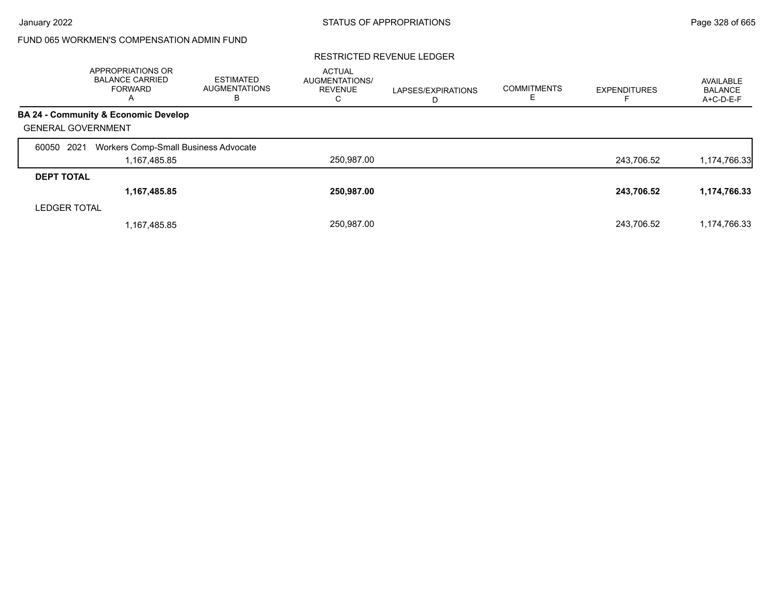#### RESTRICTED REVENUE LEDGER

|                           | <b>APPROPRIATIONS OR</b><br><b>BALANCE CARRIED</b><br>FORWARD<br>A | <b>ESTIMATED</b><br><b>AUGMENTATIONS</b><br>в | <b>ACTUAL</b><br>AUGMENTATIONS/<br><b>REVENUE</b><br>С | LAPSES/EXPIRATIONS<br>D | <b>COMMITMENTS</b><br>E. | <b>EXPENDITURES</b> | AVAILABLE<br><b>BALANCE</b><br>$A+C-D-E-F$ |
|---------------------------|--------------------------------------------------------------------|-----------------------------------------------|--------------------------------------------------------|-------------------------|--------------------------|---------------------|--------------------------------------------|
|                           | BA 24 - Community & Economic Develop                               |                                               |                                                        |                         |                          |                     |                                            |
| <b>GENERAL GOVERNMENT</b> |                                                                    |                                               |                                                        |                         |                          |                     |                                            |
| 2021<br>60050             | Workers Comp-Small Business Advocate                               |                                               |                                                        |                         |                          |                     |                                            |
|                           | 1,167,485.85                                                       |                                               | 250,987.00                                             |                         |                          | 243,706.52          | 1,174,766.33                               |
| <b>DEPT TOTAL</b>         |                                                                    |                                               |                                                        |                         |                          |                     |                                            |
|                           | 1,167,485.85                                                       |                                               | 250.987.00                                             |                         |                          | 243,706.52          | 1,174,766.33                               |
| <b>LEDGER TOTAL</b>       |                                                                    |                                               |                                                        |                         |                          |                     |                                            |
|                           | 1,167,485.85                                                       |                                               | 250.987.00                                             |                         |                          | 243.706.52          | 1,174,766.33                               |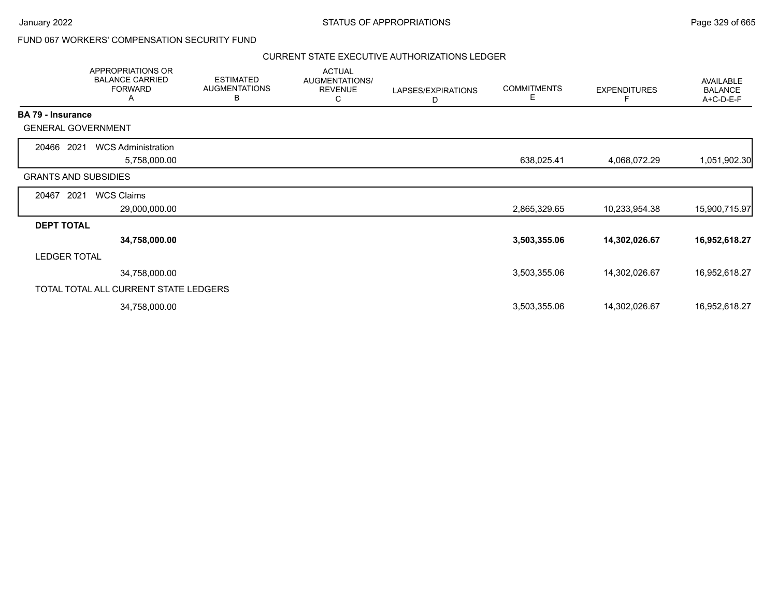## FUND 067 WORKERS' COMPENSATION SECURITY FUND

#### CURRENT STATE EXECUTIVE AUTHORIZATIONS LEDGER

|                          | APPROPRIATIONS OR<br><b>BALANCE CARRIED</b><br><b>FORWARD</b><br>A | <b>ESTIMATED</b><br><b>AUGMENTATIONS</b><br>В | <b>ACTUAL</b><br>AUGMENTATIONS/<br><b>REVENUE</b><br>C | LAPSES/EXPIRATIONS<br>D | <b>COMMITMENTS</b><br>Е | <b>EXPENDITURES</b><br>F | <b>AVAILABLE</b><br><b>BALANCE</b><br>A+C-D-E-F |
|--------------------------|--------------------------------------------------------------------|-----------------------------------------------|--------------------------------------------------------|-------------------------|-------------------------|--------------------------|-------------------------------------------------|
| <b>BA 79 - Insurance</b> |                                                                    |                                               |                                                        |                         |                         |                          |                                                 |
|                          | <b>GENERAL GOVERNMENT</b>                                          |                                               |                                                        |                         |                         |                          |                                                 |
| 20466 2021               | <b>WCS Administration</b>                                          |                                               |                                                        |                         |                         |                          |                                                 |
|                          | 5,758,000.00                                                       |                                               |                                                        |                         | 638,025.41              | 4,068,072.29             | 1,051,902.30                                    |
|                          | <b>GRANTS AND SUBSIDIES</b>                                        |                                               |                                                        |                         |                         |                          |                                                 |
| 20467                    | 2021<br><b>WCS Claims</b>                                          |                                               |                                                        |                         |                         |                          |                                                 |
|                          | 29,000,000.00                                                      |                                               |                                                        |                         | 2,865,329.65            | 10,233,954.38            | 15,900,715.97                                   |
| <b>DEPT TOTAL</b>        |                                                                    |                                               |                                                        |                         |                         |                          |                                                 |
|                          | 34,758,000.00                                                      |                                               |                                                        |                         | 3,503,355.06            | 14,302,026.67            | 16,952,618.27                                   |
| <b>LEDGER TOTAL</b>      |                                                                    |                                               |                                                        |                         |                         |                          |                                                 |
|                          | 34,758,000.00                                                      |                                               |                                                        |                         | 3,503,355.06            | 14,302,026.67            | 16,952,618.27                                   |
|                          | TOTAL TOTAL ALL CURRENT STATE LEDGERS                              |                                               |                                                        |                         |                         |                          |                                                 |
|                          | 34,758,000.00                                                      |                                               |                                                        |                         | 3,503,355.06            | 14,302,026.67            | 16,952,618.27                                   |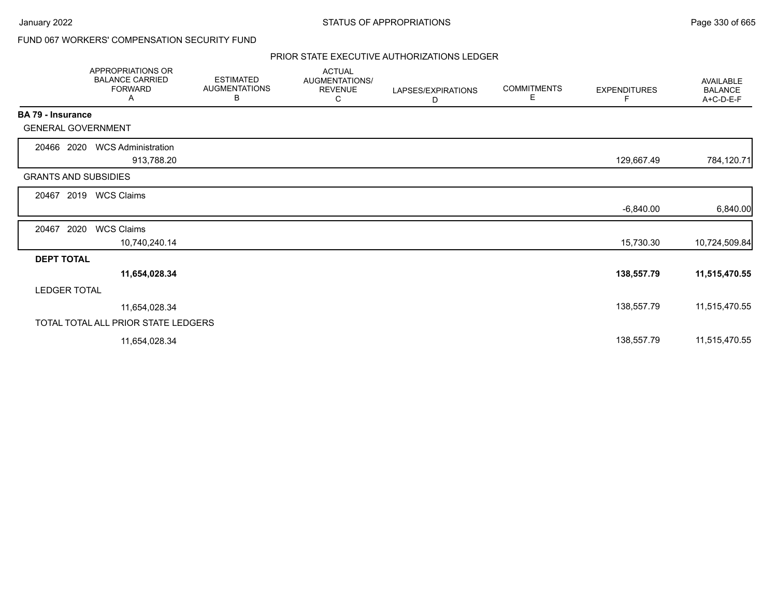٠.

## FUND 067 WORKERS' COMPENSATION SECURITY FUND

#### PRIOR STATE EXECUTIVE AUTHORIZATIONS LEDGER

|                             | <b>APPROPRIATIONS OR</b><br><b>BALANCE CARRIED</b><br><b>FORWARD</b><br>Α | <b>ESTIMATED</b><br><b>AUGMENTATIONS</b><br>В | <b>ACTUAL</b><br>AUGMENTATIONS/<br><b>REVENUE</b><br>C | LAPSES/EXPIRATIONS<br>D | <b>COMMITMENTS</b><br>Е | <b>EXPENDITURES</b><br>F | <b>AVAILABLE</b><br><b>BALANCE</b><br>A+C-D-E-F |
|-----------------------------|---------------------------------------------------------------------------|-----------------------------------------------|--------------------------------------------------------|-------------------------|-------------------------|--------------------------|-------------------------------------------------|
| <b>BA 79 - Insurance</b>    |                                                                           |                                               |                                                        |                         |                         |                          |                                                 |
| <b>GENERAL GOVERNMENT</b>   |                                                                           |                                               |                                                        |                         |                         |                          |                                                 |
| 20466 2020                  | <b>WCS Administration</b><br>913,788.20                                   |                                               |                                                        |                         |                         | 129,667.49               | 784,120.71                                      |
| <b>GRANTS AND SUBSIDIES</b> |                                                                           |                                               |                                                        |                         |                         |                          |                                                 |
| 2019<br>20467               | <b>WCS Claims</b>                                                         |                                               |                                                        |                         |                         |                          |                                                 |
|                             |                                                                           |                                               |                                                        |                         |                         | $-6,840.00$              | 6,840.00                                        |
| 2020<br>20467               | <b>WCS Claims</b>                                                         |                                               |                                                        |                         |                         |                          |                                                 |
|                             | 10,740,240.14                                                             |                                               |                                                        |                         |                         | 15,730.30                | 10,724,509.84                                   |
| <b>DEPT TOTAL</b>           |                                                                           |                                               |                                                        |                         |                         |                          |                                                 |
|                             | 11,654,028.34                                                             |                                               |                                                        |                         |                         | 138,557.79               | 11,515,470.55                                   |
| <b>LEDGER TOTAL</b>         |                                                                           |                                               |                                                        |                         |                         |                          |                                                 |
|                             | 11,654,028.34                                                             |                                               |                                                        |                         |                         | 138,557.79               | 11,515,470.55                                   |
|                             | TOTAL TOTAL ALL PRIOR STATE LEDGERS                                       |                                               |                                                        |                         |                         |                          |                                                 |
|                             | 11,654,028.34                                                             |                                               |                                                        |                         |                         | 138,557.79               | 11,515,470.55                                   |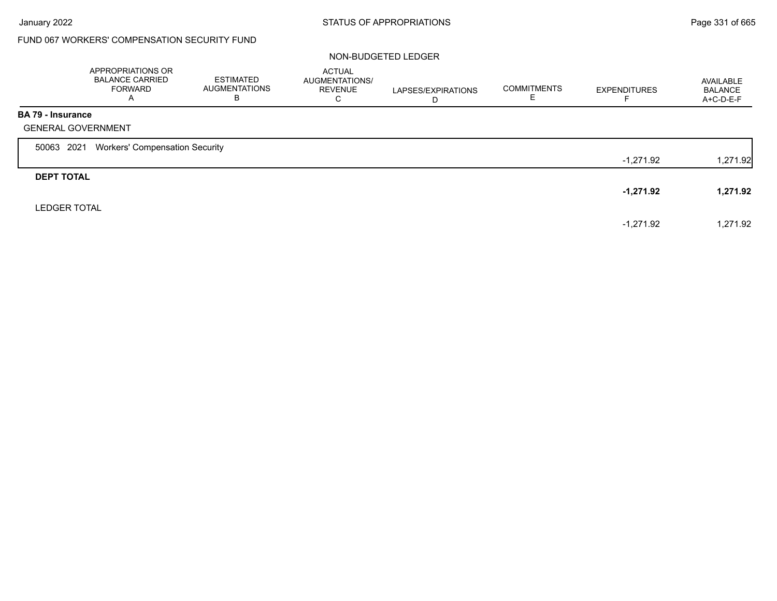# FUND 067 WORKERS' COMPENSATION SECURITY FUND

#### NON-BUDGETED LEDGER

|                          | APPROPRIATIONS OR<br><b>BALANCE CARRIED</b><br><b>FORWARD</b><br>A | <b>ESTIMATED</b><br><b>AUGMENTATIONS</b><br>B | <b>ACTUAL</b><br>AUGMENTATIONS/<br><b>REVENUE</b><br>C | LAPSES/EXPIRATIONS<br>D | <b>COMMITMENTS</b> | <b>EXPENDITURES</b> | AVAILABLE<br><b>BALANCE</b><br>A+C-D-E-F |
|--------------------------|--------------------------------------------------------------------|-----------------------------------------------|--------------------------------------------------------|-------------------------|--------------------|---------------------|------------------------------------------|
| <b>BA 79 - Insurance</b> | <b>GENERAL GOVERNMENT</b>                                          |                                               |                                                        |                         |                    |                     |                                          |
| 50063 2021               | <b>Workers' Compensation Security</b>                              |                                               |                                                        |                         |                    |                     |                                          |
|                          |                                                                    |                                               |                                                        |                         |                    | -1,271.92           | 1,271.92                                 |
| <b>DEPT TOTAL</b>        |                                                                    |                                               |                                                        |                         |                    |                     |                                          |
|                          |                                                                    |                                               |                                                        |                         |                    | -1,271.92           | 1,271.92                                 |
| <b>LEDGER TOTAL</b>      |                                                                    |                                               |                                                        |                         |                    |                     |                                          |
|                          |                                                                    |                                               |                                                        |                         |                    | $-1,271.92$         | 1,271.92                                 |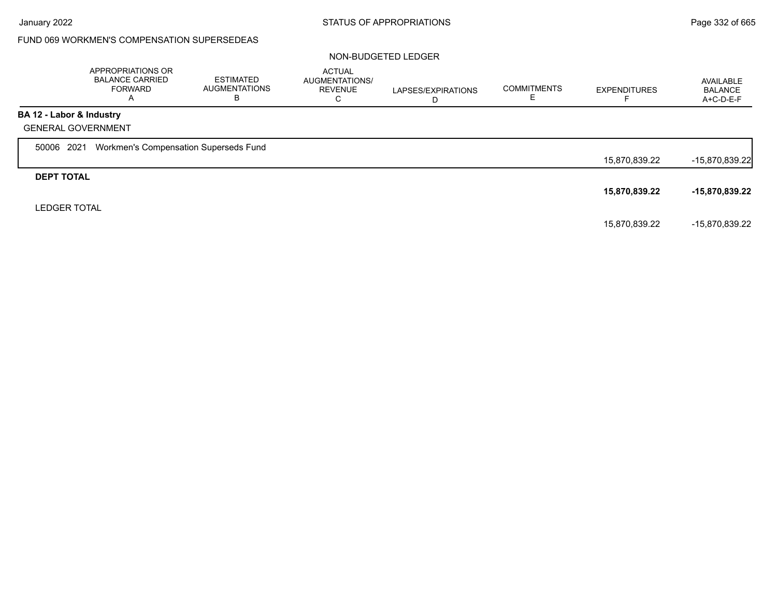## FUND 069 WORKMEN'S COMPENSATION SUPERSEDEAS

#### NON-BUDGETED LEDGER

|                          | APPROPRIATIONS OR<br><b>BALANCE CARRIED</b><br><b>FORWARD</b><br>A | <b>ESTIMATED</b><br>AUGMENTATIONS<br>В | <b>ACTUAL</b><br>AUGMENTATIONS/<br><b>REVENUE</b><br>С | LAPSES/EXPIRATIONS<br>D | <b>COMMITMENTS</b> | <b>EXPENDITURES</b> | AVAILABLE<br><b>BALANCE</b><br>A+C-D-E-F |
|--------------------------|--------------------------------------------------------------------|----------------------------------------|--------------------------------------------------------|-------------------------|--------------------|---------------------|------------------------------------------|
| BA 12 - Labor & Industry |                                                                    |                                        |                                                        |                         |                    |                     |                                          |
|                          | <b>GENERAL GOVERNMENT</b>                                          |                                        |                                                        |                         |                    |                     |                                          |
| 50006 2021               | Workmen's Compensation Superseds Fund                              |                                        |                                                        |                         |                    |                     |                                          |
|                          |                                                                    |                                        |                                                        |                         |                    | 15,870,839.22       | $-15,870,839.22$                         |
| <b>DEPT TOTAL</b>        |                                                                    |                                        |                                                        |                         |                    |                     |                                          |
|                          |                                                                    |                                        |                                                        |                         |                    | 15,870,839.22       | -15,870,839.22                           |
| <b>LEDGER TOTAL</b>      |                                                                    |                                        |                                                        |                         |                    |                     |                                          |
|                          |                                                                    |                                        |                                                        |                         |                    | 15,870,839.22       | -15,870,839.22                           |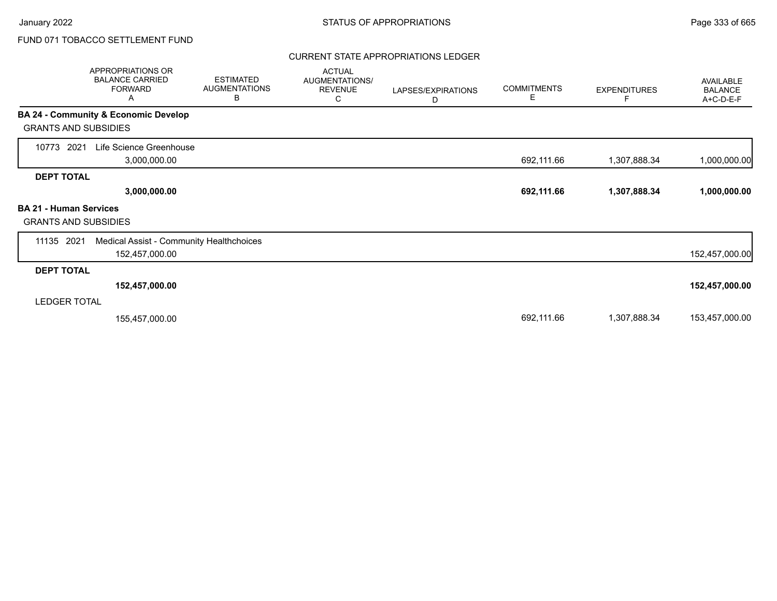#### CURRENT STATE APPROPRIATIONS LEDGER

| APPROPRIATIONS OR<br><b>BALANCE CARRIED</b><br><b>FORWARD</b><br>Α  |                                         | <b>ESTIMATED</b><br><b>AUGMENTATIONS</b><br>В | <b>ACTUAL</b><br>AUGMENTATIONS/<br><b>REVENUE</b><br>С | LAPSES/EXPIRATIONS<br>D | <b>COMMITMENTS</b><br>Е | <b>EXPENDITURES</b> | AVAILABLE<br><b>BALANCE</b><br>A+C-D-E-F |
|---------------------------------------------------------------------|-----------------------------------------|-----------------------------------------------|--------------------------------------------------------|-------------------------|-------------------------|---------------------|------------------------------------------|
| BA 24 - Community & Economic Develop<br><b>GRANTS AND SUBSIDIES</b> |                                         |                                               |                                                        |                         |                         |                     |                                          |
| 10773<br>2021                                                       | Life Science Greenhouse<br>3,000,000.00 |                                               |                                                        |                         | 692,111.66              | 1,307,888.34        | 1,000,000.00                             |
| <b>DEPT TOTAL</b>                                                   |                                         |                                               |                                                        |                         |                         |                     |                                          |
|                                                                     | 3,000,000.00                            |                                               |                                                        |                         | 692,111.66              | 1,307,888.34        | 1,000,000.00                             |
| <b>BA 21 - Human Services</b><br><b>GRANTS AND SUBSIDIES</b>        |                                         |                                               |                                                        |                         |                         |                     |                                          |
| 11135 2021                                                          | 152,457,000.00                          | Medical Assist - Community Healthchoices      |                                                        |                         |                         |                     | 152,457,000.00                           |
| <b>DEPT TOTAL</b>                                                   |                                         |                                               |                                                        |                         |                         |                     |                                          |
|                                                                     | 152,457,000.00                          |                                               |                                                        |                         |                         |                     | 152,457,000.00                           |
| <b>LEDGER TOTAL</b>                                                 |                                         |                                               |                                                        |                         |                         |                     |                                          |
|                                                                     | 155,457,000.00                          |                                               |                                                        |                         | 692,111.66              | 1,307,888.34        | 153,457,000.00                           |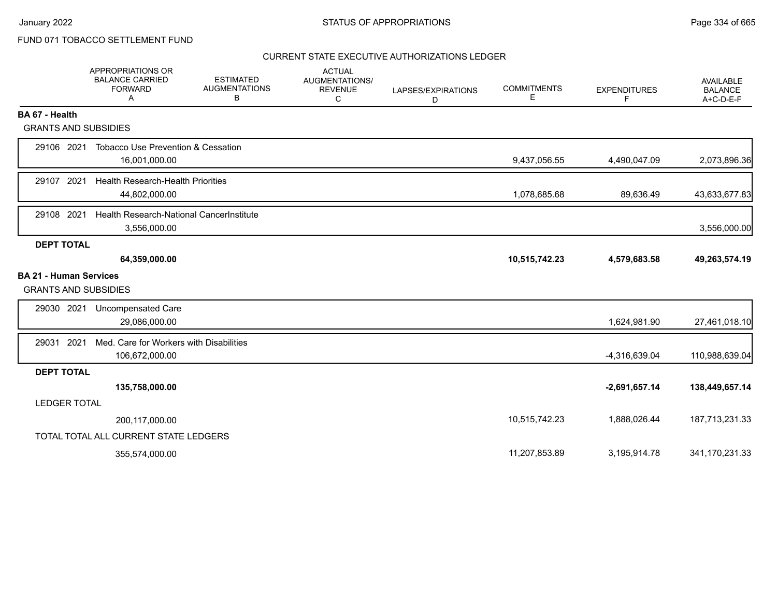#### CURRENT STATE EXECUTIVE AUTHORIZATIONS LEDGER

|                               | <b>APPROPRIATIONS OR</b><br><b>BALANCE CARRIED</b><br><b>FORWARD</b><br>A | <b>ESTIMATED</b><br><b>AUGMENTATIONS</b><br>В | <b>ACTUAL</b><br>AUGMENTATIONS/<br><b>REVENUE</b><br>C | LAPSES/EXPIRATIONS<br>D | <b>COMMITMENTS</b><br>E | <b>EXPENDITURES</b><br>F | <b>AVAILABLE</b><br><b>BALANCE</b><br>$A+C-D-E-F$ |
|-------------------------------|---------------------------------------------------------------------------|-----------------------------------------------|--------------------------------------------------------|-------------------------|-------------------------|--------------------------|---------------------------------------------------|
| BA 67 - Health                |                                                                           |                                               |                                                        |                         |                         |                          |                                                   |
| <b>GRANTS AND SUBSIDIES</b>   |                                                                           |                                               |                                                        |                         |                         |                          |                                                   |
| 29106 2021                    | <b>Tobacco Use Prevention &amp; Cessation</b><br>16,001,000.00            |                                               |                                                        |                         | 9,437,056.55            | 4,490,047.09             | 2,073,896.36                                      |
| 29107 2021                    | <b>Health Research-Health Priorities</b><br>44,802,000.00                 |                                               |                                                        |                         | 1,078,685.68            | 89,636.49                | 43,633,677.83                                     |
| 29108 2021                    | Health Research-National CancerInstitute<br>3,556,000.00                  |                                               |                                                        |                         |                         |                          | 3,556,000.00                                      |
| <b>DEPT TOTAL</b>             |                                                                           |                                               |                                                        |                         |                         |                          |                                                   |
|                               | 64,359,000.00                                                             |                                               |                                                        |                         | 10,515,742.23           | 4,579,683.58             | 49,263,574.19                                     |
| <b>BA 21 - Human Services</b> |                                                                           |                                               |                                                        |                         |                         |                          |                                                   |
| <b>GRANTS AND SUBSIDIES</b>   |                                                                           |                                               |                                                        |                         |                         |                          |                                                   |
| 29030 2021                    | <b>Uncompensated Care</b><br>29,086,000.00                                |                                               |                                                        |                         |                         | 1,624,981.90             | 27,461,018.10                                     |
| 2021<br>29031                 | Med. Care for Workers with Disabilities<br>106,672,000.00                 |                                               |                                                        |                         |                         | -4,316,639.04            | 110,988,639.04                                    |
| <b>DEPT TOTAL</b>             |                                                                           |                                               |                                                        |                         |                         |                          |                                                   |
|                               | 135,758,000.00                                                            |                                               |                                                        |                         |                         | $-2,691,657.14$          | 138,449,657.14                                    |
| <b>LEDGER TOTAL</b>           |                                                                           |                                               |                                                        |                         |                         |                          |                                                   |
|                               | 200,117,000.00                                                            |                                               |                                                        |                         | 10,515,742.23           | 1,888,026.44             | 187,713,231.33                                    |
|                               | TOTAL TOTAL ALL CURRENT STATE LEDGERS                                     |                                               |                                                        |                         |                         |                          |                                                   |
|                               | 355,574,000.00                                                            |                                               |                                                        |                         | 11,207,853.89           | 3,195,914.78             | 341,170,231.33                                    |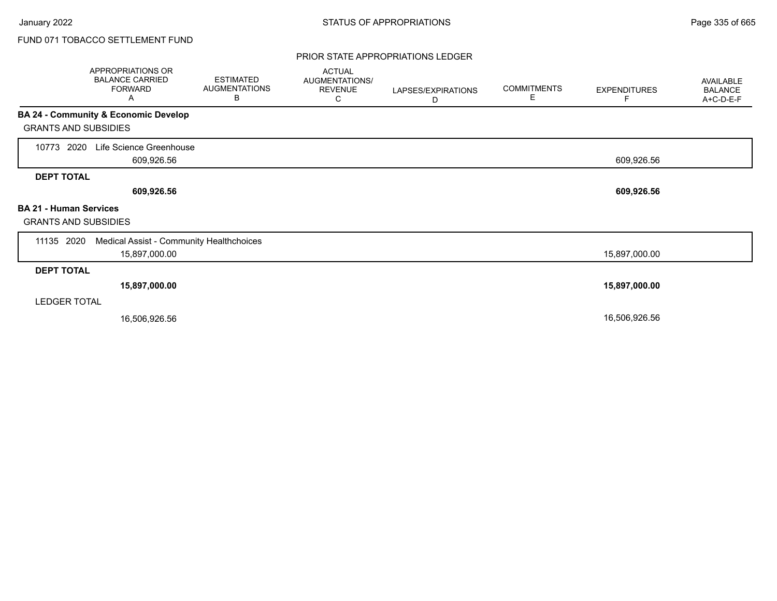#### PRIOR STATE APPROPRIATIONS LEDGER

|                                                              | <b>APPROPRIATIONS OR</b><br><b>BALANCE CARRIED</b><br><b>FORWARD</b><br>Α | <b>ESTIMATED</b><br><b>AUGMENTATIONS</b><br>В | <b>ACTUAL</b><br>AUGMENTATIONS/<br><b>REVENUE</b><br>С | LAPSES/EXPIRATIONS<br>D | <b>COMMITMENTS</b><br>Е | <b>EXPENDITURES</b><br>F | AVAILABLE<br><b>BALANCE</b><br>A+C-D-E-F |
|--------------------------------------------------------------|---------------------------------------------------------------------------|-----------------------------------------------|--------------------------------------------------------|-------------------------|-------------------------|--------------------------|------------------------------------------|
|                                                              | BA 24 - Community & Economic Develop                                      |                                               |                                                        |                         |                         |                          |                                          |
| <b>GRANTS AND SUBSIDIES</b>                                  |                                                                           |                                               |                                                        |                         |                         |                          |                                          |
| 2020<br>10773                                                | Life Science Greenhouse<br>609,926.56                                     |                                               |                                                        |                         |                         | 609,926.56               |                                          |
| <b>DEPT TOTAL</b>                                            |                                                                           |                                               |                                                        |                         |                         |                          |                                          |
|                                                              | 609,926.56                                                                |                                               |                                                        |                         |                         | 609,926.56               |                                          |
| <b>BA 21 - Human Services</b><br><b>GRANTS AND SUBSIDIES</b> |                                                                           |                                               |                                                        |                         |                         |                          |                                          |
| 11135 2020                                                   | Medical Assist - Community Healthchoices                                  |                                               |                                                        |                         |                         |                          |                                          |
|                                                              | 15,897,000.00                                                             |                                               |                                                        |                         |                         | 15,897,000.00            |                                          |
| <b>DEPT TOTAL</b>                                            |                                                                           |                                               |                                                        |                         |                         |                          |                                          |
|                                                              | 15,897,000.00                                                             |                                               |                                                        |                         |                         | 15,897,000.00            |                                          |
| <b>LEDGER TOTAL</b>                                          |                                                                           |                                               |                                                        |                         |                         |                          |                                          |
|                                                              | 16,506,926.56                                                             |                                               |                                                        |                         |                         | 16,506,926.56            |                                          |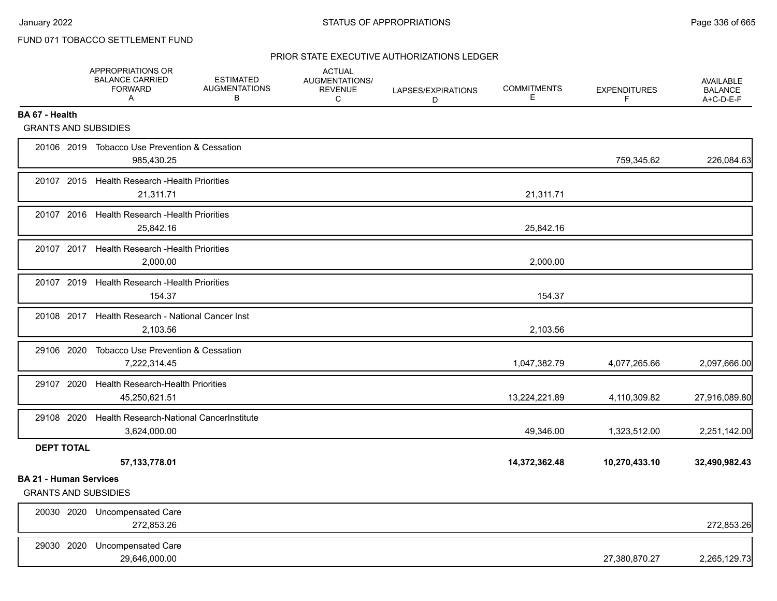### PRIOR STATE EXECUTIVE AUTHORIZATIONS LEDGER

|                                                              | <b>APPROPRIATIONS OR</b><br><b>BALANCE CARRIED</b><br><b>FORWARD</b><br>A | <b>ESTIMATED</b><br><b>AUGMENTATIONS</b><br>В | <b>ACTUAL</b><br>AUGMENTATIONS/<br><b>REVENUE</b><br>C | LAPSES/EXPIRATIONS<br>D | <b>COMMITMENTS</b><br>Е | <b>EXPENDITURES</b><br>F | <b>AVAILABLE</b><br><b>BALANCE</b><br>A+C-D-E-F |
|--------------------------------------------------------------|---------------------------------------------------------------------------|-----------------------------------------------|--------------------------------------------------------|-------------------------|-------------------------|--------------------------|-------------------------------------------------|
| BA 67 - Health                                               |                                                                           |                                               |                                                        |                         |                         |                          |                                                 |
| <b>GRANTS AND SUBSIDIES</b>                                  |                                                                           |                                               |                                                        |                         |                         |                          |                                                 |
|                                                              | 20106 2019 Tobacco Use Prevention & Cessation<br>985,430.25               |                                               |                                                        |                         |                         | 759,345.62               | 226,084.63                                      |
|                                                              | 20107 2015 Health Research - Health Priorities<br>21,311.71               |                                               |                                                        |                         | 21,311.71               |                          |                                                 |
|                                                              | 20107 2016 Health Research - Health Priorities<br>25.842.16               |                                               |                                                        |                         | 25,842.16               |                          |                                                 |
|                                                              | 20107 2017 Health Research - Health Priorities<br>2,000.00                |                                               |                                                        |                         | 2,000.00                |                          |                                                 |
|                                                              | 20107 2019 Health Research - Health Priorities<br>154.37                  |                                               |                                                        |                         | 154.37                  |                          |                                                 |
|                                                              | 20108 2017 Health Research - National Cancer Inst<br>2,103.56             |                                               |                                                        |                         | 2,103.56                |                          |                                                 |
| 29106 2020                                                   | Tobacco Use Prevention & Cessation<br>7,222,314.45                        |                                               |                                                        |                         | 1,047,382.79            | 4,077,265.66             | 2,097,666.00                                    |
|                                                              | 29107 2020 Health Research-Health Priorities<br>45,250,621.51             |                                               |                                                        |                         | 13,224,221.89           | 4,110,309.82             | 27,916,089.80                                   |
|                                                              | 29108 2020 Health Research-National Cancer Institute<br>3,624,000.00      |                                               |                                                        |                         | 49,346.00               | 1,323,512.00             | 2,251,142.00                                    |
| <b>DEPT TOTAL</b>                                            | 57, 133, 778.01                                                           |                                               |                                                        |                         | 14,372,362.48           | 10,270,433.10            | 32,490,982.43                                   |
| <b>BA 21 - Human Services</b><br><b>GRANTS AND SUBSIDIES</b> |                                                                           |                                               |                                                        |                         |                         |                          |                                                 |
|                                                              | 20030 2020 Uncompensated Care<br>272,853.26                               |                                               |                                                        |                         |                         |                          | 272,853.26                                      |
|                                                              | 29030 2020 Uncompensated Care<br>29,646,000.00                            |                                               |                                                        |                         |                         | 27,380,870.27            | 2,265,129.73                                    |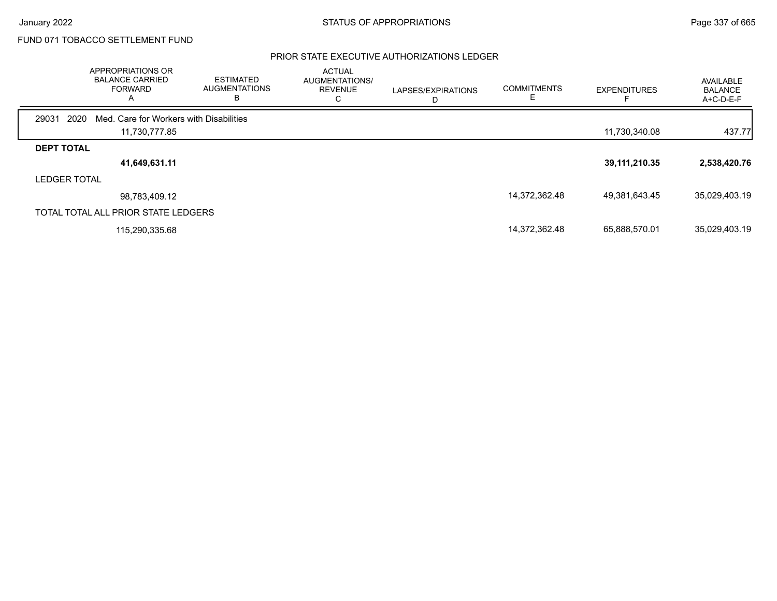### PRIOR STATE EXECUTIVE AUTHORIZATIONS LEDGER

|                     | APPROPRIATIONS OR<br><b>BALANCE CARRIED</b><br><b>FORWARD</b><br>$\mathsf{A}$ | <b>ESTIMATED</b><br><b>AUGMENTATIONS</b><br>в | <b>ACTUAL</b><br><b>AUGMENTATIONS/</b><br><b>REVENUE</b> | LAPSES/EXPIRATIONS<br>D | <b>COMMITMENTS</b> | <b>EXPENDITURES</b> | AVAILABLE<br><b>BALANCE</b><br>A+C-D-E-F |
|---------------------|-------------------------------------------------------------------------------|-----------------------------------------------|----------------------------------------------------------|-------------------------|--------------------|---------------------|------------------------------------------|
| 29031               | 2020<br>Med. Care for Workers with Disabilities                               |                                               |                                                          |                         |                    |                     |                                          |
|                     | 11,730,777.85                                                                 |                                               |                                                          |                         |                    | 11,730,340.08       | 437.77                                   |
| <b>DEPT TOTAL</b>   |                                                                               |                                               |                                                          |                         |                    |                     |                                          |
|                     | 41,649,631.11                                                                 |                                               |                                                          |                         |                    | 39, 111, 210. 35    | 2,538,420.76                             |
| <b>LEDGER TOTAL</b> |                                                                               |                                               |                                                          |                         |                    |                     |                                          |
|                     | 98,783,409.12                                                                 |                                               |                                                          |                         | 14,372,362.48      | 49,381,643.45       | 35,029,403.19                            |
|                     | TOTAL TOTAL ALL PRIOR STATE LEDGERS                                           |                                               |                                                          |                         |                    |                     |                                          |
|                     | 115,290,335.68                                                                |                                               |                                                          |                         | 14,372,362.48      | 65,888,570.01       | 35,029,403.19                            |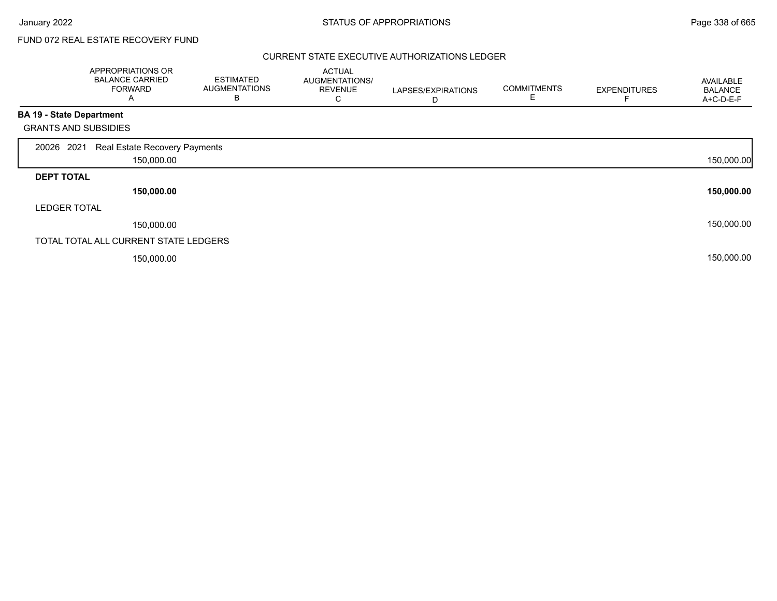# FUND 072 REAL ESTATE RECOVERY FUND

#### CURRENT STATE EXECUTIVE AUTHORIZATIONS LEDGER

|                                 | APPROPRIATIONS OR<br><b>BALANCE CARRIED</b><br><b>FORWARD</b><br>A | <b>ESTIMATED</b><br><b>AUGMENTATIONS</b><br>B | <b>ACTUAL</b><br>AUGMENTATIONS/<br><b>REVENUE</b><br>С | LAPSES/EXPIRATIONS<br>D | <b>COMMITMENTS</b><br>E | <b>EXPENDITURES</b> | AVAILABLE<br><b>BALANCE</b><br>A+C-D-E-F |
|---------------------------------|--------------------------------------------------------------------|-----------------------------------------------|--------------------------------------------------------|-------------------------|-------------------------|---------------------|------------------------------------------|
| <b>BA 19 - State Department</b> |                                                                    |                                               |                                                        |                         |                         |                     |                                          |
| <b>GRANTS AND SUBSIDIES</b>     |                                                                    |                                               |                                                        |                         |                         |                     |                                          |
| 20026 2021                      | Real Estate Recovery Payments                                      |                                               |                                                        |                         |                         |                     |                                          |
|                                 | 150,000.00                                                         |                                               |                                                        |                         |                         |                     | 150,000.00                               |
| <b>DEPT TOTAL</b>               |                                                                    |                                               |                                                        |                         |                         |                     |                                          |
|                                 | 150,000.00                                                         |                                               |                                                        |                         |                         |                     | 150,000.00                               |
| <b>LEDGER TOTAL</b>             |                                                                    |                                               |                                                        |                         |                         |                     |                                          |
|                                 | 150,000.00                                                         |                                               |                                                        |                         |                         |                     | 150,000.00                               |
|                                 | TOTAL TOTAL ALL CURRENT STATE LEDGERS                              |                                               |                                                        |                         |                         |                     |                                          |
|                                 | 150,000.00                                                         |                                               |                                                        |                         |                         |                     | 150,000.00                               |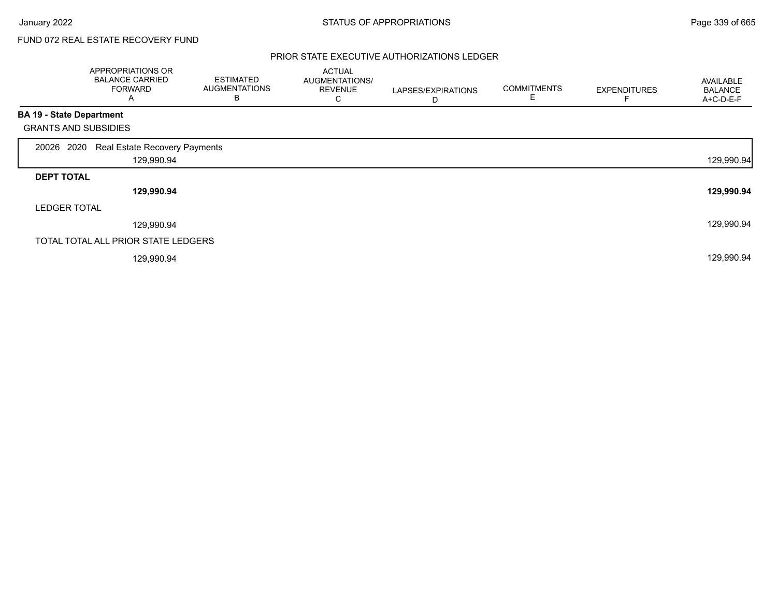# FUND 072 REAL ESTATE RECOVERY FUND

#### PRIOR STATE EXECUTIVE AUTHORIZATIONS LEDGER

|                                 | APPROPRIATIONS OR<br><b>BALANCE CARRIED</b><br><b>FORWARD</b><br>Α | <b>ESTIMATED</b><br><b>AUGMENTATIONS</b><br>B | <b>ACTUAL</b><br>AUGMENTATIONS/<br><b>REVENUE</b><br>С | LAPSES/EXPIRATIONS<br>D | <b>COMMITMENTS</b> | <b>EXPENDITURES</b> | AVAILABLE<br><b>BALANCE</b><br>A+C-D-E-F |
|---------------------------------|--------------------------------------------------------------------|-----------------------------------------------|--------------------------------------------------------|-------------------------|--------------------|---------------------|------------------------------------------|
| <b>BA 19 - State Department</b> |                                                                    |                                               |                                                        |                         |                    |                     |                                          |
| <b>GRANTS AND SUBSIDIES</b>     |                                                                    |                                               |                                                        |                         |                    |                     |                                          |
| 20026 2020                      | Real Estate Recovery Payments                                      |                                               |                                                        |                         |                    |                     |                                          |
|                                 | 129,990.94                                                         |                                               |                                                        |                         |                    |                     | 129,990.94                               |
| <b>DEPT TOTAL</b>               |                                                                    |                                               |                                                        |                         |                    |                     |                                          |
|                                 | 129,990.94                                                         |                                               |                                                        |                         |                    |                     | 129,990.94                               |
| <b>LEDGER TOTAL</b>             |                                                                    |                                               |                                                        |                         |                    |                     |                                          |
|                                 | 129,990.94                                                         |                                               |                                                        |                         |                    |                     | 129,990.94                               |
|                                 | TOTAL TOTAL ALL PRIOR STATE LEDGERS                                |                                               |                                                        |                         |                    |                     |                                          |
|                                 | 129,990.94                                                         |                                               |                                                        |                         |                    |                     | 129,990.94                               |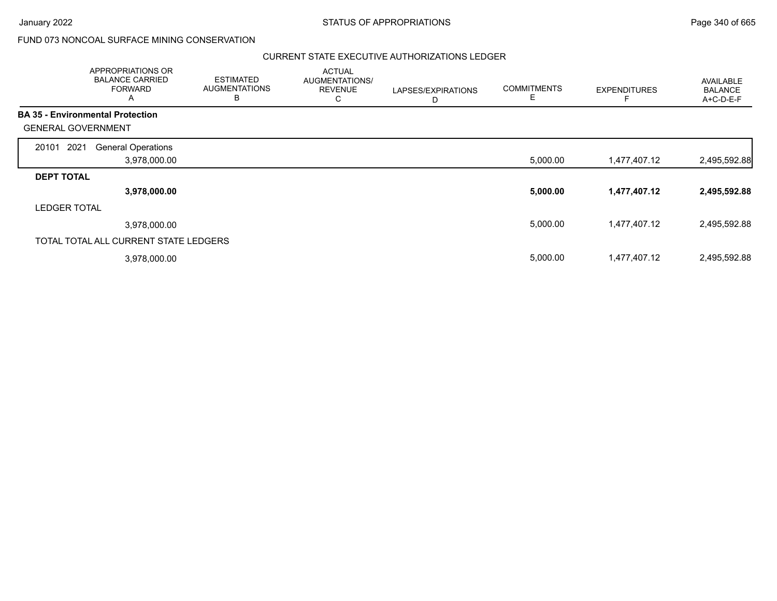## FUND 073 NONCOAL SURFACE MINING CONSERVATION

#### CURRENT STATE EXECUTIVE AUTHORIZATIONS LEDGER

|                                         | <b>APPROPRIATIONS OR</b><br><b>BALANCE CARRIED</b><br><b>FORWARD</b><br>A | <b>ESTIMATED</b><br><b>AUGMENTATIONS</b><br>в | <b>ACTUAL</b><br><b>AUGMENTATIONS/</b><br><b>REVENUE</b><br>С | LAPSES/EXPIRATIONS<br>D | <b>COMMITMENTS</b> | <b>EXPENDITURES</b> | <b>AVAILABLE</b><br><b>BALANCE</b><br>A+C-D-E-F |
|-----------------------------------------|---------------------------------------------------------------------------|-----------------------------------------------|---------------------------------------------------------------|-------------------------|--------------------|---------------------|-------------------------------------------------|
| <b>BA 35 - Environmental Protection</b> |                                                                           |                                               |                                                               |                         |                    |                     |                                                 |
| <b>GENERAL GOVERNMENT</b>               |                                                                           |                                               |                                                               |                         |                    |                     |                                                 |
| 2021<br>20101                           | <b>General Operations</b>                                                 |                                               |                                                               |                         |                    |                     |                                                 |
|                                         | 3,978,000.00                                                              |                                               |                                                               |                         | 5,000.00           | 1,477,407.12        | 2,495,592.88                                    |
| <b>DEPT TOTAL</b>                       |                                                                           |                                               |                                                               |                         |                    |                     |                                                 |
|                                         | 3,978,000.00                                                              |                                               |                                                               |                         | 5,000.00           | 1,477,407.12        | 2,495,592.88                                    |
| <b>LEDGER TOTAL</b>                     |                                                                           |                                               |                                                               |                         |                    |                     |                                                 |
|                                         | 3,978,000.00                                                              |                                               |                                                               |                         | 5,000.00           | 1,477,407.12        | 2,495,592.88                                    |
|                                         | TOTAL TOTAL ALL CURRENT STATE LEDGERS                                     |                                               |                                                               |                         |                    |                     |                                                 |
|                                         | 3,978,000.00                                                              |                                               |                                                               |                         | 5,000.00           | 1,477,407.12        | 2,495,592.88                                    |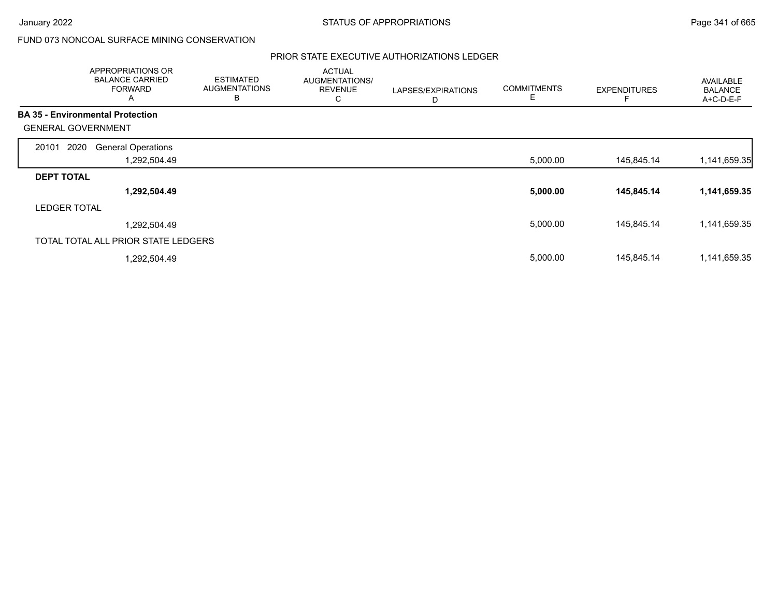$\overline{\phantom{a}}$ 

# FUND 073 NONCOAL SURFACE MINING CONSERVATION

### PRIOR STATE EXECUTIVE AUTHORIZATIONS LEDGER

|                                         | APPROPRIATIONS OR<br><b>BALANCE CARRIED</b><br><b>FORWARD</b><br>A | <b>ESTIMATED</b><br><b>AUGMENTATIONS</b><br>В | <b>ACTUAL</b><br>AUGMENTATIONS/<br><b>REVENUE</b><br>С | LAPSES/EXPIRATIONS<br>D | <b>COMMITMENTS</b><br>E | <b>EXPENDITURES</b> | <b>AVAILABLE</b><br><b>BALANCE</b><br>A+C-D-E-F |
|-----------------------------------------|--------------------------------------------------------------------|-----------------------------------------------|--------------------------------------------------------|-------------------------|-------------------------|---------------------|-------------------------------------------------|
| <b>BA 35 - Environmental Protection</b> |                                                                    |                                               |                                                        |                         |                         |                     |                                                 |
| <b>GENERAL GOVERNMENT</b>               |                                                                    |                                               |                                                        |                         |                         |                     |                                                 |
| 2020<br>20101                           | <b>General Operations</b>                                          |                                               |                                                        |                         |                         |                     |                                                 |
|                                         | 1,292,504.49                                                       |                                               |                                                        |                         | 5,000.00                | 145,845.14          | 1,141,659.35                                    |
| <b>DEPT TOTAL</b>                       |                                                                    |                                               |                                                        |                         |                         |                     |                                                 |
|                                         | 1,292,504.49                                                       |                                               |                                                        |                         | 5,000.00                | 145,845.14          | 1,141,659.35                                    |
| <b>LEDGER TOTAL</b>                     |                                                                    |                                               |                                                        |                         |                         |                     |                                                 |
|                                         | 1,292,504.49                                                       |                                               |                                                        |                         | 5,000.00                | 145,845.14          | 1,141,659.35                                    |
|                                         | TOTAL TOTAL ALL PRIOR STATE LEDGERS                                |                                               |                                                        |                         |                         |                     |                                                 |
|                                         | 1,292,504.49                                                       |                                               |                                                        |                         | 5,000.00                | 145,845.14          | 1,141,659.35                                    |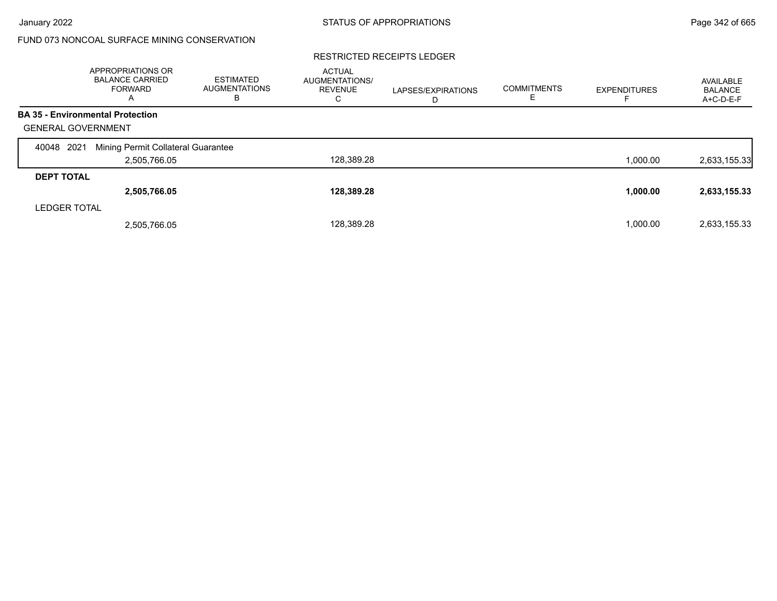# FUND 073 NONCOAL SURFACE MINING CONSERVATION

#### RESTRICTED RECEIPTS LEDGER

|                           | APPROPRIATIONS OR<br><b>BALANCE CARRIED</b><br><b>FORWARD</b><br>A | <b>ESTIMATED</b><br><b>AUGMENTATIONS</b><br>В | <b>ACTUAL</b><br><b>AUGMENTATIONS/</b><br><b>REVENUE</b><br>С | LAPSES/EXPIRATIONS<br>D | <b>COMMITMENTS</b> | <b>EXPENDITURES</b> | AVAILABLE<br><b>BALANCE</b><br>A+C-D-E-F |
|---------------------------|--------------------------------------------------------------------|-----------------------------------------------|---------------------------------------------------------------|-------------------------|--------------------|---------------------|------------------------------------------|
|                           | <b>BA 35 - Environmental Protection</b>                            |                                               |                                                               |                         |                    |                     |                                          |
| <b>GENERAL GOVERNMENT</b> |                                                                    |                                               |                                                               |                         |                    |                     |                                          |
| 2021<br>40048             | Mining Permit Collateral Guarantee                                 |                                               |                                                               |                         |                    |                     |                                          |
|                           | 2,505,766.05                                                       |                                               | 128,389.28                                                    |                         |                    | 1.000.00            | 2,633,155.33                             |
| <b>DEPT TOTAL</b>         |                                                                    |                                               |                                                               |                         |                    |                     |                                          |
|                           | 2,505,766.05                                                       |                                               | 128,389.28                                                    |                         |                    | 1,000.00            | 2,633,155.33                             |
| <b>LEDGER TOTAL</b>       |                                                                    |                                               |                                                               |                         |                    |                     |                                          |
|                           | 2,505,766.05                                                       |                                               | 128.389.28                                                    |                         |                    | 1,000.00            | 2,633,155.33                             |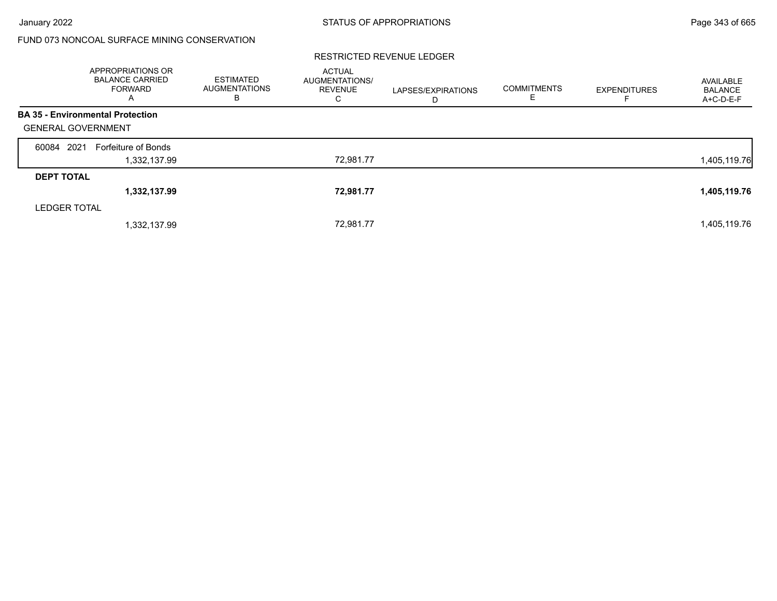# FUND 073 NONCOAL SURFACE MINING CONSERVATION

#### RESTRICTED REVENUE LEDGER

|                           | <b>APPROPRIATIONS OR</b><br><b>BALANCE CARRIED</b><br><b>FORWARD</b><br>A | <b>ESTIMATED</b><br><b>AUGMENTATIONS</b><br>в | <b>ACTUAL</b><br>AUGMENTATIONS/<br><b>REVENUE</b><br>С | LAPSES/EXPIRATIONS<br>D | <b>COMMITMENTS</b><br>Е | <b>EXPENDITURES</b> | AVAILABLE<br><b>BALANCE</b><br>A+C-D-E-F |
|---------------------------|---------------------------------------------------------------------------|-----------------------------------------------|--------------------------------------------------------|-------------------------|-------------------------|---------------------|------------------------------------------|
|                           | <b>BA 35 - Environmental Protection</b>                                   |                                               |                                                        |                         |                         |                     |                                          |
| <b>GENERAL GOVERNMENT</b> |                                                                           |                                               |                                                        |                         |                         |                     |                                          |
| 60084 2021                | Forfeiture of Bonds                                                       |                                               |                                                        |                         |                         |                     |                                          |
|                           | 1,332,137.99                                                              |                                               | 72,981.77                                              |                         |                         |                     | 1,405,119.76                             |
| <b>DEPT TOTAL</b>         |                                                                           |                                               |                                                        |                         |                         |                     |                                          |
|                           | 1,332,137.99                                                              |                                               | 72,981.77                                              |                         |                         |                     | 1,405,119.76                             |
| <b>LEDGER TOTAL</b>       |                                                                           |                                               |                                                        |                         |                         |                     |                                          |
|                           | 1,332,137.99                                                              |                                               | 72,981.77                                              |                         |                         |                     | 1,405,119.76                             |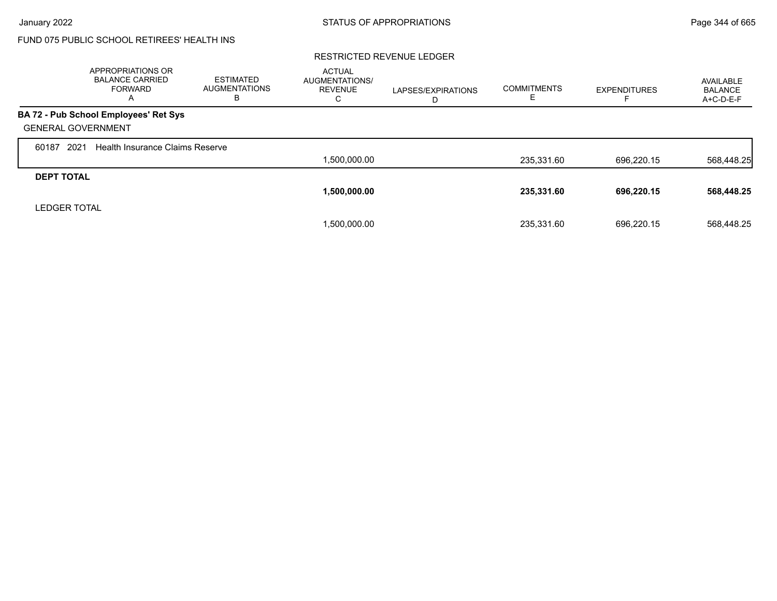# FUND 075 PUBLIC SCHOOL RETIREES' HEALTH INS

#### RESTRICTED REVENUE LEDGER

|                           | APPROPRIATIONS OR<br><b>BALANCE CARRIED</b><br><b>FORWARD</b><br>A | <b>ESTIMATED</b><br><b>AUGMENTATIONS</b><br>в | <b>ACTUAL</b><br><b>AUGMENTATIONS/</b><br><b>REVENUE</b><br>◡ | LAPSES/EXPIRATIONS<br>D | <b>COMMITMENTS</b> | <b>EXPENDITURES</b> | AVAILABLE<br>BALANCE<br>A+C-D-E-F |
|---------------------------|--------------------------------------------------------------------|-----------------------------------------------|---------------------------------------------------------------|-------------------------|--------------------|---------------------|-----------------------------------|
|                           | BA 72 - Pub School Employees' Ret Sys                              |                                               |                                                               |                         |                    |                     |                                   |
| <b>GENERAL GOVERNMENT</b> |                                                                    |                                               |                                                               |                         |                    |                     |                                   |
| 2021<br>60187             | <b>Health Insurance Claims Reserve</b>                             |                                               |                                                               |                         |                    |                     |                                   |
|                           |                                                                    |                                               | 1,500,000.00                                                  |                         | 235.331.60         | 696.220.15          | 568,448.25                        |
| <b>DEPT TOTAL</b>         |                                                                    |                                               |                                                               |                         |                    |                     |                                   |
|                           |                                                                    |                                               | 1,500,000.00                                                  |                         | 235,331.60         | 696,220.15          | 568,448.25                        |
| <b>LEDGER TOTAL</b>       |                                                                    |                                               |                                                               |                         |                    |                     |                                   |
|                           |                                                                    |                                               | 1,500,000.00                                                  |                         | 235.331.60         | 696,220.15          | 568.448.25                        |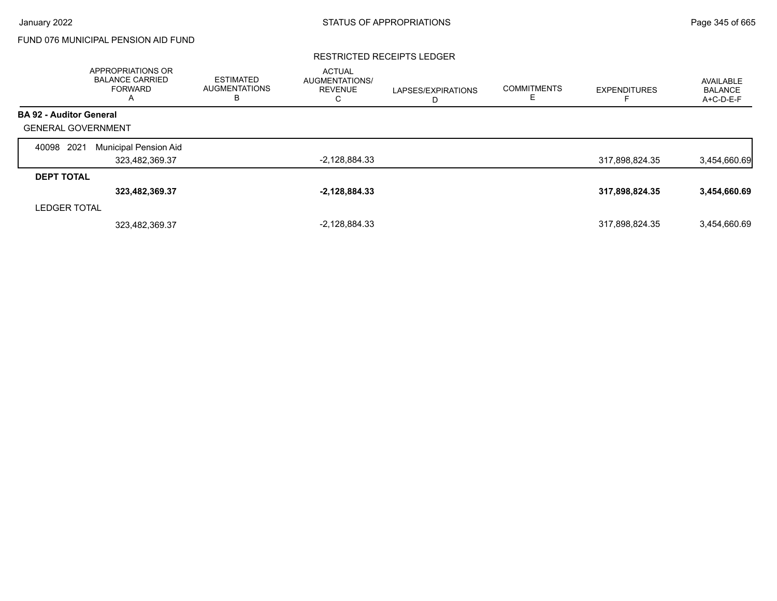# FUND 076 MUNICIPAL PENSION AID FUND

#### RESTRICTED RECEIPTS LEDGER

|                                | APPROPRIATIONS OR<br><b>BALANCE CARRIED</b><br><b>FORWARD</b><br>A | <b>ESTIMATED</b><br><b>AUGMENTATIONS</b><br>в | <b>ACTUAL</b><br>AUGMENTATIONS/<br><b>REVENUE</b><br>С | LAPSES/EXPIRATIONS<br>D | <b>COMMITMENTS</b><br>E | <b>EXPENDITURES</b> | AVAILABLE<br><b>BALANCE</b><br>A+C-D-E-F |
|--------------------------------|--------------------------------------------------------------------|-----------------------------------------------|--------------------------------------------------------|-------------------------|-------------------------|---------------------|------------------------------------------|
| <b>BA 92 - Auditor General</b> |                                                                    |                                               |                                                        |                         |                         |                     |                                          |
| <b>GENERAL GOVERNMENT</b>      |                                                                    |                                               |                                                        |                         |                         |                     |                                          |
| 2021<br>40098                  | Municipal Pension Aid                                              |                                               |                                                        |                         |                         |                     |                                          |
|                                | 323,482,369.37                                                     |                                               | $-2,128,884.33$                                        |                         |                         | 317,898,824.35      | 3,454,660.69                             |
| <b>DEPT TOTAL</b>              |                                                                    |                                               |                                                        |                         |                         |                     |                                          |
|                                | 323,482,369.37                                                     |                                               | $-2,128,884.33$                                        |                         |                         | 317,898,824.35      | 3,454,660.69                             |
| <b>LEDGER TOTAL</b>            |                                                                    |                                               |                                                        |                         |                         |                     |                                          |
|                                | 323,482,369.37                                                     |                                               | $-2,128,884.33$                                        |                         |                         | 317,898,824.35      | 3.454.660.69                             |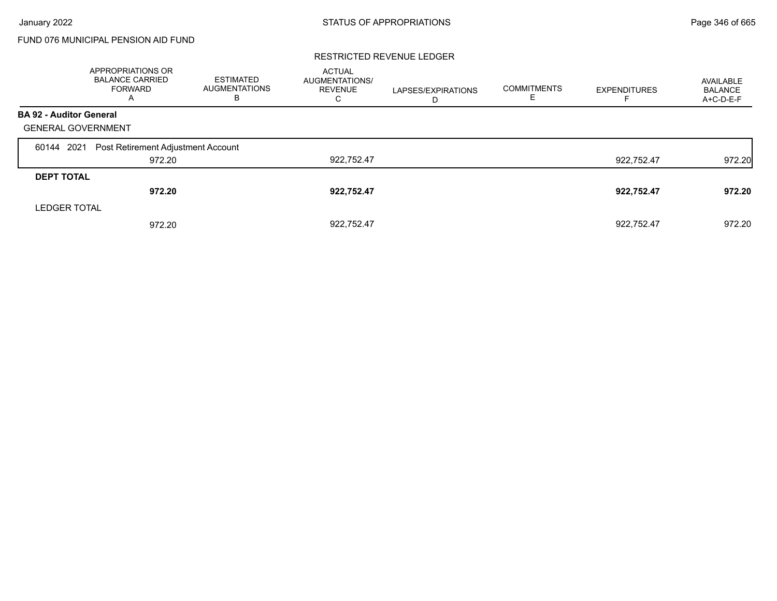# FUND 076 MUNICIPAL PENSION AID FUND

#### RESTRICTED REVENUE LEDGER

|                                | APPROPRIATIONS OR<br><b>BALANCE CARRIED</b><br><b>FORWARD</b><br>A | <b>ESTIMATED</b><br><b>AUGMENTATIONS</b><br>В | <b>ACTUAL</b><br>AUGMENTATIONS/<br><b>REVENUE</b><br>С | LAPSES/EXPIRATIONS<br>D | <b>COMMITMENTS</b><br>Е | <b>EXPENDITURES</b> | AVAILABLE<br><b>BALANCE</b><br>A+C-D-E-F |
|--------------------------------|--------------------------------------------------------------------|-----------------------------------------------|--------------------------------------------------------|-------------------------|-------------------------|---------------------|------------------------------------------|
| <b>BA 92 - Auditor General</b> |                                                                    |                                               |                                                        |                         |                         |                     |                                          |
| <b>GENERAL GOVERNMENT</b>      |                                                                    |                                               |                                                        |                         |                         |                     |                                          |
| 60144 2021                     | Post Retirement Adjustment Account                                 |                                               |                                                        |                         |                         |                     |                                          |
|                                | 972.20                                                             |                                               | 922,752.47                                             |                         |                         | 922,752.47          | 972.20                                   |
| <b>DEPT TOTAL</b>              |                                                                    |                                               |                                                        |                         |                         |                     |                                          |
|                                | 972.20                                                             |                                               | 922,752.47                                             |                         |                         | 922,752.47          | 972.20                                   |
| <b>LEDGER TOTAL</b>            |                                                                    |                                               |                                                        |                         |                         |                     |                                          |
|                                | 972.20                                                             |                                               | 922.752.47                                             |                         |                         | 922.752.47          | 972.20                                   |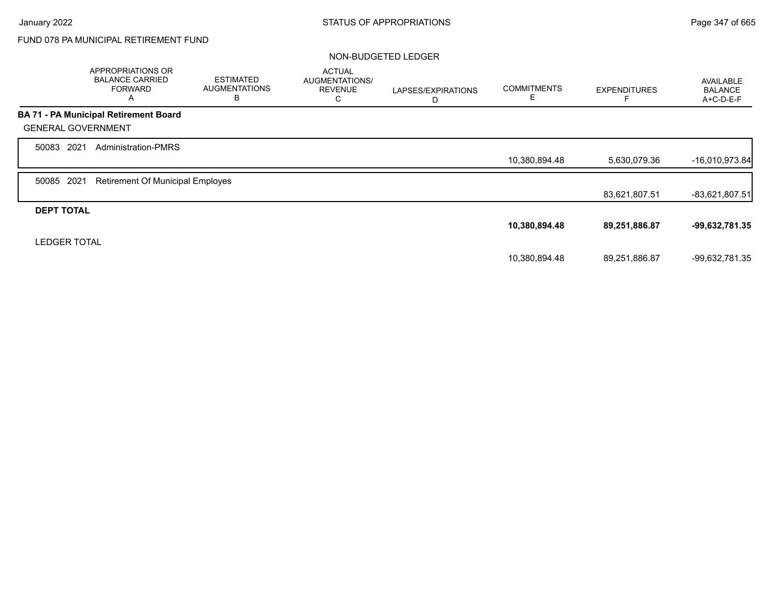# FUND 078 PA MUNICIPAL RETIREMENT FUND

#### NON-BUDGETED LEDGER

|                           | APPROPRIATIONS OR<br><b>BALANCE CARRIED</b><br><b>FORWARD</b><br>A | <b>ESTIMATED</b><br><b>AUGMENTATIONS</b><br>В | <b>ACTUAL</b><br>AUGMENTATIONS/<br><b>REVENUE</b><br>С | LAPSES/EXPIRATIONS<br>D | <b>COMMITMENTS</b><br>Ε | <b>EXPENDITURES</b> | <b>AVAILABLE</b><br><b>BALANCE</b><br>A+C-D-E-F |
|---------------------------|--------------------------------------------------------------------|-----------------------------------------------|--------------------------------------------------------|-------------------------|-------------------------|---------------------|-------------------------------------------------|
|                           | <b>BA 71 - PA Municipal Retirement Board</b>                       |                                               |                                                        |                         |                         |                     |                                                 |
| <b>GENERAL GOVERNMENT</b> |                                                                    |                                               |                                                        |                         |                         |                     |                                                 |
| 2021<br>50083             | <b>Administration-PMRS</b>                                         |                                               |                                                        |                         |                         |                     |                                                 |
|                           |                                                                    |                                               |                                                        |                         | 10,380,894.48           | 5,630,079.36        | $-16,010,973.84$                                |
| 2021<br>50085             | <b>Retirement Of Municipal Employes</b>                            |                                               |                                                        |                         |                         |                     |                                                 |
|                           |                                                                    |                                               |                                                        |                         |                         | 83,621,807.51       | $-83,621,807.51$                                |
| <b>DEPT TOTAL</b>         |                                                                    |                                               |                                                        |                         |                         |                     |                                                 |
|                           |                                                                    |                                               |                                                        |                         | 10,380,894.48           | 89,251,886.87       | -99,632,781.35                                  |
| <b>LEDGER TOTAL</b>       |                                                                    |                                               |                                                        |                         |                         |                     |                                                 |
|                           |                                                                    |                                               |                                                        |                         | 10,380,894.48           | 89.251.886.87       | -99,632,781.35                                  |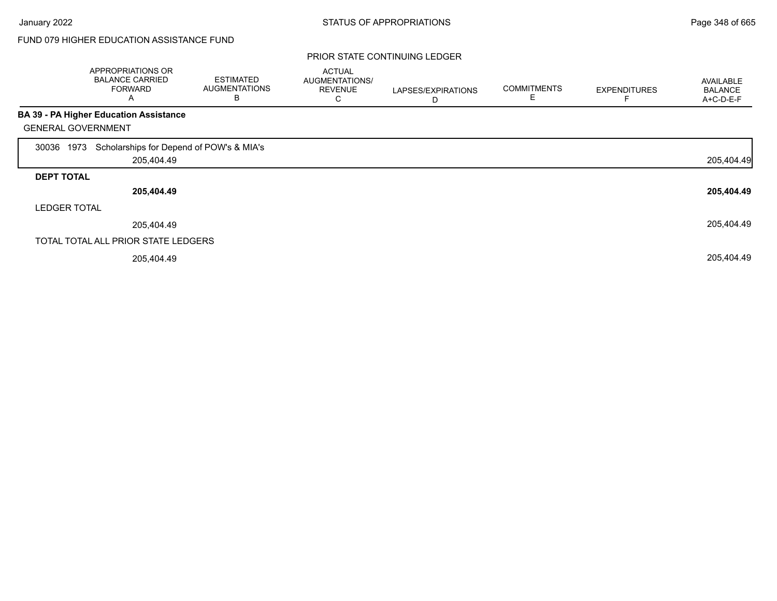#### PRIOR STATE CONTINUING LEDGER

|                           | APPROPRIATIONS OR<br><b>BALANCE CARRIED</b><br><b>FORWARD</b><br>Α | <b>ESTIMATED</b><br><b>AUGMENTATIONS</b><br>В | <b>ACTUAL</b><br>AUGMENTATIONS/<br><b>REVENUE</b><br>С | LAPSES/EXPIRATIONS<br>D | <b>COMMITMENTS</b><br>Ε | <b>EXPENDITURES</b> | AVAILABLE<br><b>BALANCE</b><br>A+C-D-E-F |
|---------------------------|--------------------------------------------------------------------|-----------------------------------------------|--------------------------------------------------------|-------------------------|-------------------------|---------------------|------------------------------------------|
|                           | <b>BA 39 - PA Higher Education Assistance</b>                      |                                               |                                                        |                         |                         |                     |                                          |
| <b>GENERAL GOVERNMENT</b> |                                                                    |                                               |                                                        |                         |                         |                     |                                          |
| 1973<br>30036             | Scholarships for Depend of POW's & MIA's                           |                                               |                                                        |                         |                         |                     |                                          |
|                           | 205,404.49                                                         |                                               |                                                        |                         |                         |                     | 205,404.49                               |
| <b>DEPT TOTAL</b>         |                                                                    |                                               |                                                        |                         |                         |                     |                                          |
|                           | 205,404.49                                                         |                                               |                                                        |                         |                         |                     | 205,404.49                               |
| <b>LEDGER TOTAL</b>       |                                                                    |                                               |                                                        |                         |                         |                     |                                          |
|                           | 205,404.49                                                         |                                               |                                                        |                         |                         |                     | 205,404.49                               |
|                           | TOTAL TOTAL ALL PRIOR STATE LEDGERS                                |                                               |                                                        |                         |                         |                     |                                          |
|                           | 205,404.49                                                         |                                               |                                                        |                         |                         |                     | 205,404.49                               |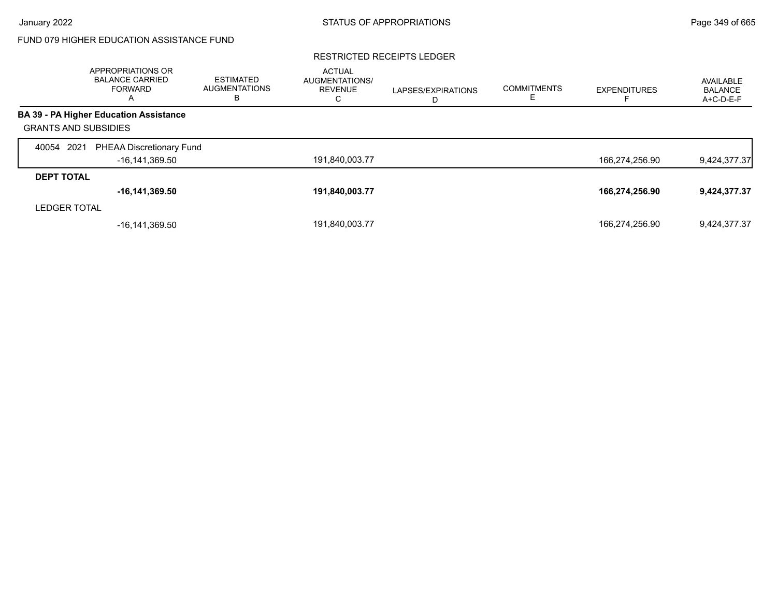#### RESTRICTED RECEIPTS LEDGER

|                             | <b>APPROPRIATIONS OR</b><br><b>BALANCE CARRIED</b><br><b>FORWARD</b><br>A | <b>ESTIMATED</b><br><b>AUGMENTATIONS</b><br>в | <b>ACTUAL</b><br><b>AUGMENTATIONS/</b><br><b>REVENUE</b><br>С | LAPSES/EXPIRATIONS<br>D | <b>COMMITMENTS</b> | <b>EXPENDITURES</b> | AVAILABLE<br><b>BALANCE</b><br>A+C-D-E-F |
|-----------------------------|---------------------------------------------------------------------------|-----------------------------------------------|---------------------------------------------------------------|-------------------------|--------------------|---------------------|------------------------------------------|
|                             | <b>BA 39 - PA Higher Education Assistance</b>                             |                                               |                                                               |                         |                    |                     |                                          |
| <b>GRANTS AND SUBSIDIES</b> |                                                                           |                                               |                                                               |                         |                    |                     |                                          |
| 40054 2021                  | PHEAA Discretionary Fund                                                  |                                               |                                                               |                         |                    |                     |                                          |
|                             | -16,141,369.50                                                            |                                               | 191,840,003.77                                                |                         |                    | 166,274,256.90      | 9,424,377.37                             |
| <b>DEPT TOTAL</b>           |                                                                           |                                               |                                                               |                         |                    |                     |                                          |
|                             | $-16, 141, 369.50$                                                        |                                               | 191,840,003.77                                                |                         |                    | 166,274,256.90      | 9,424,377.37                             |
| <b>LEDGER TOTAL</b>         |                                                                           |                                               |                                                               |                         |                    |                     |                                          |
|                             | -16.141.369.50                                                            |                                               | 191,840,003.77                                                |                         |                    | 166,274,256.90      | 9.424.377.37                             |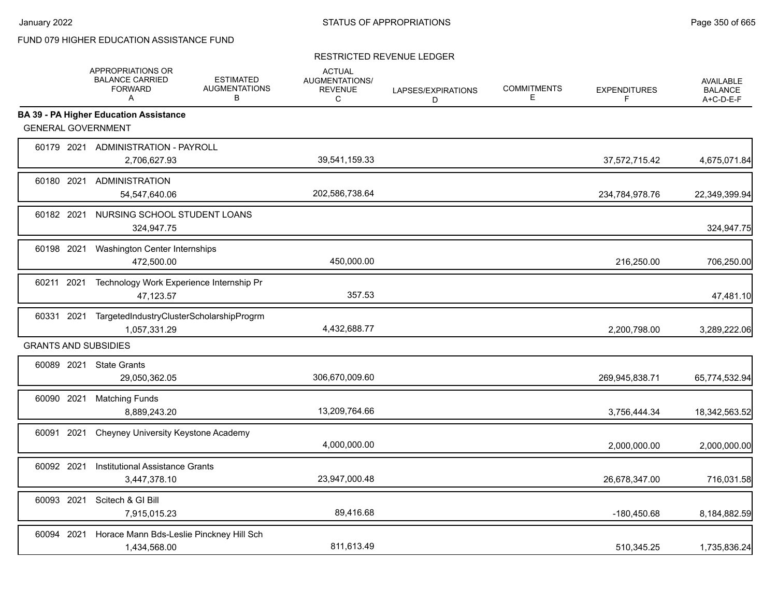#### RESTRICTED REVENUE LEDGER

|            | APPROPRIATIONS OR<br><b>BALANCE CARRIED</b><br><b>FORWARD</b><br>A | <b>ESTIMATED</b><br><b>AUGMENTATIONS</b><br>В | <b>ACTUAL</b><br><b>AUGMENTATIONS/</b><br><b>REVENUE</b><br>C | LAPSES/EXPIRATIONS<br>D | <b>COMMITMENTS</b><br>Е | <b>EXPENDITURES</b><br>F | <b>AVAILABLE</b><br><b>BALANCE</b><br>A+C-D-E-F |
|------------|--------------------------------------------------------------------|-----------------------------------------------|---------------------------------------------------------------|-------------------------|-------------------------|--------------------------|-------------------------------------------------|
|            | <b>BA 39 - PA Higher Education Assistance</b>                      |                                               |                                                               |                         |                         |                          |                                                 |
|            | <b>GENERAL GOVERNMENT</b>                                          |                                               |                                                               |                         |                         |                          |                                                 |
|            | 60179 2021 ADMINISTRATION - PAYROLL<br>2,706,627.93                |                                               | 39,541,159.33                                                 |                         |                         | 37,572,715.42            | 4,675,071.84                                    |
|            | 60180 2021 ADMINISTRATION<br>54,547,640.06                         |                                               | 202,586,738.64                                                |                         |                         | 234,784,978.76           | 22,349,399.94                                   |
| 60182 2021 | 324,947.75                                                         | NURSING SCHOOL STUDENT LOANS                  |                                                               |                         |                         |                          | 324,947.75                                      |
| 60198 2021 | Washington Center Internships<br>472,500.00                        |                                               | 450,000.00                                                    |                         |                         | 216,250.00               | 706,250.00                                      |
| 60211 2021 | 47,123.57                                                          | Technology Work Experience Internship Pr      | 357.53                                                        |                         |                         |                          | 47,481.10                                       |
| 60331 2021 | 1,057,331.29                                                       | TargetedIndustryClusterScholarshipProgrm      | 4,432,688.77                                                  |                         |                         | 2,200,798.00             | 3,289,222.06                                    |
|            | <b>GRANTS AND SUBSIDIES</b>                                        |                                               |                                                               |                         |                         |                          |                                                 |
|            | 60089 2021 State Grants<br>29,050,362.05                           |                                               | 306,670,009.60                                                |                         |                         | 269,945,838.71           | 65,774,532.94                                   |
| 60090 2021 | <b>Matching Funds</b><br>8,889,243.20                              |                                               | 13,209,764.66                                                 |                         |                         | 3,756,444.34             | 18,342,563.52                                   |
| 60091 2021 |                                                                    | Cheyney University Keystone Academy           | 4,000,000.00                                                  |                         |                         | 2,000,000.00             | 2,000,000.00                                    |
| 60092 2021 | <b>Institutional Assistance Grants</b><br>3,447,378.10             |                                               | 23,947,000.48                                                 |                         |                         | 26,678,347.00            | 716,031.58                                      |
| 60093 2021 | Scitech & GI Bill<br>7,915,015.23                                  |                                               | 89,416.68                                                     |                         |                         | $-180,450.68$            | 8,184,882.59                                    |
| 60094 2021 | 1,434,568.00                                                       | Horace Mann Bds-Leslie Pinckney Hill Sch      | 811,613.49                                                    |                         |                         | 510,345.25               | 1,735,836.24                                    |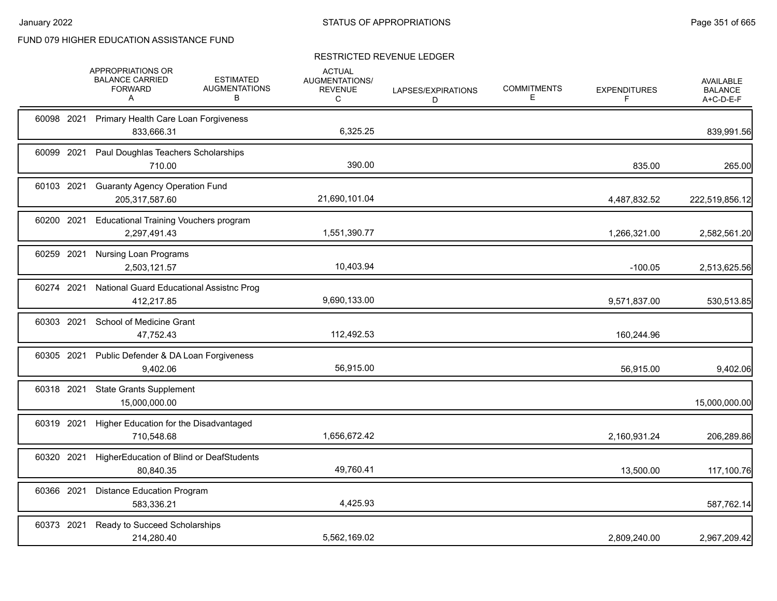## RESTRICTED REVENUE LEDGER

|            | APPROPRIATIONS OR<br><b>BALANCE CARRIED</b><br><b>FORWARD</b><br>A | <b>ESTIMATED</b><br><b>AUGMENTATIONS</b><br>в | <b>ACTUAL</b><br>AUGMENTATIONS/<br><b>REVENUE</b><br>С | LAPSES/EXPIRATIONS<br>D | <b>COMMITMENTS</b><br>Е | <b>EXPENDITURES</b><br>F | <b>AVAILABLE</b><br><b>BALANCE</b><br>A+C-D-E-F |
|------------|--------------------------------------------------------------------|-----------------------------------------------|--------------------------------------------------------|-------------------------|-------------------------|--------------------------|-------------------------------------------------|
|            | 60098 2021 Primary Health Care Loan Forgiveness<br>833,666.31      |                                               | 6,325.25                                               |                         |                         |                          | 839,991.56                                      |
|            | 60099 2021 Paul Doughlas Teachers Scholarships<br>710.00           |                                               | 390.00                                                 |                         |                         | 835.00                   | 265.00                                          |
| 60103 2021 | <b>Guaranty Agency Operation Fund</b><br>205,317,587.60            |                                               | 21,690,101.04                                          |                         |                         | 4,487,832.52             | 222,519,856.12                                  |
| 60200 2021 | <b>Educational Training Vouchers program</b><br>2,297,491.43       |                                               | 1,551,390.77                                           |                         |                         | 1,266,321.00             | 2,582,561.20                                    |
| 60259 2021 | <b>Nursing Loan Programs</b><br>2,503,121.57                       |                                               | 10,403.94                                              |                         |                         | $-100.05$                | 2,513,625.56                                    |
| 60274 2021 | National Guard Educational Assistnc Prog<br>412,217.85             |                                               | 9,690,133.00                                           |                         |                         | 9,571,837.00             | 530,513.85                                      |
| 60303 2021 | School of Medicine Grant<br>47,752.43                              |                                               | 112,492.53                                             |                         |                         | 160,244.96               |                                                 |
| 60305 2021 | Public Defender & DA Loan Forgiveness<br>9,402.06                  |                                               | 56,915.00                                              |                         |                         | 56,915.00                | 9,402.06                                        |
| 60318 2021 | <b>State Grants Supplement</b><br>15,000,000.00                    |                                               |                                                        |                         |                         |                          | 15,000,000.00                                   |
| 60319 2021 | Higher Education for the Disadvantaged<br>710,548.68               |                                               | 1,656,672.42                                           |                         |                         | 2,160,931.24             | 206,289.86                                      |
| 60320 2021 | HigherEducation of Blind or DeafStudents<br>80,840.35              |                                               | 49,760.41                                              |                         |                         | 13,500.00                | 117,100.76                                      |
| 60366 2021 | <b>Distance Education Program</b><br>583,336.21                    |                                               | 4,425.93                                               |                         |                         |                          | 587,762.14                                      |
| 60373 2021 | Ready to Succeed Scholarships<br>214,280.40                        |                                               | 5,562,169.02                                           |                         |                         | 2,809,240.00             | 2,967,209.42                                    |
|            |                                                                    |                                               |                                                        |                         |                         |                          |                                                 |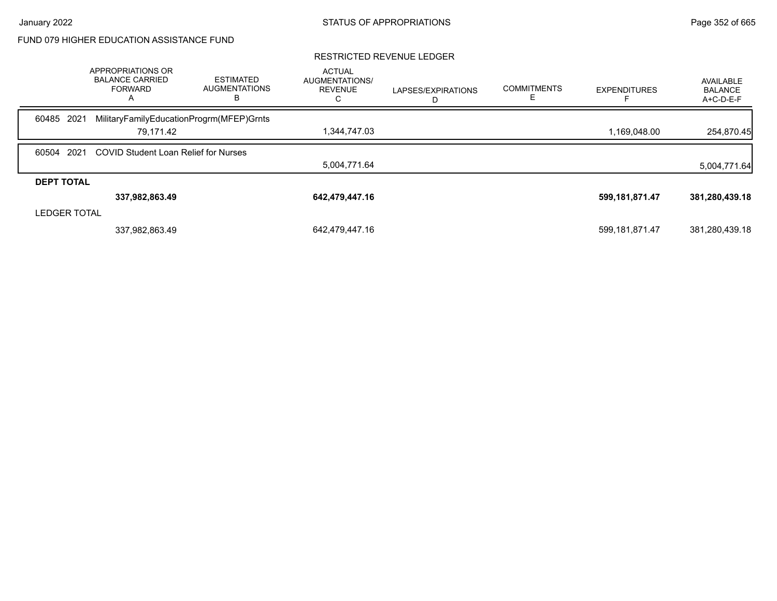#### RESTRICTED REVENUE LEDGER ACTUAL AUGMENTATIONS/ REVENUE C LAPSES/EXPIRATIONS D COMMITMENTS E EXPENDITURES F AVAILABLE BALANCE A+C-D-E-F APPROPRIATIONS OR BALANCE CARRIED FORWARD A ESTIMATED AUGMENTATIONS B 60485 2021 MilitaryFamilyEducationProgrm(MFEP)Grnts 79,171.42 1,344,747.03 1,169,048.00 254,870.45 60504 2021 COVID Student Loan Relief for Nurses 5,004,771.64 5,004,771.64 **DEPT TOTAL 337,982,863.49 642,479,447.16 599,181,871.47 381,280,439.18** LEDGER TOTAL 337,982,863.49 642,479,447.16 599,181,871.47 381,280,439.18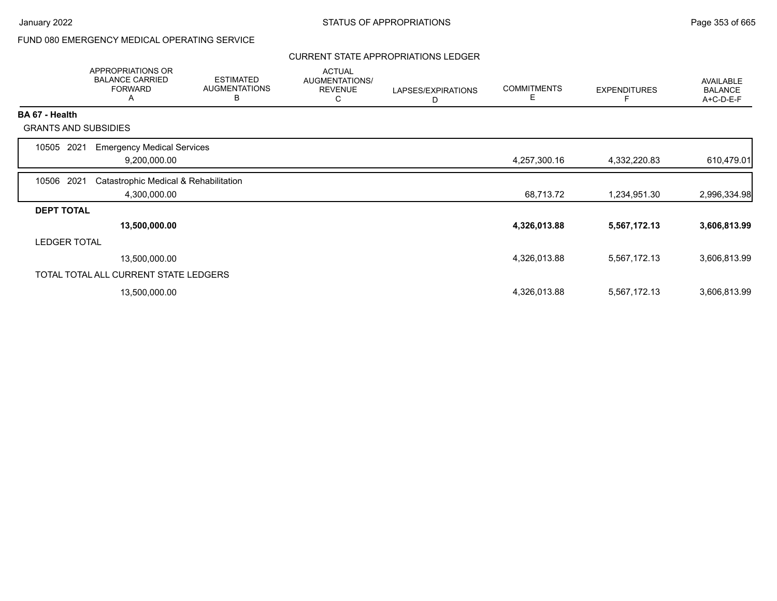# FUND 080 EMERGENCY MEDICAL OPERATING SERVICE

### CURRENT STATE APPROPRIATIONS LEDGER

|                             | <b>APPROPRIATIONS OR</b><br><b>BALANCE CARRIED</b><br><b>FORWARD</b><br>A | <b>ESTIMATED</b><br><b>AUGMENTATIONS</b><br>B | <b>ACTUAL</b><br>AUGMENTATIONS/<br><b>REVENUE</b><br>C | LAPSES/EXPIRATIONS<br>D | <b>COMMITMENTS</b><br>Е | <b>EXPENDITURES</b><br>F | AVAILABLE<br><b>BALANCE</b><br>A+C-D-E-F |
|-----------------------------|---------------------------------------------------------------------------|-----------------------------------------------|--------------------------------------------------------|-------------------------|-------------------------|--------------------------|------------------------------------------|
| <b>BA 67 - Health</b>       |                                                                           |                                               |                                                        |                         |                         |                          |                                          |
| <b>GRANTS AND SUBSIDIES</b> |                                                                           |                                               |                                                        |                         |                         |                          |                                          |
| 10505<br>2021               | <b>Emergency Medical Services</b>                                         |                                               |                                                        |                         |                         |                          |                                          |
|                             | 9,200,000.00                                                              |                                               |                                                        |                         | 4,257,300.16            | 4,332,220.83             | 610,479.01                               |
| 10506 2021                  | Catastrophic Medical & Rehabilitation                                     |                                               |                                                        |                         |                         |                          |                                          |
|                             | 4,300,000.00                                                              |                                               |                                                        |                         | 68,713.72               | 1,234,951.30             | 2,996,334.98                             |
| <b>DEPT TOTAL</b>           |                                                                           |                                               |                                                        |                         |                         |                          |                                          |
|                             | 13,500,000.00                                                             |                                               |                                                        |                         | 4,326,013.88            | 5,567,172.13             | 3,606,813.99                             |
| LEDGER TOTAL                |                                                                           |                                               |                                                        |                         |                         |                          |                                          |
|                             | 13,500,000.00                                                             |                                               |                                                        |                         | 4,326,013.88            | 5,567,172.13             | 3,606,813.99                             |
|                             | TOTAL TOTAL ALL CURRENT STATE LEDGERS                                     |                                               |                                                        |                         |                         |                          |                                          |
|                             | 13,500,000.00                                                             |                                               |                                                        |                         | 4,326,013.88            | 5,567,172.13             | 3,606,813.99                             |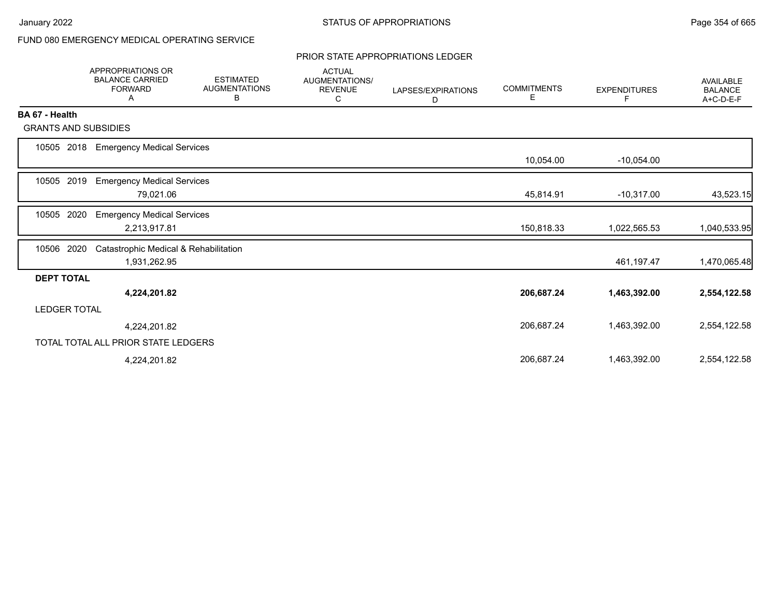# FUND 080 EMERGENCY MEDICAL OPERATING SERVICE

#### PRIOR STATE APPROPRIATIONS LEDGER

|                             | <b>APPROPRIATIONS OR</b><br><b>BALANCE CARRIED</b><br><b>FORWARD</b><br>A | <b>ESTIMATED</b><br><b>AUGMENTATIONS</b><br>В | <b>ACTUAL</b><br><b>AUGMENTATIONS/</b><br><b>REVENUE</b><br>С | LAPSES/EXPIRATIONS<br>D | <b>COMMITMENTS</b><br>Е | <b>EXPENDITURES</b><br>F | <b>AVAILABLE</b><br><b>BALANCE</b><br>A+C-D-E-F |
|-----------------------------|---------------------------------------------------------------------------|-----------------------------------------------|---------------------------------------------------------------|-------------------------|-------------------------|--------------------------|-------------------------------------------------|
| BA 67 - Health              |                                                                           |                                               |                                                               |                         |                         |                          |                                                 |
| <b>GRANTS AND SUBSIDIES</b> |                                                                           |                                               |                                                               |                         |                         |                          |                                                 |
| 10505<br>2018               | <b>Emergency Medical Services</b>                                         |                                               |                                                               |                         |                         |                          |                                                 |
|                             |                                                                           |                                               |                                                               |                         | 10,054.00               | $-10,054.00$             |                                                 |
| 2019<br>10505               | <b>Emergency Medical Services</b><br>79,021.06                            |                                               |                                                               |                         | 45,814.91               | $-10,317.00$             | 43,523.15                                       |
| 10505<br>2020               | <b>Emergency Medical Services</b><br>2,213,917.81                         |                                               |                                                               |                         | 150,818.33              | 1,022,565.53             | 1,040,533.95                                    |
| 2020<br>10506               | Catastrophic Medical & Rehabilitation<br>1,931,262.95                     |                                               |                                                               |                         |                         | 461,197.47               | 1,470,065.48                                    |
| <b>DEPT TOTAL</b>           |                                                                           |                                               |                                                               |                         |                         |                          |                                                 |
|                             | 4,224,201.82                                                              |                                               |                                                               |                         | 206,687.24              | 1,463,392.00             | 2,554,122.58                                    |
| <b>LEDGER TOTAL</b>         |                                                                           |                                               |                                                               |                         |                         |                          |                                                 |
|                             | 4,224,201.82                                                              |                                               |                                                               |                         | 206,687.24              | 1,463,392.00             | 2,554,122.58                                    |
|                             | TOTAL TOTAL ALL PRIOR STATE LEDGERS                                       |                                               |                                                               |                         |                         |                          |                                                 |
|                             | 4,224,201.82                                                              |                                               |                                                               |                         | 206,687.24              | 1,463,392.00             | 2,554,122.58                                    |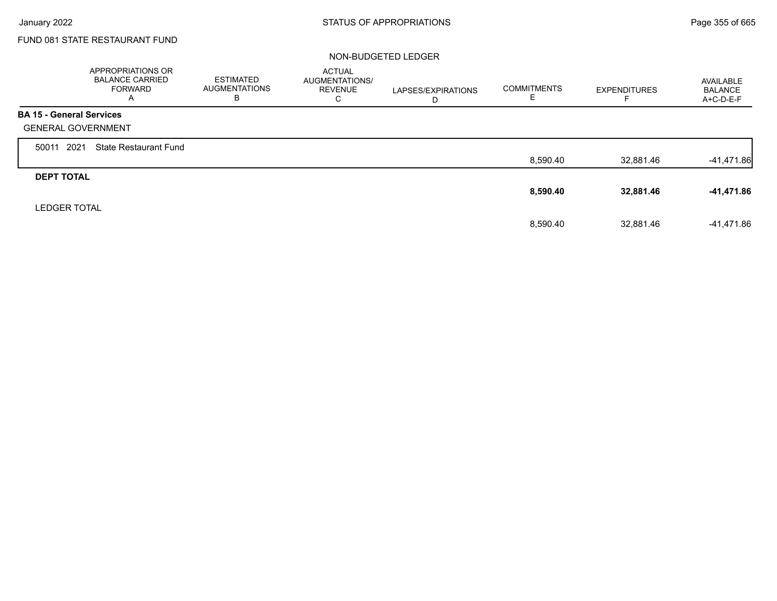Г

# FUND 081 STATE RESTAURANT FUND

#### NON-BUDGETED LEDGER

|                                 | <b>APPROPRIATIONS OR</b><br><b>BALANCE CARRIED</b><br><b>FORWARD</b><br>A | <b>ESTIMATED</b><br><b>AUGMENTATIONS</b><br>в | <b>ACTUAL</b><br>AUGMENTATIONS/<br><b>REVENUE</b><br>С | LAPSES/EXPIRATIONS<br>D | <b>COMMITMENTS</b><br>E | <b>EXPENDITURES</b> | AVAILABLE<br><b>BALANCE</b><br>$A+C-D-E-F$ |
|---------------------------------|---------------------------------------------------------------------------|-----------------------------------------------|--------------------------------------------------------|-------------------------|-------------------------|---------------------|--------------------------------------------|
| <b>BA 15 - General Services</b> |                                                                           |                                               |                                                        |                         |                         |                     |                                            |
| <b>GENERAL GOVERNMENT</b>       |                                                                           |                                               |                                                        |                         |                         |                     |                                            |
| 2021<br>50011                   | <b>State Restaurant Fund</b>                                              |                                               |                                                        |                         |                         |                     |                                            |
|                                 |                                                                           |                                               |                                                        |                         | 8,590.40                | 32,881.46           | $-41,471.86$                               |
| <b>DEPT TOTAL</b>               |                                                                           |                                               |                                                        |                         |                         |                     |                                            |
|                                 |                                                                           |                                               |                                                        |                         | 8,590.40                | 32,881.46           | -41,471.86                                 |
| <b>LEDGER TOTAL</b>             |                                                                           |                                               |                                                        |                         |                         |                     |                                            |
|                                 |                                                                           |                                               |                                                        |                         | 8.590.40                | 32.881.46           | -41,471.86                                 |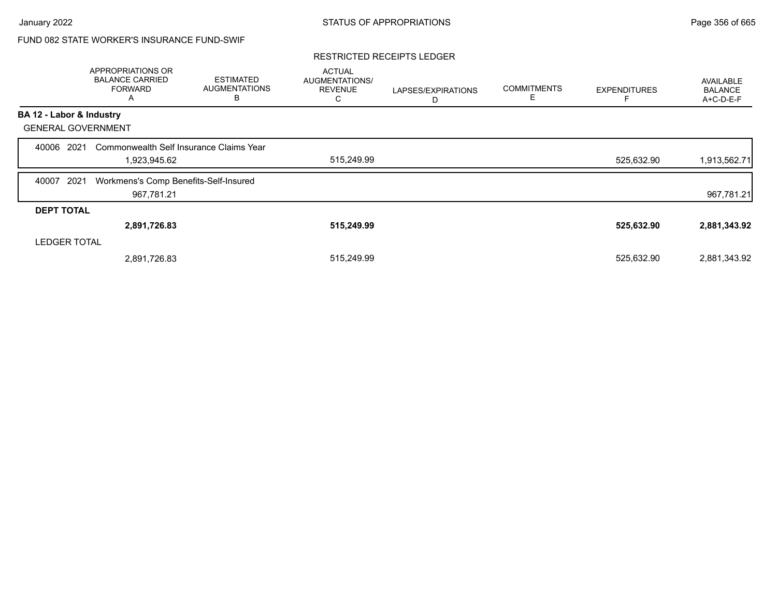# FUND 082 STATE WORKER'S INSURANCE FUND-SWIF

#### RESTRICTED RECEIPTS LEDGER

|                           | APPROPRIATIONS OR<br><b>BALANCE CARRIED</b><br><b>FORWARD</b><br>A | <b>ESTIMATED</b><br><b>AUGMENTATIONS</b><br>в | <b>ACTUAL</b><br>AUGMENTATIONS/<br><b>REVENUE</b><br>С | LAPSES/EXPIRATIONS<br>D | <b>COMMITMENTS</b><br>Е | <b>EXPENDITURES</b> | AVAILABLE<br><b>BALANCE</b><br>A+C-D-E-F |
|---------------------------|--------------------------------------------------------------------|-----------------------------------------------|--------------------------------------------------------|-------------------------|-------------------------|---------------------|------------------------------------------|
| BA 12 - Labor & Industry  |                                                                    |                                               |                                                        |                         |                         |                     |                                          |
| <b>GENERAL GOVERNMENT</b> |                                                                    |                                               |                                                        |                         |                         |                     |                                          |
| 2021<br>40006             | Commonwealth Self Insurance Claims Year                            |                                               |                                                        |                         |                         |                     |                                          |
|                           | 1,923,945.62                                                       |                                               | 515,249.99                                             |                         |                         | 525,632.90          | 1,913,562.71                             |
| 2021<br>40007             | Workmens's Comp Benefits-Self-Insured                              |                                               |                                                        |                         |                         |                     |                                          |
|                           | 967,781.21                                                         |                                               |                                                        |                         |                         |                     | 967,781.21                               |
| <b>DEPT TOTAL</b>         |                                                                    |                                               |                                                        |                         |                         |                     |                                          |
|                           | 2,891,726.83                                                       |                                               | 515,249.99                                             |                         |                         | 525,632.90          | 2,881,343.92                             |
| <b>LEDGER TOTAL</b>       |                                                                    |                                               |                                                        |                         |                         |                     |                                          |
|                           | 2,891,726.83                                                       |                                               | 515,249.99                                             |                         |                         | 525,632.90          | 2,881,343.92                             |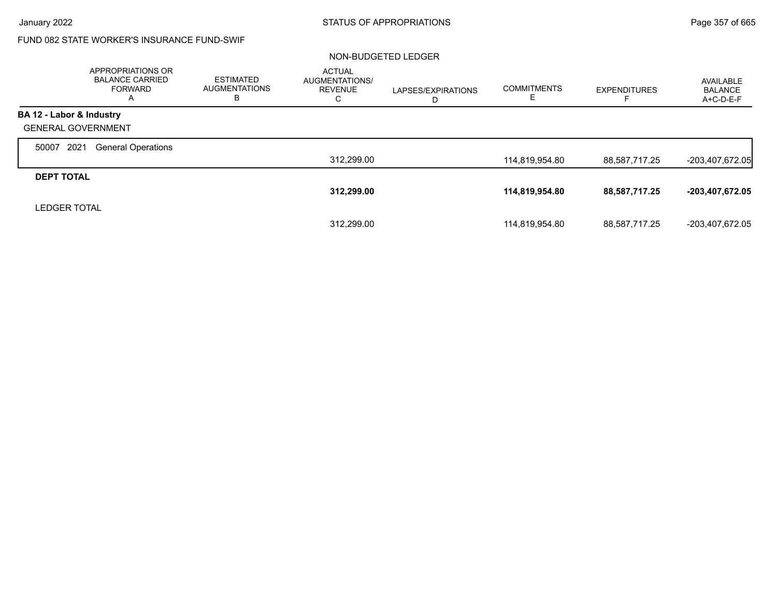# FUND 082 STATE WORKER'S INSURANCE FUND-SWIF

#### NON-BUDGETED LEDGER

|                           | <b>APPROPRIATIONS OR</b><br><b>BALANCE CARRIED</b><br><b>FORWARD</b><br>A | <b>ESTIMATED</b><br><b>AUGMENTATIONS</b><br>ь | <b>ACTUAL</b><br><b>AUGMENTATIONS/</b><br><b>REVENUE</b><br>С | LAPSES/EXPIRATIONS<br>D | <b>COMMITMENTS</b> | <b>EXPENDITURES</b> | AVAILABLE<br><b>BALANCE</b><br>A+C-D-E-F |
|---------------------------|---------------------------------------------------------------------------|-----------------------------------------------|---------------------------------------------------------------|-------------------------|--------------------|---------------------|------------------------------------------|
| BA 12 - Labor & Industry  |                                                                           |                                               |                                                               |                         |                    |                     |                                          |
| <b>GENERAL GOVERNMENT</b> |                                                                           |                                               |                                                               |                         |                    |                     |                                          |
| 2021<br>50007             | <b>General Operations</b>                                                 |                                               |                                                               |                         |                    |                     |                                          |
|                           |                                                                           |                                               | 312,299.00                                                    |                         | 114,819,954.80     | 88,587,717.25       | $-203,407,672.05$                        |
| <b>DEPT TOTAL</b>         |                                                                           |                                               |                                                               |                         |                    |                     |                                          |
|                           |                                                                           |                                               | 312,299.00                                                    |                         | 114,819,954.80     | 88,587,717.25       | -203,407,672.05                          |
| <b>LEDGER TOTAL</b>       |                                                                           |                                               |                                                               |                         |                    |                     |                                          |
|                           |                                                                           |                                               | 312.299.00                                                    |                         | 114,819,954.80     | 88,587,717.25       | -203,407,672.05                          |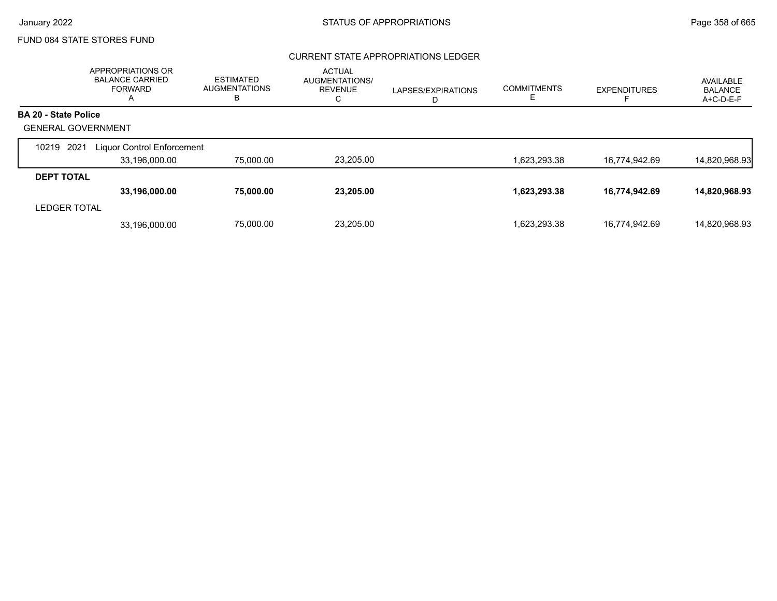## FUND 084 STATE STORES FUND

## CURRENT STATE APPROPRIATIONS LEDGER

|                             | APPROPRIATIONS OR<br><b>BALANCE CARRIED</b><br><b>FORWARD</b><br>$\mathsf{A}$ | <b>ESTIMATED</b><br><b>AUGMENTATIONS</b><br>B | <b>ACTUAL</b><br><b>AUGMENTATIONS/</b><br><b>REVENUE</b><br>◡ | LAPSES/EXPIRATIONS<br>D | <b>COMMITMENTS</b> | <b>EXPENDITURES</b> | AVAILABLE<br><b>BALANCE</b><br>A+C-D-E-F |
|-----------------------------|-------------------------------------------------------------------------------|-----------------------------------------------|---------------------------------------------------------------|-------------------------|--------------------|---------------------|------------------------------------------|
| <b>BA 20 - State Police</b> |                                                                               |                                               |                                                               |                         |                    |                     |                                          |
| <b>GENERAL GOVERNMENT</b>   |                                                                               |                                               |                                                               |                         |                    |                     |                                          |
| 2021<br>10219               | <b>Liquor Control Enforcement</b>                                             |                                               |                                                               |                         |                    |                     |                                          |
|                             | 33,196,000.00                                                                 | 75,000.00                                     | 23,205.00                                                     |                         | 1,623,293.38       | 16,774,942.69       | 14,820,968.93                            |
| <b>DEPT TOTAL</b>           |                                                                               |                                               |                                                               |                         |                    |                     |                                          |
|                             | 33,196,000.00                                                                 | 75,000.00                                     | 23,205.00                                                     |                         | 1,623,293.38       | 16,774,942.69       | 14,820,968.93                            |
| <b>LEDGER TOTAL</b>         |                                                                               |                                               |                                                               |                         |                    |                     |                                          |
|                             | 33.196.000.00                                                                 | 75,000.00                                     | 23.205.00                                                     |                         | 1.623.293.38       | 16.774.942.69       | 14.820.968.93                            |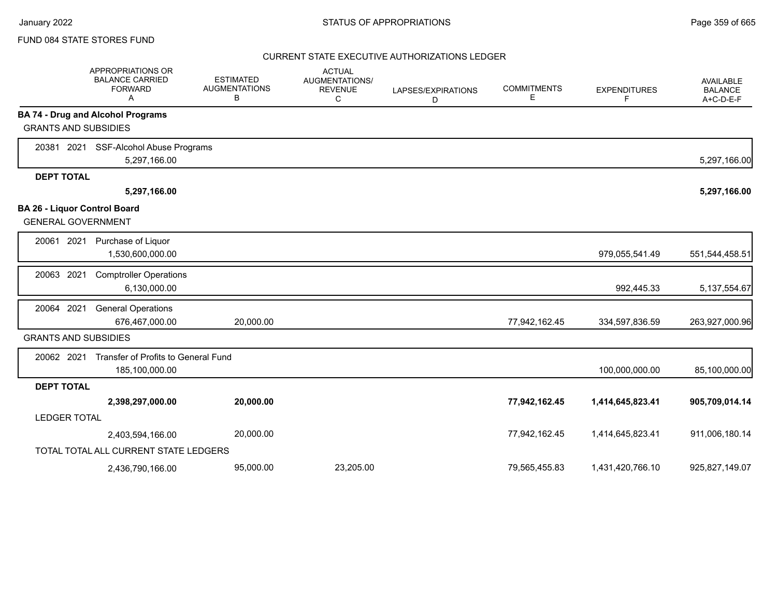#### FUND 084 STATE STORES FUND

#### CURRENT STATE EXECUTIVE AUTHORIZATIONS LEDGER

|                             | <b>APPROPRIATIONS OR</b><br><b>BALANCE CARRIED</b><br><b>FORWARD</b><br>A | <b>ESTIMATED</b><br><b>AUGMENTATIONS</b><br>В | <b>ACTUAL</b><br>AUGMENTATIONS/<br><b>REVENUE</b><br>C | LAPSES/EXPIRATIONS<br>D | <b>COMMITMENTS</b><br>Е | <b>EXPENDITURES</b><br>F. | AVAILABLE<br><b>BALANCE</b><br>A+C-D-E-F |
|-----------------------------|---------------------------------------------------------------------------|-----------------------------------------------|--------------------------------------------------------|-------------------------|-------------------------|---------------------------|------------------------------------------|
|                             | <b>BA 74 - Drug and Alcohol Programs</b>                                  |                                               |                                                        |                         |                         |                           |                                          |
| <b>GRANTS AND SUBSIDIES</b> |                                                                           |                                               |                                                        |                         |                         |                           |                                          |
|                             | 20381 2021 SSF-Alcohol Abuse Programs                                     |                                               |                                                        |                         |                         |                           |                                          |
|                             | 5,297,166.00                                                              |                                               |                                                        |                         |                         |                           | 5,297,166.00                             |
| <b>DEPT TOTAL</b>           |                                                                           |                                               |                                                        |                         |                         |                           |                                          |
|                             | 5,297,166.00                                                              |                                               |                                                        |                         |                         |                           | 5,297,166.00                             |
| <b>GENERAL GOVERNMENT</b>   | <b>BA 26 - Liquor Control Board</b>                                       |                                               |                                                        |                         |                         |                           |                                          |
| 20061 2021                  | Purchase of Liquor<br>1,530,600,000.00                                    |                                               |                                                        |                         |                         | 979,055,541.49            | 551,544,458.51                           |
| 20063 2021                  | <b>Comptroller Operations</b><br>6,130,000.00                             |                                               |                                                        |                         |                         | 992,445.33                | 5, 137, 554. 67                          |
| 20064 2021                  | <b>General Operations</b><br>676,467,000.00                               | 20,000.00                                     |                                                        |                         | 77,942,162.45           | 334,597,836.59            | 263,927,000.96                           |
| <b>GRANTS AND SUBSIDIES</b> |                                                                           |                                               |                                                        |                         |                         |                           |                                          |
| 20062 2021                  | Transfer of Profits to General Fund<br>185,100,000.00                     |                                               |                                                        |                         |                         | 100,000,000.00            | 85,100,000.00                            |
| <b>DEPT TOTAL</b>           |                                                                           |                                               |                                                        |                         |                         |                           |                                          |
|                             | 2,398,297,000.00                                                          | 20,000.00                                     |                                                        |                         | 77,942,162.45           | 1,414,645,823.41          | 905,709,014.14                           |
| <b>LEDGER TOTAL</b>         |                                                                           |                                               |                                                        |                         |                         |                           |                                          |
|                             | 2,403,594,166.00                                                          | 20,000.00                                     |                                                        |                         | 77,942,162.45           | 1,414,645,823.41          | 911,006,180.14                           |
|                             | TOTAL TOTAL ALL CURRENT STATE LEDGERS                                     |                                               |                                                        |                         |                         |                           |                                          |
|                             | 2,436,790,166.00                                                          | 95,000.00                                     | 23,205.00                                              |                         | 79,565,455.83           | 1,431,420,766.10          | 925,827,149.07                           |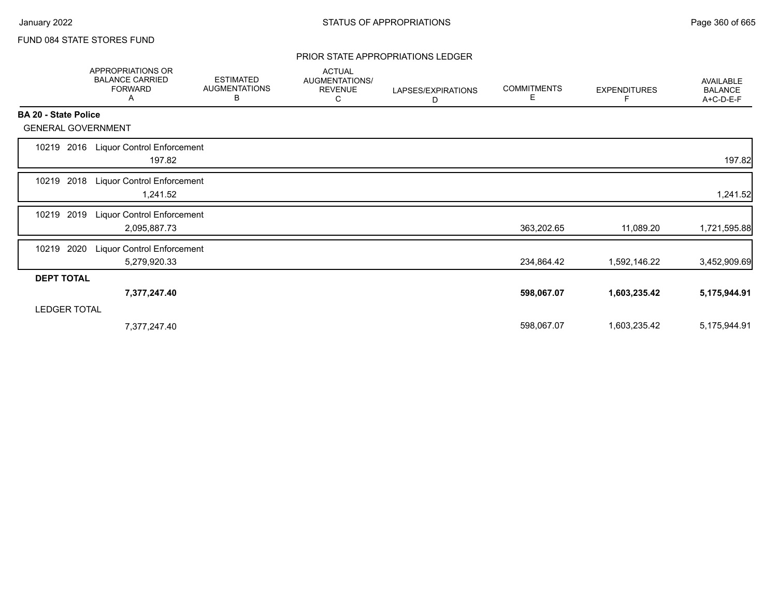## FUND 084 STATE STORES FUND

#### PRIOR STATE APPROPRIATIONS LEDGER

|                             | APPROPRIATIONS OR<br><b>BALANCE CARRIED</b><br><b>FORWARD</b><br>A | <b>ESTIMATED</b><br><b>AUGMENTATIONS</b><br>В | <b>ACTUAL</b><br>AUGMENTATIONS/<br><b>REVENUE</b><br>С | LAPSES/EXPIRATIONS<br>D | <b>COMMITMENTS</b><br>Е | <b>EXPENDITURES</b><br>F | <b>AVAILABLE</b><br><b>BALANCE</b><br>A+C-D-E-F |
|-----------------------------|--------------------------------------------------------------------|-----------------------------------------------|--------------------------------------------------------|-------------------------|-------------------------|--------------------------|-------------------------------------------------|
| <b>BA 20 - State Police</b> |                                                                    |                                               |                                                        |                         |                         |                          |                                                 |
| <b>GENERAL GOVERNMENT</b>   |                                                                    |                                               |                                                        |                         |                         |                          |                                                 |
| 10219 2016                  | <b>Liquor Control Enforcement</b><br>197.82                        |                                               |                                                        |                         |                         |                          | 197.82                                          |
| 2018<br>10219               | <b>Liquor Control Enforcement</b><br>1,241.52                      |                                               |                                                        |                         |                         |                          | 1,241.52                                        |
| 2019<br>10219               | Liquor Control Enforcement<br>2,095,887.73                         |                                               |                                                        |                         | 363,202.65              | 11,089.20                | 1,721,595.88                                    |
| 2020<br>10219               | <b>Liquor Control Enforcement</b><br>5,279,920.33                  |                                               |                                                        |                         | 234,864.42              | 1,592,146.22             | 3,452,909.69                                    |
| <b>DEPT TOTAL</b>           |                                                                    |                                               |                                                        |                         |                         |                          |                                                 |
|                             | 7,377,247.40                                                       |                                               |                                                        |                         | 598,067.07              | 1,603,235.42             | 5,175,944.91                                    |
| <b>LEDGER TOTAL</b>         |                                                                    |                                               |                                                        |                         |                         |                          |                                                 |
|                             | 7,377,247.40                                                       |                                               |                                                        |                         | 598,067.07              | 1,603,235.42             | 5,175,944.91                                    |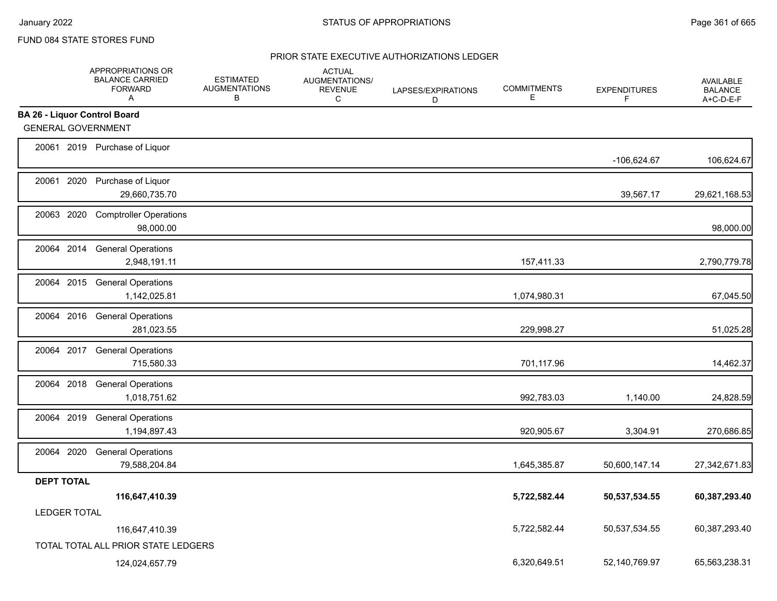## FUND 084 STATE STORES FUND

|                                     | APPROPRIATIONS OR<br><b>BALANCE CARRIED</b><br><b>FORWARD</b><br>A | <b>ESTIMATED</b><br><b>AUGMENTATIONS</b><br>B | <b>ACTUAL</b><br><b>AUGMENTATIONS/</b><br><b>REVENUE</b><br>C | LAPSES/EXPIRATIONS<br>D | <b>COMMITMENTS</b><br>E | <b>EXPENDITURES</b><br>F | <b>AVAILABLE</b><br><b>BALANCE</b><br>A+C-D-E-F |
|-------------------------------------|--------------------------------------------------------------------|-----------------------------------------------|---------------------------------------------------------------|-------------------------|-------------------------|--------------------------|-------------------------------------------------|
| <b>BA 26 - Liquor Control Board</b> |                                                                    |                                               |                                                               |                         |                         |                          |                                                 |
| <b>GENERAL GOVERNMENT</b>           |                                                                    |                                               |                                                               |                         |                         |                          |                                                 |
|                                     | 20061 2019 Purchase of Liquor                                      |                                               |                                                               |                         |                         | -106,624.67              | 106,624.67                                      |
|                                     | 20061 2020 Purchase of Liquor<br>29,660,735.70                     |                                               |                                                               |                         |                         | 39,567.17                | 29,621,168.53                                   |
| 20063 2020                          | <b>Comptroller Operations</b><br>98,000.00                         |                                               |                                                               |                         |                         |                          | 98,000.00                                       |
|                                     | 20064 2014 General Operations<br>2,948,191.11                      |                                               |                                                               |                         | 157,411.33              |                          | 2,790,779.78                                    |
|                                     | 20064 2015 General Operations<br>1,142,025.81                      |                                               |                                                               |                         | 1,074,980.31            |                          | 67,045.50                                       |
|                                     | 20064 2016 General Operations<br>281,023.55                        |                                               |                                                               |                         | 229,998.27              |                          | 51,025.28                                       |
|                                     | 20064 2017 General Operations<br>715,580.33                        |                                               |                                                               |                         | 701,117.96              |                          | 14,462.37                                       |
|                                     | 20064 2018 General Operations<br>1,018,751.62                      |                                               |                                                               |                         | 992,783.03              | 1,140.00                 | 24,828.59                                       |
|                                     | 20064 2019 General Operations<br>1,194,897.43                      |                                               |                                                               |                         | 920,905.67              | 3,304.91                 | 270,686.85                                      |
| 20064 2020                          | <b>General Operations</b><br>79,588,204.84                         |                                               |                                                               |                         | 1,645,385.87            | 50,600,147.14            | 27,342,671.83                                   |
| <b>DEPT TOTAL</b>                   |                                                                    |                                               |                                                               |                         |                         |                          |                                                 |
|                                     | 116,647,410.39                                                     |                                               |                                                               |                         | 5,722,582.44            | 50,537,534.55            | 60,387,293.40                                   |
| <b>LEDGER TOTAL</b>                 |                                                                    |                                               |                                                               |                         |                         |                          |                                                 |
|                                     | 116,647,410.39                                                     |                                               |                                                               |                         | 5,722,582.44            | 50,537,534.55            | 60,387,293.40                                   |
|                                     | TOTAL TOTAL ALL PRIOR STATE LEDGERS                                |                                               |                                                               |                         |                         |                          |                                                 |
|                                     | 124,024,657.79                                                     |                                               |                                                               |                         | 6,320,649.51            | 52,140,769.97            | 65,563,238.31                                   |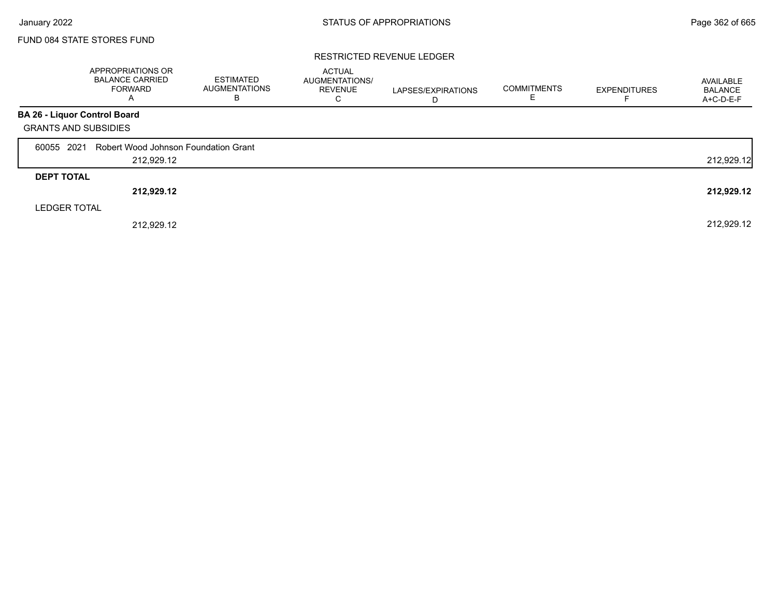## FUND 084 STATE STORES FUND

### RESTRICTED REVENUE LEDGER

|                              | APPROPRIATIONS OR<br><b>BALANCE CARRIED</b><br><b>FORWARD</b><br>$\overline{\mathsf{A}}$ | ESTIMATED<br><b>AUGMENTATIONS</b><br>в | <b>ACTUAL</b><br>AUGMENTATIONS/<br><b>REVENUE</b><br>С | LAPSES/EXPIRATIONS | <b>COMMITMENTS</b> | <b>EXPENDITURES</b> | AVAILABLE<br><b>BALANCE</b><br>A+C-D-E-F |
|------------------------------|------------------------------------------------------------------------------------------|----------------------------------------|--------------------------------------------------------|--------------------|--------------------|---------------------|------------------------------------------|
| BA 26 - Liquor Control Board |                                                                                          |                                        |                                                        |                    |                    |                     |                                          |
| <b>GRANTS AND SUBSIDIES</b>  |                                                                                          |                                        |                                                        |                    |                    |                     |                                          |
| 60055 2021                   | Robert Wood Johnson Foundation Grant                                                     |                                        |                                                        |                    |                    |                     |                                          |
|                              | 212,929.12                                                                               |                                        |                                                        |                    |                    |                     | 212,929.12                               |
| <b>DEPT TOTAL</b>            |                                                                                          |                                        |                                                        |                    |                    |                     |                                          |
|                              | 212,929.12                                                                               |                                        |                                                        |                    |                    |                     | 212,929.12                               |
| <b>LEDGER TOTAL</b>          |                                                                                          |                                        |                                                        |                    |                    |                     |                                          |
|                              | 212.929.12                                                                               |                                        |                                                        |                    |                    |                     | 212,929.12                               |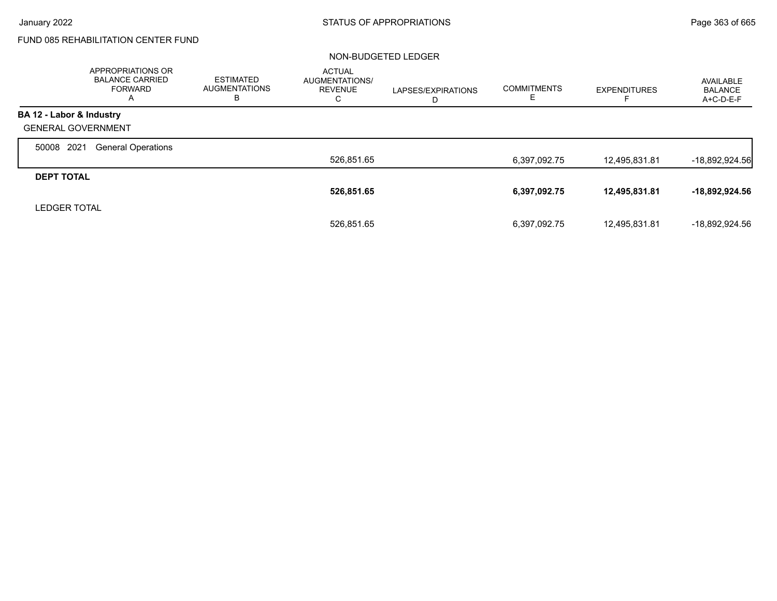# FUND 085 REHABILITATION CENTER FUND

### NON-BUDGETED LEDGER

|                           | <b>APPROPRIATIONS OR</b><br><b>BALANCE CARRIED</b><br><b>FORWARD</b><br>A | <b>ESTIMATED</b><br><b>AUGMENTATIONS</b><br>в | <b>ACTUAL</b><br><b>AUGMENTATIONS/</b><br><b>REVENUE</b><br>С | LAPSES/EXPIRATIONS<br>D | <b>COMMITMENTS</b><br>ᄂ | <b>EXPENDITURES</b> | AVAILABLE<br><b>BALANCE</b><br>A+C-D-E-F |
|---------------------------|---------------------------------------------------------------------------|-----------------------------------------------|---------------------------------------------------------------|-------------------------|-------------------------|---------------------|------------------------------------------|
| BA 12 - Labor & Industry  |                                                                           |                                               |                                                               |                         |                         |                     |                                          |
| <b>GENERAL GOVERNMENT</b> |                                                                           |                                               |                                                               |                         |                         |                     |                                          |
| 2021<br>50008             | <b>General Operations</b>                                                 |                                               |                                                               |                         |                         |                     |                                          |
|                           |                                                                           |                                               | 526,851.65                                                    |                         | 6,397,092.75            | 12,495,831.81       | $-18,892,924.56$                         |
| <b>DEPT TOTAL</b>         |                                                                           |                                               |                                                               |                         |                         |                     |                                          |
|                           |                                                                           |                                               | 526,851.65                                                    |                         | 6,397,092.75            | 12,495,831.81       | $-18,892,924.56$                         |
| <b>LEDGER TOTAL</b>       |                                                                           |                                               |                                                               |                         |                         |                     |                                          |
|                           |                                                                           |                                               | 526.851.65                                                    |                         | 6,397,092.75            | 12,495,831.81       | -18.892.924.56                           |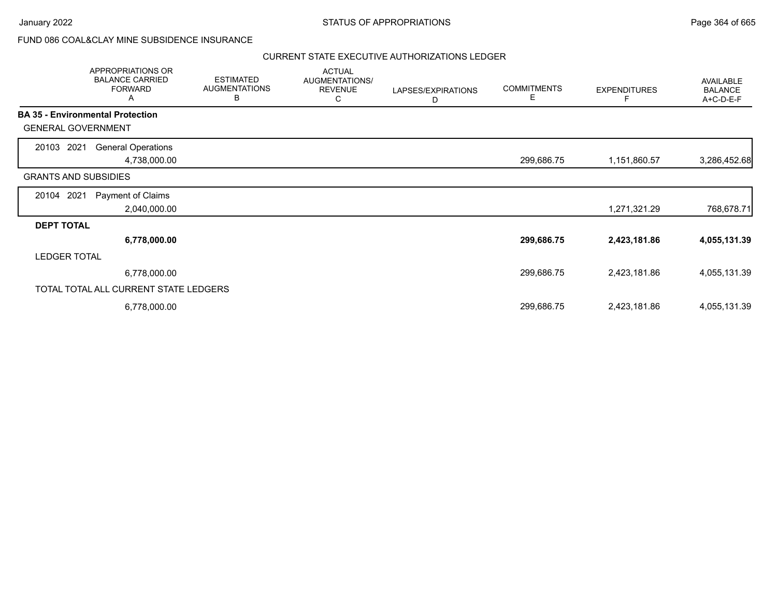## FUND 086 COAL&CLAY MINE SUBSIDENCE INSURANCE

|                                         | APPROPRIATIONS OR<br><b>BALANCE CARRIED</b><br><b>FORWARD</b><br>A | <b>ESTIMATED</b><br><b>AUGMENTATIONS</b><br>B | <b>ACTUAL</b><br>AUGMENTATIONS/<br><b>REVENUE</b><br>С | LAPSES/EXPIRATIONS<br>D | <b>COMMITMENTS</b><br>Е | <b>EXPENDITURES</b> | AVAILABLE<br><b>BALANCE</b><br>A+C-D-E-F |
|-----------------------------------------|--------------------------------------------------------------------|-----------------------------------------------|--------------------------------------------------------|-------------------------|-------------------------|---------------------|------------------------------------------|
| <b>BA 35 - Environmental Protection</b> |                                                                    |                                               |                                                        |                         |                         |                     |                                          |
| <b>GENERAL GOVERNMENT</b>               |                                                                    |                                               |                                                        |                         |                         |                     |                                          |
| 20103 2021                              | <b>General Operations</b>                                          |                                               |                                                        |                         |                         |                     |                                          |
|                                         | 4,738,000.00                                                       |                                               |                                                        |                         | 299,686.75              | 1,151,860.57        | 3,286,452.68                             |
| <b>GRANTS AND SUBSIDIES</b>             |                                                                    |                                               |                                                        |                         |                         |                     |                                          |
| 20104 2021                              | Payment of Claims                                                  |                                               |                                                        |                         |                         |                     |                                          |
|                                         | 2,040,000.00                                                       |                                               |                                                        |                         |                         | 1,271,321.29        | 768,678.71                               |
| <b>DEPT TOTAL</b>                       |                                                                    |                                               |                                                        |                         |                         |                     |                                          |
|                                         | 6,778,000.00                                                       |                                               |                                                        |                         | 299,686.75              | 2,423,181.86        | 4,055,131.39                             |
| <b>LEDGER TOTAL</b>                     |                                                                    |                                               |                                                        |                         |                         |                     |                                          |
|                                         | 6,778,000.00                                                       |                                               |                                                        |                         | 299,686.75              | 2,423,181.86        | 4,055,131.39                             |
|                                         | TOTAL TOTAL ALL CURRENT STATE LEDGERS                              |                                               |                                                        |                         |                         |                     |                                          |
|                                         | 6,778,000.00                                                       |                                               |                                                        |                         | 299,686.75              | 2,423,181.86        | 4,055,131.39                             |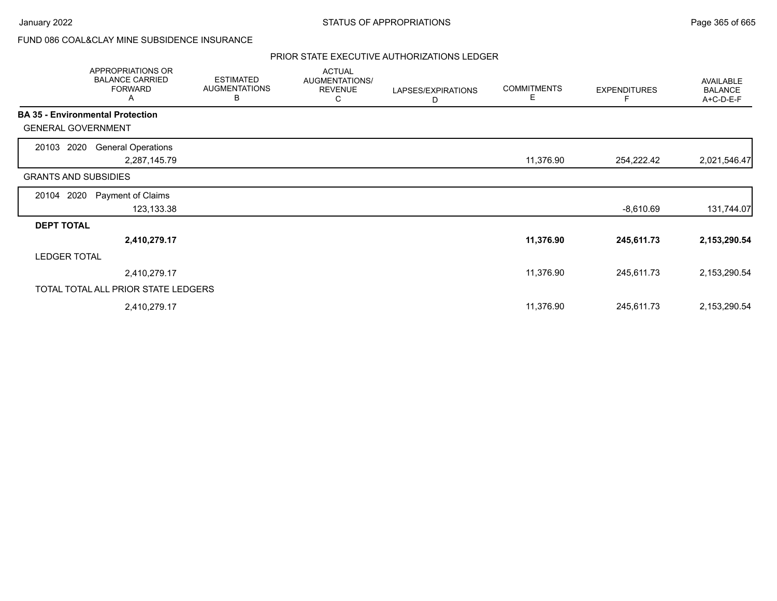## FUND 086 COAL&CLAY MINE SUBSIDENCE INSURANCE

|                                         | APPROPRIATIONS OR<br><b>BALANCE CARRIED</b><br><b>FORWARD</b><br>A | <b>ESTIMATED</b><br><b>AUGMENTATIONS</b><br>B | <b>ACTUAL</b><br>AUGMENTATIONS/<br><b>REVENUE</b><br>С | LAPSES/EXPIRATIONS<br>D | <b>COMMITMENTS</b><br>Е | <b>EXPENDITURES</b><br>F | <b>AVAILABLE</b><br><b>BALANCE</b><br>A+C-D-E-F |
|-----------------------------------------|--------------------------------------------------------------------|-----------------------------------------------|--------------------------------------------------------|-------------------------|-------------------------|--------------------------|-------------------------------------------------|
| <b>BA 35 - Environmental Protection</b> |                                                                    |                                               |                                                        |                         |                         |                          |                                                 |
| <b>GENERAL GOVERNMENT</b>               |                                                                    |                                               |                                                        |                         |                         |                          |                                                 |
| 20103 2020                              | <b>General Operations</b>                                          |                                               |                                                        |                         |                         |                          |                                                 |
|                                         | 2,287,145.79                                                       |                                               |                                                        |                         | 11,376.90               | 254,222.42               | 2,021,546.47                                    |
| <b>GRANTS AND SUBSIDIES</b>             |                                                                    |                                               |                                                        |                         |                         |                          |                                                 |
| 20104 2020                              | Payment of Claims                                                  |                                               |                                                        |                         |                         |                          |                                                 |
|                                         | 123,133.38                                                         |                                               |                                                        |                         |                         | $-8,610.69$              | 131,744.07                                      |
| <b>DEPT TOTAL</b>                       |                                                                    |                                               |                                                        |                         |                         |                          |                                                 |
|                                         | 2,410,279.17                                                       |                                               |                                                        |                         | 11,376.90               | 245,611.73               | 2,153,290.54                                    |
| <b>LEDGER TOTAL</b>                     |                                                                    |                                               |                                                        |                         |                         |                          |                                                 |
|                                         | 2,410,279.17                                                       |                                               |                                                        |                         | 11,376.90               | 245,611.73               | 2,153,290.54                                    |
|                                         | TOTAL TOTAL ALL PRIOR STATE LEDGERS                                |                                               |                                                        |                         |                         |                          |                                                 |
|                                         | 2,410,279.17                                                       |                                               |                                                        |                         | 11,376.90               | 245,611.73               | 2,153,290.54                                    |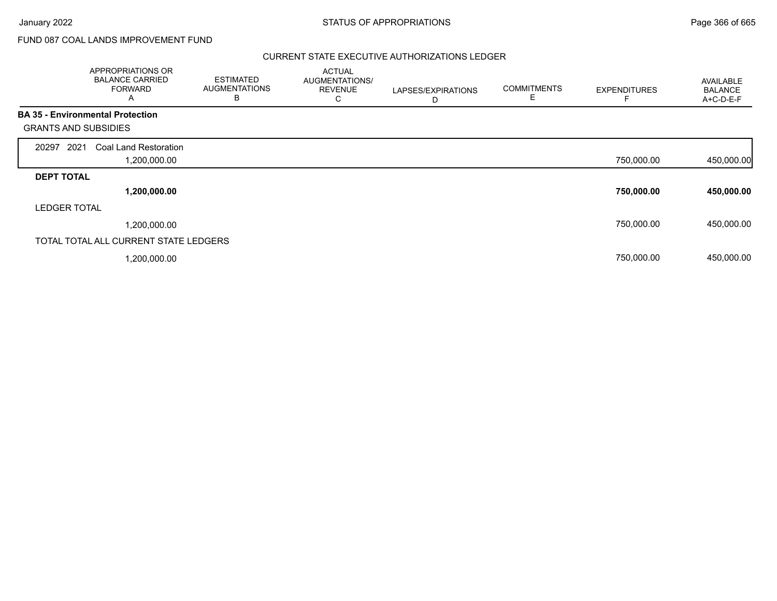# FUND 087 COAL LANDS IMPROVEMENT FUND

|                             | APPROPRIATIONS OR<br><b>BALANCE CARRIED</b><br><b>FORWARD</b><br>A | <b>ESTIMATED</b><br><b>AUGMENTATIONS</b><br>В | <b>ACTUAL</b><br>AUGMENTATIONS/<br><b>REVENUE</b><br>С | LAPSES/EXPIRATIONS<br>D | <b>COMMITMENTS</b><br>Е | <b>EXPENDITURES</b> | AVAILABLE<br><b>BALANCE</b><br>A+C-D-E-F |
|-----------------------------|--------------------------------------------------------------------|-----------------------------------------------|--------------------------------------------------------|-------------------------|-------------------------|---------------------|------------------------------------------|
|                             | <b>BA 35 - Environmental Protection</b>                            |                                               |                                                        |                         |                         |                     |                                          |
| <b>GRANTS AND SUBSIDIES</b> |                                                                    |                                               |                                                        |                         |                         |                     |                                          |
| 2021<br>20297               | Coal Land Restoration                                              |                                               |                                                        |                         |                         |                     |                                          |
|                             | 1,200,000.00                                                       |                                               |                                                        |                         |                         | 750,000.00          | 450,000.00                               |
| <b>DEPT TOTAL</b>           |                                                                    |                                               |                                                        |                         |                         |                     |                                          |
|                             | 1,200,000.00                                                       |                                               |                                                        |                         |                         | 750,000.00          | 450,000.00                               |
| <b>LEDGER TOTAL</b>         |                                                                    |                                               |                                                        |                         |                         |                     |                                          |
|                             | 1,200,000.00                                                       |                                               |                                                        |                         |                         | 750,000.00          | 450,000.00                               |
|                             | TOTAL TOTAL ALL CURRENT STATE LEDGERS                              |                                               |                                                        |                         |                         |                     |                                          |
|                             | ,200,000.00                                                        |                                               |                                                        |                         |                         | 750,000.00          | 450,000.00                               |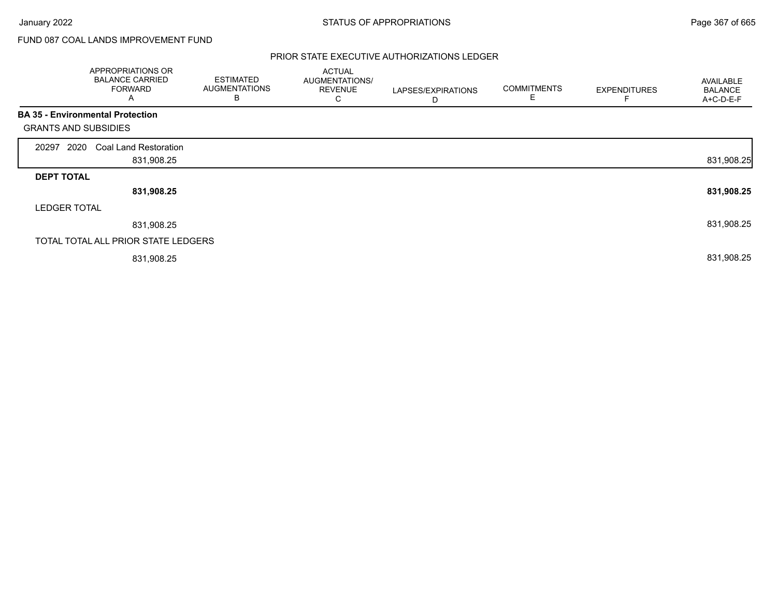# FUND 087 COAL LANDS IMPROVEMENT FUND

|                             | APPROPRIATIONS OR<br><b>BALANCE CARRIED</b><br><b>FORWARD</b><br>A | <b>ESTIMATED</b><br><b>AUGMENTATIONS</b><br>В | <b>ACTUAL</b><br>AUGMENTATIONS/<br><b>REVENUE</b><br>С | LAPSES/EXPIRATIONS<br>D | <b>COMMITMENTS</b><br>E | <b>EXPENDITURES</b> | AVAILABLE<br><b>BALANCE</b><br>A+C-D-E-F |
|-----------------------------|--------------------------------------------------------------------|-----------------------------------------------|--------------------------------------------------------|-------------------------|-------------------------|---------------------|------------------------------------------|
|                             | <b>BA 35 - Environmental Protection</b>                            |                                               |                                                        |                         |                         |                     |                                          |
| <b>GRANTS AND SUBSIDIES</b> |                                                                    |                                               |                                                        |                         |                         |                     |                                          |
| 2020<br>20297               | <b>Coal Land Restoration</b>                                       |                                               |                                                        |                         |                         |                     |                                          |
|                             | 831,908.25                                                         |                                               |                                                        |                         |                         |                     | 831,908.25                               |
| <b>DEPT TOTAL</b>           |                                                                    |                                               |                                                        |                         |                         |                     |                                          |
|                             | 831,908.25                                                         |                                               |                                                        |                         |                         |                     | 831,908.25                               |
| <b>LEDGER TOTAL</b>         |                                                                    |                                               |                                                        |                         |                         |                     |                                          |
|                             | 831,908.25                                                         |                                               |                                                        |                         |                         |                     | 831,908.25                               |
|                             | TOTAL TOTAL ALL PRIOR STATE LEDGERS                                |                                               |                                                        |                         |                         |                     |                                          |
|                             | 831,908.25                                                         |                                               |                                                        |                         |                         |                     | 831,908.25                               |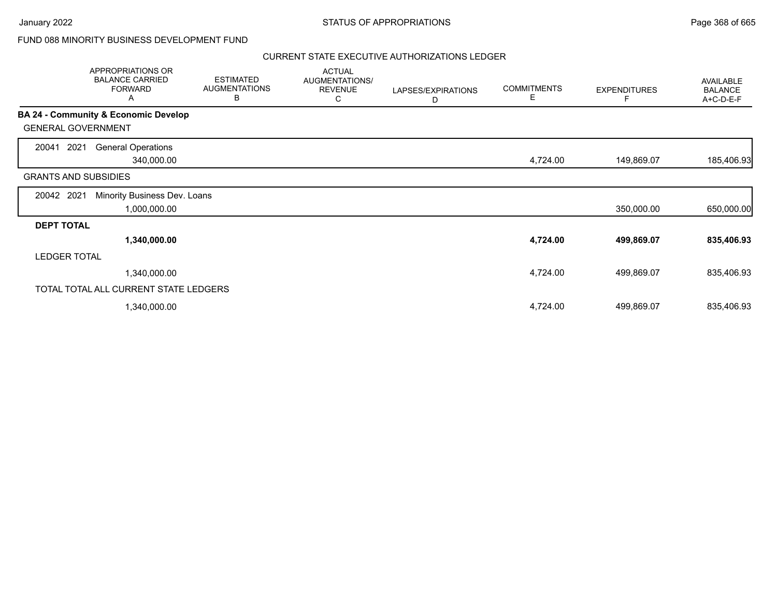## FUND 088 MINORITY BUSINESS DEVELOPMENT FUND

|                             | APPROPRIATIONS OR<br><b>BALANCE CARRIED</b><br><b>FORWARD</b><br>A | <b>ESTIMATED</b><br><b>AUGMENTATIONS</b><br>В | <b>ACTUAL</b><br>AUGMENTATIONS/<br><b>REVENUE</b><br>С | LAPSES/EXPIRATIONS<br>D | <b>COMMITMENTS</b><br>Е | <b>EXPENDITURES</b> | <b>AVAILABLE</b><br><b>BALANCE</b><br>A+C-D-E-F |
|-----------------------------|--------------------------------------------------------------------|-----------------------------------------------|--------------------------------------------------------|-------------------------|-------------------------|---------------------|-------------------------------------------------|
|                             | <b>BA 24 - Community &amp; Economic Develop</b>                    |                                               |                                                        |                         |                         |                     |                                                 |
| <b>GENERAL GOVERNMENT</b>   |                                                                    |                                               |                                                        |                         |                         |                     |                                                 |
| 2021<br>20041               | <b>General Operations</b>                                          |                                               |                                                        |                         |                         |                     |                                                 |
|                             | 340,000.00                                                         |                                               |                                                        |                         | 4,724.00                | 149,869.07          | 185,406.93                                      |
| <b>GRANTS AND SUBSIDIES</b> |                                                                    |                                               |                                                        |                         |                         |                     |                                                 |
| 20042 2021                  | Minority Business Dev. Loans                                       |                                               |                                                        |                         |                         |                     |                                                 |
|                             | 1,000,000.00                                                       |                                               |                                                        |                         |                         | 350,000.00          | 650,000.00                                      |
| <b>DEPT TOTAL</b>           |                                                                    |                                               |                                                        |                         |                         |                     |                                                 |
|                             | 1,340,000.00                                                       |                                               |                                                        |                         | 4,724.00                | 499,869.07          | 835,406.93                                      |
| <b>LEDGER TOTAL</b>         |                                                                    |                                               |                                                        |                         |                         |                     |                                                 |
|                             | 1,340,000.00                                                       |                                               |                                                        |                         | 4,724.00                | 499,869.07          | 835,406.93                                      |
|                             | TOTAL TOTAL ALL CURRENT STATE LEDGERS                              |                                               |                                                        |                         |                         |                     |                                                 |
|                             | 1,340,000.00                                                       |                                               |                                                        |                         | 4,724.00                | 499,869.07          | 835,406.93                                      |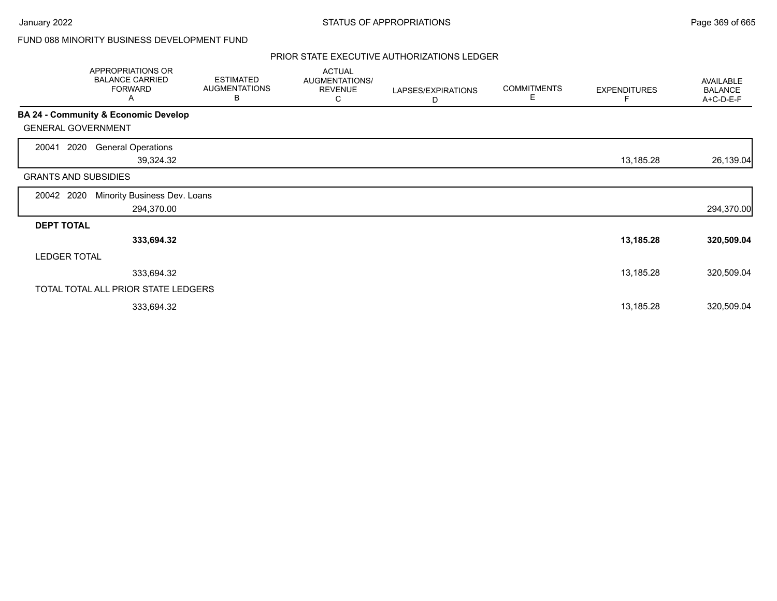## FUND 088 MINORITY BUSINESS DEVELOPMENT FUND

|                     | APPROPRIATIONS OR<br><b>BALANCE CARRIED</b><br><b>FORWARD</b><br>A | <b>ESTIMATED</b><br><b>AUGMENTATIONS</b><br>В | <b>ACTUAL</b><br>AUGMENTATIONS/<br><b>REVENUE</b><br>С | LAPSES/EXPIRATIONS<br>D | <b>COMMITMENTS</b><br>Е | <b>EXPENDITURES</b><br>F | AVAILABLE<br><b>BALANCE</b><br>A+C-D-E-F |
|---------------------|--------------------------------------------------------------------|-----------------------------------------------|--------------------------------------------------------|-------------------------|-------------------------|--------------------------|------------------------------------------|
|                     | BA 24 - Community & Economic Develop                               |                                               |                                                        |                         |                         |                          |                                          |
|                     | <b>GENERAL GOVERNMENT</b>                                          |                                               |                                                        |                         |                         |                          |                                          |
| 20041               | 2020<br><b>General Operations</b><br>39,324.32                     |                                               |                                                        |                         |                         | 13,185.28                | 26,139.04                                |
|                     | <b>GRANTS AND SUBSIDIES</b>                                        |                                               |                                                        |                         |                         |                          |                                          |
| 20042               | Minority Business Dev. Loans<br>2020<br>294,370.00                 |                                               |                                                        |                         |                         |                          | 294,370.00                               |
| <b>DEPT TOTAL</b>   |                                                                    |                                               |                                                        |                         |                         |                          |                                          |
|                     | 333,694.32                                                         |                                               |                                                        |                         |                         | 13,185.28                | 320,509.04                               |
| <b>LEDGER TOTAL</b> |                                                                    |                                               |                                                        |                         |                         |                          |                                          |
|                     | 333,694.32                                                         |                                               |                                                        |                         |                         | 13,185.28                | 320,509.04                               |
|                     | TOTAL TOTAL ALL PRIOR STATE LEDGERS                                |                                               |                                                        |                         |                         |                          |                                          |
|                     | 333,694.32                                                         |                                               |                                                        |                         |                         | 13,185.28                | 320,509.04                               |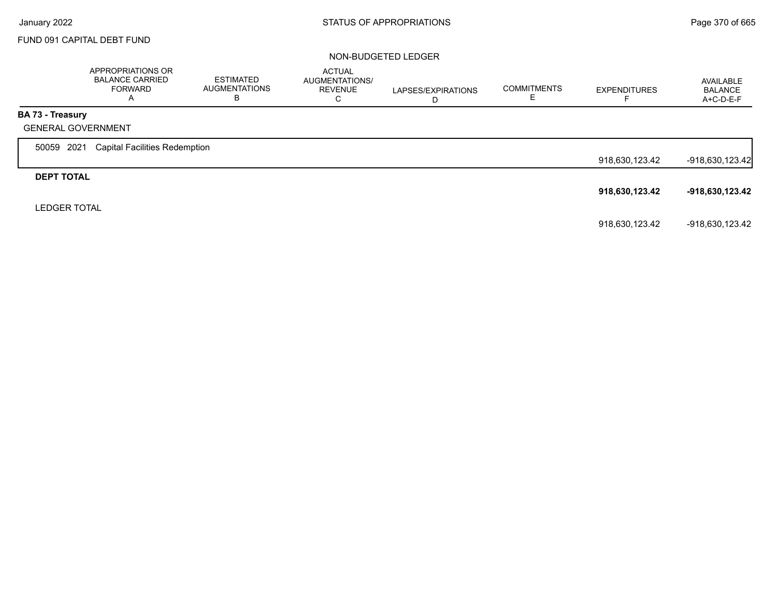## FUND 091 CAPITAL DEBT FUND

### NON-BUDGETED LEDGER

|                         | APPROPRIATIONS OR<br><b>BALANCE CARRIED</b><br><b>FORWARD</b><br>A | <b>ESTIMATED</b><br><b>AUGMENTATIONS</b><br>В | <b>ACTUAL</b><br>AUGMENTATIONS/<br><b>REVENUE</b><br>С | LAPSES/EXPIRATIONS<br>D | <b>COMMITMENTS</b> | <b>EXPENDITURES</b><br>− | AVAILABLE<br><b>BALANCE</b><br>$A+C-D-E-F$ |
|-------------------------|--------------------------------------------------------------------|-----------------------------------------------|--------------------------------------------------------|-------------------------|--------------------|--------------------------|--------------------------------------------|
| <b>BA 73 - Treasury</b> |                                                                    |                                               |                                                        |                         |                    |                          |                                            |
|                         | <b>GENERAL GOVERNMENT</b>                                          |                                               |                                                        |                         |                    |                          |                                            |
| 50059 2021              | <b>Capital Facilities Redemption</b>                               |                                               |                                                        |                         |                    |                          |                                            |
|                         |                                                                    |                                               |                                                        |                         |                    | 918,630,123.42           | $-918,630,123.42$                          |
| <b>DEPT TOTAL</b>       |                                                                    |                                               |                                                        |                         |                    |                          |                                            |
|                         |                                                                    |                                               |                                                        |                         |                    | 918,630,123.42           | -918,630,123.42                            |
| <b>LEDGER TOTAL</b>     |                                                                    |                                               |                                                        |                         |                    |                          |                                            |
|                         |                                                                    |                                               |                                                        |                         |                    | 918,630,123.42           | -918,630,123.42                            |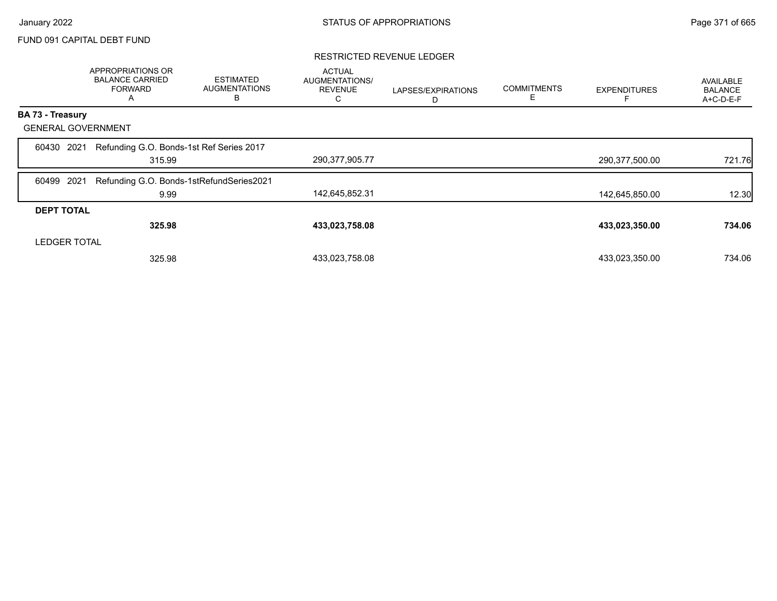## FUND 091 CAPITAL DEBT FUND

### RESTRICTED REVENUE LEDGER

|                           | APPROPRIATIONS OR<br><b>BALANCE CARRIED</b><br><b>FORWARD</b><br>A | <b>ESTIMATED</b><br><b>AUGMENTATIONS</b><br>B | <b>ACTUAL</b><br>AUGMENTATIONS/<br><b>REVENUE</b><br>С | LAPSES/EXPIRATIONS<br>D | <b>COMMITMENTS</b><br>Е | <b>EXPENDITURES</b> | AVAILABLE<br><b>BALANCE</b><br>A+C-D-E-F |
|---------------------------|--------------------------------------------------------------------|-----------------------------------------------|--------------------------------------------------------|-------------------------|-------------------------|---------------------|------------------------------------------|
| <b>BA 73 - Treasury</b>   |                                                                    |                                               |                                                        |                         |                         |                     |                                          |
| <b>GENERAL GOVERNMENT</b> |                                                                    |                                               |                                                        |                         |                         |                     |                                          |
| 2021<br>60430             | Refunding G.O. Bonds-1st Ref Series 2017<br>315.99                 |                                               | 290,377,905.77                                         |                         |                         | 290,377,500.00      | 721.76                                   |
| 2021<br>60499             | Refunding G.O. Bonds-1stRefundSeries2021<br>9.99                   |                                               | 142,645,852.31                                         |                         |                         | 142,645,850.00      | 12.30                                    |
| <b>DEPT TOTAL</b>         |                                                                    |                                               |                                                        |                         |                         |                     |                                          |
|                           | 325.98                                                             |                                               | 433,023,758.08                                         |                         |                         | 433,023,350.00      | 734.06                                   |
| <b>LEDGER TOTAL</b>       |                                                                    |                                               |                                                        |                         |                         |                     |                                          |
|                           | 325.98                                                             |                                               | 433,023,758.08                                         |                         |                         | 433,023,350.00      | 734.06                                   |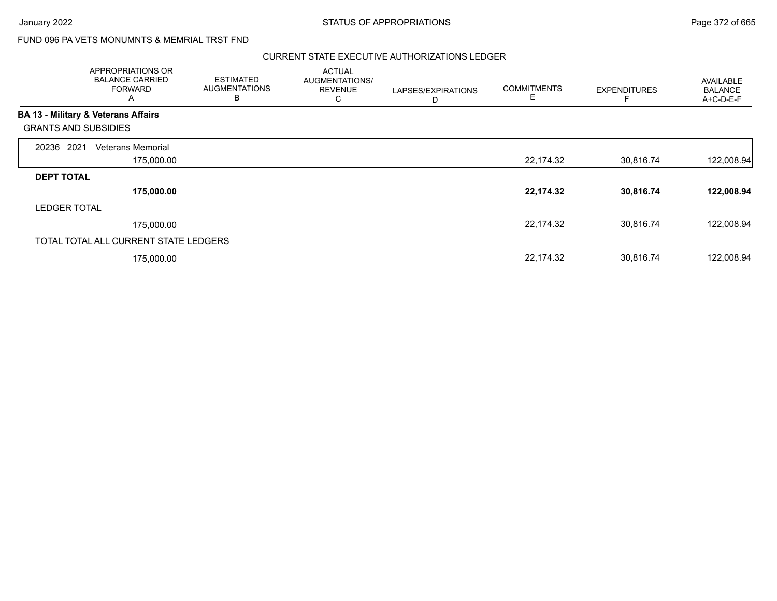Г

## FUND 096 PA VETS MONUMNTS & MEMRIAL TRST FND

|                                                | APPROPRIATIONS OR<br><b>BALANCE CARRIED</b><br><b>FORWARD</b><br>A | <b>ESTIMATED</b><br><b>AUGMENTATIONS</b><br>B | <b>ACTUAL</b><br>AUGMENTATIONS/<br><b>REVENUE</b><br>С | LAPSES/EXPIRATIONS<br>D | <b>COMMITMENTS</b><br>E | <b>EXPENDITURES</b> | <b>AVAILABLE</b><br><b>BALANCE</b><br>A+C-D-E-F |
|------------------------------------------------|--------------------------------------------------------------------|-----------------------------------------------|--------------------------------------------------------|-------------------------|-------------------------|---------------------|-------------------------------------------------|
| <b>BA 13 - Military &amp; Veterans Affairs</b> |                                                                    |                                               |                                                        |                         |                         |                     |                                                 |
| <b>GRANTS AND SUBSIDIES</b>                    |                                                                    |                                               |                                                        |                         |                         |                     |                                                 |
| 2021<br>20236                                  | Veterans Memorial                                                  |                                               |                                                        |                         |                         |                     |                                                 |
|                                                | 175,000.00                                                         |                                               |                                                        |                         | 22,174.32               | 30,816.74           | 122,008.94                                      |
| <b>DEPT TOTAL</b>                              |                                                                    |                                               |                                                        |                         |                         |                     |                                                 |
|                                                | 175,000.00                                                         |                                               |                                                        |                         | 22,174.32               | 30,816.74           | 122,008.94                                      |
| <b>LEDGER TOTAL</b>                            |                                                                    |                                               |                                                        |                         |                         |                     |                                                 |
|                                                | 175,000.00                                                         |                                               |                                                        |                         | 22,174.32               | 30,816.74           | 122,008.94                                      |
| TOTAL TOTAL ALL CURRENT STATE LEDGERS          |                                                                    |                                               |                                                        |                         |                         |                     |                                                 |
|                                                | 175,000.00                                                         |                                               |                                                        |                         | 22,174.32               | 30,816.74           | 122,008.94                                      |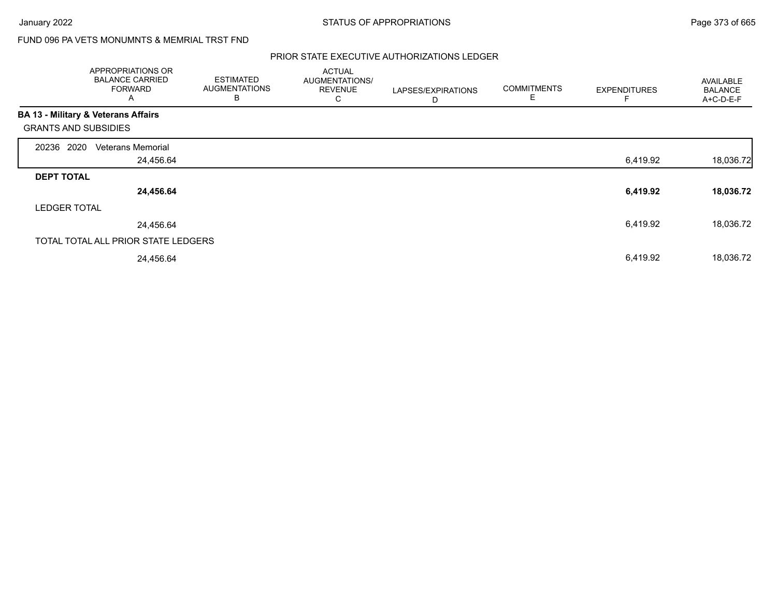# FUND 096 PA VETS MONUMNTS & MEMRIAL TRST FND

|                                                | APPROPRIATIONS OR<br><b>BALANCE CARRIED</b><br><b>FORWARD</b><br>A | <b>ESTIMATED</b><br><b>AUGMENTATIONS</b><br>B | <b>ACTUAL</b><br>AUGMENTATIONS/<br><b>REVENUE</b><br>C | LAPSES/EXPIRATIONS<br>D | <b>COMMITMENTS</b><br>E | <b>EXPENDITURES</b> | <b>AVAILABLE</b><br><b>BALANCE</b><br>A+C-D-E-F |
|------------------------------------------------|--------------------------------------------------------------------|-----------------------------------------------|--------------------------------------------------------|-------------------------|-------------------------|---------------------|-------------------------------------------------|
| <b>BA 13 - Military &amp; Veterans Affairs</b> |                                                                    |                                               |                                                        |                         |                         |                     |                                                 |
| <b>GRANTS AND SUBSIDIES</b>                    |                                                                    |                                               |                                                        |                         |                         |                     |                                                 |
| 2020<br>20236                                  | <b>Veterans Memorial</b>                                           |                                               |                                                        |                         |                         |                     |                                                 |
|                                                | 24,456.64                                                          |                                               |                                                        |                         |                         | 6,419.92            | 18,036.72                                       |
| <b>DEPT TOTAL</b>                              |                                                                    |                                               |                                                        |                         |                         |                     |                                                 |
|                                                | 24,456.64                                                          |                                               |                                                        |                         |                         | 6,419.92            | 18,036.72                                       |
| <b>LEDGER TOTAL</b>                            |                                                                    |                                               |                                                        |                         |                         |                     |                                                 |
|                                                | 24,456.64                                                          |                                               |                                                        |                         |                         | 6,419.92            | 18,036.72                                       |
|                                                | TOTAL TOTAL ALL PRIOR STATE LEDGERS                                |                                               |                                                        |                         |                         |                     |                                                 |
|                                                | 24,456.64                                                          |                                               |                                                        |                         |                         | 6,419.92            | 18,036.72                                       |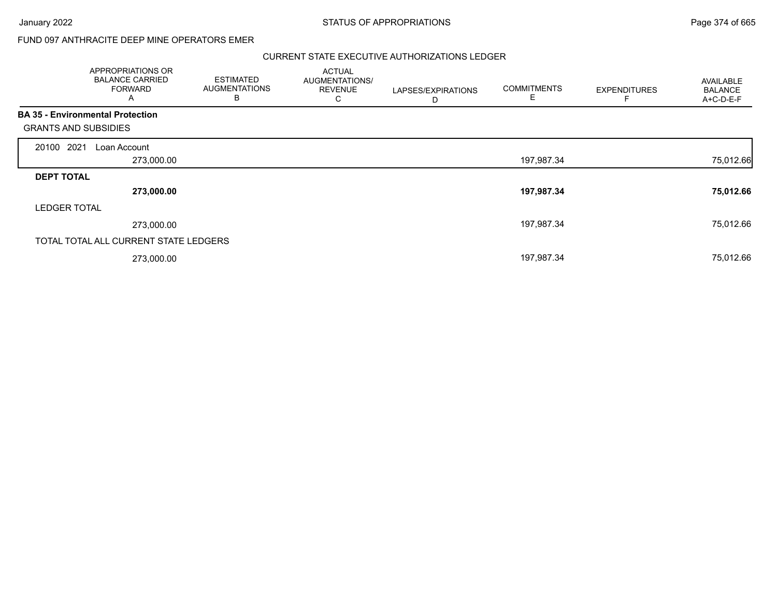$\overline{\phantom{a}}$ 

January 2022 **STATUS OF APPROPRIATIONS** STATUS OF APPROPRIATIONS

## FUND 097 ANTHRACITE DEEP MINE OPERATORS EMER

|                                         | APPROPRIATIONS OR<br><b>BALANCE CARRIED</b><br><b>FORWARD</b><br>A | <b>ESTIMATED</b><br><b>AUGMENTATIONS</b><br>В | <b>ACTUAL</b><br>AUGMENTATIONS/<br><b>REVENUE</b><br>С | LAPSES/EXPIRATIONS<br>D | <b>COMMITMENTS</b> | <b>EXPENDITURES</b> | <b>AVAILABLE</b><br><b>BALANCE</b><br>A+C-D-E-F |
|-----------------------------------------|--------------------------------------------------------------------|-----------------------------------------------|--------------------------------------------------------|-------------------------|--------------------|---------------------|-------------------------------------------------|
| <b>BA 35 - Environmental Protection</b> |                                                                    |                                               |                                                        |                         |                    |                     |                                                 |
| <b>GRANTS AND SUBSIDIES</b>             |                                                                    |                                               |                                                        |                         |                    |                     |                                                 |
| 20100 2021                              | Loan Account                                                       |                                               |                                                        |                         |                    |                     |                                                 |
|                                         | 273,000.00                                                         |                                               |                                                        |                         | 197,987.34         |                     | 75,012.66                                       |
| <b>DEPT TOTAL</b>                       |                                                                    |                                               |                                                        |                         |                    |                     |                                                 |
|                                         | 273,000.00                                                         |                                               |                                                        |                         | 197,987.34         |                     | 75,012.66                                       |
| <b>LEDGER TOTAL</b>                     |                                                                    |                                               |                                                        |                         |                    |                     |                                                 |
|                                         | 273,000.00                                                         |                                               |                                                        |                         | 197,987.34         |                     | 75,012.66                                       |
|                                         | TOTAL TOTAL ALL CURRENT STATE LEDGERS                              |                                               |                                                        |                         |                    |                     |                                                 |
|                                         | 273,000.00                                                         |                                               |                                                        |                         | 197,987.34         |                     | 75,012.66                                       |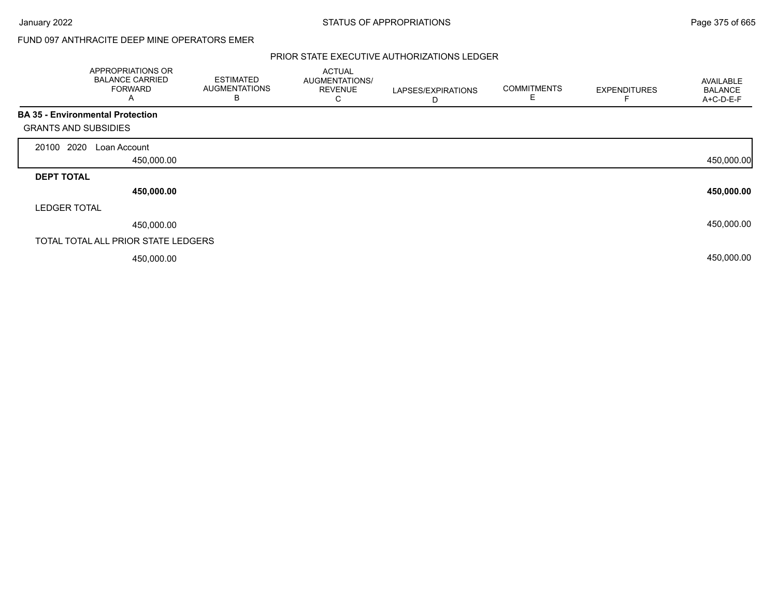## FUND 097 ANTHRACITE DEEP MINE OPERATORS EMER

|                             | APPROPRIATIONS OR<br><b>BALANCE CARRIED</b><br><b>FORWARD</b><br>A | <b>ESTIMATED</b><br><b>AUGMENTATIONS</b><br>В | <b>ACTUAL</b><br>AUGMENTATIONS/<br><b>REVENUE</b><br>С | LAPSES/EXPIRATIONS<br>D | <b>COMMITMENTS</b><br>E | <b>EXPENDITURES</b> | AVAILABLE<br><b>BALANCE</b><br>A+C-D-E-F |
|-----------------------------|--------------------------------------------------------------------|-----------------------------------------------|--------------------------------------------------------|-------------------------|-------------------------|---------------------|------------------------------------------|
| <b>GRANTS AND SUBSIDIES</b> | <b>BA 35 - Environmental Protection</b>                            |                                               |                                                        |                         |                         |                     |                                          |
| 2020<br>20100               | Loan Account                                                       |                                               |                                                        |                         |                         |                     |                                          |
|                             | 450,000.00                                                         |                                               |                                                        |                         |                         |                     | 450,000.00                               |
| <b>DEPT TOTAL</b>           |                                                                    |                                               |                                                        |                         |                         |                     |                                          |
|                             | 450,000.00                                                         |                                               |                                                        |                         |                         |                     | 450,000.00                               |
| <b>LEDGER TOTAL</b>         |                                                                    |                                               |                                                        |                         |                         |                     |                                          |
|                             | 450,000.00                                                         |                                               |                                                        |                         |                         |                     | 450,000.00                               |
|                             | TOTAL TOTAL ALL PRIOR STATE LEDGERS                                |                                               |                                                        |                         |                         |                     |                                          |
|                             | 450,000.00                                                         |                                               |                                                        |                         |                         |                     | 450,000.00                               |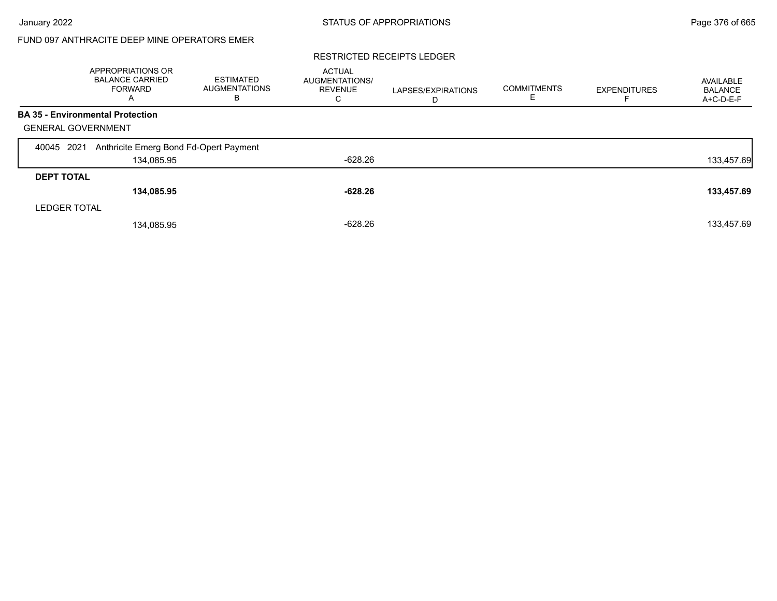# FUND 097 ANTHRACITE DEEP MINE OPERATORS EMER

#### RESTRICTED RECEIPTS LEDGER

|                                         | APPROPRIATIONS OR<br><b>BALANCE CARRIED</b><br>FORWARD<br>A | <b>ESTIMATED</b><br><b>AUGMENTATIONS</b><br>в | <b>ACTUAL</b><br>AUGMENTATIONS/<br><b>REVENUE</b><br>С | LAPSES/EXPIRATIONS<br>D | <b>COMMITMENTS</b><br>Е | <b>EXPENDITURES</b> | AVAILABLE<br><b>BALANCE</b><br>A+C-D-E-F |
|-----------------------------------------|-------------------------------------------------------------|-----------------------------------------------|--------------------------------------------------------|-------------------------|-------------------------|---------------------|------------------------------------------|
| <b>BA 35 - Environmental Protection</b> |                                                             |                                               |                                                        |                         |                         |                     |                                          |
| <b>GENERAL GOVERNMENT</b>               |                                                             |                                               |                                                        |                         |                         |                     |                                          |
| 2021<br>40045                           | Anthricite Emerg Bond Fd-Opert Payment                      |                                               |                                                        |                         |                         |                     |                                          |
|                                         | 134,085.95                                                  |                                               | -628.26                                                |                         |                         |                     | 133,457.69                               |
| <b>DEPT TOTAL</b>                       |                                                             |                                               |                                                        |                         |                         |                     |                                          |
|                                         | 134,085.95                                                  |                                               | $-628.26$                                              |                         |                         |                     | 133,457.69                               |
| <b>LEDGER TOTAL</b>                     |                                                             |                                               |                                                        |                         |                         |                     |                                          |
|                                         | 134,085.95                                                  |                                               | $-628.26$                                              |                         |                         |                     | 133,457.69                               |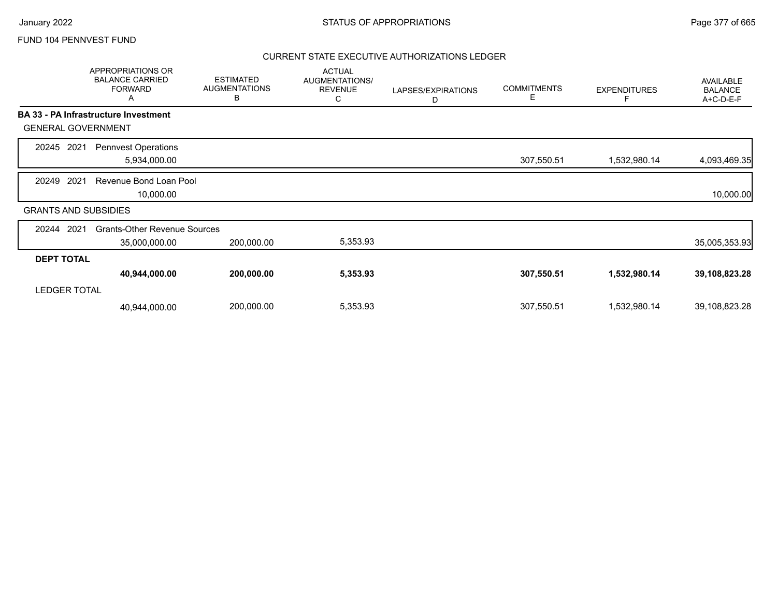|                             |      | <b>APPROPRIATIONS OR</b><br><b>BALANCE CARRIED</b><br><b>FORWARD</b><br>A | <b>ESTIMATED</b><br><b>AUGMENTATIONS</b><br>В | <b>ACTUAL</b><br>AUGMENTATIONS/<br><b>REVENUE</b><br>С | LAPSES/EXPIRATIONS<br>D | <b>COMMITMENTS</b><br>Е | <b>EXPENDITURES</b> | <b>AVAILABLE</b><br><b>BALANCE</b><br>A+C-D-E-F |
|-----------------------------|------|---------------------------------------------------------------------------|-----------------------------------------------|--------------------------------------------------------|-------------------------|-------------------------|---------------------|-------------------------------------------------|
|                             |      | BA 33 - PA Infrastructure Investment                                      |                                               |                                                        |                         |                         |                     |                                                 |
| <b>GENERAL GOVERNMENT</b>   |      |                                                                           |                                               |                                                        |                         |                         |                     |                                                 |
| 20245                       | 2021 | <b>Pennvest Operations</b><br>5,934,000.00                                |                                               |                                                        |                         | 307,550.51              | 1,532,980.14        | 4,093,469.35                                    |
| 20249                       | 2021 | Revenue Bond Loan Pool<br>10,000.00                                       |                                               |                                                        |                         |                         |                     | 10,000.00                                       |
| <b>GRANTS AND SUBSIDIES</b> |      |                                                                           |                                               |                                                        |                         |                         |                     |                                                 |
| 20244                       | 2021 | <b>Grants-Other Revenue Sources</b><br>35,000,000.00                      | 200,000.00                                    | 5,353.93                                               |                         |                         |                     | 35,005,353.93                                   |
| <b>DEPT TOTAL</b>           |      |                                                                           |                                               |                                                        |                         |                         |                     |                                                 |
| <b>LEDGER TOTAL</b>         |      | 40,944,000.00                                                             | 200,000.00                                    | 5,353.93                                               |                         | 307,550.51              | 1,532,980.14        | 39,108,823.28                                   |
|                             |      | 40,944,000.00                                                             | 200,000.00                                    | 5,353.93                                               |                         | 307,550.51              | 1,532,980.14        | 39,108,823.28                                   |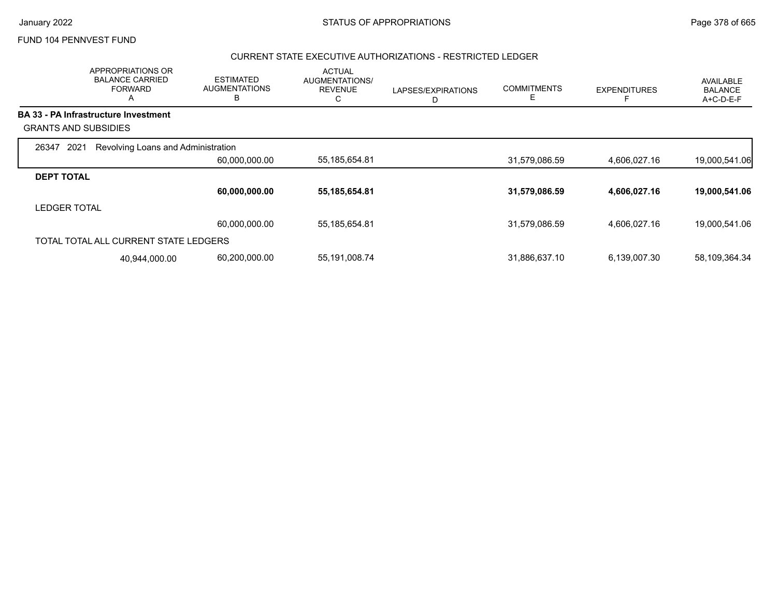## CURRENT STATE EXECUTIVE AUTHORIZATIONS - RESTRICTED LEDGER

|                             | APPROPRIATIONS OR<br><b>BALANCE CARRIED</b><br><b>FORWARD</b><br>A | <b>ESTIMATED</b><br><b>AUGMENTATIONS</b><br>B | <b>ACTUAL</b><br>AUGMENTATIONS/<br><b>REVENUE</b><br>С | LAPSES/EXPIRATIONS<br>D | <b>COMMITMENTS</b><br>E | <b>EXPENDITURES</b> | <b>AVAILABLE</b><br><b>BALANCE</b><br>A+C-D-E-F |
|-----------------------------|--------------------------------------------------------------------|-----------------------------------------------|--------------------------------------------------------|-------------------------|-------------------------|---------------------|-------------------------------------------------|
|                             | <b>BA 33 - PA Infrastructure Investment</b>                        |                                               |                                                        |                         |                         |                     |                                                 |
| <b>GRANTS AND SUBSIDIES</b> |                                                                    |                                               |                                                        |                         |                         |                     |                                                 |
| 2021<br>26347               | Revolving Loans and Administration                                 |                                               |                                                        |                         |                         |                     |                                                 |
|                             |                                                                    | 60,000,000.00                                 | 55,185,654.81                                          |                         | 31,579,086.59           | 4,606,027.16        | 19,000,541.06                                   |
| <b>DEPT TOTAL</b>           |                                                                    |                                               |                                                        |                         |                         |                     |                                                 |
|                             |                                                                    | 60,000,000.00                                 | 55, 185, 654.81                                        |                         | 31,579,086.59           | 4,606,027.16        | 19,000,541.06                                   |
| <b>LEDGER TOTAL</b>         |                                                                    |                                               |                                                        |                         |                         |                     |                                                 |
|                             |                                                                    | 60,000,000.00                                 | 55,185,654.81                                          |                         | 31,579,086.59           | 4,606,027.16        | 19,000,541.06                                   |
|                             | TOTAL TOTAL ALL CURRENT STATE LEDGERS                              |                                               |                                                        |                         |                         |                     |                                                 |
|                             | 40,944,000.00                                                      | 60,200,000.00                                 | 55,191,008.74                                          |                         | 31,886,637.10           | 6,139,007.30        | 58,109,364.34                                   |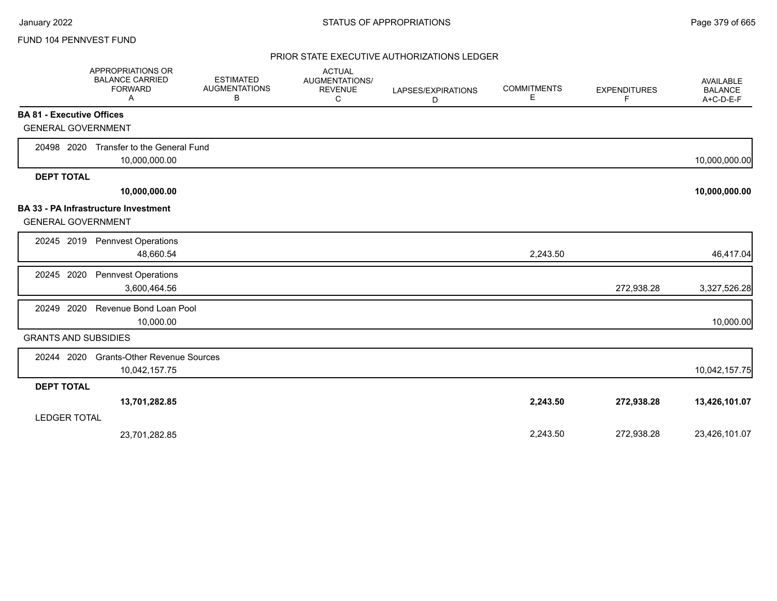|                                                                          | APPROPRIATIONS OR<br><b>BALANCE CARRIED</b><br><b>FORWARD</b><br>A | <b>ESTIMATED</b><br><b>AUGMENTATIONS</b><br>В | <b>ACTUAL</b><br>AUGMENTATIONS/<br><b>REVENUE</b><br>C | LAPSES/EXPIRATIONS<br>D | <b>COMMITMENTS</b><br>Е | <b>EXPENDITURES</b><br>F | <b>AVAILABLE</b><br><b>BALANCE</b><br>A+C-D-E-F |
|--------------------------------------------------------------------------|--------------------------------------------------------------------|-----------------------------------------------|--------------------------------------------------------|-------------------------|-------------------------|--------------------------|-------------------------------------------------|
| <b>BA 81 - Executive Offices</b>                                         |                                                                    |                                               |                                                        |                         |                         |                          |                                                 |
| <b>GENERAL GOVERNMENT</b>                                                |                                                                    |                                               |                                                        |                         |                         |                          |                                                 |
| 20498 2020                                                               | Transfer to the General Fund<br>10,000,000.00                      |                                               |                                                        |                         |                         |                          | 10,000,000.00                                   |
| <b>DEPT TOTAL</b>                                                        |                                                                    |                                               |                                                        |                         |                         |                          |                                                 |
|                                                                          | 10,000,000.00                                                      |                                               |                                                        |                         |                         |                          | 10,000,000.00                                   |
| <b>BA 33 - PA Infrastructure Investment</b><br><b>GENERAL GOVERNMENT</b> |                                                                    |                                               |                                                        |                         |                         |                          |                                                 |
|                                                                          | 20245 2019 Pennvest Operations<br>48,660.54                        |                                               |                                                        |                         | 2,243.50                |                          | 46,417.04                                       |
| 20245 2020                                                               | <b>Pennvest Operations</b><br>3,600,464.56                         |                                               |                                                        |                         |                         | 272,938.28               | 3,327,526.28                                    |
| 2020<br>20249                                                            | Revenue Bond Loan Pool<br>10,000.00                                |                                               |                                                        |                         |                         |                          | 10,000.00                                       |
| <b>GRANTS AND SUBSIDIES</b>                                              |                                                                    |                                               |                                                        |                         |                         |                          |                                                 |
| 20244 2020                                                               | <b>Grants-Other Revenue Sources</b><br>10,042,157.75               |                                               |                                                        |                         |                         |                          | 10,042,157.75                                   |
| <b>DEPT TOTAL</b>                                                        |                                                                    |                                               |                                                        |                         |                         |                          |                                                 |
| <b>LEDGER TOTAL</b>                                                      | 13,701,282.85                                                      |                                               |                                                        |                         | 2,243.50                | 272,938.28               | 13,426,101.07                                   |
|                                                                          | 23,701,282.85                                                      |                                               |                                                        |                         | 2,243.50                | 272,938.28               | 23,426,101.07                                   |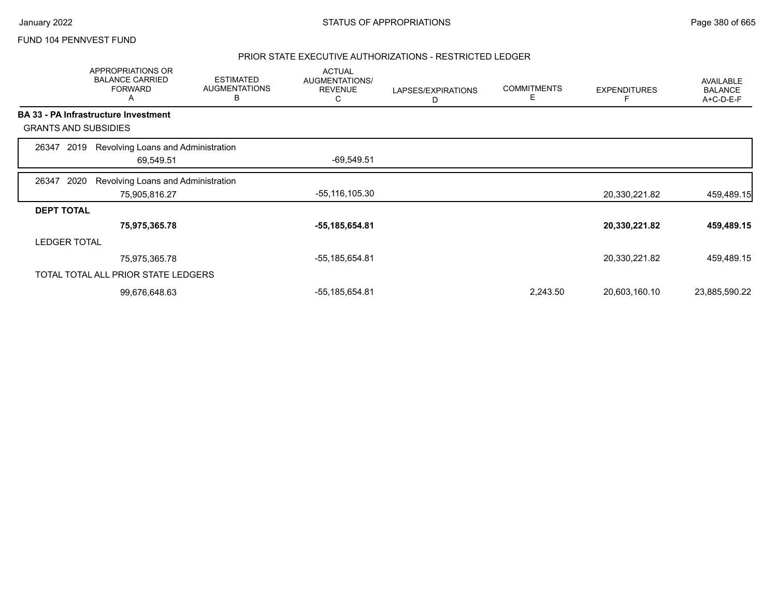### PRIOR STATE EXECUTIVE AUTHORIZATIONS - RESTRICTED LEDGER

|                             |                     | APPROPRIATIONS OR<br><b>BALANCE CARRIED</b><br><b>FORWARD</b><br>A | <b>ESTIMATED</b><br><b>AUGMENTATIONS</b><br>В | <b>ACTUAL</b><br>AUGMENTATIONS/<br><b>REVENUE</b><br>C | LAPSES/EXPIRATIONS<br>D | <b>COMMITMENTS</b><br>Е | <b>EXPENDITURES</b> | AVAILABLE<br><b>BALANCE</b><br>A+C-D-E-F |
|-----------------------------|---------------------|--------------------------------------------------------------------|-----------------------------------------------|--------------------------------------------------------|-------------------------|-------------------------|---------------------|------------------------------------------|
|                             |                     | BA 33 - PA Infrastructure Investment                               |                                               |                                                        |                         |                         |                     |                                          |
| <b>GRANTS AND SUBSIDIES</b> |                     |                                                                    |                                               |                                                        |                         |                         |                     |                                          |
| 26347                       | 2019                | Revolving Loans and Administration                                 |                                               |                                                        |                         |                         |                     |                                          |
|                             |                     | 69,549.51                                                          |                                               | $-69,549.51$                                           |                         |                         |                     |                                          |
| 26347                       | 2020                | Revolving Loans and Administration                                 |                                               |                                                        |                         |                         |                     |                                          |
|                             |                     | 75,905,816.27                                                      |                                               | -55,116,105.30                                         |                         |                         | 20,330,221.82       | 459,489.15                               |
| <b>DEPT TOTAL</b>           |                     |                                                                    |                                               |                                                        |                         |                         |                     |                                          |
|                             |                     | 75,975,365.78                                                      |                                               | -55,185,654.81                                         |                         |                         | 20,330,221.82       | 459,489.15                               |
|                             | <b>LEDGER TOTAL</b> |                                                                    |                                               |                                                        |                         |                         |                     |                                          |
|                             |                     | 75,975,365.78                                                      |                                               | -55,185,654.81                                         |                         |                         | 20,330,221.82       | 459,489.15                               |
|                             |                     | TOTAL TOTAL ALL PRIOR STATE LEDGERS                                |                                               |                                                        |                         |                         |                     |                                          |
|                             |                     | 99,676,648.63                                                      |                                               | -55,185,654.81                                         |                         | 2,243.50                | 20,603,160.10       | 23,885,590.22                            |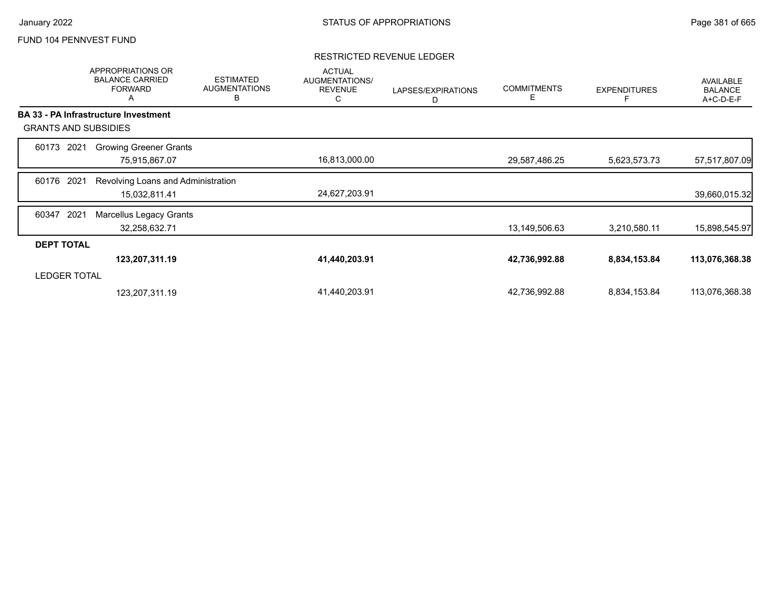### RESTRICTED REVENUE LEDGER

|                     | APPROPRIATIONS OR<br><b>BALANCE CARRIED</b><br><b>FORWARD</b><br>Α | <b>ESTIMATED</b><br><b>AUGMENTATIONS</b><br>B | <b>ACTUAL</b><br>AUGMENTATIONS/<br><b>REVENUE</b><br>C | LAPSES/EXPIRATIONS<br>D | <b>COMMITMENTS</b><br>Е | <b>EXPENDITURES</b> | AVAILABLE<br><b>BALANCE</b><br>A+C-D-E-F |
|---------------------|--------------------------------------------------------------------|-----------------------------------------------|--------------------------------------------------------|-------------------------|-------------------------|---------------------|------------------------------------------|
|                     | <b>BA 33 - PA Infrastructure Investment</b>                        |                                               |                                                        |                         |                         |                     |                                          |
|                     | <b>GRANTS AND SUBSIDIES</b>                                        |                                               |                                                        |                         |                         |                     |                                          |
| 2021<br>60173       | <b>Growing Greener Grants</b>                                      |                                               |                                                        |                         |                         |                     |                                          |
|                     | 75,915,867.07                                                      |                                               | 16,813,000.00                                          |                         | 29,587,486.25           | 5,623,573.73        | 57,517,807.09                            |
| 2021<br>60176       | Revolving Loans and Administration                                 |                                               |                                                        |                         |                         |                     |                                          |
|                     | 15,032,811.41                                                      |                                               | 24,627,203.91                                          |                         |                         |                     | 39,660,015.32                            |
| 2021<br>60347       | <b>Marcellus Legacy Grants</b>                                     |                                               |                                                        |                         |                         |                     |                                          |
|                     | 32,258,632.71                                                      |                                               |                                                        |                         | 13,149,506.63           | 3,210,580.11        | 15,898,545.97                            |
| <b>DEPT TOTAL</b>   |                                                                    |                                               |                                                        |                         |                         |                     |                                          |
|                     | 123,207,311.19                                                     |                                               | 41,440,203.91                                          |                         | 42,736,992.88           | 8,834,153.84        | 113,076,368.38                           |
| <b>LEDGER TOTAL</b> |                                                                    |                                               |                                                        |                         |                         |                     |                                          |
|                     | 123,207,311.19                                                     |                                               | 41,440,203.91                                          |                         | 42,736,992.88           | 8,834,153.84        | 113,076,368.38                           |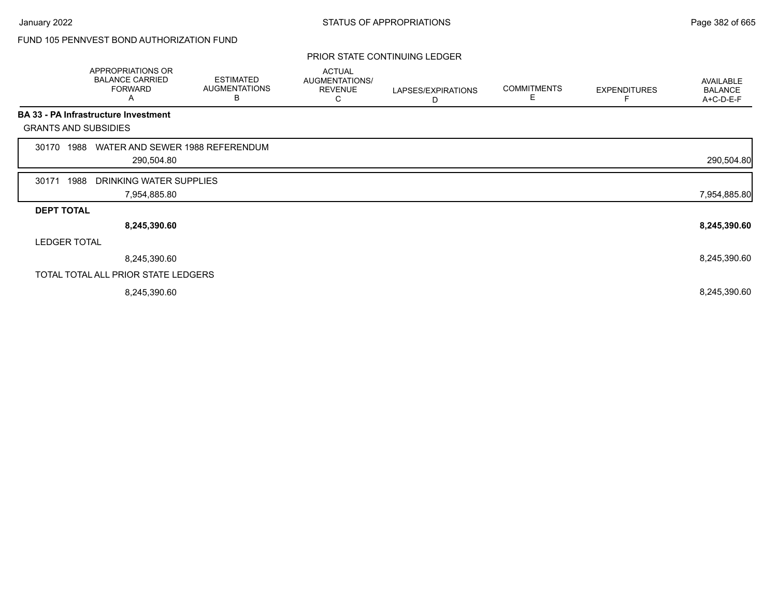# FUND 105 PENNVEST BOND AUTHORIZATION FUND

### PRIOR STATE CONTINUING LEDGER

|                             |      | APPROPRIATIONS OR<br><b>BALANCE CARRIED</b><br><b>FORWARD</b><br>A | <b>ESTIMATED</b><br><b>AUGMENTATIONS</b><br>В | <b>ACTUAL</b><br>AUGMENTATIONS/<br><b>REVENUE</b><br>С | LAPSES/EXPIRATIONS<br>D | <b>COMMITMENTS</b><br>Е | <b>EXPENDITURES</b> | <b>AVAILABLE</b><br><b>BALANCE</b><br>A+C-D-E-F |
|-----------------------------|------|--------------------------------------------------------------------|-----------------------------------------------|--------------------------------------------------------|-------------------------|-------------------------|---------------------|-------------------------------------------------|
|                             |      | BA 33 - PA Infrastructure Investment                               |                                               |                                                        |                         |                         |                     |                                                 |
| <b>GRANTS AND SUBSIDIES</b> |      |                                                                    |                                               |                                                        |                         |                         |                     |                                                 |
| 30170                       | 1988 | WATER AND SEWER 1988 REFERENDUM                                    |                                               |                                                        |                         |                         |                     |                                                 |
|                             |      | 290,504.80                                                         |                                               |                                                        |                         |                         |                     | 290,504.80                                      |
| 30171                       | 1988 | DRINKING WATER SUPPLIES                                            |                                               |                                                        |                         |                         |                     |                                                 |
|                             |      | 7,954,885.80                                                       |                                               |                                                        |                         |                         |                     | 7,954,885.80                                    |
| <b>DEPT TOTAL</b>           |      |                                                                    |                                               |                                                        |                         |                         |                     |                                                 |
|                             |      | 8,245,390.60                                                       |                                               |                                                        |                         |                         |                     | 8,245,390.60                                    |
| <b>LEDGER TOTAL</b>         |      |                                                                    |                                               |                                                        |                         |                         |                     |                                                 |
|                             |      | 8,245,390.60                                                       |                                               |                                                        |                         |                         |                     | 8,245,390.60                                    |
|                             |      | TOTAL TOTAL ALL PRIOR STATE LEDGERS                                |                                               |                                                        |                         |                         |                     |                                                 |
|                             |      | 8,245,390.60                                                       |                                               |                                                        |                         |                         |                     | 8,245,390.60                                    |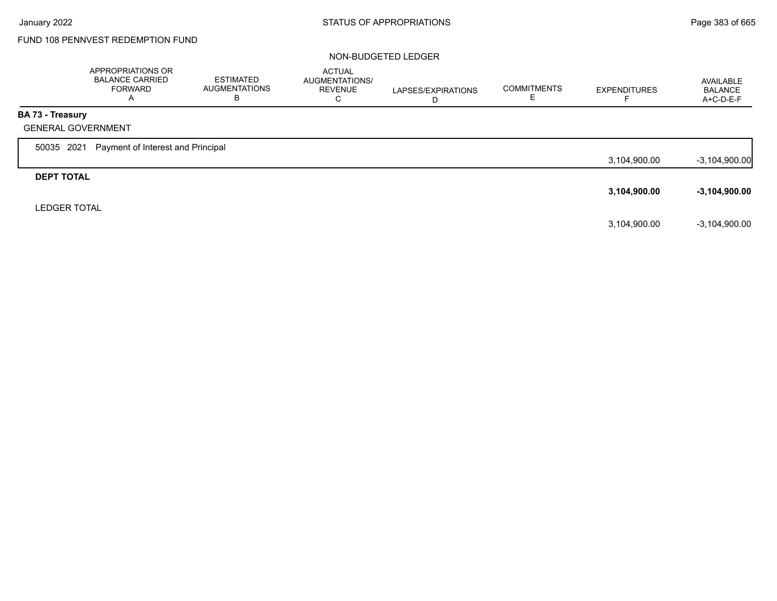# FUND 108 PENNVEST REDEMPTION FUND

### NON-BUDGETED LEDGER

|                     | APPROPRIATIONS OR<br><b>BALANCE CARRIED</b><br><b>FORWARD</b><br>$\overline{A}$ | <b>ESTIMATED</b><br><b>AUGMENTATIONS</b><br>В | <b>ACTUAL</b><br><b>AUGMENTATIONS/</b><br><b>REVENUE</b><br>C | LAPSES/EXPIRATIONS<br>D | <b>COMMITMENTS</b> | <b>EXPENDITURES</b> | AVAILABLE<br><b>BALANCE</b><br>A+C-D-E-F |
|---------------------|---------------------------------------------------------------------------------|-----------------------------------------------|---------------------------------------------------------------|-------------------------|--------------------|---------------------|------------------------------------------|
| BA 73 - Treasury    |                                                                                 |                                               |                                                               |                         |                    |                     |                                          |
|                     | <b>GENERAL GOVERNMENT</b>                                                       |                                               |                                                               |                         |                    |                     |                                          |
| 50035 2021          | Payment of Interest and Principal                                               |                                               |                                                               |                         |                    |                     |                                          |
|                     |                                                                                 |                                               |                                                               |                         |                    | 3,104,900.00        | $-3,104,900.00$                          |
| <b>DEPT TOTAL</b>   |                                                                                 |                                               |                                                               |                         |                    |                     |                                          |
|                     |                                                                                 |                                               |                                                               |                         |                    | 3,104,900.00        | $-3,104,900.00$                          |
| <b>LEDGER TOTAL</b> |                                                                                 |                                               |                                                               |                         |                    |                     |                                          |
|                     |                                                                                 |                                               |                                                               |                         |                    | 3,104,900.00        | $-3.104.900.00$                          |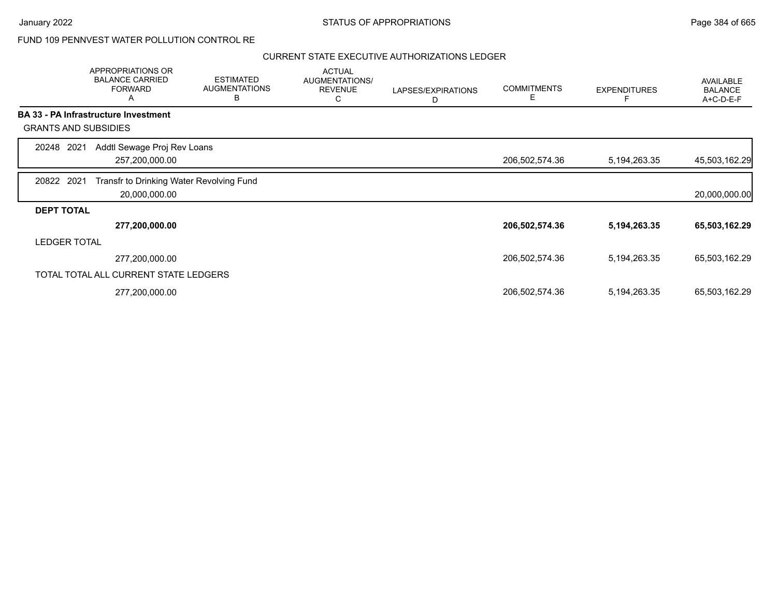## FUND 109 PENNVEST WATER POLLUTION CONTROL RE

|                             | APPROPRIATIONS OR<br><b>BALANCE CARRIED</b><br><b>FORWARD</b><br>Α | <b>ESTIMATED</b><br><b>AUGMENTATIONS</b><br>B | <b>ACTUAL</b><br>AUGMENTATIONS/<br><b>REVENUE</b><br>С | LAPSES/EXPIRATIONS<br>D | <b>COMMITMENTS</b><br>Е | <b>EXPENDITURES</b> | AVAILABLE<br><b>BALANCE</b><br>A+C-D-E-F |
|-----------------------------|--------------------------------------------------------------------|-----------------------------------------------|--------------------------------------------------------|-------------------------|-------------------------|---------------------|------------------------------------------|
|                             | <b>BA 33 - PA Infrastructure Investment</b>                        |                                               |                                                        |                         |                         |                     |                                          |
| <b>GRANTS AND SUBSIDIES</b> |                                                                    |                                               |                                                        |                         |                         |                     |                                          |
| 2021<br>20248               | Addtl Sewage Proj Rev Loans                                        |                                               |                                                        |                         |                         |                     |                                          |
|                             | 257,200,000.00                                                     |                                               |                                                        |                         | 206,502,574.36          | 5, 194, 263. 35     | 45,503,162.29                            |
| 20822 2021                  | Transfr to Drinking Water Revolving Fund<br>20,000,000.00          |                                               |                                                        |                         |                         |                     | 20,000,000.00                            |
| <b>DEPT TOTAL</b>           |                                                                    |                                               |                                                        |                         |                         |                     |                                          |
|                             | 277,200,000.00                                                     |                                               |                                                        |                         | 206,502,574.36          | 5, 194, 263. 35     | 65,503,162.29                            |
| <b>LEDGER TOTAL</b>         |                                                                    |                                               |                                                        |                         |                         |                     |                                          |
|                             | 277,200,000.00                                                     |                                               |                                                        |                         | 206,502,574.36          | 5, 194, 263. 35     | 65,503,162.29                            |
|                             | TOTAL TOTAL ALL CURRENT STATE LEDGERS                              |                                               |                                                        |                         |                         |                     |                                          |
|                             | 277,200,000.00                                                     |                                               |                                                        |                         | 206,502,574.36          | 5, 194, 263. 35     | 65,503,162.29                            |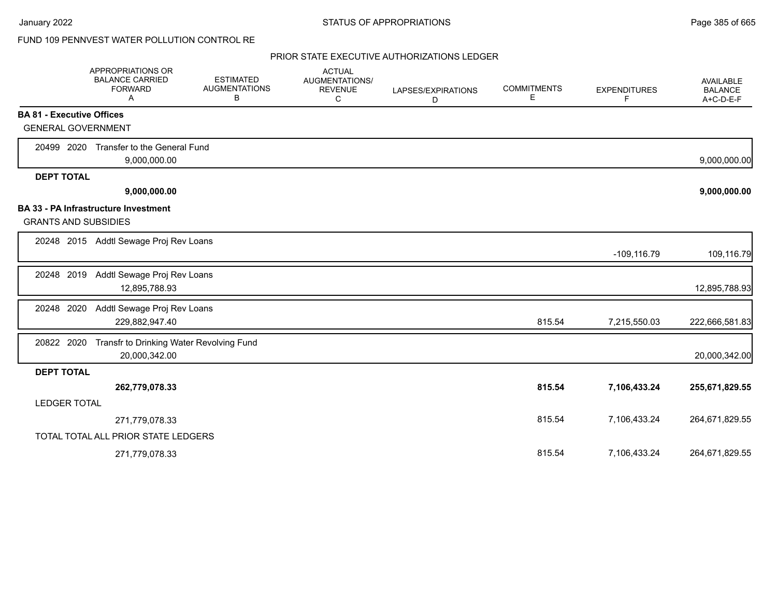# FUND 109 PENNVEST WATER POLLUTION CONTROL RE

|                                  | APPROPRIATIONS OR<br><b>BALANCE CARRIED</b><br><b>FORWARD</b><br>Α | <b>ESTIMATED</b><br><b>AUGMENTATIONS</b><br>В | <b>ACTUAL</b><br><b>AUGMENTATIONS/</b><br><b>REVENUE</b><br>C | LAPSES/EXPIRATIONS<br>D | <b>COMMITMENTS</b><br>E. | <b>EXPENDITURES</b><br>F | AVAILABLE<br><b>BALANCE</b><br>A+C-D-E-F |
|----------------------------------|--------------------------------------------------------------------|-----------------------------------------------|---------------------------------------------------------------|-------------------------|--------------------------|--------------------------|------------------------------------------|
| <b>BA 81 - Executive Offices</b> |                                                                    |                                               |                                                               |                         |                          |                          |                                          |
| <b>GENERAL GOVERNMENT</b>        |                                                                    |                                               |                                                               |                         |                          |                          |                                          |
| 20499 2020                       | Transfer to the General Fund                                       |                                               |                                                               |                         |                          |                          |                                          |
|                                  | 9,000,000.00                                                       |                                               |                                                               |                         |                          |                          | 9,000,000.00                             |
| <b>DEPT TOTAL</b>                |                                                                    |                                               |                                                               |                         |                          |                          |                                          |
|                                  | 9,000,000.00                                                       |                                               |                                                               |                         |                          |                          | 9,000,000.00                             |
|                                  | <b>BA 33 - PA Infrastructure Investment</b>                        |                                               |                                                               |                         |                          |                          |                                          |
| <b>GRANTS AND SUBSIDIES</b>      |                                                                    |                                               |                                                               |                         |                          |                          |                                          |
|                                  | 20248 2015 Addtl Sewage Proj Rev Loans                             |                                               |                                                               |                         |                          |                          |                                          |
|                                  |                                                                    |                                               |                                                               |                         |                          | $-109, 116.79$           | 109,116.79                               |
| 20248 2019                       | Addtl Sewage Proj Rev Loans                                        |                                               |                                                               |                         |                          |                          |                                          |
|                                  | 12,895,788.93                                                      |                                               |                                                               |                         |                          |                          | 12,895,788.93                            |
| 20248 2020                       | Addtl Sewage Proj Rev Loans                                        |                                               |                                                               |                         |                          |                          |                                          |
|                                  | 229,882,947.40                                                     |                                               |                                                               |                         | 815.54                   | 7,215,550.03             | 222,666,581.83                           |
| 20822 2020                       | Transfr to Drinking Water Revolving Fund                           |                                               |                                                               |                         |                          |                          |                                          |
|                                  | 20,000,342.00                                                      |                                               |                                                               |                         |                          |                          | 20,000,342.00                            |
| <b>DEPT TOTAL</b>                |                                                                    |                                               |                                                               |                         |                          |                          |                                          |
|                                  | 262,779,078.33                                                     |                                               |                                                               |                         | 815.54                   | 7,106,433.24             | 255,671,829.55                           |
| <b>LEDGER TOTAL</b>              |                                                                    |                                               |                                                               |                         |                          |                          |                                          |
|                                  | 271,779,078.33                                                     |                                               |                                                               |                         | 815.54                   | 7,106,433.24             | 264,671,829.55                           |
|                                  | TOTAL TOTAL ALL PRIOR STATE LEDGERS                                |                                               |                                                               |                         |                          |                          |                                          |
|                                  | 271,779,078.33                                                     |                                               |                                                               |                         | 815.54                   | 7,106,433.24             | 264,671,829.55                           |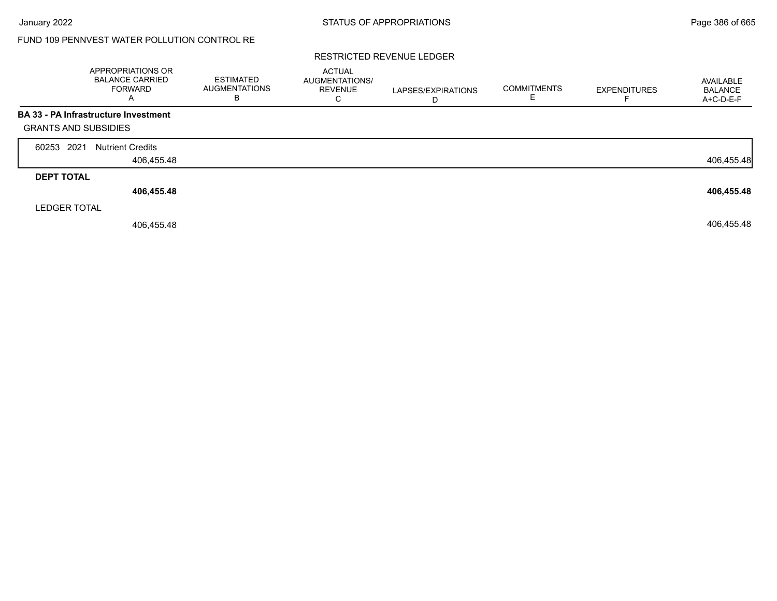# FUND 109 PENNVEST WATER POLLUTION CONTROL RE

### RESTRICTED REVENUE LEDGER

|                             | <b>APPROPRIATIONS OR</b><br><b>BALANCE CARRIED</b><br><b>FORWARD</b><br>А | <b>ESTIMATED</b><br><b>AUGMENTATIONS</b><br>в | <b>ACTUAL</b><br>AUGMENTATIONS/<br><b>REVENUE</b><br>С | LAPSES/EXPIRATIONS<br>D | <b>COMMITMENTS</b> | <b>EXPENDITURES</b> | AVAILABLE<br><b>BALANCE</b><br>A+C-D-E-F |
|-----------------------------|---------------------------------------------------------------------------|-----------------------------------------------|--------------------------------------------------------|-------------------------|--------------------|---------------------|------------------------------------------|
|                             | BA 33 - PA Infrastructure Investment                                      |                                               |                                                        |                         |                    |                     |                                          |
| <b>GRANTS AND SUBSIDIES</b> |                                                                           |                                               |                                                        |                         |                    |                     |                                          |
| 2021<br>60253               | <b>Nutrient Credits</b>                                                   |                                               |                                                        |                         |                    |                     |                                          |
|                             | 406,455.48                                                                |                                               |                                                        |                         |                    |                     | 406,455.48                               |
| <b>DEPT TOTAL</b>           |                                                                           |                                               |                                                        |                         |                    |                     |                                          |
|                             | 406,455.48                                                                |                                               |                                                        |                         |                    |                     | 406,455.48                               |
| <b>LEDGER TOTAL</b>         |                                                                           |                                               |                                                        |                         |                    |                     |                                          |
|                             | 406,455.48                                                                |                                               |                                                        |                         |                    |                     | 406,455.48                               |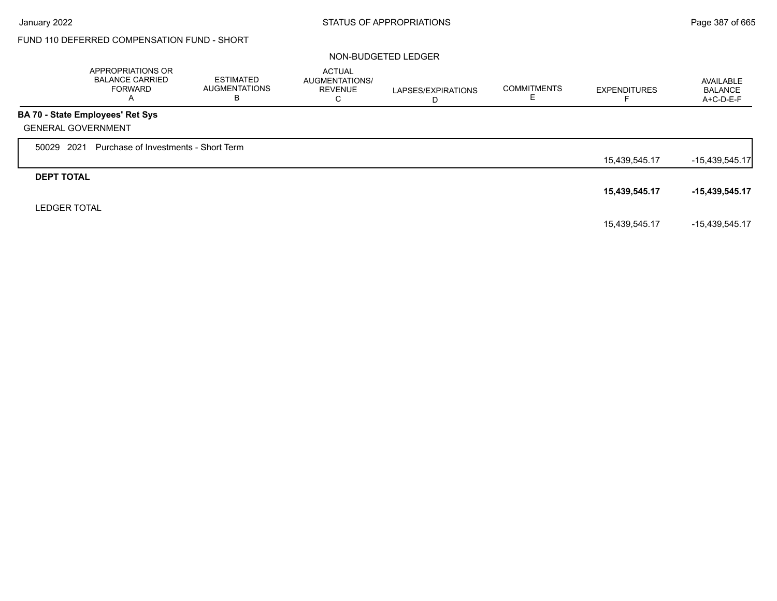Г

# FUND 110 DEFERRED COMPENSATION FUND - SHORT

### NON-BUDGETED LEDGER

|                     | APPROPRIATIONS OR<br><b>BALANCE CARRIED</b><br><b>FORWARD</b><br>A | <b>ESTIMATED</b><br><b>AUGMENTATIONS</b><br>В | <b>ACTUAL</b><br>AUGMENTATIONS/<br><b>REVENUE</b><br>С | LAPSES/EXPIRATIONS<br>D | <b>COMMITMENTS</b> | <b>EXPENDITURES</b> | AVAILABLE<br><b>BALANCE</b><br>A+C-D-E-F |
|---------------------|--------------------------------------------------------------------|-----------------------------------------------|--------------------------------------------------------|-------------------------|--------------------|---------------------|------------------------------------------|
|                     | <b>BA 70 - State Employees' Ret Sys</b>                            |                                               |                                                        |                         |                    |                     |                                          |
|                     | <b>GENERAL GOVERNMENT</b>                                          |                                               |                                                        |                         |                    |                     |                                          |
| 50029               | 2021<br>Purchase of Investments - Short Term                       |                                               |                                                        |                         |                    |                     |                                          |
|                     |                                                                    |                                               |                                                        |                         |                    | 15,439,545.17       | $-15,439,545.17$                         |
| <b>DEPT TOTAL</b>   |                                                                    |                                               |                                                        |                         |                    |                     |                                          |
|                     |                                                                    |                                               |                                                        |                         |                    | 15,439,545.17       | $-15,439,545.17$                         |
| <b>LEDGER TOTAL</b> |                                                                    |                                               |                                                        |                         |                    |                     |                                          |
|                     |                                                                    |                                               |                                                        |                         |                    | 15,439,545.17       | -15,439,545.17                           |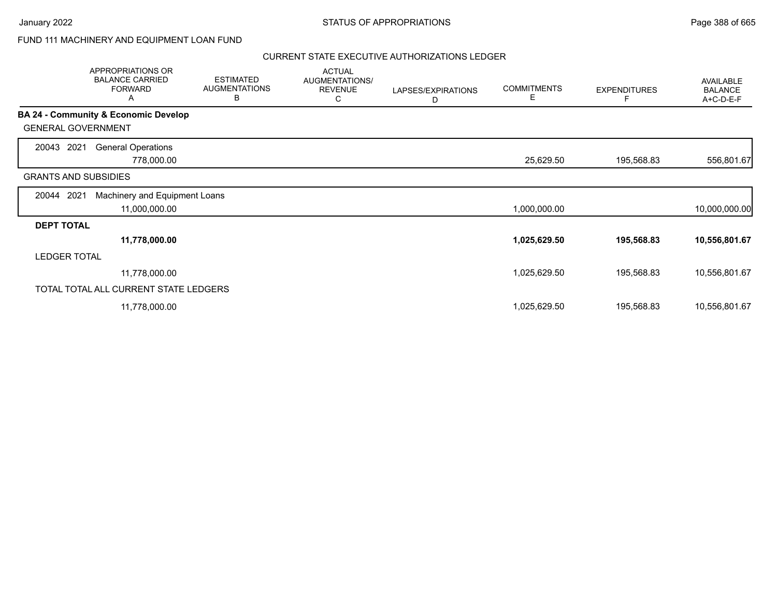## FUND 111 MACHINERY AND EQUIPMENT LOAN FUND

|                             | APPROPRIATIONS OR<br><b>BALANCE CARRIED</b><br><b>FORWARD</b><br>Α | <b>ESTIMATED</b><br><b>AUGMENTATIONS</b><br>В | <b>ACTUAL</b><br>AUGMENTATIONS/<br><b>REVENUE</b><br>С | LAPSES/EXPIRATIONS<br>D | <b>COMMITMENTS</b><br>Е | <b>EXPENDITURES</b><br>F | <b>AVAILABLE</b><br><b>BALANCE</b><br>A+C-D-E-F |
|-----------------------------|--------------------------------------------------------------------|-----------------------------------------------|--------------------------------------------------------|-------------------------|-------------------------|--------------------------|-------------------------------------------------|
|                             | <b>BA 24 - Community &amp; Economic Develop</b>                    |                                               |                                                        |                         |                         |                          |                                                 |
| <b>GENERAL GOVERNMENT</b>   |                                                                    |                                               |                                                        |                         |                         |                          |                                                 |
| 2021<br>20043               | <b>General Operations</b>                                          |                                               |                                                        |                         |                         |                          |                                                 |
|                             | 778,000.00                                                         |                                               |                                                        |                         | 25,629.50               | 195,568.83               | 556,801.67                                      |
| <b>GRANTS AND SUBSIDIES</b> |                                                                    |                                               |                                                        |                         |                         |                          |                                                 |
| 2021<br>20044               | Machinery and Equipment Loans                                      |                                               |                                                        |                         |                         |                          |                                                 |
|                             | 11,000,000.00                                                      |                                               |                                                        |                         | 1,000,000.00            |                          | 10,000,000.00                                   |
| <b>DEPT TOTAL</b>           |                                                                    |                                               |                                                        |                         |                         |                          |                                                 |
|                             | 11,778,000.00                                                      |                                               |                                                        |                         | 1,025,629.50            | 195,568.83               | 10,556,801.67                                   |
| <b>LEDGER TOTAL</b>         |                                                                    |                                               |                                                        |                         |                         |                          |                                                 |
|                             | 11,778,000.00                                                      |                                               |                                                        |                         | 1,025,629.50            | 195,568.83               | 10,556,801.67                                   |
|                             | TOTAL TOTAL ALL CURRENT STATE LEDGERS                              |                                               |                                                        |                         |                         |                          |                                                 |
|                             | 11,778,000.00                                                      |                                               |                                                        |                         | 1,025,629.50            | 195,568.83               | 10,556,801.67                                   |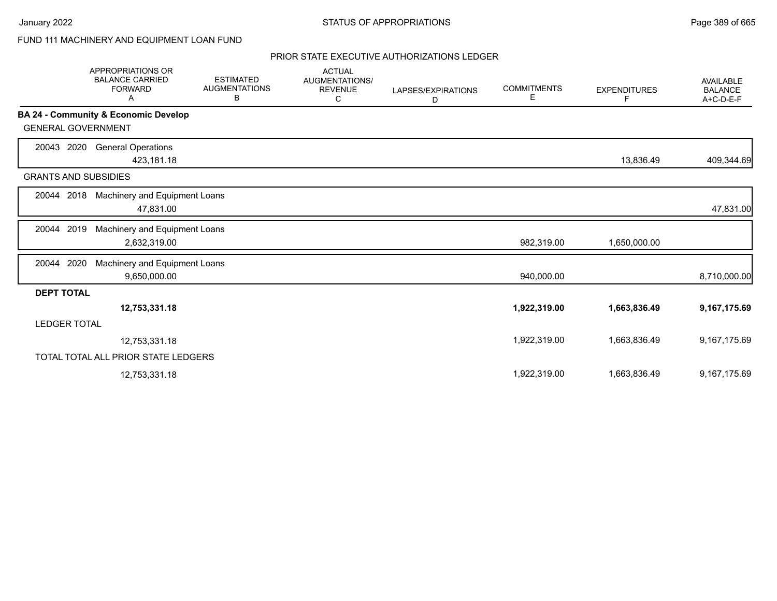## FUND 111 MACHINERY AND EQUIPMENT LOAN FUND

|                             | <b>APPROPRIATIONS OR</b><br><b>BALANCE CARRIED</b><br><b>FORWARD</b><br>A | <b>ESTIMATED</b><br><b>AUGMENTATIONS</b><br>В | <b>ACTUAL</b><br>AUGMENTATIONS/<br><b>REVENUE</b><br>C | LAPSES/EXPIRATIONS<br>D | <b>COMMITMENTS</b><br>Е | <b>EXPENDITURES</b><br>F | <b>AVAILABLE</b><br><b>BALANCE</b><br>A+C-D-E-F |
|-----------------------------|---------------------------------------------------------------------------|-----------------------------------------------|--------------------------------------------------------|-------------------------|-------------------------|--------------------------|-------------------------------------------------|
|                             | BA 24 - Community & Economic Develop                                      |                                               |                                                        |                         |                         |                          |                                                 |
| <b>GENERAL GOVERNMENT</b>   |                                                                           |                                               |                                                        |                         |                         |                          |                                                 |
| 2020<br>20043               | <b>General Operations</b><br>423,181.18                                   |                                               |                                                        |                         |                         | 13,836.49                | 409,344.69                                      |
| <b>GRANTS AND SUBSIDIES</b> |                                                                           |                                               |                                                        |                         |                         |                          |                                                 |
| 20044 2018                  | Machinery and Equipment Loans<br>47,831.00                                |                                               |                                                        |                         |                         |                          | 47,831.00                                       |
| 2019<br>20044               | Machinery and Equipment Loans<br>2,632,319.00                             |                                               |                                                        |                         | 982,319.00              | 1,650,000.00             |                                                 |
| 2020<br>20044               | Machinery and Equipment Loans<br>9,650,000.00                             |                                               |                                                        |                         | 940,000.00              |                          | 8,710,000.00                                    |
| <b>DEPT TOTAL</b>           |                                                                           |                                               |                                                        |                         |                         |                          |                                                 |
|                             | 12,753,331.18                                                             |                                               |                                                        |                         | 1,922,319.00            | 1,663,836.49             | 9,167,175.69                                    |
| <b>LEDGER TOTAL</b>         |                                                                           |                                               |                                                        |                         |                         |                          |                                                 |
|                             | 12,753,331.18                                                             |                                               |                                                        |                         | 1,922,319.00            | 1,663,836.49             | 9,167,175.69                                    |
|                             | TOTAL TOTAL ALL PRIOR STATE LEDGERS                                       |                                               |                                                        |                         |                         |                          |                                                 |
|                             | 12,753,331.18                                                             |                                               |                                                        |                         | 1,922,319.00            | 1,663,836.49             | 9,167,175.69                                    |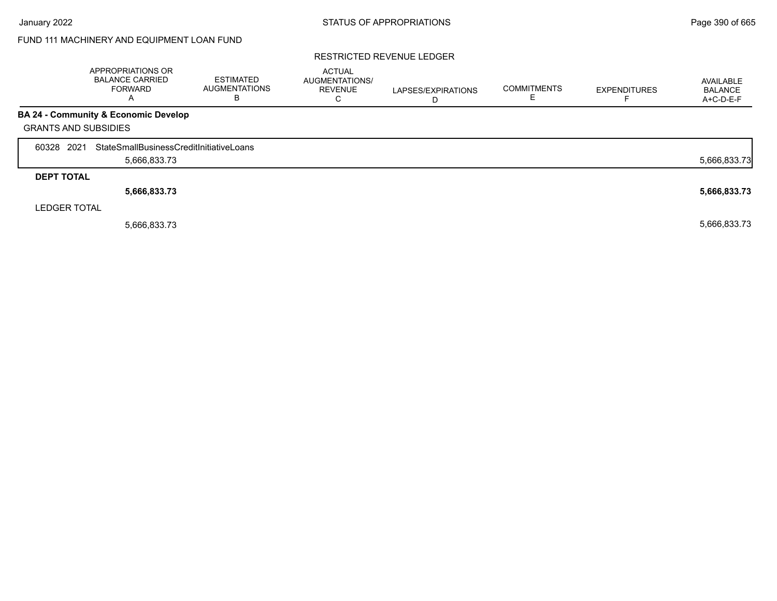# FUND 111 MACHINERY AND EQUIPMENT LOAN FUND

### RESTRICTED REVENUE LEDGER

|                             | APPROPRIATIONS OR<br><b>BALANCE CARRIED</b><br><b>FORWARD</b><br>$\mathsf{A}$ | <b>ESTIMATED</b><br><b>AUGMENTATIONS</b><br>B | <b>ACTUAL</b><br>AUGMENTATIONS/<br><b>REVENUE</b><br>C | LAPSES/EXPIRATIONS<br>D | <b>COMMITMENTS</b> | <b>EXPENDITURES</b> | AVAILABLE<br><b>BALANCE</b><br>A+C-D-E-F |
|-----------------------------|-------------------------------------------------------------------------------|-----------------------------------------------|--------------------------------------------------------|-------------------------|--------------------|---------------------|------------------------------------------|
|                             | <b>BA 24 - Community &amp; Economic Develop</b>                               |                                               |                                                        |                         |                    |                     |                                          |
| <b>GRANTS AND SUBSIDIES</b> |                                                                               |                                               |                                                        |                         |                    |                     |                                          |
| 60328 2021                  | StateSmallBusinessCreditInitiativeLoans                                       |                                               |                                                        |                         |                    |                     |                                          |
|                             | 5,666,833.73                                                                  |                                               |                                                        |                         |                    |                     | 5,666,833.73                             |
| <b>DEPT TOTAL</b>           |                                                                               |                                               |                                                        |                         |                    |                     |                                          |
|                             | 5,666,833.73                                                                  |                                               |                                                        |                         |                    |                     | 5,666,833.73                             |
| <b>LEDGER TOTAL</b>         |                                                                               |                                               |                                                        |                         |                    |                     |                                          |
|                             | 5,666,833.73                                                                  |                                               |                                                        |                         |                    |                     | 5,666,833.73                             |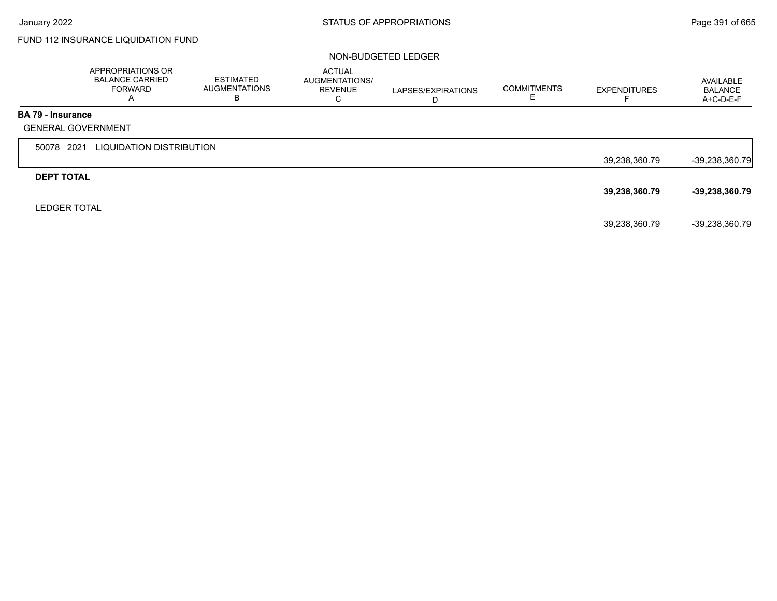# FUND 112 INSURANCE LIQUIDATION FUND

### NON-BUDGETED LEDGER

|                          | APPROPRIATIONS OR<br><b>BALANCE CARRIED</b><br><b>FORWARD</b><br>A | <b>ESTIMATED</b><br><b>AUGMENTATIONS</b><br>В | <b>ACTUAL</b><br>AUGMENTATIONS/<br><b>REVENUE</b><br>C | LAPSES/EXPIRATIONS<br>D | <b>COMMITMENTS</b> | <b>EXPENDITURES</b><br>⊢ | AVAILABLE<br><b>BALANCE</b><br>A+C-D-E-F |
|--------------------------|--------------------------------------------------------------------|-----------------------------------------------|--------------------------------------------------------|-------------------------|--------------------|--------------------------|------------------------------------------|
| <b>BA 79 - Insurance</b> |                                                                    |                                               |                                                        |                         |                    |                          |                                          |
|                          | <b>GENERAL GOVERNMENT</b>                                          |                                               |                                                        |                         |                    |                          |                                          |
| 50078 2021               | LIQUIDATION DISTRIBUTION                                           |                                               |                                                        |                         |                    |                          |                                          |
|                          |                                                                    |                                               |                                                        |                         |                    | 39,238,360.79            | $-39,238,360.79$                         |
| <b>DEPT TOTAL</b>        |                                                                    |                                               |                                                        |                         |                    |                          |                                          |
|                          |                                                                    |                                               |                                                        |                         |                    | 39,238,360.79            | $-39,238,360.79$                         |
| <b>LEDGER TOTAL</b>      |                                                                    |                                               |                                                        |                         |                    |                          |                                          |
|                          |                                                                    |                                               |                                                        |                         |                    | 39,238,360.79            | -39,238,360.79                           |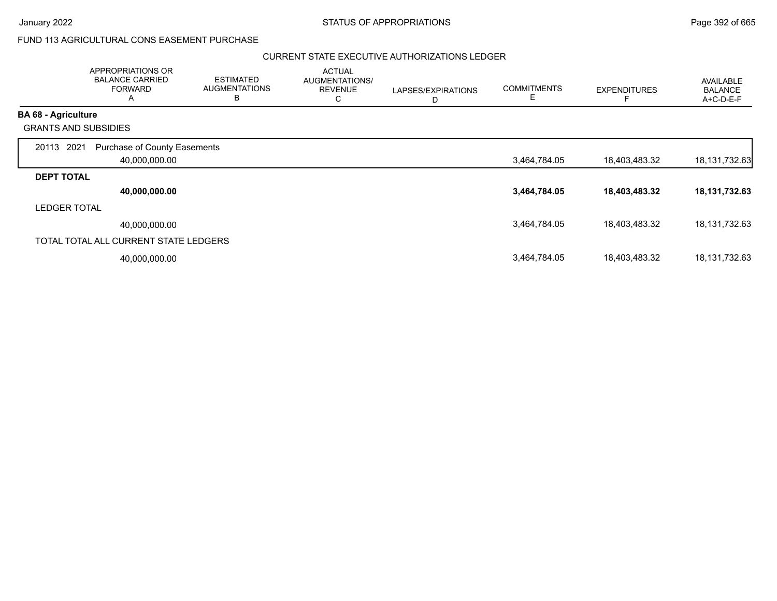$\overline{\phantom{a}}$ 

## FUND 113 AGRICULTURAL CONS EASEMENT PURCHASE

|                             | APPROPRIATIONS OR<br><b>BALANCE CARRIED</b><br><b>FORWARD</b><br>A | <b>ESTIMATED</b><br><b>AUGMENTATIONS</b><br>в | <b>ACTUAL</b><br>AUGMENTATIONS/<br><b>REVENUE</b><br>С | LAPSES/EXPIRATIONS<br>D | <b>COMMITMENTS</b><br>Е | <b>EXPENDITURES</b> | <b>AVAILABLE</b><br><b>BALANCE</b><br>A+C-D-E-F |
|-----------------------------|--------------------------------------------------------------------|-----------------------------------------------|--------------------------------------------------------|-------------------------|-------------------------|---------------------|-------------------------------------------------|
| <b>BA 68 - Agriculture</b>  |                                                                    |                                               |                                                        |                         |                         |                     |                                                 |
| <b>GRANTS AND SUBSIDIES</b> |                                                                    |                                               |                                                        |                         |                         |                     |                                                 |
| 20113 2021                  | <b>Purchase of County Easements</b>                                |                                               |                                                        |                         |                         |                     |                                                 |
|                             | 40,000,000.00                                                      |                                               |                                                        |                         | 3,464,784.05            | 18,403,483.32       | 18, 131, 732. 63                                |
| <b>DEPT TOTAL</b>           |                                                                    |                                               |                                                        |                         |                         |                     |                                                 |
|                             | 40,000,000.00                                                      |                                               |                                                        |                         | 3,464,784.05            | 18,403,483.32       | 18, 131, 732. 63                                |
| <b>LEDGER TOTAL</b>         |                                                                    |                                               |                                                        |                         |                         |                     |                                                 |
|                             | 40,000,000.00                                                      |                                               |                                                        |                         | 3,464,784.05            | 18,403,483.32       | 18, 131, 732. 63                                |
|                             | TOTAL TOTAL ALL CURRENT STATE LEDGERS                              |                                               |                                                        |                         |                         |                     |                                                 |
|                             | 40,000,000.00                                                      |                                               |                                                        |                         | 3,464,784.05            | 18,403,483.32       | 18, 131, 732. 63                                |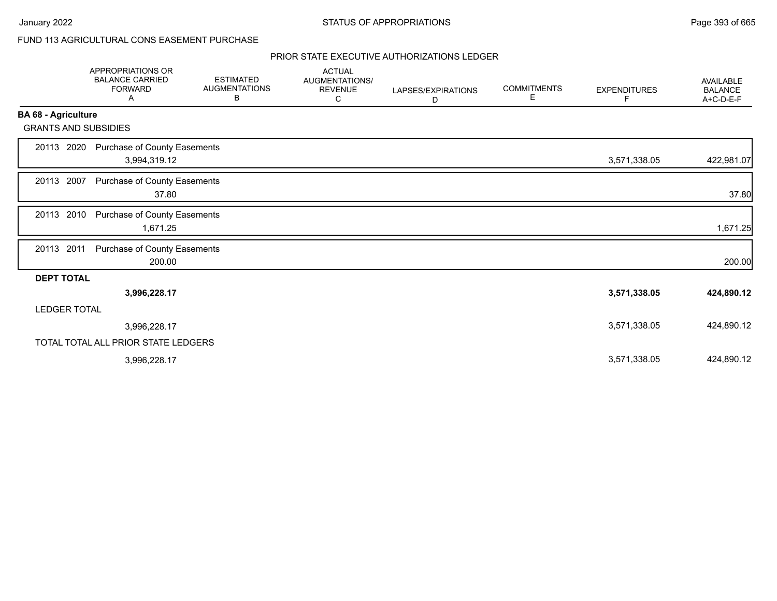# FUND 113 AGRICULTURAL CONS EASEMENT PURCHASE

|                             | <b>APPROPRIATIONS OR</b><br><b>BALANCE CARRIED</b><br><b>FORWARD</b><br>Α | <b>ESTIMATED</b><br><b>AUGMENTATIONS</b><br>В | <b>ACTUAL</b><br>AUGMENTATIONS/<br><b>REVENUE</b><br>С | LAPSES/EXPIRATIONS<br>D | <b>COMMITMENTS</b><br>Е | <b>EXPENDITURES</b><br>F. | <b>AVAILABLE</b><br><b>BALANCE</b><br>A+C-D-E-F |
|-----------------------------|---------------------------------------------------------------------------|-----------------------------------------------|--------------------------------------------------------|-------------------------|-------------------------|---------------------------|-------------------------------------------------|
| <b>BA 68 - Agriculture</b>  |                                                                           |                                               |                                                        |                         |                         |                           |                                                 |
| <b>GRANTS AND SUBSIDIES</b> |                                                                           |                                               |                                                        |                         |                         |                           |                                                 |
| 20113 2020                  | Purchase of County Easements<br>3,994,319.12                              |                                               |                                                        |                         |                         | 3,571,338.05              | 422,981.07                                      |
| 20113 2007                  | Purchase of County Easements<br>37.80                                     |                                               |                                                        |                         |                         |                           | 37.80                                           |
| 20113 2010                  | Purchase of County Easements<br>1,671.25                                  |                                               |                                                        |                         |                         |                           | 1,671.25                                        |
| 20113 2011                  | Purchase of County Easements<br>200.00                                    |                                               |                                                        |                         |                         |                           | 200.00                                          |
| <b>DEPT TOTAL</b>           |                                                                           |                                               |                                                        |                         |                         |                           |                                                 |
|                             | 3,996,228.17                                                              |                                               |                                                        |                         |                         | 3,571,338.05              | 424,890.12                                      |
| <b>LEDGER TOTAL</b>         |                                                                           |                                               |                                                        |                         |                         |                           |                                                 |
|                             | 3,996,228.17                                                              |                                               |                                                        |                         |                         | 3,571,338.05              | 424,890.12                                      |
|                             | TOTAL TOTAL ALL PRIOR STATE LEDGERS                                       |                                               |                                                        |                         |                         |                           |                                                 |
|                             | 3,996,228.17                                                              |                                               |                                                        |                         |                         | 3,571,338.05              | 424,890.12                                      |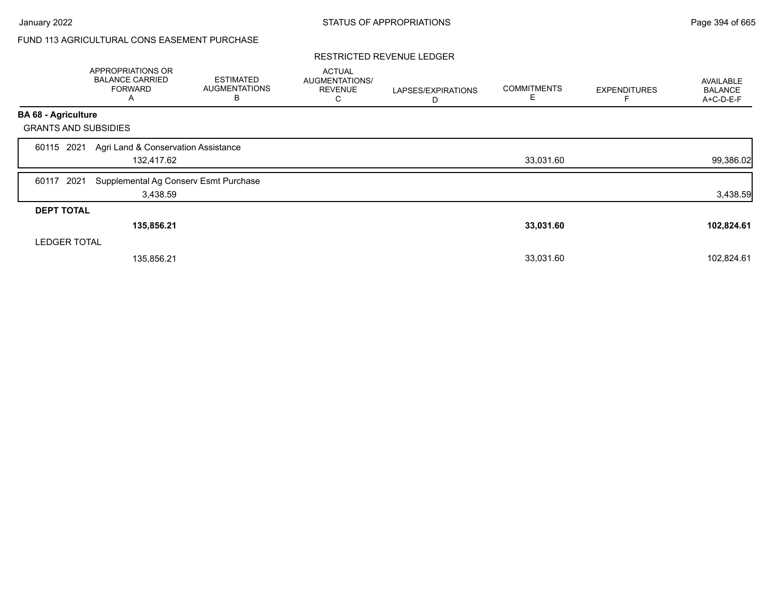# FUND 113 AGRICULTURAL CONS EASEMENT PURCHASE

### RESTRICTED REVENUE LEDGER

|                             | APPROPRIATIONS OR<br><b>BALANCE CARRIED</b><br><b>FORWARD</b><br>A | <b>ESTIMATED</b><br><b>AUGMENTATIONS</b><br>в | <b>ACTUAL</b><br>AUGMENTATIONS/<br><b>REVENUE</b><br>С | LAPSES/EXPIRATIONS<br>D | <b>COMMITMENTS</b><br>Е | <b>EXPENDITURES</b> | AVAILABLE<br><b>BALANCE</b><br>A+C-D-E-F |
|-----------------------------|--------------------------------------------------------------------|-----------------------------------------------|--------------------------------------------------------|-------------------------|-------------------------|---------------------|------------------------------------------|
| <b>BA 68 - Agriculture</b>  |                                                                    |                                               |                                                        |                         |                         |                     |                                          |
| <b>GRANTS AND SUBSIDIES</b> |                                                                    |                                               |                                                        |                         |                         |                     |                                          |
| 2021<br>60115               | Agri Land & Conservation Assistance<br>132,417.62                  |                                               |                                                        |                         | 33,031.60               |                     | 99,386.02                                |
| 2021<br>60117               | Supplemental Ag Conserv Esmt Purchase<br>3,438.59                  |                                               |                                                        |                         |                         |                     | 3,438.59                                 |
| <b>DEPT TOTAL</b>           |                                                                    |                                               |                                                        |                         |                         |                     |                                          |
|                             | 135,856.21                                                         |                                               |                                                        |                         | 33,031.60               |                     | 102,824.61                               |
| <b>LEDGER TOTAL</b>         |                                                                    |                                               |                                                        |                         |                         |                     |                                          |
|                             | 135,856.21                                                         |                                               |                                                        |                         | 33,031.60               |                     | 102,824.61                               |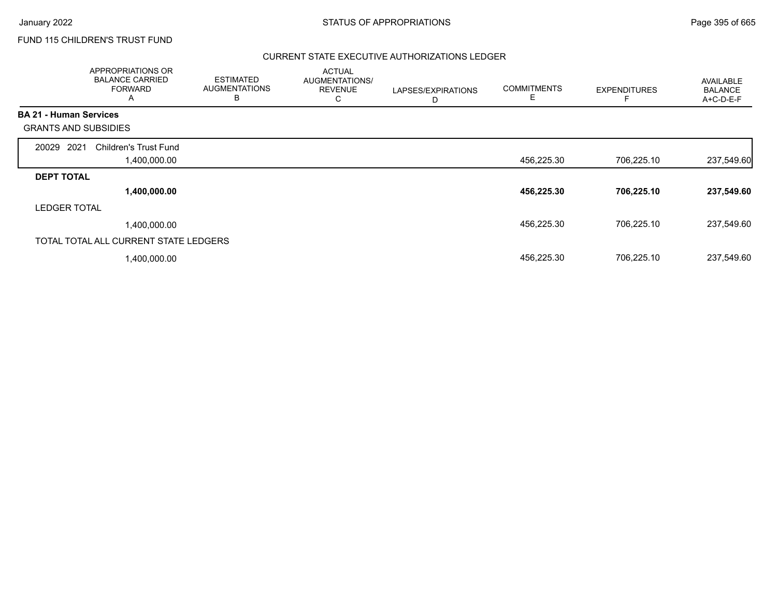## FUND 115 CHILDREN'S TRUST FUND

|                               | APPROPRIATIONS OR<br><b>BALANCE CARRIED</b><br><b>FORWARD</b><br>A | <b>ESTIMATED</b><br><b>AUGMENTATIONS</b><br>B | <b>ACTUAL</b><br>AUGMENTATIONS/<br><b>REVENUE</b><br>C | LAPSES/EXPIRATIONS<br>D | <b>COMMITMENTS</b><br>E | <b>EXPENDITURES</b> | AVAILABLE<br><b>BALANCE</b><br>A+C-D-E-F |
|-------------------------------|--------------------------------------------------------------------|-----------------------------------------------|--------------------------------------------------------|-------------------------|-------------------------|---------------------|------------------------------------------|
| <b>BA 21 - Human Services</b> |                                                                    |                                               |                                                        |                         |                         |                     |                                          |
| <b>GRANTS AND SUBSIDIES</b>   |                                                                    |                                               |                                                        |                         |                         |                     |                                          |
| 2021<br>20029                 | <b>Children's Trust Fund</b>                                       |                                               |                                                        |                         |                         |                     |                                          |
|                               | 00.000.00, ا                                                       |                                               |                                                        |                         | 456,225.30              | 706,225.10          | 237,549.60                               |
| <b>DEPT TOTAL</b>             |                                                                    |                                               |                                                        |                         |                         |                     |                                          |
|                               | 1,400,000.00                                                       |                                               |                                                        |                         | 456,225.30              | 706,225.10          | 237,549.60                               |
| <b>LEDGER TOTAL</b>           |                                                                    |                                               |                                                        |                         |                         |                     |                                          |
|                               | 1,400,000.00                                                       |                                               |                                                        |                         | 456,225.30              | 706,225.10          | 237,549.60                               |
|                               | TOTAL TOTAL ALL CURRENT STATE LEDGERS                              |                                               |                                                        |                         |                         |                     |                                          |
|                               | 1,400,000.00                                                       |                                               |                                                        |                         | 456,225.30              | 706,225.10          | 237,549.60                               |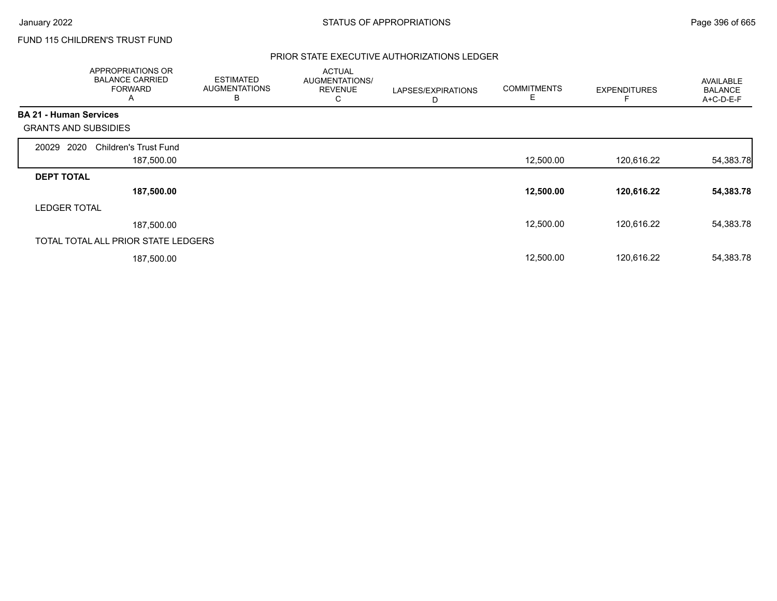## FUND 115 CHILDREN'S TRUST FUND

|                               | APPROPRIATIONS OR<br><b>BALANCE CARRIED</b><br><b>FORWARD</b><br>A | <b>ESTIMATED</b><br><b>AUGMENTATIONS</b><br>в | <b>ACTUAL</b><br>AUGMENTATIONS/<br><b>REVENUE</b><br>С | LAPSES/EXPIRATIONS<br>D | <b>COMMITMENTS</b><br>Е | <b>EXPENDITURES</b> | <b>AVAILABLE</b><br><b>BALANCE</b><br>A+C-D-E-F |
|-------------------------------|--------------------------------------------------------------------|-----------------------------------------------|--------------------------------------------------------|-------------------------|-------------------------|---------------------|-------------------------------------------------|
| <b>BA 21 - Human Services</b> |                                                                    |                                               |                                                        |                         |                         |                     |                                                 |
| <b>GRANTS AND SUBSIDIES</b>   |                                                                    |                                               |                                                        |                         |                         |                     |                                                 |
| 2020<br>20029                 | <b>Children's Trust Fund</b>                                       |                                               |                                                        |                         |                         |                     |                                                 |
|                               | 187,500.00                                                         |                                               |                                                        |                         | 12,500.00               | 120,616.22          | 54,383.78                                       |
| <b>DEPT TOTAL</b>             |                                                                    |                                               |                                                        |                         |                         |                     |                                                 |
|                               | 187,500.00                                                         |                                               |                                                        |                         | 12,500.00               | 120,616.22          | 54,383.78                                       |
| <b>LEDGER TOTAL</b>           |                                                                    |                                               |                                                        |                         |                         |                     |                                                 |
|                               | 187,500.00                                                         |                                               |                                                        |                         | 12,500.00               | 120.616.22          | 54,383.78                                       |
|                               | TOTAL TOTAL ALL PRIOR STATE LEDGERS                                |                                               |                                                        |                         |                         |                     |                                                 |
|                               | 187,500.00                                                         |                                               |                                                        |                         | 12,500.00               | 120,616.22          | 54,383.78                                       |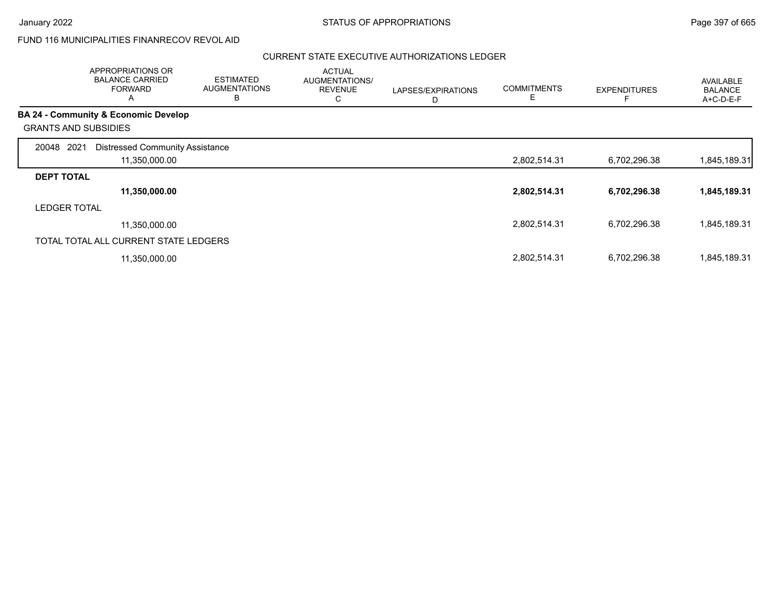## FUND 116 MUNICIPALITIES FINANRECOV REVOL AID

|                             | APPROPRIATIONS OR<br><b>BALANCE CARRIED</b><br><b>FORWARD</b><br>A | <b>ESTIMATED</b><br><b>AUGMENTATIONS</b><br>B | <b>ACTUAL</b><br>AUGMENTATIONS/<br><b>REVENUE</b><br>С | LAPSES/EXPIRATIONS<br>D | <b>COMMITMENTS</b><br>E. | <b>EXPENDITURES</b> | AVAILABLE<br><b>BALANCE</b><br>A+C-D-E-F |
|-----------------------------|--------------------------------------------------------------------|-----------------------------------------------|--------------------------------------------------------|-------------------------|--------------------------|---------------------|------------------------------------------|
|                             | <b>BA 24 - Community &amp; Economic Develop</b>                    |                                               |                                                        |                         |                          |                     |                                          |
| <b>GRANTS AND SUBSIDIES</b> |                                                                    |                                               |                                                        |                         |                          |                     |                                          |
| 2021<br>20048               | <b>Distressed Community Assistance</b>                             |                                               |                                                        |                         |                          |                     |                                          |
|                             | 11,350,000.00                                                      |                                               |                                                        |                         | 2,802,514.31             | 6,702,296.38        | 1,845,189.31                             |
| <b>DEPT TOTAL</b>           |                                                                    |                                               |                                                        |                         |                          |                     |                                          |
|                             | 11,350,000.00                                                      |                                               |                                                        |                         | 2,802,514.31             | 6,702,296.38        | 1,845,189.31                             |
| <b>LEDGER TOTAL</b>         |                                                                    |                                               |                                                        |                         |                          |                     |                                          |
|                             | 11,350,000.00                                                      |                                               |                                                        |                         | 2,802,514.31             | 6,702,296.38        | 1,845,189.31                             |
|                             | TOTAL TOTAL ALL CURRENT STATE LEDGERS                              |                                               |                                                        |                         |                          |                     |                                          |
|                             | 11,350,000.00                                                      |                                               |                                                        |                         | 2,802,514.31             | 6,702,296.38        | 1,845,189.31                             |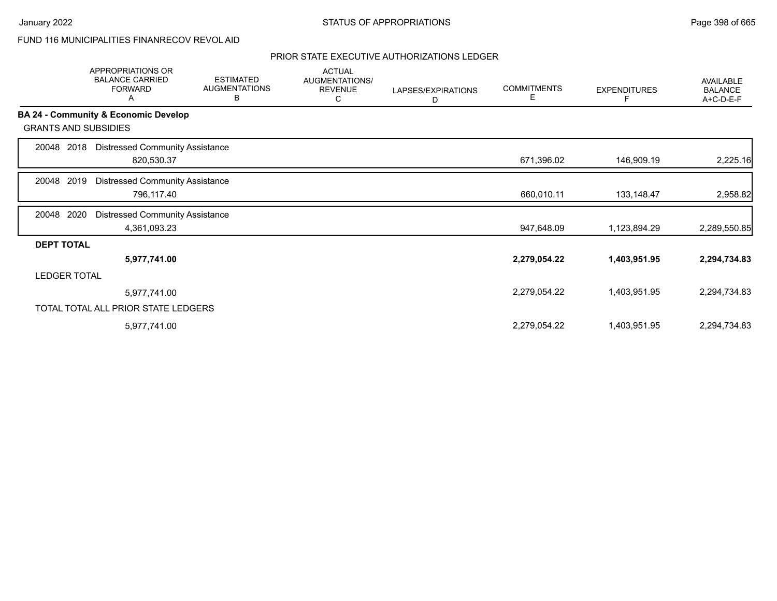# FUND 116 MUNICIPALITIES FINANRECOV REVOL AID

|                             | <b>APPROPRIATIONS OR</b><br><b>BALANCE CARRIED</b><br><b>FORWARD</b><br>A | <b>ESTIMATED</b><br><b>AUGMENTATIONS</b><br>в | <b>ACTUAL</b><br>AUGMENTATIONS/<br><b>REVENUE</b><br>С | LAPSES/EXPIRATIONS<br>D | <b>COMMITMENTS</b><br>E | <b>EXPENDITURES</b> | <b>AVAILABLE</b><br><b>BALANCE</b><br>A+C-D-E-F |
|-----------------------------|---------------------------------------------------------------------------|-----------------------------------------------|--------------------------------------------------------|-------------------------|-------------------------|---------------------|-------------------------------------------------|
|                             | BA 24 - Community & Economic Develop                                      |                                               |                                                        |                         |                         |                     |                                                 |
| <b>GRANTS AND SUBSIDIES</b> |                                                                           |                                               |                                                        |                         |                         |                     |                                                 |
| 2018<br>20048               | <b>Distressed Community Assistance</b><br>820,530.37                      |                                               |                                                        |                         | 671,396.02              | 146,909.19          | 2,225.16                                        |
| 2019<br>20048               | <b>Distressed Community Assistance</b><br>796,117.40                      |                                               |                                                        |                         | 660,010.11              | 133,148.47          | 2,958.82                                        |
| 2020<br>20048               | <b>Distressed Community Assistance</b><br>4,361,093.23                    |                                               |                                                        |                         | 947,648.09              | 1,123,894.29        | 2,289,550.85                                    |
| <b>DEPT TOTAL</b>           |                                                                           |                                               |                                                        |                         |                         |                     |                                                 |
|                             | 5,977,741.00                                                              |                                               |                                                        |                         | 2,279,054.22            | 1,403,951.95        | 2,294,734.83                                    |
| <b>LEDGER TOTAL</b>         |                                                                           |                                               |                                                        |                         |                         |                     |                                                 |
|                             | 5,977,741.00                                                              |                                               |                                                        |                         | 2,279,054.22            | 1,403,951.95        | 2,294,734.83                                    |
|                             | TOTAL TOTAL ALL PRIOR STATE LEDGERS                                       |                                               |                                                        |                         |                         |                     |                                                 |
|                             | 5,977,741.00                                                              |                                               |                                                        |                         | 2,279,054.22            | 1,403,951.95        | 2,294,734.83                                    |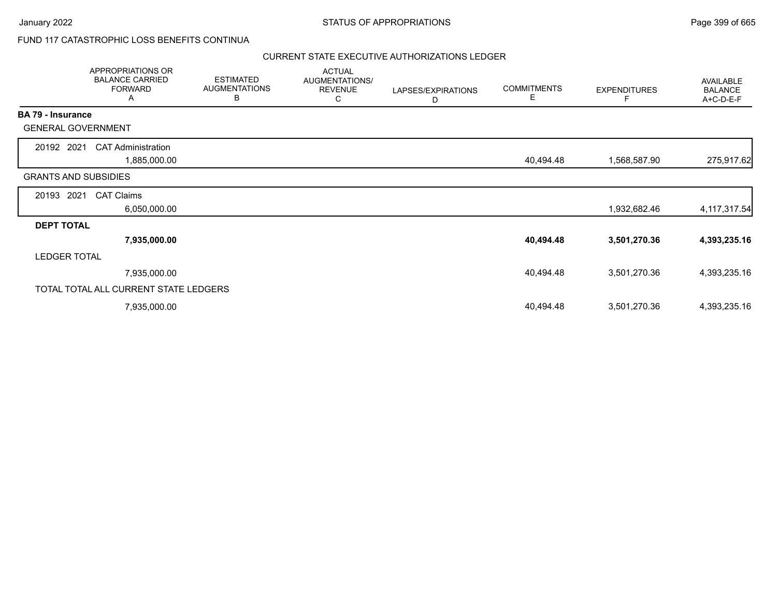## FUND 117 CATASTROPHIC LOSS BENEFITS CONTINUA

|                             | APPROPRIATIONS OR<br><b>BALANCE CARRIED</b><br><b>FORWARD</b><br>Α | <b>ESTIMATED</b><br><b>AUGMENTATIONS</b><br>В | <b>ACTUAL</b><br>AUGMENTATIONS/<br><b>REVENUE</b><br>С | LAPSES/EXPIRATIONS<br>D | <b>COMMITMENTS</b><br>Е | <b>EXPENDITURES</b> | AVAILABLE<br><b>BALANCE</b><br>A+C-D-E-F |
|-----------------------------|--------------------------------------------------------------------|-----------------------------------------------|--------------------------------------------------------|-------------------------|-------------------------|---------------------|------------------------------------------|
| <b>BA 79 - Insurance</b>    |                                                                    |                                               |                                                        |                         |                         |                     |                                          |
| <b>GENERAL GOVERNMENT</b>   |                                                                    |                                               |                                                        |                         |                         |                     |                                          |
| 20192 2021                  | <b>CAT Administration</b>                                          |                                               |                                                        |                         |                         |                     |                                          |
|                             | 1,885,000.00                                                       |                                               |                                                        |                         | 40,494.48               | 1,568,587.90        | 275,917.62                               |
| <b>GRANTS AND SUBSIDIES</b> |                                                                    |                                               |                                                        |                         |                         |                     |                                          |
| 20193 2021                  | <b>CAT Claims</b>                                                  |                                               |                                                        |                         |                         |                     |                                          |
|                             | 6,050,000.00                                                       |                                               |                                                        |                         |                         | 1,932,682.46        | 4, 117, 317.54                           |
| <b>DEPT TOTAL</b>           |                                                                    |                                               |                                                        |                         |                         |                     |                                          |
|                             | 7,935,000.00                                                       |                                               |                                                        |                         | 40,494.48               | 3,501,270.36        | 4,393,235.16                             |
| <b>LEDGER TOTAL</b>         |                                                                    |                                               |                                                        |                         |                         |                     |                                          |
|                             | 7,935,000.00                                                       |                                               |                                                        |                         | 40,494.48               | 3,501,270.36        | 4,393,235.16                             |
|                             | TOTAL TOTAL ALL CURRENT STATE LEDGERS                              |                                               |                                                        |                         |                         |                     |                                          |
|                             | 7,935,000.00                                                       |                                               |                                                        |                         | 40,494.48               | 3,501,270.36        | 4,393,235.16                             |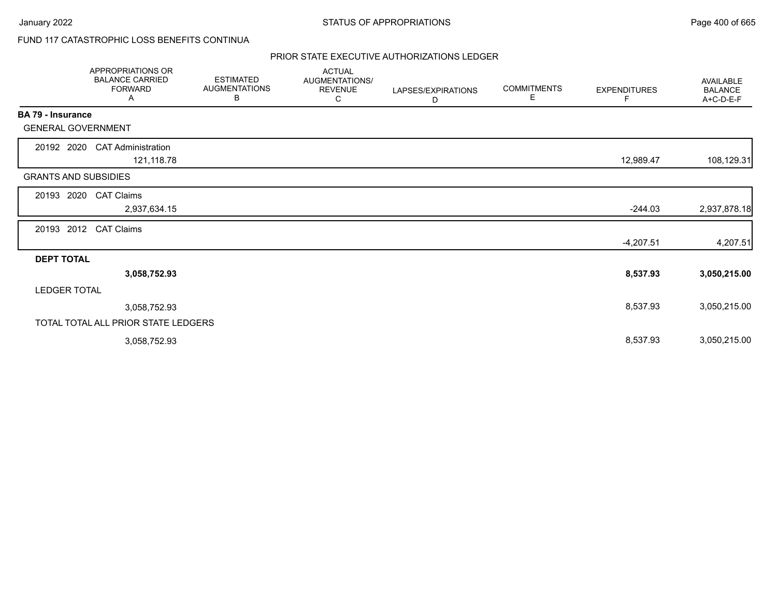# FUND 117 CATASTROPHIC LOSS BENEFITS CONTINUA

|                             | APPROPRIATIONS OR<br><b>BALANCE CARRIED</b><br><b>FORWARD</b><br>A | <b>ESTIMATED</b><br><b>AUGMENTATIONS</b><br>В | <b>ACTUAL</b><br>AUGMENTATIONS/<br><b>REVENUE</b><br>С | LAPSES/EXPIRATIONS<br>D | <b>COMMITMENTS</b><br>Е | <b>EXPENDITURES</b><br>F | <b>AVAILABLE</b><br><b>BALANCE</b><br>A+C-D-E-F |
|-----------------------------|--------------------------------------------------------------------|-----------------------------------------------|--------------------------------------------------------|-------------------------|-------------------------|--------------------------|-------------------------------------------------|
| BA 79 - Insurance           |                                                                    |                                               |                                                        |                         |                         |                          |                                                 |
| <b>GENERAL GOVERNMENT</b>   |                                                                    |                                               |                                                        |                         |                         |                          |                                                 |
| 20192 2020                  | <b>CAT Administration</b><br>121,118.78                            |                                               |                                                        |                         |                         | 12,989.47                | 108,129.31                                      |
| <b>GRANTS AND SUBSIDIES</b> |                                                                    |                                               |                                                        |                         |                         |                          |                                                 |
| 20193<br>2020               | <b>CAT Claims</b>                                                  |                                               |                                                        |                         |                         |                          |                                                 |
|                             | 2,937,634.15                                                       |                                               |                                                        |                         |                         | $-244.03$                | 2,937,878.18                                    |
| 20193 2012                  | <b>CAT Claims</b>                                                  |                                               |                                                        |                         |                         |                          |                                                 |
| <b>DEPT TOTAL</b>           |                                                                    |                                               |                                                        |                         |                         | $-4,207.51$              | 4,207.51                                        |
|                             | 3,058,752.93                                                       |                                               |                                                        |                         |                         | 8,537.93                 | 3,050,215.00                                    |
| <b>LEDGER TOTAL</b>         |                                                                    |                                               |                                                        |                         |                         |                          |                                                 |
|                             | 3,058,752.93                                                       |                                               |                                                        |                         |                         | 8,537.93                 | 3,050,215.00                                    |
|                             | TOTAL TOTAL ALL PRIOR STATE LEDGERS                                |                                               |                                                        |                         |                         |                          |                                                 |
|                             | 3,058,752.93                                                       |                                               |                                                        |                         |                         | 8,537.93                 | 3,050,215.00                                    |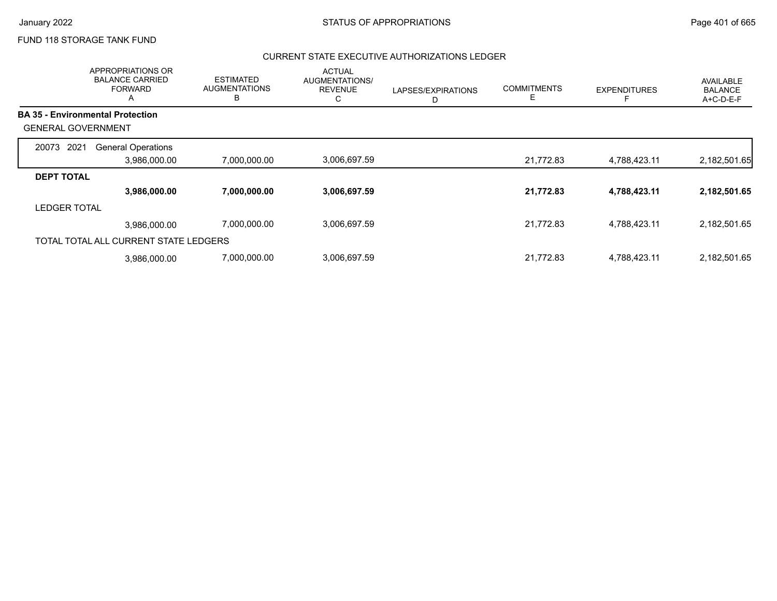## FUND 118 STORAGE TANK FUND

|                           | APPROPRIATIONS OR<br><b>BALANCE CARRIED</b><br><b>FORWARD</b><br>A | <b>ESTIMATED</b><br><b>AUGMENTATIONS</b><br>B | <b>ACTUAL</b><br><b>AUGMENTATIONS/</b><br><b>REVENUE</b><br>С | LAPSES/EXPIRATIONS<br>D | <b>COMMITMENTS</b><br>Е | <b>EXPENDITURES</b> | AVAILABLE<br><b>BALANCE</b><br>A+C-D-E-F |
|---------------------------|--------------------------------------------------------------------|-----------------------------------------------|---------------------------------------------------------------|-------------------------|-------------------------|---------------------|------------------------------------------|
|                           | <b>BA 35 - Environmental Protection</b>                            |                                               |                                                               |                         |                         |                     |                                          |
| <b>GENERAL GOVERNMENT</b> |                                                                    |                                               |                                                               |                         |                         |                     |                                          |
| 2021<br>20073             | <b>General Operations</b>                                          |                                               |                                                               |                         |                         |                     |                                          |
|                           | 3,986,000.00                                                       | 7,000,000.00                                  | 3,006,697.59                                                  |                         | 21,772.83               | 4,788,423.11        | 2,182,501.65                             |
| <b>DEPT TOTAL</b>         |                                                                    |                                               |                                                               |                         |                         |                     |                                          |
|                           | 3,986,000.00                                                       | 7,000,000.00                                  | 3,006,697.59                                                  |                         | 21,772.83               | 4,788,423.11        | 2,182,501.65                             |
| <b>LEDGER TOTAL</b>       |                                                                    |                                               |                                                               |                         |                         |                     |                                          |
|                           | 3,986,000.00                                                       | 7,000,000.00                                  | 3,006,697.59                                                  |                         | 21,772.83               | 4,788,423.11        | 2,182,501.65                             |
|                           | TOTAL TOTAL ALL CURRENT STATE LEDGERS                              |                                               |                                                               |                         |                         |                     |                                          |
|                           | 3.986.000.00                                                       | 7,000,000.00                                  | 3,006,697.59                                                  |                         | 21,772.83               | 4,788,423.11        | 2,182,501.65                             |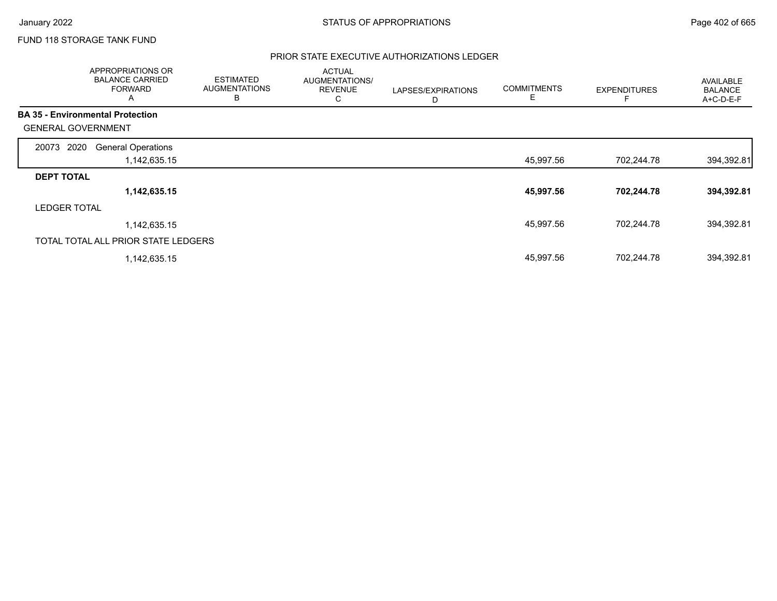## FUND 118 STORAGE TANK FUND

|                           | <b>APPROPRIATIONS OR</b><br><b>BALANCE CARRIED</b><br><b>FORWARD</b><br>A | <b>ESTIMATED</b><br><b>AUGMENTATIONS</b><br>в | <b>ACTUAL</b><br>AUGMENTATIONS/<br><b>REVENUE</b><br>С | LAPSES/EXPIRATIONS<br>D | <b>COMMITMENTS</b><br>Е | <b>EXPENDITURES</b> | AVAILABLE<br><b>BALANCE</b><br>A+C-D-E-F |
|---------------------------|---------------------------------------------------------------------------|-----------------------------------------------|--------------------------------------------------------|-------------------------|-------------------------|---------------------|------------------------------------------|
|                           | <b>BA 35 - Environmental Protection</b>                                   |                                               |                                                        |                         |                         |                     |                                          |
| <b>GENERAL GOVERNMENT</b> |                                                                           |                                               |                                                        |                         |                         |                     |                                          |
| 2020<br>20073             | <b>General Operations</b>                                                 |                                               |                                                        |                         |                         |                     |                                          |
|                           | 1,142,635.15                                                              |                                               |                                                        |                         | 45,997.56               | 702,244.78          | 394,392.81                               |
| <b>DEPT TOTAL</b>         |                                                                           |                                               |                                                        |                         |                         |                     |                                          |
|                           | 1,142,635.15                                                              |                                               |                                                        |                         | 45,997.56               | 702,244.78          | 394,392.81                               |
| <b>LEDGER TOTAL</b>       |                                                                           |                                               |                                                        |                         |                         |                     |                                          |
|                           | 1,142,635.15                                                              |                                               |                                                        |                         | 45,997.56               | 702.244.78          | 394,392.81                               |
|                           | TOTAL TOTAL ALL PRIOR STATE LEDGERS                                       |                                               |                                                        |                         |                         |                     |                                          |
|                           | 1,142,635.15                                                              |                                               |                                                        |                         | 45,997.56               | 702,244.78          | 394,392.81                               |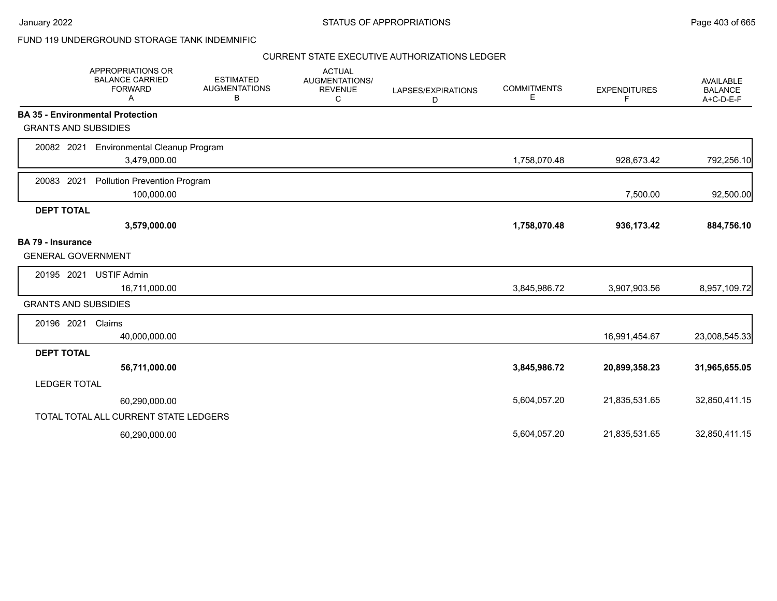٠.

## FUND 119 UNDERGROUND STORAGE TANK INDEMNIFIC

|                             | APPROPRIATIONS OR<br><b>BALANCE CARRIED</b><br><b>FORWARD</b><br>A | <b>ESTIMATED</b><br><b>AUGMENTATIONS</b><br>В | <b>ACTUAL</b><br><b>AUGMENTATIONS/</b><br><b>REVENUE</b><br>С | LAPSES/EXPIRATIONS<br>D | <b>COMMITMENTS</b><br>Е | <b>EXPENDITURES</b><br>F | <b>AVAILABLE</b><br><b>BALANCE</b><br>A+C-D-E-F |
|-----------------------------|--------------------------------------------------------------------|-----------------------------------------------|---------------------------------------------------------------|-------------------------|-------------------------|--------------------------|-------------------------------------------------|
|                             | <b>BA 35 - Environmental Protection</b>                            |                                               |                                                               |                         |                         |                          |                                                 |
| <b>GRANTS AND SUBSIDIES</b> |                                                                    |                                               |                                                               |                         |                         |                          |                                                 |
| 20082 2021                  | <b>Environmental Cleanup Program</b>                               |                                               |                                                               |                         |                         |                          |                                                 |
|                             | 3,479,000.00                                                       |                                               |                                                               |                         | 1,758,070.48            | 928,673.42               | 792,256.10                                      |
| 20083 2021                  | Pollution Prevention Program                                       |                                               |                                                               |                         |                         |                          |                                                 |
|                             | 100,000.00                                                         |                                               |                                                               |                         |                         | 7,500.00                 | 92,500.00                                       |
| <b>DEPT TOTAL</b>           |                                                                    |                                               |                                                               |                         |                         |                          |                                                 |
|                             | 3,579,000.00                                                       |                                               |                                                               |                         | 1,758,070.48            | 936,173.42               | 884,756.10                                      |
| <b>BA 79 - Insurance</b>    |                                                                    |                                               |                                                               |                         |                         |                          |                                                 |
| <b>GENERAL GOVERNMENT</b>   |                                                                    |                                               |                                                               |                         |                         |                          |                                                 |
| 20195 2021                  | <b>USTIF Admin</b>                                                 |                                               |                                                               |                         |                         |                          |                                                 |
|                             | 16,711,000.00                                                      |                                               |                                                               |                         | 3,845,986.72            | 3,907,903.56             | 8,957,109.72                                    |
| <b>GRANTS AND SUBSIDIES</b> |                                                                    |                                               |                                                               |                         |                         |                          |                                                 |
| 20196 2021                  | Claims                                                             |                                               |                                                               |                         |                         |                          |                                                 |
|                             | 40,000,000.00                                                      |                                               |                                                               |                         |                         | 16,991,454.67            | 23,008,545.33                                   |
| <b>DEPT TOTAL</b>           |                                                                    |                                               |                                                               |                         |                         |                          |                                                 |
|                             | 56,711,000.00                                                      |                                               |                                                               |                         | 3,845,986.72            | 20,899,358.23            | 31,965,655.05                                   |
| <b>LEDGER TOTAL</b>         |                                                                    |                                               |                                                               |                         |                         |                          |                                                 |
|                             | 60,290,000.00                                                      |                                               |                                                               |                         | 5,604,057.20            | 21,835,531.65            | 32,850,411.15                                   |
|                             | TOTAL TOTAL ALL CURRENT STATE LEDGERS                              |                                               |                                                               |                         |                         |                          |                                                 |
|                             | 60,290,000.00                                                      |                                               |                                                               |                         | 5,604,057.20            | 21,835,531.65            | 32,850,411.15                                   |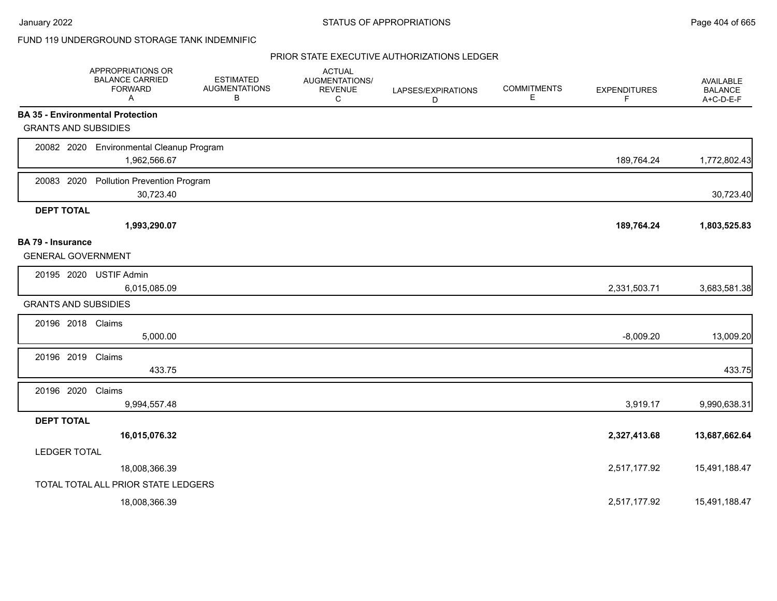## FUND 119 UNDERGROUND STORAGE TANK INDEMNIFIC

|                                                       | APPROPRIATIONS OR<br><b>BALANCE CARRIED</b><br><b>FORWARD</b><br>A | <b>ESTIMATED</b><br><b>AUGMENTATIONS</b><br>В | <b>ACTUAL</b><br>AUGMENTATIONS/<br><b>REVENUE</b><br>C | LAPSES/EXPIRATIONS<br>D | <b>COMMITMENTS</b><br>E | <b>EXPENDITURES</b><br>F | AVAILABLE<br><b>BALANCE</b><br>A+C-D-E-F |
|-------------------------------------------------------|--------------------------------------------------------------------|-----------------------------------------------|--------------------------------------------------------|-------------------------|-------------------------|--------------------------|------------------------------------------|
|                                                       | <b>BA 35 - Environmental Protection</b>                            |                                               |                                                        |                         |                         |                          |                                          |
| <b>GRANTS AND SUBSIDIES</b>                           |                                                                    |                                               |                                                        |                         |                         |                          |                                          |
|                                                       | 20082 2020 Environmental Cleanup Program<br>1,962,566.67           |                                               |                                                        |                         |                         | 189,764.24               | 1,772,802.43                             |
| 20083 2020                                            | <b>Pollution Prevention Program</b><br>30,723.40                   |                                               |                                                        |                         |                         |                          | 30,723.40                                |
| <b>DEPT TOTAL</b>                                     |                                                                    |                                               |                                                        |                         |                         |                          |                                          |
|                                                       | 1,993,290.07                                                       |                                               |                                                        |                         |                         | 189,764.24               | 1,803,525.83                             |
| <b>BA 79 - Insurance</b><br><b>GENERAL GOVERNMENT</b> |                                                                    |                                               |                                                        |                         |                         |                          |                                          |
| 20195 2020                                            | <b>USTIF Admin</b><br>6,015,085.09                                 |                                               |                                                        |                         |                         | 2,331,503.71             | 3,683,581.38                             |
| <b>GRANTS AND SUBSIDIES</b>                           |                                                                    |                                               |                                                        |                         |                         |                          |                                          |
| 20196 2018 Claims                                     | 5,000.00                                                           |                                               |                                                        |                         |                         | $-8,009.20$              | 13,009.20                                |
| 20196 2019                                            | Claims<br>433.75                                                   |                                               |                                                        |                         |                         |                          | 433.75                                   |
| 20196 2020                                            | Claims<br>9,994,557.48                                             |                                               |                                                        |                         |                         | 3,919.17                 | 9,990,638.31                             |
| <b>DEPT TOTAL</b>                                     |                                                                    |                                               |                                                        |                         |                         |                          |                                          |
|                                                       | 16,015,076.32                                                      |                                               |                                                        |                         |                         | 2,327,413.68             | 13,687,662.64                            |
| <b>LEDGER TOTAL</b>                                   |                                                                    |                                               |                                                        |                         |                         |                          |                                          |
|                                                       | 18,008,366.39                                                      |                                               |                                                        |                         |                         | 2,517,177.92             | 15,491,188.47                            |
|                                                       | TOTAL TOTAL ALL PRIOR STATE LEDGERS                                |                                               |                                                        |                         |                         |                          |                                          |
|                                                       | 18,008,366.39                                                      |                                               |                                                        |                         |                         | 2,517,177.92             | 15,491,188.47                            |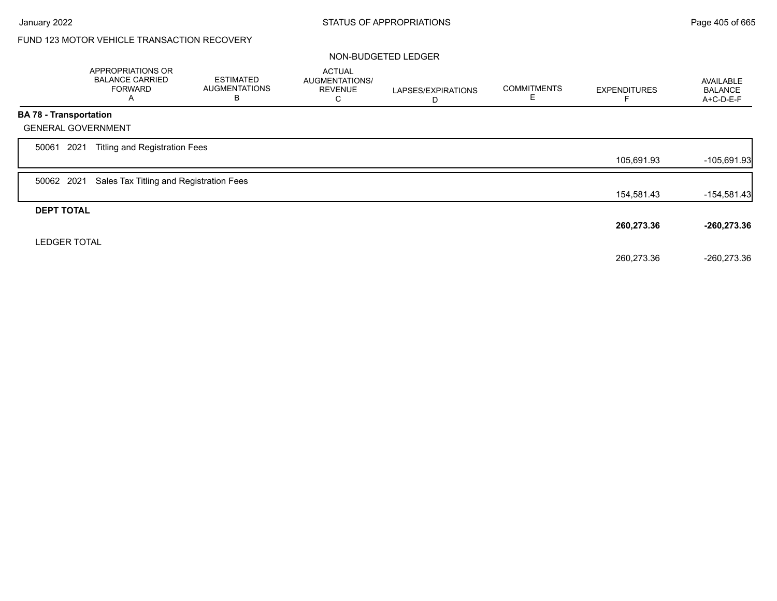# FUND 123 MOTOR VEHICLE TRANSACTION RECOVERY

### NON-BUDGETED LEDGER

|                           | APPROPRIATIONS OR<br><b>BALANCE CARRIED</b><br><b>FORWARD</b><br>A | <b>ESTIMATED</b><br><b>AUGMENTATIONS</b><br>В | <b>ACTUAL</b><br>AUGMENTATIONS/<br><b>REVENUE</b><br>С | LAPSES/EXPIRATIONS<br>D | <b>COMMITMENTS</b><br>Е | <b>EXPENDITURES</b> | AVAILABLE<br><b>BALANCE</b><br>A+C-D-E-F |
|---------------------------|--------------------------------------------------------------------|-----------------------------------------------|--------------------------------------------------------|-------------------------|-------------------------|---------------------|------------------------------------------|
| BA 78 - Transportation    |                                                                    |                                               |                                                        |                         |                         |                     |                                          |
| <b>GENERAL GOVERNMENT</b> |                                                                    |                                               |                                                        |                         |                         |                     |                                          |
| 2021<br>50061             | <b>Titling and Registration Fees</b>                               |                                               |                                                        |                         |                         |                     |                                          |
|                           |                                                                    |                                               |                                                        |                         |                         | 105,691.93          | $-105,691.93$                            |
| 50062 2021                | Sales Tax Titling and Registration Fees                            |                                               |                                                        |                         |                         |                     |                                          |
|                           |                                                                    |                                               |                                                        |                         |                         | 154,581.43          | $-154,581.43$                            |
| <b>DEPT TOTAL</b>         |                                                                    |                                               |                                                        |                         |                         |                     |                                          |
|                           |                                                                    |                                               |                                                        |                         |                         | 260,273.36          | $-260,273.36$                            |
| <b>LEDGER TOTAL</b>       |                                                                    |                                               |                                                        |                         |                         |                     |                                          |
|                           |                                                                    |                                               |                                                        |                         |                         | 260,273.36          | $-260,273.36$                            |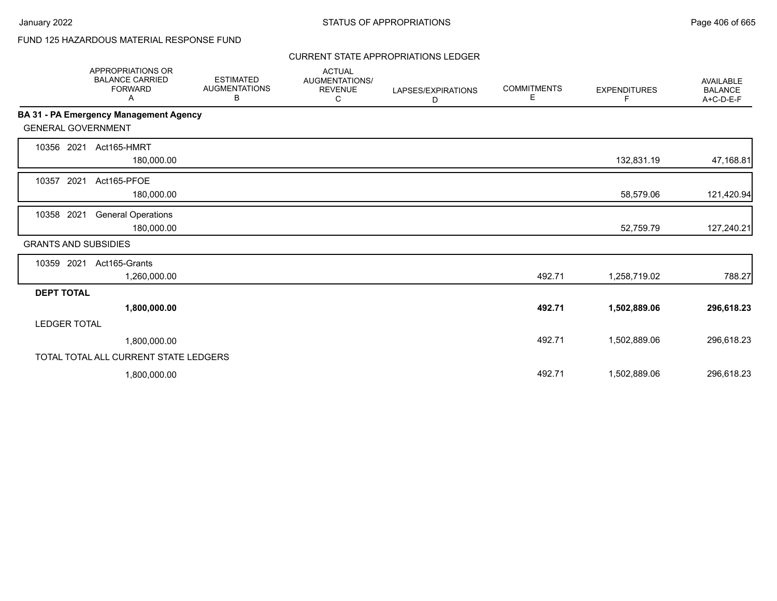# FUND 125 HAZARDOUS MATERIAL RESPONSE FUND

## CURRENT STATE APPROPRIATIONS LEDGER

|                             | <b>APPROPRIATIONS OR</b><br><b>BALANCE CARRIED</b><br><b>FORWARD</b><br>Α | <b>ESTIMATED</b><br><b>AUGMENTATIONS</b><br>В | <b>ACTUAL</b><br>AUGMENTATIONS/<br><b>REVENUE</b><br>С | LAPSES/EXPIRATIONS<br>D | <b>COMMITMENTS</b><br>E. | <b>EXPENDITURES</b><br>F. | <b>AVAILABLE</b><br><b>BALANCE</b><br>A+C-D-E-F |
|-----------------------------|---------------------------------------------------------------------------|-----------------------------------------------|--------------------------------------------------------|-------------------------|--------------------------|---------------------------|-------------------------------------------------|
|                             | <b>BA 31 - PA Emergency Management Agency</b>                             |                                               |                                                        |                         |                          |                           |                                                 |
| <b>GENERAL GOVERNMENT</b>   |                                                                           |                                               |                                                        |                         |                          |                           |                                                 |
| 10356 2021                  | Act165-HMRT<br>180,000.00                                                 |                                               |                                                        |                         |                          | 132,831.19                | 47,168.81                                       |
| 2021<br>10357               | Act165-PFOE<br>180,000.00                                                 |                                               |                                                        |                         |                          | 58,579.06                 | 121,420.94                                      |
| 10358 2021                  | <b>General Operations</b><br>180,000.00                                   |                                               |                                                        |                         |                          | 52,759.79                 | 127,240.21                                      |
| <b>GRANTS AND SUBSIDIES</b> |                                                                           |                                               |                                                        |                         |                          |                           |                                                 |
| 10359 2021                  | Act165-Grants<br>1,260,000.00                                             |                                               |                                                        |                         | 492.71                   | 1,258,719.02              | 788.27                                          |
| <b>DEPT TOTAL</b>           |                                                                           |                                               |                                                        |                         |                          |                           |                                                 |
|                             | 1,800,000.00                                                              |                                               |                                                        |                         | 492.71                   | 1,502,889.06              | 296,618.23                                      |
| <b>LEDGER TOTAL</b>         |                                                                           |                                               |                                                        |                         |                          |                           |                                                 |
|                             | 1,800,000.00                                                              |                                               |                                                        |                         | 492.71                   | 1,502,889.06              | 296,618.23                                      |
|                             | TOTAL TOTAL ALL CURRENT STATE LEDGERS                                     |                                               |                                                        |                         |                          |                           |                                                 |
|                             | 1,800,000.00                                                              |                                               |                                                        |                         | 492.71                   | 1,502,889.06              | 296,618.23                                      |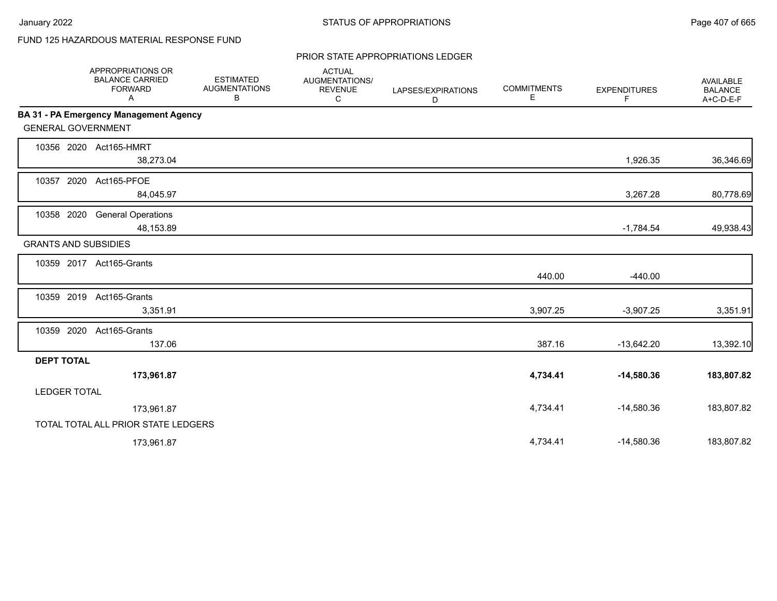# FUND 125 HAZARDOUS MATERIAL RESPONSE FUND

### PRIOR STATE APPROPRIATIONS LEDGER

|                     | <b>APPROPRIATIONS OR</b><br><b>BALANCE CARRIED</b><br><b>FORWARD</b><br>Α | <b>ESTIMATED</b><br><b>AUGMENTATIONS</b><br>B | <b>ACTUAL</b><br>AUGMENTATIONS/<br><b>REVENUE</b><br>C | LAPSES/EXPIRATIONS<br>D | <b>COMMITMENTS</b><br>Е | <b>EXPENDITURES</b><br>F. | <b>AVAILABLE</b><br><b>BALANCE</b><br>A+C-D-E-F |
|---------------------|---------------------------------------------------------------------------|-----------------------------------------------|--------------------------------------------------------|-------------------------|-------------------------|---------------------------|-------------------------------------------------|
|                     | BA 31 - PA Emergency Management Agency                                    |                                               |                                                        |                         |                         |                           |                                                 |
|                     | <b>GENERAL GOVERNMENT</b>                                                 |                                               |                                                        |                         |                         |                           |                                                 |
|                     | 10356 2020 Act165-HMRT<br>38,273.04                                       |                                               |                                                        |                         |                         | 1,926.35                  | 36,346.69                                       |
| 10357               | 2020<br>Act165-PFOE<br>84,045.97                                          |                                               |                                                        |                         |                         | 3,267.28                  | 80,778.69                                       |
| 10358 2020          | <b>General Operations</b><br>48,153.89                                    |                                               |                                                        |                         |                         | $-1,784.54$               | 49,938.43                                       |
|                     | <b>GRANTS AND SUBSIDIES</b>                                               |                                               |                                                        |                         |                         |                           |                                                 |
|                     | 10359 2017 Act165-Grants                                                  |                                               |                                                        |                         | 440.00                  | $-440.00$                 |                                                 |
| 10359 2019          | Act165-Grants<br>3,351.91                                                 |                                               |                                                        |                         | 3,907.25                | $-3,907.25$               | 3,351.91                                        |
| 10359 2020          | Act165-Grants<br>137.06                                                   |                                               |                                                        |                         | 387.16                  | $-13,642.20$              | 13,392.10                                       |
| <b>DEPT TOTAL</b>   |                                                                           |                                               |                                                        |                         |                         |                           |                                                 |
|                     | 173,961.87                                                                |                                               |                                                        |                         | 4,734.41                | $-14,580.36$              | 183,807.82                                      |
| <b>LEDGER TOTAL</b> |                                                                           |                                               |                                                        |                         |                         |                           |                                                 |
|                     | 173,961.87                                                                |                                               |                                                        |                         | 4,734.41                | $-14,580.36$              | 183,807.82                                      |
|                     | TOTAL TOTAL ALL PRIOR STATE LEDGERS                                       |                                               |                                                        |                         |                         |                           |                                                 |
|                     | 173,961.87                                                                |                                               |                                                        |                         | 4,734.41                | $-14,580.36$              | 183,807.82                                      |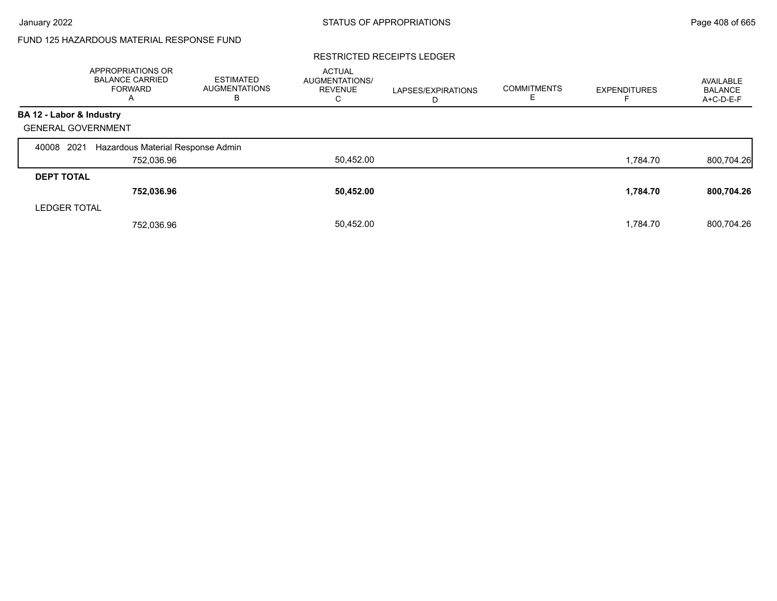# FUND 125 HAZARDOUS MATERIAL RESPONSE FUND

### RESTRICTED RECEIPTS LEDGER

|                           | <b>APPROPRIATIONS OR</b><br><b>BALANCE CARRIED</b><br><b>FORWARD</b><br>A | <b>ESTIMATED</b><br><b>AUGMENTATIONS</b><br>в | <b>ACTUAL</b><br><b>AUGMENTATIONS/</b><br><b>REVENUE</b><br>C. | LAPSES/EXPIRATIONS<br>D | <b>COMMITMENTS</b> | <b>EXPENDITURES</b> | AVAILABLE<br><b>BALANCE</b><br>A+C-D-E-F |
|---------------------------|---------------------------------------------------------------------------|-----------------------------------------------|----------------------------------------------------------------|-------------------------|--------------------|---------------------|------------------------------------------|
| BA 12 - Labor & Industry  |                                                                           |                                               |                                                                |                         |                    |                     |                                          |
| <b>GENERAL GOVERNMENT</b> |                                                                           |                                               |                                                                |                         |                    |                     |                                          |
| 2021<br>40008             | Hazardous Material Response Admin                                         |                                               |                                                                |                         |                    |                     |                                          |
|                           | 752,036.96                                                                |                                               | 50,452.00                                                      |                         |                    | 1,784.70            | 800,704.26                               |
| <b>DEPT TOTAL</b>         |                                                                           |                                               |                                                                |                         |                    |                     |                                          |
|                           | 752,036.96                                                                |                                               | 50,452.00                                                      |                         |                    | 1,784.70            | 800,704.26                               |
| <b>LEDGER TOTAL</b>       |                                                                           |                                               |                                                                |                         |                    |                     |                                          |
|                           | 752,036.96                                                                |                                               | 50,452.00                                                      |                         |                    | 1.784.70            | 800.704.26                               |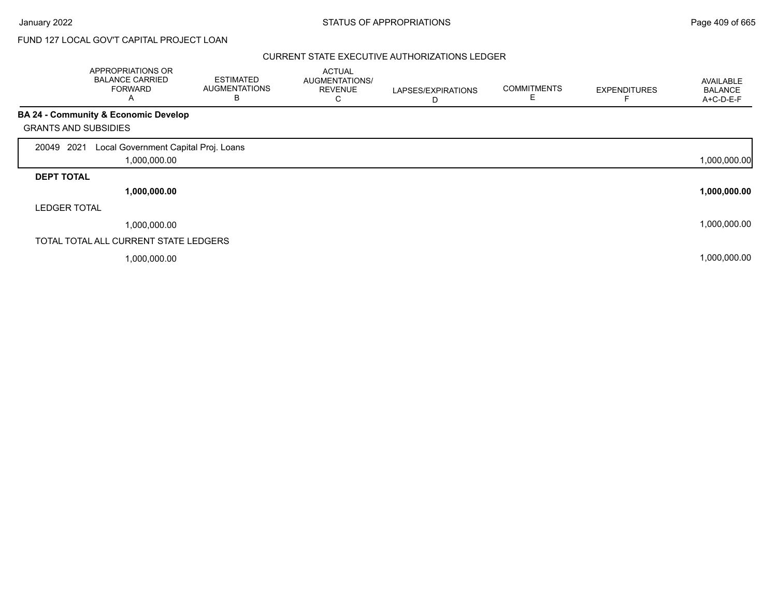# FUND 127 LOCAL GOV'T CAPITAL PROJECT LOAN

|                             | APPROPRIATIONS OR<br><b>BALANCE CARRIED</b><br><b>FORWARD</b><br>A | <b>ESTIMATED</b><br><b>AUGMENTATIONS</b><br>в | <b>ACTUAL</b><br>AUGMENTATIONS/<br><b>REVENUE</b><br>С | LAPSES/EXPIRATIONS<br>D | <b>COMMITMENTS</b><br>Е | <b>EXPENDITURES</b> | <b>AVAILABLE</b><br><b>BALANCE</b><br>A+C-D-E-F |
|-----------------------------|--------------------------------------------------------------------|-----------------------------------------------|--------------------------------------------------------|-------------------------|-------------------------|---------------------|-------------------------------------------------|
|                             | BA 24 - Community & Economic Develop                               |                                               |                                                        |                         |                         |                     |                                                 |
| <b>GRANTS AND SUBSIDIES</b> |                                                                    |                                               |                                                        |                         |                         |                     |                                                 |
| 2021<br>20049               | Local Government Capital Proj. Loans                               |                                               |                                                        |                         |                         |                     |                                                 |
|                             | 1,000,000.00                                                       |                                               |                                                        |                         |                         |                     | 1,000,000.00                                    |
| <b>DEPT TOTAL</b>           |                                                                    |                                               |                                                        |                         |                         |                     |                                                 |
|                             | 1,000,000.00                                                       |                                               |                                                        |                         |                         |                     | 1,000,000.00                                    |
| <b>LEDGER TOTAL</b>         |                                                                    |                                               |                                                        |                         |                         |                     |                                                 |
|                             | 1,000,000.00                                                       |                                               |                                                        |                         |                         |                     | 1,000,000.00                                    |
|                             | TOTAL TOTAL ALL CURRENT STATE LEDGERS                              |                                               |                                                        |                         |                         |                     |                                                 |
|                             | 1,000,000.00                                                       |                                               |                                                        |                         |                         |                     | 1,000,000.00                                    |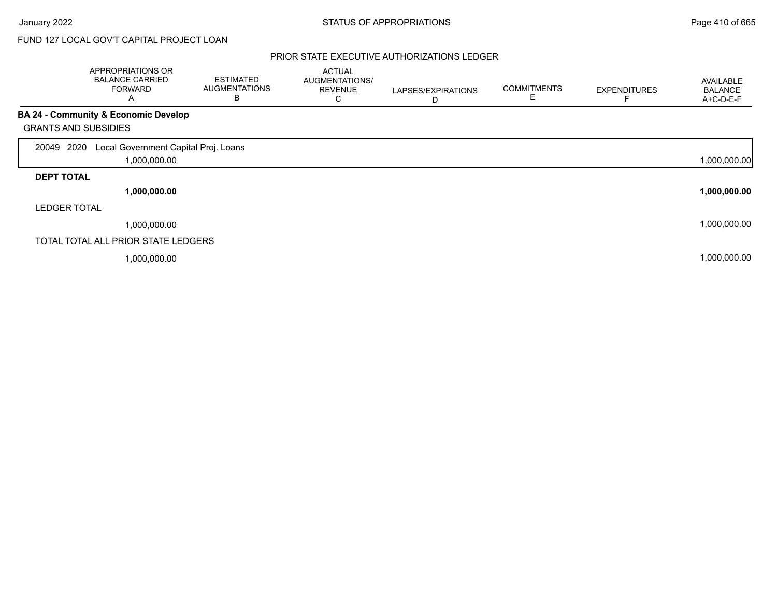# FUND 127 LOCAL GOV'T CAPITAL PROJECT LOAN

|                             | APPROPRIATIONS OR<br><b>BALANCE CARRIED</b><br><b>FORWARD</b><br>A | <b>ESTIMATED</b><br><b>AUGMENTATIONS</b><br>в | <b>ACTUAL</b><br>AUGMENTATIONS/<br><b>REVENUE</b><br>C | LAPSES/EXPIRATIONS<br>D | <b>COMMITMENTS</b><br>Е | <b>EXPENDITURES</b> | AVAILABLE<br><b>BALANCE</b><br>A+C-D-E-F |
|-----------------------------|--------------------------------------------------------------------|-----------------------------------------------|--------------------------------------------------------|-------------------------|-------------------------|---------------------|------------------------------------------|
|                             | BA 24 - Community & Economic Develop                               |                                               |                                                        |                         |                         |                     |                                          |
| <b>GRANTS AND SUBSIDIES</b> |                                                                    |                                               |                                                        |                         |                         |                     |                                          |
| 2020<br>20049               | Local Government Capital Proj. Loans                               |                                               |                                                        |                         |                         |                     |                                          |
|                             | 1,000,000.00                                                       |                                               |                                                        |                         |                         |                     | 1,000,000.00                             |
| <b>DEPT TOTAL</b>           |                                                                    |                                               |                                                        |                         |                         |                     |                                          |
|                             | 1,000,000.00                                                       |                                               |                                                        |                         |                         |                     | 1,000,000.00                             |
| <b>LEDGER TOTAL</b>         |                                                                    |                                               |                                                        |                         |                         |                     |                                          |
|                             | 1,000,000.00                                                       |                                               |                                                        |                         |                         |                     | 1,000,000.00                             |
|                             | TOTAL TOTAL ALL PRIOR STATE LEDGERS                                |                                               |                                                        |                         |                         |                     |                                          |
|                             | 1,000,000.00                                                       |                                               |                                                        |                         |                         |                     | 1,000,000.00                             |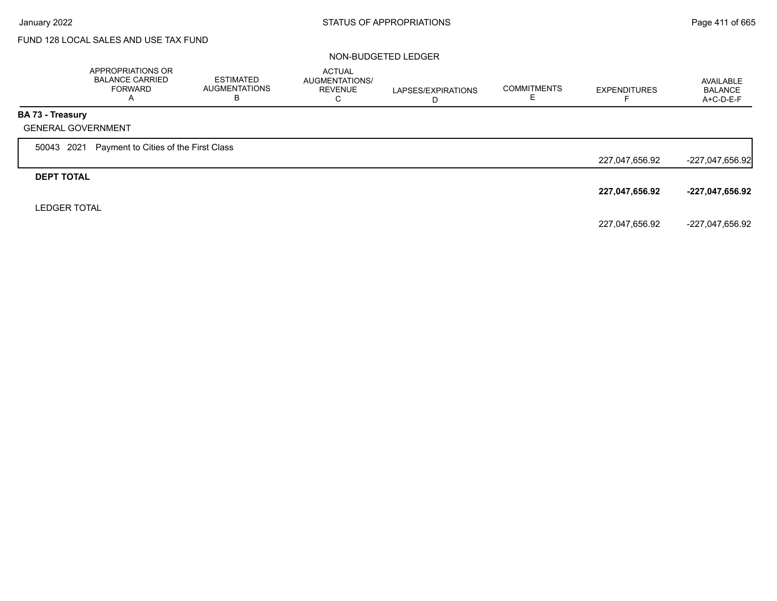# FUND 128 LOCAL SALES AND USE TAX FUND

### NON-BUDGETED LEDGER

|                           | APPROPRIATIONS OR<br><b>BALANCE CARRIED</b><br>FORWARD<br>$\mathsf{A}$ | <b>ESTIMATED</b><br><b>AUGMENTATIONS</b><br>в | <b>ACTUAL</b><br>AUGMENTATIONS/<br><b>REVENUE</b><br>C | LAPSES/EXPIRATIONS<br>D | <b>COMMITMENTS</b> | <b>EXPENDITURES</b> | AVAILABLE<br><b>BALANCE</b><br>$A+C-D-E-F$ |
|---------------------------|------------------------------------------------------------------------|-----------------------------------------------|--------------------------------------------------------|-------------------------|--------------------|---------------------|--------------------------------------------|
| <b>BA 73 - Treasury</b>   |                                                                        |                                               |                                                        |                         |                    |                     |                                            |
| <b>GENERAL GOVERNMENT</b> |                                                                        |                                               |                                                        |                         |                    |                     |                                            |
| 50043 2021                | Payment to Cities of the First Class                                   |                                               |                                                        |                         |                    |                     |                                            |
|                           |                                                                        |                                               |                                                        |                         |                    | 227,047,656.92      | $-227,047,656.92$                          |
| <b>DEPT TOTAL</b>         |                                                                        |                                               |                                                        |                         |                    |                     |                                            |
|                           |                                                                        |                                               |                                                        |                         |                    | 227,047,656.92      | -227,047,656.92                            |
| <b>LEDGER TOTAL</b>       |                                                                        |                                               |                                                        |                         |                    |                     |                                            |
|                           |                                                                        |                                               |                                                        |                         |                    | 227,047,656.92      | -227,047,656.92                            |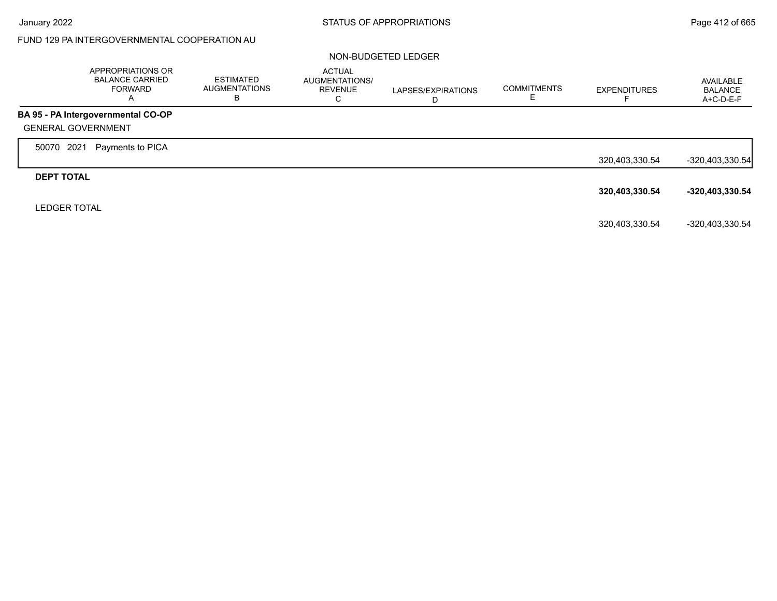# FUND 129 PA INTERGOVERNMENTAL COOPERATION AU

#### NON-BUDGETED LEDGER

|                           | APPROPRIATIONS OR<br><b>BALANCE CARRIED</b><br><b>FORWARD</b><br>A | <b>ESTIMATED</b><br><b>AUGMENTATIONS</b><br>В | <b>ACTUAL</b><br>AUGMENTATIONS/<br><b>REVENUE</b><br>C | LAPSES/EXPIRATIONS<br>D | <b>COMMITMENTS</b> | <b>EXPENDITURES</b> | AVAILABLE<br><b>BALANCE</b><br>$A+C-D-E-F$ |
|---------------------------|--------------------------------------------------------------------|-----------------------------------------------|--------------------------------------------------------|-------------------------|--------------------|---------------------|--------------------------------------------|
|                           | BA 95 - PA Intergovernmental CO-OP                                 |                                               |                                                        |                         |                    |                     |                                            |
| <b>GENERAL GOVERNMENT</b> |                                                                    |                                               |                                                        |                         |                    |                     |                                            |
| 2021<br>50070             | Payments to PICA                                                   |                                               |                                                        |                         |                    |                     |                                            |
|                           |                                                                    |                                               |                                                        |                         |                    | 320,403,330.54      | $-320,403,330.54$                          |
| <b>DEPT TOTAL</b>         |                                                                    |                                               |                                                        |                         |                    |                     |                                            |
|                           |                                                                    |                                               |                                                        |                         |                    | 320,403,330.54      | -320,403,330.54                            |
| <b>LEDGER TOTAL</b>       |                                                                    |                                               |                                                        |                         |                    |                     |                                            |
|                           |                                                                    |                                               |                                                        |                         |                    | 320,403,330.54      | -320,403,330.54                            |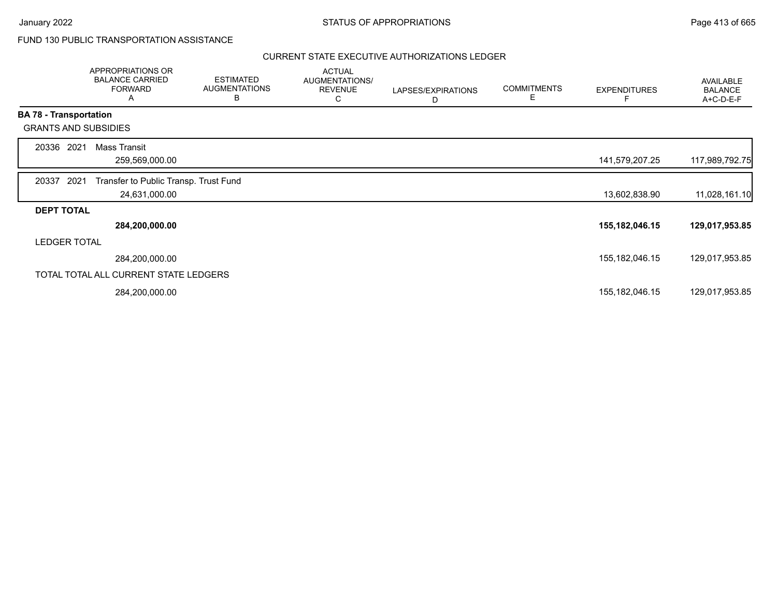## FUND 130 PUBLIC TRANSPORTATION ASSISTANCE

|                               | APPROPRIATIONS OR<br><b>BALANCE CARRIED</b><br><b>FORWARD</b><br>Α | <b>ESTIMATED</b><br><b>AUGMENTATIONS</b><br>B | <b>ACTUAL</b><br>AUGMENTATIONS/<br><b>REVENUE</b><br>С | LAPSES/EXPIRATIONS<br>D | <b>COMMITMENTS</b><br>Е | <b>EXPENDITURES</b> | AVAILABLE<br><b>BALANCE</b><br>A+C-D-E-F |
|-------------------------------|--------------------------------------------------------------------|-----------------------------------------------|--------------------------------------------------------|-------------------------|-------------------------|---------------------|------------------------------------------|
| <b>BA 78 - Transportation</b> |                                                                    |                                               |                                                        |                         |                         |                     |                                          |
|                               | <b>GRANTS AND SUBSIDIES</b>                                        |                                               |                                                        |                         |                         |                     |                                          |
| 20336                         | 2021<br>Mass Transit                                               |                                               |                                                        |                         |                         |                     |                                          |
|                               | 259,569,000.00                                                     |                                               |                                                        |                         |                         | 141,579,207.25      | 117,989,792.75                           |
| 20337                         | 2021<br>Transfer to Public Transp. Trust Fund                      |                                               |                                                        |                         |                         |                     |                                          |
|                               | 24,631,000.00                                                      |                                               |                                                        |                         |                         | 13,602,838.90       | 11,028,161.10                            |
| <b>DEPT TOTAL</b>             |                                                                    |                                               |                                                        |                         |                         |                     |                                          |
|                               | 284,200,000.00                                                     |                                               |                                                        |                         |                         | 155, 182, 046. 15   | 129,017,953.85                           |
|                               | <b>LEDGER TOTAL</b>                                                |                                               |                                                        |                         |                         |                     |                                          |
|                               | 284,200,000.00                                                     |                                               |                                                        |                         |                         | 155, 182, 046. 15   | 129,017,953.85                           |
|                               | TOTAL TOTAL ALL CURRENT STATE LEDGERS                              |                                               |                                                        |                         |                         |                     |                                          |
|                               | 284,200,000.00                                                     |                                               |                                                        |                         |                         | 155, 182, 046. 15   | 129,017,953.85                           |
|                               |                                                                    |                                               |                                                        |                         |                         |                     |                                          |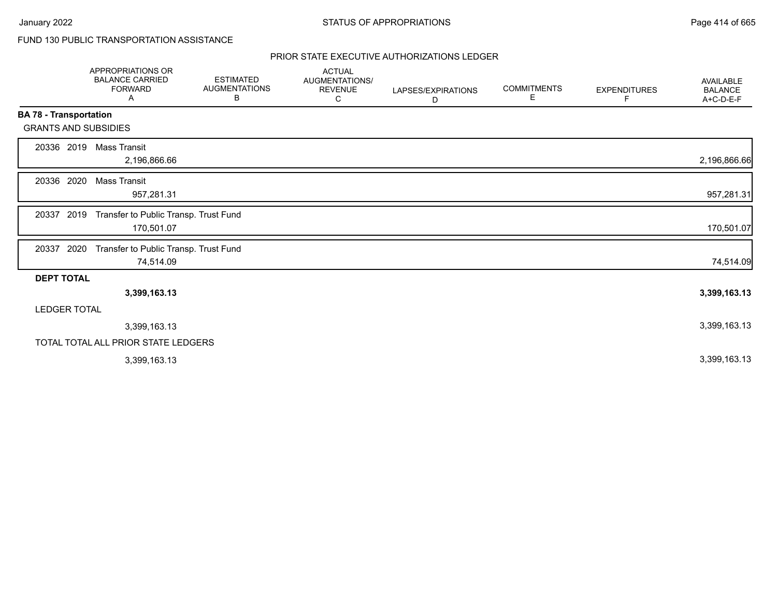# FUND 130 PUBLIC TRANSPORTATION ASSISTANCE

|                               | APPROPRIATIONS OR<br><b>BALANCE CARRIED</b><br><b>FORWARD</b><br>Α | <b>ESTIMATED</b><br><b>AUGMENTATIONS</b><br>В | <b>ACTUAL</b><br>AUGMENTATIONS/<br><b>REVENUE</b><br>С | LAPSES/EXPIRATIONS<br>D | <b>COMMITMENTS</b><br>Е | <b>EXPENDITURES</b><br>F | AVAILABLE<br><b>BALANCE</b><br>A+C-D-E-F |
|-------------------------------|--------------------------------------------------------------------|-----------------------------------------------|--------------------------------------------------------|-------------------------|-------------------------|--------------------------|------------------------------------------|
| <b>BA 78 - Transportation</b> |                                                                    |                                               |                                                        |                         |                         |                          |                                          |
| <b>GRANTS AND SUBSIDIES</b>   |                                                                    |                                               |                                                        |                         |                         |                          |                                          |
| 20336 2019                    | Mass Transit<br>2,196,866.66                                       |                                               |                                                        |                         |                         |                          | 2,196,866.66                             |
| 20336 2020                    | Mass Transit<br>957,281.31                                         |                                               |                                                        |                         |                         |                          | 957,281.31                               |
| 2019<br>20337                 | Transfer to Public Transp. Trust Fund<br>170,501.07                |                                               |                                                        |                         |                         |                          | 170,501.07                               |
| 20337<br>2020                 | Transfer to Public Transp. Trust Fund<br>74,514.09                 |                                               |                                                        |                         |                         |                          | 74,514.09                                |
| <b>DEPT TOTAL</b>             |                                                                    |                                               |                                                        |                         |                         |                          |                                          |
|                               | 3,399,163.13                                                       |                                               |                                                        |                         |                         |                          | 3,399,163.13                             |
| <b>LEDGER TOTAL</b>           |                                                                    |                                               |                                                        |                         |                         |                          |                                          |
|                               | 3,399,163.13                                                       |                                               |                                                        |                         |                         |                          | 3,399,163.13                             |
|                               | TOTAL TOTAL ALL PRIOR STATE LEDGERS                                |                                               |                                                        |                         |                         |                          |                                          |
|                               | 3,399,163.13                                                       |                                               |                                                        |                         |                         |                          | 3,399,163.13                             |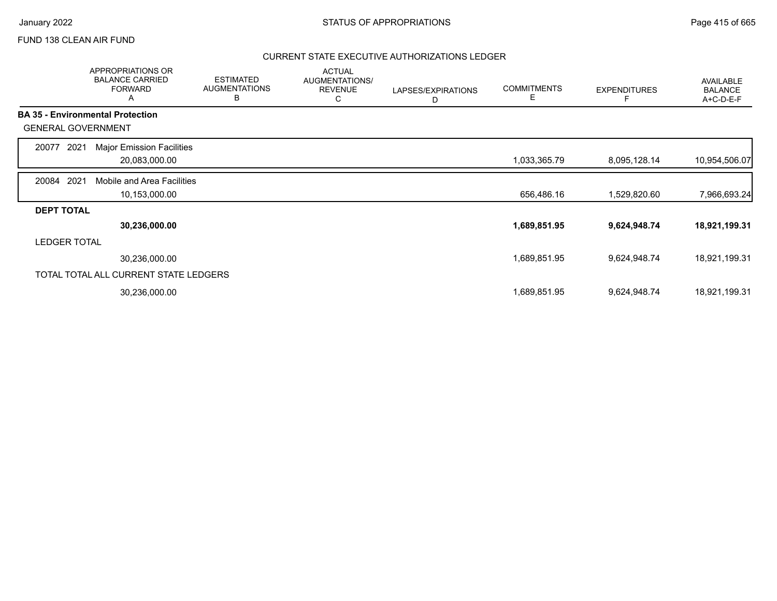## FUND 138 CLEAN AIR FUND

|                           | <b>APPROPRIATIONS OR</b><br><b>BALANCE CARRIED</b><br><b>FORWARD</b><br>A | <b>ESTIMATED</b><br><b>AUGMENTATIONS</b><br>В | <b>ACTUAL</b><br>AUGMENTATIONS/<br><b>REVENUE</b><br>С | LAPSES/EXPIRATIONS<br>D | <b>COMMITMENTS</b><br>Е | <b>EXPENDITURES</b> | AVAILABLE<br><b>BALANCE</b><br>A+C-D-E-F |
|---------------------------|---------------------------------------------------------------------------|-----------------------------------------------|--------------------------------------------------------|-------------------------|-------------------------|---------------------|------------------------------------------|
|                           | <b>BA 35 - Environmental Protection</b>                                   |                                               |                                                        |                         |                         |                     |                                          |
| <b>GENERAL GOVERNMENT</b> |                                                                           |                                               |                                                        |                         |                         |                     |                                          |
| 20077<br>2021             | <b>Major Emission Facilities</b>                                          |                                               |                                                        |                         |                         |                     |                                          |
|                           | 20,083,000.00                                                             |                                               |                                                        |                         | 1,033,365.79            | 8,095,128.14        | 10,954,506.07                            |
| 2021<br>20084             | Mobile and Area Facilities                                                |                                               |                                                        |                         |                         |                     |                                          |
|                           | 10,153,000.00                                                             |                                               |                                                        |                         | 656,486.16              | 1,529,820.60        | 7,966,693.24                             |
| <b>DEPT TOTAL</b>         |                                                                           |                                               |                                                        |                         |                         |                     |                                          |
|                           | 30,236,000.00                                                             |                                               |                                                        |                         | 1,689,851.95            | 9,624,948.74        | 18,921,199.31                            |
| <b>LEDGER TOTAL</b>       |                                                                           |                                               |                                                        |                         |                         |                     |                                          |
|                           | 30,236,000.00                                                             |                                               |                                                        |                         | 1,689,851.95            | 9,624,948.74        | 18,921,199.31                            |
|                           | TOTAL TOTAL ALL CURRENT STATE LEDGERS                                     |                                               |                                                        |                         |                         |                     |                                          |
|                           | 30,236,000.00                                                             |                                               |                                                        |                         | 1,689,851.95            | 9,624,948.74        | 18,921,199.31                            |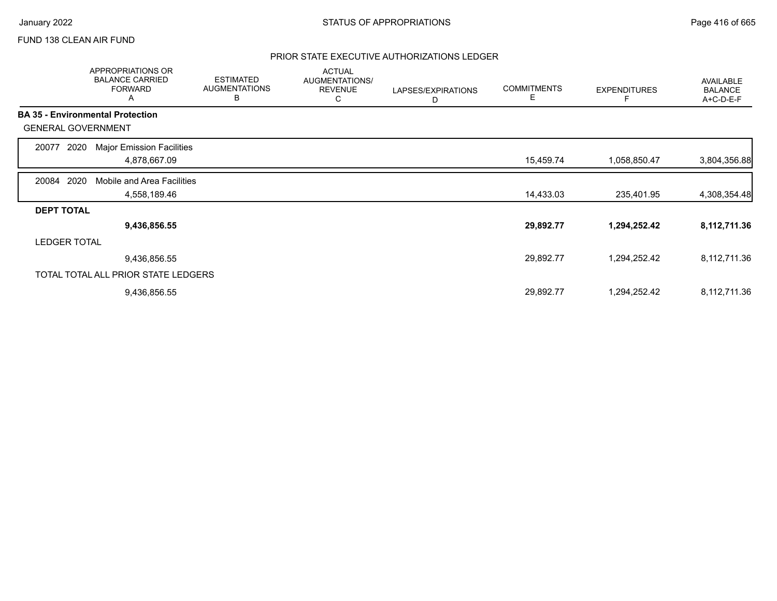## FUND 138 CLEAN AIR FUND

|                           | APPROPRIATIONS OR<br><b>BALANCE CARRIED</b><br><b>FORWARD</b><br>A | <b>ESTIMATED</b><br><b>AUGMENTATIONS</b><br>B | <b>ACTUAL</b><br>AUGMENTATIONS/<br><b>REVENUE</b><br>С | LAPSES/EXPIRATIONS<br>D | <b>COMMITMENTS</b><br>Е | <b>EXPENDITURES</b> | AVAILABLE<br><b>BALANCE</b><br>A+C-D-E-F |
|---------------------------|--------------------------------------------------------------------|-----------------------------------------------|--------------------------------------------------------|-------------------------|-------------------------|---------------------|------------------------------------------|
|                           | <b>BA 35 - Environmental Protection</b>                            |                                               |                                                        |                         |                         |                     |                                          |
| <b>GENERAL GOVERNMENT</b> |                                                                    |                                               |                                                        |                         |                         |                     |                                          |
| 2020<br>20077             | <b>Major Emission Facilities</b>                                   |                                               |                                                        |                         |                         |                     |                                          |
|                           | 4,878,667.09                                                       |                                               |                                                        |                         | 15,459.74               | 1,058,850.47        | 3,804,356.88                             |
| 2020<br>20084             | Mobile and Area Facilities                                         |                                               |                                                        |                         |                         |                     |                                          |
|                           | 4,558,189.46                                                       |                                               |                                                        |                         | 14,433.03               | 235,401.95          | 4,308,354.48                             |
| <b>DEPT TOTAL</b>         |                                                                    |                                               |                                                        |                         |                         |                     |                                          |
|                           | 9,436,856.55                                                       |                                               |                                                        |                         | 29,892.77               | 1,294,252.42        | 8,112,711.36                             |
| <b>LEDGER TOTAL</b>       |                                                                    |                                               |                                                        |                         |                         |                     |                                          |
|                           | 9,436,856.55                                                       |                                               |                                                        |                         | 29,892.77               | 1,294,252.42        | 8,112,711.36                             |
|                           | TOTAL TOTAL ALL PRIOR STATE LEDGERS                                |                                               |                                                        |                         |                         |                     |                                          |
|                           | 9,436,856.55                                                       |                                               |                                                        |                         | 29,892.77               | 1,294,252.42        | 8,112,711.36                             |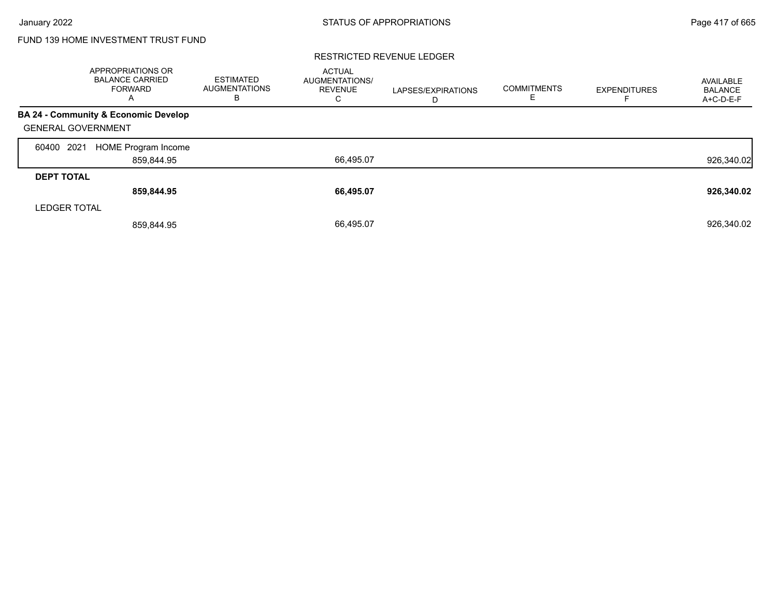# FUND 139 HOME INVESTMENT TRUST FUND

|                           | APPROPRIATIONS OR<br><b>BALANCE CARRIED</b><br>FORWARD<br>A | <b>ESTIMATED</b><br><b>AUGMENTATIONS</b><br>в | <b>ACTUAL</b><br>AUGMENTATIONS/<br><b>REVENUE</b><br>С | LAPSES/EXPIRATIONS<br>D | <b>COMMITMENTS</b><br>ᄇ | <b>EXPENDITURES</b> | AVAILABLE<br><b>BALANCE</b><br>A+C-D-E-F |
|---------------------------|-------------------------------------------------------------|-----------------------------------------------|--------------------------------------------------------|-------------------------|-------------------------|---------------------|------------------------------------------|
|                           | BA 24 - Community & Economic Develop                        |                                               |                                                        |                         |                         |                     |                                          |
| <b>GENERAL GOVERNMENT</b> |                                                             |                                               |                                                        |                         |                         |                     |                                          |
| 2021<br>60400             | <b>HOME Program Income</b>                                  |                                               |                                                        |                         |                         |                     |                                          |
|                           | 859,844.95                                                  |                                               | 66,495.07                                              |                         |                         |                     | 926,340.02                               |
| <b>DEPT TOTAL</b>         |                                                             |                                               |                                                        |                         |                         |                     |                                          |
|                           | 859,844.95                                                  |                                               | 66,495.07                                              |                         |                         |                     | 926,340.02                               |
| <b>LEDGER TOTAL</b>       |                                                             |                                               |                                                        |                         |                         |                     |                                          |
|                           | 859,844.95                                                  |                                               | 66,495.07                                              |                         |                         |                     | 926.340.02                               |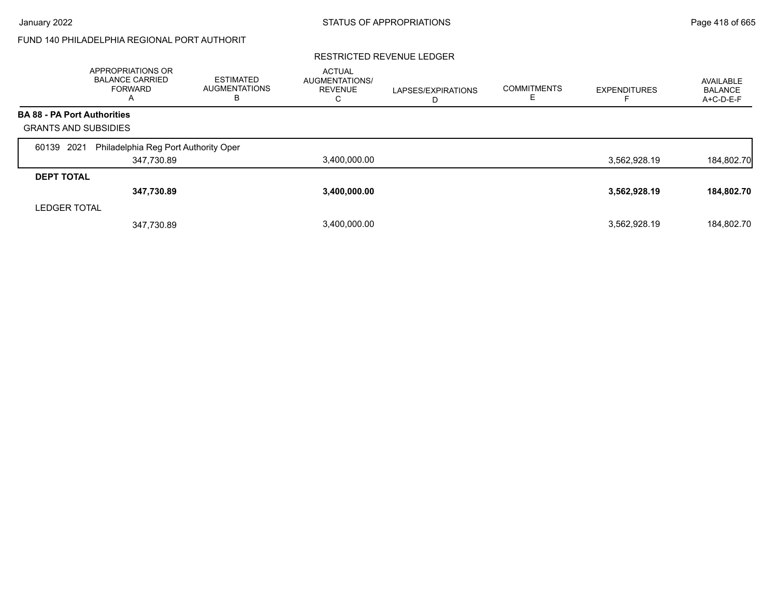# FUND 140 PHILADELPHIA REGIONAL PORT AUTHORIT

|                                    | <b>APPROPRIATIONS OR</b><br><b>BALANCE CARRIED</b><br>FORWARD<br>A | <b>ESTIMATED</b><br><b>AUGMENTATIONS</b><br>в | <b>ACTUAL</b><br>AUGMENTATIONS/<br><b>REVENUE</b><br>С | LAPSES/EXPIRATIONS<br>D | <b>COMMITMENTS</b><br>Е | <b>EXPENDITURES</b> | AVAILABLE<br><b>BALANCE</b><br>$A+C-D-E-F$ |
|------------------------------------|--------------------------------------------------------------------|-----------------------------------------------|--------------------------------------------------------|-------------------------|-------------------------|---------------------|--------------------------------------------|
| <b>BA 88 - PA Port Authorities</b> |                                                                    |                                               |                                                        |                         |                         |                     |                                            |
| <b>GRANTS AND SUBSIDIES</b>        |                                                                    |                                               |                                                        |                         |                         |                     |                                            |
| 2021<br>60139                      | Philadelphia Reg Port Authority Oper                               |                                               |                                                        |                         |                         |                     |                                            |
|                                    | 347,730.89                                                         |                                               | 3,400,000.00                                           |                         |                         | 3,562,928.19        | 184,802.70                                 |
| <b>DEPT TOTAL</b>                  |                                                                    |                                               |                                                        |                         |                         |                     |                                            |
|                                    | 347,730.89                                                         |                                               | 3,400,000.00                                           |                         |                         | 3,562,928.19        | 184,802.70                                 |
| <b>LEDGER TOTAL</b>                |                                                                    |                                               |                                                        |                         |                         |                     |                                            |
|                                    | 347,730.89                                                         |                                               | 3.400.000.00                                           |                         |                         | 3,562,928.19        | 184.802.70                                 |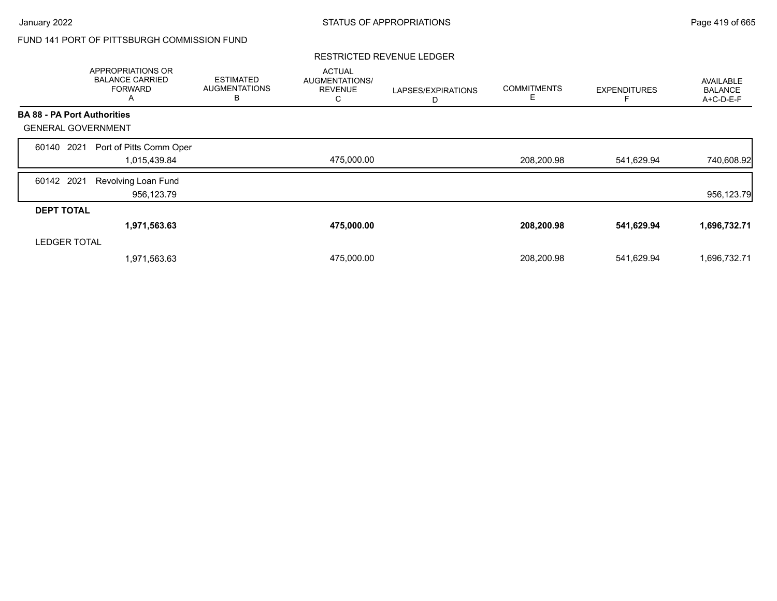# FUND 141 PORT OF PITTSBURGH COMMISSION FUND

|                                    | APPROPRIATIONS OR<br><b>BALANCE CARRIED</b><br><b>FORWARD</b><br>A | <b>ESTIMATED</b><br><b>AUGMENTATIONS</b><br>B | <b>ACTUAL</b><br>AUGMENTATIONS/<br><b>REVENUE</b><br>С | LAPSES/EXPIRATIONS<br>D | <b>COMMITMENTS</b><br>E. | <b>EXPENDITURES</b> | AVAILABLE<br><b>BALANCE</b><br>A+C-D-E-F |
|------------------------------------|--------------------------------------------------------------------|-----------------------------------------------|--------------------------------------------------------|-------------------------|--------------------------|---------------------|------------------------------------------|
| <b>BA 88 - PA Port Authorities</b> |                                                                    |                                               |                                                        |                         |                          |                     |                                          |
| <b>GENERAL GOVERNMENT</b>          |                                                                    |                                               |                                                        |                         |                          |                     |                                          |
| 60140 2021                         | Port of Pitts Comm Oper<br>1,015,439.84                            |                                               | 475,000.00                                             |                         | 208,200.98               | 541,629.94          | 740,608.92                               |
| 60142 2021                         | Revolving Loan Fund<br>956,123.79                                  |                                               |                                                        |                         |                          |                     | 956,123.79                               |
| <b>DEPT TOTAL</b>                  |                                                                    |                                               |                                                        |                         |                          |                     |                                          |
|                                    | 1,971,563.63                                                       |                                               | 475,000.00                                             |                         | 208,200.98               | 541,629.94          | 1,696,732.71                             |
| <b>LEDGER TOTAL</b>                |                                                                    |                                               |                                                        |                         |                          |                     |                                          |
|                                    | 1,971,563.63                                                       |                                               | 475,000.00                                             |                         | 208,200.98               | 541,629.94          | 1,696,732.71                             |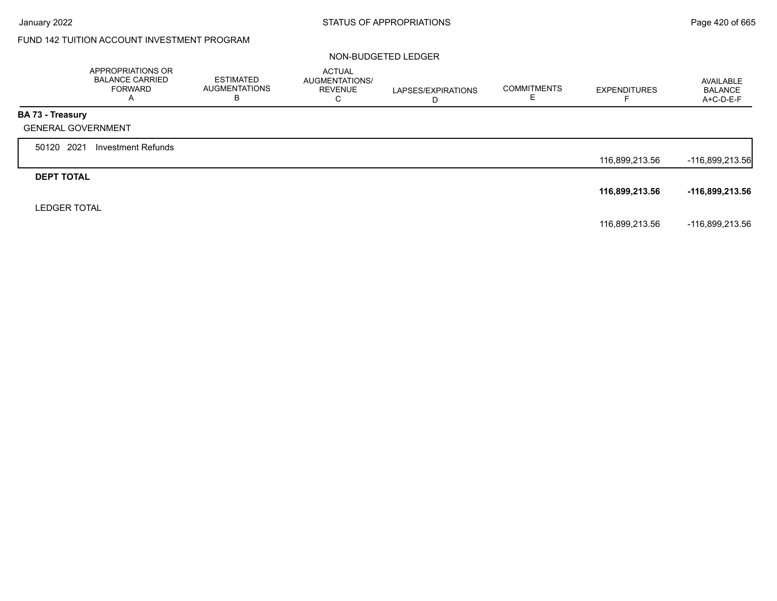# FUND 142 TUITION ACCOUNT INVESTMENT PROGRAM

### NON-BUDGETED LEDGER

|                           | APPROPRIATIONS OR<br><b>BALANCE CARRIED</b><br><b>FORWARD</b><br>$\mathsf{A}$ | <b>ESTIMATED</b><br><b>AUGMENTATIONS</b><br>В | <b>ACTUAL</b><br>AUGMENTATIONS/<br><b>REVENUE</b><br>С | LAPSES/EXPIRATIONS<br>D | <b>COMMITMENTS</b><br>E | <b>EXPENDITURES</b> | AVAILABLE<br><b>BALANCE</b><br>A+C-D-E-F |
|---------------------------|-------------------------------------------------------------------------------|-----------------------------------------------|--------------------------------------------------------|-------------------------|-------------------------|---------------------|------------------------------------------|
| BA 73 - Treasury          |                                                                               |                                               |                                                        |                         |                         |                     |                                          |
| <b>GENERAL GOVERNMENT</b> |                                                                               |                                               |                                                        |                         |                         |                     |                                          |
| 50120 2021                | <b>Investment Refunds</b>                                                     |                                               |                                                        |                         |                         |                     |                                          |
|                           |                                                                               |                                               |                                                        |                         |                         | 116,899,213.56      | -116,899,213.56                          |
| <b>DEPT TOTAL</b>         |                                                                               |                                               |                                                        |                         |                         |                     |                                          |
|                           |                                                                               |                                               |                                                        |                         |                         | 116,899,213.56      | -116,899,213.56                          |
| <b>LEDGER TOTAL</b>       |                                                                               |                                               |                                                        |                         |                         |                     |                                          |
|                           |                                                                               |                                               |                                                        |                         |                         | 116,899,213.56      | -116,899,213.56                          |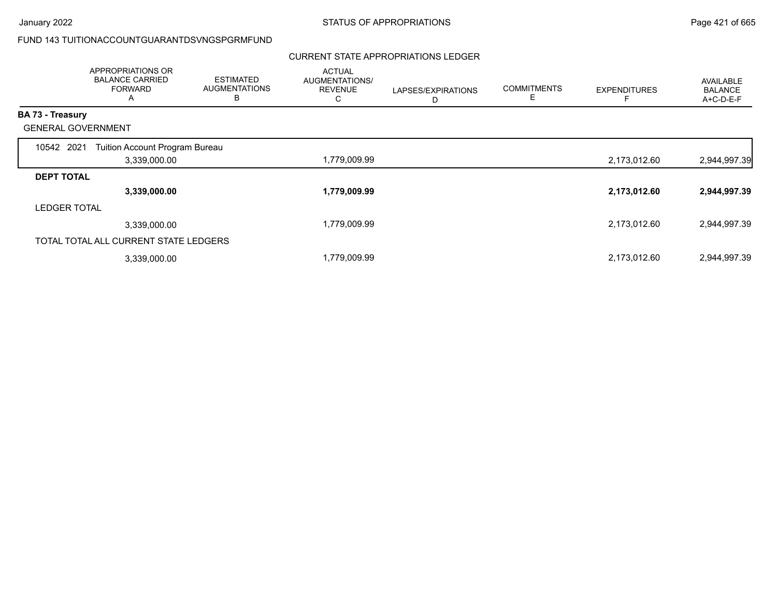# FUND 143 TUITIONACCOUNTGUARANTDSVNGSPGRMFUND

## CURRENT STATE APPROPRIATIONS LEDGER

|                           | APPROPRIATIONS OR<br><b>BALANCE CARRIED</b><br><b>FORWARD</b><br>A | <b>ESTIMATED</b><br><b>AUGMENTATIONS</b><br>в | <b>ACTUAL</b><br>AUGMENTATIONS/<br><b>REVENUE</b><br>С | LAPSES/EXPIRATIONS<br>D | <b>COMMITMENTS</b><br>Е | <b>EXPENDITURES</b> | AVAILABLE<br><b>BALANCE</b><br>A+C-D-E-F |
|---------------------------|--------------------------------------------------------------------|-----------------------------------------------|--------------------------------------------------------|-------------------------|-------------------------|---------------------|------------------------------------------|
| BA 73 - Treasury          |                                                                    |                                               |                                                        |                         |                         |                     |                                          |
| <b>GENERAL GOVERNMENT</b> |                                                                    |                                               |                                                        |                         |                         |                     |                                          |
| 10542 2021                | Tuition Account Program Bureau                                     |                                               |                                                        |                         |                         |                     |                                          |
|                           | 3,339,000.00                                                       |                                               | 1,779,009.99                                           |                         |                         | 2,173,012.60        | 2,944,997.39                             |
| <b>DEPT TOTAL</b>         |                                                                    |                                               |                                                        |                         |                         |                     |                                          |
|                           | 3,339,000.00                                                       |                                               | 1,779,009.99                                           |                         |                         | 2,173,012.60        | 2,944,997.39                             |
| <b>LEDGER TOTAL</b>       |                                                                    |                                               |                                                        |                         |                         |                     |                                          |
|                           | 3,339,000.00                                                       |                                               | 1,779,009.99                                           |                         |                         | 2,173,012.60        | 2,944,997.39                             |
|                           | TOTAL TOTAL ALL CURRENT STATE LEDGERS                              |                                               |                                                        |                         |                         |                     |                                          |
|                           | 3,339,000.00                                                       |                                               | 1,779,009.99                                           |                         |                         | 2,173,012.60        | 2,944,997.39                             |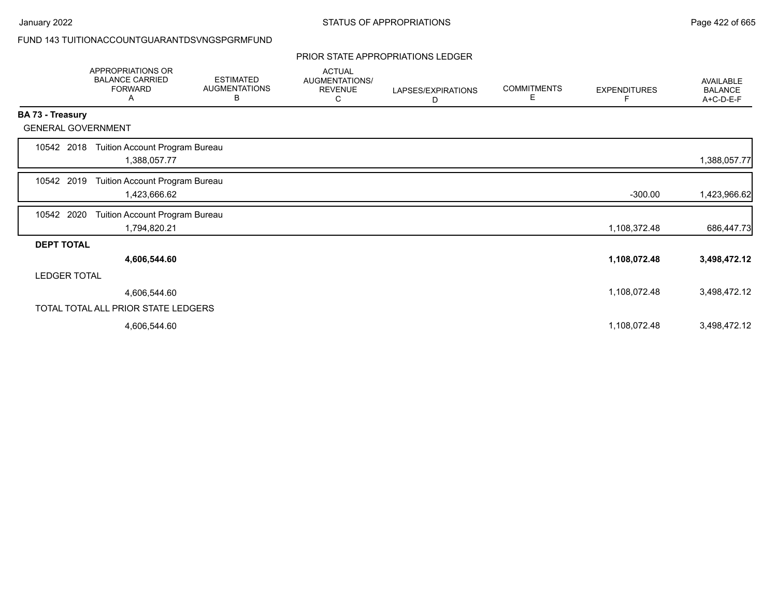## FUND 143 TUITIONACCOUNTGUARANTDSVNGSPGRMFUND

### PRIOR STATE APPROPRIATIONS LEDGER

|                           | <b>APPROPRIATIONS OR</b><br><b>BALANCE CARRIED</b><br><b>FORWARD</b><br>A | <b>ESTIMATED</b><br><b>AUGMENTATIONS</b><br>В | <b>ACTUAL</b><br>AUGMENTATIONS/<br><b>REVENUE</b><br>С | LAPSES/EXPIRATIONS<br>D | <b>COMMITMENTS</b><br>Е | <b>EXPENDITURES</b><br>F | AVAILABLE<br><b>BALANCE</b><br>A+C-D-E-F |
|---------------------------|---------------------------------------------------------------------------|-----------------------------------------------|--------------------------------------------------------|-------------------------|-------------------------|--------------------------|------------------------------------------|
| <b>BA 73 - Treasury</b>   |                                                                           |                                               |                                                        |                         |                         |                          |                                          |
| <b>GENERAL GOVERNMENT</b> |                                                                           |                                               |                                                        |                         |                         |                          |                                          |
| 10542 2018                | Tuition Account Program Bureau<br>1,388,057.77                            |                                               |                                                        |                         |                         |                          | 1,388,057.77                             |
| 10542 2019                | Tuition Account Program Bureau<br>1,423,666.62                            |                                               |                                                        |                         |                         | $-300.00$                | 1,423,966.62                             |
| 10542 2020                | Tuition Account Program Bureau<br>1,794,820.21                            |                                               |                                                        |                         |                         | 1,108,372.48             | 686,447.73                               |
| <b>DEPT TOTAL</b>         |                                                                           |                                               |                                                        |                         |                         |                          |                                          |
|                           | 4,606,544.60                                                              |                                               |                                                        |                         |                         | 1,108,072.48             | 3,498,472.12                             |
| <b>LEDGER TOTAL</b>       |                                                                           |                                               |                                                        |                         |                         |                          |                                          |
|                           | 4,606,544.60                                                              |                                               |                                                        |                         |                         | 1,108,072.48             | 3,498,472.12                             |
|                           | TOTAL TOTAL ALL PRIOR STATE LEDGERS                                       |                                               |                                                        |                         |                         |                          |                                          |
|                           | 4,606,544.60                                                              |                                               |                                                        |                         |                         | 1,108,072.48             | 3,498,472.12                             |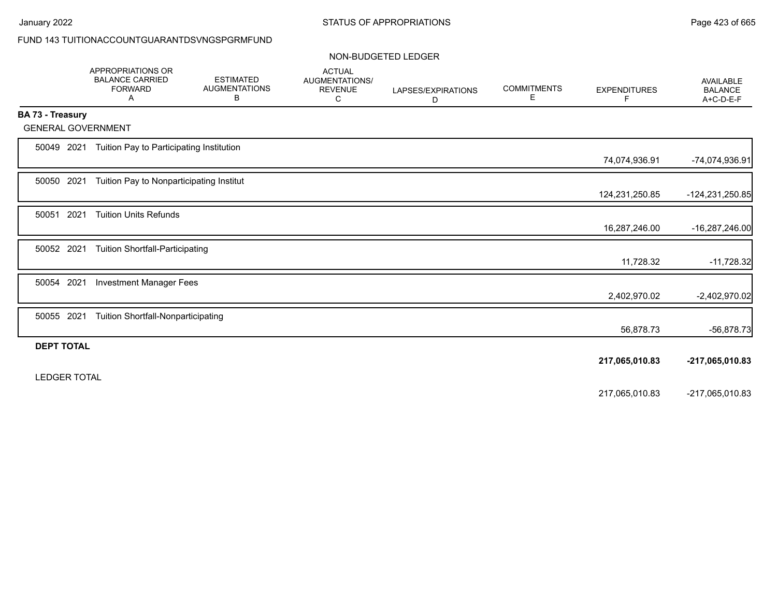# FUND 143 TUITIONACCOUNTGUARANTDSVNGSPGRMFUND

### NON-BUDGETED LEDGER

|                         | <b>APPROPRIATIONS OR</b><br><b>BALANCE CARRIED</b><br><b>FORWARD</b><br>Α | <b>ESTIMATED</b><br><b>AUGMENTATIONS</b><br>В | <b>ACTUAL</b><br>AUGMENTATIONS/<br><b>REVENUE</b><br>С | LAPSES/EXPIRATIONS<br>D | <b>COMMITMENTS</b><br>Е | <b>EXPENDITURES</b><br>F | <b>AVAILABLE</b><br><b>BALANCE</b><br>A+C-D-E-F |
|-------------------------|---------------------------------------------------------------------------|-----------------------------------------------|--------------------------------------------------------|-------------------------|-------------------------|--------------------------|-------------------------------------------------|
| <b>BA 73 - Treasury</b> |                                                                           |                                               |                                                        |                         |                         |                          |                                                 |
|                         | <b>GENERAL GOVERNMENT</b>                                                 |                                               |                                                        |                         |                         |                          |                                                 |
| 50049 2021              | Tuition Pay to Participating Institution                                  |                                               |                                                        |                         |                         | 74,074,936.91            |                                                 |
|                         |                                                                           |                                               |                                                        |                         |                         |                          | -74,074,936.91                                  |
| 50050 2021              | Tuition Pay to Nonparticipating Institut                                  |                                               |                                                        |                         |                         | 124,231,250.85           | -124,231,250.85                                 |
| 50051                   | 2021<br><b>Tuition Units Refunds</b>                                      |                                               |                                                        |                         |                         |                          |                                                 |
|                         |                                                                           |                                               |                                                        |                         |                         | 16,287,246.00            | -16,287,246.00                                  |
| 50052 2021              | <b>Tuition Shortfall-Participating</b>                                    |                                               |                                                        |                         |                         |                          |                                                 |
|                         |                                                                           |                                               |                                                        |                         |                         | 11,728.32                | $-11,728.32$                                    |
| 50054 2021              | <b>Investment Manager Fees</b>                                            |                                               |                                                        |                         |                         |                          |                                                 |
|                         |                                                                           |                                               |                                                        |                         |                         | 2,402,970.02             | $-2,402,970.02$                                 |
| 50055 2021              | <b>Tuition Shortfall-Nonparticipating</b>                                 |                                               |                                                        |                         |                         |                          |                                                 |
|                         |                                                                           |                                               |                                                        |                         |                         | 56,878.73                | -56,878.73                                      |
| <b>DEPT TOTAL</b>       |                                                                           |                                               |                                                        |                         |                         |                          |                                                 |
|                         |                                                                           |                                               |                                                        |                         |                         | 217,065,010.83           | -217,065,010.83                                 |
| <b>LEDGER TOTAL</b>     |                                                                           |                                               |                                                        |                         |                         |                          |                                                 |
|                         |                                                                           |                                               |                                                        |                         |                         | 217,065,010.83           | -217,065,010.83                                 |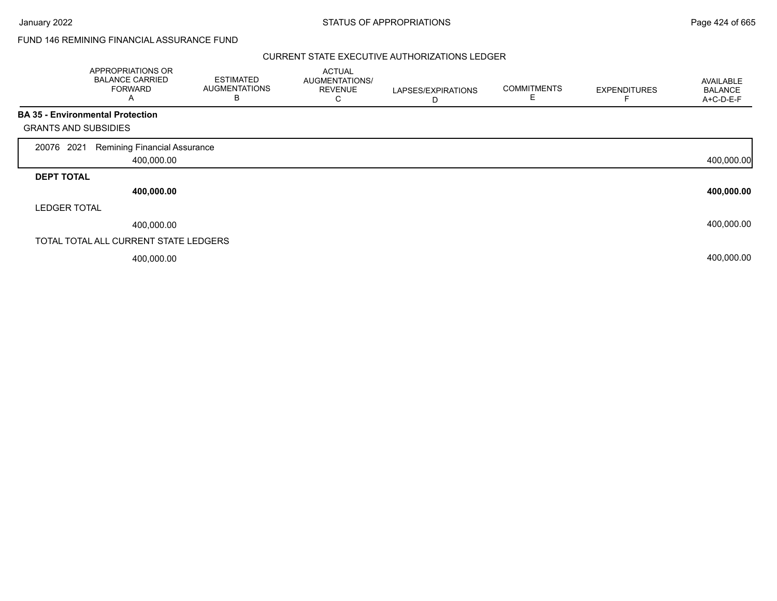## FUND 146 REMINING FINANCIAL ASSURANCE FUND

|                             | <b>APPROPRIATIONS OR</b><br><b>BALANCE CARRIED</b><br><b>FORWARD</b><br>A | <b>ESTIMATED</b><br><b>AUGMENTATIONS</b><br>B | <b>ACTUAL</b><br>AUGMENTATIONS/<br><b>REVENUE</b><br>С | LAPSES/EXPIRATIONS<br>D | <b>COMMITMENTS</b><br>E | <b>EXPENDITURES</b> | <b>AVAILABLE</b><br><b>BALANCE</b><br>A+C-D-E-F |
|-----------------------------|---------------------------------------------------------------------------|-----------------------------------------------|--------------------------------------------------------|-------------------------|-------------------------|---------------------|-------------------------------------------------|
|                             | <b>BA 35 - Environmental Protection</b>                                   |                                               |                                                        |                         |                         |                     |                                                 |
| <b>GRANTS AND SUBSIDIES</b> |                                                                           |                                               |                                                        |                         |                         |                     |                                                 |
| 2021<br>20076               | <b>Remining Financial Assurance</b>                                       |                                               |                                                        |                         |                         |                     |                                                 |
|                             | 400,000.00                                                                |                                               |                                                        |                         |                         |                     | 400,000.00                                      |
| <b>DEPT TOTAL</b>           |                                                                           |                                               |                                                        |                         |                         |                     |                                                 |
|                             | 400,000.00                                                                |                                               |                                                        |                         |                         |                     | 400,000.00                                      |
| <b>LEDGER TOTAL</b>         |                                                                           |                                               |                                                        |                         |                         |                     |                                                 |
|                             | 400,000.00                                                                |                                               |                                                        |                         |                         |                     | 400,000.00                                      |
|                             | TOTAL TOTAL ALL CURRENT STATE LEDGERS                                     |                                               |                                                        |                         |                         |                     |                                                 |
|                             | 400,000.00                                                                |                                               |                                                        |                         |                         |                     | 400,000.00                                      |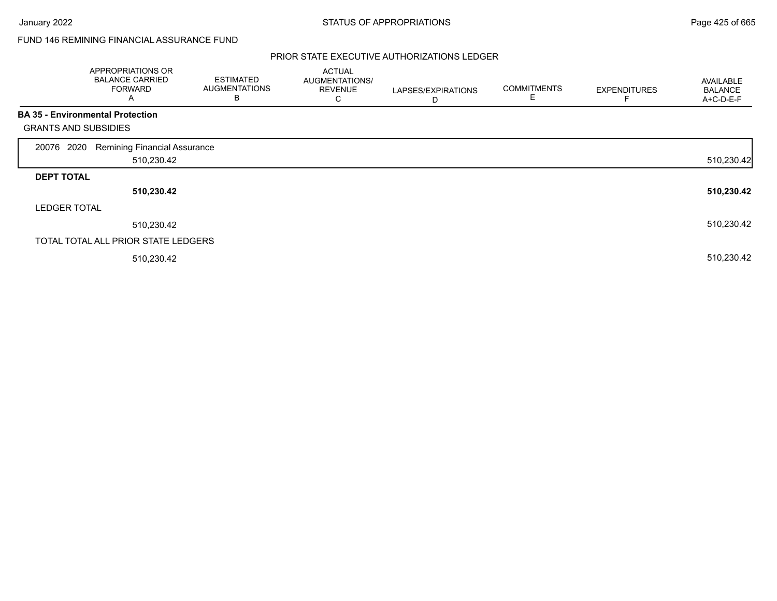# FUND 146 REMINING FINANCIAL ASSURANCE FUND

|                             | APPROPRIATIONS OR<br><b>BALANCE CARRIED</b><br><b>FORWARD</b><br>A | <b>ESTIMATED</b><br><b>AUGMENTATIONS</b><br>B | <b>ACTUAL</b><br>AUGMENTATIONS/<br><b>REVENUE</b><br>С | LAPSES/EXPIRATIONS<br>D | <b>COMMITMENTS</b><br>Е | <b>EXPENDITURES</b> | <b>AVAILABLE</b><br><b>BALANCE</b><br>A+C-D-E-F |
|-----------------------------|--------------------------------------------------------------------|-----------------------------------------------|--------------------------------------------------------|-------------------------|-------------------------|---------------------|-------------------------------------------------|
|                             | <b>BA 35 - Environmental Protection</b>                            |                                               |                                                        |                         |                         |                     |                                                 |
| <b>GRANTS AND SUBSIDIES</b> |                                                                    |                                               |                                                        |                         |                         |                     |                                                 |
| 2020<br>20076               | <b>Remining Financial Assurance</b>                                |                                               |                                                        |                         |                         |                     |                                                 |
|                             | 510,230.42                                                         |                                               |                                                        |                         |                         |                     | 510,230.42                                      |
| <b>DEPT TOTAL</b>           |                                                                    |                                               |                                                        |                         |                         |                     |                                                 |
|                             | 510,230.42                                                         |                                               |                                                        |                         |                         |                     | 510,230.42                                      |
| <b>LEDGER TOTAL</b>         |                                                                    |                                               |                                                        |                         |                         |                     |                                                 |
|                             | 510,230.42                                                         |                                               |                                                        |                         |                         |                     | 510,230.42                                      |
|                             | TOTAL TOTAL ALL PRIOR STATE LEDGERS                                |                                               |                                                        |                         |                         |                     |                                                 |
|                             | 510,230.42                                                         |                                               |                                                        |                         |                         |                     | 510,230.42                                      |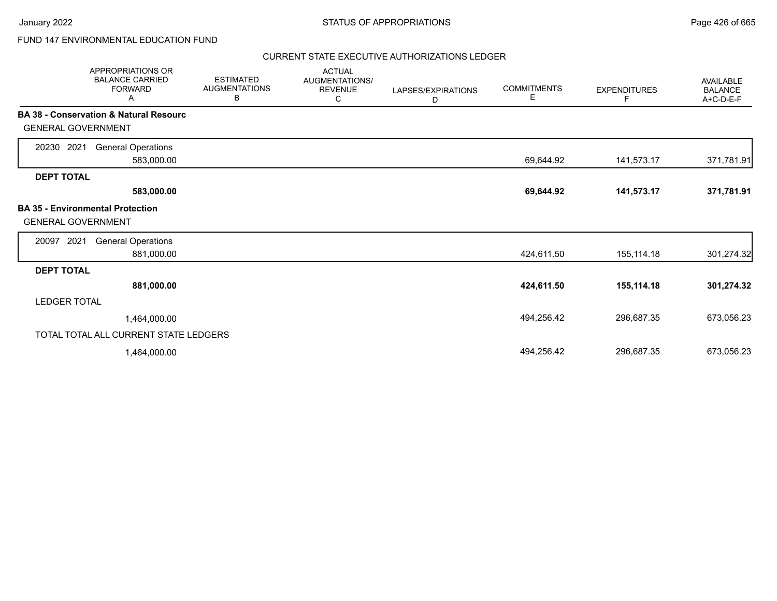# FUND 147 ENVIRONMENTAL EDUCATION FUND

| <b>APPROPRIATIONS OR</b><br><b>BALANCE CARRIED</b><br><b>FORWARD</b><br>Α | <b>ESTIMATED</b><br><b>AUGMENTATIONS</b><br>В | <b>ACTUAL</b><br>AUGMENTATIONS/<br><b>REVENUE</b><br>С | LAPSES/EXPIRATIONS<br>D | <b>COMMITMENTS</b><br>Е | <b>EXPENDITURES</b><br>F | <b>AVAILABLE</b><br><b>BALANCE</b><br>A+C-D-E-F |
|---------------------------------------------------------------------------|-----------------------------------------------|--------------------------------------------------------|-------------------------|-------------------------|--------------------------|-------------------------------------------------|
| <b>BA 38 - Conservation &amp; Natural Resourc</b>                         |                                               |                                                        |                         |                         |                          |                                                 |
| <b>GENERAL GOVERNMENT</b>                                                 |                                               |                                                        |                         |                         |                          |                                                 |
| 20230 2021<br><b>General Operations</b>                                   |                                               |                                                        |                         |                         |                          |                                                 |
| 583,000.00                                                                |                                               |                                                        |                         | 69,644.92               | 141,573.17               | 371,781.91                                      |
| <b>DEPT TOTAL</b>                                                         |                                               |                                                        |                         |                         |                          |                                                 |
| 583,000.00                                                                |                                               |                                                        |                         | 69,644.92               | 141,573.17               | 371,781.91                                      |
| <b>BA 35 - Environmental Protection</b><br><b>GENERAL GOVERNMENT</b>      |                                               |                                                        |                         |                         |                          |                                                 |
| 2021<br><b>General Operations</b><br>20097                                |                                               |                                                        |                         |                         |                          |                                                 |
| 881,000.00                                                                |                                               |                                                        |                         | 424,611.50              | 155,114.18               | 301,274.32                                      |
| <b>DEPT TOTAL</b>                                                         |                                               |                                                        |                         |                         |                          |                                                 |
| 881,000.00                                                                |                                               |                                                        |                         | 424,611.50              | 155,114.18               | 301,274.32                                      |
| <b>LEDGER TOTAL</b>                                                       |                                               |                                                        |                         |                         |                          |                                                 |
| 1,464,000.00                                                              |                                               |                                                        |                         | 494,256.42              | 296,687.35               | 673,056.23                                      |
| TOTAL TOTAL ALL CURRENT STATE LEDGERS                                     |                                               |                                                        |                         |                         |                          |                                                 |
| 1,464,000.00                                                              |                                               |                                                        |                         | 494,256.42              | 296,687.35               | 673,056.23                                      |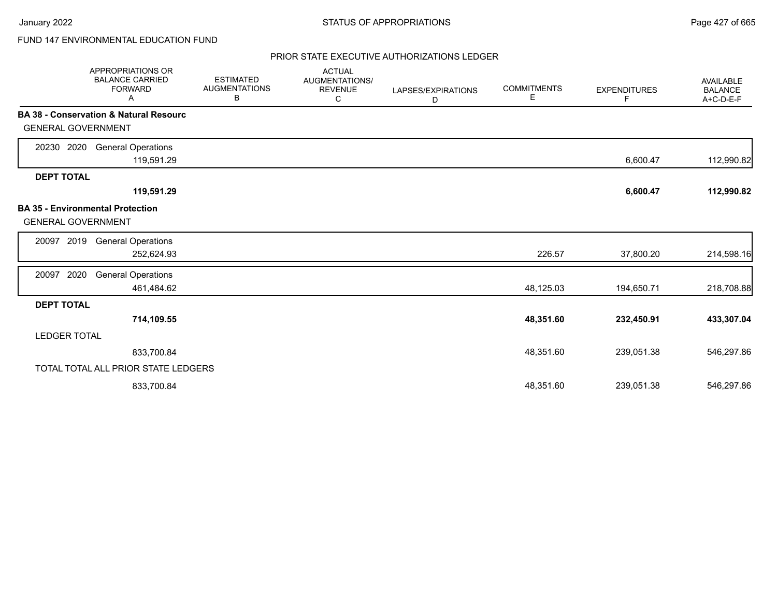# FUND 147 ENVIRONMENTAL EDUCATION FUND

|                           | <b>APPROPRIATIONS OR</b><br><b>BALANCE CARRIED</b><br><b>FORWARD</b><br>Α | <b>ESTIMATED</b><br><b>AUGMENTATIONS</b><br>в | <b>ACTUAL</b><br>AUGMENTATIONS/<br><b>REVENUE</b><br>С | LAPSES/EXPIRATIONS<br>D | <b>COMMITMENTS</b><br>Е | <b>EXPENDITURES</b><br>F | AVAILABLE<br><b>BALANCE</b><br>A+C-D-E-F |
|---------------------------|---------------------------------------------------------------------------|-----------------------------------------------|--------------------------------------------------------|-------------------------|-------------------------|--------------------------|------------------------------------------|
| <b>GENERAL GOVERNMENT</b> | <b>BA 38 - Conservation &amp; Natural Resourc</b>                         |                                               |                                                        |                         |                         |                          |                                          |
| 20230 2020                | <b>General Operations</b><br>119,591.29                                   |                                               |                                                        |                         |                         | 6,600.47                 | 112,990.82                               |
| <b>DEPT TOTAL</b>         | 119,591.29                                                                |                                               |                                                        |                         |                         | 6,600.47                 | 112,990.82                               |
| <b>GENERAL GOVERNMENT</b> | <b>BA 35 - Environmental Protection</b>                                   |                                               |                                                        |                         |                         |                          |                                          |
| 2019<br>20097             | <b>General Operations</b><br>252,624.93                                   |                                               |                                                        |                         | 226.57                  | 37,800.20                | 214,598.16                               |
| 2020<br>20097             | <b>General Operations</b><br>461,484.62                                   |                                               |                                                        |                         | 48,125.03               | 194,650.71               | 218,708.88                               |
| <b>DEPT TOTAL</b>         | 714,109.55                                                                |                                               |                                                        |                         | 48,351.60               | 232,450.91               | 433,307.04                               |
| <b>LEDGER TOTAL</b>       |                                                                           |                                               |                                                        |                         |                         |                          |                                          |
|                           | 833,700.84                                                                |                                               |                                                        |                         | 48,351.60               | 239,051.38               | 546,297.86                               |
|                           | TOTAL TOTAL ALL PRIOR STATE LEDGERS                                       |                                               |                                                        |                         |                         |                          |                                          |
|                           | 833,700.84                                                                |                                               |                                                        |                         | 48,351.60               | 239,051.38               | 546,297.86                               |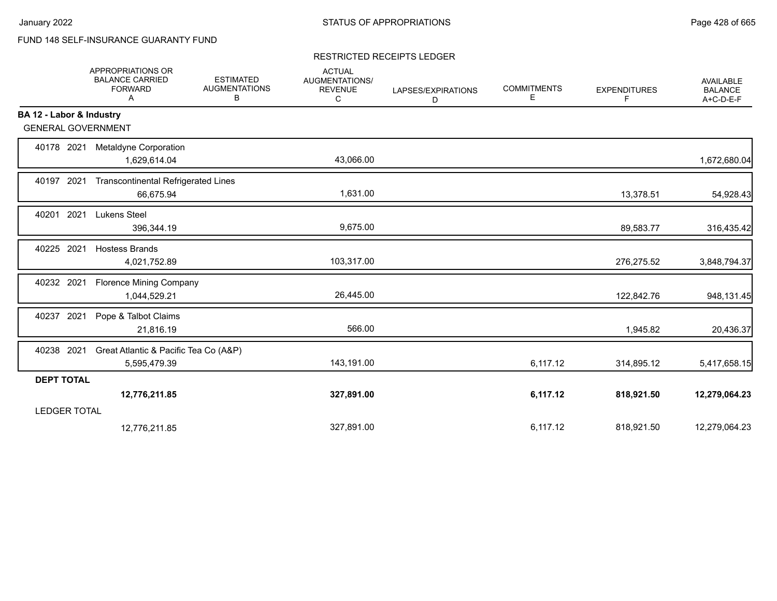# FUND 148 SELF-INSURANCE GUARANTY FUND

### RESTRICTED RECEIPTS LEDGER

|                           | APPROPRIATIONS OR<br><b>BALANCE CARRIED</b><br><b>FORWARD</b><br>Α | <b>ESTIMATED</b><br><b>AUGMENTATIONS</b><br>В | <b>ACTUAL</b><br>AUGMENTATIONS/<br><b>REVENUE</b><br>C | LAPSES/EXPIRATIONS<br>D | <b>COMMITMENTS</b><br>Е | <b>EXPENDITURES</b><br>F | <b>AVAILABLE</b><br><b>BALANCE</b><br>A+C-D-E-F |
|---------------------------|--------------------------------------------------------------------|-----------------------------------------------|--------------------------------------------------------|-------------------------|-------------------------|--------------------------|-------------------------------------------------|
| BA 12 - Labor & Industry  |                                                                    |                                               |                                                        |                         |                         |                          |                                                 |
| <b>GENERAL GOVERNMENT</b> |                                                                    |                                               |                                                        |                         |                         |                          |                                                 |
| 40178 2021                | Metaldyne Corporation<br>1,629,614.04                              |                                               | 43,066.00                                              |                         |                         |                          | 1,672,680.04                                    |
| 40197 2021                | <b>Transcontinental Refrigerated Lines</b><br>66,675.94            |                                               | 1,631.00                                               |                         |                         | 13,378.51                | 54,928.43                                       |
| 40201 2021                | <b>Lukens Steel</b><br>396,344.19                                  |                                               | 9,675.00                                               |                         |                         | 89,583.77                | 316,435.42                                      |
| 40225 2021                | <b>Hostess Brands</b><br>4,021,752.89                              |                                               | 103,317.00                                             |                         |                         | 276,275.52               | 3,848,794.37                                    |
| 40232 2021                | <b>Florence Mining Company</b><br>1,044,529.21                     |                                               | 26,445.00                                              |                         |                         | 122,842.76               | 948,131.45                                      |
| 40237 2021                | Pope & Talbot Claims<br>21,816.19                                  |                                               | 566.00                                                 |                         |                         | 1,945.82                 | 20,436.37                                       |
| 40238 2021                | Great Atlantic & Pacific Tea Co (A&P)<br>5,595,479.39              |                                               | 143,191.00                                             |                         | 6,117.12                | 314,895.12               | 5,417,658.15                                    |
| <b>DEPT TOTAL</b>         |                                                                    |                                               |                                                        |                         |                         |                          |                                                 |
|                           | 12,776,211.85                                                      |                                               | 327,891.00                                             |                         | 6,117.12                | 818,921.50               | 12,279,064.23                                   |
| <b>LEDGER TOTAL</b>       |                                                                    |                                               |                                                        |                         |                         |                          |                                                 |
|                           | 12,776,211.85                                                      |                                               | 327,891.00                                             |                         | 6,117.12                | 818,921.50               | 12,279,064.23                                   |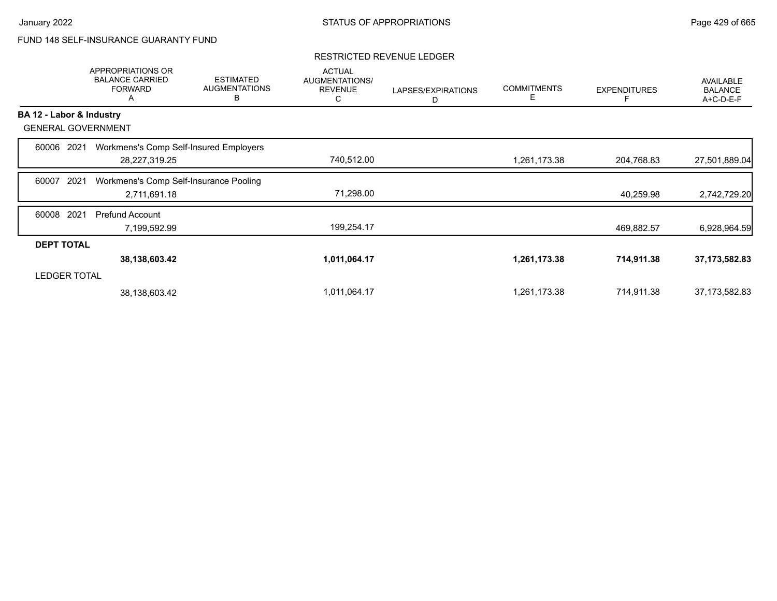# FUND 148 SELF-INSURANCE GUARANTY FUND

|                          | <b>APPROPRIATIONS OR</b><br><b>BALANCE CARRIED</b><br><b>FORWARD</b><br>A | <b>ESTIMATED</b><br><b>AUGMENTATIONS</b><br>B | <b>ACTUAL</b><br><b>AUGMENTATIONS/</b><br><b>REVENUE</b><br>С | LAPSES/EXPIRATIONS<br>D | <b>COMMITMENTS</b><br>Е | <b>EXPENDITURES</b> | <b>AVAILABLE</b><br><b>BALANCE</b><br>A+C-D-E-F |
|--------------------------|---------------------------------------------------------------------------|-----------------------------------------------|---------------------------------------------------------------|-------------------------|-------------------------|---------------------|-------------------------------------------------|
| BA 12 - Labor & Industry |                                                                           |                                               |                                                               |                         |                         |                     |                                                 |
|                          | <b>GENERAL GOVERNMENT</b>                                                 |                                               |                                                               |                         |                         |                     |                                                 |
| 60006                    | 2021                                                                      | Workmens's Comp Self-Insured Employers        |                                                               |                         |                         |                     |                                                 |
|                          | 28,227,319.25                                                             |                                               | 740,512.00                                                    |                         | 1,261,173.38            | 204,768.83          | 27,501,889.04                                   |
| 60007                    | 2021                                                                      | Workmens's Comp Self-Insurance Pooling        |                                                               |                         |                         |                     |                                                 |
|                          | 2,711,691.18                                                              |                                               | 71,298.00                                                     |                         |                         | 40,259.98           | 2,742,729.20                                    |
| 60008                    | 2021<br><b>Prefund Account</b>                                            |                                               |                                                               |                         |                         |                     |                                                 |
|                          | 7,199,592.99                                                              |                                               | 199,254.17                                                    |                         |                         | 469,882.57          | 6,928,964.59                                    |
| <b>DEPT TOTAL</b>        |                                                                           |                                               |                                                               |                         |                         |                     |                                                 |
|                          | 38,138,603.42                                                             |                                               | 1,011,064.17                                                  |                         | 1,261,173.38            | 714,911.38          | 37, 173, 582.83                                 |
| <b>LEDGER TOTAL</b>      |                                                                           |                                               |                                                               |                         |                         |                     |                                                 |
|                          | 38,138,603.42                                                             |                                               | 1,011,064.17                                                  |                         | 1,261,173.38            | 714,911.38          | 37, 173, 582.83                                 |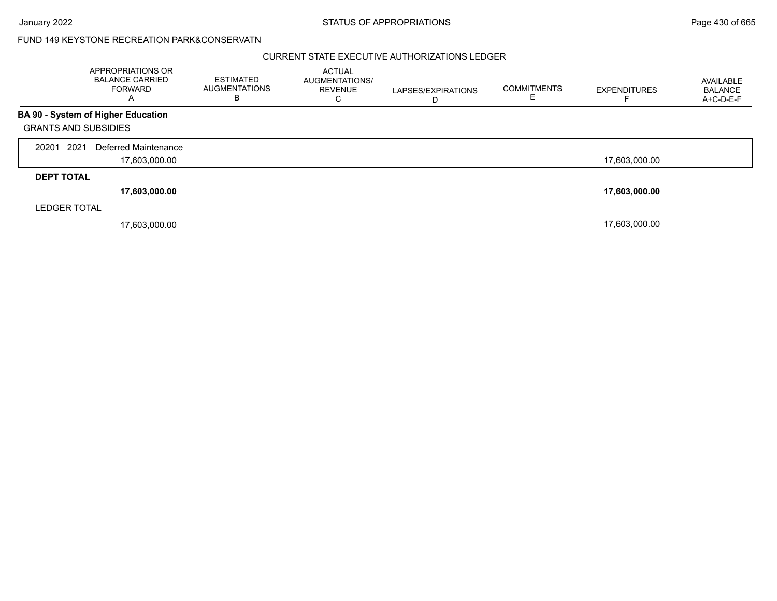January 2022 **STATUS OF APPROPRIATIONS** STATUS OF APPROPRIATIONS

## FUND 149 KEYSTONE RECREATION PARK&CONSERVATN

|                             | APPROPRIATIONS OR<br><b>BALANCE CARRIED</b><br><b>FORWARD</b><br>A | <b>ESTIMATED</b><br><b>AUGMENTATIONS</b><br>в | <b>ACTUAL</b><br><b>AUGMENTATIONS/</b><br><b>REVENUE</b><br>C | LAPSES/EXPIRATIONS | <b>COMMITMENTS</b> | <b>EXPENDITURES</b> | AVAILABLE<br><b>BALANCE</b><br>A+C-D-E-F |
|-----------------------------|--------------------------------------------------------------------|-----------------------------------------------|---------------------------------------------------------------|--------------------|--------------------|---------------------|------------------------------------------|
|                             | <b>BA 90 - System of Higher Education</b>                          |                                               |                                                               |                    |                    |                     |                                          |
| <b>GRANTS AND SUBSIDIES</b> |                                                                    |                                               |                                                               |                    |                    |                     |                                          |
| 2021<br>20201               | Deferred Maintenance                                               |                                               |                                                               |                    |                    |                     |                                          |
|                             | 17,603,000.00                                                      |                                               |                                                               |                    |                    | 17,603,000.00       |                                          |
| <b>DEPT TOTAL</b>           |                                                                    |                                               |                                                               |                    |                    |                     |                                          |
|                             | 17,603,000.00                                                      |                                               |                                                               |                    |                    | 17,603,000.00       |                                          |
| <b>LEDGER TOTAL</b>         |                                                                    |                                               |                                                               |                    |                    |                     |                                          |
|                             | 17,603,000.00                                                      |                                               |                                                               |                    |                    | 17,603,000.00       |                                          |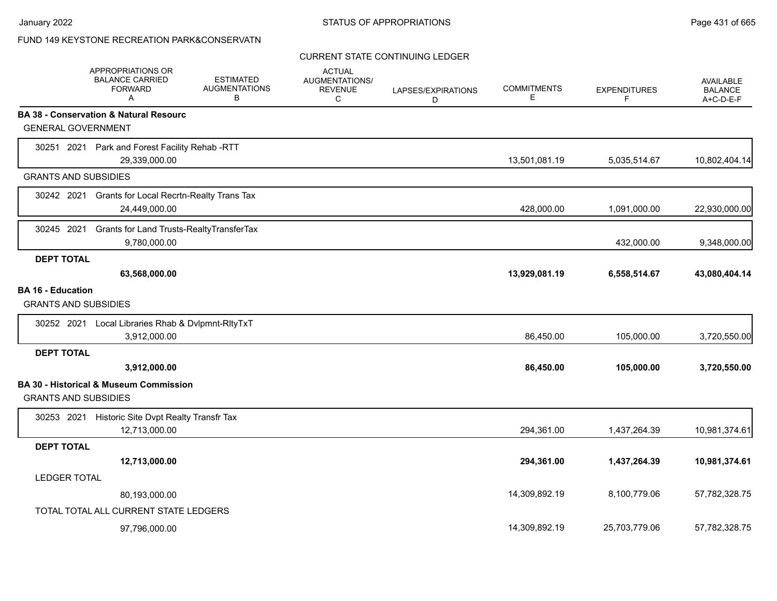## FUND 149 KEYSTONE RECREATION PARK&CONSERVATN

## CURRENT STATE CONTINUING LEDGER

|                                                         | <b>APPROPRIATIONS OR</b><br><b>BALANCE CARRIED</b><br><b>FORWARD</b><br>A | <b>ESTIMATED</b><br><b>AUGMENTATIONS</b><br>В | <b>ACTUAL</b><br><b>AUGMENTATIONS/</b><br><b>REVENUE</b><br>C | LAPSES/EXPIRATIONS<br>D | <b>COMMITMENTS</b><br>Е | <b>EXPENDITURES</b><br>F | <b>AVAILABLE</b><br><b>BALANCE</b><br>A+C-D-E-F |
|---------------------------------------------------------|---------------------------------------------------------------------------|-----------------------------------------------|---------------------------------------------------------------|-------------------------|-------------------------|--------------------------|-------------------------------------------------|
|                                                         | <b>BA 38 - Conservation &amp; Natural Resourc</b>                         |                                               |                                                               |                         |                         |                          |                                                 |
| <b>GENERAL GOVERNMENT</b>                               |                                                                           |                                               |                                                               |                         |                         |                          |                                                 |
|                                                         | 30251 2021 Park and Forest Facility Rehab -RTT<br>29,339,000.00           |                                               |                                                               |                         | 13,501,081.19           | 5,035,514.67             | 10,802,404.14                                   |
| <b>GRANTS AND SUBSIDIES</b>                             |                                                                           |                                               |                                                               |                         |                         |                          |                                                 |
| 30242 2021                                              | <b>Grants for Local Recrtn-Realty Trans Tax</b><br>24,449,000.00          |                                               |                                                               |                         | 428,000.00              | 1,091,000.00             | 22,930,000.00                                   |
| 30245 2021                                              | Grants for Land Trusts-RealtyTransferTax<br>9,780,000.00                  |                                               |                                                               |                         |                         | 432,000.00               | 9,348,000.00                                    |
| <b>DEPT TOTAL</b>                                       |                                                                           |                                               |                                                               |                         |                         |                          |                                                 |
|                                                         | 63,568,000.00                                                             |                                               |                                                               |                         | 13,929,081.19           | 6,558,514.67             | 43,080,404.14                                   |
| <b>BA 16 - Education</b><br><b>GRANTS AND SUBSIDIES</b> |                                                                           |                                               |                                                               |                         |                         |                          |                                                 |
| 30252 2021                                              | Local Libraries Rhab & Dvlpmnt-RltyTxT<br>3,912,000.00                    |                                               |                                                               |                         | 86,450.00               | 105,000.00               | 3,720,550.00                                    |
| <b>DEPT TOTAL</b>                                       |                                                                           |                                               |                                                               |                         |                         |                          |                                                 |
|                                                         | 3,912,000.00                                                              |                                               |                                                               |                         | 86,450.00               | 105,000.00               | 3,720,550.00                                    |
| <b>GRANTS AND SUBSIDIES</b>                             | BA 30 - Historical & Museum Commission                                    |                                               |                                                               |                         |                         |                          |                                                 |
|                                                         | 30253 2021 Historic Site Dvpt Realty Transfr Tax<br>12,713,000.00         |                                               |                                                               |                         | 294,361.00              | 1,437,264.39             | 10,981,374.61                                   |
| <b>DEPT TOTAL</b>                                       |                                                                           |                                               |                                                               |                         |                         |                          |                                                 |
|                                                         | 12,713,000.00                                                             |                                               |                                                               |                         | 294,361.00              | 1,437,264.39             | 10,981,374.61                                   |
| <b>LEDGER TOTAL</b>                                     |                                                                           |                                               |                                                               |                         |                         |                          |                                                 |
|                                                         | 80,193,000.00                                                             |                                               |                                                               |                         | 14,309,892.19           | 8,100,779.06             | 57,782,328.75                                   |
|                                                         | TOTAL TOTAL ALL CURRENT STATE LEDGERS                                     |                                               |                                                               |                         |                         |                          |                                                 |
|                                                         | 97,796,000.00                                                             |                                               |                                                               |                         | 14,309,892.19           | 25.703.779.06            | 57,782,328.75                                   |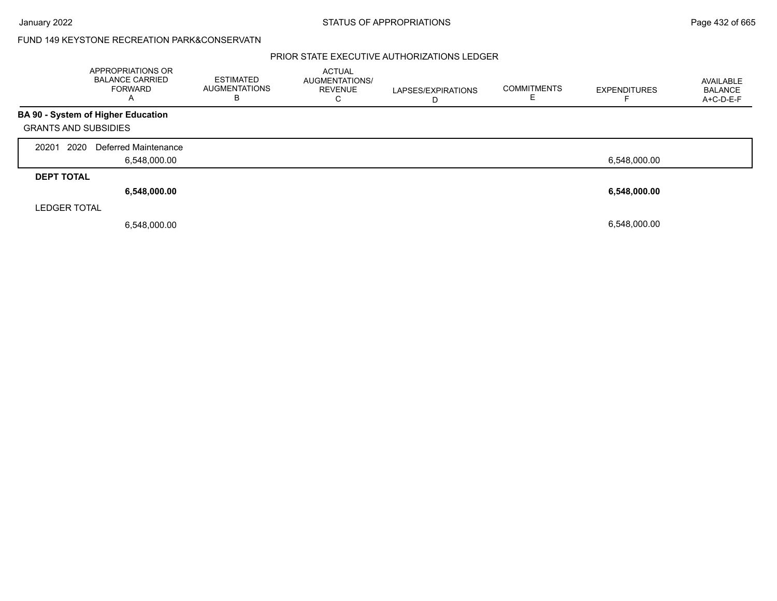## FUND 149 KEYSTONE RECREATION PARK&CONSERVATN

|                             | APPROPRIATIONS OR<br><b>BALANCE CARRIED</b><br><b>FORWARD</b><br>A | <b>ESTIMATED</b><br><b>AUGMENTATIONS</b><br>в | <b>ACTUAL</b><br><b>AUGMENTATIONS/</b><br><b>REVENUE</b><br>С | LAPSES/EXPIRATIONS<br>D | <b>COMMITMENTS</b> | <b>EXPENDITURES</b> | AVAILABLE<br>BALANCE<br>A+C-D-E-F |
|-----------------------------|--------------------------------------------------------------------|-----------------------------------------------|---------------------------------------------------------------|-------------------------|--------------------|---------------------|-----------------------------------|
|                             | <b>BA 90 - System of Higher Education</b>                          |                                               |                                                               |                         |                    |                     |                                   |
| <b>GRANTS AND SUBSIDIES</b> |                                                                    |                                               |                                                               |                         |                    |                     |                                   |
| 2020<br>20201               | Deferred Maintenance                                               |                                               |                                                               |                         |                    |                     |                                   |
|                             | 6,548,000.00                                                       |                                               |                                                               |                         |                    | 6,548,000.00        |                                   |
| <b>DEPT TOTAL</b>           |                                                                    |                                               |                                                               |                         |                    |                     |                                   |
|                             | 6,548,000.00                                                       |                                               |                                                               |                         |                    | 6,548,000.00        |                                   |
| <b>LEDGER TOTAL</b>         |                                                                    |                                               |                                                               |                         |                    |                     |                                   |
|                             | 6,548,000.00                                                       |                                               |                                                               |                         |                    | 6.548.000.00        |                                   |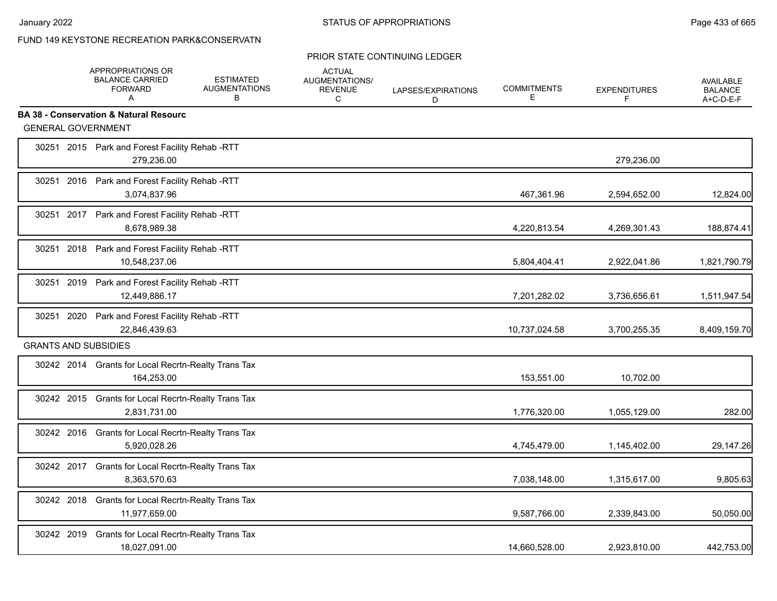## PRIOR STATE CONTINUING LEDGER

|                             | APPROPRIATIONS OR<br><b>BALANCE CARRIED</b><br><b>FORWARD</b><br>A   | <b>ESTIMATED</b><br><b>AUGMENTATIONS</b><br>B | <b>ACTUAL</b><br>AUGMENTATIONS/<br><b>REVENUE</b><br>C | LAPSES/EXPIRATIONS<br>D | <b>COMMITMENTS</b><br>E | <b>EXPENDITURES</b><br>F | AVAILABLE<br><b>BALANCE</b><br>A+C-D-E-F |
|-----------------------------|----------------------------------------------------------------------|-----------------------------------------------|--------------------------------------------------------|-------------------------|-------------------------|--------------------------|------------------------------------------|
|                             | <b>BA 38 - Conservation &amp; Natural Resourc</b>                    |                                               |                                                        |                         |                         |                          |                                          |
| <b>GENERAL GOVERNMENT</b>   |                                                                      |                                               |                                                        |                         |                         |                          |                                          |
|                             | 30251 2015 Park and Forest Facility Rehab -RTT<br>279,236.00         |                                               |                                                        |                         |                         | 279,236.00               |                                          |
|                             | 30251 2016 Park and Forest Facility Rehab -RTT<br>3,074,837.96       |                                               |                                                        |                         | 467,361.96              | 2,594,652.00             | 12,824.00                                |
|                             | 30251 2017 Park and Forest Facility Rehab -RTT<br>8,678,989.38       |                                               |                                                        |                         | 4,220,813.54            | 4,269,301.43             | 188,874.41                               |
|                             | 30251 2018 Park and Forest Facility Rehab -RTT<br>10,548,237.06      |                                               |                                                        |                         | 5,804,404.41            | 2,922,041.86             | 1,821,790.79                             |
|                             | 30251 2019 Park and Forest Facility Rehab -RTT<br>12,449,886.17      |                                               |                                                        |                         | 7,201,282.02            | 3,736,656.61             | 1,511,947.54                             |
|                             | 30251 2020 Park and Forest Facility Rehab -RTT<br>22,846,439.63      |                                               |                                                        |                         | 10,737,024.58           | 3,700,255.35             | 8,409,159.70                             |
| <b>GRANTS AND SUBSIDIES</b> |                                                                      |                                               |                                                        |                         |                         |                          |                                          |
|                             | 30242 2014 Grants for Local Recrtn-Realty Trans Tax<br>164,253.00    |                                               |                                                        |                         | 153,551.00              | 10,702.00                |                                          |
|                             | 30242 2015 Grants for Local Recrtn-Realty Trans Tax<br>2,831,731.00  |                                               |                                                        |                         | 1,776,320.00            | 1,055,129.00             | 282.00                                   |
|                             | 30242 2016 Grants for Local Recrtn-Realty Trans Tax<br>5,920,028.26  |                                               |                                                        |                         | 4,745,479.00            | 1,145,402.00             | 29,147.26                                |
|                             | 30242 2017 Grants for Local Recrtn-Realty Trans Tax<br>8,363,570.63  |                                               |                                                        |                         | 7,038,148.00            | 1,315,617.00             | 9,805.63                                 |
|                             | 30242 2018 Grants for Local Recrtn-Realty Trans Tax<br>11,977,659.00 |                                               |                                                        |                         | 9,587,766.00            | 2,339,843.00             | 50,050.00                                |
| 30242 2019                  | Grants for Local Recrtn-Realty Trans Tax<br>18,027,091.00            |                                               |                                                        |                         | 14,660,528.00           | 2,923,810.00             | 442,753.00                               |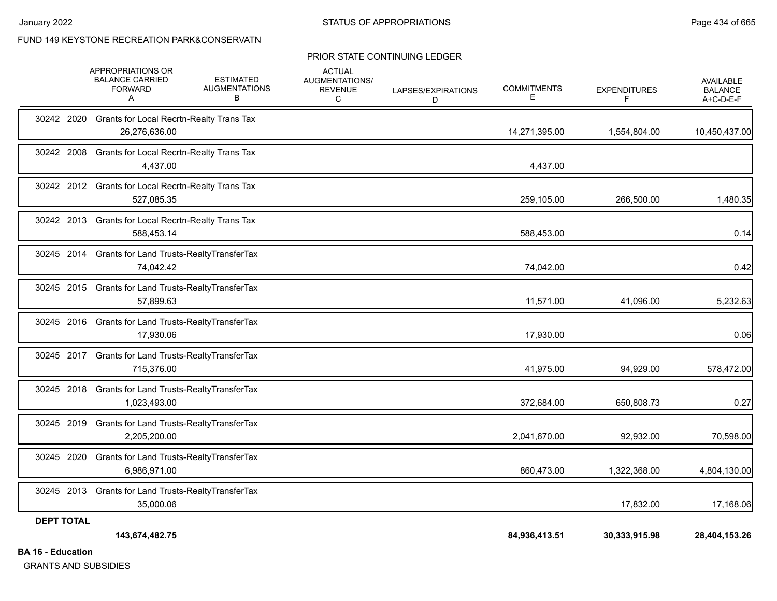#### PRIOR STATE CONTINUING LEDGER

|                                             | APPROPRIATIONS OR<br><b>BALANCE CARRIED</b><br><b>FORWARD</b><br>A  | <b>ESTIMATED</b><br><b>AUGMENTATIONS</b><br>B | <b>ACTUAL</b><br>AUGMENTATIONS/<br><b>REVENUE</b><br>C | LAPSES/EXPIRATIONS<br>D | <b>COMMITMENTS</b><br>E | <b>EXPENDITURES</b><br>F. | <b>AVAILABLE</b><br><b>BALANCE</b><br>$A+C-D-E-F$ |
|---------------------------------------------|---------------------------------------------------------------------|-----------------------------------------------|--------------------------------------------------------|-------------------------|-------------------------|---------------------------|---------------------------------------------------|
| 30242 2020                                  | <b>Grants for Local Recrtn-Realty Trans Tax</b><br>26,276,636.00    |                                               |                                                        |                         | 14,271,395.00           | 1,554,804.00              | 10,450,437.00                                     |
|                                             | 30242 2008 Grants for Local Recrtn-Realty Trans Tax<br>4,437.00     |                                               |                                                        |                         | 4,437.00                |                           |                                                   |
|                                             | 30242 2012 Grants for Local Recrtn-Realty Trans Tax<br>527,085.35   |                                               |                                                        |                         | 259,105.00              | 266,500.00                | 1,480.35                                          |
|                                             | 30242 2013 Grants for Local Recrtn-Realty Trans Tax<br>588,453.14   |                                               |                                                        |                         | 588,453.00              |                           | 0.14                                              |
|                                             | 30245 2014 Grants for Land Trusts-RealtyTransferTax<br>74,042.42    |                                               |                                                        |                         | 74,042.00               |                           | 0.42                                              |
|                                             | 30245 2015 Grants for Land Trusts-RealtyTransferTax<br>57,899.63    |                                               |                                                        |                         | 11,571.00               | 41,096.00                 | 5,232.63                                          |
|                                             | 30245 2016 Grants for Land Trusts-RealtyTransferTax<br>17,930.06    |                                               |                                                        |                         | 17,930.00               |                           | 0.06                                              |
|                                             | 30245 2017 Grants for Land Trusts-RealtyTransferTax<br>715,376.00   |                                               |                                                        |                         | 41,975.00               | 94,929.00                 | 578,472.00                                        |
|                                             | 30245 2018 Grants for Land Trusts-RealtyTransferTax<br>1,023,493.00 |                                               |                                                        |                         | 372,684.00              | 650,808.73                | 0.27                                              |
| 30245 2019                                  | <b>Grants for Land Trusts-RealtyTransferTax</b><br>2,205,200.00     |                                               |                                                        |                         | 2,041,670.00            | 92,932.00                 | 70,598.00                                         |
| 30245 2020                                  | <b>Grants for Land Trusts-RealtyTransferTax</b><br>6,986,971.00     |                                               |                                                        |                         | 860,473.00              | 1,322,368.00              | 4,804,130.00                                      |
|                                             | 30245 2013 Grants for Land Trusts-RealtyTransferTax<br>35,000.06    |                                               |                                                        |                         |                         | 17,832.00                 | 17,168.06                                         |
| <b>DEPT TOTAL</b><br><b>DA 40 Education</b> | 143,674,482.75                                                      |                                               |                                                        |                         | 84,936,413.51           | 30,333,915.98             | 28,404,153.26                                     |

**BA 16 - Education**

GRANTS AND SUBSIDIES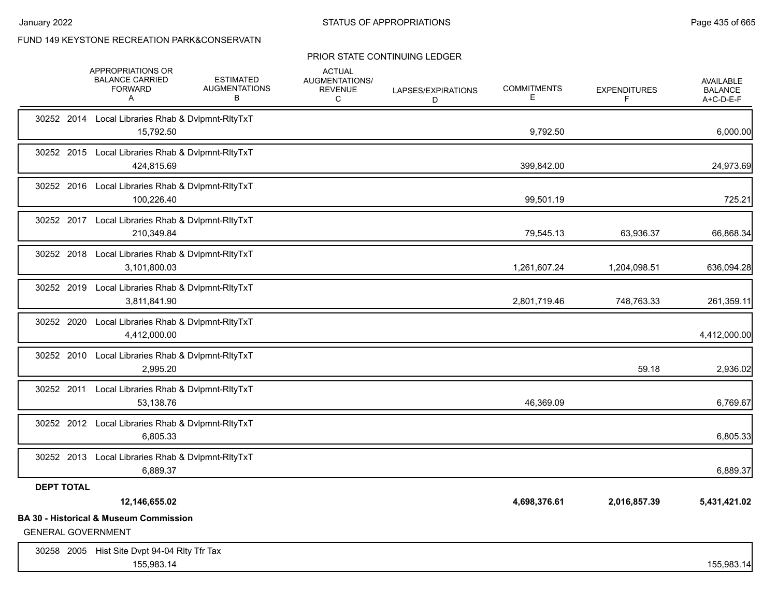## PRIOR STATE CONTINUING LEDGER

|                   | APPROPRIATIONS OR<br><b>BALANCE CARRIED</b><br><b>FORWARD</b><br>A             | <b>ESTIMATED</b><br><b>AUGMENTATIONS</b><br>В | <b>ACTUAL</b><br>AUGMENTATIONS/<br><b>REVENUE</b><br>C | LAPSES/EXPIRATIONS<br>D | <b>COMMITMENTS</b><br>Е | <b>EXPENDITURES</b><br>F | <b>AVAILABLE</b><br><b>BALANCE</b><br>A+C-D-E-F |
|-------------------|--------------------------------------------------------------------------------|-----------------------------------------------|--------------------------------------------------------|-------------------------|-------------------------|--------------------------|-------------------------------------------------|
|                   | 30252 2014 Local Libraries Rhab & Dvlpmnt-RltyTxT<br>15,792.50                 |                                               |                                                        |                         | 9,792.50                |                          | 6,000.00                                        |
|                   | 30252 2015 Local Libraries Rhab & Dvlpmnt-RltyTxT<br>424,815.69                |                                               |                                                        |                         | 399,842.00              |                          | 24,973.69                                       |
|                   | 30252 2016 Local Libraries Rhab & Dvlpmnt-RltyTxT<br>100,226.40                |                                               |                                                        |                         | 99,501.19               |                          | 725.21                                          |
|                   | 30252 2017 Local Libraries Rhab & Dvlpmnt-RltyTxT<br>210,349.84                |                                               |                                                        |                         | 79,545.13               | 63,936.37                | 66,868.34                                       |
|                   | 30252 2018 Local Libraries Rhab & Dvlpmnt-RltyTxT<br>3,101,800.03              |                                               |                                                        |                         | 1,261,607.24            | 1,204,098.51             | 636,094.28                                      |
|                   | 30252 2019 Local Libraries Rhab & Dvlpmnt-RltyTxT<br>3,811,841.90              |                                               |                                                        |                         | 2,801,719.46            | 748,763.33               | 261,359.11                                      |
| 30252 2020        | Local Libraries Rhab & Dvlpmnt-RltyTxT<br>4,412,000.00                         |                                               |                                                        |                         |                         |                          | 4,412,000.00                                    |
|                   | 30252 2010 Local Libraries Rhab & Dvlpmnt-RltyTxT<br>2.995.20                  |                                               |                                                        |                         |                         | 59.18                    | 2,936.02                                        |
|                   | 30252 2011 Local Libraries Rhab & Dvlpmnt-RltyTxT<br>53,138.76                 |                                               |                                                        |                         | 46,369.09               |                          | 6,769.67                                        |
|                   | 30252 2012 Local Libraries Rhab & Dvlpmnt-RltyTxT<br>6.805.33                  |                                               |                                                        |                         |                         |                          | 6,805.33                                        |
|                   | 30252 2013 Local Libraries Rhab & Dvlpmnt-RltyTxT<br>6,889.37                  |                                               |                                                        |                         |                         |                          | 6,889.37                                        |
| <b>DEPT TOTAL</b> |                                                                                |                                               |                                                        |                         |                         |                          |                                                 |
|                   | 12,146,655.02                                                                  |                                               |                                                        |                         | 4,698,376.61            | 2,016,857.39             | 5,431,421.02                                    |
|                   | <b>BA 30 - Historical &amp; Museum Commission</b><br><b>GENERAL GOVERNMENT</b> |                                               |                                                        |                         |                         |                          |                                                 |
|                   | 30258 2005 Hist Site Dvpt 94-04 RIty Tfr Tax<br>155,983.14                     |                                               |                                                        |                         |                         |                          | 155,983.14                                      |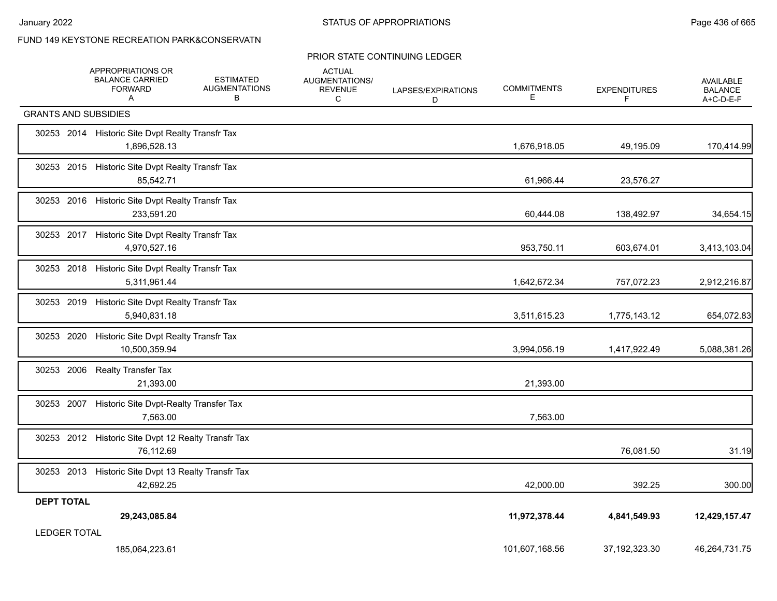### PRIOR STATE CONTINUING LEDGER

|                   |                             | APPROPRIATIONS OR<br><b>BALANCE CARRIED</b><br><b>FORWARD</b><br>A | <b>ESTIMATED</b><br><b>AUGMENTATIONS</b><br>В | <b>ACTUAL</b><br><b>AUGMENTATIONS/</b><br><b>REVENUE</b><br>C | LAPSES/EXPIRATIONS<br>D | <b>COMMITMENTS</b><br>E. | <b>EXPENDITURES</b><br>F | <b>AVAILABLE</b><br><b>BALANCE</b><br>A+C-D-E-F |
|-------------------|-----------------------------|--------------------------------------------------------------------|-----------------------------------------------|---------------------------------------------------------------|-------------------------|--------------------------|--------------------------|-------------------------------------------------|
|                   | <b>GRANTS AND SUBSIDIES</b> |                                                                    |                                               |                                                               |                         |                          |                          |                                                 |
|                   |                             | 30253 2014 Historic Site Dvpt Realty Transfr Tax<br>1,896,528.13   |                                               |                                                               |                         | 1,676,918.05             | 49,195.09                | 170,414.99                                      |
|                   |                             | 30253 2015 Historic Site Dvpt Realty Transfr Tax<br>85,542.71      |                                               |                                                               |                         | 61,966.44                | 23,576.27                |                                                 |
|                   |                             | 30253 2016 Historic Site Dvpt Realty Transfr Tax<br>233,591.20     |                                               |                                                               |                         | 60,444.08                | 138,492.97               | 34,654.15                                       |
|                   |                             | 30253 2017 Historic Site Dvpt Realty Transfr Tax<br>4,970,527.16   |                                               |                                                               |                         | 953,750.11               | 603,674.01               | 3,413,103.04                                    |
|                   |                             | 30253 2018 Historic Site Dvpt Realty Transfr Tax<br>5,311,961.44   |                                               |                                                               |                         | 1,642,672.34             | 757,072.23               | 2,912,216.87                                    |
| 30253 2019        |                             | Historic Site Dvpt Realty Transfr Tax<br>5,940,831.18              |                                               |                                                               |                         | 3,511,615.23             | 1,775,143.12             | 654,072.83                                      |
| 30253 2020        |                             | Historic Site Dvpt Realty Transfr Tax<br>10,500,359.94             |                                               |                                                               |                         | 3,994,056.19             | 1,417,922.49             | 5,088,381.26                                    |
|                   |                             | 30253 2006 Realty Transfer Tax<br>21,393.00                        |                                               |                                                               |                         | 21,393.00                |                          |                                                 |
| 30253 2007        |                             | Historic Site Dvpt-Realty Transfer Tax<br>7,563.00                 |                                               |                                                               |                         | 7,563.00                 |                          |                                                 |
|                   |                             | 30253 2012 Historic Site Dvpt 12 Realty Transfr Tax<br>76,112.69   |                                               |                                                               |                         |                          | 76,081.50                | 31.19                                           |
|                   |                             | 30253 2013 Historic Site Dvpt 13 Realty Transfr Tax<br>42,692.25   |                                               |                                                               |                         | 42,000.00                | 392.25                   | 300.00                                          |
| <b>DEPT TOTAL</b> |                             | 29,243,085.84                                                      |                                               |                                                               |                         | 11,972,378.44            | 4,841,549.93             | 12,429,157.47                                   |
|                   | <b>LEDGER TOTAL</b>         |                                                                    |                                               |                                                               |                         |                          |                          |                                                 |
|                   |                             | 185,064,223.61                                                     |                                               |                                                               |                         | 101,607,168.56           | 37, 192, 323. 30         | 46,264,731.75                                   |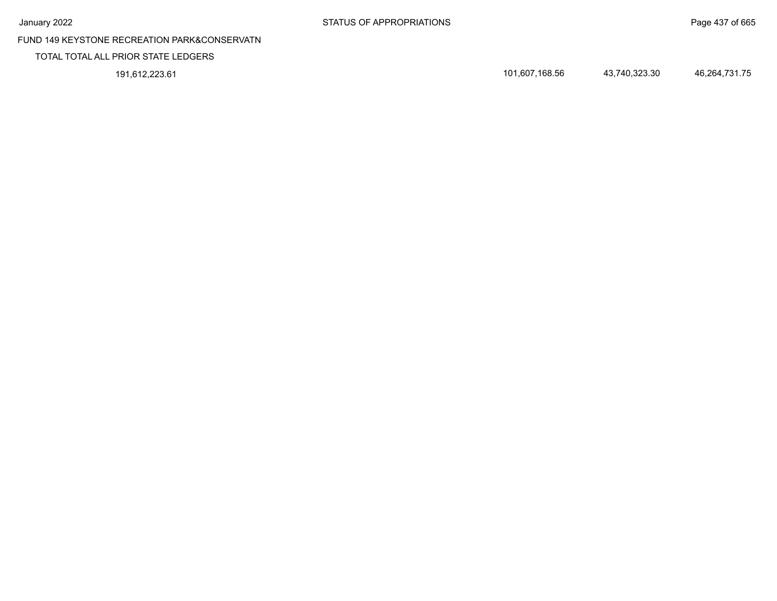## TOTAL TOTAL ALL PRIOR STATE LEDGERS

191,612,223.61 101,607,168.56 43,740,323.30 46,264,731.75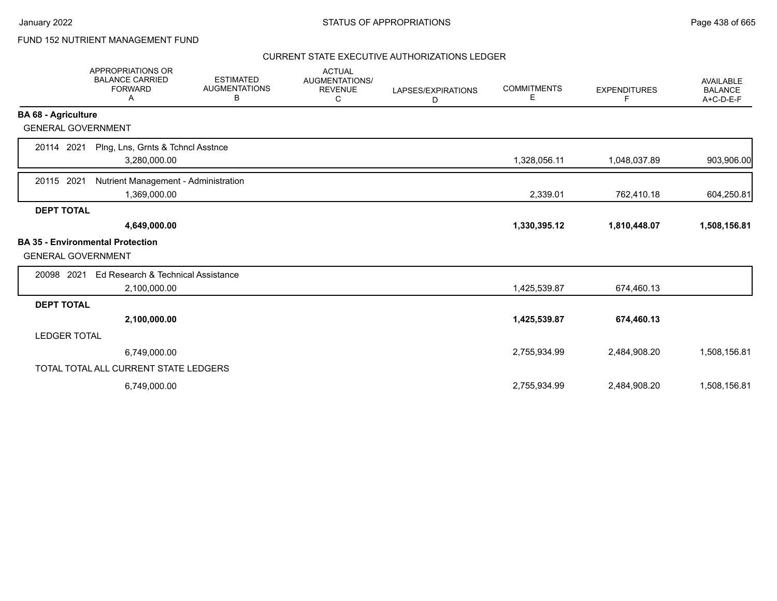# FUND 152 NUTRIENT MANAGEMENT FUND

|                            | <b>APPROPRIATIONS OR</b><br><b>BALANCE CARRIED</b><br><b>FORWARD</b><br>Α | <b>ESTIMATED</b><br><b>AUGMENTATIONS</b><br>В | <b>ACTUAL</b><br>AUGMENTATIONS/<br><b>REVENUE</b><br>C | LAPSES/EXPIRATIONS<br>D | <b>COMMITMENTS</b><br>Е | <b>EXPENDITURES</b><br>F | <b>AVAILABLE</b><br><b>BALANCE</b><br>A+C-D-E-F |
|----------------------------|---------------------------------------------------------------------------|-----------------------------------------------|--------------------------------------------------------|-------------------------|-------------------------|--------------------------|-------------------------------------------------|
| <b>BA 68 - Agriculture</b> |                                                                           |                                               |                                                        |                         |                         |                          |                                                 |
| <b>GENERAL GOVERNMENT</b>  |                                                                           |                                               |                                                        |                         |                         |                          |                                                 |
| 20114 2021                 | Plng, Lns, Grnts & Tchncl Asstnce<br>3,280,000.00                         |                                               |                                                        |                         | 1,328,056.11            | 1,048,037.89             | 903,906.00                                      |
| 2021<br>20115              | Nutrient Management - Administration<br>1,369,000.00                      |                                               |                                                        |                         | 2,339.01                | 762,410.18               | 604,250.81                                      |
| <b>DEPT TOTAL</b>          |                                                                           |                                               |                                                        |                         |                         |                          |                                                 |
|                            | 4,649,000.00                                                              |                                               |                                                        |                         | 1,330,395.12            | 1,810,448.07             | 1,508,156.81                                    |
| <b>GENERAL GOVERNMENT</b>  | <b>BA 35 - Environmental Protection</b>                                   |                                               |                                                        |                         |                         |                          |                                                 |
| 20098 2021                 | Ed Research & Technical Assistance                                        |                                               |                                                        |                         |                         |                          |                                                 |
|                            | 2,100,000.00                                                              |                                               |                                                        |                         | 1,425,539.87            | 674,460.13               |                                                 |
| <b>DEPT TOTAL</b>          |                                                                           |                                               |                                                        |                         |                         |                          |                                                 |
|                            | 2,100,000.00                                                              |                                               |                                                        |                         | 1,425,539.87            | 674,460.13               |                                                 |
| <b>LEDGER TOTAL</b>        |                                                                           |                                               |                                                        |                         |                         |                          |                                                 |
|                            | 6,749,000.00                                                              |                                               |                                                        |                         | 2,755,934.99            | 2,484,908.20             | 1,508,156.81                                    |
|                            | TOTAL TOTAL ALL CURRENT STATE LEDGERS                                     |                                               |                                                        |                         |                         |                          |                                                 |
|                            | 6,749,000.00                                                              |                                               |                                                        |                         | 2,755,934.99            | 2,484,908.20             | 1,508,156.81                                    |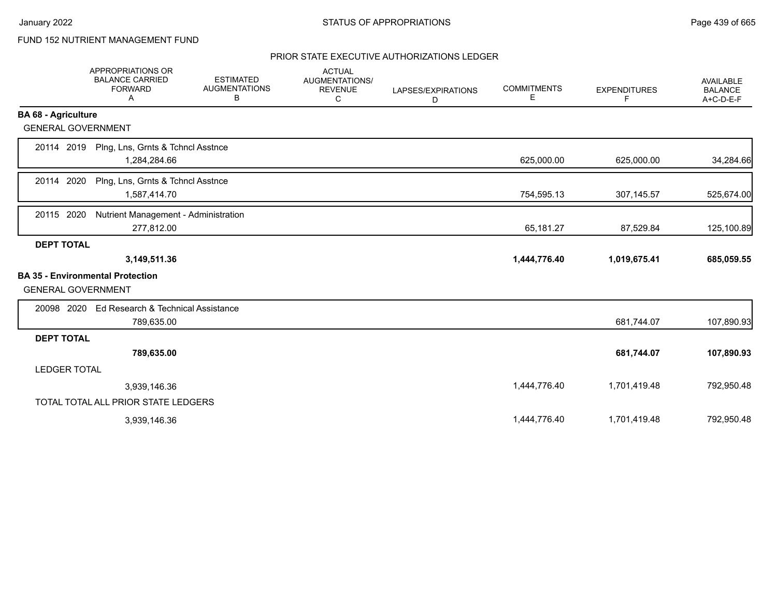# FUND 152 NUTRIENT MANAGEMENT FUND

|                            | APPROPRIATIONS OR<br><b>BALANCE CARRIED</b><br><b>FORWARD</b><br>Α | <b>ESTIMATED</b><br><b>AUGMENTATIONS</b><br>В | <b>ACTUAL</b><br>AUGMENTATIONS/<br><b>REVENUE</b><br>C | LAPSES/EXPIRATIONS<br>D | <b>COMMITMENTS</b><br>Е | <b>EXPENDITURES</b><br>F. | <b>AVAILABLE</b><br><b>BALANCE</b><br>A+C-D-E-F |
|----------------------------|--------------------------------------------------------------------|-----------------------------------------------|--------------------------------------------------------|-------------------------|-------------------------|---------------------------|-------------------------------------------------|
| <b>BA 68 - Agriculture</b> |                                                                    |                                               |                                                        |                         |                         |                           |                                                 |
| <b>GENERAL GOVERNMENT</b>  |                                                                    |                                               |                                                        |                         |                         |                           |                                                 |
| 20114 2019                 | Plng, Lns, Grnts & Tchncl Asstnce<br>1,284,284.66                  |                                               |                                                        |                         | 625,000.00              | 625,000.00                | 34,284.66                                       |
| 20114 2020                 | Plng, Lns, Grnts & Tchncl Asstnce<br>1,587,414.70                  |                                               |                                                        |                         | 754,595.13              | 307,145.57                | 525,674.00                                      |
| 20115 2020                 | Nutrient Management - Administration<br>277,812.00                 |                                               |                                                        |                         | 65,181.27               | 87,529.84                 | 125,100.89                                      |
| <b>DEPT TOTAL</b>          |                                                                    |                                               |                                                        |                         |                         |                           |                                                 |
|                            | 3,149,511.36                                                       |                                               |                                                        |                         | 1,444,776.40            | 1,019,675.41              | 685,059.55                                      |
| <b>GENERAL GOVERNMENT</b>  | <b>BA 35 - Environmental Protection</b>                            |                                               |                                                        |                         |                         |                           |                                                 |
| 20098 2020                 | Ed Research & Technical Assistance<br>789,635.00                   |                                               |                                                        |                         |                         | 681,744.07                | 107,890.93                                      |
| <b>DEPT TOTAL</b>          |                                                                    |                                               |                                                        |                         |                         |                           |                                                 |
|                            | 789,635.00                                                         |                                               |                                                        |                         |                         | 681,744.07                | 107,890.93                                      |
| <b>LEDGER TOTAL</b>        |                                                                    |                                               |                                                        |                         |                         |                           |                                                 |
|                            | 3,939,146.36                                                       |                                               |                                                        |                         | 1,444,776.40            | 1,701,419.48              | 792,950.48                                      |
|                            | TOTAL TOTAL ALL PRIOR STATE LEDGERS                                |                                               |                                                        |                         |                         |                           |                                                 |
|                            | 3,939,146.36                                                       |                                               |                                                        |                         | 1,444,776.40            | 1,701,419.48              | 792,950.48                                      |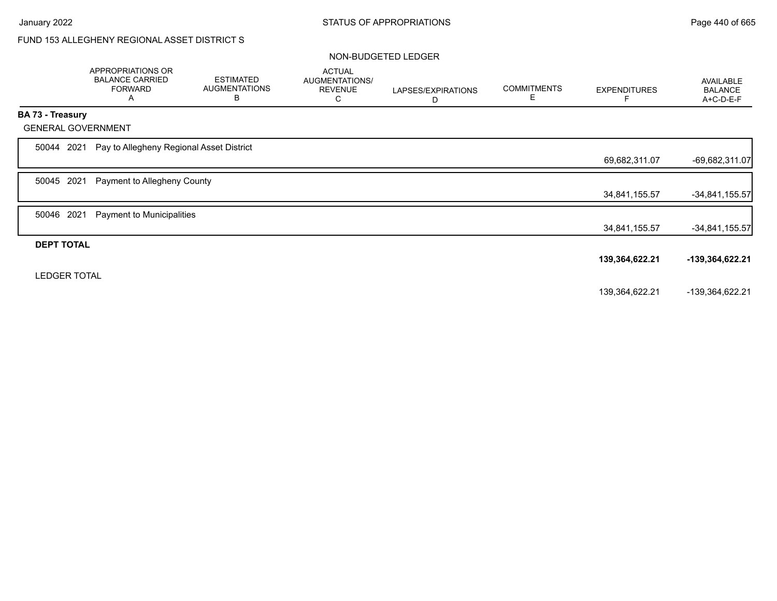# FUND 153 ALLEGHENY REGIONAL ASSET DISTRICT S

### NON-BUDGETED LEDGER

|                     |      | APPROPRIATIONS OR<br><b>BALANCE CARRIED</b><br><b>FORWARD</b><br>A | <b>ESTIMATED</b><br><b>AUGMENTATIONS</b><br>B | <b>ACTUAL</b><br>AUGMENTATIONS/<br><b>REVENUE</b><br>С | LAPSES/EXPIRATIONS<br>D | <b>COMMITMENTS</b><br>Е | <b>EXPENDITURES</b><br>F | AVAILABLE<br><b>BALANCE</b><br>A+C-D-E-F |
|---------------------|------|--------------------------------------------------------------------|-----------------------------------------------|--------------------------------------------------------|-------------------------|-------------------------|--------------------------|------------------------------------------|
| BA 73 - Treasury    |      |                                                                    |                                               |                                                        |                         |                         |                          |                                          |
|                     |      | <b>GENERAL GOVERNMENT</b>                                          |                                               |                                                        |                         |                         |                          |                                          |
| 50044               | 2021 | Pay to Allegheny Regional Asset District                           |                                               |                                                        |                         |                         |                          |                                          |
|                     |      |                                                                    |                                               |                                                        |                         |                         | 69,682,311.07            | $-69,682,311.07$                         |
| 50045               | 2021 | Payment to Allegheny County                                        |                                               |                                                        |                         |                         |                          |                                          |
|                     |      |                                                                    |                                               |                                                        |                         |                         | 34,841,155.57            | $-34,841,155.57$                         |
| 50046               | 2021 | Payment to Municipalities                                          |                                               |                                                        |                         |                         |                          |                                          |
|                     |      |                                                                    |                                               |                                                        |                         |                         | 34,841,155.57            | $-34,841,155.57$                         |
| <b>DEPT TOTAL</b>   |      |                                                                    |                                               |                                                        |                         |                         |                          |                                          |
|                     |      |                                                                    |                                               |                                                        |                         |                         | 139,364,622.21           | -139,364,622.21                          |
| <b>LEDGER TOTAL</b> |      |                                                                    |                                               |                                                        |                         |                         |                          |                                          |
|                     |      |                                                                    |                                               |                                                        |                         |                         | 139,364,622.21           | -139,364,622.21                          |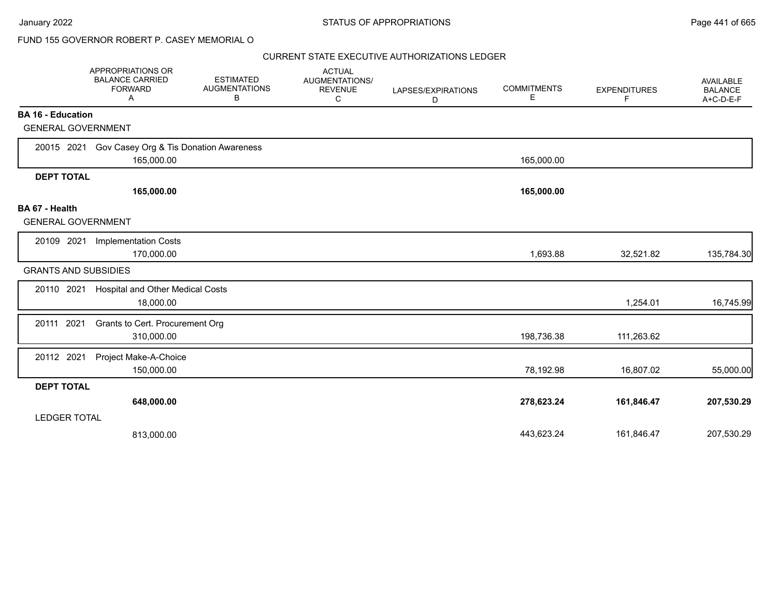## FUND 155 GOVERNOR ROBERT P. CASEY MEMORIAL O

|                                                       | APPROPRIATIONS OR<br><b>BALANCE CARRIED</b><br><b>FORWARD</b><br>A | <b>ESTIMATED</b><br><b>AUGMENTATIONS</b><br>В | <b>ACTUAL</b><br>AUGMENTATIONS/<br><b>REVENUE</b><br>С | LAPSES/EXPIRATIONS<br>D | <b>COMMITMENTS</b><br>Е | <b>EXPENDITURES</b><br>F | AVAILABLE<br><b>BALANCE</b><br>A+C-D-E-F |
|-------------------------------------------------------|--------------------------------------------------------------------|-----------------------------------------------|--------------------------------------------------------|-------------------------|-------------------------|--------------------------|------------------------------------------|
| <b>BA 16 - Education</b><br><b>GENERAL GOVERNMENT</b> |                                                                    |                                               |                                                        |                         |                         |                          |                                          |
|                                                       |                                                                    |                                               |                                                        |                         |                         |                          |                                          |
|                                                       | 20015 2021 Gov Casey Org & Tis Donation Awareness<br>165,000.00    |                                               |                                                        |                         | 165,000.00              |                          |                                          |
| <b>DEPT TOTAL</b>                                     |                                                                    |                                               |                                                        |                         |                         |                          |                                          |
|                                                       | 165,000.00                                                         |                                               |                                                        |                         | 165,000.00              |                          |                                          |
| BA 67 - Health<br><b>GENERAL GOVERNMENT</b>           |                                                                    |                                               |                                                        |                         |                         |                          |                                          |
| 20109 2021                                            | <b>Implementation Costs</b>                                        |                                               |                                                        |                         |                         |                          |                                          |
|                                                       | 170,000.00                                                         |                                               |                                                        |                         | 1,693.88                | 32,521.82                | 135,784.30                               |
| <b>GRANTS AND SUBSIDIES</b>                           |                                                                    |                                               |                                                        |                         |                         |                          |                                          |
| 20110 2021                                            | <b>Hospital and Other Medical Costs</b><br>18,000.00               |                                               |                                                        |                         |                         | 1,254.01                 | 16,745.99                                |
| 20111 2021                                            | Grants to Cert. Procurement Org<br>310,000.00                      |                                               |                                                        |                         | 198,736.38              | 111,263.62               |                                          |
| 20112 2021                                            | Project Make-A-Choice<br>150,000.00                                |                                               |                                                        |                         | 78,192.98               | 16,807.02                | 55,000.00                                |
| <b>DEPT TOTAL</b>                                     |                                                                    |                                               |                                                        |                         |                         |                          |                                          |
|                                                       | 648,000.00                                                         |                                               |                                                        |                         | 278,623.24              | 161,846.47               | 207,530.29                               |
| <b>LEDGER TOTAL</b>                                   |                                                                    |                                               |                                                        |                         |                         |                          |                                          |
|                                                       | 813,000.00                                                         |                                               |                                                        |                         | 443,623.24              | 161,846.47               | 207,530.29                               |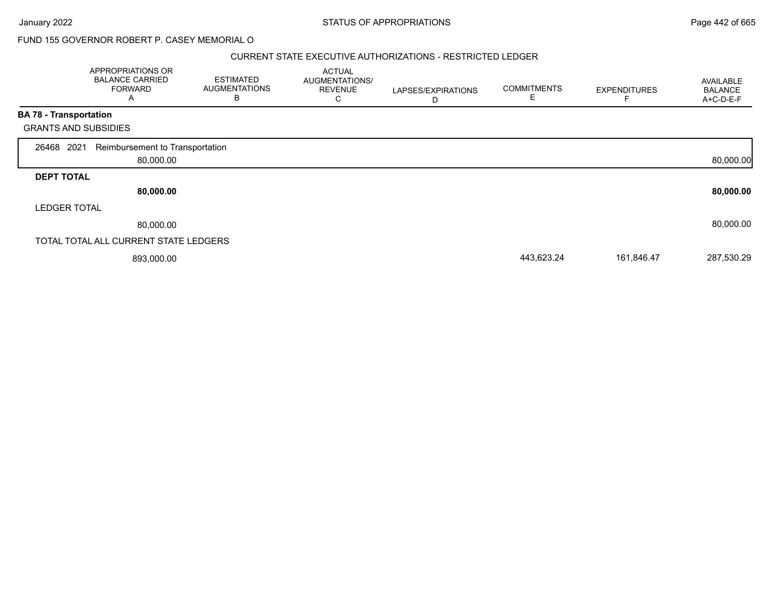### January 2022 **STATUS OF APPROPRIATIONS** STATUS OF APPROPRIATIONS

FUND 155 GOVERNOR ROBERT P. CASEY MEMORIAL O

### CURRENT STATE EXECUTIVE AUTHORIZATIONS - RESTRICTED LEDGER

|                               | APPROPRIATIONS OR<br><b>BALANCE CARRIED</b><br><b>FORWARD</b><br>A | <b>ESTIMATED</b><br><b>AUGMENTATIONS</b><br>В | <b>ACTUAL</b><br>AUGMENTATIONS/<br><b>REVENUE</b><br>C | LAPSES/EXPIRATIONS<br>D | <b>COMMITMENTS</b><br>Е | <b>EXPENDITURES</b> | AVAILABLE<br><b>BALANCE</b><br>A+C-D-E-F |
|-------------------------------|--------------------------------------------------------------------|-----------------------------------------------|--------------------------------------------------------|-------------------------|-------------------------|---------------------|------------------------------------------|
| <b>BA 78 - Transportation</b> |                                                                    |                                               |                                                        |                         |                         |                     |                                          |
|                               | <b>GRANTS AND SUBSIDIES</b>                                        |                                               |                                                        |                         |                         |                     |                                          |
| 26468 2021                    | Reimbursement to Transportation<br>80,000.00                       |                                               |                                                        |                         |                         |                     | 80,000.00                                |
| <b>DEPT TOTAL</b>             |                                                                    |                                               |                                                        |                         |                         |                     |                                          |
|                               | 80,000.00                                                          |                                               |                                                        |                         |                         |                     | 80,000.00                                |
| <b>LEDGER TOTAL</b>           |                                                                    |                                               |                                                        |                         |                         |                     |                                          |
|                               | 80,000.00                                                          |                                               |                                                        |                         |                         |                     | 80,000.00                                |
|                               | TOTAL TOTAL ALL CURRENT STATE LEDGERS                              |                                               |                                                        |                         |                         |                     |                                          |
|                               | 893,000.00                                                         |                                               |                                                        |                         | 443,623.24              | 161,846.47          | 287,530.29                               |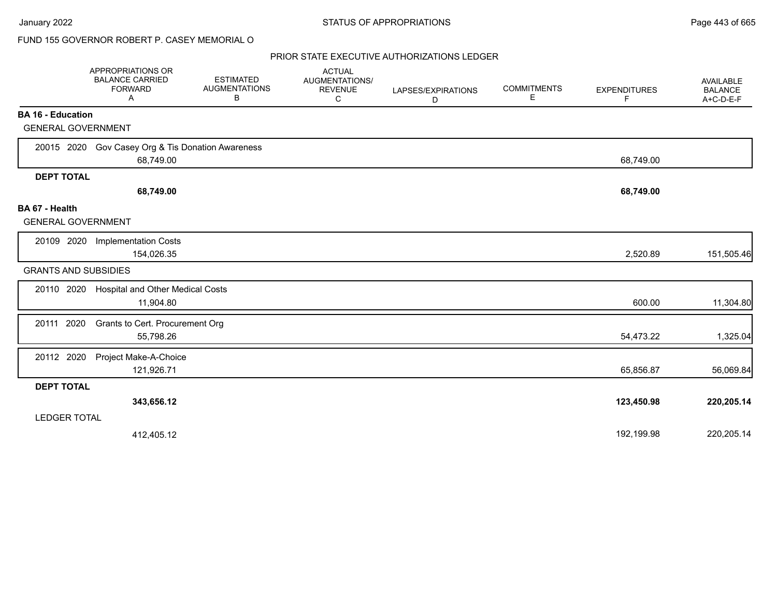## FUND 155 GOVERNOR ROBERT P. CASEY MEMORIAL O

|                                             | APPROPRIATIONS OR<br><b>BALANCE CARRIED</b><br><b>FORWARD</b><br>Α | <b>ESTIMATED</b><br><b>AUGMENTATIONS</b><br>В | <b>ACTUAL</b><br><b>AUGMENTATIONS/</b><br><b>REVENUE</b><br>C | LAPSES/EXPIRATIONS<br>D | <b>COMMITMENTS</b><br>E. | <b>EXPENDITURES</b><br>F | <b>AVAILABLE</b><br><b>BALANCE</b><br>A+C-D-E-F |
|---------------------------------------------|--------------------------------------------------------------------|-----------------------------------------------|---------------------------------------------------------------|-------------------------|--------------------------|--------------------------|-------------------------------------------------|
| <b>BA 16 - Education</b>                    |                                                                    |                                               |                                                               |                         |                          |                          |                                                 |
| <b>GENERAL GOVERNMENT</b>                   |                                                                    |                                               |                                                               |                         |                          |                          |                                                 |
| 20015 2020                                  | Gov Casey Org & Tis Donation Awareness<br>68,749.00                |                                               |                                                               |                         |                          | 68,749.00                |                                                 |
| <b>DEPT TOTAL</b>                           |                                                                    |                                               |                                                               |                         |                          |                          |                                                 |
|                                             | 68,749.00                                                          |                                               |                                                               |                         |                          | 68,749.00                |                                                 |
| BA 67 - Health<br><b>GENERAL GOVERNMENT</b> |                                                                    |                                               |                                                               |                         |                          |                          |                                                 |
| 20109 2020                                  | <b>Implementation Costs</b><br>154,026.35                          |                                               |                                                               |                         |                          | 2,520.89                 | 151,505.46                                      |
| <b>GRANTS AND SUBSIDIES</b>                 |                                                                    |                                               |                                                               |                         |                          |                          |                                                 |
| 20110 2020                                  | Hospital and Other Medical Costs<br>11,904.80                      |                                               |                                                               |                         |                          | 600.00                   | 11,304.80                                       |
| 20111 2020                                  | Grants to Cert. Procurement Org<br>55,798.26                       |                                               |                                                               |                         |                          | 54,473.22                | 1,325.04                                        |
| 20112 2020                                  | Project Make-A-Choice<br>121,926.71                                |                                               |                                                               |                         |                          | 65,856.87                | 56,069.84                                       |
| <b>DEPT TOTAL</b>                           |                                                                    |                                               |                                                               |                         |                          |                          |                                                 |
|                                             | 343,656.12                                                         |                                               |                                                               |                         |                          | 123,450.98               | 220,205.14                                      |
| <b>LEDGER TOTAL</b>                         |                                                                    |                                               |                                                               |                         |                          |                          |                                                 |
|                                             | 412,405.12                                                         |                                               |                                                               |                         |                          | 192,199.98               | 220,205.14                                      |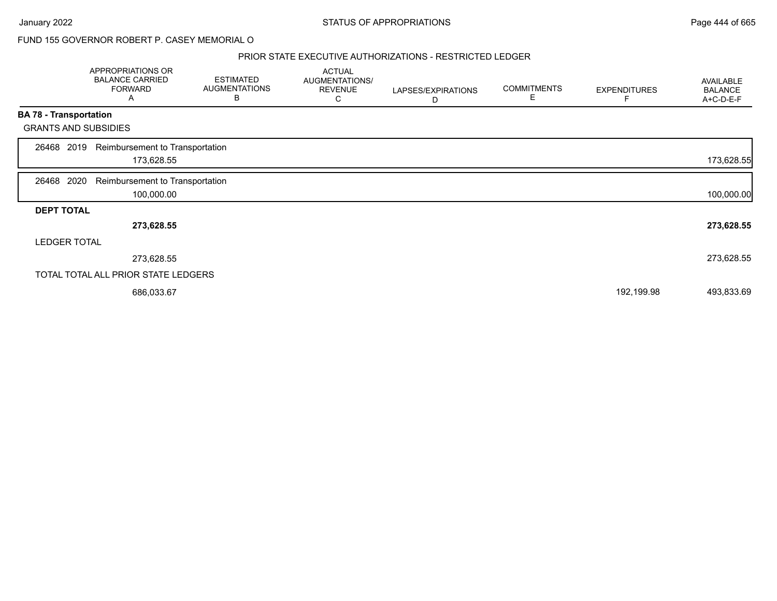## FUND 155 GOVERNOR ROBERT P. CASEY MEMORIAL O

### PRIOR STATE EXECUTIVE AUTHORIZATIONS - RESTRICTED LEDGER

|                   | <b>APPROPRIATIONS OR</b><br><b>BALANCE CARRIED</b><br><b>FORWARD</b><br>A | <b>ESTIMATED</b><br><b>AUGMENTATIONS</b><br>В | <b>ACTUAL</b><br>AUGMENTATIONS/<br><b>REVENUE</b><br>С | LAPSES/EXPIRATIONS<br>D | <b>COMMITMENTS</b><br>Е | <b>EXPENDITURES</b> | AVAILABLE<br><b>BALANCE</b><br>A+C-D-E-F |
|-------------------|---------------------------------------------------------------------------|-----------------------------------------------|--------------------------------------------------------|-------------------------|-------------------------|---------------------|------------------------------------------|
|                   | <b>BA 78 - Transportation</b>                                             |                                               |                                                        |                         |                         |                     |                                          |
|                   | <b>GRANTS AND SUBSIDIES</b>                                               |                                               |                                                        |                         |                         |                     |                                          |
| 26468             | Reimbursement to Transportation<br>2019<br>173,628.55                     |                                               |                                                        |                         |                         |                     | 173,628.55                               |
| 26468             | 2020<br>Reimbursement to Transportation<br>100,000.00                     |                                               |                                                        |                         |                         |                     | 100,000.00                               |
| <b>DEPT TOTAL</b> |                                                                           |                                               |                                                        |                         |                         |                     |                                          |
|                   | 273,628.55                                                                |                                               |                                                        |                         |                         |                     | 273,628.55                               |
|                   | <b>LEDGER TOTAL</b>                                                       |                                               |                                                        |                         |                         |                     |                                          |
|                   | 273,628.55                                                                |                                               |                                                        |                         |                         |                     | 273,628.55                               |
|                   | TOTAL TOTAL ALL PRIOR STATE LEDGERS                                       |                                               |                                                        |                         |                         |                     |                                          |
|                   | 686,033.67                                                                |                                               |                                                        |                         |                         | 192,199.98          | 493,833.69                               |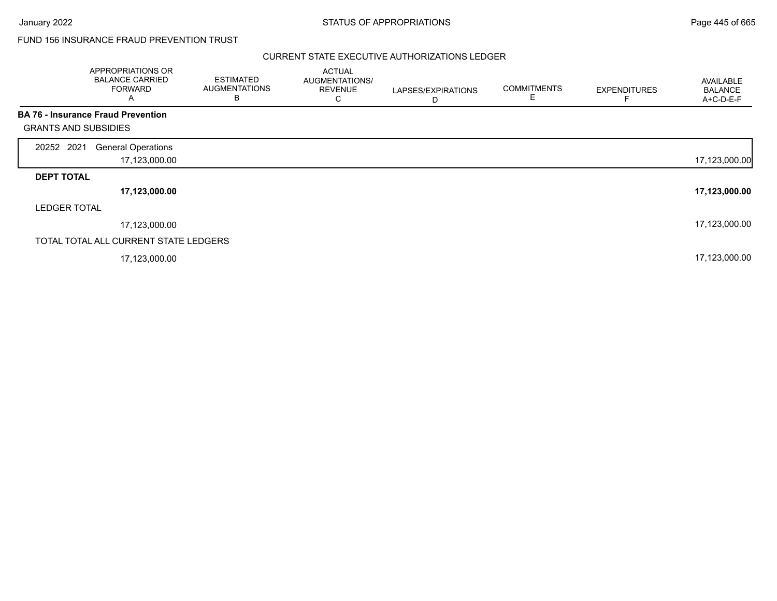# FUND 156 INSURANCE FRAUD PREVENTION TRUST

|                             | APPROPRIATIONS OR<br><b>BALANCE CARRIED</b><br><b>FORWARD</b><br>A | <b>ESTIMATED</b><br><b>AUGMENTATIONS</b><br>в | <b>ACTUAL</b><br>AUGMENTATIONS/<br><b>REVENUE</b><br>С | LAPSES/EXPIRATIONS<br>D | <b>COMMITMENTS</b><br>E | <b>EXPENDITURES</b> | AVAILABLE<br><b>BALANCE</b><br>A+C-D-E-F |
|-----------------------------|--------------------------------------------------------------------|-----------------------------------------------|--------------------------------------------------------|-------------------------|-------------------------|---------------------|------------------------------------------|
|                             | <b>BA 76 - Insurance Fraud Prevention</b>                          |                                               |                                                        |                         |                         |                     |                                          |
| <b>GRANTS AND SUBSIDIES</b> |                                                                    |                                               |                                                        |                         |                         |                     |                                          |
| 20252 2021                  | <b>General Operations</b>                                          |                                               |                                                        |                         |                         |                     |                                          |
|                             | 17,123,000.00                                                      |                                               |                                                        |                         |                         |                     | 17,123,000.00                            |
| <b>DEPT TOTAL</b>           |                                                                    |                                               |                                                        |                         |                         |                     |                                          |
|                             | 17,123,000.00                                                      |                                               |                                                        |                         |                         |                     | 17,123,000.00                            |
| <b>LEDGER TOTAL</b>         |                                                                    |                                               |                                                        |                         |                         |                     |                                          |
|                             | 17,123,000.00                                                      |                                               |                                                        |                         |                         |                     | 17,123,000.00                            |
|                             | TOTAL TOTAL ALL CURRENT STATE LEDGERS                              |                                               |                                                        |                         |                         |                     |                                          |
|                             | 17,123,000.00                                                      |                                               |                                                        |                         |                         |                     | 17,123,000.00                            |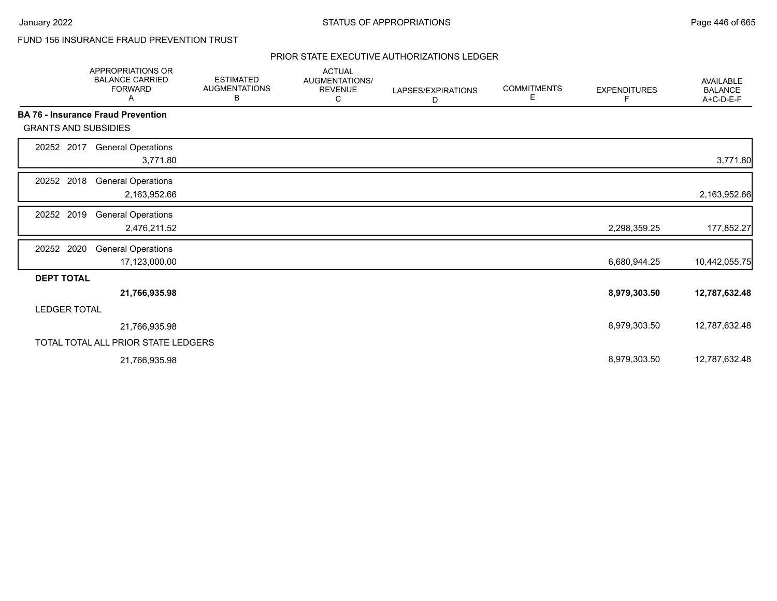# FUND 156 INSURANCE FRAUD PREVENTION TRUST

|                             | <b>APPROPRIATIONS OR</b><br><b>BALANCE CARRIED</b><br><b>FORWARD</b><br>Α | <b>ESTIMATED</b><br><b>AUGMENTATIONS</b><br>В | <b>ACTUAL</b><br>AUGMENTATIONS/<br><b>REVENUE</b><br>С | LAPSES/EXPIRATIONS<br>D | <b>COMMITMENTS</b><br>Е | <b>EXPENDITURES</b><br>F | <b>AVAILABLE</b><br><b>BALANCE</b><br>A+C-D-E-F |
|-----------------------------|---------------------------------------------------------------------------|-----------------------------------------------|--------------------------------------------------------|-------------------------|-------------------------|--------------------------|-------------------------------------------------|
|                             | <b>BA 76 - Insurance Fraud Prevention</b>                                 |                                               |                                                        |                         |                         |                          |                                                 |
| <b>GRANTS AND SUBSIDIES</b> |                                                                           |                                               |                                                        |                         |                         |                          |                                                 |
| 20252 2017                  | <b>General Operations</b><br>3,771.80                                     |                                               |                                                        |                         |                         |                          | 3,771.80                                        |
| 20252 2018                  | <b>General Operations</b><br>2,163,952.66                                 |                                               |                                                        |                         |                         |                          | 2,163,952.66                                    |
| 20252 2019                  | <b>General Operations</b><br>2,476,211.52                                 |                                               |                                                        |                         |                         | 2,298,359.25             | 177,852.27                                      |
| 20252 2020                  | <b>General Operations</b><br>17,123,000.00                                |                                               |                                                        |                         |                         | 6,680,944.25             | 10,442,055.75                                   |
| <b>DEPT TOTAL</b>           |                                                                           |                                               |                                                        |                         |                         |                          |                                                 |
|                             | 21,766,935.98                                                             |                                               |                                                        |                         |                         | 8,979,303.50             | 12,787,632.48                                   |
| <b>LEDGER TOTAL</b>         |                                                                           |                                               |                                                        |                         |                         |                          |                                                 |
|                             | 21,766,935.98                                                             |                                               |                                                        |                         |                         | 8,979,303.50             | 12,787,632.48                                   |
|                             | TOTAL TOTAL ALL PRIOR STATE LEDGERS                                       |                                               |                                                        |                         |                         |                          |                                                 |
|                             | 21,766,935.98                                                             |                                               |                                                        |                         |                         | 8,979,303.50             | 12,787,632.48                                   |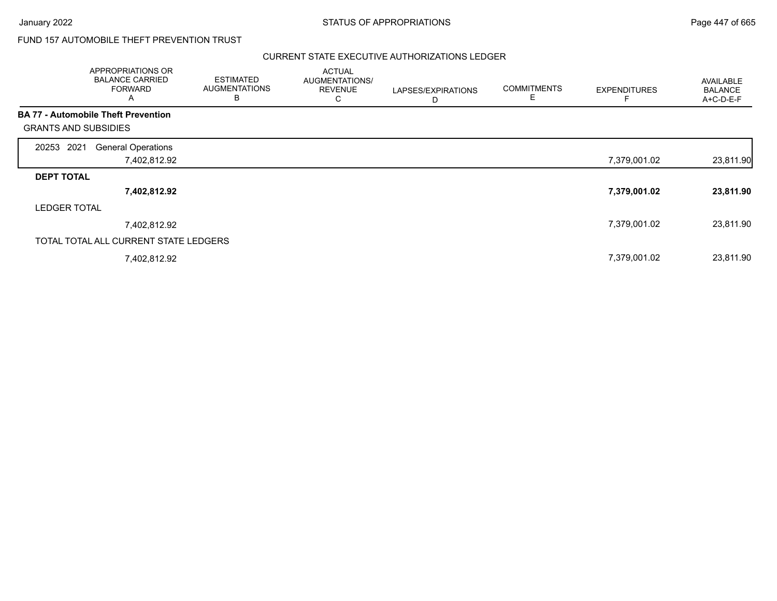# FUND 157 AUTOMOBILE THEFT PREVENTION TRUST

|                                            | APPROPRIATIONS OR<br><b>BALANCE CARRIED</b><br><b>FORWARD</b><br>A | <b>ESTIMATED</b><br><b>AUGMENTATIONS</b><br>в | <b>ACTUAL</b><br>AUGMENTATIONS/<br><b>REVENUE</b><br>С | LAPSES/EXPIRATIONS<br>D | <b>COMMITMENTS</b><br>E | <b>EXPENDITURES</b> | AVAILABLE<br><b>BALANCE</b><br>A+C-D-E-F |
|--------------------------------------------|--------------------------------------------------------------------|-----------------------------------------------|--------------------------------------------------------|-------------------------|-------------------------|---------------------|------------------------------------------|
| <b>BA 77 - Automobile Theft Prevention</b> |                                                                    |                                               |                                                        |                         |                         |                     |                                          |
| <b>GRANTS AND SUBSIDIES</b>                |                                                                    |                                               |                                                        |                         |                         |                     |                                          |
| 2021<br>20253                              | <b>General Operations</b>                                          |                                               |                                                        |                         |                         |                     |                                          |
|                                            | 7,402,812.92                                                       |                                               |                                                        |                         |                         | 7,379,001.02        | 23,811.90                                |
| <b>DEPT TOTAL</b>                          |                                                                    |                                               |                                                        |                         |                         |                     |                                          |
|                                            | 7,402,812.92                                                       |                                               |                                                        |                         |                         | 7,379,001.02        | 23,811.90                                |
| <b>LEDGER TOTAL</b>                        |                                                                    |                                               |                                                        |                         |                         |                     |                                          |
|                                            | 7,402,812.92                                                       |                                               |                                                        |                         |                         | 7,379,001.02        | 23,811.90                                |
|                                            | TOTAL TOTAL ALL CURRENT STATE LEDGERS                              |                                               |                                                        |                         |                         |                     |                                          |
|                                            | 7,402,812.92                                                       |                                               |                                                        |                         |                         | 7,379,001.02        | 23,811.90                                |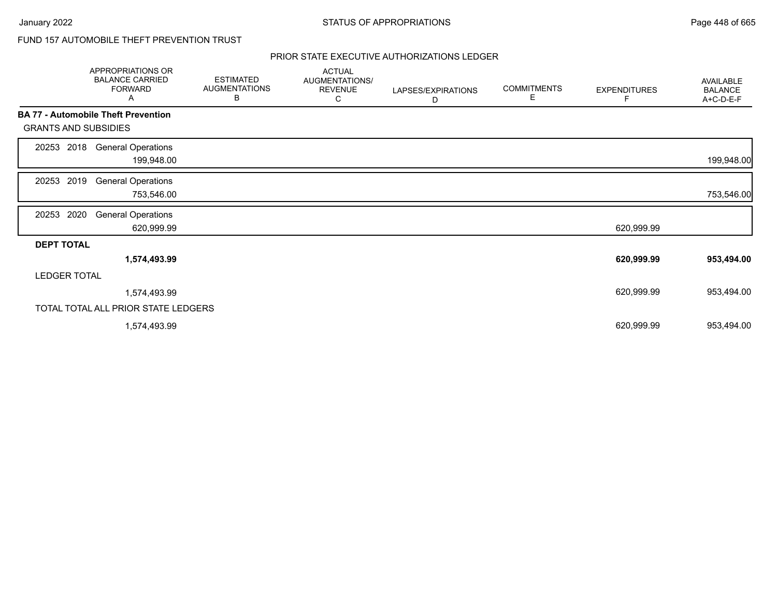# FUND 157 AUTOMOBILE THEFT PREVENTION TRUST

|                             | APPROPRIATIONS OR<br><b>BALANCE CARRIED</b><br><b>FORWARD</b><br>Α | <b>ESTIMATED</b><br><b>AUGMENTATIONS</b><br>В | <b>ACTUAL</b><br>AUGMENTATIONS/<br><b>REVENUE</b><br>С | LAPSES/EXPIRATIONS<br>D | <b>COMMITMENTS</b><br>Е | <b>EXPENDITURES</b><br>F | AVAILABLE<br><b>BALANCE</b><br>A+C-D-E-F |
|-----------------------------|--------------------------------------------------------------------|-----------------------------------------------|--------------------------------------------------------|-------------------------|-------------------------|--------------------------|------------------------------------------|
|                             | <b>BA 77 - Automobile Theft Prevention</b>                         |                                               |                                                        |                         |                         |                          |                                          |
| <b>GRANTS AND SUBSIDIES</b> |                                                                    |                                               |                                                        |                         |                         |                          |                                          |
| 2018<br>20253               | <b>General Operations</b><br>199,948.00                            |                                               |                                                        |                         |                         |                          | 199,948.00                               |
| 2019<br>20253               | <b>General Operations</b><br>753,546.00                            |                                               |                                                        |                         |                         |                          | 753,546.00                               |
| 2020<br>20253               | <b>General Operations</b><br>620,999.99                            |                                               |                                                        |                         |                         | 620,999.99               |                                          |
| <b>DEPT TOTAL</b>           |                                                                    |                                               |                                                        |                         |                         |                          |                                          |
|                             | 1,574,493.99                                                       |                                               |                                                        |                         |                         | 620,999.99               | 953,494.00                               |
| <b>LEDGER TOTAL</b>         |                                                                    |                                               |                                                        |                         |                         |                          |                                          |
|                             | 1,574,493.99                                                       |                                               |                                                        |                         |                         | 620,999.99               | 953,494.00                               |
|                             | TOTAL TOTAL ALL PRIOR STATE LEDGERS                                |                                               |                                                        |                         |                         |                          |                                          |
|                             | 1,574,493.99                                                       |                                               |                                                        |                         |                         | 620,999.99               | 953,494.00                               |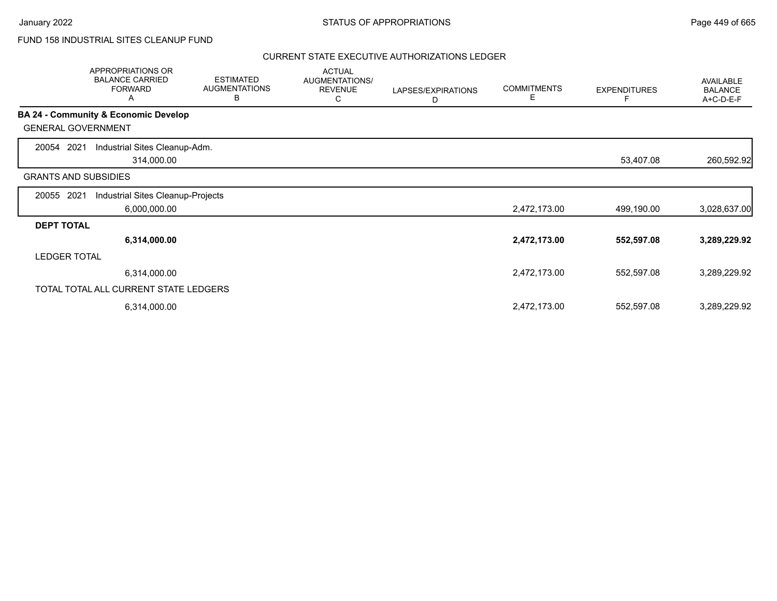# FUND 158 INDUSTRIAL SITES CLEANUP FUND

|                             | APPROPRIATIONS OR<br><b>BALANCE CARRIED</b><br><b>FORWARD</b><br>Α | <b>ESTIMATED</b><br><b>AUGMENTATIONS</b><br>В | <b>ACTUAL</b><br>AUGMENTATIONS/<br><b>REVENUE</b><br>С | LAPSES/EXPIRATIONS<br>D | <b>COMMITMENTS</b><br>E | <b>EXPENDITURES</b> | AVAILABLE<br><b>BALANCE</b><br>A+C-D-E-F |
|-----------------------------|--------------------------------------------------------------------|-----------------------------------------------|--------------------------------------------------------|-------------------------|-------------------------|---------------------|------------------------------------------|
|                             | <b>BA 24 - Community &amp; Economic Develop</b>                    |                                               |                                                        |                         |                         |                     |                                          |
| <b>GENERAL GOVERNMENT</b>   |                                                                    |                                               |                                                        |                         |                         |                     |                                          |
| 2021<br>20054               | Industrial Sites Cleanup-Adm.                                      |                                               |                                                        |                         |                         |                     |                                          |
|                             | 314,000.00                                                         |                                               |                                                        |                         |                         | 53,407.08           | 260,592.92                               |
| <b>GRANTS AND SUBSIDIES</b> |                                                                    |                                               |                                                        |                         |                         |                     |                                          |
| 2021<br>20055               | Industrial Sites Cleanup-Projects                                  |                                               |                                                        |                         |                         |                     |                                          |
|                             | 6,000,000.00                                                       |                                               |                                                        |                         | 2,472,173.00            | 499,190.00          | 3,028,637.00                             |
| <b>DEPT TOTAL</b>           |                                                                    |                                               |                                                        |                         |                         |                     |                                          |
|                             | 6,314,000.00                                                       |                                               |                                                        |                         | 2,472,173.00            | 552,597.08          | 3,289,229.92                             |
| <b>LEDGER TOTAL</b>         |                                                                    |                                               |                                                        |                         |                         |                     |                                          |
|                             | 6,314,000.00                                                       |                                               |                                                        |                         | 2,472,173.00            | 552,597.08          | 3,289,229.92                             |
|                             | TOTAL TOTAL ALL CURRENT STATE LEDGERS                              |                                               |                                                        |                         |                         |                     |                                          |
|                             | 6,314,000.00                                                       |                                               |                                                        |                         | 2,472,173.00            | 552,597.08          | 3,289,229.92                             |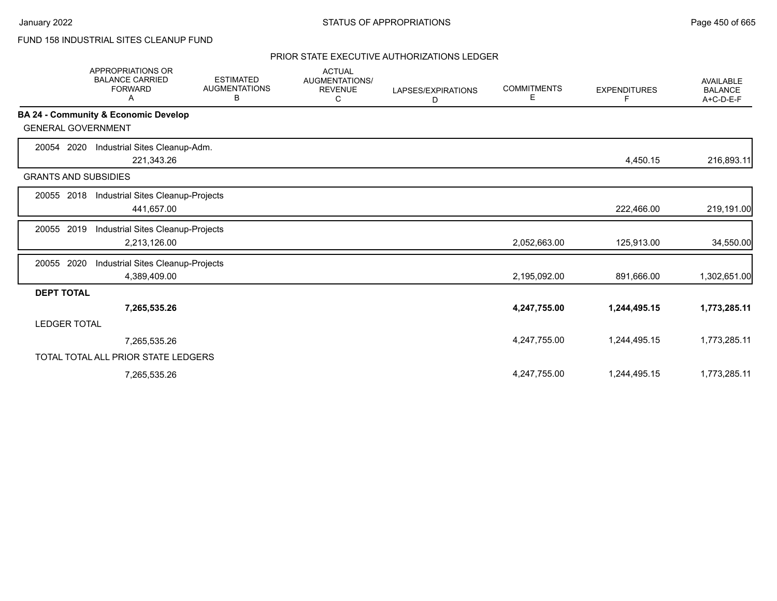# FUND 158 INDUSTRIAL SITES CLEANUP FUND

|                             | <b>APPROPRIATIONS OR</b><br><b>BALANCE CARRIED</b><br><b>FORWARD</b><br>A | <b>ESTIMATED</b><br><b>AUGMENTATIONS</b><br>В | <b>ACTUAL</b><br><b>AUGMENTATIONS/</b><br><b>REVENUE</b><br>С | LAPSES/EXPIRATIONS<br>D | <b>COMMITMENTS</b><br>Е | <b>EXPENDITURES</b><br>F | <b>AVAILABLE</b><br><b>BALANCE</b><br>A+C-D-E-F |
|-----------------------------|---------------------------------------------------------------------------|-----------------------------------------------|---------------------------------------------------------------|-------------------------|-------------------------|--------------------------|-------------------------------------------------|
|                             | BA 24 - Community & Economic Develop                                      |                                               |                                                               |                         |                         |                          |                                                 |
| <b>GENERAL GOVERNMENT</b>   |                                                                           |                                               |                                                               |                         |                         |                          |                                                 |
| 2020<br>20054               | Industrial Sites Cleanup-Adm.                                             |                                               |                                                               |                         |                         |                          |                                                 |
|                             | 221,343.26                                                                |                                               |                                                               |                         |                         | 4,450.15                 | 216,893.11                                      |
| <b>GRANTS AND SUBSIDIES</b> |                                                                           |                                               |                                                               |                         |                         |                          |                                                 |
| 20055 2018                  | Industrial Sites Cleanup-Projects                                         |                                               |                                                               |                         |                         |                          |                                                 |
|                             | 441,657.00                                                                |                                               |                                                               |                         |                         | 222,466.00               | 219,191.00                                      |
| 20055 2019                  | Industrial Sites Cleanup-Projects                                         |                                               |                                                               |                         |                         |                          |                                                 |
|                             | 2,213,126.00                                                              |                                               |                                                               |                         | 2,052,663.00            | 125,913.00               | 34,550.00                                       |
| 2020<br>20055               | Industrial Sites Cleanup-Projects                                         |                                               |                                                               |                         |                         |                          |                                                 |
|                             | 4,389,409.00                                                              |                                               |                                                               |                         | 2,195,092.00            | 891,666.00               | 1,302,651.00                                    |
| <b>DEPT TOTAL</b>           |                                                                           |                                               |                                                               |                         |                         |                          |                                                 |
|                             | 7,265,535.26                                                              |                                               |                                                               |                         | 4,247,755.00            | 1,244,495.15             | 1,773,285.11                                    |
| <b>LEDGER TOTAL</b>         |                                                                           |                                               |                                                               |                         |                         |                          |                                                 |
|                             | 7,265,535.26                                                              |                                               |                                                               |                         | 4,247,755.00            | 1,244,495.15             | 1,773,285.11                                    |
|                             | TOTAL TOTAL ALL PRIOR STATE LEDGERS                                       |                                               |                                                               |                         |                         |                          |                                                 |
|                             | 7,265,535.26                                                              |                                               |                                                               |                         | 4,247,755.00            | 1,244,495.15             | 1,773,285.11                                    |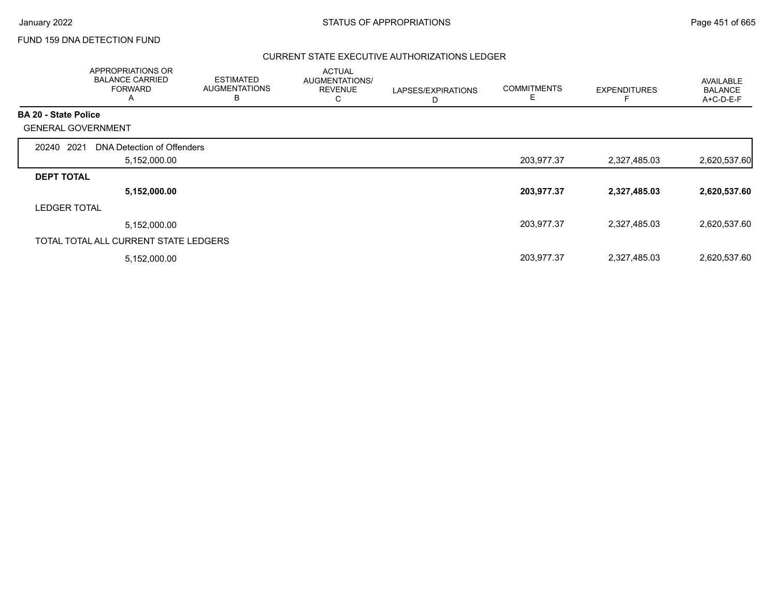## FUND 159 DNA DETECTION FUND

|                             | APPROPRIATIONS OR<br><b>BALANCE CARRIED</b><br><b>FORWARD</b><br>$\overline{A}$ | <b>ESTIMATED</b><br><b>AUGMENTATIONS</b><br>B | <b>ACTUAL</b><br>AUGMENTATIONS/<br><b>REVENUE</b><br>С | LAPSES/EXPIRATIONS<br>D | <b>COMMITMENTS</b><br>Е | <b>EXPENDITURES</b> | AVAILABLE<br><b>BALANCE</b><br>A+C-D-E-F |
|-----------------------------|---------------------------------------------------------------------------------|-----------------------------------------------|--------------------------------------------------------|-------------------------|-------------------------|---------------------|------------------------------------------|
| <b>BA 20 - State Police</b> |                                                                                 |                                               |                                                        |                         |                         |                     |                                          |
|                             | <b>GENERAL GOVERNMENT</b>                                                       |                                               |                                                        |                         |                         |                     |                                          |
| 2021<br>20240               | DNA Detection of Offenders                                                      |                                               |                                                        |                         |                         |                     |                                          |
|                             | 5,152,000.00                                                                    |                                               |                                                        |                         | 203,977.37              | 2,327,485.03        | 2,620,537.60                             |
| <b>DEPT TOTAL</b>           |                                                                                 |                                               |                                                        |                         |                         |                     |                                          |
|                             | 5,152,000.00                                                                    |                                               |                                                        |                         | 203,977.37              | 2,327,485.03        | 2,620,537.60                             |
| <b>LEDGER TOTAL</b>         |                                                                                 |                                               |                                                        |                         |                         |                     |                                          |
|                             | 5,152,000.00                                                                    |                                               |                                                        |                         | 203,977.37              | 2,327,485.03        | 2,620,537.60                             |
|                             | TOTAL TOTAL ALL CURRENT STATE LEDGERS                                           |                                               |                                                        |                         |                         |                     |                                          |
|                             | 5,152,000.00                                                                    |                                               |                                                        |                         | 203,977.37              | 2,327,485.03        | 2,620,537.60                             |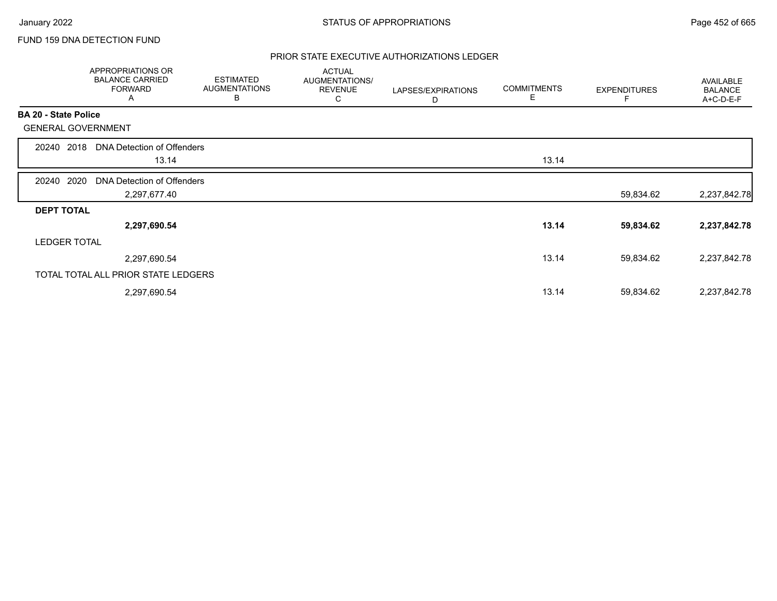## FUND 159 DNA DETECTION FUND

|                             | APPROPRIATIONS OR<br><b>BALANCE CARRIED</b><br><b>FORWARD</b><br>A | <b>ESTIMATED</b><br><b>AUGMENTATIONS</b><br>В | <b>ACTUAL</b><br>AUGMENTATIONS/<br><b>REVENUE</b><br>C | LAPSES/EXPIRATIONS<br>D | <b>COMMITMENTS</b><br>Е | <b>EXPENDITURES</b> | AVAILABLE<br><b>BALANCE</b><br>A+C-D-E-F |
|-----------------------------|--------------------------------------------------------------------|-----------------------------------------------|--------------------------------------------------------|-------------------------|-------------------------|---------------------|------------------------------------------|
| <b>BA 20 - State Police</b> |                                                                    |                                               |                                                        |                         |                         |                     |                                          |
| <b>GENERAL GOVERNMENT</b>   |                                                                    |                                               |                                                        |                         |                         |                     |                                          |
| 2018<br>20240               | DNA Detection of Offenders                                         |                                               |                                                        |                         |                         |                     |                                          |
|                             | 13.14                                                              |                                               |                                                        |                         | 13.14                   |                     |                                          |
| 2020<br>20240               | DNA Detection of Offenders                                         |                                               |                                                        |                         |                         |                     |                                          |
|                             | 2,297,677.40                                                       |                                               |                                                        |                         |                         | 59,834.62           | 2,237,842.78                             |
| <b>DEPT TOTAL</b>           |                                                                    |                                               |                                                        |                         |                         |                     |                                          |
|                             | 2,297,690.54                                                       |                                               |                                                        |                         | 13.14                   | 59,834.62           | 2,237,842.78                             |
| <b>LEDGER TOTAL</b>         |                                                                    |                                               |                                                        |                         |                         |                     |                                          |
|                             | 2,297,690.54                                                       |                                               |                                                        |                         | 13.14                   | 59,834.62           | 2,237,842.78                             |
|                             | TOTAL TOTAL ALL PRIOR STATE LEDGERS                                |                                               |                                                        |                         |                         |                     |                                          |
|                             | 2,297,690.54                                                       |                                               |                                                        |                         | 13.14                   | 59,834.62           | 2,237,842.78                             |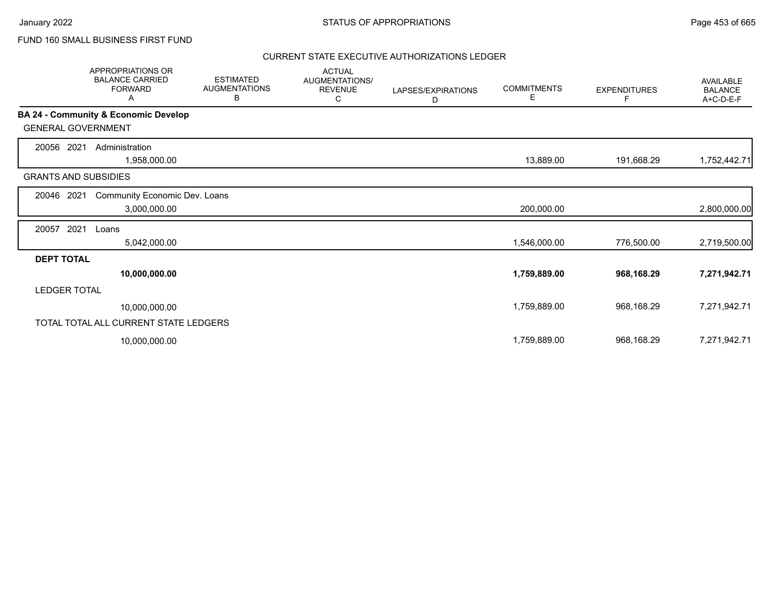## FUND 160 SMALL BUSINESS FIRST FUND

|                             | APPROPRIATIONS OR<br><b>BALANCE CARRIED</b><br><b>FORWARD</b><br>A | <b>ESTIMATED</b><br><b>AUGMENTATIONS</b><br>В | <b>ACTUAL</b><br>AUGMENTATIONS/<br><b>REVENUE</b><br>С | LAPSES/EXPIRATIONS<br>D | <b>COMMITMENTS</b><br>Е | <b>EXPENDITURES</b> | <b>AVAILABLE</b><br><b>BALANCE</b><br>A+C-D-E-F |
|-----------------------------|--------------------------------------------------------------------|-----------------------------------------------|--------------------------------------------------------|-------------------------|-------------------------|---------------------|-------------------------------------------------|
|                             | BA 24 - Community & Economic Develop                               |                                               |                                                        |                         |                         |                     |                                                 |
| <b>GENERAL GOVERNMENT</b>   |                                                                    |                                               |                                                        |                         |                         |                     |                                                 |
| 20056<br>2021               | Administration                                                     |                                               |                                                        |                         |                         |                     |                                                 |
|                             | 1,958,000.00                                                       |                                               |                                                        |                         | 13,889.00               | 191,668.29          | 1,752,442.71                                    |
| <b>GRANTS AND SUBSIDIES</b> |                                                                    |                                               |                                                        |                         |                         |                     |                                                 |
| 20046<br>2021               | Community Economic Dev. Loans                                      |                                               |                                                        |                         |                         |                     |                                                 |
|                             | 3,000,000.00                                                       |                                               |                                                        |                         | 200,000.00              |                     | 2,800,000.00                                    |
| 2021<br>20057               | Loans                                                              |                                               |                                                        |                         |                         |                     |                                                 |
|                             | 5,042,000.00                                                       |                                               |                                                        |                         | 1,546,000.00            | 776,500.00          | 2,719,500.00                                    |
| <b>DEPT TOTAL</b>           |                                                                    |                                               |                                                        |                         |                         |                     |                                                 |
|                             | 10,000,000.00                                                      |                                               |                                                        |                         | 1,759,889.00            | 968,168.29          | 7,271,942.71                                    |
| <b>LEDGER TOTAL</b>         |                                                                    |                                               |                                                        |                         |                         |                     |                                                 |
|                             | 10,000,000.00                                                      |                                               |                                                        |                         | 1,759,889.00            | 968,168.29          | 7,271,942.71                                    |
|                             | TOTAL TOTAL ALL CURRENT STATE LEDGERS                              |                                               |                                                        |                         |                         |                     |                                                 |
|                             | 10,000,000.00                                                      |                                               |                                                        |                         | 1,759,889.00            | 968,168.29          | 7,271,942.71                                    |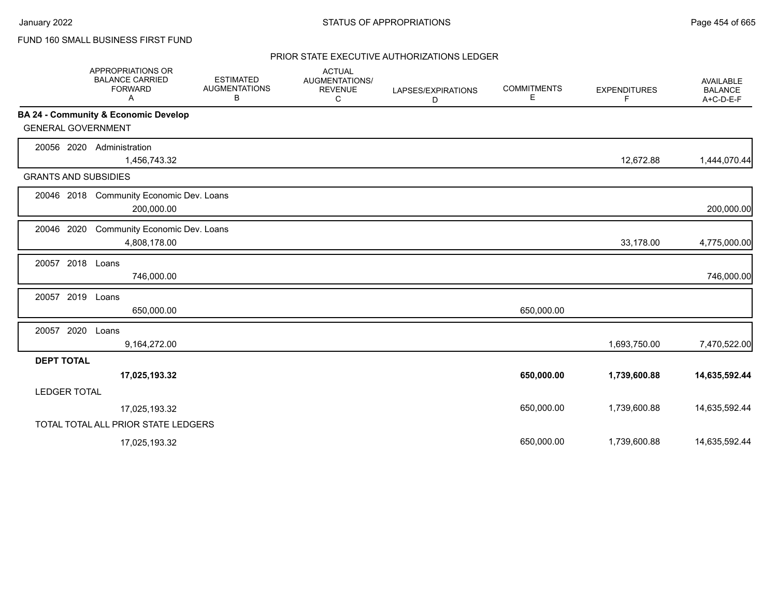# FUND 160 SMALL BUSINESS FIRST FUND

|                             | <b>APPROPRIATIONS OR</b><br><b>BALANCE CARRIED</b><br><b>FORWARD</b><br>A | <b>ESTIMATED</b><br><b>AUGMENTATIONS</b><br>В | <b>ACTUAL</b><br>AUGMENTATIONS/<br><b>REVENUE</b><br>C | LAPSES/EXPIRATIONS<br>D | <b>COMMITMENTS</b><br>Е | <b>EXPENDITURES</b><br>F | <b>AVAILABLE</b><br><b>BALANCE</b><br>A+C-D-E-F |
|-----------------------------|---------------------------------------------------------------------------|-----------------------------------------------|--------------------------------------------------------|-------------------------|-------------------------|--------------------------|-------------------------------------------------|
|                             | BA 24 - Community & Economic Develop                                      |                                               |                                                        |                         |                         |                          |                                                 |
| <b>GENERAL GOVERNMENT</b>   |                                                                           |                                               |                                                        |                         |                         |                          |                                                 |
| 20056 2020                  | Administration<br>1,456,743.32                                            |                                               |                                                        |                         |                         | 12,672.88                | 1,444,070.44                                    |
| <b>GRANTS AND SUBSIDIES</b> |                                                                           |                                               |                                                        |                         |                         |                          |                                                 |
|                             | 20046 2018 Community Economic Dev. Loans<br>200,000.00                    |                                               |                                                        |                         |                         |                          | 200,000.00                                      |
| 20046 2020                  | Community Economic Dev. Loans<br>4,808,178.00                             |                                               |                                                        |                         |                         | 33,178.00                | 4,775,000.00                                    |
| 20057 2018 Loans            | 746,000.00                                                                |                                               |                                                        |                         |                         |                          | 746,000.00                                      |
| 20057 2019                  | Loans<br>650,000.00                                                       |                                               |                                                        |                         | 650,000.00              |                          |                                                 |
| 20057 2020                  | Loans<br>9,164,272.00                                                     |                                               |                                                        |                         |                         | 1,693,750.00             | 7,470,522.00                                    |
| <b>DEPT TOTAL</b>           |                                                                           |                                               |                                                        |                         |                         |                          |                                                 |
|                             | 17,025,193.32                                                             |                                               |                                                        |                         | 650,000.00              | 1,739,600.88             | 14,635,592.44                                   |
| <b>LEDGER TOTAL</b>         |                                                                           |                                               |                                                        |                         |                         |                          |                                                 |
|                             | 17,025,193.32                                                             |                                               |                                                        |                         | 650,000.00              | 1,739,600.88             | 14,635,592.44                                   |
|                             | TOTAL TOTAL ALL PRIOR STATE LEDGERS                                       |                                               |                                                        |                         |                         |                          |                                                 |
|                             | 17,025,193.32                                                             |                                               |                                                        |                         | 650.000.00              | 1,739,600.88             | 14,635,592.44                                   |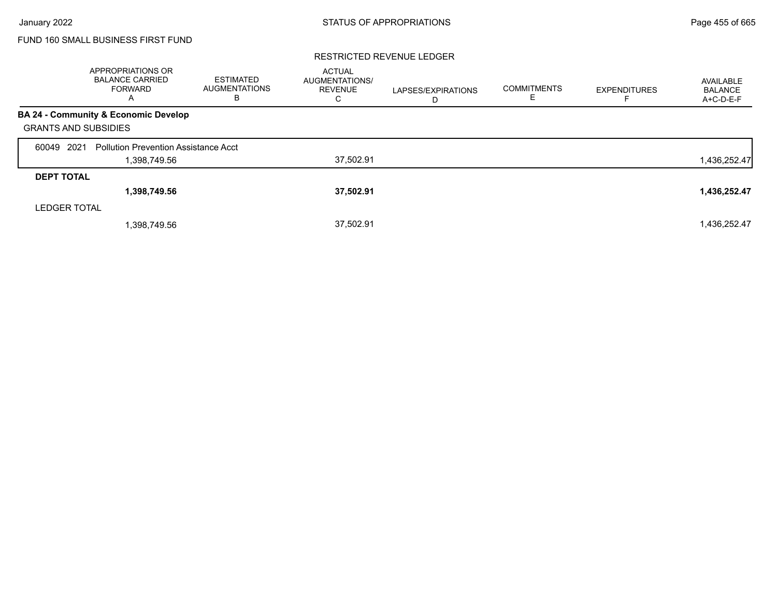# FUND 160 SMALL BUSINESS FIRST FUND

### RESTRICTED REVENUE LEDGER

|                             | <b>APPROPRIATIONS OR</b><br><b>BALANCE CARRIED</b><br><b>FORWARD</b><br>$\overline{A}$ | <b>ESTIMATED</b><br><b>AUGMENTATIONS</b><br>в | <b>ACTUAL</b><br><b>AUGMENTATIONS/</b><br><b>REVENUE</b><br>С | LAPSES/EXPIRATIONS<br>D | <b>COMMITMENTS</b> | <b>EXPENDITURES</b> | AVAILABLE<br><b>BALANCE</b><br>A+C-D-E-F |
|-----------------------------|----------------------------------------------------------------------------------------|-----------------------------------------------|---------------------------------------------------------------|-------------------------|--------------------|---------------------|------------------------------------------|
|                             | BA 24 - Community & Economic Develop                                                   |                                               |                                                               |                         |                    |                     |                                          |
| <b>GRANTS AND SUBSIDIES</b> |                                                                                        |                                               |                                                               |                         |                    |                     |                                          |
| 2021<br>60049               | <b>Pollution Prevention Assistance Acct</b>                                            |                                               |                                                               |                         |                    |                     |                                          |
|                             | 1,398,749.56                                                                           |                                               | 37,502.91                                                     |                         |                    |                     | 1,436,252.47                             |
| <b>DEPT TOTAL</b>           |                                                                                        |                                               |                                                               |                         |                    |                     |                                          |
|                             | 1,398,749.56                                                                           |                                               | 37,502.91                                                     |                         |                    |                     | 1,436,252.47                             |
| <b>LEDGER TOTAL</b>         |                                                                                        |                                               |                                                               |                         |                    |                     |                                          |
|                             | 1.398.749.56                                                                           |                                               | 37.502.91                                                     |                         |                    |                     | 1,436,252.47                             |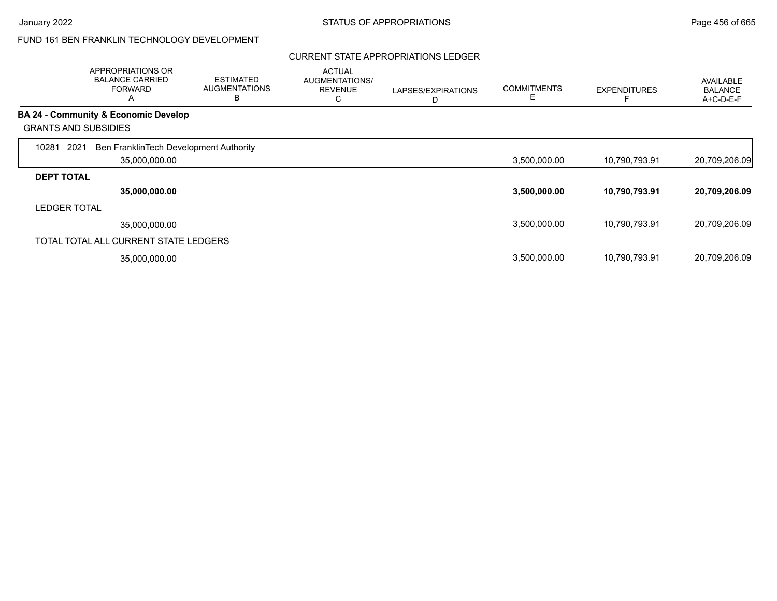## FUND 161 BEN FRANKLIN TECHNOLOGY DEVELOPMENT

## CURRENT STATE APPROPRIATIONS LEDGER

|                     | APPROPRIATIONS OR<br><b>BALANCE CARRIED</b><br><b>FORWARD</b><br>A | <b>ESTIMATED</b><br><b>AUGMENTATIONS</b><br>B | <b>ACTUAL</b><br>AUGMENTATIONS/<br><b>REVENUE</b><br>С | LAPSES/EXPIRATIONS<br>D | <b>COMMITMENTS</b><br>Е | <b>EXPENDITURES</b> | <b>AVAILABLE</b><br><b>BALANCE</b><br>$A+C-D-E-F$ |
|---------------------|--------------------------------------------------------------------|-----------------------------------------------|--------------------------------------------------------|-------------------------|-------------------------|---------------------|---------------------------------------------------|
|                     | <b>BA 24 - Community &amp; Economic Develop</b>                    |                                               |                                                        |                         |                         |                     |                                                   |
|                     | <b>GRANTS AND SUBSIDIES</b>                                        |                                               |                                                        |                         |                         |                     |                                                   |
| 2021<br>10281       | Ben FranklinTech Development Authority                             |                                               |                                                        |                         |                         |                     |                                                   |
|                     | 35,000,000.00                                                      |                                               |                                                        |                         | 3,500,000.00            | 10,790,793.91       | 20,709,206.09                                     |
| <b>DEPT TOTAL</b>   |                                                                    |                                               |                                                        |                         |                         |                     |                                                   |
|                     | 35,000,000.00                                                      |                                               |                                                        |                         | 3,500,000.00            | 10,790,793.91       | 20,709,206.09                                     |
| <b>LEDGER TOTAL</b> |                                                                    |                                               |                                                        |                         |                         |                     |                                                   |
|                     | 35.000.000.00                                                      |                                               |                                                        |                         | 3,500,000.00            | 10,790,793.91       | 20,709,206.09                                     |
|                     | TOTAL TOTAL ALL CURRENT STATE LEDGERS                              |                                               |                                                        |                         |                         |                     |                                                   |
|                     | 35,000,000.00                                                      |                                               |                                                        |                         | 3,500,000.00            | 10,790,793.91       | 20,709,206.09                                     |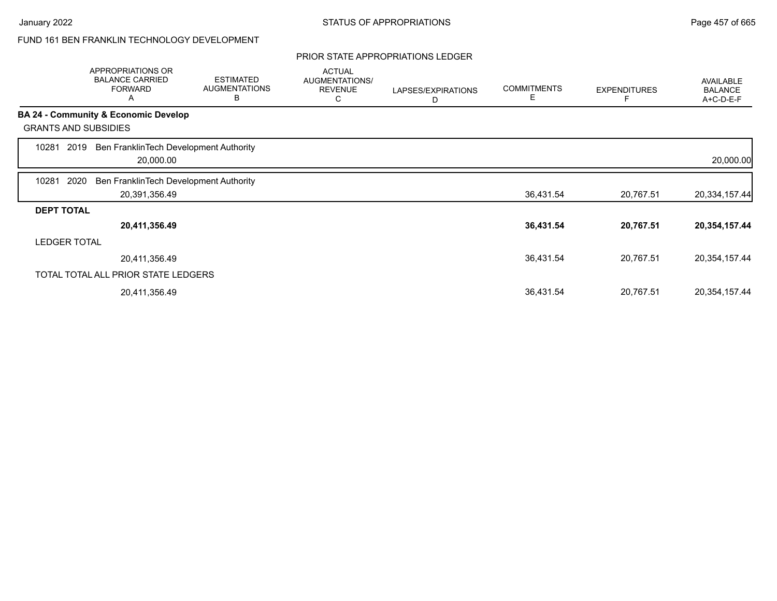## FUND 161 BEN FRANKLIN TECHNOLOGY DEVELOPMENT

### PRIOR STATE APPROPRIATIONS LEDGER

|                   | APPROPRIATIONS OR<br><b>BALANCE CARRIED</b><br><b>FORWARD</b><br>A | <b>ESTIMATED</b><br><b>AUGMENTATIONS</b><br>B | <b>ACTUAL</b><br>AUGMENTATIONS/<br><b>REVENUE</b><br>С | LAPSES/EXPIRATIONS<br>D | <b>COMMITMENTS</b><br>E | <b>EXPENDITURES</b> | <b>AVAILABLE</b><br><b>BALANCE</b><br>A+C-D-E-F |
|-------------------|--------------------------------------------------------------------|-----------------------------------------------|--------------------------------------------------------|-------------------------|-------------------------|---------------------|-------------------------------------------------|
|                   | BA 24 - Community & Economic Develop                               |                                               |                                                        |                         |                         |                     |                                                 |
|                   | <b>GRANTS AND SUBSIDIES</b>                                        |                                               |                                                        |                         |                         |                     |                                                 |
| 10281             | Ben FranklinTech Development Authority<br>2019<br>20,000.00        |                                               |                                                        |                         |                         |                     | 20,000.00                                       |
| 10281             | 2020<br>Ben FranklinTech Development Authority                     |                                               |                                                        |                         |                         |                     |                                                 |
|                   | 20,391,356.49                                                      |                                               |                                                        |                         | 36,431.54               | 20,767.51           | 20,334,157.44                                   |
| <b>DEPT TOTAL</b> |                                                                    |                                               |                                                        |                         |                         |                     |                                                 |
|                   | 20,411,356.49                                                      |                                               |                                                        |                         | 36,431.54               | 20,767.51           | 20,354,157.44                                   |
|                   | <b>LEDGER TOTAL</b>                                                |                                               |                                                        |                         |                         |                     |                                                 |
|                   | 20,411,356.49                                                      |                                               |                                                        |                         | 36,431.54               | 20,767.51           | 20,354,157.44                                   |
|                   | TOTAL TOTAL ALL PRIOR STATE LEDGERS                                |                                               |                                                        |                         |                         |                     |                                                 |
|                   | 20,411,356.49                                                      |                                               |                                                        |                         | 36,431.54               | 20,767.51           | 20,354,157.44                                   |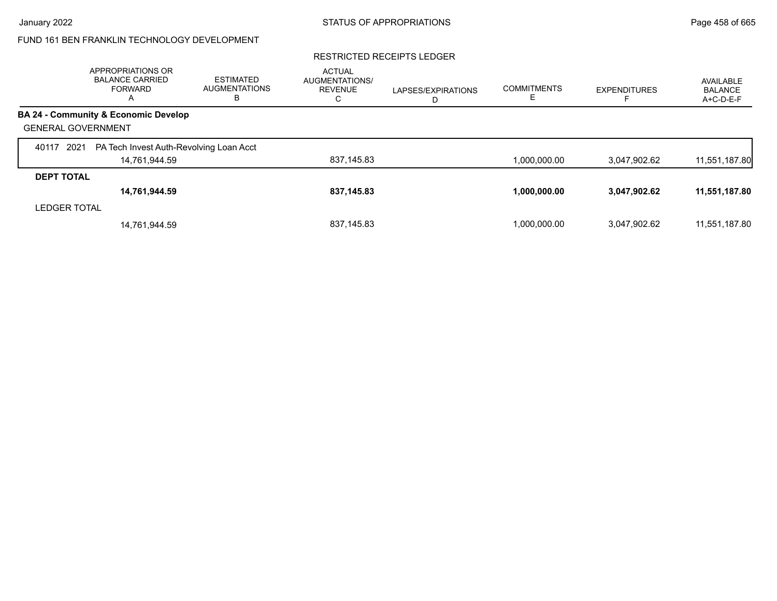# FUND 161 BEN FRANKLIN TECHNOLOGY DEVELOPMENT

### RESTRICTED RECEIPTS LEDGER

|                           | APPROPRIATIONS OR<br><b>BALANCE CARRIED</b><br><b>FORWARD</b><br>A | <b>ESTIMATED</b><br><b>AUGMENTATIONS</b><br>В | <b>ACTUAL</b><br><b>AUGMENTATIONS/</b><br><b>REVENUE</b><br>С | LAPSES/EXPIRATIONS<br>D | <b>COMMITMENTS</b> | <b>EXPENDITURES</b> | AVAILABLE<br><b>BALANCE</b><br>A+C-D-E-F |
|---------------------------|--------------------------------------------------------------------|-----------------------------------------------|---------------------------------------------------------------|-------------------------|--------------------|---------------------|------------------------------------------|
|                           | <b>BA 24 - Community &amp; Economic Develop</b>                    |                                               |                                                               |                         |                    |                     |                                          |
| <b>GENERAL GOVERNMENT</b> |                                                                    |                                               |                                                               |                         |                    |                     |                                          |
| 2021<br>40117             | PA Tech Invest Auth-Revolving Loan Acct                            |                                               |                                                               |                         |                    |                     |                                          |
|                           | 14,761,944.59                                                      |                                               | 837,145.83                                                    |                         | 1.000.000.00       | 3,047,902.62        | 11,551,187.80                            |
| <b>DEPT TOTAL</b>         |                                                                    |                                               |                                                               |                         |                    |                     |                                          |
|                           | 14,761,944.59                                                      |                                               | 837,145.83                                                    |                         | 1,000,000.00       | 3,047,902.62        | 11,551,187.80                            |
| <b>LEDGER TOTAL</b>       |                                                                    |                                               |                                                               |                         |                    |                     |                                          |
|                           | 14.761.944.59                                                      |                                               | 837,145.83                                                    |                         | 1.000.000.00       | 3,047,902.62        | 11,551,187.80                            |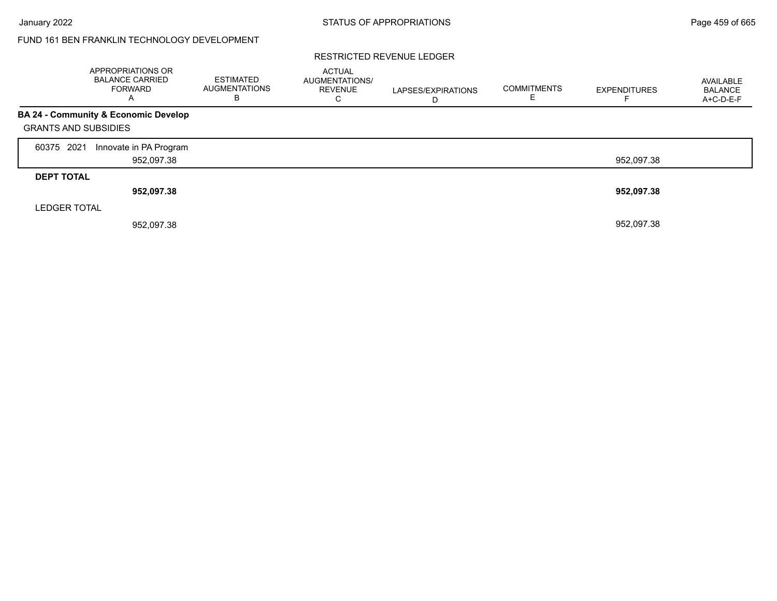Г

## FUND 161 BEN FRANKLIN TECHNOLOGY DEVELOPMENT

### RESTRICTED REVENUE LEDGER

|                             | <b>APPROPRIATIONS OR</b><br><b>BALANCE CARRIED</b><br><b>FORWARD</b><br>A | ESTIMATED<br><b>AUGMENTATIONS</b><br>в | <b>ACTUAL</b><br>AUGMENTATIONS/<br><b>REVENUE</b><br>С | LAPSES/EXPIRATIONS | <b>COMMITMENTS</b> | <b>EXPENDITURES</b> | AVAILABLE<br><b>BALANCE</b><br>A+C-D-E-F |
|-----------------------------|---------------------------------------------------------------------------|----------------------------------------|--------------------------------------------------------|--------------------|--------------------|---------------------|------------------------------------------|
|                             | <b>BA 24 - Community &amp; Economic Develop</b>                           |                                        |                                                        |                    |                    |                     |                                          |
| <b>GRANTS AND SUBSIDIES</b> |                                                                           |                                        |                                                        |                    |                    |                     |                                          |
| 60375 2021                  | Innovate in PA Program                                                    |                                        |                                                        |                    |                    |                     |                                          |
|                             | 952,097.38                                                                |                                        |                                                        |                    |                    | 952,097.38          |                                          |
| <b>DEPT TOTAL</b>           |                                                                           |                                        |                                                        |                    |                    |                     |                                          |
|                             | 952,097.38                                                                |                                        |                                                        |                    |                    | 952,097.38          |                                          |
| <b>LEDGER TOTAL</b>         |                                                                           |                                        |                                                        |                    |                    |                     |                                          |
|                             | 952,097.38                                                                |                                        |                                                        |                    |                    | 952,097.38          |                                          |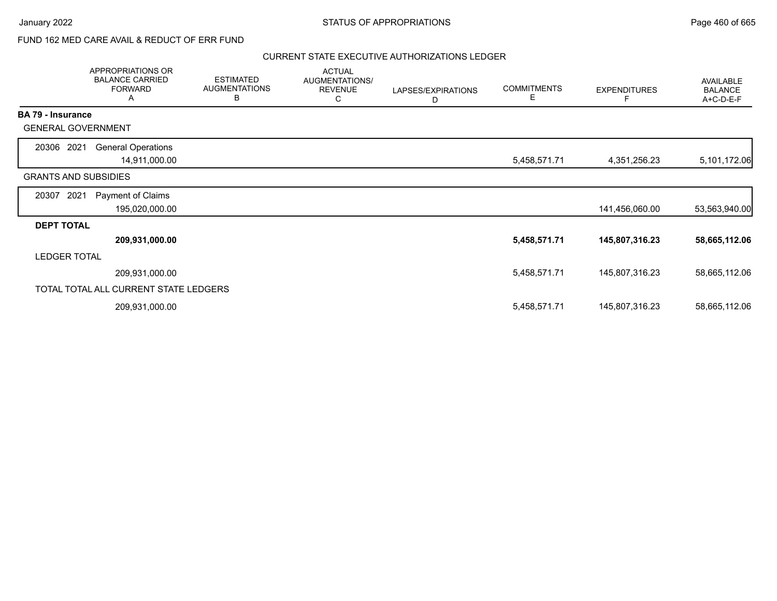# FUND 162 MED CARE AVAIL & REDUCT OF ERR FUND

|                          | APPROPRIATIONS OR<br><b>BALANCE CARRIED</b><br><b>FORWARD</b><br>A | <b>ESTIMATED</b><br><b>AUGMENTATIONS</b><br>B | <b>ACTUAL</b><br>AUGMENTATIONS/<br><b>REVENUE</b><br>C | LAPSES/EXPIRATIONS<br>D | <b>COMMITMENTS</b><br>E. | <b>EXPENDITURES</b><br>F | AVAILABLE<br><b>BALANCE</b><br>A+C-D-E-F |
|--------------------------|--------------------------------------------------------------------|-----------------------------------------------|--------------------------------------------------------|-------------------------|--------------------------|--------------------------|------------------------------------------|
| <b>BA 79 - Insurance</b> |                                                                    |                                               |                                                        |                         |                          |                          |                                          |
|                          | <b>GENERAL GOVERNMENT</b>                                          |                                               |                                                        |                         |                          |                          |                                          |
| 20306 2021               | <b>General Operations</b>                                          |                                               |                                                        |                         |                          |                          |                                          |
|                          | 14,911,000.00                                                      |                                               |                                                        |                         | 5,458,571.71             | 4,351,256.23             | 5,101,172.06                             |
|                          | <b>GRANTS AND SUBSIDIES</b>                                        |                                               |                                                        |                         |                          |                          |                                          |
| 20307                    | 2021<br>Payment of Claims                                          |                                               |                                                        |                         |                          |                          |                                          |
|                          | 195,020,000.00                                                     |                                               |                                                        |                         |                          | 141,456,060.00           | 53,563,940.00                            |
| <b>DEPT TOTAL</b>        |                                                                    |                                               |                                                        |                         |                          |                          |                                          |
|                          | 209,931,000.00                                                     |                                               |                                                        |                         | 5,458,571.71             | 145,807,316.23           | 58,665,112.06                            |
| <b>LEDGER TOTAL</b>      |                                                                    |                                               |                                                        |                         |                          |                          |                                          |
|                          | 209,931,000.00                                                     |                                               |                                                        |                         | 5,458,571.71             | 145,807,316.23           | 58,665,112.06                            |
|                          | TOTAL TOTAL ALL CURRENT STATE LEDGERS                              |                                               |                                                        |                         |                          |                          |                                          |
|                          | 209,931,000.00                                                     |                                               |                                                        |                         | 5,458,571.71             | 145,807,316.23           | 58,665,112.06                            |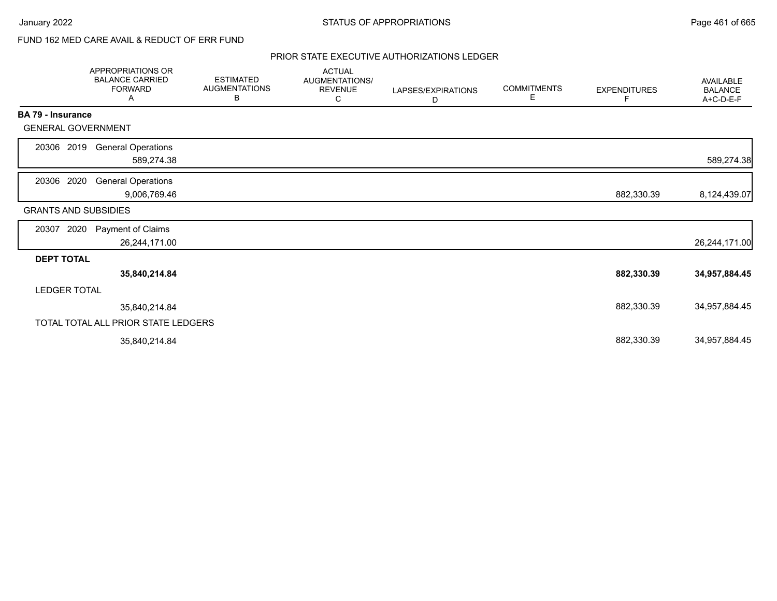# FUND 162 MED CARE AVAIL & REDUCT OF ERR FUND

|                             | APPROPRIATIONS OR<br><b>BALANCE CARRIED</b><br><b>FORWARD</b><br>A | <b>ESTIMATED</b><br><b>AUGMENTATIONS</b><br>В | <b>ACTUAL</b><br>AUGMENTATIONS/<br><b>REVENUE</b><br>С | LAPSES/EXPIRATIONS<br>D | <b>COMMITMENTS</b><br>Е | <b>EXPENDITURES</b><br>F | AVAILABLE<br><b>BALANCE</b><br>A+C-D-E-F |
|-----------------------------|--------------------------------------------------------------------|-----------------------------------------------|--------------------------------------------------------|-------------------------|-------------------------|--------------------------|------------------------------------------|
| <b>BA 79 - Insurance</b>    |                                                                    |                                               |                                                        |                         |                         |                          |                                          |
| <b>GENERAL GOVERNMENT</b>   |                                                                    |                                               |                                                        |                         |                         |                          |                                          |
| 20306 2019                  | <b>General Operations</b>                                          |                                               |                                                        |                         |                         |                          |                                          |
|                             | 589,274.38                                                         |                                               |                                                        |                         |                         |                          | 589,274.38                               |
| 20306 2020                  | <b>General Operations</b>                                          |                                               |                                                        |                         |                         |                          |                                          |
|                             | 9,006,769.46                                                       |                                               |                                                        |                         |                         | 882,330.39               | 8,124,439.07                             |
| <b>GRANTS AND SUBSIDIES</b> |                                                                    |                                               |                                                        |                         |                         |                          |                                          |
| 2020<br>20307               | Payment of Claims                                                  |                                               |                                                        |                         |                         |                          |                                          |
|                             | 26,244,171.00                                                      |                                               |                                                        |                         |                         |                          | 26,244,171.00                            |
| <b>DEPT TOTAL</b>           |                                                                    |                                               |                                                        |                         |                         |                          |                                          |
|                             | 35,840,214.84                                                      |                                               |                                                        |                         |                         | 882,330.39               | 34,957,884.45                            |
| <b>LEDGER TOTAL</b>         |                                                                    |                                               |                                                        |                         |                         |                          |                                          |
|                             | 35,840,214.84                                                      |                                               |                                                        |                         |                         | 882,330.39               | 34,957,884.45                            |
|                             | TOTAL TOTAL ALL PRIOR STATE LEDGERS                                |                                               |                                                        |                         |                         |                          |                                          |
|                             | 35,840,214.84                                                      |                                               |                                                        |                         |                         | 882,330.39               | 34,957,884.45                            |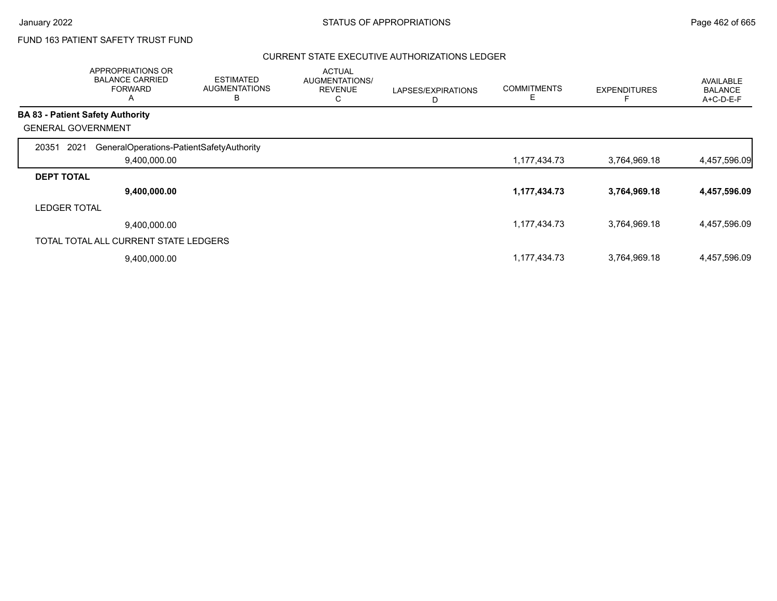# FUND 163 PATIENT SAFETY TRUST FUND

|                     | APPROPRIATIONS OR<br><b>BALANCE CARRIED</b><br><b>FORWARD</b><br>А | <b>ESTIMATED</b><br><b>AUGMENTATIONS</b><br>в | <b>ACTUAL</b><br>AUGMENTATIONS/<br><b>REVENUE</b><br>С | LAPSES/EXPIRATIONS<br>D | <b>COMMITMENTS</b><br>Ε | <b>EXPENDITURES</b> | <b>AVAILABLE</b><br><b>BALANCE</b><br>A+C-D-E-F |
|---------------------|--------------------------------------------------------------------|-----------------------------------------------|--------------------------------------------------------|-------------------------|-------------------------|---------------------|-------------------------------------------------|
|                     | <b>BA 83 - Patient Safety Authority</b>                            |                                               |                                                        |                         |                         |                     |                                                 |
|                     | <b>GENERAL GOVERNMENT</b>                                          |                                               |                                                        |                         |                         |                     |                                                 |
| 20351<br>2021       | GeneralOperations-PatientSafetyAuthority                           |                                               |                                                        |                         |                         |                     |                                                 |
|                     | 9,400,000.00                                                       |                                               |                                                        |                         | 1,177,434.73            | 3,764,969.18        | 4,457,596.09                                    |
| <b>DEPT TOTAL</b>   |                                                                    |                                               |                                                        |                         |                         |                     |                                                 |
|                     | 9,400,000.00                                                       |                                               |                                                        |                         | 1,177,434.73            | 3,764,969.18        | 4,457,596.09                                    |
| <b>LEDGER TOTAL</b> |                                                                    |                                               |                                                        |                         |                         |                     |                                                 |
|                     | 9,400,000.00                                                       |                                               |                                                        |                         | 1,177,434.73            | 3,764,969.18        | 4,457,596.09                                    |
|                     | TOTAL TOTAL ALL CURRENT STATE LEDGERS                              |                                               |                                                        |                         |                         |                     |                                                 |
|                     | 9,400,000.00                                                       |                                               |                                                        |                         | 1,177,434.73            | 3,764,969.18        | 4,457,596.09                                    |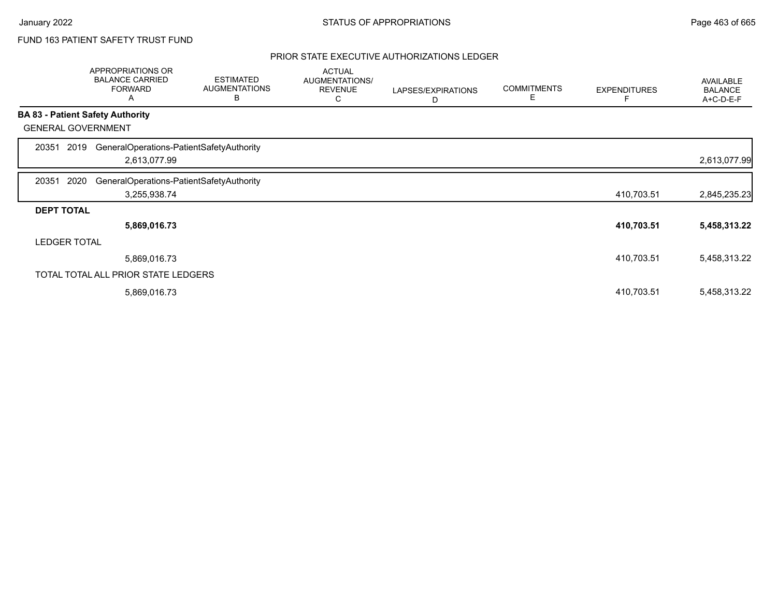# FUND 163 PATIENT SAFETY TRUST FUND

|                   | APPROPRIATIONS OR<br><b>BALANCE CARRIED</b><br><b>FORWARD</b><br>A | <b>ESTIMATED</b><br><b>AUGMENTATIONS</b><br>B | <b>ACTUAL</b><br>AUGMENTATIONS/<br><b>REVENUE</b><br>С | LAPSES/EXPIRATIONS<br>D | <b>COMMITMENTS</b><br>Е | <b>EXPENDITURES</b> | AVAILABLE<br><b>BALANCE</b><br>A+C-D-E-F |
|-------------------|--------------------------------------------------------------------|-----------------------------------------------|--------------------------------------------------------|-------------------------|-------------------------|---------------------|------------------------------------------|
|                   | <b>BA 83 - Patient Safety Authority</b>                            |                                               |                                                        |                         |                         |                     |                                          |
|                   | <b>GENERAL GOVERNMENT</b>                                          |                                               |                                                        |                         |                         |                     |                                          |
| 20351             | GeneralOperations-PatientSafetyAuthority<br>2019                   |                                               |                                                        |                         |                         |                     |                                          |
|                   | 2,613,077.99                                                       |                                               |                                                        |                         |                         |                     | 2,613,077.99                             |
| 20351             | 2020<br>GeneralOperations-PatientSafetyAuthority                   |                                               |                                                        |                         |                         |                     |                                          |
|                   | 3,255,938.74                                                       |                                               |                                                        |                         |                         | 410,703.51          | 2,845,235.23                             |
| <b>DEPT TOTAL</b> |                                                                    |                                               |                                                        |                         |                         |                     |                                          |
|                   | 5,869,016.73                                                       |                                               |                                                        |                         |                         | 410,703.51          | 5,458,313.22                             |
|                   | <b>LEDGER TOTAL</b>                                                |                                               |                                                        |                         |                         |                     |                                          |
|                   | 5,869,016.73                                                       |                                               |                                                        |                         |                         | 410,703.51          | 5,458,313.22                             |
|                   | TOTAL TOTAL ALL PRIOR STATE LEDGERS                                |                                               |                                                        |                         |                         |                     |                                          |
|                   | 5,869,016.73                                                       |                                               |                                                        |                         |                         | 410,703.51          | 5,458,313.22                             |
|                   |                                                                    |                                               |                                                        |                         |                         |                     |                                          |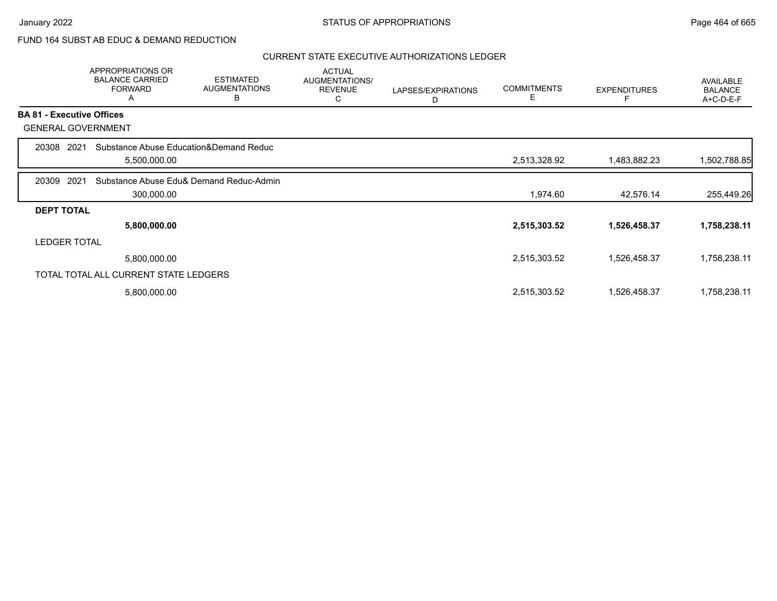## FUND 164 SUBST AB EDUC & DEMAND REDUCTION

|                                  | APPROPRIATIONS OR<br><b>BALANCE CARRIED</b><br><b>FORWARD</b><br>Α | <b>ESTIMATED</b><br><b>AUGMENTATIONS</b><br>B | <b>ACTUAL</b><br>AUGMENTATIONS/<br><b>REVENUE</b><br>C | LAPSES/EXPIRATIONS<br>D | <b>COMMITMENTS</b><br>Е | <b>EXPENDITURES</b> | <b>AVAILABLE</b><br><b>BALANCE</b><br>$A+C-D-E-F$ |
|----------------------------------|--------------------------------------------------------------------|-----------------------------------------------|--------------------------------------------------------|-------------------------|-------------------------|---------------------|---------------------------------------------------|
| <b>BA 81 - Executive Offices</b> |                                                                    |                                               |                                                        |                         |                         |                     |                                                   |
|                                  | <b>GENERAL GOVERNMENT</b>                                          |                                               |                                                        |                         |                         |                     |                                                   |
| 20308                            | Substance Abuse Education&Demand Reduc<br>2021                     |                                               |                                                        |                         |                         |                     |                                                   |
|                                  | 5,500,000.00                                                       |                                               |                                                        |                         | 2,513,328.92            | 1,483,882.23        | 1,502,788.85                                      |
| 20309                            | 2021                                                               | Substance Abuse Edu& Demand Reduc-Admin       |                                                        |                         |                         |                     |                                                   |
|                                  | 300,000.00                                                         |                                               |                                                        |                         | 1,974.60                | 42,576.14           | 255,449.26                                        |
| <b>DEPT TOTAL</b>                |                                                                    |                                               |                                                        |                         |                         |                     |                                                   |
|                                  | 5,800,000.00                                                       |                                               |                                                        |                         | 2,515,303.52            | 1,526,458.37        | 1,758,238.11                                      |
| <b>LEDGER TOTAL</b>              |                                                                    |                                               |                                                        |                         |                         |                     |                                                   |
|                                  | 5,800,000.00                                                       |                                               |                                                        |                         | 2,515,303.52            | 1,526,458.37        | 1,758,238.11                                      |
|                                  | TOTAL TOTAL ALL CURRENT STATE LEDGERS                              |                                               |                                                        |                         |                         |                     |                                                   |
|                                  | 5,800,000.00                                                       |                                               |                                                        |                         | 2,515,303.52            | 1,526,458.37        | 1,758,238.11                                      |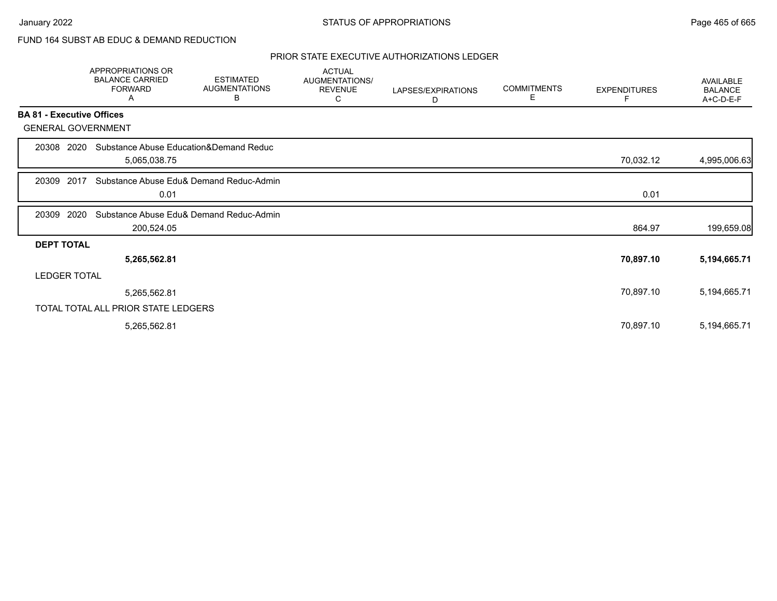# FUND 164 SUBST AB EDUC & DEMAND REDUCTION

|                                  | <b>APPROPRIATIONS OR</b><br><b>BALANCE CARRIED</b><br><b>FORWARD</b><br>Α | <b>ESTIMATED</b><br><b>AUGMENTATIONS</b><br>В | <b>ACTUAL</b><br>AUGMENTATIONS/<br><b>REVENUE</b><br>C | LAPSES/EXPIRATIONS<br>D | <b>COMMITMENTS</b><br>E. | <b>EXPENDITURES</b> | <b>AVAILABLE</b><br><b>BALANCE</b><br>A+C-D-E-F |
|----------------------------------|---------------------------------------------------------------------------|-----------------------------------------------|--------------------------------------------------------|-------------------------|--------------------------|---------------------|-------------------------------------------------|
| <b>BA 81 - Executive Offices</b> |                                                                           |                                               |                                                        |                         |                          |                     |                                                 |
| <b>GENERAL GOVERNMENT</b>        |                                                                           |                                               |                                                        |                         |                          |                     |                                                 |
| 20308 2020                       | Substance Abuse Education&Demand Reduc<br>5,065,038.75                    |                                               |                                                        |                         |                          | 70,032.12           | 4,995,006.63                                    |
| 2017<br>20309                    | 0.01                                                                      | Substance Abuse Edu& Demand Reduc-Admin       |                                                        |                         |                          | 0.01                |                                                 |
| 2020<br>20309                    | 200,524.05                                                                | Substance Abuse Edu& Demand Reduc-Admin       |                                                        |                         |                          | 864.97              | 199,659.08                                      |
| <b>DEPT TOTAL</b>                |                                                                           |                                               |                                                        |                         |                          |                     |                                                 |
|                                  | 5,265,562.81                                                              |                                               |                                                        |                         |                          | 70,897.10           | 5,194,665.71                                    |
| <b>LEDGER TOTAL</b>              |                                                                           |                                               |                                                        |                         |                          |                     |                                                 |
|                                  | 5,265,562.81                                                              |                                               |                                                        |                         |                          | 70,897.10           | 5,194,665.71                                    |
|                                  | TOTAL TOTAL ALL PRIOR STATE LEDGERS                                       |                                               |                                                        |                         |                          |                     |                                                 |
|                                  | 5,265,562.81                                                              |                                               |                                                        |                         |                          | 70,897.10           | 5,194,665.71                                    |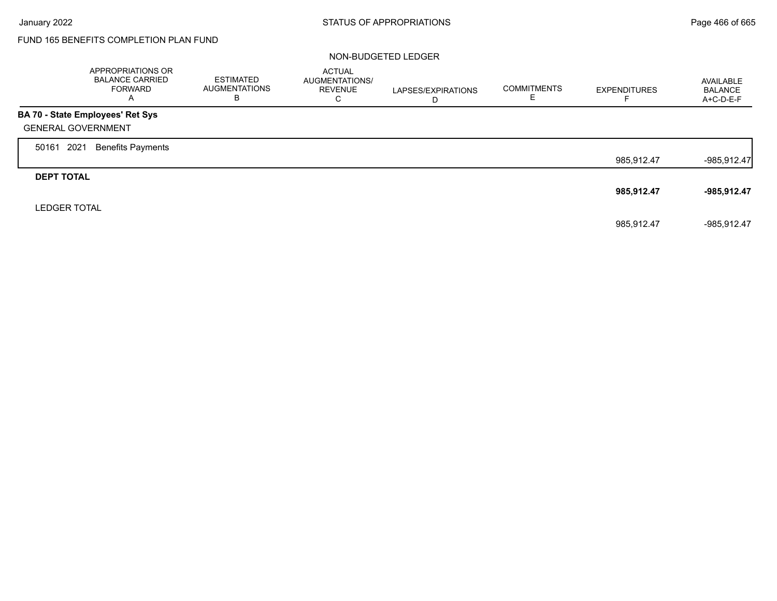# FUND 165 BENEFITS COMPLETION PLAN FUND

### NON-BUDGETED LEDGER

|                           | APPROPRIATIONS OR<br><b>BALANCE CARRIED</b><br><b>FORWARD</b><br>$\overline{\mathsf{A}}$ | ESTIMATED<br><b>AUGMENTATIONS</b><br>в | <b>ACTUAL</b><br>AUGMENTATIONS/<br><b>REVENUE</b><br>С | LAPSES/EXPIRATIONS<br>D | <b>COMMITMENTS</b> | <b>EXPENDITURES</b> | AVAILABLE<br><b>BALANCE</b><br>A+C-D-E-F |
|---------------------------|------------------------------------------------------------------------------------------|----------------------------------------|--------------------------------------------------------|-------------------------|--------------------|---------------------|------------------------------------------|
|                           | BA 70 - State Employees' Ret Sys                                                         |                                        |                                                        |                         |                    |                     |                                          |
| <b>GENERAL GOVERNMENT</b> |                                                                                          |                                        |                                                        |                         |                    |                     |                                          |
| 2021<br>50161             | <b>Benefits Payments</b>                                                                 |                                        |                                                        |                         |                    |                     |                                          |
|                           |                                                                                          |                                        |                                                        |                         |                    | 985,912.47          | $-985,912.47$                            |
| <b>DEPT TOTAL</b>         |                                                                                          |                                        |                                                        |                         |                    |                     |                                          |
|                           |                                                                                          |                                        |                                                        |                         |                    | 985,912.47          | -985,912.47                              |
| <b>LEDGER TOTAL</b>       |                                                                                          |                                        |                                                        |                         |                    |                     |                                          |
|                           |                                                                                          |                                        |                                                        |                         |                    | 985.912.47          | -985.912.47                              |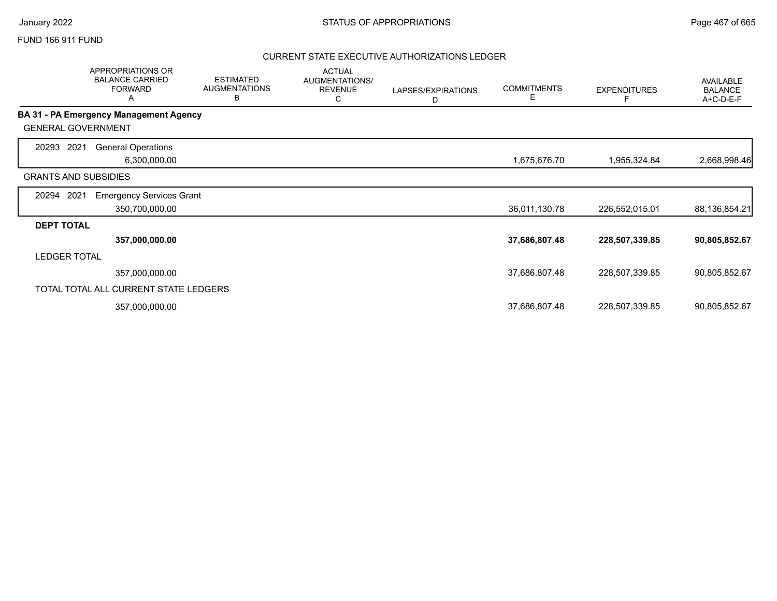### FUND 166 911 FUND

|                             | <b>APPROPRIATIONS OR</b><br><b>BALANCE CARRIED</b><br><b>FORWARD</b><br>A | <b>ESTIMATED</b><br><b>AUGMENTATIONS</b><br>B | <b>ACTUAL</b><br>AUGMENTATIONS/<br><b>REVENUE</b><br>С | LAPSES/EXPIRATIONS<br>D | <b>COMMITMENTS</b><br>Е | <b>EXPENDITURES</b> | AVAILABLE<br><b>BALANCE</b><br>A+C-D-E-F |
|-----------------------------|---------------------------------------------------------------------------|-----------------------------------------------|--------------------------------------------------------|-------------------------|-------------------------|---------------------|------------------------------------------|
|                             | BA 31 - PA Emergency Management Agency                                    |                                               |                                                        |                         |                         |                     |                                          |
| <b>GENERAL GOVERNMENT</b>   |                                                                           |                                               |                                                        |                         |                         |                     |                                          |
| 2021<br>20293               | <b>General Operations</b><br>6,300,000.00                                 |                                               |                                                        |                         | 1,675,676.70            | 1,955,324.84        | 2,668,998.46                             |
| <b>GRANTS AND SUBSIDIES</b> |                                                                           |                                               |                                                        |                         |                         |                     |                                          |
| 2021<br>20294               | <b>Emergency Services Grant</b>                                           |                                               |                                                        |                         |                         |                     |                                          |
|                             | 350,700,000.00                                                            |                                               |                                                        |                         | 36,011,130.78           | 226,552,015.01      | 88,136,854.21                            |
| <b>DEPT TOTAL</b>           |                                                                           |                                               |                                                        |                         |                         |                     |                                          |
|                             | 357,000,000.00                                                            |                                               |                                                        |                         | 37,686,807.48           | 228,507,339.85      | 90,805,852.67                            |
| <b>LEDGER TOTAL</b>         |                                                                           |                                               |                                                        |                         |                         |                     |                                          |
|                             | 357,000,000.00                                                            |                                               |                                                        |                         | 37,686,807.48           | 228,507,339.85      | 90,805,852.67                            |
|                             | TOTAL TOTAL ALL CURRENT STATE LEDGERS                                     |                                               |                                                        |                         |                         |                     |                                          |
|                             | 357,000,000.00                                                            |                                               |                                                        |                         | 37,686,807.48           | 228,507,339.85      | 90,805,852.67                            |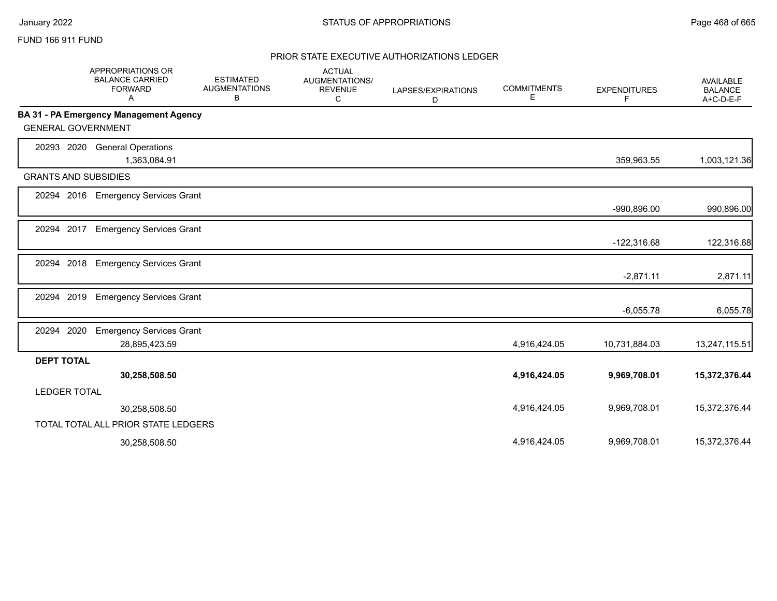## FUND 166 911 FUND

|                     | <b>APPROPRIATIONS OR</b><br><b>BALANCE CARRIED</b><br><b>FORWARD</b><br>A | <b>ESTIMATED</b><br><b>AUGMENTATIONS</b><br>в | <b>ACTUAL</b><br><b>AUGMENTATIONS/</b><br><b>REVENUE</b><br>C | LAPSES/EXPIRATIONS<br>D | <b>COMMITMENTS</b><br>Е | <b>EXPENDITURES</b><br>F | <b>AVAILABLE</b><br><b>BALANCE</b><br>A+C-D-E-F |
|---------------------|---------------------------------------------------------------------------|-----------------------------------------------|---------------------------------------------------------------|-------------------------|-------------------------|--------------------------|-------------------------------------------------|
|                     | BA 31 - PA Emergency Management Agency                                    |                                               |                                                               |                         |                         |                          |                                                 |
|                     | <b>GENERAL GOVERNMENT</b>                                                 |                                               |                                                               |                         |                         |                          |                                                 |
| 20293 2020          | <b>General Operations</b>                                                 |                                               |                                                               |                         |                         |                          |                                                 |
|                     | 1,363,084.91                                                              |                                               |                                                               |                         |                         | 359,963.55               | 1,003,121.36                                    |
|                     | <b>GRANTS AND SUBSIDIES</b>                                               |                                               |                                                               |                         |                         |                          |                                                 |
| 20294 2016          | <b>Emergency Services Grant</b>                                           |                                               |                                                               |                         |                         |                          |                                                 |
|                     |                                                                           |                                               |                                                               |                         |                         | $-990,896.00$            | 990,896.00                                      |
| 20294 2017          | <b>Emergency Services Grant</b>                                           |                                               |                                                               |                         |                         |                          |                                                 |
|                     |                                                                           |                                               |                                                               |                         |                         | $-122,316.68$            | 122,316.68                                      |
| 20294               | 2018<br><b>Emergency Services Grant</b>                                   |                                               |                                                               |                         |                         |                          |                                                 |
|                     |                                                                           |                                               |                                                               |                         |                         | $-2,871.11$              | 2,871.11                                        |
| 20294 2019          | <b>Emergency Services Grant</b>                                           |                                               |                                                               |                         |                         |                          |                                                 |
|                     |                                                                           |                                               |                                                               |                         |                         | $-6,055.78$              | 6,055.78                                        |
| 20294 2020          | <b>Emergency Services Grant</b>                                           |                                               |                                                               |                         |                         |                          |                                                 |
|                     | 28,895,423.59                                                             |                                               |                                                               |                         | 4,916,424.05            | 10,731,884.03            | 13,247,115.51                                   |
| <b>DEPT TOTAL</b>   |                                                                           |                                               |                                                               |                         |                         |                          |                                                 |
|                     | 30,258,508.50                                                             |                                               |                                                               |                         | 4,916,424.05            | 9,969,708.01             | 15,372,376.44                                   |
| <b>LEDGER TOTAL</b> |                                                                           |                                               |                                                               |                         |                         |                          |                                                 |
|                     | 30,258,508.50                                                             |                                               |                                                               |                         | 4,916,424.05            | 9,969,708.01             | 15,372,376.44                                   |
|                     | TOTAL TOTAL ALL PRIOR STATE LEDGERS                                       |                                               |                                                               |                         |                         |                          |                                                 |
|                     | 30,258,508.50                                                             |                                               |                                                               |                         | 4.916.424.05            | 9,969,708.01             | 15,372,376.44                                   |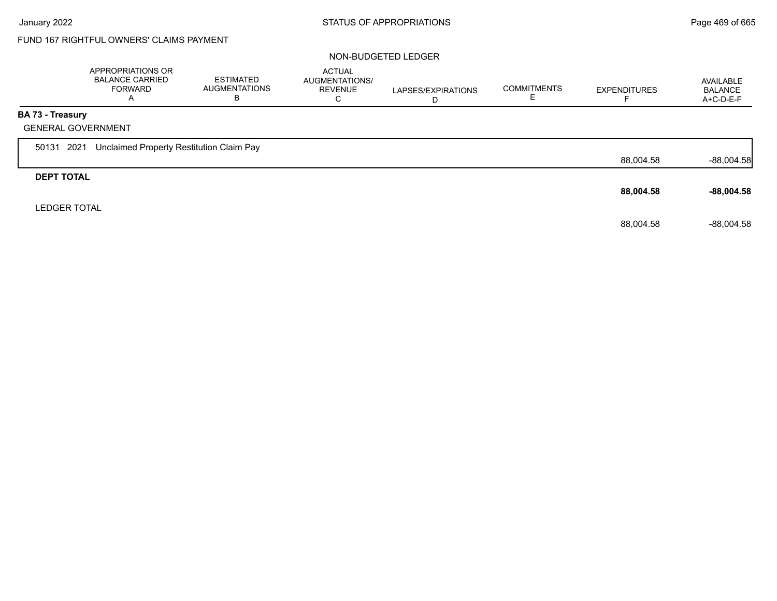# FUND 167 RIGHTFUL OWNERS' CLAIMS PAYMENT

### NON-BUDGETED LEDGER

|                         | APPROPRIATIONS OR<br><b>BALANCE CARRIED</b><br><b>FORWARD</b><br>A | ESTIMATED<br><b>AUGMENTATIONS</b><br>В | <b>ACTUAL</b><br>AUGMENTATIONS/<br><b>REVENUE</b><br>C | LAPSES/EXPIRATIONS<br>D | <b>COMMITMENTS</b> | <b>EXPENDITURES</b> | AVAILABLE<br><b>BALANCE</b><br>$A+C-D-E-F$ |
|-------------------------|--------------------------------------------------------------------|----------------------------------------|--------------------------------------------------------|-------------------------|--------------------|---------------------|--------------------------------------------|
| <b>BA 73 - Treasury</b> |                                                                    |                                        |                                                        |                         |                    |                     |                                            |
|                         | <b>GENERAL GOVERNMENT</b>                                          |                                        |                                                        |                         |                    |                     |                                            |
| 50131 2021              | Unclaimed Property Restitution Claim Pay                           |                                        |                                                        |                         |                    |                     |                                            |
|                         |                                                                    |                                        |                                                        |                         |                    | 88,004.58           | $-88,004.58$                               |
| <b>DEPT TOTAL</b>       |                                                                    |                                        |                                                        |                         |                    |                     |                                            |
|                         |                                                                    |                                        |                                                        |                         |                    | 88,004.58           | $-88,004.58$                               |
| <b>LEDGER TOTAL</b>     |                                                                    |                                        |                                                        |                         |                    |                     |                                            |
|                         |                                                                    |                                        |                                                        |                         |                    | 88,004.58           | $-88,004.58$                               |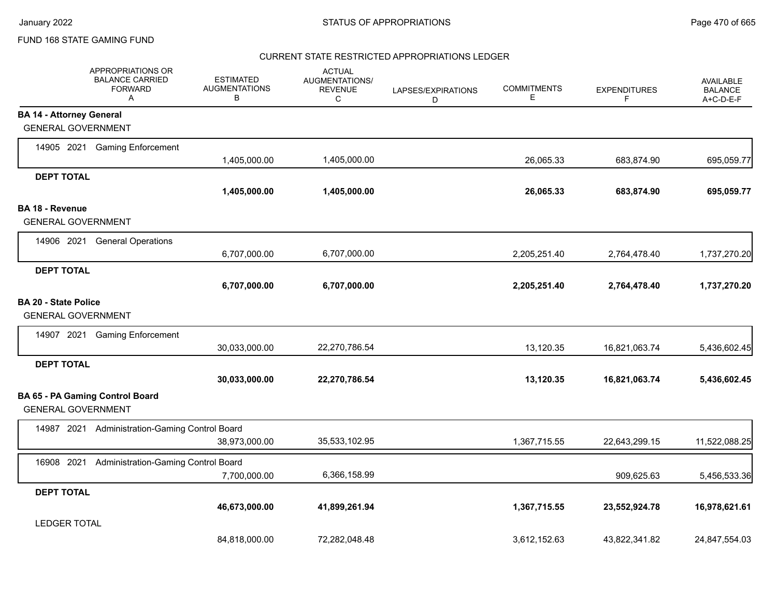#### CURRENT STATE RESTRICTED APPROPRIATIONS LEDGER

|                                 | APPROPRIATIONS OR<br><b>BALANCE CARRIED</b><br><b>FORWARD</b><br>Α | <b>ESTIMATED</b><br><b>AUGMENTATIONS</b><br>В | <b>ACTUAL</b><br>AUGMENTATIONS/<br><b>REVENUE</b><br>C | LAPSES/EXPIRATIONS<br>D | <b>COMMITMENTS</b><br>Е | <b>EXPENDITURES</b><br>F | <b>AVAILABLE</b><br><b>BALANCE</b><br>A+C-D-E-F |
|---------------------------------|--------------------------------------------------------------------|-----------------------------------------------|--------------------------------------------------------|-------------------------|-------------------------|--------------------------|-------------------------------------------------|
| <b>BA 14 - Attorney General</b> |                                                                    |                                               |                                                        |                         |                         |                          |                                                 |
| <b>GENERAL GOVERNMENT</b>       |                                                                    |                                               |                                                        |                         |                         |                          |                                                 |
|                                 | 14905 2021 Gaming Enforcement                                      | 1,405,000.00                                  | 1,405,000.00                                           |                         | 26,065.33               | 683,874.90               | 695,059.77                                      |
| <b>DEPT TOTAL</b>               |                                                                    |                                               |                                                        |                         |                         |                          |                                                 |
|                                 |                                                                    | 1,405,000.00                                  | 1,405,000.00                                           |                         | 26,065.33               | 683,874.90               | 695,059.77                                      |
| BA 18 - Revenue                 |                                                                    |                                               |                                                        |                         |                         |                          |                                                 |
| <b>GENERAL GOVERNMENT</b>       |                                                                    |                                               |                                                        |                         |                         |                          |                                                 |
| 14906 2021                      | <b>General Operations</b>                                          |                                               |                                                        |                         |                         |                          |                                                 |
|                                 |                                                                    | 6,707,000.00                                  | 6,707,000.00                                           |                         | 2,205,251.40            | 2,764,478.40             | 1,737,270.20                                    |
| <b>DEPT TOTAL</b>               |                                                                    |                                               |                                                        |                         |                         |                          |                                                 |
|                                 |                                                                    | 6,707,000.00                                  | 6,707,000.00                                           |                         | 2,205,251.40            | 2,764,478.40             | 1,737,270.20                                    |
| <b>BA 20 - State Police</b>     |                                                                    |                                               |                                                        |                         |                         |                          |                                                 |
| <b>GENERAL GOVERNMENT</b>       |                                                                    |                                               |                                                        |                         |                         |                          |                                                 |
|                                 | 14907 2021 Gaming Enforcement                                      |                                               |                                                        |                         |                         |                          |                                                 |
|                                 |                                                                    | 30,033,000.00                                 | 22,270,786.54                                          |                         | 13,120.35               | 16,821,063.74            | 5,436,602.45                                    |
| <b>DEPT TOTAL</b>               |                                                                    |                                               |                                                        |                         |                         |                          |                                                 |
|                                 |                                                                    | 30,033,000.00                                 | 22,270,786.54                                          |                         | 13,120.35               | 16,821,063.74            | 5,436,602.45                                    |
| <b>GENERAL GOVERNMENT</b>       | <b>BA 65 - PA Gaming Control Board</b>                             |                                               |                                                        |                         |                         |                          |                                                 |
|                                 | 14987 2021 Administration-Gaming Control Board                     |                                               |                                                        |                         |                         |                          |                                                 |
|                                 |                                                                    | 38,973,000.00                                 | 35,533,102.95                                          |                         | 1,367,715.55            | 22,643,299.15            | 11,522,088.25                                   |
| 16908 2021                      | Administration-Gaming Control Board                                |                                               |                                                        |                         |                         |                          |                                                 |
|                                 |                                                                    | 7,700,000.00                                  | 6,366,158.99                                           |                         |                         | 909,625.63               | 5,456,533.36                                    |
| <b>DEPT TOTAL</b>               |                                                                    |                                               |                                                        |                         |                         |                          |                                                 |
|                                 |                                                                    | 46,673,000.00                                 | 41,899,261.94                                          |                         | 1,367,715.55            | 23,552,924.78            | 16,978,621.61                                   |
| <b>LEDGER TOTAL</b>             |                                                                    |                                               |                                                        |                         |                         |                          |                                                 |
|                                 |                                                                    | 84,818,000.00                                 | 72,282,048.48                                          |                         | 3,612,152.63            | 43,822,341.82            | 24,847,554.03                                   |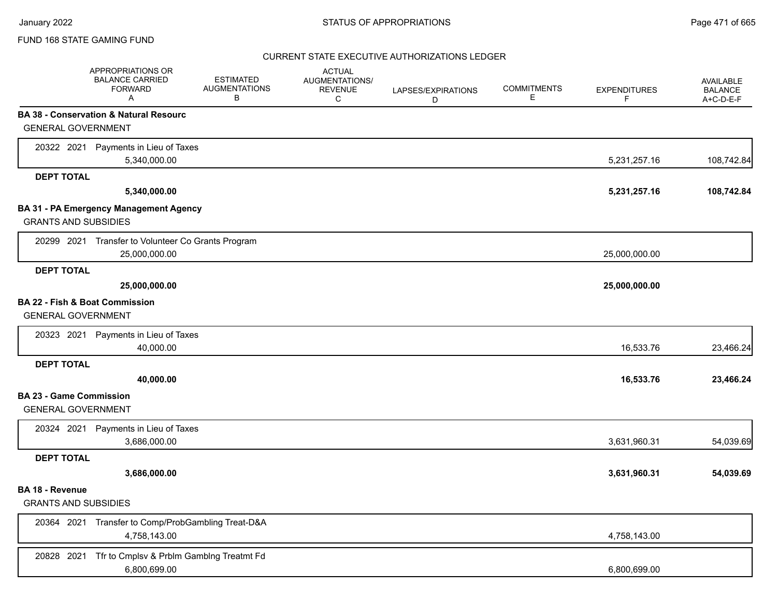## CURRENT STATE EXECUTIVE AUTHORIZATIONS LEDGER

|                                | APPROPRIATIONS OR<br><b>BALANCE CARRIED</b><br><b>FORWARD</b><br>A | <b>ESTIMATED</b><br><b>AUGMENTATIONS</b><br>В | <b>ACTUAL</b><br>AUGMENTATIONS/<br><b>REVENUE</b><br>C | LAPSES/EXPIRATIONS<br>D | <b>COMMITMENTS</b><br>Е | <b>EXPENDITURES</b><br>F | AVAILABLE<br><b>BALANCE</b><br>A+C-D-E-F |
|--------------------------------|--------------------------------------------------------------------|-----------------------------------------------|--------------------------------------------------------|-------------------------|-------------------------|--------------------------|------------------------------------------|
|                                | BA 38 - Conservation & Natural Resourc                             |                                               |                                                        |                         |                         |                          |                                          |
| <b>GENERAL GOVERNMENT</b>      |                                                                    |                                               |                                                        |                         |                         |                          |                                          |
|                                | 20322 2021 Payments in Lieu of Taxes                               |                                               |                                                        |                         |                         |                          |                                          |
|                                | 5,340,000.00                                                       |                                               |                                                        |                         |                         | 5,231,257.16             | 108,742.84                               |
| <b>DEPT TOTAL</b>              |                                                                    |                                               |                                                        |                         |                         |                          |                                          |
|                                | 5,340,000.00                                                       |                                               |                                                        |                         |                         | 5,231,257.16             | 108,742.84                               |
|                                | BA 31 - PA Emergency Management Agency                             |                                               |                                                        |                         |                         |                          |                                          |
| <b>GRANTS AND SUBSIDIES</b>    |                                                                    |                                               |                                                        |                         |                         |                          |                                          |
|                                | 20299 2021 Transfer to Volunteer Co Grants Program                 |                                               |                                                        |                         |                         |                          |                                          |
|                                | 25,000,000.00                                                      |                                               |                                                        |                         |                         | 25,000,000.00            |                                          |
| <b>DEPT TOTAL</b>              |                                                                    |                                               |                                                        |                         |                         |                          |                                          |
|                                | 25,000,000.00                                                      |                                               |                                                        |                         |                         | 25,000,000.00            |                                          |
| BA 22 - Fish & Boat Commission |                                                                    |                                               |                                                        |                         |                         |                          |                                          |
| <b>GENERAL GOVERNMENT</b>      |                                                                    |                                               |                                                        |                         |                         |                          |                                          |
|                                | 20323 2021 Payments in Lieu of Taxes                               |                                               |                                                        |                         |                         |                          |                                          |
|                                | 40,000.00                                                          |                                               |                                                        |                         |                         | 16,533.76                | 23,466.24                                |
| <b>DEPT TOTAL</b>              |                                                                    |                                               |                                                        |                         |                         |                          |                                          |
|                                | 40,000.00                                                          |                                               |                                                        |                         |                         | 16,533.76                | 23,466.24                                |
| <b>BA 23 - Game Commission</b> |                                                                    |                                               |                                                        |                         |                         |                          |                                          |
| <b>GENERAL GOVERNMENT</b>      |                                                                    |                                               |                                                        |                         |                         |                          |                                          |
|                                | 20324 2021 Payments in Lieu of Taxes                               |                                               |                                                        |                         |                         |                          |                                          |
|                                | 3,686,000.00                                                       |                                               |                                                        |                         |                         | 3,631,960.31             | 54,039.69                                |
| <b>DEPT TOTAL</b>              |                                                                    |                                               |                                                        |                         |                         |                          |                                          |
|                                | 3,686,000.00                                                       |                                               |                                                        |                         |                         | 3,631,960.31             | 54,039.69                                |
| <b>BA 18 - Revenue</b>         |                                                                    |                                               |                                                        |                         |                         |                          |                                          |
| <b>GRANTS AND SUBSIDIES</b>    |                                                                    |                                               |                                                        |                         |                         |                          |                                          |
|                                | 20364 2021 Transfer to Comp/ProbGambling Treat-D&A                 |                                               |                                                        |                         |                         |                          |                                          |
|                                | 4,758,143.00                                                       |                                               |                                                        |                         |                         | 4,758,143.00             |                                          |
| 20828 2021                     | Tfr to Cmplsv & Prblm Gamblng Treatmt Fd                           |                                               |                                                        |                         |                         |                          |                                          |
|                                | 6,800,699.00                                                       |                                               |                                                        |                         |                         | 6,800,699.00             |                                          |
|                                |                                                                    |                                               |                                                        |                         |                         |                          |                                          |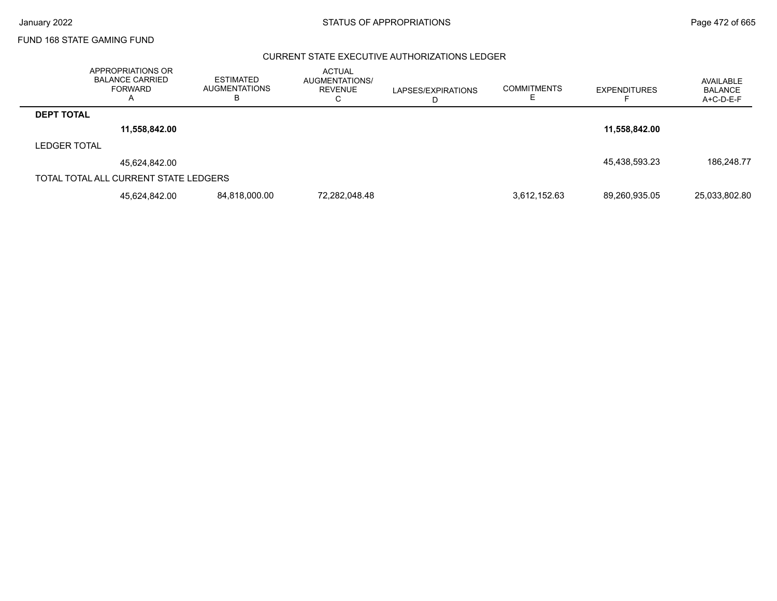## CURRENT STATE EXECUTIVE AUTHORIZATIONS LEDGER

|                     | APPROPRIATIONS OR<br><b>BALANCE CARRIED</b><br><b>FORWARD</b> | <b>ESTIMATED</b><br><b>AUGMENTATIONS</b><br>в | <b>ACTUAL</b><br><b>AUGMENTATIONS/</b><br>REVENUE<br>◡ | LAPSES/EXPIRATIONS<br>ш | <b>COMMITMENTS</b> | <b>EXPENDITURES</b> | AVAILABLE<br>BALANCE<br>$A+C-D-E-F$ |
|---------------------|---------------------------------------------------------------|-----------------------------------------------|--------------------------------------------------------|-------------------------|--------------------|---------------------|-------------------------------------|
| <b>DEPT TOTAL</b>   |                                                               |                                               |                                                        |                         |                    |                     |                                     |
|                     | 11,558,842.00                                                 |                                               |                                                        |                         |                    | 11,558,842.00       |                                     |
| <b>LEDGER TOTAL</b> |                                                               |                                               |                                                        |                         |                    |                     |                                     |
|                     | 45,624,842.00                                                 |                                               |                                                        |                         |                    | 45,438,593.23       | 186,248.77                          |
|                     | TOTAL TOTAL ALL CURRENT STATE LEDGERS                         |                                               |                                                        |                         |                    |                     |                                     |
|                     | 45.624.842.00                                                 | 84,818,000.00                                 | 72,282,048.48                                          |                         | 3,612,152.63       | 89,260,935.05       | 25,033,802.80                       |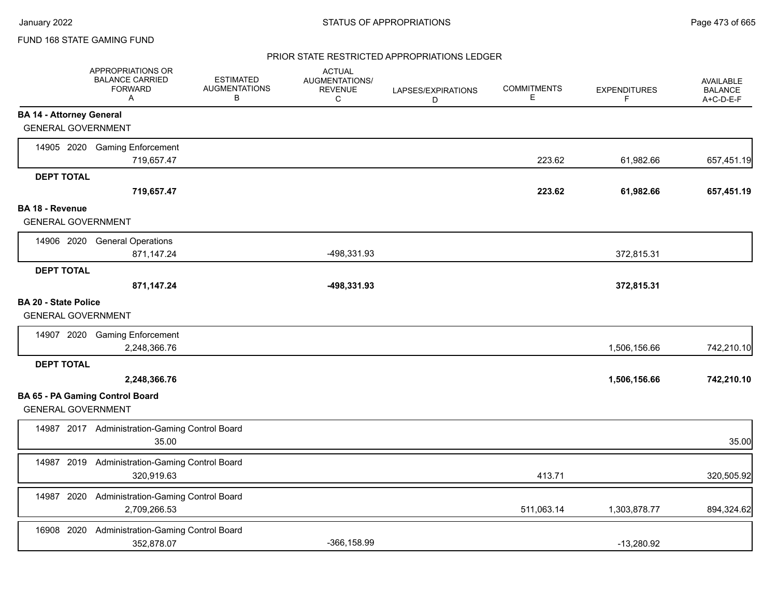## PRIOR STATE RESTRICTED APPROPRIATIONS LEDGER

|                                                              | <b>APPROPRIATIONS OR</b><br><b>BALANCE CARRIED</b><br><b>FORWARD</b><br>$\mathsf{A}$ | <b>ESTIMATED</b><br><b>AUGMENTATIONS</b><br>В | <b>ACTUAL</b><br>AUGMENTATIONS/<br><b>REVENUE</b><br>C | LAPSES/EXPIRATIONS<br>D | <b>COMMITMENTS</b><br>Е | <b>EXPENDITURES</b><br>F | <b>AVAILABLE</b><br><b>BALANCE</b><br>A+C-D-E-F |
|--------------------------------------------------------------|--------------------------------------------------------------------------------------|-----------------------------------------------|--------------------------------------------------------|-------------------------|-------------------------|--------------------------|-------------------------------------------------|
| <b>BA 14 - Attorney General</b><br><b>GENERAL GOVERNMENT</b> |                                                                                      |                                               |                                                        |                         |                         |                          |                                                 |
|                                                              | 14905 2020 Gaming Enforcement<br>719,657.47                                          |                                               |                                                        |                         | 223.62                  | 61,982.66                | 657,451.19                                      |
| <b>DEPT TOTAL</b>                                            | 719,657.47                                                                           |                                               |                                                        |                         | 223.62                  | 61,982.66                | 657,451.19                                      |
| <b>BA 18 - Revenue</b><br><b>GENERAL GOVERNMENT</b>          |                                                                                      |                                               |                                                        |                         |                         |                          |                                                 |
|                                                              | 14906 2020 General Operations<br>871,147.24                                          |                                               | -498,331.93                                            |                         |                         | 372,815.31               |                                                 |
| <b>DEPT TOTAL</b>                                            | 871,147.24                                                                           |                                               | -498,331.93                                            |                         |                         | 372,815.31               |                                                 |
| <b>BA 20 - State Police</b><br><b>GENERAL GOVERNMENT</b>     |                                                                                      |                                               |                                                        |                         |                         |                          |                                                 |
|                                                              | 14907 2020 Gaming Enforcement<br>2,248,366.76                                        |                                               |                                                        |                         |                         | 1,506,156.66             | 742,210.10                                      |
| <b>DEPT TOTAL</b>                                            | 2,248,366.76                                                                         |                                               |                                                        |                         |                         | 1,506,156.66             | 742,210.10                                      |
| <b>GENERAL GOVERNMENT</b>                                    | <b>BA 65 - PA Gaming Control Board</b>                                               |                                               |                                                        |                         |                         |                          |                                                 |
|                                                              | 14987 2017 Administration-Gaming Control Board<br>35.00                              |                                               |                                                        |                         |                         |                          | 35.00                                           |
| 14987                                                        | 2019 Administration-Gaming Control Board<br>320,919.63                               |                                               |                                                        |                         | 413.71                  |                          | 320,505.92                                      |
|                                                              | 14987 2020 Administration-Gaming Control Board<br>2,709,266.53                       |                                               |                                                        |                         | 511,063.14              | 1,303,878.77             | 894,324.62                                      |
| 16908 2020                                                   | Administration-Gaming Control Board<br>352,878.07                                    |                                               | $-366, 158.99$                                         |                         |                         | $-13,280.92$             |                                                 |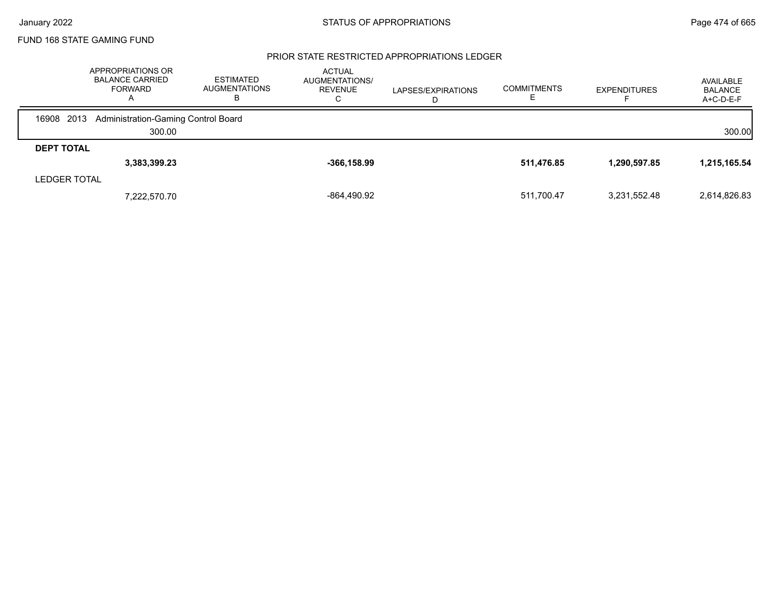### PRIOR STATE RESTRICTED APPROPRIATIONS LEDGER

|                   | APPROPRIATIONS OR<br><b>BALANCE CARRIED</b><br><b>FORWARD</b><br>A | <b>ESTIMATED</b><br><b>AUGMENTATIONS</b><br>ь | <b>ACTUAL</b><br><b>AUGMENTATIONS/</b><br><b>REVENUE</b><br>$\mathbf C$ | LAPSES/EXPIRATIONS<br>D | <b>COMMITMENTS</b> | <b>EXPENDITURES</b> | AVAILABLE<br><b>BALANCE</b><br>A+C-D-E-F |
|-------------------|--------------------------------------------------------------------|-----------------------------------------------|-------------------------------------------------------------------------|-------------------------|--------------------|---------------------|------------------------------------------|
| 2013<br>16908     | Administration-Gaming Control Board                                |                                               |                                                                         |                         |                    |                     |                                          |
|                   | 300.00                                                             |                                               |                                                                         |                         |                    |                     | 300.00                                   |
| <b>DEPT TOTAL</b> |                                                                    |                                               |                                                                         |                         |                    |                     |                                          |
|                   | 3,383,399.23                                                       |                                               | $-366, 158.99$                                                          |                         | 511,476.85         | 1,290,597.85        | 1,215,165.54                             |
| LEDGER TOTAL      |                                                                    |                                               |                                                                         |                         |                    |                     |                                          |
|                   | 7,222,570.70                                                       |                                               | -864,490.92                                                             |                         | 511.700.47         | 3,231,552.48        | 2,614,826.83                             |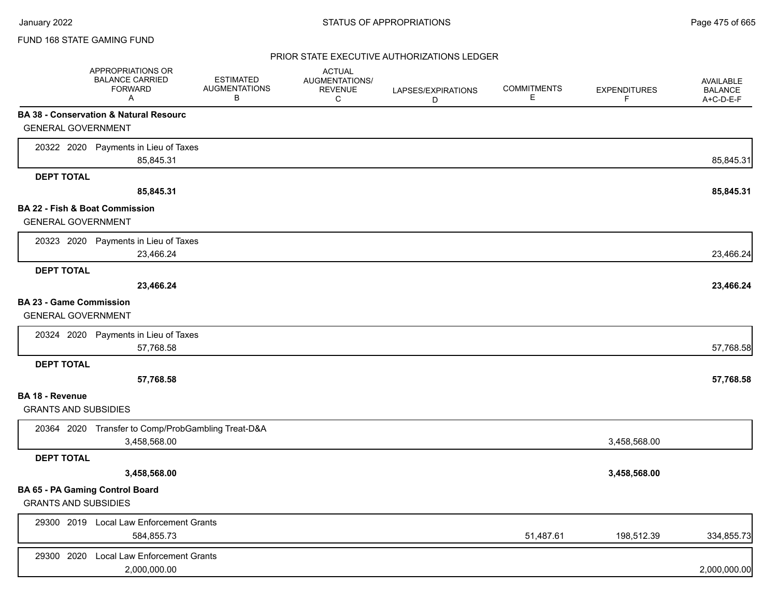## PRIOR STATE EXECUTIVE AUTHORIZATIONS LEDGER

|                                                             | APPROPRIATIONS OR<br><b>BALANCE CARRIED</b><br><b>FORWARD</b><br>Α | <b>ESTIMATED</b><br><b>AUGMENTATIONS</b><br>В | <b>ACTUAL</b><br>AUGMENTATIONS/<br><b>REVENUE</b><br>С | LAPSES/EXPIRATIONS<br>D | <b>COMMITMENTS</b><br>Е | <b>EXPENDITURES</b><br>F | AVAILABLE<br><b>BALANCE</b><br>A+C-D-E-F |
|-------------------------------------------------------------|--------------------------------------------------------------------|-----------------------------------------------|--------------------------------------------------------|-------------------------|-------------------------|--------------------------|------------------------------------------|
|                                                             | <b>BA 38 - Conservation &amp; Natural Resourc</b>                  |                                               |                                                        |                         |                         |                          |                                          |
| <b>GENERAL GOVERNMENT</b>                                   |                                                                    |                                               |                                                        |                         |                         |                          |                                          |
|                                                             | 20322 2020 Payments in Lieu of Taxes                               |                                               |                                                        |                         |                         |                          |                                          |
|                                                             | 85,845.31                                                          |                                               |                                                        |                         |                         |                          | 85,845.31                                |
| <b>DEPT TOTAL</b>                                           |                                                                    |                                               |                                                        |                         |                         |                          |                                          |
|                                                             | 85,845.31                                                          |                                               |                                                        |                         |                         |                          | 85,845.31                                |
| <b>BA 22 - Fish &amp; Boat Commission</b>                   |                                                                    |                                               |                                                        |                         |                         |                          |                                          |
| <b>GENERAL GOVERNMENT</b>                                   |                                                                    |                                               |                                                        |                         |                         |                          |                                          |
|                                                             | 20323 2020 Payments in Lieu of Taxes                               |                                               |                                                        |                         |                         |                          |                                          |
|                                                             | 23,466.24                                                          |                                               |                                                        |                         |                         |                          | 23,466.24                                |
| <b>DEPT TOTAL</b>                                           |                                                                    |                                               |                                                        |                         |                         |                          |                                          |
|                                                             | 23,466.24                                                          |                                               |                                                        |                         |                         |                          | 23,466.24                                |
| <b>BA 23 - Game Commission</b><br><b>GENERAL GOVERNMENT</b> |                                                                    |                                               |                                                        |                         |                         |                          |                                          |
| 20324 2020                                                  | Payments in Lieu of Taxes                                          |                                               |                                                        |                         |                         |                          |                                          |
|                                                             | 57,768.58                                                          |                                               |                                                        |                         |                         |                          | 57,768.58                                |
| <b>DEPT TOTAL</b>                                           |                                                                    |                                               |                                                        |                         |                         |                          |                                          |
|                                                             | 57,768.58                                                          |                                               |                                                        |                         |                         |                          | 57,768.58                                |
| BA 18 - Revenue<br><b>GRANTS AND SUBSIDIES</b>              |                                                                    |                                               |                                                        |                         |                         |                          |                                          |
|                                                             | 20364 2020 Transfer to Comp/ProbGambling Treat-D&A                 |                                               |                                                        |                         |                         |                          |                                          |
|                                                             | 3,458,568.00                                                       |                                               |                                                        |                         |                         | 3,458,568.00             |                                          |
| <b>DEPT TOTAL</b>                                           |                                                                    |                                               |                                                        |                         |                         |                          |                                          |
|                                                             | 3,458,568.00                                                       |                                               |                                                        |                         |                         | 3,458,568.00             |                                          |
| BA 65 - PA Gaming Control Board                             |                                                                    |                                               |                                                        |                         |                         |                          |                                          |
| <b>GRANTS AND SUBSIDIES</b>                                 |                                                                    |                                               |                                                        |                         |                         |                          |                                          |
|                                                             | 29300 2019 Local Law Enforcement Grants                            |                                               |                                                        |                         |                         |                          |                                          |
|                                                             | 584,855.73                                                         |                                               |                                                        |                         | 51,487.61               | 198,512.39               | 334,855.73                               |
| 29300 2020                                                  | <b>Local Law Enforcement Grants</b>                                |                                               |                                                        |                         |                         |                          |                                          |
|                                                             | 2,000,000.00                                                       |                                               |                                                        |                         |                         |                          | 2,000,000.00                             |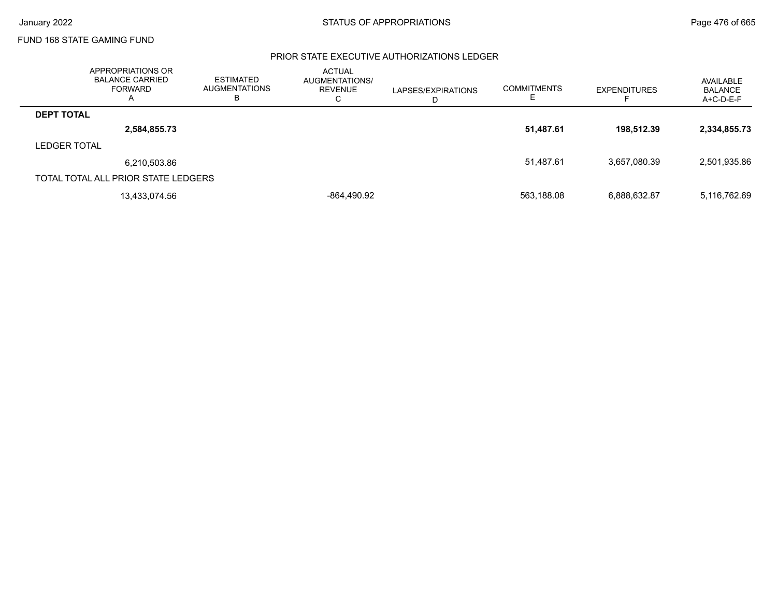## PRIOR STATE EXECUTIVE AUTHORIZATIONS LEDGER

|                     | APPROPRIATIONS OR<br><b>BALANCE CARRIED</b><br>FORWARD<br>$\mathsf{A}$ | <b>ESTIMATED</b><br><b>AUGMENTATIONS</b><br>в | <b>ACTUAL</b><br>AUGMENTATIONS/<br><b>REVENUE</b><br>⌒<br>◡ | LAPSES/EXPIRATIONS<br>D | <b>COMMITMENTS</b><br>E. | <b>EXPENDITURES</b> | AVAILABLE<br><b>BALANCE</b><br>$A+C-D-E-F$ |
|---------------------|------------------------------------------------------------------------|-----------------------------------------------|-------------------------------------------------------------|-------------------------|--------------------------|---------------------|--------------------------------------------|
| <b>DEPT TOTAL</b>   |                                                                        |                                               |                                                             |                         |                          |                     |                                            |
|                     | 2,584,855.73                                                           |                                               |                                                             |                         | 51,487.61                | 198.512.39          | 2,334,855.73                               |
| <b>LEDGER TOTAL</b> |                                                                        |                                               |                                                             |                         |                          |                     |                                            |
|                     | 6,210,503.86                                                           |                                               |                                                             |                         | 51,487.61                | 3,657,080.39        | 2,501,935.86                               |
|                     | TOTAL TOTAL ALL PRIOR STATE LEDGERS                                    |                                               |                                                             |                         |                          |                     |                                            |
|                     | 13,433,074.56                                                          |                                               | -864,490.92                                                 |                         | 563,188.08               | 6,888,632.87        | 5,116,762.69                               |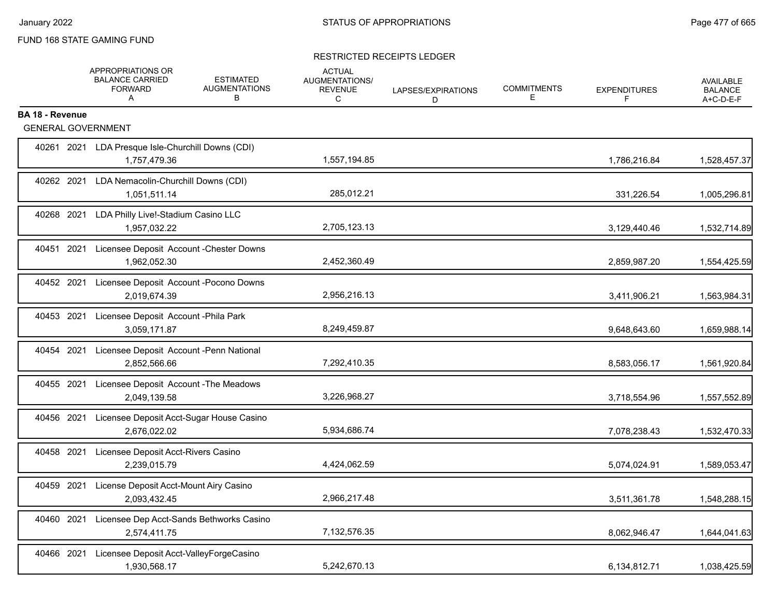## RESTRICTED RECEIPTS LEDGER

|                                                     | APPROPRIATIONS OR<br><b>BALANCE CARRIED</b><br><b>FORWARD</b><br>A  | <b>ESTIMATED</b><br><b>AUGMENTATIONS</b><br>В | <b>ACTUAL</b><br>AUGMENTATIONS/<br><b>REVENUE</b><br>C | LAPSES/EXPIRATIONS<br>D. | <b>COMMITMENTS</b><br>Е | <b>EXPENDITURES</b><br>F | <b>AVAILABLE</b><br><b>BALANCE</b><br>A+C-D-E-F |
|-----------------------------------------------------|---------------------------------------------------------------------|-----------------------------------------------|--------------------------------------------------------|--------------------------|-------------------------|--------------------------|-------------------------------------------------|
| <b>BA 18 - Revenue</b><br><b>GENERAL GOVERNMENT</b> |                                                                     |                                               |                                                        |                          |                         |                          |                                                 |
|                                                     | 40261 2021 LDA Presque Isle-Churchill Downs (CDI)<br>1,757,479.36   |                                               | 1,557,194.85                                           |                          |                         | 1,786,216.84             | 1,528,457.37                                    |
| 40262 2021                                          | LDA Nemacolin-Churchill Downs (CDI)<br>1,051,511.14                 |                                               | 285,012.21                                             |                          |                         | 331,226.54               | 1,005,296.81                                    |
|                                                     | 40268 2021 LDA Philly Live!-Stadium Casino LLC<br>1,957,032.22      |                                               | 2,705,123.13                                           |                          |                         | 3,129,440.46             | 1,532,714.89                                    |
|                                                     | 40451 2021 Licensee Deposit Account - Chester Downs<br>1,962,052.30 |                                               | 2,452,360.49                                           |                          |                         | 2,859,987.20             | 1,554,425.59                                    |
| 40452 2021                                          | Licensee Deposit Account - Pocono Downs<br>2,019,674.39             |                                               | 2,956,216.13                                           |                          |                         | 3,411,906.21             | 1,563,984.31                                    |
|                                                     | 40453 2021 Licensee Deposit Account - Phila Park<br>3,059,171.87    |                                               | 8,249,459.87                                           |                          |                         | 9,648,643.60             | 1,659,988.14                                    |
|                                                     | 40454 2021 Licensee Deposit Account -Penn National<br>2,852,566.66  |                                               | 7,292,410.35                                           |                          |                         | 8,583,056.17             | 1,561,920.84                                    |
| 40455 2021                                          | Licensee Deposit Account - The Meadows<br>2,049,139.58              |                                               | 3,226,968.27                                           |                          |                         | 3,718,554.96             | 1,557,552.89                                    |
| 40456 2021                                          | Licensee Deposit Acct-Sugar House Casino<br>2,676,022.02            |                                               | 5,934,686.74                                           |                          |                         | 7,078,238.43             | 1,532,470.33                                    |
| 40458 2021                                          | Licensee Deposit Acct-Rivers Casino<br>2,239,015.79                 |                                               | 4,424,062.59                                           |                          |                         | 5,074,024.91             | 1,589,053.47                                    |
| 40459 2021                                          | License Deposit Acct-Mount Airy Casino<br>2,093,432.45              |                                               | 2,966,217.48                                           |                          |                         | 3,511,361.78             | 1,548,288.15                                    |
| 40460 2021                                          | Licensee Dep Acct-Sands Bethworks Casino<br>2,574,411.75            |                                               | 7,132,576.35                                           |                          |                         | 8,062,946.47             | 1,644,041.63                                    |
| 40466 2021                                          | Licensee Deposit Acct-ValleyForgeCasino<br>1,930,568.17             |                                               | 5,242,670.13                                           |                          |                         | 6,134,812.71             | 1,038,425.59                                    |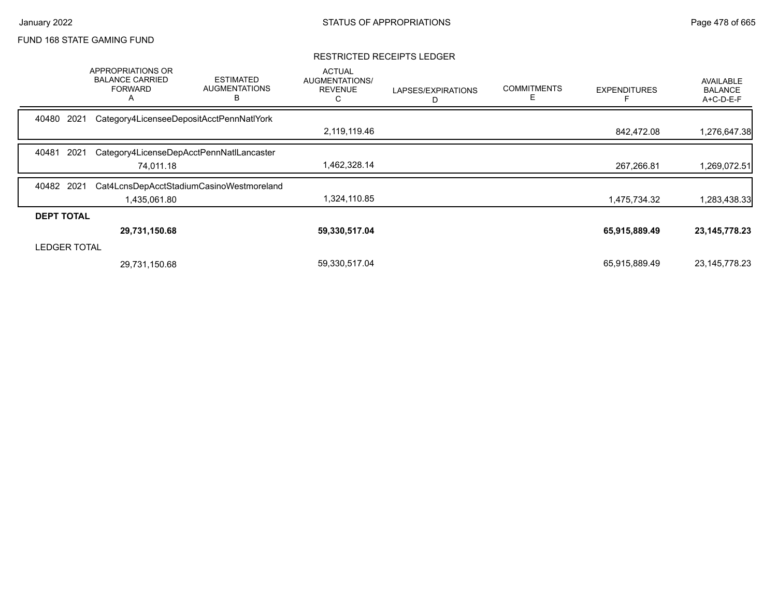### RESTRICTED RECEIPTS LEDGER

|                     | <b>APPROPRIATIONS OR</b><br><b>BALANCE CARRIED</b><br><b>FORWARD</b><br>A | <b>ESTIMATED</b><br><b>AUGMENTATIONS</b><br>в | <b>ACTUAL</b><br>AUGMENTATIONS/<br><b>REVENUE</b><br>С | LAPSES/EXPIRATIONS<br>D | <b>COMMITMENTS</b><br>E. | <b>EXPENDITURES</b> | AVAILABLE<br><b>BALANCE</b><br>A+C-D-E-F |
|---------------------|---------------------------------------------------------------------------|-----------------------------------------------|--------------------------------------------------------|-------------------------|--------------------------|---------------------|------------------------------------------|
| 2021<br>40480       | Category4LicenseeDepositAcctPennNatlYork                                  |                                               |                                                        |                         |                          |                     |                                          |
|                     |                                                                           |                                               | 2,119,119.46                                           |                         |                          | 842,472.08          | 1,276,647.38                             |
| 2021<br>40481       |                                                                           | Category4LicenseDepAcctPennNatILancaster      |                                                        |                         |                          |                     |                                          |
|                     | 74,011.18                                                                 |                                               | 1,462,328.14                                           |                         |                          | 267,266.81          | 269,072.51,                              |
| 40482 2021          |                                                                           | Cat4LcnsDepAcctStadiumCasinoWestmoreland      |                                                        |                         |                          |                     |                                          |
|                     | 1,435,061.80                                                              |                                               | 1,324,110.85                                           |                         |                          | 1,475,734.32        | 1,283,438.33                             |
| <b>DEPT TOTAL</b>   |                                                                           |                                               |                                                        |                         |                          |                     |                                          |
|                     | 29,731,150.68                                                             |                                               | 59,330,517.04                                          |                         |                          | 65,915,889.49       | 23, 145, 778. 23                         |
| <b>LEDGER TOTAL</b> |                                                                           |                                               |                                                        |                         |                          |                     |                                          |
|                     | 29,731,150.68                                                             |                                               | 59,330,517.04                                          |                         |                          | 65,915,889.49       | 23,145,778.23                            |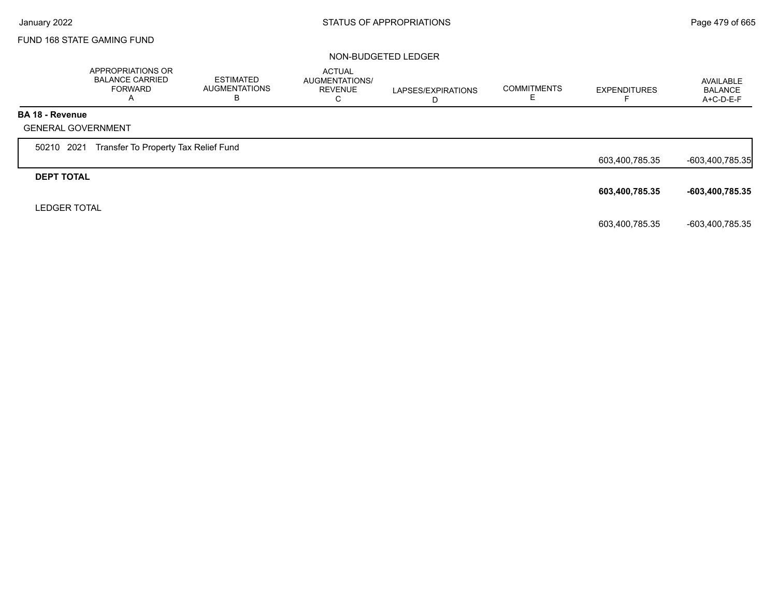#### NON-BUDGETED LEDGER

|                        | APPROPRIATIONS OR<br><b>BALANCE CARRIED</b><br><b>FORWARD</b><br>A | <b>ESTIMATED</b><br><b>AUGMENTATIONS</b><br>в | <b>ACTUAL</b><br>AUGMENTATIONS/<br><b>REVENUE</b><br>C | LAPSES/EXPIRATIONS<br>D | <b>COMMITMENTS</b><br>E. | <b>EXPENDITURES</b> | AVAILABLE<br><b>BALANCE</b><br>A+C-D-E-F |
|------------------------|--------------------------------------------------------------------|-----------------------------------------------|--------------------------------------------------------|-------------------------|--------------------------|---------------------|------------------------------------------|
| <b>BA 18 - Revenue</b> |                                                                    |                                               |                                                        |                         |                          |                     |                                          |
|                        | <b>GENERAL GOVERNMENT</b>                                          |                                               |                                                        |                         |                          |                     |                                          |
| 50210 2021             | Transfer To Property Tax Relief Fund                               |                                               |                                                        |                         |                          |                     |                                          |
|                        |                                                                    |                                               |                                                        |                         |                          | 603,400,785.35      | -603,400,785.35                          |
| <b>DEPT TOTAL</b>      |                                                                    |                                               |                                                        |                         |                          |                     |                                          |
|                        |                                                                    |                                               |                                                        |                         |                          | 603,400,785.35      | -603,400,785.35                          |
| <b>LEDGER TOTAL</b>    |                                                                    |                                               |                                                        |                         |                          |                     |                                          |
|                        |                                                                    |                                               |                                                        |                         |                          | 603,400,785.35      | -603,400,785.35                          |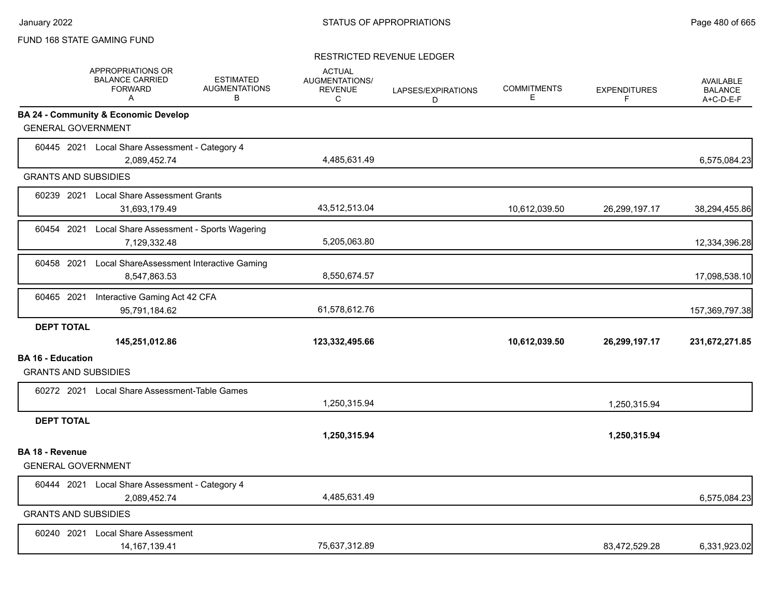### RESTRICTED REVENUE LEDGER

|                                                         | <b>APPROPRIATIONS OR</b><br><b>BALANCE CARRIED</b><br><b>FORWARD</b><br>A | <b>ESTIMATED</b><br><b>AUGMENTATIONS</b><br>В | <b>ACTUAL</b><br>AUGMENTATIONS/<br><b>REVENUE</b><br>C | LAPSES/EXPIRATIONS<br>D | <b>COMMITMENTS</b><br>E. | <b>EXPENDITURES</b><br>F. | <b>AVAILABLE</b><br><b>BALANCE</b><br>A+C-D-E-F |
|---------------------------------------------------------|---------------------------------------------------------------------------|-----------------------------------------------|--------------------------------------------------------|-------------------------|--------------------------|---------------------------|-------------------------------------------------|
| <b>GENERAL GOVERNMENT</b>                               | <b>BA 24 - Community &amp; Economic Develop</b>                           |                                               |                                                        |                         |                          |                           |                                                 |
|                                                         | 60445 2021 Local Share Assessment - Category 4<br>2,089,452.74            |                                               | 4,485,631.49                                           |                         |                          |                           | 6,575,084.23                                    |
| <b>GRANTS AND SUBSIDIES</b>                             |                                                                           |                                               |                                                        |                         |                          |                           |                                                 |
|                                                         | 60239 2021 Local Share Assessment Grants<br>31,693,179.49                 |                                               | 43,512,513.04                                          |                         | 10,612,039.50            | 26,299,197.17             | 38,294,455.86                                   |
|                                                         | 60454 2021 Local Share Assessment - Sports Wagering<br>7,129,332.48       |                                               | 5,205,063.80                                           |                         |                          |                           | 12,334,396.28                                   |
| 60458 2021                                              | Local ShareAssessment Interactive Gaming<br>8,547,863.53                  |                                               | 8,550,674.57                                           |                         |                          |                           | 17,098,538.10                                   |
| 60465 2021                                              | Interactive Gaming Act 42 CFA<br>95,791,184.62                            |                                               | 61,578,612.76                                          |                         |                          |                           | 157,369,797.38                                  |
| <b>DEPT TOTAL</b>                                       | 145,251,012.86                                                            |                                               | 123,332,495.66                                         |                         | 10,612,039.50            | 26,299,197.17             | 231,672,271.85                                  |
| <b>BA 16 - Education</b><br><b>GRANTS AND SUBSIDIES</b> |                                                                           |                                               |                                                        |                         |                          |                           |                                                 |
|                                                         | 60272 2021 Local Share Assessment-Table Games                             |                                               | 1,250,315.94                                           |                         |                          | 1,250,315.94              |                                                 |
| <b>DEPT TOTAL</b>                                       |                                                                           |                                               | 1,250,315.94                                           |                         |                          | 1,250,315.94              |                                                 |
| <b>BA 18 - Revenue</b><br><b>GENERAL GOVERNMENT</b>     |                                                                           |                                               |                                                        |                         |                          |                           |                                                 |
|                                                         | 60444 2021 Local Share Assessment - Category 4<br>2,089,452.74            |                                               | 4,485,631.49                                           |                         |                          |                           | 6,575,084.23                                    |
| <b>GRANTS AND SUBSIDIES</b>                             |                                                                           |                                               |                                                        |                         |                          |                           |                                                 |
|                                                         | 60240 2021 Local Share Assessment<br>14, 167, 139.41                      |                                               | 75.637.312.89                                          |                         |                          | 83,472,529.28             | 6,331,923.02                                    |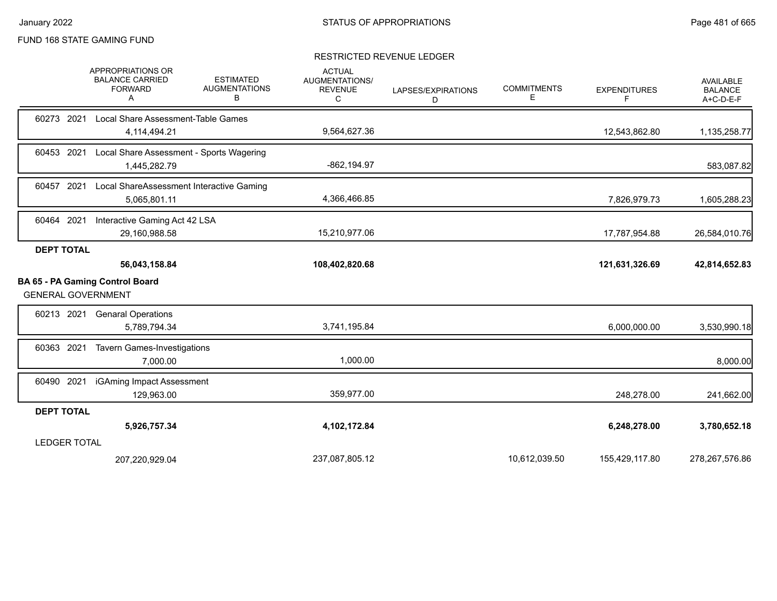### RESTRICTED REVENUE LEDGER

|                           |      | APPROPRIATIONS OR<br><b>BALANCE CARRIED</b><br><b>FORWARD</b><br>A | <b>ESTIMATED</b><br><b>AUGMENTATIONS</b><br>В | <b>ACTUAL</b><br><b>AUGMENTATIONS/</b><br><b>REVENUE</b><br>С | LAPSES/EXPIRATIONS<br>D | <b>COMMITMENTS</b><br>Е | <b>EXPENDITURES</b><br>F | <b>AVAILABLE</b><br><b>BALANCE</b><br>A+C-D-E-F |
|---------------------------|------|--------------------------------------------------------------------|-----------------------------------------------|---------------------------------------------------------------|-------------------------|-------------------------|--------------------------|-------------------------------------------------|
| 60273 2021                |      | Local Share Assessment-Table Games<br>4,114,494.21                 |                                               | 9,564,627.36                                                  |                         |                         | 12,543,862.80            | 1,135,258.77                                    |
| 60453 2021                |      | Local Share Assessment - Sports Wagering<br>1,445,282.79           |                                               | $-862, 194.97$                                                |                         |                         |                          | 583,087.82                                      |
| 60457                     | 2021 | Local ShareAssessment Interactive Gaming<br>5,065,801.11           |                                               | 4,366,466.85                                                  |                         |                         | 7,826,979.73             | 1,605,288.23                                    |
| 60464 2021                |      | Interactive Gaming Act 42 LSA<br>29,160,988.58                     |                                               | 15,210,977.06                                                 |                         |                         | 17,787,954.88            | 26,584,010.76                                   |
| <b>DEPT TOTAL</b>         |      |                                                                    |                                               |                                                               |                         |                         |                          |                                                 |
|                           |      | 56,043,158.84                                                      |                                               | 108,402,820.68                                                |                         |                         | 121,631,326.69           | 42,814,652.83                                   |
| <b>GENERAL GOVERNMENT</b> |      | BA 65 - PA Gaming Control Board                                    |                                               |                                                               |                         |                         |                          |                                                 |
| 60213 2021                |      | <b>Genaral Operations</b><br>5,789,794.34                          |                                               | 3,741,195.84                                                  |                         |                         | 6,000,000.00             | 3,530,990.18                                    |
| 60363 2021                |      | <b>Tavern Games-Investigations</b><br>7,000.00                     |                                               | 1,000.00                                                      |                         |                         |                          | 8,000.00                                        |
| 60490 2021                |      | iGAming Impact Assessment<br>129,963.00                            |                                               | 359,977.00                                                    |                         |                         | 248,278.00               | 241,662.00                                      |
| <b>DEPT TOTAL</b>         |      |                                                                    |                                               |                                                               |                         |                         |                          |                                                 |
|                           |      | 5,926,757.34                                                       |                                               | 4,102,172.84                                                  |                         |                         | 6,248,278.00             | 3,780,652.18                                    |
| <b>LEDGER TOTAL</b>       |      |                                                                    |                                               |                                                               |                         |                         |                          |                                                 |
|                           |      | 207,220,929.04                                                     |                                               | 237,087,805.12                                                |                         | 10,612,039.50           | 155,429,117.80           | 278,267,576.86                                  |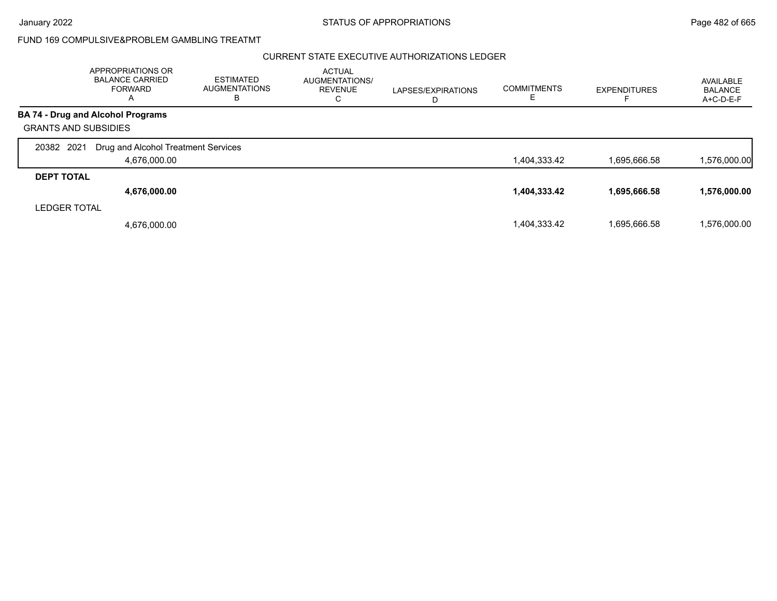## CURRENT STATE EXECUTIVE AUTHORIZATIONS LEDGER

|                             | APPROPRIATIONS OR<br><b>BALANCE CARRIED</b><br><b>FORWARD</b><br>A | <b>ESTIMATED</b><br><b>AUGMENTATIONS</b><br>ь | <b>ACTUAL</b><br>AUGMENTATIONS/<br><b>REVENUE</b><br>С | LAPSES/EXPIRATIONS<br>D | <b>COMMITMENTS</b><br>E | <b>EXPENDITURES</b> | AVAILABLE<br><b>BALANCE</b><br>A+C-D-E-F |
|-----------------------------|--------------------------------------------------------------------|-----------------------------------------------|--------------------------------------------------------|-------------------------|-------------------------|---------------------|------------------------------------------|
|                             | <b>BA 74 - Drug and Alcohol Programs</b>                           |                                               |                                                        |                         |                         |                     |                                          |
| <b>GRANTS AND SUBSIDIES</b> |                                                                    |                                               |                                                        |                         |                         |                     |                                          |
| 2021<br>20382               | Drug and Alcohol Treatment Services                                |                                               |                                                        |                         |                         |                     |                                          |
|                             | 4,676,000.00                                                       |                                               |                                                        |                         | 1,404,333.42            | 1,695,666.58        | 1,576,000.00                             |
| <b>DEPT TOTAL</b>           |                                                                    |                                               |                                                        |                         |                         |                     |                                          |
|                             | 4,676,000.00                                                       |                                               |                                                        |                         | 1,404,333.42            | 1,695,666.58        | 1,576,000.00                             |
| <b>LEDGER TOTAL</b>         |                                                                    |                                               |                                                        |                         |                         |                     |                                          |
|                             | 4,676,000.00                                                       |                                               |                                                        |                         | 1.404.333.42            | 1.695.666.58        | 1.576.000.00                             |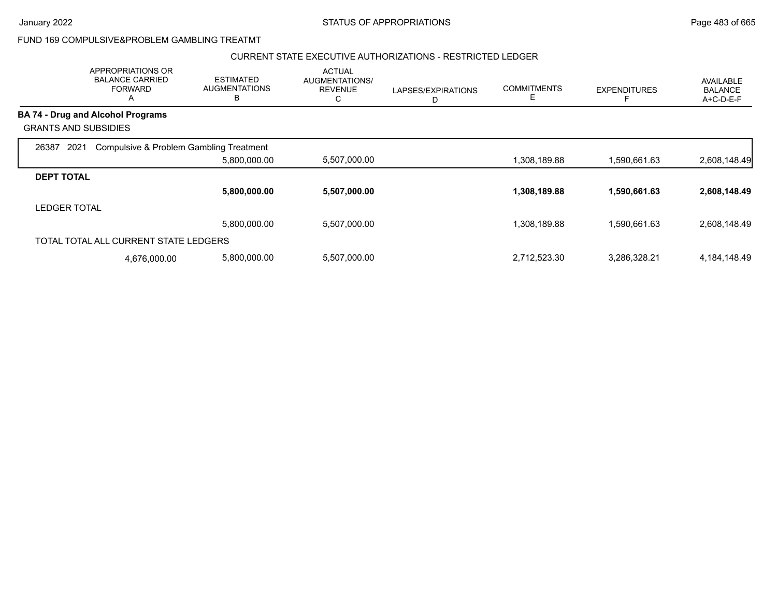## CURRENT STATE EXECUTIVE AUTHORIZATIONS - RESTRICTED LEDGER

|                                       | APPROPRIATIONS OR<br><b>BALANCE CARRIED</b><br><b>FORWARD</b><br>A | <b>ESTIMATED</b><br><b>AUGMENTATIONS</b><br>В | <b>ACTUAL</b><br>AUGMENTATIONS/<br><b>REVENUE</b><br>U | LAPSES/EXPIRATIONS<br>D | <b>COMMITMENTS</b><br>Е | <b>EXPENDITURES</b> | <b>AVAILABLE</b><br><b>BALANCE</b><br>A+C-D-E-F |
|---------------------------------------|--------------------------------------------------------------------|-----------------------------------------------|--------------------------------------------------------|-------------------------|-------------------------|---------------------|-------------------------------------------------|
| BA 74 - Drug and Alcohol Programs     |                                                                    |                                               |                                                        |                         |                         |                     |                                                 |
| <b>GRANTS AND SUBSIDIES</b>           |                                                                    |                                               |                                                        |                         |                         |                     |                                                 |
| 2021<br>26387                         |                                                                    | Compulsive & Problem Gambling Treatment       |                                                        |                         |                         |                     |                                                 |
|                                       |                                                                    | 5,800,000.00                                  | 5,507,000.00                                           |                         | 1,308,189.88            | 1,590,661.63        | 2,608,148.49                                    |
| <b>DEPT TOTAL</b>                     |                                                                    |                                               |                                                        |                         |                         |                     |                                                 |
|                                       |                                                                    | 5,800,000.00                                  | 5,507,000.00                                           |                         | 1,308,189.88            | 1,590,661.63        | 2,608,148.49                                    |
| <b>LEDGER TOTAL</b>                   |                                                                    |                                               |                                                        |                         |                         |                     |                                                 |
|                                       |                                                                    | 5,800,000.00                                  | 5,507,000.00                                           |                         | 1,308,189.88            | 1,590,661.63        | 2,608,148.49                                    |
| TOTAL TOTAL ALL CURRENT STATE LEDGERS |                                                                    |                                               |                                                        |                         |                         |                     |                                                 |
|                                       | 4,676,000.00                                                       | 5,800,000.00                                  | 5,507,000.00                                           |                         | 2,712,523.30            | 3,286,328.21        | 4,184,148.49                                    |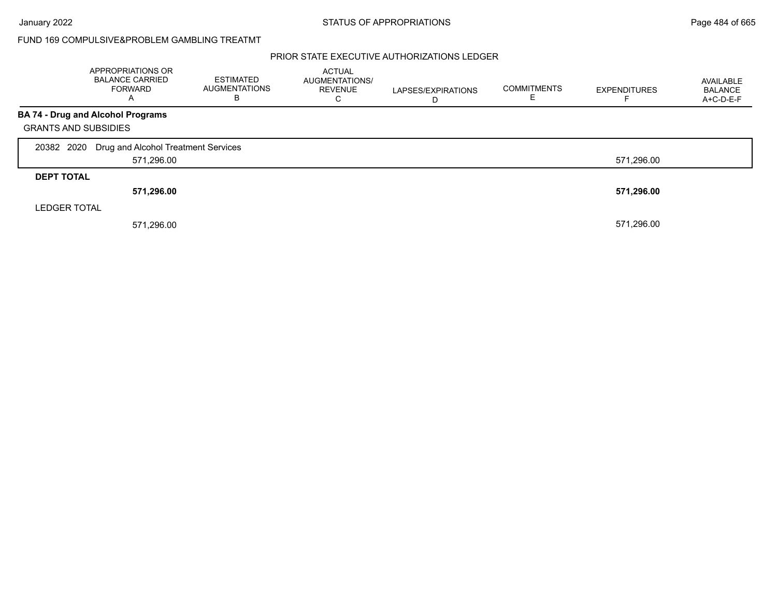## PRIOR STATE EXECUTIVE AUTHORIZATIONS LEDGER

|                             | APPROPRIATIONS OR<br><b>BALANCE CARRIED</b><br><b>FORWARD</b><br>A | <b>ESTIMATED</b><br><b>AUGMENTATIONS</b><br>В | <b>ACTUAL</b><br><b>AUGMENTATIONS/</b><br><b>REVENUE</b><br>С | LAPSES/EXPIRATIONS<br>D | <b>COMMITMENTS</b> | <b>EXPENDITURES</b> | AVAILABLE<br><b>BALANCE</b><br>A+C-D-E-F |
|-----------------------------|--------------------------------------------------------------------|-----------------------------------------------|---------------------------------------------------------------|-------------------------|--------------------|---------------------|------------------------------------------|
|                             | <b>BA 74 - Drug and Alcohol Programs</b>                           |                                               |                                                               |                         |                    |                     |                                          |
| <b>GRANTS AND SUBSIDIES</b> |                                                                    |                                               |                                                               |                         |                    |                     |                                          |
| 20382 2020                  | Drug and Alcohol Treatment Services                                |                                               |                                                               |                         |                    |                     |                                          |
|                             | 571,296.00                                                         |                                               |                                                               |                         |                    | 571,296.00          |                                          |
| <b>DEPT TOTAL</b>           |                                                                    |                                               |                                                               |                         |                    |                     |                                          |
|                             | 571,296.00                                                         |                                               |                                                               |                         |                    | 571,296.00          |                                          |
| <b>LEDGER TOTAL</b>         |                                                                    |                                               |                                                               |                         |                    |                     |                                          |
|                             | 571,296.00                                                         |                                               |                                                               |                         |                    | 571,296.00          |                                          |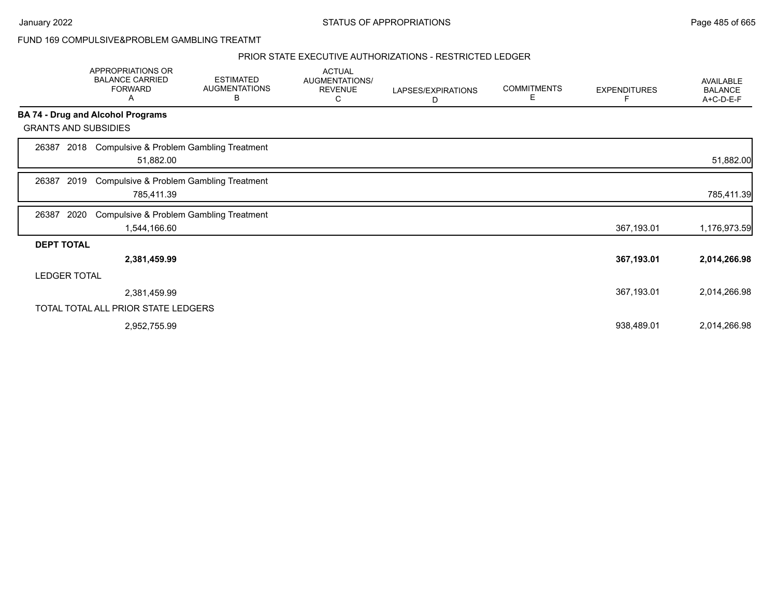### PRIOR STATE EXECUTIVE AUTHORIZATIONS - RESTRICTED LEDGER

|                             | APPROPRIATIONS OR<br><b>BALANCE CARRIED</b><br><b>FORWARD</b><br>Α | <b>ESTIMATED</b><br><b>AUGMENTATIONS</b><br>В | <b>ACTUAL</b><br>AUGMENTATIONS/<br><b>REVENUE</b><br>C | LAPSES/EXPIRATIONS<br>D | <b>COMMITMENTS</b><br>Е | <b>EXPENDITURES</b><br>F | AVAILABLE<br><b>BALANCE</b><br>A+C-D-E-F |
|-----------------------------|--------------------------------------------------------------------|-----------------------------------------------|--------------------------------------------------------|-------------------------|-------------------------|--------------------------|------------------------------------------|
|                             | <b>BA 74 - Drug and Alcohol Programs</b>                           |                                               |                                                        |                         |                         |                          |                                          |
| <b>GRANTS AND SUBSIDIES</b> |                                                                    |                                               |                                                        |                         |                         |                          |                                          |
| 26387<br>2018               | Compulsive & Problem Gambling Treatment<br>51,882.00               |                                               |                                                        |                         |                         |                          | 51,882.00                                |
| 2019<br>26387               | <b>Compulsive &amp; Problem Gambling Treatment</b><br>785,411.39   |                                               |                                                        |                         |                         |                          | 785,411.39                               |
| 26387<br>2020               | Compulsive & Problem Gambling Treatment<br>1,544,166.60            |                                               |                                                        |                         |                         | 367,193.01               | 1,176,973.59                             |
| <b>DEPT TOTAL</b>           |                                                                    |                                               |                                                        |                         |                         |                          |                                          |
|                             | 2,381,459.99                                                       |                                               |                                                        |                         |                         | 367,193.01               | 2,014,266.98                             |
| <b>LEDGER TOTAL</b>         |                                                                    |                                               |                                                        |                         |                         |                          |                                          |
|                             | 2,381,459.99                                                       |                                               |                                                        |                         |                         | 367,193.01               | 2,014,266.98                             |
|                             | TOTAL TOTAL ALL PRIOR STATE LEDGERS                                |                                               |                                                        |                         |                         |                          |                                          |
|                             | 2,952,755.99                                                       |                                               |                                                        |                         |                         | 938,489.01               | 2,014,266.98                             |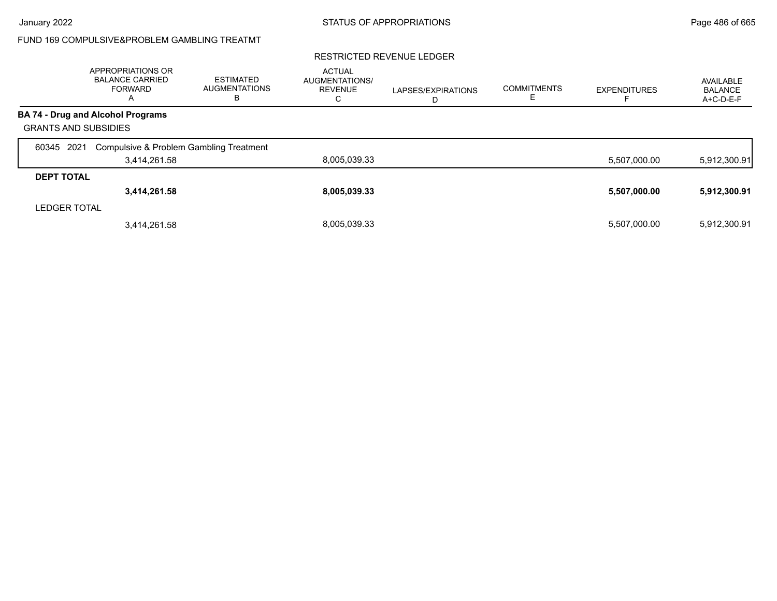## RESTRICTED REVENUE LEDGER

|                             | APPROPRIATIONS OR<br><b>BALANCE CARRIED</b><br><b>FORWARD</b><br>$\overline{a}$ | ESTIMATED<br><b>AUGMENTATIONS</b><br>В | <b>ACTUAL</b><br>AUGMENTATIONS/<br><b>REVENUE</b><br>С | LAPSES/EXPIRATIONS<br>D | <b>COMMITMENTS</b> | <b>EXPENDITURES</b> | AVAILABLE<br><b>BALANCE</b><br>A+C-D-E-F |
|-----------------------------|---------------------------------------------------------------------------------|----------------------------------------|--------------------------------------------------------|-------------------------|--------------------|---------------------|------------------------------------------|
|                             | <b>BA 74 - Drug and Alcohol Programs</b>                                        |                                        |                                                        |                         |                    |                     |                                          |
| <b>GRANTS AND SUBSIDIES</b> |                                                                                 |                                        |                                                        |                         |                    |                     |                                          |
| 2021<br>60345               | Compulsive & Problem Gambling Treatment                                         |                                        |                                                        |                         |                    |                     |                                          |
|                             | 3,414,261.58                                                                    |                                        | 8,005,039.33                                           |                         |                    | 5,507,000.00        | 5,912,300.91                             |
| <b>DEPT TOTAL</b>           |                                                                                 |                                        |                                                        |                         |                    |                     |                                          |
|                             | 3,414,261.58                                                                    |                                        | 8,005,039.33                                           |                         |                    | 5,507,000.00        | 5,912,300.91                             |
| <b>LEDGER TOTAL</b>         |                                                                                 |                                        |                                                        |                         |                    |                     |                                          |
|                             | 3,414,261.58                                                                    |                                        | 8.005.039.33                                           |                         |                    | 5,507,000.00        | 5,912,300.91                             |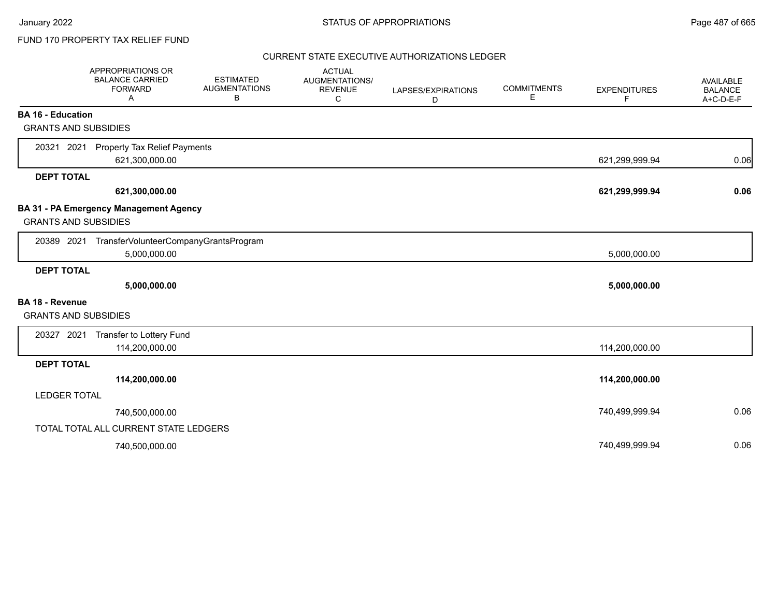# FUND 170 PROPERTY TAX RELIEF FUND

## CURRENT STATE EXECUTIVE AUTHORIZATIONS LEDGER

|                             | <b>APPROPRIATIONS OR</b><br><b>BALANCE CARRIED</b><br><b>FORWARD</b><br>A | <b>ESTIMATED</b><br><b>AUGMENTATIONS</b><br>В | <b>ACTUAL</b><br>AUGMENTATIONS/<br><b>REVENUE</b><br>C | LAPSES/EXPIRATIONS<br>D | <b>COMMITMENTS</b><br>Е | <b>EXPENDITURES</b><br>F | <b>AVAILABLE</b><br><b>BALANCE</b><br>A+C-D-E-F |
|-----------------------------|---------------------------------------------------------------------------|-----------------------------------------------|--------------------------------------------------------|-------------------------|-------------------------|--------------------------|-------------------------------------------------|
| <b>BA 16 - Education</b>    |                                                                           |                                               |                                                        |                         |                         |                          |                                                 |
| <b>GRANTS AND SUBSIDIES</b> |                                                                           |                                               |                                                        |                         |                         |                          |                                                 |
| 20321 2021                  | Property Tax Relief Payments<br>621,300,000.00                            |                                               |                                                        |                         |                         | 621,299,999.94           | 0.06                                            |
| <b>DEPT TOTAL</b>           |                                                                           |                                               |                                                        |                         |                         |                          |                                                 |
|                             | 621,300,000.00                                                            |                                               |                                                        |                         |                         | 621,299,999.94           | 0.06                                            |
| <b>GRANTS AND SUBSIDIES</b> | BA 31 - PA Emergency Management Agency                                    |                                               |                                                        |                         |                         |                          |                                                 |
| 20389 2021                  | TransferVolunteerCompanyGrantsProgram<br>5,000,000.00                     |                                               |                                                        |                         |                         | 5,000,000.00             |                                                 |
| <b>DEPT TOTAL</b>           |                                                                           |                                               |                                                        |                         |                         |                          |                                                 |
|                             | 5,000,000.00                                                              |                                               |                                                        |                         |                         | 5,000,000.00             |                                                 |
| <b>BA 18 - Revenue</b>      |                                                                           |                                               |                                                        |                         |                         |                          |                                                 |
| <b>GRANTS AND SUBSIDIES</b> |                                                                           |                                               |                                                        |                         |                         |                          |                                                 |
|                             | 20327 2021 Transfer to Lottery Fund                                       |                                               |                                                        |                         |                         |                          |                                                 |
|                             | 114,200,000.00                                                            |                                               |                                                        |                         |                         | 114,200,000.00           |                                                 |
| <b>DEPT TOTAL</b>           |                                                                           |                                               |                                                        |                         |                         |                          |                                                 |
|                             | 114,200,000.00                                                            |                                               |                                                        |                         |                         | 114,200,000.00           |                                                 |
| <b>LEDGER TOTAL</b>         |                                                                           |                                               |                                                        |                         |                         |                          |                                                 |
|                             | 740,500,000.00                                                            |                                               |                                                        |                         |                         | 740,499,999.94           | 0.06                                            |
|                             | TOTAL TOTAL ALL CURRENT STATE LEDGERS                                     |                                               |                                                        |                         |                         |                          |                                                 |
|                             | 740,500,000.00                                                            |                                               |                                                        |                         |                         | 740,499,999.94           | 0.06                                            |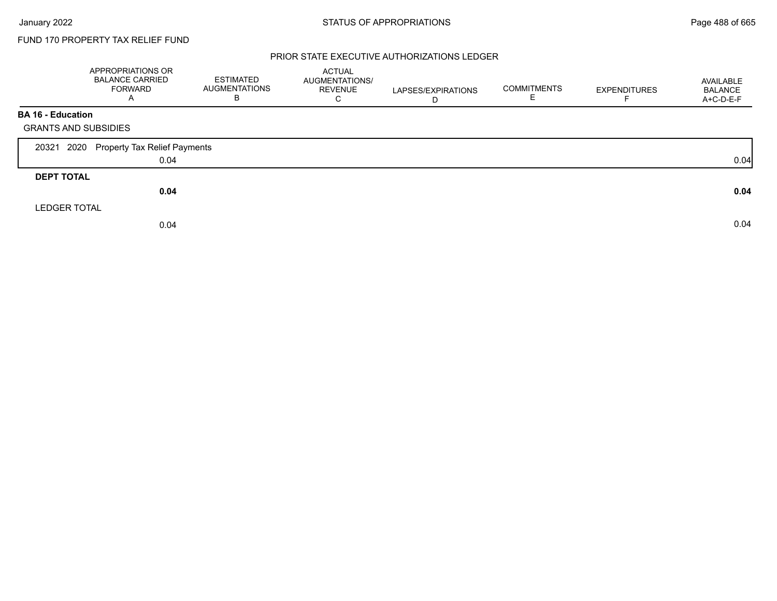# FUND 170 PROPERTY TAX RELIEF FUND

## PRIOR STATE EXECUTIVE AUTHORIZATIONS LEDGER

|                             | <b>APPROPRIATIONS OR</b><br><b>BALANCE CARRIED</b><br><b>FORWARD</b><br>A | <b>ESTIMATED</b><br><b>AUGMENTATIONS</b><br>в | ACTUAL<br>AUGMENTATIONS/<br><b>REVENUE</b><br>C | LAPSES/EXPIRATIONS | <b>COMMITMENTS</b><br>ᄇ | <b>EXPENDITURES</b> | AVAILABLE<br><b>BALANCE</b><br>A+C-D-E-F |
|-----------------------------|---------------------------------------------------------------------------|-----------------------------------------------|-------------------------------------------------|--------------------|-------------------------|---------------------|------------------------------------------|
| <b>BA 16 - Education</b>    |                                                                           |                                               |                                                 |                    |                         |                     |                                          |
| <b>GRANTS AND SUBSIDIES</b> |                                                                           |                                               |                                                 |                    |                         |                     |                                          |
| 2020<br>20321               | Property Tax Relief Payments                                              |                                               |                                                 |                    |                         |                     |                                          |
|                             | 0.04                                                                      |                                               |                                                 |                    |                         |                     | 0.04                                     |
| <b>DEPT TOTAL</b>           |                                                                           |                                               |                                                 |                    |                         |                     |                                          |
|                             | 0.04                                                                      |                                               |                                                 |                    |                         |                     | 0.04                                     |
| <b>LEDGER TOTAL</b>         |                                                                           |                                               |                                                 |                    |                         |                     |                                          |
|                             | 0.04                                                                      |                                               |                                                 |                    |                         |                     | 0.04                                     |
|                             |                                                                           |                                               |                                                 |                    |                         |                     |                                          |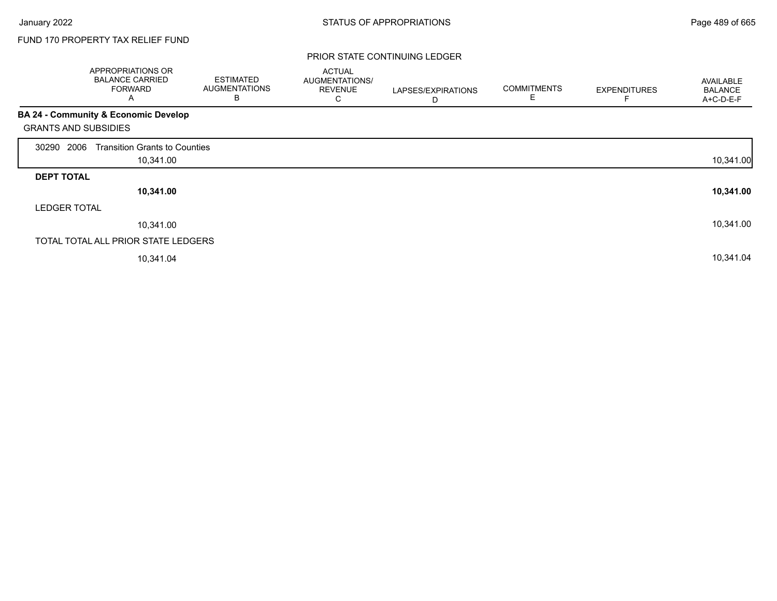# FUND 170 PROPERTY TAX RELIEF FUND

### PRIOR STATE CONTINUING LEDGER

|                             | <b>APPROPRIATIONS OR</b><br><b>BALANCE CARRIED</b><br><b>FORWARD</b><br>A | <b>ESTIMATED</b><br><b>AUGMENTATIONS</b><br>В | <b>ACTUAL</b><br>AUGMENTATIONS/<br><b>REVENUE</b><br>С | LAPSES/EXPIRATIONS<br>D | <b>COMMITMENTS</b><br>E | <b>EXPENDITURES</b> | AVAILABLE<br><b>BALANCE</b><br>A+C-D-E-F |
|-----------------------------|---------------------------------------------------------------------------|-----------------------------------------------|--------------------------------------------------------|-------------------------|-------------------------|---------------------|------------------------------------------|
|                             | BA 24 - Community & Economic Develop                                      |                                               |                                                        |                         |                         |                     |                                          |
| <b>GRANTS AND SUBSIDIES</b> |                                                                           |                                               |                                                        |                         |                         |                     |                                          |
| 2006<br>30290               | <b>Transition Grants to Counties</b>                                      |                                               |                                                        |                         |                         |                     |                                          |
|                             | 10,341.00                                                                 |                                               |                                                        |                         |                         |                     | 10,341.00                                |
| <b>DEPT TOTAL</b>           |                                                                           |                                               |                                                        |                         |                         |                     |                                          |
|                             | 10,341.00                                                                 |                                               |                                                        |                         |                         |                     | 10,341.00                                |
| <b>LEDGER TOTAL</b>         |                                                                           |                                               |                                                        |                         |                         |                     |                                          |
|                             | 10,341.00                                                                 |                                               |                                                        |                         |                         |                     | 10,341.00                                |
|                             | TOTAL TOTAL ALL PRIOR STATE LEDGERS                                       |                                               |                                                        |                         |                         |                     |                                          |
|                             | 10,341.04                                                                 |                                               |                                                        |                         |                         |                     | 10,341.04                                |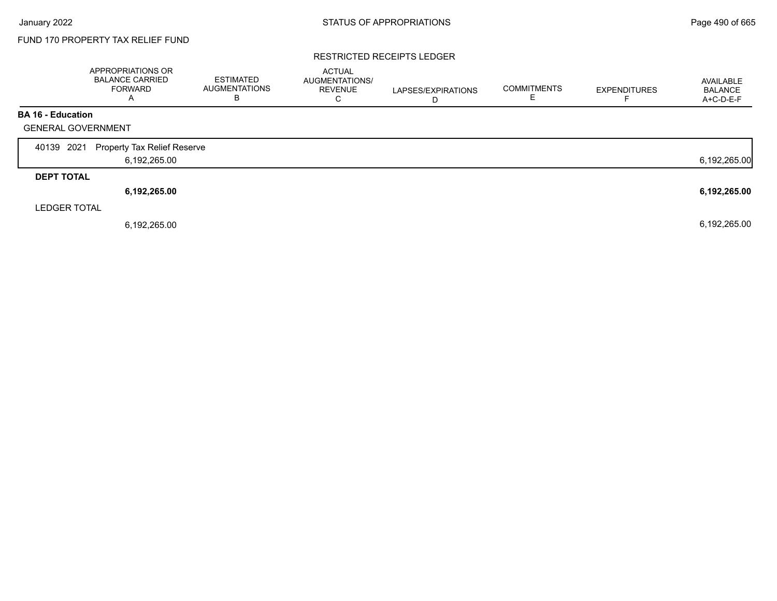Г

# FUND 170 PROPERTY TAX RELIEF FUND

### RESTRICTED RECEIPTS LEDGER

|                           | APPROPRIATIONS OR<br><b>BALANCE CARRIED</b><br><b>FORWARD</b><br>А | <b>ESTIMATED</b><br><b>AUGMENTATIONS</b><br>B | <b>ACTUAL</b><br>AUGMENTATIONS/<br><b>REVENUE</b><br>C | LAPSES/EXPIRATIONS<br>D | <b>COMMITMENTS</b> | <b>EXPENDITURES</b> | AVAILABLE<br><b>BALANCE</b><br>A+C-D-E-F |
|---------------------------|--------------------------------------------------------------------|-----------------------------------------------|--------------------------------------------------------|-------------------------|--------------------|---------------------|------------------------------------------|
| <b>BA 16 - Education</b>  |                                                                    |                                               |                                                        |                         |                    |                     |                                          |
| <b>GENERAL GOVERNMENT</b> |                                                                    |                                               |                                                        |                         |                    |                     |                                          |
| 2021<br>40139             | <b>Property Tax Relief Reserve</b>                                 |                                               |                                                        |                         |                    |                     |                                          |
|                           | 6,192,265.00                                                       |                                               |                                                        |                         |                    |                     | 6,192,265.00                             |
| <b>DEPT TOTAL</b>         |                                                                    |                                               |                                                        |                         |                    |                     |                                          |
|                           | 6,192,265.00                                                       |                                               |                                                        |                         |                    |                     | 6,192,265.00                             |
| <b>LEDGER TOTAL</b>       |                                                                    |                                               |                                                        |                         |                    |                     |                                          |
|                           | 6,192,265.00                                                       |                                               |                                                        |                         |                    |                     | 6,192,265.00                             |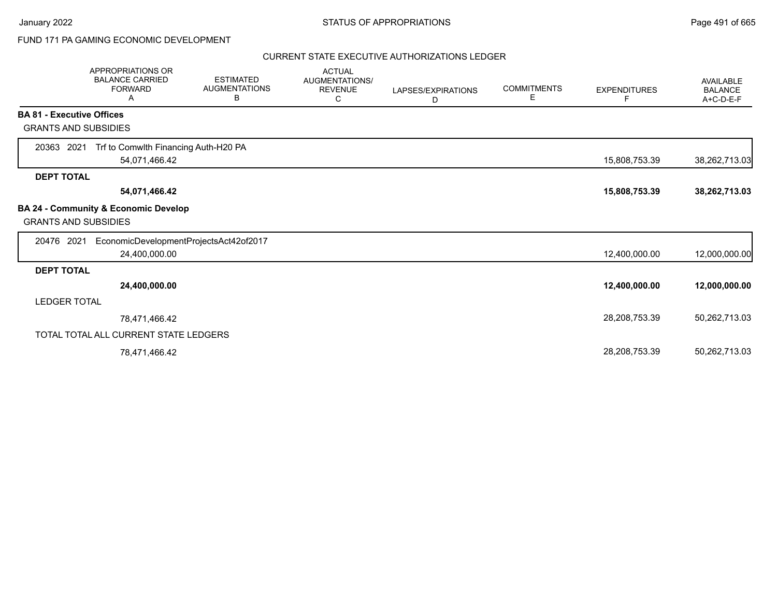January 2022 **STATUS OF APPROPRIATIONS** STATUS OF APPROPRIATIONS

# FUND 171 PA GAMING ECONOMIC DEVELOPMENT

### CURRENT STATE EXECUTIVE AUTHORIZATIONS LEDGER

|                                  | <b>APPROPRIATIONS OR</b><br><b>BALANCE CARRIED</b><br><b>FORWARD</b><br>А | <b>ESTIMATED</b><br><b>AUGMENTATIONS</b><br>В | <b>ACTUAL</b><br>AUGMENTATIONS/<br><b>REVENUE</b><br>С | LAPSES/EXPIRATIONS<br>D | <b>COMMITMENTS</b><br>Е | <b>EXPENDITURES</b><br>F. | <b>AVAILABLE</b><br><b>BALANCE</b><br>A+C-D-E-F |
|----------------------------------|---------------------------------------------------------------------------|-----------------------------------------------|--------------------------------------------------------|-------------------------|-------------------------|---------------------------|-------------------------------------------------|
| <b>BA 81 - Executive Offices</b> |                                                                           |                                               |                                                        |                         |                         |                           |                                                 |
| <b>GRANTS AND SUBSIDIES</b>      |                                                                           |                                               |                                                        |                         |                         |                           |                                                 |
| 2021<br>20363                    | Trf to Comwlth Financing Auth-H20 PA                                      |                                               |                                                        |                         |                         |                           |                                                 |
|                                  | 54,071,466.42                                                             |                                               |                                                        |                         |                         | 15,808,753.39             | 38,262,713.03                                   |
| <b>DEPT TOTAL</b>                |                                                                           |                                               |                                                        |                         |                         |                           |                                                 |
|                                  | 54,071,466.42                                                             |                                               |                                                        |                         |                         | 15,808,753.39             | 38,262,713.03                                   |
| <b>GRANTS AND SUBSIDIES</b>      | BA 24 - Community & Economic Develop                                      |                                               |                                                        |                         |                         |                           |                                                 |
| 20476 2021                       | EconomicDevelopmentProjectsAct42of2017                                    |                                               |                                                        |                         |                         |                           |                                                 |
|                                  | 24,400,000.00                                                             |                                               |                                                        |                         |                         | 12,400,000.00             | 12,000,000.00                                   |
| <b>DEPT TOTAL</b>                |                                                                           |                                               |                                                        |                         |                         |                           |                                                 |
|                                  | 24,400,000.00                                                             |                                               |                                                        |                         |                         | 12,400,000.00             | 12,000,000.00                                   |
| <b>LEDGER TOTAL</b>              |                                                                           |                                               |                                                        |                         |                         |                           |                                                 |
|                                  | 78,471,466.42                                                             |                                               |                                                        |                         |                         | 28,208,753.39             | 50,262,713.03                                   |
|                                  | TOTAL TOTAL ALL CURRENT STATE LEDGERS                                     |                                               |                                                        |                         |                         |                           |                                                 |
|                                  | 78,471,466.42                                                             |                                               |                                                        |                         |                         | 28,208,753.39             | 50,262,713.03                                   |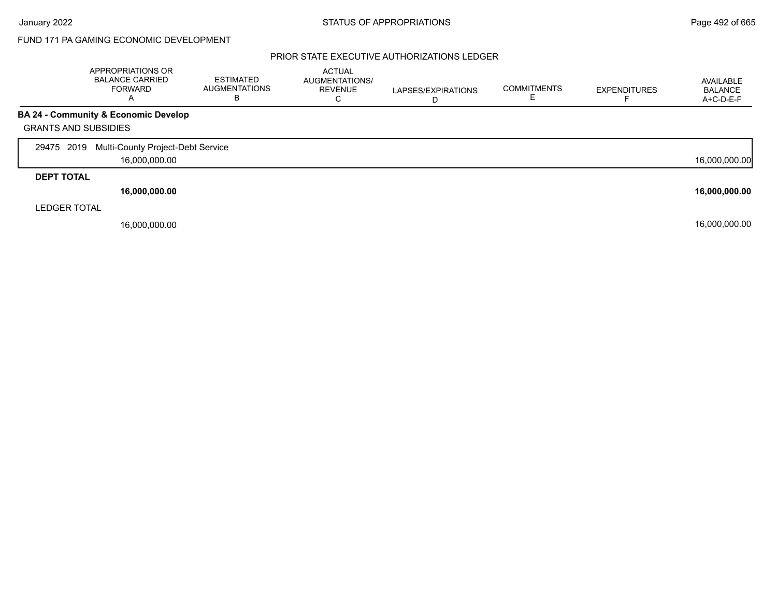# FUND 171 PA GAMING ECONOMIC DEVELOPMENT

## PRIOR STATE EXECUTIVE AUTHORIZATIONS LEDGER

|                             | APPROPRIATIONS OR<br><b>BALANCE CARRIED</b><br><b>FORWARD</b><br>A | <b>ESTIMATED</b><br><b>AUGMENTATIONS</b><br>В | <b>ACTUAL</b><br>AUGMENTATIONS/<br><b>REVENUE</b><br>С | LAPSES/EXPIRATIONS<br>D | <b>COMMITMENTS</b> | <b>EXPENDITURES</b> | AVAILABLE<br><b>BALANCE</b><br>A+C-D-E-F |
|-----------------------------|--------------------------------------------------------------------|-----------------------------------------------|--------------------------------------------------------|-------------------------|--------------------|---------------------|------------------------------------------|
|                             | <b>BA 24 - Community &amp; Economic Develop</b>                    |                                               |                                                        |                         |                    |                     |                                          |
| <b>GRANTS AND SUBSIDIES</b> |                                                                    |                                               |                                                        |                         |                    |                     |                                          |
| 29475 2019                  | Multi-County Project-Debt Service                                  |                                               |                                                        |                         |                    |                     |                                          |
|                             | 16,000,000.00                                                      |                                               |                                                        |                         |                    |                     | 16,000,000.00                            |
| <b>DEPT TOTAL</b>           |                                                                    |                                               |                                                        |                         |                    |                     |                                          |
|                             | 16,000,000.00                                                      |                                               |                                                        |                         |                    |                     | 16,000,000.00                            |
| <b>LEDGER TOTAL</b>         |                                                                    |                                               |                                                        |                         |                    |                     |                                          |
|                             | 16,000,000.00                                                      |                                               |                                                        |                         |                    |                     | 16,000,000.00                            |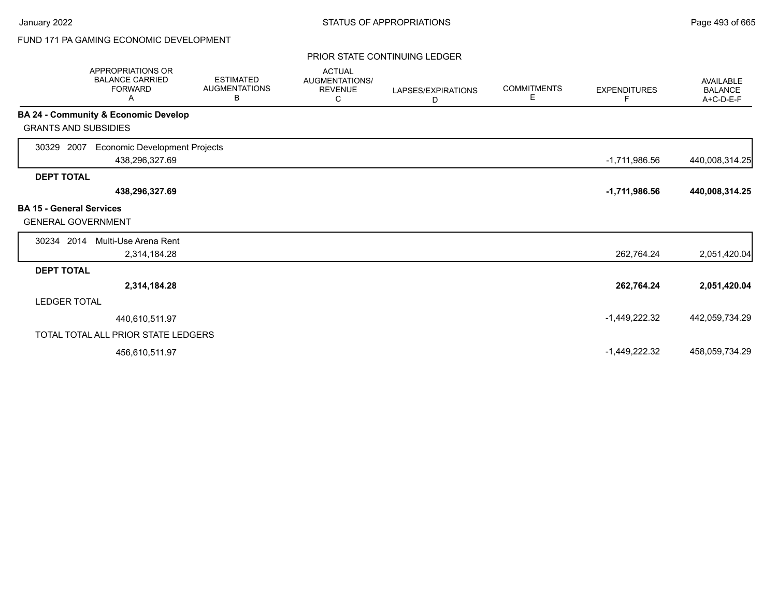# FUND 171 PA GAMING ECONOMIC DEVELOPMENT

### PRIOR STATE CONTINUING LEDGER

|                                                              | <b>APPROPRIATIONS OR</b><br><b>BALANCE CARRIED</b><br><b>FORWARD</b><br>Α | <b>ESTIMATED</b><br><b>AUGMENTATIONS</b><br>В | <b>ACTUAL</b><br>AUGMENTATIONS/<br><b>REVENUE</b><br>С | LAPSES/EXPIRATIONS<br>D | <b>COMMITMENTS</b><br>Е | <b>EXPENDITURES</b><br>F | <b>AVAILABLE</b><br><b>BALANCE</b><br>A+C-D-E-F |
|--------------------------------------------------------------|---------------------------------------------------------------------------|-----------------------------------------------|--------------------------------------------------------|-------------------------|-------------------------|--------------------------|-------------------------------------------------|
|                                                              | BA 24 - Community & Economic Develop                                      |                                               |                                                        |                         |                         |                          |                                                 |
| <b>GRANTS AND SUBSIDIES</b>                                  |                                                                           |                                               |                                                        |                         |                         |                          |                                                 |
| 2007<br>30329                                                | <b>Economic Development Projects</b><br>438,296,327.69                    |                                               |                                                        |                         |                         | $-1,711,986.56$          | 440,008,314.25                                  |
| <b>DEPT TOTAL</b>                                            |                                                                           |                                               |                                                        |                         |                         |                          |                                                 |
|                                                              | 438,296,327.69                                                            |                                               |                                                        |                         |                         | $-1,711,986.56$          | 440,008,314.25                                  |
| <b>BA 15 - General Services</b><br><b>GENERAL GOVERNMENT</b> |                                                                           |                                               |                                                        |                         |                         |                          |                                                 |
| 30234 2014                                                   | Multi-Use Arena Rent                                                      |                                               |                                                        |                         |                         |                          |                                                 |
|                                                              | 2,314,184.28                                                              |                                               |                                                        |                         |                         | 262,764.24               | 2,051,420.04                                    |
| <b>DEPT TOTAL</b>                                            |                                                                           |                                               |                                                        |                         |                         |                          |                                                 |
|                                                              | 2,314,184.28                                                              |                                               |                                                        |                         |                         | 262,764.24               | 2,051,420.04                                    |
| <b>LEDGER TOTAL</b>                                          |                                                                           |                                               |                                                        |                         |                         |                          |                                                 |
|                                                              | 440,610,511.97                                                            |                                               |                                                        |                         |                         | $-1,449,222.32$          | 442,059,734.29                                  |
|                                                              | TOTAL TOTAL ALL PRIOR STATE LEDGERS                                       |                                               |                                                        |                         |                         |                          |                                                 |
|                                                              | 456,610,511.97                                                            |                                               |                                                        |                         |                         | $-1,449,222.32$          | 458,059,734.29                                  |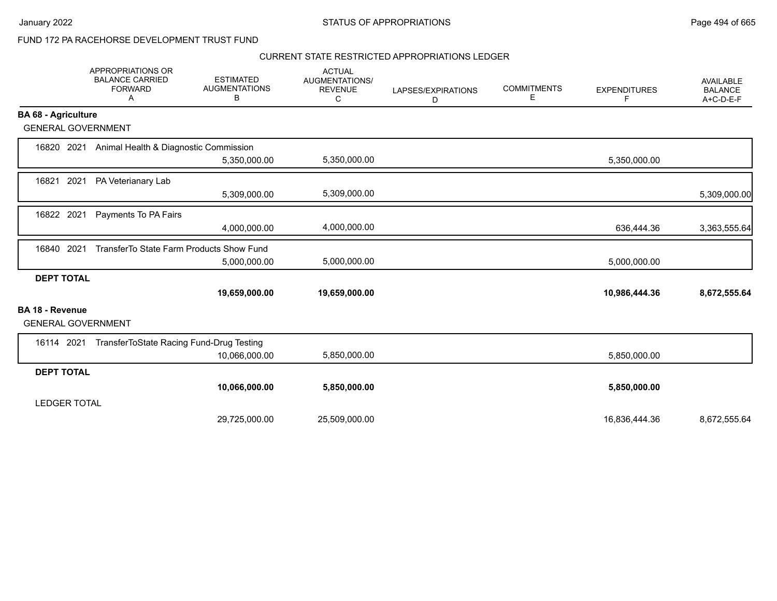January 2022 **STATUS OF APPROPRIATIONS** STATUS OF APPROPRIATIONS

# FUND 172 PA RACEHORSE DEVELOPMENT TRUST FUND

## CURRENT STATE RESTRICTED APPROPRIATIONS LEDGER

|                            | APPROPRIATIONS OR<br><b>BALANCE CARRIED</b><br><b>FORWARD</b><br>Α | <b>ESTIMATED</b><br><b>AUGMENTATIONS</b><br>В | <b>ACTUAL</b><br>AUGMENTATIONS/<br><b>REVENUE</b><br>C | LAPSES/EXPIRATIONS<br>D | <b>COMMITMENTS</b><br>Е | <b>EXPENDITURES</b><br>F | <b>AVAILABLE</b><br><b>BALANCE</b><br>A+C-D-E-F |
|----------------------------|--------------------------------------------------------------------|-----------------------------------------------|--------------------------------------------------------|-------------------------|-------------------------|--------------------------|-------------------------------------------------|
| <b>BA 68 - Agriculture</b> |                                                                    |                                               |                                                        |                         |                         |                          |                                                 |
|                            | <b>GENERAL GOVERNMENT</b>                                          |                                               |                                                        |                         |                         |                          |                                                 |
| 16820 2021                 | Animal Health & Diagnostic Commission                              |                                               |                                                        |                         |                         |                          |                                                 |
|                            |                                                                    | 5,350,000.00                                  | 5,350,000.00                                           |                         |                         | 5,350,000.00             |                                                 |
| 16821                      | 2021<br>PA Veterianary Lab                                         |                                               |                                                        |                         |                         |                          |                                                 |
|                            |                                                                    | 5,309,000.00                                  | 5,309,000.00                                           |                         |                         |                          | 5,309,000.00                                    |
| 16822 2021                 | Payments To PA Fairs                                               |                                               |                                                        |                         |                         |                          |                                                 |
|                            |                                                                    | 4,000,000.00                                  | 4,000,000.00                                           |                         |                         | 636,444.36               | 3,363,555.64                                    |
| 16840                      | 2021<br>TransferTo State Farm Products Show Fund                   |                                               |                                                        |                         |                         |                          |                                                 |
|                            |                                                                    | 5,000,000.00                                  | 5,000,000.00                                           |                         |                         | 5,000,000.00             |                                                 |
| <b>DEPT TOTAL</b>          |                                                                    |                                               |                                                        |                         |                         |                          |                                                 |
|                            |                                                                    | 19,659,000.00                                 | 19,659,000.00                                          |                         |                         | 10,986,444.36            | 8,672,555.64                                    |
| BA 18 - Revenue            | <b>GENERAL GOVERNMENT</b>                                          |                                               |                                                        |                         |                         |                          |                                                 |
| 16114 2021                 | TransferToState Racing Fund-Drug Testing                           |                                               |                                                        |                         |                         |                          |                                                 |
|                            |                                                                    | 10,066,000.00                                 | 5,850,000.00                                           |                         |                         | 5,850,000.00             |                                                 |
| <b>DEPT TOTAL</b>          |                                                                    |                                               |                                                        |                         |                         |                          |                                                 |
|                            |                                                                    | 10,066,000.00                                 | 5,850,000.00                                           |                         |                         | 5,850,000.00             |                                                 |
| <b>LEDGER TOTAL</b>        |                                                                    |                                               |                                                        |                         |                         |                          |                                                 |
|                            |                                                                    | 29,725,000.00                                 | 25,509,000.00                                          |                         |                         | 16,836,444.36            | 8,672,555.64                                    |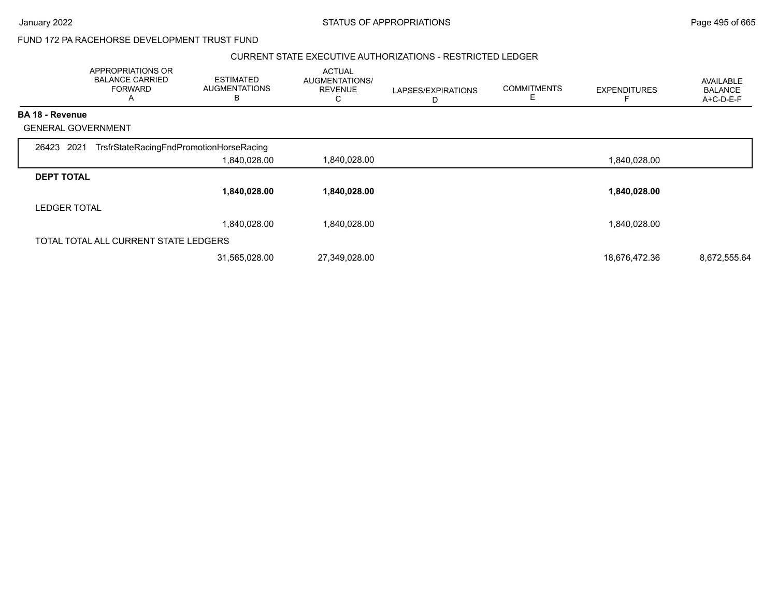### January 2022 **STATUS OF APPROPRIATIONS** STATUS OF APPROPRIATIONS

# FUND 172 PA RACEHORSE DEVELOPMENT TRUST FUND

## CURRENT STATE EXECUTIVE AUTHORIZATIONS - RESTRICTED LEDGER

|                           | APPROPRIATIONS OR<br><b>BALANCE CARRIED</b><br><b>FORWARD</b><br>A | <b>ESTIMATED</b><br><b>AUGMENTATIONS</b><br>В | <b>ACTUAL</b><br>AUGMENTATIONS/<br><b>REVENUE</b><br>C | LAPSES/EXPIRATIONS<br>D | <b>COMMITMENTS</b><br>E. | <b>EXPENDITURES</b> | <b>AVAILABLE</b><br><b>BALANCE</b><br>A+C-D-E-F |
|---------------------------|--------------------------------------------------------------------|-----------------------------------------------|--------------------------------------------------------|-------------------------|--------------------------|---------------------|-------------------------------------------------|
| <b>BA 18 - Revenue</b>    |                                                                    |                                               |                                                        |                         |                          |                     |                                                 |
| <b>GENERAL GOVERNMENT</b> |                                                                    |                                               |                                                        |                         |                          |                     |                                                 |
| 26423 2021                | TrsfrStateRacingFndPromotionHorseRacing                            |                                               |                                                        |                         |                          |                     |                                                 |
|                           |                                                                    | 1,840,028.00                                  | 1,840,028.00                                           |                         |                          | 1,840,028.00        |                                                 |
| <b>DEPT TOTAL</b>         |                                                                    |                                               |                                                        |                         |                          |                     |                                                 |
|                           |                                                                    | 1,840,028.00                                  | 1,840,028.00                                           |                         |                          | 1,840,028.00        |                                                 |
| <b>LEDGER TOTAL</b>       |                                                                    |                                               |                                                        |                         |                          |                     |                                                 |
|                           |                                                                    | 1,840,028.00                                  | 1,840,028.00                                           |                         |                          | 1,840,028.00        |                                                 |
|                           | TOTAL TOTAL ALL CURRENT STATE LEDGERS                              |                                               |                                                        |                         |                          |                     |                                                 |
|                           |                                                                    | 31,565,028.00                                 | 27,349,028.00                                          |                         |                          | 18,676,472.36       | 8,672,555.64                                    |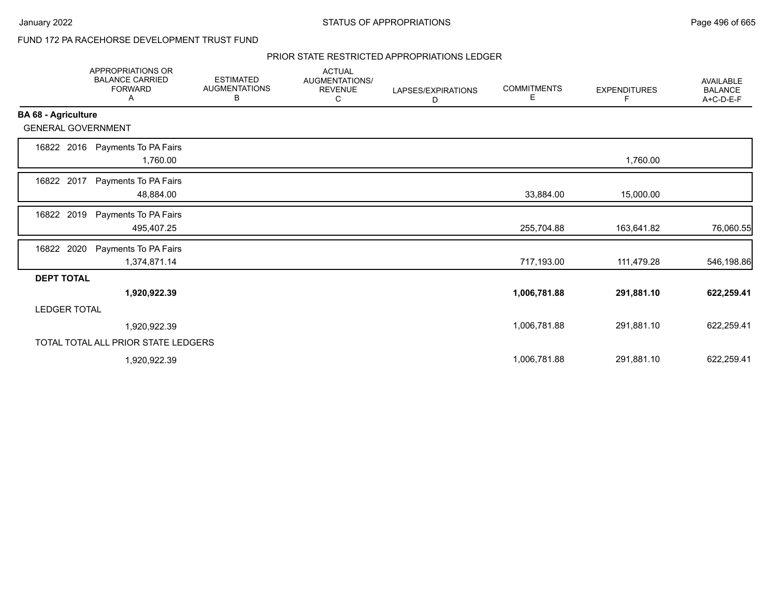# FUND 172 PA RACEHORSE DEVELOPMENT TRUST FUND

### PRIOR STATE RESTRICTED APPROPRIATIONS LEDGER

|                            | <b>APPROPRIATIONS OR</b><br><b>BALANCE CARRIED</b><br><b>FORWARD</b><br>Α | <b>ESTIMATED</b><br><b>AUGMENTATIONS</b><br>В | <b>ACTUAL</b><br><b>AUGMENTATIONS/</b><br><b>REVENUE</b><br>С | LAPSES/EXPIRATIONS<br>D | <b>COMMITMENTS</b><br>Е | <b>EXPENDITURES</b><br>E | AVAILABLE<br><b>BALANCE</b><br>A+C-D-E-F |
|----------------------------|---------------------------------------------------------------------------|-----------------------------------------------|---------------------------------------------------------------|-------------------------|-------------------------|--------------------------|------------------------------------------|
| <b>BA 68 - Agriculture</b> |                                                                           |                                               |                                                               |                         |                         |                          |                                          |
| <b>GENERAL GOVERNMENT</b>  |                                                                           |                                               |                                                               |                         |                         |                          |                                          |
| 16822 2016                 | Payments To PA Fairs<br>1,760.00                                          |                                               |                                                               |                         |                         | 1,760.00                 |                                          |
| 16822 2017                 | Payments To PA Fairs<br>48,884.00                                         |                                               |                                                               |                         | 33,884.00               | 15,000.00                |                                          |
| 2019<br>16822              | Payments To PA Fairs<br>495,407.25                                        |                                               |                                                               |                         | 255,704.88              | 163,641.82               | 76,060.55                                |
| 2020<br>16822              | Payments To PA Fairs<br>1,374,871.14                                      |                                               |                                                               |                         | 717,193.00              | 111,479.28               | 546,198.86                               |
| <b>DEPT TOTAL</b>          |                                                                           |                                               |                                                               |                         |                         |                          |                                          |
|                            | 1,920,922.39                                                              |                                               |                                                               |                         | 1,006,781.88            | 291,881.10               | 622,259.41                               |
| <b>LEDGER TOTAL</b>        |                                                                           |                                               |                                                               |                         |                         |                          |                                          |
|                            | 1,920,922.39                                                              |                                               |                                                               |                         | 1,006,781.88            | 291,881.10               | 622,259.41                               |
|                            | TOTAL TOTAL ALL PRIOR STATE LEDGERS                                       |                                               |                                                               |                         |                         |                          |                                          |
|                            | 1,920,922.39                                                              |                                               |                                                               |                         | 1,006,781.88            | 291,881.10               | 622,259.41                               |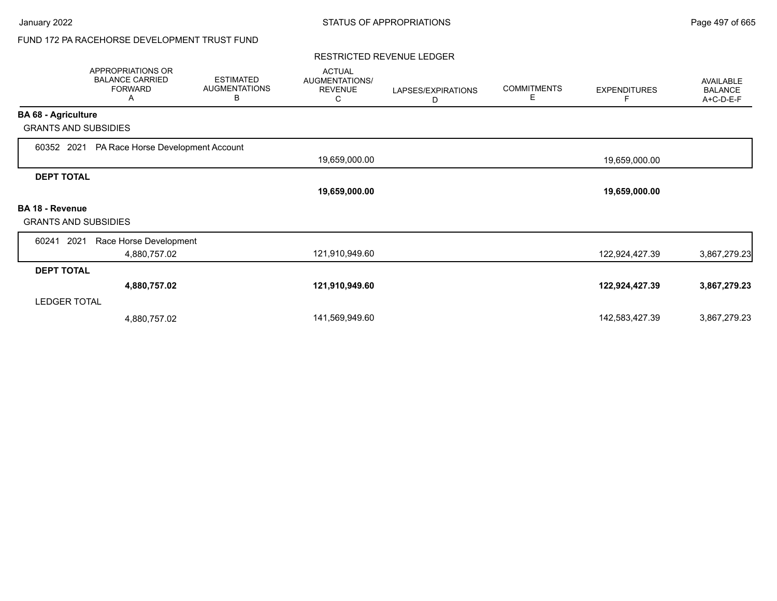# FUND 172 PA RACEHORSE DEVELOPMENT TRUST FUND

#### RESTRICTED REVENUE LEDGER

|                             | APPROPRIATIONS OR<br><b>BALANCE CARRIED</b><br><b>FORWARD</b><br>A | <b>ESTIMATED</b><br><b>AUGMENTATIONS</b><br>B | <b>ACTUAL</b><br>AUGMENTATIONS/<br><b>REVENUE</b><br>С | LAPSES/EXPIRATIONS<br>D | <b>COMMITMENTS</b><br>E. | <b>EXPENDITURES</b> | AVAILABLE<br><b>BALANCE</b><br>A+C-D-E-F |
|-----------------------------|--------------------------------------------------------------------|-----------------------------------------------|--------------------------------------------------------|-------------------------|--------------------------|---------------------|------------------------------------------|
| <b>BA 68 - Agriculture</b>  |                                                                    |                                               |                                                        |                         |                          |                     |                                          |
| <b>GRANTS AND SUBSIDIES</b> |                                                                    |                                               |                                                        |                         |                          |                     |                                          |
| 60352 2021                  | PA Race Horse Development Account                                  |                                               |                                                        |                         |                          |                     |                                          |
|                             |                                                                    |                                               | 19,659,000.00                                          |                         |                          | 19,659,000.00       |                                          |
| <b>DEPT TOTAL</b>           |                                                                    |                                               |                                                        |                         |                          |                     |                                          |
|                             |                                                                    |                                               | 19,659,000.00                                          |                         |                          | 19,659,000.00       |                                          |
| <b>BA 18 - Revenue</b>      |                                                                    |                                               |                                                        |                         |                          |                     |                                          |
| <b>GRANTS AND SUBSIDIES</b> |                                                                    |                                               |                                                        |                         |                          |                     |                                          |
| 60241<br>2021               | Race Horse Development                                             |                                               |                                                        |                         |                          |                     |                                          |
|                             | 4,880,757.02                                                       |                                               | 121,910,949.60                                         |                         |                          | 122,924,427.39      | 3,867,279.23                             |
| <b>DEPT TOTAL</b>           |                                                                    |                                               |                                                        |                         |                          |                     |                                          |
|                             | 4,880,757.02                                                       |                                               | 121,910,949.60                                         |                         |                          | 122,924,427.39      | 3,867,279.23                             |
| <b>LEDGER TOTAL</b>         |                                                                    |                                               |                                                        |                         |                          |                     |                                          |
|                             | 4,880,757.02                                                       |                                               | 141,569,949.60                                         |                         |                          | 142,583,427.39      | 3,867,279.23                             |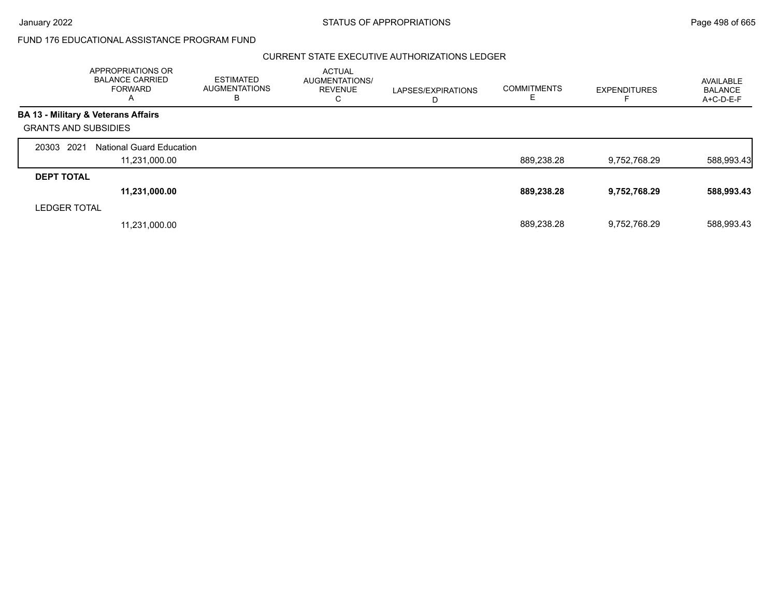## CURRENT STATE EXECUTIVE AUTHORIZATIONS LEDGER

|                             | APPROPRIATIONS OR<br><b>BALANCE CARRIED</b><br>FORWARD<br>A | <b>ESTIMATED</b><br><b>AUGMENTATIONS</b><br>в | <b>ACTUAL</b><br>AUGMENTATIONS/<br><b>REVENUE</b><br>C | LAPSES/EXPIRATIONS<br>D | <b>COMMITMENTS</b><br>E | <b>EXPENDITURES</b> | AVAILABLE<br><b>BALANCE</b><br>$A+C-D-E-F$ |
|-----------------------------|-------------------------------------------------------------|-----------------------------------------------|--------------------------------------------------------|-------------------------|-------------------------|---------------------|--------------------------------------------|
|                             | <b>BA 13 - Military &amp; Veterans Affairs</b>              |                                               |                                                        |                         |                         |                     |                                            |
| <b>GRANTS AND SUBSIDIES</b> |                                                             |                                               |                                                        |                         |                         |                     |                                            |
| 2021<br>20303               | <b>National Guard Education</b>                             |                                               |                                                        |                         |                         |                     |                                            |
|                             | 11,231,000.00                                               |                                               |                                                        |                         | 889,238.28              | 9,752,768.29        | 588,993.43                                 |
| <b>DEPT TOTAL</b>           |                                                             |                                               |                                                        |                         |                         |                     |                                            |
|                             | 11,231,000.00                                               |                                               |                                                        |                         | 889,238.28              | 9,752,768.29        | 588,993.43                                 |
| <b>LEDGER TOTAL</b>         |                                                             |                                               |                                                        |                         |                         |                     |                                            |
|                             | 11,231,000.00                                               |                                               |                                                        |                         | 889.238.28              | 9.752.768.29        | 588,993.43                                 |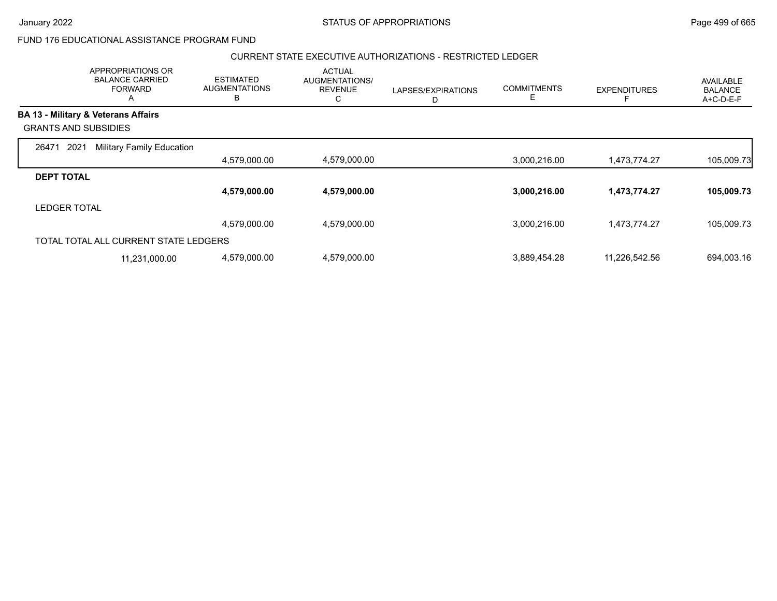## CURRENT STATE EXECUTIVE AUTHORIZATIONS - RESTRICTED LEDGER

|                             | APPROPRIATIONS OR<br><b>BALANCE CARRIED</b><br><b>FORWARD</b><br>A | <b>ESTIMATED</b><br><b>AUGMENTATIONS</b><br>B | <b>ACTUAL</b><br>AUGMENTATIONS/<br><b>REVENUE</b><br>С | LAPSES/EXPIRATIONS<br>D | <b>COMMITMENTS</b><br>E | <b>EXPENDITURES</b> | <b>AVAILABLE</b><br><b>BALANCE</b><br>A+C-D-E-F |
|-----------------------------|--------------------------------------------------------------------|-----------------------------------------------|--------------------------------------------------------|-------------------------|-------------------------|---------------------|-------------------------------------------------|
|                             | <b>BA 13 - Military &amp; Veterans Affairs</b>                     |                                               |                                                        |                         |                         |                     |                                                 |
| <b>GRANTS AND SUBSIDIES</b> |                                                                    |                                               |                                                        |                         |                         |                     |                                                 |
| 2021<br>26471               | <b>Military Family Education</b>                                   |                                               |                                                        |                         |                         |                     |                                                 |
|                             |                                                                    | 4,579,000.00                                  | 4,579,000.00                                           |                         | 3,000,216.00            | 1,473,774.27        | 105,009.73                                      |
| <b>DEPT TOTAL</b>           |                                                                    |                                               |                                                        |                         |                         |                     |                                                 |
|                             |                                                                    | 4,579,000.00                                  | 4,579,000.00                                           |                         | 3,000,216.00            | 1,473,774.27        | 105,009.73                                      |
| <b>LEDGER TOTAL</b>         |                                                                    |                                               |                                                        |                         |                         |                     |                                                 |
|                             |                                                                    | 4,579,000.00                                  | 4,579,000.00                                           |                         | 3,000,216.00            | 1,473,774.27        | 105,009.73                                      |
|                             | TOTAL TOTAL ALL CURRENT STATE LEDGERS                              |                                               |                                                        |                         |                         |                     |                                                 |
|                             | 11,231,000.00                                                      | 4,579,000.00                                  | 4,579,000.00                                           |                         | 3,889,454.28            | 11,226,542.56       | 694,003.16                                      |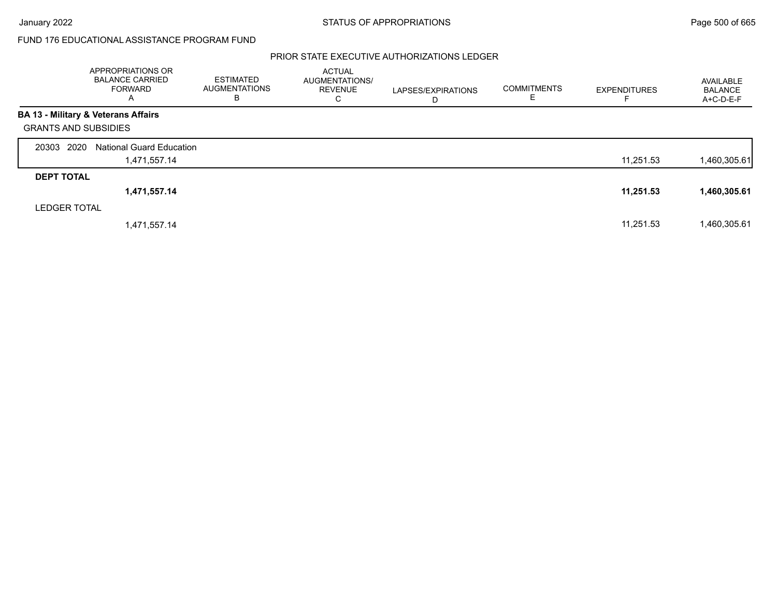## PRIOR STATE EXECUTIVE AUTHORIZATIONS LEDGER

|                             | APPROPRIATIONS OR<br><b>BALANCE CARRIED</b><br><b>FORWARD</b><br>A | <b>ESTIMATED</b><br><b>AUGMENTATIONS</b><br>В | <b>ACTUAL</b><br>AUGMENTATIONS/<br><b>REVENUE</b><br>C | LAPSES/EXPIRATIONS<br>D | <b>COMMITMENTS</b><br>ᄇ | <b>EXPENDITURES</b> | AVAILABLE<br><b>BALANCE</b><br>A+C-D-E-F |
|-----------------------------|--------------------------------------------------------------------|-----------------------------------------------|--------------------------------------------------------|-------------------------|-------------------------|---------------------|------------------------------------------|
|                             | <b>BA 13 - Military &amp; Veterans Affairs</b>                     |                                               |                                                        |                         |                         |                     |                                          |
| <b>GRANTS AND SUBSIDIES</b> |                                                                    |                                               |                                                        |                         |                         |                     |                                          |
| 20303 2020                  | <b>National Guard Education</b>                                    |                                               |                                                        |                         |                         |                     |                                          |
|                             | 1,471,557.14                                                       |                                               |                                                        |                         |                         | 11,251.53           | I,460,305.61                             |
| <b>DEPT TOTAL</b>           |                                                                    |                                               |                                                        |                         |                         |                     |                                          |
|                             | 1,471,557.14                                                       |                                               |                                                        |                         |                         | 11,251.53           | 1,460,305.61                             |
| <b>LEDGER TOTAL</b>         |                                                                    |                                               |                                                        |                         |                         |                     |                                          |
|                             | 1,471,557.14                                                       |                                               |                                                        |                         |                         | 11.251.53           | 1,460,305.61                             |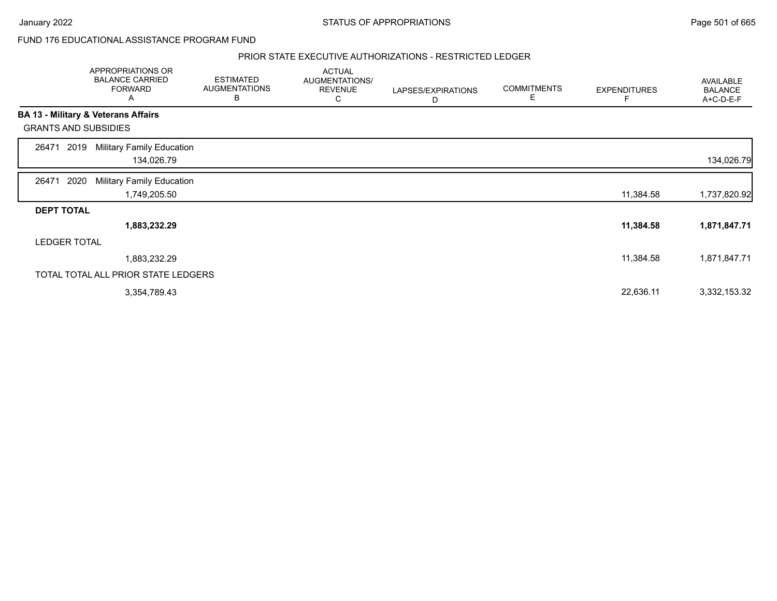### PRIOR STATE EXECUTIVE AUTHORIZATIONS - RESTRICTED LEDGER

|                             |      | APPROPRIATIONS OR<br><b>BALANCE CARRIED</b><br><b>FORWARD</b><br>A | <b>ESTIMATED</b><br><b>AUGMENTATIONS</b><br>В | <b>ACTUAL</b><br>AUGMENTATIONS/<br><b>REVENUE</b><br>С | LAPSES/EXPIRATIONS<br>D | <b>COMMITMENTS</b><br>Ε | <b>EXPENDITURES</b> | AVAILABLE<br><b>BALANCE</b><br>A+C-D-E-F |
|-----------------------------|------|--------------------------------------------------------------------|-----------------------------------------------|--------------------------------------------------------|-------------------------|-------------------------|---------------------|------------------------------------------|
|                             |      | BA 13 - Military & Veterans Affairs                                |                                               |                                                        |                         |                         |                     |                                          |
| <b>GRANTS AND SUBSIDIES</b> |      |                                                                    |                                               |                                                        |                         |                         |                     |                                          |
| 26471                       | 2019 | <b>Military Family Education</b>                                   |                                               |                                                        |                         |                         |                     |                                          |
|                             |      | 134,026.79                                                         |                                               |                                                        |                         |                         |                     | 134,026.79                               |
| 26471                       | 2020 | <b>Military Family Education</b>                                   |                                               |                                                        |                         |                         |                     |                                          |
|                             |      | 1,749,205.50                                                       |                                               |                                                        |                         |                         | 11,384.58           | 1,737,820.92                             |
| <b>DEPT TOTAL</b>           |      |                                                                    |                                               |                                                        |                         |                         |                     |                                          |
|                             |      | 1,883,232.29                                                       |                                               |                                                        |                         |                         | 11,384.58           | 1,871,847.71                             |
| <b>LEDGER TOTAL</b>         |      |                                                                    |                                               |                                                        |                         |                         |                     |                                          |
|                             |      | 1,883,232.29                                                       |                                               |                                                        |                         |                         | 11,384.58           | 1,871,847.71                             |
|                             |      | TOTAL TOTAL ALL PRIOR STATE LEDGERS                                |                                               |                                                        |                         |                         |                     |                                          |
|                             |      | 3,354,789.43                                                       |                                               |                                                        |                         |                         | 22,636.11           | 3,332,153.32                             |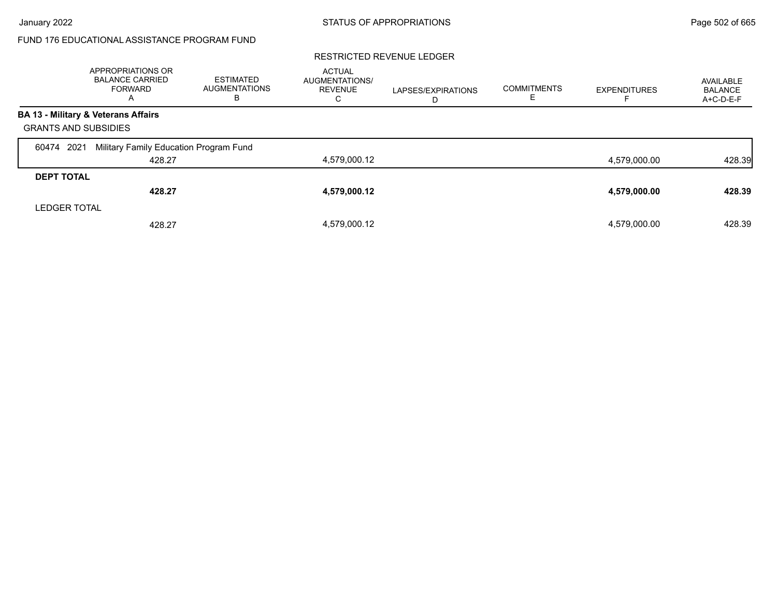### RESTRICTED REVENUE LEDGER

|                             | APPROPRIATIONS OR<br><b>BALANCE CARRIED</b><br>FORWARD<br>$\overline{\mathsf{A}}$ | ESTIMATED<br><b>AUGMENTATIONS</b><br>В | <b>ACTUAL</b><br>AUGMENTATIONS/<br><b>REVENUE</b><br>С | LAPSES/EXPIRATIONS<br>D | <b>COMMITMENTS</b> | <b>EXPENDITURES</b> | AVAILABLE<br><b>BALANCE</b><br>A+C-D-E-F |
|-----------------------------|-----------------------------------------------------------------------------------|----------------------------------------|--------------------------------------------------------|-------------------------|--------------------|---------------------|------------------------------------------|
|                             | BA 13 - Military & Veterans Affairs                                               |                                        |                                                        |                         |                    |                     |                                          |
| <b>GRANTS AND SUBSIDIES</b> |                                                                                   |                                        |                                                        |                         |                    |                     |                                          |
| 2021<br>60474               | Military Family Education Program Fund                                            |                                        |                                                        |                         |                    |                     |                                          |
|                             | 428.27                                                                            |                                        | 4,579,000.12                                           |                         |                    | 4,579,000.00        | 428.39                                   |
| <b>DEPT TOTAL</b>           |                                                                                   |                                        |                                                        |                         |                    |                     |                                          |
|                             | 428.27                                                                            |                                        | 4,579,000.12                                           |                         |                    | 4,579,000.00        | 428.39                                   |
| <b>LEDGER TOTAL</b>         |                                                                                   |                                        |                                                        |                         |                    |                     |                                          |
|                             | 428.27                                                                            |                                        | 4,579,000.12                                           |                         |                    | 4,579,000.00        | 428.39                                   |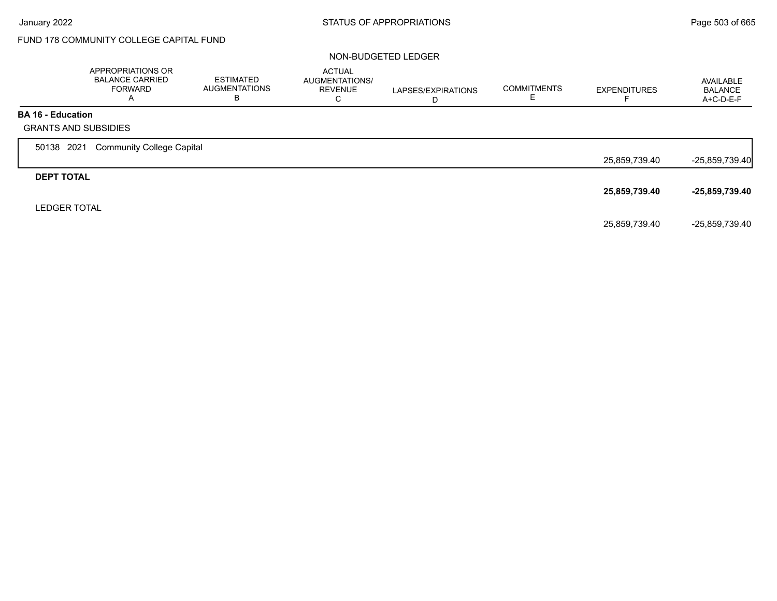# FUND 178 COMMUNITY COLLEGE CAPITAL FUND

### NON-BUDGETED LEDGER

|                          | APPROPRIATIONS OR<br><b>BALANCE CARRIED</b><br><b>FORWARD</b><br>A | <b>ESTIMATED</b><br><b>AUGMENTATIONS</b><br>В | <b>ACTUAL</b><br>AUGMENTATIONS/<br><b>REVENUE</b><br>С | LAPSES/EXPIRATIONS<br>D | <b>COMMITMENTS</b> | <b>EXPENDITURES</b> | AVAILABLE<br><b>BALANCE</b><br>A+C-D-E-F |
|--------------------------|--------------------------------------------------------------------|-----------------------------------------------|--------------------------------------------------------|-------------------------|--------------------|---------------------|------------------------------------------|
| <b>BA 16 - Education</b> |                                                                    |                                               |                                                        |                         |                    |                     |                                          |
|                          | <b>GRANTS AND SUBSIDIES</b>                                        |                                               |                                                        |                         |                    |                     |                                          |
| 50138 2021               | <b>Community College Capital</b>                                   |                                               |                                                        |                         |                    |                     |                                          |
|                          |                                                                    |                                               |                                                        |                         |                    | 25,859,739.40       | $-25,859,739.40$                         |
| <b>DEPT TOTAL</b>        |                                                                    |                                               |                                                        |                         |                    |                     |                                          |
|                          |                                                                    |                                               |                                                        |                         |                    | 25,859,739.40       | $-25,859,739.40$                         |
| <b>LEDGER TOTAL</b>      |                                                                    |                                               |                                                        |                         |                    |                     |                                          |
|                          |                                                                    |                                               |                                                        |                         |                    | 25,859,739.40       | -25,859,739.40                           |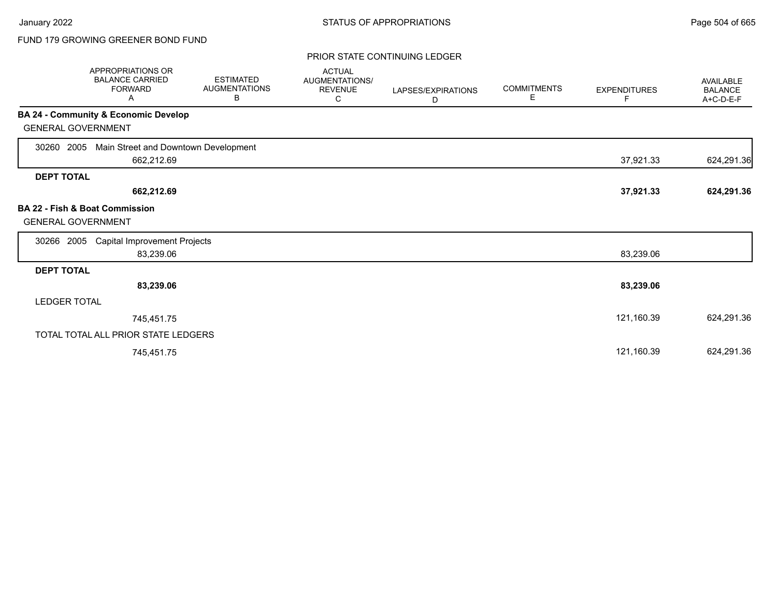# FUND 179 GROWING GREENER BOND FUND

### PRIOR STATE CONTINUING LEDGER

| APPROPRIATIONS OR<br><b>BALANCE CARRIED</b><br><b>FORWARD</b><br>Α     | <b>ESTIMATED</b><br><b>AUGMENTATIONS</b><br>В | <b>ACTUAL</b><br>AUGMENTATIONS/<br><b>REVENUE</b><br>С | LAPSES/EXPIRATIONS<br>D | <b>COMMITMENTS</b><br>Е | <b>EXPENDITURES</b><br>F | <b>AVAILABLE</b><br><b>BALANCE</b><br>A+C-D-E-F |
|------------------------------------------------------------------------|-----------------------------------------------|--------------------------------------------------------|-------------------------|-------------------------|--------------------------|-------------------------------------------------|
| <b>BA 24 - Community &amp; Economic Develop</b>                        |                                               |                                                        |                         |                         |                          |                                                 |
| <b>GENERAL GOVERNMENT</b>                                              |                                               |                                                        |                         |                         |                          |                                                 |
| Main Street and Downtown Development<br>30260<br>2005                  |                                               |                                                        |                         |                         |                          |                                                 |
| 662,212.69                                                             |                                               |                                                        |                         |                         | 37,921.33                | 624,291.36                                      |
| <b>DEPT TOTAL</b>                                                      |                                               |                                                        |                         |                         |                          |                                                 |
| 662,212.69                                                             |                                               |                                                        |                         |                         | 37,921.33                | 624,291.36                                      |
| <b>BA 22 - Fish &amp; Boat Commission</b><br><b>GENERAL GOVERNMENT</b> |                                               |                                                        |                         |                         |                          |                                                 |
| <b>Capital Improvement Projects</b><br>30266<br>2005                   |                                               |                                                        |                         |                         |                          |                                                 |
| 83,239.06                                                              |                                               |                                                        |                         |                         | 83,239.06                |                                                 |
| <b>DEPT TOTAL</b>                                                      |                                               |                                                        |                         |                         |                          |                                                 |
| 83,239.06                                                              |                                               |                                                        |                         |                         | 83,239.06                |                                                 |
| <b>LEDGER TOTAL</b>                                                    |                                               |                                                        |                         |                         |                          |                                                 |
| 745,451.75                                                             |                                               |                                                        |                         |                         | 121,160.39               | 624,291.36                                      |
| TOTAL TOTAL ALL PRIOR STATE LEDGERS                                    |                                               |                                                        |                         |                         |                          |                                                 |
| 745,451.75                                                             |                                               |                                                        |                         |                         | 121,160.39               | 624,291.36                                      |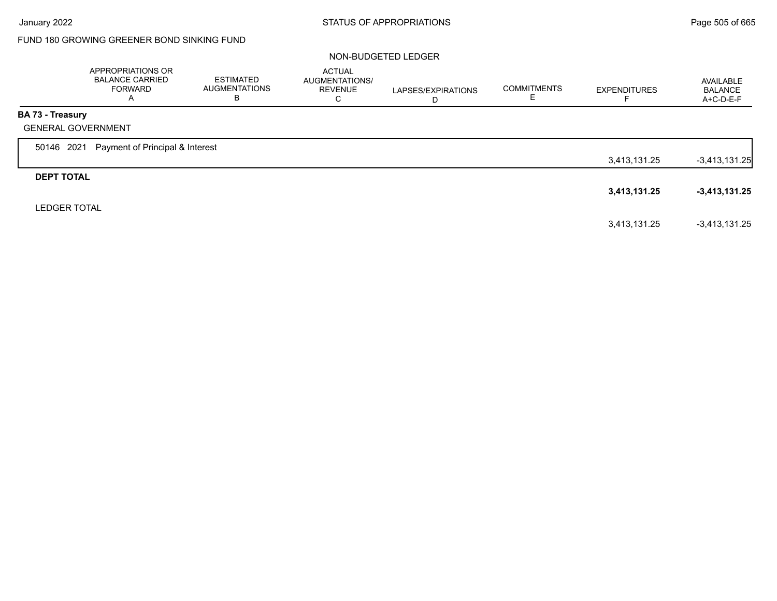# FUND 180 GROWING GREENER BOND SINKING FUND

#### NON-BUDGETED LEDGER

|                         | APPROPRIATIONS OR<br><b>BALANCE CARRIED</b><br><b>FORWARD</b><br>A | <b>ESTIMATED</b><br><b>AUGMENTATIONS</b><br>В | ACTUAL<br>AUGMENTATIONS/<br><b>REVENUE</b><br>C | LAPSES/EXPIRATIONS<br>D | <b>COMMITMENTS</b> | <b>EXPENDITURES</b> | AVAILABLE<br><b>BALANCE</b><br>A+C-D-E-F |
|-------------------------|--------------------------------------------------------------------|-----------------------------------------------|-------------------------------------------------|-------------------------|--------------------|---------------------|------------------------------------------|
| <b>BA 73 - Treasury</b> |                                                                    |                                               |                                                 |                         |                    |                     |                                          |
|                         | <b>GENERAL GOVERNMENT</b>                                          |                                               |                                                 |                         |                    |                     |                                          |
| 50146 2021              | Payment of Principal & Interest                                    |                                               |                                                 |                         |                    |                     |                                          |
|                         |                                                                    |                                               |                                                 |                         |                    | 3,413,131.25        | $-3,413,131.25$                          |
| <b>DEPT TOTAL</b>       |                                                                    |                                               |                                                 |                         |                    |                     |                                          |
|                         |                                                                    |                                               |                                                 |                         |                    | 3,413,131.25        | $-3,413,131.25$                          |
| <b>LEDGER TOTAL</b>     |                                                                    |                                               |                                                 |                         |                    |                     |                                          |
|                         |                                                                    |                                               |                                                 |                         |                    | 3,413,131.25        | $-3,413,131.25$                          |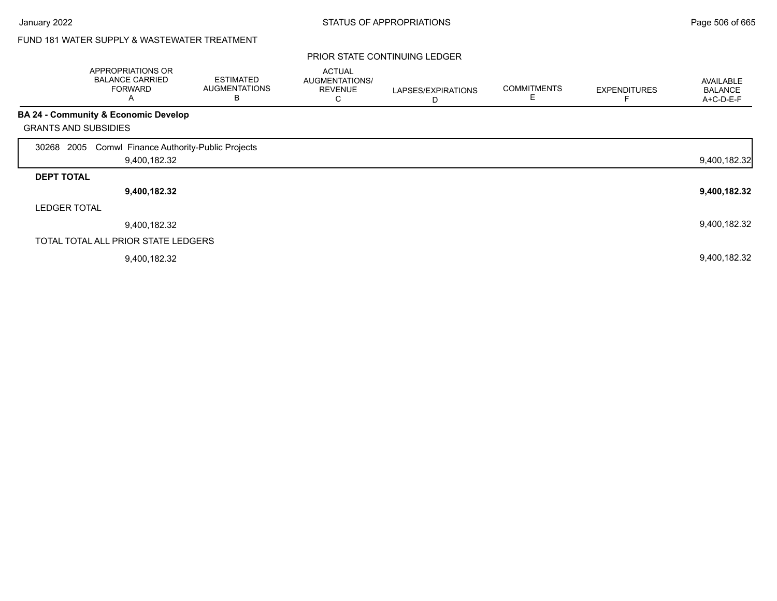# FUND 181 WATER SUPPLY & WASTEWATER TREATMENT

|                     | APPROPRIATIONS OR<br><b>BALANCE CARRIED</b><br><b>FORWARD</b><br>Α | <b>ESTIMATED</b><br><b>AUGMENTATIONS</b><br>B | <b>ACTUAL</b><br>AUGMENTATIONS/<br><b>REVENUE</b><br>С | LAPSES/EXPIRATIONS<br>D | <b>COMMITMENTS</b> | <b>EXPENDITURES</b> | <b>AVAILABLE</b><br><b>BALANCE</b><br>A+C-D-E-F |
|---------------------|--------------------------------------------------------------------|-----------------------------------------------|--------------------------------------------------------|-------------------------|--------------------|---------------------|-------------------------------------------------|
|                     | <b>BA 24 - Community &amp; Economic Develop</b>                    |                                               |                                                        |                         |                    |                     |                                                 |
|                     | <b>GRANTS AND SUBSIDIES</b>                                        |                                               |                                                        |                         |                    |                     |                                                 |
| 30268               | 2005 Comwl Finance Authority-Public Projects                       |                                               |                                                        |                         |                    |                     |                                                 |
|                     | 9,400,182.32                                                       |                                               |                                                        |                         |                    |                     | 9,400,182.32                                    |
| <b>DEPT TOTAL</b>   |                                                                    |                                               |                                                        |                         |                    |                     |                                                 |
|                     | 9,400,182.32                                                       |                                               |                                                        |                         |                    |                     | 9,400,182.32                                    |
| <b>LEDGER TOTAL</b> |                                                                    |                                               |                                                        |                         |                    |                     |                                                 |
|                     | 9,400,182.32                                                       |                                               |                                                        |                         |                    |                     | 9,400,182.32                                    |
|                     | TOTAL TOTAL ALL PRIOR STATE LEDGERS                                |                                               |                                                        |                         |                    |                     |                                                 |
|                     | 9,400,182.32                                                       |                                               |                                                        |                         |                    |                     | 9,400,182.32                                    |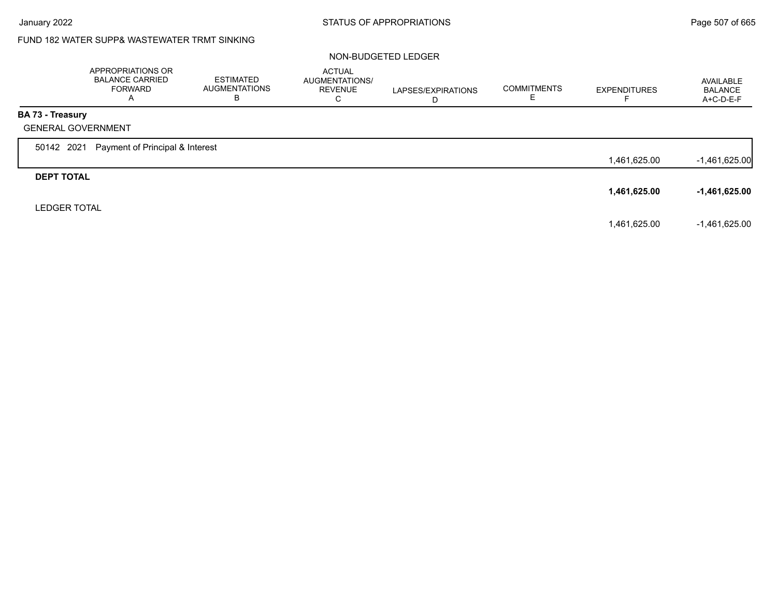# FUND 182 WATER SUPP& WASTEWATER TRMT SINKING

#### NON-BUDGETED LEDGER

|                         | APPROPRIATIONS OR<br><b>BALANCE CARRIED</b><br><b>FORWARD</b><br>A | <b>ESTIMATED</b><br><b>AUGMENTATIONS</b><br>В | <b>ACTUAL</b><br>AUGMENTATIONS/<br><b>REVENUE</b><br>C | LAPSES/EXPIRATIONS<br>D | <b>COMMITMENTS</b><br>ᄇ | <b>EXPENDITURES</b><br>⊢ | AVAILABLE<br><b>BALANCE</b><br>A+C-D-E-F |
|-------------------------|--------------------------------------------------------------------|-----------------------------------------------|--------------------------------------------------------|-------------------------|-------------------------|--------------------------|------------------------------------------|
| <b>BA 73 - Treasury</b> |                                                                    |                                               |                                                        |                         |                         |                          |                                          |
|                         | <b>GENERAL GOVERNMENT</b>                                          |                                               |                                                        |                         |                         |                          |                                          |
| 50142 2021              | Payment of Principal & Interest                                    |                                               |                                                        |                         |                         |                          |                                          |
|                         |                                                                    |                                               |                                                        |                         |                         | 1,461,625.00             | $-1,461,625.00$                          |
| <b>DEPT TOTAL</b>       |                                                                    |                                               |                                                        |                         |                         |                          |                                          |
|                         |                                                                    |                                               |                                                        |                         |                         | 1,461,625.00             | $-1,461,625.00$                          |
| <b>LEDGER TOTAL</b>     |                                                                    |                                               |                                                        |                         |                         |                          |                                          |
|                         |                                                                    |                                               |                                                        |                         |                         | 1,461,625.00             | $-1,461,625.00$                          |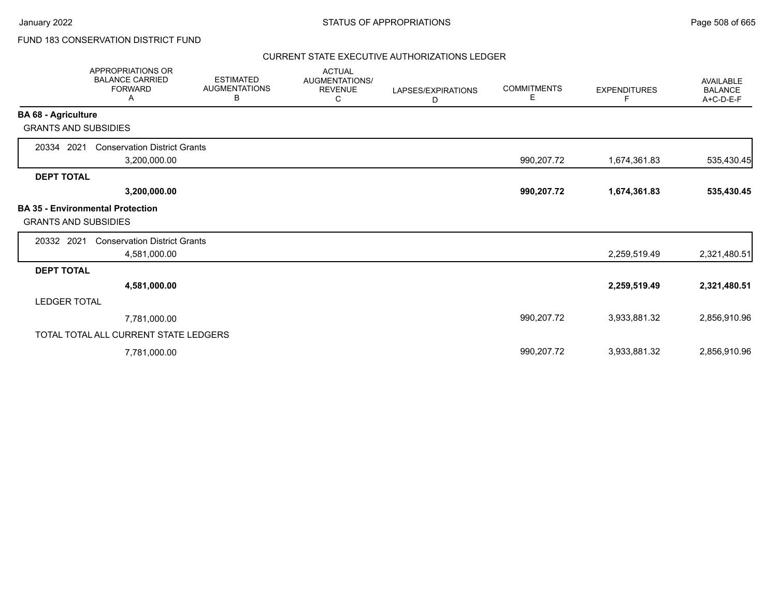# FUND 183 CONSERVATION DISTRICT FUND

### CURRENT STATE EXECUTIVE AUTHORIZATIONS LEDGER

|                             | <b>APPROPRIATIONS OR</b><br><b>BALANCE CARRIED</b><br><b>FORWARD</b><br>Α | <b>ESTIMATED</b><br><b>AUGMENTATIONS</b><br>В | <b>ACTUAL</b><br>AUGMENTATIONS/<br><b>REVENUE</b><br>С | LAPSES/EXPIRATIONS<br>D | <b>COMMITMENTS</b><br>Е | <b>EXPENDITURES</b><br>F | AVAILABLE<br><b>BALANCE</b><br>A+C-D-E-F |
|-----------------------------|---------------------------------------------------------------------------|-----------------------------------------------|--------------------------------------------------------|-------------------------|-------------------------|--------------------------|------------------------------------------|
| <b>BA 68 - Agriculture</b>  |                                                                           |                                               |                                                        |                         |                         |                          |                                          |
| <b>GRANTS AND SUBSIDIES</b> |                                                                           |                                               |                                                        |                         |                         |                          |                                          |
| 20334 2021                  | <b>Conservation District Grants</b>                                       |                                               |                                                        |                         |                         |                          |                                          |
|                             | 3,200,000.00                                                              |                                               |                                                        |                         | 990,207.72              | 1,674,361.83             | 535,430.45                               |
| <b>DEPT TOTAL</b>           |                                                                           |                                               |                                                        |                         |                         |                          |                                          |
|                             | 3,200,000.00                                                              |                                               |                                                        |                         | 990,207.72              | 1,674,361.83             | 535,430.45                               |
| <b>GRANTS AND SUBSIDIES</b> | <b>BA 35 - Environmental Protection</b>                                   |                                               |                                                        |                         |                         |                          |                                          |
| 20332 2021                  | <b>Conservation District Grants</b>                                       |                                               |                                                        |                         |                         |                          |                                          |
|                             | 4,581,000.00                                                              |                                               |                                                        |                         |                         | 2,259,519.49             | 2,321,480.51                             |
| <b>DEPT TOTAL</b>           |                                                                           |                                               |                                                        |                         |                         |                          |                                          |
|                             | 4,581,000.00                                                              |                                               |                                                        |                         |                         | 2,259,519.49             | 2,321,480.51                             |
| <b>LEDGER TOTAL</b>         |                                                                           |                                               |                                                        |                         |                         |                          |                                          |
|                             | 7,781,000.00                                                              |                                               |                                                        |                         | 990,207.72              | 3,933,881.32             | 2,856,910.96                             |
|                             | TOTAL TOTAL ALL CURRENT STATE LEDGERS                                     |                                               |                                                        |                         |                         |                          |                                          |
|                             | 7,781,000.00                                                              |                                               |                                                        |                         | 990,207.72              | 3,933,881.32             | 2,856,910.96                             |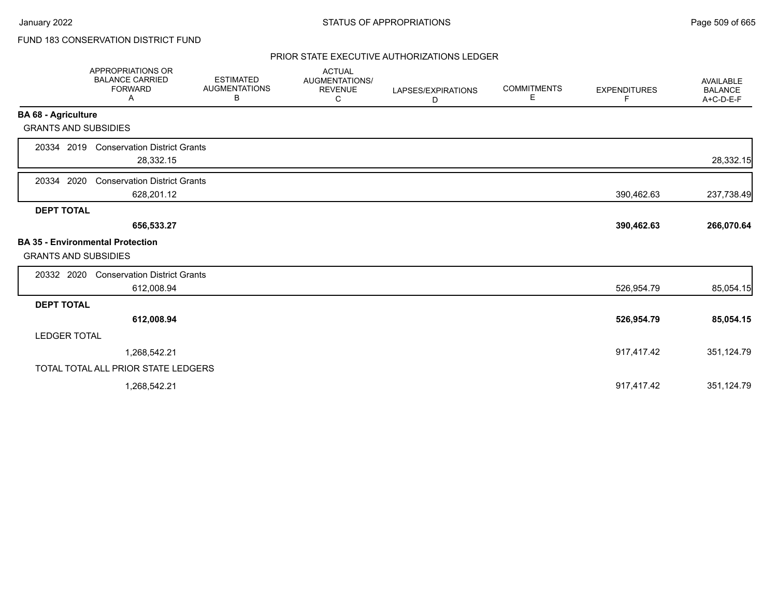# FUND 183 CONSERVATION DISTRICT FUND

### PRIOR STATE EXECUTIVE AUTHORIZATIONS LEDGER

| APPROPRIATIONS OR<br><b>BALANCE CARRIED</b><br><b>FORWARD</b><br>Α | <b>ESTIMATED</b><br><b>AUGMENTATIONS</b><br>В                                                                                                                                                                                            | <b>ACTUAL</b><br>AUGMENTATIONS/<br><b>REVENUE</b><br>С                                                                                                   | LAPSES/EXPIRATIONS<br>D | <b>COMMITMENTS</b><br>Е | <b>EXPENDITURES</b><br>F. | <b>AVAILABLE</b><br><b>BALANCE</b><br>A+C-D-E-F |
|--------------------------------------------------------------------|------------------------------------------------------------------------------------------------------------------------------------------------------------------------------------------------------------------------------------------|----------------------------------------------------------------------------------------------------------------------------------------------------------|-------------------------|-------------------------|---------------------------|-------------------------------------------------|
|                                                                    |                                                                                                                                                                                                                                          |                                                                                                                                                          |                         |                         |                           |                                                 |
|                                                                    |                                                                                                                                                                                                                                          |                                                                                                                                                          |                         |                         |                           |                                                 |
| 28,332.15                                                          |                                                                                                                                                                                                                                          |                                                                                                                                                          |                         |                         |                           | 28,332.15                                       |
| 628,201.12                                                         |                                                                                                                                                                                                                                          |                                                                                                                                                          |                         |                         | 390,462.63                | 237,738.49                                      |
|                                                                    |                                                                                                                                                                                                                                          |                                                                                                                                                          |                         |                         |                           |                                                 |
| 656,533.27                                                         |                                                                                                                                                                                                                                          |                                                                                                                                                          |                         |                         | 390,462.63                | 266,070.64                                      |
|                                                                    |                                                                                                                                                                                                                                          |                                                                                                                                                          |                         |                         |                           |                                                 |
|                                                                    |                                                                                                                                                                                                                                          |                                                                                                                                                          |                         |                         |                           |                                                 |
|                                                                    |                                                                                                                                                                                                                                          |                                                                                                                                                          |                         |                         |                           |                                                 |
| 612,008.94                                                         |                                                                                                                                                                                                                                          |                                                                                                                                                          |                         |                         | 526,954.79                | 85,054.15                                       |
|                                                                    |                                                                                                                                                                                                                                          |                                                                                                                                                          |                         |                         |                           |                                                 |
| 612,008.94                                                         |                                                                                                                                                                                                                                          |                                                                                                                                                          |                         |                         | 526,954.79                | 85,054.15                                       |
|                                                                    |                                                                                                                                                                                                                                          |                                                                                                                                                          |                         |                         |                           |                                                 |
| 1,268,542.21                                                       |                                                                                                                                                                                                                                          |                                                                                                                                                          |                         |                         | 917,417.42                | 351,124.79                                      |
|                                                                    |                                                                                                                                                                                                                                          |                                                                                                                                                          |                         |                         |                           |                                                 |
| 1,268,542.21                                                       |                                                                                                                                                                                                                                          |                                                                                                                                                          |                         |                         | 917,417.42                | 351,124.79                                      |
|                                                                    | <b>BA 68 - Agriculture</b><br><b>GRANTS AND SUBSIDIES</b><br>20334 2019<br>2020<br><b>DEPT TOTAL</b><br><b>BA 35 - Environmental Protection</b><br><b>GRANTS AND SUBSIDIES</b><br>20332 2020<br><b>DEPT TOTAL</b><br><b>LEDGER TOTAL</b> | <b>Conservation District Grants</b><br><b>Conservation District Grants</b><br><b>Conservation District Grants</b><br>TOTAL TOTAL ALL PRIOR STATE LEDGERS |                         |                         |                           |                                                 |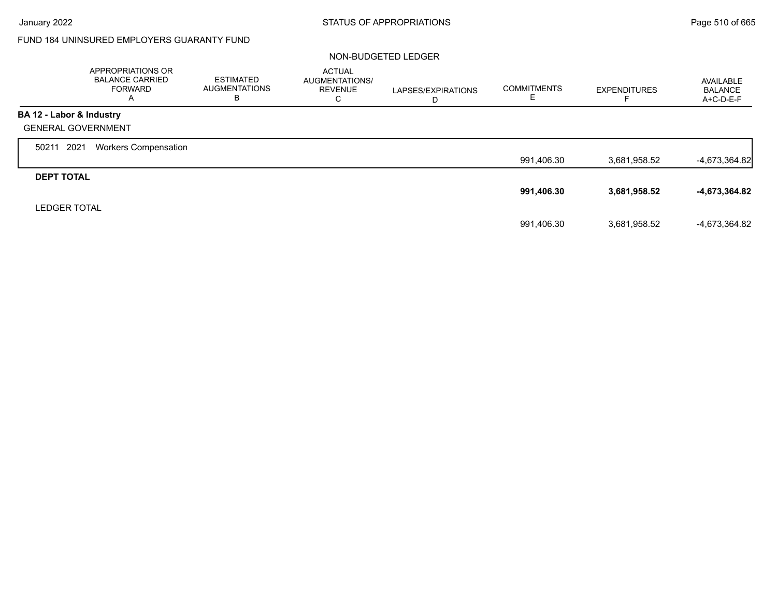Г

## FUND 184 UNINSURED EMPLOYERS GUARANTY FUND

#### NON-BUDGETED LEDGER

|                           | APPROPRIATIONS OR<br><b>BALANCE CARRIED</b><br><b>FORWARD</b><br>A | <b>ESTIMATED</b><br><b>AUGMENTATIONS</b><br>в | <b>ACTUAL</b><br>AUGMENTATIONS/<br><b>REVENUE</b><br>С | LAPSES/EXPIRATIONS<br>D | <b>COMMITMENTS</b><br>ᄂ | <b>EXPENDITURES</b> | AVAILABLE<br><b>BALANCE</b><br>$A+C-D-E-F$ |
|---------------------------|--------------------------------------------------------------------|-----------------------------------------------|--------------------------------------------------------|-------------------------|-------------------------|---------------------|--------------------------------------------|
| BA 12 - Labor & Industry  |                                                                    |                                               |                                                        |                         |                         |                     |                                            |
| <b>GENERAL GOVERNMENT</b> |                                                                    |                                               |                                                        |                         |                         |                     |                                            |
| 2021<br>50211             | <b>Workers Compensation</b>                                        |                                               |                                                        |                         |                         |                     |                                            |
|                           |                                                                    |                                               |                                                        |                         | 991,406.30              | 3.681.958.52        | $-4,673,364.82$                            |
| <b>DEPT TOTAL</b>         |                                                                    |                                               |                                                        |                         |                         |                     |                                            |
|                           |                                                                    |                                               |                                                        |                         | 991,406.30              | 3,681,958.52        | -4,673,364.82                              |
| <b>LEDGER TOTAL</b>       |                                                                    |                                               |                                                        |                         |                         |                     |                                            |
|                           |                                                                    |                                               |                                                        |                         | 991,406.30              | 3,681,958.52        | -4,673,364.82                              |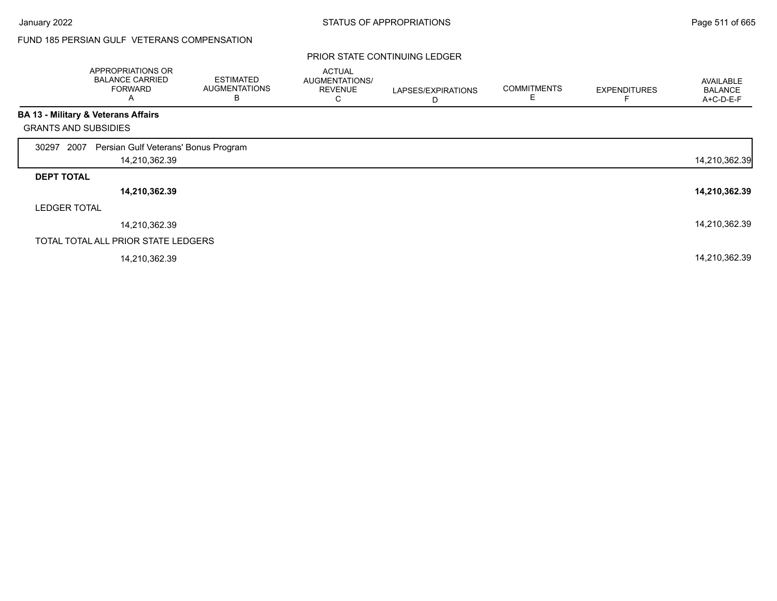## FUND 185 PERSIAN GULF VETERANS COMPENSATION

|                             | APPROPRIATIONS OR<br><b>BALANCE CARRIED</b><br><b>FORWARD</b><br>A | <b>ESTIMATED</b><br><b>AUGMENTATIONS</b><br>В | <b>ACTUAL</b><br><b>AUGMENTATIONS/</b><br><b>REVENUE</b><br>С | LAPSES/EXPIRATIONS<br>D | <b>COMMITMENTS</b> | <b>EXPENDITURES</b> | AVAILABLE<br><b>BALANCE</b><br>A+C-D-E-F |
|-----------------------------|--------------------------------------------------------------------|-----------------------------------------------|---------------------------------------------------------------|-------------------------|--------------------|---------------------|------------------------------------------|
|                             | <b>BA 13 - Military &amp; Veterans Affairs</b>                     |                                               |                                                               |                         |                    |                     |                                          |
| <b>GRANTS AND SUBSIDIES</b> |                                                                    |                                               |                                                               |                         |                    |                     |                                          |
| 2007<br>30297               | Persian Gulf Veterans' Bonus Program                               |                                               |                                                               |                         |                    |                     |                                          |
|                             | 14,210,362.39                                                      |                                               |                                                               |                         |                    |                     | 14,210,362.39                            |
| <b>DEPT TOTAL</b>           |                                                                    |                                               |                                                               |                         |                    |                     |                                          |
|                             | 14,210,362.39                                                      |                                               |                                                               |                         |                    |                     | 14,210,362.39                            |
| <b>LEDGER TOTAL</b>         |                                                                    |                                               |                                                               |                         |                    |                     |                                          |
|                             | 14,210,362.39                                                      |                                               |                                                               |                         |                    |                     | 14,210,362.39                            |
|                             | TOTAL TOTAL ALL PRIOR STATE LEDGERS                                |                                               |                                                               |                         |                    |                     |                                          |
|                             | 14,210,362.39                                                      |                                               |                                                               |                         |                    |                     | 14,210,362.39                            |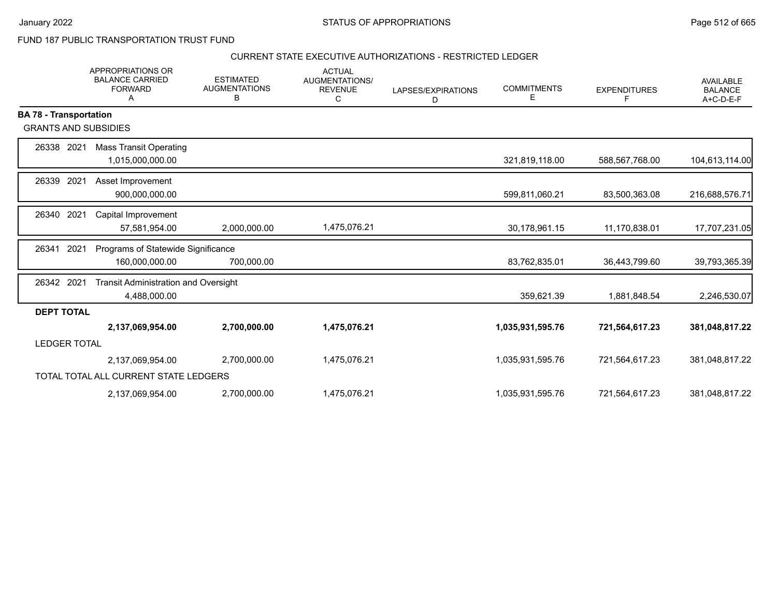FUND 187 PUBLIC TRANSPORTATION TRUST FUND

#### CURRENT STATE EXECUTIVE AUTHORIZATIONS - RESTRICTED LEDGER

|                               | <b>APPROPRIATIONS OR</b><br><b>BALANCE CARRIED</b><br><b>FORWARD</b><br>A | <b>ESTIMATED</b><br><b>AUGMENTATIONS</b><br>В | <b>ACTUAL</b><br><b>AUGMENTATIONS/</b><br><b>REVENUE</b><br>C | LAPSES/EXPIRATIONS<br>D | <b>COMMITMENTS</b><br>Е | <b>EXPENDITURES</b><br>F | <b>AVAILABLE</b><br><b>BALANCE</b><br>A+C-D-E-F |
|-------------------------------|---------------------------------------------------------------------------|-----------------------------------------------|---------------------------------------------------------------|-------------------------|-------------------------|--------------------------|-------------------------------------------------|
| <b>BA 78 - Transportation</b> |                                                                           |                                               |                                                               |                         |                         |                          |                                                 |
| <b>GRANTS AND SUBSIDIES</b>   |                                                                           |                                               |                                                               |                         |                         |                          |                                                 |
| 26338 2021                    | <b>Mass Transit Operating</b>                                             |                                               |                                                               |                         |                         |                          |                                                 |
|                               | 1,015,000,000.00                                                          |                                               |                                                               |                         | 321,819,118.00          | 588,567,768.00           | 104,613,114.00                                  |
| 26339<br>2021                 | Asset Improvement                                                         |                                               |                                                               |                         |                         |                          |                                                 |
|                               | 900,000,000.00                                                            |                                               |                                                               |                         | 599,811,060.21          | 83,500,363.08            | 216,688,576.71                                  |
| 2021<br>26340                 | Capital Improvement                                                       |                                               |                                                               |                         |                         |                          |                                                 |
|                               | 57,581,954.00                                                             | 2,000,000.00                                  | 1,475,076.21                                                  |                         | 30,178,961.15           | 11,170,838.01            | 17,707,231.05                                   |
| 2021<br>26341                 | Programs of Statewide Significance                                        |                                               |                                                               |                         |                         |                          |                                                 |
|                               | 160,000,000.00                                                            | 700,000.00                                    |                                                               |                         | 83,762,835.01           | 36,443,799.60            | 39,793,365.39                                   |
| 26342 2021                    | Transit Administration and Oversight                                      |                                               |                                                               |                         |                         |                          |                                                 |
|                               | 4,488,000.00                                                              |                                               |                                                               |                         | 359,621.39              | 1,881,848.54             | 2,246,530.07                                    |
| <b>DEPT TOTAL</b>             |                                                                           |                                               |                                                               |                         |                         |                          |                                                 |
|                               | 2,137,069,954.00                                                          | 2,700,000.00                                  | 1,475,076.21                                                  |                         | 1,035,931,595.76        | 721,564,617.23           | 381,048,817.22                                  |
| <b>LEDGER TOTAL</b>           |                                                                           |                                               |                                                               |                         |                         |                          |                                                 |
|                               | 2,137,069,954.00                                                          | 2,700,000.00                                  | 1,475,076.21                                                  |                         | 1,035,931,595.76        | 721,564,617.23           | 381,048,817.22                                  |
|                               | TOTAL TOTAL ALL CURRENT STATE LEDGERS                                     |                                               |                                                               |                         |                         |                          |                                                 |
|                               | 2,137,069,954.00                                                          | 2,700,000.00                                  | 1,475,076.21                                                  |                         | 1,035,931,595.76        | 721,564,617.23           | 381,048,817.22                                  |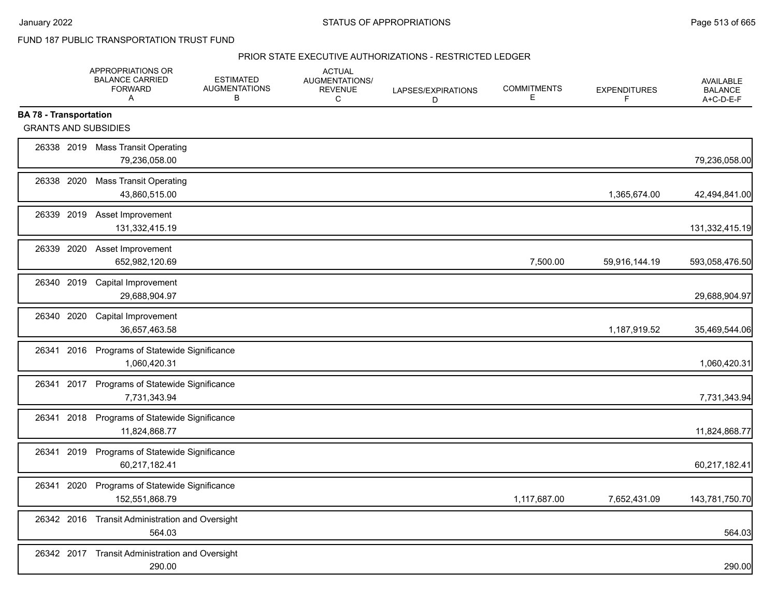FUND 187 PUBLIC TRANSPORTATION TRUST FUND

#### PRIOR STATE EXECUTIVE AUTHORIZATIONS - RESTRICTED LEDGER

|                                                              | APPROPRIATIONS OR<br><b>BALANCE CARRIED</b><br><b>FORWARD</b><br>A | <b>ESTIMATED</b><br><b>AUGMENTATIONS</b><br>В | <b>ACTUAL</b><br>AUGMENTATIONS/<br><b>REVENUE</b><br>C | LAPSES/EXPIRATIONS<br>D | <b>COMMITMENTS</b><br>E | <b>EXPENDITURES</b><br>F | <b>AVAILABLE</b><br><b>BALANCE</b><br>A+C-D-E-F |
|--------------------------------------------------------------|--------------------------------------------------------------------|-----------------------------------------------|--------------------------------------------------------|-------------------------|-------------------------|--------------------------|-------------------------------------------------|
| <b>BA 78 - Transportation</b><br><b>GRANTS AND SUBSIDIES</b> |                                                                    |                                               |                                                        |                         |                         |                          |                                                 |
|                                                              | 26338 2019 Mass Transit Operating<br>79,236,058.00                 |                                               |                                                        |                         |                         |                          | 79,236,058.00                                   |
| 26338 2020                                                   | <b>Mass Transit Operating</b><br>43,860,515.00                     |                                               |                                                        |                         |                         | 1,365,674.00             | 42,494,841.00                                   |
| 26339 2019                                                   | Asset Improvement<br>131,332,415.19                                |                                               |                                                        |                         |                         |                          | 131,332,415.19                                  |
| 26339 2020                                                   | Asset Improvement<br>652,982,120.69                                |                                               |                                                        |                         | 7,500.00                | 59,916,144.19            | 593,058,476.50                                  |
| 26340 2019                                                   | Capital Improvement<br>29,688,904.97                               |                                               |                                                        |                         |                         |                          | 29,688,904.97                                   |
| 26340 2020                                                   | Capital Improvement<br>36,657,463.58                               |                                               |                                                        |                         |                         | 1,187,919.52             | 35,469,544.06                                   |
| 2016<br>26341                                                | Programs of Statewide Significance<br>1,060,420.31                 |                                               |                                                        |                         |                         |                          | 1,060,420.31                                    |
|                                                              | 26341 2017 Programs of Statewide Significance<br>7,731,343.94      |                                               |                                                        |                         |                         |                          | 7,731,343.94                                    |
| 2018<br>26341                                                | Programs of Statewide Significance<br>11,824,868.77                |                                               |                                                        |                         |                         |                          | 11,824,868.77                                   |
| 26341<br>2019                                                | Programs of Statewide Significance<br>60,217,182.41                |                                               |                                                        |                         |                         |                          | 60,217,182.41                                   |
| 26341<br>2020                                                | Programs of Statewide Significance<br>152,551,868.79               |                                               |                                                        |                         | 1,117,687.00            | 7,652,431.09             | 143,781,750.70                                  |
| 26342 2016                                                   | <b>Transit Administration and Oversight</b><br>564.03              |                                               |                                                        |                         |                         |                          | 564.03                                          |
| 26342 2017                                                   | <b>Transit Administration and Oversight</b><br>290.00              |                                               |                                                        |                         |                         |                          | 290.00                                          |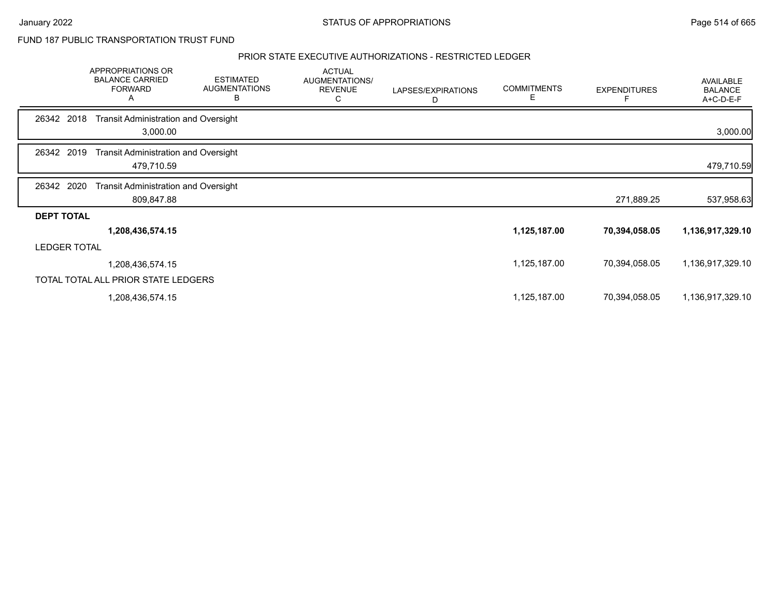## FUND 187 PUBLIC TRANSPORTATION TRUST FUND

#### PRIOR STATE EXECUTIVE AUTHORIZATIONS - RESTRICTED LEDGER

|                     | APPROPRIATIONS OR<br><b>BALANCE CARRIED</b><br><b>FORWARD</b><br>A | <b>ESTIMATED</b><br><b>AUGMENTATIONS</b><br>В | <b>ACTUAL</b><br>AUGMENTATIONS/<br><b>REVENUE</b><br>С | LAPSES/EXPIRATIONS<br>D | <b>COMMITMENTS</b><br>Е | <b>EXPENDITURES</b> | <b>AVAILABLE</b><br><b>BALANCE</b><br>A+C-D-E-F |
|---------------------|--------------------------------------------------------------------|-----------------------------------------------|--------------------------------------------------------|-------------------------|-------------------------|---------------------|-------------------------------------------------|
| 26342 2018          | <b>Transit Administration and Oversight</b><br>3,000.00            |                                               |                                                        |                         |                         |                     | 3,000.00                                        |
| 26342 2019          | <b>Transit Administration and Oversight</b><br>479,710.59          |                                               |                                                        |                         |                         |                     | 479,710.59                                      |
| 2020<br>26342       | <b>Transit Administration and Oversight</b><br>809,847.88          |                                               |                                                        |                         |                         | 271,889.25          | 537,958.63                                      |
| <b>DEPT TOTAL</b>   |                                                                    |                                               |                                                        |                         |                         |                     |                                                 |
|                     | 1,208,436,574.15                                                   |                                               |                                                        |                         | 1,125,187.00            | 70,394,058.05       | 1,136,917,329.10                                |
| <b>LEDGER TOTAL</b> |                                                                    |                                               |                                                        |                         |                         |                     |                                                 |
|                     | 1,208,436,574.15                                                   |                                               |                                                        |                         | 1,125,187.00            | 70,394,058.05       | 1,136,917,329.10                                |
|                     | TOTAL TOTAL ALL PRIOR STATE LEDGERS                                |                                               |                                                        |                         |                         |                     |                                                 |
|                     | 1,208,436,574.15                                                   |                                               |                                                        |                         | 1,125,187.00            | 70,394,058.05       | 1,136,917,329.10                                |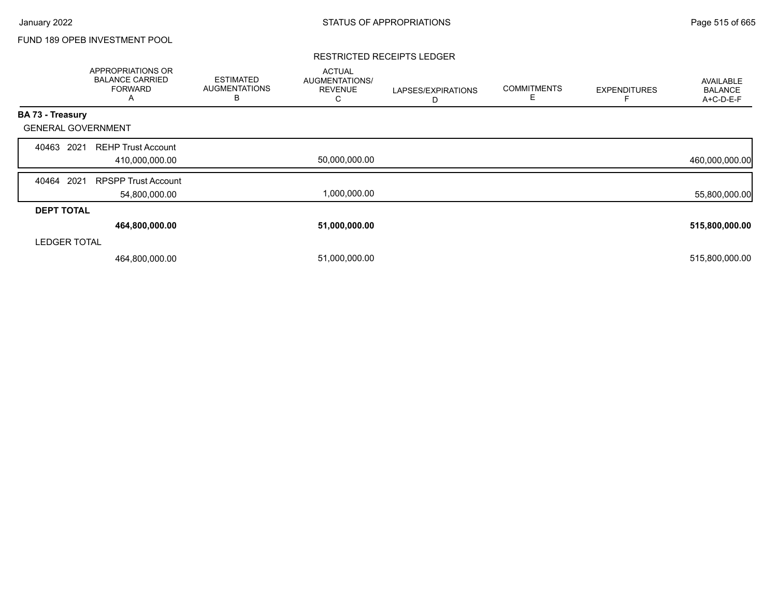## FUND 189 OPEB INVESTMENT POOL

#### RESTRICTED RECEIPTS LEDGER

|                           | <b>APPROPRIATIONS OR</b><br><b>BALANCE CARRIED</b><br><b>FORWARD</b><br>А | <b>ESTIMATED</b><br><b>AUGMENTATIONS</b><br>B | <b>ACTUAL</b><br>AUGMENTATIONS/<br><b>REVENUE</b><br>Ō | LAPSES/EXPIRATIONS<br>D | <b>COMMITMENTS</b><br>E | <b>EXPENDITURES</b> | AVAILABLE<br><b>BALANCE</b><br>A+C-D-E-F |
|---------------------------|---------------------------------------------------------------------------|-----------------------------------------------|--------------------------------------------------------|-------------------------|-------------------------|---------------------|------------------------------------------|
| BA 73 - Treasury          |                                                                           |                                               |                                                        |                         |                         |                     |                                          |
| <b>GENERAL GOVERNMENT</b> |                                                                           |                                               |                                                        |                         |                         |                     |                                          |
| 2021<br>40463             | <b>REHP Trust Account</b><br>410,000,000.00                               |                                               | 50,000,000.00                                          |                         |                         |                     | 460,000,000.00                           |
| 2021<br>40464             | <b>RPSPP Trust Account</b><br>54,800,000.00                               |                                               | 1,000,000.00                                           |                         |                         |                     | 55,800,000.00                            |
| <b>DEPT TOTAL</b>         |                                                                           |                                               |                                                        |                         |                         |                     |                                          |
|                           | 464,800,000.00                                                            |                                               | 51,000,000.00                                          |                         |                         |                     | 515,800,000.00                           |
| <b>LEDGER TOTAL</b>       |                                                                           |                                               |                                                        |                         |                         |                     |                                          |
|                           | 464,800,000.00                                                            |                                               | 51,000,000.00                                          |                         |                         |                     | 515,800,000.00                           |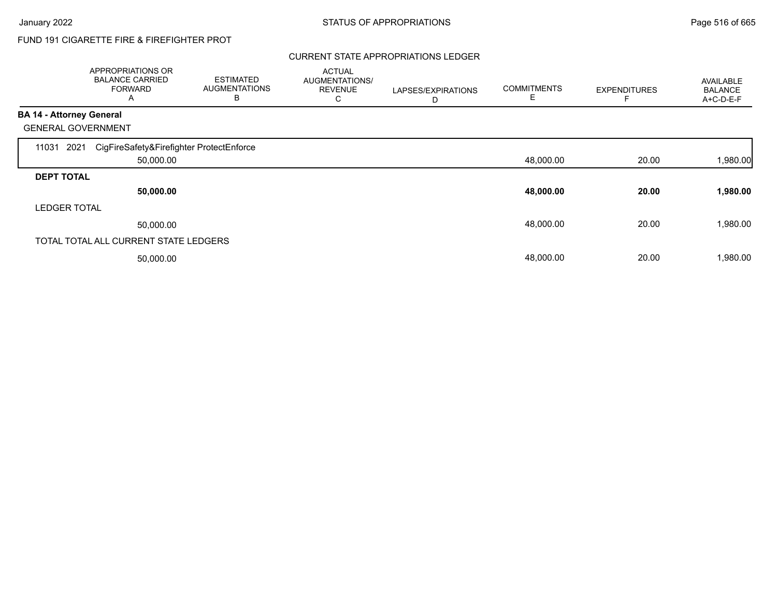# FUND 191 CIGARETTE FIRE & FIREFIGHTER PROT

### CURRENT STATE APPROPRIATIONS LEDGER

|                                 | APPROPRIATIONS OR<br><b>BALANCE CARRIED</b><br><b>FORWARD</b><br>A | <b>ESTIMATED</b><br><b>AUGMENTATIONS</b><br>B | <b>ACTUAL</b><br>AUGMENTATIONS/<br><b>REVENUE</b><br>С | LAPSES/EXPIRATIONS<br>D | <b>COMMITMENTS</b><br>E | <b>EXPENDITURES</b> | <b>AVAILABLE</b><br><b>BALANCE</b><br>A+C-D-E-F |
|---------------------------------|--------------------------------------------------------------------|-----------------------------------------------|--------------------------------------------------------|-------------------------|-------------------------|---------------------|-------------------------------------------------|
| <b>BA 14 - Attorney General</b> |                                                                    |                                               |                                                        |                         |                         |                     |                                                 |
|                                 | <b>GENERAL GOVERNMENT</b>                                          |                                               |                                                        |                         |                         |                     |                                                 |
| 11031                           | CigFireSafety&Firefighter ProtectEnforce<br>2021                   |                                               |                                                        |                         |                         |                     |                                                 |
|                                 | 50,000.00                                                          |                                               |                                                        |                         | 48,000.00               | 20.00               | 1,980.00                                        |
| <b>DEPT TOTAL</b>               |                                                                    |                                               |                                                        |                         |                         |                     |                                                 |
|                                 | 50,000.00                                                          |                                               |                                                        |                         | 48,000.00               | 20.00               | 1,980.00                                        |
| <b>LEDGER TOTAL</b>             |                                                                    |                                               |                                                        |                         |                         |                     |                                                 |
|                                 | 50,000.00                                                          |                                               |                                                        |                         | 48,000.00               | 20.00               | 1,980.00                                        |
|                                 | TOTAL TOTAL ALL CURRENT STATE LEDGERS                              |                                               |                                                        |                         |                         |                     |                                                 |
|                                 | 50,000.00                                                          |                                               |                                                        |                         | 48,000.00               | 20.00               | 1,980.00                                        |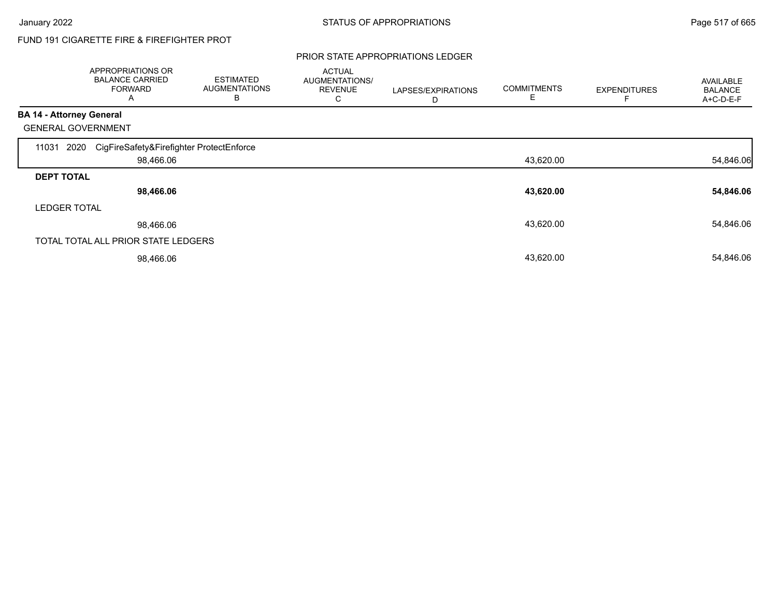# FUND 191 CIGARETTE FIRE & FIREFIGHTER PROT

### PRIOR STATE APPROPRIATIONS LEDGER

|                                 | APPROPRIATIONS OR<br><b>BALANCE CARRIED</b><br><b>FORWARD</b><br>A | <b>ESTIMATED</b><br><b>AUGMENTATIONS</b><br>B | <b>ACTUAL</b><br>AUGMENTATIONS/<br><b>REVENUE</b><br>С | LAPSES/EXPIRATIONS<br>D | <b>COMMITMENTS</b><br>E | <b>EXPENDITURES</b> | AVAILABLE<br><b>BALANCE</b><br>A+C-D-E-F |
|---------------------------------|--------------------------------------------------------------------|-----------------------------------------------|--------------------------------------------------------|-------------------------|-------------------------|---------------------|------------------------------------------|
| <b>BA 14 - Attorney General</b> |                                                                    |                                               |                                                        |                         |                         |                     |                                          |
|                                 | <b>GENERAL GOVERNMENT</b>                                          |                                               |                                                        |                         |                         |                     |                                          |
| 11031                           | CigFireSafety&Firefighter ProtectEnforce<br>2020                   |                                               |                                                        |                         |                         |                     |                                          |
|                                 | 98,466.06                                                          |                                               |                                                        |                         | 43,620.00               |                     | 54,846.06                                |
| <b>DEPT TOTAL</b>               |                                                                    |                                               |                                                        |                         |                         |                     |                                          |
|                                 | 98,466.06                                                          |                                               |                                                        |                         | 43,620.00               |                     | 54,846.06                                |
| <b>LEDGER TOTAL</b>             |                                                                    |                                               |                                                        |                         |                         |                     |                                          |
|                                 | 98,466.06                                                          |                                               |                                                        |                         | 43,620.00               |                     | 54,846.06                                |
|                                 | TOTAL TOTAL ALL PRIOR STATE LEDGERS                                |                                               |                                                        |                         |                         |                     |                                          |
|                                 | 98,466.06                                                          |                                               |                                                        |                         | 43,620.00               |                     | 54,846.06                                |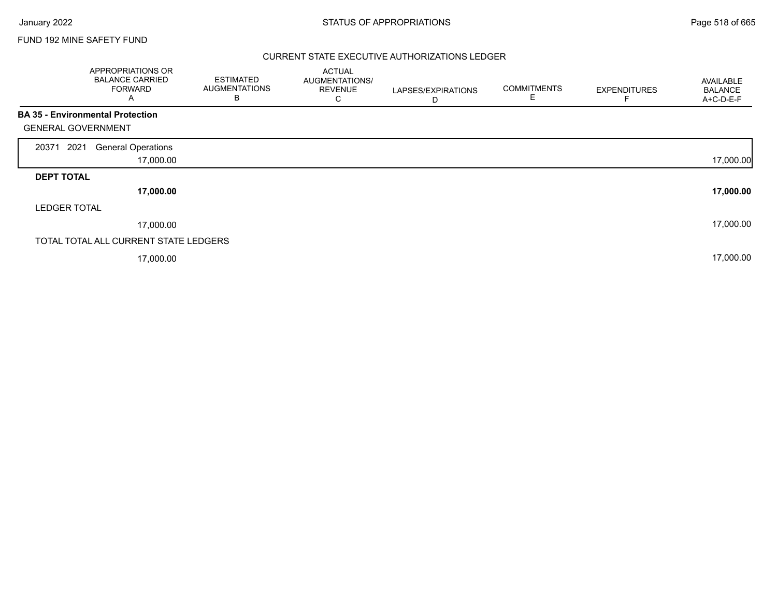### FUND 192 MINE SAFETY FUND

### CURRENT STATE EXECUTIVE AUTHORIZATIONS LEDGER

| APPROPRIATIONS OR<br><b>BALANCE CARRIED</b><br><b>FORWARD</b><br>A | <b>ESTIMATED</b><br><b>AUGMENTATIONS</b><br>В | <b>ACTUAL</b><br>AUGMENTATIONS/<br><b>REVENUE</b><br>С | LAPSES/EXPIRATIONS<br>D | <b>COMMITMENTS</b> | <b>EXPENDITURES</b> | <b>AVAILABLE</b><br><b>BALANCE</b><br>A+C-D-E-F |
|--------------------------------------------------------------------|-----------------------------------------------|--------------------------------------------------------|-------------------------|--------------------|---------------------|-------------------------------------------------|
| <b>BA 35 - Environmental Protection</b>                            |                                               |                                                        |                         |                    |                     |                                                 |
| <b>GENERAL GOVERNMENT</b>                                          |                                               |                                                        |                         |                    |                     |                                                 |
| 2021<br><b>General Operations</b><br>20371                         |                                               |                                                        |                         |                    |                     |                                                 |
|                                                                    | 17,000.00                                     |                                                        |                         |                    |                     | 17,000.00                                       |
| <b>DEPT TOTAL</b>                                                  |                                               |                                                        |                         |                    |                     |                                                 |
|                                                                    | 17,000.00                                     |                                                        |                         |                    |                     | 17,000.00                                       |
| <b>LEDGER TOTAL</b>                                                |                                               |                                                        |                         |                    |                     |                                                 |
|                                                                    | 17,000.00                                     |                                                        |                         |                    |                     | 17,000.00                                       |
| TOTAL TOTAL ALL CURRENT STATE LEDGERS                              |                                               |                                                        |                         |                    |                     |                                                 |
|                                                                    | 17,000.00                                     |                                                        |                         |                    |                     | 17,000.00                                       |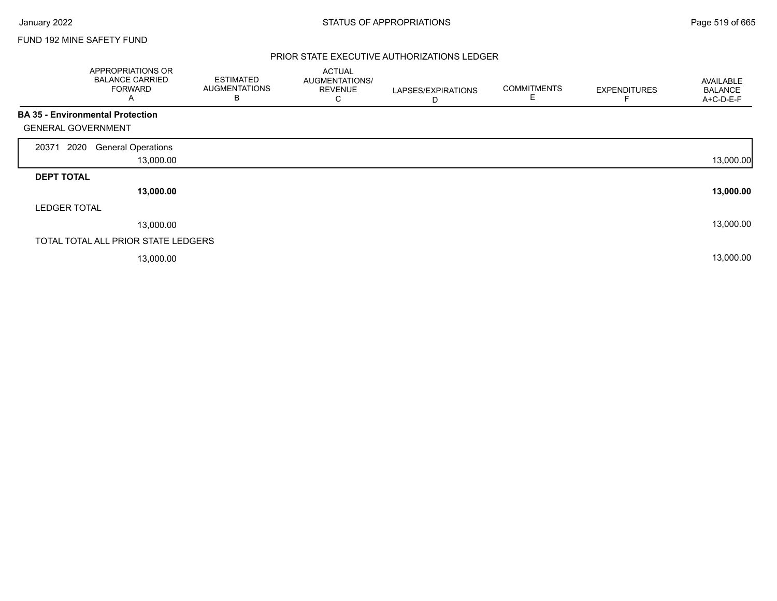Г

### FUND 192 MINE SAFETY FUND

### PRIOR STATE EXECUTIVE AUTHORIZATIONS LEDGER

|                                         | APPROPRIATIONS OR<br><b>BALANCE CARRIED</b><br><b>FORWARD</b><br>A | <b>ESTIMATED</b><br><b>AUGMENTATIONS</b><br>В | <b>ACTUAL</b><br>AUGMENTATIONS/<br><b>REVENUE</b><br>С | LAPSES/EXPIRATIONS<br>D | <b>COMMITMENTS</b><br>E | <b>EXPENDITURES</b> | AVAILABLE<br><b>BALANCE</b><br>A+C-D-E-F |
|-----------------------------------------|--------------------------------------------------------------------|-----------------------------------------------|--------------------------------------------------------|-------------------------|-------------------------|---------------------|------------------------------------------|
| <b>BA 35 - Environmental Protection</b> |                                                                    |                                               |                                                        |                         |                         |                     |                                          |
| <b>GENERAL GOVERNMENT</b>               |                                                                    |                                               |                                                        |                         |                         |                     |                                          |
| 2020<br>20371                           | <b>General Operations</b>                                          |                                               |                                                        |                         |                         |                     |                                          |
|                                         | 13,000.00                                                          |                                               |                                                        |                         |                         |                     | 13,000.00                                |
| <b>DEPT TOTAL</b>                       |                                                                    |                                               |                                                        |                         |                         |                     |                                          |
|                                         | 13,000.00                                                          |                                               |                                                        |                         |                         |                     | 13,000.00                                |
| <b>LEDGER TOTAL</b>                     |                                                                    |                                               |                                                        |                         |                         |                     |                                          |
|                                         | 13,000.00                                                          |                                               |                                                        |                         |                         |                     | 13,000.00                                |
|                                         | TOTAL TOTAL ALL PRIOR STATE LEDGERS                                |                                               |                                                        |                         |                         |                     |                                          |
|                                         | 13,000.00                                                          |                                               |                                                        |                         |                         |                     | 13,000.00                                |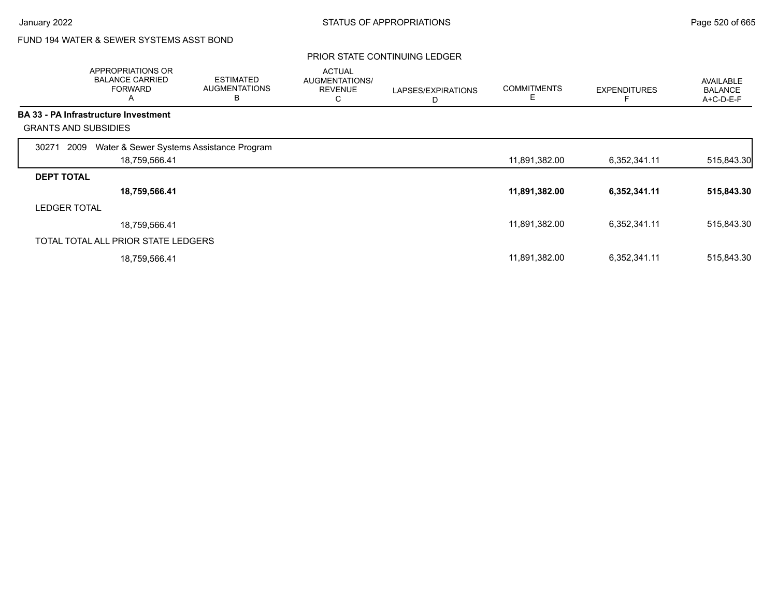# FUND 194 WATER & SEWER SYSTEMS ASST BOND

|                     | APPROPRIATIONS OR<br><b>BALANCE CARRIED</b><br><b>FORWARD</b><br>A | <b>ESTIMATED</b><br><b>AUGMENTATIONS</b><br>B | <b>ACTUAL</b><br>AUGMENTATIONS/<br><b>REVENUE</b><br>С | LAPSES/EXPIRATIONS<br>D | <b>COMMITMENTS</b><br>E. | <b>EXPENDITURES</b> | <b>AVAILABLE</b><br><b>BALANCE</b><br>$A+C-D-E-F$ |
|---------------------|--------------------------------------------------------------------|-----------------------------------------------|--------------------------------------------------------|-------------------------|--------------------------|---------------------|---------------------------------------------------|
|                     | <b>BA 33 - PA Infrastructure Investment</b>                        |                                               |                                                        |                         |                          |                     |                                                   |
|                     | <b>GRANTS AND SUBSIDIES</b>                                        |                                               |                                                        |                         |                          |                     |                                                   |
| 30271               | Water & Sewer Systems Assistance Program<br>2009                   |                                               |                                                        |                         |                          |                     |                                                   |
|                     | 18,759,566.41                                                      |                                               |                                                        |                         | 11,891,382.00            | 6,352,341.11        | 515,843.30                                        |
| <b>DEPT TOTAL</b>   |                                                                    |                                               |                                                        |                         |                          |                     |                                                   |
|                     | 18,759,566.41                                                      |                                               |                                                        |                         | 11,891,382.00            | 6,352,341.11        | 515,843.30                                        |
| <b>LEDGER TOTAL</b> |                                                                    |                                               |                                                        |                         |                          |                     |                                                   |
|                     | 18,759,566.41                                                      |                                               |                                                        |                         | 11,891,382.00            | 6,352,341.11        | 515,843.30                                        |
|                     | TOTAL TOTAL ALL PRIOR STATE LEDGERS                                |                                               |                                                        |                         |                          |                     |                                                   |
|                     | 18,759,566.41                                                      |                                               |                                                        |                         | 11,891,382.00            | 6,352,341.11        | 515,843.30                                        |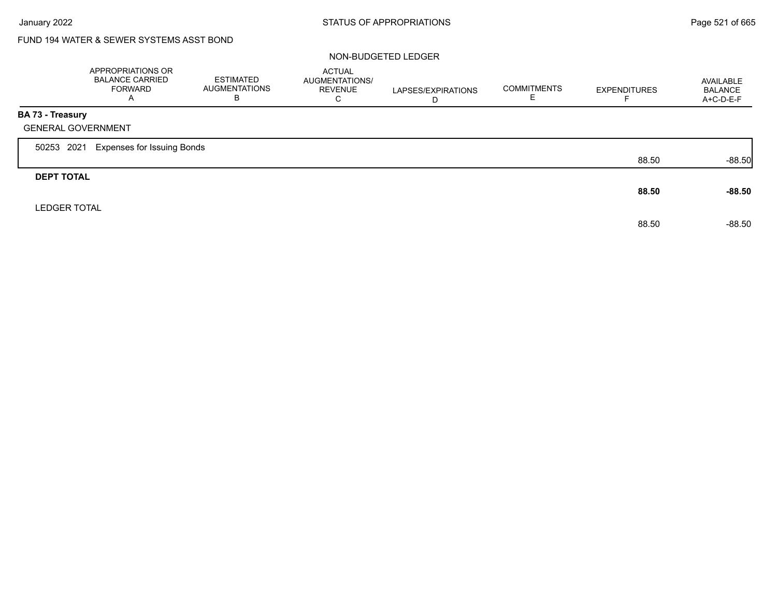# FUND 194 WATER & SEWER SYSTEMS ASST BOND

#### NON-BUDGETED LEDGER

|                         | APPROPRIATIONS OR<br><b>BALANCE CARRIED</b><br><b>FORWARD</b><br>A | <b>ESTIMATED</b><br><b>AUGMENTATIONS</b><br>B | <b>ACTUAL</b><br>AUGMENTATIONS/<br><b>REVENUE</b><br>C | LAPSES/EXPIRATIONS<br>D | <b>COMMITMENTS</b><br>E. | <b>EXPENDITURES</b> | AVAILABLE<br><b>BALANCE</b><br>A+C-D-E-F |
|-------------------------|--------------------------------------------------------------------|-----------------------------------------------|--------------------------------------------------------|-------------------------|--------------------------|---------------------|------------------------------------------|
| <b>BA 73 - Treasury</b> |                                                                    |                                               |                                                        |                         |                          |                     |                                          |
|                         | <b>GENERAL GOVERNMENT</b>                                          |                                               |                                                        |                         |                          |                     |                                          |
| 50253 2021              | <b>Expenses for Issuing Bonds</b>                                  |                                               |                                                        |                         |                          |                     |                                          |
|                         |                                                                    |                                               |                                                        |                         |                          | 88.50               | $-88.50$                                 |
| <b>DEPT TOTAL</b>       |                                                                    |                                               |                                                        |                         |                          |                     |                                          |
|                         |                                                                    |                                               |                                                        |                         |                          | 88.50               | $-88.50$                                 |
| <b>LEDGER TOTAL</b>     |                                                                    |                                               |                                                        |                         |                          |                     |                                          |
|                         |                                                                    |                                               |                                                        |                         |                          | 88.50               | $-88.50$                                 |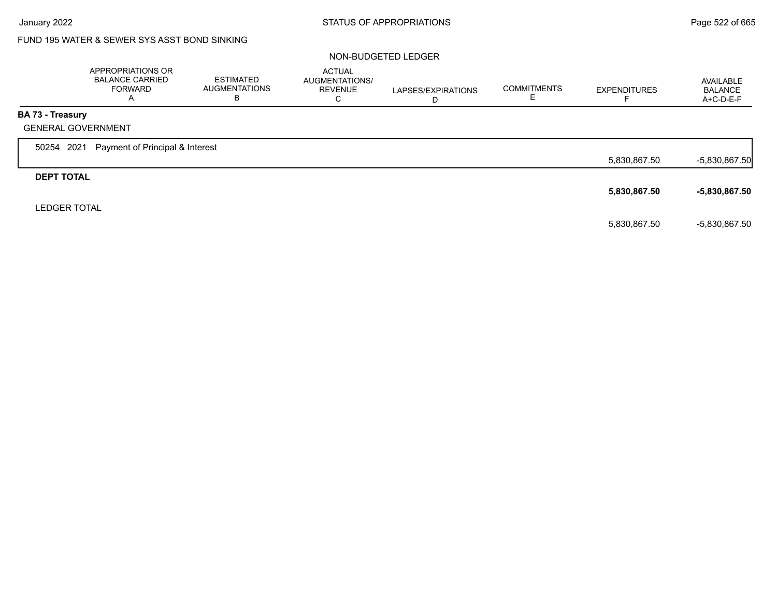# FUND 195 WATER & SEWER SYS ASST BOND SINKING

#### NON-BUDGETED LEDGER

|                     | APPROPRIATIONS OR<br><b>BALANCE CARRIED</b><br><b>FORWARD</b><br>A | <b>ESTIMATED</b><br><b>AUGMENTATIONS</b><br>В | <b>ACTUAL</b><br>AUGMENTATIONS/<br><b>REVENUE</b><br>C | LAPSES/EXPIRATIONS<br>D | <b>COMMITMENTS</b> | <b>EXPENDITURES</b> | AVAILABLE<br><b>BALANCE</b><br>A+C-D-E-F |
|---------------------|--------------------------------------------------------------------|-----------------------------------------------|--------------------------------------------------------|-------------------------|--------------------|---------------------|------------------------------------------|
| BA 73 - Treasury    |                                                                    |                                               |                                                        |                         |                    |                     |                                          |
|                     | <b>GENERAL GOVERNMENT</b>                                          |                                               |                                                        |                         |                    |                     |                                          |
| 50254 2021          | Payment of Principal & Interest                                    |                                               |                                                        |                         |                    |                     |                                          |
|                     |                                                                    |                                               |                                                        |                         |                    | 5,830,867.50        | $-5,830,867.50$                          |
| <b>DEPT TOTAL</b>   |                                                                    |                                               |                                                        |                         |                    |                     |                                          |
|                     |                                                                    |                                               |                                                        |                         |                    | 5,830,867.50        | $-5,830,867.50$                          |
| <b>LEDGER TOTAL</b> |                                                                    |                                               |                                                        |                         |                    |                     |                                          |
|                     |                                                                    |                                               |                                                        |                         |                    | 5,830,867.50        | $-5,830,867.50$                          |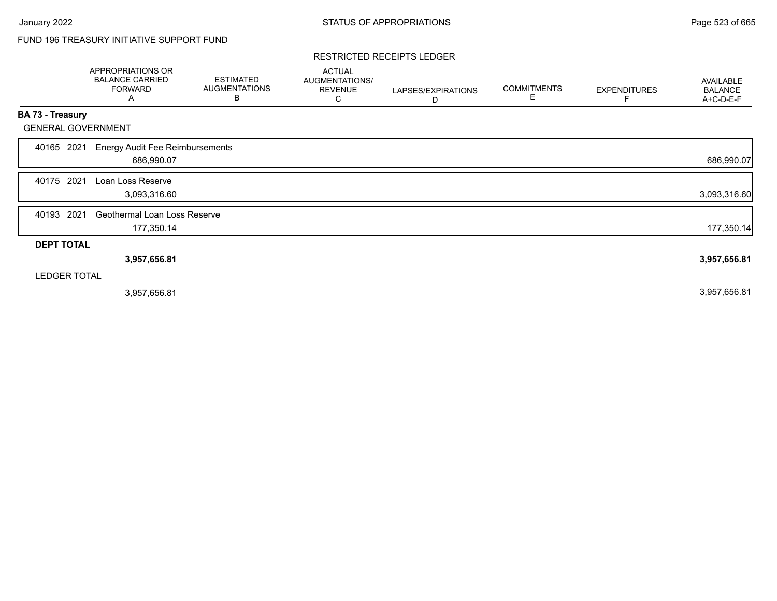# FUND 196 TREASURY INITIATIVE SUPPORT FUND

#### RESTRICTED RECEIPTS LEDGER

|                           | <b>APPROPRIATIONS OR</b><br><b>BALANCE CARRIED</b><br><b>FORWARD</b><br>Α | <b>ESTIMATED</b><br><b>AUGMENTATIONS</b><br>В | <b>ACTUAL</b><br>AUGMENTATIONS/<br><b>REVENUE</b><br>C | LAPSES/EXPIRATIONS<br>D | <b>COMMITMENTS</b><br>Е | <b>EXPENDITURES</b> | AVAILABLE<br><b>BALANCE</b><br>A+C-D-E-F |
|---------------------------|---------------------------------------------------------------------------|-----------------------------------------------|--------------------------------------------------------|-------------------------|-------------------------|---------------------|------------------------------------------|
| <b>BA 73 - Treasury</b>   |                                                                           |                                               |                                                        |                         |                         |                     |                                          |
| <b>GENERAL GOVERNMENT</b> |                                                                           |                                               |                                                        |                         |                         |                     |                                          |
| 2021<br>40165             | <b>Energy Audit Fee Reimbursements</b><br>686,990.07                      |                                               |                                                        |                         |                         |                     | 686,990.07                               |
| 2021<br>40175             | Loan Loss Reserve<br>3,093,316.60                                         |                                               |                                                        |                         |                         |                     | 3,093,316.60                             |
| 2021<br>40193             | Geothermal Loan Loss Reserve<br>177,350.14                                |                                               |                                                        |                         |                         |                     | 177,350.14                               |
| <b>DEPT TOTAL</b>         |                                                                           |                                               |                                                        |                         |                         |                     |                                          |
|                           | 3,957,656.81                                                              |                                               |                                                        |                         |                         |                     | 3,957,656.81                             |
| <b>LEDGER TOTAL</b>       |                                                                           |                                               |                                                        |                         |                         |                     |                                          |
|                           | 3,957,656.81                                                              |                                               |                                                        |                         |                         |                     | 3,957,656.81                             |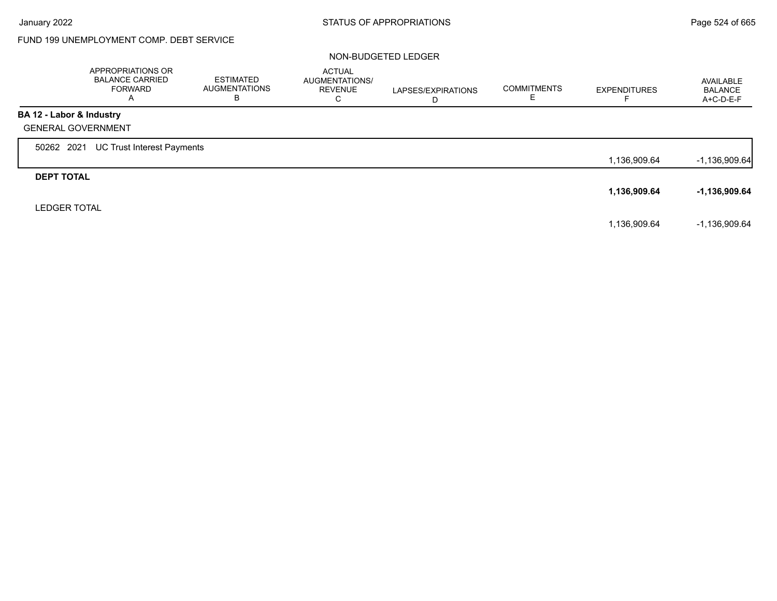Г

# FUND 199 UNEMPLOYMENT COMP. DEBT SERVICE

#### NON-BUDGETED LEDGER

|                           | APPROPRIATIONS OR<br><b>BALANCE CARRIED</b><br>FORWARD<br>A | <b>ESTIMATED</b><br><b>AUGMENTATIONS</b><br>в | <b>ACTUAL</b><br>AUGMENTATIONS/<br><b>REVENUE</b><br>C | LAPSES/EXPIRATIONS<br>D | <b>COMMITMENTS</b><br>Е | <b>EXPENDITURES</b> | AVAILABLE<br><b>BALANCE</b><br>A+C-D-E-F |
|---------------------------|-------------------------------------------------------------|-----------------------------------------------|--------------------------------------------------------|-------------------------|-------------------------|---------------------|------------------------------------------|
| BA 12 - Labor & Industry  |                                                             |                                               |                                                        |                         |                         |                     |                                          |
| <b>GENERAL GOVERNMENT</b> |                                                             |                                               |                                                        |                         |                         |                     |                                          |
| 50262 2021                | UC Trust Interest Payments                                  |                                               |                                                        |                         |                         |                     |                                          |
|                           |                                                             |                                               |                                                        |                         |                         | 1,136,909.64        | $-1,136,909.64$                          |
| <b>DEPT TOTAL</b>         |                                                             |                                               |                                                        |                         |                         |                     |                                          |
|                           |                                                             |                                               |                                                        |                         |                         | 1,136,909.64        | -1,136,909.64                            |
| <b>LEDGER TOTAL</b>       |                                                             |                                               |                                                        |                         |                         |                     |                                          |
|                           |                                                             |                                               |                                                        |                         |                         | 1,136,909.64        | $-1,136,909.64$                          |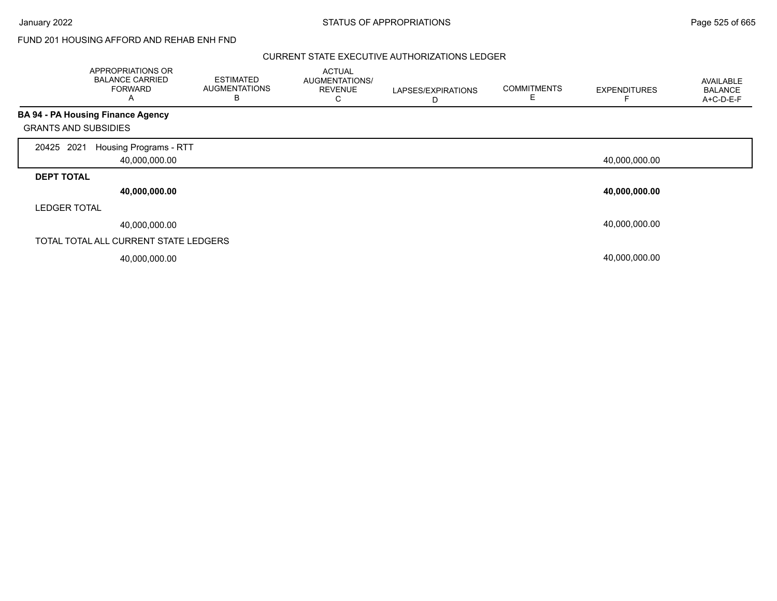January 2022 **STATUS OF APPROPRIATIONS** STATUS OF APPROPRIATIONS

### FUND 201 HOUSING AFFORD AND REHAB ENH FND

#### CURRENT STATE EXECUTIVE AUTHORIZATIONS LEDGER

|                             | APPROPRIATIONS OR<br><b>BALANCE CARRIED</b><br><b>FORWARD</b><br>A | <b>ESTIMATED</b><br><b>AUGMENTATIONS</b><br>в | <b>ACTUAL</b><br>AUGMENTATIONS/<br><b>REVENUE</b><br>С | LAPSES/EXPIRATIONS<br>D | <b>COMMITMENTS</b><br>Е | <b>EXPENDITURES</b> | AVAILABLE<br><b>BALANCE</b><br>A+C-D-E-F |
|-----------------------------|--------------------------------------------------------------------|-----------------------------------------------|--------------------------------------------------------|-------------------------|-------------------------|---------------------|------------------------------------------|
|                             | <b>BA 94 - PA Housing Finance Agency</b>                           |                                               |                                                        |                         |                         |                     |                                          |
| <b>GRANTS AND SUBSIDIES</b> |                                                                    |                                               |                                                        |                         |                         |                     |                                          |
| 2021<br>20425               | Housing Programs - RTT                                             |                                               |                                                        |                         |                         |                     |                                          |
|                             | 40,000,000.00                                                      |                                               |                                                        |                         |                         | 40,000,000.00       |                                          |
| <b>DEPT TOTAL</b>           |                                                                    |                                               |                                                        |                         |                         |                     |                                          |
|                             | 40,000,000.00                                                      |                                               |                                                        |                         |                         | 40,000,000.00       |                                          |
| <b>LEDGER TOTAL</b>         |                                                                    |                                               |                                                        |                         |                         |                     |                                          |
|                             | 40,000,000.00                                                      |                                               |                                                        |                         |                         | 40,000,000.00       |                                          |
|                             | TOTAL TOTAL ALL CURRENT STATE LEDGERS                              |                                               |                                                        |                         |                         |                     |                                          |
|                             | 40,000,000.00                                                      |                                               |                                                        |                         |                         | 40,000,000.00       |                                          |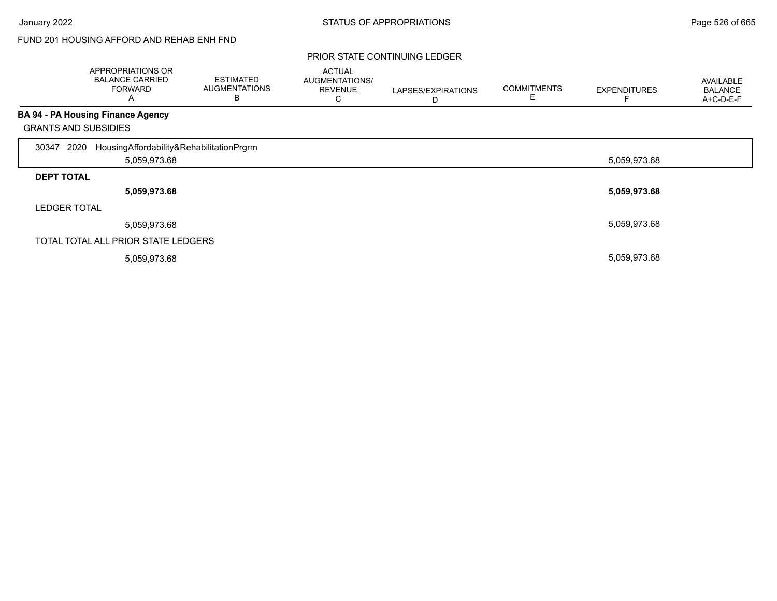## FUND 201 HOUSING AFFORD AND REHAB ENH FND

|                             | APPROPRIATIONS OR<br><b>BALANCE CARRIED</b><br><b>FORWARD</b><br>A | <b>ESTIMATED</b><br><b>AUGMENTATIONS</b><br>В | <b>ACTUAL</b><br>AUGMENTATIONS/<br><b>REVENUE</b><br>С | LAPSES/EXPIRATIONS<br>D | <b>COMMITMENTS</b> | <b>EXPENDITURES</b> | AVAILABLE<br><b>BALANCE</b><br>A+C-D-E-F |
|-----------------------------|--------------------------------------------------------------------|-----------------------------------------------|--------------------------------------------------------|-------------------------|--------------------|---------------------|------------------------------------------|
|                             | <b>BA 94 - PA Housing Finance Agency</b>                           |                                               |                                                        |                         |                    |                     |                                          |
| <b>GRANTS AND SUBSIDIES</b> |                                                                    |                                               |                                                        |                         |                    |                     |                                          |
| 2020<br>30347               | HousingAffordability&RehabilitationPrgrm                           |                                               |                                                        |                         |                    |                     |                                          |
|                             | 5,059,973.68                                                       |                                               |                                                        |                         |                    | 5,059,973.68        |                                          |
| <b>DEPT TOTAL</b>           |                                                                    |                                               |                                                        |                         |                    |                     |                                          |
|                             | 5,059,973.68                                                       |                                               |                                                        |                         |                    | 5,059,973.68        |                                          |
| <b>LEDGER TOTAL</b>         |                                                                    |                                               |                                                        |                         |                    |                     |                                          |
|                             | 5,059,973.68                                                       |                                               |                                                        |                         |                    | 5,059,973.68        |                                          |
|                             | TOTAL TOTAL ALL PRIOR STATE LEDGERS                                |                                               |                                                        |                         |                    |                     |                                          |
|                             | 5,059,973.68                                                       |                                               |                                                        |                         |                    | 5,059,973.68        |                                          |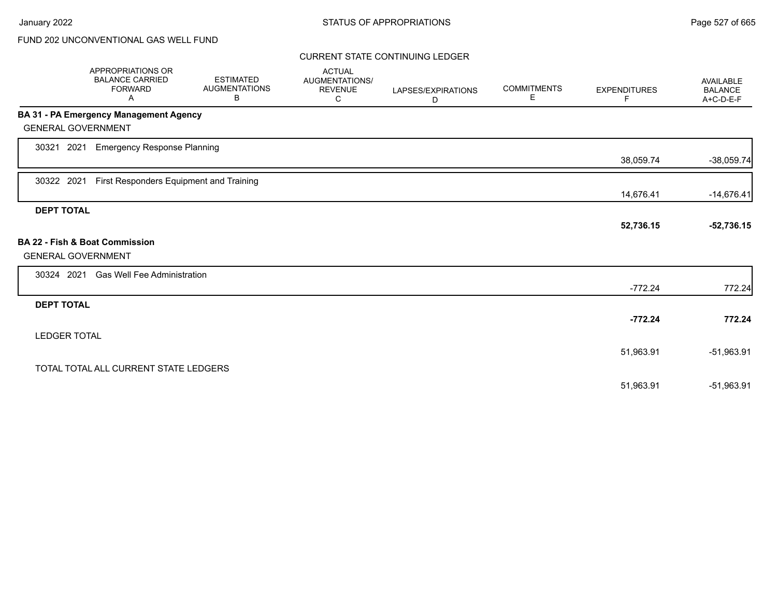### CURRENT STATE CONTINUING LEDGER

|                     | APPROPRIATIONS OR<br><b>BALANCE CARRIED</b><br><b>FORWARD</b><br>Α | <b>ESTIMATED</b><br><b>AUGMENTATIONS</b><br>В | <b>ACTUAL</b><br>AUGMENTATIONS/<br><b>REVENUE</b><br>C | LAPSES/EXPIRATIONS<br>D | <b>COMMITMENTS</b><br>Е | <b>EXPENDITURES</b><br>F | <b>AVAILABLE</b><br><b>BALANCE</b><br>A+C-D-E-F |
|---------------------|--------------------------------------------------------------------|-----------------------------------------------|--------------------------------------------------------|-------------------------|-------------------------|--------------------------|-------------------------------------------------|
|                     | <b>BA 31 - PA Emergency Management Agency</b>                      |                                               |                                                        |                         |                         |                          |                                                 |
|                     | <b>GENERAL GOVERNMENT</b>                                          |                                               |                                                        |                         |                         |                          |                                                 |
| 30321 2021          | <b>Emergency Response Planning</b>                                 |                                               |                                                        |                         |                         |                          |                                                 |
|                     |                                                                    |                                               |                                                        |                         |                         | 38,059.74                | $-38,059.74$                                    |
| 30322 2021          | First Responders Equipment and Training                            |                                               |                                                        |                         |                         |                          |                                                 |
|                     |                                                                    |                                               |                                                        |                         |                         | 14,676.41                | $-14,676.41$                                    |
| <b>DEPT TOTAL</b>   |                                                                    |                                               |                                                        |                         |                         |                          |                                                 |
|                     |                                                                    |                                               |                                                        |                         |                         | 52,736.15                | $-52,736.15$                                    |
|                     | <b>BA 22 - Fish &amp; Boat Commission</b>                          |                                               |                                                        |                         |                         |                          |                                                 |
|                     | <b>GENERAL GOVERNMENT</b>                                          |                                               |                                                        |                         |                         |                          |                                                 |
| 30324 2021          | <b>Gas Well Fee Administration</b>                                 |                                               |                                                        |                         |                         |                          |                                                 |
|                     |                                                                    |                                               |                                                        |                         |                         | $-772.24$                | 772.24                                          |
| <b>DEPT TOTAL</b>   |                                                                    |                                               |                                                        |                         |                         |                          |                                                 |
|                     |                                                                    |                                               |                                                        |                         |                         | $-772.24$                | 772.24                                          |
| <b>LEDGER TOTAL</b> |                                                                    |                                               |                                                        |                         |                         |                          |                                                 |
|                     |                                                                    |                                               |                                                        |                         |                         | 51,963.91                | $-51,963.91$                                    |
|                     | TOTAL TOTAL ALL CURRENT STATE LEDGERS                              |                                               |                                                        |                         |                         |                          |                                                 |
|                     |                                                                    |                                               |                                                        |                         |                         | 51,963.91                | -51,963.91                                      |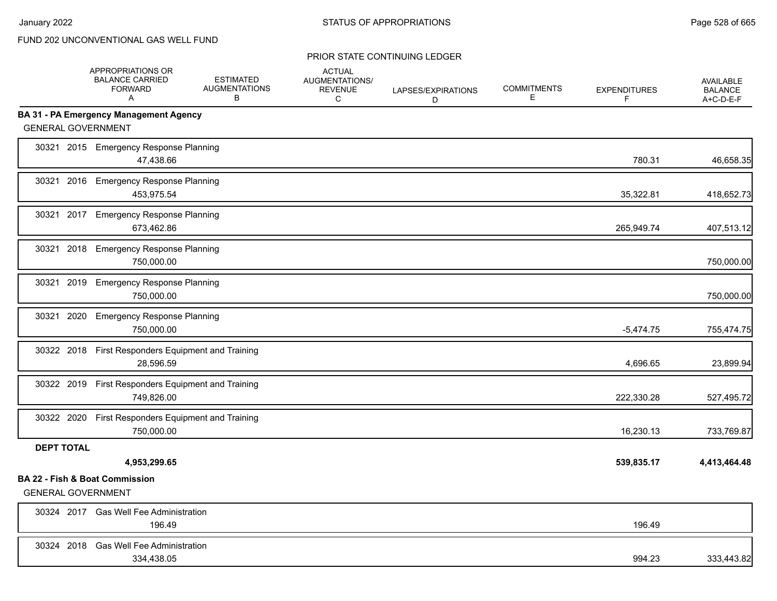|                           | APPROPRIATIONS OR<br><b>BALANCE CARRIED</b><br><b>FORWARD</b><br>A | <b>ESTIMATED</b><br><b>AUGMENTATIONS</b><br>B | <b>ACTUAL</b><br>AUGMENTATIONS/<br><b>REVENUE</b><br>C | LAPSES/EXPIRATIONS<br>D | <b>COMMITMENTS</b><br>E. | <b>EXPENDITURES</b><br>F | <b>AVAILABLE</b><br><b>BALANCE</b><br>A+C-D-E-F |
|---------------------------|--------------------------------------------------------------------|-----------------------------------------------|--------------------------------------------------------|-------------------------|--------------------------|--------------------------|-------------------------------------------------|
|                           | <b>BA 31 - PA Emergency Management Agency</b>                      |                                               |                                                        |                         |                          |                          |                                                 |
| <b>GENERAL GOVERNMENT</b> |                                                                    |                                               |                                                        |                         |                          |                          |                                                 |
|                           | 30321 2015 Emergency Response Planning<br>47,438.66                |                                               |                                                        |                         |                          | 780.31                   | 46,658.35                                       |
|                           | 30321 2016 Emergency Response Planning<br>453,975.54               |                                               |                                                        |                         |                          | 35,322.81                | 418,652.73                                      |
|                           | 30321 2017 Emergency Response Planning<br>673,462.86               |                                               |                                                        |                         |                          | 265,949.74               | 407,513.12                                      |
|                           | 30321 2018 Emergency Response Planning<br>750,000.00               |                                               |                                                        |                         |                          |                          | 750,000.00                                      |
|                           | 30321 2019 Emergency Response Planning<br>750.000.00               |                                               |                                                        |                         |                          |                          | 750,000.00                                      |
| 30321                     | 2020 Emergency Response Planning<br>750,000.00                     |                                               |                                                        |                         |                          | $-5,474.75$              | 755,474.75                                      |
|                           | 30322 2018 First Responders Equipment and Training<br>28.596.59    |                                               |                                                        |                         |                          | 4,696.65                 | 23,899.94                                       |
|                           | 30322 2019 First Responders Equipment and Training<br>749,826.00   |                                               |                                                        |                         |                          | 222,330.28               | 527,495.72                                      |
|                           | 30322 2020 First Responders Equipment and Training<br>750,000.00   |                                               |                                                        |                         |                          | 16,230.13                | 733,769.87                                      |
| <b>DEPT TOTAL</b>         | 4,953,299.65                                                       |                                               |                                                        |                         |                          | 539,835.17               | 4,413,464.48                                    |
| <b>GENERAL GOVERNMENT</b> | <b>BA 22 - Fish &amp; Boat Commission</b>                          |                                               |                                                        |                         |                          |                          |                                                 |
|                           | 30324 2017 Gas Well Fee Administration<br>196.49                   |                                               |                                                        |                         |                          | 196.49                   |                                                 |
|                           | 30324 2018 Gas Well Fee Administration<br>334,438.05               |                                               |                                                        |                         |                          | 994.23                   | 333,443.82                                      |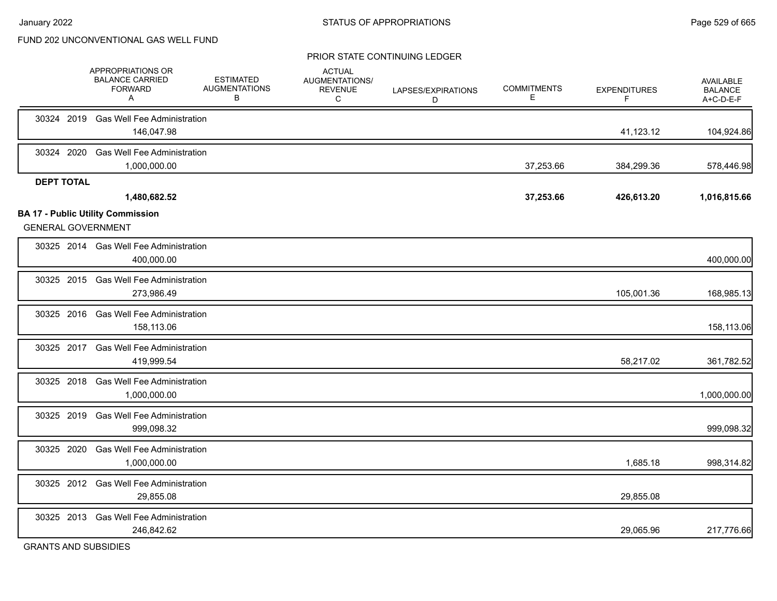#### PRIOR STATE CONTINUING LEDGER

|                   | APPROPRIATIONS OR<br><b>BALANCE CARRIED</b><br><b>FORWARD</b><br>A | <b>ESTIMATED</b><br><b>AUGMENTATIONS</b><br>B | <b>ACTUAL</b><br>AUGMENTATIONS/<br><b>REVENUE</b><br>C | LAPSES/EXPIRATIONS<br>D | <b>COMMITMENTS</b><br>Е | <b>EXPENDITURES</b><br>F | AVAILABLE<br><b>BALANCE</b><br>A+C-D-E-F |
|-------------------|--------------------------------------------------------------------|-----------------------------------------------|--------------------------------------------------------|-------------------------|-------------------------|--------------------------|------------------------------------------|
|                   | 30324 2019 Gas Well Fee Administration<br>146,047.98               |                                               |                                                        |                         |                         | 41,123.12                | 104,924.86                               |
| 30324 2020        | <b>Gas Well Fee Administration</b><br>1,000,000.00                 |                                               |                                                        |                         | 37,253.66               | 384,299.36               | 578,446.98                               |
| <b>DEPT TOTAL</b> | 1,480,682.52<br><b>BA 17 - Public Utility Commission</b>           |                                               |                                                        |                         | 37,253.66               | 426,613.20               | 1,016,815.66                             |
|                   | <b>GENERAL GOVERNMENT</b>                                          |                                               |                                                        |                         |                         |                          |                                          |
|                   | 30325 2014 Gas Well Fee Administration<br>400,000.00               |                                               |                                                        |                         |                         |                          | 400,000.00                               |
|                   | 30325 2015 Gas Well Fee Administration<br>273,986.49               |                                               |                                                        |                         |                         | 105,001.36               | 168,985.13                               |
|                   | 30325 2016 Gas Well Fee Administration<br>158,113.06               |                                               |                                                        |                         |                         |                          | 158,113.06                               |
|                   | 30325 2017 Gas Well Fee Administration<br>419,999.54               |                                               |                                                        |                         |                         | 58,217.02                | 361,782.52                               |
|                   | 30325 2018 Gas Well Fee Administration<br>1,000,000.00             |                                               |                                                        |                         |                         |                          | 1,000,000.00                             |
|                   | 30325 2019 Gas Well Fee Administration<br>999,098.32               |                                               |                                                        |                         |                         |                          | 999,098.32                               |
| 30325 2020        | <b>Gas Well Fee Administration</b><br>1,000,000.00                 |                                               |                                                        |                         |                         | 1,685.18                 | 998,314.82                               |
|                   | 30325 2012 Gas Well Fee Administration<br>29,855.08                |                                               |                                                        |                         |                         | 29,855.08                |                                          |
|                   | 30325 2013 Gas Well Fee Administration<br>246,842.62               |                                               |                                                        |                         |                         | 29,065.96                | 217,776.66                               |
|                   | $ \cdots$ $ \cdots$ $ \cdots$ $ \cdots$ $ \cdots$                  |                                               |                                                        |                         |                         |                          |                                          |

GRANTS AND SUBSIDIES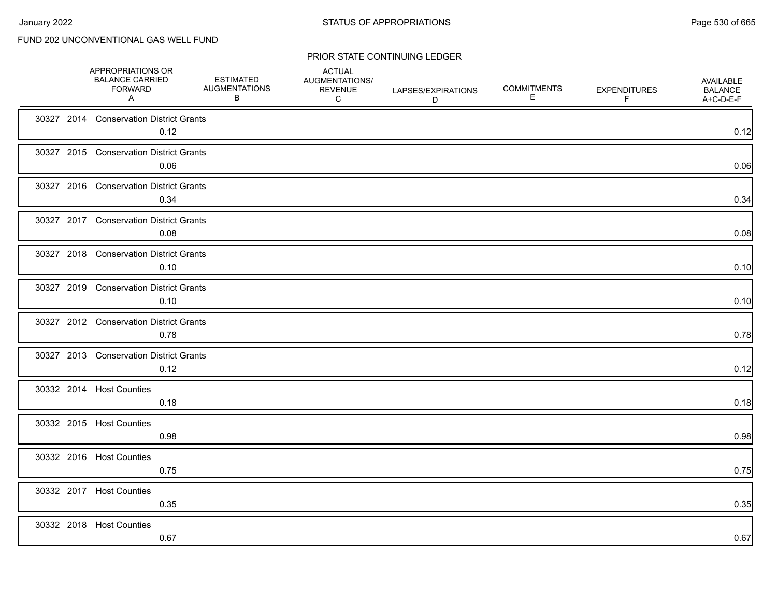|  | APPROPRIATIONS OR<br><b>BALANCE CARRIED</b><br><b>FORWARD</b><br>A | <b>ESTIMATED</b><br><b>AUGMENTATIONS</b><br>B | <b>ACTUAL</b><br>AUGMENTATIONS/<br><b>REVENUE</b><br>C | LAPSES/EXPIRATIONS<br>D | <b>COMMITMENTS</b><br>Ε | <b>EXPENDITURES</b><br>F | AVAILABLE<br><b>BALANCE</b><br>A+C-D-E-F |
|--|--------------------------------------------------------------------|-----------------------------------------------|--------------------------------------------------------|-------------------------|-------------------------|--------------------------|------------------------------------------|
|  | 30327 2014 Conservation District Grants<br>0.12                    |                                               |                                                        |                         |                         |                          | 0.12                                     |
|  | 30327 2015 Conservation District Grants<br>0.06                    |                                               |                                                        |                         |                         |                          | 0.06                                     |
|  | 30327 2016 Conservation District Grants<br>0.34                    |                                               |                                                        |                         |                         |                          | 0.34                                     |
|  | 30327 2017 Conservation District Grants<br>0.08                    |                                               |                                                        |                         |                         |                          | 0.08                                     |
|  | 30327 2018 Conservation District Grants<br>0.10                    |                                               |                                                        |                         |                         |                          | 0.10                                     |
|  | 30327 2019 Conservation District Grants<br>0.10                    |                                               |                                                        |                         |                         |                          | 0.10                                     |
|  | 30327 2012 Conservation District Grants<br>0.78                    |                                               |                                                        |                         |                         |                          | 0.78                                     |
|  | 30327 2013 Conservation District Grants<br>0.12                    |                                               |                                                        |                         |                         |                          | 0.12                                     |
|  | 30332 2014 Host Counties<br>0.18                                   |                                               |                                                        |                         |                         |                          | 0.18                                     |
|  | 30332 2015 Host Counties<br>0.98                                   |                                               |                                                        |                         |                         |                          | 0.98                                     |
|  | 30332 2016 Host Counties<br>0.75                                   |                                               |                                                        |                         |                         |                          | 0.75                                     |
|  | 30332 2017 Host Counties<br>0.35                                   |                                               |                                                        |                         |                         |                          | 0.35                                     |
|  | 30332 2018 Host Counties<br>0.67                                   |                                               |                                                        |                         |                         |                          | 0.67                                     |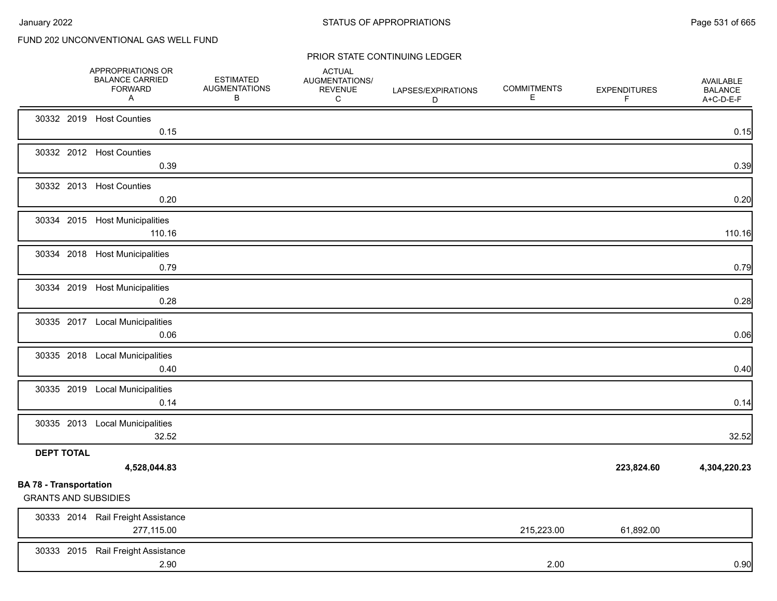|                                                              | APPROPRIATIONS OR<br><b>BALANCE CARRIED</b><br><b>FORWARD</b><br>A | <b>ESTIMATED</b><br><b>AUGMENTATIONS</b><br>В | <b>ACTUAL</b><br>AUGMENTATIONS/<br><b>REVENUE</b><br>C | LAPSES/EXPIRATIONS<br>D | <b>COMMITMENTS</b><br>E | <b>EXPENDITURES</b><br>F | <b>AVAILABLE</b><br><b>BALANCE</b><br>A+C-D-E-F |
|--------------------------------------------------------------|--------------------------------------------------------------------|-----------------------------------------------|--------------------------------------------------------|-------------------------|-------------------------|--------------------------|-------------------------------------------------|
|                                                              | 30332 2019 Host Counties<br>0.15                                   |                                               |                                                        |                         |                         |                          | 0.15                                            |
|                                                              | 30332 2012 Host Counties<br>0.39                                   |                                               |                                                        |                         |                         |                          | 0.39                                            |
|                                                              | 30332 2013 Host Counties<br>0.20                                   |                                               |                                                        |                         |                         |                          | 0.20                                            |
|                                                              | 30334 2015 Host Municipalities<br>110.16                           |                                               |                                                        |                         |                         |                          | 110.16                                          |
|                                                              | 30334 2018 Host Municipalities<br>0.79                             |                                               |                                                        |                         |                         |                          | 0.79                                            |
|                                                              | 30334 2019 Host Municipalities<br>0.28                             |                                               |                                                        |                         |                         |                          | 0.28                                            |
|                                                              | 30335 2017 Local Municipalities<br>0.06                            |                                               |                                                        |                         |                         |                          | 0.06                                            |
|                                                              | 30335 2018 Local Municipalities<br>0.40                            |                                               |                                                        |                         |                         |                          | 0.40                                            |
|                                                              | 30335 2019 Local Municipalities<br>0.14                            |                                               |                                                        |                         |                         |                          | 0.14                                            |
|                                                              | 30335 2013 Local Municipalities<br>32.52                           |                                               |                                                        |                         |                         |                          | 32.52                                           |
| <b>DEPT TOTAL</b>                                            | 4,528,044.83                                                       |                                               |                                                        |                         |                         | 223,824.60               | 4,304,220.23                                    |
| <b>BA 78 - Transportation</b><br><b>GRANTS AND SUBSIDIES</b> |                                                                    |                                               |                                                        |                         |                         |                          |                                                 |
|                                                              | 30333 2014 Rail Freight Assistance<br>277,115.00                   |                                               |                                                        |                         | 215,223.00              | 61,892.00                |                                                 |
|                                                              | 30333 2015 Rail Freight Assistance<br>2.90                         |                                               |                                                        |                         | 2.00                    |                          | 0.90                                            |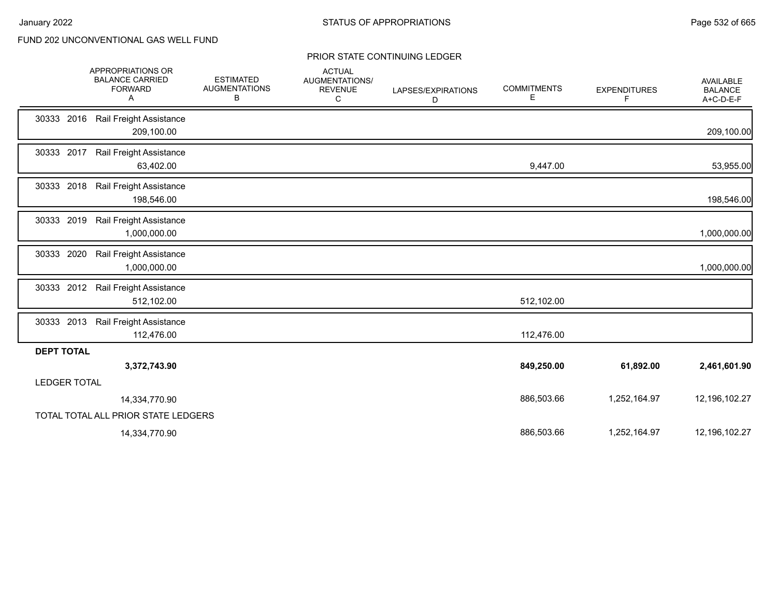|                     | APPROPRIATIONS OR<br><b>BALANCE CARRIED</b><br><b>FORWARD</b><br>Α | <b>ESTIMATED</b><br><b>AUGMENTATIONS</b><br>В | <b>ACTUAL</b><br>AUGMENTATIONS/<br><b>REVENUE</b><br>C | LAPSES/EXPIRATIONS<br>D | <b>COMMITMENTS</b><br>Е | <b>EXPENDITURES</b><br>F | AVAILABLE<br><b>BALANCE</b><br>A+C-D-E-F |
|---------------------|--------------------------------------------------------------------|-----------------------------------------------|--------------------------------------------------------|-------------------------|-------------------------|--------------------------|------------------------------------------|
| 30333<br>2016       | Rail Freight Assistance<br>209,100.00                              |                                               |                                                        |                         |                         |                          | 209,100.00                               |
|                     | 30333 2017 Rail Freight Assistance<br>63,402.00                    |                                               |                                                        |                         | 9,447.00                |                          | 53,955.00                                |
| 30333 2018          | Rail Freight Assistance<br>198,546.00                              |                                               |                                                        |                         |                         |                          | 198,546.00                               |
| 30333 2019          | Rail Freight Assistance<br>1,000,000.00                            |                                               |                                                        |                         |                         |                          | 1,000,000.00                             |
|                     | 30333 2020 Rail Freight Assistance<br>1,000,000.00                 |                                               |                                                        |                         |                         |                          | 1,000,000.00                             |
| 30333 2012          | Rail Freight Assistance<br>512,102.00                              |                                               |                                                        |                         | 512,102.00              |                          |                                          |
|                     | 30333 2013 Rail Freight Assistance<br>112,476.00                   |                                               |                                                        |                         | 112,476.00              |                          |                                          |
| <b>DEPT TOTAL</b>   |                                                                    |                                               |                                                        |                         |                         |                          |                                          |
|                     | 3,372,743.90                                                       |                                               |                                                        |                         | 849,250.00              | 61,892.00                | 2,461,601.90                             |
| <b>LEDGER TOTAL</b> |                                                                    |                                               |                                                        |                         |                         |                          |                                          |
|                     | 14,334,770.90                                                      |                                               |                                                        |                         | 886,503.66              | 1,252,164.97             | 12,196,102.27                            |
|                     | TOTAL TOTAL ALL PRIOR STATE LEDGERS                                |                                               |                                                        |                         |                         |                          |                                          |
|                     | 14,334,770.90                                                      |                                               |                                                        |                         | 886,503.66              | 1,252,164.97             | 12,196,102.27                            |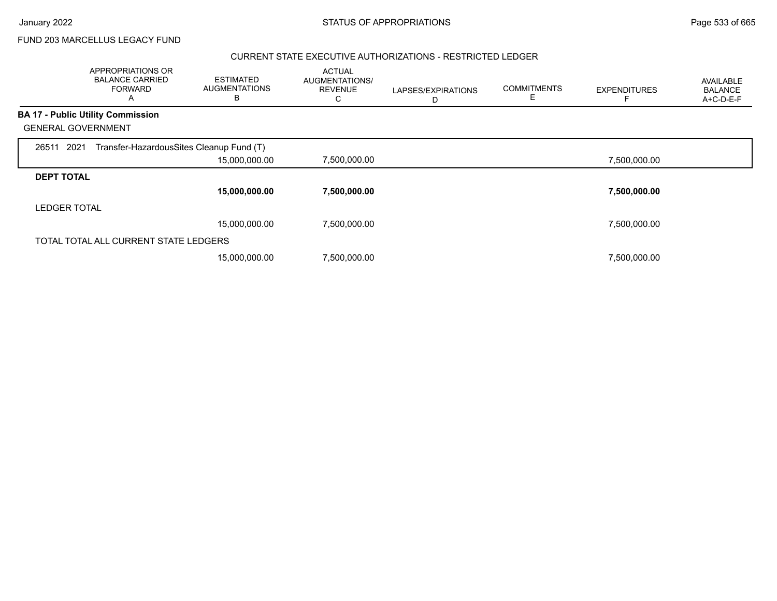FUND 203 MARCELLUS LEGACY FUND

### CURRENT STATE EXECUTIVE AUTHORIZATIONS - RESTRICTED LEDGER

|                           | APPROPRIATIONS OR<br><b>BALANCE CARRIED</b><br><b>FORWARD</b><br>A | <b>ESTIMATED</b><br><b>AUGMENTATIONS</b><br>В | <b>ACTUAL</b><br>AUGMENTATIONS/<br><b>REVENUE</b> | LAPSES/EXPIRATIONS<br>D | <b>COMMITMENTS</b><br>E | <b>EXPENDITURES</b> | AVAILABLE<br><b>BALANCE</b><br>A+C-D-E-F |
|---------------------------|--------------------------------------------------------------------|-----------------------------------------------|---------------------------------------------------|-------------------------|-------------------------|---------------------|------------------------------------------|
|                           | <b>BA 17 - Public Utility Commission</b>                           |                                               |                                                   |                         |                         |                     |                                          |
| <b>GENERAL GOVERNMENT</b> |                                                                    |                                               |                                                   |                         |                         |                     |                                          |
| 26511 2021                | Transfer-HazardousSites Cleanup Fund (T)                           |                                               |                                                   |                         |                         |                     |                                          |
|                           |                                                                    | 15,000,000.00                                 | 7,500,000.00                                      |                         |                         | 7,500,000.00        |                                          |
| <b>DEPT TOTAL</b>         |                                                                    |                                               |                                                   |                         |                         |                     |                                          |
|                           |                                                                    | 15,000,000.00                                 | 7,500,000.00                                      |                         |                         | 7,500,000.00        |                                          |
| <b>LEDGER TOTAL</b>       |                                                                    |                                               |                                                   |                         |                         |                     |                                          |
|                           |                                                                    | 15,000,000.00                                 | 7,500,000.00                                      |                         |                         | 7,500,000.00        |                                          |
|                           | TOTAL TOTAL ALL CURRENT STATE LEDGERS                              |                                               |                                                   |                         |                         |                     |                                          |
|                           |                                                                    | 15,000,000.00                                 | 7,500,000.00                                      |                         |                         | 7,500,000.00        |                                          |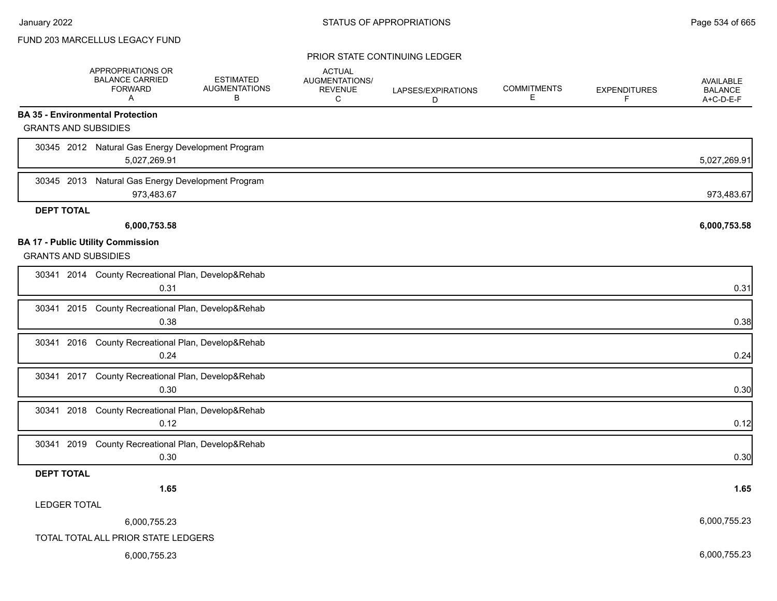### FUND 203 MARCELLUS LEGACY FUND

|                                                                         | APPROPRIATIONS OR<br><b>BALANCE CARRIED</b><br><b>FORWARD</b><br>A | <b>ESTIMATED</b><br><b>AUGMENTATIONS</b><br>в | <b>ACTUAL</b><br>AUGMENTATIONS/<br><b>REVENUE</b><br>С | LAPSES/EXPIRATIONS<br>D | <b>COMMITMENTS</b><br>Е | <b>EXPENDITURES</b><br>F | <b>AVAILABLE</b><br><b>BALANCE</b><br>A+C-D-E-F |
|-------------------------------------------------------------------------|--------------------------------------------------------------------|-----------------------------------------------|--------------------------------------------------------|-------------------------|-------------------------|--------------------------|-------------------------------------------------|
| <b>BA 35 - Environmental Protection</b>                                 |                                                                    |                                               |                                                        |                         |                         |                          |                                                 |
| <b>GRANTS AND SUBSIDIES</b>                                             |                                                                    |                                               |                                                        |                         |                         |                          |                                                 |
|                                                                         | 30345 2012 Natural Gas Energy Development Program<br>5,027,269.91  |                                               |                                                        |                         |                         |                          | 5,027,269.91                                    |
| 30345 2013                                                              | Natural Gas Energy Development Program<br>973,483.67               |                                               |                                                        |                         |                         |                          | 973,483.67                                      |
| <b>DEPT TOTAL</b>                                                       |                                                                    |                                               |                                                        |                         |                         |                          |                                                 |
|                                                                         | 6,000,753.58                                                       |                                               |                                                        |                         |                         |                          | 6,000,753.58                                    |
| <b>BA 17 - Public Utility Commission</b><br><b>GRANTS AND SUBSIDIES</b> |                                                                    |                                               |                                                        |                         |                         |                          |                                                 |
|                                                                         | 30341 2014 County Recreational Plan, Develop&Rehab<br>0.31         |                                               |                                                        |                         |                         |                          | 0.31                                            |
|                                                                         | 30341 2015 County Recreational Plan, Develop&Rehab<br>0.38         |                                               |                                                        |                         |                         |                          | 0.38                                            |
|                                                                         | 30341 2016 County Recreational Plan, Develop&Rehab<br>0.24         |                                               |                                                        |                         |                         |                          | 0.24                                            |
|                                                                         | 30341 2017 County Recreational Plan, Develop&Rehab<br>0.30         |                                               |                                                        |                         |                         |                          | 0.30                                            |
| 30341 2018                                                              | County Recreational Plan, Develop&Rehab<br>0.12                    |                                               |                                                        |                         |                         |                          | 0.12                                            |
|                                                                         | 30341 2019 County Recreational Plan, Develop&Rehab<br>0.30         |                                               |                                                        |                         |                         |                          | 0.30                                            |
| <b>DEPT TOTAL</b>                                                       |                                                                    |                                               |                                                        |                         |                         |                          |                                                 |
|                                                                         | 1.65                                                               |                                               |                                                        |                         |                         |                          | 1.65                                            |
| <b>LEDGER TOTAL</b>                                                     |                                                                    |                                               |                                                        |                         |                         |                          |                                                 |
|                                                                         | 6,000,755.23                                                       |                                               |                                                        |                         |                         |                          | 6,000,755.23                                    |
|                                                                         | TOTAL TOTAL ALL PRIOR STATE LEDGERS                                |                                               |                                                        |                         |                         |                          |                                                 |
|                                                                         | 6,000,755.23                                                       |                                               |                                                        |                         |                         |                          | 6,000,755.23                                    |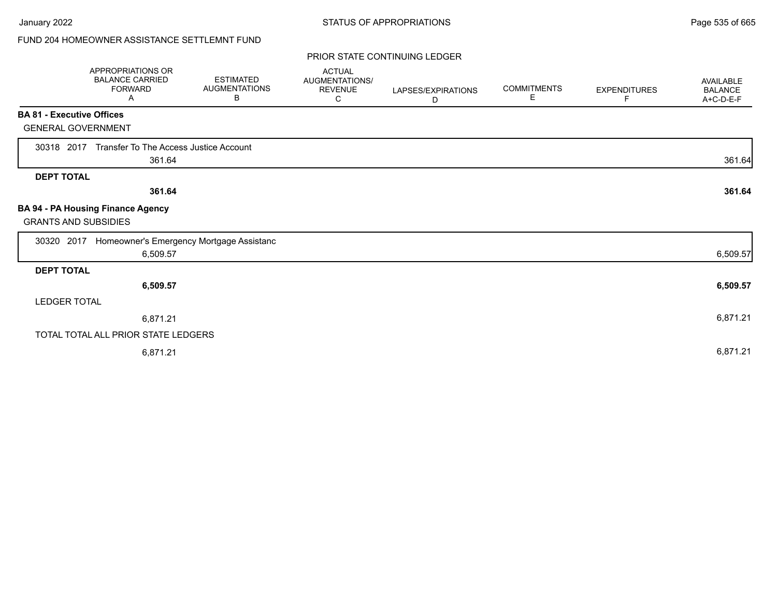# FUND 204 HOMEOWNER ASSISTANCE SETTLEMNT FUND

|                                  | APPROPRIATIONS OR<br><b>BALANCE CARRIED</b><br><b>FORWARD</b><br>A | <b>ESTIMATED</b><br><b>AUGMENTATIONS</b><br>В | <b>ACTUAL</b><br><b>AUGMENTATIONS/</b><br><b>REVENUE</b><br>C | LAPSES/EXPIRATIONS<br>D | <b>COMMITMENTS</b><br>Е | <b>EXPENDITURES</b><br>F | <b>AVAILABLE</b><br><b>BALANCE</b><br>A+C-D-E-F |
|----------------------------------|--------------------------------------------------------------------|-----------------------------------------------|---------------------------------------------------------------|-------------------------|-------------------------|--------------------------|-------------------------------------------------|
| <b>BA 81 - Executive Offices</b> |                                                                    |                                               |                                                               |                         |                         |                          |                                                 |
| <b>GENERAL GOVERNMENT</b>        |                                                                    |                                               |                                                               |                         |                         |                          |                                                 |
| 30318 2017                       | Transfer To The Access Justice Account                             |                                               |                                                               |                         |                         |                          |                                                 |
|                                  | 361.64                                                             |                                               |                                                               |                         |                         |                          | 361.64                                          |
| <b>DEPT TOTAL</b>                |                                                                    |                                               |                                                               |                         |                         |                          |                                                 |
|                                  | 361.64                                                             |                                               |                                                               |                         |                         |                          | 361.64                                          |
| <b>GRANTS AND SUBSIDIES</b>      | BA 94 - PA Housing Finance Agency                                  |                                               |                                                               |                         |                         |                          |                                                 |
| 30320 2017                       | Homeowner's Emergency Mortgage Assistanc                           |                                               |                                                               |                         |                         |                          |                                                 |
|                                  | 6,509.57                                                           |                                               |                                                               |                         |                         |                          | 6,509.57                                        |
| <b>DEPT TOTAL</b>                |                                                                    |                                               |                                                               |                         |                         |                          |                                                 |
|                                  | 6,509.57                                                           |                                               |                                                               |                         |                         |                          | 6,509.57                                        |
| LEDGER TOTAL                     |                                                                    |                                               |                                                               |                         |                         |                          |                                                 |
|                                  | 6,871.21                                                           |                                               |                                                               |                         |                         |                          | 6,871.21                                        |
|                                  | TOTAL TOTAL ALL PRIOR STATE LEDGERS                                |                                               |                                                               |                         |                         |                          |                                                 |
|                                  | 6,871.21                                                           |                                               |                                                               |                         |                         |                          | 6,871.21                                        |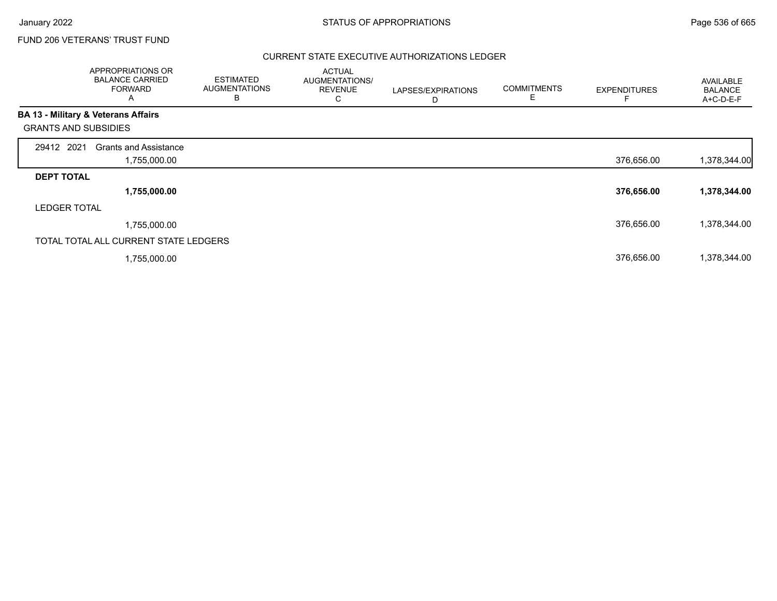## FUND 206 VETERANS' TRUST FUND

### CURRENT STATE EXECUTIVE AUTHORIZATIONS LEDGER

|                             | APPROPRIATIONS OR<br><b>BALANCE CARRIED</b><br><b>FORWARD</b><br>A | <b>ESTIMATED</b><br><b>AUGMENTATIONS</b><br>в | <b>ACTUAL</b><br>AUGMENTATIONS/<br><b>REVENUE</b><br>С | LAPSES/EXPIRATIONS<br>D | <b>COMMITMENTS</b><br>Е | <b>EXPENDITURES</b> | AVAILABLE<br><b>BALANCE</b><br>A+C-D-E-F |
|-----------------------------|--------------------------------------------------------------------|-----------------------------------------------|--------------------------------------------------------|-------------------------|-------------------------|---------------------|------------------------------------------|
|                             | BA 13 - Military & Veterans Affairs                                |                                               |                                                        |                         |                         |                     |                                          |
| <b>GRANTS AND SUBSIDIES</b> |                                                                    |                                               |                                                        |                         |                         |                     |                                          |
| 29412 2021                  | <b>Grants and Assistance</b>                                       |                                               |                                                        |                         |                         |                     |                                          |
|                             | 1,755,000.00                                                       |                                               |                                                        |                         |                         | 376,656.00          | 1,378,344.00                             |
| <b>DEPT TOTAL</b>           |                                                                    |                                               |                                                        |                         |                         |                     |                                          |
|                             | 1,755,000.00                                                       |                                               |                                                        |                         |                         | 376,656.00          | 1,378,344.00                             |
| <b>LEDGER TOTAL</b>         |                                                                    |                                               |                                                        |                         |                         |                     |                                          |
|                             | 1,755,000.00                                                       |                                               |                                                        |                         |                         | 376,656.00          | 1,378,344.00                             |
|                             | TOTAL TOTAL ALL CURRENT STATE LEDGERS                              |                                               |                                                        |                         |                         |                     |                                          |
|                             | 1,755,000.00                                                       |                                               |                                                        |                         |                         | 376,656.00          | 1,378,344.00                             |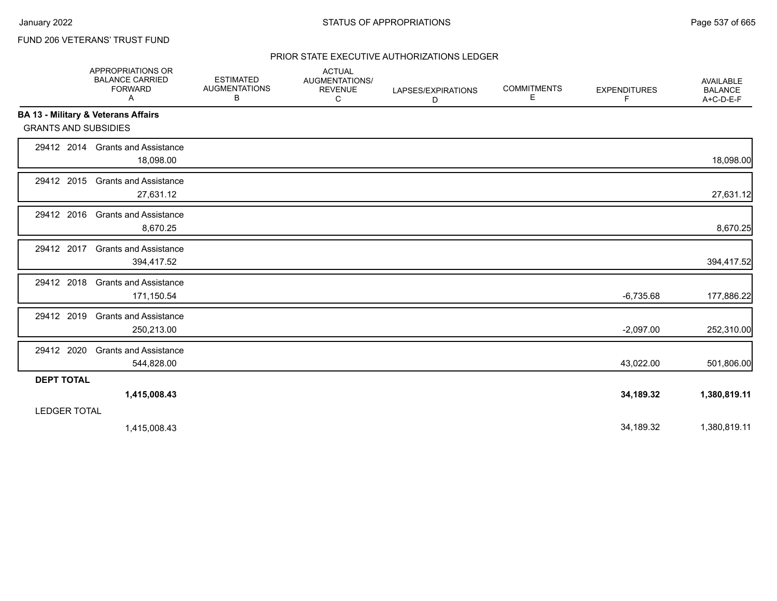# FUND 206 VETERANS' TRUST FUND

### PRIOR STATE EXECUTIVE AUTHORIZATIONS LEDGER

|                                                | APPROPRIATIONS OR<br><b>BALANCE CARRIED</b><br><b>FORWARD</b><br>Α | <b>ESTIMATED</b><br><b>AUGMENTATIONS</b><br>В | <b>ACTUAL</b><br><b>AUGMENTATIONS/</b><br><b>REVENUE</b><br>C | LAPSES/EXPIRATIONS<br>D | <b>COMMITMENTS</b><br>Ε | <b>EXPENDITURES</b><br>F. | <b>AVAILABLE</b><br><b>BALANCE</b><br>A+C-D-E-F |
|------------------------------------------------|--------------------------------------------------------------------|-----------------------------------------------|---------------------------------------------------------------|-------------------------|-------------------------|---------------------------|-------------------------------------------------|
| <b>BA 13 - Military &amp; Veterans Affairs</b> |                                                                    |                                               |                                                               |                         |                         |                           |                                                 |
| <b>GRANTS AND SUBSIDIES</b>                    |                                                                    |                                               |                                                               |                         |                         |                           |                                                 |
|                                                | 29412 2014 Grants and Assistance<br>18,098.00                      |                                               |                                                               |                         |                         |                           | 18,098.00                                       |
| 29412 2015                                     | <b>Grants and Assistance</b><br>27,631.12                          |                                               |                                                               |                         |                         |                           | 27,631.12                                       |
| 29412 2016                                     | <b>Grants and Assistance</b><br>8,670.25                           |                                               |                                                               |                         |                         |                           | 8,670.25                                        |
| 29412 2017                                     | <b>Grants and Assistance</b><br>394,417.52                         |                                               |                                                               |                         |                         |                           | 394,417.52                                      |
| 29412 2018                                     | <b>Grants and Assistance</b><br>171,150.54                         |                                               |                                                               |                         |                         | $-6,735.68$               | 177,886.22                                      |
| 29412 2019                                     | <b>Grants and Assistance</b><br>250,213.00                         |                                               |                                                               |                         |                         | $-2,097.00$               | 252,310.00                                      |
| 29412 2020                                     | <b>Grants and Assistance</b><br>544,828.00                         |                                               |                                                               |                         |                         | 43,022.00                 | 501,806.00                                      |
| <b>DEPT TOTAL</b>                              |                                                                    |                                               |                                                               |                         |                         |                           |                                                 |
|                                                | 1,415,008.43                                                       |                                               |                                                               |                         |                         | 34,189.32                 | 1,380,819.11                                    |
| <b>LEDGER TOTAL</b>                            |                                                                    |                                               |                                                               |                         |                         |                           |                                                 |
|                                                | 1,415,008.43                                                       |                                               |                                                               |                         |                         | 34,189.32                 | 1,380,819.11                                    |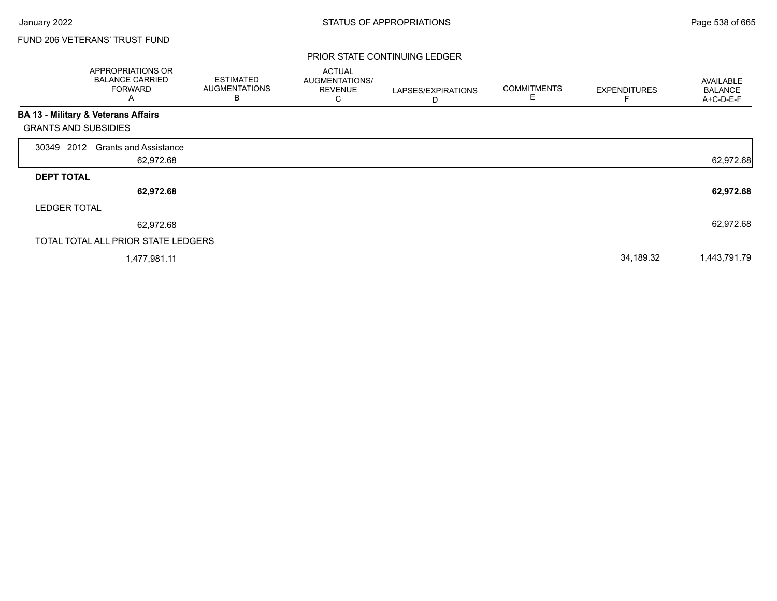Г

## FUND 206 VETERANS' TRUST FUND

|                             | APPROPRIATIONS OR<br><b>BALANCE CARRIED</b><br><b>FORWARD</b><br>A | <b>ESTIMATED</b><br><b>AUGMENTATIONS</b><br>B | <b>ACTUAL</b><br>AUGMENTATIONS/<br><b>REVENUE</b><br>С | LAPSES/EXPIRATIONS<br>D | <b>COMMITMENTS</b><br>E | <b>EXPENDITURES</b> | AVAILABLE<br><b>BALANCE</b><br>A+C-D-E-F |
|-----------------------------|--------------------------------------------------------------------|-----------------------------------------------|--------------------------------------------------------|-------------------------|-------------------------|---------------------|------------------------------------------|
|                             | BA 13 - Military & Veterans Affairs                                |                                               |                                                        |                         |                         |                     |                                          |
| <b>GRANTS AND SUBSIDIES</b> |                                                                    |                                               |                                                        |                         |                         |                     |                                          |
| 30349 2012                  | <b>Grants and Assistance</b>                                       |                                               |                                                        |                         |                         |                     |                                          |
|                             | 62,972.68                                                          |                                               |                                                        |                         |                         |                     | 62,972.68                                |
| <b>DEPT TOTAL</b>           |                                                                    |                                               |                                                        |                         |                         |                     |                                          |
|                             | 62,972.68                                                          |                                               |                                                        |                         |                         |                     | 62,972.68                                |
| <b>LEDGER TOTAL</b>         |                                                                    |                                               |                                                        |                         |                         |                     |                                          |
|                             | 62,972.68                                                          |                                               |                                                        |                         |                         |                     | 62,972.68                                |
|                             | TOTAL TOTAL ALL PRIOR STATE LEDGERS                                |                                               |                                                        |                         |                         |                     |                                          |
|                             | 1,477,981.11                                                       |                                               |                                                        |                         |                         | 34,189.32           | 1,443,791.79                             |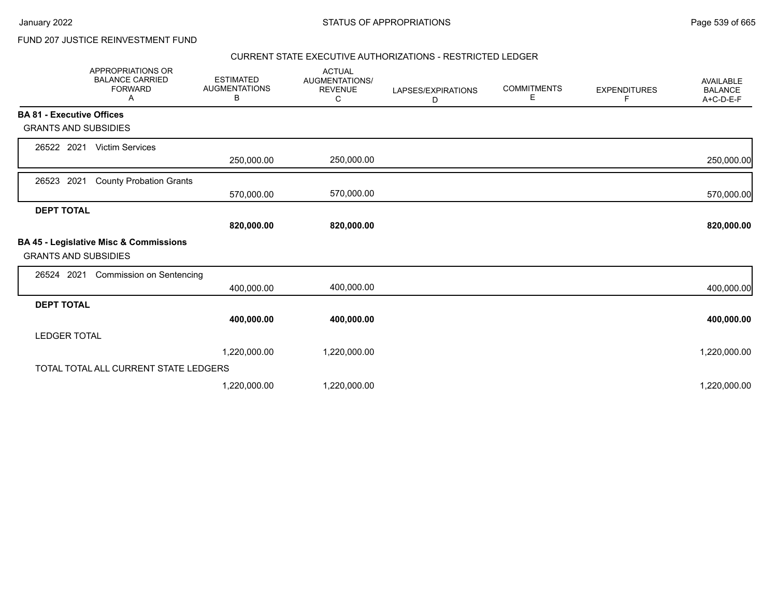# FUND 207 JUSTICE REINVESTMENT FUND

### CURRENT STATE EXECUTIVE AUTHORIZATIONS - RESTRICTED LEDGER

|                                  | <b>APPROPRIATIONS OR</b><br><b>BALANCE CARRIED</b><br><b>FORWARD</b><br>A | <b>ESTIMATED</b><br><b>AUGMENTATIONS</b><br>в | <b>ACTUAL</b><br>AUGMENTATIONS/<br><b>REVENUE</b><br>C | LAPSES/EXPIRATIONS<br>D | <b>COMMITMENTS</b><br>Е | <b>EXPENDITURES</b><br>F | AVAILABLE<br><b>BALANCE</b><br>A+C-D-E-F |
|----------------------------------|---------------------------------------------------------------------------|-----------------------------------------------|--------------------------------------------------------|-------------------------|-------------------------|--------------------------|------------------------------------------|
| <b>BA 81 - Executive Offices</b> |                                                                           |                                               |                                                        |                         |                         |                          |                                          |
| <b>GRANTS AND SUBSIDIES</b>      |                                                                           |                                               |                                                        |                         |                         |                          |                                          |
| 26522 2021                       | <b>Victim Services</b>                                                    |                                               |                                                        |                         |                         |                          |                                          |
|                                  |                                                                           | 250,000.00                                    | 250,000.00                                             |                         |                         |                          | 250,000.00                               |
| 2021<br>26523                    | <b>County Probation Grants</b>                                            |                                               |                                                        |                         |                         |                          |                                          |
|                                  |                                                                           | 570,000.00                                    | 570,000.00                                             |                         |                         |                          | 570,000.00                               |
| <b>DEPT TOTAL</b>                |                                                                           |                                               |                                                        |                         |                         |                          |                                          |
|                                  |                                                                           | 820,000.00                                    | 820,000.00                                             |                         |                         |                          | 820,000.00                               |
| <b>GRANTS AND SUBSIDIES</b>      | BA 45 - Legislative Misc & Commissions                                    |                                               |                                                        |                         |                         |                          |                                          |
| 26524 2021                       | <b>Commission on Sentencing</b>                                           |                                               |                                                        |                         |                         |                          |                                          |
|                                  |                                                                           | 400,000.00                                    | 400,000.00                                             |                         |                         |                          | 400,000.00                               |
| <b>DEPT TOTAL</b>                |                                                                           |                                               |                                                        |                         |                         |                          |                                          |
|                                  |                                                                           | 400,000.00                                    | 400,000.00                                             |                         |                         |                          | 400,000.00                               |
| <b>LEDGER TOTAL</b>              |                                                                           |                                               |                                                        |                         |                         |                          |                                          |
|                                  |                                                                           | 1,220,000.00                                  | 1,220,000.00                                           |                         |                         |                          | 1,220,000.00                             |
|                                  | TOTAL TOTAL ALL CURRENT STATE LEDGERS                                     |                                               |                                                        |                         |                         |                          |                                          |
|                                  |                                                                           | 1,220,000.00                                  | 1,220,000.00                                           |                         |                         |                          | 1,220,000.00                             |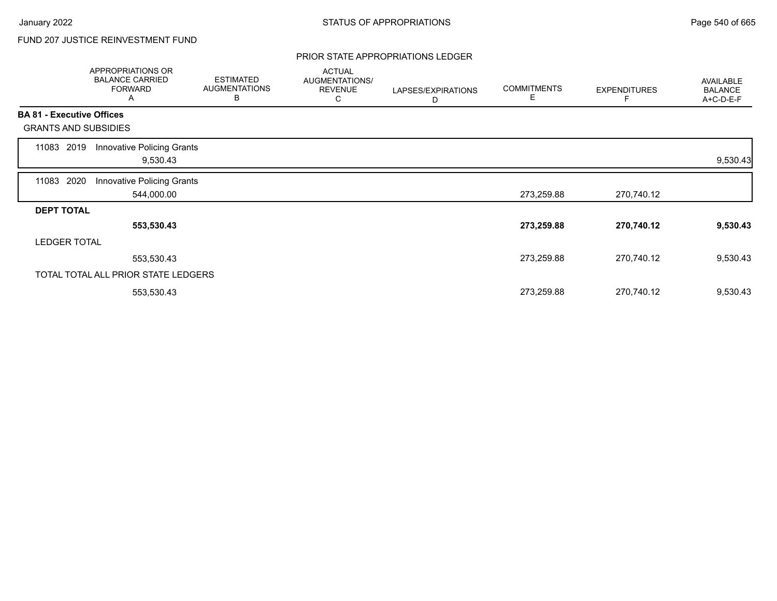# FUND 207 JUSTICE REINVESTMENT FUND

### PRIOR STATE APPROPRIATIONS LEDGER

|       | <b>APPROPRIATIONS OR</b><br><b>BALANCE CARRIED</b><br><b>FORWARD</b><br>Α | <b>ESTIMATED</b><br><b>AUGMENTATIONS</b><br>B | <b>ACTUAL</b><br>AUGMENTATIONS/<br><b>REVENUE</b><br>С | LAPSES/EXPIRATIONS<br>D | <b>COMMITMENTS</b><br>Е | <b>EXPENDITURES</b> | <b>AVAILABLE</b><br><b>BALANCE</b><br>A+C-D-E-F |
|-------|---------------------------------------------------------------------------|-----------------------------------------------|--------------------------------------------------------|-------------------------|-------------------------|---------------------|-------------------------------------------------|
|       | <b>BA 81 - Executive Offices</b>                                          |                                               |                                                        |                         |                         |                     |                                                 |
|       | <b>GRANTS AND SUBSIDIES</b>                                               |                                               |                                                        |                         |                         |                     |                                                 |
| 11083 | Innovative Policing Grants<br>2019<br>9,530.43                            |                                               |                                                        |                         |                         |                     | 9,530.43                                        |
| 11083 | 2020<br>Innovative Policing Grants<br>544,000.00                          |                                               |                                                        |                         | 273,259.88              | 270,740.12          |                                                 |
|       | <b>DEPT TOTAL</b>                                                         |                                               |                                                        |                         |                         |                     |                                                 |
|       | 553,530.43                                                                |                                               |                                                        |                         | 273,259.88              | 270,740.12          | 9,530.43                                        |
|       | <b>LEDGER TOTAL</b>                                                       |                                               |                                                        |                         |                         |                     |                                                 |
|       | 553,530.43                                                                |                                               |                                                        |                         | 273,259.88              | 270,740.12          | 9,530.43                                        |
|       | TOTAL TOTAL ALL PRIOR STATE LEDGERS                                       |                                               |                                                        |                         |                         |                     |                                                 |
|       | 553,530.43                                                                |                                               |                                                        |                         | 273,259.88              | 270,740.12          | 9,530.43                                        |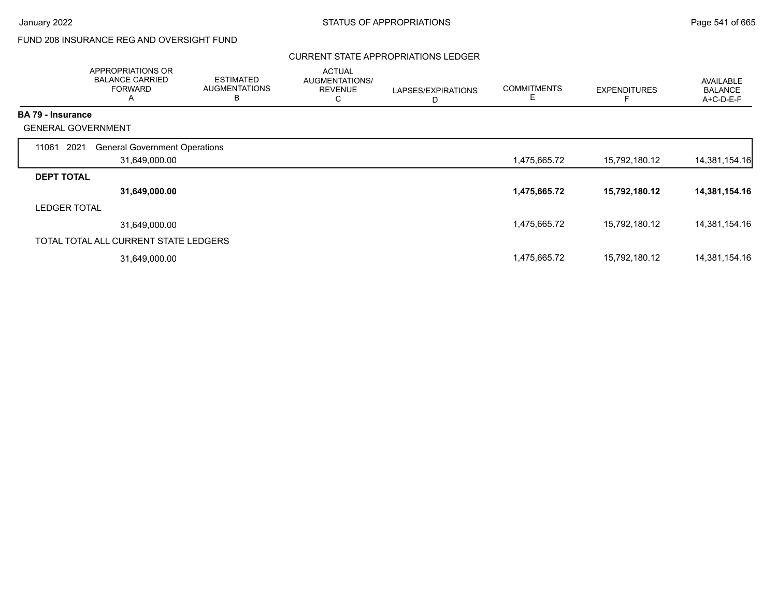# FUND 208 INSURANCE REG AND OVERSIGHT FUND

### CURRENT STATE APPROPRIATIONS LEDGER

|                          | APPROPRIATIONS OR<br><b>BALANCE CARRIED</b><br><b>FORWARD</b><br>A | <b>ESTIMATED</b><br><b>AUGMENTATIONS</b><br>В | <b>ACTUAL</b><br>AUGMENTATIONS/<br><b>REVENUE</b><br>С | LAPSES/EXPIRATIONS<br>D | <b>COMMITMENTS</b><br>Е | <b>EXPENDITURES</b> | <b>AVAILABLE</b><br><b>BALANCE</b><br>A+C-D-E-F |
|--------------------------|--------------------------------------------------------------------|-----------------------------------------------|--------------------------------------------------------|-------------------------|-------------------------|---------------------|-------------------------------------------------|
| <b>BA 79 - Insurance</b> |                                                                    |                                               |                                                        |                         |                         |                     |                                                 |
|                          | <b>GENERAL GOVERNMENT</b>                                          |                                               |                                                        |                         |                         |                     |                                                 |
| 11061                    | 2021<br><b>General Government Operations</b>                       |                                               |                                                        |                         |                         |                     |                                                 |
|                          | 31,649,000.00                                                      |                                               |                                                        |                         | 1,475,665.72            | 15,792,180.12       | 14,381,154.16                                   |
| <b>DEPT TOTAL</b>        |                                                                    |                                               |                                                        |                         |                         |                     |                                                 |
|                          | 31,649,000.00                                                      |                                               |                                                        |                         | 1,475,665.72            | 15,792,180.12       | 14,381,154.16                                   |
| <b>LEDGER TOTAL</b>      |                                                                    |                                               |                                                        |                         |                         |                     |                                                 |
|                          | 31,649,000.00                                                      |                                               |                                                        |                         | 1,475,665.72            | 15,792,180.12       | 14,381,154.16                                   |
|                          | TOTAL TOTAL ALL CURRENT STATE LEDGERS                              |                                               |                                                        |                         |                         |                     |                                                 |
|                          | 31,649,000.00                                                      |                                               |                                                        |                         | 1,475,665.72            | 15,792,180.12       | 14,381,154.16                                   |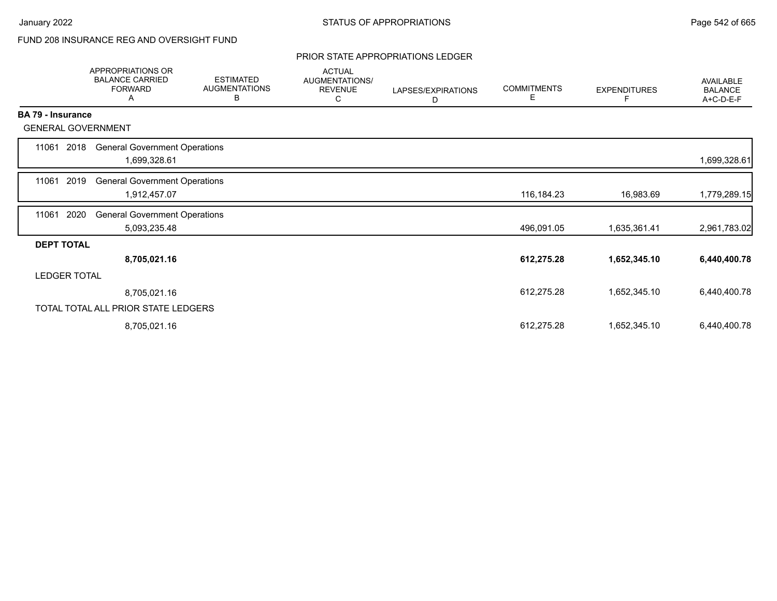# FUND 208 INSURANCE REG AND OVERSIGHT FUND

### PRIOR STATE APPROPRIATIONS LEDGER

|                          | <b>APPROPRIATIONS OR</b><br><b>BALANCE CARRIED</b><br><b>FORWARD</b><br>Α | <b>ESTIMATED</b><br><b>AUGMENTATIONS</b><br>В | <b>ACTUAL</b><br>AUGMENTATIONS/<br><b>REVENUE</b><br>С | LAPSES/EXPIRATIONS<br>D | <b>COMMITMENTS</b><br>Е | <b>EXPENDITURES</b><br>F | AVAILABLE<br><b>BALANCE</b><br>A+C-D-E-F |
|--------------------------|---------------------------------------------------------------------------|-----------------------------------------------|--------------------------------------------------------|-------------------------|-------------------------|--------------------------|------------------------------------------|
| <b>BA 79 - Insurance</b> |                                                                           |                                               |                                                        |                         |                         |                          |                                          |
|                          | <b>GENERAL GOVERNMENT</b>                                                 |                                               |                                                        |                         |                         |                          |                                          |
| 11061                    | <b>General Government Operations</b><br>2018<br>1,699,328.61              |                                               |                                                        |                         |                         |                          | 1,699,328.61                             |
| 11061                    | 2019<br><b>General Government Operations</b><br>1,912,457.07              |                                               |                                                        |                         | 116,184.23              | 16,983.69                | 1,779,289.15                             |
| 11061                    | 2020<br><b>General Government Operations</b><br>5,093,235.48              |                                               |                                                        |                         | 496,091.05              | 1,635,361.41             | 2,961,783.02                             |
| <b>DEPT TOTAL</b>        |                                                                           |                                               |                                                        |                         |                         |                          |                                          |
|                          | 8,705,021.16                                                              |                                               |                                                        |                         | 612,275.28              | 1,652,345.10             | 6,440,400.78                             |
| <b>LEDGER TOTAL</b>      |                                                                           |                                               |                                                        |                         |                         |                          |                                          |
|                          | 8,705,021.16                                                              |                                               |                                                        |                         | 612,275.28              | 1,652,345.10             | 6,440,400.78                             |
|                          | TOTAL TOTAL ALL PRIOR STATE LEDGERS                                       |                                               |                                                        |                         |                         |                          |                                          |
|                          | 8,705,021.16                                                              |                                               |                                                        |                         | 612,275.28              | 1,652,345.10             | 6,440,400.78                             |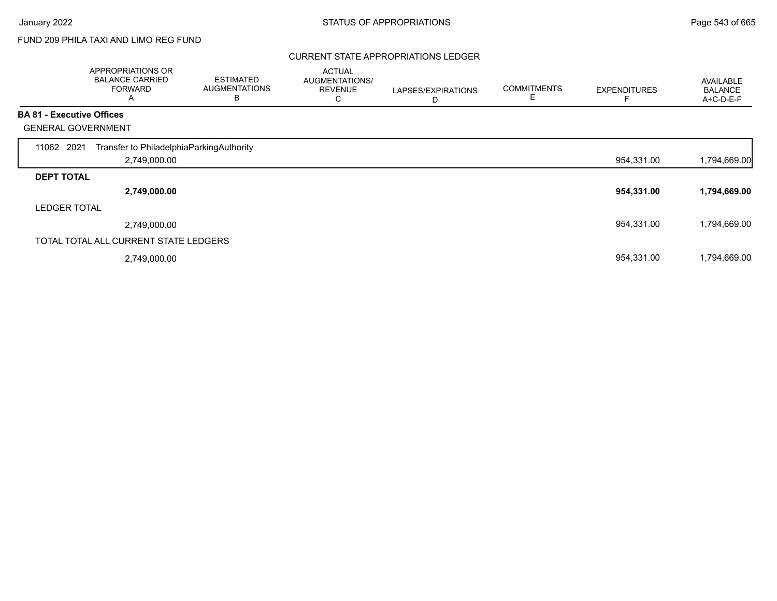г

# FUND 209 PHILA TAXI AND LIMO REG FUND

### CURRENT STATE APPROPRIATIONS LEDGER

|                                  | APPROPRIATIONS OR<br><b>BALANCE CARRIED</b><br><b>FORWARD</b><br>A | <b>ESTIMATED</b><br><b>AUGMENTATIONS</b><br>B | <b>ACTUAL</b><br>AUGMENTATIONS/<br><b>REVENUE</b><br>С | LAPSES/EXPIRATIONS<br>D | <b>COMMITMENTS</b><br>E | <b>EXPENDITURES</b> | AVAILABLE<br><b>BALANCE</b><br>A+C-D-E-F |
|----------------------------------|--------------------------------------------------------------------|-----------------------------------------------|--------------------------------------------------------|-------------------------|-------------------------|---------------------|------------------------------------------|
| <b>BA 81 - Executive Offices</b> |                                                                    |                                               |                                                        |                         |                         |                     |                                          |
| <b>GENERAL GOVERNMENT</b>        |                                                                    |                                               |                                                        |                         |                         |                     |                                          |
| 11062 2021                       | Transfer to PhiladelphiaParkingAuthority                           |                                               |                                                        |                         |                         |                     |                                          |
|                                  | 2,749,000.00                                                       |                                               |                                                        |                         |                         | 954,331.00          | 1,794,669.00                             |
| <b>DEPT TOTAL</b>                |                                                                    |                                               |                                                        |                         |                         |                     |                                          |
|                                  | 2,749,000.00                                                       |                                               |                                                        |                         |                         | 954,331.00          | 1,794,669.00                             |
| <b>LEDGER TOTAL</b>              |                                                                    |                                               |                                                        |                         |                         |                     |                                          |
|                                  | 2,749,000.00                                                       |                                               |                                                        |                         |                         | 954,331.00          | 1,794,669.00                             |
|                                  | TOTAL TOTAL ALL CURRENT STATE LEDGERS                              |                                               |                                                        |                         |                         |                     |                                          |
|                                  | 2,749,000.00                                                       |                                               |                                                        |                         |                         | 954,331.00          | 1,794,669.00                             |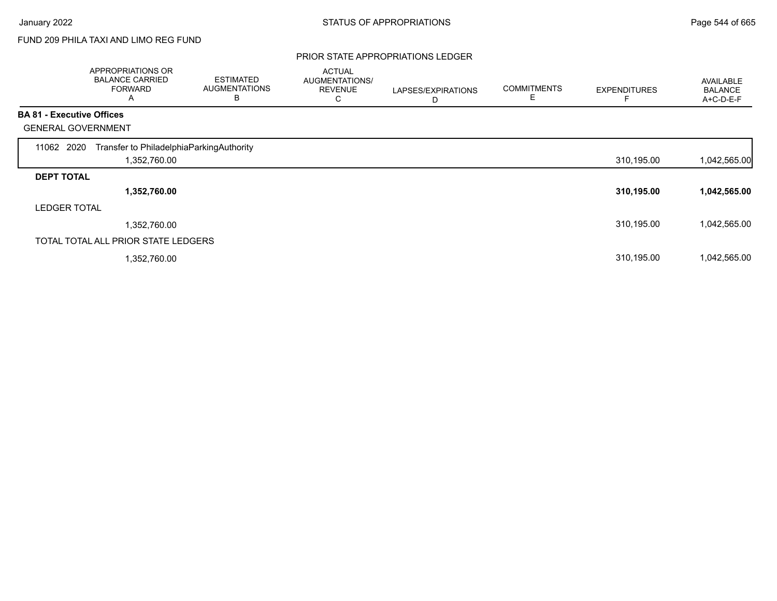# FUND 209 PHILA TAXI AND LIMO REG FUND

#### PRIOR STATE APPROPRIATIONS LEDGER

|                                  | APPROPRIATIONS OR<br><b>BALANCE CARRIED</b><br><b>FORWARD</b><br>A | <b>ESTIMATED</b><br><b>AUGMENTATIONS</b><br>B | <b>ACTUAL</b><br><b>AUGMENTATIONS/</b><br><b>REVENUE</b><br>С | LAPSES/EXPIRATIONS<br>D | <b>COMMITMENTS</b> | <b>EXPENDITURES</b> | AVAILABLE<br><b>BALANCE</b><br>A+C-D-E-F |
|----------------------------------|--------------------------------------------------------------------|-----------------------------------------------|---------------------------------------------------------------|-------------------------|--------------------|---------------------|------------------------------------------|
| <b>BA 81 - Executive Offices</b> |                                                                    |                                               |                                                               |                         |                    |                     |                                          |
|                                  | <b>GENERAL GOVERNMENT</b>                                          |                                               |                                                               |                         |                    |                     |                                          |
| 11062 2020                       | Transfer to PhiladelphiaParkingAuthority                           |                                               |                                                               |                         |                    |                     |                                          |
|                                  | 1,352,760.00                                                       |                                               |                                                               |                         |                    | 310,195.00          | 1,042,565.00                             |
| <b>DEPT TOTAL</b>                |                                                                    |                                               |                                                               |                         |                    |                     |                                          |
|                                  | 1,352,760.00                                                       |                                               |                                                               |                         |                    | 310,195.00          | 1,042,565.00                             |
| <b>LEDGER TOTAL</b>              |                                                                    |                                               |                                                               |                         |                    |                     |                                          |
|                                  | 1,352,760.00                                                       |                                               |                                                               |                         |                    | 310,195.00          | 1,042,565.00                             |
|                                  | TOTAL TOTAL ALL PRIOR STATE LEDGERS                                |                                               |                                                               |                         |                    |                     |                                          |
|                                  | 1,352,760.00                                                       |                                               |                                                               |                         |                    | 310,195.00          | 1,042,565.00                             |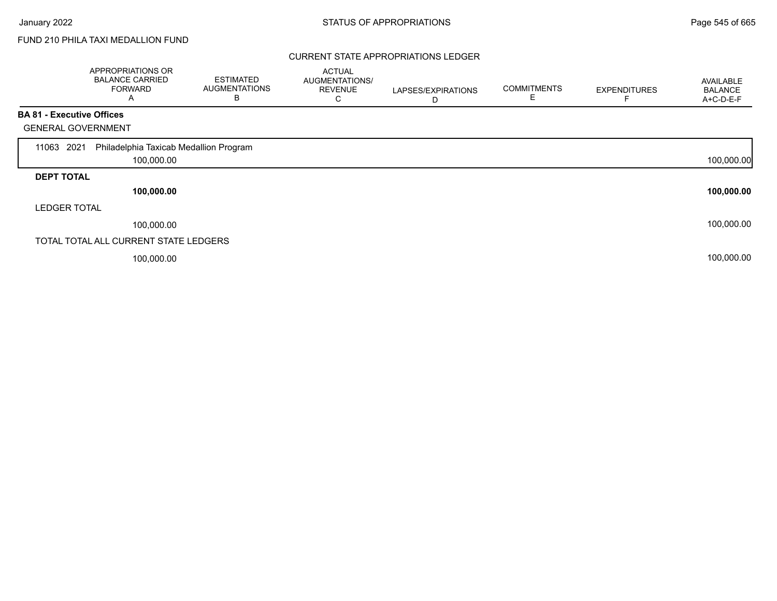Г

## FUND 210 PHILA TAXI MEDALLION FUND

### CURRENT STATE APPROPRIATIONS LEDGER

|                                  | <b>APPROPRIATIONS OR</b><br><b>BALANCE CARRIED</b><br><b>FORWARD</b><br>A | <b>ESTIMATED</b><br><b>AUGMENTATIONS</b><br>в | <b>ACTUAL</b><br>AUGMENTATIONS/<br><b>REVENUE</b><br>С | LAPSES/EXPIRATIONS<br>D | <b>COMMITMENTS</b><br>E | <b>EXPENDITURES</b> | AVAILABLE<br><b>BALANCE</b><br>A+C-D-E-F |
|----------------------------------|---------------------------------------------------------------------------|-----------------------------------------------|--------------------------------------------------------|-------------------------|-------------------------|---------------------|------------------------------------------|
| <b>BA 81 - Executive Offices</b> |                                                                           |                                               |                                                        |                         |                         |                     |                                          |
| <b>GENERAL GOVERNMENT</b>        |                                                                           |                                               |                                                        |                         |                         |                     |                                          |
| 2021<br>11063                    | Philadelphia Taxicab Medallion Program                                    |                                               |                                                        |                         |                         |                     |                                          |
|                                  | 100,000.00                                                                |                                               |                                                        |                         |                         |                     | 100,000.00                               |
| <b>DEPT TOTAL</b>                |                                                                           |                                               |                                                        |                         |                         |                     |                                          |
|                                  | 100,000.00                                                                |                                               |                                                        |                         |                         |                     | 100,000.00                               |
| <b>LEDGER TOTAL</b>              |                                                                           |                                               |                                                        |                         |                         |                     |                                          |
|                                  | 100,000.00                                                                |                                               |                                                        |                         |                         |                     | 100,000.00                               |
|                                  | TOTAL TOTAL ALL CURRENT STATE LEDGERS                                     |                                               |                                                        |                         |                         |                     |                                          |
|                                  | 100,000.00                                                                |                                               |                                                        |                         |                         |                     | 100,000.00                               |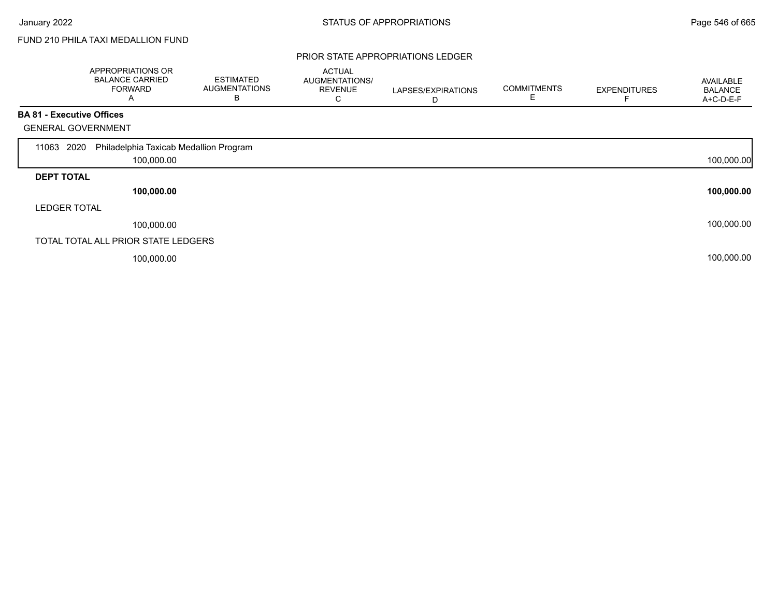Г

## FUND 210 PHILA TAXI MEDALLION FUND

### PRIOR STATE APPROPRIATIONS LEDGER

|                                  | <b>APPROPRIATIONS OR</b><br><b>BALANCE CARRIED</b><br><b>FORWARD</b><br>A | <b>ESTIMATED</b><br><b>AUGMENTATIONS</b><br>в | <b>ACTUAL</b><br>AUGMENTATIONS/<br><b>REVENUE</b><br>С | LAPSES/EXPIRATIONS<br>D | <b>COMMITMENTS</b> | <b>EXPENDITURES</b> | <b>AVAILABLE</b><br><b>BALANCE</b><br>A+C-D-E-F |
|----------------------------------|---------------------------------------------------------------------------|-----------------------------------------------|--------------------------------------------------------|-------------------------|--------------------|---------------------|-------------------------------------------------|
| <b>BA 81 - Executive Offices</b> |                                                                           |                                               |                                                        |                         |                    |                     |                                                 |
| <b>GENERAL GOVERNMENT</b>        |                                                                           |                                               |                                                        |                         |                    |                     |                                                 |
| 2020<br>11063                    | Philadelphia Taxicab Medallion Program                                    |                                               |                                                        |                         |                    |                     |                                                 |
|                                  | 100,000.00                                                                |                                               |                                                        |                         |                    |                     | 100,000.00                                      |
| <b>DEPT TOTAL</b>                |                                                                           |                                               |                                                        |                         |                    |                     |                                                 |
|                                  | 100,000.00                                                                |                                               |                                                        |                         |                    |                     | 100,000.00                                      |
| <b>LEDGER TOTAL</b>              |                                                                           |                                               |                                                        |                         |                    |                     |                                                 |
|                                  | 100,000.00                                                                |                                               |                                                        |                         |                    |                     | 100,000.00                                      |
|                                  | TOTAL TOTAL ALL PRIOR STATE LEDGERS                                       |                                               |                                                        |                         |                    |                     |                                                 |
|                                  | 100,000.00                                                                |                                               |                                                        |                         |                    |                     | 100,000.00                                      |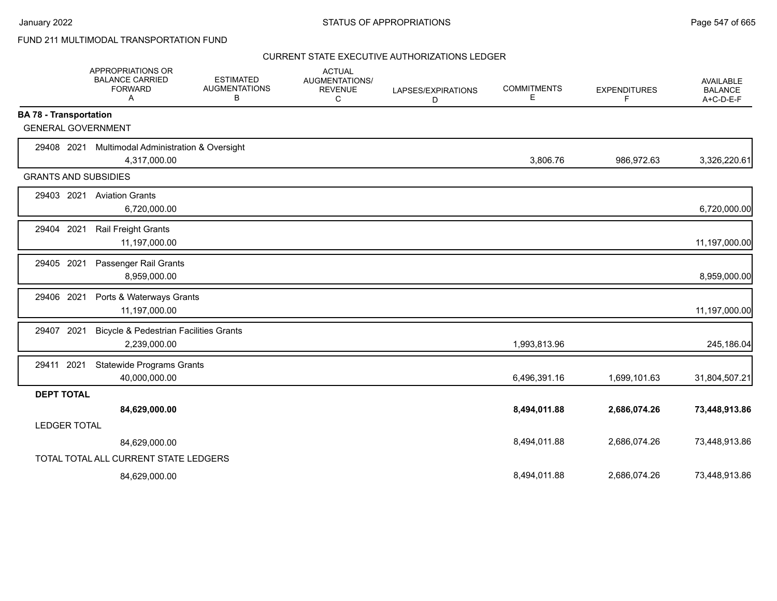January 2022 **STATUS OF APPROPRIATIONS** STATUS OF APPROPRIATIONS

### FUND 211 MULTIMODAL TRANSPORTATION FUND

|                               | APPROPRIATIONS OR<br><b>BALANCE CARRIED</b><br><b>FORWARD</b><br>Α | <b>ESTIMATED</b><br><b>AUGMENTATIONS</b><br>В | <b>ACTUAL</b><br>AUGMENTATIONS/<br><b>REVENUE</b><br>С | LAPSES/EXPIRATIONS<br>D | <b>COMMITMENTS</b><br>Е | <b>EXPENDITURES</b><br>F | AVAILABLE<br><b>BALANCE</b><br>A+C-D-E-F |
|-------------------------------|--------------------------------------------------------------------|-----------------------------------------------|--------------------------------------------------------|-------------------------|-------------------------|--------------------------|------------------------------------------|
| <b>BA 78 - Transportation</b> |                                                                    |                                               |                                                        |                         |                         |                          |                                          |
| <b>GENERAL GOVERNMENT</b>     |                                                                    |                                               |                                                        |                         |                         |                          |                                          |
| 29408 2021                    | Multimodal Administration & Oversight<br>4,317,000.00              |                                               |                                                        |                         | 3,806.76                | 986,972.63               | 3,326,220.61                             |
| <b>GRANTS AND SUBSIDIES</b>   |                                                                    |                                               |                                                        |                         |                         |                          |                                          |
| 29403 2021                    | <b>Aviation Grants</b><br>6,720,000.00                             |                                               |                                                        |                         |                         |                          | 6,720,000.00                             |
| 2021<br>29404                 | Rail Freight Grants<br>11,197,000.00                               |                                               |                                                        |                         |                         |                          | 11,197,000.00                            |
| 29405 2021                    | Passenger Rail Grants<br>8,959,000.00                              |                                               |                                                        |                         |                         |                          | 8,959,000.00                             |
| 29406 2021                    | Ports & Waterways Grants<br>11,197,000.00                          |                                               |                                                        |                         |                         |                          | 11,197,000.00                            |
| 29407 2021                    | <b>Bicycle &amp; Pedestrian Facilities Grants</b><br>2,239,000.00  |                                               |                                                        |                         | 1,993,813.96            |                          | 245,186.04                               |
| 29411 2021                    | <b>Statewide Programs Grants</b><br>40,000,000.00                  |                                               |                                                        |                         | 6,496,391.16            | 1,699,101.63             | 31,804,507.21                            |
| <b>DEPT TOTAL</b>             |                                                                    |                                               |                                                        |                         |                         |                          |                                          |
|                               | 84,629,000.00                                                      |                                               |                                                        |                         | 8,494,011.88            | 2,686,074.26             | 73,448,913.86                            |
| <b>LEDGER TOTAL</b>           |                                                                    |                                               |                                                        |                         |                         |                          |                                          |
|                               | 84,629,000.00                                                      |                                               |                                                        |                         | 8,494,011.88            | 2,686,074.26             | 73,448,913.86                            |
|                               | TOTAL TOTAL ALL CURRENT STATE LEDGERS                              |                                               |                                                        |                         |                         |                          |                                          |
|                               | 84,629,000.00                                                      |                                               |                                                        |                         | 8,494,011.88            | 2,686,074.26             | 73,448,913.86                            |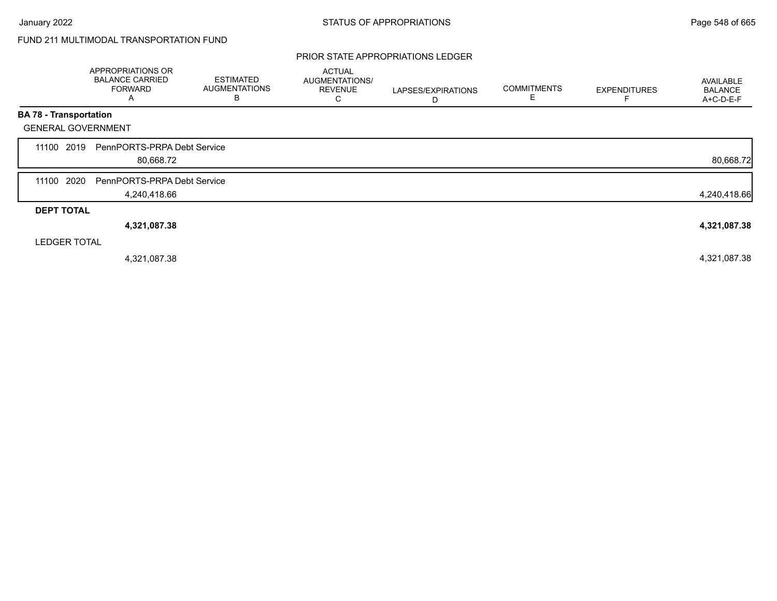### PRIOR STATE APPROPRIATIONS LEDGER

|                               | APPROPRIATIONS OR<br><b>BALANCE CARRIED</b><br><b>FORWARD</b><br>A | <b>ESTIMATED</b><br><b>AUGMENTATIONS</b><br>B | <b>ACTUAL</b><br><b>AUGMENTATIONS/</b><br><b>REVENUE</b><br>С | LAPSES/EXPIRATIONS<br>D | <b>COMMITMENTS</b> | <b>EXPENDITURES</b> | AVAILABLE<br><b>BALANCE</b><br>A+C-D-E-F |
|-------------------------------|--------------------------------------------------------------------|-----------------------------------------------|---------------------------------------------------------------|-------------------------|--------------------|---------------------|------------------------------------------|
| <b>BA 78 - Transportation</b> |                                                                    |                                               |                                                               |                         |                    |                     |                                          |
| <b>GENERAL GOVERNMENT</b>     |                                                                    |                                               |                                                               |                         |                    |                     |                                          |
| 2019<br>11100                 | PennPORTS-PRPA Debt Service<br>80,668.72                           |                                               |                                                               |                         |                    |                     | 80,668.72                                |
| 2020<br>11100                 | PennPORTS-PRPA Debt Service<br>4,240,418.66                        |                                               |                                                               |                         |                    |                     | 4,240,418.66                             |
| <b>DEPT TOTAL</b>             |                                                                    |                                               |                                                               |                         |                    |                     |                                          |
|                               | 4,321,087.38                                                       |                                               |                                                               |                         |                    |                     | 4,321,087.38                             |
| <b>LEDGER TOTAL</b>           |                                                                    |                                               |                                                               |                         |                    |                     |                                          |
|                               | 4,321,087.38                                                       |                                               |                                                               |                         |                    |                     | 4,321,087.38                             |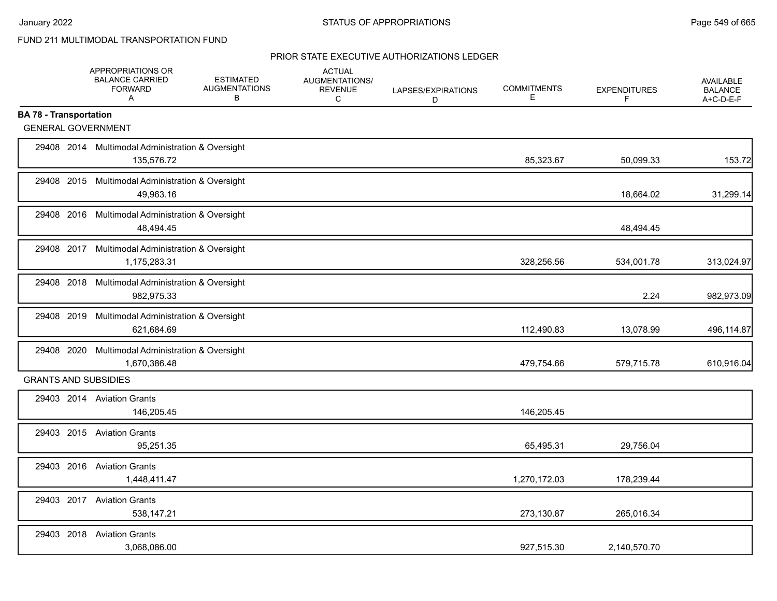|                               | APPROPRIATIONS OR<br><b>BALANCE CARRIED</b><br><b>FORWARD</b><br>$\mathsf{A}$ | <b>ESTIMATED</b><br><b>AUGMENTATIONS</b><br>В | <b>ACTUAL</b><br><b>AUGMENTATIONS/</b><br><b>REVENUE</b><br>C | LAPSES/EXPIRATIONS<br>D | <b>COMMITMENTS</b><br>Е | <b>EXPENDITURES</b><br>F | <b>AVAILABLE</b><br><b>BALANCE</b><br>A+C-D-E-F |
|-------------------------------|-------------------------------------------------------------------------------|-----------------------------------------------|---------------------------------------------------------------|-------------------------|-------------------------|--------------------------|-------------------------------------------------|
| <b>BA 78 - Transportation</b> |                                                                               |                                               |                                                               |                         |                         |                          |                                                 |
| <b>GENERAL GOVERNMENT</b>     |                                                                               |                                               |                                                               |                         |                         |                          |                                                 |
|                               | 29408 2014 Multimodal Administration & Oversight<br>135,576.72                |                                               |                                                               |                         | 85,323.67               | 50,099.33                | 153.72                                          |
|                               | 29408 2015 Multimodal Administration & Oversight<br>49,963.16                 |                                               |                                                               |                         |                         | 18,664.02                | 31,299.14                                       |
|                               | 29408 2016 Multimodal Administration & Oversight<br>48,494.45                 |                                               |                                                               |                         |                         | 48,494.45                |                                                 |
|                               | 29408 2017 Multimodal Administration & Oversight<br>1,175,283.31              |                                               |                                                               |                         | 328,256.56              | 534,001.78               | 313,024.97                                      |
|                               | 29408 2018 Multimodal Administration & Oversight<br>982,975.33                |                                               |                                                               |                         |                         | 2.24                     | 982,973.09                                      |
|                               | 29408 2019 Multimodal Administration & Oversight<br>621,684.69                |                                               |                                                               |                         | 112,490.83              | 13,078.99                | 496,114.87                                      |
|                               | 29408 2020 Multimodal Administration & Oversight<br>1,670,386.48              |                                               |                                                               |                         | 479,754.66              | 579.715.78               | 610,916.04                                      |
| <b>GRANTS AND SUBSIDIES</b>   |                                                                               |                                               |                                                               |                         |                         |                          |                                                 |
|                               | 29403 2014 Aviation Grants<br>146,205.45                                      |                                               |                                                               |                         | 146,205.45              |                          |                                                 |
|                               | 29403 2015 Aviation Grants<br>95,251.35                                       |                                               |                                                               |                         | 65,495.31               | 29,756.04                |                                                 |
|                               | 29403 2016 Aviation Grants<br>1,448,411.47                                    |                                               |                                                               |                         | 1,270,172.03            | 178,239.44               |                                                 |
|                               | 29403 2017 Aviation Grants<br>538,147.21                                      |                                               |                                                               |                         | 273,130.87              | 265,016.34               |                                                 |
|                               | 29403 2018 Aviation Grants<br>3,068,086.00                                    |                                               |                                                               |                         | 927,515.30              | 2,140,570.70             |                                                 |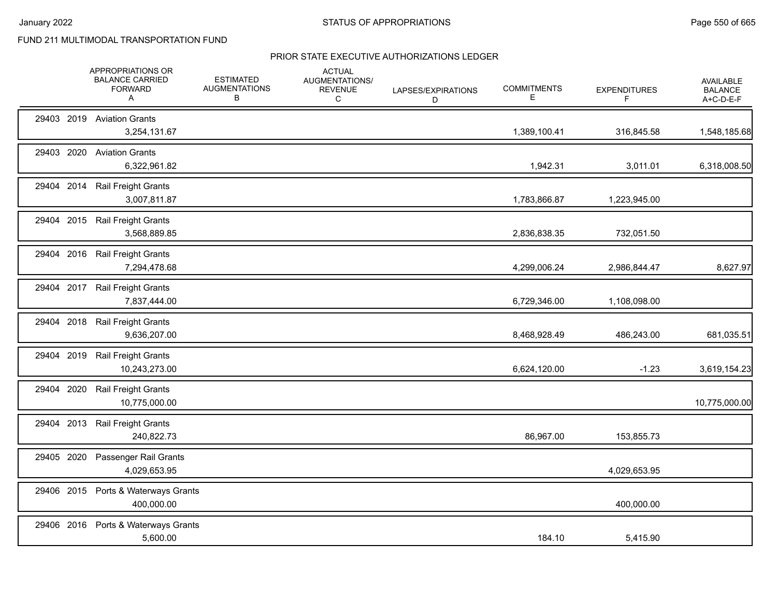|            | APPROPRIATIONS OR<br><b>BALANCE CARRIED</b><br><b>FORWARD</b><br>Α | <b>ESTIMATED</b><br><b>AUGMENTATIONS</b><br>в | <b>ACTUAL</b><br>AUGMENTATIONS/<br><b>REVENUE</b><br>C | LAPSES/EXPIRATIONS<br>D | <b>COMMITMENTS</b><br>Е | <b>EXPENDITURES</b><br>F | <b>AVAILABLE</b><br><b>BALANCE</b><br>A+C-D-E-F |
|------------|--------------------------------------------------------------------|-----------------------------------------------|--------------------------------------------------------|-------------------------|-------------------------|--------------------------|-------------------------------------------------|
|            | 29403 2019 Aviation Grants<br>3,254,131.67                         |                                               |                                                        |                         | 1,389,100.41            | 316,845.58               | 1,548,185.68                                    |
|            | 29403 2020 Aviation Grants<br>6,322,961.82                         |                                               |                                                        |                         | 1,942.31                | 3,011.01                 | 6,318,008.50                                    |
| 29404 2014 | <b>Rail Freight Grants</b><br>3,007,811.87                         |                                               |                                                        |                         | 1,783,866.87            | 1,223,945.00             |                                                 |
| 29404 2015 | <b>Rail Freight Grants</b><br>3,568,889.85                         |                                               |                                                        |                         | 2,836,838.35            | 732,051.50               |                                                 |
|            | 29404 2016 Rail Freight Grants<br>7,294,478.68                     |                                               |                                                        |                         | 4,299,006.24            | 2,986,844.47             | 8,627.97                                        |
|            | 29404 2017 Rail Freight Grants<br>7,837,444.00                     |                                               |                                                        |                         | 6,729,346.00            | 1,108,098.00             |                                                 |
| 29404 2018 | Rail Freight Grants<br>9,636,207.00                                |                                               |                                                        |                         | 8,468,928.49            | 486,243.00               | 681,035.51                                      |
| 29404 2019 | <b>Rail Freight Grants</b><br>10,243,273.00                        |                                               |                                                        |                         | 6,624,120.00            | $-1.23$                  | 3,619,154.23                                    |
| 29404 2020 | Rail Freight Grants<br>10,775,000.00                               |                                               |                                                        |                         |                         |                          | 10,775,000.00                                   |
| 29404 2013 | <b>Rail Freight Grants</b><br>240,822.73                           |                                               |                                                        |                         | 86,967.00               | 153,855.73               |                                                 |
| 29405 2020 | Passenger Rail Grants<br>4,029,653.95                              |                                               |                                                        |                         |                         | 4,029,653.95             |                                                 |
| 29406 2015 | Ports & Waterways Grants<br>400,000.00                             |                                               |                                                        |                         |                         | 400,000.00               |                                                 |
|            | 29406 2016 Ports & Waterways Grants<br>5,600.00                    |                                               |                                                        |                         | 184.10                  | 5,415.90                 |                                                 |
|            |                                                                    |                                               |                                                        |                         |                         |                          |                                                 |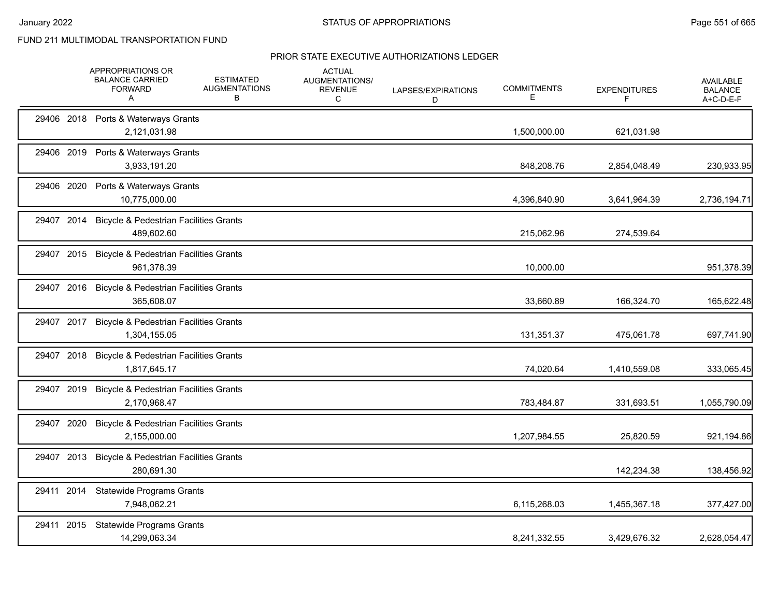|            | APPROPRIATIONS OR<br><b>BALANCE CARRIED</b><br><b>FORWARD</b><br>A | <b>ESTIMATED</b><br><b>AUGMENTATIONS</b><br>в | <b>ACTUAL</b><br>AUGMENTATIONS/<br><b>REVENUE</b><br>С | LAPSES/EXPIRATIONS<br>D | <b>COMMITMENTS</b><br>Е | <b>EXPENDITURES</b><br>F | <b>AVAILABLE</b><br><b>BALANCE</b><br>A+C-D-E-F |
|------------|--------------------------------------------------------------------|-----------------------------------------------|--------------------------------------------------------|-------------------------|-------------------------|--------------------------|-------------------------------------------------|
|            | 29406 2018 Ports & Waterways Grants<br>2,121,031.98                |                                               |                                                        |                         | 1,500,000.00            | 621,031.98               |                                                 |
|            | 29406 2019 Ports & Waterways Grants<br>3,933,191.20                |                                               |                                                        |                         | 848,208.76              | 2,854,048.49             | 230,933.95                                      |
| 29406 2020 | Ports & Waterways Grants<br>10,775,000.00                          |                                               |                                                        |                         | 4,396,840.90            | 3,641,964.39             | 2,736,194.71                                    |
| 29407 2014 | <b>Bicycle &amp; Pedestrian Facilities Grants</b><br>489,602.60    |                                               |                                                        |                         | 215,062.96              | 274,539.64               |                                                 |
| 29407 2015 | <b>Bicycle &amp; Pedestrian Facilities Grants</b><br>961,378.39    |                                               |                                                        |                         | 10,000.00               |                          | 951,378.39                                      |
| 29407 2016 | <b>Bicycle &amp; Pedestrian Facilities Grants</b><br>365,608.07    |                                               |                                                        |                         | 33,660.89               | 166,324.70               | 165,622.48                                      |
| 29407 2017 | <b>Bicycle &amp; Pedestrian Facilities Grants</b><br>1,304,155.05  |                                               |                                                        |                         | 131,351.37              | 475,061.78               | 697,741.90                                      |
| 29407 2018 | <b>Bicycle &amp; Pedestrian Facilities Grants</b><br>1,817,645.17  |                                               |                                                        |                         | 74,020.64               | 1,410,559.08             | 333,065.45                                      |
| 29407 2019 | <b>Bicycle &amp; Pedestrian Facilities Grants</b><br>2,170,968.47  |                                               |                                                        |                         | 783,484.87              | 331,693.51               | 1,055,790.09                                    |
| 29407 2020 | <b>Bicycle &amp; Pedestrian Facilities Grants</b><br>2,155,000.00  |                                               |                                                        |                         | 1,207,984.55            | 25,820.59                | 921,194.86                                      |
| 29407 2013 | <b>Bicycle &amp; Pedestrian Facilities Grants</b><br>280,691.30    |                                               |                                                        |                         |                         | 142,234.38               | 138,456.92                                      |
| 29411 2014 | <b>Statewide Programs Grants</b><br>7,948,062.21                   |                                               |                                                        |                         | 6,115,268.03            | 1,455,367.18             | 377,427.00                                      |
| 29411 2015 | <b>Statewide Programs Grants</b><br>14,299,063.34                  |                                               |                                                        |                         | 8,241,332.55            | 3,429,676.32             | 2,628,054.47                                    |
|            |                                                                    |                                               |                                                        |                         |                         |                          |                                                 |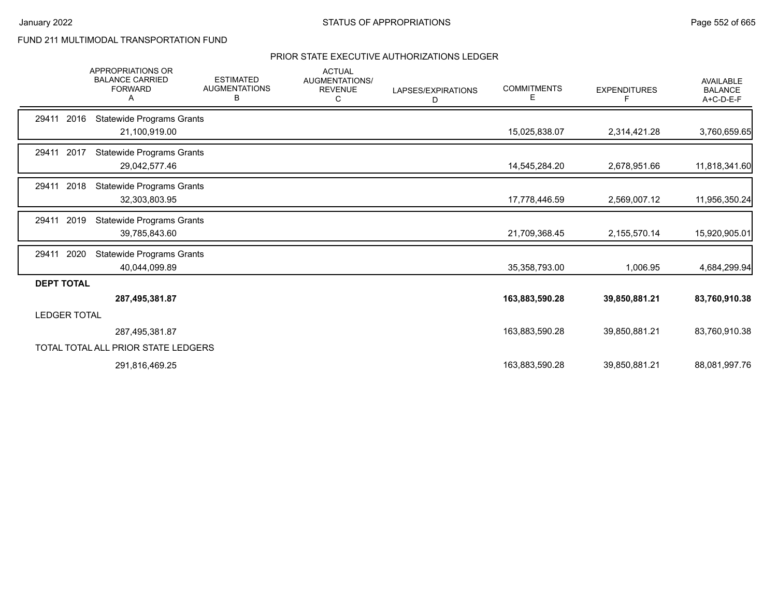|                     | <b>APPROPRIATIONS OR</b><br><b>BALANCE CARRIED</b><br><b>FORWARD</b><br>A | <b>ESTIMATED</b><br><b>AUGMENTATIONS</b><br>в | <b>ACTUAL</b><br>AUGMENTATIONS/<br><b>REVENUE</b><br>C | LAPSES/EXPIRATIONS<br>D | <b>COMMITMENTS</b><br>E | <b>EXPENDITURES</b><br>F | <b>AVAILABLE</b><br><b>BALANCE</b><br>$A+C-D-E-F$ |
|---------------------|---------------------------------------------------------------------------|-----------------------------------------------|--------------------------------------------------------|-------------------------|-------------------------|--------------------------|---------------------------------------------------|
| 29411 2016          | <b>Statewide Programs Grants</b><br>21,100,919.00                         |                                               |                                                        |                         | 15,025,838.07           | 2,314,421.28             | 3,760,659.65                                      |
| 29411 2017          | <b>Statewide Programs Grants</b><br>29,042,577.46                         |                                               |                                                        |                         | 14,545,284.20           | 2,678,951.66             | 11,818,341.60                                     |
| 2018<br>29411       | <b>Statewide Programs Grants</b><br>32,303,803.95                         |                                               |                                                        |                         | 17,778,446.59           | 2,569,007.12             | 11,956,350.24                                     |
| 2019<br>29411       | <b>Statewide Programs Grants</b><br>39,785,843.60                         |                                               |                                                        |                         | 21,709,368.45           | 2,155,570.14             | 15,920,905.01                                     |
| 2020<br>29411       | <b>Statewide Programs Grants</b><br>40,044,099.89                         |                                               |                                                        |                         | 35,358,793.00           | 1,006.95                 | 4,684,299.94                                      |
| <b>DEPT TOTAL</b>   | 287,495,381.87                                                            |                                               |                                                        |                         | 163,883,590.28          | 39,850,881.21            | 83,760,910.38                                     |
| <b>LEDGER TOTAL</b> |                                                                           |                                               |                                                        |                         |                         |                          |                                                   |
|                     | 287,495,381.87                                                            |                                               |                                                        |                         | 163,883,590.28          | 39,850,881.21            | 83,760,910.38                                     |
|                     | TOTAL TOTAL ALL PRIOR STATE LEDGERS                                       |                                               |                                                        |                         |                         |                          |                                                   |
|                     | 291,816,469.25                                                            |                                               |                                                        |                         | 163,883,590.28          | 39,850,881.21            | 88,081,997.76                                     |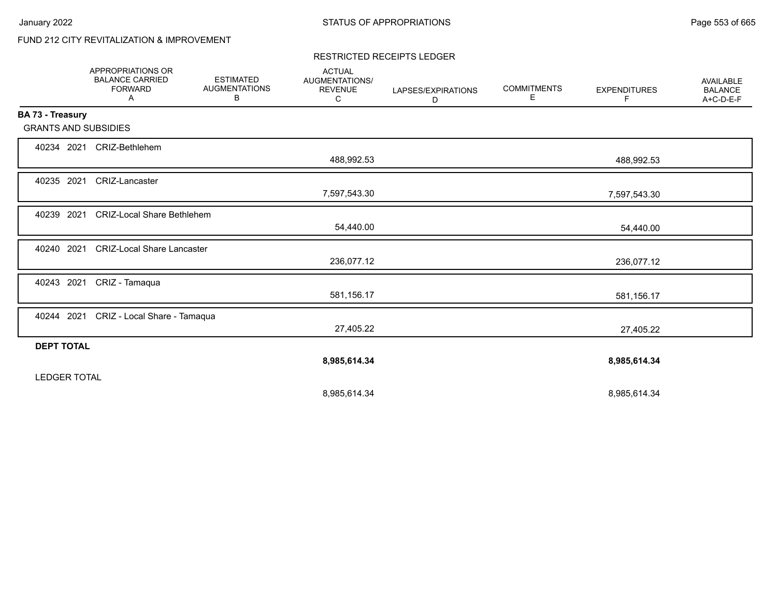# FUND 212 CITY REVITALIZATION & IMPROVEMENT

#### RESTRICTED RECEIPTS LEDGER

|                             | <b>APPROPRIATIONS OR</b><br><b>BALANCE CARRIED</b><br><b>FORWARD</b><br>Α | <b>ESTIMATED</b><br><b>AUGMENTATIONS</b><br>В | <b>ACTUAL</b><br>AUGMENTATIONS/<br><b>REVENUE</b><br>C | LAPSES/EXPIRATIONS<br>D | <b>COMMITMENTS</b><br>Е | <b>EXPENDITURES</b><br>F. | <b>AVAILABLE</b><br><b>BALANCE</b><br>A+C-D-E-F |
|-----------------------------|---------------------------------------------------------------------------|-----------------------------------------------|--------------------------------------------------------|-------------------------|-------------------------|---------------------------|-------------------------------------------------|
| BA 73 - Treasury            |                                                                           |                                               |                                                        |                         |                         |                           |                                                 |
| <b>GRANTS AND SUBSIDIES</b> |                                                                           |                                               |                                                        |                         |                         |                           |                                                 |
| 40234 2021                  | CRIZ-Bethlehem                                                            |                                               |                                                        |                         |                         |                           |                                                 |
|                             |                                                                           |                                               | 488,992.53                                             |                         |                         | 488,992.53                |                                                 |
| 40235 2021                  | CRIZ-Lancaster                                                            |                                               |                                                        |                         |                         |                           |                                                 |
|                             |                                                                           |                                               | 7,597,543.30                                           |                         |                         | 7,597,543.30              |                                                 |
| 40239 2021                  | <b>CRIZ-Local Share Bethlehem</b>                                         |                                               |                                                        |                         |                         |                           |                                                 |
|                             |                                                                           |                                               | 54,440.00                                              |                         |                         | 54,440.00                 |                                                 |
| 40240 2021                  | <b>CRIZ-Local Share Lancaster</b>                                         |                                               |                                                        |                         |                         |                           |                                                 |
|                             |                                                                           |                                               | 236,077.12                                             |                         |                         | 236,077.12                |                                                 |
| 40243 2021                  | CRIZ - Tamaqua                                                            |                                               |                                                        |                         |                         |                           |                                                 |
|                             |                                                                           |                                               | 581,156.17                                             |                         |                         | 581,156.17                |                                                 |
| 40244 2021                  | CRIZ - Local Share - Tamaqua                                              |                                               |                                                        |                         |                         |                           |                                                 |
|                             |                                                                           |                                               | 27,405.22                                              |                         |                         | 27,405.22                 |                                                 |
| <b>DEPT TOTAL</b>           |                                                                           |                                               |                                                        |                         |                         |                           |                                                 |
|                             |                                                                           |                                               | 8,985,614.34                                           |                         |                         | 8,985,614.34              |                                                 |
| <b>LEDGER TOTAL</b>         |                                                                           |                                               |                                                        |                         |                         |                           |                                                 |
|                             |                                                                           |                                               | 8,985,614.34                                           |                         |                         | 8,985,614.34              |                                                 |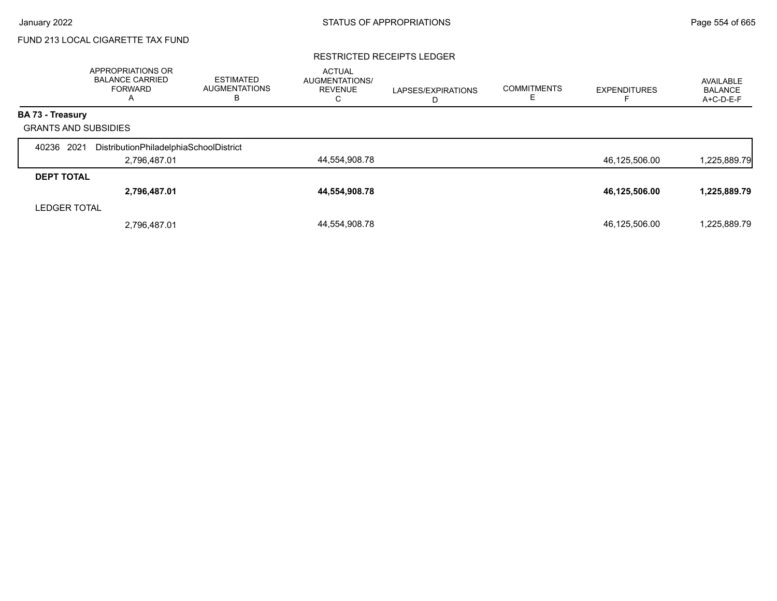# FUND 213 LOCAL CIGARETTE TAX FUND

#### RESTRICTED RECEIPTS LEDGER

|                             | <b>APPROPRIATIONS OR</b><br><b>BALANCE CARRIED</b><br><b>FORWARD</b><br>$\overline{a}$ | <b>ESTIMATED</b><br><b>AUGMENTATIONS</b><br>В | <b>ACTUAL</b><br>AUGMENTATIONS/<br><b>REVENUE</b><br>С | LAPSES/EXPIRATIONS<br>D | <b>COMMITMENTS</b> | <b>EXPENDITURES</b> | AVAILABLE<br><b>BALANCE</b><br>A+C-D-E-F |
|-----------------------------|----------------------------------------------------------------------------------------|-----------------------------------------------|--------------------------------------------------------|-------------------------|--------------------|---------------------|------------------------------------------|
| BA 73 - Treasury            |                                                                                        |                                               |                                                        |                         |                    |                     |                                          |
| <b>GRANTS AND SUBSIDIES</b> |                                                                                        |                                               |                                                        |                         |                    |                     |                                          |
| 2021<br>40236               | DistributionPhiladelphiaSchoolDistrict                                                 |                                               |                                                        |                         |                    |                     |                                          |
|                             | 2,796,487.01                                                                           |                                               | 44,554,908.78                                          |                         |                    | 46,125,506.00       | 1,225,889.79                             |
| <b>DEPT TOTAL</b>           |                                                                                        |                                               |                                                        |                         |                    |                     |                                          |
|                             | 2,796,487.01                                                                           |                                               | 44,554,908.78                                          |                         |                    | 46,125,506.00       | 1,225,889.79                             |
| <b>LEDGER TOTAL</b>         |                                                                                        |                                               |                                                        |                         |                    |                     |                                          |
|                             | 2,796,487.01                                                                           |                                               | 44.554.908.78                                          |                         |                    | 46,125,506.00       | 1,225,889.79                             |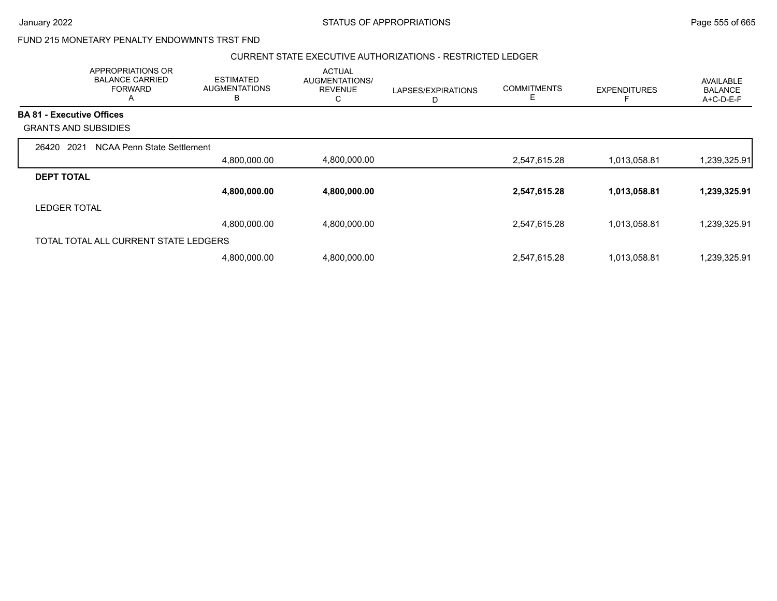## FUND 215 MONETARY PENALTY ENDOWMNTS TRST FND

### CURRENT STATE EXECUTIVE AUTHORIZATIONS - RESTRICTED LEDGER

|                                  | APPROPRIATIONS OR<br><b>BALANCE CARRIED</b><br><b>FORWARD</b><br>A | <b>ESTIMATED</b><br><b>AUGMENTATIONS</b><br>B | <b>ACTUAL</b><br>AUGMENTATIONS/<br><b>REVENUE</b><br>С | LAPSES/EXPIRATIONS<br>D | <b>COMMITMENTS</b> | <b>EXPENDITURES</b> | AVAILABLE<br><b>BALANCE</b><br>A+C-D-E-F |
|----------------------------------|--------------------------------------------------------------------|-----------------------------------------------|--------------------------------------------------------|-------------------------|--------------------|---------------------|------------------------------------------|
| <b>BA 81 - Executive Offices</b> |                                                                    |                                               |                                                        |                         |                    |                     |                                          |
|                                  | <b>GRANTS AND SUBSIDIES</b>                                        |                                               |                                                        |                         |                    |                     |                                          |
| 26420                            | 2021<br>NCAA Penn State Settlement                                 |                                               |                                                        |                         |                    |                     |                                          |
|                                  |                                                                    | 4,800,000.00                                  | 4,800,000.00                                           |                         | 2,547,615.28       | 1,013,058.81        | 1,239,325.91                             |
| <b>DEPT TOTAL</b>                |                                                                    |                                               |                                                        |                         |                    |                     |                                          |
|                                  |                                                                    | 4,800,000.00                                  | 4,800,000.00                                           |                         | 2,547,615.28       | 1,013,058.81        | 1,239,325.91                             |
| <b>LEDGER TOTAL</b>              |                                                                    |                                               |                                                        |                         |                    |                     |                                          |
|                                  |                                                                    | 4,800,000.00                                  | 4,800,000.00                                           |                         | 2,547,615.28       | 1,013,058.81        | 1,239,325.91                             |
|                                  | TOTAL TOTAL ALL CURRENT STATE LEDGERS                              |                                               |                                                        |                         |                    |                     |                                          |
|                                  |                                                                    | 4,800,000.00                                  | 4,800,000.00                                           |                         | 2,547,615.28       | 1,013,058.81        | 1,239,325.91                             |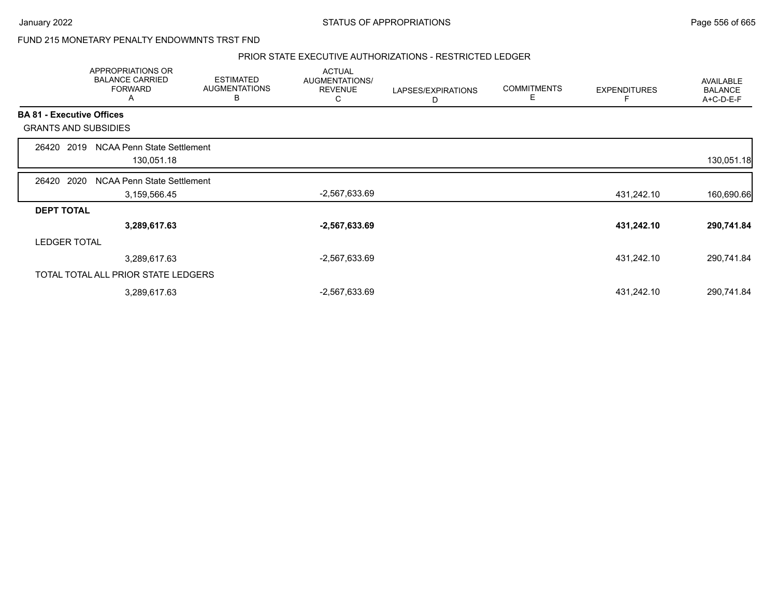### FUND 215 MONETARY PENALTY ENDOWMNTS TRST FND

#### PRIOR STATE EXECUTIVE AUTHORIZATIONS - RESTRICTED LEDGER

|                   | APPROPRIATIONS OR<br><b>BALANCE CARRIED</b><br><b>FORWARD</b><br>A | <b>ESTIMATED</b><br><b>AUGMENTATIONS</b><br>в | <b>ACTUAL</b><br>AUGMENTATIONS/<br><b>REVENUE</b><br>С | LAPSES/EXPIRATIONS<br>D | <b>COMMITMENTS</b><br>E | <b>EXPENDITURES</b> | AVAILABLE<br><b>BALANCE</b><br>A+C-D-E-F |
|-------------------|--------------------------------------------------------------------|-----------------------------------------------|--------------------------------------------------------|-------------------------|-------------------------|---------------------|------------------------------------------|
|                   | <b>BA 81 - Executive Offices</b>                                   |                                               |                                                        |                         |                         |                     |                                          |
|                   | <b>GRANTS AND SUBSIDIES</b>                                        |                                               |                                                        |                         |                         |                     |                                          |
| 26420             | <b>NCAA Penn State Settlement</b><br>2019<br>130,051.18            |                                               |                                                        |                         |                         |                     | 130,051.18                               |
| 26420             | 2020<br>NCAA Penn State Settlement<br>3,159,566.45                 |                                               | -2,567,633.69                                          |                         |                         | 431,242.10          | 160,690.66                               |
| <b>DEPT TOTAL</b> |                                                                    |                                               |                                                        |                         |                         |                     |                                          |
|                   | 3,289,617.63                                                       |                                               | $-2,567,633.69$                                        |                         |                         | 431,242.10          | 290,741.84                               |
|                   | <b>LEDGER TOTAL</b>                                                |                                               |                                                        |                         |                         |                     |                                          |
|                   | 3,289,617.63                                                       |                                               | -2,567,633.69                                          |                         |                         | 431,242.10          | 290,741.84                               |
|                   | TOTAL TOTAL ALL PRIOR STATE LEDGERS                                |                                               |                                                        |                         |                         |                     |                                          |
|                   | 3,289,617.63                                                       |                                               | -2,567,633.69                                          |                         |                         | 431,242.10          | 290,741.84                               |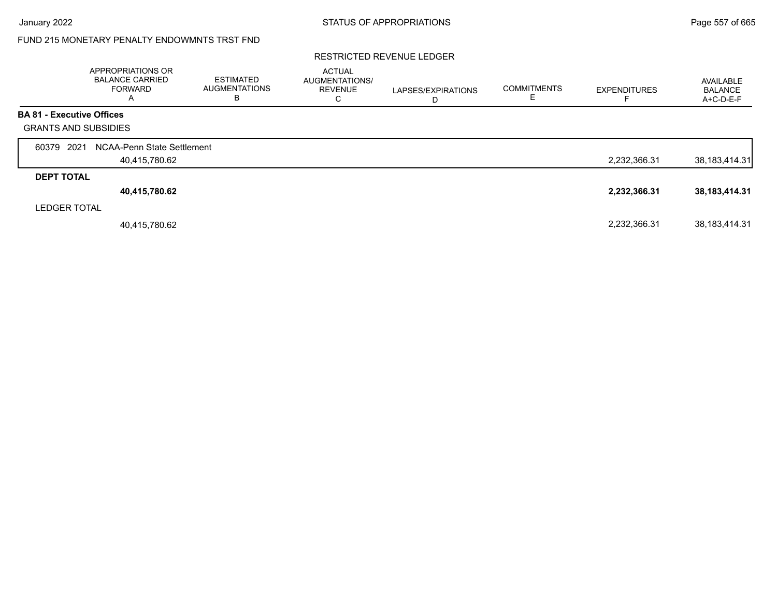## FUND 215 MONETARY PENALTY ENDOWMNTS TRST FND

### RESTRICTED REVENUE LEDGER

|                                  | APPROPRIATIONS OR<br><b>BALANCE CARRIED</b><br><b>FORWARD</b><br>A | ESTIMATED<br><b>AUGMENTATIONS</b><br>в | <b>ACTUAL</b><br>AUGMENTATIONS/<br><b>REVENUE</b><br>С | LAPSES/EXPIRATIONS<br>D | <b>COMMITMENTS</b> | <b>EXPENDITURES</b> | AVAILABLE<br><b>BALANCE</b><br>A+C-D-E-F |
|----------------------------------|--------------------------------------------------------------------|----------------------------------------|--------------------------------------------------------|-------------------------|--------------------|---------------------|------------------------------------------|
| <b>BA 81 - Executive Offices</b> |                                                                    |                                        |                                                        |                         |                    |                     |                                          |
| <b>GRANTS AND SUBSIDIES</b>      |                                                                    |                                        |                                                        |                         |                    |                     |                                          |
| 2021<br>60379                    | NCAA-Penn State Settlement                                         |                                        |                                                        |                         |                    |                     |                                          |
|                                  | 40,415,780.62                                                      |                                        |                                                        |                         |                    | 2,232,366.31        | 38, 183, 414. 31                         |
| <b>DEPT TOTAL</b>                |                                                                    |                                        |                                                        |                         |                    |                     |                                          |
|                                  | 40,415,780.62                                                      |                                        |                                                        |                         |                    | 2,232,366.31        | 38, 183, 414. 31                         |
| <b>LEDGER TOTAL</b>              |                                                                    |                                        |                                                        |                         |                    |                     |                                          |
|                                  | 40,415,780.62                                                      |                                        |                                                        |                         |                    | 2,232,366.31        | 38, 183, 414. 31                         |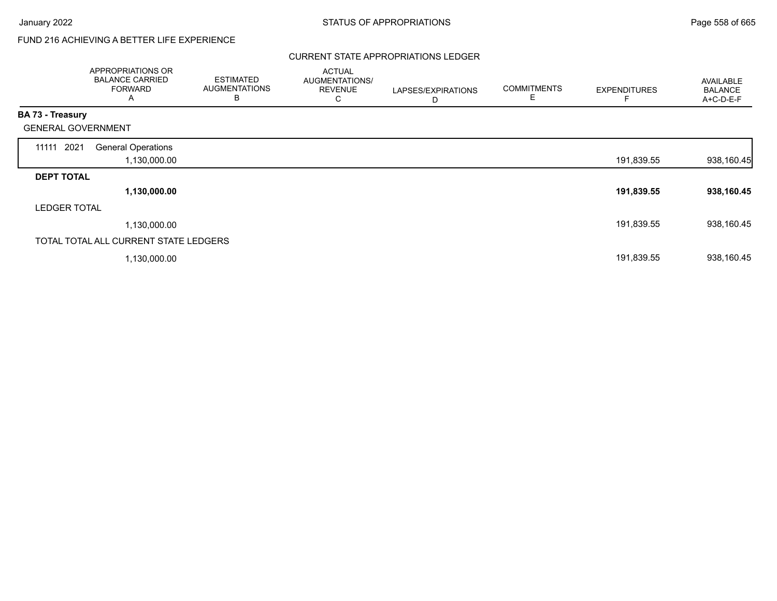# FUND 216 ACHIEVING A BETTER LIFE EXPERIENCE

### CURRENT STATE APPROPRIATIONS LEDGER

|                           | APPROPRIATIONS OR<br><b>BALANCE CARRIED</b><br><b>FORWARD</b><br>A | <b>ESTIMATED</b><br><b>AUGMENTATIONS</b><br>в | <b>ACTUAL</b><br>AUGMENTATIONS/<br><b>REVENUE</b><br>C | LAPSES/EXPIRATIONS<br>D | <b>COMMITMENTS</b><br>E | <b>EXPENDITURES</b> | <b>AVAILABLE</b><br><b>BALANCE</b><br>A+C-D-E-F |
|---------------------------|--------------------------------------------------------------------|-----------------------------------------------|--------------------------------------------------------|-------------------------|-------------------------|---------------------|-------------------------------------------------|
| <b>BA 73 - Treasury</b>   |                                                                    |                                               |                                                        |                         |                         |                     |                                                 |
| <b>GENERAL GOVERNMENT</b> |                                                                    |                                               |                                                        |                         |                         |                     |                                                 |
| 11111 2021                | <b>General Operations</b><br>1,130,000.00                          |                                               |                                                        |                         |                         | 191,839.55          | 938,160.45                                      |
| <b>DEPT TOTAL</b>         |                                                                    |                                               |                                                        |                         |                         |                     |                                                 |
|                           | 1,130,000.00                                                       |                                               |                                                        |                         |                         | 191,839.55          | 938,160.45                                      |
| <b>LEDGER TOTAL</b>       |                                                                    |                                               |                                                        |                         |                         |                     |                                                 |
|                           | 1,130,000.00                                                       |                                               |                                                        |                         |                         | 191,839.55          | 938,160.45                                      |
|                           | TOTAL TOTAL ALL CURRENT STATE LEDGERS                              |                                               |                                                        |                         |                         |                     |                                                 |
|                           | 1,130,000.00                                                       |                                               |                                                        |                         |                         | 191,839.55          | 938,160.45                                      |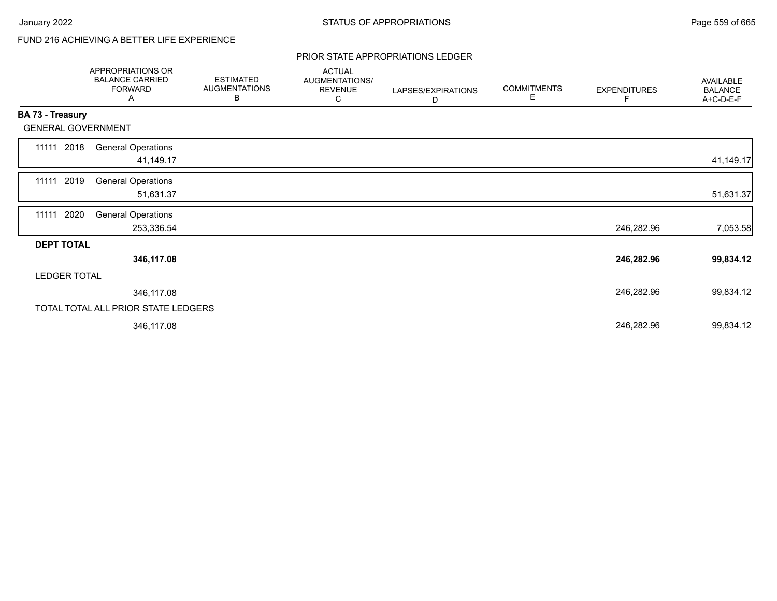# FUND 216 ACHIEVING A BETTER LIFE EXPERIENCE

### PRIOR STATE APPROPRIATIONS LEDGER

|                     | APPROPRIATIONS OR<br><b>BALANCE CARRIED</b><br><b>FORWARD</b><br>Α | <b>ESTIMATED</b><br><b>AUGMENTATIONS</b><br>В | <b>ACTUAL</b><br>AUGMENTATIONS/<br><b>REVENUE</b><br>С | LAPSES/EXPIRATIONS<br>D | <b>COMMITMENTS</b><br>E | <b>EXPENDITURES</b><br>F | <b>AVAILABLE</b><br><b>BALANCE</b><br>A+C-D-E-F |
|---------------------|--------------------------------------------------------------------|-----------------------------------------------|--------------------------------------------------------|-------------------------|-------------------------|--------------------------|-------------------------------------------------|
| BA 73 - Treasury    |                                                                    |                                               |                                                        |                         |                         |                          |                                                 |
|                     | <b>GENERAL GOVERNMENT</b>                                          |                                               |                                                        |                         |                         |                          |                                                 |
| 11111 2018          | <b>General Operations</b><br>41,149.17                             |                                               |                                                        |                         |                         |                          | 41,149.17                                       |
| 11111 2019          | <b>General Operations</b><br>51,631.37                             |                                               |                                                        |                         |                         |                          | 51,631.37                                       |
| 11111               | 2020<br><b>General Operations</b><br>253,336.54                    |                                               |                                                        |                         |                         | 246,282.96               | 7,053.58                                        |
| <b>DEPT TOTAL</b>   |                                                                    |                                               |                                                        |                         |                         |                          |                                                 |
|                     | 346,117.08                                                         |                                               |                                                        |                         |                         | 246,282.96               | 99,834.12                                       |
| <b>LEDGER TOTAL</b> |                                                                    |                                               |                                                        |                         |                         |                          |                                                 |
|                     | 346,117.08                                                         |                                               |                                                        |                         |                         | 246,282.96               | 99,834.12                                       |
|                     | TOTAL TOTAL ALL PRIOR STATE LEDGERS                                |                                               |                                                        |                         |                         |                          |                                                 |
|                     | 346,117.08                                                         |                                               |                                                        |                         |                         | 246,282.96               | 99,834.12                                       |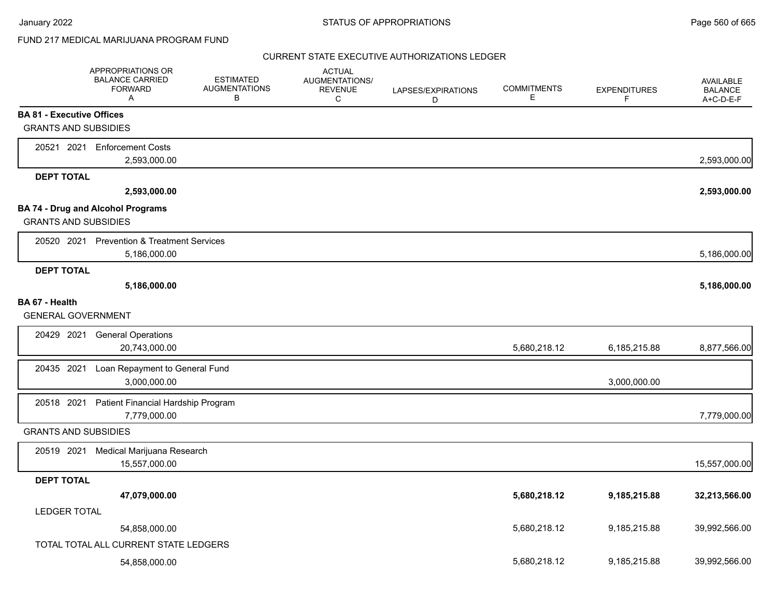January 2022 **STATUS OF APPROPRIATIONS** STATUS OF APPROPRIATIONS

## FUND 217 MEDICAL MARIJUANA PROGRAM FUND

|                                  | APPROPRIATIONS OR<br><b>BALANCE CARRIED</b><br><b>FORWARD</b><br>A | <b>ESTIMATED</b><br><b>AUGMENTATIONS</b><br>B | <b>ACTUAL</b><br>AUGMENTATIONS/<br><b>REVENUE</b><br>C | LAPSES/EXPIRATIONS<br>D | <b>COMMITMENTS</b><br>Е | <b>EXPENDITURES</b><br>F | <b>AVAILABLE</b><br><b>BALANCE</b><br>A+C-D-E-F |
|----------------------------------|--------------------------------------------------------------------|-----------------------------------------------|--------------------------------------------------------|-------------------------|-------------------------|--------------------------|-------------------------------------------------|
| <b>BA 81 - Executive Offices</b> |                                                                    |                                               |                                                        |                         |                         |                          |                                                 |
| <b>GRANTS AND SUBSIDIES</b>      |                                                                    |                                               |                                                        |                         |                         |                          |                                                 |
|                                  | 20521 2021 Enforcement Costs                                       |                                               |                                                        |                         |                         |                          |                                                 |
|                                  | 2,593,000.00                                                       |                                               |                                                        |                         |                         |                          | 2,593,000.00                                    |
| <b>DEPT TOTAL</b>                |                                                                    |                                               |                                                        |                         |                         |                          |                                                 |
|                                  | 2,593,000.00                                                       |                                               |                                                        |                         |                         |                          | 2,593,000.00                                    |
|                                  | <b>BA 74 - Drug and Alcohol Programs</b>                           |                                               |                                                        |                         |                         |                          |                                                 |
| <b>GRANTS AND SUBSIDIES</b>      |                                                                    |                                               |                                                        |                         |                         |                          |                                                 |
|                                  | 20520 2021 Prevention & Treatment Services                         |                                               |                                                        |                         |                         |                          |                                                 |
|                                  | 5,186,000.00                                                       |                                               |                                                        |                         |                         |                          | 5,186,000.00                                    |
| <b>DEPT TOTAL</b>                |                                                                    |                                               |                                                        |                         |                         |                          |                                                 |
|                                  | 5,186,000.00                                                       |                                               |                                                        |                         |                         |                          | 5,186,000.00                                    |
| BA 67 - Health                   |                                                                    |                                               |                                                        |                         |                         |                          |                                                 |
| <b>GENERAL GOVERNMENT</b>        |                                                                    |                                               |                                                        |                         |                         |                          |                                                 |
| 20429 2021                       | <b>General Operations</b>                                          |                                               |                                                        |                         |                         |                          |                                                 |
|                                  | 20,743,000.00                                                      |                                               |                                                        |                         | 5,680,218.12            | 6,185,215.88             | 8,877,566.00                                    |
| 20435 2021                       | Loan Repayment to General Fund                                     |                                               |                                                        |                         |                         |                          |                                                 |
|                                  | 3,000,000.00                                                       |                                               |                                                        |                         |                         | 3,000,000.00             |                                                 |
| 20518 2021                       | Patient Financial Hardship Program                                 |                                               |                                                        |                         |                         |                          |                                                 |
|                                  | 7,779,000.00                                                       |                                               |                                                        |                         |                         |                          | 7,779,000.00                                    |
| <b>GRANTS AND SUBSIDIES</b>      |                                                                    |                                               |                                                        |                         |                         |                          |                                                 |
| 20519 2021                       | Medical Marijuana Research                                         |                                               |                                                        |                         |                         |                          |                                                 |
|                                  | 15,557,000.00                                                      |                                               |                                                        |                         |                         |                          | 15,557,000.00                                   |
| <b>DEPT TOTAL</b>                |                                                                    |                                               |                                                        |                         |                         |                          |                                                 |
|                                  | 47,079,000.00                                                      |                                               |                                                        |                         | 5,680,218.12            | 9,185,215.88             | 32,213,566.00                                   |
| <b>LEDGER TOTAL</b>              |                                                                    |                                               |                                                        |                         |                         |                          |                                                 |
|                                  | 54,858,000.00                                                      |                                               |                                                        |                         | 5,680,218.12            | 9,185,215.88             | 39,992,566.00                                   |
|                                  | TOTAL TOTAL ALL CURRENT STATE LEDGERS                              |                                               |                                                        |                         |                         |                          |                                                 |
|                                  | 54,858,000.00                                                      |                                               |                                                        |                         | 5,680,218.12            | 9,185,215.88             | 39,992,566.00                                   |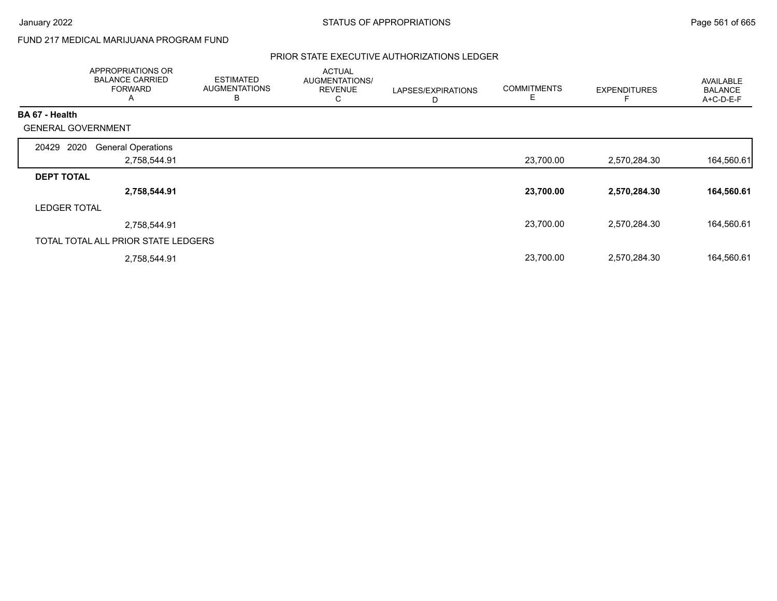## FUND 217 MEDICAL MARIJUANA PROGRAM FUND

|                           | APPROPRIATIONS OR<br><b>BALANCE CARRIED</b><br><b>FORWARD</b><br>A | <b>ESTIMATED</b><br><b>AUGMENTATIONS</b><br>B | <b>ACTUAL</b><br>AUGMENTATIONS/<br><b>REVENUE</b><br>С | LAPSES/EXPIRATIONS<br>D | <b>COMMITMENTS</b> | <b>EXPENDITURES</b> | <b>AVAILABLE</b><br><b>BALANCE</b><br>A+C-D-E-F |
|---------------------------|--------------------------------------------------------------------|-----------------------------------------------|--------------------------------------------------------|-------------------------|--------------------|---------------------|-------------------------------------------------|
| <b>BA 67 - Health</b>     |                                                                    |                                               |                                                        |                         |                    |                     |                                                 |
| <b>GENERAL GOVERNMENT</b> |                                                                    |                                               |                                                        |                         |                    |                     |                                                 |
| 2020<br>20429             | <b>General Operations</b>                                          |                                               |                                                        |                         |                    |                     |                                                 |
|                           | 2,758,544.91                                                       |                                               |                                                        |                         | 23,700.00          | 2,570,284.30        | 164,560.61                                      |
| <b>DEPT TOTAL</b>         |                                                                    |                                               |                                                        |                         |                    |                     |                                                 |
|                           | 2,758,544.91                                                       |                                               |                                                        |                         | 23,700.00          | 2,570,284.30        | 164,560.61                                      |
| <b>LEDGER TOTAL</b>       |                                                                    |                                               |                                                        |                         |                    |                     |                                                 |
|                           | 2,758,544.91                                                       |                                               |                                                        |                         | 23,700.00          | 2,570,284.30        | 164,560.61                                      |
|                           | TOTAL TOTAL ALL PRIOR STATE LEDGERS                                |                                               |                                                        |                         |                    |                     |                                                 |
|                           | 2,758,544.91                                                       |                                               |                                                        |                         | 23,700.00          | 2,570,284.30        | 164,560.61                                      |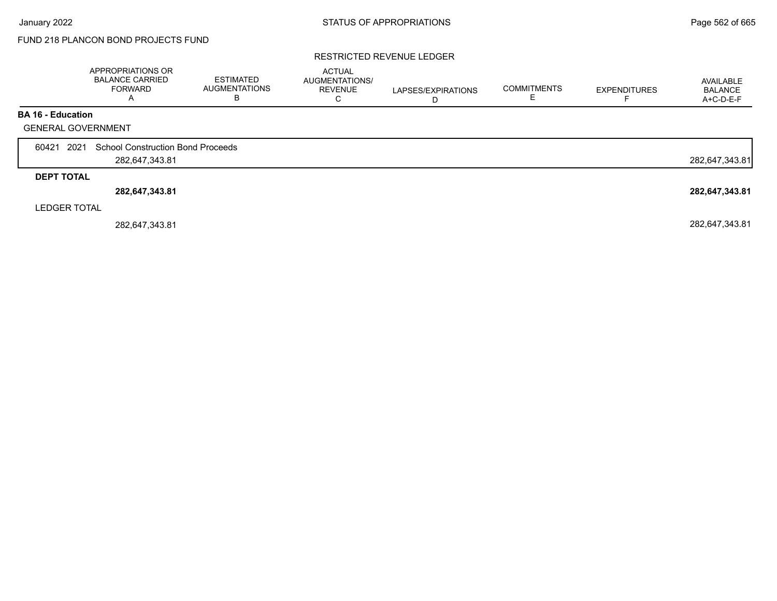## FUND 218 PLANCON BOND PROJECTS FUND

### RESTRICTED REVENUE LEDGER

|                           | <b>APPROPRIATIONS OR</b><br><b>BALANCE CARRIED</b><br><b>FORWARD</b> | <b>ESTIMATED</b><br><b>AUGMENTATIONS</b><br>B | <b>ACTUAL</b><br>AUGMENTATIONS/<br><b>REVENUE</b><br>C | LAPSES/EXPIRATIONS | <b>COMMITMENTS</b> | <b>EXPENDITURES</b> | AVAILABLE<br><b>BALANCE</b><br>A+C-D-E-F |
|---------------------------|----------------------------------------------------------------------|-----------------------------------------------|--------------------------------------------------------|--------------------|--------------------|---------------------|------------------------------------------|
| <b>BA 16 - Education</b>  |                                                                      |                                               |                                                        |                    |                    |                     |                                          |
| <b>GENERAL GOVERNMENT</b> |                                                                      |                                               |                                                        |                    |                    |                     |                                          |
| 2021<br>60421             | <b>School Construction Bond Proceeds</b>                             |                                               |                                                        |                    |                    |                     |                                          |
|                           | 282,647,343.81                                                       |                                               |                                                        |                    |                    |                     | 282,647,343.81                           |
| <b>DEPT TOTAL</b>         |                                                                      |                                               |                                                        |                    |                    |                     |                                          |
|                           | 282,647,343.81                                                       |                                               |                                                        |                    |                    |                     | 282,647,343.81                           |
| <b>LEDGER TOTAL</b>       |                                                                      |                                               |                                                        |                    |                    |                     |                                          |
|                           | 282,647,343.81                                                       |                                               |                                                        |                    |                    |                     | 282,647,343.81                           |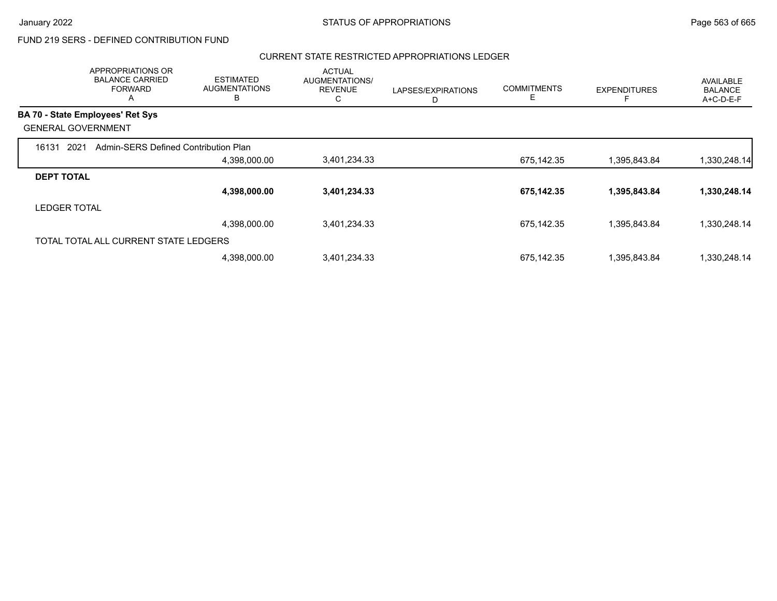### CURRENT STATE RESTRICTED APPROPRIATIONS LEDGER

|                     | APPROPRIATIONS OR<br><b>BALANCE CARRIED</b><br><b>FORWARD</b><br>A | <b>ESTIMATED</b><br><b>AUGMENTATIONS</b><br>B | <b>ACTUAL</b><br>AUGMENTATIONS/<br><b>REVENUE</b><br>С | LAPSES/EXPIRATIONS<br>D | <b>COMMITMENTS</b><br>Ε | <b>EXPENDITURES</b> | AVAILABLE<br><b>BALANCE</b><br>A+C-D-E-F |
|---------------------|--------------------------------------------------------------------|-----------------------------------------------|--------------------------------------------------------|-------------------------|-------------------------|---------------------|------------------------------------------|
|                     | <b>BA 70 - State Employees' Ret Sys</b>                            |                                               |                                                        |                         |                         |                     |                                          |
|                     | <b>GENERAL GOVERNMENT</b>                                          |                                               |                                                        |                         |                         |                     |                                          |
| 16131               | 2021<br>Admin-SERS Defined Contribution Plan                       |                                               |                                                        |                         |                         |                     |                                          |
|                     |                                                                    | 4,398,000.00                                  | 3,401,234.33                                           |                         | 675,142.35              | 1,395,843.84        | 1,330,248.14                             |
| <b>DEPT TOTAL</b>   |                                                                    |                                               |                                                        |                         |                         |                     |                                          |
|                     |                                                                    | 4,398,000.00                                  | 3,401,234.33                                           |                         | 675,142.35              | 1,395,843.84        | 1,330,248.14                             |
| <b>LEDGER TOTAL</b> |                                                                    |                                               |                                                        |                         |                         |                     |                                          |
|                     |                                                                    | 4,398,000.00                                  | 3,401,234.33                                           |                         | 675,142.35              | 1,395,843.84        | 1,330,248.14                             |
|                     | TOTAL TOTAL ALL CURRENT STATE LEDGERS                              |                                               |                                                        |                         |                         |                     |                                          |
|                     |                                                                    | 4,398,000.00                                  | 3,401,234.33                                           |                         | 675,142.35              | 1,395,843.84        | 1,330,248.14                             |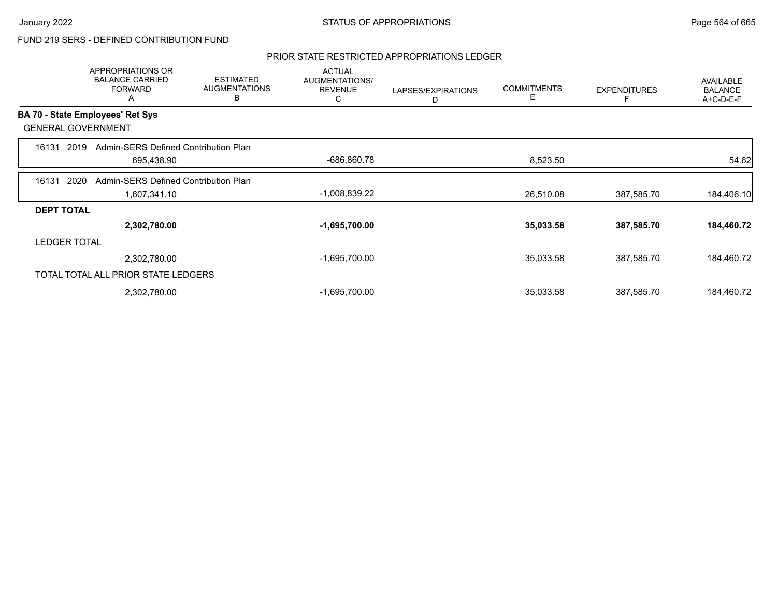### PRIOR STATE RESTRICTED APPROPRIATIONS LEDGER

|                     | <b>APPROPRIATIONS OR</b><br><b>BALANCE CARRIED</b><br><b>FORWARD</b><br>A | <b>ESTIMATED</b><br><b>AUGMENTATIONS</b><br>В | <b>ACTUAL</b><br>AUGMENTATIONS/<br><b>REVENUE</b><br>C | LAPSES/EXPIRATIONS<br>D | <b>COMMITMENTS</b><br>Е | <b>EXPENDITURES</b> | AVAILABLE<br><b>BALANCE</b><br>A+C-D-E-F |
|---------------------|---------------------------------------------------------------------------|-----------------------------------------------|--------------------------------------------------------|-------------------------|-------------------------|---------------------|------------------------------------------|
|                     | BA 70 - State Employees' Ret Sys                                          |                                               |                                                        |                         |                         |                     |                                          |
|                     | <b>GENERAL GOVERNMENT</b>                                                 |                                               |                                                        |                         |                         |                     |                                          |
| 16131               | 2019<br>Admin-SERS Defined Contribution Plan                              |                                               |                                                        |                         |                         |                     |                                          |
|                     | 695,438.90                                                                |                                               | -686,860.78                                            |                         | 8,523.50                |                     | 54.62                                    |
| 16131               | 2020<br>Admin-SERS Defined Contribution Plan                              |                                               |                                                        |                         |                         |                     |                                          |
|                     | 1,607,341.10                                                              |                                               | -1,008,839.22                                          |                         | 26,510.08               | 387,585.70          | 184,406.10                               |
| <b>DEPT TOTAL</b>   |                                                                           |                                               |                                                        |                         |                         |                     |                                          |
|                     | 2,302,780.00                                                              |                                               | $-1,695,700.00$                                        |                         | 35,033.58               | 387,585.70          | 184,460.72                               |
| <b>LEDGER TOTAL</b> |                                                                           |                                               |                                                        |                         |                         |                     |                                          |
|                     | 2,302,780.00                                                              |                                               | $-1,695,700.00$                                        |                         | 35,033.58               | 387,585.70          | 184,460.72                               |
|                     | TOTAL TOTAL ALL PRIOR STATE LEDGERS                                       |                                               |                                                        |                         |                         |                     |                                          |
|                     | 2,302,780.00                                                              |                                               | $-1,695,700.00$                                        |                         | 35,033.58               | 387,585.70          | 184,460.72                               |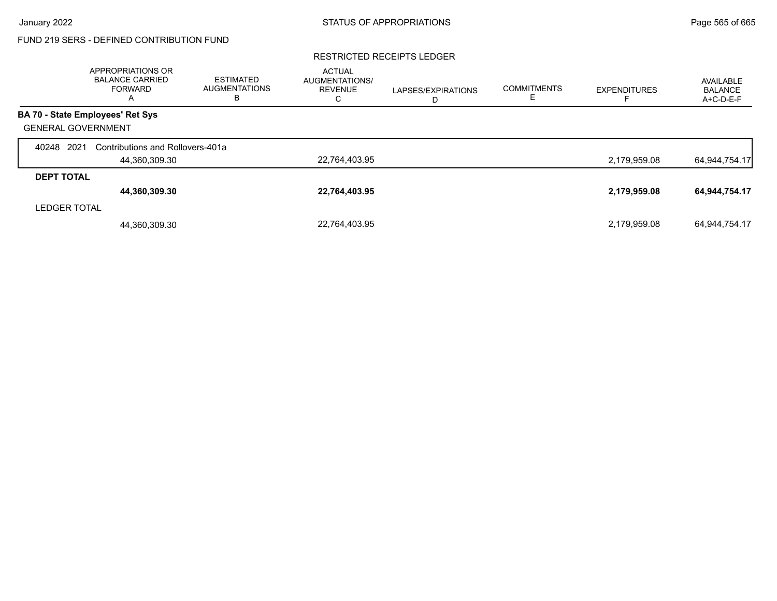### RESTRICTED RECEIPTS LEDGER

|                           | <b>APPROPRIATIONS OR</b><br><b>BALANCE CARRIED</b><br><b>FORWARD</b><br>A | <b>ESTIMATED</b><br><b>AUGMENTATIONS</b><br>в | <b>ACTUAL</b><br><b>AUGMENTATIONS/</b><br><b>REVENUE</b><br>С | LAPSES/EXPIRATIONS<br>D | <b>COMMITMENTS</b> | <b>EXPENDITURES</b> | AVAILABLE<br><b>BALANCE</b><br>A+C-D-E-F |
|---------------------------|---------------------------------------------------------------------------|-----------------------------------------------|---------------------------------------------------------------|-------------------------|--------------------|---------------------|------------------------------------------|
|                           | BA 70 - State Employees' Ret Sys                                          |                                               |                                                               |                         |                    |                     |                                          |
| <b>GENERAL GOVERNMENT</b> |                                                                           |                                               |                                                               |                         |                    |                     |                                          |
| 2021<br>40248             | Contributions and Rollovers-401a                                          |                                               |                                                               |                         |                    |                     |                                          |
|                           | 44,360,309.30                                                             |                                               | 22,764,403.95                                                 |                         |                    | 2,179,959.08        | 64,944,754.17                            |
| <b>DEPT TOTAL</b>         |                                                                           |                                               |                                                               |                         |                    |                     |                                          |
|                           | 44,360,309.30                                                             |                                               | 22,764,403.95                                                 |                         |                    | 2,179,959.08        | 64,944,754.17                            |
| <b>LEDGER TOTAL</b>       |                                                                           |                                               |                                                               |                         |                    |                     |                                          |
|                           | 44,360,309.30                                                             |                                               | 22,764,403.95                                                 |                         |                    | 2,179,959.08        | 64,944,754.17                            |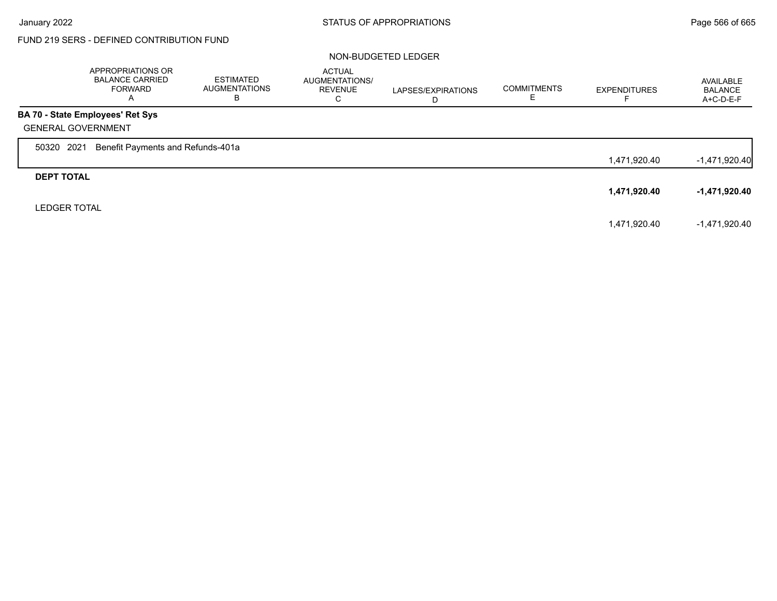$\Gamma$ 

# FUND 219 SERS - DEFINED CONTRIBUTION FUND

### NON-BUDGETED LEDGER

|                           | APPROPRIATIONS OR<br><b>BALANCE CARRIED</b><br><b>FORWARD</b><br>A | <b>ESTIMATED</b><br><b>AUGMENTATIONS</b><br>в | <b>ACTUAL</b><br>AUGMENTATIONS/<br><b>REVENUE</b><br>C | LAPSES/EXPIRATIONS<br>D | <b>COMMITMENTS</b><br>ᄂ | <b>EXPENDITURES</b> | AVAILABLE<br><b>BALANCE</b><br>$A+C-D-E-F$ |
|---------------------------|--------------------------------------------------------------------|-----------------------------------------------|--------------------------------------------------------|-------------------------|-------------------------|---------------------|--------------------------------------------|
|                           | <b>BA 70 - State Employees' Ret Sys</b>                            |                                               |                                                        |                         |                         |                     |                                            |
| <b>GENERAL GOVERNMENT</b> |                                                                    |                                               |                                                        |                         |                         |                     |                                            |
| 2021<br>50320             | Benefit Payments and Refunds-401a                                  |                                               |                                                        |                         |                         |                     |                                            |
|                           |                                                                    |                                               |                                                        |                         |                         | 1,471,920.40        | $-1,471,920.40$                            |
| <b>DEPT TOTAL</b>         |                                                                    |                                               |                                                        |                         |                         |                     |                                            |
|                           |                                                                    |                                               |                                                        |                         |                         | 1,471,920.40        | -1,471,920.40                              |
| <b>LEDGER TOTAL</b>       |                                                                    |                                               |                                                        |                         |                         |                     |                                            |
|                           |                                                                    |                                               |                                                        |                         |                         | 1,471,920.40        | -1.471.920.40                              |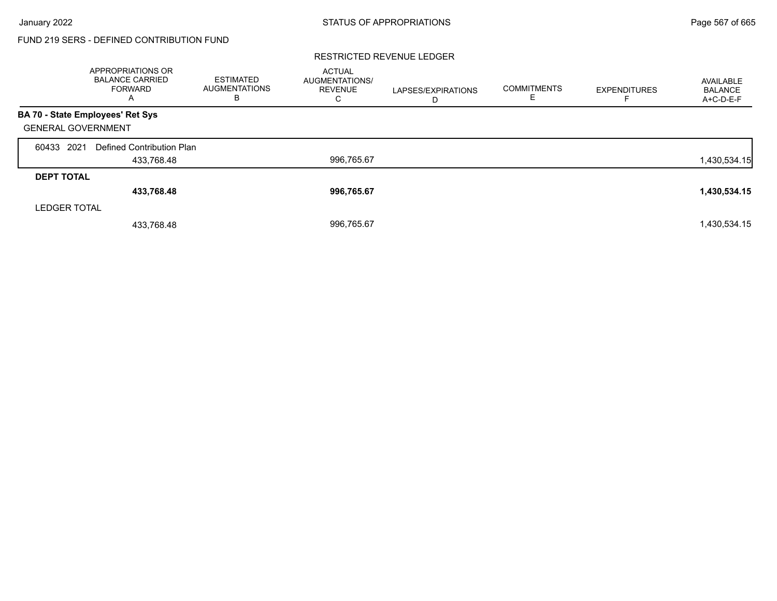### RESTRICTED REVENUE LEDGER

|                           | <b>APPROPRIATIONS OR</b><br><b>BALANCE CARRIED</b><br><b>FORWARD</b><br>A | <b>ESTIMATED</b><br><b>AUGMENTATIONS</b><br>в | <b>ACTUAL</b><br><b>AUGMENTATIONS/</b><br><b>REVENUE</b><br>С | LAPSES/EXPIRATIONS<br>D | <b>COMMITMENTS</b> | <b>EXPENDITURES</b> | AVAILABLE<br><b>BALANCE</b><br>A+C-D-E-F |
|---------------------------|---------------------------------------------------------------------------|-----------------------------------------------|---------------------------------------------------------------|-------------------------|--------------------|---------------------|------------------------------------------|
|                           | BA 70 - State Employees' Ret Sys                                          |                                               |                                                               |                         |                    |                     |                                          |
| <b>GENERAL GOVERNMENT</b> |                                                                           |                                               |                                                               |                         |                    |                     |                                          |
| 2021<br>60433             | Defined Contribution Plan                                                 |                                               |                                                               |                         |                    |                     |                                          |
|                           | 433,768.48                                                                |                                               | 996,765.67                                                    |                         |                    |                     | 1,430,534.15                             |
| <b>DEPT TOTAL</b>         |                                                                           |                                               |                                                               |                         |                    |                     |                                          |
|                           | 433,768.48                                                                |                                               | 996,765.67                                                    |                         |                    |                     | 1,430,534.15                             |
| <b>LEDGER TOTAL</b>       |                                                                           |                                               |                                                               |                         |                    |                     |                                          |
|                           | 433,768.48                                                                |                                               | 996,765.67                                                    |                         |                    |                     | 1,430,534.15                             |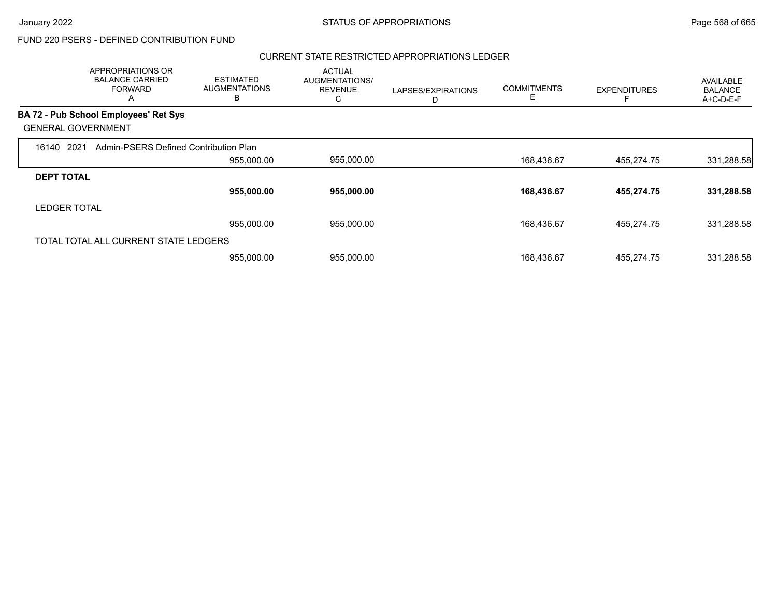$\overline{\phantom{a}}$ 

## FUND 220 PSERS - DEFINED CONTRIBUTION FUND

### CURRENT STATE RESTRICTED APPROPRIATIONS LEDGER

|                           | APPROPRIATIONS OR<br><b>BALANCE CARRIED</b><br><b>FORWARD</b><br>A | <b>ESTIMATED</b><br><b>AUGMENTATIONS</b><br>в | <b>ACTUAL</b><br><b>AUGMENTATIONS/</b><br><b>REVENUE</b><br>С | LAPSES/EXPIRATIONS<br>D | <b>COMMITMENTS</b><br>Е | <b>EXPENDITURES</b> | AVAILABLE<br><b>BALANCE</b><br>A+C-D-E-F |
|---------------------------|--------------------------------------------------------------------|-----------------------------------------------|---------------------------------------------------------------|-------------------------|-------------------------|---------------------|------------------------------------------|
|                           | BA 72 - Pub School Employees' Ret Sys                              |                                               |                                                               |                         |                         |                     |                                          |
| <b>GENERAL GOVERNMENT</b> |                                                                    |                                               |                                                               |                         |                         |                     |                                          |
| 2021<br>16140             | Admin-PSERS Defined Contribution Plan                              |                                               |                                                               |                         |                         |                     |                                          |
|                           |                                                                    | 955,000.00                                    | 955,000.00                                                    |                         | 168,436.67              | 455,274.75          | 331,288.58                               |
| <b>DEPT TOTAL</b>         |                                                                    |                                               |                                                               |                         |                         |                     |                                          |
|                           |                                                                    | 955,000.00                                    | 955,000.00                                                    |                         | 168,436.67              | 455,274.75          | 331,288.58                               |
| <b>LEDGER TOTAL</b>       |                                                                    |                                               |                                                               |                         |                         |                     |                                          |
|                           |                                                                    | 955,000.00                                    | 955,000.00                                                    |                         | 168,436.67              | 455,274.75          | 331,288.58                               |
|                           | TOTAL TOTAL ALL CURRENT STATE LEDGERS                              |                                               |                                                               |                         |                         |                     |                                          |
|                           |                                                                    | 955,000.00                                    | 955,000.00                                                    |                         | 168,436.67              | 455,274.75          | 331,288.58                               |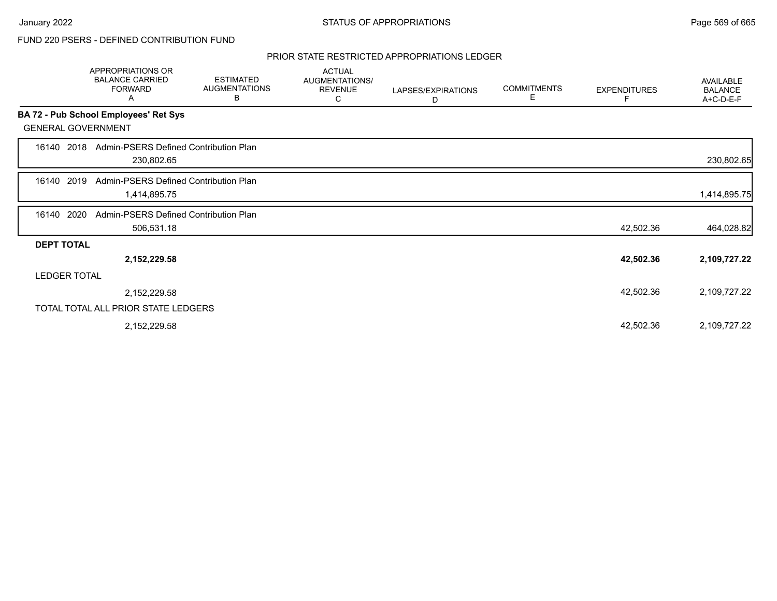### PRIOR STATE RESTRICTED APPROPRIATIONS LEDGER

|                           | APPROPRIATIONS OR<br><b>BALANCE CARRIED</b><br><b>FORWARD</b><br>A | <b>ESTIMATED</b><br><b>AUGMENTATIONS</b><br>В | <b>ACTUAL</b><br>AUGMENTATIONS/<br><b>REVENUE</b><br>С | LAPSES/EXPIRATIONS<br>D | <b>COMMITMENTS</b><br>Е | <b>EXPENDITURES</b> | AVAILABLE<br><b>BALANCE</b><br>A+C-D-E-F |
|---------------------------|--------------------------------------------------------------------|-----------------------------------------------|--------------------------------------------------------|-------------------------|-------------------------|---------------------|------------------------------------------|
|                           | BA 72 - Pub School Employees' Ret Sys                              |                                               |                                                        |                         |                         |                     |                                          |
| <b>GENERAL GOVERNMENT</b> |                                                                    |                                               |                                                        |                         |                         |                     |                                          |
| 2018<br>16140             | Admin-PSERS Defined Contribution Plan<br>230,802.65                |                                               |                                                        |                         |                         |                     | 230,802.65                               |
| 2019<br>16140             | Admin-PSERS Defined Contribution Plan<br>1,414,895.75              |                                               |                                                        |                         |                         |                     | 1,414,895.75                             |
| 2020<br>16140             | Admin-PSERS Defined Contribution Plan<br>506,531.18                |                                               |                                                        |                         |                         | 42,502.36           | 464,028.82                               |
| <b>DEPT TOTAL</b>         |                                                                    |                                               |                                                        |                         |                         |                     |                                          |
|                           | 2,152,229.58                                                       |                                               |                                                        |                         |                         | 42,502.36           | 2,109,727.22                             |
| <b>LEDGER TOTAL</b>       |                                                                    |                                               |                                                        |                         |                         |                     |                                          |
|                           | 2,152,229.58                                                       |                                               |                                                        |                         |                         | 42,502.36           | 2,109,727.22                             |
|                           | TOTAL TOTAL ALL PRIOR STATE LEDGERS                                |                                               |                                                        |                         |                         |                     |                                          |
|                           | 2,152,229.58                                                       |                                               |                                                        |                         |                         | 42,502.36           | 2,109,727.22                             |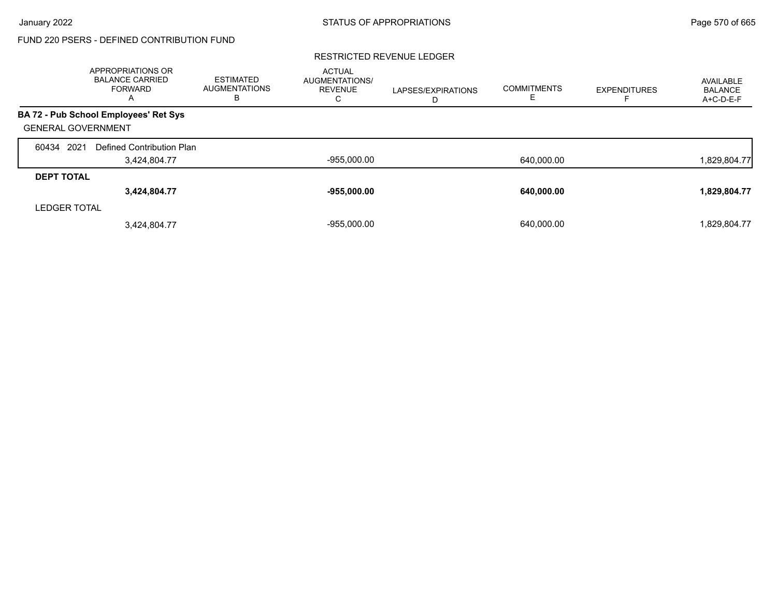### RESTRICTED REVENUE LEDGER

|                           | APPROPRIATIONS OR<br><b>BALANCE CARRIED</b><br><b>FORWARD</b><br>A | <b>ESTIMATED</b><br><b>AUGMENTATIONS</b><br>в | <b>ACTUAL</b><br><b>AUGMENTATIONS/</b><br><b>REVENUE</b><br>С | LAPSES/EXPIRATIONS<br>D | <b>COMMITMENTS</b> | <b>EXPENDITURES</b> | AVAILABLE<br>BALANCE<br>A+C-D-E-F |
|---------------------------|--------------------------------------------------------------------|-----------------------------------------------|---------------------------------------------------------------|-------------------------|--------------------|---------------------|-----------------------------------|
|                           | BA 72 - Pub School Employees' Ret Sys                              |                                               |                                                               |                         |                    |                     |                                   |
| <b>GENERAL GOVERNMENT</b> |                                                                    |                                               |                                                               |                         |                    |                     |                                   |
| 60434 2021                | Defined Contribution Plan                                          |                                               |                                                               |                         |                    |                     |                                   |
|                           | 3,424,804.77                                                       |                                               | $-955,000.00$                                                 |                         | 640,000.00         |                     | 1,829,804.77                      |
| <b>DEPT TOTAL</b>         |                                                                    |                                               |                                                               |                         |                    |                     |                                   |
|                           | 3,424,804.77                                                       |                                               | $-955,000.00$                                                 |                         | 640,000.00         |                     | 1,829,804.77                      |
| <b>LEDGER TOTAL</b>       |                                                                    |                                               |                                                               |                         |                    |                     |                                   |
|                           | 3,424,804.77                                                       |                                               | $-955.000.00$                                                 |                         | 640.000.00         |                     | 1,829,804.77                      |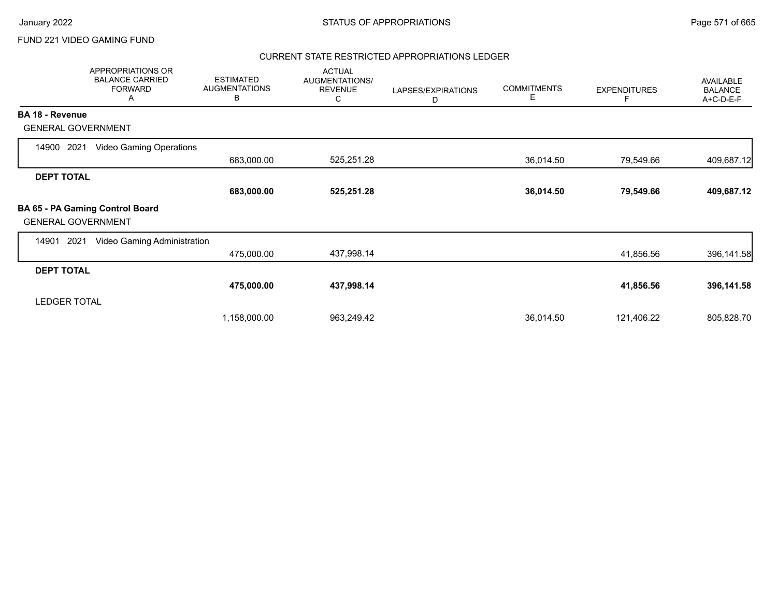### FUND 221 VIDEO GAMING FUND

### CURRENT STATE RESTRICTED APPROPRIATIONS LEDGER

|                           | APPROPRIATIONS OR<br><b>BALANCE CARRIED</b><br><b>FORWARD</b><br>A | <b>ESTIMATED</b><br><b>AUGMENTATIONS</b><br>В | <b>ACTUAL</b><br>AUGMENTATIONS/<br><b>REVENUE</b><br>C | LAPSES/EXPIRATIONS<br>D | <b>COMMITMENTS</b><br>Е | <b>EXPENDITURES</b> | <b>AVAILABLE</b><br><b>BALANCE</b><br>A+C-D-E-F |
|---------------------------|--------------------------------------------------------------------|-----------------------------------------------|--------------------------------------------------------|-------------------------|-------------------------|---------------------|-------------------------------------------------|
| <b>BA 18 - Revenue</b>    |                                                                    |                                               |                                                        |                         |                         |                     |                                                 |
| <b>GENERAL GOVERNMENT</b> |                                                                    |                                               |                                                        |                         |                         |                     |                                                 |
| 2021<br>14900             | Video Gaming Operations                                            |                                               |                                                        |                         |                         |                     |                                                 |
|                           |                                                                    | 683,000.00                                    | 525,251.28                                             |                         | 36,014.50               | 79,549.66           | 409,687.12                                      |
| <b>DEPT TOTAL</b>         |                                                                    |                                               |                                                        |                         |                         |                     |                                                 |
|                           |                                                                    | 683,000.00                                    | 525,251.28                                             |                         | 36,014.50               | 79,549.66           | 409,687.12                                      |
| <b>GENERAL GOVERNMENT</b> | BA 65 - PA Gaming Control Board                                    |                                               |                                                        |                         |                         |                     |                                                 |
| 14901<br>2021             | Video Gaming Administration                                        |                                               |                                                        |                         |                         |                     |                                                 |
|                           |                                                                    | 475,000.00                                    | 437,998.14                                             |                         |                         | 41,856.56           | 396,141.58                                      |
| <b>DEPT TOTAL</b>         |                                                                    |                                               |                                                        |                         |                         |                     |                                                 |
|                           |                                                                    | 475,000.00                                    | 437,998.14                                             |                         |                         | 41,856.56           | 396,141.58                                      |
| <b>LEDGER TOTAL</b>       |                                                                    |                                               |                                                        |                         |                         |                     |                                                 |
|                           |                                                                    | 1,158,000.00                                  | 963,249.42                                             |                         | 36,014.50               | 121,406.22          | 805,828.70                                      |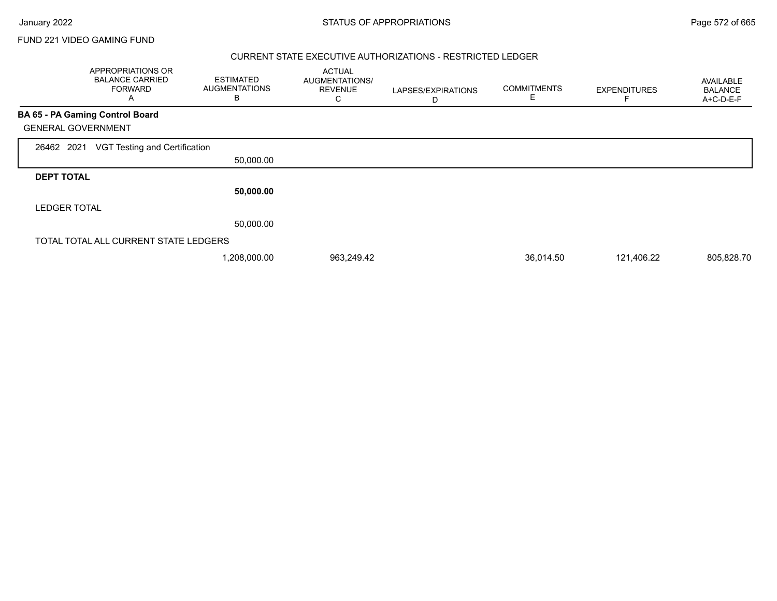Г

FUND 221 VIDEO GAMING FUND

### CURRENT STATE EXECUTIVE AUTHORIZATIONS - RESTRICTED LEDGER

|                     | APPROPRIATIONS OR<br><b>BALANCE CARRIED</b><br><b>FORWARD</b><br>Α | <b>ESTIMATED</b><br><b>AUGMENTATIONS</b><br>B | <b>ACTUAL</b><br>AUGMENTATIONS/<br><b>REVENUE</b><br>С | LAPSES/EXPIRATIONS<br>D | <b>COMMITMENTS</b><br>E | <b>EXPENDITURES</b> | <b>AVAILABLE</b><br><b>BALANCE</b><br>A+C-D-E-F |
|---------------------|--------------------------------------------------------------------|-----------------------------------------------|--------------------------------------------------------|-------------------------|-------------------------|---------------------|-------------------------------------------------|
|                     | <b>BA 65 - PA Gaming Control Board</b>                             |                                               |                                                        |                         |                         |                     |                                                 |
|                     | <b>GENERAL GOVERNMENT</b>                                          |                                               |                                                        |                         |                         |                     |                                                 |
| 26462 2021          | VGT Testing and Certification                                      |                                               |                                                        |                         |                         |                     |                                                 |
|                     |                                                                    | 50,000.00                                     |                                                        |                         |                         |                     |                                                 |
| <b>DEPT TOTAL</b>   |                                                                    |                                               |                                                        |                         |                         |                     |                                                 |
|                     |                                                                    | 50,000.00                                     |                                                        |                         |                         |                     |                                                 |
| <b>LEDGER TOTAL</b> |                                                                    |                                               |                                                        |                         |                         |                     |                                                 |
|                     |                                                                    | 50,000.00                                     |                                                        |                         |                         |                     |                                                 |
|                     | TOTAL TOTAL ALL CURRENT STATE LEDGERS                              |                                               |                                                        |                         |                         |                     |                                                 |
|                     |                                                                    | 1,208,000.00                                  | 963,249.42                                             |                         | 36,014.50               | 121,406.22          | 805,828.70                                      |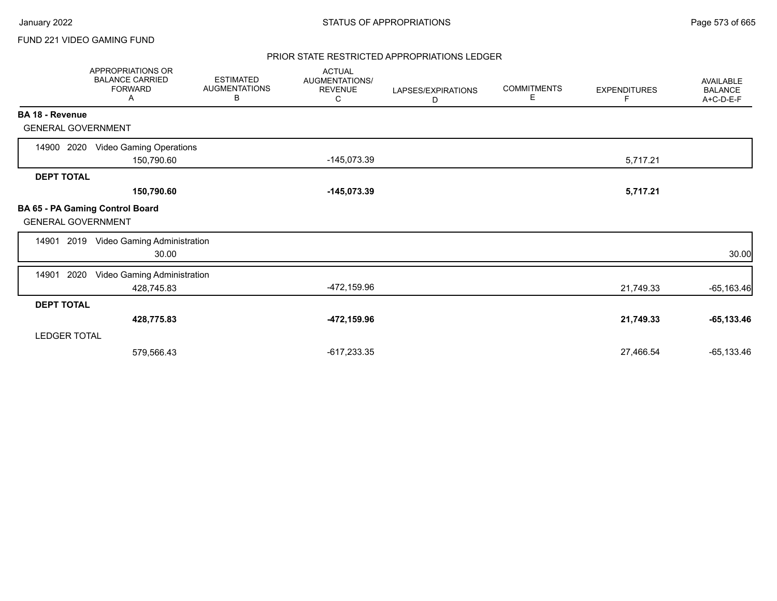### FUND 221 VIDEO GAMING FUND

### PRIOR STATE RESTRICTED APPROPRIATIONS LEDGER

|                           | APPROPRIATIONS OR<br><b>BALANCE CARRIED</b><br><b>FORWARD</b><br>Α | <b>ESTIMATED</b><br><b>AUGMENTATIONS</b><br>В | <b>ACTUAL</b><br>AUGMENTATIONS/<br><b>REVENUE</b><br>С | LAPSES/EXPIRATIONS<br>D | <b>COMMITMENTS</b><br>Е | <b>EXPENDITURES</b><br>F | AVAILABLE<br><b>BALANCE</b><br>A+C-D-E-F |
|---------------------------|--------------------------------------------------------------------|-----------------------------------------------|--------------------------------------------------------|-------------------------|-------------------------|--------------------------|------------------------------------------|
| BA 18 - Revenue           |                                                                    |                                               |                                                        |                         |                         |                          |                                          |
| <b>GENERAL GOVERNMENT</b> |                                                                    |                                               |                                                        |                         |                         |                          |                                          |
| 14900 2020                | <b>Video Gaming Operations</b><br>150,790.60                       |                                               | $-145,073.39$                                          |                         |                         | 5,717.21                 |                                          |
| <b>DEPT TOTAL</b>         |                                                                    |                                               |                                                        |                         |                         |                          |                                          |
|                           | 150,790.60                                                         |                                               | $-145,073.39$                                          |                         |                         | 5,717.21                 |                                          |
| <b>GENERAL GOVERNMENT</b> | BA 65 - PA Gaming Control Board                                    |                                               |                                                        |                         |                         |                          |                                          |
|                           | 14901 2019 Video Gaming Administration<br>30.00                    |                                               |                                                        |                         |                         |                          | 30.00                                    |
| 14901<br>2020             | Video Gaming Administration<br>428,745.83                          |                                               | -472,159.96                                            |                         |                         | 21,749.33                | $-65,163.46$                             |
| <b>DEPT TOTAL</b>         |                                                                    |                                               |                                                        |                         |                         |                          |                                          |
|                           | 428,775.83                                                         |                                               | -472,159.96                                            |                         |                         | 21,749.33                | $-65, 133.46$                            |
| <b>LEDGER TOTAL</b>       |                                                                    |                                               |                                                        |                         |                         |                          |                                          |
|                           | 579,566.43                                                         |                                               | $-617,233.35$                                          |                         |                         | 27,466.54                | $-65, 133.46$                            |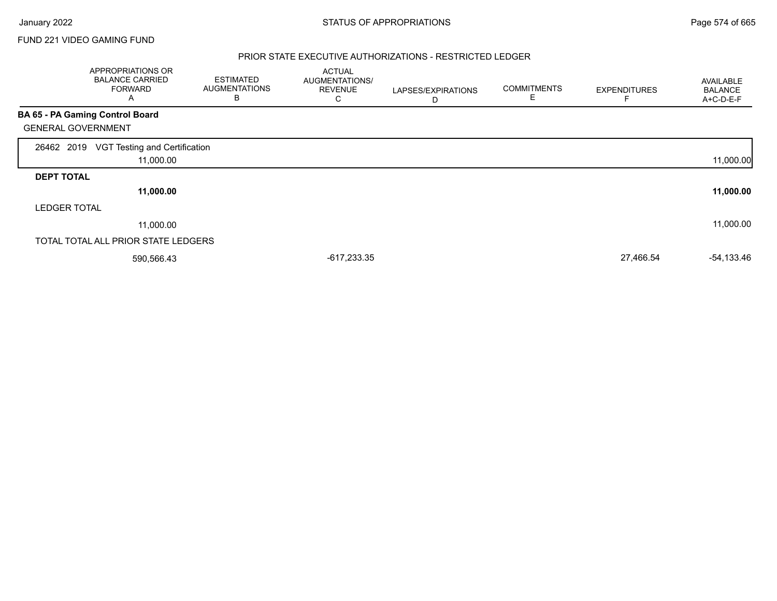$\Gamma$ 

### FUND 221 VIDEO GAMING FUND

### PRIOR STATE EXECUTIVE AUTHORIZATIONS - RESTRICTED LEDGER

|                           | APPROPRIATIONS OR<br><b>BALANCE CARRIED</b><br><b>FORWARD</b><br>A | <b>ESTIMATED</b><br><b>AUGMENTATIONS</b><br>в | <b>ACTUAL</b><br><b>AUGMENTATIONS/</b><br><b>REVENUE</b><br>С | LAPSES/EXPIRATIONS<br>D | <b>COMMITMENTS</b><br>Е | <b>EXPENDITURES</b> | AVAILABLE<br><b>BALANCE</b><br>A+C-D-E-F |
|---------------------------|--------------------------------------------------------------------|-----------------------------------------------|---------------------------------------------------------------|-------------------------|-------------------------|---------------------|------------------------------------------|
|                           | BA 65 - PA Gaming Control Board                                    |                                               |                                                               |                         |                         |                     |                                          |
| <b>GENERAL GOVERNMENT</b> |                                                                    |                                               |                                                               |                         |                         |                     |                                          |
| 26462 2019                | VGT Testing and Certification                                      |                                               |                                                               |                         |                         |                     |                                          |
|                           | 11,000.00                                                          |                                               |                                                               |                         |                         |                     | 11,000.00                                |
| <b>DEPT TOTAL</b>         |                                                                    |                                               |                                                               |                         |                         |                     |                                          |
|                           | 11,000.00                                                          |                                               |                                                               |                         |                         |                     | 11,000.00                                |
| <b>LEDGER TOTAL</b>       |                                                                    |                                               |                                                               |                         |                         |                     |                                          |
|                           | 11,000.00                                                          |                                               |                                                               |                         |                         |                     | 11,000.00                                |
|                           | TOTAL TOTAL ALL PRIOR STATE LEDGERS                                |                                               |                                                               |                         |                         |                     |                                          |
|                           | 590,566.43                                                         |                                               | $-617,233.35$                                                 |                         |                         | 27,466.54           | $-54,133.46$                             |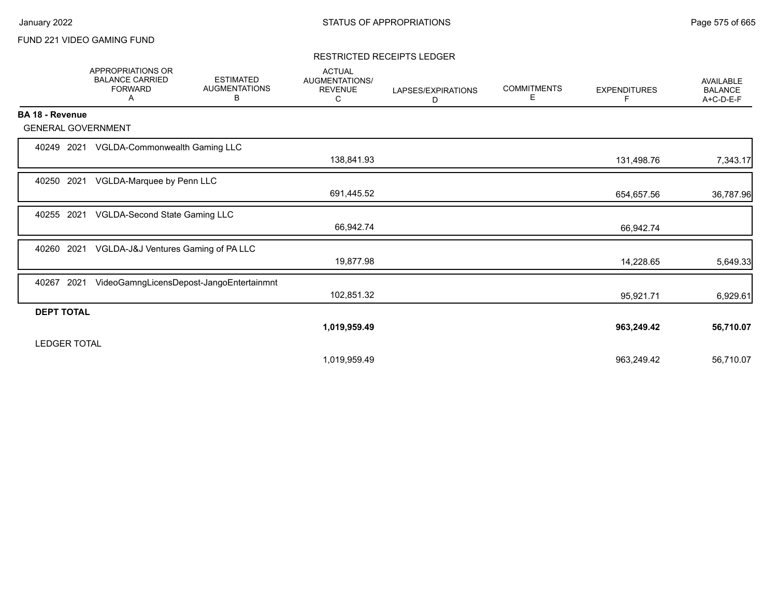### FUND 221 VIDEO GAMING FUND

### RESTRICTED RECEIPTS LEDGER

|                     | <b>APPROPRIATIONS OR</b><br><b>BALANCE CARRIED</b><br><b>FORWARD</b><br>Α | <b>ESTIMATED</b><br><b>AUGMENTATIONS</b><br>В | <b>ACTUAL</b><br>AUGMENTATIONS/<br><b>REVENUE</b><br>С | LAPSES/EXPIRATIONS<br>D | <b>COMMITMENTS</b><br>Е | <b>EXPENDITURES</b><br>F. | <b>AVAILABLE</b><br><b>BALANCE</b><br>A+C-D-E-F |
|---------------------|---------------------------------------------------------------------------|-----------------------------------------------|--------------------------------------------------------|-------------------------|-------------------------|---------------------------|-------------------------------------------------|
| BA 18 - Revenue     |                                                                           |                                               |                                                        |                         |                         |                           |                                                 |
|                     | <b>GENERAL GOVERNMENT</b>                                                 |                                               |                                                        |                         |                         |                           |                                                 |
| 40249               | 2021<br>VGLDA-Commonwealth Gaming LLC                                     |                                               | 138,841.93                                             |                         |                         | 131,498.76                | 7,343.17                                        |
| 40250               | 2021<br>VGLDA-Marquee by Penn LLC                                         |                                               | 691,445.52                                             |                         |                         | 654,657.56                | 36,787.96                                       |
| 40255               | VGLDA-Second State Gaming LLC<br>2021                                     |                                               | 66,942.74                                              |                         |                         | 66,942.74                 |                                                 |
| 40260               | 2021<br>VGLDA-J&J Ventures Gaming of PA LLC                               |                                               | 19,877.98                                              |                         |                         | 14,228.65                 | 5,649.33                                        |
| 40267               | 2021                                                                      | VideoGamngLicensDepost-JangoEntertainmnt      | 102,851.32                                             |                         |                         | 95,921.71                 | 6,929.61                                        |
| <b>DEPT TOTAL</b>   |                                                                           |                                               |                                                        |                         |                         |                           |                                                 |
| <b>LEDGER TOTAL</b> |                                                                           |                                               | 1,019,959.49                                           |                         |                         | 963,249.42                | 56,710.07                                       |
|                     |                                                                           |                                               | 1,019,959.49                                           |                         |                         | 963,249.42                | 56,710.07                                       |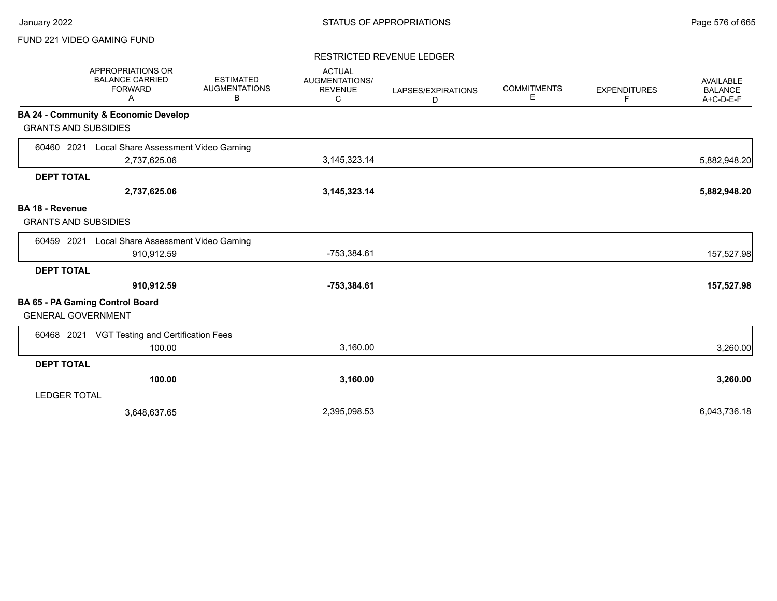### FUND 221 VIDEO GAMING FUND

### RESTRICTED REVENUE LEDGER

|                                                       | APPROPRIATIONS OR<br><b>BALANCE CARRIED</b><br><b>FORWARD</b><br>A | <b>ESTIMATED</b><br><b>AUGMENTATIONS</b><br>В | <b>ACTUAL</b><br>AUGMENTATIONS/<br><b>REVENUE</b><br>C | LAPSES/EXPIRATIONS<br>D | <b>COMMITMENTS</b><br>Е | <b>EXPENDITURES</b><br>F. | <b>AVAILABLE</b><br><b>BALANCE</b><br>A+C-D-E-F |
|-------------------------------------------------------|--------------------------------------------------------------------|-----------------------------------------------|--------------------------------------------------------|-------------------------|-------------------------|---------------------------|-------------------------------------------------|
|                                                       | <b>BA 24 - Community &amp; Economic Develop</b>                    |                                               |                                                        |                         |                         |                           |                                                 |
| <b>GRANTS AND SUBSIDIES</b>                           |                                                                    |                                               |                                                        |                         |                         |                           |                                                 |
| 60460 2021                                            | Local Share Assessment Video Gaming                                |                                               |                                                        |                         |                         |                           |                                                 |
|                                                       | 2,737,625.06                                                       |                                               | 3, 145, 323. 14                                        |                         |                         |                           | 5,882,948.20                                    |
| <b>DEPT TOTAL</b>                                     |                                                                    |                                               |                                                        |                         |                         |                           |                                                 |
|                                                       | 2,737,625.06                                                       |                                               | 3, 145, 323. 14                                        |                         |                         |                           | 5,882,948.20                                    |
| <b>BA 18 - Revenue</b><br><b>GRANTS AND SUBSIDIES</b> |                                                                    |                                               |                                                        |                         |                         |                           |                                                 |
| 60459 2021                                            | Local Share Assessment Video Gaming                                |                                               |                                                        |                         |                         |                           |                                                 |
|                                                       | 910,912.59                                                         |                                               | -753,384.61                                            |                         |                         |                           | 157,527.98                                      |
| <b>DEPT TOTAL</b>                                     |                                                                    |                                               |                                                        |                         |                         |                           |                                                 |
|                                                       | 910,912.59                                                         |                                               | $-753,384.61$                                          |                         |                         |                           | 157,527.98                                      |
| <b>GENERAL GOVERNMENT</b>                             | <b>BA 65 - PA Gaming Control Board</b>                             |                                               |                                                        |                         |                         |                           |                                                 |
|                                                       | 60468 2021 VGT Testing and Certification Fees                      |                                               |                                                        |                         |                         |                           |                                                 |
|                                                       | 100.00                                                             |                                               | 3,160.00                                               |                         |                         |                           | 3,260.00                                        |
| <b>DEPT TOTAL</b>                                     |                                                                    |                                               |                                                        |                         |                         |                           |                                                 |
|                                                       | 100.00                                                             |                                               | 3,160.00                                               |                         |                         |                           | 3,260.00                                        |
| <b>LEDGER TOTAL</b>                                   |                                                                    |                                               |                                                        |                         |                         |                           |                                                 |
|                                                       | 3,648,637.65                                                       |                                               | 2,395,098.53                                           |                         |                         |                           | 6,043,736.18                                    |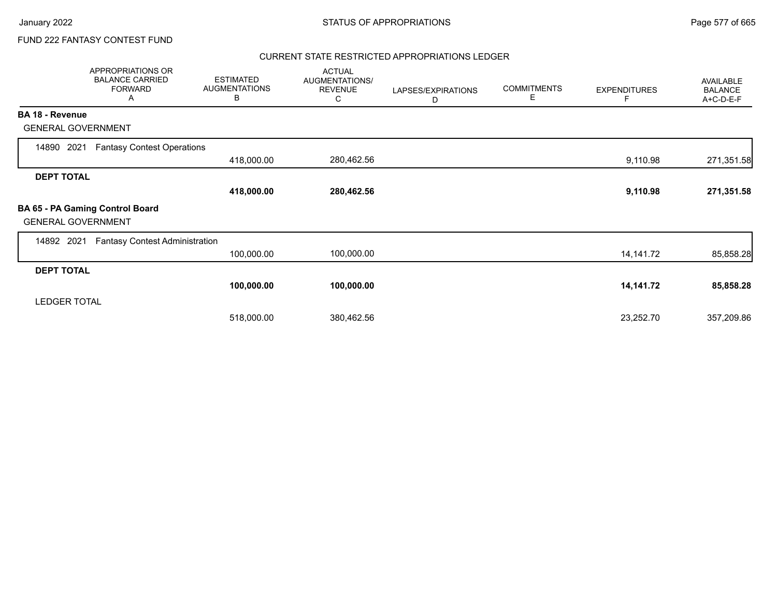### CURRENT STATE RESTRICTED APPROPRIATIONS LEDGER

|                           | APPROPRIATIONS OR<br><b>BALANCE CARRIED</b><br><b>FORWARD</b><br>A | <b>ESTIMATED</b><br><b>AUGMENTATIONS</b><br>В | <b>ACTUAL</b><br>AUGMENTATIONS/<br><b>REVENUE</b><br>C | LAPSES/EXPIRATIONS<br>D | <b>COMMITMENTS</b><br>Е | <b>EXPENDITURES</b> | AVAILABLE<br><b>BALANCE</b><br>A+C-D-E-F |
|---------------------------|--------------------------------------------------------------------|-----------------------------------------------|--------------------------------------------------------|-------------------------|-------------------------|---------------------|------------------------------------------|
| <b>BA 18 - Revenue</b>    |                                                                    |                                               |                                                        |                         |                         |                     |                                          |
| <b>GENERAL GOVERNMENT</b> |                                                                    |                                               |                                                        |                         |                         |                     |                                          |
| 2021<br>14890             | <b>Fantasy Contest Operations</b>                                  |                                               |                                                        |                         |                         |                     |                                          |
|                           |                                                                    | 418,000.00                                    | 280,462.56                                             |                         |                         | 9,110.98            | 271,351.58                               |
| <b>DEPT TOTAL</b>         |                                                                    |                                               |                                                        |                         |                         |                     |                                          |
|                           |                                                                    | 418,000.00                                    | 280,462.56                                             |                         |                         | 9,110.98            | 271,351.58                               |
| <b>GENERAL GOVERNMENT</b> | BA 65 - PA Gaming Control Board                                    |                                               |                                                        |                         |                         |                     |                                          |
| 2021<br>14892             | <b>Fantasy Contest Administration</b>                              |                                               |                                                        |                         |                         |                     |                                          |
|                           |                                                                    | 100,000.00                                    | 100,000.00                                             |                         |                         | 14,141.72           | 85,858.28                                |
| <b>DEPT TOTAL</b>         |                                                                    |                                               |                                                        |                         |                         |                     |                                          |
|                           |                                                                    | 100,000.00                                    | 100,000.00                                             |                         |                         | 14,141.72           | 85,858.28                                |
| <b>LEDGER TOTAL</b>       |                                                                    |                                               |                                                        |                         |                         |                     |                                          |
|                           |                                                                    | 518,000.00                                    | 380,462.56                                             |                         |                         | 23,252.70           | 357,209.86                               |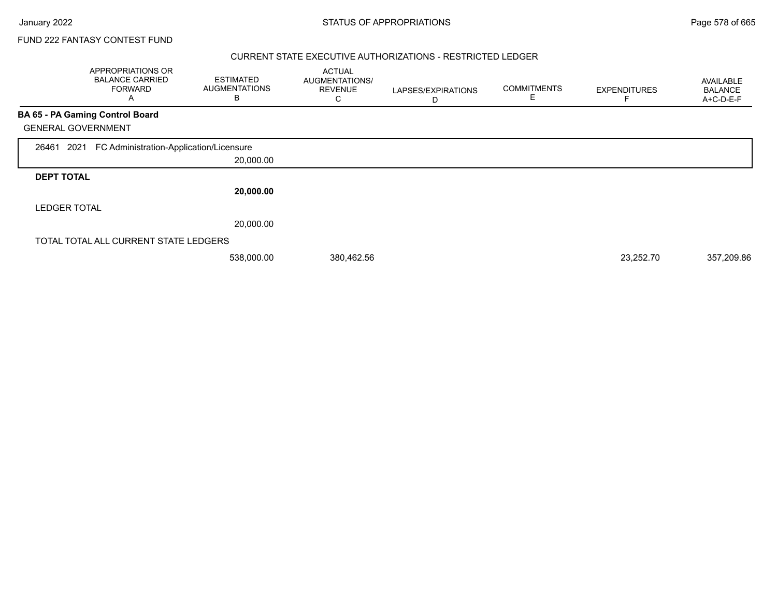#### CURRENT STATE EXECUTIVE AUTHORIZATIONS - RESTRICTED LEDGER

|                           | APPROPRIATIONS OR<br><b>BALANCE CARRIED</b><br><b>FORWARD</b><br>Α | <b>ESTIMATED</b><br><b>AUGMENTATIONS</b><br>B | <b>ACTUAL</b><br><b>AUGMENTATIONS/</b><br><b>REVENUE</b><br>С | LAPSES/EXPIRATIONS<br>D | <b>COMMITMENTS</b> | <b>EXPENDITURES</b> | AVAILABLE<br><b>BALANCE</b><br>A+C-D-E-F |
|---------------------------|--------------------------------------------------------------------|-----------------------------------------------|---------------------------------------------------------------|-------------------------|--------------------|---------------------|------------------------------------------|
|                           | <b>BA 65 - PA Gaming Control Board</b>                             |                                               |                                                               |                         |                    |                     |                                          |
| <b>GENERAL GOVERNMENT</b> |                                                                    |                                               |                                                               |                         |                    |                     |                                          |
| 2021<br>26461             | FC Administration-Application/Licensure                            |                                               |                                                               |                         |                    |                     |                                          |
|                           |                                                                    | 20,000.00                                     |                                                               |                         |                    |                     |                                          |
| <b>DEPT TOTAL</b>         |                                                                    |                                               |                                                               |                         |                    |                     |                                          |
|                           |                                                                    | 20,000.00                                     |                                                               |                         |                    |                     |                                          |
| <b>LEDGER TOTAL</b>       |                                                                    |                                               |                                                               |                         |                    |                     |                                          |
|                           |                                                                    | 20,000.00                                     |                                                               |                         |                    |                     |                                          |
|                           | TOTAL TOTAL ALL CURRENT STATE LEDGERS                              |                                               |                                                               |                         |                    |                     |                                          |
|                           |                                                                    | 538,000.00                                    | 380,462.56                                                    |                         |                    | 23,252.70           | 357,209.86                               |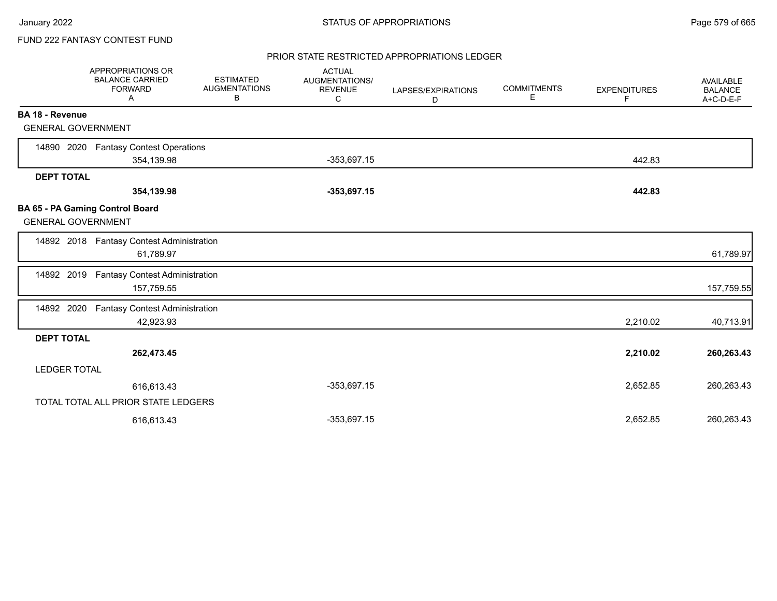### PRIOR STATE RESTRICTED APPROPRIATIONS LEDGER

|                           | APPROPRIATIONS OR<br><b>BALANCE CARRIED</b><br><b>FORWARD</b><br>Α | <b>ESTIMATED</b><br><b>AUGMENTATIONS</b><br>В | <b>ACTUAL</b><br>AUGMENTATIONS/<br><b>REVENUE</b><br>C | LAPSES/EXPIRATIONS<br>D | <b>COMMITMENTS</b><br>Е | <b>EXPENDITURES</b><br>F | <b>AVAILABLE</b><br><b>BALANCE</b><br>A+C-D-E-F |
|---------------------------|--------------------------------------------------------------------|-----------------------------------------------|--------------------------------------------------------|-------------------------|-------------------------|--------------------------|-------------------------------------------------|
| <b>BA 18 - Revenue</b>    |                                                                    |                                               |                                                        |                         |                         |                          |                                                 |
| <b>GENERAL GOVERNMENT</b> |                                                                    |                                               |                                                        |                         |                         |                          |                                                 |
| 14890 2020                | <b>Fantasy Contest Operations</b>                                  |                                               |                                                        |                         |                         |                          |                                                 |
|                           | 354,139.98                                                         |                                               | $-353,697.15$                                          |                         |                         | 442.83                   |                                                 |
| <b>DEPT TOTAL</b>         |                                                                    |                                               |                                                        |                         |                         |                          |                                                 |
|                           | 354,139.98                                                         |                                               | $-353,697.15$                                          |                         |                         | 442.83                   |                                                 |
| <b>GENERAL GOVERNMENT</b> | BA 65 - PA Gaming Control Board                                    |                                               |                                                        |                         |                         |                          |                                                 |
|                           | 14892 2018 Fantasy Contest Administration<br>61,789.97             |                                               |                                                        |                         |                         |                          | 61,789.97                                       |
| 14892 2019                | <b>Fantasy Contest Administration</b><br>157,759.55                |                                               |                                                        |                         |                         |                          | 157,759.55                                      |
| 14892 2020                | <b>Fantasy Contest Administration</b><br>42,923.93                 |                                               |                                                        |                         |                         | 2,210.02                 | 40,713.91                                       |
| <b>DEPT TOTAL</b>         |                                                                    |                                               |                                                        |                         |                         |                          |                                                 |
|                           | 262,473.45                                                         |                                               |                                                        |                         |                         | 2,210.02                 | 260,263.43                                      |
| <b>LEDGER TOTAL</b>       |                                                                    |                                               |                                                        |                         |                         |                          |                                                 |
|                           | 616,613.43                                                         |                                               | $-353,697.15$                                          |                         |                         | 2,652.85                 | 260,263.43                                      |
|                           | TOTAL TOTAL ALL PRIOR STATE LEDGERS                                |                                               |                                                        |                         |                         |                          |                                                 |
|                           | 616,613.43                                                         |                                               | $-353,697.15$                                          |                         |                         | 2,652.85                 | 260,263.43                                      |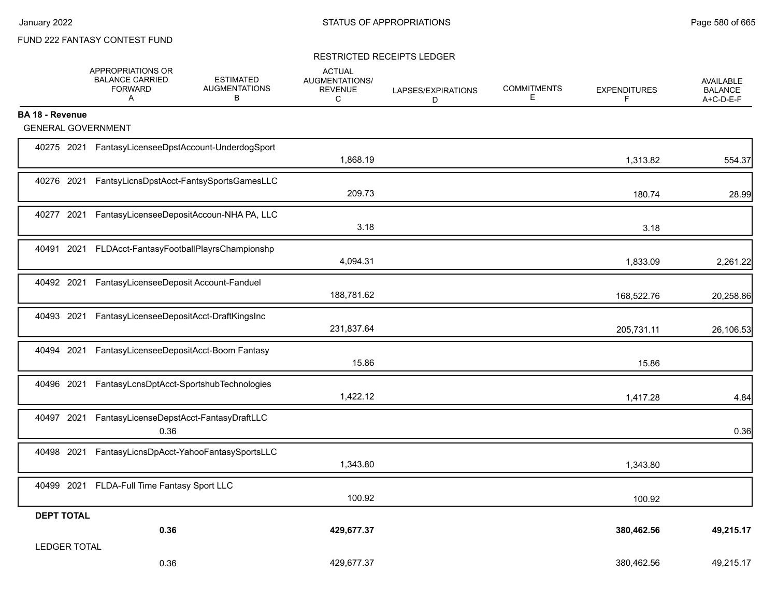#### RESTRICTED RECEIPTS LEDGER

|                           | APPROPRIATIONS OR<br><b>BALANCE CARRIED</b><br><b>FORWARD</b><br>A | <b>ESTIMATED</b><br><b>AUGMENTATIONS</b><br>В | <b>ACTUAL</b><br>AUGMENTATIONS/<br><b>REVENUE</b><br>C | LAPSES/EXPIRATIONS<br>D | <b>COMMITMENTS</b><br>E | <b>EXPENDITURES</b><br>F | <b>AVAILABLE</b><br><b>BALANCE</b><br>A+C-D-E-F |
|---------------------------|--------------------------------------------------------------------|-----------------------------------------------|--------------------------------------------------------|-------------------------|-------------------------|--------------------------|-------------------------------------------------|
| <b>BA 18 - Revenue</b>    |                                                                    |                                               |                                                        |                         |                         |                          |                                                 |
| <b>GENERAL GOVERNMENT</b> |                                                                    |                                               |                                                        |                         |                         |                          |                                                 |
|                           | 40275 2021 FantasyLicenseeDpstAccount-UnderdogSport                |                                               | 1,868.19                                               |                         |                         | 1,313.82                 | 554.37                                          |
| 40276 2021                |                                                                    | FantsyLicnsDpstAcct-FantsySportsGamesLLC      | 209.73                                                 |                         |                         | 180.74                   | 28.99                                           |
| 40277 2021                |                                                                    | FantasyLicenseeDepositAccoun-NHA PA, LLC      | 3.18                                                   |                         |                         | 3.18                     |                                                 |
| 40491 2021                |                                                                    | FLDAcct-FantasyFootballPlayrsChampionshp      | 4,094.31                                               |                         |                         | 1,833.09                 | 2,261.22                                        |
| 40492 2021                | FantasyLicenseeDeposit Account-Fanduel                             |                                               | 188,781.62                                             |                         |                         | 168,522.76               | 20,258.86                                       |
| 40493 2021                | FantasyLicenseeDepositAcct-DraftKingsInc                           |                                               | 231,837.64                                             |                         |                         | 205,731.11               | 26,106.53                                       |
| 40494 2021                |                                                                    | FantasyLicenseeDepositAcct-Boom Fantasy       | 15.86                                                  |                         |                         | 15.86                    |                                                 |
| 40496 2021                |                                                                    | FantasyLcnsDptAcct-SportshubTechnologies      | 1,422.12                                               |                         |                         | 1,417.28                 | 4.84                                            |
| 40497 2021                | FantasyLicenseDepstAcct-FantasyDraftLLC<br>0.36                    |                                               |                                                        |                         |                         |                          | 0.36                                            |
| 40498 2021                |                                                                    | FantasyLicnsDpAcct-YahooFantasySportsLLC      | 1,343.80                                               |                         |                         | 1,343.80                 |                                                 |
| 40499 2021                | FLDA-Full Time Fantasy Sport LLC                                   |                                               | 100.92                                                 |                         |                         | 100.92                   |                                                 |
| <b>DEPT TOTAL</b>         |                                                                    |                                               |                                                        |                         |                         |                          |                                                 |
|                           | 0.36                                                               |                                               | 429,677.37                                             |                         |                         | 380,462.56               | 49,215.17                                       |
| <b>LEDGER TOTAL</b>       |                                                                    |                                               |                                                        |                         |                         |                          |                                                 |
|                           | 0.36                                                               |                                               | 429,677.37                                             |                         |                         | 380,462.56               | 49,215.17                                       |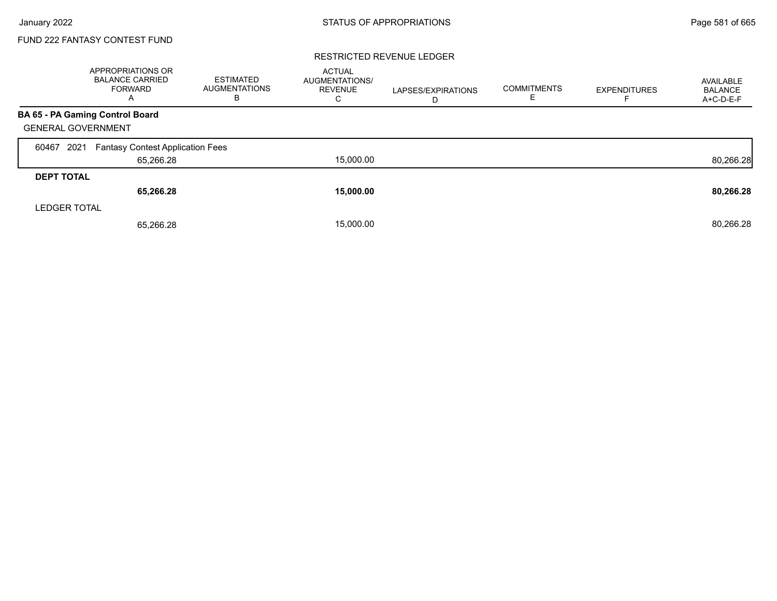#### RESTRICTED REVENUE LEDGER

|                     | <b>APPROPRIATIONS OR</b><br><b>BALANCE CARRIED</b><br><b>FORWARD</b><br>A | <b>ESTIMATED</b><br><b>AUGMENTATIONS</b><br>в | <b>ACTUAL</b><br>AUGMENTATIONS/<br><b>REVENUE</b><br>С | LAPSES/EXPIRATIONS<br>D | <b>COMMITMENTS</b><br>E. | <b>EXPENDITURES</b> | AVAILABLE<br><b>BALANCE</b><br>A+C-D-E-F |
|---------------------|---------------------------------------------------------------------------|-----------------------------------------------|--------------------------------------------------------|-------------------------|--------------------------|---------------------|------------------------------------------|
|                     | <b>BA 65 - PA Gaming Control Board</b>                                    |                                               |                                                        |                         |                          |                     |                                          |
|                     | <b>GENERAL GOVERNMENT</b>                                                 |                                               |                                                        |                         |                          |                     |                                          |
| 60467               | 2021<br><b>Fantasy Contest Application Fees</b>                           |                                               |                                                        |                         |                          |                     |                                          |
|                     | 65,266.28                                                                 |                                               | 15,000.00                                              |                         |                          |                     | 80,266.28                                |
| <b>DEPT TOTAL</b>   |                                                                           |                                               |                                                        |                         |                          |                     |                                          |
|                     | 65,266.28                                                                 |                                               | 15,000.00                                              |                         |                          |                     | 80,266.28                                |
| <b>LEDGER TOTAL</b> |                                                                           |                                               |                                                        |                         |                          |                     |                                          |
|                     | 65.266.28                                                                 |                                               | 15,000.00                                              |                         |                          |                     | 80,266.28                                |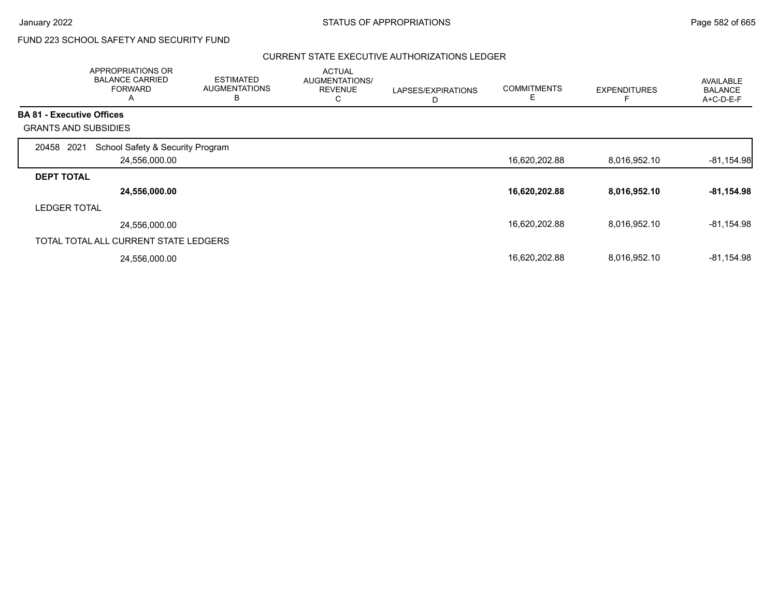# FUND 223 SCHOOL SAFETY AND SECURITY FUND

#### CURRENT STATE EXECUTIVE AUTHORIZATIONS LEDGER

|                                  | APPROPRIATIONS OR<br><b>BALANCE CARRIED</b><br><b>FORWARD</b><br>A | <b>ESTIMATED</b><br><b>AUGMENTATIONS</b><br>B | <b>ACTUAL</b><br>AUGMENTATIONS/<br><b>REVENUE</b><br>С | LAPSES/EXPIRATIONS<br>D | <b>COMMITMENTS</b><br>E | <b>EXPENDITURES</b> | <b>AVAILABLE</b><br><b>BALANCE</b><br>$A+C-D-E-F$ |
|----------------------------------|--------------------------------------------------------------------|-----------------------------------------------|--------------------------------------------------------|-------------------------|-------------------------|---------------------|---------------------------------------------------|
| <b>BA 81 - Executive Offices</b> |                                                                    |                                               |                                                        |                         |                         |                     |                                                   |
|                                  | <b>GRANTS AND SUBSIDIES</b>                                        |                                               |                                                        |                         |                         |                     |                                                   |
| 20458                            | School Safety & Security Program<br>2021                           |                                               |                                                        |                         |                         |                     |                                                   |
|                                  | 24,556,000.00                                                      |                                               |                                                        |                         | 16,620,202.88           | 8,016,952.10        | $-81,154.98$                                      |
| <b>DEPT TOTAL</b>                |                                                                    |                                               |                                                        |                         |                         |                     |                                                   |
|                                  | 24,556,000.00                                                      |                                               |                                                        |                         | 16,620,202.88           | 8,016,952.10        | $-81,154.98$                                      |
| <b>LEDGER TOTAL</b>              |                                                                    |                                               |                                                        |                         |                         |                     |                                                   |
|                                  | 24,556,000.00                                                      |                                               |                                                        |                         | 16,620,202.88           | 8,016,952.10        | -81,154.98                                        |
|                                  | TOTAL TOTAL ALL CURRENT STATE LEDGERS                              |                                               |                                                        |                         |                         |                     |                                                   |
|                                  | 24,556,000.00                                                      |                                               |                                                        |                         | 16,620,202.88           | 8,016,952.10        | $-81,154.98$                                      |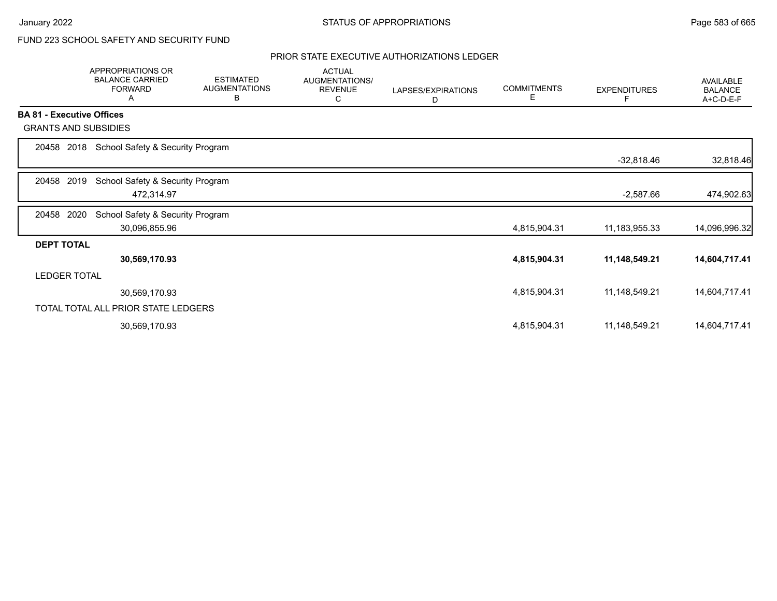# FUND 223 SCHOOL SAFETY AND SECURITY FUND

### PRIOR STATE EXECUTIVE AUTHORIZATIONS LEDGER

|                                  | <b>APPROPRIATIONS OR</b><br><b>BALANCE CARRIED</b><br><b>FORWARD</b><br>Α | <b>ESTIMATED</b><br><b>AUGMENTATIONS</b><br>В | <b>ACTUAL</b><br>AUGMENTATIONS/<br><b>REVENUE</b><br>С | LAPSES/EXPIRATIONS<br>D | <b>COMMITMENTS</b><br>Е | <b>EXPENDITURES</b> | AVAILABLE<br><b>BALANCE</b><br>A+C-D-E-F |
|----------------------------------|---------------------------------------------------------------------------|-----------------------------------------------|--------------------------------------------------------|-------------------------|-------------------------|---------------------|------------------------------------------|
| <b>BA 81 - Executive Offices</b> |                                                                           |                                               |                                                        |                         |                         |                     |                                          |
| <b>GRANTS AND SUBSIDIES</b>      |                                                                           |                                               |                                                        |                         |                         |                     |                                          |
| 2018<br>20458                    | School Safety & Security Program                                          |                                               |                                                        |                         |                         |                     |                                          |
|                                  |                                                                           |                                               |                                                        |                         |                         | $-32,818.46$        | 32,818.46                                |
| 2019<br>20458                    | School Safety & Security Program                                          |                                               |                                                        |                         |                         |                     |                                          |
|                                  | 472,314.97                                                                |                                               |                                                        |                         |                         | $-2,587.66$         | 474,902.63                               |
| 20458<br>2020                    | School Safety & Security Program                                          |                                               |                                                        |                         |                         |                     |                                          |
|                                  | 30,096,855.96                                                             |                                               |                                                        |                         | 4,815,904.31            | 11,183,955.33       | 14,096,996.32                            |
| <b>DEPT TOTAL</b>                |                                                                           |                                               |                                                        |                         |                         |                     |                                          |
|                                  | 30,569,170.93                                                             |                                               |                                                        |                         | 4,815,904.31            | 11,148,549.21       | 14,604,717.41                            |
| <b>LEDGER TOTAL</b>              |                                                                           |                                               |                                                        |                         |                         |                     |                                          |
|                                  | 30,569,170.93                                                             |                                               |                                                        |                         | 4,815,904.31            | 11,148,549.21       | 14,604,717.41                            |
|                                  | TOTAL TOTAL ALL PRIOR STATE LEDGERS                                       |                                               |                                                        |                         |                         |                     |                                          |
|                                  | 30,569,170.93                                                             |                                               |                                                        |                         | 4,815,904.31            | 11,148,549.21       | 14,604,717.41                            |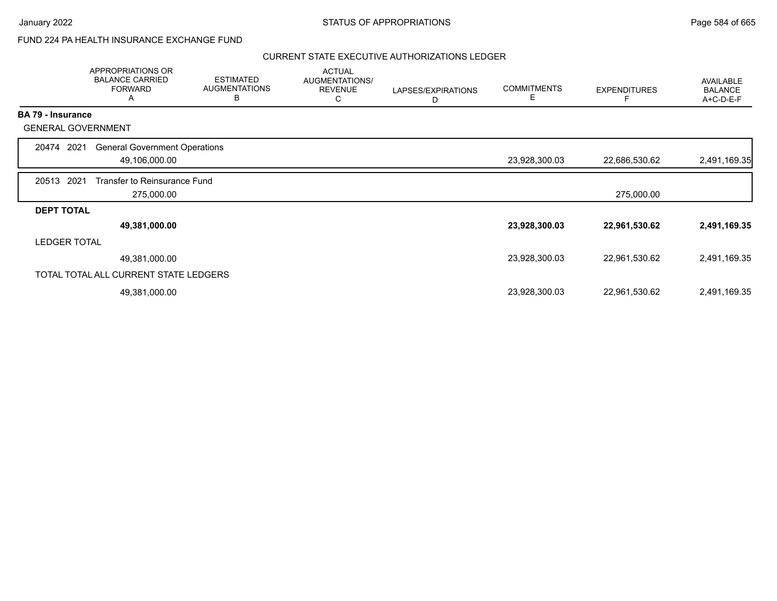## FUND 224 PA HEALTH INSURANCE EXCHANGE FUND

#### CURRENT STATE EXECUTIVE AUTHORIZATIONS LEDGER

|                          | APPROPRIATIONS OR<br><b>BALANCE CARRIED</b><br><b>FORWARD</b><br>A | <b>ESTIMATED</b><br><b>AUGMENTATIONS</b><br>B | <b>ACTUAL</b><br>AUGMENTATIONS/<br><b>REVENUE</b><br>C | LAPSES/EXPIRATIONS<br>D | <b>COMMITMENTS</b><br>Е | <b>EXPENDITURES</b> | <b>AVAILABLE</b><br><b>BALANCE</b><br>A+C-D-E-F |
|--------------------------|--------------------------------------------------------------------|-----------------------------------------------|--------------------------------------------------------|-------------------------|-------------------------|---------------------|-------------------------------------------------|
| <b>BA 79 - Insurance</b> |                                                                    |                                               |                                                        |                         |                         |                     |                                                 |
|                          | <b>GENERAL GOVERNMENT</b>                                          |                                               |                                                        |                         |                         |                     |                                                 |
| 20474                    | <b>General Government Operations</b><br>2021                       |                                               |                                                        |                         |                         |                     |                                                 |
|                          | 49,106,000.00                                                      |                                               |                                                        |                         | 23,928,300.03           | 22,686,530.62       | 2,491,169.35                                    |
| 20513                    | 2021<br>Transfer to Reinsurance Fund                               |                                               |                                                        |                         |                         |                     |                                                 |
|                          | 275,000.00                                                         |                                               |                                                        |                         |                         | 275,000.00          |                                                 |
| <b>DEPT TOTAL</b>        |                                                                    |                                               |                                                        |                         |                         |                     |                                                 |
|                          | 49,381,000.00                                                      |                                               |                                                        |                         | 23,928,300.03           | 22,961,530.62       | 2,491,169.35                                    |
| <b>LEDGER TOTAL</b>      |                                                                    |                                               |                                                        |                         |                         |                     |                                                 |
|                          | 49,381,000.00                                                      |                                               |                                                        |                         | 23,928,300.03           | 22,961,530.62       | 2,491,169.35                                    |
|                          | TOTAL TOTAL ALL CURRENT STATE LEDGERS                              |                                               |                                                        |                         |                         |                     |                                                 |
|                          | 49,381,000.00                                                      |                                               |                                                        |                         | 23,928,300.03           | 22,961,530.62       | 2,491,169.35                                    |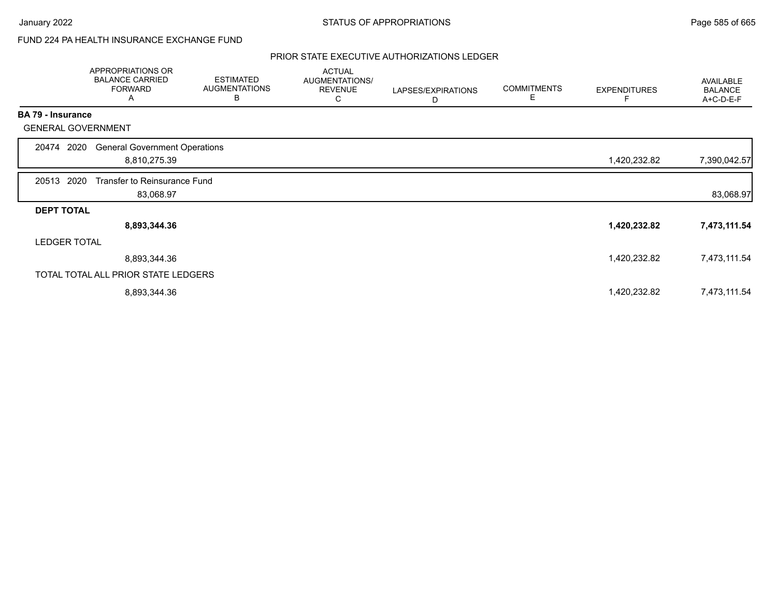# FUND 224 PA HEALTH INSURANCE EXCHANGE FUND

#### PRIOR STATE EXECUTIVE AUTHORIZATIONS LEDGER

|                           | APPROPRIATIONS OR<br><b>BALANCE CARRIED</b><br><b>FORWARD</b><br>A | <b>ESTIMATED</b><br><b>AUGMENTATIONS</b><br>В | <b>ACTUAL</b><br>AUGMENTATIONS/<br><b>REVENUE</b><br>C | LAPSES/EXPIRATIONS<br>D | <b>COMMITMENTS</b><br>Е | <b>EXPENDITURES</b> | AVAILABLE<br><b>BALANCE</b><br>A+C-D-E-F |
|---------------------------|--------------------------------------------------------------------|-----------------------------------------------|--------------------------------------------------------|-------------------------|-------------------------|---------------------|------------------------------------------|
| <b>BA 79 - Insurance</b>  |                                                                    |                                               |                                                        |                         |                         |                     |                                          |
| <b>GENERAL GOVERNMENT</b> |                                                                    |                                               |                                                        |                         |                         |                     |                                          |
| 2020<br>20474             | <b>General Government Operations</b>                               |                                               |                                                        |                         |                         |                     |                                          |
|                           | 8,810,275.39                                                       |                                               |                                                        |                         |                         | 1,420,232.82        | 7,390,042.57                             |
| 20513 2020                | Transfer to Reinsurance Fund                                       |                                               |                                                        |                         |                         |                     |                                          |
|                           | 83,068.97                                                          |                                               |                                                        |                         |                         |                     | 83,068.97                                |
| <b>DEPT TOTAL</b>         |                                                                    |                                               |                                                        |                         |                         |                     |                                          |
|                           | 8,893,344.36                                                       |                                               |                                                        |                         |                         | 1,420,232.82        | 7,473,111.54                             |
| <b>LEDGER TOTAL</b>       |                                                                    |                                               |                                                        |                         |                         |                     |                                          |
|                           | 8,893,344.36                                                       |                                               |                                                        |                         |                         | 1,420,232.82        | 7,473,111.54                             |
|                           | TOTAL TOTAL ALL PRIOR STATE LEDGERS                                |                                               |                                                        |                         |                         |                     |                                          |
|                           | 8,893,344.36                                                       |                                               |                                                        |                         |                         | 1,420,232.82        | 7,473,111.54                             |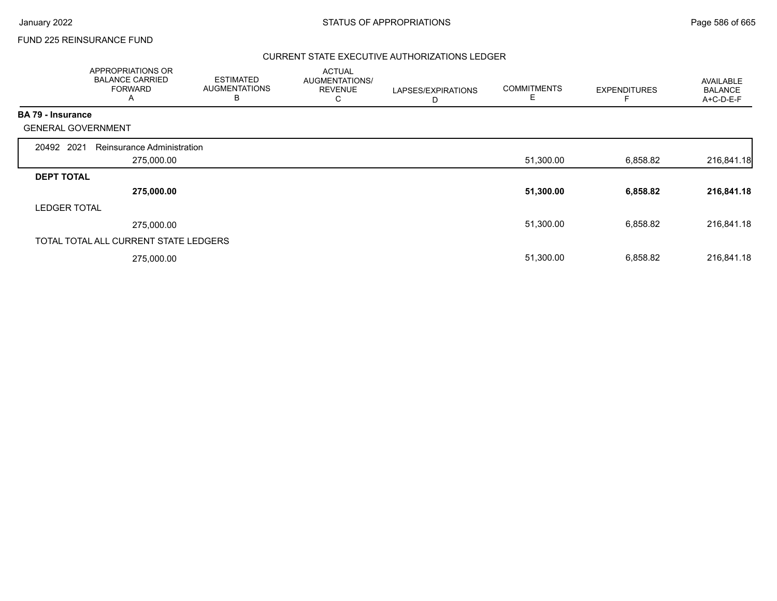## FUND 225 REINSURANCE FUND

### CURRENT STATE EXECUTIVE AUTHORIZATIONS LEDGER

|                          | APPROPRIATIONS OR<br><b>BALANCE CARRIED</b><br><b>FORWARD</b><br>A | <b>ESTIMATED</b><br><b>AUGMENTATIONS</b><br>B | <b>ACTUAL</b><br>AUGMENTATIONS/<br><b>REVENUE</b><br>С | LAPSES/EXPIRATIONS<br>D | <b>COMMITMENTS</b><br>E | <b>EXPENDITURES</b> | AVAILABLE<br><b>BALANCE</b><br>A+C-D-E-F |
|--------------------------|--------------------------------------------------------------------|-----------------------------------------------|--------------------------------------------------------|-------------------------|-------------------------|---------------------|------------------------------------------|
| <b>BA 79 - Insurance</b> |                                                                    |                                               |                                                        |                         |                         |                     |                                          |
|                          | <b>GENERAL GOVERNMENT</b>                                          |                                               |                                                        |                         |                         |                     |                                          |
| 20492 2021               | Reinsurance Administration                                         |                                               |                                                        |                         |                         |                     |                                          |
|                          | 275,000.00                                                         |                                               |                                                        |                         | 51,300.00               | 6,858.82            | 216,841.18                               |
| <b>DEPT TOTAL</b>        |                                                                    |                                               |                                                        |                         |                         |                     |                                          |
|                          | 275,000.00                                                         |                                               |                                                        |                         | 51,300.00               | 6,858.82            | 216,841.18                               |
| <b>LEDGER TOTAL</b>      |                                                                    |                                               |                                                        |                         |                         |                     |                                          |
|                          | 275,000.00                                                         |                                               |                                                        |                         | 51,300.00               | 6,858.82            | 216,841.18                               |
|                          | TOTAL TOTAL ALL CURRENT STATE LEDGERS                              |                                               |                                                        |                         |                         |                     |                                          |
|                          | 275,000.00                                                         |                                               |                                                        |                         | 51,300.00               | 6,858.82            | 216,841.18                               |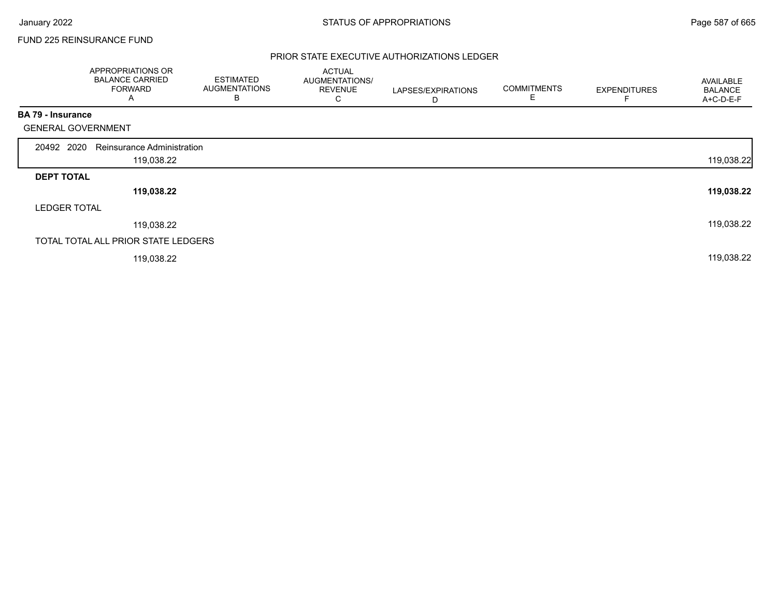## FUND 225 REINSURANCE FUND

### PRIOR STATE EXECUTIVE AUTHORIZATIONS LEDGER

|                           | APPROPRIATIONS OR<br><b>BALANCE CARRIED</b><br><b>FORWARD</b><br>A | <b>ESTIMATED</b><br><b>AUGMENTATIONS</b><br>В | <b>ACTUAL</b><br>AUGMENTATIONS/<br><b>REVENUE</b><br>C | LAPSES/EXPIRATIONS<br>D | <b>COMMITMENTS</b><br>Е | <b>EXPENDITURES</b> | AVAILABLE<br><b>BALANCE</b><br>A+C-D-E-F |
|---------------------------|--------------------------------------------------------------------|-----------------------------------------------|--------------------------------------------------------|-------------------------|-------------------------|---------------------|------------------------------------------|
| <b>BA 79 - Insurance</b>  |                                                                    |                                               |                                                        |                         |                         |                     |                                          |
| <b>GENERAL GOVERNMENT</b> |                                                                    |                                               |                                                        |                         |                         |                     |                                          |
| 20492 2020                | <b>Reinsurance Administration</b>                                  |                                               |                                                        |                         |                         |                     |                                          |
|                           | 119,038.22                                                         |                                               |                                                        |                         |                         |                     | 119,038.22                               |
| <b>DEPT TOTAL</b>         |                                                                    |                                               |                                                        |                         |                         |                     |                                          |
|                           | 119,038.22                                                         |                                               |                                                        |                         |                         |                     | 119,038.22                               |
| <b>LEDGER TOTAL</b>       |                                                                    |                                               |                                                        |                         |                         |                     |                                          |
|                           | 119,038.22                                                         |                                               |                                                        |                         |                         |                     | 119,038.22                               |
|                           | TOTAL TOTAL ALL PRIOR STATE LEDGERS                                |                                               |                                                        |                         |                         |                     |                                          |
|                           | 119,038.22                                                         |                                               |                                                        |                         |                         |                     | 119,038.22                               |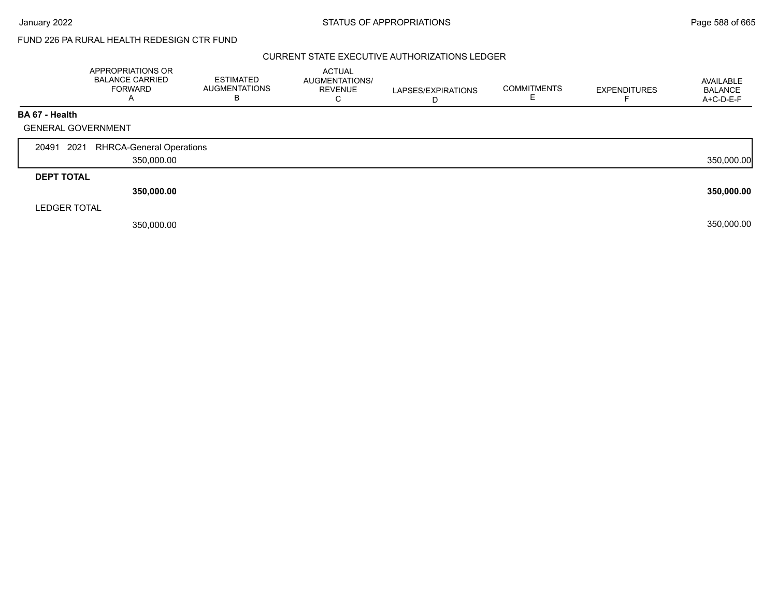# FUND 226 PA RURAL HEALTH REDESIGN CTR FUND

#### CURRENT STATE EXECUTIVE AUTHORIZATIONS LEDGER

|                     | APPROPRIATIONS OR<br><b>BALANCE CARRIED</b><br><b>FORWARD</b><br>A | <b>ESTIMATED</b><br><b>AUGMENTATIONS</b><br>в | ACTUAL<br>AUGMENTATIONS/<br><b>REVENUE</b><br>⌒<br>Ü | LAPSES/EXPIRATIONS<br>D | <b>COMMITMENTS</b> | <b>EXPENDITURES</b> | AVAILABLE<br><b>BALANCE</b><br>A+C-D-E-F |
|---------------------|--------------------------------------------------------------------|-----------------------------------------------|------------------------------------------------------|-------------------------|--------------------|---------------------|------------------------------------------|
| BA 67 - Health      |                                                                    |                                               |                                                      |                         |                    |                     |                                          |
|                     | <b>GENERAL GOVERNMENT</b>                                          |                                               |                                                      |                         |                    |                     |                                          |
|                     |                                                                    |                                               |                                                      |                         |                    |                     |                                          |
| 20491 2021          | <b>RHRCA-General Operations</b>                                    |                                               |                                                      |                         |                    |                     |                                          |
|                     | 350,000.00                                                         |                                               |                                                      |                         |                    |                     | 350,000.00                               |
| <b>DEPT TOTAL</b>   |                                                                    |                                               |                                                      |                         |                    |                     |                                          |
|                     | 350,000.00                                                         |                                               |                                                      |                         |                    |                     | 350,000.00                               |
| <b>LEDGER TOTAL</b> |                                                                    |                                               |                                                      |                         |                    |                     |                                          |
|                     | 350,000.00                                                         |                                               |                                                      |                         |                    |                     | 350,000.00                               |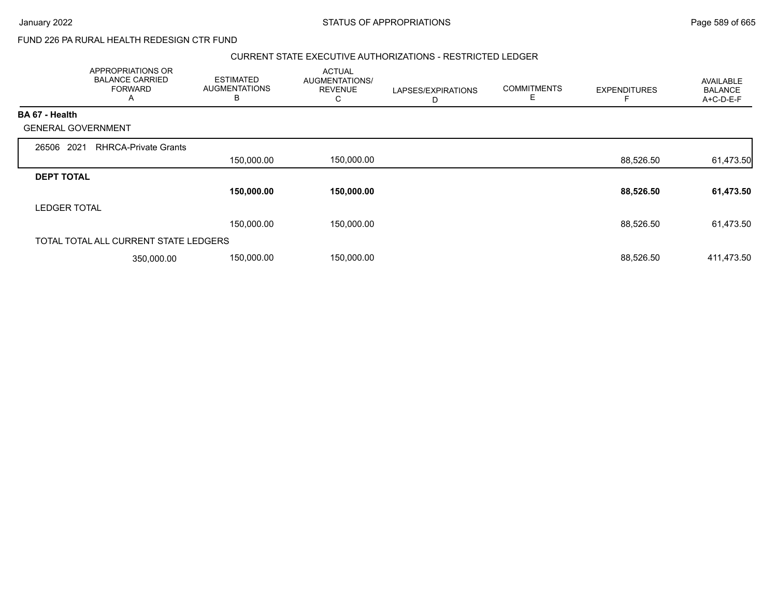# FUND 226 PA RURAL HEALTH REDESIGN CTR FUND

#### CURRENT STATE EXECUTIVE AUTHORIZATIONS - RESTRICTED LEDGER

|                           | <b>APPROPRIATIONS OR</b><br><b>BALANCE CARRIED</b><br><b>FORWARD</b><br>A | <b>ESTIMATED</b><br><b>AUGMENTATIONS</b><br>В | <b>ACTUAL</b><br>AUGMENTATIONS/<br><b>REVENUE</b><br>С | LAPSES/EXPIRATIONS<br>D | <b>COMMITMENTS</b><br>E | <b>EXPENDITURES</b> | AVAILABLE<br><b>BALANCE</b><br>A+C-D-E-F |
|---------------------------|---------------------------------------------------------------------------|-----------------------------------------------|--------------------------------------------------------|-------------------------|-------------------------|---------------------|------------------------------------------|
| <b>BA 67 - Health</b>     |                                                                           |                                               |                                                        |                         |                         |                     |                                          |
| <b>GENERAL GOVERNMENT</b> |                                                                           |                                               |                                                        |                         |                         |                     |                                          |
| 2021<br>26506             | <b>RHRCA-Private Grants</b>                                               |                                               |                                                        |                         |                         |                     |                                          |
|                           |                                                                           | 150,000.00                                    | 150,000.00                                             |                         |                         | 88,526.50           | 61,473.50                                |
| <b>DEPT TOTAL</b>         |                                                                           |                                               |                                                        |                         |                         |                     |                                          |
|                           |                                                                           | 150,000.00                                    | 150,000.00                                             |                         |                         | 88,526.50           | 61,473.50                                |
| <b>LEDGER TOTAL</b>       |                                                                           |                                               |                                                        |                         |                         |                     |                                          |
|                           |                                                                           | 150,000.00                                    | 150,000.00                                             |                         |                         | 88,526.50           | 61,473.50                                |
|                           | TOTAL TOTAL ALL CURRENT STATE LEDGERS                                     |                                               |                                                        |                         |                         |                     |                                          |
|                           | 350,000.00                                                                | 150,000.00                                    | 150,000.00                                             |                         |                         | 88,526.50           | 411,473.50                               |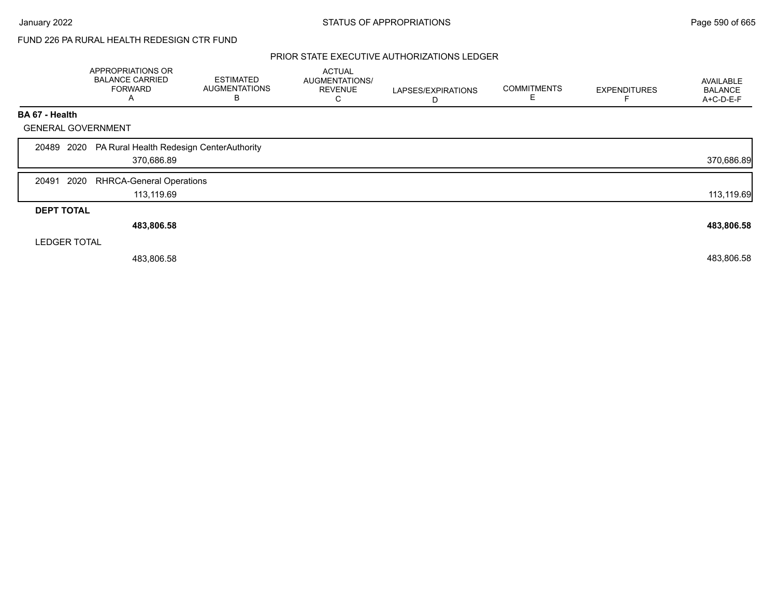# FUND 226 PA RURAL HEALTH REDESIGN CTR FUND

### PRIOR STATE EXECUTIVE AUTHORIZATIONS LEDGER

|                           | APPROPRIATIONS OR<br><b>BALANCE CARRIED</b><br><b>FORWARD</b><br>A | <b>ESTIMATED</b><br><b>AUGMENTATIONS</b><br>В | <b>ACTUAL</b><br>AUGMENTATIONS/<br><b>REVENUE</b><br>C | LAPSES/EXPIRATIONS<br>D | <b>COMMITMENTS</b> | <b>EXPENDITURES</b> | AVAILABLE<br><b>BALANCE</b><br>A+C-D-E-F |
|---------------------------|--------------------------------------------------------------------|-----------------------------------------------|--------------------------------------------------------|-------------------------|--------------------|---------------------|------------------------------------------|
| BA 67 - Health            |                                                                    |                                               |                                                        |                         |                    |                     |                                          |
| <b>GENERAL GOVERNMENT</b> |                                                                    |                                               |                                                        |                         |                    |                     |                                          |
|                           | 20489 2020 PA Rural Health Redesign CenterAuthority<br>370,686.89  |                                               |                                                        |                         |                    |                     | 370,686.89                               |
| 2020<br>20491             | <b>RHRCA-General Operations</b><br>113,119.69                      |                                               |                                                        |                         |                    |                     | 113,119.69                               |
| <b>DEPT TOTAL</b>         |                                                                    |                                               |                                                        |                         |                    |                     |                                          |
|                           | 483,806.58                                                         |                                               |                                                        |                         |                    |                     | 483,806.58                               |
| <b>LEDGER TOTAL</b>       |                                                                    |                                               |                                                        |                         |                    |                     |                                          |
|                           | 483,806.58                                                         |                                               |                                                        |                         |                    |                     | 483,806.58                               |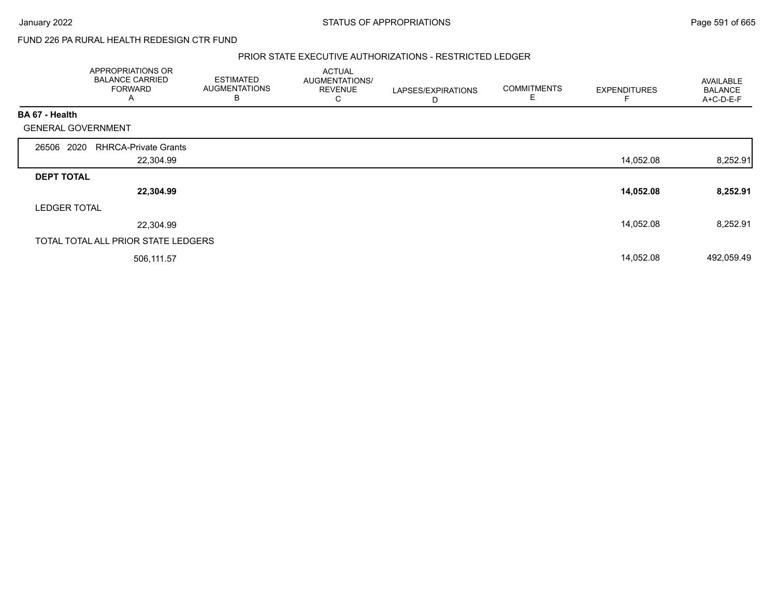FUND 226 PA RURAL HEALTH REDESIGN CTR FUND

#### PRIOR STATE EXECUTIVE AUTHORIZATIONS - RESTRICTED LEDGER

|                           | APPROPRIATIONS OR<br><b>BALANCE CARRIED</b><br><b>FORWARD</b><br>A | <b>ESTIMATED</b><br><b>AUGMENTATIONS</b><br>В | <b>ACTUAL</b><br>AUGMENTATIONS/<br><b>REVENUE</b><br>С | LAPSES/EXPIRATIONS<br>D | <b>COMMITMENTS</b><br>Е | <b>EXPENDITURES</b> | AVAILABLE<br><b>BALANCE</b><br>A+C-D-E-F |
|---------------------------|--------------------------------------------------------------------|-----------------------------------------------|--------------------------------------------------------|-------------------------|-------------------------|---------------------|------------------------------------------|
| BA 67 - Health            |                                                                    |                                               |                                                        |                         |                         |                     |                                          |
| <b>GENERAL GOVERNMENT</b> |                                                                    |                                               |                                                        |                         |                         |                     |                                          |
| 26506 2020                | <b>RHRCA-Private Grants</b>                                        |                                               |                                                        |                         |                         |                     |                                          |
|                           | 22,304.99                                                          |                                               |                                                        |                         |                         | 14,052.08           | 8,252.91                                 |
| <b>DEPT TOTAL</b>         |                                                                    |                                               |                                                        |                         |                         |                     |                                          |
|                           | 22,304.99                                                          |                                               |                                                        |                         |                         | 14,052.08           | 8,252.91                                 |
| <b>LEDGER TOTAL</b>       |                                                                    |                                               |                                                        |                         |                         |                     |                                          |
|                           | 22,304.99                                                          |                                               |                                                        |                         |                         | 14,052.08           | 8,252.91                                 |
|                           | TOTAL TOTAL ALL PRIOR STATE LEDGERS                                |                                               |                                                        |                         |                         |                     |                                          |
|                           | 506,111.57                                                         |                                               |                                                        |                         |                         | 14,052.08           | 492,059.49                               |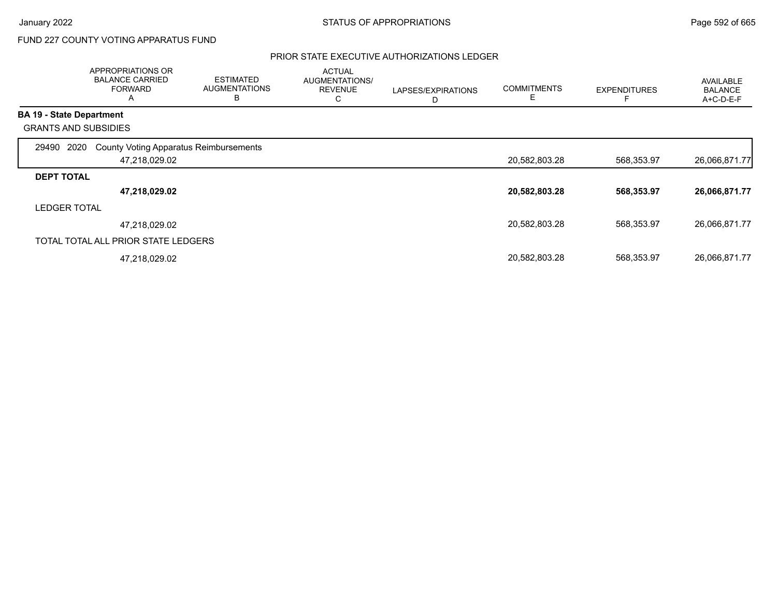# FUND 227 COUNTY VOTING APPARATUS FUND

## PRIOR STATE EXECUTIVE AUTHORIZATIONS LEDGER

|                   | APPROPRIATIONS OR<br><b>BALANCE CARRIED</b><br><b>FORWARD</b><br>Α | <b>ESTIMATED</b><br><b>AUGMENTATIONS</b><br>в | <b>ACTUAL</b><br>AUGMENTATIONS/<br><b>REVENUE</b><br>$\sim$<br>◡ | LAPSES/EXPIRATIONS<br>D | <b>COMMITMENTS</b><br>Ε | <b>EXPENDITURES</b> | <b>AVAILABLE</b><br><b>BALANCE</b><br>A+C-D-E-F |
|-------------------|--------------------------------------------------------------------|-----------------------------------------------|------------------------------------------------------------------|-------------------------|-------------------------|---------------------|-------------------------------------------------|
|                   | <b>BA 19 - State Department</b>                                    |                                               |                                                                  |                         |                         |                     |                                                 |
|                   | <b>GRANTS AND SUBSIDIES</b>                                        |                                               |                                                                  |                         |                         |                     |                                                 |
| 29490             | <b>County Voting Apparatus Reimbursements</b><br>2020              |                                               |                                                                  |                         |                         |                     |                                                 |
|                   | 47,218,029.02                                                      |                                               |                                                                  |                         | 20,582,803.28           | 568,353.97          | 26,066,871.77                                   |
| <b>DEPT TOTAL</b> |                                                                    |                                               |                                                                  |                         |                         |                     |                                                 |
|                   | 47,218,029.02                                                      |                                               |                                                                  |                         | 20,582,803.28           | 568,353.97          | 26,066,871.77                                   |
|                   | <b>LEDGER TOTAL</b>                                                |                                               |                                                                  |                         |                         |                     |                                                 |
|                   | 47,218,029.02                                                      |                                               |                                                                  |                         | 20,582,803.28           | 568,353.97          | 26,066,871.77                                   |
|                   | TOTAL TOTAL ALL PRIOR STATE LEDGERS                                |                                               |                                                                  |                         |                         |                     |                                                 |
|                   | 47,218,029.02                                                      |                                               |                                                                  |                         | 20,582,803.28           | 568,353.97          | 26,066,871.77                                   |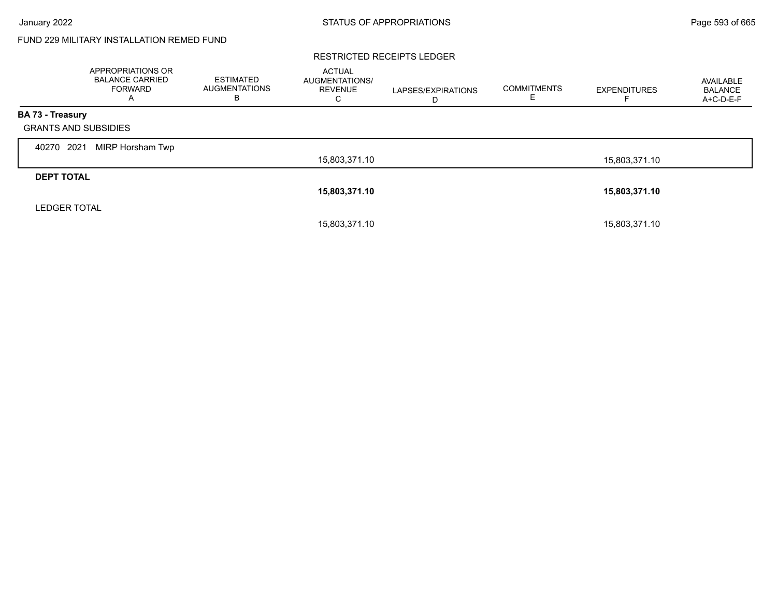# FUND 229 MILITARY INSTALLATION REMED FUND

#### RESTRICTED RECEIPTS LEDGER

|                             | <b>APPROPRIATIONS OR</b><br><b>BALANCE CARRIED</b><br>FORWARD<br>A | <b>ESTIMATED</b><br><b>AUGMENTATIONS</b><br>в | <b>ACTUAL</b><br>AUGMENTATIONS/<br><b>REVENUE</b><br>С | LAPSES/EXPIRATIONS<br>D | <b>COMMITMENTS</b><br>E. | <b>EXPENDITURES</b> | AVAILABLE<br><b>BALANCE</b><br>A+C-D-E-F |
|-----------------------------|--------------------------------------------------------------------|-----------------------------------------------|--------------------------------------------------------|-------------------------|--------------------------|---------------------|------------------------------------------|
| <b>BA 73 - Treasury</b>     |                                                                    |                                               |                                                        |                         |                          |                     |                                          |
| <b>GRANTS AND SUBSIDIES</b> |                                                                    |                                               |                                                        |                         |                          |                     |                                          |
| 2021<br>40270               | MIRP Horsham Twp                                                   |                                               |                                                        |                         |                          |                     |                                          |
|                             |                                                                    |                                               | 15,803,371.10                                          |                         |                          | 15,803,371.10       |                                          |
| <b>DEPT TOTAL</b>           |                                                                    |                                               |                                                        |                         |                          |                     |                                          |
|                             |                                                                    |                                               | 15,803,371.10                                          |                         |                          | 15,803,371.10       |                                          |
| <b>LEDGER TOTAL</b>         |                                                                    |                                               |                                                        |                         |                          |                     |                                          |
|                             |                                                                    |                                               | 15,803,371.10                                          |                         |                          | 15,803,371.10       |                                          |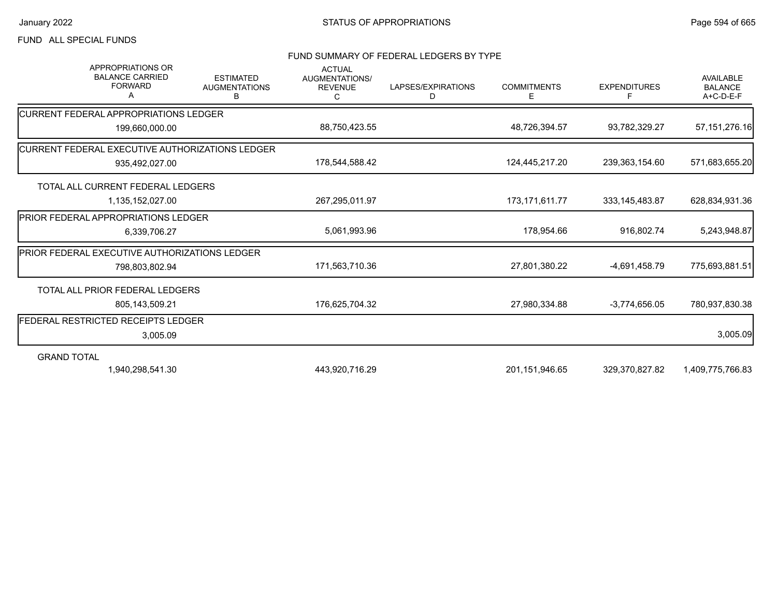## FUND ALL SPECIAL FUNDS

#### FUND SUMMARY OF FEDERAL LEDGERS BY TYPE

| <b>APPROPRIATIONS OR</b><br><b>BALANCE CARRIED</b><br><b>FORWARD</b><br>A | <b>ESTIMATED</b><br><b>AUGMENTATIONS</b><br>в | <b>ACTUAL</b><br>AUGMENTATIONS/<br><b>REVENUE</b><br>C | LAPSES/EXPIRATIONS<br>D | <b>COMMITMENTS</b><br>Е | <b>EXPENDITURES</b><br>F | <b>AVAILABLE</b><br><b>BALANCE</b><br>A+C-D-E-F |
|---------------------------------------------------------------------------|-----------------------------------------------|--------------------------------------------------------|-------------------------|-------------------------|--------------------------|-------------------------------------------------|
| <b>ICURRENT FEDERAL APPROPRIATIONS LEDGER</b>                             |                                               |                                                        |                         |                         |                          |                                                 |
| 199,660,000.00                                                            |                                               | 88,750,423.55                                          |                         | 48,726,394.57           | 93,782,329.27            | 57, 151, 276. 16                                |
| CURRENT FEDERAL EXECUTIVE AUTHORIZATIONS LEDGER                           |                                               |                                                        |                         |                         |                          |                                                 |
| 935,492,027.00                                                            |                                               | 178,544,588.42                                         |                         | 124,445,217.20          | 239,363,154.60           | 571,683,655.20                                  |
| TOTAL ALL CURRENT FEDERAL LEDGERS                                         |                                               |                                                        |                         |                         |                          |                                                 |
| 1,135,152,027.00                                                          |                                               | 267,295,011.97                                         |                         | 173, 171, 611. 77       | 333, 145, 483.87         | 628,834,931.36                                  |
| <b>PRIOR FEDERAL APPROPRIATIONS LEDGER</b>                                |                                               |                                                        |                         |                         |                          |                                                 |
| 6,339,706.27                                                              |                                               | 5,061,993.96                                           |                         | 178,954.66              | 916,802.74               | 5,243,948.87                                    |
| <b>PRIOR FEDERAL EXECUTIVE AUTHORIZATIONS LEDGER</b>                      |                                               |                                                        |                         |                         |                          |                                                 |
| 798,803,802.94                                                            |                                               | 171,563,710.36                                         |                         | 27,801,380.22           | -4,691,458.79            | 775,693,881.51                                  |
| TOTAL ALL PRIOR FEDERAL LEDGERS                                           |                                               |                                                        |                         |                         |                          |                                                 |
| 805,143,509.21                                                            |                                               | 176,625,704.32                                         |                         | 27,980,334.88           | $-3.774.656.05$          | 780,937,830.38                                  |
| FEDERAL RESTRICTED RECEIPTS LEDGER                                        |                                               |                                                        |                         |                         |                          |                                                 |
| 3,005.09                                                                  |                                               |                                                        |                         |                         |                          | 3,005.09                                        |
| <b>GRAND TOTAL</b>                                                        |                                               |                                                        |                         |                         |                          |                                                 |
| 1,940,298,541.30                                                          |                                               | 443,920,716.29                                         |                         | 201,151,946.65          | 329,370,827.82           | 1,409,775,766.83                                |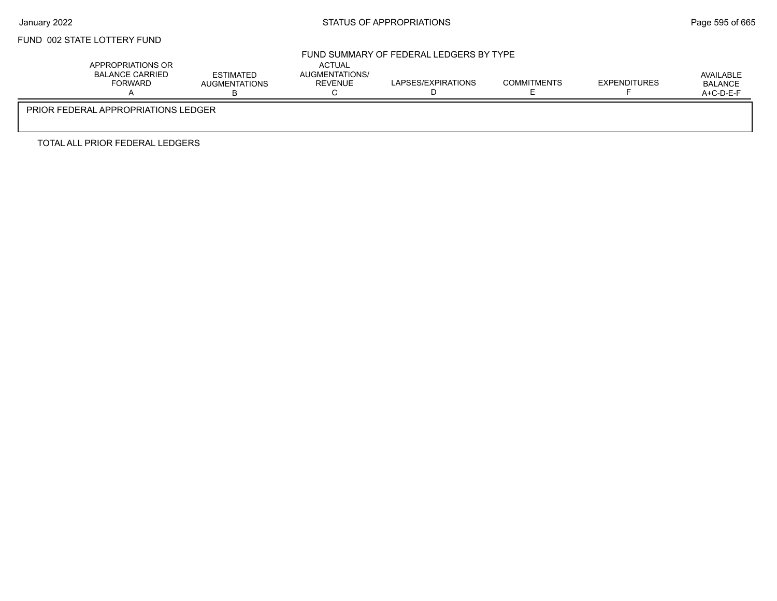# FUND 002 STATE LOTTERY FUND

## FUND SUMMARY OF FEDERAL LEDGERS BY TYPE

|                                     | APPROPRIATIONS OR<br>BALANCE CARRIED<br><b>FORWARD</b> | <b>ESTIMATED</b><br><b>AUGMENTATIONS</b> | <b>ACTUAL</b><br>AUGMENTATIONS/<br><b>REVENUE</b> | LAPSES/EXPIRATIONS | <b>COMMITMENTS</b> | EXPENDITURES | AVAILABLE<br><b>BALANCE</b><br>$A+C-D-E-F$ |  |  |
|-------------------------------------|--------------------------------------------------------|------------------------------------------|---------------------------------------------------|--------------------|--------------------|--------------|--------------------------------------------|--|--|
| PRIOR FEDERAL APPROPRIATIONS LEDGER |                                                        |                                          |                                                   |                    |                    |              |                                            |  |  |

TOTAL ALL PRIOR FEDERAL LEDGERS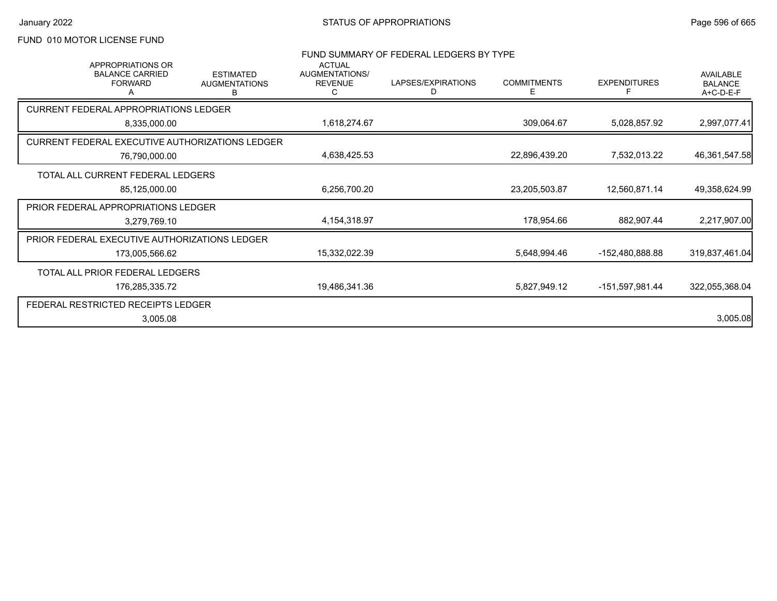# FUND 010 MOTOR LICENSE FUND

| <b>APPROPRIATIONS OR</b>                        |                                               | <b>ACTUAL</b>                           | FUND SUMMARY OF FEDERAL LEDGERS BY TYPE |                         |                     |                                                 |
|-------------------------------------------------|-----------------------------------------------|-----------------------------------------|-----------------------------------------|-------------------------|---------------------|-------------------------------------------------|
| <b>BALANCE CARRIED</b><br><b>FORWARD</b>        | <b>ESTIMATED</b><br><b>AUGMENTATIONS</b><br>в | <b>AUGMENTATIONS/</b><br><b>REVENUE</b> | LAPSES/EXPIRATIONS<br>D                 | <b>COMMITMENTS</b><br>Е | <b>EXPENDITURES</b> | <b>AVAILABLE</b><br><b>BALANCE</b><br>A+C-D-E-F |
| <b>CURRENT FEDERAL APPROPRIATIONS LEDGER</b>    |                                               |                                         |                                         |                         |                     |                                                 |
| 8,335,000.00                                    |                                               | 1,618,274.67                            |                                         | 309,064.67              | 5,028,857.92        | 2,997,077.41                                    |
| CURRENT FEDERAL EXECUTIVE AUTHORIZATIONS LEDGER |                                               |                                         |                                         |                         |                     |                                                 |
| 76,790,000.00                                   | 4,638,425.53                                  |                                         | 22,896,439.20                           | 7,532,013.22            | 46,361,547.58       |                                                 |
| TOTAL ALL CURRENT FEDERAL LEDGERS               |                                               |                                         |                                         |                         |                     |                                                 |
| 85,125,000.00                                   |                                               | 6,256,700.20                            |                                         | 23,205,503.87           | 12,560,871.14       | 49,358,624.99                                   |
| PRIOR FEDERAL APPROPRIATIONS LEDGER             |                                               |                                         |                                         |                         |                     |                                                 |
| 3,279,769.10                                    |                                               | 4,154,318.97                            |                                         | 178,954.66              | 882,907.44          | 2,217,907.00                                    |
| PRIOR FEDERAL EXECUTIVE AUTHORIZATIONS LEDGER   |                                               |                                         |                                         |                         |                     |                                                 |
| 173,005,566.62                                  |                                               | 15,332,022.39                           |                                         | 5,648,994.46            | -152,480,888.88     | 319,837,461.04                                  |
| TOTAL ALL PRIOR FEDERAL LEDGERS                 |                                               |                                         |                                         |                         |                     |                                                 |
| 176,285,335.72                                  |                                               | 19,486,341.36                           |                                         | 5,827,949.12            | -151,597,981.44     | 322,055,368.04                                  |
| FEDERAL RESTRICTED RECEIPTS LEDGER              |                                               |                                         |                                         |                         |                     |                                                 |
| 3,005.08                                        |                                               |                                         |                                         |                         |                     | 3,005.08                                        |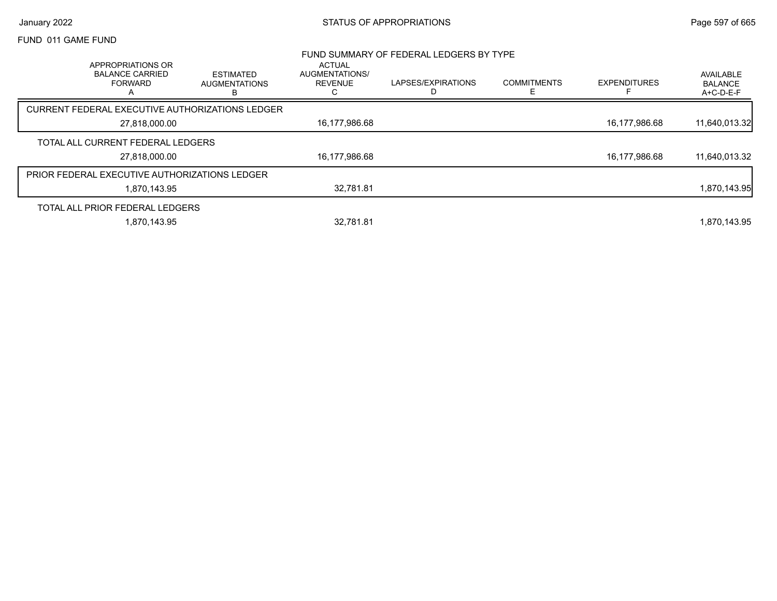### FUND 011 GAME FUND

|                                                                    |                                               |                                                               | FUND SUMMARY OF FEDERAL LEDGERS BY TYPE |                         |                     |                                   |
|--------------------------------------------------------------------|-----------------------------------------------|---------------------------------------------------------------|-----------------------------------------|-------------------------|---------------------|-----------------------------------|
| APPROPRIATIONS OR<br><b>BALANCE CARRIED</b><br><b>FORWARD</b><br>Α | <b>ESTIMATED</b><br><b>AUGMENTATIONS</b><br>в | <b>ACTUAL</b><br><b>AUGMENTATIONS/</b><br><b>REVENUE</b><br>С | LAPSES/EXPIRATIONS<br>D                 | <b>COMMITMENTS</b><br>ᄂ | <b>EXPENDITURES</b> | AVAILABLE<br>BALANCE<br>A+C-D-E-F |
| CURRENT FEDERAL EXECUTIVE AUTHORIZATIONS LEDGER                    |                                               |                                                               |                                         |                         |                     |                                   |
| 27,818,000.00                                                      |                                               | 16,177,986.68                                                 |                                         |                         | 16,177,986.68       | 11,640,013.32                     |
| TOTAL ALL CURRENT FEDERAL LEDGERS                                  |                                               |                                                               |                                         |                         |                     |                                   |
| 27,818,000.00                                                      |                                               | 16,177,986.68                                                 |                                         |                         | 16,177,986.68       | 11,640,013.32                     |
| <b>PRIOR FEDERAL EXECUTIVE AUTHORIZATIONS LEDGER</b>               |                                               |                                                               |                                         |                         |                     |                                   |
| 1,870,143.95                                                       |                                               | 32.781.81                                                     |                                         |                         |                     | 1,870,143.95                      |
| TOTAL ALL PRIOR FEDERAL LEDGERS                                    |                                               |                                                               |                                         |                         |                     |                                   |
| 1,870,143.95                                                       |                                               | 32.781.81                                                     |                                         |                         |                     | 1,870,143.95                      |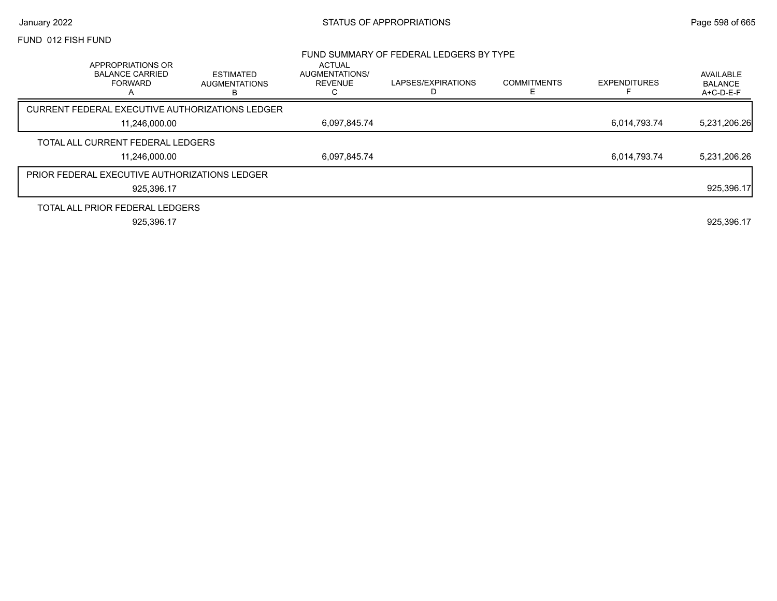#### FUND 012 FISH FUND

|                                                                    |                                               |                                            | FUND SUMMARY OF FEDERAL LEDGERS BY TYPE |                    |                     |                                          |
|--------------------------------------------------------------------|-----------------------------------------------|--------------------------------------------|-----------------------------------------|--------------------|---------------------|------------------------------------------|
| APPROPRIATIONS OR<br><b>BALANCE CARRIED</b><br><b>FORWARD</b><br>A | <b>ESTIMATED</b><br><b>AUGMENTATIONS</b><br>в | ACTUAL<br>AUGMENTATIONS/<br><b>REVENUE</b> | LAPSES/EXPIRATIONS                      | <b>COMMITMENTS</b> | <b>EXPENDITURES</b> | AVAILABLE<br><b>BALANCE</b><br>A+C-D-E-F |
| CURRENT FEDERAL EXECUTIVE AUTHORIZATIONS LEDGER                    |                                               |                                            |                                         |                    |                     |                                          |
| 11,246,000.00                                                      |                                               | 6,097,845.74                               |                                         |                    | 6,014,793.74        | 5,231,206.26                             |
| TOTAL ALL CURRENT FEDERAL LEDGERS                                  |                                               |                                            |                                         |                    |                     |                                          |
| 11.246.000.00                                                      |                                               | 6,097,845.74                               |                                         |                    | 6,014,793.74        | 5,231,206.26                             |
| <b>PRIOR FEDERAL EXECUTIVE AUTHORIZATIONS LEDGER</b>               |                                               |                                            |                                         |                    |                     |                                          |
| 925.396.17                                                         |                                               |                                            |                                         |                    |                     | 925,396.17                               |
| TOTAL ALL PRIOR FEDERAL LEDGERS                                    |                                               |                                            |                                         |                    |                     |                                          |
| 925.396.17                                                         |                                               |                                            |                                         |                    |                     | 925,396.17                               |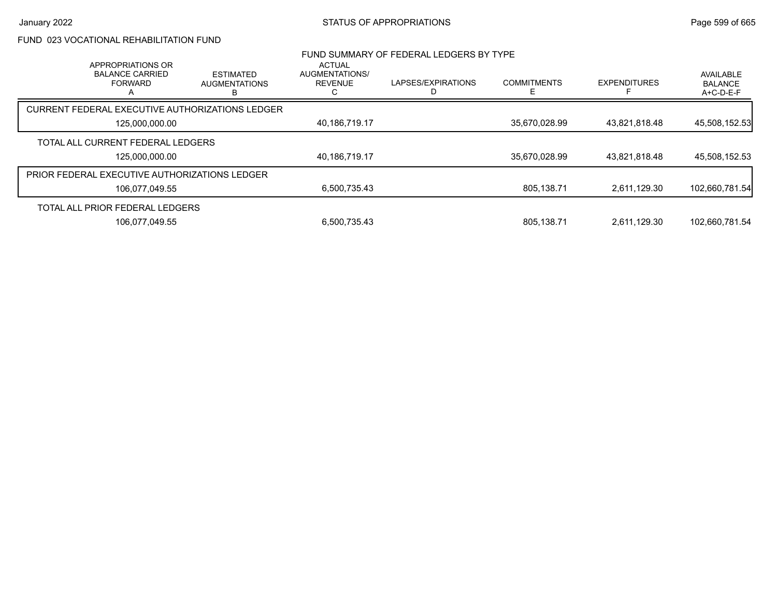# FUND 023 VOCATIONAL REHABILITATION FUND

| APPROPRIATIONS OR<br><b>BALANCE CARRIED</b><br><b>FORWARD</b> | <b>ESTIMATED</b><br><b>AUGMENTATIONS</b><br>B | <b>ACTUAL</b><br>AUGMENTATIONS/<br><b>REVENUE</b> | FUND SUMMARY OF FEDERAL LEDGERS BY TYPE<br>LAPSES/EXPIRATIONS | <b>COMMITMENTS</b> | <b>EXPENDITURES</b> | AVAILABLE<br><b>BALANCE</b><br>$A+C-D-E-F$ |
|---------------------------------------------------------------|-----------------------------------------------|---------------------------------------------------|---------------------------------------------------------------|--------------------|---------------------|--------------------------------------------|
| CURRENT FEDERAL EXECUTIVE AUTHORIZATIONS LEDGER               |                                               |                                                   |                                                               |                    |                     |                                            |
| 125,000,000.00                                                |                                               | 40,186,719.17                                     |                                                               | 35,670,028.99      | 43,821,818.48       | 45,508,152.53                              |
| TOTAL ALL CURRENT FEDERAL LEDGERS                             |                                               |                                                   |                                                               |                    |                     |                                            |
| 125,000,000.00                                                |                                               | 40,186,719.17                                     |                                                               | 35,670,028.99      | 43,821,818.48       | 45,508,152.53                              |
| <b>PRIOR FEDERAL EXECUTIVE AUTHORIZATIONS LEDGER</b>          |                                               |                                                   |                                                               |                    |                     |                                            |
| 106,077,049.55                                                |                                               | 6,500,735.43                                      |                                                               | 805,138.71         | 2.611.129.30        | 102,660,781.54                             |
| TOTAL ALL PRIOR FEDERAL LEDGERS                               |                                               |                                                   |                                                               |                    |                     |                                            |
| 106.077.049.55                                                |                                               | 6.500.735.43                                      |                                                               | 805.138.71         | 2.611.129.30        | 102.660.781.54                             |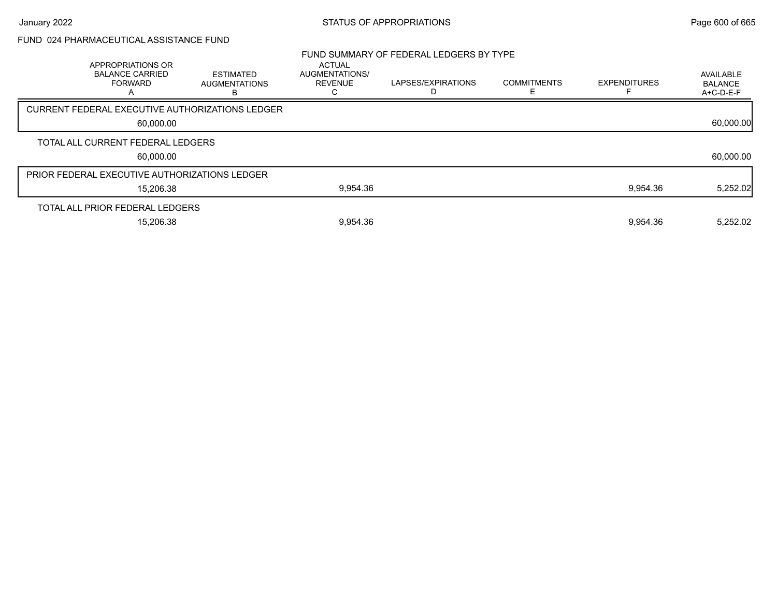# FUND 024 PHARMACEUTICAL ASSISTANCE FUND

| APPROPRIATIONS OR<br><b>BALANCE CARRIED</b><br><b>FORWARD</b> | <b>ESTIMATED</b><br><b>AUGMENTATIONS</b>        | <b>ACTUAL</b><br>AUGMENTATIONS/<br>REVENUE<br>С | FUND SUMMARY OF FEDERAL LEDGERS BY TYPE<br>LAPSES/EXPIRATIONS | <b>COMMITMENTS</b> | <b>EXPENDITURES</b> | AVAILABLE<br><b>BALANCE</b><br>A+C-D-E-F |
|---------------------------------------------------------------|-------------------------------------------------|-------------------------------------------------|---------------------------------------------------------------|--------------------|---------------------|------------------------------------------|
|                                                               | CURRENT FEDERAL EXECUTIVE AUTHORIZATIONS LEDGER |                                                 |                                                               |                    |                     |                                          |
| 60,000.00                                                     |                                                 |                                                 |                                                               |                    |                     | 60,000.00                                |
| TOTAL ALL CURRENT FEDERAL LEDGERS                             |                                                 |                                                 |                                                               |                    |                     |                                          |
| 60,000.00                                                     |                                                 |                                                 |                                                               |                    |                     | 60,000.00                                |
| PRIOR FEDERAL EXECUTIVE AUTHORIZATIONS LEDGER                 |                                                 |                                                 |                                                               |                    |                     |                                          |
| 15,206.38                                                     |                                                 | 9,954.36                                        |                                                               |                    | 9,954.36            | 5,252.02                                 |
| TOTAL ALL PRIOR FEDERAL LEDGERS                               |                                                 |                                                 |                                                               |                    |                     |                                          |
| 15,206.38                                                     |                                                 | 9,954.36                                        |                                                               |                    | 9,954.36            | 5,252.02                                 |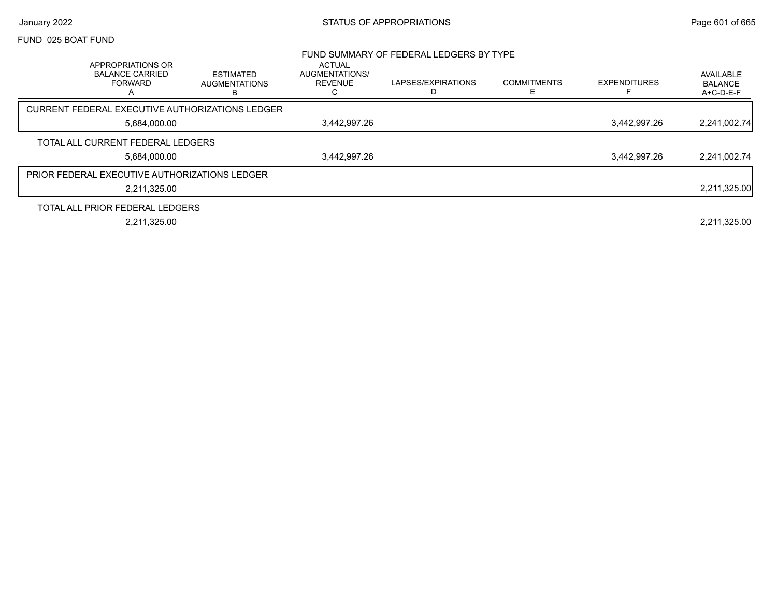#### FUND 025 BOAT FUND

|                                                                               |                                               |                                                        | FUND SUMMARY OF FEDERAL LEDGERS BY TYPE |                    |                     |                                          |
|-------------------------------------------------------------------------------|-----------------------------------------------|--------------------------------------------------------|-----------------------------------------|--------------------|---------------------|------------------------------------------|
| APPROPRIATIONS OR<br><b>BALANCE CARRIED</b><br><b>FORWARD</b><br>$\mathsf{A}$ | <b>ESTIMATED</b><br><b>AUGMENTATIONS</b><br>В | <b>ACTUAL</b><br>AUGMENTATIONS/<br><b>REVENUE</b><br>C | LAPSES/EXPIRATIONS                      | <b>COMMITMENTS</b> | <b>EXPENDITURES</b> | AVAILABLE<br><b>BALANCE</b><br>A+C-D-E-F |
| CURRENT FEDERAL EXECUTIVE AUTHORIZATIONS LEDGER                               |                                               |                                                        |                                         |                    |                     |                                          |
| 5,684,000.00                                                                  |                                               | 3,442,997.26                                           |                                         |                    | 3,442,997.26        | 2,241,002.74                             |
| TOTAL ALL CURRENT FEDERAL LEDGERS                                             |                                               |                                                        |                                         |                    |                     |                                          |
| 5,684,000.00                                                                  |                                               | 3,442,997.26                                           |                                         |                    | 3,442,997.26        | 2,241,002.74                             |
| <b>PRIOR FEDERAL EXECUTIVE AUTHORIZATIONS LEDGER</b>                          |                                               |                                                        |                                         |                    |                     |                                          |
| 2,211,325.00                                                                  |                                               |                                                        |                                         |                    |                     | 2,211,325.00                             |
| TOTAL ALL PRIOR FEDERAL LEDGERS                                               |                                               |                                                        |                                         |                    |                     |                                          |
| 2,211,325.00                                                                  |                                               |                                                        |                                         |                    |                     | 2,211,325.00                             |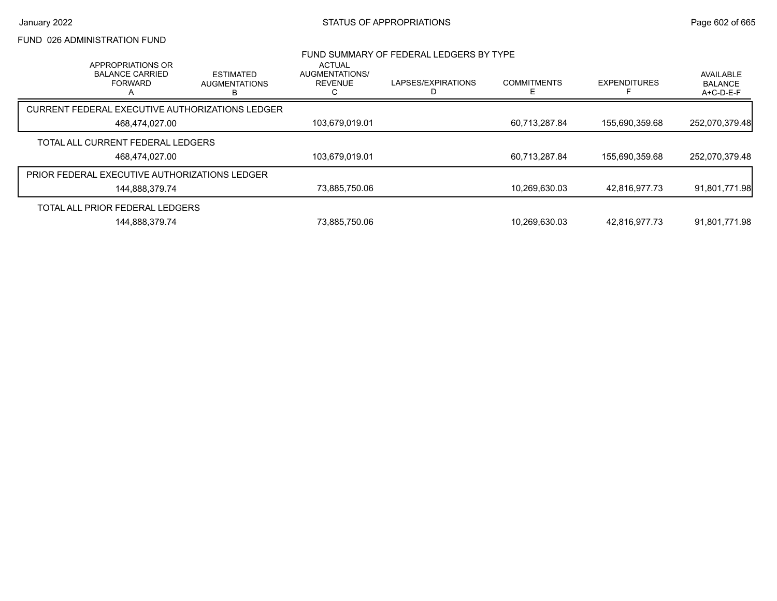# FUND 026 ADMINISTRATION FUND

|                                                      | APPROPRIATIONS OR                        |                                                 | <b>ACTUAL</b>                           | FUND SUMMARY OF FEDERAL LEDGERS BY TYPE |                    |                     |                                          |
|------------------------------------------------------|------------------------------------------|-------------------------------------------------|-----------------------------------------|-----------------------------------------|--------------------|---------------------|------------------------------------------|
|                                                      | <b>BALANCE CARRIED</b><br><b>FORWARD</b> | <b>ESTIMATED</b><br><b>AUGMENTATIONS</b><br>в   | <b>AUGMENTATIONS/</b><br><b>REVENUE</b> | LAPSES/EXPIRATIONS                      | <b>COMMITMENTS</b> | <b>EXPENDITURES</b> | AVAILABLE<br><b>BALANCE</b><br>A+C-D-E-F |
|                                                      |                                          | CURRENT FEDERAL EXECUTIVE AUTHORIZATIONS LEDGER |                                         |                                         |                    |                     |                                          |
|                                                      | 468,474,027.00                           |                                                 | 103,679,019.01                          |                                         | 60,713,287.84      | 155,690,359.68      | 252,070,379.48                           |
|                                                      | TOTAL ALL CURRENT FEDERAL LEDGERS        |                                                 |                                         |                                         |                    |                     |                                          |
|                                                      | 468,474,027.00                           |                                                 | 103,679,019.01                          |                                         | 60,713,287.84      | 155,690,359.68      | 252,070,379.48                           |
| <b>PRIOR FEDERAL EXECUTIVE AUTHORIZATIONS LEDGER</b> |                                          |                                                 |                                         |                                         |                    |                     |                                          |
|                                                      | 144,888,379.74                           |                                                 | 73,885,750.06                           |                                         | 10,269,630.03      | 42.816.977.73       | 91,801,771.98                            |
|                                                      | TOTAL ALL PRIOR FEDERAL LEDGERS          |                                                 |                                         |                                         |                    |                     |                                          |
|                                                      | 144.888.379.74                           |                                                 | 73.885.750.06                           |                                         | 10.269.630.03      | 42.816.977.73       | 91.801.771.98                            |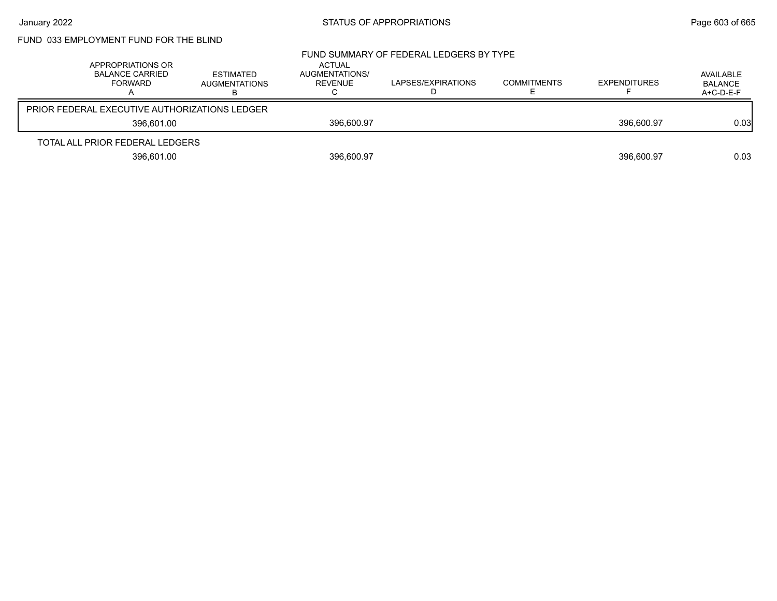# FUND 033 EMPLOYMENT FUND FOR THE BLIND

| APPROPRIATIONS OR<br><b>BALANCE CARRIED</b><br>FORWARD | ESTIMATED<br>AUGMENTATIONS | ACTUAL<br>AUGMENTATIONS/<br>REVENUE | FUND SUMMARY OF FEDERAL LEDGERS BY TYPE<br>LAPSES/EXPIRATIONS | <b>COMMITMENTS</b> | <b>EXPENDITURES</b> | AVAILABLE<br><b>BALANCE</b><br>A+C-D-E-F |
|--------------------------------------------------------|----------------------------|-------------------------------------|---------------------------------------------------------------|--------------------|---------------------|------------------------------------------|
| <b>PRIOR FEDERAL EXECUTIVE AUTHORIZATIONS LEDGER</b>   |                            |                                     |                                                               |                    |                     |                                          |
| 396.601.00                                             |                            | 396.600.97                          |                                                               |                    | 396.600.97          | 0.03                                     |
| TOTAL ALL PRIOR FEDERAL LEDGERS                        |                            |                                     |                                                               |                    |                     |                                          |
| 396,601.00                                             |                            | 396,600.97                          |                                                               |                    | 396,600.97          | 0.03                                     |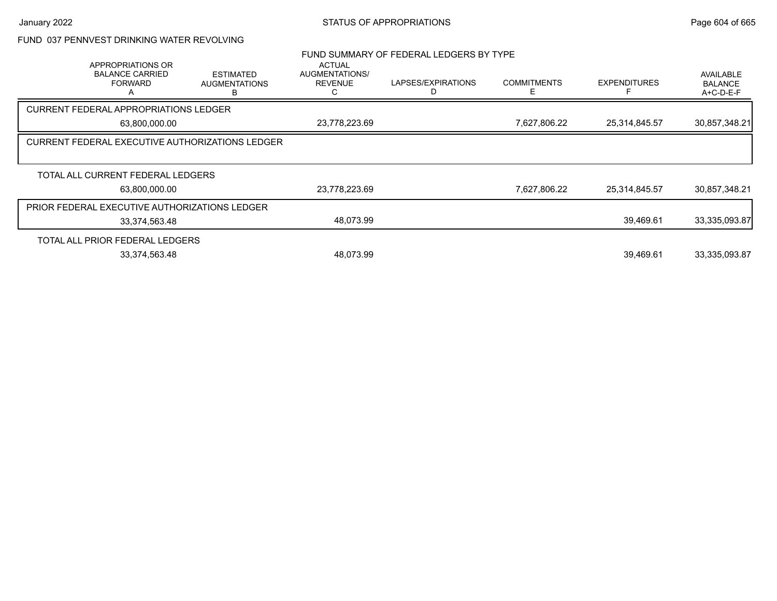|--|

|                                   | <b>APPROPRIATIONS OR</b><br><b>BALANCE CARRIED</b><br><b>FORWARD</b> | <b>ESTIMATED</b><br><b>AUGMENTATIONS</b> | <b>ACTUAL</b><br>AUGMENTATIONS/<br><b>REVENUE</b> | FUND SUMMARY OF FEDERAL LEDGERS BY TYPE<br>LAPSES/EXPIRATIONS<br>D | <b>COMMITMENTS</b> | <b>EXPENDITURES</b> | AVAILABLE<br><b>BALANCE</b><br>$A+C-D-E-F$ |
|-----------------------------------|----------------------------------------------------------------------|------------------------------------------|---------------------------------------------------|--------------------------------------------------------------------|--------------------|---------------------|--------------------------------------------|
|                                   | <b>CURRENT FEDERAL APPROPRIATIONS LEDGER</b>                         |                                          |                                                   |                                                                    |                    |                     |                                            |
|                                   | 63,800,000.00                                                        |                                          | 23,778,223.69                                     |                                                                    | 7,627,806.22       | 25,314,845.57       | 30,857,348.21                              |
|                                   | <b>CURRENT FEDERAL EXECUTIVE AUTHORIZATIONS LEDGER</b>               |                                          |                                                   |                                                                    |                    |                     |                                            |
| TOTAL ALL CURRENT FEDERAL LEDGERS |                                                                      |                                          |                                                   |                                                                    |                    |                     |                                            |
| 63,800,000.00                     |                                                                      | 23,778,223.69                            |                                                   | 7,627,806.22                                                       | 25,314,845.57      | 30,857,348.21       |                                            |
|                                   | PRIOR FEDERAL EXECUTIVE AUTHORIZATIONS LEDGER                        |                                          |                                                   |                                                                    |                    |                     |                                            |
|                                   | 33,374,563.48                                                        |                                          | 48,073.99                                         |                                                                    |                    | 39,469.61           | 33,335,093.87                              |
|                                   | TOTAL ALL PRIOR FEDERAL LEDGERS                                      |                                          |                                                   |                                                                    |                    |                     |                                            |
|                                   | 33,374,563.48                                                        |                                          | 48,073.99                                         |                                                                    |                    | 39,469.61           | 33,335,093.87                              |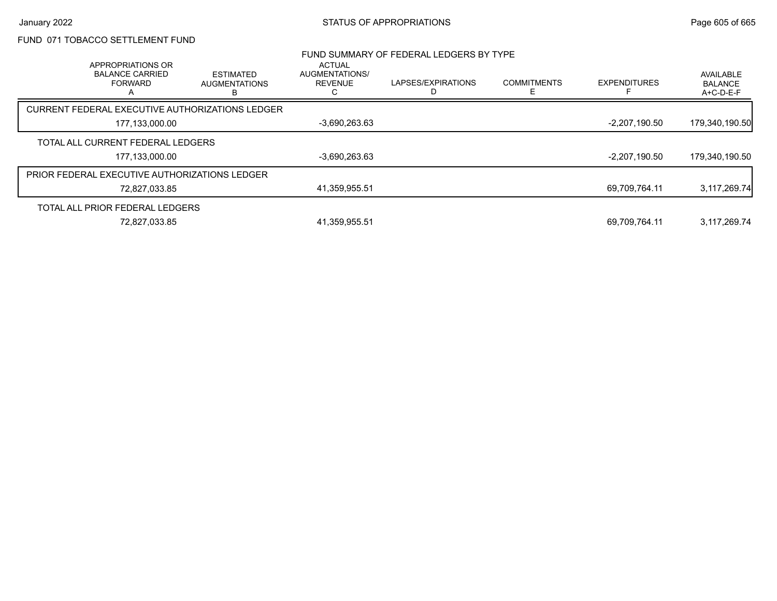# FUND 071 TOBACCO SETTLEMENT FUND

| APPROPRIATIONS OR                                    |                                                 | <b>ACTUAL</b>                    | FUND SUMMARY OF FEDERAL LEDGERS BY TYPE |                         |                     |                                          |
|------------------------------------------------------|-------------------------------------------------|----------------------------------|-----------------------------------------|-------------------------|---------------------|------------------------------------------|
| <b>BALANCE CARRIED</b><br><b>FORWARD</b>             | <b>ESTIMATED</b><br><b>AUGMENTATIONS</b><br>в   | AUGMENTATIONS/<br><b>REVENUE</b> | LAPSES/EXPIRATIONS                      | <b>COMMITMENTS</b><br>F | <b>EXPENDITURES</b> | AVAILABLE<br><b>BALANCE</b><br>A+C-D-E-F |
|                                                      | CURRENT FEDERAL EXECUTIVE AUTHORIZATIONS LEDGER |                                  |                                         |                         |                     |                                          |
| 177,133,000.00                                       |                                                 | $-3,690,263.63$                  |                                         |                         | $-2,207,190.50$     | 179,340,190.50                           |
| TOTAL ALL CURRENT FEDERAL LEDGERS                    |                                                 |                                  |                                         |                         |                     |                                          |
| 177,133,000.00                                       |                                                 | $-3,690,263.63$                  |                                         |                         | $-2,207,190.50$     | 179,340,190.50                           |
| <b>PRIOR FEDERAL EXECUTIVE AUTHORIZATIONS LEDGER</b> |                                                 |                                  |                                         |                         |                     |                                          |
| 72,827,033.85                                        |                                                 | 41,359,955.51                    |                                         |                         | 69,709,764.11       | 3,117,269.74                             |
| TOTAL ALL PRIOR FEDERAL LEDGERS                      |                                                 |                                  |                                         |                         |                     |                                          |
| 72,827,033.85                                        |                                                 | 41,359,955.51                    |                                         |                         | 69,709,764.11       | 3,117,269.74                             |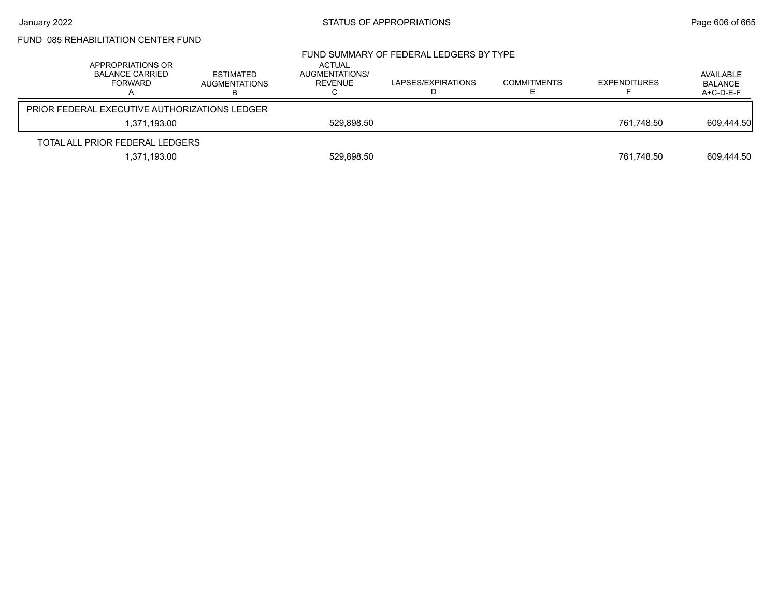# FUND 085 REHABILITATION CENTER FUND

| APPROPRIATIONS OR<br><b>BALANCE CARRIED</b><br><b>FORWARD</b> | <b>ESTIMATED</b><br><b>AUGMENTATIONS</b> | ACTUAL<br>AUGMENTATIONS/<br>REVENUE | FUND SUMMARY OF FEDERAL LEDGERS BY TYPE<br>LAPSES/EXPIRATIONS | <b>COMMITMENTS</b> | <b>EXPENDITURES</b> | AVAILABLE<br><b>BALANCE</b><br>$A+C-D-E-F$ |
|---------------------------------------------------------------|------------------------------------------|-------------------------------------|---------------------------------------------------------------|--------------------|---------------------|--------------------------------------------|
| PRIOR FEDERAL EXECUTIVE AUTHORIZATIONS LEDGER                 |                                          |                                     |                                                               |                    |                     |                                            |
| 1,371,193.00                                                  |                                          | 529.898.50                          |                                                               |                    | 761.748.50          | 609,444.50                                 |
| TOTAL ALL PRIOR FEDERAL LEDGERS                               |                                          |                                     |                                                               |                    |                     |                                            |
| 1,371,193.00                                                  |                                          | 529,898.50                          |                                                               |                    | 761,748.50          | 609,444.50                                 |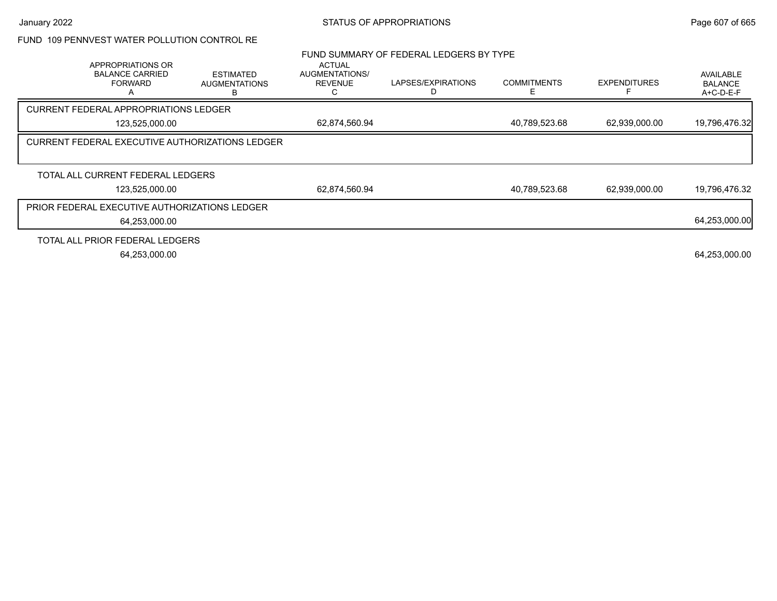|  |  | FUND 109 PENNVEST WATER POLLUTION CONTROL RE |  |  |  |  |
|--|--|----------------------------------------------|--|--|--|--|
|--|--|----------------------------------------------|--|--|--|--|

|                                                               |                                          |                                                   | FUND SUMMARY OF FEDERAL LEDGERS BY TYPE |                    |                     |                                          |
|---------------------------------------------------------------|------------------------------------------|---------------------------------------------------|-----------------------------------------|--------------------|---------------------|------------------------------------------|
| APPROPRIATIONS OR<br><b>BALANCE CARRIED</b><br><b>FORWARD</b> | <b>ESTIMATED</b><br><b>AUGMENTATIONS</b> | <b>ACTUAL</b><br>AUGMENTATIONS/<br><b>REVENUE</b> | LAPSES/EXPIRATIONS                      | <b>COMMITMENTS</b> | <b>EXPENDITURES</b> | AVAILABLE<br><b>BALANCE</b><br>A+C-D-E-F |
| <b>CURRENT FEDERAL APPROPRIATIONS LEDGER</b>                  |                                          |                                                   |                                         |                    |                     |                                          |
| 123,525,000.00                                                |                                          | 62,874,560.94                                     |                                         | 40,789,523.68      | 62,939,000.00       | 19,796,476.32                            |
| CURRENT FEDERAL EXECUTIVE AUTHORIZATIONS LEDGER               |                                          |                                                   |                                         |                    |                     |                                          |
| TOTAL ALL CURRENT FEDERAL LEDGERS                             |                                          |                                                   |                                         |                    |                     |                                          |
| 123,525,000.00                                                |                                          | 62,874,560.94                                     |                                         | 40,789,523.68      | 62,939,000.00       | 19,796,476.32                            |
| PRIOR FEDERAL EXECUTIVE AUTHORIZATIONS LEDGER                 |                                          |                                                   |                                         |                    |                     |                                          |
| 64,253,000.00                                                 |                                          |                                                   |                                         |                    |                     | 64,253,000.00                            |
| TOTAL ALL PRIOR FEDERAL LEDGERS                               |                                          |                                                   |                                         |                    |                     |                                          |
| 64,253,000.00                                                 |                                          |                                                   |                                         |                    |                     | 64,253,000.00                            |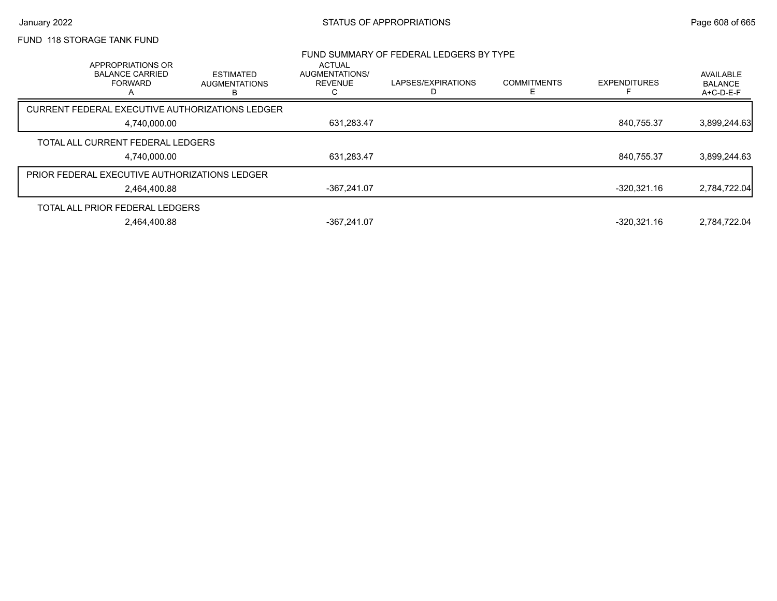## FUND 118 STORAGE TANK FUND

|                                                                    |                                               |                                                   | FUND SUMMARY OF FEDERAL LEDGERS BY TYPE |                    |                     |                                            |
|--------------------------------------------------------------------|-----------------------------------------------|---------------------------------------------------|-----------------------------------------|--------------------|---------------------|--------------------------------------------|
| APPROPRIATIONS OR<br><b>BALANCE CARRIED</b><br><b>FORWARD</b><br>n | <b>ESTIMATED</b><br><b>AUGMENTATIONS</b><br>в | <b>ACTUAL</b><br>AUGMENTATIONS/<br><b>REVENUE</b> | LAPSES/EXPIRATIONS                      | <b>COMMITMENTS</b> | <b>EXPENDITURES</b> | AVAILABLE<br><b>BALANCE</b><br>$A+C-D-E-F$ |
| CURRENT FEDERAL EXECUTIVE AUTHORIZATIONS LEDGER                    |                                               |                                                   |                                         |                    |                     |                                            |
| 4.740.000.00                                                       |                                               | 631,283.47                                        |                                         |                    | 840.755.37          | 3,899,244.63                               |
| TOTAL ALL CURRENT FEDERAL LEDGERS                                  |                                               |                                                   |                                         |                    |                     |                                            |
| 4.740.000.00                                                       |                                               | 631,283.47                                        |                                         |                    | 840.755.37          | 3,899,244.63                               |
| <b>PRIOR FEDERAL EXECUTIVE AUTHORIZATIONS LEDGER</b>               |                                               |                                                   |                                         |                    |                     |                                            |
| 2.464.400.88                                                       |                                               | -367.241.07                                       |                                         |                    | -320.321.16         | 2,784,722.04                               |
| TOTAL ALL PRIOR FEDERAL LEDGERS                                    |                                               |                                                   |                                         |                    |                     |                                            |
| 2.464.400.88                                                       |                                               | -367.241.07                                       |                                         |                    | $-320.321.16$       | 2.784.722.04                               |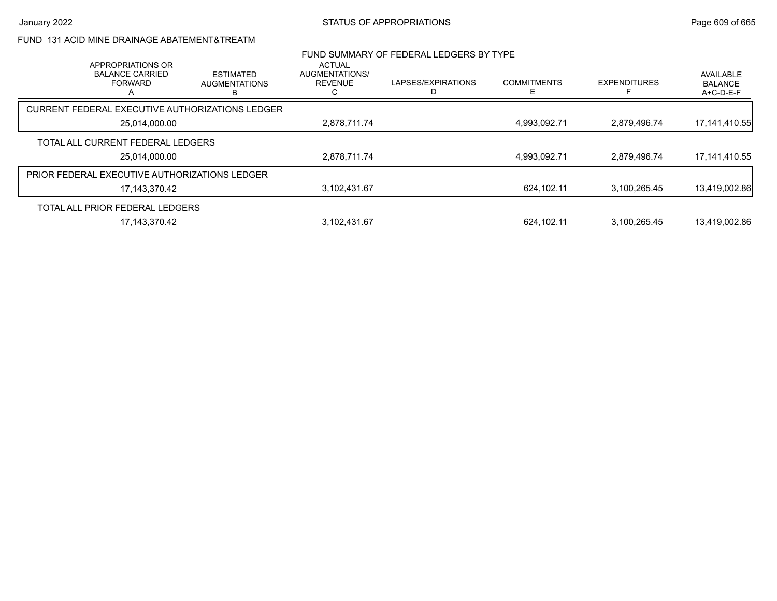# FUND 131 ACID MINE DRAINAGE ABATEMENT&TREATM

| APPROPRIATIONS OR                               |                                               | <b>ACTUAL</b>                    | FUND SUMMARY OF FEDERAL LEDGERS BY TYPE |                    |                     |                                          |
|-------------------------------------------------|-----------------------------------------------|----------------------------------|-----------------------------------------|--------------------|---------------------|------------------------------------------|
| <b>BALANCE CARRIED</b><br><b>FORWARD</b>        | <b>ESTIMATED</b><br><b>AUGMENTATIONS</b><br>в | AUGMENTATIONS/<br><b>REVENUE</b> | LAPSES/EXPIRATIONS                      | <b>COMMITMENTS</b> | <b>EXPENDITURES</b> | AVAILABLE<br><b>BALANCE</b><br>A+C-D-E-F |
| CURRENT FEDERAL EXECUTIVE AUTHORIZATIONS LEDGER |                                               |                                  |                                         |                    |                     |                                          |
| 25,014,000.00                                   |                                               | 2,878,711.74                     |                                         | 4.993.092.71       | 2.879.496.74        | 17, 141, 410. 55                         |
| TOTAL ALL CURRENT FEDERAL LEDGERS               |                                               |                                  |                                         |                    |                     |                                          |
| 25,014,000.00                                   |                                               | 2,878,711.74                     |                                         | 4,993,092.71       | 2,879,496.74        | 17, 141, 410.55                          |
| PRIOR FEDERAL EXECUTIVE AUTHORIZATIONS LEDGER   |                                               |                                  |                                         |                    |                     |                                          |
| 17,143,370.42                                   |                                               | 3,102,431.67                     |                                         | 624.102.11         | 3.100.265.45        | 13,419,002.86                            |
| TOTAL ALL PRIOR FEDERAL LEDGERS                 |                                               |                                  |                                         |                    |                     |                                          |
| 17.143.370.42                                   |                                               | 3.102.431.67                     |                                         | 624.102.11         | 3.100.265.45        | 13.419.002.86                            |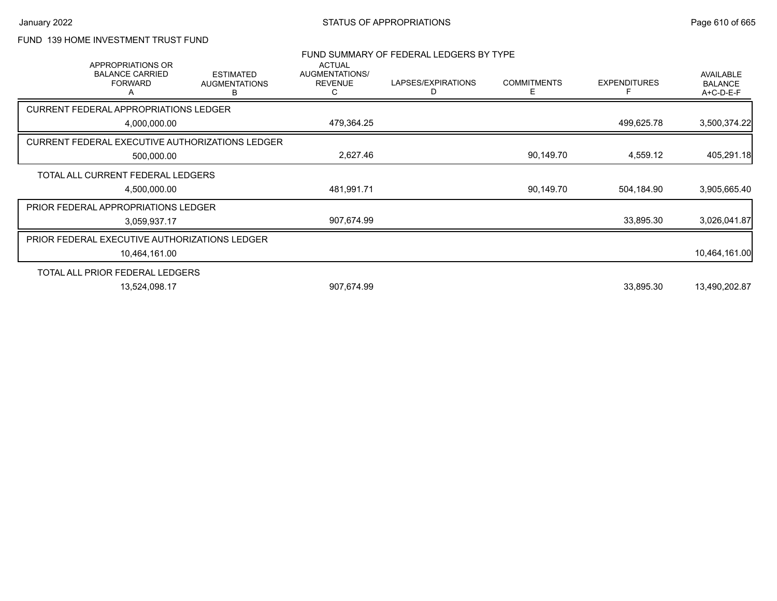# FUND 139 HOME INVESTMENT TRUST FUND

|              | <b>APPROPRIATIONS OR</b>                      |                                                        | <b>ACTUAL</b>                         | FUND SUMMARY OF FEDERAL LEDGERS BY TYPE |                         |                     |                                                 |
|--------------|-----------------------------------------------|--------------------------------------------------------|---------------------------------------|-----------------------------------------|-------------------------|---------------------|-------------------------------------------------|
|              | <b>BALANCE CARRIED</b><br><b>FORWARD</b><br>A | <b>ESTIMATED</b><br><b>AUGMENTATIONS</b><br>В          | AUGMENTATIONS/<br><b>REVENUE</b><br>C | LAPSES/EXPIRATIONS<br>D                 | <b>COMMITMENTS</b><br>Е | <b>EXPENDITURES</b> | <b>AVAILABLE</b><br><b>BALANCE</b><br>A+C-D-E-F |
|              | <b>CURRENT FEDERAL APPROPRIATIONS LEDGER</b>  |                                                        |                                       |                                         |                         |                     |                                                 |
| 4,000,000.00 |                                               |                                                        | 479,364.25                            |                                         |                         | 499,625.78          | 3,500,374.22                                    |
|              |                                               | <b>CURRENT FEDERAL EXECUTIVE AUTHORIZATIONS LEDGER</b> |                                       |                                         |                         |                     |                                                 |
|              | 500,000.00                                    |                                                        | 2,627.46                              |                                         | 90,149.70               | 4,559.12            | 405,291.18                                      |
|              | TOTAL ALL CURRENT FEDERAL LEDGERS             |                                                        |                                       |                                         |                         |                     |                                                 |
| 4,500,000.00 |                                               | 481,991.71                                             |                                       | 90,149.70                               | 504,184.90              | 3,905,665.40        |                                                 |
|              | PRIOR FEDERAL APPROPRIATIONS LEDGER           |                                                        |                                       |                                         |                         |                     |                                                 |
| 3,059,937.17 |                                               |                                                        | 907,674.99                            |                                         |                         | 33,895.30           | 3,026,041.87                                    |
|              | PRIOR FEDERAL EXECUTIVE AUTHORIZATIONS LEDGER |                                                        |                                       |                                         |                         |                     |                                                 |
|              | 10,464,161.00                                 |                                                        |                                       |                                         |                         |                     | 10,464,161.00                                   |
|              | TOTAL ALL PRIOR FEDERAL LEDGERS               |                                                        |                                       |                                         |                         |                     |                                                 |
|              | 13,524,098.17                                 |                                                        | 907,674.99                            |                                         |                         | 33,895.30           | 13,490,202.87                                   |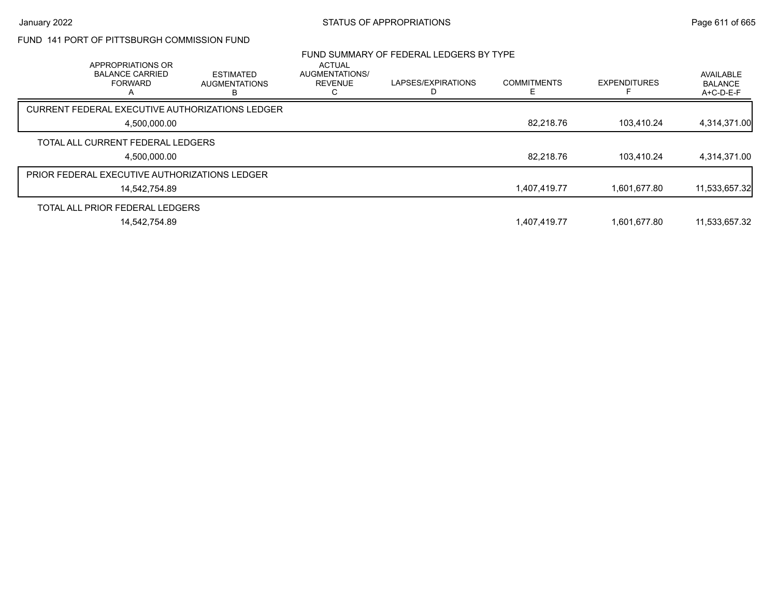# FUND 141 PORT OF PITTSBURGH COMMISSION FUND

|              |                                                               |                                          |                                            | FUND SUMMARY OF FEDERAL LEDGERS BY TYPE |                    |                     |                                          |
|--------------|---------------------------------------------------------------|------------------------------------------|--------------------------------------------|-----------------------------------------|--------------------|---------------------|------------------------------------------|
|              | APPROPRIATIONS OR<br><b>BALANCE CARRIED</b><br><b>FORWARD</b> | <b>ESTIMATED</b><br><b>AUGMENTATIONS</b> | <b>ACTUAL</b><br>AUGMENTATIONS/<br>REVENUE | LAPSES/EXPIRATIONS                      | <b>COMMITMENTS</b> | <b>EXPENDITURES</b> | AVAILABLE<br><b>BALANCE</b><br>A+C-D-E-F |
|              | CURRENT FEDERAL EXECUTIVE AUTHORIZATIONS LEDGER               |                                          |                                            |                                         |                    |                     |                                          |
| 4,500,000.00 |                                                               |                                          |                                            |                                         | 82.218.76          | 103.410.24          | 4,314,371.00                             |
|              | TOTAL ALL CURRENT FEDERAL LEDGERS                             |                                          |                                            |                                         |                    |                     |                                          |
|              | 4.500.000.00                                                  |                                          |                                            |                                         | 82.218.76          | 103.410.24          | 4,314,371.00                             |
|              | PRIOR FEDERAL EXECUTIVE AUTHORIZATIONS LEDGER                 |                                          |                                            |                                         |                    |                     |                                          |
|              | 14,542,754.89                                                 |                                          |                                            |                                         | 1,407,419.77       | 1.601.677.80        | 11,533,657.32                            |
|              | TOTAL ALL PRIOR FEDERAL LEDGERS                               |                                          |                                            |                                         |                    |                     |                                          |
|              | 14,542,754.89                                                 |                                          |                                            |                                         | 1,407,419.77       | 1,601,677.80        | 11,533,657.32                            |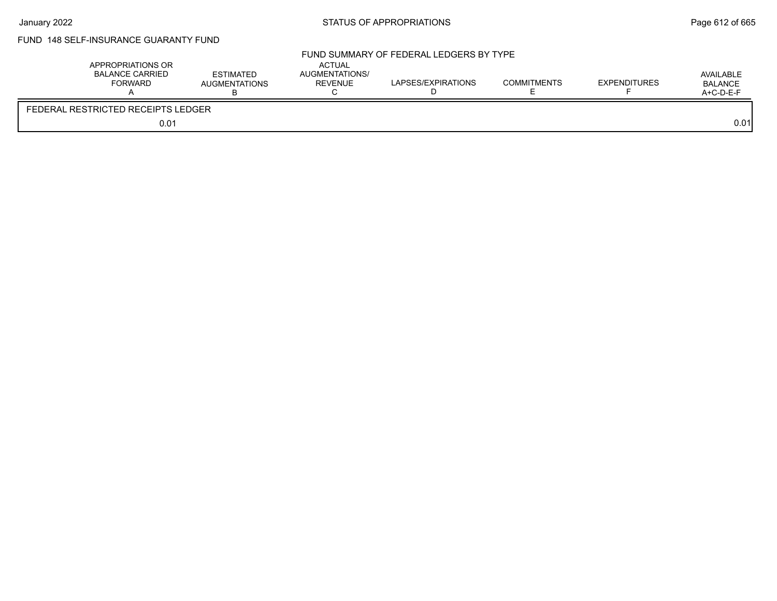# FUND 148 SELF-INSURANCE GUARANTY FUND

| APPROPRIATIONS OR<br>BALANCE CARRIED<br>FORWARD | <b>ESTIMATED</b><br><b>AUGMENTATIONS</b> | <b>ACTUAL</b><br>AUGMENTATIONS/<br>REVENUE | FUND SUMMARY OF FEDERAL LEDGERS BY TYPE<br>LAPSES/EXPIRATIONS | <b>COMMITMENTS</b> | EXPENDITURES | AVAILABLE<br>BALANCE<br>$A+C-D-E-F$ |
|-------------------------------------------------|------------------------------------------|--------------------------------------------|---------------------------------------------------------------|--------------------|--------------|-------------------------------------|
| FEDERAL RESTRICTED RECEIPTS LEDGER              |                                          |                                            |                                                               |                    |              |                                     |
|                                                 | 0.01                                     |                                            |                                                               |                    |              | 0.01                                |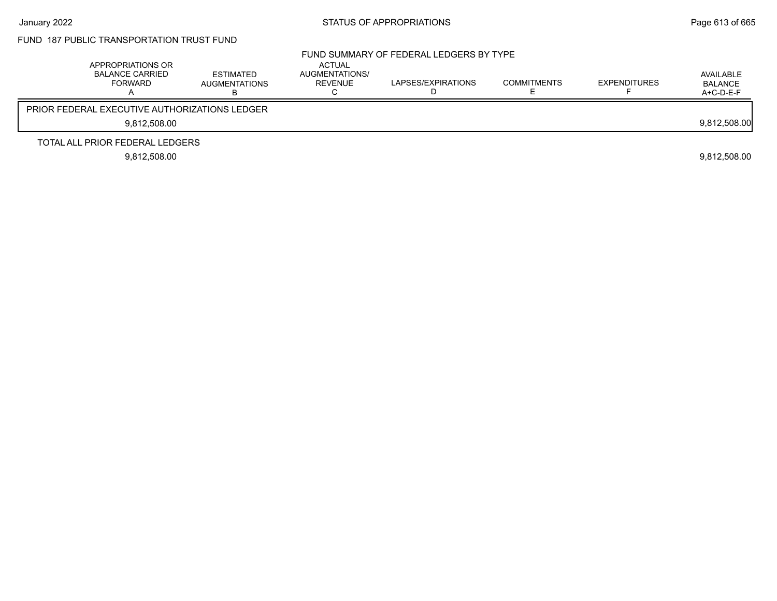# FUND 187 PUBLIC TRANSPORTATION TRUST FUND

| APPROPRIATIONS OR<br><b>BALANCE CARRIED</b><br>FORWARD | ESTIMATED<br><b>AUGMENTATIONS</b> | ACTUAL<br>AUGMENTATIONS/<br>REVENUE | FUND SUMMARY OF FEDERAL LEDGERS BY TYPE<br>LAPSES/EXPIRATIONS | <b>COMMITMENTS</b> | <b>EXPENDITURES</b> | AVAILABLE<br><b>BALANCE</b><br>$A+C-D-E-F$ |
|--------------------------------------------------------|-----------------------------------|-------------------------------------|---------------------------------------------------------------|--------------------|---------------------|--------------------------------------------|
| <b>PRIOR FEDERAL EXECUTIVE AUTHORIZATIONS LEDGER</b>   |                                   |                                     |                                                               |                    |                     |                                            |
| 9.812.508.00                                           |                                   |                                     |                                                               |                    |                     | 9,812,508.00                               |
| TOTAL ALL PRIOR FEDERAL LEDGERS                        |                                   |                                     |                                                               |                    |                     |                                            |
| 9.812.508.00                                           |                                   |                                     |                                                               |                    |                     | 9,812,508.00                               |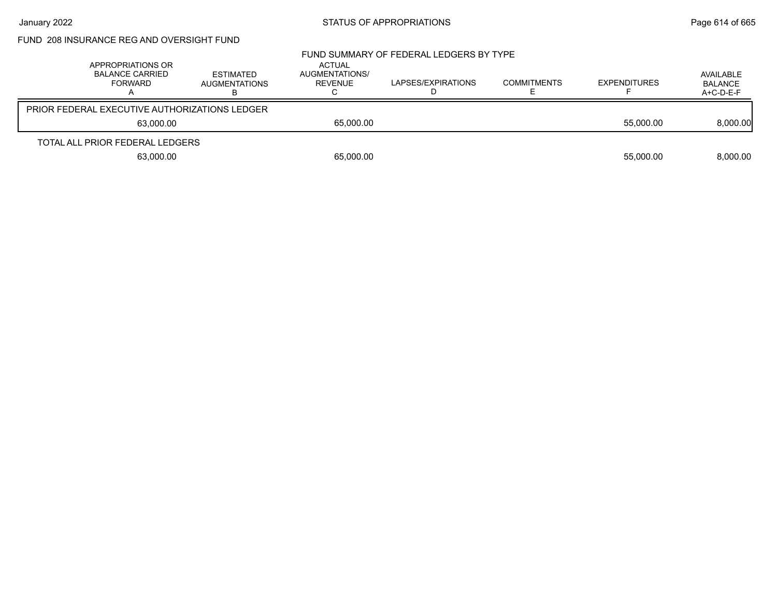# January 2022 **STATUS OF APPROPRIATIONS** STATUS OF APPROPRIATIONS

| FUND_208 INSURANCE REG AND OVERSIGHT FUND |
|-------------------------------------------|
|-------------------------------------------|

| APPROPRIATIONS OR<br><b>BALANCE CARRIED</b><br>FORWARD | ESTIMATED<br><b>AUGMENTATIONS</b> | ACTUAL<br>AUGMENTATIONS/<br>REVENUE | FUND SUMMARY OF FEDERAL LEDGERS BY TYPE<br>LAPSES/EXPIRATIONS | <b>COMMITMENTS</b> | <b>EXPENDITURES</b> | AVAILABLE<br>BALANCE<br>A+C-D-E-F |
|--------------------------------------------------------|-----------------------------------|-------------------------------------|---------------------------------------------------------------|--------------------|---------------------|-----------------------------------|
| <b>PRIOR FEDERAL EXECUTIVE AUTHORIZATIONS LEDGER</b>   |                                   |                                     |                                                               |                    |                     |                                   |
| 63.000.00                                              |                                   | 65,000.00                           |                                                               |                    | 55.000.00           | 8,000.00                          |
| TOTAL ALL PRIOR FEDERAL LEDGERS                        |                                   |                                     |                                                               |                    |                     |                                   |
| 63,000.00                                              |                                   | 65,000.00                           |                                                               |                    | 55,000.00           | 8,000.00                          |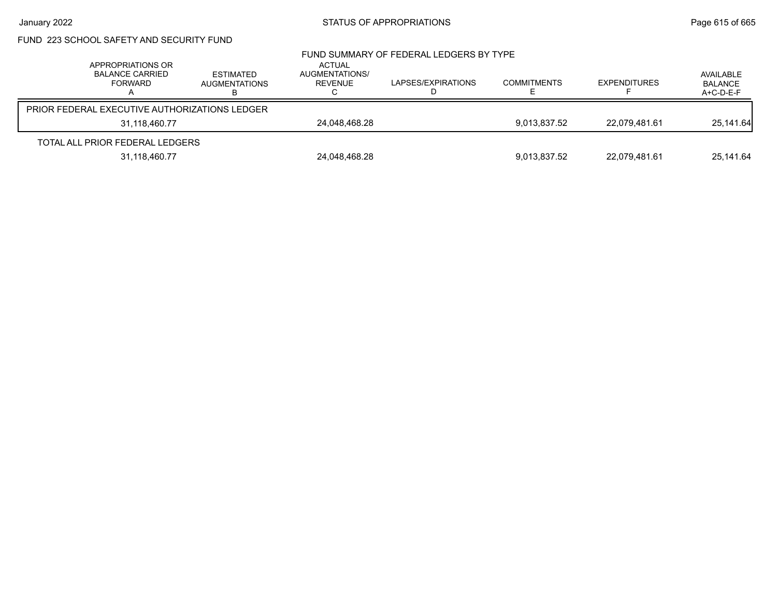# January 2022 **STATUS OF APPROPRIATIONS** STATUS OF APPROPRIATIONS

# FUND 223 SCHOOL SAFETY AND SECURITY FUND

|               | APPROPRIATIONS OR<br><b>BALANCE CARRIED</b><br>FORWARD | ESTIMATED<br><b>AUGMENTATIONS</b> | ACTUAL<br>AUGMENTATIONS/<br>REVENUE | FUND SUMMARY OF FEDERAL LEDGERS BY TYPE<br>LAPSES/EXPIRATIONS | <b>COMMITMENTS</b> | <b>EXPENDITURES</b> | AVAILABLE<br><b>BALANCE</b><br>A+C-D-E-F |
|---------------|--------------------------------------------------------|-----------------------------------|-------------------------------------|---------------------------------------------------------------|--------------------|---------------------|------------------------------------------|
|               | <b>PRIOR FEDERAL EXECUTIVE AUTHORIZATIONS LEDGER</b>   |                                   |                                     |                                                               |                    |                     |                                          |
| 31.118.460.77 |                                                        | 24.048.468.28                     |                                     | 9.013.837.52                                                  | 22.079.481.61      | 25.141.64           |                                          |
|               | TOTAL ALL PRIOR FEDERAL LEDGERS                        |                                   |                                     |                                                               |                    |                     |                                          |
|               | 31,118,460.77                                          |                                   | 24,048,468.28                       |                                                               | 9,013,837.52       | 22,079,481.61       | 25,141.64                                |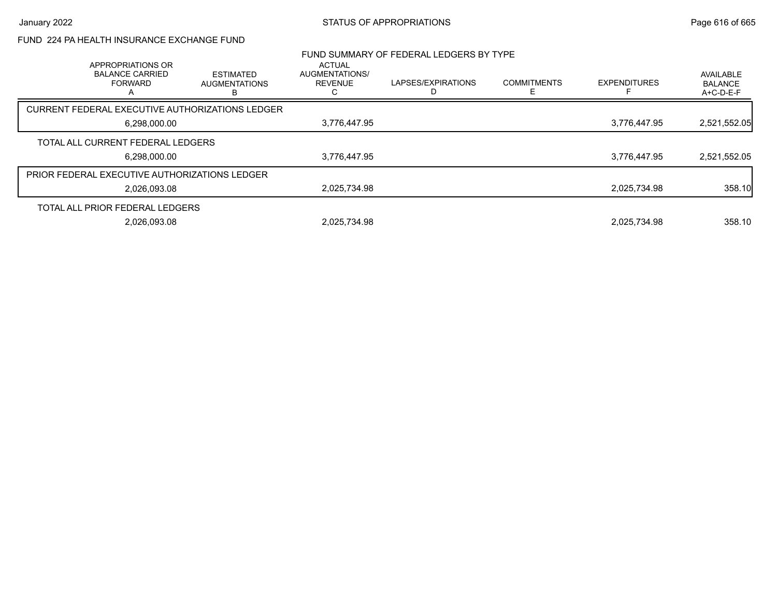# January 2022 **STATUS OF APPROPRIATIONS** STATUS OF APPROPRIATIONS

## FUND 224 PA HEALTH INSURANCE EXCHANGE FUND

| APPROPRIATIONS OR                                    |                                                 | <b>ACTUAL</b>                    | FUND SUMMARY OF FEDERAL LEDGERS BY TYPE |                    |                     |                                          |
|------------------------------------------------------|-------------------------------------------------|----------------------------------|-----------------------------------------|--------------------|---------------------|------------------------------------------|
| <b>BALANCE CARRIED</b><br><b>FORWARD</b>             | <b>ESTIMATED</b><br><b>AUGMENTATIONS</b><br>в   | AUGMENTATIONS/<br><b>REVENUE</b> | LAPSES/EXPIRATIONS                      | <b>COMMITMENTS</b> | <b>EXPENDITURES</b> | AVAILABLE<br><b>BALANCE</b><br>A+C-D-E-F |
|                                                      | CURRENT FEDERAL EXECUTIVE AUTHORIZATIONS LEDGER |                                  |                                         |                    |                     |                                          |
| 6,298,000.00                                         |                                                 | 3,776,447.95                     |                                         |                    | 3.776.447.95        | 2,521,552.05                             |
| TOTAL ALL CURRENT FEDERAL LEDGERS                    |                                                 |                                  |                                         |                    |                     |                                          |
| 6,298,000.00                                         |                                                 | 3,776,447.95                     |                                         |                    | 3,776,447.95        | 2,521,552.05                             |
| <b>PRIOR FEDERAL EXECUTIVE AUTHORIZATIONS LEDGER</b> |                                                 |                                  |                                         |                    |                     |                                          |
| 2,026,093.08                                         |                                                 | 2,025,734.98                     |                                         |                    | 2,025,734.98        | 358.10                                   |
| TOTAL ALL PRIOR FEDERAL LEDGERS                      |                                                 |                                  |                                         |                    |                     |                                          |
| 2,026,093.08                                         |                                                 | 2,025,734.98                     |                                         |                    | 2,025,734.98        | 358.10                                   |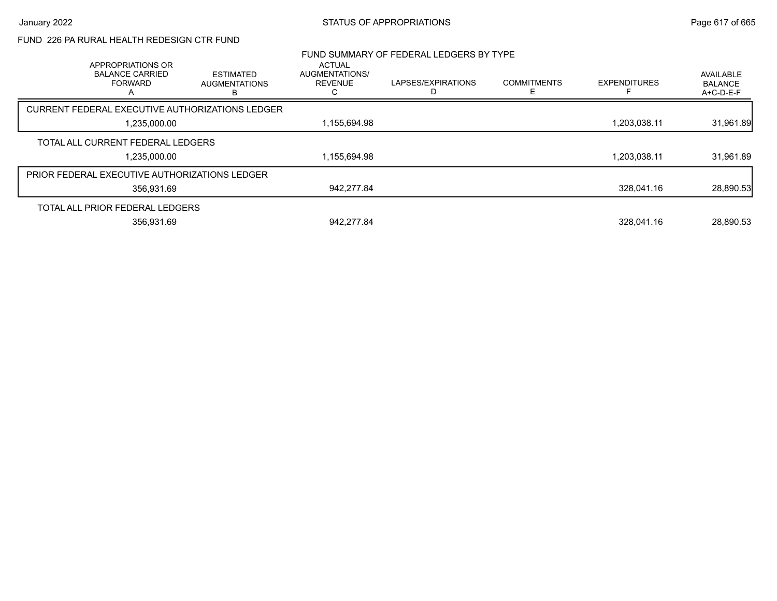## FUND 226 PA RURAL HEALTH REDESIGN CTR FUND

| APPROPRIATIONS OR<br><b>BALANCE CARRIED</b><br><b>FORWARD</b> | <b>ESTIMATED</b><br><b>AUGMENTATIONS</b><br>в | ACTUAL<br><b>AUGMENTATIONS/</b><br><b>REVENUE</b> | FUND SUMMARY OF FEDERAL LEDGERS BY TYPE<br>LAPSES/EXPIRATIONS | <b>COMMITMENTS</b><br>⊢ | <b>EXPENDITURES</b> | AVAILABLE<br><b>BALANCE</b><br>A+C-D-E-F |
|---------------------------------------------------------------|-----------------------------------------------|---------------------------------------------------|---------------------------------------------------------------|-------------------------|---------------------|------------------------------------------|
| CURRENT FEDERAL EXECUTIVE AUTHORIZATIONS LEDGER               |                                               |                                                   |                                                               |                         |                     |                                          |
| 1,235,000.00                                                  |                                               | 1,155,694.98                                      |                                                               |                         | 1,203,038.11        | 31,961.89                                |
| TOTAL ALL CURRENT FEDERAL LEDGERS                             |                                               |                                                   |                                                               |                         |                     |                                          |
| 1,235,000.00                                                  |                                               | 1,155,694.98                                      |                                                               |                         | 1,203,038.11        | 31,961.89                                |
| PRIOR FEDERAL EXECUTIVE AUTHORIZATIONS LEDGER                 |                                               |                                                   |                                                               |                         |                     |                                          |
| 356,931.69                                                    |                                               | 942.277.84                                        |                                                               |                         | 328.041.16          | 28,890.53                                |
| TOTAL ALL PRIOR FEDERAL LEDGERS                               |                                               |                                                   |                                                               |                         |                     |                                          |
| 356.931.69                                                    |                                               | 942.277.84                                        |                                                               |                         | 328.041.16          | 28.890.53                                |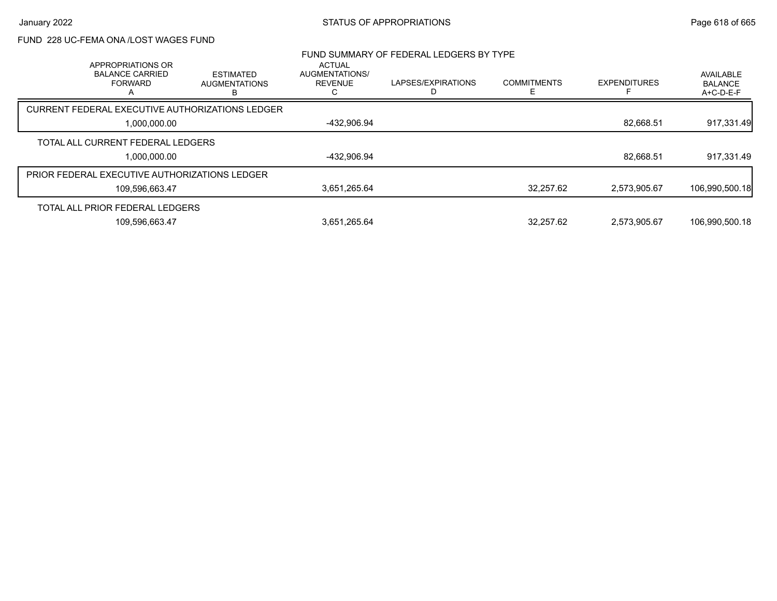## FUND 228 UC-FEMA ONA /LOST WAGES FUND

| APPROPRIATIONS OR                               |                                               | <b>ACTUAL</b>                    | FUND SUMMARY OF FEDERAL LEDGERS BY TYPE |                    |                     |                                          |
|-------------------------------------------------|-----------------------------------------------|----------------------------------|-----------------------------------------|--------------------|---------------------|------------------------------------------|
| <b>BALANCE CARRIED</b><br><b>FORWARD</b>        | <b>ESTIMATED</b><br><b>AUGMENTATIONS</b><br>R | AUGMENTATIONS/<br><b>REVENUE</b> | LAPSES/EXPIRATIONS                      | <b>COMMITMENTS</b> | <b>EXPENDITURES</b> | AVAILABLE<br><b>BALANCE</b><br>A+C-D-E-F |
| CURRENT FEDERAL EXECUTIVE AUTHORIZATIONS LEDGER |                                               |                                  |                                         |                    |                     |                                          |
| 1,000,000.00                                    |                                               | -432,906.94                      |                                         |                    | 82,668.51           | 917,331.49                               |
| TOTAL ALL CURRENT FEDERAL LEDGERS               |                                               |                                  |                                         |                    |                     |                                          |
| 1,000,000.00                                    |                                               | -432,906.94                      |                                         |                    | 82,668.51           | 917,331.49                               |
| PRIOR FEDERAL EXECUTIVE AUTHORIZATIONS LEDGER   |                                               |                                  |                                         |                    |                     |                                          |
| 109,596,663.47                                  |                                               | 3,651,265.64                     |                                         | 32.257.62          | 2.573.905.67        | 106,990,500.18                           |
| TOTAL ALL PRIOR FEDERAL LEDGERS                 |                                               |                                  |                                         |                    |                     |                                          |
| 109,596,663.47                                  |                                               | 3,651,265.64                     |                                         | 32.257.62          | 2.573.905.67        | 106,990,500.18                           |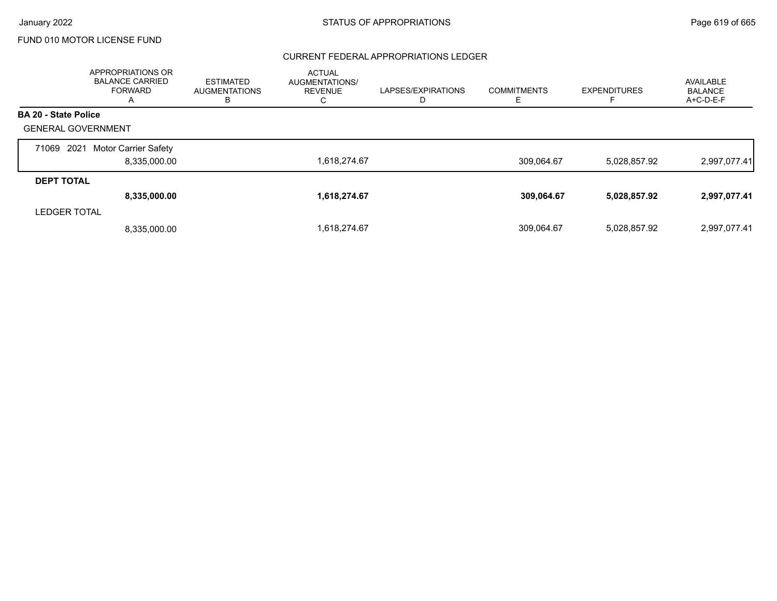#### CURRENT FEDERAL APPROPRIATIONS LEDGER

|                             | APPROPRIATIONS OR<br><b>BALANCE CARRIED</b><br><b>FORWARD</b><br>A | <b>ESTIMATED</b><br><b>AUGMENTATIONS</b><br>в | <b>ACTUAL</b><br>AUGMENTATIONS/<br><b>REVENUE</b><br>U | LAPSES/EXPIRATIONS<br>D | <b>COMMITMENTS</b> | <b>EXPENDITURES</b> | AVAILABLE<br><b>BALANCE</b><br>A+C-D-E-F |
|-----------------------------|--------------------------------------------------------------------|-----------------------------------------------|--------------------------------------------------------|-------------------------|--------------------|---------------------|------------------------------------------|
| <b>BA 20 - State Police</b> |                                                                    |                                               |                                                        |                         |                    |                     |                                          |
| <b>GENERAL GOVERNMENT</b>   |                                                                    |                                               |                                                        |                         |                    |                     |                                          |
| 2021<br>71069               | <b>Motor Carrier Safety</b><br>8,335,000.00                        |                                               | 1,618,274.67                                           |                         | 309.064.67         | 5,028,857.92        | 2,997,077.41                             |
|                             |                                                                    |                                               |                                                        |                         |                    |                     |                                          |
| <b>DEPT TOTAL</b>           |                                                                    |                                               |                                                        |                         |                    |                     |                                          |
|                             | 8,335,000.00                                                       |                                               | 1,618,274.67                                           |                         | 309,064.67         | 5,028,857.92        | 2,997,077.41                             |
| <b>LEDGER TOTAL</b>         |                                                                    |                                               |                                                        |                         |                    |                     |                                          |
|                             | 8.335.000.00                                                       |                                               | 1,618,274.67                                           |                         | 309,064.67         | 5,028,857.92        | 2,997,077.41                             |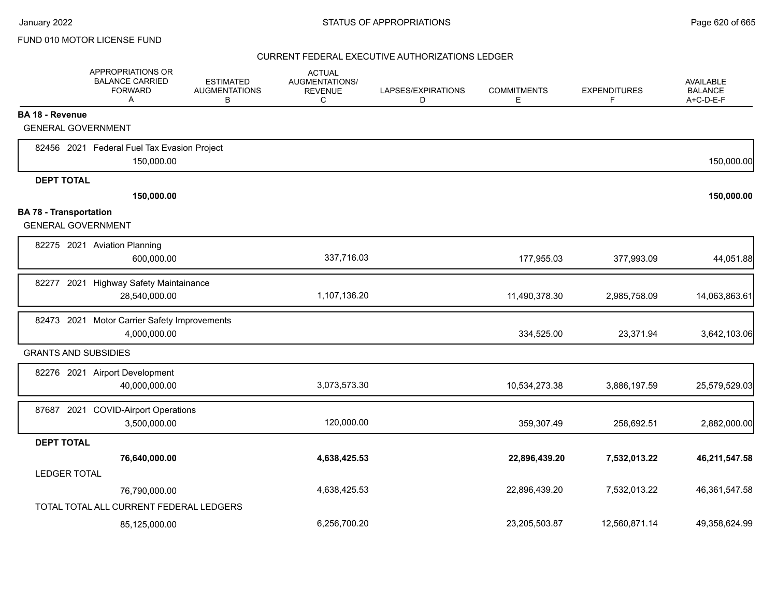|                                                            | APPROPRIATIONS OR<br><b>BALANCE CARRIED</b><br><b>FORWARD</b><br>A | <b>ESTIMATED</b><br><b>AUGMENTATIONS</b><br>В | <b>ACTUAL</b><br><b>AUGMENTATIONS/</b><br><b>REVENUE</b><br>C | LAPSES/EXPIRATIONS<br>D | <b>COMMITMENTS</b><br>Е | <b>EXPENDITURES</b><br>F. | <b>AVAILABLE</b><br><b>BALANCE</b><br>A+C-D-E-F |
|------------------------------------------------------------|--------------------------------------------------------------------|-----------------------------------------------|---------------------------------------------------------------|-------------------------|-------------------------|---------------------------|-------------------------------------------------|
| <b>BA 18 - Revenue</b>                                     |                                                                    |                                               |                                                               |                         |                         |                           |                                                 |
| <b>GENERAL GOVERNMENT</b>                                  |                                                                    |                                               |                                                               |                         |                         |                           |                                                 |
|                                                            | 82456 2021 Federal Fuel Tax Evasion Project<br>150,000.00          |                                               |                                                               |                         |                         |                           | 150,000.00                                      |
| <b>DEPT TOTAL</b>                                          |                                                                    |                                               |                                                               |                         |                         |                           |                                                 |
|                                                            | 150,000.00                                                         |                                               |                                                               |                         |                         |                           | 150,000.00                                      |
| <b>BA 78 - Transportation</b><br><b>GENERAL GOVERNMENT</b> |                                                                    |                                               |                                                               |                         |                         |                           |                                                 |
|                                                            | 82275 2021 Aviation Planning<br>600,000.00                         |                                               | 337,716.03                                                    |                         | 177,955.03              | 377,993.09                | 44,051.88                                       |
| 82277 2021                                                 | <b>Highway Safety Maintainance</b><br>28,540,000.00                |                                               | 1,107,136.20                                                  |                         | 11,490,378.30           | 2,985,758.09              | 14,063,863.61                                   |
| 82473 2021                                                 | Motor Carrier Safety Improvements<br>4,000,000.00                  |                                               |                                                               |                         | 334,525.00              | 23,371.94                 | 3,642,103.06                                    |
| <b>GRANTS AND SUBSIDIES</b>                                |                                                                    |                                               |                                                               |                         |                         |                           |                                                 |
|                                                            | 82276 2021 Airport Development<br>40,000,000.00                    |                                               | 3,073,573.30                                                  |                         | 10,534,273.38           | 3,886,197.59              | 25,579,529.03                                   |
| 87687 2021                                                 | <b>COVID-Airport Operations</b><br>3,500,000.00                    |                                               | 120,000.00                                                    |                         | 359,307.49              | 258,692.51                | 2,882,000.00                                    |
| <b>DEPT TOTAL</b>                                          |                                                                    |                                               |                                                               |                         |                         |                           |                                                 |
| <b>LEDGER TOTAL</b>                                        | 76,640,000.00                                                      |                                               | 4,638,425.53                                                  |                         | 22,896,439.20           | 7,532,013.22              | 46,211,547.58                                   |
|                                                            | 76,790,000.00                                                      |                                               | 4,638,425.53                                                  |                         | 22,896,439.20           | 7,532,013.22              | 46,361,547.58                                   |
|                                                            | TOTAL TOTAL ALL CURRENT FEDERAL LEDGERS                            |                                               |                                                               |                         |                         |                           |                                                 |
|                                                            | 85,125,000.00                                                      |                                               | 6,256,700.20                                                  |                         | 23,205,503.87           | 12,560,871.14             | 49,358,624.99                                   |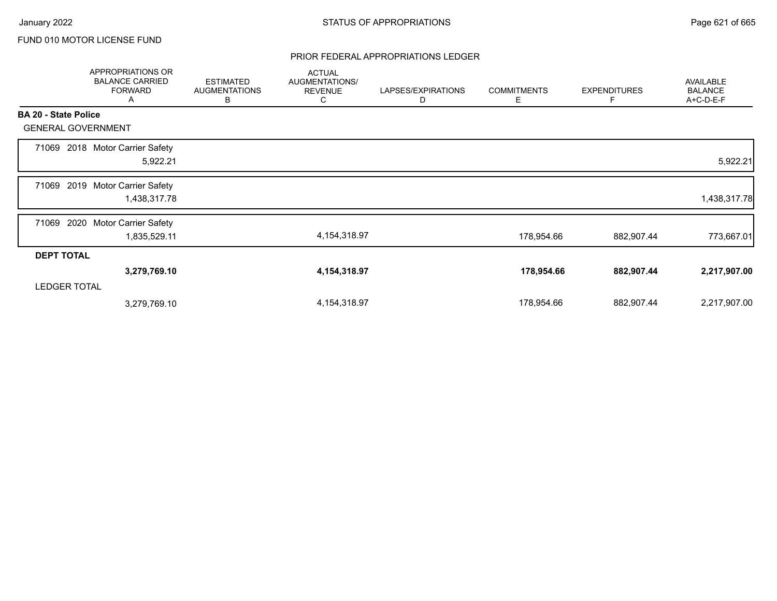### PRIOR FEDERAL APPROPRIATIONS LEDGER

|                             | APPROPRIATIONS OR<br><b>BALANCE CARRIED</b><br><b>FORWARD</b><br>Α | <b>ESTIMATED</b><br><b>AUGMENTATIONS</b><br>В | <b>ACTUAL</b><br>AUGMENTATIONS/<br><b>REVENUE</b><br>C | LAPSES/EXPIRATIONS<br>D | <b>COMMITMENTS</b><br>Е | <b>EXPENDITURES</b><br>F | AVAILABLE<br><b>BALANCE</b><br>A+C-D-E-F |
|-----------------------------|--------------------------------------------------------------------|-----------------------------------------------|--------------------------------------------------------|-------------------------|-------------------------|--------------------------|------------------------------------------|
| <b>BA 20 - State Police</b> |                                                                    |                                               |                                                        |                         |                         |                          |                                          |
| <b>GENERAL GOVERNMENT</b>   |                                                                    |                                               |                                                        |                         |                         |                          |                                          |
| 71069                       | 2018 Motor Carrier Safety<br>5,922.21                              |                                               |                                                        |                         |                         |                          | 5,922.21                                 |
| 71069                       | 2019 Motor Carrier Safety<br>1,438,317.78                          |                                               |                                                        |                         |                         |                          | 1,438,317.78                             |
| 2020<br>71069               | <b>Motor Carrier Safety</b><br>1,835,529.11                        |                                               | 4, 154, 318.97                                         |                         | 178,954.66              | 882,907.44               | 773,667.01                               |
| <b>DEPT TOTAL</b>           |                                                                    |                                               |                                                        |                         |                         |                          |                                          |
|                             | 3,279,769.10                                                       |                                               | 4,154,318.97                                           |                         | 178,954.66              | 882,907.44               | 2,217,907.00                             |
| <b>LEDGER TOTAL</b>         |                                                                    |                                               |                                                        |                         |                         |                          |                                          |
|                             | 3,279,769.10                                                       |                                               | 4, 154, 318.97                                         |                         | 178,954.66              | 882,907.44               | 2,217,907.00                             |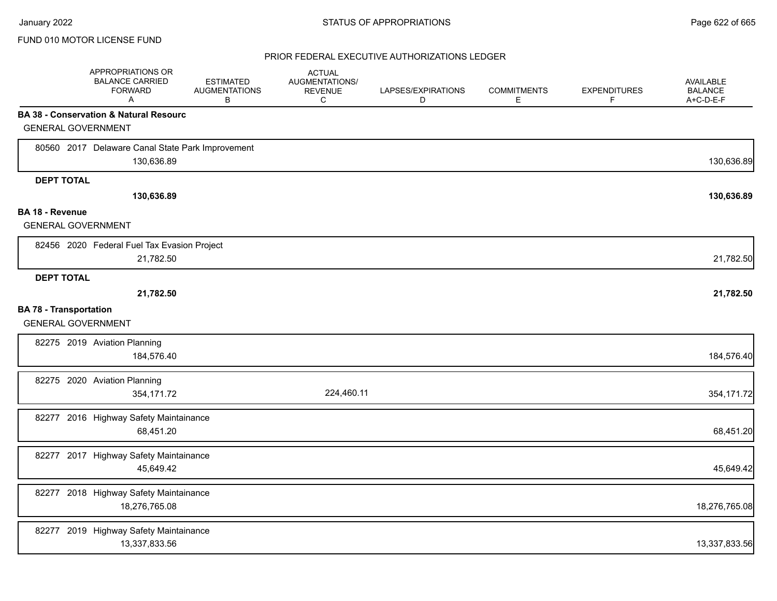|                                                            | APPROPRIATIONS OR<br><b>BALANCE CARRIED</b><br><b>FORWARD</b><br>A | <b>ESTIMATED</b><br><b>AUGMENTATIONS</b><br>в | <b>ACTUAL</b><br>AUGMENTATIONS/<br><b>REVENUE</b><br>C | LAPSES/EXPIRATIONS<br>D | <b>COMMITMENTS</b><br>Е | <b>EXPENDITURES</b><br>F | AVAILABLE<br><b>BALANCE</b><br>A+C-D-E-F |
|------------------------------------------------------------|--------------------------------------------------------------------|-----------------------------------------------|--------------------------------------------------------|-------------------------|-------------------------|--------------------------|------------------------------------------|
|                                                            | <b>BA 38 - Conservation &amp; Natural Resourc</b>                  |                                               |                                                        |                         |                         |                          |                                          |
| <b>GENERAL GOVERNMENT</b>                                  |                                                                    |                                               |                                                        |                         |                         |                          |                                          |
|                                                            | 80560 2017 Delaware Canal State Park Improvement<br>130,636.89     |                                               |                                                        |                         |                         |                          | 130,636.89                               |
| <b>DEPT TOTAL</b>                                          |                                                                    |                                               |                                                        |                         |                         |                          |                                          |
|                                                            | 130,636.89                                                         |                                               |                                                        |                         |                         |                          | 130,636.89                               |
| BA 18 - Revenue                                            |                                                                    |                                               |                                                        |                         |                         |                          |                                          |
| <b>GENERAL GOVERNMENT</b>                                  |                                                                    |                                               |                                                        |                         |                         |                          |                                          |
|                                                            | 82456 2020 Federal Fuel Tax Evasion Project<br>21,782.50           |                                               |                                                        |                         |                         |                          | 21,782.50                                |
| <b>DEPT TOTAL</b>                                          |                                                                    |                                               |                                                        |                         |                         |                          |                                          |
|                                                            | 21,782.50                                                          |                                               |                                                        |                         |                         |                          | 21,782.50                                |
| <b>BA 78 - Transportation</b><br><b>GENERAL GOVERNMENT</b> |                                                                    |                                               |                                                        |                         |                         |                          |                                          |
|                                                            | 82275 2019 Aviation Planning<br>184,576.40                         |                                               |                                                        |                         |                         |                          | 184,576.40                               |
|                                                            | 82275 2020 Aviation Planning<br>354,171.72                         |                                               | 224,460.11                                             |                         |                         |                          | 354,171.72                               |
|                                                            | 82277 2016 Highway Safety Maintainance<br>68,451.20                |                                               |                                                        |                         |                         |                          | 68,451.20                                |
|                                                            | 82277 2017 Highway Safety Maintainance<br>45,649.42                |                                               |                                                        |                         |                         |                          | 45,649.42                                |
|                                                            | 82277 2018 Highway Safety Maintainance<br>18,276,765.08            |                                               |                                                        |                         |                         |                          | 18,276,765.08                            |
|                                                            | 82277 2019 Highway Safety Maintainance<br>13,337,833.56            |                                               |                                                        |                         |                         |                          | 13,337,833.56                            |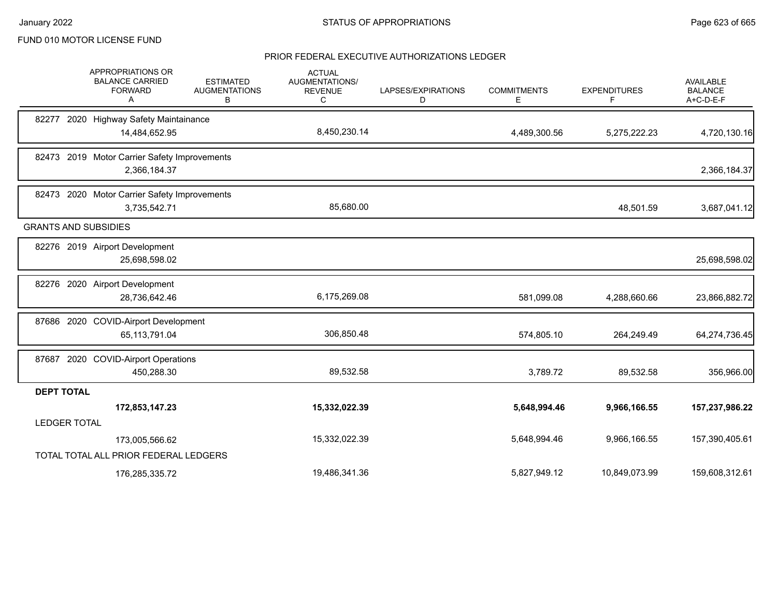|                     | APPROPRIATIONS OR<br><b>BALANCE CARRIED</b><br><b>FORWARD</b><br>A | <b>ESTIMATED</b><br><b>AUGMENTATIONS</b><br>В | <b>ACTUAL</b><br><b>AUGMENTATIONS/</b><br><b>REVENUE</b><br>С | LAPSES/EXPIRATIONS<br>D | <b>COMMITMENTS</b><br>Е | <b>EXPENDITURES</b><br>F | <b>AVAILABLE</b><br><b>BALANCE</b><br>A+C-D-E-F |
|---------------------|--------------------------------------------------------------------|-----------------------------------------------|---------------------------------------------------------------|-------------------------|-------------------------|--------------------------|-------------------------------------------------|
| 82277               | 2020 Highway Safety Maintainance                                   |                                               |                                                               |                         |                         |                          |                                                 |
|                     | 14,484,652.95                                                      |                                               | 8,450,230.14                                                  |                         | 4,489,300.56            | 5,275,222.23             | 4,720,130.16                                    |
|                     | 82473 2019 Motor Carrier Safety Improvements                       |                                               |                                                               |                         |                         |                          |                                                 |
|                     | 2,366,184.37                                                       |                                               |                                                               |                         |                         |                          | 2,366,184.37                                    |
|                     | 82473 2020 Motor Carrier Safety Improvements                       |                                               |                                                               |                         |                         |                          |                                                 |
|                     | 3,735,542.71                                                       |                                               | 85,680.00                                                     |                         |                         | 48,501.59                | 3,687,041.12                                    |
|                     | <b>GRANTS AND SUBSIDIES</b>                                        |                                               |                                                               |                         |                         |                          |                                                 |
|                     | 82276 2019 Airport Development                                     |                                               |                                                               |                         |                         |                          |                                                 |
|                     | 25,698,598.02                                                      |                                               |                                                               |                         |                         |                          | 25,698,598.02                                   |
|                     | 82276 2020 Airport Development                                     |                                               |                                                               |                         |                         |                          |                                                 |
|                     | 28,736,642.46                                                      |                                               | 6,175,269.08                                                  |                         | 581,099.08              | 4,288,660.66             | 23,866,882.72                                   |
|                     | 87686 2020 COVID-Airport Development                               |                                               |                                                               |                         |                         |                          |                                                 |
|                     | 65, 113, 791.04                                                    |                                               | 306,850.48                                                    |                         | 574,805.10              | 264,249.49               | 64,274,736.45                                   |
|                     | 87687 2020 COVID-Airport Operations                                |                                               |                                                               |                         |                         |                          |                                                 |
|                     | 450,288.30                                                         |                                               | 89,532.58                                                     |                         | 3,789.72                | 89,532.58                | 356,966.00                                      |
| <b>DEPT TOTAL</b>   |                                                                    |                                               |                                                               |                         |                         |                          |                                                 |
|                     | 172,853,147.23                                                     |                                               | 15,332,022.39                                                 |                         | 5,648,994.46            | 9,966,166.55             | 157,237,986.22                                  |
| <b>LEDGER TOTAL</b> |                                                                    |                                               |                                                               |                         |                         |                          |                                                 |
|                     | 173,005,566.62                                                     |                                               | 15,332,022.39                                                 |                         | 5,648,994.46            | 9,966,166.55             | 157,390,405.61                                  |
|                     | TOTAL TOTAL ALL PRIOR FEDERAL LEDGERS                              |                                               |                                                               |                         |                         |                          |                                                 |
|                     | 176,285,335.72                                                     |                                               | 19,486,341.36                                                 |                         | 5,827,949.12            | 10,849,073.99            | 159,608,312.61                                  |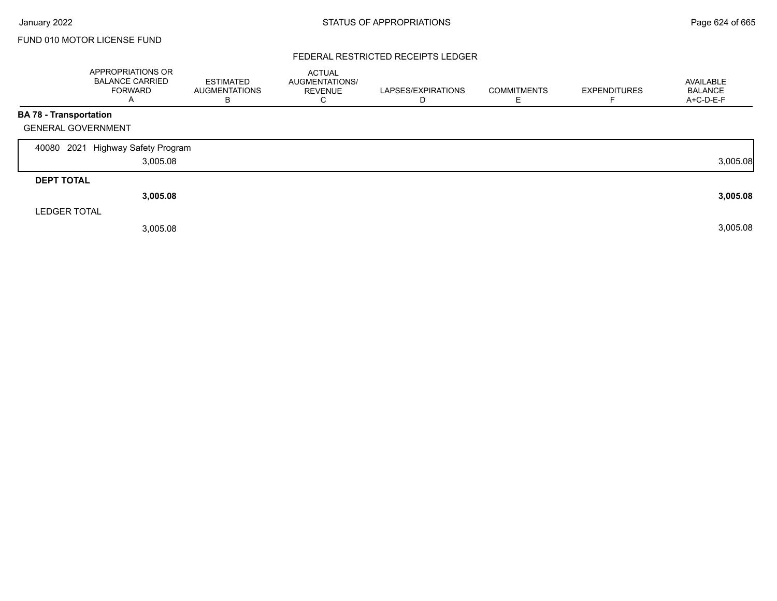### FEDERAL RESTRICTED RECEIPTS LEDGER

|                               | <b>APPROPRIATIONS OR</b><br><b>BALANCE CARRIED</b><br><b>FORWARD</b><br>A | <b>ESTIMATED</b><br><b>AUGMENTATIONS</b><br>в | <b>ACTUAL</b><br>AUGMENTATIONS/<br><b>REVENUE</b><br>С | LAPSES/EXPIRATIONS<br>D | <b>COMMITMENTS</b><br>Е | <b>EXPENDITURES</b> | AVAILABLE<br><b>BALANCE</b><br>A+C-D-E-F |
|-------------------------------|---------------------------------------------------------------------------|-----------------------------------------------|--------------------------------------------------------|-------------------------|-------------------------|---------------------|------------------------------------------|
| <b>BA 78 - Transportation</b> |                                                                           |                                               |                                                        |                         |                         |                     |                                          |
| <b>GENERAL GOVERNMENT</b>     |                                                                           |                                               |                                                        |                         |                         |                     |                                          |
| 2021<br>40080                 | <b>Highway Safety Program</b>                                             |                                               |                                                        |                         |                         |                     |                                          |
|                               | 3,005.08                                                                  |                                               |                                                        |                         |                         |                     | 3,005.08                                 |
| <b>DEPT TOTAL</b>             |                                                                           |                                               |                                                        |                         |                         |                     |                                          |
|                               | 3,005.08                                                                  |                                               |                                                        |                         |                         |                     | 3,005.08                                 |
| <b>LEDGER TOTAL</b>           |                                                                           |                                               |                                                        |                         |                         |                     |                                          |
|                               | 3,005.08                                                                  |                                               |                                                        |                         |                         |                     | 3,005.08                                 |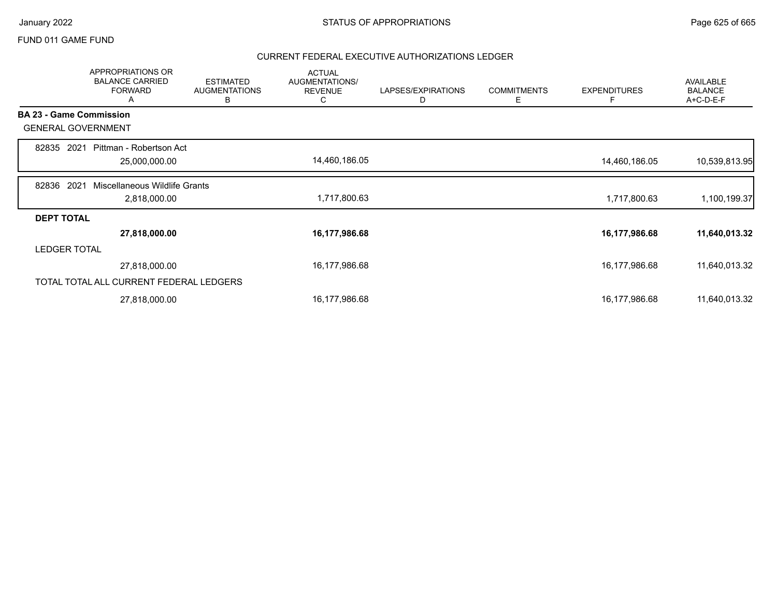### FUND 011 GAME FUND

|                   | <b>APPROPRIATIONS OR</b><br><b>BALANCE CARRIED</b><br><b>FORWARD</b><br>А | <b>ESTIMATED</b><br><b>AUGMENTATIONS</b><br>B | <b>ACTUAL</b><br>AUGMENTATIONS/<br><b>REVENUE</b><br>С | LAPSES/EXPIRATIONS<br>D | <b>COMMITMENTS</b><br>Е | <b>EXPENDITURES</b><br>F | <b>AVAILABLE</b><br><b>BALANCE</b><br>A+C-D-E-F |
|-------------------|---------------------------------------------------------------------------|-----------------------------------------------|--------------------------------------------------------|-------------------------|-------------------------|--------------------------|-------------------------------------------------|
|                   | <b>BA 23 - Game Commission</b>                                            |                                               |                                                        |                         |                         |                          |                                                 |
|                   | <b>GENERAL GOVERNMENT</b>                                                 |                                               |                                                        |                         |                         |                          |                                                 |
| 82835 2021        | Pittman - Robertson Act<br>25,000,000.00                                  |                                               | 14,460,186.05                                          |                         |                         | 14,460,186.05            | 10,539,813.95                                   |
| 82836             | 2021<br>Miscellaneous Wildlife Grants<br>2,818,000.00                     |                                               | 1,717,800.63                                           |                         |                         | 1,717,800.63             | 1,100,199.37                                    |
| <b>DEPT TOTAL</b> |                                                                           |                                               |                                                        |                         |                         |                          |                                                 |
|                   | 27,818,000.00                                                             |                                               | 16,177,986.68                                          |                         |                         | 16,177,986.68            | 11,640,013.32                                   |
|                   | <b>LEDGER TOTAL</b>                                                       |                                               |                                                        |                         |                         |                          |                                                 |
|                   | 27,818,000.00                                                             |                                               | 16,177,986.68                                          |                         |                         | 16,177,986.68            | 11,640,013.32                                   |
|                   | TOTAL TOTAL ALL CURRENT FEDERAL LEDGERS                                   |                                               |                                                        |                         |                         |                          |                                                 |
|                   | 27,818,000.00                                                             |                                               | 16,177,986.68                                          |                         |                         | 16,177,986.68            | 11,640,013.32                                   |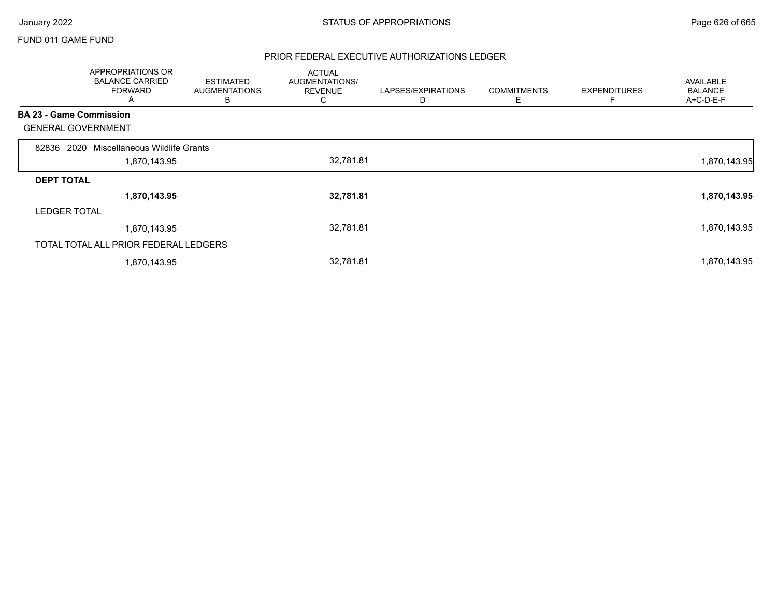### FUND 011 GAME FUND

|                                | APPROPRIATIONS OR<br><b>BALANCE CARRIED</b><br><b>FORWARD</b><br>A | <b>ESTIMATED</b><br><b>AUGMENTATIONS</b><br>в | <b>ACTUAL</b><br>AUGMENTATIONS/<br><b>REVENUE</b><br>◡ | LAPSES/EXPIRATIONS<br>D | <b>COMMITMENTS</b><br>Ε | <b>EXPENDITURES</b><br>Е | <b>AVAILABLE</b><br><b>BALANCE</b><br>A+C-D-E-F |
|--------------------------------|--------------------------------------------------------------------|-----------------------------------------------|--------------------------------------------------------|-------------------------|-------------------------|--------------------------|-------------------------------------------------|
| <b>BA 23 - Game Commission</b> |                                                                    |                                               |                                                        |                         |                         |                          |                                                 |
| <b>GENERAL GOVERNMENT</b>      |                                                                    |                                               |                                                        |                         |                         |                          |                                                 |
| 82836                          | 2020 Miscellaneous Wildlife Grants                                 |                                               |                                                        |                         |                         |                          |                                                 |
|                                | 1,870,143.95                                                       |                                               | 32,781.81                                              |                         |                         |                          | 1,870,143.95                                    |
| <b>DEPT TOTAL</b>              |                                                                    |                                               |                                                        |                         |                         |                          |                                                 |
|                                | 1,870,143.95                                                       |                                               | 32,781.81                                              |                         |                         |                          | 1,870,143.95                                    |
| <b>LEDGER TOTAL</b>            |                                                                    |                                               |                                                        |                         |                         |                          |                                                 |
|                                | 1,870,143.95                                                       |                                               | 32,781.81                                              |                         |                         |                          | 1,870,143.95                                    |
|                                | TOTAL TOTAL ALL PRIOR FEDERAL LEDGERS                              |                                               |                                                        |                         |                         |                          |                                                 |
|                                | 1,870,143.95                                                       |                                               | 32,781.81                                              |                         |                         |                          | 1,870,143.95                                    |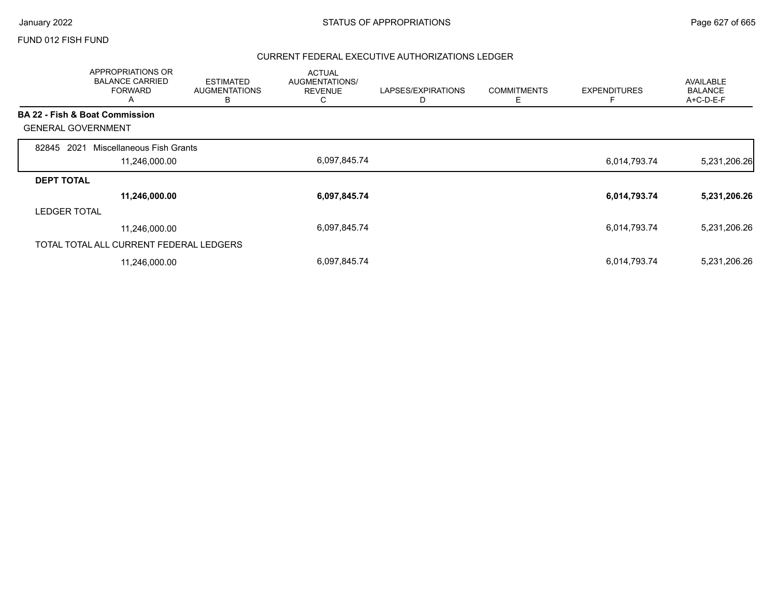### FUND 012 FISH FUND

|                     | <b>APPROPRIATIONS OR</b><br><b>BALANCE CARRIED</b><br><b>FORWARD</b><br>Α | <b>ESTIMATED</b><br><b>AUGMENTATIONS</b><br>В | <b>ACTUAL</b><br>AUGMENTATIONS/<br><b>REVENUE</b><br>◡ | LAPSES/EXPIRATIONS<br>D | <b>COMMITMENTS</b><br>Ε | <b>EXPENDITURES</b> | <b>AVAILABLE</b><br><b>BALANCE</b><br>A+C-D-E-F |
|---------------------|---------------------------------------------------------------------------|-----------------------------------------------|--------------------------------------------------------|-------------------------|-------------------------|---------------------|-------------------------------------------------|
|                     | <b>BA 22 - Fish &amp; Boat Commission</b>                                 |                                               |                                                        |                         |                         |                     |                                                 |
|                     | <b>GENERAL GOVERNMENT</b>                                                 |                                               |                                                        |                         |                         |                     |                                                 |
| 82845               | 2021<br>Miscellaneous Fish Grants                                         |                                               |                                                        |                         |                         |                     |                                                 |
|                     | 11,246,000.00                                                             |                                               | 6,097,845.74                                           |                         |                         | 6,014,793.74        | 5,231,206.26                                    |
| <b>DEPT TOTAL</b>   |                                                                           |                                               |                                                        |                         |                         |                     |                                                 |
|                     | 11,246,000.00                                                             |                                               | 6,097,845.74                                           |                         |                         | 6,014,793.74        | 5,231,206.26                                    |
| <b>LEDGER TOTAL</b> |                                                                           |                                               |                                                        |                         |                         |                     |                                                 |
|                     | 11,246,000.00                                                             |                                               | 6,097,845.74                                           |                         |                         | 6,014,793.74        | 5,231,206.26                                    |
|                     | TOTAL TOTAL ALL CURRENT FEDERAL LEDGERS                                   |                                               |                                                        |                         |                         |                     |                                                 |
|                     | 11,246,000.00                                                             |                                               | 6,097,845.74                                           |                         |                         | 6,014,793.74        | 5,231,206.26                                    |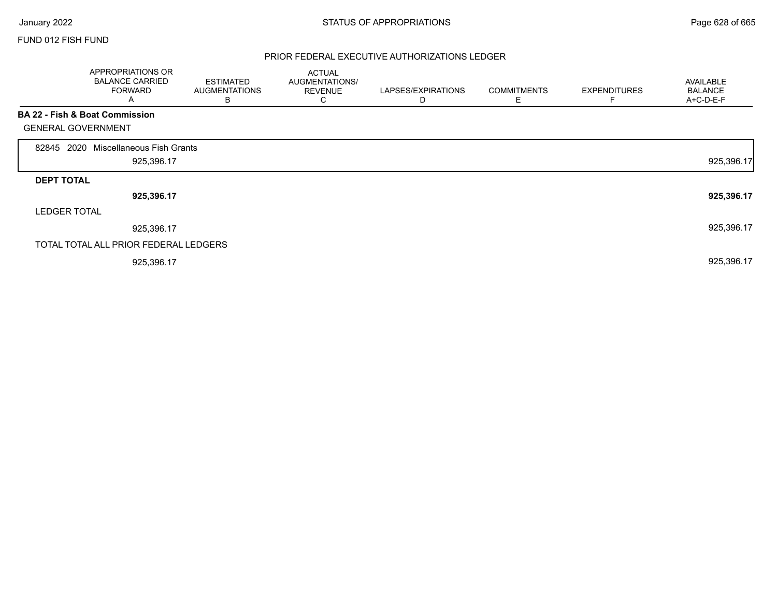Г

### FUND 012 FISH FUND

|                           | APPROPRIATIONS OR<br><b>BALANCE CARRIED</b><br><b>FORWARD</b><br>A | <b>ESTIMATED</b><br><b>AUGMENTATIONS</b><br>В | <b>ACTUAL</b><br>AUGMENTATIONS/<br><b>REVENUE</b><br>C | LAPSES/EXPIRATIONS<br>D | <b>COMMITMENTS</b><br>Е | <b>EXPENDITURES</b><br>F | AVAILABLE<br><b>BALANCE</b><br>A+C-D-E-F |
|---------------------------|--------------------------------------------------------------------|-----------------------------------------------|--------------------------------------------------------|-------------------------|-------------------------|--------------------------|------------------------------------------|
|                           | BA 22 - Fish & Boat Commission                                     |                                               |                                                        |                         |                         |                          |                                          |
| <b>GENERAL GOVERNMENT</b> |                                                                    |                                               |                                                        |                         |                         |                          |                                          |
| 2020<br>82845             | Miscellaneous Fish Grants                                          |                                               |                                                        |                         |                         |                          |                                          |
|                           | 925,396.17                                                         |                                               |                                                        |                         |                         |                          | 925,396.17                               |
| <b>DEPT TOTAL</b>         |                                                                    |                                               |                                                        |                         |                         |                          |                                          |
|                           | 925,396.17                                                         |                                               |                                                        |                         |                         |                          | 925,396.17                               |
| <b>LEDGER TOTAL</b>       |                                                                    |                                               |                                                        |                         |                         |                          |                                          |
|                           | 925,396.17                                                         |                                               |                                                        |                         |                         |                          | 925,396.17                               |
|                           | TOTAL TOTAL ALL PRIOR FEDERAL LEDGERS                              |                                               |                                                        |                         |                         |                          |                                          |
|                           | 925,396.17                                                         |                                               |                                                        |                         |                         |                          | 925,396.17                               |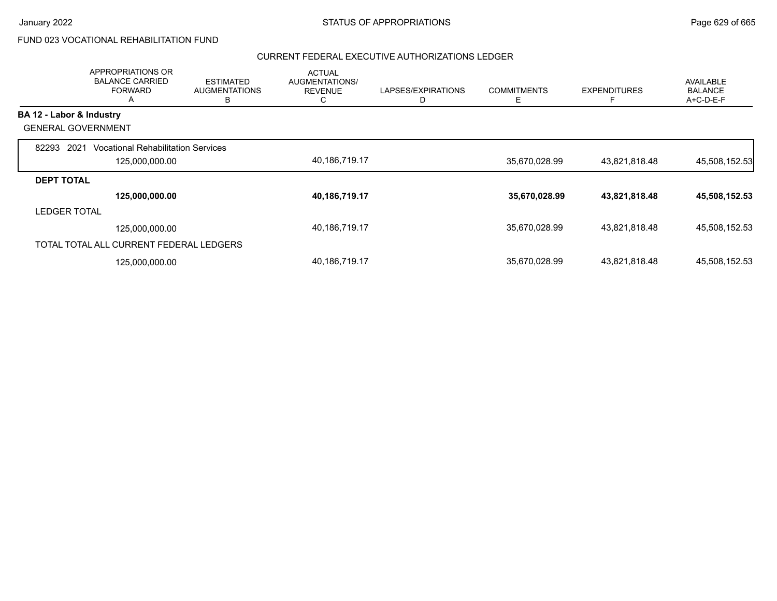# FUND 023 VOCATIONAL REHABILITATION FUND

|                           | <b>APPROPRIATIONS OR</b><br><b>BALANCE CARRIED</b><br><b>FORWARD</b><br>A | <b>ESTIMATED</b><br><b>AUGMENTATIONS</b><br>в | <b>ACTUAL</b><br>AUGMENTATIONS/<br><b>REVENUE</b><br>◡ | LAPSES/EXPIRATIONS | <b>COMMITMENTS</b><br>Е | <b>EXPENDITURES</b><br>E | <b>AVAILABLE</b><br><b>BALANCE</b><br>A+C-D-E-F |
|---------------------------|---------------------------------------------------------------------------|-----------------------------------------------|--------------------------------------------------------|--------------------|-------------------------|--------------------------|-------------------------------------------------|
| BA 12 - Labor & Industry  |                                                                           |                                               |                                                        |                    |                         |                          |                                                 |
| <b>GENERAL GOVERNMENT</b> |                                                                           |                                               |                                                        |                    |                         |                          |                                                 |
| 82293<br>2021             | <b>Vocational Rehabilitation Services</b>                                 |                                               |                                                        |                    |                         |                          |                                                 |
|                           | 125,000,000.00                                                            |                                               | 40,186,719.17                                          |                    | 35,670,028.99           | 43,821,818.48            | 45,508,152.53                                   |
| <b>DEPT TOTAL</b>         |                                                                           |                                               |                                                        |                    |                         |                          |                                                 |
|                           | 125,000,000.00                                                            |                                               | 40,186,719.17                                          |                    | 35,670,028.99           | 43,821,818.48            | 45,508,152.53                                   |
| <b>LEDGER TOTAL</b>       |                                                                           |                                               |                                                        |                    |                         |                          |                                                 |
|                           | 125.000.000.00                                                            |                                               | 40,186,719.17                                          |                    | 35,670,028.99           | 43,821,818.48            | 45.508.152.53                                   |
|                           | TOTAL TOTAL ALL CURRENT FEDERAL LEDGERS                                   |                                               |                                                        |                    |                         |                          |                                                 |
|                           | 125,000,000.00                                                            |                                               | 40,186,719.17                                          |                    | 35,670,028.99           | 43,821,818.48            | 45,508,152.53                                   |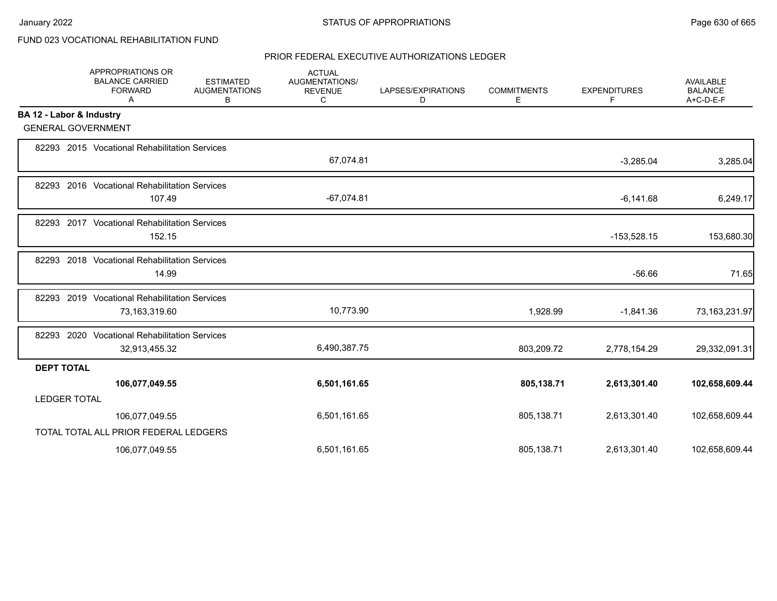# FUND 023 VOCATIONAL REHABILITATION FUND

|                          | APPROPRIATIONS OR<br><b>BALANCE CARRIED</b><br><b>FORWARD</b><br>Α | <b>ESTIMATED</b><br><b>AUGMENTATIONS</b><br>в | <b>ACTUAL</b><br><b>AUGMENTATIONS/</b><br><b>REVENUE</b><br>С | LAPSES/EXPIRATIONS<br>D | <b>COMMITMENTS</b><br>Е | <b>EXPENDITURES</b><br>F | <b>AVAILABLE</b><br><b>BALANCE</b><br>A+C-D-E-F |
|--------------------------|--------------------------------------------------------------------|-----------------------------------------------|---------------------------------------------------------------|-------------------------|-------------------------|--------------------------|-------------------------------------------------|
| BA 12 - Labor & Industry |                                                                    |                                               |                                                               |                         |                         |                          |                                                 |
|                          | <b>GENERAL GOVERNMENT</b>                                          |                                               |                                                               |                         |                         |                          |                                                 |
|                          | 82293 2015 Vocational Rehabilitation Services                      |                                               | 67,074.81                                                     |                         |                         | $-3,285.04$              | 3,285.04                                        |
|                          | 82293 2016 Vocational Rehabilitation Services                      |                                               |                                                               |                         |                         |                          |                                                 |
|                          | 107.49                                                             |                                               | $-67,074.81$                                                  |                         |                         | $-6,141.68$              | 6,249.17                                        |
|                          | 82293 2017 Vocational Rehabilitation Services<br>152.15            |                                               |                                                               |                         |                         | $-153,528.15$            | 153,680.30                                      |
|                          | 82293 2018 Vocational Rehabilitation Services<br>14.99             |                                               |                                                               |                         |                         | $-56.66$                 | 71.65                                           |
| 82293                    | 2019 Vocational Rehabilitation Services<br>73,163,319.60           |                                               | 10,773.90                                                     |                         | 1,928.99                | $-1,841.36$              | 73, 163, 231. 97                                |
|                          | 82293 2020 Vocational Rehabilitation Services<br>32,913,455.32     |                                               | 6,490,387.75                                                  |                         | 803,209.72              | 2,778,154.29             | 29,332,091.31                                   |
| <b>DEPT TOTAL</b>        |                                                                    |                                               |                                                               |                         |                         |                          |                                                 |
|                          | 106,077,049.55                                                     |                                               | 6,501,161.65                                                  |                         | 805,138.71              | 2,613,301.40             | 102,658,609.44                                  |
| <b>LEDGER TOTAL</b>      |                                                                    |                                               |                                                               |                         |                         |                          |                                                 |
|                          | 106,077,049.55                                                     |                                               | 6,501,161.65                                                  |                         | 805,138.71              | 2,613,301.40             | 102,658,609.44                                  |
|                          | TOTAL TOTAL ALL PRIOR FEDERAL LEDGERS                              |                                               |                                                               |                         |                         |                          |                                                 |
|                          | 106,077,049.55                                                     |                                               | 6,501,161.65                                                  |                         | 805,138.71              | 2,613,301.40             | 102,658,609.44                                  |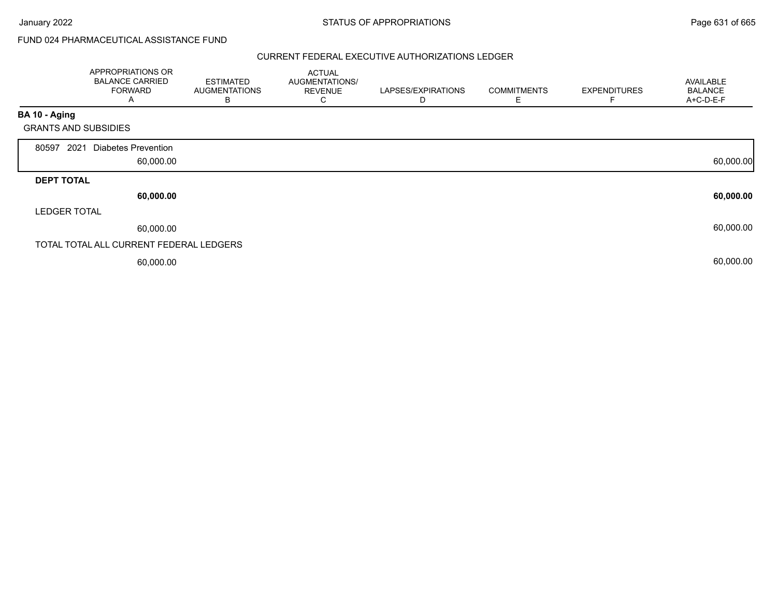# FUND 024 PHARMACEUTICAL ASSISTANCE FUND

|                             | APPROPRIATIONS OR<br><b>BALANCE CARRIED</b><br><b>FORWARD</b><br>A | <b>ESTIMATED</b><br><b>AUGMENTATIONS</b><br>в | <b>ACTUAL</b><br>AUGMENTATIONS/<br><b>REVENUE</b><br>С | LAPSES/EXPIRATIONS<br>D | <b>COMMITMENTS</b><br>E | <b>EXPENDITURES</b> | AVAILABLE<br><b>BALANCE</b><br>A+C-D-E-F |
|-----------------------------|--------------------------------------------------------------------|-----------------------------------------------|--------------------------------------------------------|-------------------------|-------------------------|---------------------|------------------------------------------|
| BA 10 - Aging               |                                                                    |                                               |                                                        |                         |                         |                     |                                          |
| <b>GRANTS AND SUBSIDIES</b> |                                                                    |                                               |                                                        |                         |                         |                     |                                          |
| 80597<br>2021               | <b>Diabetes Prevention</b><br>60,000.00                            |                                               |                                                        |                         |                         |                     | 60,000.00                                |
| <b>DEPT TOTAL</b>           |                                                                    |                                               |                                                        |                         |                         |                     |                                          |
|                             | 60,000.00                                                          |                                               |                                                        |                         |                         |                     | 60,000.00                                |
| <b>LEDGER TOTAL</b>         |                                                                    |                                               |                                                        |                         |                         |                     |                                          |
|                             | 60,000.00                                                          |                                               |                                                        |                         |                         |                     | 60,000.00                                |
|                             | TOTAL TOTAL ALL CURRENT FEDERAL LEDGERS                            |                                               |                                                        |                         |                         |                     |                                          |
|                             | 60,000.00                                                          |                                               |                                                        |                         |                         |                     | 60,000.00                                |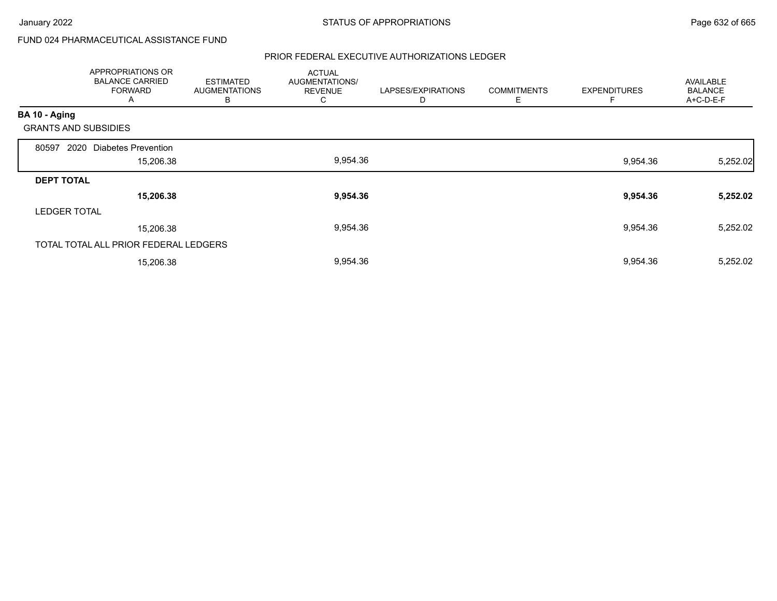# FUND 024 PHARMACEUTICAL ASSISTANCE FUND

|                             | APPROPRIATIONS OR<br><b>BALANCE CARRIED</b><br><b>FORWARD</b><br>Α | <b>ESTIMATED</b><br><b>AUGMENTATIONS</b><br>В | <b>ACTUAL</b><br>AUGMENTATIONS/<br><b>REVENUE</b><br>С | LAPSES/EXPIRATIONS<br>D | <b>COMMITMENTS</b><br>Е | <b>EXPENDITURES</b><br>E | AVAILABLE<br><b>BALANCE</b><br>A+C-D-E-F |
|-----------------------------|--------------------------------------------------------------------|-----------------------------------------------|--------------------------------------------------------|-------------------------|-------------------------|--------------------------|------------------------------------------|
| BA 10 - Aging               |                                                                    |                                               |                                                        |                         |                         |                          |                                          |
| <b>GRANTS AND SUBSIDIES</b> |                                                                    |                                               |                                                        |                         |                         |                          |                                          |
| 2020<br>80597               | Diabetes Prevention                                                |                                               |                                                        |                         |                         |                          |                                          |
|                             | 15,206.38                                                          |                                               | 9,954.36                                               |                         |                         | 9,954.36                 | 5,252.02                                 |
| <b>DEPT TOTAL</b>           |                                                                    |                                               |                                                        |                         |                         |                          |                                          |
|                             | 15,206.38                                                          |                                               | 9,954.36                                               |                         |                         | 9,954.36                 | 5,252.02                                 |
| <b>LEDGER TOTAL</b>         |                                                                    |                                               |                                                        |                         |                         |                          |                                          |
|                             | 15,206.38                                                          |                                               | 9,954.36                                               |                         |                         | 9,954.36                 | 5,252.02                                 |
|                             | TOTAL TOTAL ALL PRIOR FEDERAL LEDGERS                              |                                               |                                                        |                         |                         |                          |                                          |
|                             | 15,206.38                                                          |                                               | 9,954.36                                               |                         |                         | 9,954.36                 | 5,252.02                                 |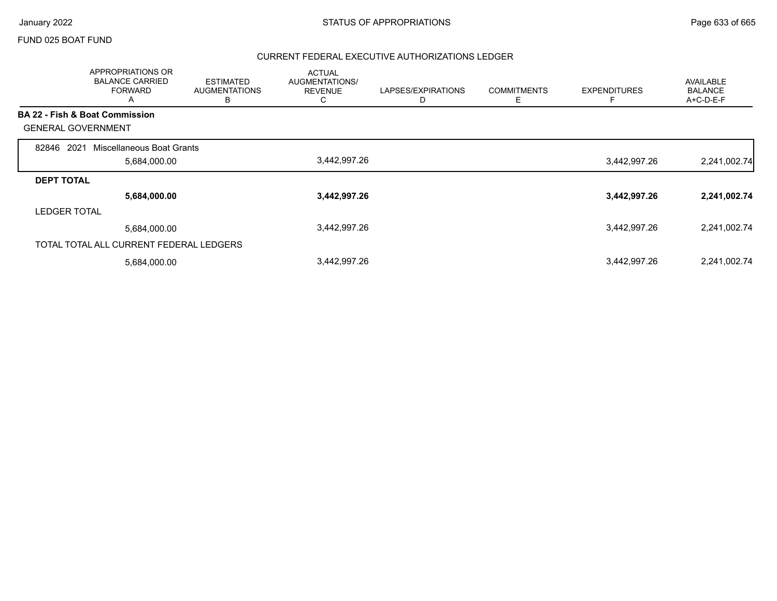#### FUND 025 BOAT FUND

|                                           | APPROPRIATIONS OR<br><b>BALANCE CARRIED</b><br><b>FORWARD</b><br>A | <b>ESTIMATED</b><br><b>AUGMENTATIONS</b><br>B | <b>ACTUAL</b><br>AUGMENTATIONS/<br><b>REVENUE</b><br>C | LAPSES/EXPIRATIONS | <b>COMMITMENTS</b><br>Ε | <b>EXPENDITURES</b> | <b>AVAILABLE</b><br><b>BALANCE</b><br>A+C-D-E-F |
|-------------------------------------------|--------------------------------------------------------------------|-----------------------------------------------|--------------------------------------------------------|--------------------|-------------------------|---------------------|-------------------------------------------------|
| <b>BA 22 - Fish &amp; Boat Commission</b> |                                                                    |                                               |                                                        |                    |                         |                     |                                                 |
| <b>GENERAL GOVERNMENT</b>                 |                                                                    |                                               |                                                        |                    |                         |                     |                                                 |
| 2021<br>82846                             | Miscellaneous Boat Grants                                          |                                               |                                                        |                    |                         |                     |                                                 |
|                                           | 5,684,000.00                                                       |                                               | 3,442,997.26                                           |                    |                         | 3,442,997.26        | 2,241,002.74                                    |
| <b>DEPT TOTAL</b>                         |                                                                    |                                               |                                                        |                    |                         |                     |                                                 |
|                                           | 5,684,000.00                                                       |                                               | 3,442,997.26                                           |                    |                         | 3,442,997.26        | 2,241,002.74                                    |
| <b>LEDGER TOTAL</b>                       |                                                                    |                                               |                                                        |                    |                         |                     |                                                 |
|                                           | 5,684,000.00                                                       |                                               | 3,442,997.26                                           |                    |                         | 3,442,997.26        | 2,241,002.74                                    |
| TOTAL TOTAL ALL CURRENT FEDERAL LEDGERS   |                                                                    |                                               |                                                        |                    |                         |                     |                                                 |
|                                           | 5,684,000.00                                                       |                                               | 3,442,997.26                                           |                    |                         | 3,442,997.26        | 2,241,002.74                                    |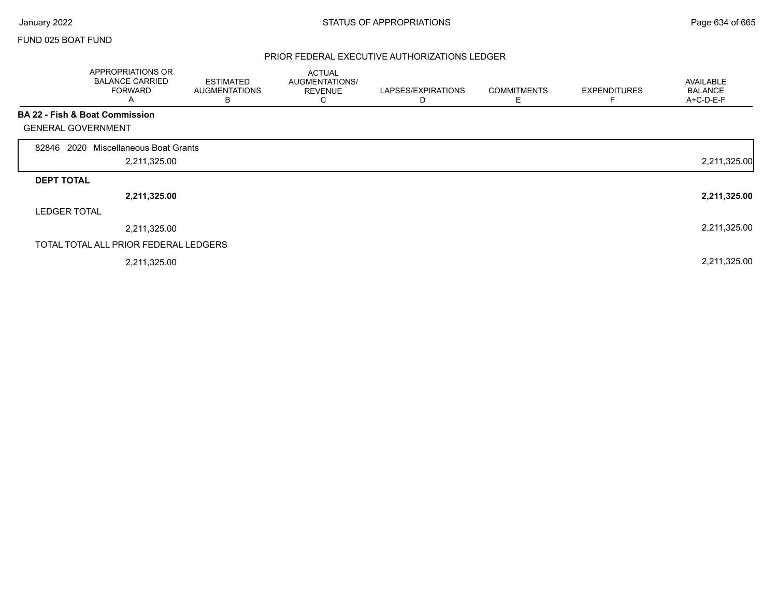Г

### FUND 025 BOAT FUND

|                           | APPROPRIATIONS OR<br><b>BALANCE CARRIED</b><br><b>FORWARD</b><br>A | <b>ESTIMATED</b><br><b>AUGMENTATIONS</b><br>В | <b>ACTUAL</b><br>AUGMENTATIONS/<br><b>REVENUE</b><br>C. | LAPSES/EXPIRATIONS<br>D | <b>COMMITMENTS</b><br>Ε | <b>EXPENDITURES</b><br>F | AVAILABLE<br><b>BALANCE</b><br>A+C-D-E-F |
|---------------------------|--------------------------------------------------------------------|-----------------------------------------------|---------------------------------------------------------|-------------------------|-------------------------|--------------------------|------------------------------------------|
|                           | BA 22 - Fish & Boat Commission                                     |                                               |                                                         |                         |                         |                          |                                          |
| <b>GENERAL GOVERNMENT</b> |                                                                    |                                               |                                                         |                         |                         |                          |                                          |
| 2020<br>82846             | Miscellaneous Boat Grants                                          |                                               |                                                         |                         |                         |                          |                                          |
|                           | 2,211,325.00                                                       |                                               |                                                         |                         |                         |                          | 2,211,325.00                             |
| <b>DEPT TOTAL</b>         |                                                                    |                                               |                                                         |                         |                         |                          |                                          |
|                           | 2,211,325.00                                                       |                                               |                                                         |                         |                         |                          | 2,211,325.00                             |
| <b>LEDGER TOTAL</b>       |                                                                    |                                               |                                                         |                         |                         |                          |                                          |
|                           | 2,211,325.00                                                       |                                               |                                                         |                         |                         |                          | 2,211,325.00                             |
|                           | TOTAL TOTAL ALL PRIOR FEDERAL LEDGERS                              |                                               |                                                         |                         |                         |                          |                                          |
|                           | 2,211,325.00                                                       |                                               |                                                         |                         |                         |                          | 2,211,325.00                             |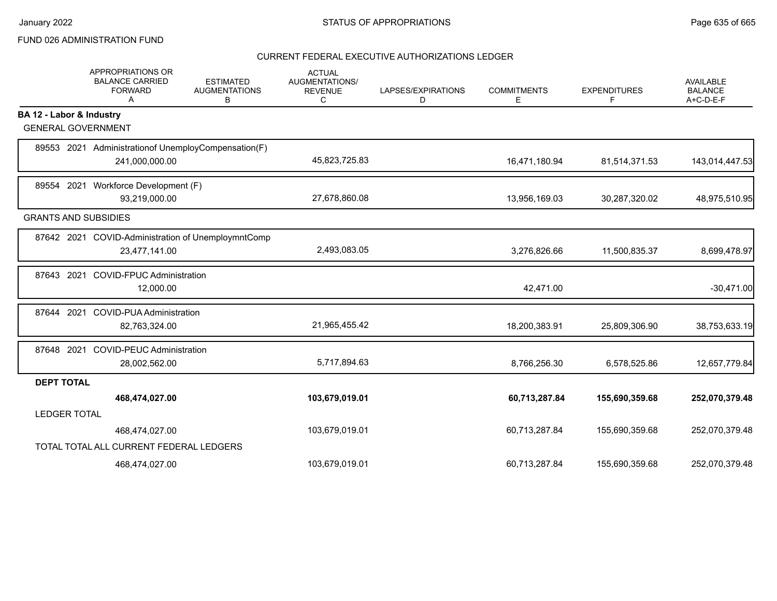## FUND 026 ADMINISTRATION FUND

|                             | <b>APPROPRIATIONS OR</b><br><b>BALANCE CARRIED</b><br><b>FORWARD</b><br>A | <b>ESTIMATED</b><br><b>AUGMENTATIONS</b><br>В | <b>ACTUAL</b><br>AUGMENTATIONS/<br><b>REVENUE</b><br>С | LAPSES/EXPIRATIONS<br>D | <b>COMMITMENTS</b><br>Е | <b>EXPENDITURES</b><br>F | <b>AVAILABLE</b><br><b>BALANCE</b><br>A+C-D-E-F |
|-----------------------------|---------------------------------------------------------------------------|-----------------------------------------------|--------------------------------------------------------|-------------------------|-------------------------|--------------------------|-------------------------------------------------|
| BA 12 - Labor & Industry    |                                                                           |                                               |                                                        |                         |                         |                          |                                                 |
| <b>GENERAL GOVERNMENT</b>   |                                                                           |                                               |                                                        |                         |                         |                          |                                                 |
|                             | 89553 2021 Administration of Unemploy Compensation (F)                    |                                               |                                                        |                         |                         |                          |                                                 |
|                             | 241,000,000.00                                                            |                                               | 45,823,725.83                                          |                         | 16,471,180.94           | 81,514,371.53            | 143,014,447.53                                  |
|                             | 89554 2021 Workforce Development (F)                                      |                                               |                                                        |                         |                         |                          |                                                 |
|                             | 93,219,000.00                                                             |                                               | 27,678,860.08                                          |                         | 13,956,169.03           | 30,287,320.02            | 48,975,510.95                                   |
| <b>GRANTS AND SUBSIDIES</b> |                                                                           |                                               |                                                        |                         |                         |                          |                                                 |
|                             | 87642 2021 COVID-Administration of UnemploymntComp                        |                                               |                                                        |                         |                         |                          |                                                 |
|                             | 23,477,141.00                                                             |                                               | 2,493,083.05                                           |                         | 3,276,826.66            | 11,500,835.37            | 8,699,478.97                                    |
| 87643 2021                  | <b>COVID-FPUC Administration</b>                                          |                                               |                                                        |                         |                         |                          |                                                 |
|                             | 12,000.00                                                                 |                                               |                                                        |                         | 42,471.00               |                          | $-30,471.00$                                    |
| 87644 2021                  | <b>COVID-PUA Administration</b>                                           |                                               |                                                        |                         |                         |                          |                                                 |
|                             | 82,763,324.00                                                             |                                               | 21,965,455.42                                          |                         | 18,200,383.91           | 25,809,306.90            | 38,753,633.19                                   |
| 87648 2021                  | <b>COVID-PEUC Administration</b>                                          |                                               |                                                        |                         |                         |                          |                                                 |
|                             | 28,002,562.00                                                             |                                               | 5,717,894.63                                           |                         | 8,766,256.30            | 6,578,525.86             | 12,657,779.84                                   |
| <b>DEPT TOTAL</b>           |                                                                           |                                               |                                                        |                         |                         |                          |                                                 |
|                             | 468,474,027.00                                                            |                                               | 103,679,019.01                                         |                         | 60,713,287.84           | 155,690,359.68           | 252,070,379.48                                  |
| <b>LEDGER TOTAL</b>         |                                                                           |                                               |                                                        |                         |                         |                          |                                                 |
|                             | 468,474,027.00                                                            |                                               | 103,679,019.01                                         |                         | 60,713,287.84           | 155,690,359.68           | 252,070,379.48                                  |
|                             | TOTAL TOTAL ALL CURRENT FEDERAL LEDGERS                                   |                                               |                                                        |                         |                         |                          |                                                 |
|                             | 468,474,027.00                                                            |                                               | 103,679,019.01                                         |                         | 60,713,287.84           | 155,690,359.68           | 252,070,379.48                                  |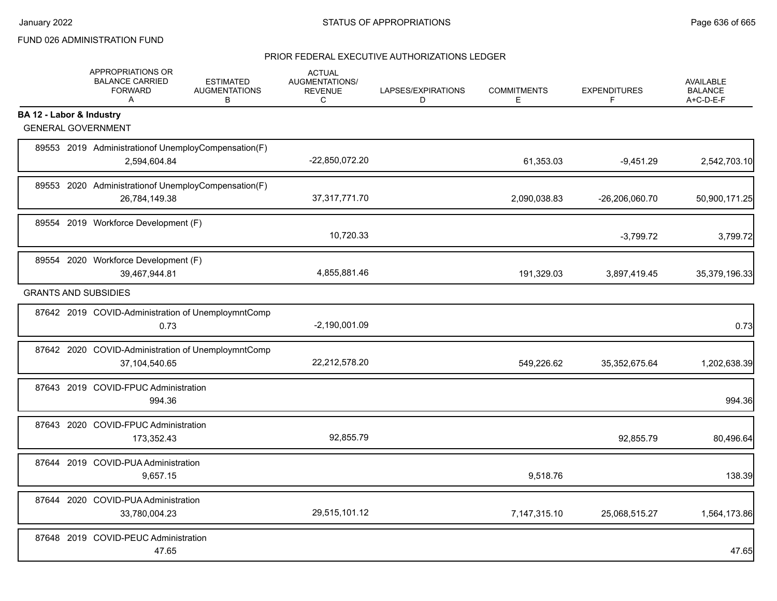# FUND 026 ADMINISTRATION FUND

|                          | APPROPRIATIONS OR<br><b>BALANCE CARRIED</b><br><b>FORWARD</b><br>$\mathsf{A}$ | <b>ESTIMATED</b><br><b>AUGMENTATIONS</b><br>B | <b>ACTUAL</b><br>AUGMENTATIONS/<br><b>REVENUE</b><br>С | LAPSES/EXPIRATIONS<br>D | <b>COMMITMENTS</b><br>E. | <b>EXPENDITURES</b><br>F | <b>AVAILABLE</b><br><b>BALANCE</b><br>A+C-D-E-F |
|--------------------------|-------------------------------------------------------------------------------|-----------------------------------------------|--------------------------------------------------------|-------------------------|--------------------------|--------------------------|-------------------------------------------------|
| BA 12 - Labor & Industry |                                                                               |                                               |                                                        |                         |                          |                          |                                                 |
|                          | <b>GENERAL GOVERNMENT</b>                                                     |                                               |                                                        |                         |                          |                          |                                                 |
|                          | 89553 2019 Administration of Unemploy Compensation (F)<br>2,594,604.84        |                                               | -22,850,072.20                                         |                         | 61,353.03                | $-9,451.29$              | 2,542,703.10                                    |
|                          | 89553 2020 Administrationof UnemployCompensation(F)<br>26,784,149.38          |                                               | 37,317,771.70                                          |                         | 2,090,038.83             | -26,206,060.70           | 50,900,171.25                                   |
|                          | 89554 2019 Workforce Development (F)                                          |                                               | 10,720.33                                              |                         |                          | $-3,799.72$              | 3,799.72                                        |
|                          | 89554 2020 Workforce Development (F)<br>39,467,944.81                         |                                               | 4,855,881.46                                           |                         | 191,329.03               | 3,897,419.45             | 35,379,196.33                                   |
|                          | <b>GRANTS AND SUBSIDIES</b>                                                   |                                               |                                                        |                         |                          |                          |                                                 |
|                          | 87642 2019 COVID-Administration of UnemploymntComp<br>0.73                    |                                               | $-2,190,001.09$                                        |                         |                          |                          | 0.73                                            |
|                          | 87642 2020 COVID-Administration of UnemploymntComp<br>37,104,540.65           |                                               | 22,212,578.20                                          |                         | 549,226.62               | 35, 352, 675.64          | 1,202,638.39                                    |
|                          | 87643 2019 COVID-FPUC Administration<br>994.36                                |                                               |                                                        |                         |                          |                          | 994.36                                          |
|                          | 87643 2020 COVID-FPUC Administration<br>173,352.43                            |                                               | 92,855.79                                              |                         |                          | 92,855.79                | 80,496.64                                       |
|                          | 87644 2019 COVID-PUA Administration<br>9,657.15                               |                                               |                                                        |                         | 9,518.76                 |                          | 138.39                                          |
|                          | 87644 2020 COVID-PUA Administration<br>33,780,004.23                          |                                               | 29,515,101.12                                          |                         | 7,147,315.10             | 25,068,515.27            | 1,564,173.86                                    |
|                          | 87648 2019 COVID-PEUC Administration<br>47.65                                 |                                               |                                                        |                         |                          |                          | 47.65                                           |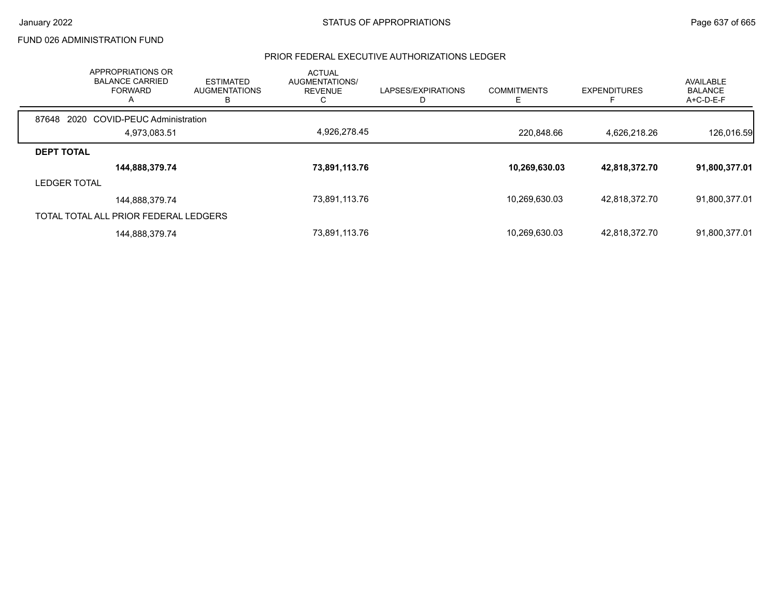## FUND 026 ADMINISTRATION FUND

| <b>APPROPRIATIONS OR</b><br><b>BALANCE CARRIED</b><br><b>FORWARD</b><br>A | <b>ESTIMATED</b><br><b>AUGMENTATIONS</b><br>в | <b>ACTUAL</b><br>AUGMENTATIONS/<br><b>REVENUE</b> | LAPSES/EXPIRATIONS | <b>COMMITMENTS</b><br>Е | <b>EXPENDITURES</b> | AVAILABLE<br><b>BALANCE</b><br>A+C-D-E-F |
|---------------------------------------------------------------------------|-----------------------------------------------|---------------------------------------------------|--------------------|-------------------------|---------------------|------------------------------------------|
| 2020 COVID-PEUC Administration<br>87648                                   |                                               |                                                   |                    |                         |                     |                                          |
| 4,973,083.51                                                              |                                               | 4,926,278.45                                      |                    | 220.848.66              | 4,626,218.26        | 126,016.59                               |
| <b>DEPT TOTAL</b>                                                         |                                               |                                                   |                    |                         |                     |                                          |
| 144,888,379.74                                                            |                                               | 73,891,113.76                                     |                    | 10,269,630.03           | 42,818,372.70       | 91,800,377.01                            |
| <b>LEDGER TOTAL</b>                                                       |                                               |                                                   |                    |                         |                     |                                          |
| 144,888,379.74                                                            |                                               | 73,891,113.76                                     |                    | 10,269,630.03           | 42,818,372.70       | 91,800,377.01                            |
| TOTAL TOTAL ALL PRIOR FEDERAL LEDGERS                                     |                                               |                                                   |                    |                         |                     |                                          |
| 144,888,379.74                                                            |                                               | 73,891,113.76                                     |                    | 10,269,630.03           | 42,818,372.70       | 91,800,377.01                            |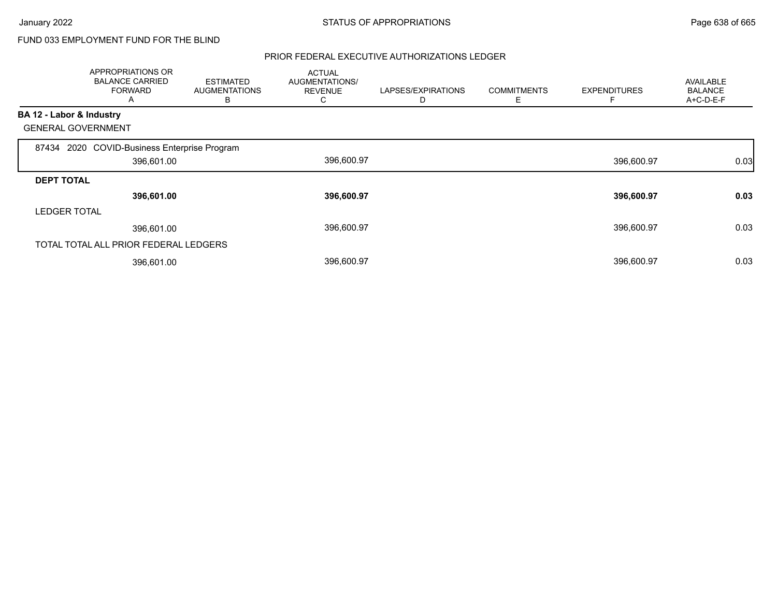# FUND 033 EMPLOYMENT FUND FOR THE BLIND

|                          | APPROPRIATIONS OR<br><b>BALANCE CARRIED</b><br><b>FORWARD</b><br>A | <b>ESTIMATED</b><br>AUGMENTATIONS<br>В | <b>ACTUAL</b><br>AUGMENTATIONS/<br><b>REVENUE</b><br>U | LAPSES/EXPIRATIONS<br>D | <b>COMMITMENTS</b><br>Е | <b>EXPENDITURES</b> | <b>AVAILABLE</b><br><b>BALANCE</b><br>$A+C-D-E-F$ |
|--------------------------|--------------------------------------------------------------------|----------------------------------------|--------------------------------------------------------|-------------------------|-------------------------|---------------------|---------------------------------------------------|
| BA 12 - Labor & Industry |                                                                    |                                        |                                                        |                         |                         |                     |                                                   |
|                          | <b>GENERAL GOVERNMENT</b>                                          |                                        |                                                        |                         |                         |                     |                                                   |
|                          | 87434 2020 COVID-Business Enterprise Program                       |                                        |                                                        |                         |                         |                     |                                                   |
|                          | 396,601.00                                                         |                                        | 396,600.97                                             |                         |                         | 396,600.97          | 0.03                                              |
| <b>DEPT TOTAL</b>        |                                                                    |                                        |                                                        |                         |                         |                     |                                                   |
|                          | 396,601.00                                                         |                                        | 396,600.97                                             |                         |                         | 396,600.97          | 0.03                                              |
| <b>LEDGER TOTAL</b>      |                                                                    |                                        |                                                        |                         |                         |                     |                                                   |
|                          | 396,601.00                                                         |                                        | 396,600.97                                             |                         |                         | 396,600.97          | 0.03                                              |
|                          | TOTAL TOTAL ALL PRIOR FEDERAL LEDGERS                              |                                        |                                                        |                         |                         |                     |                                                   |
|                          | 396,601.00                                                         |                                        | 396,600.97                                             |                         |                         | 396,600.97          | 0.03                                              |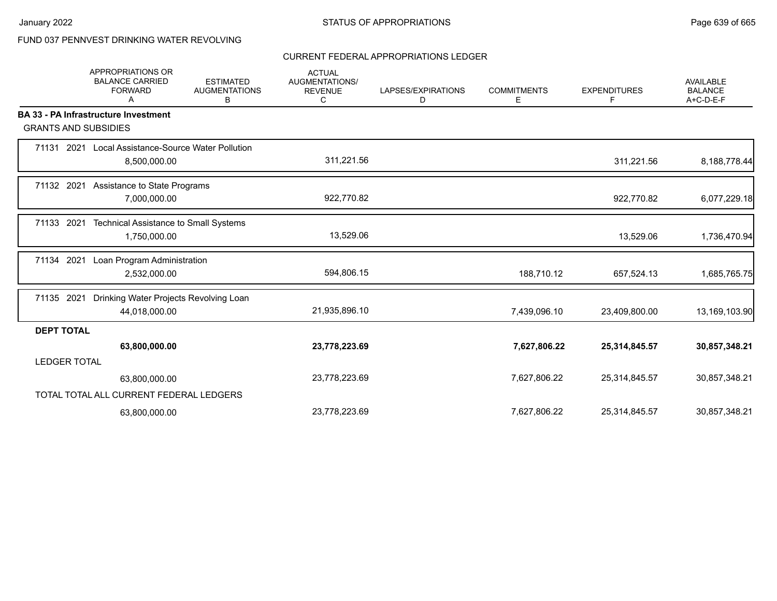# FUND 037 PENNVEST DRINKING WATER REVOLVING

### CURRENT FEDERAL APPROPRIATIONS LEDGER

|                             | <b>APPROPRIATIONS OR</b><br><b>BALANCE CARRIED</b><br><b>FORWARD</b><br>A | <b>ESTIMATED</b><br><b>AUGMENTATIONS</b><br>В | <b>ACTUAL</b><br>AUGMENTATIONS/<br><b>REVENUE</b><br>C | LAPSES/EXPIRATIONS<br>D | <b>COMMITMENTS</b><br>E. | <b>EXPENDITURES</b><br>F | <b>AVAILABLE</b><br><b>BALANCE</b><br>A+C-D-E-F |
|-----------------------------|---------------------------------------------------------------------------|-----------------------------------------------|--------------------------------------------------------|-------------------------|--------------------------|--------------------------|-------------------------------------------------|
|                             | <b>BA 33 - PA Infrastructure Investment</b>                               |                                               |                                                        |                         |                          |                          |                                                 |
| <b>GRANTS AND SUBSIDIES</b> |                                                                           |                                               |                                                        |                         |                          |                          |                                                 |
|                             | 71131 2021 Local Assistance-Source Water Pollution<br>8,500,000.00        |                                               | 311,221.56                                             |                         |                          | 311,221.56               | 8,188,778.44                                    |
| 71132 2021                  | Assistance to State Programs<br>7,000,000.00                              |                                               | 922,770.82                                             |                         |                          | 922,770.82               | 6,077,229.18                                    |
| 71133 2021                  | Technical Assistance to Small Systems<br>1,750,000.00                     |                                               | 13,529.06                                              |                         |                          | 13,529.06                | 1,736,470.94                                    |
| 71134 2021                  | Loan Program Administration<br>2,532,000.00                               |                                               | 594,806.15                                             |                         | 188,710.12               | 657,524.13               | 1,685,765.75                                    |
| 71135 2021                  | Drinking Water Projects Revolving Loan<br>44,018,000.00                   |                                               | 21,935,896.10                                          |                         | 7,439,096.10             | 23,409,800.00            | 13,169,103.90                                   |
| <b>DEPT TOTAL</b>           |                                                                           |                                               |                                                        |                         |                          |                          |                                                 |
|                             | 63,800,000.00                                                             |                                               | 23,778,223.69                                          |                         | 7,627,806.22             | 25,314,845.57            | 30,857,348.21                                   |
| <b>LEDGER TOTAL</b>         |                                                                           |                                               |                                                        |                         |                          |                          |                                                 |
|                             | 63,800,000.00                                                             |                                               | 23,778,223.69                                          |                         | 7,627,806.22             | 25,314,845.57            | 30,857,348.21                                   |
|                             | TOTAL TOTAL ALL CURRENT FEDERAL LEDGERS                                   |                                               |                                                        |                         |                          |                          |                                                 |
|                             | 63,800,000.00                                                             |                                               | 23,778,223.69                                          |                         | 7,627,806.22             | 25,314,845.57            | 30,857,348.21                                   |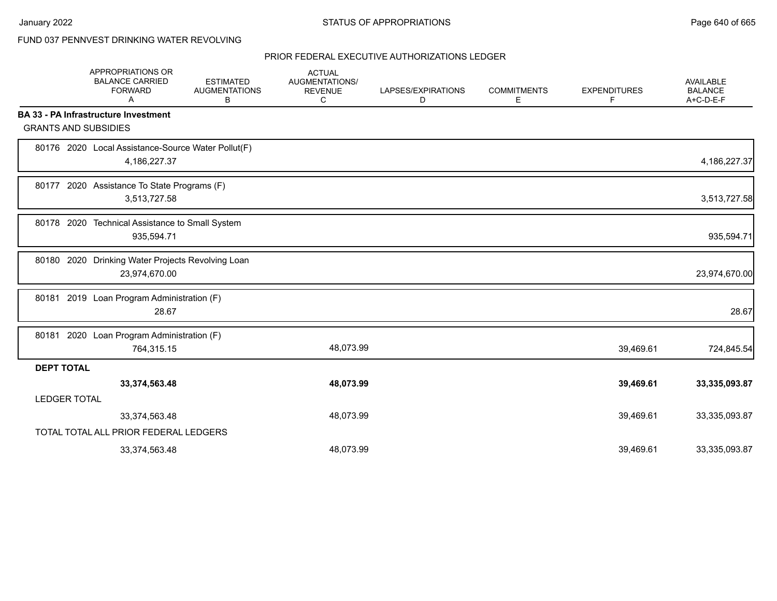# FUND 037 PENNVEST DRINKING WATER REVOLVING

|                   | APPROPRIATIONS OR<br><b>BALANCE CARRIED</b><br><b>FORWARD</b><br>A | <b>ESTIMATED</b><br><b>AUGMENTATIONS</b><br>В | <b>ACTUAL</b><br>AUGMENTATIONS/<br><b>REVENUE</b><br>C | LAPSES/EXPIRATIONS<br>D | <b>COMMITMENTS</b><br>Е | <b>EXPENDITURES</b><br>F | <b>AVAILABLE</b><br><b>BALANCE</b><br>A+C-D-E-F |
|-------------------|--------------------------------------------------------------------|-----------------------------------------------|--------------------------------------------------------|-------------------------|-------------------------|--------------------------|-------------------------------------------------|
|                   | <b>BA 33 - PA Infrastructure Investment</b>                        |                                               |                                                        |                         |                         |                          |                                                 |
|                   | <b>GRANTS AND SUBSIDIES</b>                                        |                                               |                                                        |                         |                         |                          |                                                 |
|                   | 80176 2020 Local Assistance-Source Water Pollut(F)<br>4,186,227.37 |                                               |                                                        |                         |                         |                          | 4,186,227.37                                    |
|                   | 80177 2020 Assistance To State Programs (F)<br>3,513,727.58        |                                               |                                                        |                         |                         |                          | 3,513,727.58                                    |
| 80178 2020        | Technical Assistance to Small System<br>935,594.71                 |                                               |                                                        |                         |                         |                          | 935,594.71                                      |
|                   | 80180 2020 Drinking Water Projects Revolving Loan<br>23,974,670.00 |                                               |                                                        |                         |                         |                          | 23,974,670.00                                   |
|                   | 80181 2019 Loan Program Administration (F)<br>28.67                |                                               |                                                        |                         |                         |                          | 28.67                                           |
|                   | 80181 2020 Loan Program Administration (F)<br>764,315.15           |                                               | 48,073.99                                              |                         |                         | 39,469.61                | 724,845.54                                      |
| <b>DEPT TOTAL</b> |                                                                    |                                               |                                                        |                         |                         |                          |                                                 |
|                   | 33,374,563.48                                                      |                                               | 48,073.99                                              |                         |                         | 39,469.61                | 33,335,093.87                                   |
|                   | <b>LEDGER TOTAL</b>                                                |                                               |                                                        |                         |                         |                          |                                                 |
|                   | 33,374,563.48                                                      |                                               | 48,073.99                                              |                         |                         | 39,469.61                | 33,335,093.87                                   |
|                   | TOTAL TOTAL ALL PRIOR FEDERAL LEDGERS                              |                                               |                                                        |                         |                         |                          |                                                 |
|                   | 33,374,563.48                                                      |                                               | 48,073.99                                              |                         |                         | 39,469.61                | 33,335,093.87                                   |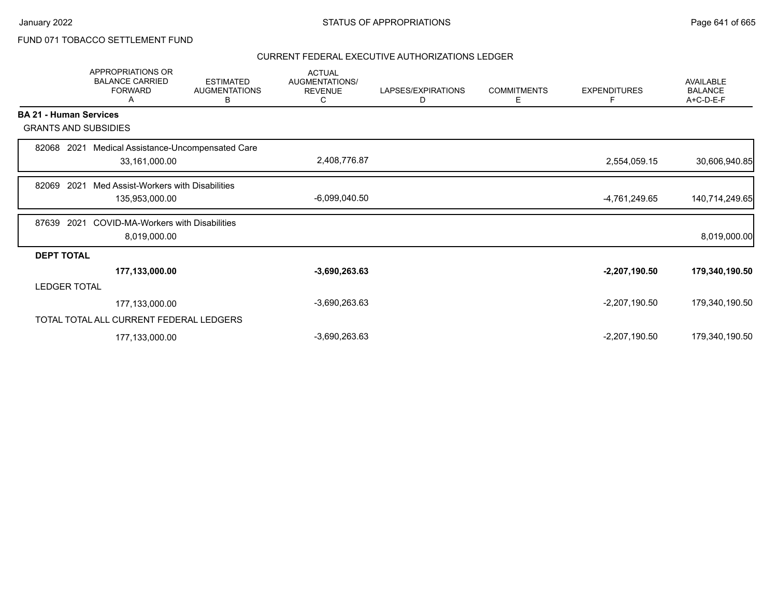# FUND 071 TOBACCO SETTLEMENT FUND

|                               | <b>APPROPRIATIONS OR</b><br><b>BALANCE CARRIED</b><br><b>FORWARD</b><br>Α | <b>ESTIMATED</b><br><b>AUGMENTATIONS</b><br>В | <b>ACTUAL</b><br>AUGMENTATIONS/<br><b>REVENUE</b><br>С | LAPSES/EXPIRATIONS<br>D | <b>COMMITMENTS</b><br>Е | <b>EXPENDITURES</b><br>F | AVAILABLE<br><b>BALANCE</b><br>A+C-D-E-F |
|-------------------------------|---------------------------------------------------------------------------|-----------------------------------------------|--------------------------------------------------------|-------------------------|-------------------------|--------------------------|------------------------------------------|
| <b>BA 21 - Human Services</b> |                                                                           |                                               |                                                        |                         |                         |                          |                                          |
| <b>GRANTS AND SUBSIDIES</b>   |                                                                           |                                               |                                                        |                         |                         |                          |                                          |
| 82068<br>2021                 | Medical Assistance-Uncompensated Care                                     |                                               |                                                        |                         |                         |                          |                                          |
|                               | 33,161,000.00                                                             |                                               | 2,408,776.87                                           |                         |                         | 2,554,059.15             | 30,606,940.85                            |
| 2021<br>82069                 | Med Assist-Workers with Disabilities                                      |                                               |                                                        |                         |                         |                          |                                          |
|                               | 135,953,000.00                                                            |                                               | $-6,099,040.50$                                        |                         |                         | -4,761,249.65            | 140,714,249.65                           |
| 2021<br>87639                 | <b>COVID-MA-Workers with Disabilities</b>                                 |                                               |                                                        |                         |                         |                          |                                          |
|                               | 8,019,000.00                                                              |                                               |                                                        |                         |                         |                          | 8,019,000.00                             |
| <b>DEPT TOTAL</b>             |                                                                           |                                               |                                                        |                         |                         |                          |                                          |
|                               | 177,133,000.00                                                            |                                               | $-3,690,263.63$                                        |                         |                         | $-2,207,190.50$          | 179,340,190.50                           |
| <b>LEDGER TOTAL</b>           |                                                                           |                                               |                                                        |                         |                         |                          |                                          |
|                               | 177,133,000.00                                                            |                                               | $-3,690,263.63$                                        |                         |                         | $-2,207,190.50$          | 179,340,190.50                           |
|                               | TOTAL TOTAL ALL CURRENT FEDERAL LEDGERS                                   |                                               |                                                        |                         |                         |                          |                                          |
|                               | 177,133,000.00                                                            |                                               | $-3,690,263.63$                                        |                         |                         | $-2,207,190.50$          | 179,340,190.50                           |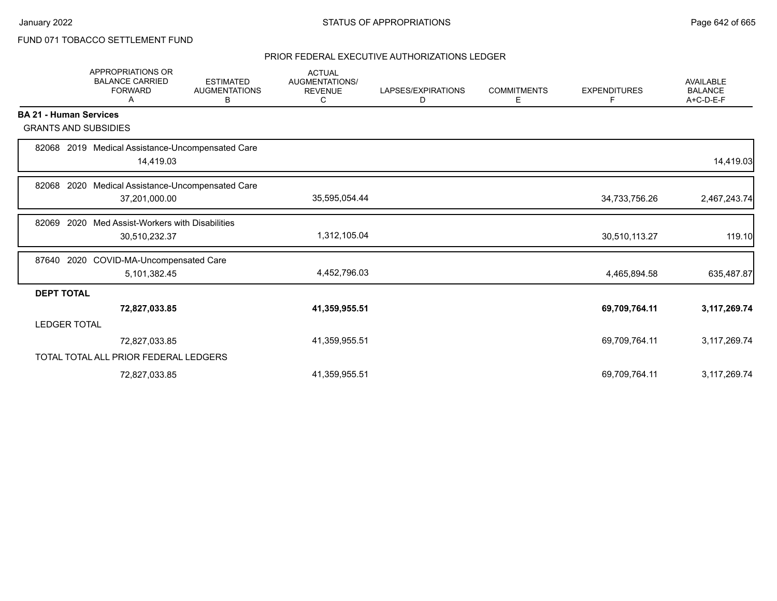# FUND 071 TOBACCO SETTLEMENT FUND

|                               | APPROPRIATIONS OR<br><b>BALANCE CARRIED</b><br><b>FORWARD</b><br>Α | <b>ESTIMATED</b><br><b>AUGMENTATIONS</b><br>В | <b>ACTUAL</b><br><b>AUGMENTATIONS/</b><br><b>REVENUE</b><br>C | LAPSES/EXPIRATIONS<br>D | <b>COMMITMENTS</b><br>Е | <b>EXPENDITURES</b><br>F | <b>AVAILABLE</b><br><b>BALANCE</b><br>$A+C-D-E-F$ |
|-------------------------------|--------------------------------------------------------------------|-----------------------------------------------|---------------------------------------------------------------|-------------------------|-------------------------|--------------------------|---------------------------------------------------|
| <b>BA 21 - Human Services</b> |                                                                    |                                               |                                                               |                         |                         |                          |                                                   |
| <b>GRANTS AND SUBSIDIES</b>   |                                                                    |                                               |                                                               |                         |                         |                          |                                                   |
| 82068                         | 2019 Medical Assistance-Uncompensated Care<br>14,419.03            |                                               |                                                               |                         |                         |                          | 14,419.03                                         |
|                               |                                                                    |                                               |                                                               |                         |                         |                          |                                                   |
| 2020<br>82068                 | Medical Assistance-Uncompensated Care<br>37,201,000.00             |                                               | 35,595,054.44                                                 |                         |                         | 34,733,756.26            | 2,467,243.74                                      |
| 2020<br>82069                 | Med Assist-Workers with Disabilities                               |                                               |                                                               |                         |                         |                          |                                                   |
|                               | 30,510,232.37                                                      |                                               | 1,312,105.04                                                  |                         |                         | 30,510,113.27            | 119.10                                            |
| 87640                         | 2020 COVID-MA-Uncompensated Care                                   |                                               |                                                               |                         |                         |                          |                                                   |
|                               | 5,101,382.45                                                       |                                               | 4,452,796.03                                                  |                         |                         | 4,465,894.58             | 635,487.87                                        |
| <b>DEPT TOTAL</b>             |                                                                    |                                               |                                                               |                         |                         |                          |                                                   |
|                               | 72,827,033.85                                                      |                                               | 41,359,955.51                                                 |                         |                         | 69,709,764.11            | 3,117,269.74                                      |
| <b>LEDGER TOTAL</b>           |                                                                    |                                               |                                                               |                         |                         |                          |                                                   |
|                               | 72,827,033.85                                                      |                                               | 41,359,955.51                                                 |                         |                         | 69,709,764.11            | 3,117,269.74                                      |
|                               | TOTAL TOTAL ALL PRIOR FEDERAL LEDGERS                              |                                               |                                                               |                         |                         |                          |                                                   |
|                               | 72,827,033.85                                                      |                                               | 41,359,955.51                                                 |                         |                         | 69,709,764.11            | 3,117,269.74                                      |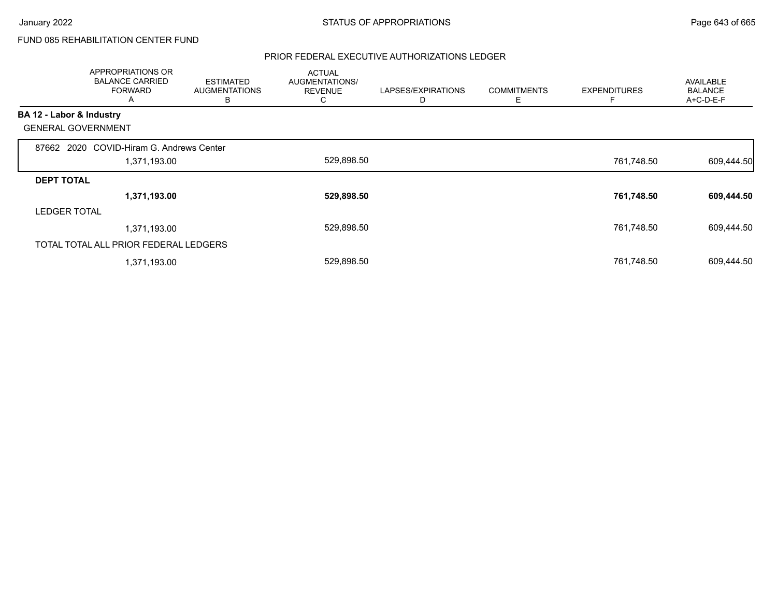# FUND 085 REHABILITATION CENTER FUND

|                          | APPROPRIATIONS OR<br><b>BALANCE CARRIED</b><br><b>FORWARD</b><br>A | <b>ESTIMATED</b><br><b>AUGMENTATIONS</b><br>B | <b>ACTUAL</b><br>AUGMENTATIONS/<br><b>REVENUE</b><br>◡ | LAPSES/EXPIRATIONS | <b>COMMITMENTS</b><br>Ε | <b>EXPENDITURES</b> | AVAILABLE<br><b>BALANCE</b><br>A+C-D-E-F |
|--------------------------|--------------------------------------------------------------------|-----------------------------------------------|--------------------------------------------------------|--------------------|-------------------------|---------------------|------------------------------------------|
| BA 12 - Labor & Industry |                                                                    |                                               |                                                        |                    |                         |                     |                                          |
|                          | <b>GENERAL GOVERNMENT</b>                                          |                                               |                                                        |                    |                         |                     |                                          |
|                          | 87662 2020 COVID-Hiram G. Andrews Center                           |                                               |                                                        |                    |                         |                     |                                          |
|                          | 1,371,193.00                                                       |                                               | 529,898.50                                             |                    |                         | 761,748.50          | 609,444.50                               |
| <b>DEPT TOTAL</b>        |                                                                    |                                               |                                                        |                    |                         |                     |                                          |
|                          | 1,371,193.00                                                       |                                               | 529,898.50                                             |                    |                         | 761,748.50          | 609,444.50                               |
| <b>LEDGER TOTAL</b>      |                                                                    |                                               |                                                        |                    |                         |                     |                                          |
|                          | 1,371,193.00                                                       |                                               | 529,898.50                                             |                    |                         | 761,748.50          | 609,444.50                               |
|                          | TOTAL TOTAL ALL PRIOR FEDERAL LEDGERS                              |                                               |                                                        |                    |                         |                     |                                          |
|                          | 1,371,193.00                                                       |                                               | 529,898.50                                             |                    |                         | 761,748.50          | 609,444.50                               |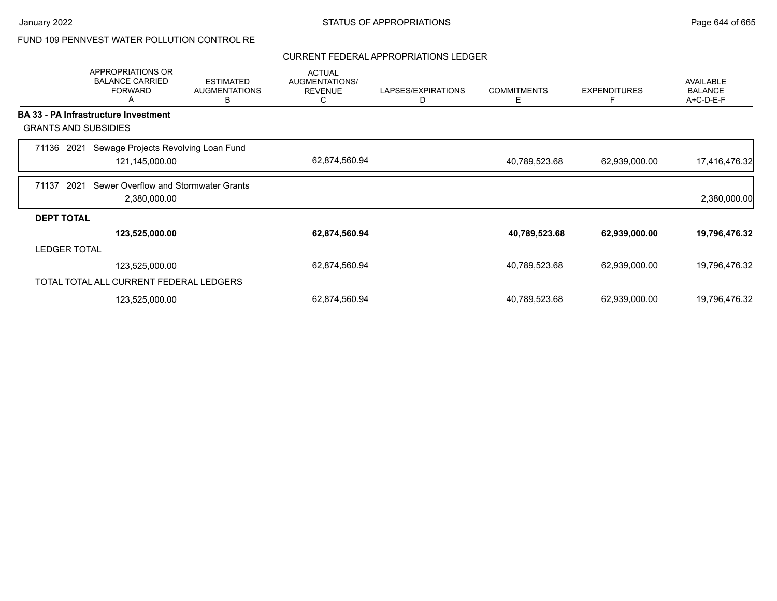# FUND 109 PENNVEST WATER POLLUTION CONTROL RE

### CURRENT FEDERAL APPROPRIATIONS LEDGER

|                     | <b>APPROPRIATIONS OR</b><br><b>BALANCE CARRIED</b><br><b>FORWARD</b><br>Α | <b>ESTIMATED</b><br><b>AUGMENTATIONS</b><br>В | <b>ACTUAL</b><br>AUGMENTATIONS/<br><b>REVENUE</b><br>C | LAPSES/EXPIRATIONS<br>D | <b>COMMITMENTS</b><br>Е | <b>EXPENDITURES</b><br>F | <b>AVAILABLE</b><br><b>BALANCE</b><br>A+C-D-E-F |
|---------------------|---------------------------------------------------------------------------|-----------------------------------------------|--------------------------------------------------------|-------------------------|-------------------------|--------------------------|-------------------------------------------------|
|                     | <b>BA 33 - PA Infrastructure Investment</b>                               |                                               |                                                        |                         |                         |                          |                                                 |
|                     | <b>GRANTS AND SUBSIDIES</b>                                               |                                               |                                                        |                         |                         |                          |                                                 |
| 71136               | Sewage Projects Revolving Loan Fund<br>2021                               |                                               |                                                        |                         |                         |                          |                                                 |
|                     | 121,145,000.00                                                            |                                               | 62,874,560.94                                          |                         | 40,789,523.68           | 62,939,000.00            | 17,416,476.32                                   |
| 71137               | 2021<br>Sewer Overflow and Stormwater Grants                              |                                               |                                                        |                         |                         |                          |                                                 |
|                     | 2,380,000.00                                                              |                                               |                                                        |                         |                         |                          | 2,380,000.00                                    |
| <b>DEPT TOTAL</b>   |                                                                           |                                               |                                                        |                         |                         |                          |                                                 |
|                     | 123,525,000.00                                                            |                                               | 62,874,560.94                                          |                         | 40,789,523.68           | 62,939,000.00            | 19,796,476.32                                   |
| <b>LEDGER TOTAL</b> |                                                                           |                                               |                                                        |                         |                         |                          |                                                 |
|                     | 123,525,000.00                                                            |                                               | 62,874,560.94                                          |                         | 40,789,523.68           | 62,939,000.00            | 19,796,476.32                                   |
|                     | TOTAL TOTAL ALL CURRENT FEDERAL LEDGERS                                   |                                               |                                                        |                         |                         |                          |                                                 |
|                     | 123,525,000.00                                                            |                                               | 62,874,560.94                                          |                         | 40,789,523.68           | 62,939,000.00            | 19,796,476.32                                   |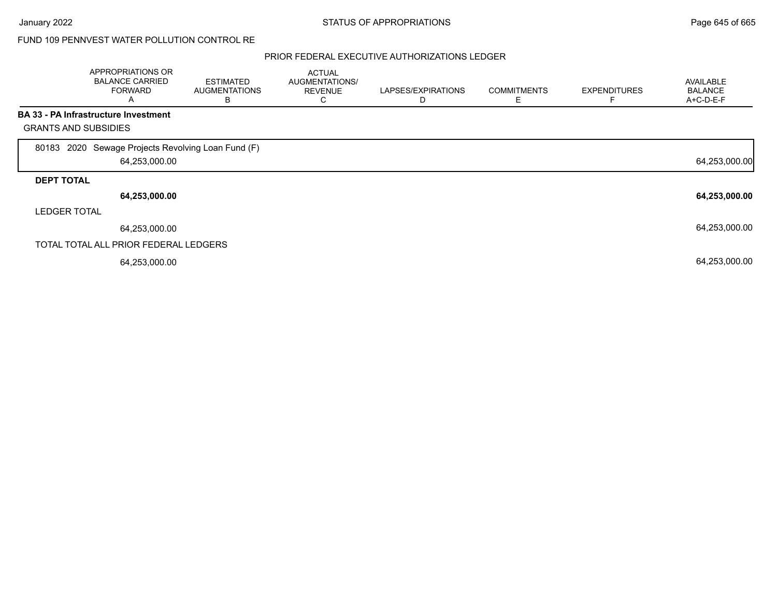## FUND 109 PENNVEST WATER POLLUTION CONTROL RE

|                             | APPROPRIATIONS OR<br><b>BALANCE CARRIED</b><br><b>FORWARD</b><br>A | <b>ESTIMATED</b><br><b>AUGMENTATIONS</b><br>в | <b>ACTUAL</b><br>AUGMENTATIONS/<br><b>REVENUE</b><br>C | LAPSES/EXPIRATIONS | <b>COMMITMENTS</b><br>Е | <b>EXPENDITURES</b> | AVAILABLE<br><b>BALANCE</b><br>A+C-D-E-F |
|-----------------------------|--------------------------------------------------------------------|-----------------------------------------------|--------------------------------------------------------|--------------------|-------------------------|---------------------|------------------------------------------|
|                             | <b>BA 33 - PA Infrastructure Investment</b>                        |                                               |                                                        |                    |                         |                     |                                          |
| <b>GRANTS AND SUBSIDIES</b> |                                                                    |                                               |                                                        |                    |                         |                     |                                          |
| 80183                       | 2020 Sewage Projects Revolving Loan Fund (F)<br>64,253,000.00      |                                               |                                                        |                    |                         |                     | 64,253,000.00                            |
| <b>DEPT TOTAL</b>           |                                                                    |                                               |                                                        |                    |                         |                     |                                          |
|                             | 64,253,000.00                                                      |                                               |                                                        |                    |                         |                     | 64,253,000.00                            |
| <b>LEDGER TOTAL</b>         |                                                                    |                                               |                                                        |                    |                         |                     |                                          |
|                             | 64,253,000.00                                                      |                                               |                                                        |                    |                         |                     | 64,253,000.00                            |
|                             | TOTAL TOTAL ALL PRIOR FEDERAL LEDGERS                              |                                               |                                                        |                    |                         |                     |                                          |
|                             | 64,253,000.00                                                      |                                               |                                                        |                    |                         |                     | 64,253,000.00                            |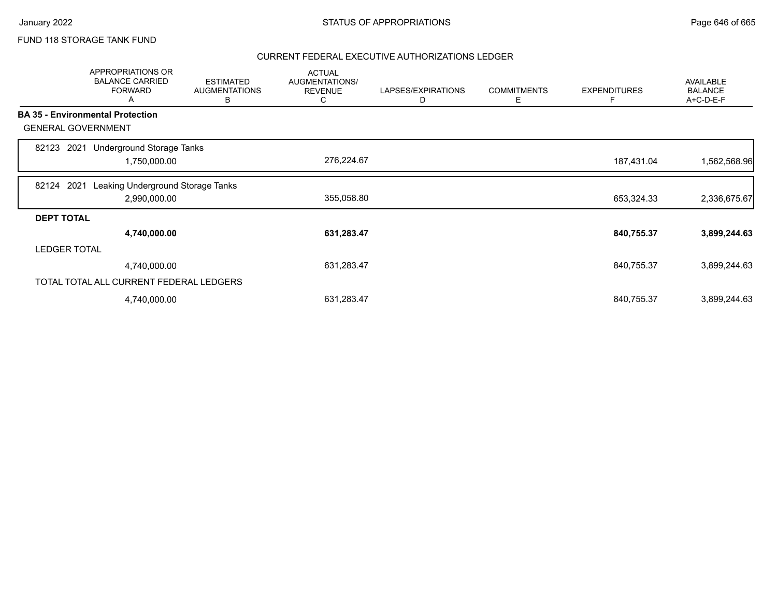## FUND 118 STORAGE TANK FUND

|                     | APPROPRIATIONS OR<br><b>BALANCE CARRIED</b><br><b>FORWARD</b><br>A | <b>ESTIMATED</b><br><b>AUGMENTATIONS</b><br>в | <b>ACTUAL</b><br>AUGMENTATIONS/<br><b>REVENUE</b><br>C | LAPSES/EXPIRATIONS<br>D | <b>COMMITMENTS</b><br>Е | <b>EXPENDITURES</b><br>F | <b>AVAILABLE</b><br><b>BALANCE</b><br>A+C-D-E-F |
|---------------------|--------------------------------------------------------------------|-----------------------------------------------|--------------------------------------------------------|-------------------------|-------------------------|--------------------------|-------------------------------------------------|
|                     | <b>BA 35 - Environmental Protection</b>                            |                                               |                                                        |                         |                         |                          |                                                 |
|                     | <b>GENERAL GOVERNMENT</b>                                          |                                               |                                                        |                         |                         |                          |                                                 |
| 82123               | Underground Storage Tanks<br>2021                                  |                                               |                                                        |                         |                         |                          |                                                 |
|                     | 1,750,000.00                                                       |                                               | 276,224.67                                             |                         |                         | 187,431.04               | 1,562,568.96                                    |
| 82124               | 2021<br>Leaking Underground Storage Tanks                          |                                               |                                                        |                         |                         |                          |                                                 |
|                     | 2,990,000.00                                                       |                                               | 355,058.80                                             |                         |                         | 653,324.33               | 2,336,675.67                                    |
| <b>DEPT TOTAL</b>   |                                                                    |                                               |                                                        |                         |                         |                          |                                                 |
|                     | 4,740,000.00                                                       |                                               | 631,283.47                                             |                         |                         | 840,755.37               | 3,899,244.63                                    |
| <b>LEDGER TOTAL</b> |                                                                    |                                               |                                                        |                         |                         |                          |                                                 |
|                     | 4,740,000.00                                                       |                                               | 631,283.47                                             |                         |                         | 840,755.37               | 3,899,244.63                                    |
|                     | TOTAL TOTAL ALL CURRENT FEDERAL LEDGERS                            |                                               |                                                        |                         |                         |                          |                                                 |
|                     | 4,740,000.00                                                       |                                               | 631,283.47                                             |                         |                         | 840,755.37               | 3,899,244.63                                    |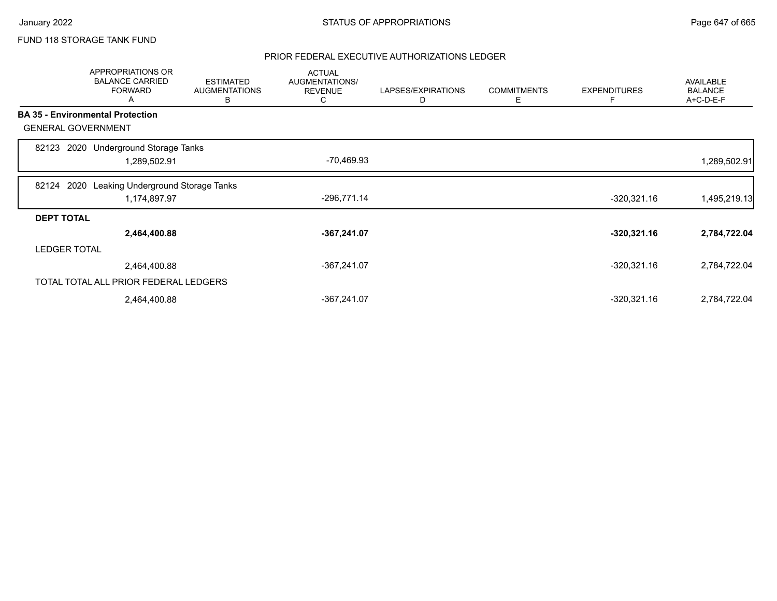# FUND 118 STORAGE TANK FUND

|                     | <b>APPROPRIATIONS OR</b><br><b>BALANCE CARRIED</b><br><b>FORWARD</b><br>A | <b>ESTIMATED</b><br><b>AUGMENTATIONS</b><br>В | <b>ACTUAL</b><br>AUGMENTATIONS/<br><b>REVENUE</b><br>С | LAPSES/EXPIRATIONS<br>D | <b>COMMITMENTS</b><br>Е | <b>EXPENDITURES</b><br>F | <b>AVAILABLE</b><br><b>BALANCE</b><br>A+C-D-E-F |
|---------------------|---------------------------------------------------------------------------|-----------------------------------------------|--------------------------------------------------------|-------------------------|-------------------------|--------------------------|-------------------------------------------------|
|                     | <b>BA 35 - Environmental Protection</b>                                   |                                               |                                                        |                         |                         |                          |                                                 |
|                     | <b>GENERAL GOVERNMENT</b>                                                 |                                               |                                                        |                         |                         |                          |                                                 |
| 82123               | 2020 Underground Storage Tanks                                            |                                               |                                                        |                         |                         |                          |                                                 |
|                     | 1,289,502.91                                                              |                                               | -70,469.93                                             |                         |                         |                          | 1,289,502.91                                    |
| 82124               | Leaking Underground Storage Tanks<br>2020                                 |                                               |                                                        |                         |                         |                          |                                                 |
|                     | 1,174,897.97                                                              |                                               | $-296,771.14$                                          |                         |                         | $-320,321.16$            | 1,495,219.13                                    |
| <b>DEPT TOTAL</b>   |                                                                           |                                               |                                                        |                         |                         |                          |                                                 |
|                     | 2,464,400.88                                                              |                                               | $-367,241.07$                                          |                         |                         | $-320,321.16$            | 2,784,722.04                                    |
| <b>LEDGER TOTAL</b> |                                                                           |                                               |                                                        |                         |                         |                          |                                                 |
|                     | 2,464,400.88                                                              |                                               | $-367,241.07$                                          |                         |                         | $-320,321.16$            | 2,784,722.04                                    |
|                     | TOTAL TOTAL ALL PRIOR FEDERAL LEDGERS                                     |                                               |                                                        |                         |                         |                          |                                                 |
|                     | 2,464,400.88                                                              |                                               | -367,241.07                                            |                         |                         | $-320,321.16$            | 2,784,722.04                                    |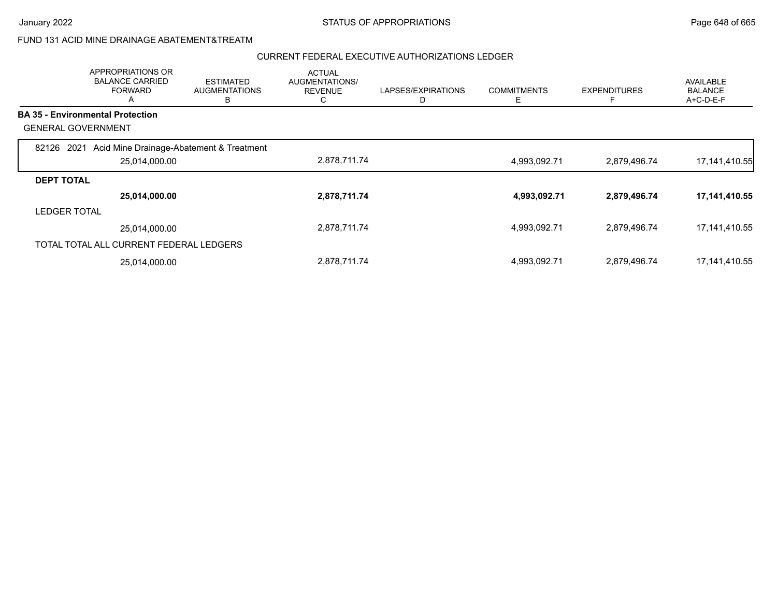## FUND 131 ACID MINE DRAINAGE ABATEMENT&TREATM

|                           | APPROPRIATIONS OR<br><b>BALANCE CARRIED</b><br><b>FORWARD</b><br>$\mathsf{A}$ | <b>ESTIMATED</b><br><b>AUGMENTATIONS</b><br>в | <b>ACTUAL</b><br>AUGMENTATIONS/<br><b>REVENUE</b><br>◡ | LAPSES/EXPIRATIONS | <b>COMMITMENTS</b><br>Ε | <b>EXPENDITURES</b><br>F | AVAILABLE<br><b>BALANCE</b><br>$A+C-D-E-F$ |
|---------------------------|-------------------------------------------------------------------------------|-----------------------------------------------|--------------------------------------------------------|--------------------|-------------------------|--------------------------|--------------------------------------------|
|                           | <b>BA 35 - Environmental Protection</b>                                       |                                               |                                                        |                    |                         |                          |                                            |
| <b>GENERAL GOVERNMENT</b> |                                                                               |                                               |                                                        |                    |                         |                          |                                            |
| 2021<br>82126             | Acid Mine Drainage-Abatement & Treatment                                      |                                               |                                                        |                    |                         |                          |                                            |
|                           | 25,014,000.00                                                                 |                                               | 2,878,711.74                                           |                    | 4,993,092.71            | 2,879,496.74             | 17,141,410.55                              |
| <b>DEPT TOTAL</b>         |                                                                               |                                               |                                                        |                    |                         |                          |                                            |
|                           | 25,014,000.00                                                                 |                                               | 2,878,711.74                                           |                    | 4,993,092.71            | 2,879,496.74             | 17,141,410.55                              |
| <b>LEDGER TOTAL</b>       |                                                                               |                                               |                                                        |                    |                         |                          |                                            |
|                           | 25,014,000.00                                                                 |                                               | 2,878,711.74                                           |                    | 4,993,092.71            | 2,879,496.74             | 17, 141, 410.55                            |
|                           | TOTAL TOTAL ALL CURRENT FEDERAL LEDGERS                                       |                                               |                                                        |                    |                         |                          |                                            |
|                           | 25,014,000.00                                                                 |                                               | 2,878,711.74                                           |                    | 4,993,092.71            | 2,879,496.74             | 17, 141, 410.55                            |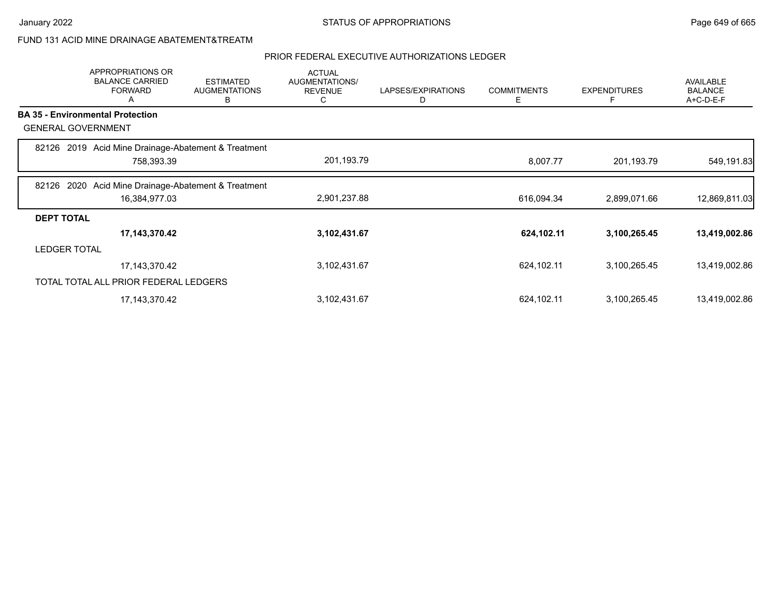### FUND 131 ACID MINE DRAINAGE ABATEMENT&TREATM

|                     | APPROPRIATIONS OR<br><b>BALANCE CARRIED</b><br><b>FORWARD</b><br>A | <b>ESTIMATED</b><br><b>AUGMENTATIONS</b><br>в | <b>ACTUAL</b><br><b>AUGMENTATIONS/</b><br><b>REVENUE</b><br>C | LAPSES/EXPIRATIONS<br>D | <b>COMMITMENTS</b><br>Е | <b>EXPENDITURES</b><br>F | <b>AVAILABLE</b><br><b>BALANCE</b><br>A+C-D-E-F |
|---------------------|--------------------------------------------------------------------|-----------------------------------------------|---------------------------------------------------------------|-------------------------|-------------------------|--------------------------|-------------------------------------------------|
|                     | <b>BA 35 - Environmental Protection</b>                            |                                               |                                                               |                         |                         |                          |                                                 |
|                     | <b>GENERAL GOVERNMENT</b>                                          |                                               |                                                               |                         |                         |                          |                                                 |
| 82126               | 2019 Acid Mine Drainage-Abatement & Treatment                      |                                               |                                                               |                         |                         |                          |                                                 |
|                     | 758,393.39                                                         |                                               | 201,193.79                                                    |                         | 8,007.77                | 201,193.79               | 549,191.83                                      |
| 82126               | Acid Mine Drainage-Abatement & Treatment<br>2020                   |                                               |                                                               |                         |                         |                          |                                                 |
|                     | 16,384,977.03                                                      |                                               | 2,901,237.88                                                  |                         | 616,094.34              | 2,899,071.66             | 12,869,811.03                                   |
| <b>DEPT TOTAL</b>   |                                                                    |                                               |                                                               |                         |                         |                          |                                                 |
|                     | 17,143,370.42                                                      |                                               | 3,102,431.67                                                  |                         | 624,102.11              | 3,100,265.45             | 13,419,002.86                                   |
| <b>LEDGER TOTAL</b> |                                                                    |                                               |                                                               |                         |                         |                          |                                                 |
|                     | 17,143,370.42                                                      |                                               | 3,102,431.67                                                  |                         | 624,102.11              | 3,100,265.45             | 13,419,002.86                                   |
|                     | TOTAL TOTAL ALL PRIOR FEDERAL LEDGERS                              |                                               |                                                               |                         |                         |                          |                                                 |
|                     | 17,143,370.42                                                      |                                               | 3,102,431.67                                                  |                         | 624,102.11              | 3,100,265.45             | 13,419,002.86                                   |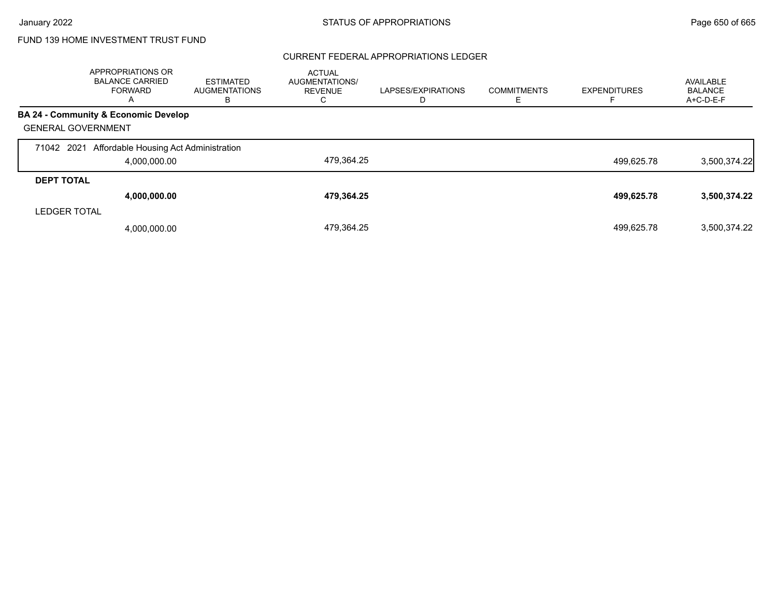### CURRENT FEDERAL APPROPRIATIONS LEDGER

|                           | APPROPRIATIONS OR<br><b>BALANCE CARRIED</b><br>FORWARD<br>A | <b>ESTIMATED</b><br><b>AUGMENTATIONS</b><br>в | <b>ACTUAL</b><br>AUGMENTATIONS/<br><b>REVENUE</b> | LAPSES/EXPIRATIONS | <b>COMMITMENTS</b> | <b>EXPENDITURES</b> | AVAILABLE<br><b>BALANCE</b><br>A+C-D-E-F |
|---------------------------|-------------------------------------------------------------|-----------------------------------------------|---------------------------------------------------|--------------------|--------------------|---------------------|------------------------------------------|
|                           | <b>BA 24 - Community &amp; Economic Develop</b>             |                                               |                                                   |                    |                    |                     |                                          |
| <b>GENERAL GOVERNMENT</b> |                                                             |                                               |                                                   |                    |                    |                     |                                          |
| 71042 2021                | Affordable Housing Act Administration<br>4.000.000.00       |                                               | 479.364.25                                        |                    |                    | 499.625.78          | 3,500,374.22                             |
| <b>DEPT TOTAL</b>         |                                                             |                                               |                                                   |                    |                    |                     |                                          |
|                           | 4,000,000.00                                                |                                               | 479,364.25                                        |                    |                    | 499,625.78          | 3,500,374.22                             |
| <b>LEDGER TOTAL</b>       |                                                             |                                               |                                                   |                    |                    |                     |                                          |
|                           | 4,000,000.00                                                |                                               | 479.364.25                                        |                    |                    | 499.625.78          | 3,500,374.22                             |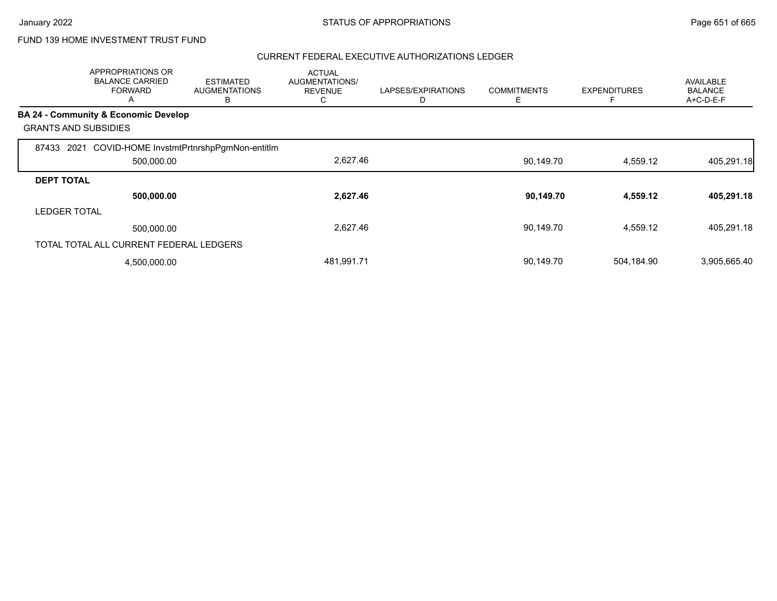|                                      | <b>APPROPRIATIONS OR</b><br><b>BALANCE CARRIED</b><br><b>FORWARD</b><br>A | <b>ESTIMATED</b><br><b>AUGMENTATIONS</b><br>в | <b>ACTUAL</b><br><b>AUGMENTATIONS/</b><br><b>REVENUE</b><br>C | LAPSES/EXPIRATIONS<br>D | <b>COMMITMENTS</b><br>Е | <b>EXPENDITURES</b><br>F | <b>AVAILABLE</b><br><b>BALANCE</b><br>A+C-D-E-F |
|--------------------------------------|---------------------------------------------------------------------------|-----------------------------------------------|---------------------------------------------------------------|-------------------------|-------------------------|--------------------------|-------------------------------------------------|
| BA 24 - Community & Economic Develop |                                                                           |                                               |                                                               |                         |                         |                          |                                                 |
| <b>GRANTS AND SUBSIDIES</b>          |                                                                           |                                               |                                                               |                         |                         |                          |                                                 |
| 87433<br>2021                        |                                                                           | COVID-HOME InvstmtPrtnrshpPgmNon-entitIm      |                                                               |                         |                         |                          |                                                 |
|                                      | 500,000.00                                                                |                                               | 2,627.46                                                      |                         | 90,149.70               | 4,559.12                 | 405,291.18                                      |
| <b>DEPT TOTAL</b>                    |                                                                           |                                               |                                                               |                         |                         |                          |                                                 |
|                                      | 500,000.00                                                                |                                               | 2,627.46                                                      |                         | 90,149.70               | 4,559.12                 | 405,291.18                                      |
| <b>LEDGER TOTAL</b>                  |                                                                           |                                               |                                                               |                         |                         |                          |                                                 |
|                                      | 500,000.00                                                                |                                               | 2,627.46                                                      |                         | 90.149.70               | 4,559.12                 | 405,291.18                                      |
|                                      | TOTAL TOTAL ALL CURRENT FEDERAL LEDGERS                                   |                                               |                                                               |                         |                         |                          |                                                 |
|                                      | 4,500,000.00                                                              |                                               | 481,991.71                                                    |                         | 90,149.70               | 504,184.90               | 3,905,665.40                                    |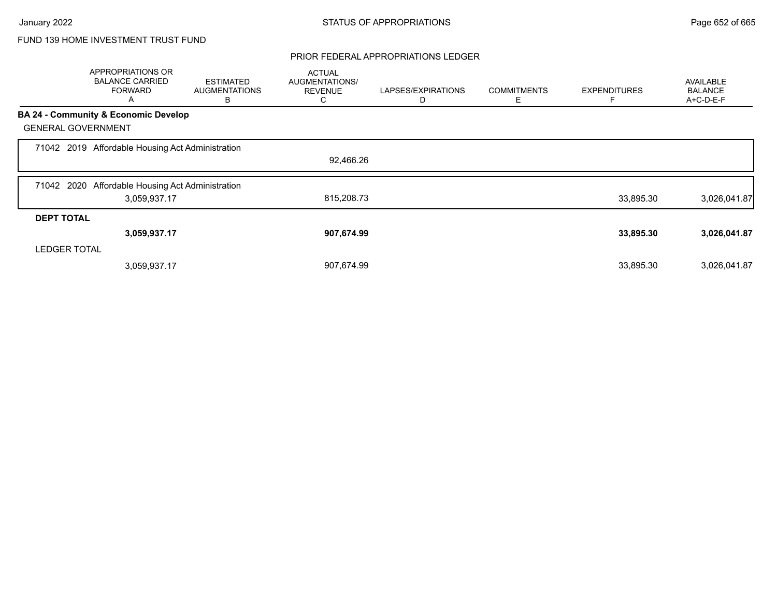### PRIOR FEDERAL APPROPRIATIONS LEDGER

|                     | APPROPRIATIONS OR<br><b>BALANCE CARRIED</b><br><b>FORWARD</b><br>Α | <b>ESTIMATED</b><br><b>AUGMENTATIONS</b><br>B | <b>ACTUAL</b><br>AUGMENTATIONS/<br><b>REVENUE</b><br>С | LAPSES/EXPIRATIONS<br>D | <b>COMMITMENTS</b><br>Е | <b>EXPENDITURES</b> | <b>AVAILABLE</b><br><b>BALANCE</b><br>A+C-D-E-F |
|---------------------|--------------------------------------------------------------------|-----------------------------------------------|--------------------------------------------------------|-------------------------|-------------------------|---------------------|-------------------------------------------------|
|                     | <b>BA 24 - Community &amp; Economic Develop</b>                    |                                               |                                                        |                         |                         |                     |                                                 |
|                     | <b>GENERAL GOVERNMENT</b>                                          |                                               |                                                        |                         |                         |                     |                                                 |
|                     | 71042 2019 Affordable Housing Act Administration                   |                                               |                                                        |                         |                         |                     |                                                 |
|                     |                                                                    |                                               | 92,466.26                                              |                         |                         |                     |                                                 |
| 71042 2020          | Affordable Housing Act Administration                              |                                               |                                                        |                         |                         |                     |                                                 |
|                     | 3,059,937.17                                                       |                                               | 815,208.73                                             |                         |                         | 33,895.30           | 3,026,041.87                                    |
| <b>DEPT TOTAL</b>   |                                                                    |                                               |                                                        |                         |                         |                     |                                                 |
|                     | 3,059,937.17                                                       |                                               | 907,674.99                                             |                         |                         | 33,895.30           | 3,026,041.87                                    |
| <b>LEDGER TOTAL</b> |                                                                    |                                               |                                                        |                         |                         |                     |                                                 |
|                     | 3,059,937.17                                                       |                                               | 907,674.99                                             |                         |                         | 33,895.30           | 3,026,041.87                                    |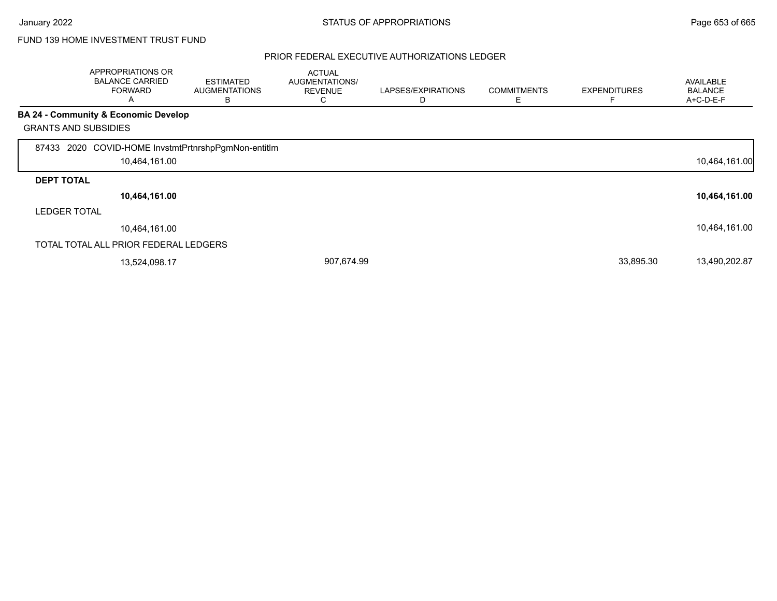|                             | APPROPRIATIONS OR<br><b>BALANCE CARRIED</b><br><b>FORWARD</b><br>A | <b>ESTIMATED</b><br><b>AUGMENTATIONS</b><br>B | <b>ACTUAL</b><br>AUGMENTATIONS/<br><b>REVENUE</b><br>С | LAPSES/EXPIRATIONS<br>D | <b>COMMITMENTS</b><br>Ε | <b>EXPENDITURES</b> | <b>AVAILABLE</b><br><b>BALANCE</b><br>A+C-D-E-F |
|-----------------------------|--------------------------------------------------------------------|-----------------------------------------------|--------------------------------------------------------|-------------------------|-------------------------|---------------------|-------------------------------------------------|
|                             | <b>BA 24 - Community &amp; Economic Develop</b>                    |                                               |                                                        |                         |                         |                     |                                                 |
| <b>GRANTS AND SUBSIDIES</b> |                                                                    |                                               |                                                        |                         |                         |                     |                                                 |
| 87433                       | 2020 COVID-HOME InvstmtPrtnrshpPgmNon-entitIm<br>10,464,161.00     |                                               |                                                        |                         |                         |                     | 10,464,161.00                                   |
| <b>DEPT TOTAL</b>           |                                                                    |                                               |                                                        |                         |                         |                     |                                                 |
|                             | 10,464,161.00                                                      |                                               |                                                        |                         |                         |                     | 10,464,161.00                                   |
| <b>LEDGER TOTAL</b>         |                                                                    |                                               |                                                        |                         |                         |                     |                                                 |
|                             | 10,464,161.00                                                      |                                               |                                                        |                         |                         |                     | 10,464,161.00                                   |
|                             | TOTAL TOTAL ALL PRIOR FEDERAL LEDGERS                              |                                               |                                                        |                         |                         |                     |                                                 |
|                             | 13,524,098.17                                                      |                                               | 907,674.99                                             |                         |                         | 33,895.30           | 13,490,202.87                                   |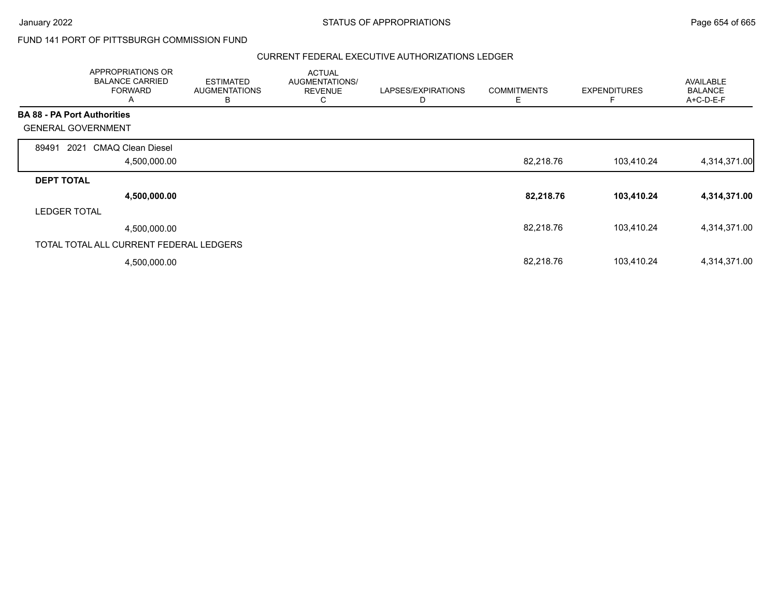### FUND 141 PORT OF PITTSBURGH COMMISSION FUND

|                                    | APPROPRIATIONS OR<br><b>BALANCE CARRIED</b><br><b>FORWARD</b><br>A | <b>ESTIMATED</b><br><b>AUGMENTATIONS</b><br>B | <b>ACTUAL</b><br>AUGMENTATIONS/<br><b>REVENUE</b><br>С | LAPSES/EXPIRATIONS<br>D | <b>COMMITMENTS</b><br>Ε | <b>EXPENDITURES</b> | AVAILABLE<br><b>BALANCE</b><br>A+C-D-E-F |
|------------------------------------|--------------------------------------------------------------------|-----------------------------------------------|--------------------------------------------------------|-------------------------|-------------------------|---------------------|------------------------------------------|
| <b>BA 88 - PA Port Authorities</b> |                                                                    |                                               |                                                        |                         |                         |                     |                                          |
| <b>GENERAL GOVERNMENT</b>          |                                                                    |                                               |                                                        |                         |                         |                     |                                          |
| 89491<br>2021                      | <b>CMAQ Clean Diesel</b>                                           |                                               |                                                        |                         |                         |                     |                                          |
|                                    | 4,500,000.00                                                       |                                               |                                                        |                         | 82,218.76               | 103,410.24          | 4,314,371.00                             |
| <b>DEPT TOTAL</b>                  |                                                                    |                                               |                                                        |                         |                         |                     |                                          |
|                                    | 4,500,000.00                                                       |                                               |                                                        |                         | 82,218.76               | 103,410.24          | 4,314,371.00                             |
| <b>LEDGER TOTAL</b>                |                                                                    |                                               |                                                        |                         |                         |                     |                                          |
|                                    | 4,500,000.00                                                       |                                               |                                                        |                         | 82,218.76               | 103,410.24          | 4,314,371.00                             |
|                                    | TOTAL TOTAL ALL CURRENT FEDERAL LEDGERS                            |                                               |                                                        |                         |                         |                     |                                          |
|                                    | 4,500,000.00                                                       |                                               |                                                        |                         | 82,218.76               | 103,410.24          | 4,314,371.00                             |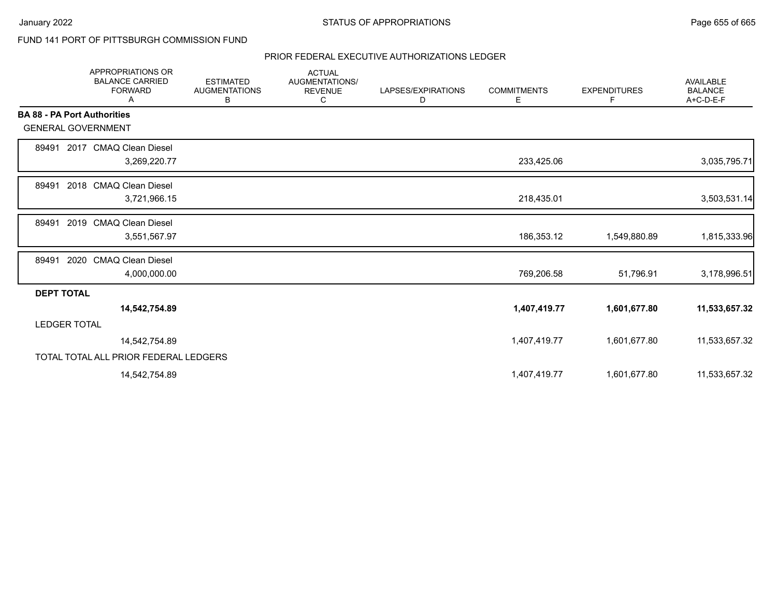## FUND 141 PORT OF PITTSBURGH COMMISSION FUND

|                                    | APPROPRIATIONS OR<br><b>BALANCE CARRIED</b><br><b>FORWARD</b><br>Α | <b>ESTIMATED</b><br><b>AUGMENTATIONS</b><br>В | <b>ACTUAL</b><br>AUGMENTATIONS/<br><b>REVENUE</b><br>C | LAPSES/EXPIRATIONS<br>D | <b>COMMITMENTS</b><br>Е | <b>EXPENDITURES</b><br>F | <b>AVAILABLE</b><br><b>BALANCE</b><br>A+C-D-E-F |
|------------------------------------|--------------------------------------------------------------------|-----------------------------------------------|--------------------------------------------------------|-------------------------|-------------------------|--------------------------|-------------------------------------------------|
| <b>BA 88 - PA Port Authorities</b> |                                                                    |                                               |                                                        |                         |                         |                          |                                                 |
| <b>GENERAL GOVERNMENT</b>          |                                                                    |                                               |                                                        |                         |                         |                          |                                                 |
| 89491                              | 2017 CMAQ Clean Diesel                                             |                                               |                                                        |                         |                         |                          |                                                 |
|                                    | 3,269,220.77                                                       |                                               |                                                        |                         | 233,425.06              |                          | 3,035,795.71                                    |
| 89491                              | 2018 CMAQ Clean Diesel                                             |                                               |                                                        |                         |                         |                          |                                                 |
|                                    | 3,721,966.15                                                       |                                               |                                                        |                         | 218,435.01              |                          | 3,503,531.14                                    |
| 89491                              | 2019 CMAQ Clean Diesel                                             |                                               |                                                        |                         |                         |                          |                                                 |
|                                    | 3,551,567.97                                                       |                                               |                                                        |                         | 186,353.12              | 1,549,880.89             | 1,815,333.96                                    |
| 89491                              | 2020 CMAQ Clean Diesel                                             |                                               |                                                        |                         |                         |                          |                                                 |
|                                    | 4,000,000.00                                                       |                                               |                                                        |                         | 769,206.58              | 51,796.91                | 3,178,996.51                                    |
| <b>DEPT TOTAL</b>                  |                                                                    |                                               |                                                        |                         |                         |                          |                                                 |
|                                    | 14,542,754.89                                                      |                                               |                                                        |                         | 1,407,419.77            | 1,601,677.80             | 11,533,657.32                                   |
| <b>LEDGER TOTAL</b>                |                                                                    |                                               |                                                        |                         |                         |                          |                                                 |
|                                    | 14,542,754.89                                                      |                                               |                                                        |                         | 1,407,419.77            | 1,601,677.80             | 11,533,657.32                                   |
|                                    | TOTAL TOTAL ALL PRIOR FEDERAL LEDGERS                              |                                               |                                                        |                         |                         |                          |                                                 |
|                                    | 14,542,754.89                                                      |                                               |                                                        |                         | 1,407,419.77            | 1,601,677.80             | 11,533,657.32                                   |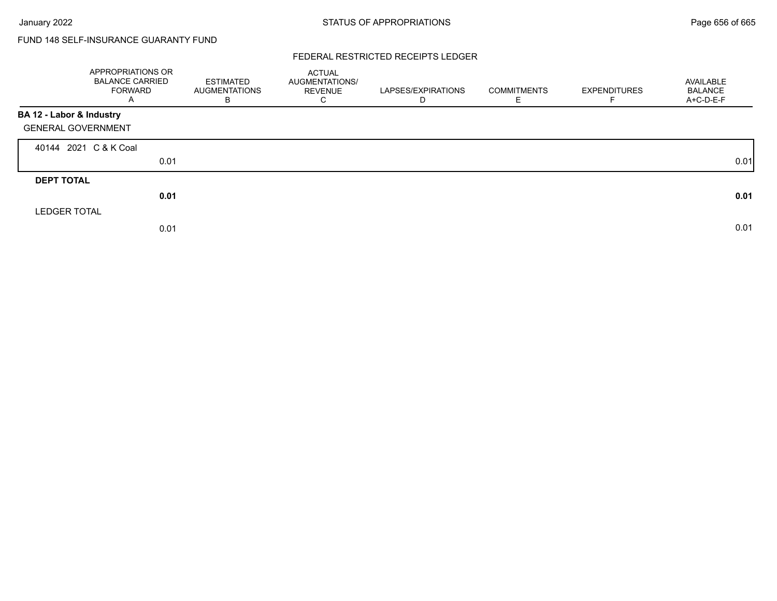# FUND 148 SELF-INSURANCE GUARANTY FUND

### FEDERAL RESTRICTED RECEIPTS LEDGER

|                           | APPROPRIATIONS OR<br><b>BALANCE CARRIED</b><br><b>FORWARD</b><br>A | ESTIMATED<br><b>AUGMENTATIONS</b><br>B | <b>ACTUAL</b><br>AUGMENTATIONS/<br><b>REVENUE</b><br>С | LAPSES/EXPIRATIONS<br>D | <b>COMMITMENTS</b> | <b>EXPENDITURES</b> | AVAILABLE<br><b>BALANCE</b><br>A+C-D-E-F |
|---------------------------|--------------------------------------------------------------------|----------------------------------------|--------------------------------------------------------|-------------------------|--------------------|---------------------|------------------------------------------|
| BA 12 - Labor & Industry  |                                                                    |                                        |                                                        |                         |                    |                     |                                          |
| <b>GENERAL GOVERNMENT</b> |                                                                    |                                        |                                                        |                         |                    |                     |                                          |
| 40144 2021 C & K Coal     |                                                                    |                                        |                                                        |                         |                    |                     |                                          |
|                           | 0.01                                                               |                                        |                                                        |                         |                    |                     | 0.01                                     |
| <b>DEPT TOTAL</b>         |                                                                    |                                        |                                                        |                         |                    |                     |                                          |
|                           | 0.01                                                               |                                        |                                                        |                         |                    |                     | 0.01                                     |
| <b>LEDGER TOTAL</b>       |                                                                    |                                        |                                                        |                         |                    |                     |                                          |
|                           | 0.01                                                               |                                        |                                                        |                         |                    |                     | 0.01                                     |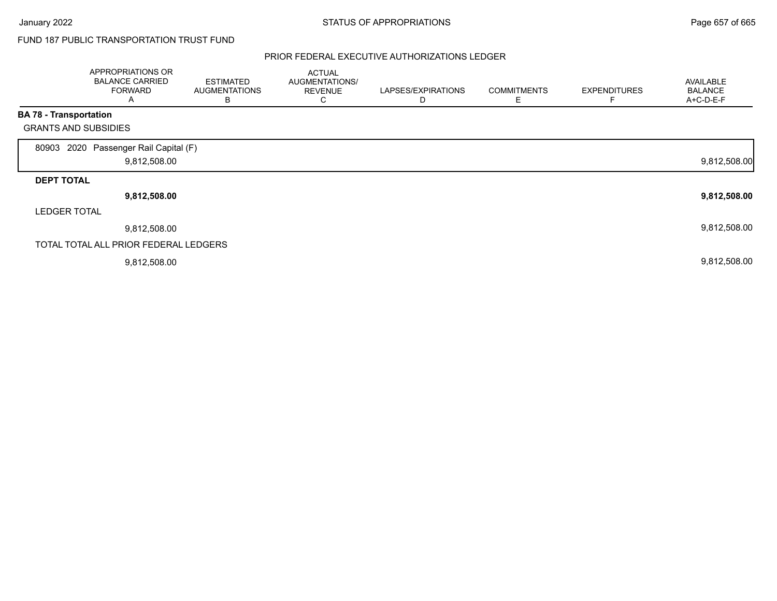## FUND 187 PUBLIC TRANSPORTATION TRUST FUND

|                               | APPROPRIATIONS OR<br><b>BALANCE CARRIED</b><br><b>FORWARD</b><br>A | <b>ESTIMATED</b><br><b>AUGMENTATIONS</b><br>В | <b>ACTUAL</b><br>AUGMENTATIONS/<br><b>REVENUE</b><br>С | LAPSES/EXPIRATIONS<br>D | <b>COMMITMENTS</b><br>Е | <b>EXPENDITURES</b> | <b>AVAILABLE</b><br><b>BALANCE</b><br>A+C-D-E-F |
|-------------------------------|--------------------------------------------------------------------|-----------------------------------------------|--------------------------------------------------------|-------------------------|-------------------------|---------------------|-------------------------------------------------|
| <b>BA 78 - Transportation</b> |                                                                    |                                               |                                                        |                         |                         |                     |                                                 |
| <b>GRANTS AND SUBSIDIES</b>   |                                                                    |                                               |                                                        |                         |                         |                     |                                                 |
| 80903                         | 2020 Passenger Rail Capital (F)<br>9,812,508.00                    |                                               |                                                        |                         |                         |                     | 9,812,508.00                                    |
| <b>DEPT TOTAL</b>             |                                                                    |                                               |                                                        |                         |                         |                     |                                                 |
|                               | 9,812,508.00                                                       |                                               |                                                        |                         |                         |                     | 9,812,508.00                                    |
| <b>LEDGER TOTAL</b>           |                                                                    |                                               |                                                        |                         |                         |                     |                                                 |
|                               | 9,812,508.00                                                       |                                               |                                                        |                         |                         |                     | 9,812,508.00                                    |
|                               | TOTAL TOTAL ALL PRIOR FEDERAL LEDGERS                              |                                               |                                                        |                         |                         |                     |                                                 |
|                               | 9,812,508.00                                                       |                                               |                                                        |                         |                         |                     | 9,812,508.00                                    |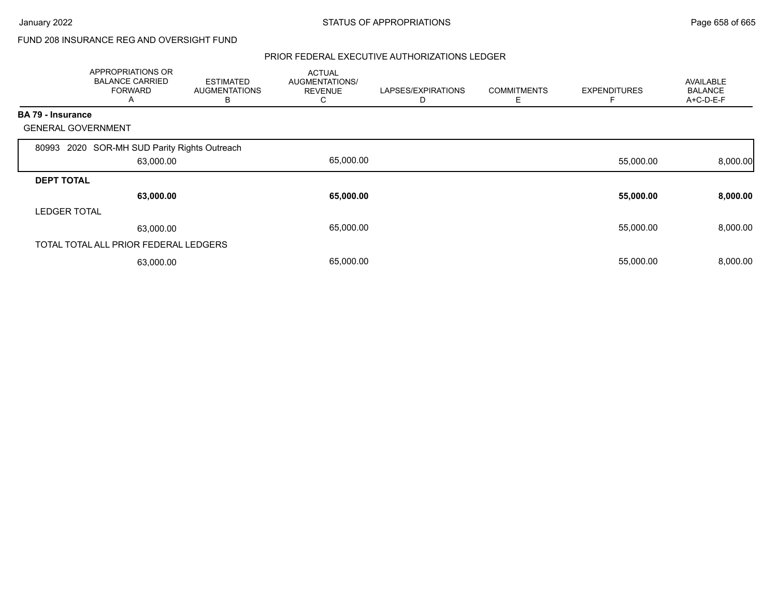## FUND 208 INSURANCE REG AND OVERSIGHT FUND

|                          | APPROPRIATIONS OR<br><b>BALANCE CARRIED</b><br><b>FORWARD</b><br>A | <b>ESTIMATED</b><br><b>AUGMENTATIONS</b><br>В | <b>ACTUAL</b><br>AUGMENTATIONS/<br><b>REVENUE</b><br>◡ | LAPSES/EXPIRATIONS<br>D | <b>COMMITMENTS</b><br>Ε | <b>EXPENDITURES</b> | <b>AVAILABLE</b><br><b>BALANCE</b><br>A+C-D-E-F |
|--------------------------|--------------------------------------------------------------------|-----------------------------------------------|--------------------------------------------------------|-------------------------|-------------------------|---------------------|-------------------------------------------------|
| <b>BA 79 - Insurance</b> |                                                                    |                                               |                                                        |                         |                         |                     |                                                 |
|                          | <b>GENERAL GOVERNMENT</b>                                          |                                               |                                                        |                         |                         |                     |                                                 |
| 80993                    | 2020 SOR-MH SUD Parity Rights Outreach                             |                                               |                                                        |                         |                         |                     |                                                 |
|                          | 63,000.00                                                          |                                               | 65,000.00                                              |                         |                         | 55,000.00           | 8,000.00                                        |
| <b>DEPT TOTAL</b>        |                                                                    |                                               |                                                        |                         |                         |                     |                                                 |
|                          | 63,000.00                                                          |                                               | 65,000.00                                              |                         |                         | 55,000.00           | 8,000.00                                        |
| <b>LEDGER TOTAL</b>      |                                                                    |                                               |                                                        |                         |                         |                     |                                                 |
|                          | 63,000.00                                                          |                                               | 65,000.00                                              |                         |                         | 55,000.00           | 8,000.00                                        |
|                          | TOTAL TOTAL ALL PRIOR FEDERAL LEDGERS                              |                                               |                                                        |                         |                         |                     |                                                 |
|                          | 63,000.00                                                          |                                               | 65,000.00                                              |                         |                         | 55,000.00           | 8,000.00                                        |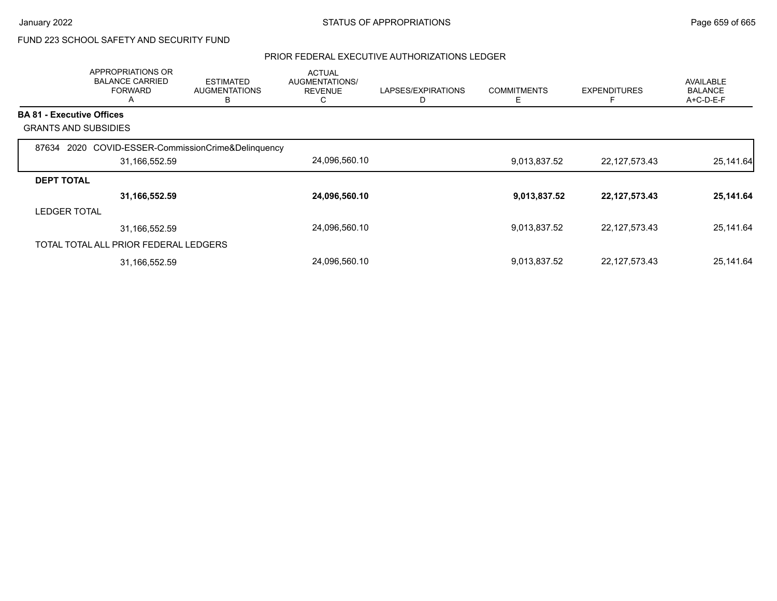# FUND 223 SCHOOL SAFETY AND SECURITY FUND

|                                  | <b>APPROPRIATIONS OR</b><br><b>BALANCE CARRIED</b><br><b>FORWARD</b><br>A | <b>ESTIMATED</b><br><b>AUGMENTATIONS</b><br>в | <b>ACTUAL</b><br><b>AUGMENTATIONS/</b><br><b>REVENUE</b><br>◡ | LAPSES/EXPIRATIONS<br>D | <b>COMMITMENTS</b><br>Е | <b>EXPENDITURES</b><br>F | AVAILABLE<br><b>BALANCE</b><br>$A+C-D-E-F$ |
|----------------------------------|---------------------------------------------------------------------------|-----------------------------------------------|---------------------------------------------------------------|-------------------------|-------------------------|--------------------------|--------------------------------------------|
| <b>BA 81 - Executive Offices</b> |                                                                           |                                               |                                                               |                         |                         |                          |                                            |
| <b>GRANTS AND SUBSIDIES</b>      |                                                                           |                                               |                                                               |                         |                         |                          |                                            |
| 87634                            | 2020 COVID-ESSER-CommissionCrime&Delinquency                              |                                               |                                                               |                         |                         |                          |                                            |
|                                  | 31,166,552.59                                                             |                                               | 24,096,560.10                                                 |                         | 9,013,837.52            | 22,127,573.43            | 25,141.64                                  |
| <b>DEPT TOTAL</b>                |                                                                           |                                               |                                                               |                         |                         |                          |                                            |
|                                  | 31,166,552.59                                                             |                                               | 24,096,560.10                                                 |                         | 9,013,837.52            | 22, 127, 573. 43         | 25,141.64                                  |
| <b>LEDGER TOTAL</b>              |                                                                           |                                               |                                                               |                         |                         |                          |                                            |
|                                  | 31,166,552.59                                                             |                                               | 24,096,560.10                                                 |                         | 9,013,837.52            | 22,127,573.43            | 25,141.64                                  |
|                                  | TOTAL TOTAL ALL PRIOR FEDERAL LEDGERS                                     |                                               |                                                               |                         |                         |                          |                                            |
|                                  | 31,166,552.59                                                             |                                               | 24,096,560.10                                                 |                         | 9,013,837.52            | 22, 127, 573. 43         | 25,141.64                                  |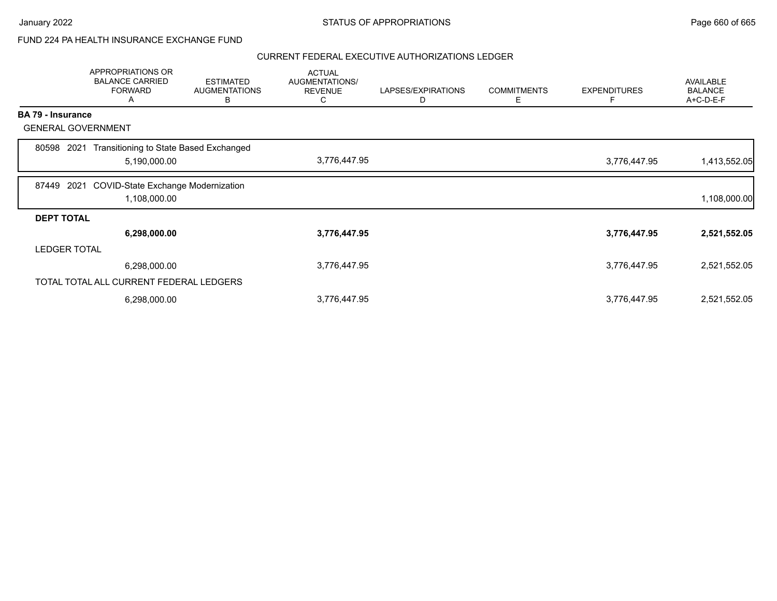### FUND 224 PA HEALTH INSURANCE EXCHANGE FUND

|                          | <b>APPROPRIATIONS OR</b><br><b>BALANCE CARRIED</b><br><b>FORWARD</b><br>А | <b>ESTIMATED</b><br><b>AUGMENTATIONS</b><br>B | <b>ACTUAL</b><br>AUGMENTATIONS/<br><b>REVENUE</b><br>C | LAPSES/EXPIRATIONS<br>D | <b>COMMITMENTS</b><br>Е | <b>EXPENDITURES</b><br>F | <b>AVAILABLE</b><br><b>BALANCE</b><br>A+C-D-E-F |
|--------------------------|---------------------------------------------------------------------------|-----------------------------------------------|--------------------------------------------------------|-------------------------|-------------------------|--------------------------|-------------------------------------------------|
| <b>BA 79 - Insurance</b> |                                                                           |                                               |                                                        |                         |                         |                          |                                                 |
|                          | <b>GENERAL GOVERNMENT</b>                                                 |                                               |                                                        |                         |                         |                          |                                                 |
| 80598                    | Transitioning to State Based Exchanged<br>2021<br>5,190,000.00            |                                               | 3,776,447.95                                           |                         |                         | 3,776,447.95             | 1,413,552.05                                    |
| 87449                    | <b>COVID-State Exchange Modernization</b><br>2021<br>1,108,000.00         |                                               |                                                        |                         |                         |                          | 1,108,000.00                                    |
| <b>DEPT TOTAL</b>        |                                                                           |                                               |                                                        |                         |                         |                          |                                                 |
|                          | 6,298,000.00                                                              |                                               | 3,776,447.95                                           |                         |                         | 3,776,447.95             | 2,521,552.05                                    |
| <b>LEDGER TOTAL</b>      |                                                                           |                                               |                                                        |                         |                         |                          |                                                 |
|                          | 6,298,000.00                                                              |                                               | 3,776,447.95                                           |                         |                         | 3,776,447.95             | 2,521,552.05                                    |
|                          | TOTAL TOTAL ALL CURRENT FEDERAL LEDGERS                                   |                                               |                                                        |                         |                         |                          |                                                 |
|                          | 6,298,000.00                                                              |                                               | 3,776,447.95                                           |                         |                         | 3,776,447.95             | 2,521,552.05                                    |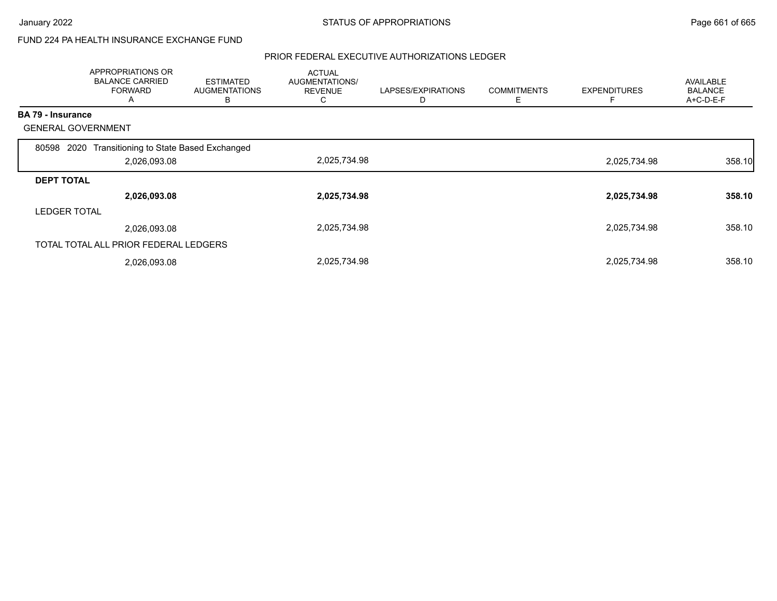### FUND 224 PA HEALTH INSURANCE EXCHANGE FUND

|                     | APPROPRIATIONS OR<br><b>BALANCE CARRIED</b><br><b>FORWARD</b><br>A | <b>ESTIMATED</b><br><b>AUGMENTATIONS</b><br>в | <b>ACTUAL</b><br>AUGMENTATIONS/<br><b>REVENUE</b><br>Ü | LAPSES/EXPIRATIONS<br>D | <b>COMMITMENTS</b><br>Ε | <b>EXPENDITURES</b> | AVAILABLE<br><b>BALANCE</b><br>A+C-D-E-F |
|---------------------|--------------------------------------------------------------------|-----------------------------------------------|--------------------------------------------------------|-------------------------|-------------------------|---------------------|------------------------------------------|
| BA 79 - Insurance   |                                                                    |                                               |                                                        |                         |                         |                     |                                          |
|                     | <b>GENERAL GOVERNMENT</b>                                          |                                               |                                                        |                         |                         |                     |                                          |
| 80598               | Transitioning to State Based Exchanged<br>2020                     |                                               |                                                        |                         |                         |                     |                                          |
|                     | 2,026,093.08                                                       |                                               | 2,025,734.98                                           |                         |                         | 2,025,734.98        | 358.10                                   |
| <b>DEPT TOTAL</b>   |                                                                    |                                               |                                                        |                         |                         |                     |                                          |
|                     | 2,026,093.08                                                       |                                               | 2,025,734.98                                           |                         |                         | 2,025,734.98        | 358.10                                   |
| <b>LEDGER TOTAL</b> |                                                                    |                                               |                                                        |                         |                         |                     |                                          |
|                     | 2,026,093.08                                                       |                                               | 2,025,734.98                                           |                         |                         | 2,025,734.98        | 358.10                                   |
|                     | TOTAL TOTAL ALL PRIOR FEDERAL LEDGERS                              |                                               |                                                        |                         |                         |                     |                                          |
|                     | 2,026,093.08                                                       |                                               | 2,025,734.98                                           |                         |                         | 2,025,734.98        | 358.10                                   |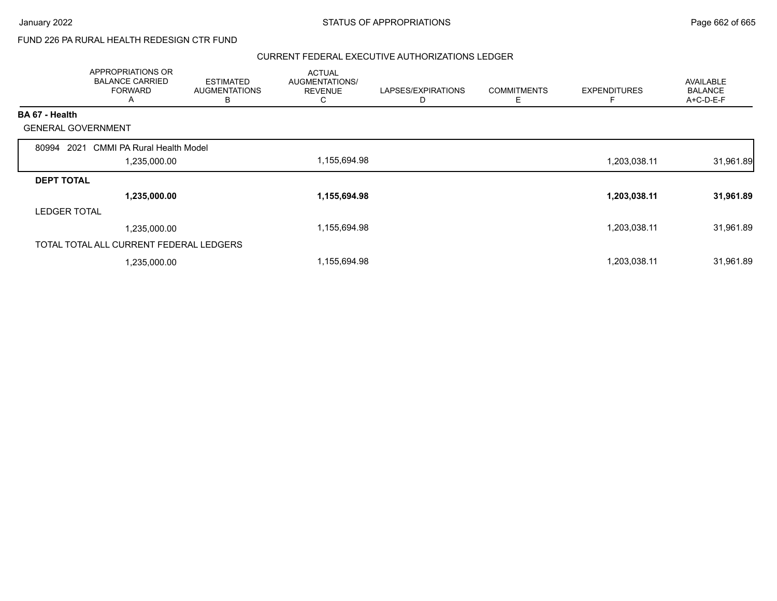## FUND 226 PA RURAL HEALTH REDESIGN CTR FUND

|                     | APPROPRIATIONS OR<br><b>BALANCE CARRIED</b><br><b>FORWARD</b><br>A | <b>ESTIMATED</b><br><b>AUGMENTATIONS</b><br>в | <b>ACTUAL</b><br>AUGMENTATIONS/<br><b>REVENUE</b><br>C | LAPSES/EXPIRATIONS | <b>COMMITMENTS</b><br>Е | <b>EXPENDITURES</b> | AVAILABLE<br><b>BALANCE</b><br>A+C-D-E-F |
|---------------------|--------------------------------------------------------------------|-----------------------------------------------|--------------------------------------------------------|--------------------|-------------------------|---------------------|------------------------------------------|
| BA 67 - Health      |                                                                    |                                               |                                                        |                    |                         |                     |                                          |
|                     | <b>GENERAL GOVERNMENT</b>                                          |                                               |                                                        |                    |                         |                     |                                          |
| 80994               | <b>CMMI PA Rural Health Model</b><br>2021                          |                                               |                                                        |                    |                         |                     |                                          |
|                     | 1,235,000.00                                                       |                                               | 1,155,694.98                                           |                    |                         | 1,203,038.11        | 31,961.89                                |
| <b>DEPT TOTAL</b>   |                                                                    |                                               |                                                        |                    |                         |                     |                                          |
|                     | 1,235,000.00                                                       |                                               | 1,155,694.98                                           |                    |                         | 1,203,038.11        | 31,961.89                                |
| <b>LEDGER TOTAL</b> |                                                                    |                                               |                                                        |                    |                         |                     |                                          |
|                     | 1,235,000.00                                                       |                                               | 1,155,694.98                                           |                    |                         | 1,203,038.11        | 31,961.89                                |
|                     | TOTAL TOTAL ALL CURRENT FEDERAL LEDGERS                            |                                               |                                                        |                    |                         |                     |                                          |
|                     | 1,235,000.00                                                       |                                               | 1,155,694.98                                           |                    |                         | 1,203,038.11        | 31,961.89                                |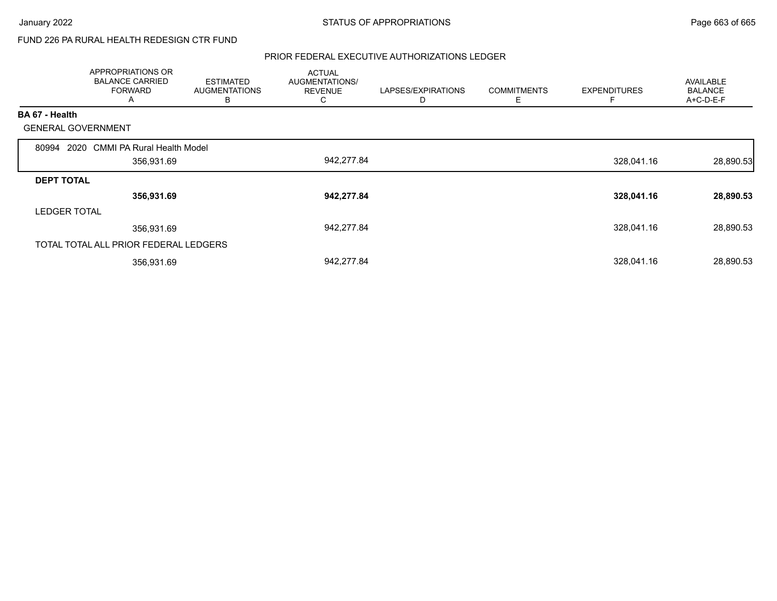## FUND 226 PA RURAL HEALTH REDESIGN CTR FUND

|                     | <b>APPROPRIATIONS OR</b><br><b>BALANCE CARRIED</b><br><b>FORWARD</b><br>A | <b>ESTIMATED</b><br><b>AUGMENTATIONS</b><br>B | <b>ACTUAL</b><br>AUGMENTATIONS/<br><b>REVENUE</b><br>C. | LAPSES/EXPIRATIONS<br>D | <b>COMMITMENTS</b><br>Ε | <b>EXPENDITURES</b> | <b>AVAILABLE</b><br><b>BALANCE</b><br>A+C-D-E-F |
|---------------------|---------------------------------------------------------------------------|-----------------------------------------------|---------------------------------------------------------|-------------------------|-------------------------|---------------------|-------------------------------------------------|
| BA 67 - Health      |                                                                           |                                               |                                                         |                         |                         |                     |                                                 |
|                     | <b>GENERAL GOVERNMENT</b>                                                 |                                               |                                                         |                         |                         |                     |                                                 |
| 80994               | 2020 CMMI PA Rural Health Model                                           |                                               |                                                         |                         |                         |                     |                                                 |
|                     | 356,931.69                                                                |                                               | 942,277.84                                              |                         |                         | 328,041.16          | 28,890.53                                       |
| <b>DEPT TOTAL</b>   |                                                                           |                                               |                                                         |                         |                         |                     |                                                 |
|                     | 356,931.69                                                                |                                               | 942,277.84                                              |                         |                         | 328,041.16          | 28,890.53                                       |
| <b>LEDGER TOTAL</b> |                                                                           |                                               |                                                         |                         |                         |                     |                                                 |
|                     | 356,931.69                                                                |                                               | 942,277.84                                              |                         |                         | 328,041.16          | 28,890.53                                       |
|                     | TOTAL TOTAL ALL PRIOR FEDERAL LEDGERS                                     |                                               |                                                         |                         |                         |                     |                                                 |
|                     | 356,931.69                                                                |                                               | 942,277.84                                              |                         |                         | 328,041.16          | 28,890.53                                       |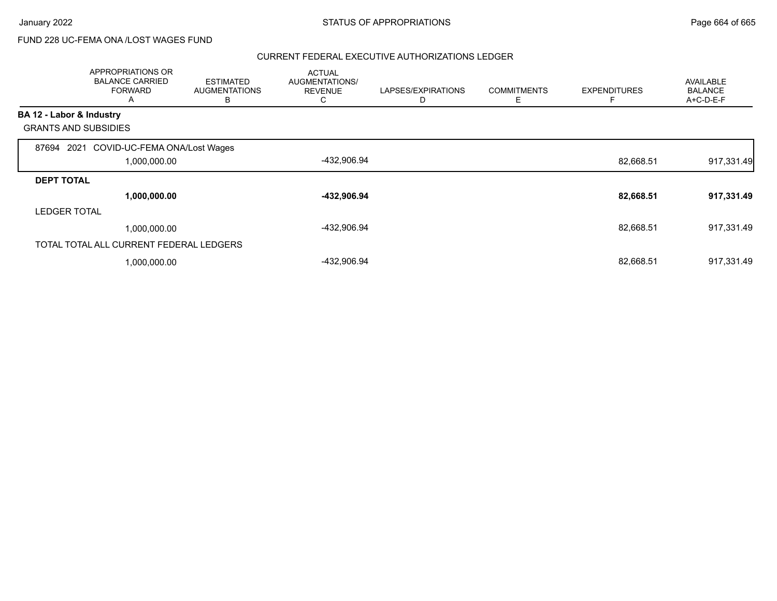## FUND 228 UC-FEMA ONA /LOST WAGES FUND

|                          | APPROPRIATIONS OR<br><b>BALANCE CARRIED</b><br><b>FORWARD</b><br>Α | <b>ESTIMATED</b><br><b>AUGMENTATIONS</b><br>в | <b>ACTUAL</b><br>AUGMENTATIONS/<br><b>REVENUE</b><br>C | LAPSES/EXPIRATIONS<br>D | <b>COMMITMENTS</b><br>Ε | <b>EXPENDITURES</b> | <b>AVAILABLE</b><br><b>BALANCE</b><br>A+C-D-E-F |
|--------------------------|--------------------------------------------------------------------|-----------------------------------------------|--------------------------------------------------------|-------------------------|-------------------------|---------------------|-------------------------------------------------|
| BA 12 - Labor & Industry |                                                                    |                                               |                                                        |                         |                         |                     |                                                 |
|                          | <b>GRANTS AND SUBSIDIES</b>                                        |                                               |                                                        |                         |                         |                     |                                                 |
| 87694                    | 2021 COVID-UC-FEMA ONA/Lost Wages                                  |                                               |                                                        |                         |                         |                     |                                                 |
|                          | 1,000,000.00                                                       |                                               | -432,906.94                                            |                         |                         | 82,668.51           | 917,331.49                                      |
| <b>DEPT TOTAL</b>        |                                                                    |                                               |                                                        |                         |                         |                     |                                                 |
|                          | 1,000,000.00                                                       |                                               | -432,906.94                                            |                         |                         | 82,668.51           | 917,331.49                                      |
| <b>LEDGER TOTAL</b>      |                                                                    |                                               |                                                        |                         |                         |                     |                                                 |
|                          | 1,000,000.00                                                       |                                               | -432,906.94                                            |                         |                         | 82,668.51           | 917,331.49                                      |
|                          | TOTAL TOTAL ALL CURRENT FEDERAL LEDGERS                            |                                               |                                                        |                         |                         |                     |                                                 |
|                          | 1,000,000.00                                                       |                                               | -432,906.94                                            |                         |                         | 82,668.51           | 917,331.49                                      |